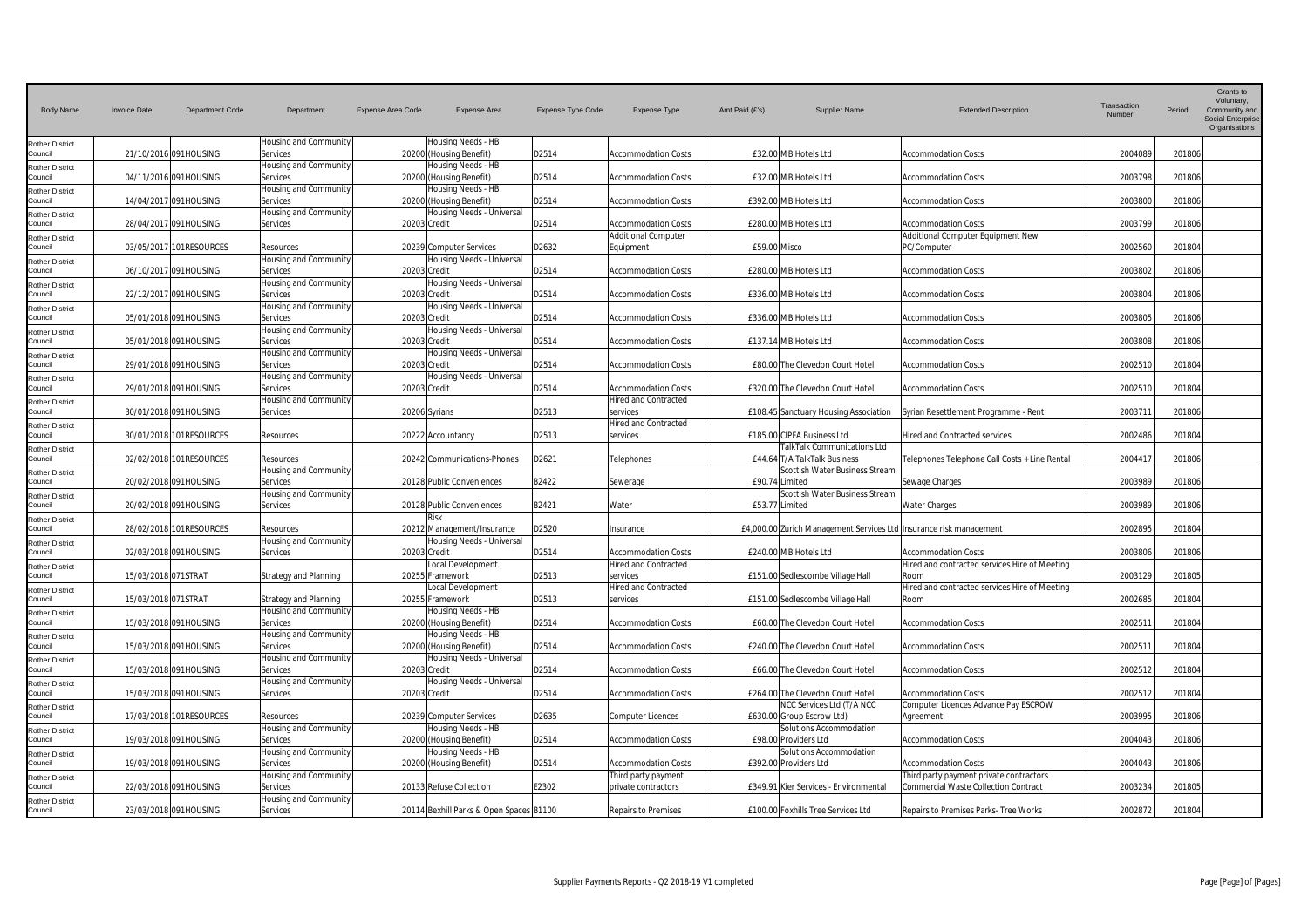| <b>Body Name</b>                  | <b>Invoice Date</b> | Department Code         | Department                         | Expense Area Code | <b>Expense Area</b>                                     | <b>Expense Type Code</b> | <b>Expense Type</b>                                       | Amt Paid (f's) | <b>Supplier Name</b>                                               | <b>Extended Description</b>                                                 | Transaction<br>Number | Period | Grants to<br>Voluntary,<br>Community and<br><b>Social Enterprise</b><br>Organisations |
|-----------------------------------|---------------------|-------------------------|------------------------------------|-------------------|---------------------------------------------------------|--------------------------|-----------------------------------------------------------|----------------|--------------------------------------------------------------------|-----------------------------------------------------------------------------|-----------------------|--------|---------------------------------------------------------------------------------------|
| Rother District<br>Council        |                     | 21/10/2016 091HOUSING   | Housing and Community<br>Services  |                   | Housing Needs - HB<br>20200 (Housing Benefit)           | D2514                    | <b>Accommodation Costs</b>                                |                | £32.00 MB Hotels Ltd                                               | <b>Accommodation Costs</b>                                                  | 2004089               | 201806 |                                                                                       |
| <b>Rother District</b><br>Council |                     | 04/11/2016 091HOUSING   | Housing and Community<br>Services  |                   | Housing Needs - HB<br>20200 (Housing Benefit)           | D2514                    | <b>Accommodation Costs</b>                                |                | £32.00 MB Hotels Ltd                                               | <b>Accommodation Costs</b>                                                  | 2003798               | 201806 |                                                                                       |
| <b>Rother District</b><br>Council |                     | 14/04/2017 091HOUSING   | Housing and Community<br>Services  |                   | Housing Needs - HB<br>20200 (Housing Benefit)           | D2514                    | <b>Accommodation Costs</b>                                |                | £392.00 MB Hotels Ltd                                              | <b>Accommodation Costs</b>                                                  | 2003800               | 201806 |                                                                                       |
| <b>Rother District</b>            |                     |                         | Housing and Community              |                   | Housing Needs - Universal                               |                          |                                                           |                |                                                                    |                                                                             |                       |        |                                                                                       |
| Council<br><b>Rother District</b> |                     | 28/04/2017 091HOUSING   | Services                           | 20203 Credit      |                                                         | D2514                    | <b>Accommodation Costs</b><br><b>Additional Computer</b>  |                | £280.00 MB Hotels Ltd                                              | <b>Accommodation Costs</b><br>Additional Computer Equipment New             | 2003799               | 201806 |                                                                                       |
| Council<br><b>Rother District</b> |                     | 03/05/2017 101RESOURCES | Resources<br>Housing and Community |                   | 20239 Computer Services<br>Housing Needs - Universal    | D2632                    | Equipment                                                 | £59.00 Misco   |                                                                    | PC/Computer                                                                 | 2002560               | 201804 |                                                                                       |
| Council<br><b>Rother District</b> |                     | 06/10/2017 091HOUSING   | Services<br>Housing and Community  | 20203 Credit      | Housing Needs - Universal                               | D2514                    | <b>Accommodation Costs</b>                                |                | £280.00 MB Hotels Ltd                                              | <b>Accommodation Costs</b>                                                  | 2003802               | 201806 |                                                                                       |
| Council                           |                     | 22/12/2017 091HOUSING   | Services<br>Housing and Community  | 20203 Credit      | Housing Needs - Universal                               | D2514                    | <b>Accommodation Costs</b>                                |                | £336.00 MB Hotels Ltd                                              | <b>Accommodation Costs</b>                                                  | 2003804               | 201806 |                                                                                       |
| <b>Rother District</b><br>Council |                     | 05/01/2018 091HOUSING   | Services                           | 20203 Credit      |                                                         | D2514                    | <b>Accommodation Costs</b>                                |                | £336.00 MB Hotels Ltd                                              | <b>Accommodation Costs</b>                                                  | 2003805               | 201806 |                                                                                       |
| Rother District<br>Council        |                     | 05/01/2018 091HOUSING   | Housing and Community<br>Services  | 20203 Credit      | Housing Needs - Universal                               | D2514                    | <b>Accommodation Costs</b>                                |                | £137.14 MB Hotels Ltd                                              | <b>Accommodation Costs</b>                                                  | 2003808               | 201806 |                                                                                       |
| <b>Rother District</b><br>Council |                     | 29/01/2018 091HOUSING   | Housing and Community<br>Services  | 20203 Credit      | Housing Needs - Universal                               | D2514                    | <b>Accommodation Costs</b>                                |                | £80.00 The Clevedon Court Hotel                                    | <b>Accommodation Costs</b>                                                  | 2002510               | 201804 |                                                                                       |
| <b>Rother District</b><br>Council |                     | 29/01/2018 091HOUSING   | Housing and Community<br>Services  | 20203 Credit      | Housing Needs - Universal                               | D2514                    | Accommodation Costs                                       |                | £320.00 The Clevedon Court Hotel                                   | <b>Accommodation Costs</b>                                                  | 2002510               | 201804 |                                                                                       |
| <b>Rother District</b><br>Council |                     | 30/01/2018 091HOUSING   | Housing and Community<br>Services  |                   | 20206 Syrians                                           | D2513                    | <b>Hired and Contracted</b><br>services                   |                | £108.45 Sanctuary Housing Association                              | Syrian Resettlement Programme - Rent                                        | 2003711               | 201806 |                                                                                       |
| <b>Rother District</b><br>Council |                     | 30/01/2018 101RESOURCES | Resources                          |                   | 20222 Accountancy                                       | D2513                    | <b>Hired and Contracted</b><br>services                   |                | £185.00 CIPFA Business Ltd                                         | Hired and Contracted services                                               | 2002486               | 201804 |                                                                                       |
| <b>Rother District</b><br>Council |                     | 02/02/2018 101RESOURCES | Resources                          |                   | 20242 Communications-Phones                             | D2621                    | Telephones                                                |                | TalkTalk Communications Ltd<br>£44.64 T/A TalkTalk Business        | Telephones Telephone Call Costs + Line Rental                               | 2004417               | 201806 |                                                                                       |
| <b>Rother District</b>            |                     |                         | Housing and Community              |                   |                                                         |                          |                                                           |                | Scottish Water Business Stream                                     |                                                                             |                       |        |                                                                                       |
| Council<br><b>Rother District</b> |                     | 20/02/2018 091HOUSING   | Services<br>Housing and Community  |                   | 20128 Public Conveniences                               | B2422                    | Sewerage                                                  |                | £90.74 Limited<br>Scottish Water Business Stream                   | Sewage Charges                                                              | 2003989               | 201806 |                                                                                       |
| Council<br><b>Rother District</b> |                     | 20/02/2018 091HOUSING   | Services                           |                   | 20128 Public Conveniences<br>Risk                       | B2421                    | Water                                                     |                | £53.77 Limited                                                     | <b>Water Charges</b>                                                        | 2003989               | 201806 |                                                                                       |
| Council<br><b>Rother District</b> |                     | 28/02/2018 101RESOURCES | Resources<br>Housing and Community |                   | 20212 Management/Insurance<br>Housing Needs - Universal | D2520                    | Insurance                                                 |                | £4,000.00 Zurich Management Services Ltd Insurance risk management |                                                                             | 2002895               | 201804 |                                                                                       |
| Council                           |                     | 02/03/2018 091HOUSING   | Services                           | 20203 Credit      | Local Development                                       | D2514                    | <b>Accommodation Costs</b><br><b>Hired and Contracted</b> |                | £240.00 MB Hotels Ltd                                              | <b>Accommodation Costs</b><br>Hired and contracted services Hire of Meeting | 2003806               | 201806 |                                                                                       |
| <b>Rother District</b><br>Council | 15/03/2018 071STRAT |                         | <b>Strategy and Planning</b>       |                   | 20255 Framework                                         | D2513                    | services                                                  |                | £151.00 Sedlescombe Village Hall                                   | Room                                                                        | 2003129               | 201805 |                                                                                       |
| <b>Rother District</b><br>Council | 15/03/2018 071STRAT |                         | <b>Strategy and Planning</b>       |                   | Local Development<br>20255 Framework                    | D2513                    | Hired and Contracted<br>services                          |                | £151.00 Sedlescombe Village Hall                                   | Hired and contracted services Hire of Meeting<br>Room                       | 2002685               | 201804 |                                                                                       |
| <b>Rother District</b><br>Council |                     | 15/03/2018 091HOUSING   | Housing and Community<br>Services  |                   | Housing Needs - HB<br>20200 (Housing Benefit)           | D2514                    | <b>Accommodation Costs</b>                                |                | £60.00 The Clevedon Court Hotel                                    | <b>Accommodation Costs</b>                                                  | 2002511               | 201804 |                                                                                       |
| <b>Rother District</b><br>Council |                     | 15/03/2018 091HOUSING   | Housing and Community<br>Services  |                   | Housing Needs - HB<br>20200 (Housing Benefit)           | D2514                    | <b>Accommodation Costs</b>                                |                | £240.00 The Clevedon Court Hotel                                   | <b>Accommodation Costs</b>                                                  | 200251                | 201804 |                                                                                       |
| <b>Rother District</b><br>Council |                     | 15/03/2018 091HOUSING   | Housing and Community<br>Services  | 20203 Credit      | Housing Needs - Universal                               | D2514                    | <b>Accommodation Costs</b>                                |                | £66.00 The Clevedon Court Hotel                                    | <b>Accommodation Costs</b>                                                  | 2002512               | 201804 |                                                                                       |
| <b>Rother District</b><br>Council |                     | 15/03/2018 091HOUSING   | Housing and Community<br>Services  | 20203 Credit      | Housing Needs - Universal                               | D2514                    | <b>Accommodation Costs</b>                                |                | £264.00 The Clevedon Court Hotel                                   | <b>Accommodation Costs</b>                                                  | 2002512               | 201804 |                                                                                       |
| <b>Rother District</b>            |                     |                         |                                    |                   |                                                         |                          |                                                           |                | NCC Services Ltd (T/A NCC                                          | Computer Licences Advance Pay ESCROW                                        |                       |        |                                                                                       |
| Council<br><b>Rother District</b> |                     | 17/03/2018 101RESOURCES | Resources<br>Housing and Community |                   | 20239 Computer Services<br>Housing Needs - HB           | D2635                    | <b>Computer Licences</b>                                  |                | £630.00 Group Escrow Ltd)<br>Solutions Accommodation               | Agreement                                                                   | 2003995               | 201806 |                                                                                       |
| Council<br>Rother District        |                     | 19/03/2018 091HOUSING   | Services<br>Housing and Community  |                   | 20200 (Housing Benefit)<br>Housing Needs - HB           | D2514                    | <b>Accommodation Costs</b>                                |                | £98.00 Providers Ltd<br>Solutions Accommodation                    | <b>Accommodation Costs</b>                                                  | 2004043               | 201806 |                                                                                       |
| Council<br>Rother District        |                     | 19/03/2018 091HOUSING   | Services<br>Housing and Community  |                   | 20200 (Housing Benefit)                                 | D2514                    | <b>Accommodation Costs</b><br>Third party payment         |                | £392.00 Providers Ltd                                              | <b>Accommodation Costs</b><br>Third party payment private contractors       | 2004043               | 201806 |                                                                                       |
| Council<br><b>Rother District</b> |                     | 22/03/2018 091HOUSING   | Services<br>Housing and Community  |                   | 20133 Refuse Collection                                 | E2302                    | private contractors                                       |                | £349.91 Kier Services - Environmental                              | Commercial Waste Collection Contract                                        | 2003234               | 201805 |                                                                                       |
| Council                           |                     | 23/03/2018 091HOUSING   | Services                           |                   | 20114 Bexhill Parks & Open Spaces B1100                 |                          | <b>Repairs to Premises</b>                                |                | £100.00 Foxhills Tree Services Ltd                                 | Repairs to Premises Parks- Tree Works                                       | 2002872               | 201804 |                                                                                       |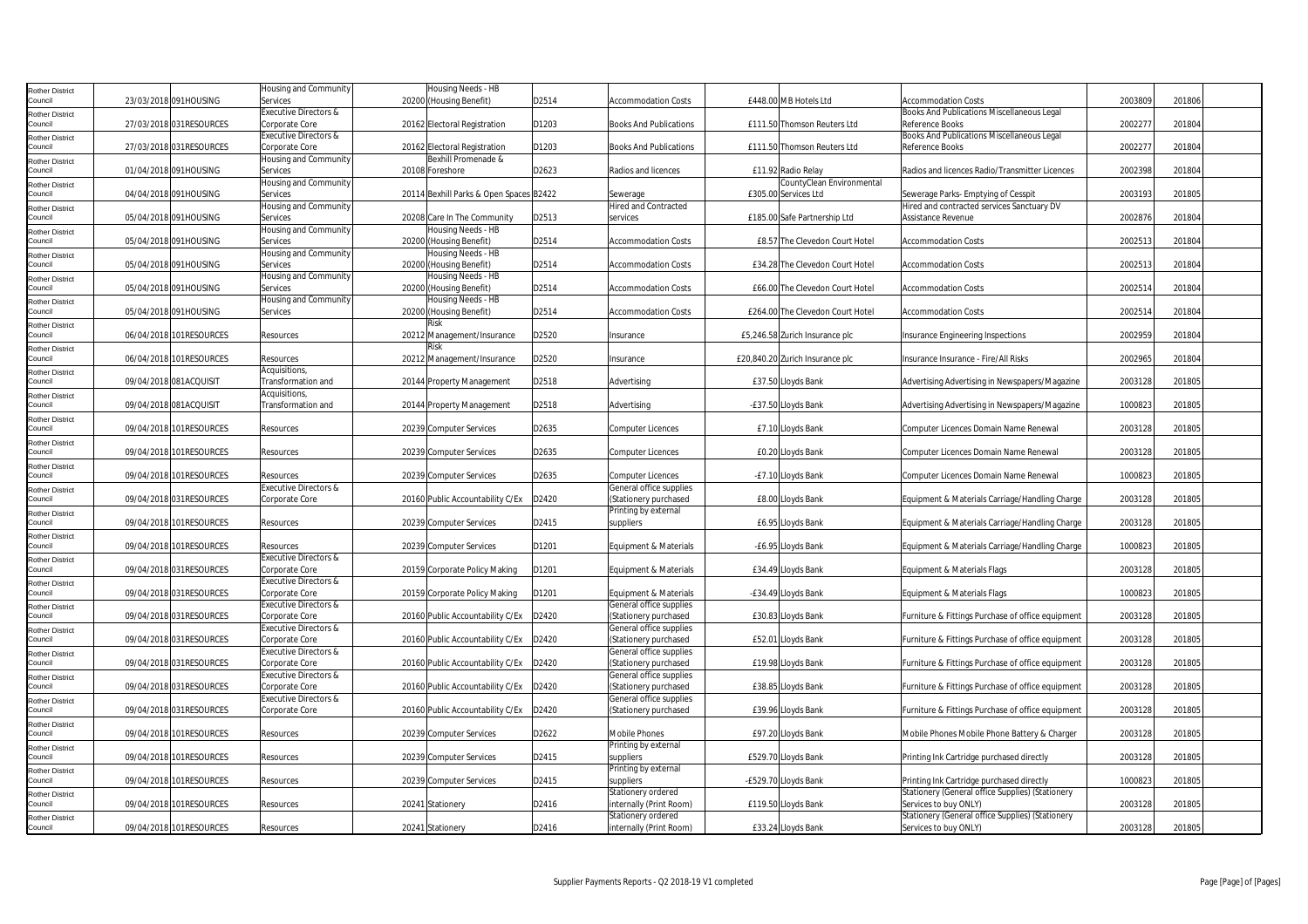| Rother District                   |                         | Housing and Community             | Housing Needs - HB                            |       |                                   |                                  |                                                   |         |        |
|-----------------------------------|-------------------------|-----------------------------------|-----------------------------------------------|-------|-----------------------------------|----------------------------------|---------------------------------------------------|---------|--------|
| Council                           | 23/03/2018 091HOUSING   | Services                          | 20200 (Housing Benefit)                       | D2514 | <b>Accommodation Costs</b>        | £448.00 MB Hotels Ltd            | <b>Accommodation Costs</b>                        | 2003809 | 201806 |
| Rother District                   |                         | Executive Directors &             |                                               |       |                                   |                                  | Books And Publications Miscellaneous Legal        |         |        |
| Council                           | 27/03/2018 031RESOURCES | Corporate Core                    | 20162 Electoral Registration                  | D1203 | <b>Books And Publications</b>     | £111.50 Thomson Reuters Ltd      | Reference Books                                   | 2002277 | 201804 |
| Rother District                   |                         | Executive Directors &             |                                               |       |                                   |                                  | Books And Publications Miscellaneous Legal        |         |        |
| Council                           | 27/03/2018 031RESOURCES | Corporate Core                    | 20162 Electoral Registration                  | D1203 | <b>Books And Publications</b>     | £111.50 Thomson Reuters Ltd      | Reference Books                                   | 2002277 | 201804 |
| <b>Rother District</b>            |                         | Housing and Community             | Bexhill Promenade &                           |       |                                   |                                  |                                                   |         |        |
| Council                           | 01/04/2018 091HOUSING   | Services                          | 20108 Foreshore                               | D2623 | Radios and licences               | £11.92 Radio Relay               | Radios and licences Radio/Transmitter Licences    | 2002398 | 201804 |
| Rother District                   |                         | Housing and Community             |                                               |       |                                   | CountyClean Environmental        |                                                   |         |        |
| Council                           | 04/04/2018 091HOUSING   | Services                          | 20114 Bexhill Parks & Open Spaces B2422       |       | Sewerage                          | £305.00 Services Ltd             | Sewerage Parks- Emptying of Cesspit               | 2003193 | 201805 |
| <b>Rother District</b><br>Council |                         | Housing and Community             |                                               |       | <b>Hired and Contracted</b>       |                                  | Hired and contracted services Sanctuary DV        |         |        |
|                                   | 05/04/2018 091HOUSING   | Services                          | 20208 Care In The Community                   | D2513 | services                          | £185.00 Safe Partnership Ltd     | Assistance Revenue                                | 2002876 | 201804 |
| Rother District<br>Council        | 05/04/2018 091HOUSING   | Housing and Community<br>Services | Housing Needs - HB                            | D2514 | Accommodation Costs               |                                  | Accommodation Costs                               | 2002513 | 201804 |
|                                   |                         | Housing and Community             | 20200 (Housing Benefit)<br>Housing Needs - HB |       |                                   | £8.57 The Clevedon Court Hotel   |                                                   |         |        |
| Rother District<br>Council        | 05/04/2018 091HOUSING   | Services                          | 20200 (Housing Benefit)                       | D2514 | <b>Accommodation Costs</b>        | £34.28 The Clevedon Court Hotel  | <b>Accommodation Costs</b>                        | 2002513 | 201804 |
|                                   |                         | Housing and Community             | Housing Needs - HB                            |       |                                   |                                  |                                                   |         |        |
| Rother District<br>Council        | 05/04/2018 091HOUSING   | Services                          | 20200 (Housing Benefit)                       | D2514 | <b>Accommodation Costs</b>        | £66.00 The Clevedon Court Hotel  | <b>Accommodation Costs</b>                        | 2002514 | 201804 |
|                                   |                         | Housing and Community             | Housing Needs - HB                            |       |                                   |                                  |                                                   |         |        |
| Rother District<br>Council        | 05/04/2018 091HOUSING   | Services                          | 20200 (Housing Benefit)                       | D2514 | <b>Accommodation Costs</b>        | £264.00 The Clevedon Court Hotel | Accommodation Costs                               | 2002514 | 201804 |
| <b>Rother District</b>            |                         |                                   | Risk                                          |       |                                   |                                  |                                                   |         |        |
| Council                           | 06/04/2018 101RESOURCES | Resources                         | 20212 Management/Insurance                    | D2520 | Insurance                         | £5,246.58 Zurich Insurance plc   | Insurance Engineering Inspections                 | 2002959 | 201804 |
| <b>Rother District</b>            |                         |                                   |                                               |       |                                   |                                  |                                                   |         |        |
| Council                           | 06/04/2018 101RESOURCES | Resources                         | 20212 Management/Insurance                    | D2520 | Insurance                         | £20,840.20 Zurich Insurance plc  | Insurance Insurance - Fire/All Risks              | 2002965 | 201804 |
| Rother District                   |                         | Acquisitions,                     |                                               |       |                                   |                                  |                                                   |         |        |
| Council                           | 09/04/2018 081ACQUISIT  | Transformation and                | 20144 Property Management                     | D2518 | Advertising                       | £37.50 Lloyds Bank               | Advertising Advertising in Newspapers/Magazine    | 2003128 | 201805 |
| <b>Rother District</b>            |                         | Acquisitions,                     |                                               |       |                                   |                                  |                                                   |         |        |
| Council                           | 09/04/2018 081ACQUISIT  | Transformation and                | 20144 Property Management                     | D2518 | Advertising                       | -£37.50 Lloyds Bank              | Advertising Advertising in Newspapers/Magazine    | 1000823 | 201805 |
| Rother District                   |                         |                                   |                                               |       |                                   |                                  |                                                   |         |        |
| Council                           | 09/04/2018 101RESOURCES | Resources                         | 20239 Computer Services                       | D2635 | Computer Licences                 | £7.10 Lloyds Bank                | Computer Licences Domain Name Renewal             | 2003128 | 201805 |
| Rother District                   |                         |                                   |                                               |       |                                   |                                  |                                                   |         |        |
| Council                           | 09/04/2018 101RESOURCES | Resources                         | 20239 Computer Services                       | D2635 | Computer Licences                 | £0.20 Lloyds Bank                | Computer Licences Domain Name Renewal             | 2003128 | 201805 |
| Rother District                   |                         |                                   |                                               |       |                                   |                                  |                                                   |         |        |
| Council                           | 09/04/2018 101RESOURCES | Resources                         | 20239 Computer Services                       | D2635 | Computer Licences                 | -£7.10 Lloyds Bank               | Computer Licences Domain Name Renewal             | 1000823 | 201805 |
| <b>Rother District</b>            |                         | Executive Directors &             |                                               |       | General office supplies           |                                  |                                                   |         |        |
| Council                           | 09/04/2018 031RESOURCES | Corporate Core                    | 20160 Public Accountability C/Ex              | D2420 | (Stationery purchased             | £8.00 Lloyds Bank                | Equipment & Materials Carriage/Handling Charge    | 2003128 | 201805 |
| <b>Rother District</b><br>Council | 09/04/2018 101RESOURCES | Resources                         | 20239 Computer Services                       | D2415 | Printing by external<br>suppliers | £6.95 Lloyds Bank                | Equipment & Materials Carriage/Handling Charge    | 2003128 | 201805 |
|                                   |                         |                                   |                                               |       |                                   |                                  |                                                   |         |        |
| <b>Rother District</b><br>Council | 09/04/2018 101RESOURCES | Resources                         | 20239 Computer Services                       | D1201 | Equipment & Materials             | -£6.95 Lloyds Bank               | Equipment & Materials Carriage/Handling Charge    | 1000823 | 201805 |
| <b>Rother District</b>            |                         | Executive Directors &             |                                               |       |                                   |                                  |                                                   |         |        |
| Council                           | 09/04/2018 031RESOURCES | Corporate Core                    | 20159 Corporate Policy Making                 | D1201 | Equipment & Materials             | £34.49 Lloyds Bank               | Equipment & Materials Flags                       | 2003128 | 201805 |
| <b>Rother District</b>            |                         | Executive Directors &             |                                               |       |                                   |                                  |                                                   |         |        |
| Council                           | 09/04/2018 031RESOURCES | Corporate Core                    | 20159 Corporate Policy Making                 | D1201 | Equipment & Materials             | -£34.49 Lloyds Bank              | Equipment & Materials Flags                       | 1000823 | 201805 |
| Rother District                   |                         | Executive Directors &             |                                               |       | General office supplies           |                                  |                                                   |         |        |
| Council                           | 09/04/2018 031RESOURCES | Corporate Core                    | 20160 Public Accountability C/Ex              | D2420 | (Stationery purchased             | £30.83 Lloyds Bank               | Furniture & Fittings Purchase of office equipment | 2003128 | 201805 |
| Rother District                   |                         | Executive Directors &             |                                               |       | General office supplies           |                                  |                                                   |         |        |
| Council                           | 09/04/2018 031RESOURCES | Corporate Core                    | 20160 Public Accountability C/Ex              | D2420 | (Stationery purchased             | £52.01 Lloyds Bank               | Furniture & Fittings Purchase of office equipment | 2003128 | 201805 |
| Rother District                   |                         | Executive Directors &             |                                               |       | General office supplies           |                                  |                                                   |         |        |
| Council                           | 09/04/2018 031RESOURCES | Corporate Core                    | 20160 Public Accountability C/Ex              | D2420 | (Stationery purchased             | £19.98 Lloyds Bank               | Furniture & Fittings Purchase of office equipment | 2003128 | 201805 |
| Rother District                   |                         | Executive Directors &             |                                               |       | General office supplies           |                                  |                                                   |         |        |
| Council                           | 09/04/2018 031RESOURCES | Corporate Core                    | 20160 Public Accountability C/Ex              | D2420 | Stationery purchased              | £38.85 Lloyds Bank               | Furniture & Fittings Purchase of office equipment | 2003128 | 201805 |
| Rother District                   |                         | Executive Directors &             |                                               |       | General office supplies           |                                  |                                                   |         |        |
| Council                           | 09/04/2018 031RESOURCES | Corporate Core                    | 20160 Public Accountability C/Ex              | D2420 | (Stationery purchased             | £39.96 Lloyds Bank               | Furniture & Fittings Purchase of office equipment | 2003128 | 201805 |
| Rother District                   |                         |                                   |                                               |       |                                   |                                  |                                                   |         |        |
| Council                           | 09/04/2018 101RESOURCES | Resources                         | 20239 Computer Services                       | D2622 | Mobile Phones                     | £97.20 Lloyds Bank               | Mobile Phones Mobile Phone Battery & Charger      | 2003128 | 201805 |
| <b>Rother District</b><br>Council | 09/04/2018 101RESOURCES | Resources                         |                                               | D2415 | Printing by external              |                                  |                                                   | 2003128 | 201805 |
|                                   |                         |                                   | 20239 Computer Services                       |       | suppliers                         | £529.70 Lloyds Bank              | Printing Ink Cartridge purchased directly         |         |        |
| Rother District<br>Council        | 09/04/2018 101RESOURCES | Resources                         | 20239 Computer Services                       | D2415 | Printing by external<br>suppliers | -£529.70 Lloyds Bank             | Printing Ink Cartridge purchased directly         | 1000823 | 201805 |
|                                   |                         |                                   |                                               |       | Stationery ordered                |                                  | Stationery (General office Supplies) (Stationery  |         |        |
| <b>Rother District</b><br>Council | 09/04/2018 101RESOURCES | Resources                         | 20241 Stationery                              | D2416 | internally (Print Room)           | £119.50 Lloyds Bank              | Services to buy ONLY)                             | 2003128 | 201805 |
| Rother District                   |                         |                                   |                                               |       | Stationery ordered                |                                  | Stationery (General office Supplies) (Stationery  |         |        |
| Council                           | 09/04/2018 101RESOURCES | Resources                         | 20241 Stationery                              | D2416 | internally (Print Room)           | £33.24 Lloyds Bank               | Services to buy ONLY)                             | 2003128 | 201805 |
|                                   |                         |                                   |                                               |       |                                   |                                  |                                                   |         |        |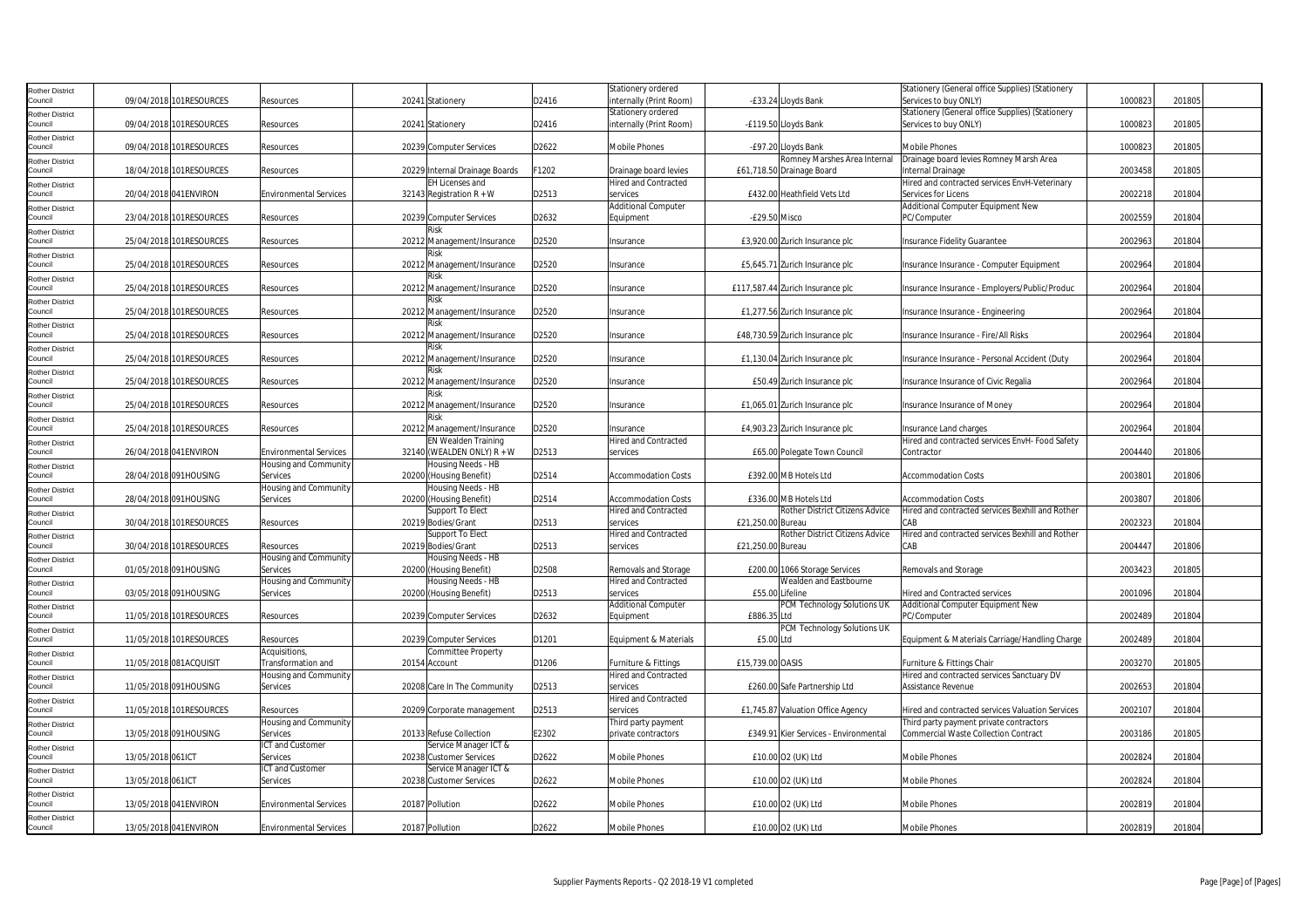| 09/04/2018 101RESOURCES<br>20241 Stationery<br>D2416<br>internally (Print Room)<br>-£33.24 Lloyds Bank<br>Services to buy ONLY)<br>1000823<br>201805<br>Resources<br>Stationery (General office Supplies) (Stationery<br>Stationery ordered<br><b>Rother District</b><br>09/04/2018 101RESOURCES<br>20241 Stationery<br>D2416<br>internally (Print Room)<br>-£119.50 Lloyds Bank<br>1000823<br>201805<br>Services to buy ONLY)<br>Resources<br><b>Rother District</b><br>09/04/2018 101RESOURCES<br>201805<br>20239 Computer Services<br>D2622<br><b>Mobile Phones</b><br>-£97.20 Lloyds Bank<br>Mobile Phones<br>1000823<br>Resources<br>Romney Marshes Area Internal<br>Drainage board levies Romney Marsh Area<br><b>Rother District</b><br>18/04/2018 101RESOURCES<br>F1202<br>2003458<br>201805<br>20229 Internal Drainage Boards<br>Drainage board levies<br>£61,718.50 Drainage Board<br>Internal Drainage<br>Resources<br><b>Hired and Contracted</b><br>EH Licenses and<br>Hired and contracted services EnvH-Veterinary<br><b>Rother District</b><br>Council<br>20/04/2018 041ENVIRON<br><b>Environmental Services</b><br>32143 Registration $R + W$<br>D2513<br>£432.00 Heathfield Vets Ltd<br>Services for Licens<br>2002218<br>201804<br>services<br><b>Additional Computer</b><br>Additional Computer Equipment New<br><b>Rother District</b><br>23/04/2018 101RESOURCES<br>20239 Computer Services<br>2002559<br>201804<br>D2632<br>-£29.50 Misco<br>PC/Computer<br>Resources<br>Equipment<br>Risk<br><b>Rother District</b><br>D2520<br>25/04/2018 101RESOURCES<br>2002963<br>201804<br>Resources<br>20212 Management/Insurance<br>Insurance<br>£3,920.00 Zurich Insurance plc<br>Insurance Fidelity Guarantee<br>Risk<br><b>Rother District</b><br>25/04/2018 101RESOURCES<br>20212 Management/Insurance<br>D2520<br>£5,645.71 Zurich Insurance plc<br>Insurance Insurance - Computer Equipment<br>2002964<br>201804<br>Resources<br>Insurance<br><b>Rother District</b><br>25/04/2018 101RESOURCES<br>2002964<br>201804<br>20212 Management/Insurance<br>D2520<br>£117,587.44 Zurich Insurance plc<br>Insurance Insurance - Employers/Public/Produc<br>Resources<br>Insurance<br>Risk<br><b>Rother District</b><br>25/04/2018 101RESOURCES<br>D2520<br>2002964<br>20212 Management/Insurance<br>£1,277.56 Zurich Insurance plc<br>201804<br>Resources<br>Insurance<br>Insurance Insurance - Engineering<br>Risk<br>25/04/2018 101RESOURCES<br>20212 Management/Insurance<br>D2520<br>£48,730.59 Zurich Insurance plc<br>Insurance Insurance - Fire/All Risks<br>2002964<br>201804<br>Resources<br>Insurance<br>25/04/2018 101RESOURCES<br>2002964<br>201804<br>20212 Management/Insurance<br>D2520<br>£1,130.04 Zurich Insurance plc<br>Insurance Insurance - Personal Accident (Duty<br>Resources<br>Insurance<br>Risk<br>25/04/2018 101RESOURCES<br>D2520<br>2002964<br>201804<br>20212 Management/Insurance<br>£50.49 Zurich Insurance plc<br>Insurance Insurance of Civic Regalia<br>Resources<br>Insurance<br>Risk<br>25/04/2018 101RESOURCES<br>20212 Management/Insurance<br>D2520<br>£1,065.01 Zurich Insurance plc<br>Insurance Insurance of Money<br>2002964<br>201804<br>Resources<br>Insurance<br>25/04/2018 101RESOURCES<br>20212 Management/Insurance<br>D2520<br>£4,903.23 Zurich Insurance plc<br>2002964<br>201804<br>Resources<br>Insurance<br>Insurance Land charges<br>EN Wealden Training<br><b>Hired and Contracted</b><br>Hired and contracted services EnvH- Food Safety<br>32140 (WEALDEN ONLY) R + W<br>201806<br>Council<br>26/04/2018 041ENVIRON<br><b>Environmental Services</b><br>D2513<br>2004440<br>services<br>£65.00 Polegate Town Council<br>Contractor<br>Housing Needs - HB<br>Housing and Community<br>28/04/2018 091HOUSING<br>£392.00 MB Hotels Ltd<br>201806<br>Services<br>20200 (Housing Benefit)<br>D2514<br><b>Accommodation Costs</b><br><b>Accommodation Costs</b><br>2003801<br>Housing and Community<br>Housing Needs - HB<br>28/04/2018 091HOUSING<br>Services<br>20200 (Housing Benefit)<br>D2514<br>£336.00 MB Hotels Ltd<br>2003807<br>201806<br>Council<br><b>Accommodation Costs</b><br><b>Accommodation Costs</b><br><b>Hired and Contracted</b><br>Rother District Citizens Advice<br>Support To Elect<br>Hired and contracted services Bexhill and Rother<br>30/04/2018 101RESOURCES<br>2002323<br>20219 Bodies/Grant<br>D2513<br>services<br>£21.250.00 Bureau<br>CAB<br>201804<br>Council<br>Resources<br>Support To Elect<br>Rother District Citizens Advice<br><b>Hired and Contracted</b><br>Hired and contracted services Bexhill and Rother<br>30/04/2018 101RESOURCES<br>20219 Bodies/Grant<br>D2513<br>CAB<br>2004447<br>201806<br>Council<br>Resources<br>services<br>£21,250.00 Bureau<br>Housing and Community<br>Housing Needs - HB<br>Council<br>01/05/2018 091HOUSING<br>Services<br>20200 (Housing Benefit)<br>D2508<br>Removals and Storage<br>£200.00 1066 Storage Services<br>Removals and Storage<br>2003423<br>201805<br><b>Hired and Contracted</b><br>Wealden and Eastbourne<br>Housing and Community<br>Housing Needs - HB<br>03/05/2018 091HOUSING<br>£55.00 Lifeline<br>2001096<br>201804<br>Council<br>Services<br>20200 (Housing Benefit)<br>D2513<br>services<br><b>Hired and Contracted services</b><br>PCM Technology Solutions UK<br><b>Additional Computer</b><br>Additional Computer Equipment New<br>11/05/2018 101RESOURCES<br>20239 Computer Services<br>2002489<br>201804<br>D2632<br>£886.35 Ltd<br>Council<br>Resources<br>Equipment<br>PC/Computer<br>PCM Technology Solutions UK<br><b>Rother District</b><br>11/05/2018 101RESOURCES<br>20239 Computer Services<br>D1201<br>Council<br>Equipment & Materials<br>£5.00 Ltd<br>Equipment & Materials Carriage/Handling Charge<br>2002489<br>201804<br>Resources<br>Acquisitions,<br>Committee Property<br>Rother District<br>11/05/2018 081ACQUISIT<br>Transformation and<br>D1206<br>£15,739.00 OASIS<br>2003270<br>201805<br>Council<br>20154 Account<br>Furniture & Fittings<br>Furniture & Fittings Chair<br><b>Hired and Contracted</b><br>Housing and Community<br>Hired and contracted services Sanctuary DV<br><b>Rother District</b><br>11/05/2018 091HOUSING<br>20208 Care In The Community<br>D2513<br>£260.00 Safe Partnership Ltd<br>2002653<br>201804<br>Services<br>services<br>Assistance Revenue<br>Council<br><b>Hired and Contracted</b><br><b>Rother District</b><br>11/05/2018 101RESOURCES<br>D2513<br>£1,745.87 Valuation Office Agency<br>2002107<br>201804<br>Council<br>Resources<br>20209 Corporate management<br>services<br>Hired and contracted services Valuation Services<br>Housing and Community<br>Third party payment<br>Third party payment private contractors<br><b>Rother District</b><br>13/05/2018 091HOUSING<br>Services<br>20133 Refuse Collection<br>E2302<br>private contractors<br>£349.91 Kier Services - Environmental<br><b>Commercial Waste Collection Contract</b><br>2003186<br>201805<br>ICT and Customer<br>Service Manager ICT &<br>Rother District<br>2002824<br>201804<br>13/05/2018 061ICT<br>Services<br>20238 Customer Services<br>D2622<br><b>Mobile Phones</b><br>£10.00 O2 (UK) Ltd<br><b>Mobile Phones</b><br>ICT and Customer<br>Service Manager ICT &<br><b>Rother District</b><br>13/05/2018 061ICT<br>2002824<br>201804<br>Services<br>20238 Customer Services<br>D2622<br><b>Mobile Phones</b><br>£10.00 O2 (UK) Ltd<br>Mobile Phones<br><b>Rother District</b><br>13/05/2018 041 ENVIRON<br><b>Environmental Services</b><br>20187 Pollution<br>D2622<br><b>Mobile Phones</b><br>£10.00 O2 (UK) Ltd<br><b>Mobile Phones</b><br>2002819<br>201804<br>13/05/2018 041ENVIRON<br>20187 Pollution<br>D2622<br>£10.00 O2 (UK) Ltd<br>2002819<br>201804<br><b>Environmental Services</b><br><b>Mobile Phones</b><br><b>Mobile Phones</b> | <b>Rother District</b> |  |  |  | Stationery ordered |  | Stationery (General office Supplies) (Stationery |  |  |
|--------------------------------------------------------------------------------------------------------------------------------------------------------------------------------------------------------------------------------------------------------------------------------------------------------------------------------------------------------------------------------------------------------------------------------------------------------------------------------------------------------------------------------------------------------------------------------------------------------------------------------------------------------------------------------------------------------------------------------------------------------------------------------------------------------------------------------------------------------------------------------------------------------------------------------------------------------------------------------------------------------------------------------------------------------------------------------------------------------------------------------------------------------------------------------------------------------------------------------------------------------------------------------------------------------------------------------------------------------------------------------------------------------------------------------------------------------------------------------------------------------------------------------------------------------------------------------------------------------------------------------------------------------------------------------------------------------------------------------------------------------------------------------------------------------------------------------------------------------------------------------------------------------------------------------------------------------------------------------------------------------------------------------------------------------------------------------------------------------------------------------------------------------------------------------------------------------------------------------------------------------------------------------------------------------------------------------------------------------------------------------------------------------------------------------------------------------------------------------------------------------------------------------------------------------------------------------------------------------------------------------------------------------------------------------------------------------------------------------------------------------------------------------------------------------------------------------------------------------------------------------------------------------------------------------------------------------------------------------------------------------------------------------------------------------------------------------------------------------------------------------------------------------------------------------------------------------------------------------------------------------------------------------------------------------------------------------------------------------------------------------------------------------------------------------------------------------------------------------------------------------------------------------------------------------------------------------------------------------------------------------------------------------------------------------------------------------------------------------------------------------------------------------------------------------------------------------------------------------------------------------------------------------------------------------------------------------------------------------------------------------------------------------------------------------------------------------------------------------------------------------------------------------------------------------------------------------------------------------------------------------------------------------------------------------------------------------------------------------------------------------------------------------------------------------------------------------------------------------------------------------------------------------------------------------------------------------------------------------------------------------------------------------------------------------------------------------------------------------------------------------------------------------------------------------------------------------------------------------------------------------------------------------------------------------------------------------------------------------------------------------------------------------------------------------------------------------------------------------------------------------------------------------------------------------------------------------------------------------------------------------------------------------------------------------------------------------------------------------------------------------------------------------------------------------------------------------------------------------------------------------------------------------------------------------------------------------------------------------------------------------------------------------------------------------------------------------------------------------------------------------------------------------------------------------------------------------------------------------------------------------------------------------------------------------------------------------------------------------------------------------------------------------------------------------------------------------------------------------------------------------------------------------------------------------------------------------------------------------------------------------------------------------------------------------------------------------------------------------------------------------------------------------------------------------------------------------------------------------------------------------------------------------------------------------------------------------------------------------------------------------------------------------------------------------------------------------------------------------------------------------------------------------------------------------------------------------------------------------------------------------------------------------------------------------------------------------------------------------------------------------------------------------------------------------------------------------------------------------------------------------------------------------------------------------------------------------------------------------------------------------------------------------------------------------------------------------------------------------------------------------------------------------------------------------------------------------------------------------------------------------------------------------------------------------------------------------------------------------------------------------------------------------------------------------------------------------------------------------------------------------------------------------------------------------------------------------------------------------------------------------|------------------------|--|--|--|--------------------|--|--------------------------------------------------|--|--|
|                                                                                                                                                                                                                                                                                                                                                                                                                                                                                                                                                                                                                                                                                                                                                                                                                                                                                                                                                                                                                                                                                                                                                                                                                                                                                                                                                                                                                                                                                                                                                                                                                                                                                                                                                                                                                                                                                                                                                                                                                                                                                                                                                                                                                                                                                                                                                                                                                                                                                                                                                                                                                                                                                                                                                                                                                                                                                                                                                                                                                                                                                                                                                                                                                                                                                                                                                                                                                                                                                                                                                                                                                                                                                                                                                                                                                                                                                                                                                                                                                                                                                                                                                                                                                                                                                                                                                                                                                                                                                                                                                                                                                                                                                                                                                                                                                                                                                                                                                                                                                                                                                                                                                                                                                                                                                                                                                                                                                                                                                                                                                                                                                                                                                                                                                                                                                                                                                                                                                                                                                                                                                                                                                                                                                                                                                                                                                                                                                                                                                                                                                                                                                                                                                                                                                                                                                                                                                                                                                                                                                                                                                                                                                                                                                                                                                                                                                                                                                                                                                                                                                                                                                                                                                                                                                                                                                                                                                | Council                |  |  |  |                    |  |                                                  |  |  |
|                                                                                                                                                                                                                                                                                                                                                                                                                                                                                                                                                                                                                                                                                                                                                                                                                                                                                                                                                                                                                                                                                                                                                                                                                                                                                                                                                                                                                                                                                                                                                                                                                                                                                                                                                                                                                                                                                                                                                                                                                                                                                                                                                                                                                                                                                                                                                                                                                                                                                                                                                                                                                                                                                                                                                                                                                                                                                                                                                                                                                                                                                                                                                                                                                                                                                                                                                                                                                                                                                                                                                                                                                                                                                                                                                                                                                                                                                                                                                                                                                                                                                                                                                                                                                                                                                                                                                                                                                                                                                                                                                                                                                                                                                                                                                                                                                                                                                                                                                                                                                                                                                                                                                                                                                                                                                                                                                                                                                                                                                                                                                                                                                                                                                                                                                                                                                                                                                                                                                                                                                                                                                                                                                                                                                                                                                                                                                                                                                                                                                                                                                                                                                                                                                                                                                                                                                                                                                                                                                                                                                                                                                                                                                                                                                                                                                                                                                                                                                                                                                                                                                                                                                                                                                                                                                                                                                                                                                |                        |  |  |  |                    |  |                                                  |  |  |
|                                                                                                                                                                                                                                                                                                                                                                                                                                                                                                                                                                                                                                                                                                                                                                                                                                                                                                                                                                                                                                                                                                                                                                                                                                                                                                                                                                                                                                                                                                                                                                                                                                                                                                                                                                                                                                                                                                                                                                                                                                                                                                                                                                                                                                                                                                                                                                                                                                                                                                                                                                                                                                                                                                                                                                                                                                                                                                                                                                                                                                                                                                                                                                                                                                                                                                                                                                                                                                                                                                                                                                                                                                                                                                                                                                                                                                                                                                                                                                                                                                                                                                                                                                                                                                                                                                                                                                                                                                                                                                                                                                                                                                                                                                                                                                                                                                                                                                                                                                                                                                                                                                                                                                                                                                                                                                                                                                                                                                                                                                                                                                                                                                                                                                                                                                                                                                                                                                                                                                                                                                                                                                                                                                                                                                                                                                                                                                                                                                                                                                                                                                                                                                                                                                                                                                                                                                                                                                                                                                                                                                                                                                                                                                                                                                                                                                                                                                                                                                                                                                                                                                                                                                                                                                                                                                                                                                                                                | Council                |  |  |  |                    |  |                                                  |  |  |
|                                                                                                                                                                                                                                                                                                                                                                                                                                                                                                                                                                                                                                                                                                                                                                                                                                                                                                                                                                                                                                                                                                                                                                                                                                                                                                                                                                                                                                                                                                                                                                                                                                                                                                                                                                                                                                                                                                                                                                                                                                                                                                                                                                                                                                                                                                                                                                                                                                                                                                                                                                                                                                                                                                                                                                                                                                                                                                                                                                                                                                                                                                                                                                                                                                                                                                                                                                                                                                                                                                                                                                                                                                                                                                                                                                                                                                                                                                                                                                                                                                                                                                                                                                                                                                                                                                                                                                                                                                                                                                                                                                                                                                                                                                                                                                                                                                                                                                                                                                                                                                                                                                                                                                                                                                                                                                                                                                                                                                                                                                                                                                                                                                                                                                                                                                                                                                                                                                                                                                                                                                                                                                                                                                                                                                                                                                                                                                                                                                                                                                                                                                                                                                                                                                                                                                                                                                                                                                                                                                                                                                                                                                                                                                                                                                                                                                                                                                                                                                                                                                                                                                                                                                                                                                                                                                                                                                                                                |                        |  |  |  |                    |  |                                                  |  |  |
|                                                                                                                                                                                                                                                                                                                                                                                                                                                                                                                                                                                                                                                                                                                                                                                                                                                                                                                                                                                                                                                                                                                                                                                                                                                                                                                                                                                                                                                                                                                                                                                                                                                                                                                                                                                                                                                                                                                                                                                                                                                                                                                                                                                                                                                                                                                                                                                                                                                                                                                                                                                                                                                                                                                                                                                                                                                                                                                                                                                                                                                                                                                                                                                                                                                                                                                                                                                                                                                                                                                                                                                                                                                                                                                                                                                                                                                                                                                                                                                                                                                                                                                                                                                                                                                                                                                                                                                                                                                                                                                                                                                                                                                                                                                                                                                                                                                                                                                                                                                                                                                                                                                                                                                                                                                                                                                                                                                                                                                                                                                                                                                                                                                                                                                                                                                                                                                                                                                                                                                                                                                                                                                                                                                                                                                                                                                                                                                                                                                                                                                                                                                                                                                                                                                                                                                                                                                                                                                                                                                                                                                                                                                                                                                                                                                                                                                                                                                                                                                                                                                                                                                                                                                                                                                                                                                                                                                                                | Council                |  |  |  |                    |  |                                                  |  |  |
|                                                                                                                                                                                                                                                                                                                                                                                                                                                                                                                                                                                                                                                                                                                                                                                                                                                                                                                                                                                                                                                                                                                                                                                                                                                                                                                                                                                                                                                                                                                                                                                                                                                                                                                                                                                                                                                                                                                                                                                                                                                                                                                                                                                                                                                                                                                                                                                                                                                                                                                                                                                                                                                                                                                                                                                                                                                                                                                                                                                                                                                                                                                                                                                                                                                                                                                                                                                                                                                                                                                                                                                                                                                                                                                                                                                                                                                                                                                                                                                                                                                                                                                                                                                                                                                                                                                                                                                                                                                                                                                                                                                                                                                                                                                                                                                                                                                                                                                                                                                                                                                                                                                                                                                                                                                                                                                                                                                                                                                                                                                                                                                                                                                                                                                                                                                                                                                                                                                                                                                                                                                                                                                                                                                                                                                                                                                                                                                                                                                                                                                                                                                                                                                                                                                                                                                                                                                                                                                                                                                                                                                                                                                                                                                                                                                                                                                                                                                                                                                                                                                                                                                                                                                                                                                                                                                                                                                                                |                        |  |  |  |                    |  |                                                  |  |  |
|                                                                                                                                                                                                                                                                                                                                                                                                                                                                                                                                                                                                                                                                                                                                                                                                                                                                                                                                                                                                                                                                                                                                                                                                                                                                                                                                                                                                                                                                                                                                                                                                                                                                                                                                                                                                                                                                                                                                                                                                                                                                                                                                                                                                                                                                                                                                                                                                                                                                                                                                                                                                                                                                                                                                                                                                                                                                                                                                                                                                                                                                                                                                                                                                                                                                                                                                                                                                                                                                                                                                                                                                                                                                                                                                                                                                                                                                                                                                                                                                                                                                                                                                                                                                                                                                                                                                                                                                                                                                                                                                                                                                                                                                                                                                                                                                                                                                                                                                                                                                                                                                                                                                                                                                                                                                                                                                                                                                                                                                                                                                                                                                                                                                                                                                                                                                                                                                                                                                                                                                                                                                                                                                                                                                                                                                                                                                                                                                                                                                                                                                                                                                                                                                                                                                                                                                                                                                                                                                                                                                                                                                                                                                                                                                                                                                                                                                                                                                                                                                                                                                                                                                                                                                                                                                                                                                                                                                                | Council                |  |  |  |                    |  |                                                  |  |  |
|                                                                                                                                                                                                                                                                                                                                                                                                                                                                                                                                                                                                                                                                                                                                                                                                                                                                                                                                                                                                                                                                                                                                                                                                                                                                                                                                                                                                                                                                                                                                                                                                                                                                                                                                                                                                                                                                                                                                                                                                                                                                                                                                                                                                                                                                                                                                                                                                                                                                                                                                                                                                                                                                                                                                                                                                                                                                                                                                                                                                                                                                                                                                                                                                                                                                                                                                                                                                                                                                                                                                                                                                                                                                                                                                                                                                                                                                                                                                                                                                                                                                                                                                                                                                                                                                                                                                                                                                                                                                                                                                                                                                                                                                                                                                                                                                                                                                                                                                                                                                                                                                                                                                                                                                                                                                                                                                                                                                                                                                                                                                                                                                                                                                                                                                                                                                                                                                                                                                                                                                                                                                                                                                                                                                                                                                                                                                                                                                                                                                                                                                                                                                                                                                                                                                                                                                                                                                                                                                                                                                                                                                                                                                                                                                                                                                                                                                                                                                                                                                                                                                                                                                                                                                                                                                                                                                                                                                                |                        |  |  |  |                    |  |                                                  |  |  |
|                                                                                                                                                                                                                                                                                                                                                                                                                                                                                                                                                                                                                                                                                                                                                                                                                                                                                                                                                                                                                                                                                                                                                                                                                                                                                                                                                                                                                                                                                                                                                                                                                                                                                                                                                                                                                                                                                                                                                                                                                                                                                                                                                                                                                                                                                                                                                                                                                                                                                                                                                                                                                                                                                                                                                                                                                                                                                                                                                                                                                                                                                                                                                                                                                                                                                                                                                                                                                                                                                                                                                                                                                                                                                                                                                                                                                                                                                                                                                                                                                                                                                                                                                                                                                                                                                                                                                                                                                                                                                                                                                                                                                                                                                                                                                                                                                                                                                                                                                                                                                                                                                                                                                                                                                                                                                                                                                                                                                                                                                                                                                                                                                                                                                                                                                                                                                                                                                                                                                                                                                                                                                                                                                                                                                                                                                                                                                                                                                                                                                                                                                                                                                                                                                                                                                                                                                                                                                                                                                                                                                                                                                                                                                                                                                                                                                                                                                                                                                                                                                                                                                                                                                                                                                                                                                                                                                                                                                |                        |  |  |  |                    |  |                                                  |  |  |
|                                                                                                                                                                                                                                                                                                                                                                                                                                                                                                                                                                                                                                                                                                                                                                                                                                                                                                                                                                                                                                                                                                                                                                                                                                                                                                                                                                                                                                                                                                                                                                                                                                                                                                                                                                                                                                                                                                                                                                                                                                                                                                                                                                                                                                                                                                                                                                                                                                                                                                                                                                                                                                                                                                                                                                                                                                                                                                                                                                                                                                                                                                                                                                                                                                                                                                                                                                                                                                                                                                                                                                                                                                                                                                                                                                                                                                                                                                                                                                                                                                                                                                                                                                                                                                                                                                                                                                                                                                                                                                                                                                                                                                                                                                                                                                                                                                                                                                                                                                                                                                                                                                                                                                                                                                                                                                                                                                                                                                                                                                                                                                                                                                                                                                                                                                                                                                                                                                                                                                                                                                                                                                                                                                                                                                                                                                                                                                                                                                                                                                                                                                                                                                                                                                                                                                                                                                                                                                                                                                                                                                                                                                                                                                                                                                                                                                                                                                                                                                                                                                                                                                                                                                                                                                                                                                                                                                                                                |                        |  |  |  |                    |  |                                                  |  |  |
|                                                                                                                                                                                                                                                                                                                                                                                                                                                                                                                                                                                                                                                                                                                                                                                                                                                                                                                                                                                                                                                                                                                                                                                                                                                                                                                                                                                                                                                                                                                                                                                                                                                                                                                                                                                                                                                                                                                                                                                                                                                                                                                                                                                                                                                                                                                                                                                                                                                                                                                                                                                                                                                                                                                                                                                                                                                                                                                                                                                                                                                                                                                                                                                                                                                                                                                                                                                                                                                                                                                                                                                                                                                                                                                                                                                                                                                                                                                                                                                                                                                                                                                                                                                                                                                                                                                                                                                                                                                                                                                                                                                                                                                                                                                                                                                                                                                                                                                                                                                                                                                                                                                                                                                                                                                                                                                                                                                                                                                                                                                                                                                                                                                                                                                                                                                                                                                                                                                                                                                                                                                                                                                                                                                                                                                                                                                                                                                                                                                                                                                                                                                                                                                                                                                                                                                                                                                                                                                                                                                                                                                                                                                                                                                                                                                                                                                                                                                                                                                                                                                                                                                                                                                                                                                                                                                                                                                                                | Council                |  |  |  |                    |  |                                                  |  |  |
|                                                                                                                                                                                                                                                                                                                                                                                                                                                                                                                                                                                                                                                                                                                                                                                                                                                                                                                                                                                                                                                                                                                                                                                                                                                                                                                                                                                                                                                                                                                                                                                                                                                                                                                                                                                                                                                                                                                                                                                                                                                                                                                                                                                                                                                                                                                                                                                                                                                                                                                                                                                                                                                                                                                                                                                                                                                                                                                                                                                                                                                                                                                                                                                                                                                                                                                                                                                                                                                                                                                                                                                                                                                                                                                                                                                                                                                                                                                                                                                                                                                                                                                                                                                                                                                                                                                                                                                                                                                                                                                                                                                                                                                                                                                                                                                                                                                                                                                                                                                                                                                                                                                                                                                                                                                                                                                                                                                                                                                                                                                                                                                                                                                                                                                                                                                                                                                                                                                                                                                                                                                                                                                                                                                                                                                                                                                                                                                                                                                                                                                                                                                                                                                                                                                                                                                                                                                                                                                                                                                                                                                                                                                                                                                                                                                                                                                                                                                                                                                                                                                                                                                                                                                                                                                                                                                                                                                                                |                        |  |  |  |                    |  |                                                  |  |  |
|                                                                                                                                                                                                                                                                                                                                                                                                                                                                                                                                                                                                                                                                                                                                                                                                                                                                                                                                                                                                                                                                                                                                                                                                                                                                                                                                                                                                                                                                                                                                                                                                                                                                                                                                                                                                                                                                                                                                                                                                                                                                                                                                                                                                                                                                                                                                                                                                                                                                                                                                                                                                                                                                                                                                                                                                                                                                                                                                                                                                                                                                                                                                                                                                                                                                                                                                                                                                                                                                                                                                                                                                                                                                                                                                                                                                                                                                                                                                                                                                                                                                                                                                                                                                                                                                                                                                                                                                                                                                                                                                                                                                                                                                                                                                                                                                                                                                                                                                                                                                                                                                                                                                                                                                                                                                                                                                                                                                                                                                                                                                                                                                                                                                                                                                                                                                                                                                                                                                                                                                                                                                                                                                                                                                                                                                                                                                                                                                                                                                                                                                                                                                                                                                                                                                                                                                                                                                                                                                                                                                                                                                                                                                                                                                                                                                                                                                                                                                                                                                                                                                                                                                                                                                                                                                                                                                                                                                                | Council                |  |  |  |                    |  |                                                  |  |  |
|                                                                                                                                                                                                                                                                                                                                                                                                                                                                                                                                                                                                                                                                                                                                                                                                                                                                                                                                                                                                                                                                                                                                                                                                                                                                                                                                                                                                                                                                                                                                                                                                                                                                                                                                                                                                                                                                                                                                                                                                                                                                                                                                                                                                                                                                                                                                                                                                                                                                                                                                                                                                                                                                                                                                                                                                                                                                                                                                                                                                                                                                                                                                                                                                                                                                                                                                                                                                                                                                                                                                                                                                                                                                                                                                                                                                                                                                                                                                                                                                                                                                                                                                                                                                                                                                                                                                                                                                                                                                                                                                                                                                                                                                                                                                                                                                                                                                                                                                                                                                                                                                                                                                                                                                                                                                                                                                                                                                                                                                                                                                                                                                                                                                                                                                                                                                                                                                                                                                                                                                                                                                                                                                                                                                                                                                                                                                                                                                                                                                                                                                                                                                                                                                                                                                                                                                                                                                                                                                                                                                                                                                                                                                                                                                                                                                                                                                                                                                                                                                                                                                                                                                                                                                                                                                                                                                                                                                                |                        |  |  |  |                    |  |                                                  |  |  |
|                                                                                                                                                                                                                                                                                                                                                                                                                                                                                                                                                                                                                                                                                                                                                                                                                                                                                                                                                                                                                                                                                                                                                                                                                                                                                                                                                                                                                                                                                                                                                                                                                                                                                                                                                                                                                                                                                                                                                                                                                                                                                                                                                                                                                                                                                                                                                                                                                                                                                                                                                                                                                                                                                                                                                                                                                                                                                                                                                                                                                                                                                                                                                                                                                                                                                                                                                                                                                                                                                                                                                                                                                                                                                                                                                                                                                                                                                                                                                                                                                                                                                                                                                                                                                                                                                                                                                                                                                                                                                                                                                                                                                                                                                                                                                                                                                                                                                                                                                                                                                                                                                                                                                                                                                                                                                                                                                                                                                                                                                                                                                                                                                                                                                                                                                                                                                                                                                                                                                                                                                                                                                                                                                                                                                                                                                                                                                                                                                                                                                                                                                                                                                                                                                                                                                                                                                                                                                                                                                                                                                                                                                                                                                                                                                                                                                                                                                                                                                                                                                                                                                                                                                                                                                                                                                                                                                                                                                | Council                |  |  |  |                    |  |                                                  |  |  |
|                                                                                                                                                                                                                                                                                                                                                                                                                                                                                                                                                                                                                                                                                                                                                                                                                                                                                                                                                                                                                                                                                                                                                                                                                                                                                                                                                                                                                                                                                                                                                                                                                                                                                                                                                                                                                                                                                                                                                                                                                                                                                                                                                                                                                                                                                                                                                                                                                                                                                                                                                                                                                                                                                                                                                                                                                                                                                                                                                                                                                                                                                                                                                                                                                                                                                                                                                                                                                                                                                                                                                                                                                                                                                                                                                                                                                                                                                                                                                                                                                                                                                                                                                                                                                                                                                                                                                                                                                                                                                                                                                                                                                                                                                                                                                                                                                                                                                                                                                                                                                                                                                                                                                                                                                                                                                                                                                                                                                                                                                                                                                                                                                                                                                                                                                                                                                                                                                                                                                                                                                                                                                                                                                                                                                                                                                                                                                                                                                                                                                                                                                                                                                                                                                                                                                                                                                                                                                                                                                                                                                                                                                                                                                                                                                                                                                                                                                                                                                                                                                                                                                                                                                                                                                                                                                                                                                                                                                |                        |  |  |  |                    |  |                                                  |  |  |
|                                                                                                                                                                                                                                                                                                                                                                                                                                                                                                                                                                                                                                                                                                                                                                                                                                                                                                                                                                                                                                                                                                                                                                                                                                                                                                                                                                                                                                                                                                                                                                                                                                                                                                                                                                                                                                                                                                                                                                                                                                                                                                                                                                                                                                                                                                                                                                                                                                                                                                                                                                                                                                                                                                                                                                                                                                                                                                                                                                                                                                                                                                                                                                                                                                                                                                                                                                                                                                                                                                                                                                                                                                                                                                                                                                                                                                                                                                                                                                                                                                                                                                                                                                                                                                                                                                                                                                                                                                                                                                                                                                                                                                                                                                                                                                                                                                                                                                                                                                                                                                                                                                                                                                                                                                                                                                                                                                                                                                                                                                                                                                                                                                                                                                                                                                                                                                                                                                                                                                                                                                                                                                                                                                                                                                                                                                                                                                                                                                                                                                                                                                                                                                                                                                                                                                                                                                                                                                                                                                                                                                                                                                                                                                                                                                                                                                                                                                                                                                                                                                                                                                                                                                                                                                                                                                                                                                                                                | Council                |  |  |  |                    |  |                                                  |  |  |
|                                                                                                                                                                                                                                                                                                                                                                                                                                                                                                                                                                                                                                                                                                                                                                                                                                                                                                                                                                                                                                                                                                                                                                                                                                                                                                                                                                                                                                                                                                                                                                                                                                                                                                                                                                                                                                                                                                                                                                                                                                                                                                                                                                                                                                                                                                                                                                                                                                                                                                                                                                                                                                                                                                                                                                                                                                                                                                                                                                                                                                                                                                                                                                                                                                                                                                                                                                                                                                                                                                                                                                                                                                                                                                                                                                                                                                                                                                                                                                                                                                                                                                                                                                                                                                                                                                                                                                                                                                                                                                                                                                                                                                                                                                                                                                                                                                                                                                                                                                                                                                                                                                                                                                                                                                                                                                                                                                                                                                                                                                                                                                                                                                                                                                                                                                                                                                                                                                                                                                                                                                                                                                                                                                                                                                                                                                                                                                                                                                                                                                                                                                                                                                                                                                                                                                                                                                                                                                                                                                                                                                                                                                                                                                                                                                                                                                                                                                                                                                                                                                                                                                                                                                                                                                                                                                                                                                                                                |                        |  |  |  |                    |  |                                                  |  |  |
|                                                                                                                                                                                                                                                                                                                                                                                                                                                                                                                                                                                                                                                                                                                                                                                                                                                                                                                                                                                                                                                                                                                                                                                                                                                                                                                                                                                                                                                                                                                                                                                                                                                                                                                                                                                                                                                                                                                                                                                                                                                                                                                                                                                                                                                                                                                                                                                                                                                                                                                                                                                                                                                                                                                                                                                                                                                                                                                                                                                                                                                                                                                                                                                                                                                                                                                                                                                                                                                                                                                                                                                                                                                                                                                                                                                                                                                                                                                                                                                                                                                                                                                                                                                                                                                                                                                                                                                                                                                                                                                                                                                                                                                                                                                                                                                                                                                                                                                                                                                                                                                                                                                                                                                                                                                                                                                                                                                                                                                                                                                                                                                                                                                                                                                                                                                                                                                                                                                                                                                                                                                                                                                                                                                                                                                                                                                                                                                                                                                                                                                                                                                                                                                                                                                                                                                                                                                                                                                                                                                                                                                                                                                                                                                                                                                                                                                                                                                                                                                                                                                                                                                                                                                                                                                                                                                                                                                                                | Council                |  |  |  |                    |  |                                                  |  |  |
|                                                                                                                                                                                                                                                                                                                                                                                                                                                                                                                                                                                                                                                                                                                                                                                                                                                                                                                                                                                                                                                                                                                                                                                                                                                                                                                                                                                                                                                                                                                                                                                                                                                                                                                                                                                                                                                                                                                                                                                                                                                                                                                                                                                                                                                                                                                                                                                                                                                                                                                                                                                                                                                                                                                                                                                                                                                                                                                                                                                                                                                                                                                                                                                                                                                                                                                                                                                                                                                                                                                                                                                                                                                                                                                                                                                                                                                                                                                                                                                                                                                                                                                                                                                                                                                                                                                                                                                                                                                                                                                                                                                                                                                                                                                                                                                                                                                                                                                                                                                                                                                                                                                                                                                                                                                                                                                                                                                                                                                                                                                                                                                                                                                                                                                                                                                                                                                                                                                                                                                                                                                                                                                                                                                                                                                                                                                                                                                                                                                                                                                                                                                                                                                                                                                                                                                                                                                                                                                                                                                                                                                                                                                                                                                                                                                                                                                                                                                                                                                                                                                                                                                                                                                                                                                                                                                                                                                                                | <b>Rother District</b> |  |  |  |                    |  |                                                  |  |  |
|                                                                                                                                                                                                                                                                                                                                                                                                                                                                                                                                                                                                                                                                                                                                                                                                                                                                                                                                                                                                                                                                                                                                                                                                                                                                                                                                                                                                                                                                                                                                                                                                                                                                                                                                                                                                                                                                                                                                                                                                                                                                                                                                                                                                                                                                                                                                                                                                                                                                                                                                                                                                                                                                                                                                                                                                                                                                                                                                                                                                                                                                                                                                                                                                                                                                                                                                                                                                                                                                                                                                                                                                                                                                                                                                                                                                                                                                                                                                                                                                                                                                                                                                                                                                                                                                                                                                                                                                                                                                                                                                                                                                                                                                                                                                                                                                                                                                                                                                                                                                                                                                                                                                                                                                                                                                                                                                                                                                                                                                                                                                                                                                                                                                                                                                                                                                                                                                                                                                                                                                                                                                                                                                                                                                                                                                                                                                                                                                                                                                                                                                                                                                                                                                                                                                                                                                                                                                                                                                                                                                                                                                                                                                                                                                                                                                                                                                                                                                                                                                                                                                                                                                                                                                                                                                                                                                                                                                                | Council                |  |  |  |                    |  |                                                  |  |  |
|                                                                                                                                                                                                                                                                                                                                                                                                                                                                                                                                                                                                                                                                                                                                                                                                                                                                                                                                                                                                                                                                                                                                                                                                                                                                                                                                                                                                                                                                                                                                                                                                                                                                                                                                                                                                                                                                                                                                                                                                                                                                                                                                                                                                                                                                                                                                                                                                                                                                                                                                                                                                                                                                                                                                                                                                                                                                                                                                                                                                                                                                                                                                                                                                                                                                                                                                                                                                                                                                                                                                                                                                                                                                                                                                                                                                                                                                                                                                                                                                                                                                                                                                                                                                                                                                                                                                                                                                                                                                                                                                                                                                                                                                                                                                                                                                                                                                                                                                                                                                                                                                                                                                                                                                                                                                                                                                                                                                                                                                                                                                                                                                                                                                                                                                                                                                                                                                                                                                                                                                                                                                                                                                                                                                                                                                                                                                                                                                                                                                                                                                                                                                                                                                                                                                                                                                                                                                                                                                                                                                                                                                                                                                                                                                                                                                                                                                                                                                                                                                                                                                                                                                                                                                                                                                                                                                                                                                                | <b>Rother District</b> |  |  |  |                    |  |                                                  |  |  |
|                                                                                                                                                                                                                                                                                                                                                                                                                                                                                                                                                                                                                                                                                                                                                                                                                                                                                                                                                                                                                                                                                                                                                                                                                                                                                                                                                                                                                                                                                                                                                                                                                                                                                                                                                                                                                                                                                                                                                                                                                                                                                                                                                                                                                                                                                                                                                                                                                                                                                                                                                                                                                                                                                                                                                                                                                                                                                                                                                                                                                                                                                                                                                                                                                                                                                                                                                                                                                                                                                                                                                                                                                                                                                                                                                                                                                                                                                                                                                                                                                                                                                                                                                                                                                                                                                                                                                                                                                                                                                                                                                                                                                                                                                                                                                                                                                                                                                                                                                                                                                                                                                                                                                                                                                                                                                                                                                                                                                                                                                                                                                                                                                                                                                                                                                                                                                                                                                                                                                                                                                                                                                                                                                                                                                                                                                                                                                                                                                                                                                                                                                                                                                                                                                                                                                                                                                                                                                                                                                                                                                                                                                                                                                                                                                                                                                                                                                                                                                                                                                                                                                                                                                                                                                                                                                                                                                                                                                | Council                |  |  |  |                    |  |                                                  |  |  |
|                                                                                                                                                                                                                                                                                                                                                                                                                                                                                                                                                                                                                                                                                                                                                                                                                                                                                                                                                                                                                                                                                                                                                                                                                                                                                                                                                                                                                                                                                                                                                                                                                                                                                                                                                                                                                                                                                                                                                                                                                                                                                                                                                                                                                                                                                                                                                                                                                                                                                                                                                                                                                                                                                                                                                                                                                                                                                                                                                                                                                                                                                                                                                                                                                                                                                                                                                                                                                                                                                                                                                                                                                                                                                                                                                                                                                                                                                                                                                                                                                                                                                                                                                                                                                                                                                                                                                                                                                                                                                                                                                                                                                                                                                                                                                                                                                                                                                                                                                                                                                                                                                                                                                                                                                                                                                                                                                                                                                                                                                                                                                                                                                                                                                                                                                                                                                                                                                                                                                                                                                                                                                                                                                                                                                                                                                                                                                                                                                                                                                                                                                                                                                                                                                                                                                                                                                                                                                                                                                                                                                                                                                                                                                                                                                                                                                                                                                                                                                                                                                                                                                                                                                                                                                                                                                                                                                                                                                | <b>Rother District</b> |  |  |  |                    |  |                                                  |  |  |
|                                                                                                                                                                                                                                                                                                                                                                                                                                                                                                                                                                                                                                                                                                                                                                                                                                                                                                                                                                                                                                                                                                                                                                                                                                                                                                                                                                                                                                                                                                                                                                                                                                                                                                                                                                                                                                                                                                                                                                                                                                                                                                                                                                                                                                                                                                                                                                                                                                                                                                                                                                                                                                                                                                                                                                                                                                                                                                                                                                                                                                                                                                                                                                                                                                                                                                                                                                                                                                                                                                                                                                                                                                                                                                                                                                                                                                                                                                                                                                                                                                                                                                                                                                                                                                                                                                                                                                                                                                                                                                                                                                                                                                                                                                                                                                                                                                                                                                                                                                                                                                                                                                                                                                                                                                                                                                                                                                                                                                                                                                                                                                                                                                                                                                                                                                                                                                                                                                                                                                                                                                                                                                                                                                                                                                                                                                                                                                                                                                                                                                                                                                                                                                                                                                                                                                                                                                                                                                                                                                                                                                                                                                                                                                                                                                                                                                                                                                                                                                                                                                                                                                                                                                                                                                                                                                                                                                                                                | Council                |  |  |  |                    |  |                                                  |  |  |
|                                                                                                                                                                                                                                                                                                                                                                                                                                                                                                                                                                                                                                                                                                                                                                                                                                                                                                                                                                                                                                                                                                                                                                                                                                                                                                                                                                                                                                                                                                                                                                                                                                                                                                                                                                                                                                                                                                                                                                                                                                                                                                                                                                                                                                                                                                                                                                                                                                                                                                                                                                                                                                                                                                                                                                                                                                                                                                                                                                                                                                                                                                                                                                                                                                                                                                                                                                                                                                                                                                                                                                                                                                                                                                                                                                                                                                                                                                                                                                                                                                                                                                                                                                                                                                                                                                                                                                                                                                                                                                                                                                                                                                                                                                                                                                                                                                                                                                                                                                                                                                                                                                                                                                                                                                                                                                                                                                                                                                                                                                                                                                                                                                                                                                                                                                                                                                                                                                                                                                                                                                                                                                                                                                                                                                                                                                                                                                                                                                                                                                                                                                                                                                                                                                                                                                                                                                                                                                                                                                                                                                                                                                                                                                                                                                                                                                                                                                                                                                                                                                                                                                                                                                                                                                                                                                                                                                                                                | <b>Rother District</b> |  |  |  |                    |  |                                                  |  |  |
|                                                                                                                                                                                                                                                                                                                                                                                                                                                                                                                                                                                                                                                                                                                                                                                                                                                                                                                                                                                                                                                                                                                                                                                                                                                                                                                                                                                                                                                                                                                                                                                                                                                                                                                                                                                                                                                                                                                                                                                                                                                                                                                                                                                                                                                                                                                                                                                                                                                                                                                                                                                                                                                                                                                                                                                                                                                                                                                                                                                                                                                                                                                                                                                                                                                                                                                                                                                                                                                                                                                                                                                                                                                                                                                                                                                                                                                                                                                                                                                                                                                                                                                                                                                                                                                                                                                                                                                                                                                                                                                                                                                                                                                                                                                                                                                                                                                                                                                                                                                                                                                                                                                                                                                                                                                                                                                                                                                                                                                                                                                                                                                                                                                                                                                                                                                                                                                                                                                                                                                                                                                                                                                                                                                                                                                                                                                                                                                                                                                                                                                                                                                                                                                                                                                                                                                                                                                                                                                                                                                                                                                                                                                                                                                                                                                                                                                                                                                                                                                                                                                                                                                                                                                                                                                                                                                                                                                                                | Council                |  |  |  |                    |  |                                                  |  |  |
|                                                                                                                                                                                                                                                                                                                                                                                                                                                                                                                                                                                                                                                                                                                                                                                                                                                                                                                                                                                                                                                                                                                                                                                                                                                                                                                                                                                                                                                                                                                                                                                                                                                                                                                                                                                                                                                                                                                                                                                                                                                                                                                                                                                                                                                                                                                                                                                                                                                                                                                                                                                                                                                                                                                                                                                                                                                                                                                                                                                                                                                                                                                                                                                                                                                                                                                                                                                                                                                                                                                                                                                                                                                                                                                                                                                                                                                                                                                                                                                                                                                                                                                                                                                                                                                                                                                                                                                                                                                                                                                                                                                                                                                                                                                                                                                                                                                                                                                                                                                                                                                                                                                                                                                                                                                                                                                                                                                                                                                                                                                                                                                                                                                                                                                                                                                                                                                                                                                                                                                                                                                                                                                                                                                                                                                                                                                                                                                                                                                                                                                                                                                                                                                                                                                                                                                                                                                                                                                                                                                                                                                                                                                                                                                                                                                                                                                                                                                                                                                                                                                                                                                                                                                                                                                                                                                                                                                                                | <b>Rother District</b> |  |  |  |                    |  |                                                  |  |  |
|                                                                                                                                                                                                                                                                                                                                                                                                                                                                                                                                                                                                                                                                                                                                                                                                                                                                                                                                                                                                                                                                                                                                                                                                                                                                                                                                                                                                                                                                                                                                                                                                                                                                                                                                                                                                                                                                                                                                                                                                                                                                                                                                                                                                                                                                                                                                                                                                                                                                                                                                                                                                                                                                                                                                                                                                                                                                                                                                                                                                                                                                                                                                                                                                                                                                                                                                                                                                                                                                                                                                                                                                                                                                                                                                                                                                                                                                                                                                                                                                                                                                                                                                                                                                                                                                                                                                                                                                                                                                                                                                                                                                                                                                                                                                                                                                                                                                                                                                                                                                                                                                                                                                                                                                                                                                                                                                                                                                                                                                                                                                                                                                                                                                                                                                                                                                                                                                                                                                                                                                                                                                                                                                                                                                                                                                                                                                                                                                                                                                                                                                                                                                                                                                                                                                                                                                                                                                                                                                                                                                                                                                                                                                                                                                                                                                                                                                                                                                                                                                                                                                                                                                                                                                                                                                                                                                                                                                                | Council                |  |  |  |                    |  |                                                  |  |  |
|                                                                                                                                                                                                                                                                                                                                                                                                                                                                                                                                                                                                                                                                                                                                                                                                                                                                                                                                                                                                                                                                                                                                                                                                                                                                                                                                                                                                                                                                                                                                                                                                                                                                                                                                                                                                                                                                                                                                                                                                                                                                                                                                                                                                                                                                                                                                                                                                                                                                                                                                                                                                                                                                                                                                                                                                                                                                                                                                                                                                                                                                                                                                                                                                                                                                                                                                                                                                                                                                                                                                                                                                                                                                                                                                                                                                                                                                                                                                                                                                                                                                                                                                                                                                                                                                                                                                                                                                                                                                                                                                                                                                                                                                                                                                                                                                                                                                                                                                                                                                                                                                                                                                                                                                                                                                                                                                                                                                                                                                                                                                                                                                                                                                                                                                                                                                                                                                                                                                                                                                                                                                                                                                                                                                                                                                                                                                                                                                                                                                                                                                                                                                                                                                                                                                                                                                                                                                                                                                                                                                                                                                                                                                                                                                                                                                                                                                                                                                                                                                                                                                                                                                                                                                                                                                                                                                                                                                                | <b>Rother District</b> |  |  |  |                    |  |                                                  |  |  |
|                                                                                                                                                                                                                                                                                                                                                                                                                                                                                                                                                                                                                                                                                                                                                                                                                                                                                                                                                                                                                                                                                                                                                                                                                                                                                                                                                                                                                                                                                                                                                                                                                                                                                                                                                                                                                                                                                                                                                                                                                                                                                                                                                                                                                                                                                                                                                                                                                                                                                                                                                                                                                                                                                                                                                                                                                                                                                                                                                                                                                                                                                                                                                                                                                                                                                                                                                                                                                                                                                                                                                                                                                                                                                                                                                                                                                                                                                                                                                                                                                                                                                                                                                                                                                                                                                                                                                                                                                                                                                                                                                                                                                                                                                                                                                                                                                                                                                                                                                                                                                                                                                                                                                                                                                                                                                                                                                                                                                                                                                                                                                                                                                                                                                                                                                                                                                                                                                                                                                                                                                                                                                                                                                                                                                                                                                                                                                                                                                                                                                                                                                                                                                                                                                                                                                                                                                                                                                                                                                                                                                                                                                                                                                                                                                                                                                                                                                                                                                                                                                                                                                                                                                                                                                                                                                                                                                                                                                |                        |  |  |  |                    |  |                                                  |  |  |
|                                                                                                                                                                                                                                                                                                                                                                                                                                                                                                                                                                                                                                                                                                                                                                                                                                                                                                                                                                                                                                                                                                                                                                                                                                                                                                                                                                                                                                                                                                                                                                                                                                                                                                                                                                                                                                                                                                                                                                                                                                                                                                                                                                                                                                                                                                                                                                                                                                                                                                                                                                                                                                                                                                                                                                                                                                                                                                                                                                                                                                                                                                                                                                                                                                                                                                                                                                                                                                                                                                                                                                                                                                                                                                                                                                                                                                                                                                                                                                                                                                                                                                                                                                                                                                                                                                                                                                                                                                                                                                                                                                                                                                                                                                                                                                                                                                                                                                                                                                                                                                                                                                                                                                                                                                                                                                                                                                                                                                                                                                                                                                                                                                                                                                                                                                                                                                                                                                                                                                                                                                                                                                                                                                                                                                                                                                                                                                                                                                                                                                                                                                                                                                                                                                                                                                                                                                                                                                                                                                                                                                                                                                                                                                                                                                                                                                                                                                                                                                                                                                                                                                                                                                                                                                                                                                                                                                                                                | <b>Rother District</b> |  |  |  |                    |  |                                                  |  |  |
|                                                                                                                                                                                                                                                                                                                                                                                                                                                                                                                                                                                                                                                                                                                                                                                                                                                                                                                                                                                                                                                                                                                                                                                                                                                                                                                                                                                                                                                                                                                                                                                                                                                                                                                                                                                                                                                                                                                                                                                                                                                                                                                                                                                                                                                                                                                                                                                                                                                                                                                                                                                                                                                                                                                                                                                                                                                                                                                                                                                                                                                                                                                                                                                                                                                                                                                                                                                                                                                                                                                                                                                                                                                                                                                                                                                                                                                                                                                                                                                                                                                                                                                                                                                                                                                                                                                                                                                                                                                                                                                                                                                                                                                                                                                                                                                                                                                                                                                                                                                                                                                                                                                                                                                                                                                                                                                                                                                                                                                                                                                                                                                                                                                                                                                                                                                                                                                                                                                                                                                                                                                                                                                                                                                                                                                                                                                                                                                                                                                                                                                                                                                                                                                                                                                                                                                                                                                                                                                                                                                                                                                                                                                                                                                                                                                                                                                                                                                                                                                                                                                                                                                                                                                                                                                                                                                                                                                                                | Council                |  |  |  |                    |  |                                                  |  |  |
|                                                                                                                                                                                                                                                                                                                                                                                                                                                                                                                                                                                                                                                                                                                                                                                                                                                                                                                                                                                                                                                                                                                                                                                                                                                                                                                                                                                                                                                                                                                                                                                                                                                                                                                                                                                                                                                                                                                                                                                                                                                                                                                                                                                                                                                                                                                                                                                                                                                                                                                                                                                                                                                                                                                                                                                                                                                                                                                                                                                                                                                                                                                                                                                                                                                                                                                                                                                                                                                                                                                                                                                                                                                                                                                                                                                                                                                                                                                                                                                                                                                                                                                                                                                                                                                                                                                                                                                                                                                                                                                                                                                                                                                                                                                                                                                                                                                                                                                                                                                                                                                                                                                                                                                                                                                                                                                                                                                                                                                                                                                                                                                                                                                                                                                                                                                                                                                                                                                                                                                                                                                                                                                                                                                                                                                                                                                                                                                                                                                                                                                                                                                                                                                                                                                                                                                                                                                                                                                                                                                                                                                                                                                                                                                                                                                                                                                                                                                                                                                                                                                                                                                                                                                                                                                                                                                                                                                                                | <b>Rother District</b> |  |  |  |                    |  |                                                  |  |  |
|                                                                                                                                                                                                                                                                                                                                                                                                                                                                                                                                                                                                                                                                                                                                                                                                                                                                                                                                                                                                                                                                                                                                                                                                                                                                                                                                                                                                                                                                                                                                                                                                                                                                                                                                                                                                                                                                                                                                                                                                                                                                                                                                                                                                                                                                                                                                                                                                                                                                                                                                                                                                                                                                                                                                                                                                                                                                                                                                                                                                                                                                                                                                                                                                                                                                                                                                                                                                                                                                                                                                                                                                                                                                                                                                                                                                                                                                                                                                                                                                                                                                                                                                                                                                                                                                                                                                                                                                                                                                                                                                                                                                                                                                                                                                                                                                                                                                                                                                                                                                                                                                                                                                                                                                                                                                                                                                                                                                                                                                                                                                                                                                                                                                                                                                                                                                                                                                                                                                                                                                                                                                                                                                                                                                                                                                                                                                                                                                                                                                                                                                                                                                                                                                                                                                                                                                                                                                                                                                                                                                                                                                                                                                                                                                                                                                                                                                                                                                                                                                                                                                                                                                                                                                                                                                                                                                                                                                                |                        |  |  |  |                    |  |                                                  |  |  |
|                                                                                                                                                                                                                                                                                                                                                                                                                                                                                                                                                                                                                                                                                                                                                                                                                                                                                                                                                                                                                                                                                                                                                                                                                                                                                                                                                                                                                                                                                                                                                                                                                                                                                                                                                                                                                                                                                                                                                                                                                                                                                                                                                                                                                                                                                                                                                                                                                                                                                                                                                                                                                                                                                                                                                                                                                                                                                                                                                                                                                                                                                                                                                                                                                                                                                                                                                                                                                                                                                                                                                                                                                                                                                                                                                                                                                                                                                                                                                                                                                                                                                                                                                                                                                                                                                                                                                                                                                                                                                                                                                                                                                                                                                                                                                                                                                                                                                                                                                                                                                                                                                                                                                                                                                                                                                                                                                                                                                                                                                                                                                                                                                                                                                                                                                                                                                                                                                                                                                                                                                                                                                                                                                                                                                                                                                                                                                                                                                                                                                                                                                                                                                                                                                                                                                                                                                                                                                                                                                                                                                                                                                                                                                                                                                                                                                                                                                                                                                                                                                                                                                                                                                                                                                                                                                                                                                                                                                | <b>Rother District</b> |  |  |  |                    |  |                                                  |  |  |
|                                                                                                                                                                                                                                                                                                                                                                                                                                                                                                                                                                                                                                                                                                                                                                                                                                                                                                                                                                                                                                                                                                                                                                                                                                                                                                                                                                                                                                                                                                                                                                                                                                                                                                                                                                                                                                                                                                                                                                                                                                                                                                                                                                                                                                                                                                                                                                                                                                                                                                                                                                                                                                                                                                                                                                                                                                                                                                                                                                                                                                                                                                                                                                                                                                                                                                                                                                                                                                                                                                                                                                                                                                                                                                                                                                                                                                                                                                                                                                                                                                                                                                                                                                                                                                                                                                                                                                                                                                                                                                                                                                                                                                                                                                                                                                                                                                                                                                                                                                                                                                                                                                                                                                                                                                                                                                                                                                                                                                                                                                                                                                                                                                                                                                                                                                                                                                                                                                                                                                                                                                                                                                                                                                                                                                                                                                                                                                                                                                                                                                                                                                                                                                                                                                                                                                                                                                                                                                                                                                                                                                                                                                                                                                                                                                                                                                                                                                                                                                                                                                                                                                                                                                                                                                                                                                                                                                                                                |                        |  |  |  |                    |  |                                                  |  |  |
|                                                                                                                                                                                                                                                                                                                                                                                                                                                                                                                                                                                                                                                                                                                                                                                                                                                                                                                                                                                                                                                                                                                                                                                                                                                                                                                                                                                                                                                                                                                                                                                                                                                                                                                                                                                                                                                                                                                                                                                                                                                                                                                                                                                                                                                                                                                                                                                                                                                                                                                                                                                                                                                                                                                                                                                                                                                                                                                                                                                                                                                                                                                                                                                                                                                                                                                                                                                                                                                                                                                                                                                                                                                                                                                                                                                                                                                                                                                                                                                                                                                                                                                                                                                                                                                                                                                                                                                                                                                                                                                                                                                                                                                                                                                                                                                                                                                                                                                                                                                                                                                                                                                                                                                                                                                                                                                                                                                                                                                                                                                                                                                                                                                                                                                                                                                                                                                                                                                                                                                                                                                                                                                                                                                                                                                                                                                                                                                                                                                                                                                                                                                                                                                                                                                                                                                                                                                                                                                                                                                                                                                                                                                                                                                                                                                                                                                                                                                                                                                                                                                                                                                                                                                                                                                                                                                                                                                                                | <b>Rother District</b> |  |  |  |                    |  |                                                  |  |  |
|                                                                                                                                                                                                                                                                                                                                                                                                                                                                                                                                                                                                                                                                                                                                                                                                                                                                                                                                                                                                                                                                                                                                                                                                                                                                                                                                                                                                                                                                                                                                                                                                                                                                                                                                                                                                                                                                                                                                                                                                                                                                                                                                                                                                                                                                                                                                                                                                                                                                                                                                                                                                                                                                                                                                                                                                                                                                                                                                                                                                                                                                                                                                                                                                                                                                                                                                                                                                                                                                                                                                                                                                                                                                                                                                                                                                                                                                                                                                                                                                                                                                                                                                                                                                                                                                                                                                                                                                                                                                                                                                                                                                                                                                                                                                                                                                                                                                                                                                                                                                                                                                                                                                                                                                                                                                                                                                                                                                                                                                                                                                                                                                                                                                                                                                                                                                                                                                                                                                                                                                                                                                                                                                                                                                                                                                                                                                                                                                                                                                                                                                                                                                                                                                                                                                                                                                                                                                                                                                                                                                                                                                                                                                                                                                                                                                                                                                                                                                                                                                                                                                                                                                                                                                                                                                                                                                                                                                                |                        |  |  |  |                    |  |                                                  |  |  |
|                                                                                                                                                                                                                                                                                                                                                                                                                                                                                                                                                                                                                                                                                                                                                                                                                                                                                                                                                                                                                                                                                                                                                                                                                                                                                                                                                                                                                                                                                                                                                                                                                                                                                                                                                                                                                                                                                                                                                                                                                                                                                                                                                                                                                                                                                                                                                                                                                                                                                                                                                                                                                                                                                                                                                                                                                                                                                                                                                                                                                                                                                                                                                                                                                                                                                                                                                                                                                                                                                                                                                                                                                                                                                                                                                                                                                                                                                                                                                                                                                                                                                                                                                                                                                                                                                                                                                                                                                                                                                                                                                                                                                                                                                                                                                                                                                                                                                                                                                                                                                                                                                                                                                                                                                                                                                                                                                                                                                                                                                                                                                                                                                                                                                                                                                                                                                                                                                                                                                                                                                                                                                                                                                                                                                                                                                                                                                                                                                                                                                                                                                                                                                                                                                                                                                                                                                                                                                                                                                                                                                                                                                                                                                                                                                                                                                                                                                                                                                                                                                                                                                                                                                                                                                                                                                                                                                                                                                | <b>Rother District</b> |  |  |  |                    |  |                                                  |  |  |
|                                                                                                                                                                                                                                                                                                                                                                                                                                                                                                                                                                                                                                                                                                                                                                                                                                                                                                                                                                                                                                                                                                                                                                                                                                                                                                                                                                                                                                                                                                                                                                                                                                                                                                                                                                                                                                                                                                                                                                                                                                                                                                                                                                                                                                                                                                                                                                                                                                                                                                                                                                                                                                                                                                                                                                                                                                                                                                                                                                                                                                                                                                                                                                                                                                                                                                                                                                                                                                                                                                                                                                                                                                                                                                                                                                                                                                                                                                                                                                                                                                                                                                                                                                                                                                                                                                                                                                                                                                                                                                                                                                                                                                                                                                                                                                                                                                                                                                                                                                                                                                                                                                                                                                                                                                                                                                                                                                                                                                                                                                                                                                                                                                                                                                                                                                                                                                                                                                                                                                                                                                                                                                                                                                                                                                                                                                                                                                                                                                                                                                                                                                                                                                                                                                                                                                                                                                                                                                                                                                                                                                                                                                                                                                                                                                                                                                                                                                                                                                                                                                                                                                                                                                                                                                                                                                                                                                                                                |                        |  |  |  |                    |  |                                                  |  |  |
|                                                                                                                                                                                                                                                                                                                                                                                                                                                                                                                                                                                                                                                                                                                                                                                                                                                                                                                                                                                                                                                                                                                                                                                                                                                                                                                                                                                                                                                                                                                                                                                                                                                                                                                                                                                                                                                                                                                                                                                                                                                                                                                                                                                                                                                                                                                                                                                                                                                                                                                                                                                                                                                                                                                                                                                                                                                                                                                                                                                                                                                                                                                                                                                                                                                                                                                                                                                                                                                                                                                                                                                                                                                                                                                                                                                                                                                                                                                                                                                                                                                                                                                                                                                                                                                                                                                                                                                                                                                                                                                                                                                                                                                                                                                                                                                                                                                                                                                                                                                                                                                                                                                                                                                                                                                                                                                                                                                                                                                                                                                                                                                                                                                                                                                                                                                                                                                                                                                                                                                                                                                                                                                                                                                                                                                                                                                                                                                                                                                                                                                                                                                                                                                                                                                                                                                                                                                                                                                                                                                                                                                                                                                                                                                                                                                                                                                                                                                                                                                                                                                                                                                                                                                                                                                                                                                                                                                                                | <b>Rother District</b> |  |  |  |                    |  |                                                  |  |  |
|                                                                                                                                                                                                                                                                                                                                                                                                                                                                                                                                                                                                                                                                                                                                                                                                                                                                                                                                                                                                                                                                                                                                                                                                                                                                                                                                                                                                                                                                                                                                                                                                                                                                                                                                                                                                                                                                                                                                                                                                                                                                                                                                                                                                                                                                                                                                                                                                                                                                                                                                                                                                                                                                                                                                                                                                                                                                                                                                                                                                                                                                                                                                                                                                                                                                                                                                                                                                                                                                                                                                                                                                                                                                                                                                                                                                                                                                                                                                                                                                                                                                                                                                                                                                                                                                                                                                                                                                                                                                                                                                                                                                                                                                                                                                                                                                                                                                                                                                                                                                                                                                                                                                                                                                                                                                                                                                                                                                                                                                                                                                                                                                                                                                                                                                                                                                                                                                                                                                                                                                                                                                                                                                                                                                                                                                                                                                                                                                                                                                                                                                                                                                                                                                                                                                                                                                                                                                                                                                                                                                                                                                                                                                                                                                                                                                                                                                                                                                                                                                                                                                                                                                                                                                                                                                                                                                                                                                                |                        |  |  |  |                    |  |                                                  |  |  |
|                                                                                                                                                                                                                                                                                                                                                                                                                                                                                                                                                                                                                                                                                                                                                                                                                                                                                                                                                                                                                                                                                                                                                                                                                                                                                                                                                                                                                                                                                                                                                                                                                                                                                                                                                                                                                                                                                                                                                                                                                                                                                                                                                                                                                                                                                                                                                                                                                                                                                                                                                                                                                                                                                                                                                                                                                                                                                                                                                                                                                                                                                                                                                                                                                                                                                                                                                                                                                                                                                                                                                                                                                                                                                                                                                                                                                                                                                                                                                                                                                                                                                                                                                                                                                                                                                                                                                                                                                                                                                                                                                                                                                                                                                                                                                                                                                                                                                                                                                                                                                                                                                                                                                                                                                                                                                                                                                                                                                                                                                                                                                                                                                                                                                                                                                                                                                                                                                                                                                                                                                                                                                                                                                                                                                                                                                                                                                                                                                                                                                                                                                                                                                                                                                                                                                                                                                                                                                                                                                                                                                                                                                                                                                                                                                                                                                                                                                                                                                                                                                                                                                                                                                                                                                                                                                                                                                                                                                | <b>Rother District</b> |  |  |  |                    |  |                                                  |  |  |
|                                                                                                                                                                                                                                                                                                                                                                                                                                                                                                                                                                                                                                                                                                                                                                                                                                                                                                                                                                                                                                                                                                                                                                                                                                                                                                                                                                                                                                                                                                                                                                                                                                                                                                                                                                                                                                                                                                                                                                                                                                                                                                                                                                                                                                                                                                                                                                                                                                                                                                                                                                                                                                                                                                                                                                                                                                                                                                                                                                                                                                                                                                                                                                                                                                                                                                                                                                                                                                                                                                                                                                                                                                                                                                                                                                                                                                                                                                                                                                                                                                                                                                                                                                                                                                                                                                                                                                                                                                                                                                                                                                                                                                                                                                                                                                                                                                                                                                                                                                                                                                                                                                                                                                                                                                                                                                                                                                                                                                                                                                                                                                                                                                                                                                                                                                                                                                                                                                                                                                                                                                                                                                                                                                                                                                                                                                                                                                                                                                                                                                                                                                                                                                                                                                                                                                                                                                                                                                                                                                                                                                                                                                                                                                                                                                                                                                                                                                                                                                                                                                                                                                                                                                                                                                                                                                                                                                                                                |                        |  |  |  |                    |  |                                                  |  |  |
|                                                                                                                                                                                                                                                                                                                                                                                                                                                                                                                                                                                                                                                                                                                                                                                                                                                                                                                                                                                                                                                                                                                                                                                                                                                                                                                                                                                                                                                                                                                                                                                                                                                                                                                                                                                                                                                                                                                                                                                                                                                                                                                                                                                                                                                                                                                                                                                                                                                                                                                                                                                                                                                                                                                                                                                                                                                                                                                                                                                                                                                                                                                                                                                                                                                                                                                                                                                                                                                                                                                                                                                                                                                                                                                                                                                                                                                                                                                                                                                                                                                                                                                                                                                                                                                                                                                                                                                                                                                                                                                                                                                                                                                                                                                                                                                                                                                                                                                                                                                                                                                                                                                                                                                                                                                                                                                                                                                                                                                                                                                                                                                                                                                                                                                                                                                                                                                                                                                                                                                                                                                                                                                                                                                                                                                                                                                                                                                                                                                                                                                                                                                                                                                                                                                                                                                                                                                                                                                                                                                                                                                                                                                                                                                                                                                                                                                                                                                                                                                                                                                                                                                                                                                                                                                                                                                                                                                                                |                        |  |  |  |                    |  |                                                  |  |  |
|                                                                                                                                                                                                                                                                                                                                                                                                                                                                                                                                                                                                                                                                                                                                                                                                                                                                                                                                                                                                                                                                                                                                                                                                                                                                                                                                                                                                                                                                                                                                                                                                                                                                                                                                                                                                                                                                                                                                                                                                                                                                                                                                                                                                                                                                                                                                                                                                                                                                                                                                                                                                                                                                                                                                                                                                                                                                                                                                                                                                                                                                                                                                                                                                                                                                                                                                                                                                                                                                                                                                                                                                                                                                                                                                                                                                                                                                                                                                                                                                                                                                                                                                                                                                                                                                                                                                                                                                                                                                                                                                                                                                                                                                                                                                                                                                                                                                                                                                                                                                                                                                                                                                                                                                                                                                                                                                                                                                                                                                                                                                                                                                                                                                                                                                                                                                                                                                                                                                                                                                                                                                                                                                                                                                                                                                                                                                                                                                                                                                                                                                                                                                                                                                                                                                                                                                                                                                                                                                                                                                                                                                                                                                                                                                                                                                                                                                                                                                                                                                                                                                                                                                                                                                                                                                                                                                                                                                                |                        |  |  |  |                    |  |                                                  |  |  |
|                                                                                                                                                                                                                                                                                                                                                                                                                                                                                                                                                                                                                                                                                                                                                                                                                                                                                                                                                                                                                                                                                                                                                                                                                                                                                                                                                                                                                                                                                                                                                                                                                                                                                                                                                                                                                                                                                                                                                                                                                                                                                                                                                                                                                                                                                                                                                                                                                                                                                                                                                                                                                                                                                                                                                                                                                                                                                                                                                                                                                                                                                                                                                                                                                                                                                                                                                                                                                                                                                                                                                                                                                                                                                                                                                                                                                                                                                                                                                                                                                                                                                                                                                                                                                                                                                                                                                                                                                                                                                                                                                                                                                                                                                                                                                                                                                                                                                                                                                                                                                                                                                                                                                                                                                                                                                                                                                                                                                                                                                                                                                                                                                                                                                                                                                                                                                                                                                                                                                                                                                                                                                                                                                                                                                                                                                                                                                                                                                                                                                                                                                                                                                                                                                                                                                                                                                                                                                                                                                                                                                                                                                                                                                                                                                                                                                                                                                                                                                                                                                                                                                                                                                                                                                                                                                                                                                                                                                |                        |  |  |  |                    |  |                                                  |  |  |
|                                                                                                                                                                                                                                                                                                                                                                                                                                                                                                                                                                                                                                                                                                                                                                                                                                                                                                                                                                                                                                                                                                                                                                                                                                                                                                                                                                                                                                                                                                                                                                                                                                                                                                                                                                                                                                                                                                                                                                                                                                                                                                                                                                                                                                                                                                                                                                                                                                                                                                                                                                                                                                                                                                                                                                                                                                                                                                                                                                                                                                                                                                                                                                                                                                                                                                                                                                                                                                                                                                                                                                                                                                                                                                                                                                                                                                                                                                                                                                                                                                                                                                                                                                                                                                                                                                                                                                                                                                                                                                                                                                                                                                                                                                                                                                                                                                                                                                                                                                                                                                                                                                                                                                                                                                                                                                                                                                                                                                                                                                                                                                                                                                                                                                                                                                                                                                                                                                                                                                                                                                                                                                                                                                                                                                                                                                                                                                                                                                                                                                                                                                                                                                                                                                                                                                                                                                                                                                                                                                                                                                                                                                                                                                                                                                                                                                                                                                                                                                                                                                                                                                                                                                                                                                                                                                                                                                                                                |                        |  |  |  |                    |  |                                                  |  |  |
|                                                                                                                                                                                                                                                                                                                                                                                                                                                                                                                                                                                                                                                                                                                                                                                                                                                                                                                                                                                                                                                                                                                                                                                                                                                                                                                                                                                                                                                                                                                                                                                                                                                                                                                                                                                                                                                                                                                                                                                                                                                                                                                                                                                                                                                                                                                                                                                                                                                                                                                                                                                                                                                                                                                                                                                                                                                                                                                                                                                                                                                                                                                                                                                                                                                                                                                                                                                                                                                                                                                                                                                                                                                                                                                                                                                                                                                                                                                                                                                                                                                                                                                                                                                                                                                                                                                                                                                                                                                                                                                                                                                                                                                                                                                                                                                                                                                                                                                                                                                                                                                                                                                                                                                                                                                                                                                                                                                                                                                                                                                                                                                                                                                                                                                                                                                                                                                                                                                                                                                                                                                                                                                                                                                                                                                                                                                                                                                                                                                                                                                                                                                                                                                                                                                                                                                                                                                                                                                                                                                                                                                                                                                                                                                                                                                                                                                                                                                                                                                                                                                                                                                                                                                                                                                                                                                                                                                                                |                        |  |  |  |                    |  |                                                  |  |  |
|                                                                                                                                                                                                                                                                                                                                                                                                                                                                                                                                                                                                                                                                                                                                                                                                                                                                                                                                                                                                                                                                                                                                                                                                                                                                                                                                                                                                                                                                                                                                                                                                                                                                                                                                                                                                                                                                                                                                                                                                                                                                                                                                                                                                                                                                                                                                                                                                                                                                                                                                                                                                                                                                                                                                                                                                                                                                                                                                                                                                                                                                                                                                                                                                                                                                                                                                                                                                                                                                                                                                                                                                                                                                                                                                                                                                                                                                                                                                                                                                                                                                                                                                                                                                                                                                                                                                                                                                                                                                                                                                                                                                                                                                                                                                                                                                                                                                                                                                                                                                                                                                                                                                                                                                                                                                                                                                                                                                                                                                                                                                                                                                                                                                                                                                                                                                                                                                                                                                                                                                                                                                                                                                                                                                                                                                                                                                                                                                                                                                                                                                                                                                                                                                                                                                                                                                                                                                                                                                                                                                                                                                                                                                                                                                                                                                                                                                                                                                                                                                                                                                                                                                                                                                                                                                                                                                                                                                                |                        |  |  |  |                    |  |                                                  |  |  |
|                                                                                                                                                                                                                                                                                                                                                                                                                                                                                                                                                                                                                                                                                                                                                                                                                                                                                                                                                                                                                                                                                                                                                                                                                                                                                                                                                                                                                                                                                                                                                                                                                                                                                                                                                                                                                                                                                                                                                                                                                                                                                                                                                                                                                                                                                                                                                                                                                                                                                                                                                                                                                                                                                                                                                                                                                                                                                                                                                                                                                                                                                                                                                                                                                                                                                                                                                                                                                                                                                                                                                                                                                                                                                                                                                                                                                                                                                                                                                                                                                                                                                                                                                                                                                                                                                                                                                                                                                                                                                                                                                                                                                                                                                                                                                                                                                                                                                                                                                                                                                                                                                                                                                                                                                                                                                                                                                                                                                                                                                                                                                                                                                                                                                                                                                                                                                                                                                                                                                                                                                                                                                                                                                                                                                                                                                                                                                                                                                                                                                                                                                                                                                                                                                                                                                                                                                                                                                                                                                                                                                                                                                                                                                                                                                                                                                                                                                                                                                                                                                                                                                                                                                                                                                                                                                                                                                                                                                |                        |  |  |  |                    |  |                                                  |  |  |
|                                                                                                                                                                                                                                                                                                                                                                                                                                                                                                                                                                                                                                                                                                                                                                                                                                                                                                                                                                                                                                                                                                                                                                                                                                                                                                                                                                                                                                                                                                                                                                                                                                                                                                                                                                                                                                                                                                                                                                                                                                                                                                                                                                                                                                                                                                                                                                                                                                                                                                                                                                                                                                                                                                                                                                                                                                                                                                                                                                                                                                                                                                                                                                                                                                                                                                                                                                                                                                                                                                                                                                                                                                                                                                                                                                                                                                                                                                                                                                                                                                                                                                                                                                                                                                                                                                                                                                                                                                                                                                                                                                                                                                                                                                                                                                                                                                                                                                                                                                                                                                                                                                                                                                                                                                                                                                                                                                                                                                                                                                                                                                                                                                                                                                                                                                                                                                                                                                                                                                                                                                                                                                                                                                                                                                                                                                                                                                                                                                                                                                                                                                                                                                                                                                                                                                                                                                                                                                                                                                                                                                                                                                                                                                                                                                                                                                                                                                                                                                                                                                                                                                                                                                                                                                                                                                                                                                                                                |                        |  |  |  |                    |  |                                                  |  |  |
|                                                                                                                                                                                                                                                                                                                                                                                                                                                                                                                                                                                                                                                                                                                                                                                                                                                                                                                                                                                                                                                                                                                                                                                                                                                                                                                                                                                                                                                                                                                                                                                                                                                                                                                                                                                                                                                                                                                                                                                                                                                                                                                                                                                                                                                                                                                                                                                                                                                                                                                                                                                                                                                                                                                                                                                                                                                                                                                                                                                                                                                                                                                                                                                                                                                                                                                                                                                                                                                                                                                                                                                                                                                                                                                                                                                                                                                                                                                                                                                                                                                                                                                                                                                                                                                                                                                                                                                                                                                                                                                                                                                                                                                                                                                                                                                                                                                                                                                                                                                                                                                                                                                                                                                                                                                                                                                                                                                                                                                                                                                                                                                                                                                                                                                                                                                                                                                                                                                                                                                                                                                                                                                                                                                                                                                                                                                                                                                                                                                                                                                                                                                                                                                                                                                                                                                                                                                                                                                                                                                                                                                                                                                                                                                                                                                                                                                                                                                                                                                                                                                                                                                                                                                                                                                                                                                                                                                                                | Council                |  |  |  |                    |  |                                                  |  |  |
|                                                                                                                                                                                                                                                                                                                                                                                                                                                                                                                                                                                                                                                                                                                                                                                                                                                                                                                                                                                                                                                                                                                                                                                                                                                                                                                                                                                                                                                                                                                                                                                                                                                                                                                                                                                                                                                                                                                                                                                                                                                                                                                                                                                                                                                                                                                                                                                                                                                                                                                                                                                                                                                                                                                                                                                                                                                                                                                                                                                                                                                                                                                                                                                                                                                                                                                                                                                                                                                                                                                                                                                                                                                                                                                                                                                                                                                                                                                                                                                                                                                                                                                                                                                                                                                                                                                                                                                                                                                                                                                                                                                                                                                                                                                                                                                                                                                                                                                                                                                                                                                                                                                                                                                                                                                                                                                                                                                                                                                                                                                                                                                                                                                                                                                                                                                                                                                                                                                                                                                                                                                                                                                                                                                                                                                                                                                                                                                                                                                                                                                                                                                                                                                                                                                                                                                                                                                                                                                                                                                                                                                                                                                                                                                                                                                                                                                                                                                                                                                                                                                                                                                                                                                                                                                                                                                                                                                                                |                        |  |  |  |                    |  |                                                  |  |  |
|                                                                                                                                                                                                                                                                                                                                                                                                                                                                                                                                                                                                                                                                                                                                                                                                                                                                                                                                                                                                                                                                                                                                                                                                                                                                                                                                                                                                                                                                                                                                                                                                                                                                                                                                                                                                                                                                                                                                                                                                                                                                                                                                                                                                                                                                                                                                                                                                                                                                                                                                                                                                                                                                                                                                                                                                                                                                                                                                                                                                                                                                                                                                                                                                                                                                                                                                                                                                                                                                                                                                                                                                                                                                                                                                                                                                                                                                                                                                                                                                                                                                                                                                                                                                                                                                                                                                                                                                                                                                                                                                                                                                                                                                                                                                                                                                                                                                                                                                                                                                                                                                                                                                                                                                                                                                                                                                                                                                                                                                                                                                                                                                                                                                                                                                                                                                                                                                                                                                                                                                                                                                                                                                                                                                                                                                                                                                                                                                                                                                                                                                                                                                                                                                                                                                                                                                                                                                                                                                                                                                                                                                                                                                                                                                                                                                                                                                                                                                                                                                                                                                                                                                                                                                                                                                                                                                                                                                                | Council                |  |  |  |                    |  |                                                  |  |  |
|                                                                                                                                                                                                                                                                                                                                                                                                                                                                                                                                                                                                                                                                                                                                                                                                                                                                                                                                                                                                                                                                                                                                                                                                                                                                                                                                                                                                                                                                                                                                                                                                                                                                                                                                                                                                                                                                                                                                                                                                                                                                                                                                                                                                                                                                                                                                                                                                                                                                                                                                                                                                                                                                                                                                                                                                                                                                                                                                                                                                                                                                                                                                                                                                                                                                                                                                                                                                                                                                                                                                                                                                                                                                                                                                                                                                                                                                                                                                                                                                                                                                                                                                                                                                                                                                                                                                                                                                                                                                                                                                                                                                                                                                                                                                                                                                                                                                                                                                                                                                                                                                                                                                                                                                                                                                                                                                                                                                                                                                                                                                                                                                                                                                                                                                                                                                                                                                                                                                                                                                                                                                                                                                                                                                                                                                                                                                                                                                                                                                                                                                                                                                                                                                                                                                                                                                                                                                                                                                                                                                                                                                                                                                                                                                                                                                                                                                                                                                                                                                                                                                                                                                                                                                                                                                                                                                                                                                                |                        |  |  |  |                    |  |                                                  |  |  |
|                                                                                                                                                                                                                                                                                                                                                                                                                                                                                                                                                                                                                                                                                                                                                                                                                                                                                                                                                                                                                                                                                                                                                                                                                                                                                                                                                                                                                                                                                                                                                                                                                                                                                                                                                                                                                                                                                                                                                                                                                                                                                                                                                                                                                                                                                                                                                                                                                                                                                                                                                                                                                                                                                                                                                                                                                                                                                                                                                                                                                                                                                                                                                                                                                                                                                                                                                                                                                                                                                                                                                                                                                                                                                                                                                                                                                                                                                                                                                                                                                                                                                                                                                                                                                                                                                                                                                                                                                                                                                                                                                                                                                                                                                                                                                                                                                                                                                                                                                                                                                                                                                                                                                                                                                                                                                                                                                                                                                                                                                                                                                                                                                                                                                                                                                                                                                                                                                                                                                                                                                                                                                                                                                                                                                                                                                                                                                                                                                                                                                                                                                                                                                                                                                                                                                                                                                                                                                                                                                                                                                                                                                                                                                                                                                                                                                                                                                                                                                                                                                                                                                                                                                                                                                                                                                                                                                                                                                | Council                |  |  |  |                    |  |                                                  |  |  |
|                                                                                                                                                                                                                                                                                                                                                                                                                                                                                                                                                                                                                                                                                                                                                                                                                                                                                                                                                                                                                                                                                                                                                                                                                                                                                                                                                                                                                                                                                                                                                                                                                                                                                                                                                                                                                                                                                                                                                                                                                                                                                                                                                                                                                                                                                                                                                                                                                                                                                                                                                                                                                                                                                                                                                                                                                                                                                                                                                                                                                                                                                                                                                                                                                                                                                                                                                                                                                                                                                                                                                                                                                                                                                                                                                                                                                                                                                                                                                                                                                                                                                                                                                                                                                                                                                                                                                                                                                                                                                                                                                                                                                                                                                                                                                                                                                                                                                                                                                                                                                                                                                                                                                                                                                                                                                                                                                                                                                                                                                                                                                                                                                                                                                                                                                                                                                                                                                                                                                                                                                                                                                                                                                                                                                                                                                                                                                                                                                                                                                                                                                                                                                                                                                                                                                                                                                                                                                                                                                                                                                                                                                                                                                                                                                                                                                                                                                                                                                                                                                                                                                                                                                                                                                                                                                                                                                                                                                |                        |  |  |  |                    |  |                                                  |  |  |
|                                                                                                                                                                                                                                                                                                                                                                                                                                                                                                                                                                                                                                                                                                                                                                                                                                                                                                                                                                                                                                                                                                                                                                                                                                                                                                                                                                                                                                                                                                                                                                                                                                                                                                                                                                                                                                                                                                                                                                                                                                                                                                                                                                                                                                                                                                                                                                                                                                                                                                                                                                                                                                                                                                                                                                                                                                                                                                                                                                                                                                                                                                                                                                                                                                                                                                                                                                                                                                                                                                                                                                                                                                                                                                                                                                                                                                                                                                                                                                                                                                                                                                                                                                                                                                                                                                                                                                                                                                                                                                                                                                                                                                                                                                                                                                                                                                                                                                                                                                                                                                                                                                                                                                                                                                                                                                                                                                                                                                                                                                                                                                                                                                                                                                                                                                                                                                                                                                                                                                                                                                                                                                                                                                                                                                                                                                                                                                                                                                                                                                                                                                                                                                                                                                                                                                                                                                                                                                                                                                                                                                                                                                                                                                                                                                                                                                                                                                                                                                                                                                                                                                                                                                                                                                                                                                                                                                                                                | Council                |  |  |  |                    |  |                                                  |  |  |
|                                                                                                                                                                                                                                                                                                                                                                                                                                                                                                                                                                                                                                                                                                                                                                                                                                                                                                                                                                                                                                                                                                                                                                                                                                                                                                                                                                                                                                                                                                                                                                                                                                                                                                                                                                                                                                                                                                                                                                                                                                                                                                                                                                                                                                                                                                                                                                                                                                                                                                                                                                                                                                                                                                                                                                                                                                                                                                                                                                                                                                                                                                                                                                                                                                                                                                                                                                                                                                                                                                                                                                                                                                                                                                                                                                                                                                                                                                                                                                                                                                                                                                                                                                                                                                                                                                                                                                                                                                                                                                                                                                                                                                                                                                                                                                                                                                                                                                                                                                                                                                                                                                                                                                                                                                                                                                                                                                                                                                                                                                                                                                                                                                                                                                                                                                                                                                                                                                                                                                                                                                                                                                                                                                                                                                                                                                                                                                                                                                                                                                                                                                                                                                                                                                                                                                                                                                                                                                                                                                                                                                                                                                                                                                                                                                                                                                                                                                                                                                                                                                                                                                                                                                                                                                                                                                                                                                                                                | <b>Rother District</b> |  |  |  |                    |  |                                                  |  |  |
|                                                                                                                                                                                                                                                                                                                                                                                                                                                                                                                                                                                                                                                                                                                                                                                                                                                                                                                                                                                                                                                                                                                                                                                                                                                                                                                                                                                                                                                                                                                                                                                                                                                                                                                                                                                                                                                                                                                                                                                                                                                                                                                                                                                                                                                                                                                                                                                                                                                                                                                                                                                                                                                                                                                                                                                                                                                                                                                                                                                                                                                                                                                                                                                                                                                                                                                                                                                                                                                                                                                                                                                                                                                                                                                                                                                                                                                                                                                                                                                                                                                                                                                                                                                                                                                                                                                                                                                                                                                                                                                                                                                                                                                                                                                                                                                                                                                                                                                                                                                                                                                                                                                                                                                                                                                                                                                                                                                                                                                                                                                                                                                                                                                                                                                                                                                                                                                                                                                                                                                                                                                                                                                                                                                                                                                                                                                                                                                                                                                                                                                                                                                                                                                                                                                                                                                                                                                                                                                                                                                                                                                                                                                                                                                                                                                                                                                                                                                                                                                                                                                                                                                                                                                                                                                                                                                                                                                                                | Council                |  |  |  |                    |  |                                                  |  |  |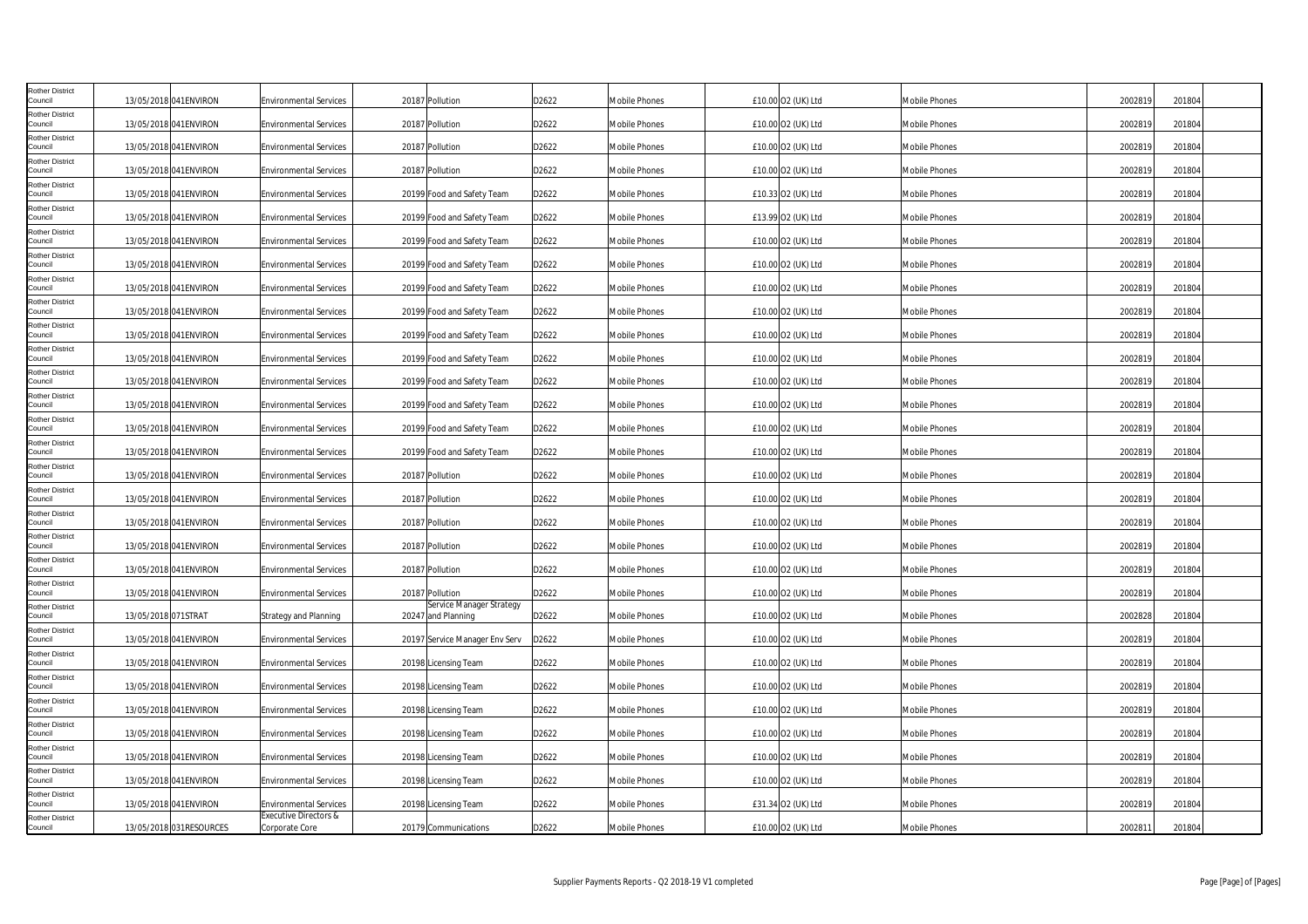| <b>Rother District</b><br>Council |                     | 13/05/2018 041ENVIRON   | <b>Environmental Services</b>                      | 20187 Pollution                                | D2622 | Mobile Phones        | £10.00 O2 (UK) Ltd | Mobile Phones        | 2002819 | 201804 |  |
|-----------------------------------|---------------------|-------------------------|----------------------------------------------------|------------------------------------------------|-------|----------------------|--------------------|----------------------|---------|--------|--|
| <b>Rother District</b><br>Council |                     | 13/05/2018 041ENVIRON   | <b>Environmental Services</b>                      | 20187 Pollution                                | D2622 | Mobile Phones        | £10.00 O2 (UK) Ltd | Mobile Phones        | 2002819 | 201804 |  |
| <b>Rother District</b><br>Council |                     | 13/05/2018 041ENVIRON   | <b>Environmental Services</b>                      | 20187 Pollution                                | D2622 | <b>Mobile Phones</b> | £10.00 O2 (UK) Ltd | Mobile Phones        | 2002819 | 201804 |  |
| <b>Rother District</b><br>Council |                     | 13/05/2018 041ENVIRON   | <b>Environmental Services</b>                      | 20187 Pollution                                | D2622 | Mobile Phones        | £10.00 O2 (UK) Ltd | Mobile Phones        | 2002819 | 201804 |  |
| <b>Rother District</b><br>Council |                     | 13/05/2018 041ENVIRON   | <b>Environmental Services</b>                      | 20199 Food and Safety Team                     | D2622 | Mobile Phones        | £10.33 O2 (UK) Ltd | Mobile Phones        | 2002819 | 201804 |  |
| <b>Rother District</b><br>Council |                     | 13/05/2018 041ENVIRON   | <b>Environmental Services</b>                      | 20199 Food and Safety Team                     | D2622 | <b>Mobile Phones</b> | £13.99 O2 (UK) Ltd | Mobile Phones        | 2002819 | 201804 |  |
| <b>Rother District</b><br>Council |                     | 13/05/2018 041 ENVIRON  | <b>Environmental Services</b>                      | 20199 Food and Safety Team                     | D2622 | <b>Mobile Phones</b> | £10.00 O2 (UK) Ltd | Mobile Phones        | 2002819 | 201804 |  |
| Rother District<br>Council        |                     | 13/05/2018 041ENVIRON   | <b>Environmental Services</b>                      | 20199 Food and Safety Team                     | D2622 | Mobile Phones        | £10.00 O2 (UK) Ltd | Mobile Phones        | 2002819 | 201804 |  |
| <b>Rother District</b><br>Council |                     | 13/05/2018 041ENVIRON   | <b>Environmental Services</b>                      | 20199 Food and Safety Team                     | D2622 | <b>Mobile Phones</b> | £10.00 O2 (UK) Ltd | Mobile Phones        | 2002819 | 201804 |  |
| <b>Rother District</b><br>Council |                     | 13/05/2018 041 ENVIRON  | <b>Environmental Services</b>                      | 20199 Food and Safety Team                     | D2622 | <b>Mobile Phones</b> | £10.00 O2 (UK) Ltd | Mobile Phones        | 2002819 | 201804 |  |
| <b>Rother District</b><br>Council |                     | 13/05/2018 041ENVIRON   | <b>Environmental Services</b>                      | 20199 Food and Safety Team                     | D2622 | <b>Mobile Phones</b> | £10.00 O2 (UK) Ltd | Mobile Phones        | 2002819 | 201804 |  |
| <b>Rother District</b><br>Council |                     | 13/05/2018 041ENVIRON   | <b>Environmental Services</b>                      | 20199 Food and Safety Team                     | D2622 | Mobile Phones        | £10.00 O2 (UK) Ltd | Mobile Phones        | 2002819 | 201804 |  |
| <b>Rother District</b><br>Council |                     | 13/05/2018 041ENVIRON   | <b>Environmental Services</b>                      | 20199 Food and Safety Team                     | D2622 | Mobile Phones        | £10.00 O2 (UK) Ltd | Mobile Phones        | 2002819 | 201804 |  |
| <b>Rother District</b><br>Council |                     | 13/05/2018 041ENVIRON   | <b>Environmental Services</b>                      | 20199 Food and Safety Team                     | D2622 | <b>Mobile Phones</b> | £10.00 O2 (UK) Ltd | Mobile Phones        | 2002819 | 201804 |  |
| <b>Rother District</b><br>Council |                     | 13/05/2018 041ENVIRON   | <b>Environmental Services</b>                      | 20199 Food and Safety Team                     | D2622 | Mobile Phones        | £10.00 O2 (UK) Ltd | Mobile Phones        | 2002819 | 201804 |  |
| <b>Rother District</b><br>Council |                     | 13/05/2018 041ENVIRON   | <b>Environmental Services</b>                      | 20199 Food and Safety Team                     | D2622 | Mobile Phones        | £10.00 O2 (UK) Ltd | Mobile Phones        | 2002819 | 201804 |  |
| <b>Rother District</b><br>Council |                     | 13/05/2018 041ENVIRON   | <b>Environmental Services</b>                      | 20187 Pollution                                | D2622 | Mobile Phones        | £10.00 O2 (UK) Ltd | Mobile Phones        | 2002819 | 201804 |  |
| <b>Rother District</b><br>Council |                     | 13/05/2018 041ENVIRON   | <b>Environmental Services</b>                      | 20187 Pollution                                | D2622 | <b>Mobile Phones</b> | £10.00 O2 (UK) Ltd | Mobile Phones        | 2002819 | 201804 |  |
| <b>Rother District</b><br>Council |                     | 13/05/2018 041ENVIRON   | <b>Environmental Services</b>                      | 20187 Pollution                                | D2622 | <b>Mobile Phones</b> | £10.00 O2 (UK) Ltd | Mobile Phones        | 2002819 | 201804 |  |
| <b>Rother District</b><br>Council |                     | 13/05/2018 041ENVIRON   | <b>Environmental Services</b>                      | 20187 Pollution                                | D2622 | <b>Mobile Phones</b> | £10.00 O2 (UK) Ltd | Mobile Phones        | 2002819 | 201804 |  |
| <b>Rother District</b><br>Council |                     | 13/05/2018 041ENVIRON   | <b>Environmental Services</b>                      | 20187 Pollution                                | D2622 | Mobile Phones        | £10.00 O2 (UK) Ltd | Mobile Phones        | 2002819 | 201804 |  |
| <b>Rother District</b><br>Council |                     | 13/05/2018 041ENVIRON   | <b>Environmental Services</b>                      | 20187 Pollution                                | D2622 | <b>Mobile Phones</b> | £10.00 O2 (UK) Ltd | Mobile Phones        | 2002819 | 201804 |  |
| <b>Rother District</b><br>Council | 13/05/2018 071STRAT |                         | Strategy and Planning                              | Service Manager Strategy<br>20247 and Planning | D2622 | Mobile Phones        | £10.00 O2 (UK) Ltd | Mobile Phones        | 2002828 | 201804 |  |
| <b>Rother District</b><br>Council |                     | 13/05/2018 041ENVIRON   | <b>Environmental Services</b>                      | 20197 Service Manager Env Serv                 | D2622 | Mobile Phones        | £10.00 O2 (UK) Ltd | Mobile Phones        | 2002819 | 201804 |  |
| Rother District<br>Council        |                     | 13/05/2018 041ENVIRON   | <b>Environmental Services</b>                      | 20198 Licensing Team                           | D2622 | <b>Mobile Phones</b> | £10.00 O2 (UK) Ltd | Mobile Phones        | 2002819 | 201804 |  |
| <b>Rother District</b><br>Council |                     | 13/05/2018 041 ENVIRON  | <b>Environmental Services</b>                      | 20198 Licensing Team                           | D2622 | <b>Mobile Phones</b> | £10.00 O2 (UK) Ltd | Mobile Phones        | 2002819 | 201804 |  |
| <b>Rother District</b><br>Council |                     | 13/05/2018 041ENVIRON   | <b>Environmental Services</b>                      | 20198 Licensing Team                           | D2622 | <b>Mobile Phones</b> | £10.00 O2 (UK) Ltd | Mobile Phones        | 2002819 | 201804 |  |
| <b>Rother District</b><br>Council |                     | 13/05/2018 041ENVIRON   | <b>Environmental Services</b>                      | 20198 Licensing Team                           | D2622 | <b>Mobile Phones</b> | £10.00 O2 (UK) Ltd | Mobile Phones        | 2002819 | 201804 |  |
| Rother District<br>Council        |                     | 13/05/2018 041ENVIRON   | <b>Environmental Services</b>                      | 20198 Licensing Team                           | D2622 | <b>Mobile Phones</b> | £10.00 O2 (UK) Ltd | <b>Mobile Phones</b> | 2002819 | 201804 |  |
| <b>Rother District</b><br>Council |                     | 13/05/2018 041ENVIRON   | <b>Environmental Services</b>                      | 20198 Licensing Team                           | D2622 | Mobile Phones        | £10.00 O2 (UK) Ltd | Mobile Phones        | 2002819 | 201804 |  |
| <b>Rother District</b><br>Council |                     | 13/05/2018 041ENVIRON   | <b>Environmental Services</b>                      | 20198 Licensing Team                           | D2622 | Mobile Phones        | £31.34 O2 (UK) Ltd | Mobile Phones        | 2002819 | 201804 |  |
| <b>Rother District</b><br>Council |                     | 13/05/2018 031RESOURCES | <b>Executive Directors &amp;</b><br>Corporate Core | 20179 Communications                           | D2622 | <b>Mobile Phones</b> | £10.00 O2 (UK) Ltd | <b>Mobile Phones</b> | 2002811 | 201804 |  |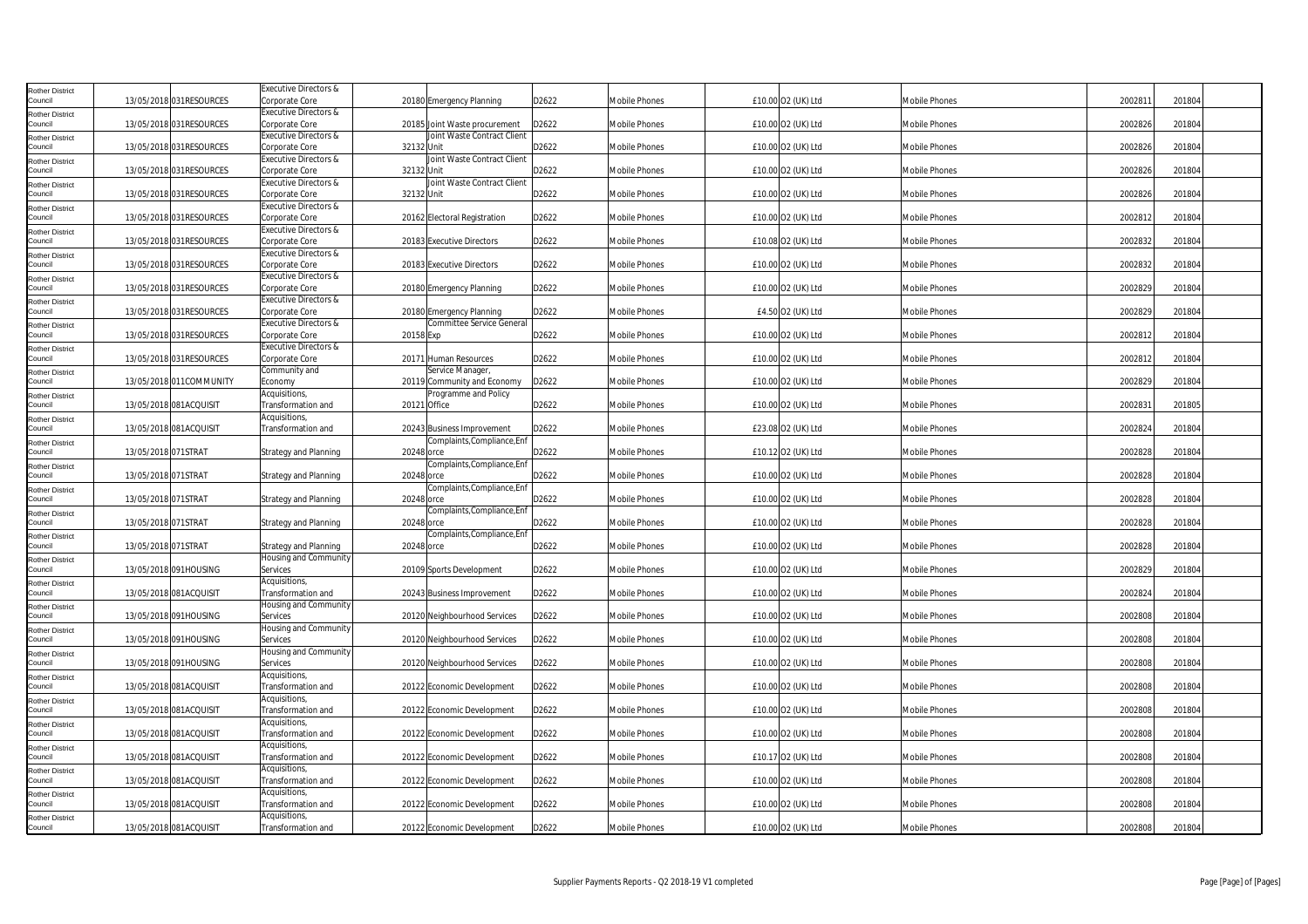| Rother District                   |                          | Executive Directors &            |                                  |       |                      |                    |                      |         |        |
|-----------------------------------|--------------------------|----------------------------------|----------------------------------|-------|----------------------|--------------------|----------------------|---------|--------|
| Council                           | 13/05/2018 031 RESOURCES | Corporate Core                   | 20180 Emergency Planning         | D2622 | Mobile Phones        | £10.00 O2 (UK) Ltd | Mobile Phones        | 2002811 | 201804 |
|                                   |                          | Executive Directors &            |                                  |       |                      |                    |                      |         |        |
| Rother District<br>Council        | 13/05/2018 031 RESOURCES | Corporate Core                   | 20185 Joint Waste procurement    | D2622 | Mobile Phones        | £10.00 O2 (UK) Ltd | <b>Mobile Phones</b> | 2002826 | 201804 |
|                                   |                          |                                  | Joint Waste Contract Client      |       |                      |                    |                      |         |        |
| Rother District<br>Council        |                          | Executive Directors &            |                                  |       |                      |                    |                      |         |        |
|                                   | 13/05/2018 031RESOURCES  | Corporate Core                   | 32132 Unit                       | D2622 | Mobile Phones        | £10.00 O2 (UK) Ltd | <b>Mobile Phones</b> | 2002826 | 201804 |
| <b>Rother District</b>            |                          | <b>Executive Directors &amp;</b> | Joint Waste Contract Client      |       |                      |                    |                      |         |        |
| Council                           | 13/05/2018 031RESOURCES  | Corporate Core                   | 32132 Unit                       | D2622 | <b>Mobile Phones</b> | £10.00 O2 (UK) Ltd | <b>Mobile Phones</b> | 2002826 | 201804 |
| Rother District                   |                          | Executive Directors &            | Joint Waste Contract Client      |       |                      |                    |                      |         |        |
| Council                           | 13/05/2018 031 RESOURCES | Corporate Core                   | 32132 Unit                       | D2622 | Mobile Phones        | £10.00 O2 (UK) Ltd | Mobile Phones        | 2002826 | 201804 |
| Rother District                   |                          | Executive Directors &            |                                  |       |                      |                    |                      |         |        |
| Council                           | 13/05/2018 031 RESOURCES | Corporate Core                   | 20162 Electoral Registration     | D2622 | <b>Mobile Phones</b> | £10.00 O2 (UK) Ltd | <b>Mobile Phones</b> | 2002812 | 201804 |
| Rother District                   |                          | Executive Directors &            |                                  |       |                      |                    |                      |         |        |
| Council                           | 13/05/2018 031RESOURCES  | Corporate Core                   | 20183 Executive Directors        | D2622 | <b>Mobile Phones</b> | £10.08 O2 (UK) Ltd | <b>Mobile Phones</b> | 2002832 | 201804 |
| <b>Rother District</b>            |                          | Executive Directors &            |                                  |       |                      |                    |                      |         |        |
| Council                           | 13/05/2018 031 RESOURCES | Corporate Core                   | 20183 Executive Directors        | D2622 | Mobile Phones        | £10.00 O2 (UK) Ltd | <b>Mobile Phones</b> | 2002832 | 201804 |
| <b>Rother District</b>            |                          | Executive Directors &            |                                  |       |                      |                    |                      |         |        |
| Council                           | 13/05/2018 031 RESOURCES | Corporate Core                   | 20180 Emergency Planning         | D2622 | Mobile Phones        | £10.00 O2 (UK) Ltd | Mobile Phones        | 2002829 | 201804 |
|                                   |                          | <b>Executive Directors &amp;</b> |                                  |       |                      |                    |                      |         |        |
| Rother District<br>Council        | 13/05/2018 031RESOURCES  | Corporate Core                   | 20180 Emergency Planning         | D2622 | <b>Mobile Phones</b> | £4.50 O2 (UK) Ltd  | <b>Mobile Phones</b> | 2002829 | 201804 |
|                                   |                          | Executive Directors &            | <b>Committee Service General</b> |       |                      |                    |                      |         |        |
| <b>Rother District</b>            |                          |                                  |                                  |       |                      |                    |                      |         |        |
| Council                           | 13/05/2018 031RESOURCES  | Corporate Core                   | 20158 Exp                        | D2622 | Mobile Phones        | £10.00 O2 (UK) Ltd | <b>Mobile Phones</b> | 2002812 | 201804 |
| Rother District                   |                          | Executive Directors &            |                                  |       |                      |                    |                      |         |        |
| Council                           | 13/05/2018 031RESOURCES  | Corporate Core                   | 20171 Human Resources            | D2622 | Mobile Phones        | £10.00 O2 (UK) Ltd | <b>Mobile Phones</b> | 2002812 | 201804 |
| Rother District                   |                          | Community and                    | Service Manager                  |       |                      |                    |                      |         |        |
| Council                           | 13/05/2018 011 COMMUNITY | Economy                          | 20119 Community and Economy      | D2622 | <b>Mobile Phones</b> | £10.00 O2 (UK) Ltd | <b>Mobile Phones</b> | 2002829 | 201804 |
| <b>Rother District</b>            |                          | Acquisitions,                    | Programme and Policy             |       |                      |                    |                      |         |        |
| Council                           | 13/05/2018 081ACQUISIT   | Transformation and               | 20121 Office                     | D2622 | <b>Mobile Phones</b> | £10.00 O2 (UK) Ltd | <b>Mobile Phones</b> | 2002831 | 201805 |
| Rother District                   |                          | Acquisitions,                    |                                  |       |                      |                    |                      |         |        |
| Council                           | 13/05/2018 081ACQUISIT   | Transformation and               | 20243 Business Improvement       | D2622 | <b>Mobile Phones</b> | £23.08 O2 (UK) Ltd | <b>Mobile Phones</b> | 2002824 | 201804 |
|                                   |                          |                                  | Complaints, Compliance, Enf      |       |                      |                    |                      |         |        |
| Rother District<br>Council        | 13/05/2018 071STRAT      | <b>Strategy and Planning</b>     | 20248 orce                       | D2622 | <b>Mobile Phones</b> | £10.12 O2 (UK) Ltd | Mobile Phones        | 2002828 | 201804 |
|                                   |                          |                                  | Complaints, Compliance, Enf      |       |                      |                    |                      |         |        |
| <b>Rother District</b>            |                          |                                  |                                  |       |                      |                    |                      |         |        |
| Council                           | 13/05/2018 071STRAT      | Strategy and Planning            | 20248 orce                       | D2622 | <b>Mobile Phones</b> | £10.00 O2 (UK) Ltd | <b>Mobile Phones</b> | 2002828 | 201804 |
| Rother District                   |                          |                                  | Complaints, Compliance, Enf      |       |                      |                    |                      |         |        |
| Council                           | 13/05/2018 071STRAT      | <b>Strategy and Planning</b>     | 20248 orce                       | D2622 | Mobile Phones        | £10.00 O2 (UK) Ltd | <b>Mobile Phones</b> | 2002828 | 201804 |
| Rother District                   |                          |                                  | Complaints,Compliance,Enf        |       |                      |                    |                      |         |        |
| Council                           | 13/05/2018 071STRAT      | <b>Strategy and Planning</b>     | 20248 orce                       | D2622 | Mobile Phones        | £10.00 O2 (UK) Ltd | <b>Mobile Phones</b> | 2002828 | 201804 |
| Rother District                   |                          |                                  | Complaints,Compliance,Enf        |       |                      |                    |                      |         |        |
| Council                           | 13/05/2018 071STRAT      | Strategy and Planning            | 20248 orce                       | D2622 | Mobile Phones        | £10.00 O2 (UK) Ltd | Mobile Phones        | 2002828 | 201804 |
| <b>Rother District</b>            |                          | Housing and Community            |                                  |       |                      |                    |                      |         |        |
| Council                           | 13/05/2018 091HOUSING    | Services                         | 20109 Sports Development         | D2622 | <b>Mobile Phones</b> | £10.00 O2 (UK) Ltd | Mobile Phones        | 2002829 | 201804 |
| Rother District                   |                          | Acquisitions,                    |                                  |       |                      |                    |                      |         |        |
| Council                           | 13/05/2018 081ACQUISIT   | Transformation and               | 20243 Business Improvement       | D2622 | Mobile Phones        | £10.00 O2 (UK) Ltd | <b>Mobile Phones</b> | 2002824 | 201804 |
|                                   |                          | Housing and Community            |                                  |       |                      |                    |                      |         |        |
| Rother District<br>Council        | 13/05/2018 091HOUSING    | Services                         | 20120 Neighbourhood Services     | D2622 | <b>Mobile Phones</b> | £10.00 O2 (UK) Ltd | Mobile Phones        | 2002808 | 201804 |
|                                   |                          |                                  |                                  |       |                      |                    |                      |         |        |
| <b>Rother District</b>            |                          | Housing and Community            |                                  |       |                      |                    |                      |         |        |
| Council                           | 13/05/2018 091HOUSING    | Services                         | 20120 Neighbourhood Services     | D2622 | <b>Mobile Phones</b> | £10.00 O2 (UK) Ltd | <b>Mobile Phones</b> | 2002808 | 201804 |
| Rother District                   |                          | Housing and Community            |                                  |       |                      |                    |                      |         |        |
| Council                           | 13/05/2018 091HOUSING    | Services                         | 20120 Neighbourhood Services     | D2622 | Mobile Phones        | £10.00 O2 (UK) Ltd | <b>Mobile Phones</b> | 2002808 | 201804 |
| Rother District                   |                          | Acquisitions,                    |                                  |       |                      |                    |                      |         |        |
| Council                           | 13/05/2018 081ACQUISIT   | Transformation and               | 20122 Economic Development       | D2622 | <b>Mobile Phones</b> | £10.00 O2 (UK) Ltd | <b>Mobile Phones</b> | 2002808 | 201804 |
| Rother District                   |                          | Acquisitions,                    |                                  |       |                      |                    |                      |         |        |
| Council                           | 13/05/2018 081ACQUISIT   | Transformation and               | 20122 Economic Development       | D2622 | <b>Mobile Phones</b> | £10.00 O2 (UK) Ltd | <b>Mobile Phones</b> | 2002808 | 201804 |
| Rother District                   |                          | Acquisitions,                    |                                  |       |                      |                    |                      |         |        |
| Council                           | 13/05/2018 081ACQUISIT   | Transformation and               | 20122 Economic Development       | D2622 | Mobile Phones        | £10.00 O2 (UK) Ltd | <b>Mobile Phones</b> | 2002808 | 201804 |
|                                   |                          | Acquisitions,                    |                                  |       |                      |                    |                      |         |        |
| <b>Rother District</b><br>Council | 13/05/2018 081ACQUISIT   | Transformation and               | 20122 Economic Development       | D2622 | Mobile Phones        | £10.17 O2 (UK) Ltd | <b>Mobile Phones</b> | 2002808 | 201804 |
|                                   |                          |                                  |                                  |       |                      |                    |                      |         |        |
| Rother District                   |                          | Acquisitions,                    |                                  |       |                      |                    |                      |         |        |
| Council                           | 13/05/2018 081ACQUISIT   | Transformation and               | 20122 Economic Development       | D2622 | Mobile Phones        | £10.00 O2 (UK) Ltd | Mobile Phones        | 2002808 | 201804 |
| Rother District                   |                          | Acquisitions,                    |                                  |       |                      |                    |                      |         |        |
| Council                           | 13/05/2018 081ACQUISIT   | Transformation and               | 20122 Economic Development       | D2622 | <b>Mobile Phones</b> | £10.00 O2 (UK) Ltd | <b>Mobile Phones</b> | 2002808 | 201804 |
| Rother District                   |                          | Acquisitions,                    |                                  |       |                      |                    |                      |         |        |
| Council                           | 13/05/2018 081ACQUISIT   | Transformation and               | 20122 Economic Development       | D2622 | <b>Mobile Phones</b> | £10.00 O2 (UK) Ltd | <b>Mobile Phones</b> | 2002808 | 201804 |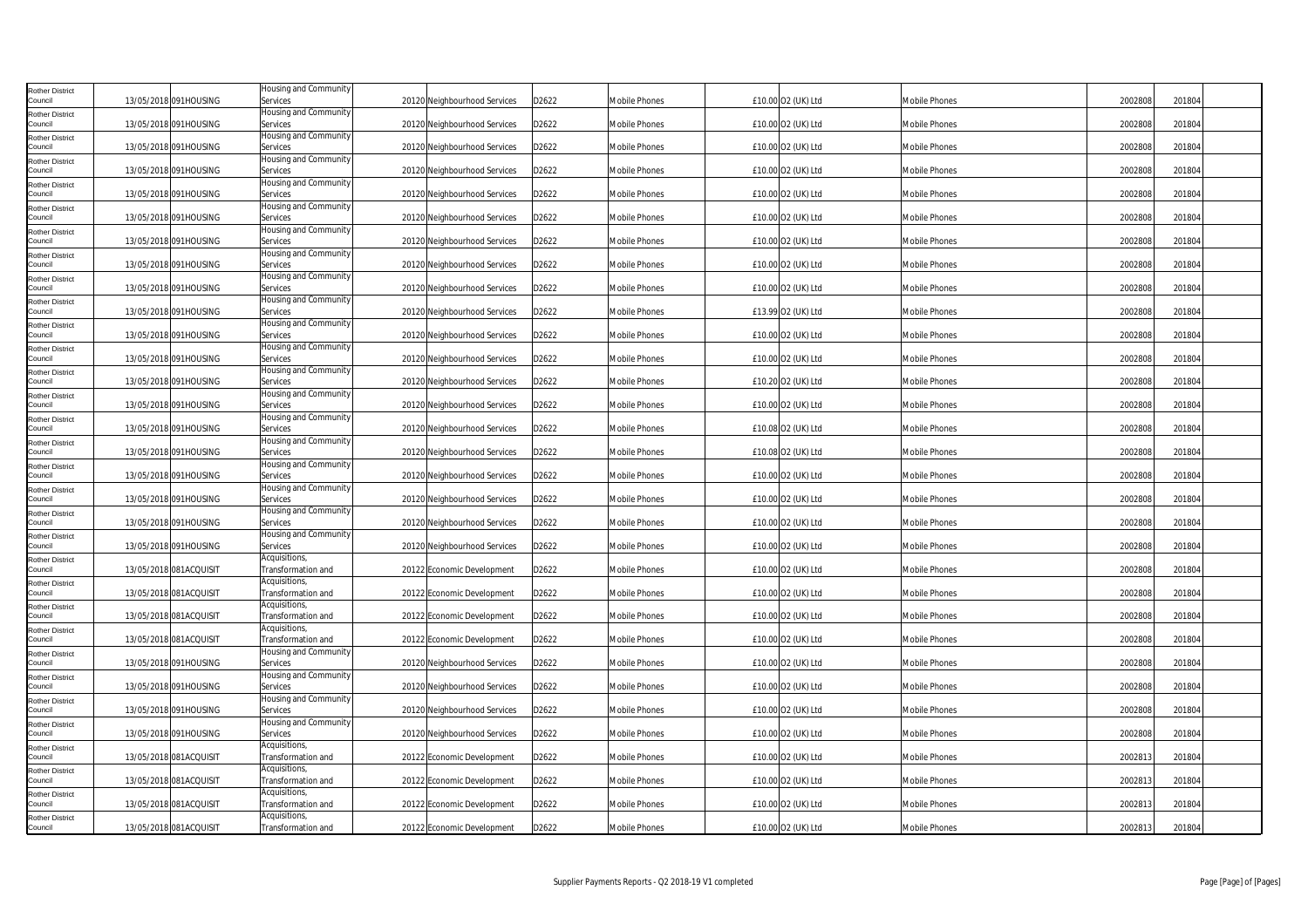| <b>Rother District</b><br>Council |                        | 13/05/2018 091HOUSING  | Housing and Community<br>Services   | 20120 Neighbourhood Services | D2622 | <b>Mobile Phones</b> | £10.00 O2 (UK) Ltd | <b>Mobile Phones</b> | 2002808 | 201804 |
|-----------------------------------|------------------------|------------------------|-------------------------------------|------------------------------|-------|----------------------|--------------------|----------------------|---------|--------|
| <b>Rother District</b>            |                        |                        | Housing and Community               |                              |       |                      |                    |                      |         |        |
| Council                           |                        | 13/05/2018 091HOUSING  | Services                            | 20120 Neighbourhood Services | D2622 | <b>Mobile Phones</b> | £10.00 O2 (UK) Ltd | Mobile Phones        | 2002808 | 201804 |
| <b>Rother District</b><br>Council |                        | 13/05/2018 091HOUSING  | Housing and Community<br>Services   | 20120 Neighbourhood Services | D2622 | <b>Mobile Phones</b> | £10.00 O2 (UK) Ltd | <b>Mobile Phones</b> | 2002808 | 201804 |
| <b>Rother District</b>            |                        |                        | Housing and Community               |                              |       |                      |                    |                      |         |        |
| Council                           |                        | 13/05/2018 091HOUSING  | Services                            | 20120 Neighbourhood Services | D2622 | <b>Mobile Phones</b> | £10.00 O2 (UK) Ltd | <b>Mobile Phones</b> | 2002808 | 201804 |
| <b>Rother District</b><br>Council |                        |                        | Housing and Community               |                              |       |                      |                    |                      | 2002808 |        |
| <b>Rother District</b>            |                        | 13/05/2018 091HOUSING  | Services<br>Housing and Community   | 20120 Neighbourhood Services | D2622 | Mobile Phones        | £10.00 O2 (UK) Ltd | Mobile Phones        |         | 201804 |
| Council                           |                        | 13/05/2018 091HOUSING  | Services                            | 20120 Neighbourhood Services | D2622 | <b>Mobile Phones</b> | £10.00 O2 (UK) Ltd | Mobile Phones        | 2002808 | 201804 |
| <b>Rother District</b>            |                        |                        | Housing and Community               |                              |       |                      |                    |                      |         |        |
| Council<br><b>Rother District</b> |                        | 13/05/2018 091HOUSING  | Services<br>Housing and Community   | 20120 Neighbourhood Services | D2622 | <b>Mobile Phones</b> | £10.00 O2 (UK) Ltd | <b>Mobile Phones</b> | 2002808 | 201804 |
| Council                           |                        | 13/05/2018 091HOUSING  | Services                            | 20120 Neighbourhood Services | D2622 | <b>Mobile Phones</b> | £10.00 O2 (UK) Ltd | <b>Mobile Phones</b> | 2002808 | 201804 |
| <b>Rother District</b><br>Council |                        |                        | Housing and Community               |                              |       |                      |                    |                      |         |        |
| <b>Rother District</b>            |                        | 13/05/2018 091HOUSING  | Services<br>Housing and Community   | 20120 Neighbourhood Services | D2622 | <b>Mobile Phones</b> | £10.00 O2 (UK) Ltd | Mobile Phones        | 2002808 | 201804 |
| Council                           | 13/05/2018 091HOUSING  |                        | Services                            | 20120 Neighbourhood Services | D2622 | <b>Mobile Phones</b> | £13.99 O2 (UK) Ltd | <b>Mobile Phones</b> | 2002808 | 201804 |
| <b>Rother District</b>            |                        |                        | Housing and Community               |                              |       |                      |                    |                      |         |        |
| Council<br><b>Rother District</b> |                        | 13/05/2018 091HOUSING  | Services<br>Housing and Community   | 20120 Neighbourhood Services | D2622 | Mobile Phones        | £10.00 O2 (UK) Ltd | <b>Mobile Phones</b> | 2002808 | 201804 |
| Council                           |                        | 13/05/2018 091HOUSING  | Services                            | 20120 Neighbourhood Services | D2622 | <b>Mobile Phones</b> | £10.00 O2 (UK) Ltd | Mobile Phones        | 2002808 | 201804 |
| <b>Rother District</b>            |                        |                        | Housing and Community               |                              |       |                      |                    |                      |         |        |
| Council<br><b>Rother District</b> |                        | 13/05/2018 091HOUSING  | Services<br>Housing and Community   | 20120 Neighbourhood Services | D2622 | <b>Mobile Phones</b> | £10.20 O2 (UK) Ltd | <b>Mobile Phones</b> | 2002808 | 201804 |
| Council                           |                        | 13/05/2018 091HOUSING  | Services                            | 20120 Neighbourhood Services | D2622 | <b>Mobile Phones</b> | £10.00 O2 (UK) Ltd | <b>Mobile Phones</b> | 2002808 | 201804 |
| <b>Rother District</b>            |                        |                        | Housing and Community               |                              |       |                      |                    |                      |         |        |
| Council                           |                        | 13/05/2018 091HOUSING  | Services<br>Housing and Community   | 20120 Neighbourhood Services | D2622 | <b>Mobile Phones</b> | £10.08 O2 (UK) Ltd | <b>Mobile Phones</b> | 2002808 | 201804 |
| <b>Rother District</b><br>Council |                        | 13/05/2018 091HOUSING  | Services                            | 20120 Neighbourhood Services | D2622 | <b>Mobile Phones</b> | £10.08 O2 (UK) Ltd | Mobile Phones        | 2002808 | 201804 |
| <b>Rother District</b>            |                        |                        | Housing and Community               |                              |       |                      |                    |                      |         |        |
| Council<br><b>Rother District</b> |                        | 13/05/2018 091HOUSING  | Services<br>Housing and Community   | 20120 Neighbourhood Services | D2622 | <b>Mobile Phones</b> | £10.00 O2 (UK) Ltd | <b>Mobile Phones</b> | 2002808 | 201804 |
| Council                           |                        | 13/05/2018 091HOUSING  | Services                            | 20120 Neighbourhood Services | D2622 | <b>Mobile Phones</b> | £10.00 O2 (UK) Ltd | Mobile Phones        | 2002808 | 201804 |
| <b>Rother District</b>            |                        |                        | Housing and Community               |                              |       |                      |                    |                      |         |        |
| Council                           |                        | 13/05/2018 091HOUSING  | Services<br>Housing and Community   | 20120 Neighbourhood Services | D2622 | <b>Mobile Phones</b> | £10.00 O2 (UK) Ltd | <b>Mobile Phones</b> | 2002808 | 201804 |
| <b>Rother District</b><br>Council |                        | 13/05/2018 091HOUSING  | Services                            | 20120 Neighbourhood Services | D2622 | <b>Mobile Phones</b> | £10.00 O2 (UK) Ltd | Mobile Phones        | 2002808 | 201804 |
| <b>Rother District</b>            |                        |                        | Acquisitions,                       |                              |       |                      |                    |                      |         |        |
| Council                           | 13/05/2018 081ACQUISIT |                        | Fransformation and<br>Acquisitions, | 20122 Economic Development   | D2622 | <b>Mobile Phones</b> | £10.00 O2 (UK) Ltd | <b>Mobile Phones</b> | 2002808 | 201804 |
| <b>Rother District</b><br>Council | 13/05/2018 081ACQUISIT |                        | Fransformation and                  | 20122 Economic Development   | D2622 | <b>Mobile Phones</b> | £10.00 O2 (UK) Ltd | <b>Mobile Phones</b> | 2002808 | 201804 |
| <b>Rother District</b>            |                        |                        | Acquisitions,                       |                              |       |                      |                    |                      |         |        |
| Council                           | 13/05/2018 081ACQUISIT |                        | Fransformation and<br>Acquisitions, | 20122 Economic Development   | D2622 | <b>Mobile Phones</b> | £10.00 O2 (UK) Ltd | Mobile Phones        | 2002808 | 201804 |
| <b>Rother District</b><br>Council |                        | 13/05/2018 081ACQUISIT | Fransformation and                  | 20122 Economic Development   | D2622 | <b>Mobile Phones</b> | £10.00 O2 (UK) Ltd | <b>Mobile Phones</b> | 2002808 | 201804 |
| <b>Rother District</b>            |                        |                        | Housing and Community               |                              |       |                      |                    |                      |         |        |
| Council                           |                        | 13/05/2018 091HOUSING  | Services<br>Housing and Community   | 20120 Neighbourhood Services | D2622 | <b>Mobile Phones</b> | £10.00 O2 (UK) Ltd | <b>Mobile Phones</b> | 2002808 | 201804 |
| <b>Rother District</b><br>Council |                        | 13/05/2018 091HOUSING  | Services                            | 20120 Neighbourhood Services | D2622 | <b>Mobile Phones</b> | £10.00 O2 (UK) Ltd | Mobile Phones        | 2002808 | 201804 |
| <b>Rother District</b>            |                        |                        | Housing and Community               |                              |       |                      |                    |                      |         |        |
| Council                           |                        | 13/05/2018 091HOUSING  | Services<br>Housing and Community   | 20120 Neighbourhood Services | D2622 | <b>Mobile Phones</b> | £10.00 O2 (UK) Ltd | <b>Mobile Phones</b> | 2002808 | 201804 |
| <b>Rother District</b><br>Council |                        | 13/05/2018 091HOUSING  | Services                            | 20120 Neighbourhood Services | D2622 | <b>Mobile Phones</b> | £10.00 O2 (UK) Ltd | Mobile Phones        | 2002808 | 201804 |
| <b>Rother District</b>            |                        |                        | Acquisitions,                       |                              |       |                      |                    |                      |         |        |
| Council                           | 13/05/2018 081ACQUISIT |                        | Fransformation and<br>Acquisitions, | 20122 Economic Development   | D2622 | <b>Mobile Phones</b> | £10.00 O2 (UK) Ltd | <b>Mobile Phones</b> | 2002813 | 201804 |
| <b>Rother District</b><br>Council | 13/05/2018 081ACQUISIT |                        | Fransformation and                  | 20122 Economic Development   | D2622 | <b>Mobile Phones</b> | £10.00 O2 (UK) Ltd | Mobile Phones        | 2002813 | 201804 |
| <b>Rother District</b>            |                        |                        | Acquisitions,                       |                              |       |                      |                    |                      |         |        |
| Council                           |                        | 13/05/2018 081ACQUISIT | Fransformation and                  | 20122 Economic Development   | D2622 | <b>Mobile Phones</b> | £10.00 O2 (UK) Ltd | <b>Mobile Phones</b> | 2002813 | 201804 |
| <b>Rother District</b><br>Council | 13/05/2018 081ACQUISIT |                        | Acquisitions,<br>Transformation and | 20122 Economic Development   | D2622 | <b>Mobile Phones</b> | £10.00 O2 (UK) Ltd | Mobile Phones        | 2002813 | 201804 |
|                                   |                        |                        |                                     |                              |       |                      |                    |                      |         |        |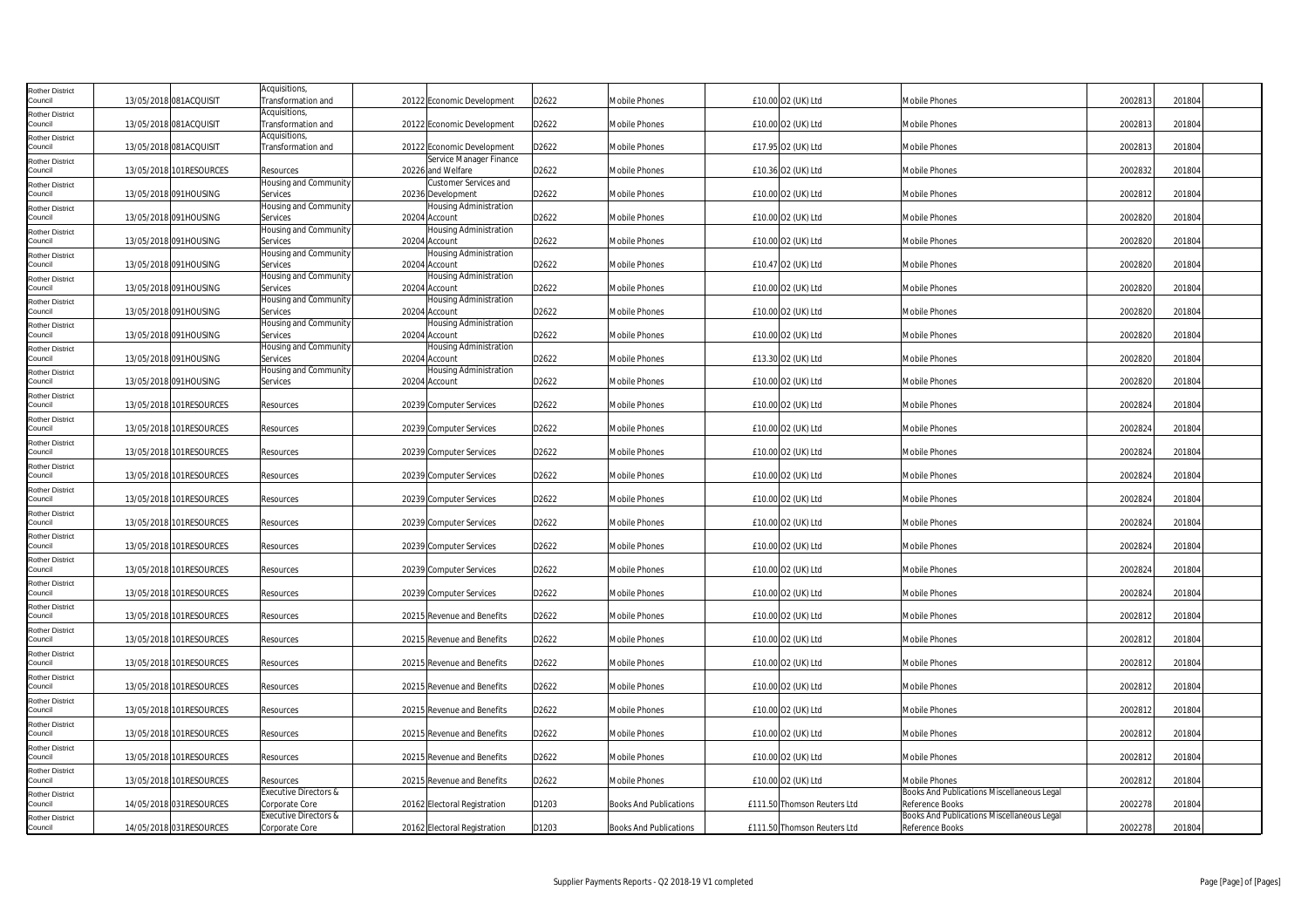| <b>Rother District</b>            |                         | Acquisitions,                                      |                                                |       |                               |                             |                                                               |         |        |
|-----------------------------------|-------------------------|----------------------------------------------------|------------------------------------------------|-------|-------------------------------|-----------------------------|---------------------------------------------------------------|---------|--------|
| Council                           | 13/05/2018 081ACQUISIT  | Transformation and                                 | 20122 Economic Development                     | D2622 | Mobile Phones                 | £10.00 O2 (UK) Ltd          | <b>Mobile Phones</b>                                          | 2002813 | 201804 |
| <b>Rother District</b><br>Council | 13/05/2018 081ACQUISIT  | Acquisitions,<br>Transformation and                | 20122 Economic Development                     | D2622 | Mobile Phones                 | £10.00 O2 (UK) Ltd          | Mobile Phones                                                 | 2002813 | 201804 |
| <b>Rother District</b><br>Council | 13/05/2018 081ACQUISIT  | Acquisitions,<br>Transformation and                | 20122 Economic Development                     | D2622 | Mobile Phones                 | £17.95 O2 (UK) Ltd          | <b>Mobile Phones</b>                                          | 2002813 | 201804 |
| <b>Rother District</b><br>Council | 13/05/2018 101RESOURCES | Resources                                          | Service Manager Finance<br>20226 and Welfare   | D2622 | Mobile Phones                 | £10.36 O2 (UK) Ltd          | <b>Mobile Phones</b>                                          | 2002832 | 201804 |
| <b>Rother District</b><br>Council | 13/05/2018 091HOUSING   | Housing and Community<br>Services                  | Customer Services and<br>20236 Development     | D2622 | <b>Mobile Phones</b>          | £10.00 O2 (UK) Ltd          | Mobile Phones                                                 | 2002812 | 201804 |
| <b>Rother District</b><br>Council | 13/05/2018 091HOUSING   | Housing and Community<br>Services                  | Housing Administration<br>20204 Account        | D2622 | Mobile Phones                 | £10.00 O2 (UK) Ltd          | Mobile Phones                                                 | 2002820 | 201804 |
| <b>Rother District</b><br>Council | 13/05/2018 091HOUSING   | Housing and Community<br>Services                  | Housing Administration<br>20204 Account        | D2622 | Mobile Phones                 | £10.00 O2 (UK) Ltd          | <b>Mobile Phones</b>                                          | 2002820 | 201804 |
| Rother District<br>Council        | 13/05/2018 091HOUSING   | Housing and Community<br>Services                  | <b>Housing Administration</b><br>20204 Account | D2622 | Mobile Phones                 | £10.47 O2 (UK) Ltd          | <b>Mobile Phones</b>                                          | 2002820 | 201804 |
| <b>Rother District</b><br>Council | 13/05/2018 091HOUSING   | Housing and Community<br>Services                  | <b>Housing Administration</b><br>20204 Account | D2622 | Mobile Phones                 | £10.00 O2 (UK) Ltd          | Mobile Phones                                                 | 2002820 | 201804 |
| <b>Rother District</b><br>Council | 13/05/2018 091HOUSING   | Housing and Community<br>Services                  | Housing Administration<br>20204 Account        | D2622 | Mobile Phones                 | £10.00 O2 (UK) Ltd          | <b>Mobile Phones</b>                                          | 2002820 | 201804 |
| <b>Rother District</b><br>Council | 13/05/2018 091HOUSING   | Housing and Community<br>Services                  | <b>Housing Administration</b><br>20204 Account | D2622 | <b>Mobile Phones</b>          | £10.00 O2 (UK) Ltd          | <b>Mobile Phones</b>                                          | 2002820 | 201804 |
| <b>Rother District</b><br>Council | 13/05/2018 091HOUSING   | Housing and Community<br>Services                  | <b>Housing Administration</b><br>20204 Account | D2622 | Mobile Phones                 | £13.30 O2 (UK) Ltd          | Mobile Phones                                                 | 2002820 | 201804 |
| <b>Rother District</b><br>Council | 13/05/2018 091HOUSING   | Housing and Community<br>Services                  | Housing Administration<br>20204 Account        | D2622 | Mobile Phones                 | £10.00 O2 (UK) Ltd          | <b>Mobile Phones</b>                                          | 2002820 | 201804 |
| <b>Rother District</b><br>Council | 13/05/2018 101RESOURCES | Resources                                          | 20239 Computer Services                        | D2622 | Mobile Phones                 | £10.00 O2 (UK) Ltd          | <b>Mobile Phones</b>                                          | 2002824 | 201804 |
| Rother District<br>Council        | 13/05/2018 101RESOURCES | Resources                                          | 20239 Computer Services                        | D2622 | Mobile Phones                 | £10.00 O2 (UK) Ltd          | <b>Mobile Phones</b>                                          | 2002824 | 201804 |
| <b>Rother District</b><br>Council | 13/05/2018 101RESOURCES | Resources                                          | 20239 Computer Services                        | D2622 | Mobile Phones                 | £10.00 O2 (UK) Ltd          | Mobile Phones                                                 | 2002824 | 201804 |
| <b>Rother District</b><br>Council | 13/05/2018 101RESOURCES | Resources                                          | 20239 Computer Services                        | D2622 | Mobile Phones                 | £10.00 O2 (UK) Ltd          | <b>Mobile Phones</b>                                          | 2002824 | 201804 |
| <b>Rother District</b><br>Council | 13/05/2018 101RESOURCES | Resources                                          | 20239 Computer Services                        | D2622 | Mobile Phones                 | £10.00 O2 (UK) Ltd          | Mobile Phones                                                 | 2002824 | 201804 |
| <b>Rother District</b><br>Council | 13/05/2018 101RESOURCES | Resources                                          | 20239 Computer Services                        | D2622 | Mobile Phones                 | £10.00 O2 (UK) Ltd          | <b>Mobile Phones</b>                                          | 2002824 | 201804 |
| <b>Rother District</b><br>Council | 13/05/2018 101RESOURCES | Resources                                          | 20239 Computer Services                        | D2622 | Mobile Phones                 | £10.00 O2 (UK) Ltd          | Mobile Phones                                                 | 2002824 | 201804 |
| <b>Rother District</b><br>Council | 13/05/2018 101RESOURCES | Resources                                          | 20239 Computer Services                        | D2622 | Mobile Phones                 | £10.00 O2 (UK) Ltd          | <b>Mobile Phones</b>                                          | 2002824 | 201804 |
| <b>Rother District</b><br>Council | 13/05/2018 101RESOURCES | Resources                                          | 20239 Computer Services                        | D2622 | Mobile Phones                 | £10.00 O2 (UK) Ltd          | <b>Mobile Phones</b>                                          | 2002824 | 201804 |
| <b>Rother District</b><br>Council | 13/05/2018 101RESOURCES | Resources                                          | 20215 Revenue and Benefits                     | D2622 | Mobile Phones                 | £10.00 O2 (UK) Ltd          | Mobile Phones                                                 | 2002812 | 201804 |
| <b>Rother District</b><br>Council | 13/05/2018 101RESOURCES | Resources                                          | 20215 Revenue and Benefits                     | D2622 | Mobile Phones                 | £10.00 O2 (UK) Ltd          | <b>Mobile Phones</b>                                          | 2002812 | 201804 |
| <b>Rother District</b><br>Council | 13/05/2018 101RESOURCES | Resources                                          | 20215 Revenue and Benefits                     | D2622 | Mobile Phones                 | £10.00 O2 (UK) Ltd          | <b>Mobile Phones</b>                                          | 2002812 | 201804 |
| <b>Rother District</b><br>Council | 13/05/2018 101RESOURCES | Resources                                          | 20215 Revenue and Benefits                     | D2622 | Mobile Phones                 | £10.00 O2 (UK) Ltd          | Mobile Phones                                                 | 2002812 | 201804 |
| <b>Rother District</b><br>Council | 13/05/2018 101RESOURCES | Resources                                          | 20215 Revenue and Benefits                     | D2622 | Mobile Phones                 | £10.00 O2 (UK) Ltd          | <b>Mobile Phones</b>                                          | 2002812 | 201804 |
| <b>Rother District</b><br>Council | 13/05/2018 101RESOURCES | Resources                                          | 20215 Revenue and Benefits                     | D2622 | Mobile Phones                 | £10.00 O2 (UK) Ltd          | <b>Mobile Phones</b>                                          | 2002812 | 201804 |
| <b>Rother District</b><br>Council | 13/05/2018 101RESOURCES | <b>Resources</b>                                   | 20215 Revenue and Benefits                     | D2622 | Mobile Phones                 | £10.00 O2 (UK) Ltd          | <b>Mobile Phones</b>                                          | 2002812 | 201804 |
| <b>Rother District</b><br>Council | 13/05/2018 101RESOURCES | Resources                                          | 20215 Revenue and Benefits                     | D2622 | Mobile Phones                 | £10.00 O2 (UK) Ltd          | Mobile Phones                                                 | 2002812 | 201804 |
| <b>Rother District</b><br>Council | 14/05/2018 031RESOURCES | Executive Directors &<br>Corporate Core            | 20162 Electoral Registration                   | D1203 | <b>Books And Publications</b> | £111.50 Thomson Reuters Ltd | Books And Publications Miscellaneous Legal<br>Reference Books | 2002278 | 201804 |
| <b>Rother District</b><br>Council | 14/05/2018 031RESOURCES | <b>Executive Directors &amp;</b><br>Corporate Core | 20162 Electoral Registration                   | D1203 | <b>Books And Publications</b> | £111.50 Thomson Reuters Ltd | Books And Publications Miscellaneous Legal<br>Reference Books | 2002278 | 201804 |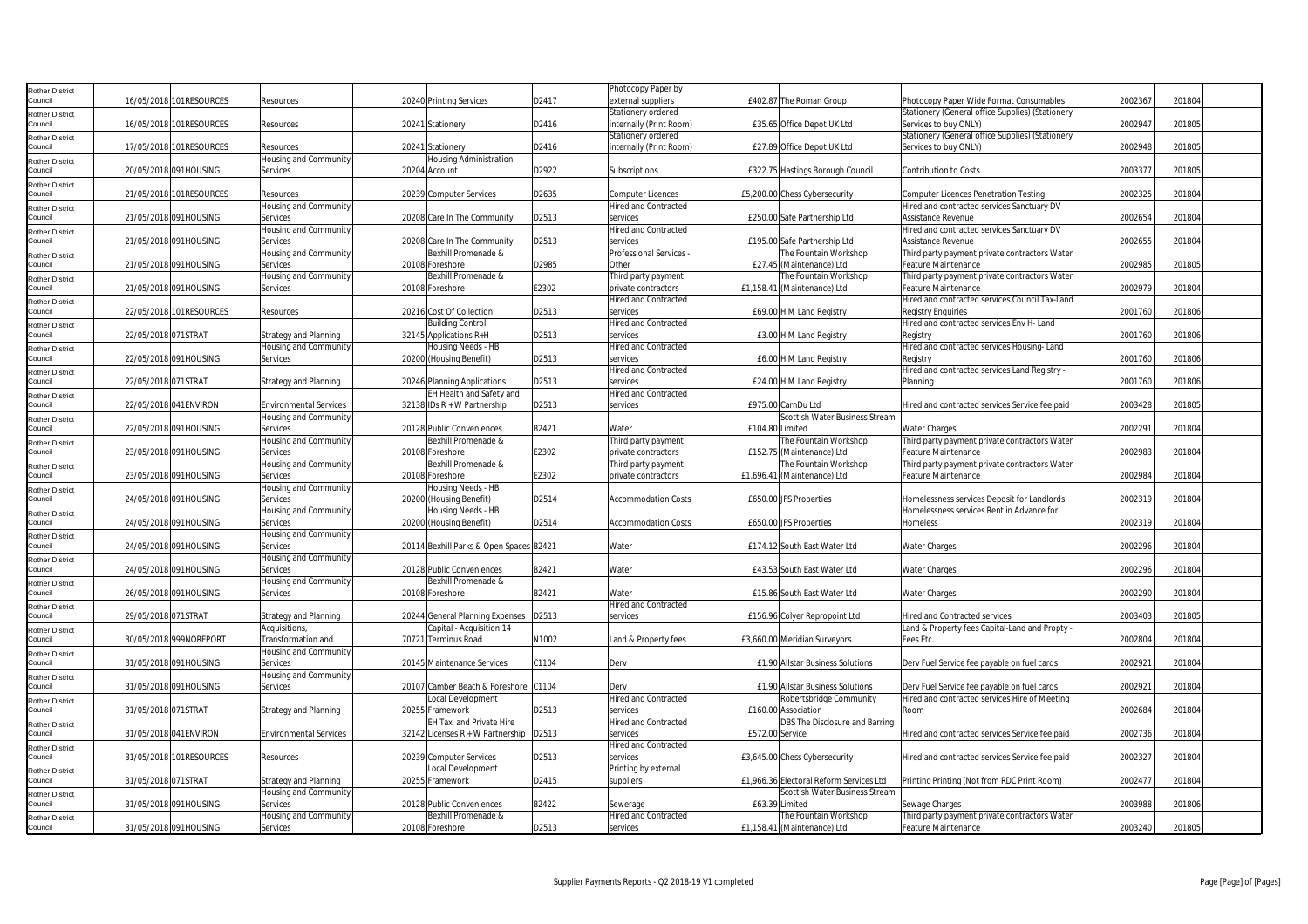| Rother District        |                        |                         |                               |                                         |       | Photocopy Paper by          |                 |                                         |                                                  |         |        |  |
|------------------------|------------------------|-------------------------|-------------------------------|-----------------------------------------|-------|-----------------------------|-----------------|-----------------------------------------|--------------------------------------------------|---------|--------|--|
| Council                |                        | 16/05/2018 101RESOURCES | Resources                     | 20240 Printing Services                 | D2417 | external suppliers          |                 | £402.87 The Roman Group                 | Photocopy Paper Wide Format Consumables          | 2002367 | 201804 |  |
| Rother District        |                        |                         |                               |                                         |       | Stationery ordered          |                 |                                         | Stationery (General office Supplies) (Stationery |         |        |  |
| Council                |                        | 16/05/2018 101RESOURCES | Resources                     | 20241 Stationery                        | D2416 | internally (Print Room)     |                 | £35.65 Office Depot UK Ltd              | Services to buy ONLY)                            | 2002947 | 201805 |  |
| Rother District        |                        |                         |                               |                                         |       | Stationery ordered          |                 |                                         | Stationery (General office Supplies) (Stationery |         |        |  |
| Council                |                        | 17/05/2018 101RESOURCES | Resources                     | 20241 Stationery                        | D2416 | internally (Print Room)     |                 | £27.89 Office Depot UK Ltd              | Services to buy ONLY)                            | 2002948 | 201805 |  |
| <b>Rother District</b> |                        |                         | Housing and Community         | <b>Housing Administration</b>           |       |                             |                 |                                         |                                                  |         |        |  |
| Council                |                        | 20/05/2018 091HOUSING   | Services                      | 20204 Account                           | D2922 | Subscriptions               |                 | £322.75 Hastings Borough Council        | <b>Contribution to Costs</b>                     | 2003377 | 201805 |  |
| Rother District        |                        |                         |                               |                                         |       |                             |                 |                                         |                                                  |         |        |  |
| Council                |                        | 21/05/2018 101RESOURCES | Resources                     | 20239 Computer Services                 | D2635 | Computer Licences           |                 | £5,200.00 Chess Cybersecurity           | <b>Computer Licences Penetration Testing</b>     | 2002325 | 201804 |  |
| Rother District        |                        |                         | Housing and Community         |                                         |       | <b>Hired and Contracted</b> |                 |                                         | Hired and contracted services Sanctuary DV       |         |        |  |
| Council                |                        | 21/05/2018 091HOUSING   | Services                      | 20208 Care In The Community             | D2513 | services                    |                 | £250.00 Safe Partnership Ltd            | Assistance Revenue                               | 2002654 | 201804 |  |
| Rother District        |                        |                         | Housing and Community         |                                         |       | <b>Hired and Contracted</b> |                 |                                         | Hired and contracted services Sanctuary DV       |         |        |  |
| Council                | 21/05/2018 091HOUSING  |                         | Services                      | 20208 Care In The Community             | D2513 | services                    |                 | £195.00 Safe Partnership Ltd            | Assistance Revenue                               | 2002655 | 201804 |  |
| Rother District        |                        |                         | Housing and Community         | Bexhill Promenade &                     |       | Professional Services       |                 | he Fountain Workshop                    | Third party payment private contractors Water    |         |        |  |
| Council                | 21/05/2018 091HOUSING  |                         | Services                      | 20108 Foreshore                         | D2985 | Other                       |                 | £27.45 (Maintenance) Ltd                | Feature Maintenance                              | 2002985 | 201805 |  |
| Rother District        |                        |                         | Housing and Community         | Bexhill Promenade &                     |       | Third party payment         |                 | he Fountain Workshop                    | Third party payment private contractors Water    |         |        |  |
| Council                |                        | 21/05/2018 091HOUSING   | Services                      | 20108 Foreshore                         | E2302 | private contractors         |                 | £1,158.41 (Maintenance) Ltd             | Feature Maintenance                              | 2002979 | 201804 |  |
| Rother District        |                        |                         |                               |                                         |       | <b>Hired and Contracted</b> |                 |                                         | Hired and contracted services Council Tax-Land   |         |        |  |
| Council                |                        | 22/05/2018 101RESOURCES | Resources                     | 20216 Cost Of Collection                | D2513 | services                    |                 | £69.00 H M Land Registry                | <b>Registry Enguiries</b>                        | 2001760 | 201806 |  |
| Rother District        |                        |                         |                               | <b>Building Control</b>                 |       | <b>Hired and Contracted</b> |                 |                                         | Hired and contracted services Env H- Land        |         |        |  |
| Council                | 22/05/2018 071STRAT    |                         | Strategy and Planning         | 32145 Applications R+H                  | D2513 | services                    |                 | £3.00 H M Land Registry                 | Registry                                         | 2001760 | 201806 |  |
| Rother District        |                        |                         | Housing and Community         | Housing Needs - HB                      |       | <b>Hired and Contracted</b> |                 |                                         | Hired and contracted services Housing-Land       |         |        |  |
| Council                |                        | 22/05/2018 091HOUSING   | Services                      | 20200 (Housing Benefit)                 | D2513 | services                    |                 | £6.00 H M Land Registry                 | Registry                                         | 2001760 | 201806 |  |
| Rother District        |                        |                         |                               |                                         |       | <b>Hired and Contracted</b> |                 |                                         | Hired and contracted services Land Registry -    |         |        |  |
| Council                | 22/05/2018 071STRAT    |                         | <b>Strategy and Planning</b>  | 20246 Planning Applications             | D2513 | services                    |                 | £24.00 H M Land Registry                | Planning                                         | 2001760 | 201806 |  |
| Rother District        |                        |                         |                               | EH Health and Safety and                |       | Hired and Contracted        |                 |                                         |                                                  |         |        |  |
| Council                | 22/05/2018 041ENVIRON  |                         | <b>Environmental Services</b> | 32138 IDs R + W Partnership             | D2513 | services                    |                 | £975.00 CarnDu Ltd                      | Hired and contracted services Service fee paid   | 2003428 | 201805 |  |
| Rother District        |                        |                         | Housing and Community         |                                         |       |                             |                 | Scottish Water Business Stream          |                                                  |         |        |  |
| Council                |                        | 22/05/2018 091HOUSING   | Services                      | 20128 Public Conveniences               | B2421 | Water                       | £104.80 Limited |                                         | <b>Water Charges</b>                             | 2002291 | 201804 |  |
| Rother District        |                        |                         | Housing and Community         | Bexhill Promenade &                     |       | Third party payment         |                 | he Fountain Workshop                    | Third party payment private contractors Water    |         |        |  |
| Council                |                        | 23/05/2018 091HOUSING   | Services                      | 20108 Foreshore                         | E2302 | private contractors         |                 | £152.75 (Maintenance) Ltd               | Feature Maintenance                              | 2002983 | 201804 |  |
| Rother District        |                        |                         | Housing and Community         | Bexhill Promenade &                     |       | Third party payment         |                 | The Fountain Workshop                   | Third party payment private contractors Water    |         |        |  |
| Council                |                        | 23/05/2018 091HOUSING   | Services                      | 20108 Foreshore                         | E2302 | private contractors         |                 | £1,696.41 (Maintenance) Ltd             | Feature Maintenance                              | 2002984 | 201804 |  |
| Rother District        |                        |                         | Housing and Community         | Housing Needs - HB                      |       |                             |                 |                                         |                                                  |         |        |  |
| Council                |                        | 24/05/2018 091HOUSING   | Services                      | 20200 (Housing Benefit)                 | D2514 | <b>Accommodation Costs</b>  |                 | £650.00 JFS Properties                  | Homelessness services Deposit for Landlords      | 2002319 | 201804 |  |
| Rother District        |                        |                         | Housing and Community         | Housing Needs - HB                      |       |                             |                 |                                         | Homelessness services Rent in Advance for        |         |        |  |
| Council                |                        | 24/05/2018 091HOUSING   | Services                      | 20200 (Housing Benefit)                 | D2514 | <b>Accommodation Costs</b>  |                 | £650.00 JFS Properties                  | Homeless                                         | 2002319 | 201804 |  |
| Rother District        |                        |                         | Housing and Community         |                                         |       |                             |                 |                                         |                                                  |         |        |  |
| Council                | 24/05/2018 091HOUSING  |                         | Services                      | 20114 Bexhill Parks & Open Spaces B2421 |       | Water                       |                 | £174.12 South East Water Ltd            | <b>Water Charges</b>                             | 2002296 | 201804 |  |
| Rother District        |                        |                         | Housing and Community         |                                         |       |                             |                 |                                         |                                                  |         |        |  |
| Council                |                        | 24/05/2018 091HOUSING   | Services                      | 20128 Public Conveniences               | B2421 | Water                       |                 | £43.53 South East Water Ltd             | Water Charges                                    | 2002296 | 201804 |  |
| <b>Rother District</b> |                        |                         | <b>Housing and Community</b>  | Bexhill Promenade &                     |       |                             |                 |                                         |                                                  |         |        |  |
| Council                |                        | 26/05/2018 091HOUSING   | Services                      | 20108 Foreshore                         | B2421 | Water                       |                 | £15.86 South East Water Ltd             | <b>Water Charges</b>                             | 2002290 | 201804 |  |
| Rother District        |                        |                         |                               |                                         |       | Hired and Contracted        |                 |                                         |                                                  |         |        |  |
| Council                | 29/05/2018 071STRAT    |                         | <b>Strategy and Planning</b>  | 20244 General Planning Expenses         | D2513 | services                    |                 | £156.96 Colyer Repropoint Ltd           | <b>Hired and Contracted services</b>             | 2003403 | 201805 |  |
| Rother District        |                        |                         | Acquisitions,                 | Capital - Acquisition 14                |       |                             |                 |                                         | Land & Property fees Capital-Land and Propty     |         |        |  |
| Council                |                        | 30/05/2018 999NOREPORT  | Transformation and            | 70721 Terminus Road                     | N1002 | Land & Property fees        |                 | £3,660.00 Meridian Surveyors            | Fees Etc.                                        | 2002804 | 201804 |  |
| <b>Rother District</b> |                        |                         | Housing and Community         |                                         |       |                             |                 |                                         |                                                  |         |        |  |
| Council                |                        | 31/05/2018 091HOUSING   | Services                      | 20145 Maintenance Services              | C1104 | Derv                        |                 | £1.90 Allstar Business Solutions        | Derv Fuel Service fee payable on fuel cards      | 2002921 | 201804 |  |
| Rother District        |                        |                         | Housing and Community         |                                         |       |                             |                 |                                         |                                                  |         |        |  |
| Council                | 31/05/2018 091HOUSING  |                         | Services                      | 20107 Camber Beach & Foreshore C1104    |       | Derv                        |                 | £1.90 Allstar Business Solutions        | Derv Fuel Service fee payable on fuel cards      | 2002921 | 201804 |  |
| Rother District        |                        |                         |                               | Local Development                       |       | <b>Hired and Contracted</b> |                 | Robertsbridge Community                 | Hired and contracted services Hire of Meeting    |         |        |  |
| Council                | 31/05/2018 071STRAT    |                         | Strategy and Planning         | 20255 Framework                         | D2513 | services                    |                 | £160.00 Association                     | Room                                             | 2002684 | 201804 |  |
| Rother District        |                        |                         |                               | <b>EH Taxi and Private Hire</b>         |       | <b>Hired and Contracted</b> |                 | DBS The Disclosure and Barring          |                                                  |         |        |  |
| Council                | 31/05/2018 041 ENVIRON |                         | <b>Environmental Services</b> | 32142 Licenses R + W Partnership        | D2513 | services                    | £572.00 Service |                                         | Hired and contracted services Service fee paid   | 2002736 | 201804 |  |
| Rother District        |                        |                         |                               |                                         |       | <b>Hired and Contracted</b> |                 |                                         |                                                  |         |        |  |
| Council                |                        | 31/05/2018 101RESOURCES | Resources                     | 20239 Computer Services                 | D2513 | services                    |                 | £3,645.00 Chess Cybersecurity           | Hired and contracted services Service fee paid   | 2002327 | 201804 |  |
| Rother District        |                        |                         |                               | Local Development                       |       | Printing by external        |                 |                                         |                                                  |         |        |  |
| Council                | 31/05/2018 071STRAT    |                         | <b>Strategy and Planning</b>  | 20255 Framework                         | D2415 | suppliers                   |                 | £1,966.36 Electoral Reform Services Ltd | Printing Printing (Not from RDC Print Room)      | 2002477 | 201804 |  |
| <b>Rother District</b> |                        |                         | Housing and Community         |                                         |       |                             |                 | Scottish Water Business Stream          |                                                  |         |        |  |
| Council                |                        | 31/05/2018 091HOUSING   | Services                      | 20128 Public Conveniences               | B2422 | Sewerage                    |                 | £63.39 Limited                          | Sewage Charges                                   | 2003988 | 201806 |  |
| Rother District        |                        |                         | Housing and Community         | Bexhill Promenade &                     |       | <b>Hired and Contracted</b> |                 | The Fountain Workshop                   | Third party payment private contractors Water    |         |        |  |
| Council                |                        | 31/05/2018 091HOUSING   | Services                      | 20108 Foreshore                         | D2513 | services                    |                 | £1,158.41 (Maintenance) Ltd             | Feature Maintenance                              | 2003240 | 201805 |  |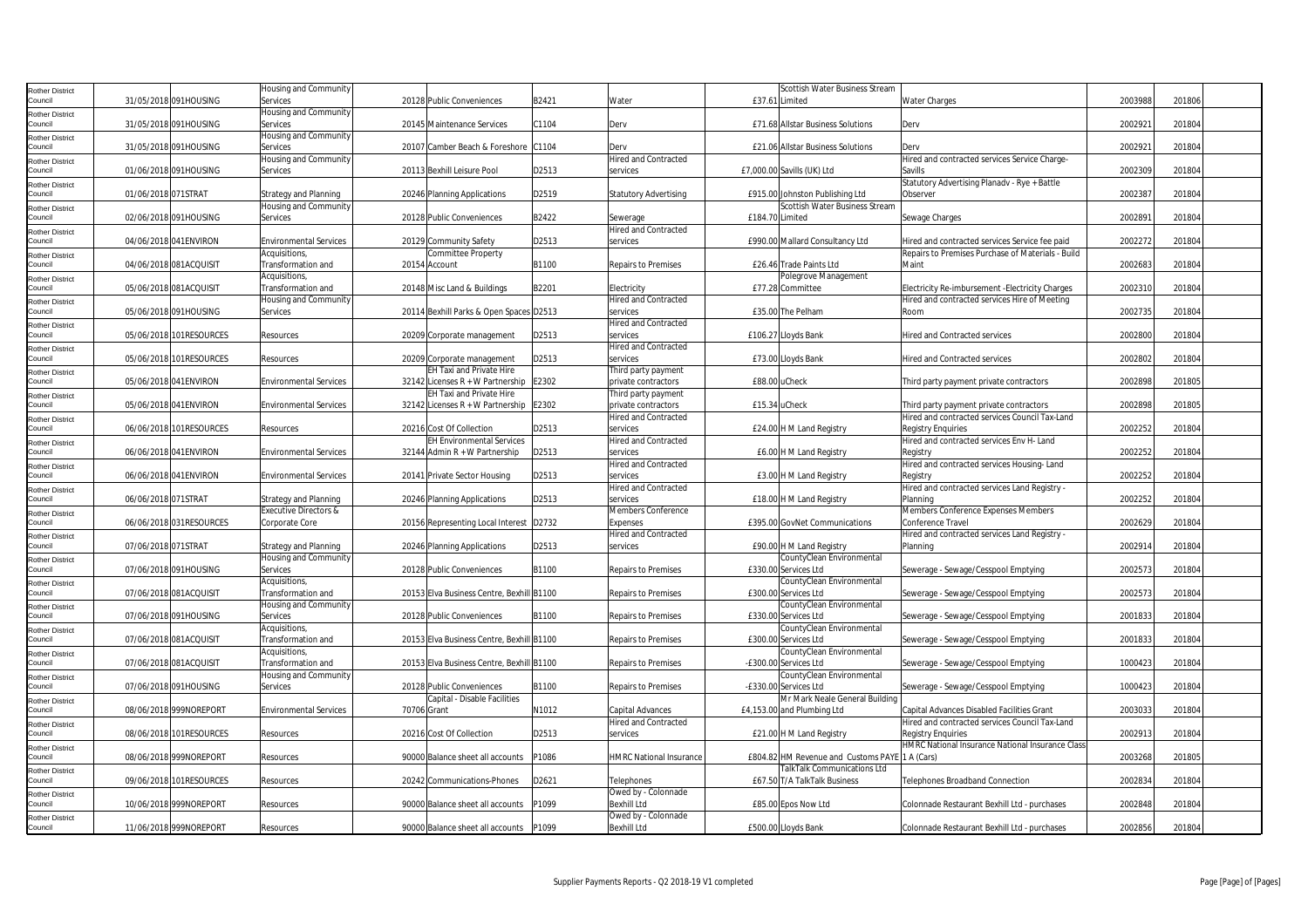| <b>Rother District</b>            |                     |                         | Housing and Community               |             |                                           |       |                                           |                 | Scottish Water Business Stream                    |                                                        |         |        |  |
|-----------------------------------|---------------------|-------------------------|-------------------------------------|-------------|-------------------------------------------|-------|-------------------------------------------|-----------------|---------------------------------------------------|--------------------------------------------------------|---------|--------|--|
| Council                           |                     | 31/05/2018 091HOUSING   | Services                            |             | 20128 Public Conveniences                 | B2421 | Water                                     |                 | £37.61 Limited                                    | <b>Water Charges</b>                                   | 2003988 | 201806 |  |
| <b>Rother District</b>            |                     |                         | <b>Housing and Community</b>        |             |                                           |       |                                           |                 |                                                   |                                                        |         |        |  |
| Council                           |                     | 31/05/2018 091HOUSING   | Services                            |             | 20145 Maintenance Services                | C1104 | Derv                                      |                 | £71.68 Allstar Business Solutions                 | Derv                                                   | 2002921 | 201804 |  |
| <b>Rother District</b>            |                     |                         | Housing and Community               |             |                                           |       |                                           |                 |                                                   |                                                        |         |        |  |
| Council                           |                     | 31/05/2018 091HOUSING   | Services                            |             | 20107 Camber Beach & Foreshore C1104      |       | Derv                                      |                 | £21.06 Allstar Business Solutions                 | Derv                                                   | 2002921 | 201804 |  |
| <b>Rother District</b>            |                     |                         | Housing and Community               |             |                                           |       | <b>Hired and Contracted</b>               |                 |                                                   | Hired and contracted services Service Charge-          |         |        |  |
| Council                           |                     | 01/06/2018 091HOUSING   | Services                            |             | 20113 Bexhill Leisure Pool                | D2513 | services                                  |                 | £7,000.00 Savills (UK) Ltd                        | Savills                                                | 2002309 | 201804 |  |
| <b>Rother District</b>            |                     |                         |                                     |             |                                           |       |                                           |                 |                                                   | Statutory Advertising Planadv - Rye + Battle           |         |        |  |
| Council                           | 01/06/2018 071STRAT |                         | <b>Strategy and Planning</b>        |             | 20246 Planning Applications               | D2519 | <b>Statutory Advertising</b>              |                 | £915.00 Johnston Publishing Ltd                   | Observer                                               | 2002387 | 201804 |  |
| <b>Rother District</b>            |                     |                         | Housing and Community               |             |                                           |       |                                           |                 | Scottish Water Business Stream                    |                                                        |         |        |  |
| Council                           |                     | 02/06/2018 091HOUSING   | Services                            |             | 20128 Public Conveniences                 | B2422 | Sewerage                                  | £184.70 Limited |                                                   | Sewage Charges                                         | 2002891 | 201804 |  |
| <b>Rother District</b><br>Council |                     | 04/06/2018 041ENVIRON   | <b>Environmental Services</b>       |             | 20129 Community Safety                    | D2513 | <b>Hired and Contracted</b><br>services   |                 | £990.00 Mallard Consultancy Ltd                   | Hired and contracted services Service fee paid         | 2002272 | 201804 |  |
|                                   |                     |                         | Acquisitions,                       |             | Committee Property                        |       |                                           |                 |                                                   | Repairs to Premises Purchase of Materials - Build      |         |        |  |
| Rother District<br>Council        |                     | 04/06/2018 081ACQUISIT  | Transformation and                  |             | 20154 Account                             | B1100 | <b>Repairs to Premises</b>                |                 | £26.46 Trade Paints Ltd                           | Maint                                                  | 2002683 | 201804 |  |
| <b>Rother District</b>            |                     |                         | Acquisitions,                       |             |                                           |       |                                           |                 | Polegrove Management                              |                                                        |         |        |  |
| Council                           |                     | 05/06/2018 081ACQUISIT  | Transformation and                  |             | 20148 Misc Land & Buildings               | B2201 | Electricity                               |                 | £77.28 Committee                                  | Electricity Re-imbursement - Electricity Charges       | 2002310 | 201804 |  |
| <b>Rother District</b>            |                     |                         | Housing and Community               |             |                                           |       | <b>Hired and Contracted</b>               |                 |                                                   | Hired and contracted services Hire of Meeting          |         |        |  |
| Council                           |                     | 05/06/2018 091HOUSING   | Services                            |             | 20114 Bexhill Parks & Open Spaces D2513   |       | services                                  |                 | £35.00 The Pelham                                 | Room                                                   | 2002735 | 201804 |  |
| <b>Rother District</b>            |                     |                         |                                     |             |                                           |       | <b>Hired and Contracted</b>               |                 |                                                   |                                                        |         |        |  |
| Council                           |                     | 05/06/2018 101RESOURCES | Resources                           |             | 20209 Corporate management                | D2513 | services                                  |                 | £106.27 Lloyds Bank                               | <b>Hired and Contracted services</b>                   | 2002800 | 201804 |  |
| <b>Rother District</b>            |                     |                         |                                     |             |                                           |       | <b>Hired and Contracted</b>               |                 |                                                   |                                                        |         |        |  |
| Council                           |                     | 05/06/2018 101RESOURCES | Resources                           |             | 20209 Corporate management                | D2513 | services                                  |                 | £73.00 Lloyds Bank                                | <b>Hired and Contracted services</b>                   | 2002802 | 201804 |  |
| <b>Rother District</b>            |                     |                         |                                     |             | EH Taxi and Private Hire                  |       | Third party payment                       |                 |                                                   |                                                        |         |        |  |
| Council                           |                     | 05/06/2018 041ENVIRON   | <b>Environmental Services</b>       |             | 32142 Licenses R + W Partnership E2302    |       | private contractors                       |                 | £88.00 uCheck                                     | Third party payment private contractors                | 2002898 | 201805 |  |
| <b>Rother District</b>            |                     |                         |                                     |             | EH Taxi and Private Hire                  |       | Third party payment                       |                 |                                                   |                                                        |         |        |  |
| Council                           |                     | 05/06/2018 041ENVIRON   | Environmental Services              |             | 32142 Licenses R + W Partnership E2302    |       | private contractors                       | £15.34 uCheck   |                                                   | Third party payment private contractors                | 2002898 | 201805 |  |
| <b>Rother District</b>            |                     |                         |                                     |             |                                           |       | <b>Hired and Contracted</b>               |                 |                                                   | Hired and contracted services Council Tax-Land         |         |        |  |
| Council                           |                     | 06/06/2018 101RESOURCES | Resources                           |             | 20216 Cost Of Collection                  | D2513 | services                                  |                 | £24.00 H M Land Registry                          | <b>Registry Enquiries</b>                              | 2002252 | 201804 |  |
| <b>Rother District</b><br>Council |                     | 06/06/2018 041ENVIRON   |                                     |             | <b>EH Environmental Services</b>          | D2513 | <b>Hired and Contracted</b>               |                 |                                                   | Hired and contracted services Env H- Land              | 2002252 | 201804 |  |
|                                   |                     |                         | <b>Environmental Services</b>       |             | 32144 Admin $R + W$ Partnership           |       | services<br><b>Hired and Contracted</b>   |                 | £6.00 H M Land Registry                           | Registry<br>Hired and contracted services Housing-Land |         |        |  |
| <b>Rother District</b><br>Council |                     | 06/06/2018 041 ENVIRON  | <b>Environmental Services</b>       |             | 20141 Private Sector Housing              | D2513 | services                                  |                 | £3.00 H M Land Registry                           | Registry                                               | 2002252 | 201804 |  |
| <b>Rother District</b>            |                     |                         |                                     |             |                                           |       | Hired and Contracted                      |                 |                                                   | Hired and contracted services Land Registry -          |         |        |  |
| Council                           | 06/06/2018 071STRAT |                         | <b>Strategy and Planning</b>        |             | 20246 Planning Applications               | D2513 | services                                  |                 | £18.00 H M Land Registry                          | Planning                                               | 2002252 | 201804 |  |
| <b>Rother District</b>            |                     |                         | Executive Directors &               |             |                                           |       | <b>Members Conference</b>                 |                 |                                                   | Members Conference Expenses Members                    |         |        |  |
| Council                           |                     | 06/06/2018 031RESOURCES | Corporate Core                      |             | 20156 Representing Local Interest D2732   |       | <b>Expenses</b>                           |                 | £395.00 GovNet Communications                     | Conference Travel                                      | 2002629 | 201804 |  |
| <b>Rother District</b>            |                     |                         |                                     |             |                                           |       | <b>Hired and Contracted</b>               |                 |                                                   | Hired and contracted services Land Registry -          |         |        |  |
| Council                           | 07/06/2018 071STRAT |                         | Strategy and Planning               |             | 20246 Planning Applications               | D2513 | services                                  |                 | £90.00 H M Land Registry                          | Planning                                               | 2002914 | 201804 |  |
| <b>Rother District</b>            |                     |                         | Housing and Community               |             |                                           |       |                                           |                 | CountyClean Environmental                         |                                                        |         |        |  |
| Council                           |                     | 07/06/2018 091HOUSING   | Services                            |             | 20128 Public Conveniences                 | B1100 | <b>Repairs to Premises</b>                |                 | £330.00 Services Ltd                              | Sewerage - Sewage/Cesspool Emptying                    | 2002573 | 201804 |  |
| <b>Rother District</b>            |                     |                         | Acquisitions,                       |             |                                           |       |                                           |                 | CountyClean Environmental                         |                                                        |         |        |  |
| Council                           |                     | 07/06/2018 081ACQUISIT  | Transformation and                  |             | 20153 Elva Business Centre, Bexhill B1100 |       | <b>Repairs to Premises</b>                |                 | £300.00 Services Ltd                              | Sewerage - Sewage/Cesspool Emptying                    | 2002573 | 201804 |  |
| <b>Rother District</b>            |                     |                         | Housing and Community               |             |                                           |       |                                           |                 | CountyClean Environmental                         |                                                        |         |        |  |
| Council                           |                     | 07/06/2018 091HOUSING   | Services                            |             | 20128 Public Conveniences                 | B1100 | <b>Repairs to Premises</b>                |                 | £330.00 Services Ltd                              | Sewerage - Sewage/Cesspool Emptying                    | 2001833 | 201804 |  |
| <b>Rother District</b><br>Council |                     | 07/06/2018 081ACQUISIT  | Acquisitions,<br>Transformation and |             | 20153 Elva Business Centre, Bexhill B1100 |       | <b>Repairs to Premises</b>                |                 | CountyClean Environmental<br>£300.00 Services Ltd | Sewerage - Sewage/Cesspool Emptying                    | 2001833 | 201804 |  |
|                                   |                     |                         | Acquisitions,                       |             |                                           |       |                                           |                 | CountyClean Environmental                         |                                                        |         |        |  |
| <b>Rother District</b><br>Council |                     | 07/06/2018 081ACQUISIT  | Transformation and                  |             | 20153 Elva Business Centre, Bexhill B1100 |       | <b>Repairs to Premises</b>                |                 | -£300.00 Services Ltd                             | Sewerage - Sewage/Cesspool Emptying                    | 1000423 | 201804 |  |
| <b>Rother District</b>            |                     |                         | Housing and Community               |             |                                           |       |                                           |                 | CountyClean Environmental                         |                                                        |         |        |  |
| Council                           |                     | 07/06/2018 091HOUSING   | Services                            |             | 20128 Public Conveniences                 | B1100 | <b>Repairs to Premises</b>                |                 | -£330.00 Services Ltd                             | Sewerage - Sewage/Cesspool Emptying                    | 1000423 | 201804 |  |
| <b>Rother District</b>            |                     |                         |                                     |             | Capital - Disable Facilities              |       |                                           |                 | Mr Mark Neale General Building                    |                                                        |         |        |  |
| Council                           |                     | 08/06/2018 999NOREPORT  | <b>Environmental Services</b>       | 70706 Grant |                                           | N1012 | Capital Advances                          |                 | £4,153.00 and Plumbing Ltd                        | Capital Advances Disabled Facilities Grant             | 2003033 | 201804 |  |
| <b>Rother District</b>            |                     |                         |                                     |             |                                           |       | <b>Hired and Contracted</b>               |                 |                                                   | Hired and contracted services Council Tax-Land         |         |        |  |
| Council                           |                     | 08/06/2018 101RESOURCES | Resources                           |             | 20216 Cost Of Collection                  | D2513 | services                                  |                 | £21.00 H M Land Registry                          | <b>Registry Enquiries</b>                              | 2002913 | 201804 |  |
| <b>Rother District</b>            |                     |                         |                                     |             |                                           |       |                                           |                 |                                                   | HMRC National Insurance National Insurance Class       |         |        |  |
| Council                           |                     | 08/06/2018 999NOREPORT  | Resources                           |             | 90000 Balance sheet all accounts          | P1086 | <b>HMRC National Insurance</b>            |                 | £804.82 HM Revenue and Customs PAYE 1 A (Cars)    |                                                        | 2003268 | 201805 |  |
| <b>Rother District</b>            |                     |                         |                                     |             |                                           |       |                                           |                 | <b>FalkTalk Communications Ltd</b>                |                                                        |         |        |  |
| Council                           |                     | 09/06/2018 101RESOURCES | Resources                           |             | 20242 Communications-Phones               | D2621 | Telephones                                |                 | £67.50 T/A TalkTalk Business                      | <b>Telephones Broadband Connection</b>                 | 2002834 | 201804 |  |
| <b>Rother District</b><br>Council |                     |                         |                                     |             |                                           |       | Owed by - Colonnade                       |                 |                                                   |                                                        |         |        |  |
|                                   |                     | 10/06/2018 999NOREPORT  | Resources                           |             | 90000 Balance sheet all accounts          | P1099 | <b>Bexhill Ltd</b><br>Owed by - Colonnade |                 | £85.00 Epos Now Ltd                               | Colonnade Restaurant Bexhill Ltd - purchases           | 2002848 | 201804 |  |
| <b>Rother District</b><br>Council |                     | 11/06/2018 999NOREPORT  | Resources                           |             | 90000 Balance sheet all accounts P1099    |       | <b>Bexhill Ltd</b>                        |                 | £500.00 Lloyds Bank                               | Colonnade Restaurant Bexhill Ltd - purchases           | 2002856 | 201804 |  |
|                                   |                     |                         |                                     |             |                                           |       |                                           |                 |                                                   |                                                        |         |        |  |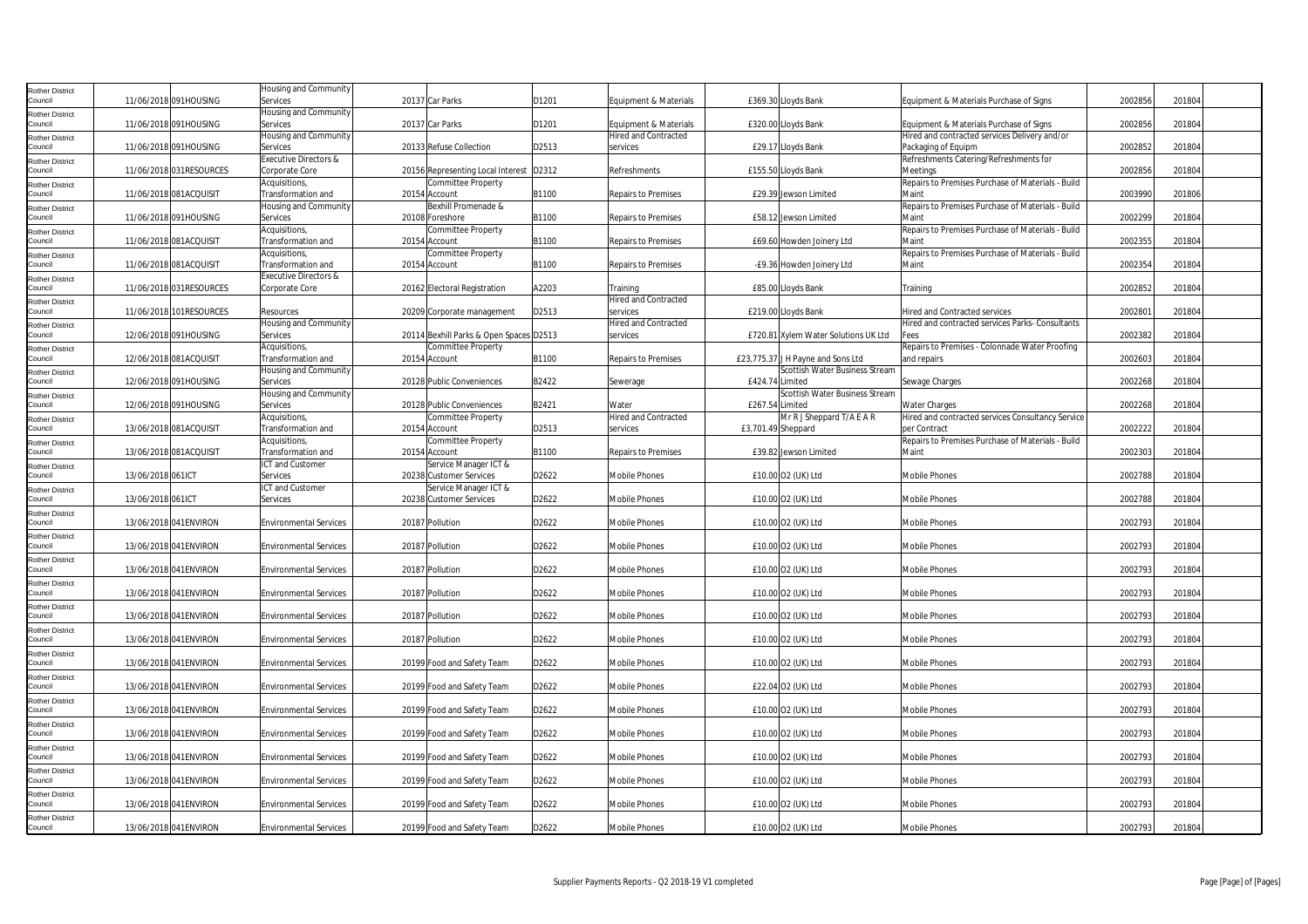| <b>Rother District</b>            |                   |                         | Housing and Community               |                                                  |       |                                                      |                    |                                      |                                                                      |         |        |  |
|-----------------------------------|-------------------|-------------------------|-------------------------------------|--------------------------------------------------|-------|------------------------------------------------------|--------------------|--------------------------------------|----------------------------------------------------------------------|---------|--------|--|
| Council                           |                   | 11/06/2018 091HOUSING   | Services                            | 20137 Car Parks                                  | D1201 | Equipment & Materials                                |                    | £369.30 Lloyds Bank                  | Equipment & Materials Purchase of Signs                              | 2002856 | 201804 |  |
| <b>Rother District</b>            |                   |                         | Housing and Community               |                                                  |       |                                                      |                    |                                      |                                                                      |         |        |  |
| Council                           |                   | 11/06/2018 091HOUSING   | Services                            | 20137 Car Parks                                  | D1201 | Equipment & Materials<br><b>Hired and Contracted</b> |                    | £320.00 Lloyds Bank                  | Equipment & Materials Purchase of Signs                              | 2002856 | 201804 |  |
| <b>Rother District</b><br>Council |                   | 11/06/2018 091HOUSING   | Housing and Community<br>Services   | 20133 Refuse Collection                          | D2513 | services                                             |                    | £29.17 Lloyds Bank                   | Hired and contracted services Delivery and/or<br>Packaging of Equipm | 2002852 | 201804 |  |
|                                   |                   |                         | Executive Directors &               |                                                  |       |                                                      |                    |                                      | Refreshments Catering/Refreshments for                               |         |        |  |
| <b>Rother District</b><br>Council |                   | 11/06/2018 031RESOURCES | Corporate Core                      | 20156 Representing Local Interest D2312          |       | Refreshments                                         |                    | £155.50 Lloyds Bank                  | Meetings                                                             | 2002856 | 201804 |  |
| <b>Rother District</b>            |                   |                         | Acquisitions,                       | Committee Property                               |       |                                                      |                    |                                      | Repairs to Premises Purchase of Materials - Build                    |         |        |  |
| Council                           |                   | 11/06/2018 081ACQUISIT  | Transformation and                  | 20154 Account                                    | B1100 | <b>Repairs to Premises</b>                           |                    | £29.39 Jewson Limited                | Maint                                                                | 2003990 | 201806 |  |
| <b>Rother District</b>            |                   |                         | Housing and Community               | Bexhill Promenade &                              |       |                                                      |                    |                                      | Repairs to Premises Purchase of Materials - Build                    |         |        |  |
| Council                           |                   | 11/06/2018 091HOUSING   | Services                            | 20108 Foreshore                                  | B1100 | <b>Repairs to Premises</b>                           |                    | £58.12 Jewson Limited                | Maint                                                                | 2002299 | 201804 |  |
| <b>Rother District</b>            |                   |                         | Acquisitions,                       | Committee Property                               |       |                                                      |                    |                                      | Repairs to Premises Purchase of Materials - Build                    |         |        |  |
| Council                           |                   | 11/06/2018 081ACQUISIT  | Transformation and                  | 20154 Account                                    | B1100 | <b>Repairs to Premises</b>                           |                    | £69.60 Howden Joinery Ltd            | Maint                                                                | 2002355 | 201804 |  |
| <b>Rother District</b>            |                   |                         | Acquisitions,                       | Committee Property                               |       |                                                      |                    |                                      | Repairs to Premises Purchase of Materials - Build                    |         |        |  |
| Council                           |                   | 11/06/2018 081ACQUISIT  | Transformation and                  | 20154 Account                                    | B1100 | <b>Repairs to Premises</b>                           |                    | -£9.36 Howden Joinery Ltd            | Maint                                                                | 2002354 | 201804 |  |
| <b>Rother District</b>            |                   |                         | Executive Directors &               |                                                  |       |                                                      |                    |                                      |                                                                      |         |        |  |
| Council                           |                   | 11/06/2018 031RESOURCES | Corporate Core                      | 20162 Electoral Registration                     | A2203 | Training<br><b>Hired and Contracted</b>              |                    | £85.00 Lloyds Bank                   | Training                                                             | 2002852 | 201804 |  |
| <b>Rother District</b><br>Council |                   | 11/06/2018 101RESOURCES | Resources                           | 20209 Corporate management                       | D2513 | services                                             |                    | £219.00 Lloyds Bank                  | <b>Hired and Contracted services</b>                                 | 2002801 | 201804 |  |
| <b>Rother District</b>            |                   |                         | Housing and Community               |                                                  |       | <b>Hired and Contracted</b>                          |                    |                                      | Hired and contracted services Parks- Consultants                     |         |        |  |
| Council                           |                   | 12/06/2018 091HOUSING   | Services                            | 20114 Bexhill Parks & Open Spaces D2513          |       | services                                             |                    | £720.81 Xylem Water Solutions UK Ltd | Fees                                                                 | 2002382 | 201804 |  |
| <b>Rother District</b>            |                   |                         | Acquisitions,                       | Committee Property                               |       |                                                      |                    |                                      | Repairs to Premises - Colonnade Water Proofing                       |         |        |  |
| Council                           |                   | 12/06/2018 081ACQUISIT  | Transformation and                  | 20154 Account                                    | B1100 | <b>Repairs to Premises</b>                           |                    | £23,775.37 J H Payne and Sons Ltd    | and repairs                                                          | 2002603 | 201804 |  |
| <b>Rother District</b>            |                   |                         | Housing and Community               |                                                  |       |                                                      |                    | Scottish Water Business Stream       |                                                                      |         |        |  |
| Council                           |                   | 12/06/2018 091HOUSING   | Services                            | 20128 Public Conveniences                        | B2422 | Sewerage                                             | £424.74 Limited    |                                      | Sewage Charges                                                       | 2002268 | 201804 |  |
| Rother District                   |                   |                         | Housing and Community               |                                                  |       |                                                      |                    | Scottish Water Business Stream       |                                                                      |         |        |  |
| Council                           |                   | 12/06/2018 091HOUSING   | Services                            | 20128 Public Conveniences                        | B2421 | Water                                                | £267.54 Limited    |                                      | Water Charges                                                        | 2002268 | 201804 |  |
| <b>Rother District</b>            |                   |                         | Acquisitions,                       | Committee Property                               |       | <b>Hired and Contracted</b>                          |                    | Mr R J Sheppard T/A E A R            | Hired and contracted services Consultancy Service                    |         | 201804 |  |
| Council                           |                   | 13/06/2018 081ACQUISIT  | Transformation and<br>Acquisitions, | 20154 Account<br>Committee Property              | D2513 | services                                             | £3,701.49 Sheppard |                                      | per Contract<br>Repairs to Premises Purchase of Materials - Build    | 2002222 |        |  |
| <b>Rother District</b><br>Council |                   | 13/06/2018 081ACQUISIT  | Transformation and                  | 20154 Account                                    | B1100 | <b>Repairs to Premises</b>                           |                    | £39.82 Jewson Limited                | Maint                                                                | 2002303 | 201804 |  |
|                                   |                   |                         |                                     |                                                  |       |                                                      |                    |                                      |                                                                      |         |        |  |
|                                   |                   |                         |                                     |                                                  |       |                                                      |                    |                                      |                                                                      |         |        |  |
| <b>Rother District</b><br>Council | 13/06/2018 061ICT |                         | ICT and Customer<br>Services        | Service Manager ICT &<br>20238 Customer Services | D2622 | <b>Mobile Phones</b>                                 |                    | £10.00 O2 (UK) Ltd                   | <b>Mobile Phones</b>                                                 | 2002788 | 201804 |  |
|                                   |                   |                         | ICT and Customer                    | Service Manager ICT &                            |       |                                                      |                    |                                      |                                                                      |         |        |  |
| <b>Rother District</b><br>Council | 13/06/2018 061ICT |                         | Services                            | 20238 Customer Services                          | D2622 | <b>Mobile Phones</b>                                 |                    | £10.00 O2 (UK) Ltd                   | <b>Mobile Phones</b>                                                 | 2002788 | 201804 |  |
| <b>Rother District</b>            |                   |                         |                                     |                                                  |       |                                                      |                    |                                      |                                                                      |         |        |  |
| Council                           |                   | 13/06/2018 041ENVIRON   | <b>Environmental Services</b>       | 20187 Pollution                                  | D2622 | <b>Mobile Phones</b>                                 |                    | £10.00 O2 (UK) Ltd                   | <b>Mobile Phones</b>                                                 | 2002793 | 201804 |  |
| <b>Rother District</b>            |                   |                         |                                     |                                                  |       |                                                      |                    |                                      |                                                                      |         |        |  |
| Council                           |                   | 13/06/2018 041 ENVIRON  | <b>Environmental Services</b>       | 20187 Pollution                                  | D2622 | <b>Mobile Phones</b>                                 |                    | £10.00 O2 (UK) Ltd                   | <b>Mobile Phones</b>                                                 | 2002793 | 201804 |  |
| <b>Rother District</b>            |                   |                         |                                     |                                                  |       |                                                      |                    |                                      |                                                                      |         |        |  |
| Council                           |                   | 13/06/2018 041 ENVIRON  | <b>Environmental Services</b>       | 20187 Pollution                                  | D2622 | <b>Mobile Phones</b>                                 |                    | £10.00 O2 (UK) Ltd                   | <b>Mobile Phones</b>                                                 | 2002793 | 201804 |  |
| <b>Rother District</b>            |                   |                         |                                     |                                                  |       |                                                      |                    |                                      |                                                                      |         |        |  |
| Council                           |                   | 13/06/2018 041 ENVIRON  | <b>Environmental Services</b>       | 20187 Pollution                                  | D2622 | Mobile Phones                                        |                    | £10.00 O2 (UK) Ltd                   | Mobile Phones                                                        | 2002793 | 201804 |  |
| <b>Rother District</b><br>Council |                   | 13/06/2018 041 ENVIRON  | <b>Environmental Services</b>       | 20187 Pollution                                  | D2622 | <b>Mobile Phones</b>                                 |                    | £10.00 O2 (UK) Ltd                   | Mobile Phones                                                        | 2002793 | 201804 |  |
| Rother District                   |                   |                         |                                     |                                                  |       |                                                      |                    |                                      |                                                                      |         |        |  |
| Council                           |                   | 13/06/2018 041 ENVIRON  | <b>Environmental Services</b>       | 20187 Pollution                                  | D2622 | <b>Mobile Phones</b>                                 |                    | £10.00 O2 (UK) Ltd                   | <b>Mobile Phones</b>                                                 | 2002793 | 201804 |  |
| <b>Rother District</b>            |                   |                         |                                     |                                                  |       |                                                      |                    |                                      |                                                                      |         |        |  |
| Council                           |                   | 13/06/2018 041 ENVIRON  | <b>Environmental Services</b>       | 20199 Food and Safety Team                       | D2622 | <b>Mobile Phones</b>                                 |                    | £10.00 O2 (UK) Ltd                   | Mobile Phones                                                        | 2002793 | 201804 |  |
| <b>Rother District</b>            |                   |                         |                                     |                                                  |       |                                                      |                    |                                      |                                                                      |         |        |  |
| Council                           |                   | 13/06/2018 041 ENVIRON  | <b>Environmental Services</b>       | 20199 Food and Safety Team                       | D2622 | <b>Mobile Phones</b>                                 |                    | £22.04 O2 (UK) Ltd                   | Mobile Phones                                                        | 2002793 | 201804 |  |
| <b>Rother District</b>            |                   |                         |                                     |                                                  |       |                                                      |                    |                                      |                                                                      |         |        |  |
| Council                           |                   | 13/06/2018 041 ENVIRON  | <b>Environmental Services</b>       | 20199 Food and Safety Team                       | D2622 | <b>Mobile Phones</b>                                 |                    | £10.00 O2 (UK) Ltd                   | <b>Mobile Phones</b>                                                 | 2002793 | 201804 |  |
| <b>Rother District</b><br>Council |                   |                         |                                     |                                                  |       |                                                      |                    |                                      |                                                                      |         |        |  |
|                                   |                   | 13/06/2018 041ENVIRON   | <b>Environmental Services</b>       | 20199 Food and Safety Team                       | D2622 | <b>Mobile Phones</b>                                 |                    | £10.00 O2 (UK) Ltd                   | Mobile Phones                                                        | 2002793 | 201804 |  |
| <b>Rother District</b><br>Council |                   | 13/06/2018 041 ENVIRON  | Environmental Services              | 20199 Food and Safety Team                       | D2622 | <b>Mobile Phones</b>                                 |                    | £10.00 O2 (UK) Ltd                   | Mobile Phones                                                        | 2002793 | 201804 |  |
| <b>Rother District</b>            |                   |                         |                                     |                                                  |       |                                                      |                    |                                      |                                                                      |         |        |  |
| Council                           |                   | 13/06/2018 041 ENVIRON  | <b>Environmental Services</b>       | 20199 Food and Safety Team                       | D2622 | <b>Mobile Phones</b>                                 |                    | £10.00 O2 (UK) Ltd                   | <b>Mobile Phones</b>                                                 | 2002793 | 201804 |  |
| <b>Rother District</b>            |                   |                         |                                     |                                                  |       |                                                      |                    |                                      |                                                                      |         |        |  |
| Council                           |                   | 13/06/2018 041 ENVIRON  | <b>Environmental Services</b>       | 20199 Food and Safety Team                       | D2622 | <b>Mobile Phones</b>                                 |                    | £10.00 O2 (UK) Ltd                   | Mobile Phones                                                        | 2002793 | 201804 |  |
| <b>Rother District</b><br>Council |                   | 13/06/2018 041ENVIRON   | <b>Environmental Services</b>       | 20199 Food and Safety Team                       | D2622 | <b>Mobile Phones</b>                                 |                    | £10.00 O2 (UK) Ltd                   | <b>Mobile Phones</b>                                                 | 2002793 | 201804 |  |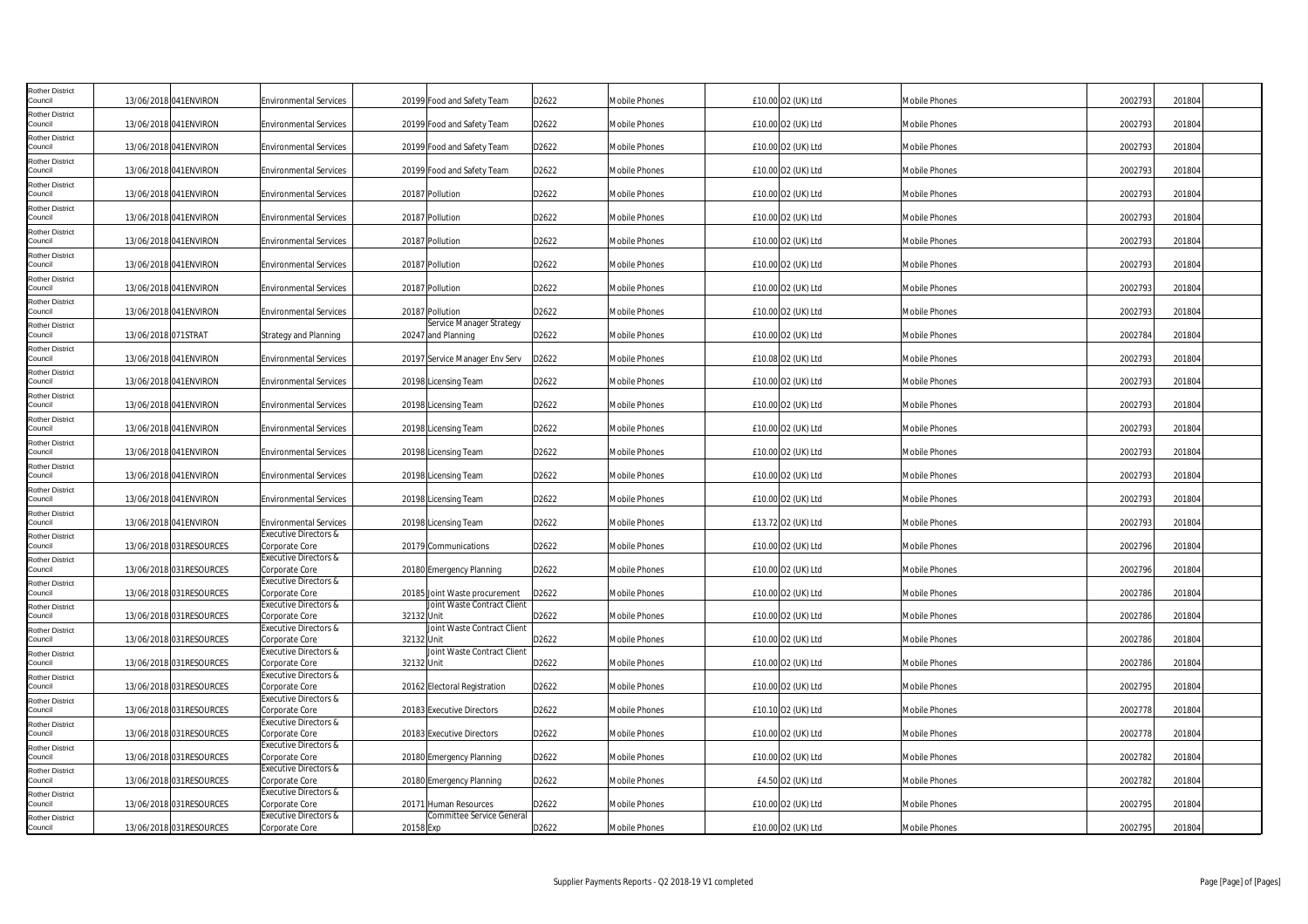| <b>Rother District</b>            |                     |                          |                                                    |                                                |       |                      |                    |                      |         |        |  |
|-----------------------------------|---------------------|--------------------------|----------------------------------------------------|------------------------------------------------|-------|----------------------|--------------------|----------------------|---------|--------|--|
| Council                           |                     | 13/06/2018 041ENVIRON    | <b>Environmental Services</b>                      | 20199 Food and Safety Team                     | D2622 | Mobile Phones        | £10.00 O2 (UK) Ltd | Mobile Phones        | 2002793 | 201804 |  |
| <b>Rother District</b><br>Council |                     | 13/06/2018 041ENVIRON    | <b>Environmental Services</b>                      | 20199 Food and Safety Team                     | D2622 | Mobile Phones        | £10.00 O2 (UK) Ltd | Mobile Phones        | 2002793 | 201804 |  |
| <b>Rother District</b><br>Council |                     |                          |                                                    |                                                |       |                      |                    |                      | 2002793 |        |  |
| <b>Rother District</b>            |                     | 13/06/2018 041ENVIRON    | <b>Environmental Services</b>                      | 20199 Food and Safety Team                     | D2622 | <b>Mobile Phones</b> | £10.00 O2 (UK) Ltd | Mobile Phones        |         | 201804 |  |
| Council                           |                     | 13/06/2018 041 ENVIRON   | <b>Environmental Services</b>                      | 20199 Food and Safety Team                     | D2622 | <b>Mobile Phones</b> | £10.00 O2 (UK) Ltd | <b>Mobile Phones</b> | 2002793 | 201804 |  |
| <b>Rother District</b><br>Council |                     | 13/06/2018 041ENVIRON    | <b>Environmental Services</b>                      | 20187 Pollution                                | D2622 | Mobile Phones        | £10.00 O2 (UK) Ltd | Mobile Phones        | 2002793 | 201804 |  |
| <b>Rother District</b>            |                     |                          |                                                    |                                                |       |                      |                    |                      |         |        |  |
| Council                           |                     | 13/06/2018 041ENVIRON    | <b>Environmental Services</b>                      | 20187 Pollution                                | D2622 | <b>Mobile Phones</b> | £10.00 O2 (UK) Ltd | Mobile Phones        | 2002793 | 201804 |  |
| <b>Rother District</b><br>Council |                     | 13/06/2018 041 ENVIRON   | <b>Environmental Services</b>                      | 20187 Pollution                                | D2622 | <b>Mobile Phones</b> | £10.00 O2 (UK) Ltd | Mobile Phones        | 2002793 | 201804 |  |
| <b>Rother District</b>            |                     |                          |                                                    |                                                |       |                      |                    |                      |         |        |  |
| Council                           |                     | 13/06/2018 041ENVIRON    | <b>Environmental Services</b>                      | 20187 Pollution                                | D2622 | Mobile Phones        | £10.00 O2 (UK) Ltd | Mobile Phones        | 2002793 | 201804 |  |
| <b>Rother District</b><br>Council |                     | 13/06/2018 041ENVIRON    | <b>Environmental Services</b>                      | 20187 Pollution                                | D2622 | Mobile Phones        | £10.00 O2 (UK) Ltd | Mobile Phones        | 2002793 | 201804 |  |
| <b>Rother District</b>            |                     |                          |                                                    |                                                |       |                      |                    |                      |         |        |  |
| Council                           |                     | 13/06/2018 041ENVIRON    | <b>Environmental Services</b>                      | 20187 Pollution                                | D2622 | <b>Mobile Phones</b> | £10.00 O2 (UK) Ltd | Mobile Phones        | 2002793 | 201804 |  |
| <b>Rother District</b><br>Council | 13/06/2018 071STRAT |                          | Strategy and Planning                              | Service Manager Strategy<br>20247 and Planning | D2622 | <b>Mobile Phones</b> | £10.00 O2 (UK) Ltd | Mobile Phones        | 2002784 | 201804 |  |
| <b>Rother District</b>            |                     |                          |                                                    |                                                |       |                      |                    |                      |         |        |  |
| Council                           |                     | 13/06/2018 041ENVIRON    | <b>Environmental Services</b>                      | 20197 Service Manager Env Serv                 | D2622 | Mobile Phones        | £10.08 O2 (UK) Ltd | Mobile Phones        | 2002793 | 201804 |  |
| <b>Rother District</b><br>Council |                     | 13/06/2018 041ENVIRON    | <b>Environmental Services</b>                      | 20198 Licensing Team                           | D2622 | Mobile Phones        | £10.00 O2 (UK) Ltd | Mobile Phones        | 2002793 | 201804 |  |
| <b>Rother District</b>            |                     |                          |                                                    |                                                |       |                      |                    |                      |         |        |  |
| Council                           |                     | 13/06/2018 041 ENVIRON   | <b>Environmental Services</b>                      | 20198 Licensing Team                           | D2622 | <b>Mobile Phones</b> | £10.00 O2 (UK) Ltd | Mobile Phones        | 2002793 | 201804 |  |
| <b>Rother District</b><br>Council |                     | 13/06/2018 041ENVIRON    | <b>Environmental Services</b>                      | 20198 Licensing Team                           | D2622 | Mobile Phones        | £10.00 O2 (UK) Ltd | <b>Mobile Phones</b> | 2002793 | 201804 |  |
| <b>Rother District</b>            |                     |                          |                                                    |                                                |       |                      |                    |                      |         |        |  |
| Council                           |                     | 13/06/2018 041ENVIRON    | <b>Environmental Services</b>                      | 20198 Licensing Team                           | D2622 | Mobile Phones        | £10.00 O2 (UK) Ltd | Mobile Phones        | 2002793 | 201804 |  |
| <b>Rother District</b><br>Council |                     | 13/06/2018 041 ENVIRON   | <b>Environmental Services</b>                      | 20198 Licensing Team                           | D2622 | <b>Mobile Phones</b> | £10.00 O2 (UK) Ltd | Mobile Phones        | 2002793 | 201804 |  |
| <b>Rother District</b>            |                     |                          |                                                    |                                                |       |                      |                    |                      |         |        |  |
| Council                           |                     | 13/06/2018 041ENVIRON    | <b>Environmental Services</b>                      | 20198 Licensing Team                           | D2622 | Mobile Phones        | £10.00 O2 (UK) Ltd | <b>Mobile Phones</b> | 2002793 | 201804 |  |
| <b>Rother District</b><br>Council |                     | 13/06/2018 041ENVIRON    | <b>Environmental Services</b>                      | 20198 Licensing Team                           | D2622 | Mobile Phones        | £13.72 O2 (UK) Ltd | Mobile Phones        | 2002793 | 201804 |  |
| <b>Rother District</b>            |                     |                          | Executive Directors &                              |                                                |       |                      |                    |                      |         |        |  |
| Council                           |                     | 13/06/2018 031RESOURCES  | Corporate Core                                     | 20179 Communications                           | D2622 | Mobile Phones        | £10.00 O2 (UK) Ltd | Mobile Phones        | 2002796 | 201804 |  |
| <b>Rother District</b><br>Council |                     | 13/06/2018 031RESOURCES  | Executive Directors &<br>Corporate Core            | 20180 Emergency Planning                       | D2622 | <b>Mobile Phones</b> | £10.00 O2 (UK) Ltd | <b>Mobile Phones</b> | 2002796 | 201804 |  |
| <b>Rother District</b>            |                     |                          | Executive Directors &                              |                                                |       |                      |                    |                      |         |        |  |
| Council                           |                     | 13/06/2018 031RESOURCES  | Corporate Core                                     | 20185 Joint Waste procurement                  | D2622 | Mobile Phones        | £10.00 O2 (UK) Ltd | Mobile Phones        | 2002786 | 201804 |  |
| <b>Rother District</b><br>Council |                     | 13/06/2018 031 RESOURCES | <b>Executive Directors &amp;</b><br>Corporate Core | Joint Waste Contract Client<br>32132 Unit      | D2622 | <b>Mobile Phones</b> | £10.00 O2 (UK) Ltd | <b>Mobile Phones</b> | 2002786 | 201804 |  |
| <b>Rother District</b>            |                     |                          | Executive Directors &                              | Joint Waste Contract Client                    |       |                      |                    |                      |         |        |  |
| Council                           |                     | 13/06/2018 031RESOURCES  | Corporate Core<br>Executive Directors &            | 32132 Unit<br>Joint Waste Contract Client      | D2622 | <b>Mobile Phones</b> | £10.00 O2 (UK) Ltd | Mobile Phones        | 2002786 | 201804 |  |
| <b>Rother District</b><br>Council |                     | 13/06/2018 031RESOURCES  | Corporate Core                                     | 32132 Unit                                     | D2622 | Mobile Phones        | £10.00 O2 (UK) Ltd | Mobile Phones        | 2002786 | 201804 |  |
| <b>Rother District</b>            |                     |                          | Executive Directors &                              |                                                |       |                      |                    |                      |         |        |  |
| Council                           |                     | 13/06/2018 031RESOURCES  | Corporate Core                                     | 20162 Electoral Registration                   | D2622 | <b>Mobile Phones</b> | £10.00 O2 (UK) Ltd | Mobile Phones        | 2002795 | 201804 |  |
| <b>Rother District</b><br>Council |                     | 13/06/2018 031RESOURCES  | Executive Directors &<br>Corporate Core            | 20183 Executive Directors                      | D2622 | <b>Mobile Phones</b> | £10.10 O2 (UK) Ltd | Mobile Phones        | 2002778 | 201804 |  |
| <b>Rother District</b>            |                     |                          | Executive Directors &                              |                                                |       |                      |                    |                      |         |        |  |
| Council                           |                     | 13/06/2018 031RESOURCES  | Corporate Core                                     | 20183 Executive Directors                      | D2622 | Mobile Phones        | £10.00 O2 (UK) Ltd | Mobile Phones        | 2002778 | 201804 |  |
| <b>Rother District</b><br>Council |                     | 13/06/2018 031 RESOURCES | <b>Executive Directors &amp;</b><br>Corporate Core | 20180 Emergency Planning                       | D2622 | Mobile Phones        | £10.00 O2 (UK) Ltd | <b>Mobile Phones</b> | 2002782 | 201804 |  |
| <b>Rother District</b>            |                     |                          | Executive Directors &                              |                                                |       |                      |                    |                      |         |        |  |
| Council                           |                     | 13/06/2018 031RESOURCES  | Corporate Core                                     | 20180 Emergency Planning                       | D2622 | Mobile Phones        | £4.50 O2 (UK) Ltd  | Mobile Phones        | 2002782 | 201804 |  |
| <b>Rother District</b><br>Council |                     | 13/06/2018 031RESOURCES  | Executive Directors &<br>Corporate Core            | 20171 Human Resources                          | D2622 | Mobile Phones        | £10.00 O2 (UK) Ltd | Mobile Phones        | 2002795 | 201804 |  |
| <b>Rother District</b>            |                     |                          | <b>Executive Directors &amp;</b>                   | Committee Service General                      |       |                      |                    |                      |         |        |  |
| Council                           |                     | 13/06/2018 031RESOURCES  | Corporate Core                                     | 20158 Exp                                      | D2622 | <b>Mobile Phones</b> | £10.00 O2 (UK) Ltd | <b>Mobile Phones</b> | 2002795 | 201804 |  |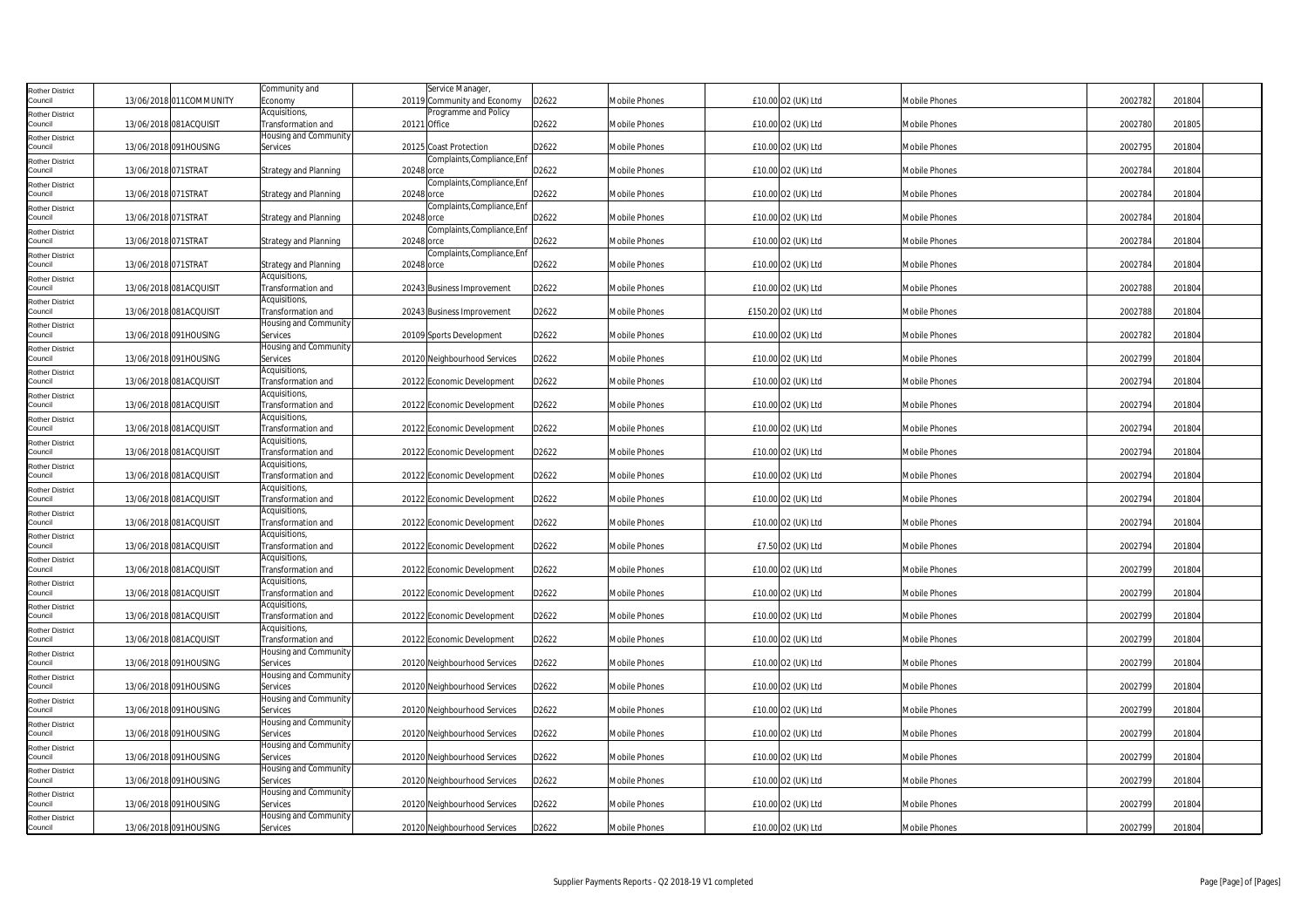| <b>Rother District</b>            |                     |                          | Community and                               | Service Manager,                                    |       |                      |                     |                      |         |        |
|-----------------------------------|---------------------|--------------------------|---------------------------------------------|-----------------------------------------------------|-------|----------------------|---------------------|----------------------|---------|--------|
| Council<br><b>Rother District</b> |                     | 13/06/2018 011 COMMUNITY | Economy<br>Acquisitions,                    | 20119 Community and Economy<br>Programme and Policy | D2622 | <b>Mobile Phones</b> | £10.00 O2 (UK) Ltd  | <b>Mobile Phones</b> | 2002782 | 201804 |
| Council                           |                     | 13/06/2018 081ACQUISIT   | Transformation and                          | 20121 Office                                        | D2622 | <b>Mobile Phones</b> | £10.00 O2 (UK) Ltd  | Mobile Phones        | 2002780 | 201805 |
| <b>Rother District</b><br>Council |                     | 13/06/2018 091HOUSING    | Housing and Community<br>Services           | 20125 Coast Protection                              | D2622 | Mobile Phones        | £10.00 O2 (UK) Ltd  | <b>Mobile Phones</b> | 2002795 | 201804 |
| <b>Rother District</b>            |                     |                          |                                             | Complaints, Compliance, Enf                         |       |                      |                     |                      |         |        |
| Council                           | 13/06/2018 071STRAT |                          | <b>Strategy and Planning</b>                | 20248 orce<br>Complaints, Compliance, Enf           | D2622 | Mobile Phones        | £10.00 O2 (UK) Ltd  | <b>Mobile Phones</b> | 2002784 | 201804 |
| <b>Rother District</b><br>Council | 13/06/2018 071STRAT |                          | <b>Strategy and Planning</b>                | 20248 orce                                          | D2622 | <b>Mobile Phones</b> | £10.00 O2 (UK) Ltd  | Mobile Phones        | 2002784 | 201804 |
| <b>Rother District</b><br>Council | 13/06/2018 071STRAT |                          | <b>Strategy and Planning</b>                | Complaints, Compliance, Enf<br>20248 orce           | D2622 | Mobile Phones        | £10.00 O2 (UK) Ltd  | Mobile Phones        | 2002784 | 201804 |
| <b>Rother District</b>            |                     |                          |                                             | Complaints, Compliance, Enf                         |       |                      |                     |                      |         |        |
| Council                           | 13/06/2018 071STRAT |                          | <b>Strategy and Planning</b>                | 20248 orce<br>Complaints, Compliance, Enf           | D2622 | Mobile Phones        | £10.00 O2 (UK) Ltd  | <b>Mobile Phones</b> | 2002784 | 201804 |
| <b>Rother District</b><br>Council | 13/06/2018 071STRAT |                          | <b>Strategy and Planning</b>                | 20248 orce                                          | D2622 | Mobile Phones        | £10.00 O2 (UK) Ltd  | <b>Mobile Phones</b> | 2002784 | 201804 |
| <b>Rother District</b><br>Council |                     | 13/06/2018 081ACQUISIT   | Acquisitions,<br>Transformation and         | 20243 Business Improvement                          | D2622 | Mobile Phones        | £10.00 O2 (UK) Ltd  | Mobile Phones        | 2002788 | 201804 |
| <b>Rother District</b>            |                     |                          | Acquisitions,                               |                                                     |       |                      |                     |                      |         |        |
| Council                           |                     | 13/06/2018 081ACQUISIT   | Transformation and<br>Housing and Community | 20243 Business Improvement                          | D2622 | Mobile Phones        | £150.20 O2 (UK) Ltd | Mobile Phones        | 2002788 | 201804 |
| <b>Rother District</b><br>Council |                     | 13/06/2018 091HOUSING    | Services                                    | 20109 Sports Development                            | D2622 | <b>Mobile Phones</b> | £10.00 O2 (UK) Ltd  | Mobile Phones        | 2002782 | 201804 |
| <b>Rother District</b><br>Council |                     | 13/06/2018 091HOUSING    | Housing and Community<br>Services           | 20120 Neighbourhood Services                        | D2622 | Mobile Phones        | £10.00 O2 (UK) Ltd  | Mobile Phones        | 2002799 | 201804 |
| <b>Rother District</b>            |                     |                          | Acquisitions,                               |                                                     |       |                      |                     |                      |         |        |
| Council                           |                     | 13/06/2018 081ACQUISIT   | Transformation and                          | 20122 Economic Development                          | D2622 | Mobile Phones        | £10.00 O2 (UK) Ltd  | Mobile Phones        | 2002794 | 201804 |
| <b>Rother District</b><br>Council |                     | 13/06/2018 081ACQUISIT   | Acquisitions,<br>Transformation and         | 20122 Economic Development                          | D2622 | Mobile Phones        | £10.00 O2 (UK) Ltd  | Mobile Phones        | 2002794 | 201804 |
| <b>Rother District</b><br>Council |                     |                          | Acquisitions,<br>Transformation and         |                                                     | D2622 | Mobile Phones        | £10.00 O2 (UK) Ltd  | Mobile Phones        | 2002794 | 201804 |
| <b>Rother District</b>            |                     | 13/06/2018 081ACQUISIT   | Acquisitions,                               | 20122 Economic Development                          |       |                      |                     |                      |         |        |
| Council                           |                     | 13/06/2018 081ACQUISIT   | Transformation and                          | 20122 Economic Development                          | D2622 | Mobile Phones        | £10.00 O2 (UK) Ltd  | Mobile Phones        | 2002794 | 201804 |
| <b>Rother District</b><br>Council |                     | 13/06/2018 081ACQUISIT   | Acquisitions,<br>Transformation and         | 20122 Economic Development                          | D2622 | Mobile Phones        | £10.00 O2 (UK) Ltd  | Mobile Phones        | 2002794 | 201804 |
| <b>Rother District</b>            |                     |                          | Acquisitions,<br>Transformation and         |                                                     |       | Mobile Phones        |                     |                      |         |        |
| Council<br><b>Rother District</b> |                     | 13/06/2018 081ACQUISIT   | Acquisitions,                               | 20122 Economic Development                          | D2622 |                      | £10.00 O2 (UK) Ltd  | Mobile Phones        | 2002794 | 201804 |
| Council                           |                     | 13/06/2018 081ACQUISIT   | Transformation and                          | 20122 Economic Development                          | D2622 | Mobile Phones        | £10.00 O2 (UK) Ltd  | <b>Mobile Phones</b> | 2002794 | 201804 |
| <b>Rother District</b><br>Council |                     | 13/06/2018 081ACQUISIT   | Acquisitions,<br>Transformation and         | 20122 Economic Development                          | D2622 | Mobile Phones        | £7.50 O2 (UK) Ltd   | Mobile Phones        | 2002794 | 201804 |
| <b>Rother District</b>            |                     |                          | Acquisitions,                               |                                                     |       |                      |                     |                      |         |        |
| Council<br><b>Rother District</b> |                     | 13/06/2018 081ACQUISIT   | Transformation and<br>Acquisitions,         | 20122 Economic Development                          | D2622 | Mobile Phones        | £10.00 O2 (UK) Ltd  | Mobile Phones        | 2002799 | 201804 |
| Council                           |                     | 13/06/2018 081ACQUISIT   | Transformation and<br>Acquisitions,         | 20122 Economic Development                          | D2622 | Mobile Phones        | £10.00 O2 (UK) Ltd  | Mobile Phones        | 2002799 | 201804 |
| <b>Rother District</b><br>Council |                     | 13/06/2018 081ACQUISIT   | Transformation and                          | 20122 Economic Development                          | D2622 | Mobile Phones        | £10.00 O2 (UK) Ltd  | Mobile Phones        | 2002799 | 201804 |
| <b>Rother District</b><br>Council |                     | 13/06/2018 081ACQUISIT   | Acquisitions,<br>Transformation and         |                                                     | D2622 | Mobile Phones        |                     | Mobile Phones        | 2002799 | 201804 |
| <b>Rother District</b>            |                     |                          | Housing and Community                       | 20122 Economic Development                          |       |                      | £10.00 O2 (UK) Ltd  |                      |         |        |
| Council                           |                     | 13/06/2018 091HOUSING    | Services                                    | 20120 Neighbourhood Services                        | D2622 | Mobile Phones        | £10.00 O2 (UK) Ltd  | Mobile Phones        | 2002799 | 201804 |
| <b>Rother District</b><br>Council |                     | 13/06/2018 091HOUSING    | Housing and Community<br>Services           | 20120 Neighbourhood Services                        | D2622 | Mobile Phones        | £10.00 O2 (UK) Ltd  | Mobile Phones        | 2002799 | 201804 |
| <b>Rother District</b>            |                     |                          | Housing and Community                       |                                                     |       |                      |                     |                      |         |        |
| Council<br><b>Rother District</b> |                     | 13/06/2018 091HOUSING    | Services<br>Housing and Community           | 20120 Neighbourhood Services                        | D2622 | Mobile Phones        | £10.00 O2 (UK) Ltd  | Mobile Phones        | 2002799 | 201804 |
| Council                           |                     | 13/06/2018 091HOUSING    | Services                                    | 20120 Neighbourhood Services                        | D2622 | Mobile Phones        | £10.00 O2 (UK) Ltd  | <b>Mobile Phones</b> | 2002799 | 201804 |
| <b>Rother District</b><br>Council |                     | 13/06/2018 091HOUSING    | Housing and Community<br>Services           | 20120 Neighbourhood Services                        | D2622 | Mobile Phones        | £10.00 O2 (UK) Ltd  | <b>Mobile Phones</b> | 2002799 | 201804 |
| <b>Rother District</b>            |                     |                          | Housing and Community                       |                                                     |       |                      |                     |                      |         |        |
| Council<br><b>Rother District</b> |                     | 13/06/2018 091HOUSING    | Services<br>Housing and Community           | 20120 Neighbourhood Services                        | D2622 | Mobile Phones        | £10.00 O2 (UK) Ltd  | Mobile Phones        | 2002799 | 201804 |
| Council                           |                     | 13/06/2018 091HOUSING    | Services                                    | 20120 Neighbourhood Services                        | D2622 | Mobile Phones        | £10.00 O2 (UK) Ltd  | Mobile Phones        | 2002799 | 201804 |
| <b>Rother District</b><br>Council |                     | 13/06/2018 091HOUSING    | Housing and Community<br>Services           | 20120 Neighbourhood Services                        | D2622 | <b>Mobile Phones</b> | £10.00 O2 (UK) Ltd  | Mobile Phones        | 2002799 | 201804 |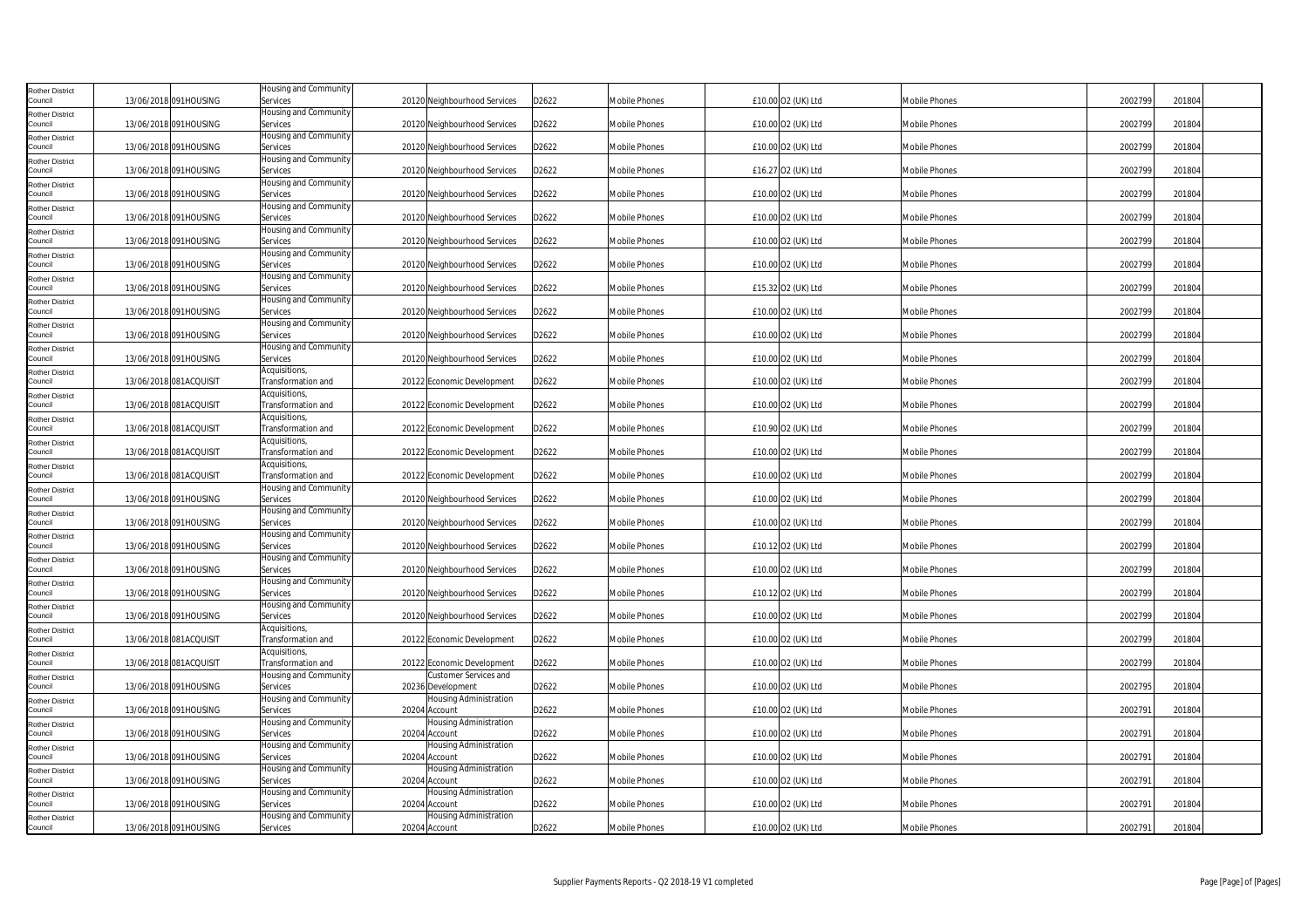| <b>Rother District</b><br>Council | 13/06/2018 091HOUSING  | Housing and Community<br>Services          | 20120 Neighbourhood Services               | D2622 | <b>Mobile Phones</b> | £10.00 O2 (UK) Ltd | <b>Mobile Phones</b> | 2002799 | 201804 |
|-----------------------------------|------------------------|--------------------------------------------|--------------------------------------------|-------|----------------------|--------------------|----------------------|---------|--------|
| <b>Rother District</b>            |                        | <b>Housing and Community</b>               |                                            |       |                      |                    |                      |         |        |
| Council                           | 13/06/2018 091HOUSING  | Services<br>Housing and Community          | 20120 Neighbourhood Services               | D2622 | <b>Mobile Phones</b> | £10.00 O2 (UK) Ltd | Mobile Phones        | 2002799 | 201804 |
| <b>Rother District</b><br>Council | 13/06/2018 091HOUSING  | Services                                   | 20120 Neighbourhood Services               | D2622 | <b>Mobile Phones</b> | £10.00 O2 (UK) Ltd | Mobile Phones        | 2002799 | 201804 |
| <b>Rother District</b>            |                        | Housing and Community                      |                                            |       |                      |                    |                      |         |        |
| Council<br><b>Rother District</b> | 13/06/2018 091HOUSING  | Services<br>Housing and Community          | 20120 Neighbourhood Services               | D2622 | <b>Mobile Phones</b> | £16.27 O2 (UK) Ltd | <b>Mobile Phones</b> | 2002799 | 201804 |
| Council                           | 13/06/2018 091HOUSING  | Services                                   | 20120 Neighbourhood Services               | D2622 | Mobile Phones        | £10.00 O2 (UK) Ltd | Mobile Phones        | 2002799 | 201804 |
| <b>Rother District</b><br>Council | 13/06/2018 091HOUSING  | Housing and Community<br>Services          | 20120 Neighbourhood Services               | D2622 | <b>Mobile Phones</b> | £10.00 O2 (UK) Ltd | Mobile Phones        | 2002799 | 201804 |
| <b>Rother District</b>            |                        | Housing and Community                      |                                            |       |                      |                    |                      |         |        |
| Council                           | 13/06/2018 091HOUSING  | Services<br>Housing and Community          | 20120 Neighbourhood Services               | D2622 | <b>Mobile Phones</b> | £10.00 O2 (UK) Ltd | <b>Mobile Phones</b> | 2002799 | 201804 |
| <b>Rother District</b><br>Council | 13/06/2018 091HOUSING  | Services                                   | 20120 Neighbourhood Services               | D2622 | <b>Mobile Phones</b> | £10.00 O2 (UK) Ltd | <b>Mobile Phones</b> | 2002799 | 201804 |
| <b>Rother District</b>            |                        | Housing and Community                      |                                            |       |                      |                    |                      |         |        |
| Council<br><b>Rother District</b> | 13/06/2018 091HOUSING  | Services<br>Housing and Community          | 20120 Neighbourhood Services               | D2622 | <b>Mobile Phones</b> | £15.32 O2 (UK) Ltd | Mobile Phones        | 2002799 | 201804 |
| Council                           | 13/06/2018 091HOUSING  | Services                                   | 20120 Neighbourhood Services               | D2622 | <b>Mobile Phones</b> | £10.00 O2 (UK) Ltd | Mobile Phones        | 2002799 | 201804 |
| <b>Rother District</b><br>Council | 13/06/2018 091HOUSING  | Housing and Community<br>Services          | 20120 Neighbourhood Services               | D2622 | Mobile Phones        | £10.00 O2 (UK) Ltd | Mobile Phones        | 2002799 | 201804 |
| Rother District                   |                        | Housing and Community                      |                                            |       |                      |                    |                      |         |        |
| Council                           | 13/06/2018 091HOUSING  | Services                                   | 20120 Neighbourhood Services               | D2622 | <b>Mobile Phones</b> | £10.00 O2 (UK) Ltd | Mobile Phones        | 2002799 | 201804 |
| <b>Rother District</b><br>Council | 13/06/2018 081ACQUISIT | Acquisitions,<br>Fransformation and        | 20122 Economic Development                 | D2622 | <b>Mobile Phones</b> | £10.00 O2 (UK) Ltd | Mobile Phones        | 2002799 | 201804 |
| <b>Rother District</b>            |                        | Acquisitions,                              |                                            |       |                      |                    |                      |         |        |
| Council<br><b>Rother District</b> | 13/06/2018 081ACQUISIT | Fransformation and<br>Acquisitions,        | 20122 Economic Development                 | D2622 | <b>Mobile Phones</b> | £10.00 O2 (UK) Ltd | Mobile Phones        | 2002799 | 201804 |
| Council                           | 13/06/2018 081ACQUISIT | ransformation and                          | 20122 Economic Development                 | D2622 | <b>Mobile Phones</b> | £10.90 O2 (UK) Ltd | <b>Mobile Phones</b> | 2002799 | 201804 |
| <b>Rother District</b><br>Council | 13/06/2018 081ACQUISIT | Acquisitions,<br><b>Fransformation</b> and | 20122 Economic Development                 | D2622 | <b>Mobile Phones</b> | £10.00 O2 (UK) Ltd | Mobile Phones        | 2002799 | 201804 |
| <b>Rother District</b>            |                        | Acquisitions,                              |                                            |       |                      |                    |                      |         |        |
| Council                           | 13/06/2018 081ACQUISIT | Transformation and                         | 20122 Economic Development                 | D2622 | <b>Mobile Phones</b> | £10.00 O2 (UK) Ltd | Mobile Phones        | 2002799 | 201804 |
| <b>Rother District</b><br>Council | 13/06/2018 091HOUSING  | Housing and Community<br>Services          | 20120 Neighbourhood Services               | D2622 | <b>Mobile Phones</b> | £10.00 O2 (UK) Ltd | Mobile Phones        | 2002799 | 201804 |
| <b>Rother District</b>            |                        | Housing and Community                      |                                            |       |                      |                    |                      |         |        |
| Council<br><b>Rother District</b> | 13/06/2018 091HOUSING  | Services<br>Housing and Community          | 20120 Neighbourhood Services               | D2622 | <b>Mobile Phones</b> | £10.00 O2 (UK) Ltd | <b>Mobile Phones</b> | 2002799 | 201804 |
| Council                           | 13/06/2018 091HOUSING  | Services                                   | 20120 Neighbourhood Services               | D2622 | <b>Mobile Phones</b> | £10.12 O2 (UK) Ltd | Mobile Phones        | 2002799 | 201804 |
| <b>Rother District</b><br>Council | 13/06/2018 091HOUSING  | Housing and Community<br>Services          | 20120 Neighbourhood Services               | D2622 | <b>Mobile Phones</b> | £10.00 O2 (UK) Ltd | Mobile Phones        | 2002799 | 201804 |
| <b>Rother District</b>            |                        | Housing and Community                      |                                            |       |                      |                    |                      |         |        |
| Council                           | 13/06/2018 091HOUSING  | Services                                   | 20120 Neighbourhood Services               | D2622 | <b>Mobile Phones</b> | £10.12 O2 (UK) Ltd | Mobile Phones        | 2002799 | 201804 |
| <b>Rother District</b><br>Council | 13/06/2018 091HOUSING  | Housing and Community<br>Services          | 20120 Neighbourhood Services               | D2622 | <b>Mobile Phones</b> | £10.00 O2 (UK) Ltd | Mobile Phones        | 2002799 | 201804 |
| <b>Rother District</b>            |                        | Acquisitions,                              |                                            |       |                      |                    |                      |         |        |
| Council<br><b>Rother District</b> | 13/06/2018 081ACQUISIT | Fransformation and<br>Acquisitions,        | 20122 Economic Development                 | D2622 | <b>Mobile Phones</b> | £10.00 O2 (UK) Ltd | Mobile Phones        | 2002799 | 201804 |
| Council                           | 13/06/2018 081ACQUISIT | Fransformation and                         | 20122 Economic Development                 | D2622 | <b>Mobile Phones</b> | £10.00 O2 (UK) Ltd | Mobile Phones        | 2002799 | 201804 |
| <b>Rother District</b><br>Council | 13/06/2018 091HOUSING  | Housing and Community<br>Services          | Customer Services and<br>20236 Development | D2622 | <b>Mobile Phones</b> | £10.00 O2 (UK) Ltd | Mobile Phones        | 2002795 | 201804 |
| <b>Rother District</b>            |                        | Housing and Community                      | Housing Administration                     |       |                      |                    |                      |         |        |
| Council                           | 13/06/2018 091HOUSING  | Services                                   | 20204 Account                              | D2622 | Mobile Phones        | £10.00 O2 (UK) Ltd | Mobile Phones        | 2002791 | 201804 |
| <b>Rother District</b><br>Council | 13/06/2018 091HOUSING  | Housing and Community<br>Services          | Housing Administration<br>20204 Account    | D2622 | <b>Mobile Phones</b> | £10.00 O2 (UK) Ltd | Mobile Phones        | 2002791 | 201804 |
| <b>Rother District</b>            |                        | Housing and Community                      | Housing Administration                     |       |                      |                    |                      |         |        |
| Council                           | 13/06/2018 091HOUSING  | Services<br>Housing and Community          | 20204 Account<br>Housing Administration    | D2622 | <b>Mobile Phones</b> | £10.00 O2 (UK) Ltd | <b>Mobile Phones</b> | 2002791 | 201804 |
| <b>Rother District</b><br>Council | 13/06/2018 091HOUSING  | Services                                   | 20204 Account                              | D2622 | Mobile Phones        | £10.00 O2 (UK) Ltd | Mobile Phones        | 2002791 | 201804 |
| <b>Rother District</b><br>Council |                        | Housing and Community                      | Housing Administration                     |       |                      |                    |                      |         |        |
| <b>Rother District</b>            | 13/06/2018 091HOUSING  | Services<br>Housing and Community          | 20204 Account<br>Housing Administration    | D2622 | Mobile Phones        | £10.00 O2 (UK) Ltd | <b>Mobile Phones</b> | 2002791 | 201804 |
| Council                           | 13/06/2018 091HOUSING  | Services                                   | 20204 Account                              | D2622 | <b>Mobile Phones</b> | £10.00 O2 (UK) Ltd | Mobile Phones        | 2002791 | 201804 |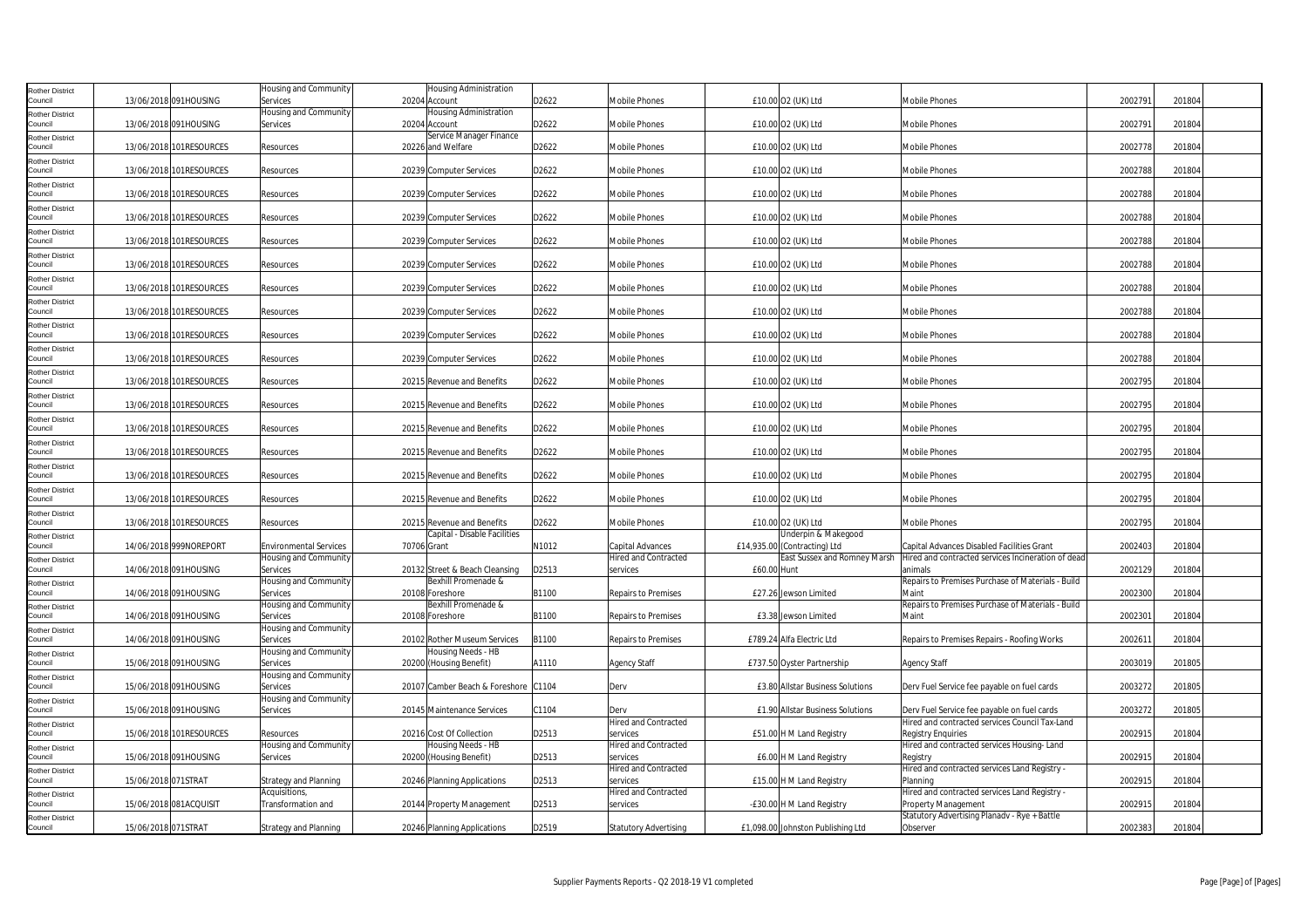| <b>Rother District</b><br>Council                           |                     | 13/06/2018 091HOUSING   | Housing and Community<br>Services   | 20204 Account | <b>Housing Administration</b>                              | D2622 | Mobile Phones                           | £10.00 O2 (UK) Ltd                          | <b>Mobile Phones</b>                                                        | 2002791 | 201804 |
|-------------------------------------------------------------|---------------------|-------------------------|-------------------------------------|---------------|------------------------------------------------------------|-------|-----------------------------------------|---------------------------------------------|-----------------------------------------------------------------------------|---------|--------|
| <b>Rother District</b><br>Council                           |                     | 13/06/2018 091HOUSING   | Housing and Community<br>Services   |               | <b>Housing Administration</b><br>20204 Account             | D2622 | Mobile Phones                           | £10.00 O2 (UK) Ltd                          | <b>Mobile Phones</b>                                                        | 2002791 | 201804 |
| <b>Rother District</b><br>Council                           |                     | 13/06/2018 101RESOURCES | Resources                           |               | Service Manager Finance<br>20226 and Welfare               | D2622 | Mobile Phones                           | £10.00 O2 (UK) Ltd                          | Mobile Phones                                                               | 2002778 | 201804 |
| <b>Rother District</b><br>Council                           |                     | 13/06/2018 101RESOURCES | Resources                           |               | 20239 Computer Services                                    | D2622 | Mobile Phones                           | £10.00 O2 (UK) Ltd                          | <b>Mobile Phones</b>                                                        | 2002788 | 201804 |
| <b>Rother District</b><br>Council                           |                     | 13/06/2018 101RESOURCES | Resources                           |               | 20239 Computer Services                                    | D2622 | Mobile Phones                           | £10.00 O2 (UK) Ltd                          | <b>Mobile Phones</b>                                                        | 2002788 | 201804 |
| <b>Rother District</b><br>Council                           |                     | 13/06/2018 101RESOURCES | Resources                           |               | 20239 Computer Services                                    | D2622 | Mobile Phones                           | £10.00 O2 (UK) Ltd                          | Mobile Phones                                                               | 2002788 | 201804 |
| <b>Rother District</b><br>Council                           |                     | 13/06/2018 101RESOURCES | Resources                           |               | 20239 Computer Services                                    | D2622 | Mobile Phones                           | £10.00 O2 (UK) Ltd                          | Mobile Phones                                                               | 2002788 | 201804 |
| <b>Rother District</b><br>Council                           |                     | 13/06/2018 101RESOURCES | Resources                           |               | 20239 Computer Services                                    | D2622 | Mobile Phones                           | £10.00 O2 (UK) Ltd                          | Mobile Phones                                                               | 2002788 | 201804 |
| <b>Rother District</b><br>Council                           |                     | 13/06/2018 101RESOURCES | Resources                           |               | 20239 Computer Services                                    | D2622 | Mobile Phones                           | £10.00 O2 (UK) Ltd                          | Mobile Phones                                                               | 2002788 | 201804 |
| <b>Rother District</b><br>Council                           |                     | 13/06/2018 101RESOURCES | Resources                           |               | 20239 Computer Services                                    | D2622 | Mobile Phones                           | £10.00 O2 (UK) Ltd                          | Mobile Phones                                                               | 2002788 | 201804 |
| Rother District<br>Council                                  |                     | 13/06/2018 101RESOURCES | Resources                           |               | 20239 Computer Services                                    | D2622 | Mobile Phones                           | £10.00 O2 (UK) Ltd                          | Mobile Phones                                                               | 2002788 | 201804 |
| <b>Rother District</b><br>Council                           |                     | 13/06/2018 101RESOURCES | Resources                           |               | 20239 Computer Services                                    | D2622 | Mobile Phones                           | £10.00 O2 (UK) Ltd                          | <b>Mobile Phones</b>                                                        | 2002788 | 201804 |
| <b>Rother District</b><br>Council                           |                     | 13/06/2018 101RESOURCES | Resources                           |               | 20215 Revenue and Benefits                                 | D2622 | Mobile Phones                           | £10.00 O2 (UK) Ltd                          | Mobile Phones                                                               | 2002795 | 201804 |
| <b>Rother District</b><br>Council                           |                     | 13/06/2018 101RESOURCES | Resources                           |               | 20215 Revenue and Benefits                                 | D2622 | Mobile Phones                           | £10.00 O2 (UK) Ltd                          | Mobile Phones                                                               | 2002795 | 201804 |
| <b>Rother District</b><br>Council                           |                     | 13/06/2018 101RESOURCES | Resources                           |               | 20215 Revenue and Benefits                                 | D2622 | <b>Mobile Phones</b>                    | £10.00 O2 (UK) Ltd                          | Mobile Phones                                                               | 2002795 | 201804 |
| <b>Rother District</b><br>Council                           |                     | 13/06/2018 101RESOURCES | Resources                           |               | 20215 Revenue and Benefits                                 | D2622 | Mobile Phones                           | £10.00 O2 (UK) Ltd                          | Mobile Phones                                                               | 2002795 | 201804 |
| <b>Rother District</b><br>Council                           |                     | 13/06/2018 101RESOURCES | Resources                           |               | 20215 Revenue and Benefits                                 | D2622 | Mobile Phones                           | £10.00 O2 (UK) Ltd                          | Mobile Phones                                                               | 2002795 | 201804 |
| <b>Rother District</b><br>Council<br><b>Rother District</b> |                     | 13/06/2018 101RESOURCES | Resources                           |               | 20215 Revenue and Benefits                                 | D2622 | Mobile Phones                           | £10.00 O2 (UK) Ltd                          | Mobile Phones                                                               | 2002795 | 201804 |
| Council                                                     |                     | 13/06/2018 101RESOURCES | Resources                           |               | 20215 Revenue and Benefits<br>Capital - Disable Facilities | D2622 | Mobile Phones                           | £10.00 O2 (UK) Ltd<br>Underpin & Makegood   | Mobile Phones                                                               | 2002795 | 201804 |
| <b>Rother District</b><br>Council                           |                     | 14/06/2018 999NOREPORT  | <b>Environmental Services</b>       | 70706 Grant   |                                                            | N1012 | Capital Advances                        | £14,935.00 (Contracting) Ltd                | Capital Advances Disabled Facilities Grant                                  | 2002403 | 201804 |
| <b>Rother District</b><br>Council                           |                     | 14/06/2018 091HOUSING   | Housing and Community<br>Services   |               | 20132 Street & Beach Cleansing                             | D2513 | <b>Hired and Contracted</b><br>services | East Sussex and Romney Marsh<br>£60.00 Hunt | Hired and contracted services Incineration of dead<br>animals               | 2002129 | 201804 |
| <b>Rother District</b>                                      |                     |                         | Housing and Community               |               | Bexhill Promenade &                                        |       |                                         |                                             | Repairs to Premises Purchase of Materials - Build                           |         |        |
| Council<br><b>Rother District</b>                           |                     | 14/06/2018 091HOUSING   | Services<br>Housing and Community   |               | 20108 Foreshore<br>Bexhill Promenade &                     | B1100 | <b>Repairs to Premises</b>              | £27.26 Jewson Limited                       | Maint<br>Repairs to Premises Purchase of Materials - Build                  | 2002300 | 201804 |
| Council<br><b>Rother District</b>                           |                     | 14/06/2018 091HOUSING   | Services<br>Housing and Community   |               | 20108 Foreshore                                            | B1100 | <b>Repairs to Premises</b>              | £3.38 Jewson Limited                        | Maint                                                                       | 2002301 | 201804 |
| Council                                                     |                     | 14/06/2018 091HOUSING   | Services                            |               | 20102 Rother Museum Services                               | B1100 | Repairs to Premises                     | £789.24 Alfa Electric Ltd                   | Repairs to Premises Repairs - Roofing Works                                 | 2002611 | 201804 |
| <b>Rother District</b><br>Council                           |                     | 15/06/2018 091HOUSING   | Housing and Community<br>Services   |               | Housing Needs - HB<br>20200 (Housing Benefit)              | A1110 | <b>Agency Staff</b>                     | £737.50 Oyster Partnership                  | <b>Agency Staff</b>                                                         | 2003019 | 201805 |
| <b>Rother District</b><br>Council                           |                     | 15/06/2018 091HOUSING   | Housing and Community<br>Services   |               | 20107 Camber Beach & Foreshore C1104                       |       | Derv                                    | £3.80 Allstar Business Solutions            | Derv Fuel Service fee payable on fuel cards                                 | 2003272 | 201805 |
| <b>Rother District</b><br>Council                           |                     | 15/06/2018 091HOUSING   | Housing and Community<br>Services   |               | 20145 Maintenance Services                                 | C1104 | Derv                                    | £1.90 Allstar Business Solutions            | Derv Fuel Service fee payable on fuel cards                                 | 2003272 | 201805 |
| <b>Rother District</b><br>Council                           |                     | 15/06/2018 101RESOURCES | Resources                           |               | 20216 Cost Of Collection                                   | D2513 | <b>Hired and Contracted</b><br>services | £51.00 H M Land Registry                    | Hired and contracted services Council Tax-Land<br><b>Registry Enquiries</b> | 2002915 | 201804 |
| <b>Rother District</b><br>Council                           |                     | 15/06/2018 091HOUSING   | Housing and Community<br>Services   |               | Housing Needs - HB<br>20200 (Housing Benefit)              | D2513 | <b>Hired and Contracted</b><br>services | £6.00 H M Land Registry                     | Hired and contracted services Housing-Land<br>Registry                      | 2002915 | 201804 |
| <b>Rother District</b><br>Council                           | 15/06/2018 071STRAT |                         | <b>Strategy and Planning</b>        |               | 20246 Planning Applications                                | D2513 | <b>Hired and Contracted</b><br>services | £15.00 H M Land Registry                    | Hired and contracted services Land Registry -<br>Planning                   | 2002915 | 201804 |
| <b>Rother District</b><br>Council                           |                     | 15/06/2018 081ACQUISIT  | Acquisitions,<br>Transformation and |               | 20144 Property Management                                  | D2513 | <b>Hired and Contracted</b><br>services | -£30.00 H M Land Registry                   | Hired and contracted services Land Registry -<br>Property Management        | 2002915 | 201804 |
| <b>Rother District</b><br>Council                           | 15/06/2018 071STRAT |                         | <b>Strategy and Planning</b>        |               | 20246 Planning Applications                                | D2519 | <b>Statutory Advertising</b>            | £1,098.00 Johnston Publishing Ltd           | Statutory Advertising Planadv - Rye + Battle<br>Observer                    | 2002383 | 201804 |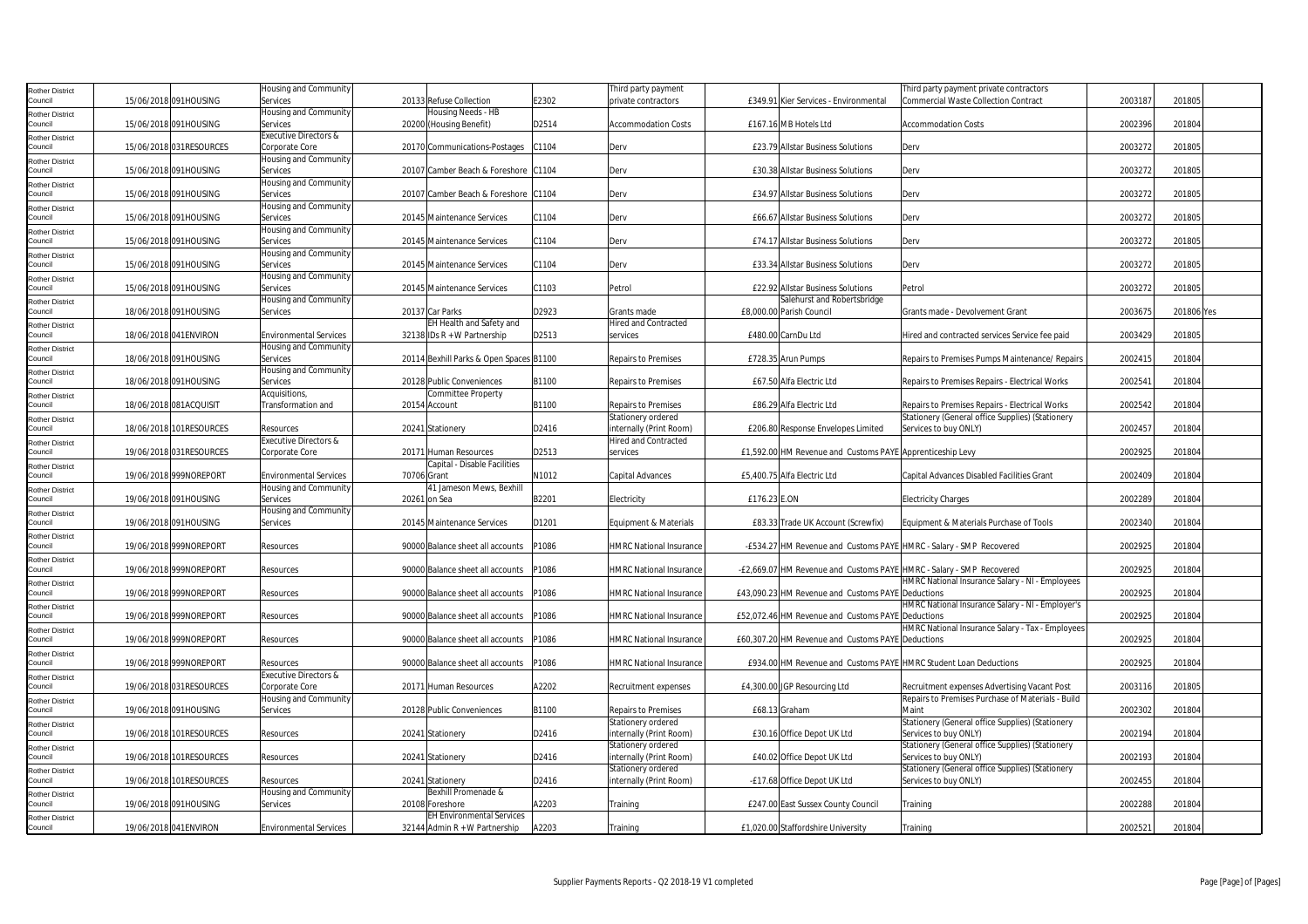| <b>Rother District</b>            |                         | Housing and Community              |              |                                                     |       | Third party payment                             |                                                                      | Third party payment private contractors                                   |         |            |
|-----------------------------------|-------------------------|------------------------------------|--------------|-----------------------------------------------------|-------|-------------------------------------------------|----------------------------------------------------------------------|---------------------------------------------------------------------------|---------|------------|
| Council                           | 15/06/2018 091HOUSING   | Services                           |              | 20133 Refuse Collection                             | E2302 | private contractors                             | £349.91 Kier Services - Environmental                                | <b>Commercial Waste Collection Contract</b>                               | 2003187 | 201805     |
| <b>Rother District</b><br>Council | 15/06/2018 091HOUSING   | Housing and Community<br>Services  |              | Housing Needs - HB<br>20200 (Housing Benefit)       | D2514 | <b>Accommodation Costs</b>                      | £167.16 MB Hotels Ltd                                                | <b>Accommodation Costs</b>                                                | 2002396 | 201804     |
| <b>Rother District</b>            |                         | Executive Directors &              |              |                                                     |       |                                                 |                                                                      |                                                                           |         |            |
| Council                           | 15/06/2018 031RESOURCES | Corporate Core                     |              | 20170 Communications-Postages                       | C1104 | Derv                                            | £23.79 Allstar Business Solutions                                    | Derv                                                                      | 2003272 | 201805     |
| <b>Rother District</b>            |                         | Housing and Community              |              |                                                     |       |                                                 |                                                                      |                                                                           |         |            |
| Council                           | 15/06/2018 091HOUSING   | Services                           |              | 20107 Camber Beach & Foreshore C1104                |       | Derv                                            | £30.38 Allstar Business Solutions                                    | Derv                                                                      | 2003272 | 201805     |
| <b>Rother District</b>            |                         | Housing and Community              |              |                                                     |       |                                                 |                                                                      |                                                                           |         |            |
| Council                           | 15/06/2018 091HOUSING   | Services<br>Housing and Community  |              | 20107 Camber Beach & Foreshore C1104                |       | Derv                                            | £34.97 Allstar Business Solutions                                    | Derv                                                                      | 2003272 | 201805     |
| <b>Rother District</b><br>Council | 15/06/2018 091HOUSING   | Services                           |              | 20145 Maintenance Services                          | C1104 | Derv                                            | £66.67 Allstar Business Solutions                                    | Derv                                                                      | 2003272 | 201805     |
| <b>Rother District</b>            |                         | Housing and Community              |              |                                                     |       |                                                 |                                                                      |                                                                           |         |            |
| Council                           | 15/06/2018 091HOUSING   | Services                           |              | 20145 Maintenance Services                          | C1104 | Derv                                            | £74.17 Allstar Business Solutions                                    | Derv                                                                      | 2003272 | 201805     |
| <b>Rother District</b>            |                         | Housing and Community              |              |                                                     |       |                                                 |                                                                      |                                                                           |         |            |
| Council                           | 15/06/2018 091HOUSING   | Services                           |              | 20145 Maintenance Services                          | C1104 | Derv                                            | £33.34 Allstar Business Solutions                                    | Derv                                                                      | 2003272 | 201805     |
| <b>Rother District</b><br>Council | 15/06/2018 091HOUSING   | Housing and Community<br>Services  |              | 20145 Maintenance Services                          | C1103 | Petrol                                          | £22.92 Allstar Business Solutions                                    | Petrol                                                                    | 2003272 | 201805     |
| <b>Rother District</b>            |                         | Housing and Community              |              |                                                     |       |                                                 | Salehurst and Robertsbridge                                          |                                                                           |         |            |
| Council                           | 18/06/2018 091HOUSING   | Services                           |              | 20137 Car Parks                                     | D2923 | Grants made                                     | £8,000.00 Parish Council                                             | Grants made - Devolvement Grant                                           | 2003675 | 201806 Yes |
| <b>Rother District</b>            |                         |                                    |              | EH Health and Safety and                            |       | lired and Contracted                            |                                                                      |                                                                           |         |            |
| Council                           | 18/06/2018 041 ENVIRON  | <b>Environmental Services</b>      |              | 32138 IDs R + W Partnership                         | D2513 | services                                        | £480.00 CarnDu Ltd                                                   | Hired and contracted services Service fee paid                            | 2003429 | 201805     |
| <b>Rother District</b>            |                         | Housing and Community              |              |                                                     |       |                                                 |                                                                      |                                                                           |         |            |
| Council                           | 18/06/2018 091HOUSING   | Services<br>Housing and Community  |              | 20114 Bexhill Parks & Open Spaces B1100             |       | <b>Repairs to Premises</b>                      | £728.35 Arun Pumps                                                   | Repairs to Premises Pumps Maintenance/ Repairs                            | 2002415 | 201804     |
| <b>Rother District</b><br>Council | 18/06/2018 091HOUSING   | Services                           |              | 20128 Public Conveniences                           | B1100 | <b>Repairs to Premises</b>                      | £67.50 Alfa Electric Ltd                                             | Repairs to Premises Repairs - Electrical Works                            | 2002541 | 201804     |
| <b>Rother District</b>            |                         | Acquisitions,                      |              | Committee Property                                  |       |                                                 |                                                                      |                                                                           |         |            |
| Council                           | 18/06/2018 081ACQUISIT  | Transformation and                 |              | 20154 Account                                       | B1100 | <b>Repairs to Premises</b>                      | £86.29 Alfa Electric Ltd                                             | Repairs to Premises Repairs - Electrical Works                            | 2002542 | 201804     |
| <b>Rother District</b>            |                         |                                    |              |                                                     |       | Stationery ordered                              |                                                                      | Stationery (General office Supplies) (Stationery                          |         |            |
| Council                           | 18/06/2018 101RESOURCES | Resources<br>Executive Directors & |              | 20241 Stationery                                    | D2416 | internally (Print Room)<br>Hired and Contracted | £206.80 Response Envelopes Limited                                   | Services to buy ONLY)                                                     | 2002457 | 201804     |
| <b>Rother District</b><br>Council | 19/06/2018 031RESOURCES | Corporate Core                     |              | 20171 Human Resources                               | D2513 | services                                        | £1,592.00 HM Revenue and Customs PAYE Apprenticeship Levy            |                                                                           | 2002925 | 201804     |
| <b>Rother District</b>            |                         |                                    |              | Capital - Disable Facilities                        |       |                                                 |                                                                      |                                                                           |         |            |
| Council                           | 19/06/2018 999NOREPORT  | <b>Environmental Services</b>      | 70706 Grant  |                                                     | N1012 | Capital Advances                                | £5,400.75 Alfa Electric Ltd                                          | Capital Advances Disabled Facilities Grant                                | 2002409 | 201804     |
| Rother District                   |                         | Housing and Community              |              | 41 Jameson Mews, Bexhill                            |       |                                                 |                                                                      |                                                                           |         |            |
| Council                           | 19/06/2018 091HOUSING   | Services                           | 20261 on Sea |                                                     | B2201 | Electricity                                     | £176.23 E.ON                                                         | <b>Electricity Charges</b>                                                | 2002289 | 201804     |
| <b>Rother District</b><br>Council | 19/06/2018 091HOUSING   | Housing and Community<br>Services  |              | 20145 Maintenance Services                          | D1201 | Equipment & Materials                           | £83.33 Trade UK Account (Screwfix)                                   | Equipment & Materials Purchase of Tools                                   | 2002340 | 201804     |
| <b>Rother District</b>            |                         |                                    |              |                                                     |       |                                                 |                                                                      |                                                                           |         |            |
| Council                           | 19/06/2018 999NOREPORT  | Resources                          |              | 90000 Balance sheet all accounts                    | P1086 | <b>HMRC National Insurance</b>                  | -£534.27 HM Revenue and Customs PAYE HMRC - Salary - SMP Recovered   |                                                                           | 2002925 | 201804     |
| <b>Rother District</b>            |                         |                                    |              |                                                     |       |                                                 |                                                                      |                                                                           |         |            |
| Council                           | 19/06/2018 999NOREPORT  | Resources                          |              | 90000 Balance sheet all accounts                    | P1086 | <b>HMRC National Insurance</b>                  | -£2,669.07 HM Revenue and Customs PAYE HMRC - Salary - SMP Recovered |                                                                           | 2002925 | 201804     |
| <b>Rother District</b><br>Council | 19/06/2018 999NOREPORT  | Resources                          |              | 90000 Balance sheet all accounts                    | P1086 | <b>HMRC National Insurance</b>                  | £43,090.23 HM Revenue and Customs PAYE Deductions                    | HMRC National Insurance Salary - NI - Employees                           | 2002925 | 201804     |
| <b>Rother District</b>            |                         |                                    |              |                                                     |       |                                                 |                                                                      | HMRC National Insurance Salary - NI - Employer's                          |         |            |
| Council                           | 19/06/2018 999NOREPORT  | Resources                          |              | 90000 Balance sheet all accounts                    | P1086 | <b>HMRC National Insurance</b>                  | £52,072.46 HM Revenue and Customs PAYE Deductions                    |                                                                           | 2002925 | 201804     |
| <b>Rother District</b>            |                         |                                    |              |                                                     |       |                                                 |                                                                      | HMRC National Insurance Salary - Tax - Employees                          |         |            |
| Council                           | 19/06/2018 999NOREPORT  | Resources                          |              | 90000 Balance sheet all accounts                    | P1086 | <b>HMRC National Insurance</b>                  | £60,307.20 HM Revenue and Customs PAYE Deductions                    |                                                                           | 2002925 | 201804     |
| <b>Rother District</b><br>Council | 19/06/2018 999NOREPORT  | Resources                          |              | 90000 Balance sheet all accounts                    | P1086 | <b>HMRC National Insurance</b>                  | £934.00 HM Revenue and Customs PAYE HMRC Student Loan Deductions     |                                                                           | 2002925 | 201804     |
| <b>Rother District</b>            |                         | Executive Directors &              |              |                                                     |       |                                                 |                                                                      |                                                                           |         |            |
| Council                           | 19/06/2018 031RESOURCES | Corporate Core                     |              | 20171 Human Resources                               | A2202 | Recruitment expenses                            | £4,300.00 JGP Resourcing Ltd                                         | Recruitment expenses Advertising Vacant Post                              | 2003116 | 201805     |
| <b>Rother District</b>            |                         | Housing and Community              |              |                                                     |       |                                                 |                                                                      | Repairs to Premises Purchase of Materials - Build                         |         |            |
| Council                           | 19/06/2018 091HOUSING   | Services                           |              | 20128 Public Conveniences                           | B1100 | Repairs to Premises                             | £68.13 Graham                                                        | Maint                                                                     | 2002302 | 201804     |
| <b>Rother District</b><br>Council | 19/06/2018 101RESOURCES |                                    |              | 20241 Stationery                                    | D2416 | Stationery ordered                              | £30.16 Office Depot UK Ltd                                           | Stationery (General office Supplies) (Stationery                          | 2002194 | 201804     |
|                                   |                         | Resources                          |              |                                                     |       | internally (Print Room)<br>Stationery ordered   |                                                                      | Services to buy ONLY)<br>Stationery (General office Supplies) (Stationery |         |            |
| <b>Rother District</b><br>Council | 19/06/2018 101RESOURCES | Resources                          |              | 20241 Stationery                                    | D2416 | nternally (Print Room)                          | £40.02 Office Depot UK Ltd                                           | Services to buy ONLY)                                                     | 2002193 | 201804     |
| <b>Rother District</b>            |                         |                                    |              |                                                     |       | Stationery ordered                              |                                                                      | Stationery (General office Supplies) (Stationery                          |         |            |
| Council                           | 19/06/2018 101RESOURCES | Resources                          |              | 20241 Stationery                                    | D2416 | nternally (Print Room)                          | -£17.68 Office Depot UK Ltd                                          | Services to buy ONLY)                                                     | 2002455 | 201804     |
| <b>Rother District</b>            |                         | Housing and Community              |              | Bexhill Promenade &                                 |       |                                                 |                                                                      |                                                                           |         |            |
| Council                           | 19/06/2018 091HOUSING   | Services                           |              | 20108 Foreshore<br><b>EH Environmental Services</b> | A2203 | Training                                        | £247.00 East Sussex County Council                                   | Training                                                                  | 2002288 | 201804     |
| <b>Rother District</b><br>Council | 19/06/2018 041ENVIRON   | <b>Environmental Services</b>      |              | 32144 Admin $R + W$ Partnership                     | A2203 | <b>Training</b>                                 | £1,020.00 Staffordshire University                                   | Training                                                                  | 2002521 | 201804     |
|                                   |                         |                                    |              |                                                     |       |                                                 |                                                                      |                                                                           |         |            |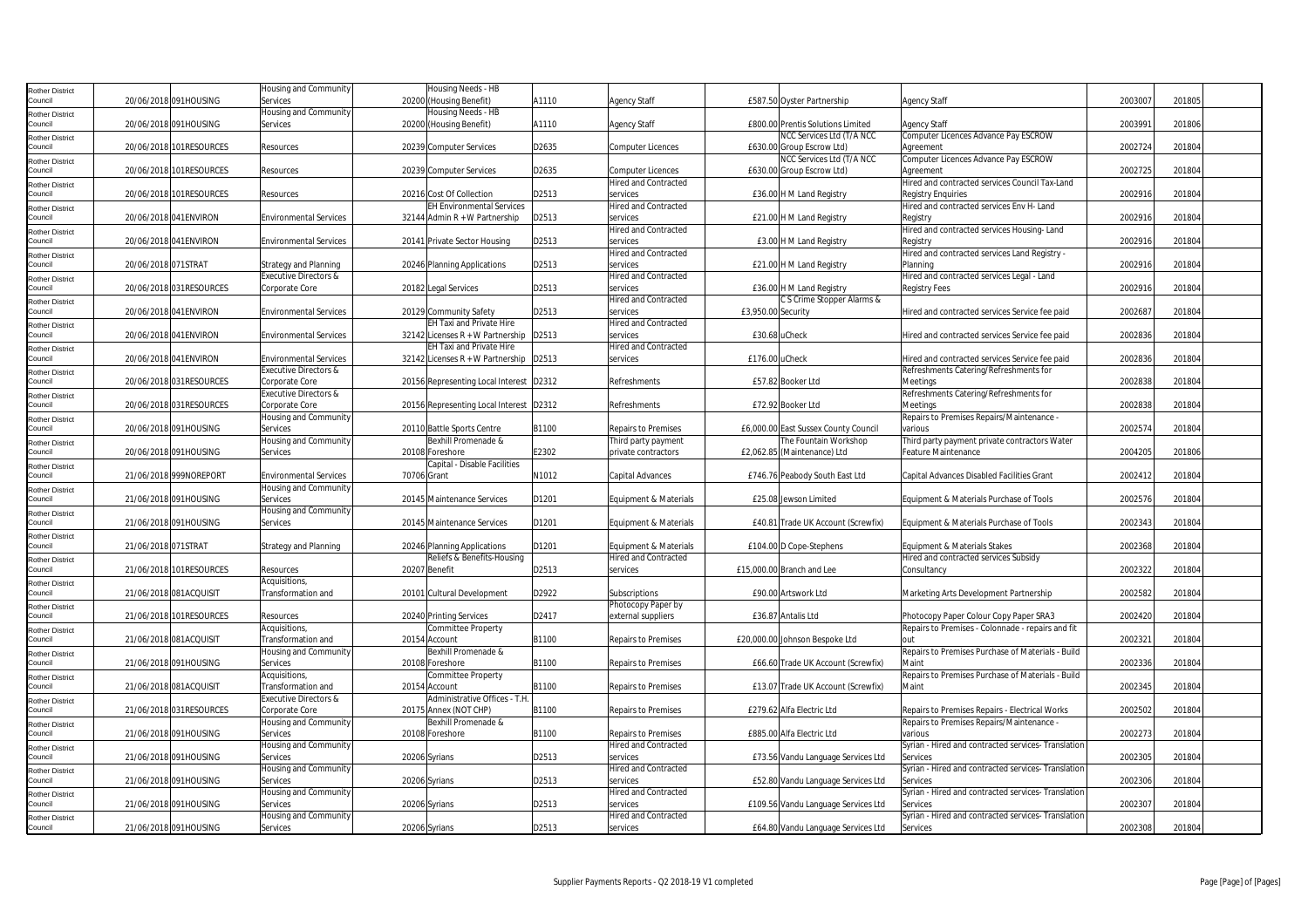| <b>Rother District</b>            |                     |                         | Housing and Community         |             | Housing Needs - HB                         |       |                             |                    |                                      |                                                        |         |        |  |
|-----------------------------------|---------------------|-------------------------|-------------------------------|-------------|--------------------------------------------|-------|-----------------------------|--------------------|--------------------------------------|--------------------------------------------------------|---------|--------|--|
| Council                           |                     | 20/06/2018 091HOUSING   | Services                      |             | 20200 (Housing Benefit)                    | A1110 | <b>Agency Staff</b>         |                    | £587.50 Oyster Partnership           | <b>Agency Staff</b>                                    | 2003007 | 201805 |  |
| <b>Rother District</b>            |                     |                         | Housing and Community         |             | Housing Needs - HB                         |       |                             |                    |                                      |                                                        |         |        |  |
| Council                           |                     | 20/06/2018 091HOUSING   | Services                      |             | 20200 (Housing Benefit)                    | A1110 | <b>Agency Staff</b>         |                    | £800.00 Prentis Solutions Limited    | <b>Agency Staff</b>                                    | 2003991 | 201806 |  |
| <b>Rother District</b>            |                     |                         |                               |             |                                            |       |                             |                    | NCC Services Ltd (T/A NCC            | Computer Licences Advance Pay ESCROW                   |         |        |  |
| Council                           |                     | 20/06/2018 101RESOURCES | Resources                     |             | 20239 Computer Services                    | D2635 | <b>Computer Licences</b>    |                    | £630.00 Group Escrow Ltd)            | Agreement                                              | 2002724 | 201804 |  |
| <b>Rother District</b>            |                     |                         |                               |             |                                            |       |                             |                    | NCC Services Ltd (T/A NCC            | Computer Licences Advance Pay ESCROW                   |         |        |  |
| Council                           |                     | 20/06/2018 101RESOURCES | Resources                     |             | 20239 Computer Services                    | D2635 | <b>Computer Licences</b>    |                    | £630.00 Group Escrow Ltd)            | Agreement                                              | 2002725 | 201804 |  |
|                                   |                     |                         |                               |             |                                            |       | <b>Hired and Contracted</b> |                    |                                      | Hired and contracted services Council Tax-Land         |         |        |  |
| <b>Rother District</b><br>Council |                     | 20/06/2018 101RESOURCES | Resources                     |             | 20216 Cost Of Collection                   | D2513 | services                    |                    | £36.00 H M Land Registry             | <b>Registry Enquiries</b>                              | 2002916 | 201804 |  |
|                                   |                     |                         |                               |             | <b>EH Environmental Services</b>           |       | <b>Hired and Contracted</b> |                    |                                      | Hired and contracted services Env H- Land              |         |        |  |
| <b>Rother District</b><br>Council |                     | 20/06/2018 041 ENVIRON  | <b>Environmental Services</b> |             | 32144 Admin R + W Partnership              | D2513 | services                    |                    | £21.00 H M Land Registry             |                                                        | 2002916 | 201804 |  |
|                                   |                     |                         |                               |             |                                            |       | <b>Hired and Contracted</b> |                    |                                      | Registry                                               |         |        |  |
| <b>Rother District</b><br>Council |                     | 20/06/2018 041ENVIRON   | <b>Environmental Services</b> |             | 20141 Private Sector Housing               | D2513 | services                    |                    | £3.00 H M Land Registry              | Hired and contracted services Housing-Land<br>Registry | 2002916 | 201804 |  |
|                                   |                     |                         |                               |             |                                            |       | <b>Hired and Contracted</b> |                    |                                      |                                                        |         |        |  |
| <b>Rother District</b>            |                     |                         |                               |             |                                            |       |                             |                    |                                      | Hired and contracted services Land Registry -          |         |        |  |
| Council                           | 20/06/2018 071STRAT |                         | Strategy and Planning         |             | 20246 Planning Applications                | D2513 | services                    |                    | £21.00 H M Land Registry             | Planning                                               | 2002916 | 201804 |  |
| <b>Rother District</b>            |                     |                         | Executive Directors &         |             |                                            |       | <b>Hired and Contracted</b> |                    |                                      | Hired and contracted services Legal - Land             |         |        |  |
| Council                           |                     | 20/06/2018 031RESOURCES | Corporate Core                |             | 20182 Legal Services                       | D2513 | services                    |                    | £36.00 H M Land Registry             | <b>Registry Fees</b>                                   | 2002916 | 201804 |  |
| <b>Rother District</b>            |                     |                         |                               |             |                                            |       | <b>Hired and Contracted</b> |                    | C S Crime Stopper Alarms &           |                                                        |         |        |  |
| Council                           |                     | 20/06/2018 041ENVIRON   | Environmental Services        |             | 20129 Community Safety                     | D2513 | services                    | £3,950.00 Security |                                      | Hired and contracted services Service fee paid         | 2002687 | 201804 |  |
| <b>Rother District</b>            |                     |                         |                               |             | <b>EH Taxi and Private Hire</b>            |       | <b>Hired and Contracted</b> |                    |                                      |                                                        |         |        |  |
| Council                           |                     | 20/06/2018 041 ENVIRON  | <b>Environmental Services</b> |             | 32142 Licenses $R + W$ Partnership   D2513 |       | services                    | £30.68 uCheck      |                                      | Hired and contracted services Service fee paid         | 2002836 | 201804 |  |
| <b>Rother District</b>            |                     |                         |                               |             | EH Taxi and Private Hire                   |       | <b>Hired and Contracted</b> |                    |                                      |                                                        |         |        |  |
| Council                           |                     | 20/06/2018 041 ENVIRON  | <b>Environmental Services</b> |             | 32142 Licenses $R + W$ Partnership   D2513 |       | services                    | £176.00 uCheck     |                                      | Hired and contracted services Service fee paid         | 2002836 | 201804 |  |
| <b>Rother District</b>            |                     |                         | Executive Directors &         |             |                                            |       |                             |                    |                                      | Refreshments Catering/Refreshments for                 |         |        |  |
| Council                           |                     | 20/06/2018 031RESOURCES | Corporate Core                |             | 20156 Representing Local Interest D2312    |       | Refreshments                |                    | £57.82 Booker Ltd                    | Meetings                                               | 2002838 | 201804 |  |
| <b>Rother District</b>            |                     |                         | Executive Directors &         |             |                                            |       |                             |                    |                                      | Refreshments Catering/Refreshments for                 |         |        |  |
| Council                           |                     | 20/06/2018 031RESOURCES | Corporate Core                |             | 20156 Representing Local Interest D2312    |       | Refreshments                |                    | £72.92 Booker Ltd                    | Meetings                                               | 2002838 | 201804 |  |
| <b>Rother District</b>            |                     |                         | Housing and Community         |             |                                            |       |                             |                    |                                      | Repairs to Premises Repairs/Maintenance -              |         |        |  |
| Council                           |                     | 20/06/2018 091HOUSING   | Services                      |             | 20110 Battle Sports Centre                 | B1100 | <b>Repairs to Premises</b>  |                    | £6,000.00 East Sussex County Council | various                                                | 2002574 | 201804 |  |
| <b>Rother District</b>            |                     |                         | Housing and Community         |             | Bexhill Promenade &                        |       | Third party payment         |                    | The Fountain Workshop                | Third party payment private contractors Water          |         |        |  |
| Council                           |                     | 20/06/2018 091HOUSING   | Services                      |             | 20108 Foreshore                            | E2302 | private contractors         |                    | £2,062.85 (Maintenance) Ltd          | <b>Feature Maintenance</b>                             | 2004205 | 201806 |  |
| <b>Rother District</b>            |                     |                         |                               |             | Capital - Disable Facilities               |       |                             |                    |                                      |                                                        |         |        |  |
| Council                           |                     | 21/06/2018 999NOREPORT  | <b>Environmental Services</b> | 70706 Grant |                                            | N1012 | Capital Advances            |                    | £746.76 Peabody South East Ltd       | Capital Advances Disabled Facilities Grant             | 2002412 | 201804 |  |
| <b>Rother District</b>            |                     |                         | Housing and Community         |             |                                            |       |                             |                    |                                      |                                                        |         |        |  |
| Council                           |                     | 21/06/2018 091HOUSING   | Services                      |             | 20145 Maintenance Services                 | D1201 | Equipment & Materials       |                    | £25.08 Jewson Limited                | Equipment & Materials Purchase of Tools                | 2002576 | 201804 |  |
| <b>Rother District</b>            |                     |                         | Housing and Community         |             |                                            |       |                             |                    |                                      |                                                        |         |        |  |
| Council                           |                     | 21/06/2018 091HOUSING   | Services                      |             | 20145 Maintenance Services                 | D1201 | Equipment & Materials       |                    | £40.81 Trade UK Account (Screwfix)   | Equipment & Materials Purchase of Tools                | 2002343 | 201804 |  |
| <b>Rother District</b>            |                     |                         |                               |             |                                            |       |                             |                    |                                      |                                                        |         |        |  |
| Council                           | 21/06/2018 071STRAT |                         | <b>Strategy and Planning</b>  |             | 20246 Planning Applications                | D1201 | Equipment & Materials       |                    | £104.00 D Cope-Stephens              | Equipment & Materials Stakes                           | 2002368 | 201804 |  |
| <b>Rother District</b>            |                     |                         |                               |             | Reliefs & Benefits-Housing                 |       | <b>Hired and Contracted</b> |                    |                                      | Hired and contracted services Subsidy                  |         |        |  |
| Council                           |                     | 21/06/2018 101RESOURCES | Resources                     |             | 20207 Benefit                              | D2513 | services                    |                    | £15,000.00 Branch and Lee            | Consultancy                                            | 2002322 | 201804 |  |
| <b>Rother District</b>            |                     |                         | Acquisitions,                 |             |                                            |       |                             |                    |                                      |                                                        |         |        |  |
| Council                           |                     | 21/06/2018 081ACQUISIT  | Transformation and            |             | 20101 Cultural Development                 | D2922 | Subscriptions               |                    | £90.00 Artswork Ltd                  | Marketing Arts Development Partnership                 | 2002582 | 201804 |  |
| Rother District                   |                     |                         |                               |             |                                            |       | Photocopy Paper by          |                    |                                      |                                                        |         |        |  |
| Council                           |                     | 21/06/2018 101RESOURCES | Resources                     |             | 20240 Printing Services                    | D2417 | external suppliers          |                    | £36.87 Antalis Ltd                   | Photocopy Paper Colour Copy Paper SRA3                 | 2002420 | 201804 |  |
| <b>Rother District</b>            |                     |                         | Acquisitions,                 |             | Committee Property                         |       |                             |                    |                                      | Repairs to Premises - Colonnade - repairs and fit      |         |        |  |
| Council                           |                     | 21/06/2018 081ACQUISIT  | Transformation and            |             | 20154 Account                              | B1100 | <b>Repairs to Premises</b>  |                    | £20,000.00 Johnson Bespoke Ltd       |                                                        | 2002321 | 201804 |  |
| Rother District                   |                     |                         | Housing and Community         |             | Bexhill Promenade &                        |       |                             |                    |                                      | Repairs to Premises Purchase of Materials - Build      |         |        |  |
| Council                           |                     | 21/06/2018 091HOUSING   | Services                      |             | 20108 Foreshore                            | B1100 | <b>Repairs to Premises</b>  |                    | £66.60 Trade UK Account (Screwfix)   | Maint                                                  | 2002336 | 201804 |  |
| <b>Rother District</b>            |                     |                         | Acquisitions,                 |             | Committee Property                         |       |                             |                    |                                      | Repairs to Premises Purchase of Materials - Build      |         |        |  |
| Council                           |                     | 21/06/2018 081ACQUISIT  | Transformation and            |             | 20154 Account                              | B1100 | <b>Repairs to Premises</b>  |                    | £13.07 Trade UK Account (Screwfix)   | Maint                                                  | 2002345 | 201804 |  |
| <b>Rother District</b>            |                     |                         | Executive Directors &         |             | Administrative Offices - T.H.              |       |                             |                    |                                      |                                                        |         |        |  |
| Council                           |                     | 21/06/2018 031RESOURCES | Corporate Core                |             | 20175 Annex (NOT CHP)                      | B1100 | <b>Repairs to Premises</b>  |                    | £279.62 Alfa Electric Ltd            | Repairs to Premises Repairs - Electrical Works         | 2002502 | 201804 |  |
| <b>Rother District</b>            |                     |                         | Housing and Community         |             | Bexhill Promenade &                        |       |                             |                    |                                      | Repairs to Premises Repairs/Maintenance -              |         |        |  |
| Council                           |                     | 21/06/2018 091HOUSING   | Services                      |             | 20108 Foreshore                            | B1100 | <b>Repairs to Premises</b>  |                    | £885.00 Alfa Electric Ltd            | various                                                | 2002273 | 201804 |  |
|                                   |                     |                         | Housing and Community         |             |                                            |       | <b>Hired and Contracted</b> |                    |                                      | Syrian - Hired and contracted services- Translation    |         |        |  |
| Rother District<br>Council        |                     | 21/06/2018 091HOUSING   | Services                      |             | 20206 Syrians                              | D2513 | services                    |                    | £73.56 Vandu Language Services Ltd   | Services                                               | 2002305 | 201804 |  |
|                                   |                     |                         | Housing and Community         |             |                                            |       | <b>Hired and Contracted</b> |                    |                                      | Syrian - Hired and contracted services- Translation    |         |        |  |
| <b>Rother District</b><br>Council |                     | 21/06/2018 091HOUSING   | Services                      |             | 20206 Syrians                              | D2513 | services                    |                    | £52.80 Vandu Language Services Ltd   | Services                                               | 2002306 | 201804 |  |
|                                   |                     |                         | Housing and Community         |             |                                            |       | <b>Hired and Contracted</b> |                    |                                      | Syrian - Hired and contracted services- Translation    |         |        |  |
| <b>Rother District</b><br>Council |                     | 21/06/2018 091HOUSING   | Services                      |             | 20206 Syrians                              | D2513 | services                    |                    |                                      | Services                                               | 2002307 | 201804 |  |
|                                   |                     |                         |                               |             |                                            |       |                             |                    | £109.56 Vandu Language Services Ltd  |                                                        |         |        |  |
| <b>Rother District</b>            |                     |                         | Housing and Community         |             |                                            |       | <b>Hired and Contracted</b> |                    |                                      | Syrian - Hired and contracted services- Translation    |         |        |  |
| Council                           |                     | 21/06/2018 091HOUSING   | Services                      |             | 20206 Syrians                              | D2513 | services                    |                    | £64.80 Vandu Language Services Ltd   | Services                                               | 2002308 | 201804 |  |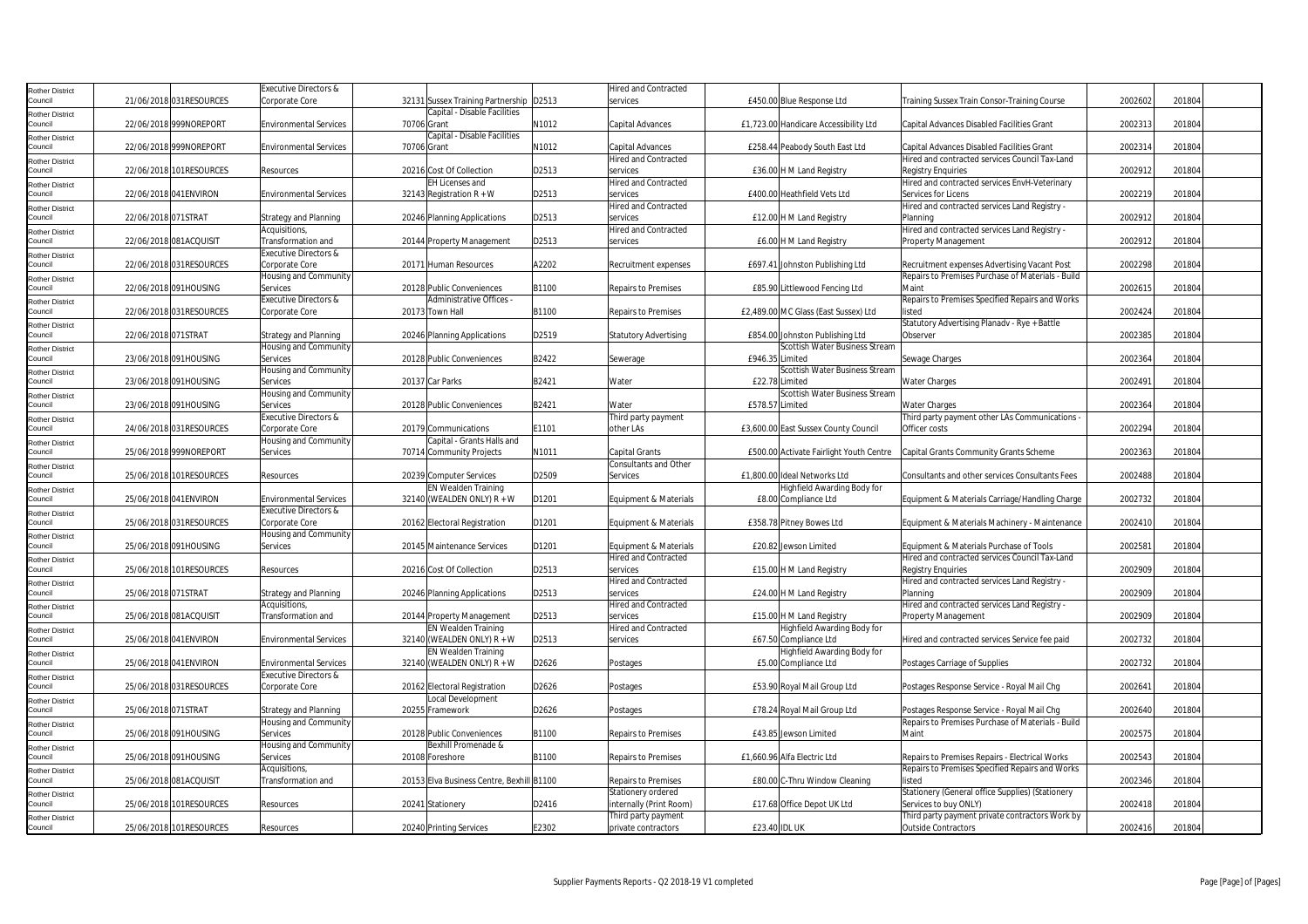| <b>Rother District</b>            |                     |                         | Executive Directors &         |             |                                           |       | <b>Hired and Contracted</b>             |                      |                                         |                                                   |         |        |  |
|-----------------------------------|---------------------|-------------------------|-------------------------------|-------------|-------------------------------------------|-------|-----------------------------------------|----------------------|-----------------------------------------|---------------------------------------------------|---------|--------|--|
| Council                           |                     | 21/06/2018 031RESOURCES | Corporate Core                |             | 32131 Sussex Training Partnership D2513   |       | services                                |                      | £450.00 Blue Response Ltd               | Training Sussex Train Consor-Training Course      | 2002602 | 201804 |  |
| <b>Rother District</b>            |                     |                         |                               |             | Capital - Disable Facilities              |       |                                         |                      |                                         |                                                   |         |        |  |
| Council                           |                     | 22/06/2018 999NOREPORT  | <b>Environmental Services</b> | 70706 Grant |                                           | N1012 | Capital Advances                        |                      | £1,723.00 Handicare Accessibility Ltd   | Capital Advances Disabled Facilities Grant        | 2002313 | 201804 |  |
| <b>Rother District</b>            |                     |                         |                               |             | Capital - Disable Facilities              |       |                                         |                      |                                         |                                                   |         |        |  |
| Council                           |                     | 22/06/2018 999NOREPORT  | <b>Environmental Services</b> | 70706 Grant |                                           | N1012 | Capital Advances                        |                      | £258.44 Peabody South East Ltd          | Capital Advances Disabled Facilities Grant        | 2002314 | 201804 |  |
| <b>Rother District</b>            |                     |                         |                               |             |                                           |       | <b>Hired and Contracted</b>             |                      |                                         | Hired and contracted services Council Tax-Land    |         |        |  |
| Council                           |                     | 22/06/2018 101RESOURCES | Resources                     |             | 20216 Cost Of Collection                  | D2513 | services                                |                      | £36.00 H M Land Registry                | <b>Reaistry Enauiries</b>                         | 2002912 | 201804 |  |
|                                   |                     |                         |                               |             | EH Licenses and                           |       | <b>Hired and Contracted</b>             |                      |                                         | Hired and contracted services EnvH-Veterinary     |         |        |  |
| <b>Rother District</b><br>Council |                     | 22/06/2018 041ENVIRON   | <b>Environmental Services</b> |             | 32143 Registration $R + W$                | D2513 | services                                |                      | £400.00 Heathfield Vets Ltd             | Services for Licens                               | 2002219 | 201804 |  |
|                                   |                     |                         |                               |             |                                           |       | <b>Hired and Contracted</b>             |                      |                                         | Hired and contracted services Land Registry -     |         |        |  |
| <b>Rother District</b><br>Council | 22/06/2018 071STRAT |                         |                               |             |                                           | D2513 |                                         |                      |                                         |                                                   | 2002912 | 201804 |  |
|                                   |                     |                         | <b>Strategy and Planning</b>  |             | 20246 Planning Applications               |       | services<br><b>Hired and Contracted</b> |                      | £12.00 H M Land Registry                | Planning                                          |         |        |  |
| <b>Rother District</b>            |                     |                         | Acquisitions,                 |             |                                           |       |                                         |                      |                                         | Hired and contracted services Land Registry -     |         |        |  |
| Council                           |                     | 22/06/2018 081ACQUISIT  | Transformation and            |             | 20144 Property Management                 | D2513 | services                                |                      | £6.00 H M Land Registry                 | Property Management                               | 2002912 | 201804 |  |
| <b>Rother District</b>            |                     |                         | Executive Directors &         |             |                                           |       |                                         |                      |                                         |                                                   |         |        |  |
| Council                           |                     | 22/06/2018 031RESOURCES | Corporate Core                |             | 20171 Human Resources                     | A2202 | Recruitment expenses                    |                      | £697.41 Johnston Publishing Ltd         | Recruitment expenses Advertising Vacant Post      | 2002298 | 20180  |  |
| <b>Rother District</b>            |                     |                         | Housing and Community         |             |                                           |       |                                         |                      |                                         | Repairs to Premises Purchase of Materials - Build |         |        |  |
| Council                           |                     | 22/06/2018 091HOUSING   | Services                      |             | 20128 Public Conveniences                 | B1100 | <b>Repairs to Premises</b>              |                      | £85.90 Littlewood Fencing Ltd           | Maint                                             | 2002615 | 201804 |  |
| <b>Rother District</b>            |                     |                         | Executive Directors &         |             | Administrative Offices                    |       |                                         |                      |                                         | Repairs to Premises Specified Repairs and Works   |         |        |  |
| Council                           |                     | 22/06/2018 031RESOURCES | Corporate Core                |             | 20173 Town Hall                           | B1100 | <b>Repairs to Premises</b>              |                      | £2,489.00 MC Glass (East Sussex) Ltd    | listed                                            | 2002424 | 201804 |  |
| <b>Rother District</b>            |                     |                         |                               |             |                                           |       |                                         |                      |                                         | Statutory Advertising Planadv - Rye + Battle      |         |        |  |
| Council                           | 22/06/2018 071STRAT |                         | Strategy and Planning         |             | 20246 Planning Applications               | D2519 | <b>Statutory Advertising</b>            |                      | £854.00 Johnston Publishing Ltd         | Observer                                          | 2002385 | 201804 |  |
| <b>Rother District</b>            |                     |                         | Housing and Community         |             |                                           |       |                                         |                      | Scottish Water Business Stream          |                                                   |         |        |  |
| Council                           |                     | 23/06/2018 091HOUSING   | Services                      |             | 20128 Public Conveniences                 | B2422 | Sewerage                                | £946.35 Limited      |                                         | Sewage Charges                                    | 2002364 | 201804 |  |
| <b>Rother District</b>            |                     |                         | Housing and Community         |             |                                           |       |                                         |                      | Scottish Water Business Stream          |                                                   |         |        |  |
| Council                           |                     | 23/06/2018 091HOUSING   | Services                      |             | 20137 Car Parks                           | B2421 | Water                                   |                      | £22.78 Limited                          | <b>Water Charges</b>                              | 2002491 | 201804 |  |
| <b>Rother District</b>            |                     |                         | Housing and Community         |             |                                           |       |                                         |                      | Scottish Water Business Stream          |                                                   |         |        |  |
| Council                           |                     | 23/06/2018 091HOUSING   | Services                      |             | 20128 Public Conveniences                 | B2421 | Water                                   | £578.57 Limited      |                                         | <b>Water Charges</b>                              | 2002364 | 201804 |  |
| <b>Rother District</b>            |                     |                         | Executive Directors &         |             |                                           |       | Third party payment                     |                      |                                         | Third party payment other LAs Communications      |         |        |  |
| Council                           |                     | 24/06/2018 031RESOURCES | Corporate Core                |             | 20179 Communications                      | E1101 | other LAs                               |                      | £3,600.00 East Sussex County Council    | Officer costs                                     | 2002294 | 201804 |  |
| <b>Rother District</b>            |                     |                         | Housing and Community         |             | Capital - Grants Halls and                |       |                                         |                      |                                         |                                                   |         |        |  |
| Council                           |                     | 25/06/2018 999NOREPORT  | Services                      |             | 70714 Community Projects                  | N1011 | Capital Grants                          |                      | £500.00 Activate Fairlight Youth Centre | Capital Grants Community Grants Scheme            | 2002363 | 201804 |  |
| <b>Rother District</b>            |                     |                         |                               |             |                                           |       | Consultants and Other                   |                      |                                         |                                                   |         |        |  |
| Council                           |                     | 25/06/2018 101RESOURCES | Resources                     |             | 20239 Computer Services                   | D2509 | Services                                |                      | £1,800.00 Ideal Networks Ltd            | Consultants and other services Consultants Fees   | 2002488 | 201804 |  |
| <b>Rother District</b>            |                     |                         |                               |             | <b>EN Wealden Training</b>                |       |                                         |                      | Highfield Awarding Body for             |                                                   |         |        |  |
| Council                           |                     | 25/06/2018 041 ENVIRON  | <b>Environmental Services</b> |             | 32140 (WEALDEN ONLY) R + W                | D1201 | <b>Equipment &amp; Materials</b>        |                      | £8.00 Compliance Ltd                    | Equipment & Materials Carriage/Handling Charge    | 2002732 | 201804 |  |
|                                   |                     |                         | Executive Directors &         |             |                                           |       |                                         |                      |                                         |                                                   |         |        |  |
| <b>Rother District</b><br>Council |                     | 25/06/2018 031RESOURCES | Corporate Core                |             | 20162 Electoral Registration              | D1201 | Equipment & Materials                   |                      | £358.78 Pitney Bowes Ltd                | Equipment & Materials Machinery - Maintenance     | 2002410 | 201804 |  |
|                                   |                     |                         | Housing and Community         |             |                                           |       |                                         |                      |                                         |                                                   |         |        |  |
| <b>Rother District</b><br>Council |                     | 25/06/2018 091HOUSING   | Services                      |             | 20145 Maintenance Services                | D1201 | Equipment & Materials                   |                      | £20.82 Jewson Limited                   | Equipment & Materials Purchase of Tools           | 2002581 | 201804 |  |
|                                   |                     |                         |                               |             |                                           |       | <b>Hired and Contracted</b>             |                      |                                         | Hired and contracted services Council Tax-Land    |         |        |  |
| <b>Rother District</b><br>Council |                     | 25/06/2018 101RESOURCES | Resources                     |             | 20216 Cost Of Collection                  | D2513 | services                                |                      |                                         | <b>Registry Enquiries</b>                         | 2002909 | 201804 |  |
|                                   |                     |                         |                               |             |                                           |       | <b>Hired and Contracted</b>             |                      | £15.00 H M Land Registry                |                                                   |         |        |  |
| <b>Rother District</b>            |                     |                         |                               |             |                                           |       |                                         |                      |                                         | Hired and contracted services Land Registry -     |         |        |  |
| Council                           | 25/06/2018 071STRAT |                         | <b>Strategy and Planning</b>  |             | 20246 Planning Applications               | D2513 | services                                |                      | £24.00 H M Land Registry                | Planning                                          | 2002909 | 201804 |  |
| <b>Rother District</b>            |                     |                         | Acquisitions,                 |             |                                           |       | <b>Hired and Contracted</b>             |                      |                                         | Hired and contracted services Land Registry -     |         |        |  |
| Council                           |                     | 25/06/2018 081ACQUISIT  | Transformation and            |             | 20144 Property Management                 | D2513 | services                                |                      | £15.00 H M Land Registry                | Property Management                               | 2002909 | 201804 |  |
| <b>Rother District</b>            |                     |                         |                               |             | EN Wealden Training                       |       | <b>Hired and Contracted</b>             |                      | Highfield Awarding Body for             |                                                   |         |        |  |
| Council                           |                     | 25/06/2018 041 ENVIRON  | <b>Environmental Services</b> |             | 32140 (WEALDEN ONLY) $R + W$              | D2513 | services                                |                      | £67.50 Compliance Ltd                   | Hired and contracted services Service fee paid    | 2002732 | 201804 |  |
| <b>Rother District</b>            |                     |                         |                               |             | EN Wealden Training                       |       |                                         |                      | Highfield Awarding Body for             |                                                   |         |        |  |
| Council                           |                     | 25/06/2018 041ENVIRON   | <b>Environmental Services</b> |             | 32140 (WEALDEN ONLY) R + W                | D2626 | Postages                                |                      | £5.00 Compliance Ltd                    | Postages Carriage of Supplies                     | 2002732 | 201804 |  |
| <b>Rother District</b>            |                     |                         | Executive Directors &         |             |                                           |       |                                         |                      |                                         |                                                   |         |        |  |
| Council                           |                     | 25/06/2018 031RESOURCES | Corporate Core                |             | 20162 Electoral Registration              | D2626 | Postages                                |                      | £53.90 Royal Mail Group Ltd             | Postages Response Service - Royal Mail Chg        | 2002641 | 201804 |  |
| <b>Rother District</b>            |                     |                         |                               |             | Local Development                         |       |                                         |                      |                                         |                                                   |         |        |  |
| Council                           | 25/06/2018 071STRAT |                         | Strategy and Planning         |             | 20255 Framework                           | D2626 | Postages                                |                      | £78.24 Royal Mail Group Ltd             | Postages Response Service - Royal Mail Chg        | 2002640 | 201804 |  |
| <b>Rother District</b>            |                     |                         | Housing and Community         |             |                                           |       |                                         |                      |                                         | Repairs to Premises Purchase of Materials - Build |         |        |  |
| Council                           |                     | 25/06/2018 091HOUSING   | Services                      |             | 20128 Public Conveniences                 | B1100 | <b>Repairs to Premises</b>              |                      | £43.85 Jewson Limited                   | Maint                                             | 2002575 | 201804 |  |
| <b>Rother District</b>            |                     |                         | Housing and Community         |             | Bexhill Promenade &                       |       |                                         |                      |                                         |                                                   |         |        |  |
| Council                           |                     | 25/06/2018 091HOUSING   | Services                      |             | 20108 Foreshore                           | B1100 | <b>Repairs to Premises</b>              |                      | £1.660.96 Alfa Electric Ltd             | Repairs to Premises Repairs - Electrical Works    | 2002543 | 201804 |  |
| Rother District                   |                     |                         | Acquisitions,                 |             |                                           |       |                                         |                      |                                         | Repairs to Premises Specified Repairs and Works   |         |        |  |
| Council                           |                     | 25/06/2018 081ACQUISIT  | Transformation and            |             | 20153 Elva Business Centre, Bexhill B1100 |       | <b>Repairs to Premises</b>              |                      | £80.00 C-Thru Window Cleaning           | listed                                            | 2002346 | 201804 |  |
| <b>Rother District</b>            |                     |                         |                               |             |                                           |       | Stationery ordered                      |                      |                                         | Stationery (General office Supplies) (Stationery  |         |        |  |
| Council                           |                     | 25/06/2018 101RESOURCES | Resources                     |             | 20241 Stationery                          | D2416 | internally (Print Room)                 |                      | £17.68 Office Depot UK Ltd              | Services to buy ONLY)                             | 2002418 | 201804 |  |
| <b>Rother District</b>            |                     |                         |                               |             |                                           |       | Third party payment                     |                      |                                         | Third party payment private contractors Work by   |         |        |  |
| Council                           |                     | 25/06/2018 101RESOURCES | Resources                     |             | 20240 Printing Services                   | E2302 | private contractors                     | <b>£23.40 IDL UK</b> |                                         | <b>Outside Contractors</b>                        | 2002416 | 201804 |  |
|                                   |                     |                         |                               |             |                                           |       |                                         |                      |                                         |                                                   |         |        |  |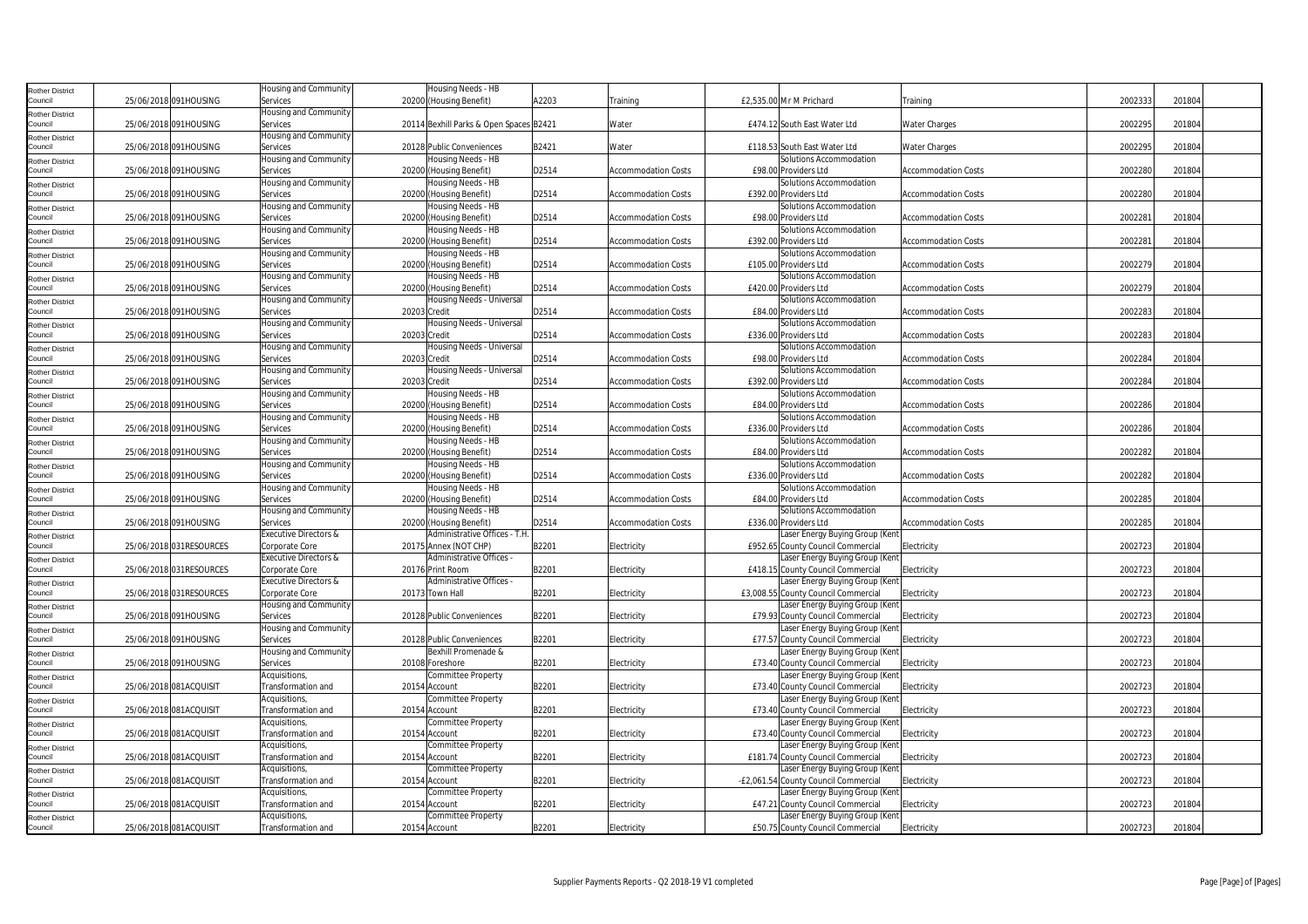| <b>Rother District</b>            |                         | Housing and Community                   |              | Housing Needs - HB                           |       |                            |                                                                        |                            |         |        |  |
|-----------------------------------|-------------------------|-----------------------------------------|--------------|----------------------------------------------|-------|----------------------------|------------------------------------------------------------------------|----------------------------|---------|--------|--|
| Council                           | 25/06/2018 091HOUSING   | Services                                |              | 20200 (Housing Benefit)                      | A2203 | Training                   | £2,535.00 Mr M Prichard                                                | Training                   | 2002333 | 201804 |  |
| <b>Rother District</b>            |                         | Housing and Community                   |              |                                              |       |                            |                                                                        |                            |         |        |  |
| Council                           | 25/06/2018 091HOUSING   | Services                                |              | 20114 Bexhill Parks & Open Spaces B2421      |       | Water                      | £474.12 South East Water Ltd                                           | <b>Water Charges</b>       | 2002295 | 201804 |  |
| <b>Rother District</b>            |                         | Housing and Community                   |              |                                              |       |                            |                                                                        |                            |         |        |  |
| Council                           | 25/06/2018 091HOUSING   | Services                                |              | 20128 Public Conveniences                    | B2421 | Water                      | £118.53 South East Water Ltd                                           | <b>Water Charges</b>       | 2002295 | 201804 |  |
| <b>Rother District</b>            |                         | Housing and Community                   |              | Housing Needs - HB                           |       |                            | Solutions Accommodation                                                |                            |         |        |  |
| Council                           | 25/06/2018 091HOUSING   | Services                                |              | 20200 (Housing Benefit)                      | D2514 | <b>Accommodation Costs</b> | £98.00 Providers Ltd                                                   | <b>Accommodation Costs</b> | 2002280 | 201804 |  |
| <b>Rother District</b>            |                         | Housing and Community                   |              | Housing Needs - HB                           |       |                            | Solutions Accommodation                                                |                            |         |        |  |
| Council                           | 25/06/2018 091HOUSING   | Services                                |              | 20200 (Housing Benefit)                      | D2514 | <b>Accommodation Costs</b> | £392.00 Providers Ltd                                                  | <b>Accommodation Costs</b> | 2002280 | 201804 |  |
| <b>Rother District</b>            |                         | Housing and Community                   |              | Housing Needs - HB                           |       |                            | Solutions Accommodation                                                |                            |         |        |  |
| Council                           | 25/06/2018 091HOUSING   | Services                                |              | 20200 (Housing Benefit)                      | D2514 | <b>Accommodation Costs</b> | £98.00 Providers Ltd                                                   | <b>Accommodation Costs</b> | 2002281 | 201804 |  |
| <b>Rother District</b>            |                         | Housing and Community                   |              | Housing Needs - HB                           |       |                            | Solutions Accommodation                                                |                            |         |        |  |
| Council                           | 25/06/2018 091HOUSING   | Services                                |              | 20200 (Housing Benefit)                      | D2514 | <b>Accommodation Costs</b> | £392.00 Providers Ltd                                                  | <b>Accommodation Costs</b> | 2002281 | 201804 |  |
| <b>Rother District</b>            |                         | Housing and Community                   |              | Housing Needs - HB                           |       |                            | Solutions Accommodation                                                |                            |         |        |  |
| Council                           | 25/06/2018 091HOUSING   | Services                                |              | 20200 (Housing Benefit)                      | D2514 | <b>Accommodation Costs</b> | £105.00 Providers Ltd                                                  | <b>Accommodation Costs</b> | 2002279 | 20180  |  |
|                                   |                         | Housing and Community                   |              | Housing Needs - HB                           |       |                            | Solutions Accommodation                                                |                            |         |        |  |
| <b>Rother District</b><br>Council | 25/06/2018 091HOUSING   | Services                                |              | 20200 (Housing Benefit)                      | D2514 | <b>Accommodation Costs</b> | £420.00 Providers Ltd                                                  | <b>Accommodation Costs</b> | 2002279 | 201804 |  |
|                                   |                         | Housing and Community                   |              | Housing Needs - Universal                    |       |                            | Solutions Accommodation                                                |                            |         |        |  |
| <b>Rother District</b><br>Council | 25/06/2018 091HOUSING   | Services                                | 20203 Credit |                                              | D2514 | <b>Accommodation Costs</b> | £84.00 Providers Ltd                                                   | <b>Accommodation Costs</b> | 2002283 | 201804 |  |
| <b>Rother District</b>            |                         | Housing and Community                   |              | Housing Needs - Universal                    |       |                            | Solutions Accommodation                                                |                            |         |        |  |
| Council                           | 25/06/2018 091HOUSING   | Services                                | 20203 Credit |                                              | D2514 | <b>Accommodation Costs</b> | £336.00 Providers Ltd                                                  | <b>Accommodation Costs</b> | 2002283 | 201804 |  |
|                                   |                         | Housing and Community                   |              | Housing Needs - Universal                    |       |                            | Solutions Accommodation                                                |                            |         |        |  |
| <b>Rother District</b><br>Council | 25/06/2018 091HOUSING   | Services                                | 20203 Credit |                                              | D2514 | <b>Accommodation Costs</b> | £98.00 Providers Ltd                                                   | <b>Accommodation Costs</b> | 2002284 | 201804 |  |
|                                   |                         | Housing and Community                   |              | Housing Needs - Universal                    |       |                            | Solutions Accommodation                                                |                            |         |        |  |
| <b>Rother District</b><br>Council | 25/06/2018 091HOUSING   | Services                                | 20203 Credit |                                              | D2514 | Accommodation Costs        | £392.00 Providers Ltd                                                  | <b>Accommodation Costs</b> | 2002284 | 201804 |  |
|                                   |                         | Housing and Community                   |              | Housing Needs - HB                           |       |                            | Solutions Accommodation                                                |                            |         |        |  |
| <b>Rother District</b><br>Council | 25/06/2018 091HOUSING   | Services                                |              | 20200 (Housing Benefit)                      | D2514 | Accommodation Costs        | £84.00 Providers Ltd                                                   | <b>Accommodation Costs</b> | 2002286 | 201804 |  |
|                                   |                         | Housing and Community                   |              | Housing Needs - HB                           |       |                            | Solutions Accommodation                                                |                            |         |        |  |
| <b>Rother District</b><br>Council | 25/06/2018 091HOUSING   | Services                                |              | 20200 (Housing Benefit)                      | D2514 | <b>Accommodation Costs</b> | £336.00 Providers Ltd                                                  | <b>Accommodation Costs</b> | 2002286 | 201804 |  |
|                                   |                         | Housing and Community                   |              | Housing Needs - HB                           |       |                            | Solutions Accommodation                                                |                            |         |        |  |
| <b>Rother District</b><br>Council | 25/06/2018 091HOUSING   |                                         |              |                                              | D2514 |                            |                                                                        |                            | 2002282 | 201804 |  |
|                                   |                         | Services                                |              | 20200 (Housing Benefit)                      |       | <b>Accommodation Costs</b> | £84.00 Providers Ltd                                                   | <b>Accommodation Costs</b> |         |        |  |
| <b>Rother District</b>            |                         | Housing and Community                   |              | Housing Needs - HB                           |       |                            | Solutions Accommodation                                                |                            |         |        |  |
| Council                           | 25/06/2018 091HOUSING   | Services                                |              | 20200 (Housing Benefit)                      | D2514 | <b>Accommodation Costs</b> | £336.00 Providers Ltd                                                  | <b>Accommodation Costs</b> | 2002282 | 201804 |  |
| <b>Rother District</b>            |                         | Housing and Community                   |              | Housing Needs - HB                           |       |                            | Solutions Accommodation                                                |                            |         |        |  |
| Council                           | 25/06/2018 091HOUSING   | Services                                |              | 20200 (Housing Benefit)                      | D2514 | <b>Accommodation Costs</b> | £84.00 Providers Ltd                                                   | <b>Accommodation Costs</b> | 2002285 | 201804 |  |
| <b>Rother District</b><br>Council | 25/06/2018 091HOUSING   | Housing and Community                   |              | Housing Needs - HB                           | D2514 |                            | Solutions Accommodation                                                |                            | 2002285 | 201804 |  |
|                                   |                         | Services                                |              | 20200 (Housing Benefit)                      |       | <b>Accommodation Costs</b> | £336.00 Providers Ltd                                                  | <b>Accommodation Costs</b> |         |        |  |
| <b>Rother District</b>            |                         | Executive Directors &                   |              | Administrative Offices - T.H                 |       |                            | Laser Energy Buying Group (Ken                                         |                            |         |        |  |
| Council                           | 25/06/2018 031RESOURCES | Corporate Core                          |              | 20175 Annex (NOT CHP)                        | B2201 | Electricity                | £952.65 County Council Commercial                                      | Electricity                | 2002723 | 201804 |  |
| <b>Rother District</b><br>Council | 25/06/2018 031RESOURCES | Executive Directors &                   |              | Administrative Offices -<br>20176 Print Room | B2201 |                            | Laser Energy Buying Group (Kent                                        |                            | 2002723 | 201804 |  |
|                                   |                         | Corporate Core                          |              | Administrative Offices -                     |       | Electricity                | £418.15 County Council Commercial                                      | Electricity                |         |        |  |
| <b>Rother District</b><br>Council | 25/06/2018 031RESOURCES | Executive Directors &                   |              | 20173 Town Hall                              | B2201 |                            | Laser Energy Buying Group (Kent                                        | Electricity                | 2002723 | 201804 |  |
|                                   |                         | Corporate Core<br>Housing and Community |              |                                              |       | Electricity                | £3,008.55 County Council Commercial<br>Laser Energy Buying Group (Kent |                            |         |        |  |
| <b>Rother District</b><br>Council | 25/06/2018 091HOUSING   | Services                                |              | 20128 Public Conveniences                    | B2201 | Electricity                | £79.93 County Council Commercial                                       | Electricity                | 2002723 | 201804 |  |
|                                   |                         | Housing and Community                   |              |                                              |       |                            | Laser Energy Buying Group (Kent                                        |                            |         |        |  |
| <b>Rother District</b><br>Council | 25/06/2018 091HOUSING   | Services                                |              | 20128 Public Conveniences                    | B2201 | Electricity                | £77.57 County Council Commercial                                       | Electricity                | 2002723 | 201804 |  |
|                                   |                         | Housing and Community                   |              | Bexhill Promenade &                          |       |                            | Laser Energy Buying Group (Kent                                        |                            |         |        |  |
| <b>Rother District</b><br>Council | 25/06/2018 091HOUSING   | Services                                |              | 20108 Foreshore                              | B2201 | Electricity                | £73.40 County Council Commercial                                       | Electricity                | 2002723 | 201804 |  |
|                                   |                         | Acquisitions,                           |              | Committee Property                           |       |                            | Laser Energy Buying Group (Kent                                        |                            |         |        |  |
| <b>Rother District</b>            | 25/06/2018 081ACQUISIT  | Transformation and                      |              | 20154 Account                                | B2201 |                            | £73.40 County Council Commercial                                       | Electricity                | 2002723 | 201804 |  |
| Council                           |                         | Acquisitions,                           |              | Committee Property                           |       | Electricity                | Laser Energy Buying Group (Kent                                        |                            |         |        |  |
| <b>Rother District</b><br>Council |                         |                                         |              |                                              |       |                            |                                                                        |                            |         |        |  |
|                                   | 25/06/2018 081ACQUISIT  | Transformation and<br>Acquisitions,     |              | 20154 Account                                | B2201 | Electricity                | £73.40 County Council Commercial                                       | Electricity                | 2002723 | 201804 |  |
| <b>Rother District</b>            |                         |                                         |              | Committee Property                           |       |                            | Laser Energy Buying Group (Kent                                        |                            |         |        |  |
| Council                           | 25/06/2018 081ACQUISIT  | Transformation and<br>Acquisitions,     |              | 20154 Account<br>Committee Property          | B2201 | Electricity                | £73.40 County Council Commercial                                       | Electricity                | 2002723 | 201804 |  |
| <b>Rother District</b>            |                         |                                         |              |                                              |       |                            | Laser Energy Buying Group (Kent                                        |                            |         |        |  |
| Council                           | 25/06/2018 081ACQUISIT  | Transformation and                      |              | 20154 Account                                | B2201 | Electricity                | £181.74 County Council Commercial                                      | Electricity                | 2002723 | 201804 |  |
| <b>Rother District</b>            |                         | Acquisitions,                           |              | Committee Property                           |       |                            | Laser Energy Buying Group (Kent                                        |                            |         |        |  |
| Council                           | 25/06/2018 081ACQUISIT  | Transformation and                      |              | 20154 Account                                | B2201 | Electricity                | -£2,061.54 County Council Commercial                                   | Electricity                | 2002723 | 201804 |  |
| <b>Rother District</b>            |                         | Acquisitions,                           |              | Committee Property                           |       |                            | Laser Energy Buying Group (Kent                                        |                            |         |        |  |
| Council                           | 25/06/2018 081ACQUISIT  | Transformation and                      |              | 20154 Account                                | B2201 | Electricity                | £47.21 County Council Commercial                                       | Electricity                | 2002723 | 201804 |  |
| <b>Rother District</b>            |                         | Acquisitions,                           |              | Committee Property                           |       |                            | Laser Energy Buying Group (Kent                                        |                            |         |        |  |
| Council                           | 25/06/2018 081ACQUISIT  | Transformation and                      |              | 20154 Account                                | B2201 | Electricity                | £50.75 County Council Commercial                                       | Electricity                | 2002723 | 201804 |  |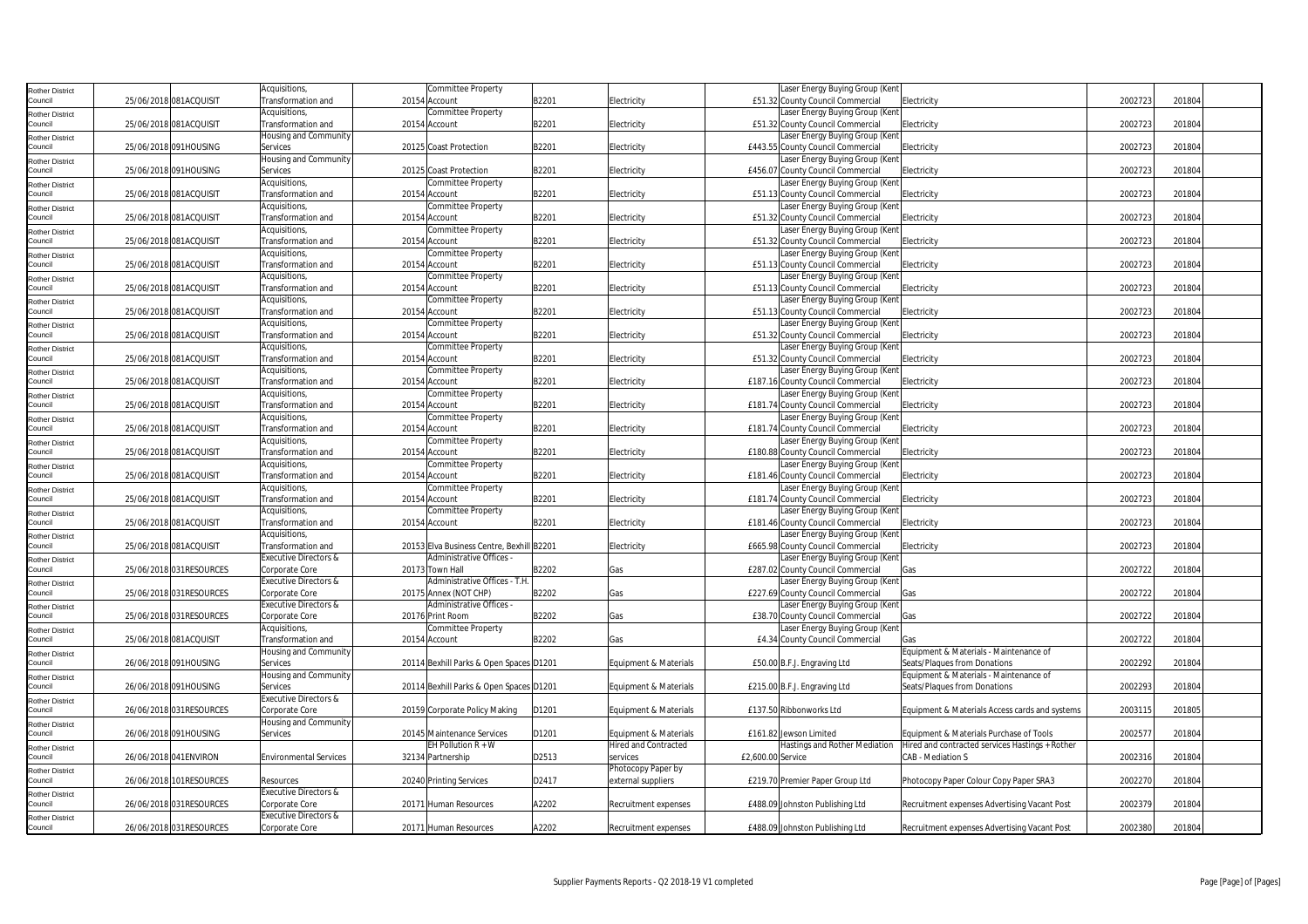| <b>Rother District</b>            |                         | Acquisitions,                           | Committee Property                                                  |       |                             |                   | Laser Energy Buying Group (Kent                                      |                                                 |         |        |  |
|-----------------------------------|-------------------------|-----------------------------------------|---------------------------------------------------------------------|-------|-----------------------------|-------------------|----------------------------------------------------------------------|-------------------------------------------------|---------|--------|--|
| Council                           | 25/06/2018 081ACQUISIT  | ransformation and                       | 20154 Account                                                       | B2201 | Electricity                 |                   | £51.32 County Council Commercial                                     | Electricity                                     | 2002723 | 201804 |  |
| <b>Rother District</b>            |                         | Acquisitions,                           | Committee Property                                                  |       |                             |                   | Laser Energy Buying Group (Ken                                       |                                                 |         |        |  |
| Council                           | 25/06/2018 081ACQUISIT  | Transformation and                      | 20154 Account                                                       | B2201 | Electricity                 |                   | £51.32 County Council Commercial                                     | Electricity                                     | 2002723 | 201804 |  |
| <b>Rother District</b>            |                         | Housing and Community                   |                                                                     |       |                             |                   | Laser Energy Buying Group (Kent                                      |                                                 |         |        |  |
| Council                           | 25/06/2018 091HOUSING   | Services                                | 20125 Coast Protection                                              | B2201 | Electricity                 |                   | £443.55 County Council Commercial                                    | Electricity                                     | 2002723 | 201804 |  |
| <b>Rother District</b>            |                         | Housing and Community                   |                                                                     |       |                             |                   | Laser Energy Buying Group (Kent                                      |                                                 |         |        |  |
| Council                           | 25/06/2018 091HOUSING   | Services                                | 20125 Coast Protection                                              | B2201 | Electricity                 |                   | £456.07 County Council Commercial                                    | Electricity                                     | 2002723 | 201804 |  |
| <b>Rother District</b>            |                         | Acquisitions,                           | Committee Property                                                  |       |                             |                   | Laser Energy Buying Group (Ken                                       |                                                 |         |        |  |
| Council                           | 25/06/2018 081ACQUISIT  | Transformation and                      | 20154 Account                                                       | B2201 | Electricity                 |                   | £51.13 County Council Commercial                                     | Electricity                                     | 2002723 | 201804 |  |
| <b>Rother District</b>            |                         | Acquisitions,                           | Committee Property                                                  |       |                             |                   | Laser Energy Buying Group (Kent                                      |                                                 |         |        |  |
| Council                           | 25/06/2018 081ACQUISIT  | Transformation and                      | 20154 Account                                                       | B2201 | Electricity                 |                   | £51.32 County Council Commercial                                     | Electricity                                     | 2002723 | 201804 |  |
| <b>Rother District</b>            |                         | Acquisitions,                           | Committee Property                                                  |       |                             |                   | Laser Energy Buying Group (Kent                                      |                                                 |         |        |  |
| Council                           | 25/06/2018 081ACQUISIT  | Transformation and                      | 20154 Account                                                       | B2201 | Electricity                 |                   | £51.32 County Council Commercial                                     | Electricity                                     | 2002723 | 201804 |  |
| <b>Rother District</b>            |                         | Acquisitions,<br>Transformation and     | Committee Property                                                  | B2201 |                             |                   | Laser Energy Buying Group (Kent<br>£51.13 County Council Commercial  | Electricity                                     | 2002723 | 201804 |  |
| Council                           | 25/06/2018 081ACQUISIT  | Acquisitions,                           | 20154 Account                                                       |       | Electricity                 |                   | Laser Energy Buying Group (Ken                                       |                                                 |         |        |  |
| <b>Rother District</b><br>Council | 25/06/2018 081ACQUISIT  | Transformation and                      | Committee Property<br>20154 Account                                 | B2201 |                             |                   | £51.13 County Council Commercial                                     | Electricity                                     | 2002723 | 201804 |  |
|                                   |                         | Acquisitions,                           | Committee Property                                                  |       | Electricity                 |                   | Laser Energy Buying Group (Kent                                      |                                                 |         |        |  |
| <b>Rother District</b><br>Council | 25/06/2018 081ACQUISIT  | Transformation and                      | 20154 Account                                                       | B2201 | Electricity                 |                   | £51.13 County Council Commercial                                     | Electricity                                     | 2002723 | 201804 |  |
| <b>Rother District</b>            |                         | Acquisitions,                           | Committee Property                                                  |       |                             |                   | Laser Energy Buying Group (Kent                                      |                                                 |         |        |  |
| Council                           | 25/06/2018 081ACQUISIT  | Transformation and                      | 20154 Account                                                       | B2201 | Electricity                 |                   | £51.32 County Council Commercial                                     | Electricity                                     | 2002723 | 201804 |  |
| <b>Rother District</b>            |                         | Acquisitions,                           | Committee Property                                                  |       |                             |                   | Laser Energy Buying Group (Kent                                      |                                                 |         |        |  |
| Council                           | 25/06/2018 081ACQUISIT  | Transformation and                      | 20154 Account                                                       | B2201 | Electricity                 |                   | £51.32 County Council Commercial                                     | Electricity                                     | 2002723 | 201804 |  |
| <b>Rother District</b>            |                         | Acquisitions,                           | Committee Property                                                  |       |                             |                   | Laser Energy Buying Group (Kent                                      |                                                 |         |        |  |
| Council                           | 25/06/2018 081ACQUISIT  | Transformation and                      | 20154 Account                                                       | B2201 | Electricity                 |                   | £187.16 County Council Commercial                                    | Electricity                                     | 2002723 | 201804 |  |
| <b>Rother District</b>            |                         | Acquisitions,                           | Committee Property                                                  |       |                             |                   | Laser Energy Buying Group (Ken                                       |                                                 |         |        |  |
| Council                           | 25/06/2018 081ACQUISIT  | Transformation and                      | 20154 Account                                                       | B2201 | Electricity                 |                   | £181.74 County Council Commercial                                    | Electricity                                     | 2002723 | 201804 |  |
| <b>Rother District</b>            |                         | Acquisitions,                           | Committee Property                                                  |       |                             |                   | Laser Energy Buying Group (Kent                                      |                                                 |         |        |  |
| Council                           | 25/06/2018 081ACQUISIT  | Transformation and                      | 20154 Account                                                       | B2201 | Electricity                 |                   | £181.74 County Council Commercial                                    | Electricity                                     | 2002723 | 201804 |  |
| <b>Rother District</b>            |                         | Acquisitions,                           | Committee Property                                                  |       |                             |                   | Laser Energy Buying Group (Kent                                      |                                                 |         |        |  |
| Council                           | 25/06/2018 081ACQUISIT  | Transformation and                      | 20154 Account                                                       | B2201 | Electricity                 |                   | £180.88 County Council Commercial                                    | Electricity                                     | 2002723 | 201804 |  |
| <b>Rother District</b>            |                         | Acquisitions,                           | Committee Property                                                  |       |                             |                   | Laser Energy Buying Group (Ken                                       |                                                 |         |        |  |
| Council                           | 25/06/2018 081ACQUISIT  | Transformation and                      | 20154 Account                                                       | B2201 | Electricity                 |                   | £181.46 County Council Commercial                                    | Electricity                                     | 2002723 | 201804 |  |
| <b>Rother District</b>            |                         | Acquisitions,                           | Committee Property                                                  |       |                             |                   | Laser Energy Buying Group (Kent                                      |                                                 |         |        |  |
| Council                           | 25/06/2018 081ACQUISIT  | Transformation and                      | 20154 Account                                                       | B2201 | Electricity                 |                   | £181.74 County Council Commercial                                    | Electricity                                     | 2002723 | 201804 |  |
| <b>Rother District</b>            |                         | Acquisitions,                           | Committee Property                                                  |       |                             |                   | Laser Energy Buying Group (Kent                                      |                                                 |         |        |  |
| Council                           | 25/06/2018 081ACQUISIT  | Transformation and                      | 20154 Account                                                       | B2201 | Electricity                 |                   | £181.46 County Council Commercial                                    | Electricity                                     | 2002723 | 201804 |  |
| <b>Rother District</b><br>Council |                         | Acquisitions,                           |                                                                     |       |                             |                   | Laser Energy Buying Group (Ken                                       |                                                 |         |        |  |
|                                   | 25/06/2018 081ACQUISIT  | Transformation and                      | 20153 Elva Business Centre, Bexhill B2201<br>Administrative Offices |       | Electricity                 |                   | £665.98 County Council Commercial                                    | Electricity                                     | 2002723 | 201804 |  |
| <b>Rother District</b><br>Council |                         | Executive Directors &                   | 20173 Town Hall                                                     | B2202 |                             |                   | Laser Energy Buying Group (Kent                                      |                                                 | 2002722 | 201804 |  |
|                                   | 25/06/2018 031RESOURCES | Corporate Core<br>Executive Directors & | Administrative Offices - T.H.                                       |       | Gas                         |                   | £287.02 County Council Commercial<br>Laser Energy Buying Group (Kent | Gas                                             |         |        |  |
| <b>Rother District</b><br>Council | 25/06/2018 031RESOURCES | Corporate Core                          | 20175 Annex (NOT CHP)                                               | B2202 | Gas                         |                   | £227.69 County Council Commercial                                    | Gas                                             | 2002722 | 201804 |  |
|                                   |                         | Executive Directors &                   | Administrative Offices                                              |       |                             |                   | Laser Energy Buying Group (Kent                                      |                                                 |         |        |  |
| <b>Rother District</b><br>Council | 25/06/2018 031RESOURCES | Corporate Core                          | 20176 Print Room                                                    | B2202 | Gas                         |                   | £38.70 County Council Commercial                                     | Gas                                             | 2002722 | 201804 |  |
| <b>Rother District</b>            |                         | Acquisitions,                           | Committee Property                                                  |       |                             |                   | Laser Energy Buying Group (Kent                                      |                                                 |         |        |  |
| Council                           | 25/06/2018 081ACQUISIT  | Transformation and                      | 20154 Account                                                       | B2202 | Gas                         |                   | £4.34 County Council Commercial                                      |                                                 | 2002722 | 201804 |  |
| <b>Rother District</b>            |                         | Housing and Community                   |                                                                     |       |                             |                   |                                                                      | Equipment & Materials - Maintenance of          |         |        |  |
| Council                           | 26/06/2018 091HOUSING   | Services                                | 20114 Bexhill Parks & Open Spaces D1201                             |       | Equipment & Materials       |                   | £50.00 B.F.J. Engraving Ltd                                          | Seats/Plaques from Donations                    | 2002292 | 201804 |  |
| <b>Rother District</b>            |                         | Housing and Community                   |                                                                     |       |                             |                   |                                                                      | Equipment & Materials - Maintenance of          |         |        |  |
| Council                           | 26/06/2018 091HOUSING   | Services                                | 20114 Bexhill Parks & Open Spaces D1201                             |       | Equipment & Materials       |                   | £215.00 B.F.J. Engraving Ltd                                         | Seats/Plaques from Donations                    | 2002293 | 201804 |  |
| <b>Rother District</b>            |                         | Executive Directors &                   |                                                                     |       |                             |                   |                                                                      |                                                 |         |        |  |
| Council                           | 26/06/2018 031RESOURCES | Corporate Core                          | 20159 Corporate Policy Making                                       | D1201 | Equipment & Materials       |                   | £137.50 Ribbonworks Ltd                                              | Equipment & Materials Access cards and systems  | 2003115 | 201805 |  |
| <b>Rother District</b>            |                         | Housing and Community                   |                                                                     |       |                             |                   |                                                                      |                                                 |         |        |  |
| Council                           | 26/06/2018 091HOUSING   | Services                                | 20145 Maintenance Services                                          | D1201 | Equipment & Materials       |                   | £161.82 Jewson Limited                                               | Equipment & Materials Purchase of Tools         | 2002577 | 201804 |  |
| <b>Rother District</b>            |                         |                                         | EH Pollution R + W                                                  |       | <b>Hired and Contracted</b> |                   | Hastings and Rother Mediation                                        | Hired and contracted services Hastings + Rother |         |        |  |
| Council                           | 26/06/2018 041ENVIRON   | <b>Environmental Services</b>           | 32134 Partnership                                                   | D2513 | services                    | £2,600.00 Service |                                                                      | CAB - Mediation S                               | 2002316 | 201804 |  |
| <b>Rother District</b>            |                         |                                         |                                                                     |       | Photocopy Paper by          |                   |                                                                      |                                                 |         |        |  |
| Council                           | 26/06/2018 101RESOURCES | Resources                               | 20240 Printing Services                                             | D2417 | external suppliers          |                   | £219.70 Premier Paper Group Ltd                                      | Photocopy Paper Colour Copy Paper SRA3          | 2002270 | 201804 |  |
| <b>Rother District</b>            |                         | Executive Directors &                   |                                                                     |       |                             |                   |                                                                      |                                                 |         |        |  |
| Council                           | 26/06/2018 031RESOURCES | Corporate Core                          | 20171 Human Resources                                               | A2202 | Recruitment expenses        |                   | £488.09 Johnston Publishing Ltd                                      | Recruitment expenses Advertising Vacant Post    | 2002379 | 201804 |  |
| <b>Rother District</b>            |                         | Executive Directors &                   |                                                                     |       |                             |                   |                                                                      |                                                 |         |        |  |
| Council                           | 26/06/2018 031RESOURCES | Corporate Core                          | 20171 Human Resources                                               | A2202 | Recruitment expenses        |                   | £488.09 Johnston Publishing Ltd                                      | Recruitment expenses Advertising Vacant Post    | 2002380 | 201804 |  |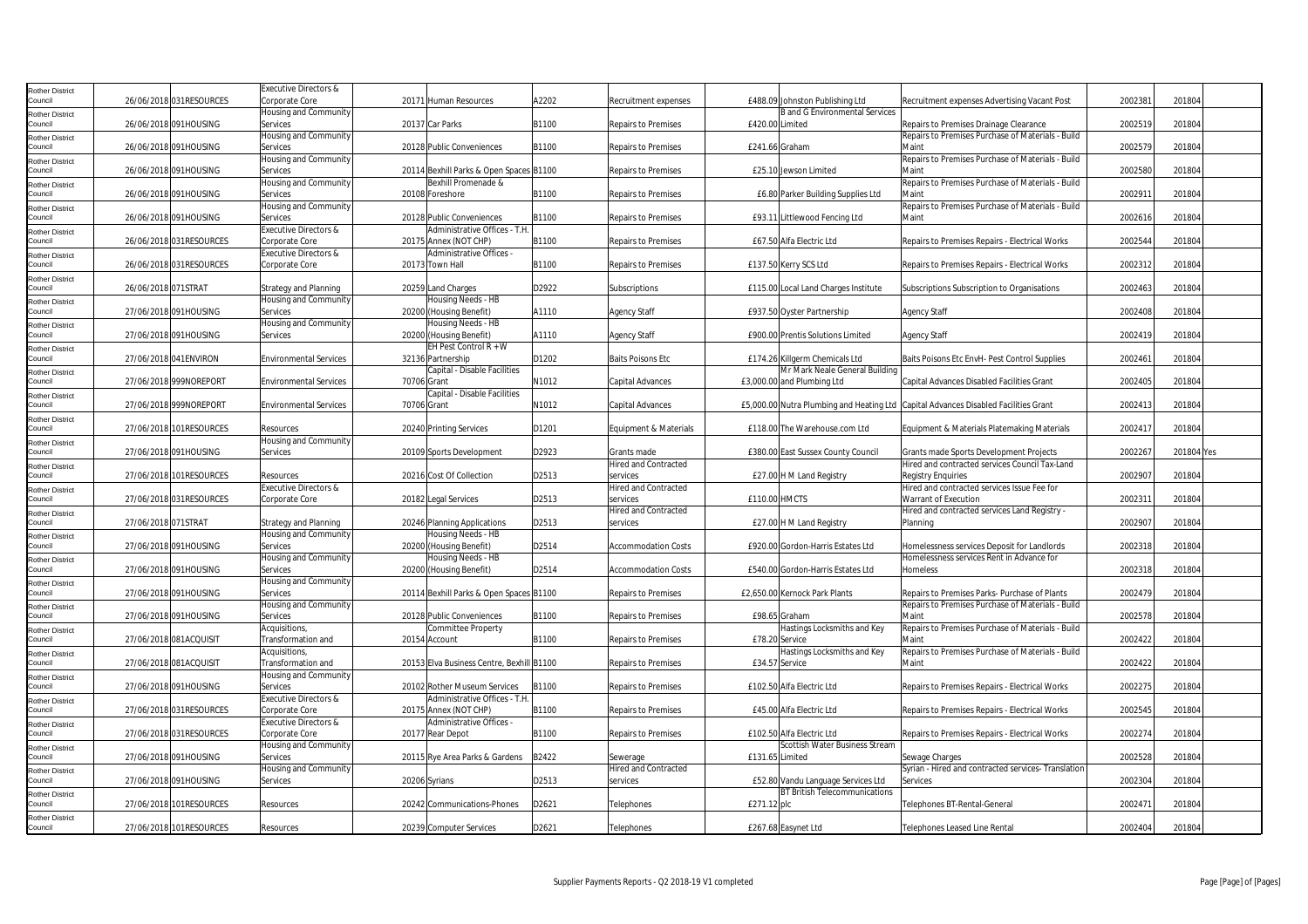| <b>Rother District</b>            |                     |                         | Executive Directors &                   |             |                                                   |       |                             |                 |                                       |                                                                                     |         |            |  |
|-----------------------------------|---------------------|-------------------------|-----------------------------------------|-------------|---------------------------------------------------|-------|-----------------------------|-----------------|---------------------------------------|-------------------------------------------------------------------------------------|---------|------------|--|
| Council                           |                     | 26/06/2018 031RESOURCES | Corporate Core                          |             | 20171 Human Resources                             | A2202 | Recruitment expenses        |                 | £488.09 Johnston Publishing Ltd       | Recruitment expenses Advertising Vacant Post                                        | 2002381 | 201804     |  |
| <b>Rother District</b>            |                     |                         | <b>Housing and Community</b>            |             |                                                   |       |                             |                 | <b>B</b> and G Environmental Services |                                                                                     |         |            |  |
| Council                           |                     | 26/06/2018 091HOUSING   | Services                                |             | 20137 Car Parks                                   | B1100 | <b>Repairs to Premises</b>  | £420.00 Limited |                                       | Repairs to Premises Drainage Clearance                                              | 2002519 | 201804     |  |
| <b>Rother District</b>            |                     |                         | Housing and Community                   |             |                                                   |       |                             |                 |                                       | Repairs to Premises Purchase of Materials - Build                                   |         |            |  |
| Council                           |                     | 26/06/2018 091HOUSING   | Services                                |             | 20128 Public Conveniences                         | B1100 | <b>Repairs to Premises</b>  |                 | £241.66 Graham                        | Maint                                                                               | 2002579 | 201804     |  |
| <b>Rother District</b>            |                     |                         | Housing and Community                   |             |                                                   |       |                             |                 |                                       | Repairs to Premises Purchase of Materials - Build                                   |         |            |  |
| Council                           |                     | 26/06/2018 091HOUSING   | Services                                |             | 20114 Bexhill Parks & Open Spaces B1100           |       | <b>Repairs to Premises</b>  |                 | £25.10 Jewson Limited                 | Maint                                                                               | 2002580 | 201804     |  |
| <b>Rother District</b>            |                     |                         | Housing and Community                   |             | Bexhill Promenade &                               |       |                             |                 |                                       | Repairs to Premises Purchase of Materials - Build                                   |         |            |  |
| Council                           |                     | 26/06/2018 091HOUSING   | Services                                |             | 20108 Foreshore                                   | B1100 | <b>Repairs to Premises</b>  |                 | £6.80 Parker Building Supplies Ltd    | Maint                                                                               | 2002911 | 201804     |  |
| <b>Rother District</b>            |                     |                         | Housing and Community                   |             |                                                   |       |                             |                 |                                       | Repairs to Premises Purchase of Materials - Build                                   |         |            |  |
| Council                           |                     | 26/06/2018 091HOUSING   | Services                                |             | 20128 Public Conveniences                         | B1100 | <b>Repairs to Premises</b>  |                 | £93.11 Littlewood Fencing Ltd         | Maint                                                                               | 2002616 | 201804     |  |
| <b>Rother District</b>            |                     |                         | Executive Directors &                   |             | Administrative Offices - T.H.                     | B1100 |                             |                 | £67.50 Alfa Electric Ltd              |                                                                                     | 2002544 | 201804     |  |
| Council                           |                     | 26/06/2018 031RESOURCES | Corporate Core<br>Executive Directors & |             | 20175 Annex (NOT CHP)<br>Administrative Offices - |       | <b>Repairs to Premises</b>  |                 |                                       | Repairs to Premises Repairs - Electrical Works                                      |         |            |  |
| <b>Rother District</b><br>Council |                     | 26/06/2018 031RESOURCES | Corporate Core                          |             | 20173 Town Hall                                   | B1100 | <b>Repairs to Premises</b>  |                 | £137.50 Kerry SCS Ltd                 | Repairs to Premises Repairs - Electrical Works                                      | 2002312 | 201804     |  |
|                                   |                     |                         |                                         |             |                                                   |       |                             |                 |                                       |                                                                                     |         |            |  |
| <b>Rother District</b><br>Council | 26/06/2018 071STRAT |                         | <b>Strategy and Planning</b>            |             | 20259 Land Charges                                | D2922 | Subscriptions               |                 | £115.00 Local Land Charges Institute  | Subscriptions Subscription to Organisations                                         | 2002463 | 201804     |  |
|                                   |                     |                         | Housing and Community                   |             | Housing Needs - HB                                |       |                             |                 |                                       |                                                                                     |         |            |  |
| <b>Rother District</b><br>Council |                     | 27/06/2018 091HOUSING   | Services                                |             | 20200 (Housing Benefit)                           | A1110 | <b>Agency Staff</b>         |                 | £937.50 Oyster Partnership            | <b>Agency Staff</b>                                                                 | 2002408 | 201804     |  |
| <b>Rother District</b>            |                     |                         | Housing and Community                   |             | Housing Needs - HB                                |       |                             |                 |                                       |                                                                                     |         |            |  |
| Council                           |                     | 27/06/2018 091HOUSING   | Services                                |             | 20200 (Housing Benefit)                           | A1110 | <b>Agency Staff</b>         |                 | £900.00 Prentis Solutions Limited     | <b>Agency Staff</b>                                                                 | 2002419 | 201804     |  |
| <b>Rother District</b>            |                     |                         |                                         |             | EH Pest Control R + W                             |       |                             |                 |                                       |                                                                                     |         |            |  |
| Council                           |                     | 27/06/2018 041 ENVIRON  | <b>Environmental Services</b>           |             | 32136 Partnership                                 | D1202 | <b>Baits Poisons Etc</b>    |                 | £174.26 Killgerm Chemicals Ltd        | Baits Poisons Etc EnvH- Pest Control Supplies                                       | 2002461 | 201804     |  |
| <b>Rother District</b>            |                     |                         |                                         |             | Capital - Disable Facilities                      |       |                             |                 | Mr Mark Neale General Building        |                                                                                     |         |            |  |
| Council                           |                     | 27/06/2018 999NOREPORT  | <b>Environmental Services</b>           | 70706 Grant |                                                   | N1012 | Capital Advances            |                 | £3,000.00 and Plumbing Ltd            | Capital Advances Disabled Facilities Grant                                          | 2002405 | 201804     |  |
| <b>Rother District</b>            |                     |                         |                                         |             | Capital - Disable Facilities                      |       |                             |                 |                                       |                                                                                     |         |            |  |
| Council                           |                     | 27/06/2018 999NOREPORT  | <b>Environmental Services</b>           | 70706 Grant |                                                   | N1012 | Capital Advances            |                 |                                       | £5,000.00 Nutra Plumbing and Heating Ltd Capital Advances Disabled Facilities Grant | 2002413 | 201804     |  |
| <b>Rother District</b>            |                     |                         |                                         |             |                                                   |       |                             |                 |                                       |                                                                                     |         |            |  |
| Council                           |                     | 27/06/2018 101RESOURCES | Resources                               |             | 20240 Printing Services                           | D1201 | Equipment & Materials       |                 | £118.00 The Warehouse.com Ltd         | Equipment & Materials Platemaking Materials                                         | 2002417 | 201804     |  |
| <b>Rother District</b>            |                     |                         | Housing and Community                   |             |                                                   |       |                             |                 |                                       |                                                                                     |         |            |  |
| Council                           |                     | 27/06/2018 091HOUSING   | Services                                |             | 20109 Sports Development                          | D2923 | Grants made                 |                 | £380.00 East Sussex County Council    | Grants made Sports Development Projects                                             | 2002267 | 201804 Yes |  |
| <b>Rother District</b>            |                     |                         |                                         |             |                                                   |       | <b>Hired and Contracted</b> |                 |                                       | Hired and contracted services Council Tax-Land                                      |         |            |  |
| Council                           |                     | 27/06/2018 101RESOURCES | Resources                               |             | 20216 Cost Of Collection                          | D2513 | services                    |                 | £27.00 H M Land Registry              | <b>Registry Enquiries</b>                                                           | 2002907 | 201804     |  |
| <b>Rother District</b>            |                     |                         | Executive Directors &                   |             |                                                   |       | <b>Hired and Contracted</b> |                 |                                       | Hired and contracted services Issue Fee for                                         |         |            |  |
| Council                           |                     | 27/06/2018 031RESOURCES | Corporate Core                          |             | 20182 Legal Services                              | D2513 | services                    | £110.00 HMCTS   |                                       | Warrant of Execution                                                                | 200231  | 201804     |  |
| <b>Rother District</b>            |                     |                         |                                         |             |                                                   |       | <b>Hired and Contracted</b> |                 |                                       | Hired and contracted services Land Registry -                                       |         |            |  |
| Council                           | 27/06/2018 071STRAT |                         | <b>Strategy and Planning</b>            |             | 20246 Planning Applications                       | D2513 | services                    |                 | £27.00 H M Land Registry              | Planning                                                                            | 2002907 | 201804     |  |
| <b>Rother District</b>            |                     |                         | Housing and Community                   |             | Housing Needs - HB                                |       |                             |                 |                                       |                                                                                     |         |            |  |
| Council                           |                     | 27/06/2018 091HOUSING   | Services                                |             | 20200 (Housing Benefit)                           | D2514 | <b>Accommodation Costs</b>  |                 | £920.00 Gordon-Harris Estates Ltd     | Homelessness services Deposit for Landlords                                         | 2002318 | 201804     |  |
| <b>Rother District</b><br>Council |                     | 27/06/2018 091HOUSING   | Housing and Community<br>Services       |             | Housing Needs - HB<br>20200 (Housing Benefit)     | D2514 | <b>Accommodation Costs</b>  |                 | £540.00 Gordon-Harris Estates Ltd     | Homelessness services Rent in Advance for<br>Homeless                               | 2002318 | 201804     |  |
|                                   |                     |                         | Housing and Community                   |             |                                                   |       |                             |                 |                                       |                                                                                     |         |            |  |
| <b>Rother District</b><br>Council |                     | 27/06/2018 091HOUSING   | Services                                |             | 20114 Bexhill Parks & Open Spaces B1100           |       | <b>Repairs to Premises</b>  |                 | £2.650.00 Kernock Park Plants         | Repairs to Premises Parks- Purchase of Plants                                       | 2002479 | 201804     |  |
|                                   |                     |                         | Housing and Community                   |             |                                                   |       |                             |                 |                                       | Repairs to Premises Purchase of Materials - Build                                   |         |            |  |
| <b>Rother District</b><br>Council |                     | 27/06/2018 091HOUSING   | Services                                |             | 20128 Public Conveniences                         | B1100 | <b>Repairs to Premises</b>  |                 | £98.65 Graham                         | Maint                                                                               | 2002578 | 201804     |  |
| <b>Rother District</b>            |                     |                         | Acquisitions,                           |             | Committee Property                                |       |                             |                 | Hastings Locksmiths and Key           | Repairs to Premises Purchase of Materials - Build                                   |         |            |  |
| Council                           |                     | 27/06/2018 081ACQUISIT  | Transformation and                      |             | 20154 Account                                     | B1100 | <b>Repairs to Premises</b>  |                 | £78.20 Service                        | Maint                                                                               | 2002422 | 201804     |  |
| <b>Rother District</b>            |                     |                         | Acquisitions,                           |             |                                                   |       |                             |                 | Hastings Locksmiths and Key           | Repairs to Premises Purchase of Materials - Build                                   |         |            |  |
| Council                           |                     | 27/06/2018 081ACQUISIT  | Transformation and                      |             | 20153 Elva Business Centre, Bexhill B1100         |       | <b>Repairs to Premises</b>  |                 | £34.57 Service                        | Maint                                                                               | 2002422 | 201804     |  |
| <b>Rother District</b>            |                     |                         | Housing and Community                   |             |                                                   |       |                             |                 |                                       |                                                                                     |         |            |  |
| Council                           |                     | 27/06/2018 091HOUSING   | Services                                |             | 20102 Rother Museum Services                      | B1100 | <b>Repairs to Premises</b>  |                 | £102.50 Alfa Electric Ltd             | Repairs to Premises Repairs - Electrical Works                                      | 2002275 | 201804     |  |
| <b>Rother District</b>            |                     |                         | Executive Directors &                   |             | Administrative Offices - T.H                      |       |                             |                 |                                       |                                                                                     |         |            |  |
| Council                           |                     | 27/06/2018 031RESOURCES | Corporate Core                          |             | 20175 Annex (NOT CHP)                             | B1100 | <b>Repairs to Premises</b>  |                 | £45.00 Alfa Electric Ltd              | Repairs to Premises Repairs - Electrical Works                                      | 2002545 | 201804     |  |
| <b>Rother District</b>            |                     |                         | Executive Directors &                   |             | Administrative Offices -                          |       |                             |                 |                                       |                                                                                     |         |            |  |
| Council                           |                     | 27/06/2018 031RESOURCES | Corporate Core                          |             | 20177 Rear Depot                                  | B1100 | <b>Repairs to Premises</b>  |                 | £102.50 Alfa Electric Ltd             | Repairs to Premises Repairs - Electrical Works                                      | 2002274 | 201804     |  |
| <b>Rother District</b>            |                     |                         | Housing and Community                   |             |                                                   |       |                             |                 | Scottish Water Business Stream        |                                                                                     |         |            |  |
| Council                           |                     | 27/06/2018 091HOUSING   | Services                                |             | 20115 Rye Area Parks & Gardens                    | B2422 | Sewerage                    | £131.65 Limited |                                       | Sewage Charges                                                                      | 2002528 | 201804     |  |
| <b>Rother District</b>            |                     |                         | Housing and Community                   |             |                                                   |       | <b>Hired and Contracted</b> |                 |                                       | Syrian - Hired and contracted services- Translation                                 |         |            |  |
| Council                           |                     | 27/06/2018 091HOUSING   | Services                                |             | 20206 Syrians                                     | D2513 | services                    |                 | £52.80 Vandu Language Services Ltd    | <b>Services</b>                                                                     | 2002304 | 201804     |  |
| <b>Rother District</b>            |                     |                         |                                         |             |                                                   |       |                             |                 | <b>BT British Telecommunications</b>  |                                                                                     |         |            |  |
| Council                           |                     | 27/06/2018 101RESOURCES | Resources                               |             | 20242 Communications-Phones                       | D2621 | Telephones                  | £271.12 plc     |                                       | Telephones BT-Rental-General                                                        | 2002471 | 201804     |  |
| <b>Rother District</b>            |                     |                         |                                         |             |                                                   |       |                             |                 |                                       |                                                                                     |         |            |  |
| Council                           |                     | 27/06/2018 101RESOURCES | Resources                               |             | 20239 Computer Services                           | D2621 | Telephones                  |                 | £267.68 Easynet Ltd                   | <b>Telephones Leased Line Rental</b>                                                | 2002404 | 201804     |  |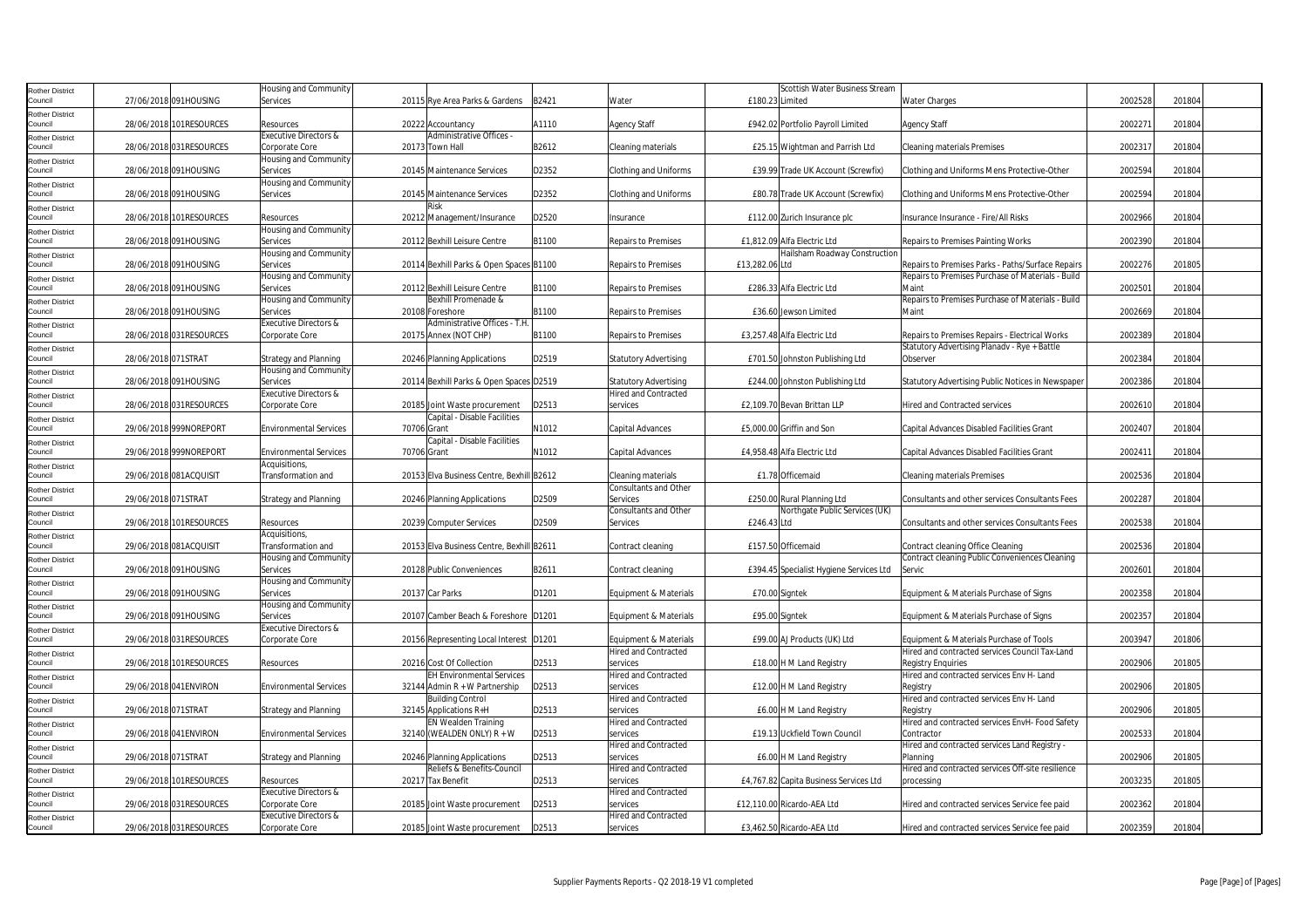| <b>Rother District</b>            |                     |                         | Housing and Community         |             |                                           |       |                              |                 | Scottish Water Business Stream          |                                                        |         |        |  |
|-----------------------------------|---------------------|-------------------------|-------------------------------|-------------|-------------------------------------------|-------|------------------------------|-----------------|-----------------------------------------|--------------------------------------------------------|---------|--------|--|
| Council                           |                     | 27/06/2018 091HOUSING   | Services                      |             | 20115 Rye Area Parks & Gardens            | B2421 | Water                        | £180.23 Limited |                                         | <b>Water Charges</b>                                   | 2002528 | 201804 |  |
| <b>Rother District</b>            |                     |                         |                               |             |                                           |       |                              |                 |                                         |                                                        |         |        |  |
| Council                           |                     | 28/06/2018 101RESOURCES | Resources                     |             | 20222 Accountancy                         | A1110 | <b>Agency Staff</b>          |                 | £942.02 Portfolio Payroll Limited       | <b>Agency Staff</b>                                    | 2002271 | 201804 |  |
|                                   |                     |                         | Executive Directors &         |             | Administrative Offices -                  |       |                              |                 |                                         |                                                        |         |        |  |
| <b>Rother District</b><br>Council |                     | 28/06/2018 031RESOURCES | Corporate Core                |             | 20173 Town Hall                           | B2612 | Cleaning materials           |                 | £25.15 Wightman and Parrish Ltd         | <b>Cleaning materials Premises</b>                     | 2002317 | 201804 |  |
|                                   |                     |                         | Housing and Community         |             |                                           |       |                              |                 |                                         |                                                        |         |        |  |
| <b>Rother District</b><br>Council |                     | 28/06/2018 091HOUSING   | Services                      |             | 20145 Maintenance Services                | D2352 | <b>Clothing and Uniforms</b> |                 | £39.99 Trade UK Account (Screwfix)      | Clothing and Uniforms Mens Protective-Other            | 2002594 | 201804 |  |
|                                   |                     |                         |                               |             |                                           |       |                              |                 |                                         |                                                        |         |        |  |
| <b>Rother District</b>            |                     |                         | Housing and Community         |             |                                           |       |                              |                 |                                         |                                                        |         |        |  |
| Council                           |                     | 28/06/2018 091HOUSING   | Services                      |             | 20145 Maintenance Services                | D2352 | <b>Clothing and Uniforms</b> |                 | £80.78 Trade UK Account (Screwfix)      | Clothing and Uniforms Mens Protective-Other            | 2002594 | 201804 |  |
| <b>Rother District</b>            |                     |                         |                               |             |                                           |       |                              |                 |                                         |                                                        |         |        |  |
| Council                           |                     | 28/06/2018 101RESOURCES | Resources                     |             | 20212 Management/Insurance                | D2520 | Insurance                    |                 | £112.00 Zurich Insurance plc            | Insurance Insurance - Fire/All Risks                   | 2002966 | 201804 |  |
| <b>Rother District</b>            |                     |                         | Housing and Community         |             |                                           |       |                              |                 |                                         |                                                        |         |        |  |
| Council                           |                     | 28/06/2018 091HOUSING   | Services                      |             | 20112 Bexhill Leisure Centre              | B1100 | <b>Repairs to Premises</b>   |                 | £1,812.09 Alfa Electric Ltd             | Repairs to Premises Painting Works                     | 2002390 | 201804 |  |
| <b>Rother District</b>            |                     |                         | Housing and Community         |             |                                           |       |                              |                 | Hailsham Roadway Construction           |                                                        |         |        |  |
| Council                           |                     | 28/06/2018 091HOUSING   | Services                      |             | 20114 Bexhill Parks & Open Spaces B1100   |       | <b>Repairs to Premises</b>   | £13,282.06 Ltd  |                                         | Repairs to Premises Parks - Paths/Surface Repairs      | 2002276 | 201805 |  |
| <b>Rother District</b>            |                     |                         | Housing and Community         |             |                                           |       |                              |                 |                                         | Repairs to Premises Purchase of Materials - Build      |         |        |  |
| Council                           |                     | 28/06/2018 091HOUSING   | Services                      |             | 20112 Bexhill Leisure Centre              | B1100 | Repairs to Premises          |                 | £286.33 Alfa Electric Ltd               | Maint                                                  | 2002501 | 201804 |  |
| <b>Rother District</b>            |                     |                         | Housing and Community         |             | Bexhill Promenade &                       |       |                              |                 |                                         | Repairs to Premises Purchase of Materials - Build      |         |        |  |
| Council                           |                     | 28/06/2018 091HOUSING   | Services                      |             | 20108 Foreshore                           | B1100 | <b>Repairs to Premises</b>   |                 | £36.60 Jewson Limited                   | Maint                                                  | 2002669 | 201804 |  |
| <b>Rother District</b>            |                     |                         | Executive Directors &         |             | Administrative Offices - T.H              |       |                              |                 |                                         |                                                        |         |        |  |
| Council                           |                     | 28/06/2018 031RESOURCES | Corporate Core                |             | 20175 Annex (NOT CHP)                     | B1100 | <b>Repairs to Premises</b>   |                 | £3,257.48 Alfa Electric Ltd             | Repairs to Premises Repairs - Electrical Works         | 2002389 | 201804 |  |
|                                   |                     |                         |                               |             |                                           |       |                              |                 |                                         | Statutory Advertising Planadv - Rye + Battle           |         |        |  |
| <b>Rother District</b>            | 28/06/2018 071STRAT |                         | <b>Strategy and Planning</b>  |             | 20246 Planning Applications               | D2519 | <b>Statutory Advertising</b> |                 | £701.50 Johnston Publishing Ltd         | Observer                                               | 2002384 | 201804 |  |
| Council                           |                     |                         |                               |             |                                           |       |                              |                 |                                         |                                                        |         |        |  |
| <b>Rother District</b>            |                     |                         | <b>Housing and Community</b>  |             |                                           |       |                              |                 |                                         |                                                        |         |        |  |
| Council                           |                     | 28/06/2018 091HOUSING   | Services                      |             | 20114 Bexhill Parks & Open Spaces D2519   |       | <b>Statutory Advertising</b> |                 | £244.00 Johnston Publishing Ltd         | Statutory Advertising Public Notices in Newspaper      | 2002386 | 201804 |  |
| <b>Rother District</b>            |                     |                         | Executive Directors &         |             |                                           |       | <b>Hired and Contracted</b>  |                 |                                         |                                                        |         |        |  |
| Council                           |                     | 28/06/2018 031RESOURCES | Corporate Core                |             | 20185 Joint Waste procurement             | D2513 | services                     |                 | £2,109.70 Bevan Brittan LLP             | Hired and Contracted services                          | 2002610 | 201804 |  |
| <b>Rother District</b>            |                     |                         |                               |             | Capital - Disable Facilities              |       |                              |                 |                                         |                                                        |         |        |  |
| Council                           |                     | 29/06/2018 999NOREPORT  | <b>Environmental Services</b> | 70706 Grant |                                           | N1012 | Capital Advances             |                 | £5,000.00 Griffin and Son               | Capital Advances Disabled Facilities Grant             | 2002407 | 201804 |  |
| <b>Rother District</b>            |                     |                         |                               |             | Capital - Disable Facilities              |       |                              |                 |                                         |                                                        |         |        |  |
| Council                           |                     | 29/06/2018 999NOREPORT  | <b>Environmental Services</b> | 70706 Grant |                                           | N1012 | Capital Advances             |                 | £4,958.48 Alfa Electric Ltd             | Capital Advances Disabled Facilities Grant             | 2002411 | 201804 |  |
| <b>Rother District</b>            |                     |                         | Acquisitions,                 |             |                                           |       |                              |                 |                                         |                                                        |         |        |  |
| Council                           |                     | 29/06/2018 081ACQUISIT  | Transformation and            |             | 20153 Elva Business Centre, Bexhill B2612 |       | Cleaning materials           |                 | £1.78 Officemaid                        | <b>Cleaning materials Premises</b>                     | 2002536 | 201804 |  |
| <b>Rother District</b>            |                     |                         |                               |             |                                           |       | <b>Consultants and Other</b> |                 |                                         |                                                        |         |        |  |
| Council                           | 29/06/2018 071STRAT |                         | Strategy and Planning         |             | 20246 Planning Applications               | D2509 | Services                     |                 | £250.00 Rural Planning Ltd              | <b>Consultants and other services Consultants Fees</b> | 2002287 | 201804 |  |
| <b>Rother District</b>            |                     |                         |                               |             |                                           |       | <b>Consultants and Other</b> |                 | Northgate Public Services (UK)          |                                                        |         |        |  |
| Council                           |                     | 29/06/2018 101RESOURCES | Resources                     |             | 20239 Computer Services                   | D2509 | Services                     | £246.43 Ltd     |                                         | Consultants and other services Consultants Fees        | 2002538 | 201804 |  |
| <b>Rother District</b>            |                     |                         | Acquisitions,                 |             |                                           |       |                              |                 |                                         |                                                        |         |        |  |
| Council                           |                     | 29/06/2018 081ACQUISIT  | Transformation and            |             | 20153 Elva Business Centre, Bexhill B2611 |       | Contract cleaning            |                 | £157.50 Officemaid                      | Contract cleaning Office Cleaning                      | 2002536 | 201804 |  |
|                                   |                     |                         | Housing and Community         |             |                                           |       |                              |                 |                                         | Contract cleaning Public Conveniences Cleaning         |         |        |  |
| <b>Rother District</b><br>Council |                     | 29/06/2018 091HOUSING   | Services                      |             | 20128 Public Conveniences                 | B2611 | Contract cleaning            |                 | £394.45 Specialist Hygiene Services Ltd | Servic                                                 | 2002601 | 201804 |  |
|                                   |                     |                         |                               |             |                                           |       |                              |                 |                                         |                                                        |         |        |  |
| <b>Rother District</b>            |                     |                         | Housing and Community         |             |                                           |       |                              |                 |                                         |                                                        |         |        |  |
| Council                           |                     | 29/06/2018 091HOUSING   | Services                      |             | 20137 Car Parks                           | D1201 | Equipment & Materials        |                 | £70.00 Signtek                          | Equipment & Materials Purchase of Signs                | 2002358 | 201804 |  |
| <b>Rother District</b>            |                     |                         | lousing and Community         |             |                                           |       |                              |                 |                                         |                                                        |         |        |  |
| Council                           |                     | 29/06/2018 091HOUSING   | Services                      |             | 20107 Camber Beach & Foreshore D1201      |       | Equipment & Materials        |                 | £95.00 Signtek                          | Equipment & Materials Purchase of Signs                | 2002357 | 201804 |  |
| <b>Rother District</b>            |                     |                         | Executive Directors &         |             |                                           |       |                              |                 |                                         |                                                        |         |        |  |
| Council                           |                     | 29/06/2018 031RESOURCES | Corporate Core                |             | 20156 Representing Local Interest D1201   |       | Equipment & Materials        |                 | £99.00 AJ Products (UK) Ltd             | Equipment & Materials Purchase of Tools                | 2003947 | 201806 |  |
| <b>Rother District</b>            |                     |                         |                               |             |                                           |       | <b>Hired and Contracted</b>  |                 |                                         | Hired and contracted services Council Tax-Land         |         |        |  |
| Council                           |                     | 29/06/2018 101RESOURCES | Resources                     |             | 20216 Cost Of Collection                  | D2513 | services                     |                 | £18.00 H M Land Registry                | <b>Registry Enquiries</b>                              | 2002906 | 201805 |  |
| <b>Rother District</b>            |                     |                         |                               |             | <b>EH Environmental Services</b>          |       | <b>Hired and Contracted</b>  |                 |                                         | Hired and contracted services Env H- Land              |         |        |  |
| Council                           |                     | 29/06/2018 041ENVIRON   | <b>Environmental Services</b> |             | 32144 Admin $R + W$ Partnership           | D2513 | services                     |                 | £12.00 H M Land Registry                | Registry                                               | 2002906 | 201805 |  |
| <b>Rother District</b>            |                     |                         |                               |             | <b>Building Control</b>                   |       | <b>Hired and Contracted</b>  |                 |                                         | Hired and contracted services Env H- Land              |         |        |  |
| Council                           | 29/06/2018 071STRAT |                         | <b>Strategy and Planning</b>  |             | 32145 Applications R+H                    | D2513 | services                     |                 | £6.00 H M Land Registry                 | Registry                                               | 2002906 | 201805 |  |
| <b>Rother District</b>            |                     |                         |                               |             | EN Wealden Training                       |       | <b>Hired and Contracted</b>  |                 |                                         | Hired and contracted services EnvH- Food Safety        |         |        |  |
| Council                           |                     | 29/06/2018 041 ENVIRON  | <b>Environmental Services</b> |             | 32140 (WEALDEN ONLY) R + W                | D2513 | services                     |                 | £19.13 Uckfield Town Council            | Contractor                                             | 2002533 | 201804 |  |
| <b>Rother District</b>            |                     |                         |                               |             |                                           |       | <b>Hired and Contracted</b>  |                 |                                         | Hired and contracted services Land Registry -          |         |        |  |
| Council                           | 29/06/2018 071STRAT |                         | <b>Strategy and Planning</b>  |             | 20246 Planning Applications               | D2513 | services                     |                 | £6.00 H M Land Registry                 | Planning                                               | 2002906 | 201805 |  |
| <b>Rother District</b>            |                     |                         |                               |             | Reliefs & Benefits-Council                |       | <b>Hired and Contracted</b>  |                 |                                         | Hired and contracted services Off-site resilience      |         |        |  |
| Council                           |                     | 29/06/2018 101RESOURCES | Resources                     |             | 20217 Tax Benefit                         | D2513 | services                     |                 | £4,767.82 Capita Business Services Ltd  | processing                                             | 2003235 | 201805 |  |
|                                   |                     |                         | Executive Directors &         |             |                                           |       | <b>Hired and Contracted</b>  |                 |                                         |                                                        |         |        |  |
| <b>Rother District</b><br>Council |                     | 29/06/2018 031RESOURCES | Corporate Core                |             | 20185 Joint Waste procurement             | D2513 | services                     |                 | £12,110.00 Ricardo-AEA Ltd              | Hired and contracted services Service fee paid         | 2002362 | 201804 |  |
|                                   |                     |                         | Executive Directors &         |             |                                           |       | <b>Hired and Contracted</b>  |                 |                                         |                                                        |         |        |  |
| <b>Rother District</b>            |                     |                         |                               |             |                                           |       |                              |                 | £3,462.50 Ricardo-AEA Ltd               |                                                        | 2002359 | 201804 |  |
| Council                           |                     | 29/06/2018 031RESOURCES | Corporate Core                |             | 20185 Joint Waste procurement             | D2513 | services                     |                 |                                         | Hired and contracted services Service fee paid         |         |        |  |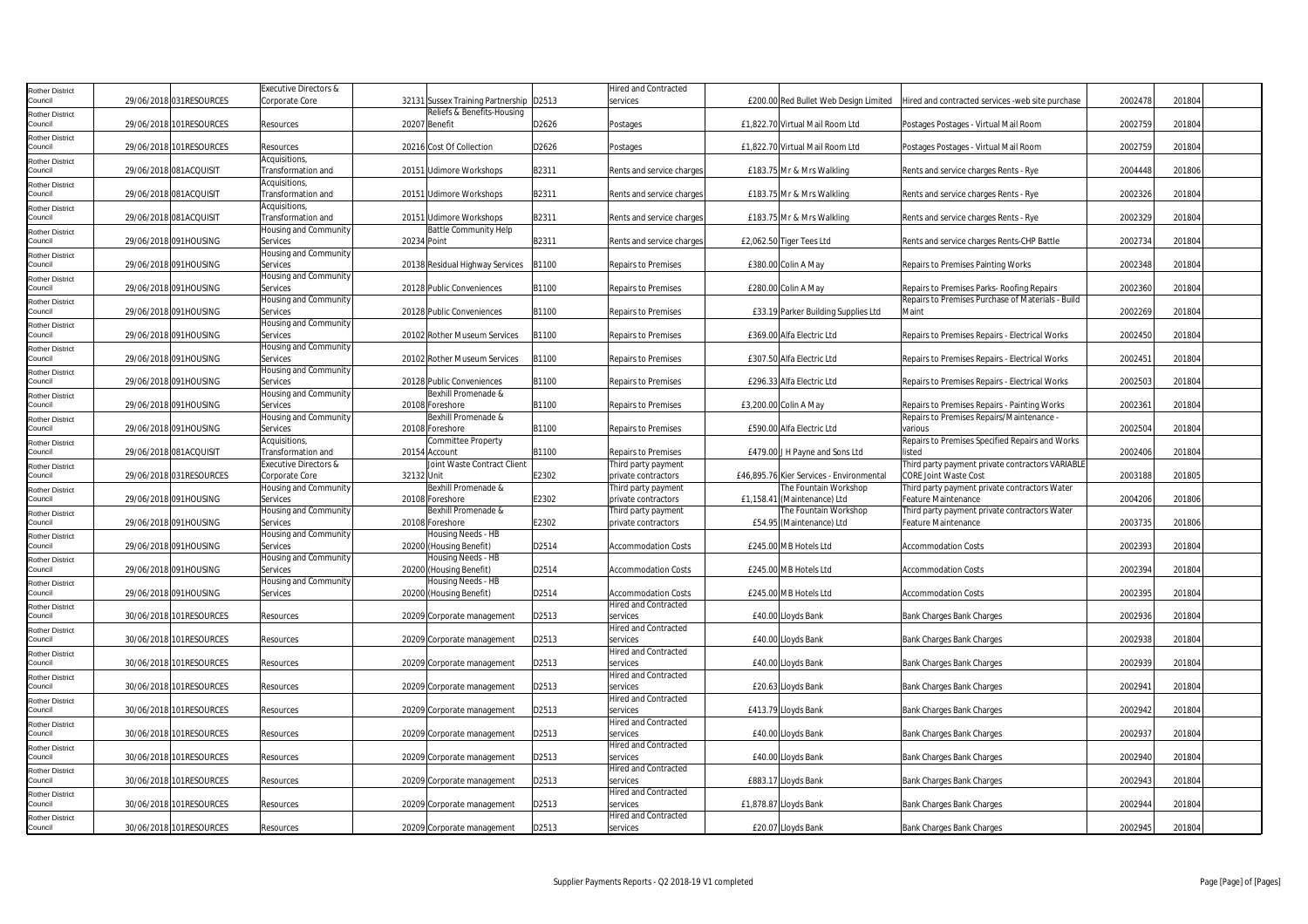| <b>Rother District</b>            |                         | Executive Directors &                       |             |                                                         |       | <b>Hired and Contracted</b>                |           |                                                  |                                                                                           |         |        |
|-----------------------------------|-------------------------|---------------------------------------------|-------------|---------------------------------------------------------|-------|--------------------------------------------|-----------|--------------------------------------------------|-------------------------------------------------------------------------------------------|---------|--------|
| Council                           | 29/06/2018 031RESOURCES | Corporate Core                              |             | 32131 Sussex Training Partnership D2513                 |       | services                                   |           | £200.00 Red Bullet Web Design Limited            | Hired and contracted services -web site purchase                                          | 2002478 | 201804 |
| <b>Rother District</b><br>Council | 29/06/2018 101RESOURCES | Resources                                   |             | Reliefs & Benefits-Housing<br>20207 Benefit             | D2626 | Postages                                   |           | £1,822.70 Virtual Mail Room Ltd                  | Postages Postages - Virtual Mail Room                                                     | 2002759 | 201804 |
| <b>Rother District</b><br>Council | 29/06/2018 101RESOURCES | Resources                                   |             | 20216 Cost Of Collection                                | D2626 | Postages                                   |           | £1,822.70 Virtual Mail Room Ltd                  | Postages Postages - Virtual Mail Room                                                     | 2002759 | 201804 |
| <b>Rother District</b><br>Council | 29/06/2018 081ACQUISIT  | Acquisitions,<br>Transformation and         |             | 20151 Udimore Workshops                                 | B2311 | Rents and service charges                  |           | £183.75 Mr & Mrs Walkling                        | Rents and service charges Rents - Rye                                                     | 2004448 | 201806 |
| <b>Rother District</b><br>Council | 29/06/2018 081ACQUISIT  | Acquisitions,<br>Transformation and         |             | 20151 Udimore Workshops                                 | B2311 | Rents and service charges                  |           | £183.75 Mr & Mrs Walkling                        | Rents and service charges Rents - Rye                                                     | 2002326 | 201804 |
| <b>Rother District</b>            |                         | Acquisitions,                               |             |                                                         |       |                                            |           |                                                  |                                                                                           |         |        |
| Council<br><b>Rother District</b> | 29/06/2018 081ACQUISIT  | Transformation and<br>Housing and Community |             | 20151 Udimore Workshops<br><b>Battle Community Help</b> | B2311 | Rents and service charges                  |           | £183.75 Mr & Mrs Walkling                        | Rents and service charges Rents - Rye                                                     | 2002329 | 201804 |
| Council                           | 29/06/2018 091HOUSING   | Services                                    | 20234 Point |                                                         | B2311 | Rents and service charges                  |           | £2,062.50 Tiger Tees Ltd                         | Rents and service charges Rents-CHP Battle                                                | 2002734 | 201804 |
| <b>Rother District</b><br>Council | 29/06/2018 091HOUSING   | Housing and Community<br>Services           |             | 20138 Residual Highway Services                         | B1100 | <b>Repairs to Premises</b>                 |           | £380.00 Colin A May                              | Repairs to Premises Painting Works                                                        | 2002348 | 201804 |
| <b>Rother District</b><br>Council | 29/06/2018 091HOUSING   | Housing and Community<br>Services           |             | 20128 Public Conveniences                               | B1100 | <b>Repairs to Premises</b>                 |           | £280.00 Colin A May                              | Repairs to Premises Parks- Roofing Repairs                                                | 2002360 | 201804 |
| <b>Rother District</b>            |                         | Housing and Community                       |             |                                                         |       |                                            |           |                                                  | Repairs to Premises Purchase of Materials - Build                                         |         |        |
| Council<br><b>Rother District</b> | 29/06/2018 091HOUSING   | Services<br>Housing and Community           |             | 20128 Public Conveniences                               | B1100 | <b>Repairs to Premises</b>                 |           | £33.19 Parker Building Supplies Ltd              | Maint                                                                                     | 2002269 | 201804 |
| Council                           | 29/06/2018 091HOUSING   | Services                                    |             | 20102 Rother Museum Services                            | B1100 | <b>Repairs to Premises</b>                 |           | £369.00 Alfa Electric Ltd                        | Repairs to Premises Repairs - Electrical Works                                            | 2002450 | 201804 |
| <b>Rother District</b><br>Council | 29/06/2018 091HOUSING   | Housing and Community<br>Services           |             | 20102 Rother Museum Services                            | B1100 | <b>Repairs to Premises</b>                 |           | £307.50 Alfa Electric Ltd                        | Repairs to Premises Repairs - Electrical Works                                            | 2002451 | 201804 |
| <b>Rother District</b><br>Council | 29/06/2018 091HOUSING   | Housing and Community<br>Services           |             | 20128 Public Conveniences                               | B1100 | <b>Repairs to Premises</b>                 |           | £296.33 Alfa Electric Ltd                        | Repairs to Premises Repairs - Electrical Works                                            | 2002503 | 201804 |
| Rother District                   |                         | Housing and Community                       |             | Bexhill Promenade &                                     |       |                                            |           |                                                  |                                                                                           |         |        |
| Council<br><b>Rother District</b> | 29/06/2018 091HOUSING   | Services<br>Housing and Community           |             | 20108 Foreshore<br>Bexhill Promenade &                  | B1100 | <b>Repairs to Premises</b>                 |           | £3,200.00 Colin A May                            | Repairs to Premises Repairs - Painting Works<br>Repairs to Premises Repairs/Maintenance - | 2002361 | 201804 |
| Council                           | 29/06/2018 091HOUSING   | Services                                    |             | 20108 Foreshore                                         | B1100 | <b>Repairs to Premises</b>                 |           | £590.00 Alfa Electric Ltd                        | various                                                                                   | 2002504 | 201804 |
| <b>Rother District</b><br>Council | 29/06/2018 081ACQUISIT  | Acquisitions,<br>Transformation and         |             | Committee Property<br>20154 Account                     | B1100 | Repairs to Premises                        |           | £479.00 J H Payne and Sons Ltd                   | Repairs to Premises Specified Repairs and Works<br>listed                                 | 2002406 | 201804 |
| <b>Rother District</b><br>Council | 29/06/2018 031RESOURCES | Executive Directors &<br>Corporate Core     | 32132 Unit  | Joint Waste Contract Client                             | E2302 | Third party payment<br>private contractors |           | £46,895.76 Kier Services - Environmental         | Third party payment private contractors VARIABLE<br><b>CORE Joint Waste Cost</b>          | 2003188 | 201805 |
| <b>Rother District</b>            |                         | Housing and Community                       |             | Bexhill Promenade &                                     |       | Third party payment                        |           | he Fountain Workshop                             | Third party payment private contractors Water                                             |         |        |
| Council                           | 29/06/2018 091HOUSING   | Services                                    |             | 20108 Foreshore                                         | E2302 | private contractors                        | £1,158.41 | (Maintenance) Ltd                                | Feature Maintenance                                                                       | 2004206 | 201806 |
| <b>Rother District</b><br>Council | 29/06/2018 091HOUSING   | Housing and Community<br>Services           |             | Bexhill Promenade &<br>20108 Foreshore                  | E2302 | Third party payment<br>private contractors |           | he Fountain Workshop<br>£54.95 (Maintenance) Ltd | Third party payment private contractors Water<br><b>Feature Maintenance</b>               | 2003735 | 201806 |
| <b>Rother District</b><br>Council | 29/06/2018 091HOUSING   | Housing and Community<br>Services           |             | Housing Needs - HB<br>20200 (Housing Benefit)           | D2514 | <b>Accommodation Costs</b>                 |           | £245.00 MB Hotels Ltd                            | <b>Accommodation Costs</b>                                                                | 2002393 | 201804 |
| <b>Rother District</b>            |                         | Housing and Community                       |             | Housing Needs - HB                                      |       |                                            |           |                                                  |                                                                                           |         |        |
| Council<br><b>Rother District</b> | 29/06/2018 091HOUSING   | Services<br>Housing and Community           |             | 20200 (Housing Benefit)<br>Housing Needs - HB           | D2514 | <b>Accommodation Costs</b>                 |           | £245.00 MB Hotels Ltd                            | <b>Accommodation Costs</b>                                                                | 2002394 | 201804 |
| Council                           | 29/06/2018 091HOUSING   | Services                                    |             | 20200 (Housing Benefit)                                 | D2514 | <b>Accommodation Costs</b>                 |           | £245.00 MB Hotels Ltd                            | <b>Accommodation Costs</b>                                                                | 2002395 | 201804 |
| <b>Rother District</b><br>Council | 30/06/2018 101RESOURCES | Resources                                   |             | 20209 Corporate management                              | D2513 | <b>Hired and Contracted</b><br>services    |           | £40.00 Lloyds Bank                               | Bank Charges Bank Charges                                                                 | 2002936 | 201804 |
| <b>Rother District</b><br>Council | 30/06/2018 101RESOURCES | Resources                                   |             | 20209 Corporate management                              | D2513 | <b>Hired and Contracted</b><br>services    |           | £40.00 Lloyds Bank                               | Bank Charges Bank Charges                                                                 | 2002938 | 201804 |
| <b>Rother District</b><br>Council | 30/06/2018 101RESOURCES | Resources                                   |             | 20209 Corporate management                              | D2513 | <b>Hired and Contracted</b><br>services    |           | £40.00 Lloyds Bank                               | Bank Charges Bank Charges                                                                 | 2002939 | 201804 |
| <b>Rother District</b>            |                         |                                             |             |                                                         |       | Hired and Contracted                       |           |                                                  |                                                                                           |         |        |
| Council<br><b>Rother District</b> | 30/06/2018 101RESOURCES | Resources                                   |             | 20209 Corporate management                              | D2513 | services<br>Hired and Contracted           |           | £20.63 Lloyds Bank                               | <b>Bank Charges Bank Charges</b>                                                          | 2002941 | 201804 |
| Council                           | 30/06/2018 101RESOURCES | Resources                                   |             | 20209 Corporate management                              | D2513 | services<br><b>Hired and Contracted</b>    |           | £413.79 Lloyds Bank                              | Bank Charges Bank Charges                                                                 | 2002942 | 201804 |
| <b>Rother District</b><br>Council | 30/06/2018 101RESOURCES | Resources                                   |             | 20209 Corporate management                              | D2513 | services                                   |           | £40.00 Lloyds Bank                               | <b>Bank Charges Bank Charges</b>                                                          | 2002937 | 201804 |
| <b>Rother District</b><br>Council | 30/06/2018 101RESOURCES | Resources                                   |             | 20209 Corporate management                              | D2513 | <b>Hired and Contracted</b><br>services    |           | £40.00 Lloyds Bank                               | <b>Bank Charges Bank Charges</b>                                                          | 2002940 | 201804 |
| <b>Rother District</b><br>Council | 30/06/2018 101RESOURCES | Resources                                   |             | 20209 Corporate management                              | D2513 | <b>Hired and Contracted</b><br>services    |           | £883.17 Lloyds Bank                              | <b>Bank Charges Bank Charges</b>                                                          | 2002943 | 201804 |
| <b>Rother District</b><br>Council | 30/06/2018 101RESOURCES | Resources                                   |             | 20209 Corporate management                              | D2513 | <b>Hired and Contracted</b><br>services    |           | £1,878.87 Lloyds Bank                            | Bank Charges Bank Charges                                                                 | 2002944 | 201804 |
| <b>Rother District</b>            |                         |                                             |             |                                                         |       | <b>Hired and Contracted</b>                |           |                                                  |                                                                                           |         |        |
| Council                           | 30/06/2018 101RESOURCES | Resources                                   |             | 20209 Corporate management                              | D2513 | services                                   |           | £20.07 Lloyds Bank                               | <b>Bank Charges Bank Charges</b>                                                          | 2002945 | 201804 |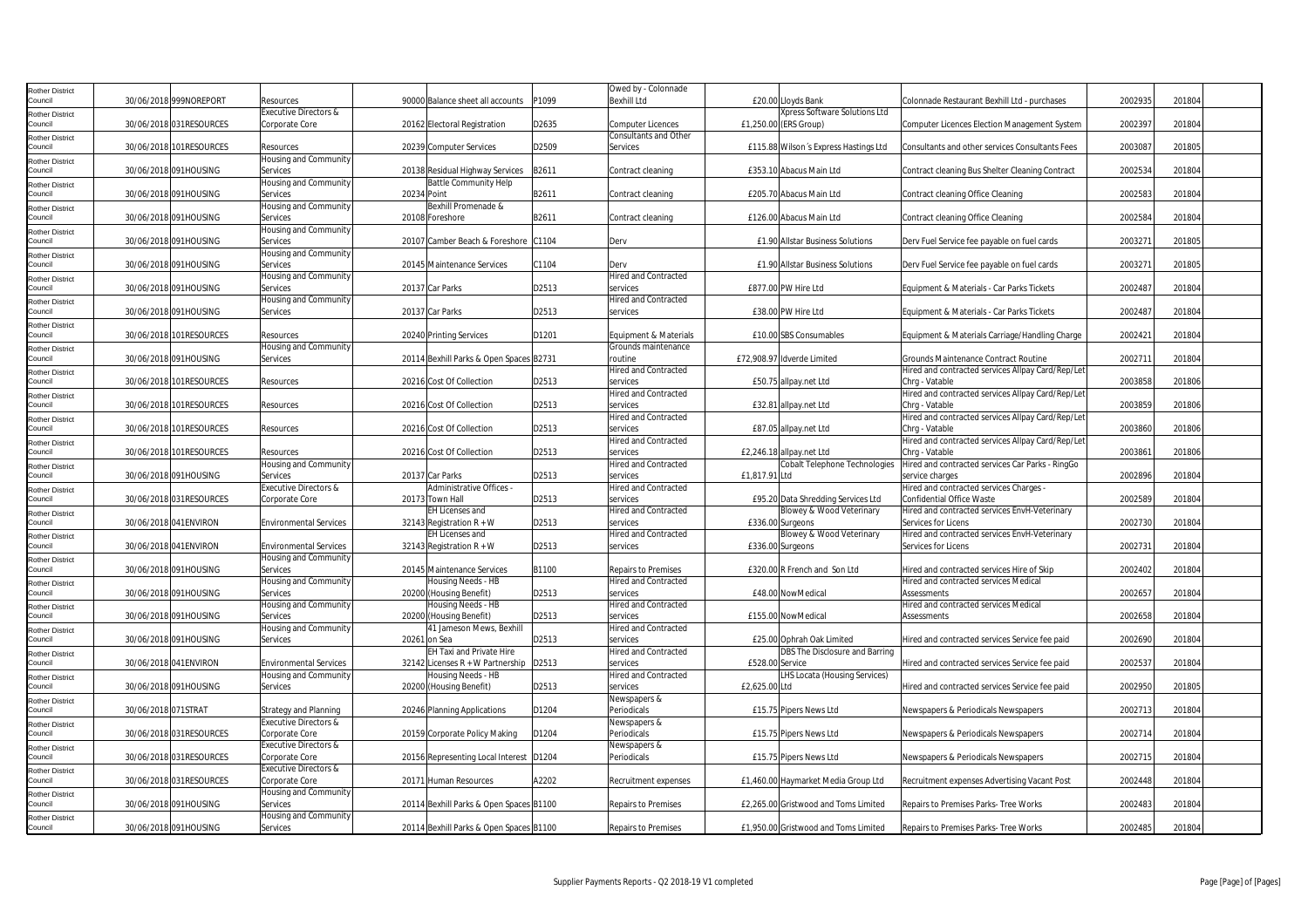| <b>Rother District</b>            |                     |                         |                                         |              |                                               |       | Owed by - Colonnade                     |                                                                |                                                                            |         |        |
|-----------------------------------|---------------------|-------------------------|-----------------------------------------|--------------|-----------------------------------------------|-------|-----------------------------------------|----------------------------------------------------------------|----------------------------------------------------------------------------|---------|--------|
| Council                           |                     | 30/06/2018 999NOREPORT  | Resources                               |              | 90000 Balance sheet all accounts              | P1099 | <b>Bexhill Ltd</b>                      | £20.00 Lloyds Bank                                             | Colonnade Restaurant Bexhill Ltd - purchases                               | 2002935 | 201804 |
| <b>Rother District</b>            |                     |                         | Executive Directors &                   |              |                                               |       |                                         | Xpress Software Solutions Ltd                                  |                                                                            |         |        |
| Council                           |                     | 30/06/2018 031RESOURCES | Corporate Core                          |              | 20162 Electoral Registration                  | D2635 | Computer Licences                       | £1,250.00 (ERS Group)                                          | Computer Licences Election Management System                               | 2002397 | 201804 |
| <b>Rother District</b>            |                     |                         |                                         |              |                                               |       | <b>Consultants and Other</b>            |                                                                |                                                                            |         |        |
| Council                           |                     | 30/06/2018 101RESOURCES | Resources                               |              | 20239 Computer Services                       | D2509 | Services                                | £115.88 Wilson's Express Hastings Ltd                          | Consultants and other services Consultants Fees                            | 2003087 | 201805 |
| <b>Rother District</b>            |                     |                         | Housing and Community                   |              |                                               |       |                                         |                                                                |                                                                            |         |        |
| Council                           |                     | 30/06/2018 091HOUSING   | Services                                |              | 20138 Residual Highway Services               | B2611 | Contract cleaning                       | £353.10 Abacus Main Ltd                                        | Contract cleaning Bus Shelter Cleaning Contract                            | 2002534 | 201804 |
| <b>Rother District</b>            |                     |                         | Housing and Community                   |              | <b>Battle Community Help</b>                  |       |                                         |                                                                |                                                                            |         |        |
| Council                           |                     | 30/06/2018 091HOUSING   | Services                                | 20234 Point  |                                               | B2611 | Contract cleaning                       | £205.70 Abacus Main Ltd                                        | Contract cleaning Office Cleaning                                          | 2002583 | 201804 |
| <b>Rother District</b><br>Council |                     | 30/06/2018 091HOUSING   | Housing and Community<br>Services       |              | Bexhill Promenade &<br>20108 Foreshore        | B2611 | Contract cleaning                       | £126.00 Abacus Main Ltd                                        | Contract cleaning Office Cleaning                                          | 2002584 | 201804 |
|                                   |                     |                         | Housing and Community                   |              |                                               |       |                                         |                                                                |                                                                            |         |        |
| <b>Rother District</b><br>Council |                     | 30/06/2018 091HOUSING   | Services                                |              | 20107 Camber Beach & Foreshore C1104          |       | Derv                                    | £1.90 Allstar Business Solutions                               | Derv Fuel Service fee payable on fuel cards                                | 2003271 | 201805 |
| <b>Rother District</b>            |                     |                         | Housing and Community                   |              |                                               |       |                                         |                                                                |                                                                            |         |        |
| Council                           |                     | 30/06/2018 091HOUSING   | Services                                |              | 20145 Maintenance Services                    | C1104 | Derv                                    | £1.90 Allstar Business Solutions                               | Derv Fuel Service fee payable on fuel cards                                | 2003271 | 201805 |
| <b>Rother District</b>            |                     |                         | Housing and Community                   |              |                                               |       | <b>Hired and Contracted</b>             |                                                                |                                                                            |         |        |
| Council                           |                     | 30/06/2018 091HOUSING   | Services                                |              | 20137 Car Parks                               | D2513 | services                                | £877.00 PW Hire Ltd                                            | Equipment & Materials - Car Parks Tickets                                  | 2002487 | 201804 |
| <b>Rother District</b>            |                     |                         | Housing and Community                   |              |                                               |       | <b>Hired and Contracted</b>             |                                                                |                                                                            |         |        |
| Council                           |                     | 30/06/2018 091HOUSING   | Services                                |              | 20137 Car Parks                               | D2513 | services                                | £38.00 PW Hire Ltd                                             | Equipment & Materials - Car Parks Tickets                                  | 2002487 | 201804 |
| <b>Rother District</b>            |                     |                         |                                         |              |                                               |       |                                         |                                                                |                                                                            |         |        |
| Council                           |                     | 30/06/2018 101RESOURCES | Resources                               |              | 20240 Printing Services                       | D1201 | Equipment & Materials                   | £10.00 SBS Consumables                                         | Equipment & Materials Carriage/Handling Charge                             | 2002421 | 201804 |
| <b>Rother District</b>            |                     |                         | Housing and Community                   |              |                                               |       | Grounds maintenance                     |                                                                |                                                                            |         |        |
| Council                           |                     | 30/06/2018 091HOUSING   | Services                                |              | 20114 Bexhill Parks & Open Spaces B2731       |       | outine                                  | £72,908.97 Idverde Limited                                     | Grounds Maintenance Contract Routine                                       | 2002711 | 201804 |
| <b>Rother District</b><br>Council |                     | 30/06/2018 101RESOURCES | Resources                               |              | 20216 Cost Of Collection                      | D2513 | <b>Hired and Contracted</b><br>services | £50.75 allpay.net Ltd                                          | Hired and contracted services Allpay Card/Rep/Let<br>Chrg - Vatable        | 2003858 | 201806 |
| <b>Rother District</b>            |                     |                         |                                         |              |                                               |       | <b>Hired and Contracted</b>             |                                                                | Hired and contracted services Allpay Card/Rep/Let                          |         |        |
| Council                           |                     | 30/06/2018 101RESOURCES | Resources                               |              | 20216 Cost Of Collection                      | D2513 | services                                | £32.81 allpay.net Ltd                                          | Chrg - Vatable                                                             | 2003859 | 201806 |
| <b>Rother District</b>            |                     |                         |                                         |              |                                               |       | <b>Hired and Contracted</b>             |                                                                | Hired and contracted services Allpay Card/Rep/Let                          |         |        |
| Council                           |                     | 30/06/2018 101RESOURCES | Resources                               |              | 20216 Cost Of Collection                      | D2513 | services                                | £87.05 allpay.net Ltd                                          | Chrq - Vatable                                                             | 2003860 | 201806 |
| <b>Rother District</b>            |                     |                         |                                         |              |                                               |       | <b>Hired and Contracted</b>             |                                                                | Hired and contracted services Allpay Card/Rep/Let                          |         |        |
| Council                           |                     | 30/06/2018 101RESOURCES | Resources                               |              | 20216 Cost Of Collection                      | D2513 | services                                | £2,246.18 allpay.net Ltd                                       | Chrg - Vatable                                                             | 2003861 | 201806 |
| <b>Rother District</b>            |                     |                         | Housing and Community                   |              |                                               |       | Hired and Contracted                    | Cobalt Telephone Technologies                                  | Hired and contracted services Car Parks - RingGo                           |         |        |
| Council                           |                     | 30/06/2018 091HOUSING   | Services                                |              | 20137 Car Parks                               | D2513 | services                                | £1,817.91 Ltd                                                  | service charges                                                            | 2002896 | 201804 |
| <b>Rother District</b>            |                     |                         | Executive Directors &                   |              | Administrative Offices -                      | D2513 | Hired and Contracted                    |                                                                | Hired and contracted services Charges -                                    |         |        |
| Council                           |                     | 30/06/2018 031RESOURCES | Corporate Core                          |              | 20173 Town Hall<br><b>EH Licenses and</b>     |       | services<br>Hired and Contracted        | £95.20 Data Shredding Services Ltd<br>Blowey & Wood Veterinary | Confidential Office Waste<br>Hired and contracted services EnvH-Veterinary | 2002589 | 201804 |
| <b>Rother District</b><br>Council |                     | 30/06/2018 041ENVIRON   | <b>Environmental Services</b>           |              | 32143 Registration $R + W$                    | D2513 | services                                | £336.00 Surgeons                                               | Services for Licens                                                        | 2002730 | 201804 |
| <b>Rother District</b>            |                     |                         |                                         |              | <b>EH Licenses and</b>                        |       | Hired and Contracted                    | Blowey & Wood Veterinary                                       | Hired and contracted services EnvH-Veterinary                              |         |        |
| Council                           |                     | 30/06/2018 041ENVIRON   | <b>Environmental Services</b>           |              | 32143 Registration $R + W$                    | D2513 | services                                | £336.00 Surgeons                                               | Services for Licens                                                        | 2002731 | 201804 |
| <b>Rother District</b>            |                     |                         | Housing and Community                   |              |                                               |       |                                         |                                                                |                                                                            |         |        |
| Council                           |                     | 30/06/2018 091HOUSING   | Services                                |              | 20145 Maintenance Services                    | B1100 | Repairs to Premises                     | £320.00 R French and Son Ltd                                   | Hired and contracted services Hire of Skip                                 | 2002402 | 201804 |
| <b>Rother District</b>            |                     |                         | Housing and Community                   |              | Housing Needs - HB                            |       | Hired and Contracted                    |                                                                | Hired and contracted services Medical                                      |         |        |
| Council                           |                     | 30/06/2018 091HOUSING   | Services                                |              | 20200 (Housing Benefit)                       | D2513 | services                                | £48.00 NowMedical                                              | Assessments                                                                | 2002657 | 201804 |
| <b>Rother District</b><br>Council |                     | 30/06/2018 091HOUSING   | Housing and Community<br>Services       |              | Housing Needs - HB<br>20200 (Housing Benefit) | D2513 | Hired and Contracted<br>services        | £155.00 NowMedical                                             | Hired and contracted services Medical<br><b>Assessments</b>                | 2002658 | 201804 |
|                                   |                     |                         | Housing and Community                   |              | 41 Jameson Mews, Bexhill                      |       | <b>Hired and Contracted</b>             |                                                                |                                                                            |         |        |
| <b>Rother District</b><br>Council |                     | 30/06/2018 091HOUSING   | Services                                | 20261 on Sea |                                               | D2513 | services                                | £25.00 Ophrah Oak Limited                                      | Hired and contracted services Service fee paid                             | 2002690 | 201804 |
| <b>Rother District</b>            |                     |                         |                                         |              | <b>EH Taxi and Private Hire</b>               |       | <b>Hired and Contracted</b>             | DBS The Disclosure and Barring                                 |                                                                            |         |        |
| Council                           |                     | 30/06/2018 041ENVIRON   | <b>Environmental Services</b>           |              | 32142 Licenses R + W Partnership   D2513      |       | services                                | £528.00 Service                                                | Hired and contracted services Service fee paid                             | 2002537 | 201804 |
| <b>Rother District</b>            |                     |                         | Housing and Community                   |              | Housing Needs - HB                            |       | <b>Hired and Contracted</b>             | LHS Locata (Housing Services)                                  |                                                                            |         |        |
| Council                           |                     | 30/06/2018 091HOUSING   | Services                                |              | 20200 (Housing Benefit)                       | D2513 | services                                | £2,625.00 Ltd                                                  | Hired and contracted services Service fee paid                             | 2002950 | 201805 |
| <b>Rother District</b>            |                     |                         |                                         |              |                                               |       | Newspapers &                            |                                                                |                                                                            |         |        |
| Council                           | 30/06/2018 071STRAT |                         | <b>Strategy and Planning</b>            |              | 20246 Planning Applications                   | D1204 | Periodicals                             | £15.75 Pipers News Ltd                                         | Newspapers & Periodicals Newspapers                                        | 2002713 | 201804 |
| <b>Rother District</b>            |                     |                         | <b>Executive Directors &amp;</b>        |              |                                               |       | Newspapers &                            |                                                                |                                                                            |         |        |
| Council                           |                     | 30/06/2018 031RESOURCES | Corporate Core<br>Executive Directors & |              | 20159 Corporate Policy Making                 | D1204 | Periodicals                             | £15.75 Pipers News Ltd                                         | Newspapers & Periodicals Newspapers                                        | 2002714 | 201804 |
| <b>Rother District</b><br>Council |                     | 30/06/2018 031RESOURCES | Corporate Core                          |              | 20156 Representing Local Interest D1204       |       | Newspapers &<br>Periodicals             | £15.75 Pipers News Ltd                                         | Newspapers & Periodicals Newspapers                                        | 2002715 | 201804 |
| Rother District                   |                     |                         | Executive Directors &                   |              |                                               |       |                                         |                                                                |                                                                            |         |        |
| Council                           |                     | 30/06/2018 031RESOURCES | Corporate Core                          |              | 20171 Human Resources                         | A2202 | Recruitment expenses                    | £1,460.00 Haymarket Media Group Ltd                            | Recruitment expenses Advertising Vacant Post                               | 2002448 | 201804 |
| <b>Rother District</b>            |                     |                         | Housing and Community                   |              |                                               |       |                                         |                                                                |                                                                            |         |        |
| Council                           |                     | 30/06/2018 091HOUSING   | Services                                |              | 20114 Bexhill Parks & Open Spaces B1100       |       | Repairs to Premises                     | £2.265.00 Gristwood and Toms Limited                           | Repairs to Premises Parks- Tree Works                                      | 2002483 | 201804 |
| <b>Rother District</b>            |                     |                         | Housing and Community                   |              |                                               |       |                                         |                                                                |                                                                            |         |        |
| Council                           |                     | 30/06/2018 091HOUSING   | Services                                |              | 20114 Bexhill Parks & Open Spaces B1100       |       | <b>Repairs to Premises</b>              | £1,950.00 Gristwood and Toms Limited                           | Repairs to Premises Parks-Tree Works                                       | 2002485 | 201804 |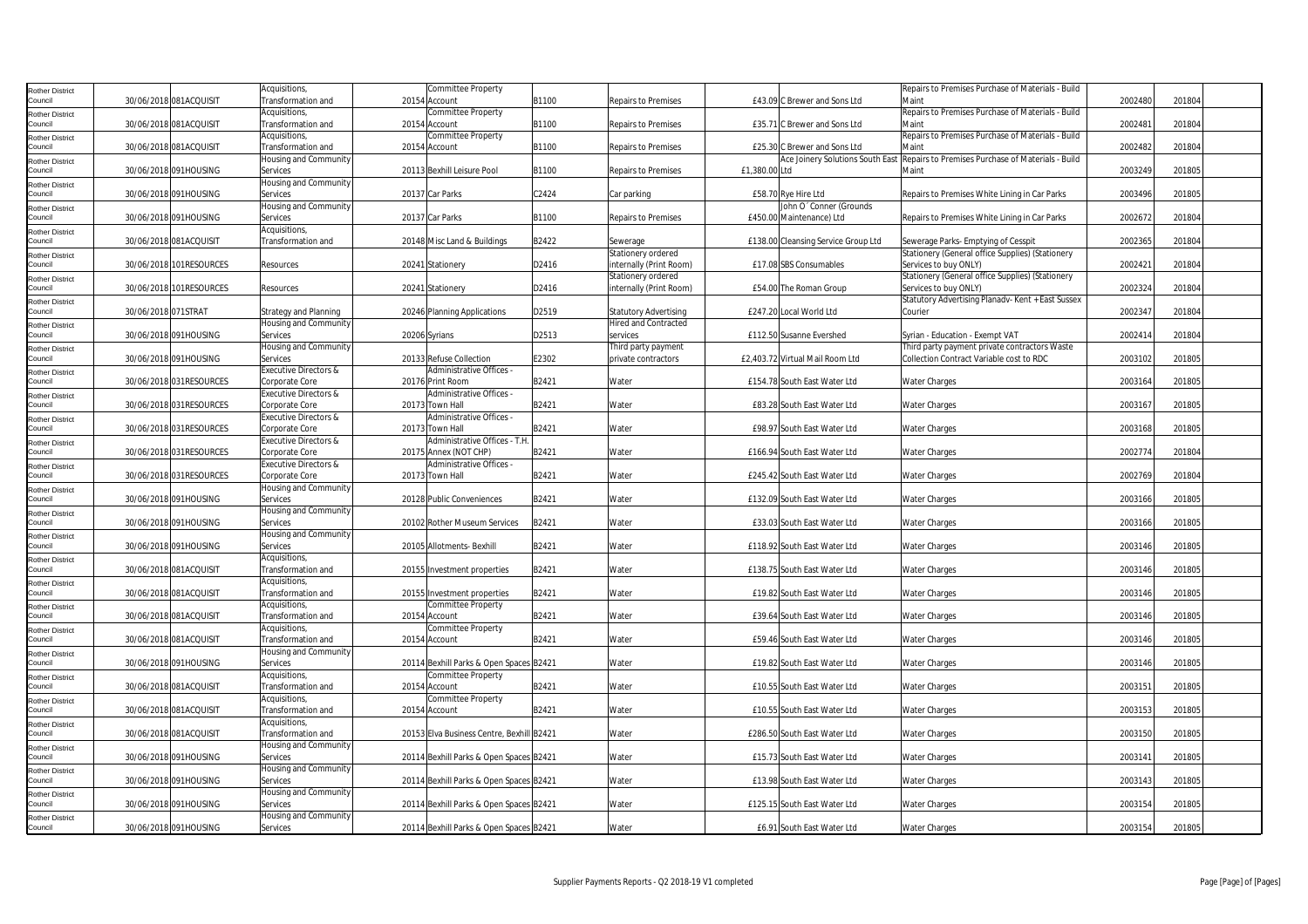| <b>Rother District</b>            |                     |                         | Acquisitions,                       | <b>Committee Property</b>                                |       |                              |                                     | Repairs to Premises Purchase of Materials - Build                          |         |        |
|-----------------------------------|---------------------|-------------------------|-------------------------------------|----------------------------------------------------------|-------|------------------------------|-------------------------------------|----------------------------------------------------------------------------|---------|--------|
| Council                           |                     | 30/06/2018 081ACQUISIT  | Transformation and                  | 20154 Account                                            | B1100 | <b>Repairs to Premises</b>   | £43.09 C Brewer and Sons Ltd        | Maint                                                                      | 2002480 | 201804 |
| <b>Rother District</b>            |                     |                         | Acquisitions,                       | <b>Committee Property</b>                                |       |                              |                                     | Repairs to Premises Purchase of Materials - Build                          |         |        |
| Council                           |                     | 30/06/2018 081ACQUISIT  | Transformation and                  | 20154 Account                                            | B1100 | Repairs to Premises          | £35.71 C Brewer and Sons Ltd        | Maint                                                                      | 2002481 | 201804 |
|                                   |                     |                         | Acquisitions,                       | Committee Property                                       |       |                              |                                     | Repairs to Premises Purchase of Materials - Build                          |         |        |
| <b>Rother District</b><br>Council |                     | 30/06/2018 081ACQUISIT  |                                     |                                                          |       |                              |                                     | Maint                                                                      |         | 201804 |
|                                   |                     |                         | Transformation and                  | 20154 Account                                            | B1100 | Repairs to Premises          | £25.30 C Brewer and Sons Ltd        |                                                                            | 2002482 |        |
| <b>Rother District</b>            |                     |                         | Housing and Community               |                                                          |       |                              | Ace Joinery Solutions South East    | Repairs to Premises Purchase of Materials - Build                          |         |        |
| Council                           |                     | 30/06/2018 091HOUSING   | Services                            | 20113 Bexhill Leisure Pool                               | B1100 | <b>Repairs to Premises</b>   | £1,380.00 Ltd                       | Maint                                                                      | 2003249 | 201805 |
| <b>Rother District</b>            |                     |                         | Housing and Community               |                                                          |       |                              |                                     |                                                                            |         |        |
| Council                           |                     | 30/06/2018 091HOUSING   | Services                            | 20137 Car Parks                                          | C2424 | Car parking                  | £58.70 Rye Hire Ltd                 | Repairs to Premises White Lining in Car Parks                              | 2003496 | 201805 |
| <b>Rother District</b>            |                     |                         | Housing and Community               |                                                          |       |                              | John O' Conner (Grounds             |                                                                            |         |        |
| Council                           |                     | 30/06/2018 091HOUSING   | Services                            | 20137 Car Parks                                          | B1100 | <b>Repairs to Premises</b>   | £450.00 Maintenance) Ltd            | Repairs to Premises White Lining in Car Parks                              | 2002672 | 201804 |
| <b>Rother District</b>            |                     |                         | Acquisitions,                       |                                                          |       |                              |                                     |                                                                            |         |        |
| Council                           |                     | 30/06/2018 081ACQUISIT  | Transformation and                  | 20148 Misc Land & Buildings                              | B2422 | Sewerage                     | £138.00 Cleansing Service Group Ltd | Sewerage Parks- Emptying of Cesspit                                        | 2002365 | 201804 |
| <b>Rother District</b>            |                     |                         |                                     |                                                          |       | Stationery ordered           |                                     | Stationery (General office Supplies) (Stationery                           |         |        |
| Council                           |                     | 30/06/2018 101RESOURCES | Resources                           | 20241 Stationery                                         | D2416 | internally (Print Room)      | £17.08 SBS Consumables              | Services to buy ONLY)                                                      | 2002421 | 201804 |
|                                   |                     |                         |                                     |                                                          |       | Stationery ordered           |                                     | Stationery (General office Supplies) (Stationery                           |         |        |
| <b>Rother District</b><br>Council |                     | 30/06/2018 101RESOURCES |                                     |                                                          |       |                              |                                     |                                                                            | 2002324 | 201804 |
|                                   |                     |                         | Resources                           | 20241 Stationery                                         | D2416 | internally (Print Room)      | £54.00 The Roman Group              | Services to buy ONLY)<br>Statutory Advertising Planadv- Kent + East Sussex |         |        |
| <b>Rother District</b>            |                     |                         |                                     |                                                          |       |                              |                                     |                                                                            |         |        |
| Council                           | 30/06/2018 071STRAT |                         | Strategy and Planning               | 20246 Planning Applications                              | D2519 | <b>Statutory Advertising</b> | £247.20 Local World Ltd             | Courier                                                                    | 2002347 | 201804 |
| <b>Rother District</b>            |                     |                         | Housing and Community               |                                                          |       | Hired and Contracted         |                                     |                                                                            |         |        |
| Council                           |                     | 30/06/2018 091HOUSING   | Services                            | 20206 Syrians                                            | D2513 | services                     | £112.50 Susanne Evershed            | Syrian - Education - Exempt VAT                                            | 2002414 | 201804 |
| <b>Rother District</b>            |                     |                         | Housing and Community               |                                                          |       | Third party payment          |                                     | Third party payment private contractors Waste                              |         |        |
| Council                           |                     | 30/06/2018 091HOUSING   | Services                            | 20133 Refuse Collection                                  | E2302 | private contractors          | £2,403.72 Virtual Mail Room Ltd     | Collection Contract Variable cost to RDC                                   | 2003102 | 201805 |
| <b>Rother District</b>            |                     |                         | <b>Executive Directors &amp;</b>    | Administrative Offices -                                 |       |                              |                                     |                                                                            |         |        |
| Council                           |                     | 30/06/2018 031RESOURCES | Corporate Core                      | 20176 Print Room                                         | B2421 | Water                        | £154.78 South East Water Ltd        | <b>Water Charges</b>                                                       | 2003164 | 201805 |
| <b>Rother District</b>            |                     |                         | Executive Directors &               | Administrative Offices -                                 |       |                              |                                     |                                                                            |         |        |
| Council                           |                     | 30/06/2018 031RESOURCES | Corporate Core                      | 20173 Town Hall                                          | B2421 | Water                        | £83.28 South East Water Ltd         | <b>Water Charges</b>                                                       | 2003167 | 201805 |
| <b>Rother District</b>            |                     |                         | <b>Executive Directors &amp;</b>    | Administrative Offices -                                 |       |                              |                                     |                                                                            |         |        |
| Council                           |                     | 30/06/2018 031RESOURCES | Corporate Core                      | 20173 Town Hall                                          | B2421 | Water                        | £98.97 South East Water Ltd         | <b>Water Charges</b>                                                       | 2003168 | 201805 |
| <b>Rother District</b>            |                     |                         | Executive Directors &               | Administrative Offices - T.H.                            |       |                              |                                     |                                                                            |         |        |
| Council                           |                     | 30/06/2018 031RESOURCES | Corporate Core                      | 20175 Annex (NOT CHP)                                    | B2421 | Water                        | £166.94 South East Water Ltd        | <b>Water Charges</b>                                                       | 2002774 | 201804 |
| <b>Rother District</b>            |                     |                         | Executive Directors &               | Administrative Offices -                                 |       |                              |                                     |                                                                            |         |        |
| Council                           |                     | 30/06/2018 031RESOURCES | Corporate Core                      | 20173 Town Hall                                          | B2421 | Water                        | £245.42 South East Water Ltd        | <b>Water Charges</b>                                                       | 2002769 | 201804 |
| <b>Rother District</b>            |                     |                         | Housing and Community               |                                                          |       |                              |                                     |                                                                            |         |        |
| Council                           |                     | 30/06/2018 091HOUSING   | Services                            | 20128 Public Conveniences                                | B2421 | Water                        | £132.09 South East Water Ltd        | <b>Water Charges</b>                                                       | 2003166 | 201805 |
| <b>Rother District</b>            |                     |                         | Housing and Community               |                                                          |       |                              |                                     |                                                                            |         |        |
| Council                           |                     | 30/06/2018 091HOUSING   | Services                            | 20102 Rother Museum Services                             | B2421 | Water                        | £33.03 South East Water Ltd         | <b>Water Charges</b>                                                       | 2003166 | 201805 |
| <b>Rother District</b>            |                     |                         | Housing and Community               |                                                          |       |                              |                                     |                                                                            |         |        |
| Council                           |                     | 30/06/2018 091HOUSING   | Services                            | 20105 Allotments- Bexhill                                | B2421 | Water                        | £118.92 South East Water Ltd        | <b>Water Charges</b>                                                       | 2003146 | 201805 |
|                                   |                     |                         | Acquisitions,                       |                                                          |       |                              |                                     |                                                                            |         |        |
| <b>Rother District</b><br>Council |                     | 30/06/2018 081ACQUISIT  | Transformation and                  | 20155 Investment properties                              | B2421 | Water                        | £138.75 South East Water Ltd        | <b>Water Charges</b>                                                       | 2003146 | 201805 |
|                                   |                     |                         | Acquisitions,                       |                                                          |       |                              |                                     |                                                                            |         |        |
| <b>Rother District</b><br>Council |                     | 30/06/2018 081ACQUISIT  | Transformation and                  |                                                          | B2421 | Water                        | £19.82 South East Water Ltd         |                                                                            | 2003146 | 201805 |
|                                   |                     |                         | Acquisitions,                       | 20155 Investment properties<br><b>Committee Property</b> |       |                              |                                     | <b>Water Charges</b>                                                       |         |        |
| Rother District<br>Council        |                     | 30/06/2018 081ACQUISIT  | Transformation and                  | 20154 Account                                            | B2421 | Water                        | £39.64 South East Water Ltd         | <b>Water Charges</b>                                                       | 2003146 | 201805 |
|                                   |                     |                         | Acquisitions,                       | Committee Property                                       |       |                              |                                     |                                                                            |         |        |
| <b>Rother District</b><br>Council |                     | 30/06/2018 081ACQUISIT  | Transformation and                  | 20154 Account                                            | B2421 | Water                        | £59.46 South East Water Ltd         | <b>Water Charges</b>                                                       | 2003146 | 201805 |
|                                   |                     |                         | Housing and Community               |                                                          |       |                              |                                     |                                                                            |         |        |
| Rother District                   |                     | 30/06/2018 091HOUSING   |                                     |                                                          |       | Water                        | £19.82 South East Water Ltd         |                                                                            | 2003146 | 201805 |
| Council                           |                     |                         | Services                            | 20114 Bexhill Parks & Open Spaces B2421                  |       |                              |                                     | <b>Water Charges</b>                                                       |         |        |
| Rother District                   |                     | 30/06/2018 081ACQUISIT  | Acquisitions,<br>Transformation and | <b>Committee Property</b>                                | B2421 | Water                        | £10.55 South East Water Ltd         |                                                                            | 2003151 | 201805 |
| Council                           |                     |                         |                                     | 20154 Account                                            |       |                              |                                     | <b>Water Charges</b>                                                       |         |        |
| <b>Rother District</b>            |                     |                         | Acquisitions,                       | Committee Property                                       |       |                              |                                     |                                                                            |         |        |
| Council                           |                     | 30/06/2018 081ACQUISIT  | Transformation and                  | 20154 Account                                            | B2421 | Water                        | £10.55 South East Water Ltd         | <b>Water Charges</b>                                                       | 2003153 | 201805 |
| <b>Rother District</b>            |                     |                         | Acquisitions,                       |                                                          |       |                              |                                     |                                                                            |         |        |
| Council                           |                     | 30/06/2018 081ACQUISIT  | Transformation and                  | 20153 Elva Business Centre, Bexhill B2421                |       | Water                        | £286.50 South East Water Ltd        | <b>Water Charges</b>                                                       | 2003150 | 201805 |
| <b>Rother District</b>            |                     |                         | Housing and Community               |                                                          |       |                              |                                     |                                                                            |         |        |
| Council                           |                     | 30/06/2018 091HOUSING   | Services                            | 20114 Bexhill Parks & Open Spaces B2421                  |       | Water                        | £15.73 South East Water Ltd         | <b>Water Charges</b>                                                       | 2003141 | 201805 |
| <b>Rother District</b>            |                     |                         | Housing and Community               |                                                          |       |                              |                                     |                                                                            |         |        |
| Council                           |                     | 30/06/2018 091HOUSING   | Services                            | 20114 Bexhill Parks & Open Spaces B2421                  |       | Water                        | £13.98 South East Water Ltd         | <b>Water Charges</b>                                                       | 2003143 | 201805 |
| <b>Rother District</b>            |                     |                         | Housing and Community               |                                                          |       |                              |                                     |                                                                            |         |        |
| Council                           |                     | 30/06/2018 091HOUSING   | Services                            | 20114 Bexhill Parks & Open Spaces B2421                  |       | Water                        | £125.15 South East Water Ltd        | <b>Water Charges</b>                                                       | 2003154 | 201805 |
| <b>Rother District</b>            |                     |                         | Housing and Community               |                                                          |       |                              |                                     |                                                                            |         |        |
| Council                           |                     | 30/06/2018 091HOUSING   | Services                            | 20114 Bexhill Parks & Open Spaces B2421                  |       | Water                        | £6.91 South East Water Ltd          | <b>Water Charges</b>                                                       | 2003154 | 201805 |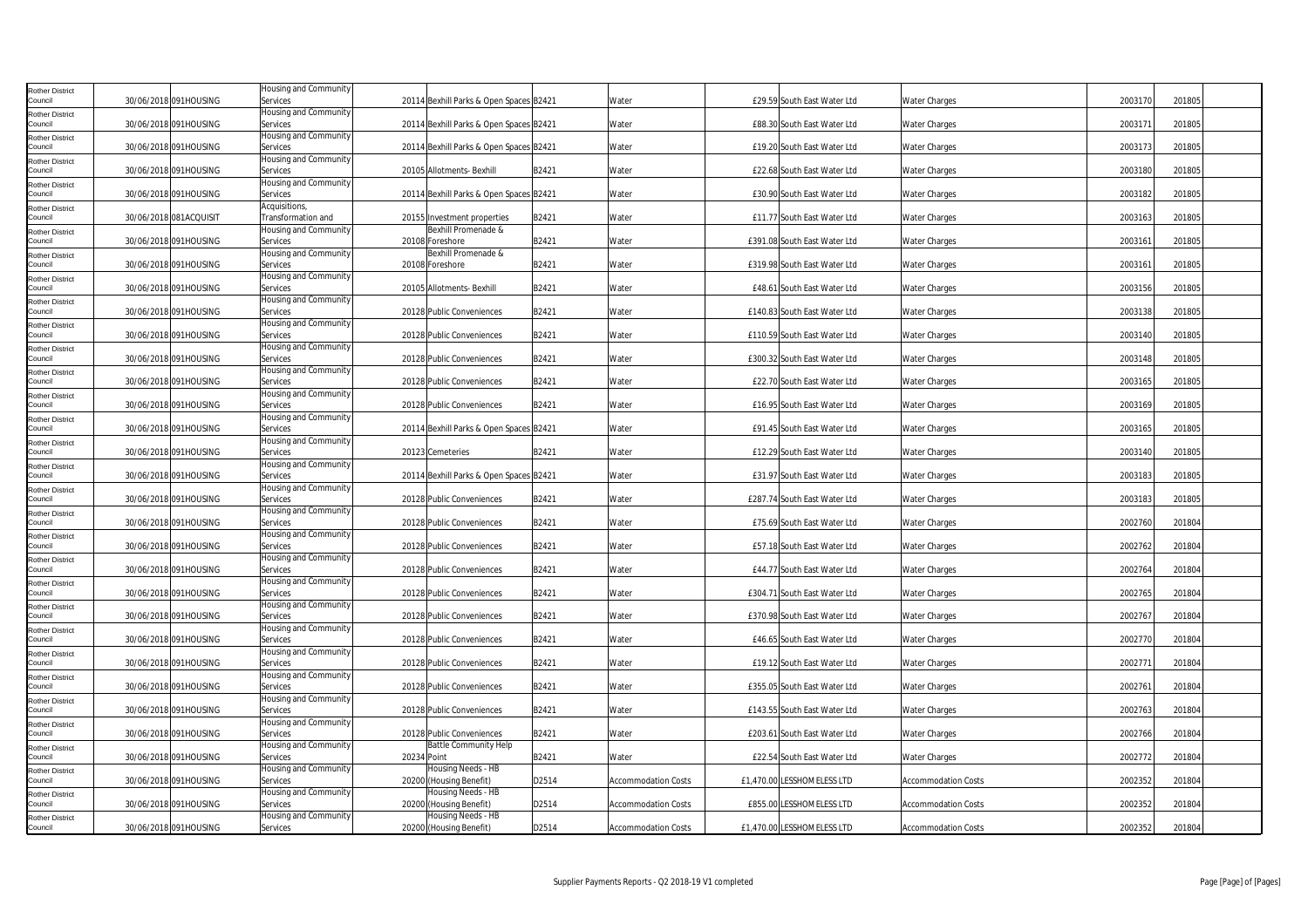| Rother District                   |                        | Housing and Community                    |                                             |       |                            |                              |                              |                            |         |        |
|-----------------------------------|------------------------|------------------------------------------|---------------------------------------------|-------|----------------------------|------------------------------|------------------------------|----------------------------|---------|--------|
| Council                           | 30/06/2018 091HOUSING  | Services                                 | 20114 Bexhill Parks & Open Spaces B2421     |       | Water                      |                              | £29.59 South East Water Ltd  | <b>Water Charges</b>       | 2003170 | 201805 |
| Rother District                   |                        | Housing and Community                    |                                             |       |                            |                              |                              |                            |         |        |
| Council                           | 30/06/2018 091HOUSING  | Services                                 | 20114 Bexhill Parks & Open Spaces B2421     |       | Water                      |                              | £88.30 South East Water Ltd  | <b>Water Charges</b>       | 2003171 | 201805 |
| Rother District                   |                        | Housing and Community                    |                                             |       |                            |                              |                              |                            |         |        |
| Council                           | 30/06/2018 091HOUSING  | Services<br><b>Housing and Community</b> | 20114 Bexhill Parks & Open Spaces B2421     |       | Water                      |                              | £19.20 South East Water Ltd  | <b>Water Charges</b>       | 2003173 | 201805 |
| <b>Rother District</b><br>Council | 30/06/2018 091HOUSING  | Services                                 | 20105 Allotments- Bexhill                   | B2421 | Water                      |                              | £22.68 South East Water Ltd  | <b>Water Charges</b>       | 2003180 | 201805 |
| Rother District                   |                        | Housing and Community                    |                                             |       |                            |                              |                              |                            |         |        |
| Council                           | 30/06/2018 091HOUSING  | Services                                 | 20114 Bexhill Parks & Open Spaces B2421     |       | Water                      |                              | £30.90 South East Water Ltd  | <b>Water Charges</b>       | 2003182 | 201805 |
| Rother District                   |                        | Acquisitions,                            |                                             |       |                            |                              |                              |                            |         |        |
| Council                           | 30/06/2018 081ACQUISIT | Transformation and                       | 20155 Investment properties                 | B2421 | Water                      |                              | £11.77 South East Water Ltd  | <b>Water Charges</b>       | 2003163 | 201805 |
| <b>Rother District</b>            |                        | Housing and Community                    | Bexhill Promenade &                         |       |                            |                              |                              |                            |         |        |
| Council                           | 30/06/2018 091HOUSING  | Services                                 | 20108 Foreshore                             | B2421 | Water                      | £391.08 South East Water Ltd |                              | <b>Water Charges</b>       | 2003161 | 201805 |
| <b>Rother District</b><br>Council | 30/06/2018 091HOUSING  | Housing and Community<br>Services        | Bexhill Promenade &<br>20108 Foreshore      | B2421 | Water                      | £319.98 South East Water Ltd |                              | Water Charges              | 2003161 | 201805 |
| <b>Rother District</b>            |                        | Housing and Community                    |                                             |       |                            |                              |                              |                            |         |        |
| Council                           | 30/06/2018 091HOUSING  | Services                                 | 20105 Allotments- Bexhill                   | B2421 | Water                      |                              | £48.61 South East Water Ltd  | <b>Water Charges</b>       | 2003156 | 201805 |
| Rother District                   |                        | Housing and Community                    |                                             |       |                            |                              |                              |                            |         |        |
| Council                           | 30/06/2018 091HOUSING  | Services                                 | 20128 Public Conveniences                   | B2421 | Water                      | £140.83 South East Water Ltd |                              | <b>Water Charges</b>       | 2003138 | 201805 |
| Rother District                   |                        | Housing and Community                    |                                             |       |                            |                              |                              |                            |         |        |
| Council                           | 30/06/2018 091HOUSING  | Services                                 | 20128 Public Conveniences                   | B2421 | Water                      | £110.59 South East Water Ltd |                              | <b>Water Charges</b>       | 2003140 | 201805 |
| Rother District<br>Council        | 30/06/2018 091HOUSING  | Housing and Community<br>Services        | 20128 Public Conveniences                   | B2421 | Water                      | £300.32 South East Water Ltd |                              | <b>Water Charges</b>       | 2003148 | 201805 |
| Rother District                   |                        | Housing and Community                    |                                             |       |                            |                              |                              |                            |         |        |
| Council                           | 30/06/2018 091HOUSING  | Services                                 | 20128 Public Conveniences                   | B2421 | Water                      |                              | £22.70 South East Water Ltd  | <b>Water Charges</b>       | 2003165 | 201805 |
| <b>Rother District</b>            |                        | Housing and Community                    |                                             |       |                            |                              |                              |                            |         |        |
| Council                           | 30/06/2018 091HOUSING  | Services                                 | 20128 Public Conveniences                   | B2421 | Water                      |                              | £16.95 South East Water Ltd  | <b>Water Charges</b>       | 2003169 | 201805 |
| Rother District                   |                        | Housing and Community                    |                                             |       |                            |                              |                              |                            |         |        |
| Council                           | 30/06/2018 091HOUSING  | Services<br>Housing and Community        | 20114 Bexhill Parks & Open Spaces B2421     |       | Water                      |                              | £91.45 South East Water Ltd  | <b>Water Charges</b>       | 2003165 | 201805 |
| Rother District<br>Council        | 30/06/2018 091HOUSING  | Services                                 | 20123 Cemeteries                            | B2421 | Water                      |                              | £12.29 South East Water Ltd  | <b>Water Charges</b>       | 2003140 | 201805 |
| <b>Rother District</b>            |                        | Housing and Community                    |                                             |       |                            |                              |                              |                            |         |        |
| Council                           | 30/06/2018 091HOUSING  | Services                                 | 20114 Bexhill Parks & Open Spaces B2421     |       | Water                      |                              | £31.97 South East Water Ltd  | <b>Water Charges</b>       | 2003183 | 201805 |
| Rother District                   |                        | Housing and Community                    |                                             |       |                            |                              |                              |                            |         |        |
| Council                           | 30/06/2018 091HOUSING  | Services                                 | 20128 Public Conveniences                   | B2421 | Water                      |                              | £287.74 South East Water Ltd | <b>Water Charges</b>       | 2003183 | 201805 |
| Rother District<br>Council        | 30/06/2018 091HOUSING  | Housing and Community<br>Services        | 20128 Public Conveniences                   | B2421 | Water                      |                              | £75.69 South East Water Ltd  | <b>Water Charges</b>       | 2002760 | 201804 |
| Rother District                   |                        | Housing and Community                    |                                             |       |                            |                              |                              |                            |         |        |
| Council                           | 30/06/2018 091HOUSING  | Services                                 | 20128 Public Conveniences                   | B2421 | Water                      |                              | £57.18 South East Water Ltd  | <b>Water Charges</b>       | 2002762 | 201804 |
| <b>Rother District</b>            |                        | Housing and Community                    |                                             |       |                            |                              |                              |                            |         |        |
| Council                           | 30/06/2018 091HOUSING  | Services                                 | 20128 Public Conveniences                   | B2421 | Water                      |                              | £44.77 South East Water Ltd  | <b>Water Charges</b>       | 2002764 | 201804 |
| Rother District<br>Council        | 30/06/2018 091HOUSING  | Housing and Community<br>Services        | 20128 Public Conveniences                   | B2421 | Water                      | £304.71 South East Water Ltd |                              | <b>Water Charges</b>       | 2002765 | 201804 |
|                                   |                        | lousing and Community                    |                                             |       |                            |                              |                              |                            |         |        |
| Rother District<br>Council        | 30/06/2018 091HOUSING  | Services                                 | 20128 Public Conveniences                   | B2421 | Water                      | £370.98 South East Water Ltd |                              | <b>Water Charges</b>       | 2002767 | 201804 |
| <b>Rother District</b>            |                        | Housing and Community                    |                                             |       |                            |                              |                              |                            |         |        |
| Council                           | 30/06/2018 091HOUSING  | Services                                 | 20128 Public Conveniences                   | B2421 | Water                      |                              | £46.65 South East Water Ltd  | <b>Water Charges</b>       | 2002770 | 201804 |
| Rother District                   |                        | Housing and Community                    |                                             |       |                            |                              |                              |                            |         |        |
| Council                           | 30/06/2018 091HOUSING  | Services<br>Housing and Community        | 20128 Public Conveniences                   | B2421 | Water                      |                              | £19.12 South East Water Ltd  | <b>Water Charges</b>       | 2002771 | 201804 |
| Rother District<br>Council        | 30/06/2018 091HOUSING  | Services                                 | 20128 Public Conveniences                   | B2421 | Water                      | £355.05 South East Water Ltd |                              | <b>Water Charges</b>       | 2002761 | 201804 |
| Rother District                   |                        | Housing and Community                    |                                             |       |                            |                              |                              |                            |         |        |
| Council                           | 30/06/2018 091HOUSING  | Services                                 | 20128 Public Conveniences                   | B2421 | Water                      | £143.55 South East Water Ltd |                              | <b>Water Charges</b>       | 2002763 | 201804 |
| Rother District                   |                        | Housing and Community                    |                                             |       |                            |                              |                              |                            |         |        |
| Council                           | 30/06/2018 091HOUSING  | Services                                 | 20128 Public Conveniences                   | B2421 | Water                      | £203.61 South East Water Ltd |                              | <b>Water Charges</b>       | 2002766 | 201804 |
| <b>Rother District</b><br>Council | 30/06/2018 091HOUSING  | Housing and Community<br>Services        | <b>Battle Community Help</b><br>20234 Point | B2421 | Water                      |                              | £22.54 South East Water Ltd  | <b>Water Charges</b>       | 2002772 | 201804 |
| Rother District                   |                        | Housing and Community                    | Housing Needs - HB                          |       |                            |                              |                              |                            |         |        |
| Council                           | 30/06/2018 091HOUSING  | Services                                 | 20200 (Housing Benefit)                     | D2514 | <b>Accommodation Costs</b> | £1,470.00 LESSHOMELESS LTD   |                              | <b>Accommodation Costs</b> | 2002352 | 201804 |
| Rother District                   |                        | Housing and Community                    | Housing Needs - HB                          |       |                            |                              |                              |                            |         |        |
| Council                           | 30/06/2018 091HOUSING  | Services                                 | 20200 (Housing Benefit)                     | D2514 | <b>Accommodation Costs</b> | £855.00 LESSHOMELESS LTD     |                              | <b>Accommodation Costs</b> | 2002352 | 201804 |
| Rother District                   |                        | Housing and Community                    | Housing Needs - HB                          |       |                            |                              |                              |                            |         |        |
| Council                           | 30/06/2018 091HOUSING  | Services                                 | 20200 (Housing Benefit)                     | D2514 | <b>Accommodation Costs</b> | £1,470.00 LESSHOMELESS LTD   |                              | <b>Accommodation Costs</b> | 2002352 | 201804 |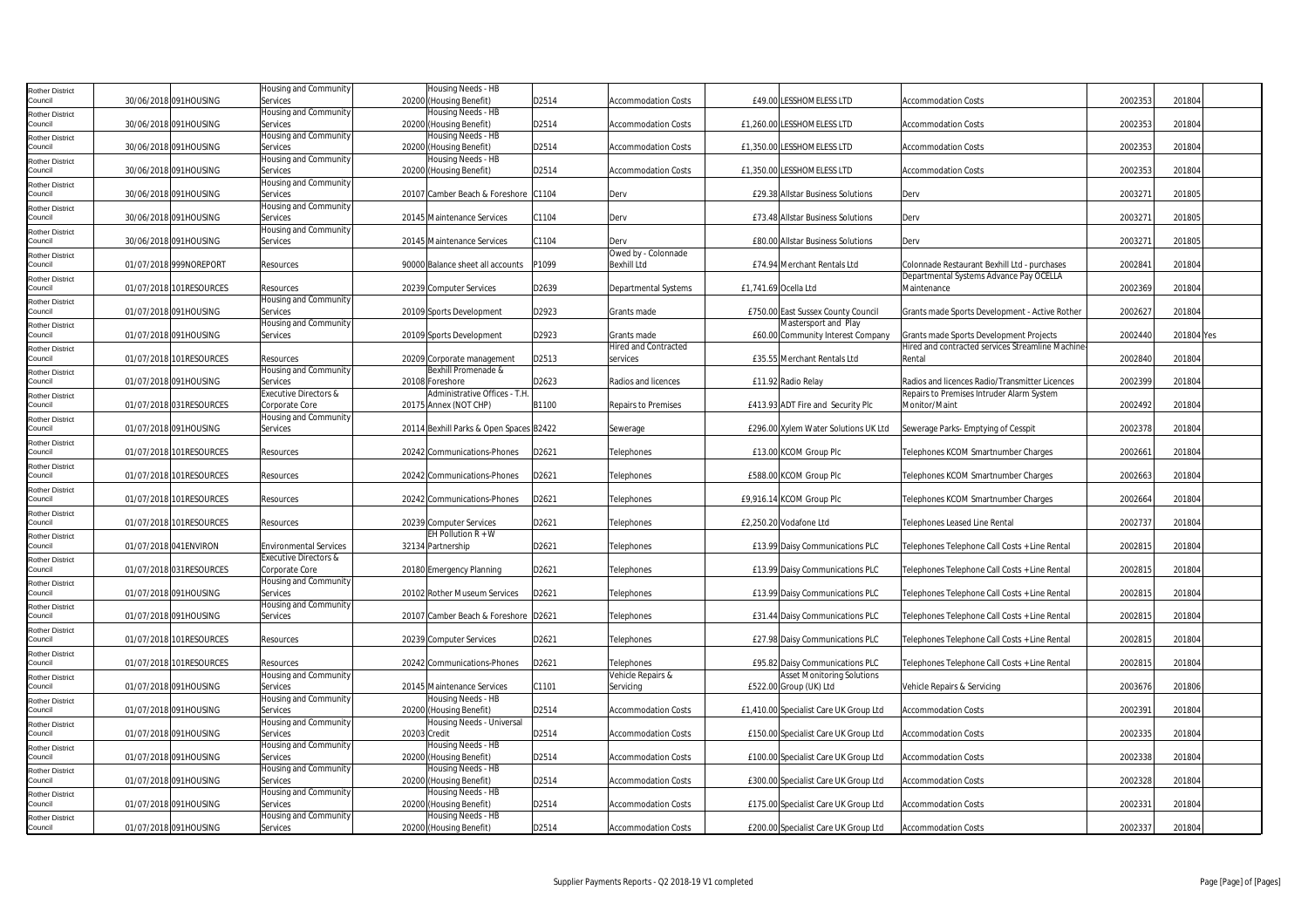| <b>Rother District</b>            |                         | Housing and Community        |              | Housing Needs - HB                      |                   |                             |                      |                                        |                                                  |         |            |  |
|-----------------------------------|-------------------------|------------------------------|--------------|-----------------------------------------|-------------------|-----------------------------|----------------------|----------------------------------------|--------------------------------------------------|---------|------------|--|
| Council                           | 30/06/2018 091HOUSING   | Services                     |              | 20200 (Housing Benefit)                 | D2514             | <b>Accommodation Costs</b>  |                      | <b>£49.00 LESSHOMELESS LTD</b>         | <b>Accommodation Costs</b>                       | 2002353 | 201804     |  |
| <b>Rother District</b>            |                         | Housing and Community        |              | Housing Needs - HB                      |                   |                             |                      |                                        |                                                  |         |            |  |
| Council                           | 30/06/2018 091HOUSING   | Services                     |              | 20200 (Housing Benefit)                 | D2514             | <b>Accommodation Costs</b>  |                      | £1,260.00 LESSHOMELESS LTD             | <b>Accommodation Costs</b>                       | 2002353 | 201804     |  |
| <b>Rother District</b>            |                         | <b>Housing and Community</b> |              | Housing Needs - HB                      |                   |                             |                      |                                        |                                                  |         |            |  |
| Council                           | 30/06/2018 091HOUSING   | Services                     |              | 20200 (Housing Benefit)                 | D2514             | <b>Accommodation Costs</b>  |                      | £1,350.00 LESSHOMELESS LTD             | <b>Accommodation Costs</b>                       | 2002353 | 201804     |  |
| <b>Rother District</b>            |                         | Housing and Community        |              | Housing Needs - HB                      |                   |                             |                      |                                        |                                                  |         |            |  |
| Council                           | 30/06/2018 091HOUSING   | Services                     |              | 20200 (Housing Benefit)                 | D2514             | <b>Accommodation Costs</b>  |                      | £1,350.00 LESSHOMELESS LTD             | <b>Accommodation Costs</b>                       | 2002353 | 201804     |  |
| <b>Rother District</b>            |                         | Housing and Community        |              |                                         |                   |                             |                      |                                        |                                                  |         |            |  |
| Council                           | 30/06/2018 091HOUSING   | Services                     |              | 20107 Camber Beach & Foreshore C1104    |                   | Derv                        |                      | £29.38 Allstar Business Solutions      | Derv                                             | 2003271 | 201805     |  |
| <b>Rother District</b>            |                         | Housing and Community        |              |                                         |                   |                             |                      |                                        |                                                  |         |            |  |
| Council                           | 30/06/2018 091HOUSING   | Services                     |              | 20145 Maintenance Services              | C1104             | Derv                        |                      | £73.48 Allstar Business Solutions      | Derv                                             | 2003271 | 201805     |  |
| <b>Rother District</b>            |                         | Housing and Community        |              |                                         |                   |                             |                      |                                        |                                                  |         |            |  |
| Council                           | 30/06/2018 091HOUSING   | Services                     |              | 20145 Maintenance Services              | C1104             | Derv                        |                      | £80.00 Allstar Business Solutions      | Derv                                             | 2003271 | 201805     |  |
| <b>Rother District</b>            |                         |                              |              |                                         |                   | Owed by - Colonnade         |                      |                                        |                                                  |         |            |  |
| Council                           | 01/07/2018 999NOREPORT  | Resources                    |              | 90000 Balance sheet all accounts        | P1099             | <b>Bexhill Ltd</b>          |                      | £74.94 Merchant Rentals Ltd            | Colonnade Restaurant Bexhill Ltd - purchases     | 2002841 | 201804     |  |
| <b>Rother District</b>            |                         |                              |              |                                         |                   |                             |                      |                                        | Departmental Systems Advance Pay OCELLA          |         |            |  |
| Council                           | 01/07/2018 101RESOURCES | Resources                    |              | 20239 Computer Services                 | D2639             | Departmental Systems        | £1,741.69 Ocella Ltd |                                        | Maintenance                                      | 2002369 | 201804     |  |
| <b>Rother District</b>            |                         | Housing and Community        |              |                                         |                   |                             |                      |                                        |                                                  |         |            |  |
| Council                           | 01/07/2018 091HOUSING   | Services                     |              | 20109 Sports Development                | D2923             | Grants made                 |                      | £750.00 East Sussex County Council     | Grants made Sports Development - Active Rother   | 2002627 | 201804     |  |
| <b>Rother District</b>            |                         | Housing and Community        |              |                                         |                   |                             |                      | Mastersport and Play                   |                                                  |         |            |  |
| Council                           | 01/07/2018 091HOUSING   | Services                     |              | 20109 Sports Development                | D2923             | Grants made                 |                      | £60.00 Community Interest Company      | Grants made Sports Development Projects          | 2002440 | 201804 Yes |  |
| <b>Rother District</b>            |                         |                              |              |                                         |                   | <b>Hired and Contracted</b> |                      |                                        | Hired and contracted services Streamline Machine |         |            |  |
| Council                           | 01/07/2018 101RESOURCES | Resources                    |              | 20209 Corporate management              | D2513             | services                    |                      | £35.55 Merchant Rentals Ltd            | Rental                                           | 2002840 | 201804     |  |
| <b>Rother District</b>            |                         | Housing and Community        |              | Bexhill Promenade &                     |                   |                             |                      |                                        |                                                  |         |            |  |
| Council                           | 01/07/2018 091HOUSING   | Services                     |              | 20108 Foreshore                         | D2623             | Radios and licences         |                      | £11.92 Radio Relay                     | Radios and licences Radio/Transmitter Licences   | 2002399 | 201804     |  |
| <b>Rother District</b>            |                         | Executive Directors &        |              | Administrative Offices - T.H            |                   |                             |                      |                                        | Repairs to Premises Intruder Alarm System        |         |            |  |
| Council                           | 01/07/2018 031RESOURCES | Corporate Core               |              | 20175 Annex (NOT CHP)                   | B1100             | <b>Repairs to Premises</b>  |                      | £413.93 ADT Fire and Security Plc      | Monitor/Maint                                    | 2002492 | 201804     |  |
| <b>Rother District</b>            |                         | Housing and Community        |              |                                         |                   |                             |                      |                                        |                                                  |         |            |  |
| Council                           | 01/07/2018 091HOUSING   | Services                     |              | 20114 Bexhill Parks & Open Spaces B2422 |                   | Sewerage                    |                      | £296.00 Xylem Water Solutions UK Ltd   | Sewerage Parks- Emptying of Cesspit              | 2002378 | 201804     |  |
| <b>Rother District</b>            |                         |                              |              |                                         |                   |                             |                      |                                        |                                                  |         |            |  |
| Council                           | 01/07/2018 101RESOURCES | Resources                    |              | 20242 Communications-Phones             | D2621             | Telephones                  |                      | £13.00 KCOM Group Plc                  | Telephones KCOM Smartnumber Charges              | 2002661 | 201804     |  |
| <b>Rother District</b>            |                         |                              |              |                                         |                   |                             |                      |                                        |                                                  |         |            |  |
| Council                           | 01/07/2018 101RESOURCES | Resources                    |              | 20242 Communications-Phones             | D2621             | Telephones                  |                      | £588.00 KCOM Group Plc                 | Telephones KCOM Smartnumber Charges              | 2002663 | 201804     |  |
| <b>Rother District</b>            |                         |                              |              |                                         |                   |                             |                      |                                        |                                                  |         |            |  |
| Council                           | 01/07/2018 101RESOURCES | Resources                    |              | 20242 Communications-Phones             | D2621             | Telephones                  |                      | £9,916.14 KCOM Group Plc               | Telephones KCOM Smartnumber Charges              | 2002664 | 201804     |  |
| <b>Rother District</b><br>Council | 01/07/2018 101RESOURCES | Resources                    |              | 20239 Computer Services                 | D2621             |                             |                      | £2.250.20 Vodafone Ltd                 | <b>Telephones Leased Line Rental</b>             | 2002737 | 201804     |  |
|                                   |                         |                              |              | EH Pollution $R + W$                    |                   | Telephones                  |                      |                                        |                                                  |         |            |  |
| <b>Rother District</b><br>Council | 01/07/2018 041ENVIRON   | Environmental Services       |              | 32134 Partnership                       | D <sub>2621</sub> | Telephones                  |                      | £13.99 Daisy Communications PLC        | Telephones Telephone Call Costs + Line Rental    | 2002815 | 201804     |  |
|                                   |                         | Executive Directors &        |              |                                         |                   |                             |                      |                                        |                                                  |         |            |  |
| <b>Rother District</b><br>Council | 01/07/2018 031RESOURCES | Corporate Core               |              | 20180 Emergency Planning                | D2621             | Telephones                  |                      | £13.99 Daisy Communications PLC        | Telephones Telephone Call Costs + Line Rental    | 2002815 | 201804     |  |
| <b>Rother District</b>            |                         | Housing and Community        |              |                                         |                   |                             |                      |                                        |                                                  |         |            |  |
| Council                           | 01/07/2018 091HOUSING   | Services                     |              | 20102 Rother Museum Services            | D2621             | Telephones                  |                      | £13.99 Daisy Communications PLC        | Telephones Telephone Call Costs + Line Rental    | 2002815 | 201804     |  |
|                                   |                         | lousing and Community        |              |                                         |                   |                             |                      |                                        |                                                  |         |            |  |
| <b>Rother District</b><br>Council | 01/07/2018 091HOUSING   | Services                     |              | 20107 Camber Beach & Foreshore D2621    |                   | Telephones                  |                      | £31.44 Daisy Communications PLC        | Telephones Telephone Call Costs + Line Rental    | 2002815 | 201804     |  |
| <b>Rother District</b>            |                         |                              |              |                                         |                   |                             |                      |                                        |                                                  |         |            |  |
| Council                           | 01/07/2018 101RESOURCES | Resources                    |              | 20239 Computer Services                 | D2621             | Telephones                  |                      | £27.98 Daisy Communications PLC        | Telephones Telephone Call Costs + Line Rental    | 2002815 | 201804     |  |
| Rother District                   |                         |                              |              |                                         |                   |                             |                      |                                        |                                                  |         |            |  |
| Council                           | 01/07/2018 101RESOURCES | Resources                    |              | 20242 Communications-Phones             | D2621             | Telephones                  |                      | £95.82 Daisy Communications PLC        | Telephones Telephone Call Costs + Line Rental    | 2002815 | 201804     |  |
| <b>Rother District</b>            |                         | Housing and Community        |              |                                         |                   | Vehicle Repairs &           |                      | <b>Asset Monitoring Solutions</b>      |                                                  |         |            |  |
| Council                           | 01/07/2018 091HOUSING   | Services                     |              | 20145 Maintenance Services              | C1101             | Servicing                   |                      | £522.00 Group (UK) Ltd                 | Vehicle Repairs & Servicing                      | 2003676 | 201806     |  |
| <b>Rother District</b>            |                         | Housing and Community        |              | Housing Needs - HB                      |                   |                             |                      |                                        |                                                  |         |            |  |
| Council                           | 01/07/2018 091HOUSING   | Services                     |              | 20200 (Housing Benefit)                 | D2514             | <b>Accommodation Costs</b>  |                      | £1,410.00 Specialist Care UK Group Ltd | <b>Accommodation Costs</b>                       | 2002391 | 201804     |  |
| <b>Rother District</b>            |                         | Housing and Community        |              | Housing Needs - Universal               |                   |                             |                      |                                        |                                                  |         |            |  |
| Council                           | 01/07/2018 091HOUSING   | Services                     | 20203 Credit |                                         | D2514             | <b>Accommodation Costs</b>  |                      | £150.00 Specialist Care UK Group Ltd   | <b>Accommodation Costs</b>                       | 2002335 | 201804     |  |
| <b>Rother District</b>            |                         | Housing and Community        |              | Housing Needs - HB                      |                   |                             |                      |                                        |                                                  |         |            |  |
| Council                           | 01/07/2018 091HOUSING   | Services                     |              | 20200 (Housing Benefit)                 | D2514             | <b>Accommodation Costs</b>  |                      | £100.00 Specialist Care UK Group Ltd   | <b>Accommodation Costs</b>                       | 2002338 | 201804     |  |
| <b>Rother District</b>            |                         | Housing and Community        |              | Housing Needs - HB                      |                   |                             |                      |                                        |                                                  |         |            |  |
| Council                           | 01/07/2018 091HOUSING   | Services                     |              | 20200 (Housing Benefit)                 | D2514             | <b>Accommodation Costs</b>  |                      | £300.00 Specialist Care UK Group Ltd   | <b>Accommodation Costs</b>                       | 2002328 | 201804     |  |
| <b>Rother District</b>            |                         | Housing and Community        |              | Housing Needs - HB                      |                   |                             |                      |                                        |                                                  |         |            |  |
| Council                           | 01/07/2018 091HOUSING   | Services                     |              | 20200 (Housing Benefit)                 | D2514             | <b>Accommodation Costs</b>  |                      | £175.00 Specialist Care UK Group Ltd   | <b>Accommodation Costs</b>                       | 2002331 | 201804     |  |
| <b>Rother District</b>            |                         | Housing and Community        |              | Housing Needs - HB                      |                   |                             |                      |                                        |                                                  |         |            |  |
| Council                           | 01/07/2018 091HOUSING   | Services                     |              | 20200 (Housing Benefit)                 | D2514             | <b>Accommodation Costs</b>  |                      | £200.00 Specialist Care UK Group Ltd   | <b>Accommodation Costs</b>                       | 2002337 | 201804     |  |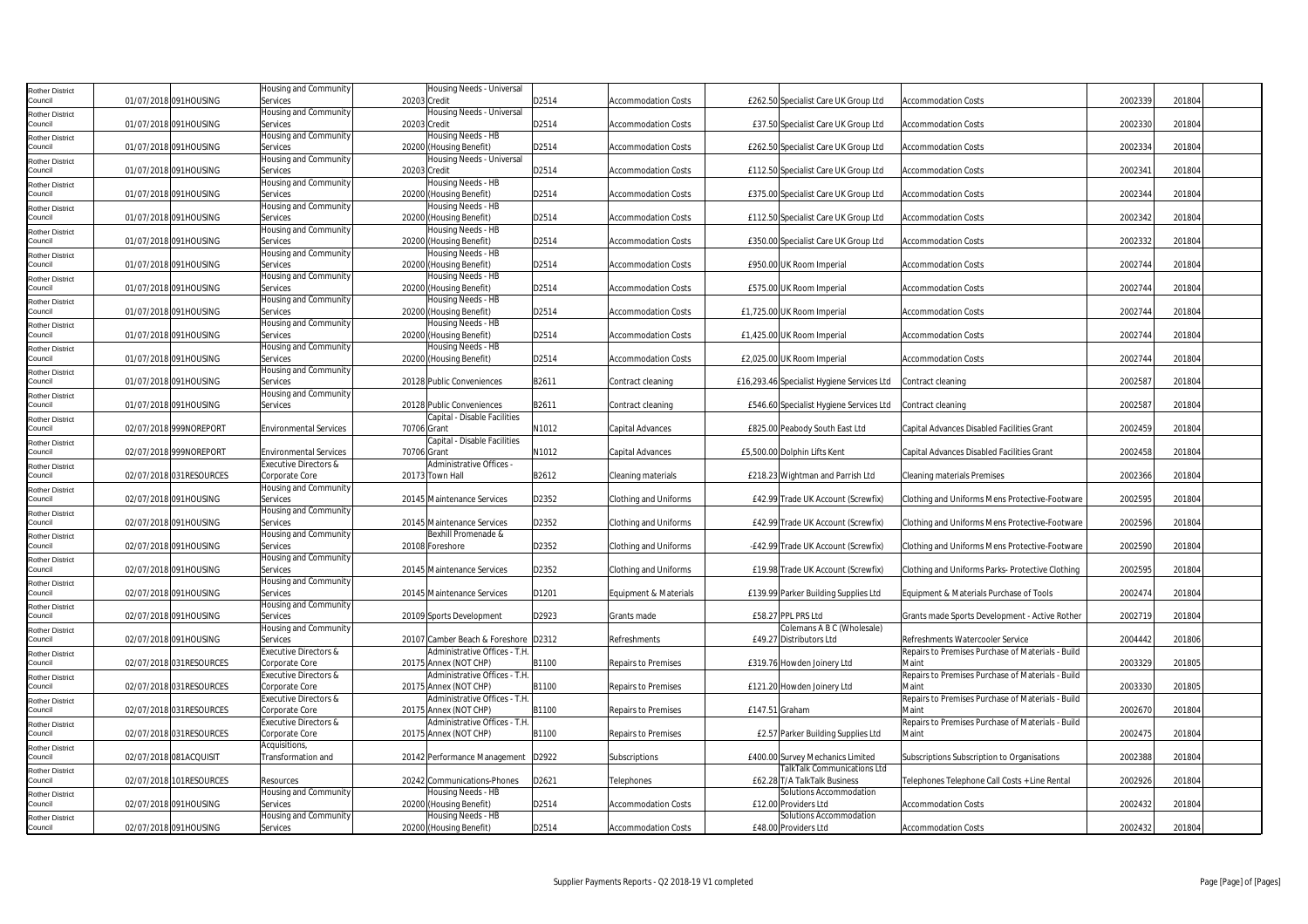| Rother District                   |                         | Housing and Community                   | Housing Needs - Universal                              |       |                              |                                                                    |                                                           |         |        |
|-----------------------------------|-------------------------|-----------------------------------------|--------------------------------------------------------|-------|------------------------------|--------------------------------------------------------------------|-----------------------------------------------------------|---------|--------|
| Council                           | 01/07/2018 091HOUSING   | Services<br>Housing and Community       | 20203 Credit<br>Housing Needs - Universal              | D2514 | Accommodation Costs          | £262.50 Specialist Care UK Group Ltd                               | <b>Accommodation Costs</b>                                | 2002339 | 201804 |
| Rother District<br>Council        | 01/07/2018 091HOUSING   | Services                                | 20203 Credit                                           | D2514 | <b>Accommodation Costs</b>   | £37.50 Specialist Care UK Group Ltd                                | <b>Accommodation Costs</b>                                | 2002330 | 201804 |
| Rother District                   |                         | Housing and Community                   | Housing Needs - HB                                     |       |                              |                                                                    |                                                           |         |        |
| Council                           | 01/07/2018 091HOUSING   | Services                                | 20200 (Housing Benefit)                                | D2514 | <b>Accommodation Costs</b>   | £262.50 Specialist Care UK Group Ltd                               | <b>Accommodation Costs</b>                                | 2002334 | 201804 |
| Rother District                   |                         | Housing and Community                   | Housing Needs - Universal                              |       |                              |                                                                    |                                                           |         |        |
| Council                           | 01/07/2018 091HOUSING   | Services                                | 20203 Credit                                           | D2514 | <b>Accommodation Costs</b>   | £112.50 Specialist Care UK Group Ltd                               | <b>Accommodation Costs</b>                                | 2002341 | 201804 |
| Rother District<br>Council        |                         | Housing and Community                   | Housing Needs - HB                                     |       |                              |                                                                    |                                                           |         |        |
|                                   | 01/07/2018 091HOUSING   | Services<br>Housing and Community       | 20200 (Housing Benefit)<br>Housing Needs - HB          | D2514 | <b>Accommodation Costs</b>   | £375.00 Specialist Care UK Group Ltd                               | <b>Accommodation Costs</b>                                | 2002344 | 201804 |
| <b>Rother District</b><br>Council | 01/07/2018 091HOUSING   | Services                                | 20200 (Housing Benefit)                                | D2514 | <b>Accommodation Costs</b>   | £112.50 Specialist Care UK Group Ltd                               | <b>Accommodation Costs</b>                                | 2002342 | 201804 |
| Rother District                   |                         | Housing and Community                   | Housing Needs - HB                                     |       |                              |                                                                    |                                                           |         |        |
| Council                           | 01/07/2018 091HOUSING   | Services                                | 20200 (Housing Benefit)                                | D2514 | <b>Accommodation Costs</b>   | £350.00 Specialist Care UK Group Ltd                               | <b>Accommodation Costs</b>                                | 2002332 | 201804 |
| Rother District                   |                         | Housing and Community                   | Housing Needs - HB                                     |       |                              |                                                                    |                                                           |         |        |
| Council                           | 01/07/2018 091HOUSING   | Services                                | 20200 (Housing Benefit)                                | D2514 | <b>Accommodation Costs</b>   | £950.00 UK Room Imperial                                           | <b>Accommodation Costs</b>                                | 2002744 | 201804 |
| Rother District<br>Council        | 01/07/2018 091HOUSING   | Housing and Community<br>Services       | Housing Needs - HB<br>20200 (Housing Benefit)          | D2514 | <b>Accommodation Costs</b>   | £575.00 UK Room Imperial                                           | <b>Accommodation Costs</b>                                | 2002744 | 201804 |
| Rother District                   |                         | Housing and Community                   | Housing Needs - HB                                     |       |                              |                                                                    |                                                           |         |        |
| Council                           | 01/07/2018 091HOUSING   | Services                                | 20200 (Housing Benefit)                                | D2514 | Accommodation Costs          | £1,725.00 UK Room Imperial                                         | <b>Accommodation Costs</b>                                | 2002744 | 201804 |
| Rother District                   |                         | Housing and Community                   | Housing Needs - HB                                     |       |                              |                                                                    |                                                           |         |        |
| Council                           | 01/07/2018 091HOUSING   | Services                                | 20200 (Housing Benefit)                                | D2514 | <b>Accommodation Costs</b>   | £1,425.00 UK Room Imperial                                         | <b>Accommodation Costs</b>                                | 2002744 | 201804 |
| <b>Rother District</b>            |                         | Housing and Community                   | Housing Needs - HB                                     |       |                              |                                                                    |                                                           |         |        |
| Council                           | 01/07/2018 091HOUSING   | Services<br>Housing and Community       | 20200 (Housing Benefit)                                | D2514 | <b>Accommodation Costs</b>   | £2,025.00 UK Room Imperial                                         | <b>Accommodation Costs</b>                                | 2002744 | 201804 |
| Rother District<br>Council        | 01/07/2018 091HOUSING   | Services                                | 20128 Public Conveniences                              | B2611 | Contract cleaning            | £16,293.46 Specialist Hygiene Services Ltd                         | Contract cleaning                                         | 2002587 | 201804 |
| <b>Rother District</b>            |                         | Housing and Community                   |                                                        |       |                              |                                                                    |                                                           |         |        |
| Council                           | 01/07/2018 091HOUSING   | Services                                | 20128 Public Conveniences                              | B2611 | Contract cleaning            | £546.60 Specialist Hygiene Services Ltd                            | Contract cleaning                                         | 2002587 | 201804 |
| Rother District                   |                         |                                         | Capital - Disable Facilities                           |       |                              |                                                                    |                                                           |         |        |
| Council                           | 02/07/2018 999NOREPORT  | <b>Environmental Services</b>           | 70706 Grant                                            | N1012 | Capital Advances             | £825.00 Peabody South East Ltd                                     | Capital Advances Disabled Facilities Grant                | 2002459 | 201804 |
| Rother District<br>Council        | 02/07/2018 999NOREPORT  | <b>Environmental Services</b>           | Capital - Disable Facilities<br>70706 Grant            | N1012 | Capital Advances             | £5,500.00 Dolphin Lifts Kent                                       | Capital Advances Disabled Facilities Grant                | 2002458 | 201804 |
| Rother District                   |                         | Executive Directors &                   | Administrative Offices -                               |       |                              |                                                                    |                                                           |         |        |
| Council                           | 02/07/2018 031RESOURCES | Corporate Core                          | 20173 Town Hall                                        | B2612 | Cleaning materials           | £218.23 Wightman and Parrish Ltd                                   | <b>Cleaning materials Premises</b>                        | 2002366 | 201804 |
| <b>Rother District</b>            |                         | Housing and Community                   |                                                        |       |                              |                                                                    |                                                           |         |        |
| Council                           | 02/07/2018 091HOUSING   | Services                                | 20145 Maintenance Services                             | D2352 | <b>Clothing and Uniforms</b> | £42.99 Trade UK Account (Screwfix)                                 | Clothing and Uniforms Mens Protective-Footware            | 2002595 | 201804 |
| Rother District                   |                         | Housing and Community                   |                                                        |       |                              |                                                                    |                                                           |         |        |
| Council                           | 02/07/2018 091HOUSING   | Services<br>Housing and Community       | 20145 Maintenance Services<br>Bexhill Promenade &      | D2352 | Clothing and Uniforms        | £42.99 Trade UK Account (Screwfix)                                 | Clothing and Uniforms Mens Protective-Footware            | 2002596 | 201804 |
| Rother District<br>Council        | 02/07/2018 091HOUSING   | Services                                | 20108 Foreshore                                        | D2352 | Clothing and Uniforms        | -£42.99 Trade UK Account (Screwfix)                                | Clothing and Uniforms Mens Protective-Footware            | 2002590 | 201804 |
| Rother District                   |                         | Housing and Community                   |                                                        |       |                              |                                                                    |                                                           |         |        |
| Council                           | 02/07/2018 091HOUSING   | Services                                | 20145 Maintenance Services                             | D2352 | Clothing and Uniforms        | £19.98 Trade UK Account (Screwfix)                                 | Clothing and Uniforms Parks- Protective Clothing          | 2002595 | 201804 |
| Rother District                   |                         | Housing and Community                   |                                                        |       |                              |                                                                    |                                                           |         |        |
| Council                           | 02/07/2018 091HOUSING   | Services                                | 20145 Maintenance Services                             | D1201 | Equipment & Materials        | £139.99 Parker Building Supplies Ltd                               | Equipment & Materials Purchase of Tools                   | 2002474 | 201804 |
| Rother District<br>Council        | 02/07/2018 091HOUSING   | lousing and Community<br>Services       | 20109 Sports Development                               | D2923 | Grants made                  | £58.27 PPL PRS Ltd                                                 | Grants made Sports Development - Active Rother            | 2002719 | 201804 |
| <b>Rother District</b>            |                         | Housing and Community                   |                                                        |       |                              | Colemans A B C (Wholesale)                                         |                                                           |         |        |
| Council                           | 02/07/2018 091HOUSING   | Services                                | 20107 Camber Beach & Foreshore D2312                   |       | Refreshments                 | £49.27 Distributors Ltd                                            | Refreshments Watercooler Service                          | 2004442 | 201806 |
| Rother District                   |                         | Executive Directors &                   | Administrative Offices - T.H.                          |       |                              |                                                                    | Repairs to Premises Purchase of Materials - Build         |         |        |
| Council                           | 02/07/2018 031RESOURCES | Corporate Core                          | 20175 Annex (NOT CHP)                                  | B1100 | <b>Repairs to Premises</b>   | £319.76 Howden Joinery Ltd                                         | Maint                                                     | 2003329 | 201805 |
| Rother District                   |                         | <b>Executive Directors &amp;</b>        | Administrative Offices - T.H                           |       |                              |                                                                    | Repairs to Premises Purchase of Materials - Build         |         |        |
| Council                           | 02/07/2018 031RESOURCES | Corporate Core<br>Executive Directors & | 20175 Annex (NOT CHP)<br>Administrative Offices - T.H. | B1100 | Repairs to Premises          | £121.20 Howden Joinery Ltd                                         | Main<br>Repairs to Premises Purchase of Materials - Build | 2003330 | 201805 |
| Rother District<br>Council        | 02/07/2018 031RESOURCES | Corporate Core                          | 20175 Annex (NOT CHP)                                  | B1100 | Repairs to Premises          | £147.51 Graham                                                     | Maint                                                     | 2002670 | 201804 |
| <b>Rother District</b>            |                         | Executive Directors &                   | Administrative Offices - T.H.                          |       |                              |                                                                    | Repairs to Premises Purchase of Materials - Build         |         |        |
| Council                           | 02/07/2018 031RESOURCES | Corporate Core                          | 20175 Annex (NOT CHP)                                  | B1100 | <b>Repairs to Premises</b>   | £2.57 Parker Building Supplies Ltd                                 | Maint                                                     | 2002475 | 201804 |
| <b>Rother District</b>            |                         | Acquisitions,                           |                                                        |       |                              |                                                                    |                                                           |         |        |
| Council                           | 02/07/2018 081ACQUISIT  | Transformation and                      | 20142 Performance Management   D2922                   |       | Subscriptions                | £400.00 Survey Mechanics Limited                                   | Subscriptions Subscription to Organisations               | 2002388 | 201804 |
| <b>Rother District</b>            | 02/07/2018 101RESOURCES |                                         | 20242 Communications-Phones                            | D2621 |                              | <b>FalkTalk Communications Ltd</b><br>£62.28 T/A TalkTalk Business | Telephones Telephone Call Costs + Line Renta              | 2002926 | 201804 |
| Council<br>Rother District        |                         | Resources<br>Housing and Community      | Housing Needs - HB                                     |       | <b>Felephones</b>            | Solutions Accommodation                                            |                                                           |         |        |
| Council                           | 02/07/2018 091HOUSING   | Services                                | 20200 (Housing Benefit)                                | D2514 | <b>Accommodation Costs</b>   | £12.00 Providers Ltd                                               | <b>Accommodation Costs</b>                                | 2002432 | 201804 |
| <b>Rother District</b>            |                         | Housing and Community                   | Housing Needs - HB                                     |       |                              | Solutions Accommodation                                            |                                                           |         |        |
| Council                           | 02/07/2018 091HOUSING   | Services                                | 20200 (Housing Benefit)                                | D2514 | <b>Accommodation Costs</b>   | £48.00 Providers Ltd                                               | <b>Accommodation Costs</b>                                | 2002432 | 201804 |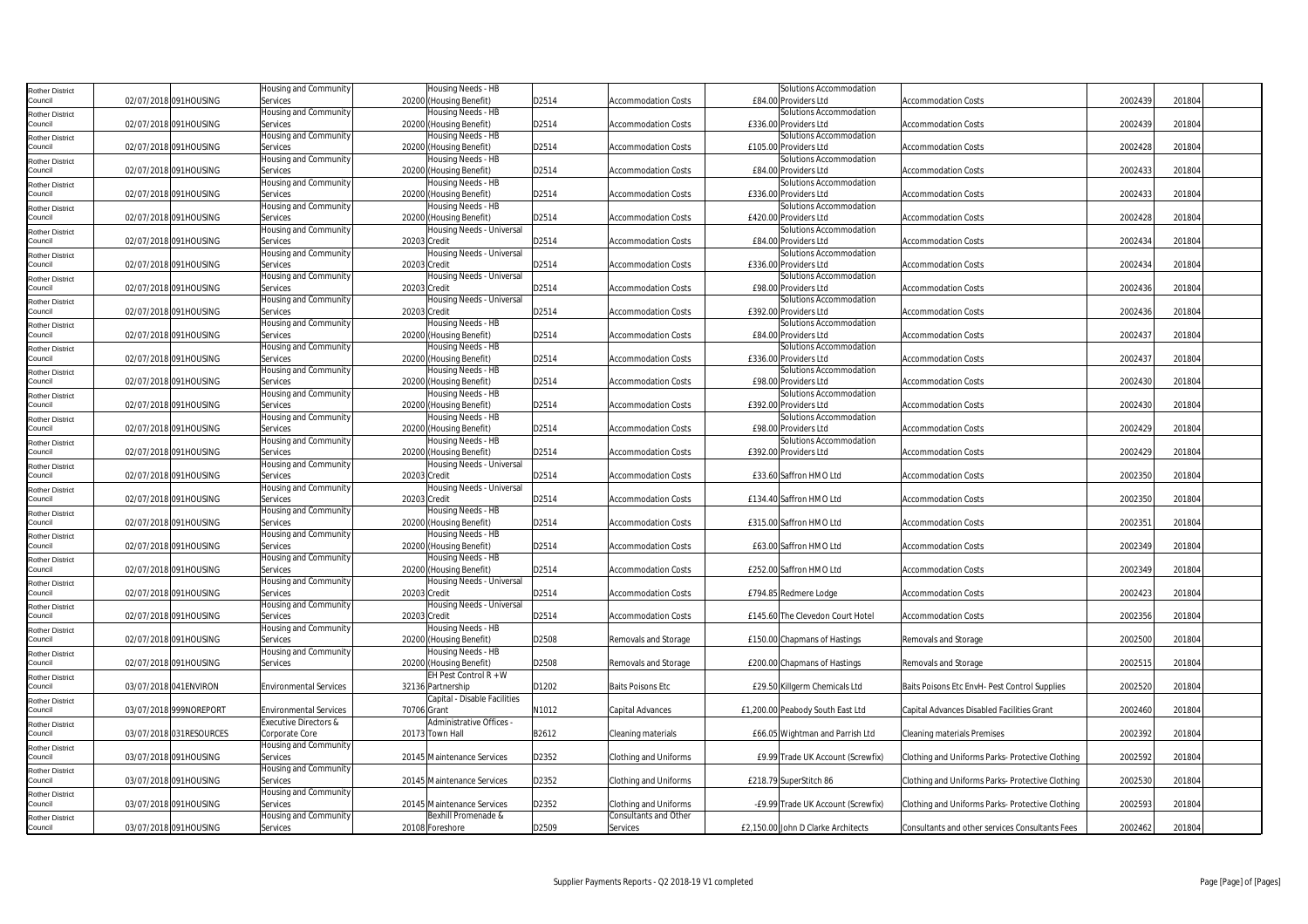| <b>Rother District</b> |                         | Housing and Community         | Housing Needs - HB           |       |                              | Solutions Accommodation            |                                                  |         |        |
|------------------------|-------------------------|-------------------------------|------------------------------|-------|------------------------------|------------------------------------|--------------------------------------------------|---------|--------|
| Council                | 02/07/2018 091HOUSING   | Services                      | 20200 (Housing Benefit)      | D2514 | <b>Accommodation Costs</b>   | £84.00 Providers Ltd               | <b>Accommodation Costs</b>                       | 2002439 | 201804 |
| <b>Rother District</b> |                         | Housing and Community         | Housing Needs - HB           |       |                              | Solutions Accommodation            |                                                  |         |        |
| Council                | 02/07/2018 091HOUSING   | Services                      | 20200 (Housing Benefit)      | D2514 | <b>Accommodation Costs</b>   | £336.00 Providers Ltd              | <b>Accommodation Costs</b>                       | 2002439 | 201804 |
| <b>Rother District</b> |                         | Housing and Community         | Housing Needs - HB           |       |                              | Solutions Accommodation            |                                                  |         |        |
| Council                | 02/07/2018 091HOUSING   | Services                      | 20200 (Housing Benefit)      | D2514 | <b>Accommodation Costs</b>   | £105.00 Providers Ltd              | <b>Accommodation Costs</b>                       | 2002428 | 201804 |
| <b>Rother District</b> |                         | Housing and Community         | Housing Needs - HB           |       |                              | Solutions Accommodation            |                                                  |         |        |
| Council                | 02/07/2018 091HOUSING   | Services                      | 20200 (Housing Benefit)      | D2514 | <b>Accommodation Costs</b>   | £84.00 Providers Ltd               | <b>Accommodation Costs</b>                       | 2002433 | 201804 |
| <b>Rother District</b> |                         | Housing and Community         | Housing Needs - HB           |       |                              | Solutions Accommodation            |                                                  |         |        |
| Council                | 02/07/2018 091HOUSING   | Services                      | 20200 (Housing Benefit)      | D2514 | <b>Accommodation Costs</b>   | £336.00 Providers Ltd              | <b>Accommodation Costs</b>                       | 2002433 | 201804 |
| <b>Rother District</b> |                         | Housing and Community         | Housing Needs - HB           |       |                              | Solutions Accommodation            |                                                  |         |        |
| Council                | 02/07/2018 091HOUSING   | Services                      | 20200 (Housing Benefit)      | D2514 | <b>Accommodation Costs</b>   | £420.00 Providers Ltd              | <b>Accommodation Costs</b>                       | 2002428 | 201804 |
| <b>Rother District</b> |                         | Housing and Community         | Housing Needs - Universal    |       |                              | Solutions Accommodation            |                                                  |         |        |
| Council                | 02/07/2018 091HOUSING   | Services                      | 20203 Credit                 | D2514 | Accommodation Costs          | £84.00 Providers Ltd               | Accommodation Costs                              | 2002434 | 201804 |
| <b>Rother District</b> |                         | Housing and Community         | Housing Needs - Universal    |       |                              | Solutions Accommodation            |                                                  |         |        |
| Council                | 02/07/2018 091HOUSING   | Services                      | 20203 Credit                 | D2514 | <b>Accommodation Costs</b>   | £336.00 Providers Ltd              | <b>Accommodation Costs</b>                       | 2002434 | 201804 |
| <b>Rother District</b> |                         | Housing and Community         | Housing Needs - Universal    |       |                              | Solutions Accommodation            |                                                  |         |        |
| Council                | 02/07/2018 091HOUSING   | Services                      | 20203 Credit                 | D2514 | <b>Accommodation Costs</b>   | £98.00 Providers Ltd               | <b>Accommodation Costs</b>                       | 2002436 | 201804 |
| <b>Rother District</b> |                         | Housing and Community         | Housing Needs - Universal    |       |                              | Solutions Accommodation            |                                                  |         |        |
| Council                | 02/07/2018 091HOUSING   | Services                      | 20203 Credit                 | D2514 | Accommodation Costs          | £392.00 Providers Ltd              | <b>Accommodation Costs</b>                       | 2002436 | 201804 |
| <b>Rother District</b> |                         | Housing and Community         | Housing Needs - HB           |       |                              | Solutions Accommodation            |                                                  |         |        |
| Council                | 02/07/2018 091HOUSING   | Services                      | 20200 (Housing Benefit)      | D2514 | <b>Accommodation Costs</b>   | £84.00 Providers Ltd               | <b>Accommodation Costs</b>                       | 2002437 | 201804 |
| <b>Rother District</b> |                         | Housing and Community         | Housing Needs - HB           |       |                              | Solutions Accommodation            |                                                  |         |        |
| Council                | 02/07/2018 091HOUSING   | Services                      | 20200 (Housing Benefit)      | D2514 | <b>Accommodation Costs</b>   | £336.00 Providers Ltd              | <b>Accommodation Costs</b>                       | 2002437 | 201804 |
| <b>Rother District</b> |                         | Housing and Community         | Housing Needs - HB           |       |                              | Solutions Accommodation            |                                                  |         |        |
| Council                | 02/07/2018 091HOUSING   | Services                      | 20200 (Housing Benefit)      | D2514 | Accommodation Costs          | £98.00 Providers Ltd               | <b>Accommodation Costs</b>                       | 2002430 | 201804 |
| <b>Rother District</b> |                         | Housing and Community         | Housing Needs - HB           |       |                              | Solutions Accommodation            |                                                  |         |        |
| Council                | 02/07/2018 091HOUSING   | Services                      | 20200 (Housing Benefit)      | D2514 | Accommodation Costs          | £392.00 Providers Ltd              | <b>Accommodation Costs</b>                       | 2002430 | 201804 |
| <b>Rother District</b> |                         | Housing and Community         | Housing Needs - HB           |       |                              | Solutions Accommodation            |                                                  |         |        |
| Council                | 02/07/2018 091HOUSING   | Services                      | 20200 (Housing Benefit)      | D2514 | <b>Accommodation Costs</b>   | £98.00 Providers Ltd               | <b>Accommodation Costs</b>                       | 2002429 | 201804 |
| <b>Rother District</b> |                         | Housing and Community         | Housing Needs - HB           |       |                              | Solutions Accommodation            |                                                  |         |        |
| Council                | 02/07/2018 091HOUSING   | Services                      | 20200 (Housing Benefit)      | D2514 | <b>Accommodation Costs</b>   | £392.00 Providers Ltd              | <b>Accommodation Costs</b>                       | 2002429 | 201804 |
| <b>Rother District</b> |                         | Housing and Community         | Housing Needs - Universal    |       |                              |                                    |                                                  |         |        |
| Council                | 02/07/2018 091HOUSING   | Services                      | 20203 Credit                 | D2514 | Accommodation Costs          | £33.60 Saffron HMO Ltd             | <b>Accommodation Costs</b>                       | 2002350 | 201804 |
| <b>Rother District</b> |                         | Housing and Community         | Housing Needs - Universal    |       |                              |                                    |                                                  |         |        |
| Council                | 02/07/2018 091HOUSING   | Services                      | 20203 Credit                 | D2514 | <b>Accommodation Costs</b>   | £134.40 Saffron HMO Ltd            | <b>Accommodation Costs</b>                       | 2002350 | 201804 |
| <b>Rother District</b> |                         | Housing and Community         | Housing Needs - HB           |       |                              |                                    |                                                  |         |        |
| Council                | 02/07/2018 091HOUSING   | Services                      | 20200 (Housing Benefit)      | D2514 | <b>Accommodation Costs</b>   | £315.00 Saffron HMO Ltd            | <b>Accommodation Costs</b>                       | 2002351 | 201804 |
| <b>Rother District</b> |                         | Housing and Community         | Housing Needs - HB           |       |                              |                                    |                                                  |         |        |
| Council                | 02/07/2018 091HOUSING   | Services                      | 20200 (Housing Benefit)      | D2514 | <b>Accommodation Costs</b>   | £63.00 Saffron HMO Ltd             | <b>Accommodation Costs</b>                       | 2002349 | 201804 |
| <b>Rother District</b> |                         | Housing and Community         | Housing Needs - HB           |       |                              |                                    |                                                  |         |        |
| Council                | 02/07/2018 091HOUSING   | Services                      | 20200 (Housing Benefit)      | D2514 | Accommodation Costs          | £252.00 Saffron HMO Ltd            | <b>Accommodation Costs</b>                       | 2002349 | 201804 |
| <b>Rother District</b> |                         | Housing and Community         | Housing Needs - Universal    |       |                              |                                    |                                                  |         |        |
| Council                | 02/07/2018 091HOUSING   | Services                      | 20203 Credit                 | D2514 | <b>Accommodation Costs</b>   | £794.85 Redmere Lodge              | <b>Accommodation Costs</b>                       | 2002423 | 201804 |
| <b>Rother District</b> |                         | Housing and Community         | Housing Needs - Universal    |       |                              |                                    |                                                  |         |        |
| Council                | 02/07/2018 091HOUSING   | Services                      | 20203 Credit                 | D2514 | <b>Accommodation Costs</b>   | £145.60 The Clevedon Court Hotel   | <b>Accommodation Costs</b>                       | 2002356 | 201804 |
| <b>Rother District</b> |                         | Housing and Community         | Housing Needs - HB           |       |                              |                                    |                                                  |         |        |
| Council                | 02/07/2018 091HOUSING   | Services                      | 20200 (Housing Benefit)      | D2508 | Removals and Storage         | £150.00 Chapmans of Hastings       | Removals and Storage                             | 2002500 | 201804 |
| <b>Rother District</b> |                         | Housing and Community         | Housing Needs - HB           |       |                              |                                    |                                                  |         |        |
| Council                | 02/07/2018 091HOUSING   | Services                      | 20200 (Housing Benefit)      | D2508 | Removals and Storage         | £200.00 Chapmans of Hastings       | Removals and Storage                             | 2002515 | 201804 |
| <b>Rother District</b> |                         |                               | EH Pest Control R + W        |       |                              |                                    |                                                  |         |        |
| Council                | 03/07/2018 041ENVIRON   | <b>Environmental Services</b> | 32136 Partnership            | D1202 | <b>Baits Poisons Etc</b>     | £29.50 Killgerm Chemicals Ltd      | Baits Poisons Etc EnvH- Pest Control Supplies    | 2002520 | 201804 |
| <b>Rother District</b> |                         |                               | Capital - Disable Facilities |       |                              |                                    |                                                  |         |        |
| Council                | 03/07/2018 999NOREPORT  | <b>Environmental Services</b> | 70706 Grant                  | N1012 | Capital Advances             | £1,200.00 Peabody South East Ltd   | Capital Advances Disabled Facilities Grant       | 2002460 | 201804 |
| <b>Rother District</b> |                         | Executive Directors &         | Administrative Offices -     |       |                              |                                    |                                                  |         |        |
| Council                | 03/07/2018 031RESOURCES | Corporate Core                | 20173 Town Hall              | B2612 | Cleaning materials           | £66.05 Wightman and Parrish Ltd    | <b>Cleaning materials Premises</b>               | 2002392 | 201804 |
| <b>Rother District</b> |                         | Housing and Community         |                              |       |                              |                                    |                                                  |         |        |
| Council                | 03/07/2018 091HOUSING   | Services                      | 20145 Maintenance Services   | D2352 | <b>Clothing and Uniforms</b> | £9.99 Trade UK Account (Screwfix)  | Clothing and Uniforms Parks- Protective Clothing | 2002592 | 201804 |
| Rother District        |                         | Housing and Community         |                              |       |                              |                                    |                                                  |         |        |
| Council                | 03/07/2018 091HOUSING   | Services                      | 20145 Maintenance Services   | D2352 | <b>Clothing and Uniforms</b> | £218.79 SuperStitch 86             | Clothing and Uniforms Parks- Protective Clothing | 2002530 | 201804 |
| <b>Rother District</b> |                         | Housing and Community         |                              |       |                              |                                    |                                                  |         |        |
| Council                | 03/07/2018 091HOUSING   | Services                      | 20145 Maintenance Services   | D2352 | Clothing and Uniforms        | -£9.99 Trade UK Account (Screwfix) | Clothing and Uniforms Parks- Protective Clothing | 2002593 | 201804 |
| <b>Rother District</b> |                         | Housing and Community         | Bexhill Promenade &          |       | Consultants and Other        |                                    |                                                  |         |        |
| Council                | 03/07/2018 091HOUSING   | Services                      | 20108 Foreshore              | D2509 | Services                     | £2,150.00 John D Clarke Architects | Consultants and other services Consultants Fees  | 2002462 | 201804 |
|                        |                         |                               |                              |       |                              |                                    |                                                  |         |        |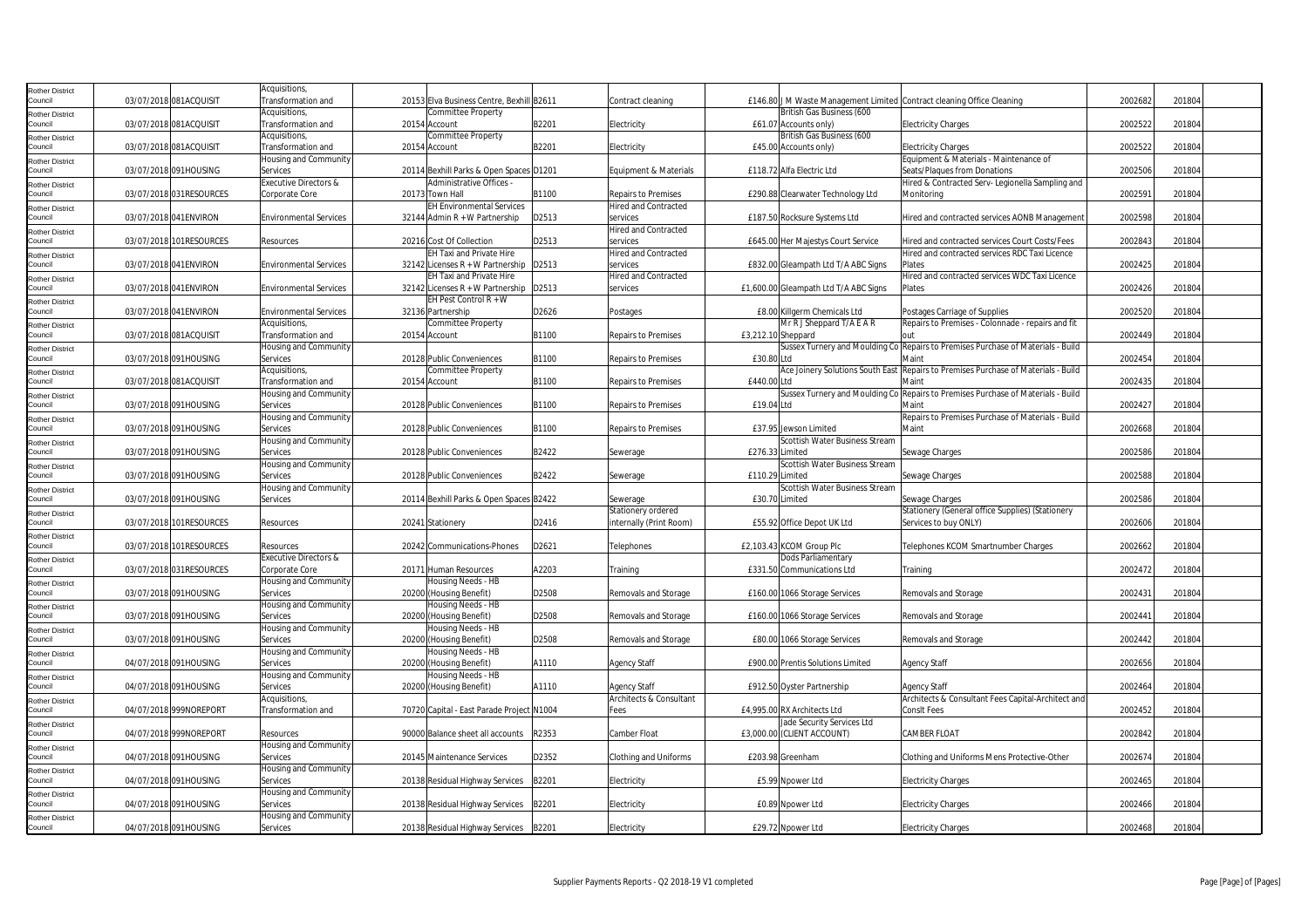| Rother District                   |                         | Acquisitions,                       |                                               |       |                                                |                    |                                       |                                                                                          |         |        |  |
|-----------------------------------|-------------------------|-------------------------------------|-----------------------------------------------|-------|------------------------------------------------|--------------------|---------------------------------------|------------------------------------------------------------------------------------------|---------|--------|--|
| Council                           | 03/07/2018 081ACQUISIT  | Transformation and                  | 20153 Elva Business Centre, Bexhill B2611     |       | Contract cleaning                              |                    | British Gas Business (600             | £146.80 J M Waste Management Limited Contract cleaning Office Cleaning                   | 2002682 | 201804 |  |
| Rother District<br>Council        | 03/07/2018 081ACQUISIT  | Acquisitions,<br>Transformation and | <b>Committee Property</b><br>20154 Account    | B2201 | Electricity                                    |                    | £61.07 Accounts only)                 | <b>Electricity Charges</b>                                                               | 2002522 | 201804 |  |
| Rother District                   |                         | Acquisitions,                       | <b>Committee Property</b>                     |       |                                                |                    | British Gas Business (600             |                                                                                          |         |        |  |
| Council                           | 03/07/2018 081ACQUISIT  | Transformation and                  | 20154 Account                                 | B2201 | Electricity                                    |                    | £45.00 Accounts only)                 | <b>Electricity Charges</b>                                                               | 2002522 | 201804 |  |
| Rother District                   |                         | Housing and Community               |                                               |       |                                                |                    |                                       | Equipment & Materials - Maintenance of                                                   |         |        |  |
| Council                           | 03/07/2018 091HOUSING   | Services                            | 20114 Bexhill Parks & Open Spaces D1201       |       | Equipment & Materials                          |                    | £118.72 Alfa Electric Ltd             | Seats/Plaques from Donations                                                             | 2002506 | 201804 |  |
| Rother District                   |                         | Executive Directors &               | Administrative Offices -                      |       |                                                |                    |                                       | Hired & Contracted Serv- Legionella Sampling and                                         |         |        |  |
| Council                           | 03/07/2018 031RESOURCES | Corporate Core                      | 20173 Town Hall                               | B1100 | <b>Repairs to Premises</b>                     |                    | £290.88 Clearwater Technology Ltd     | Monitoring                                                                               | 2002591 | 201804 |  |
| Rother District                   |                         |                                     | <b>EH Environmental Services</b>              |       | <b>Hired and Contracted</b>                    |                    |                                       |                                                                                          |         |        |  |
| Council                           | 03/07/2018 041ENVIRON   | <b>Environmental Services</b>       | 32144 Admin R + W Partnership                 | D2513 | services                                       |                    | £187.50 Rocksure Systems Ltd          | Hired and contracted services AONB Management                                            | 2002598 | 201804 |  |
| Rother District<br>Council        | 03/07/2018 101RESOURCES | Resources                           | 20216 Cost Of Collection                      | D2513 | <b>Hired and Contracted</b><br>services        |                    |                                       | Hired and contracted services Court Costs/Fees                                           | 2002843 | 201804 |  |
| Rother District                   |                         |                                     | <b>EH Taxi and Private Hire</b>               |       | <b>Hired and Contracted</b>                    |                    | £645.00 Her Majestys Court Service    | Hired and contracted services RDC Taxi Licence                                           |         |        |  |
| Council                           | 03/07/2018 041ENVIRON   | <b>Environmental Services</b>       | $32142$ Licenses R + W Partnership            | D2513 | services                                       |                    | £832.00 Gleampath Ltd T/A ABC Signs   | Plates                                                                                   | 2002425 | 201804 |  |
| Rother District                   |                         |                                     | EH Taxi and Private Hire                      |       | <b>Hired and Contracted</b>                    |                    |                                       | Hired and contracted services WDC Taxi Licence                                           |         |        |  |
| Council                           | 03/07/2018 041ENVIRON   | <b>Environmental Services</b>       | 32142 Licenses R + W Partnership   D2513      |       | services                                       |                    | £1,600.00 Gleampath Ltd T/A ABC Signs | Plates                                                                                   | 2002426 | 201804 |  |
| tother District                   |                         |                                     | EH Pest Control $R + W$                       |       |                                                |                    |                                       |                                                                                          |         |        |  |
| Council                           | 03/07/2018 041ENVIRON   | <b>Environmental Services</b>       | 32136 Partnership                             | D2626 | Postages                                       |                    | £8.00 Killgerm Chemicals Ltd          | Postages Carriage of Supplies                                                            | 2002520 | 201804 |  |
| Rother District                   |                         | Acquisitions,                       | Committee Property                            |       |                                                |                    | Mr R J Sheppard T/A E A R             | Repairs to Premises - Colonnade - repairs and fit                                        |         |        |  |
| Council                           | 03/07/2018 081ACQUISIT  | Transformation and                  | 20154 Account                                 | B1100 | <b>Repairs to Premises</b>                     | £3,212.10 Sheppard |                                       |                                                                                          | 2002449 | 201804 |  |
| Rother District<br>Council        | 03/07/2018 091HOUSING   | Housing and Community<br>Services   | 20128 Public Conveniences                     | B1100 | <b>Repairs to Premises</b>                     | £30.80 Ltd         |                                       | Sussex Turnery and Moulding Co Repairs to Premises Purchase of Materials - Build<br>Main | 2002454 | 201804 |  |
|                                   |                         | Acquisitions,                       | <b>Committee Property</b>                     |       |                                                |                    |                                       | Ace Joinery Solutions South East Repairs to Premises Purchase of Materials - Build       |         |        |  |
| Rother District<br>Council        | 03/07/2018 081ACQUISIT  | Transformation and                  | 20154 Account                                 | B1100 | <b>Repairs to Premises</b>                     | £440.00 Ltd        |                                       | Maint                                                                                    | 2002435 | 201804 |  |
| Rother District                   |                         | Housing and Community               |                                               |       |                                                |                    |                                       | Sussex Turnery and Moulding Co Repairs to Premises Purchase of Materials - Build         |         |        |  |
| Council                           | 03/07/2018 091HOUSING   | Services                            | 20128 Public Conveniences                     | B1100 | <b>Repairs to Premises</b>                     | £19.04 Ltd         |                                       | Maint                                                                                    | 2002427 | 201804 |  |
| Rother District                   |                         | Housing and Community               |                                               |       |                                                |                    |                                       | Repairs to Premises Purchase of Materials - Build                                        |         |        |  |
| Council                           | 03/07/2018 091HOUSING   | Services                            | 20128 Public Conveniences                     | B1100 | <b>Repairs to Premises</b>                     |                    | £37.95 Jewson Limited                 | Maint                                                                                    | 2002668 | 201804 |  |
| Rother District                   |                         | Housing and Community               |                                               |       |                                                |                    | Scottish Water Business Stream        |                                                                                          |         |        |  |
| Council                           | 03/07/2018 091HOUSING   | Services                            | 20128 Public Conveniences                     | B2422 | Sewerage                                       | £276.33 Limited    |                                       | Sewage Charges                                                                           | 2002586 | 201804 |  |
| Rother District<br>Council        |                         | Housing and Community               |                                               |       |                                                |                    | Scottish Water Business Stream        |                                                                                          |         |        |  |
|                                   | 03/07/2018 091HOUSING   | Services<br>Housing and Community   | 20128 Public Conveniences                     | B2422 | Sewerage                                       | £110.29 Limited    | Scottish Water Business Stream        | Sewage Charges                                                                           | 2002588 | 201804 |  |
| Rother District<br>Council        | 03/07/2018 091HOUSING   | Services                            | 20114 Bexhill Parks & Open Spaces B2422       |       | Sewerage                                       | £30.70 Limited     |                                       | Sewage Charges                                                                           | 2002586 | 201804 |  |
| Rother District                   |                         |                                     |                                               |       | Stationery ordered                             |                    |                                       | Stationery (General office Supplies) (Stationery                                         |         |        |  |
| Council                           | 03/07/2018 101RESOURCES | Resources                           | 20241 Stationery                              | D2416 | internally (Print Room)                        |                    | £55.92 Office Depot UK Ltd            | Services to buy ONLY)                                                                    | 2002606 | 201804 |  |
| Rother District                   |                         |                                     |                                               |       |                                                |                    |                                       |                                                                                          |         |        |  |
| Council                           | 03/07/2018 101RESOURCES | Resources                           | 20242 Communications-Phones                   | D2621 | Telephones                                     |                    | £2,103.43 KCOM Group Plc              | Telephones KCOM Smartnumber Charges                                                      | 2002662 | 201804 |  |
| Rother District                   |                         | <b>Executive Directors &amp;</b>    |                                               |       |                                                |                    | Dods Parliamentary                    |                                                                                          |         |        |  |
| Council                           | 03/07/2018 031RESOURCES | Corporate Core                      | 20171 Human Resources                         | A2203 | Training                                       |                    | £331.50 Communications Ltd            | Training                                                                                 | 2002472 | 201804 |  |
| Rother District<br>Council        | 03/07/2018 091HOUSING   | Housing and Community<br>Services   | Housing Needs - HB<br>20200 (Housing Benefit) | D2508 | Removals and Storage                           |                    | £160.00 1066 Storage Services         | Removals and Storage                                                                     | 2002431 | 201804 |  |
|                                   |                         | Housing and Community               | Housing Needs - HB                            |       |                                                |                    |                                       |                                                                                          |         |        |  |
| Rother District<br>Council        | 03/07/2018 091HOUSING   | Services                            | 20200 (Housing Benefit)                       | D2508 | Removals and Storage                           |                    | £160.00 1066 Storage Services         | Removals and Storage                                                                     | 2002441 | 201804 |  |
| Rother District                   |                         | Housing and Community               | Housing Needs - HB                            |       |                                                |                    |                                       |                                                                                          |         |        |  |
| Council                           | 03/07/2018 091HOUSING   | Services                            | 20200 (Housing Benefit)                       | D2508 | Removals and Storage                           |                    | £80.00 1066 Storage Services          | Removals and Storage                                                                     | 2002442 | 201804 |  |
| Rother District                   |                         | Housing and Community               | Housing Needs - HB                            |       |                                                |                    |                                       |                                                                                          |         |        |  |
| Council                           | 04/07/2018 091HOUSING   | Services                            | 20200 (Housing Benefit)                       | A1110 | <b>Agency Staff</b>                            |                    | £900.00 Prentis Solutions Limited     | <b>Agency Staff</b>                                                                      | 2002656 | 201804 |  |
| Rother District                   |                         | Housing and Community               | Housing Needs - HB                            |       |                                                |                    |                                       |                                                                                          |         |        |  |
| Council                           | 04/07/2018 091HOUSING   | Services<br>Acquisitions,           | 20200 (Housing Benefit)                       | A1110 | <b>Agency Staff</b><br>Architects & Consultant |                    | £912.50 Oyster Partnership            | Agency Staff<br>Architects & Consultant Fees Capital-Architect and                       | 2002464 | 201804 |  |
| Rother District<br>Council        | 04/07/2018 999NOREPORT  | Transformation and                  | 70720 Capital - East Parade Project N1004     |       | Fees                                           |                    | £4,995.00 RX Architects Ltd           | <b>ConsIt Fees</b>                                                                       | 2002452 | 201804 |  |
| Rother District                   |                         |                                     |                                               |       |                                                |                    | Jade Security Services Ltd            |                                                                                          |         |        |  |
| Council                           | 04/07/2018 999NOREPORT  | Resources                           | 90000 Balance sheet all accounts              | R2353 | Camber Float                                   |                    | £3,000.00 (CLIENT ACCOUNT)            | CAMBER FLOAT                                                                             | 2002842 | 201804 |  |
| Rother District                   |                         | <b>Housing and Community</b>        |                                               |       |                                                |                    |                                       |                                                                                          |         |        |  |
| Council                           | 04/07/2018 091HOUSING   | Services                            | 20145 Maintenance Services                    | D2352 | <b>Clothing and Uniforms</b>                   |                    | £203.98 Greenham                      | Clothing and Uniforms Mens Protective-Other                                              | 2002674 | 201804 |  |
| <b>Rother District</b>            |                         | Housing and Community               |                                               |       |                                                |                    |                                       |                                                                                          |         |        |  |
| Council                           | 04/07/2018 091HOUSING   | Services                            | 20138 Residual Highway Services               | B2201 | Electricity                                    |                    | £5.99 Noower Ltd                      | <b>Electricity Charges</b>                                                               | 2002465 | 201804 |  |
| <b>Rother District</b><br>Council |                         | Housing and Community               |                                               |       |                                                |                    |                                       |                                                                                          |         |        |  |
|                                   | 04/07/2018 091HOUSING   | Services<br>Housing and Community   | 20138 Residual Highway Services               | B2201 | Electricity                                    |                    | £0.89 Npower Ltd                      | <b>Electricity Charges</b>                                                               | 2002466 | 201804 |  |
| Rother District<br>Council        | 04/07/2018 091HOUSING   | Services                            | 20138 Residual Highway Services               | B2201 | Electricity                                    |                    | £29.72 Npower Ltd                     | <b>Electricity Charges</b>                                                               | 2002468 | 201804 |  |
|                                   |                         |                                     |                                               |       |                                                |                    |                                       |                                                                                          |         |        |  |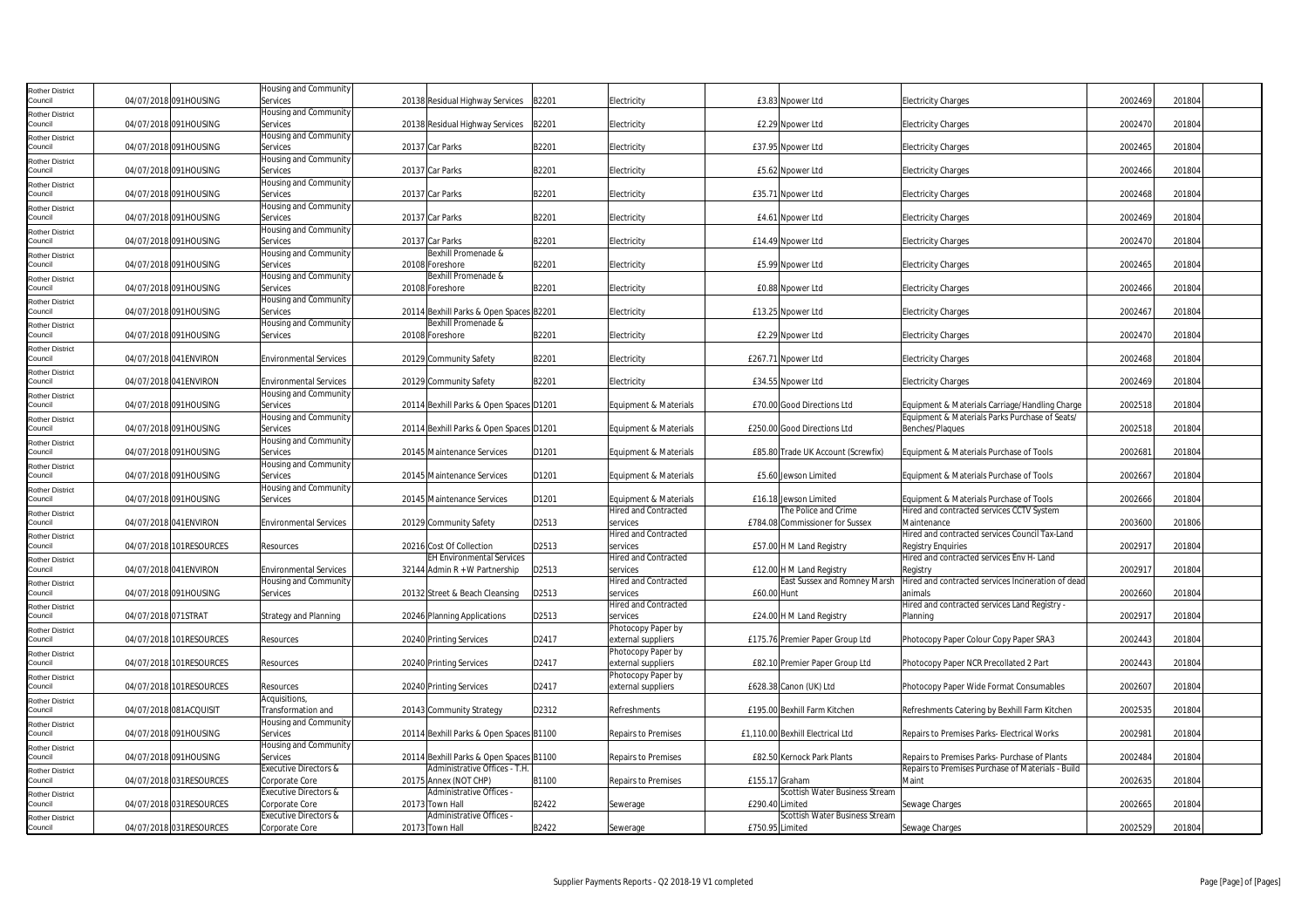| <b>Rother District</b><br>Council                           |                     | 04/07/2018 091HOUSING   | Housing and Community<br>Services                      | 20138 Residual Highway Services                                         | B2201 | Electricity                                          | £3.83 Npower Ltd                                         | <b>Electricity Charges</b>                                                                         | 2002469 | 201804 |
|-------------------------------------------------------------|---------------------|-------------------------|--------------------------------------------------------|-------------------------------------------------------------------------|-------|------------------------------------------------------|----------------------------------------------------------|----------------------------------------------------------------------------------------------------|---------|--------|
| <b>Rother District</b><br>Council                           |                     | 04/07/2018 091HOUSING   | Housing and Community<br>Services                      | 20138 Residual Highway Services                                         | B2201 | Electricity                                          | £2.29 Npower Ltd                                         | <b>Electricity Charges</b>                                                                         | 2002470 | 201804 |
| <b>Rother District</b><br>Council                           |                     | 04/07/2018 091HOUSING   | Housing and Community<br>Services                      | 20137 Car Parks                                                         | B2201 | Electricity                                          | £37.95 Npower Ltd                                        | <b>Electricity Charges</b>                                                                         | 2002465 | 201804 |
| <b>Rother District</b><br>Council                           |                     | 04/07/2018 091HOUSING   | Housing and Community<br>Services                      | 20137 Car Parks                                                         | B2201 | Electricity                                          | £5.62 Npower Ltd                                         | <b>Electricity Charges</b>                                                                         | 2002466 | 201804 |
| <b>Rother District</b><br>Council                           |                     | 04/07/2018 091HOUSING   | Housing and Community<br>Services                      | 20137 Car Parks                                                         | B2201 | Electricity                                          | £35.71 Noower Ltd                                        | <b>Electricity Charges</b>                                                                         | 2002468 | 201804 |
| <b>Rother District</b><br>Council                           |                     | 04/07/2018 091HOUSING   | Housing and Community<br>Services                      | 20137 Car Parks                                                         | B2201 | Electricity                                          | £4.61 Npower Ltd                                         | <b>Electricity Charges</b>                                                                         | 2002469 | 201804 |
| <b>Rother District</b><br>Council                           |                     | 04/07/2018 091HOUSING   | Housing and Community<br>Services                      | 20137 Car Parks                                                         | B2201 | Electricity                                          | £14.49 Npower Ltd                                        | <b>Electricity Charges</b>                                                                         | 2002470 | 201804 |
| <b>Rother District</b><br>Council                           |                     | 04/07/2018 091HOUSING   | Housing and Community<br>Services                      | Bexhill Promenade &<br>20108 Foreshore                                  | B2201 | Electricity                                          | £5.99 Npower Ltd                                         | <b>Electricity Charges</b>                                                                         | 2002465 | 201804 |
| Rother District<br>Council                                  |                     | 04/07/2018 091HOUSING   | Housing and Community<br>Services                      | Bexhill Promenade &<br>20108 Foreshore                                  | B2201 | Electricity                                          | £0.88 Npower Ltd                                         | <b>Electricity Charges</b>                                                                         | 2002466 | 201804 |
| <b>Rother District</b><br>Council                           |                     | 04/07/2018 091HOUSING   | Housing and Community<br>Services                      | 20114 Bexhill Parks & Open Spaces B2201                                 |       | Electricity                                          | £13.25 Npower Ltd                                        | <b>Electricity Charges</b>                                                                         | 2002467 | 201804 |
| <b>Rother District</b><br>Council                           |                     | 04/07/2018 091HOUSING   | Housing and Community<br>Services                      | Bexhill Promenade &<br>20108 Foreshore                                  | B2201 | Electricity                                          | £2.29 Npower Ltd                                         | <b>Electricity Charges</b>                                                                         | 2002470 | 201804 |
| <b>Rother District</b><br>Council                           |                     | 04/07/2018 041 ENVIRON  | <b>Environmental Services</b>                          | 20129 Community Safety                                                  | B2201 | Electricity                                          | £267.71 Npower Ltd                                       | <b>Electricity Charges</b>                                                                         | 2002468 | 201804 |
| <b>Rother District</b><br>Council                           |                     | 04/07/2018 041ENVIRON   | <b>Environmental Services</b><br>Housing and Community | 20129 Community Safety                                                  | B2201 | Electricity                                          | £34.55 Npower Ltd                                        | <b>Electricity Charges</b>                                                                         | 2002469 | 201804 |
| <b>Rother District</b><br>Council                           |                     | 04/07/2018 091HOUSING   | Services<br>Housing and Community                      | 20114 Bexhill Parks & Open Spaces D1201                                 |       | Equipment & Materials                                | £70.00 Good Directions Ltd                               | Equipment & Materials Carriage/Handling Charge<br>Equipment & Materials Parks Purchase of Seats/   | 2002518 | 201804 |
| <b>Rother District</b><br>Council                           |                     | 04/07/2018 091HOUSING   | Services<br>Housing and Community                      | 20114 Bexhill Parks & Open Spaces D1201                                 |       | Equipment & Materials                                | £250.00 Good Directions Ltd                              | Benches/Plaques                                                                                    | 2002518 | 201804 |
| <b>Rother District</b><br>Council                           |                     | 04/07/2018 091HOUSING   | Services<br>Housing and Community                      | 20145 Maintenance Services                                              | D1201 | Equipment & Materials                                | £85.80 Trade UK Account (Screwfix)                       | Equipment & Materials Purchase of Tools                                                            | 2002681 | 201804 |
| <b>Rother District</b><br>Council<br><b>Rother District</b> |                     | 04/07/2018 091HOUSING   | Services<br>Housing and Community                      | 20145 Maintenance Services                                              | D1201 | Equipment & Materials                                | £5.60 Jewson Limited                                     | Equipment & Materials Purchase of Tools                                                            | 2002667 | 201804 |
| Council<br><b>Rother District</b>                           |                     | 04/07/2018 091HOUSING   | Services                                               | 20145 Maintenance Services                                              | D1201 | Equipment & Materials<br><b>Hired and Contracted</b> | £16.18 Jewson Limited<br>The Police and Crime            | Equipment & Materials Purchase of Tools<br>Hired and contracted services CCTV System               | 2002666 | 201804 |
| Council<br><b>Rother District</b>                           |                     | 04/07/2018 041ENVIRON   | <b>Environmental Services</b>                          | 20129 Community Safety                                                  | D2513 | services<br>Hired and Contracted                     | £784.08 Commissioner for Sussex                          | Maintenance<br>Hired and contracted services Council Tax-Land                                      | 2003600 | 201806 |
| Council<br><b>Rother District</b>                           |                     | 04/07/2018 101RESOURCES | Resources                                              | 20216 Cost Of Collection<br><b>EH Environmental Services</b>            | D2513 | services<br><b>Hired and Contracted</b>              | £57.00 H M Land Registry                                 | <b>Registry Enquiries</b><br>Hired and contracted services Env H- Land                             | 2002917 | 201804 |
| Council<br><b>Rother District</b>                           |                     | 04/07/2018 041ENVIRON   | <b>Environmental Services</b><br>Housing and Community | 32144 Admin R + W Partnership                                           | D2513 | services<br><b>Hired and Contracted</b>              | £12.00 H M Land Registry<br>East Sussex and Romney Marsh | Registry<br>Hired and contracted services Incineration of dead                                     | 2002917 | 201804 |
| Council<br><b>Rother District</b>                           |                     | 04/07/2018 091HOUSING   | Services                                               | 20132 Street & Beach Cleansing                                          | D2513 | services<br>Hired and Contracted                     | £60.00 Hunt                                              | animals<br>Hired and contracted services Land Registry -                                           | 2002660 | 201804 |
| Council<br><b>Rother District</b>                           | 04/07/2018 071STRAT |                         | <b>Strategy and Planning</b>                           | 20246 Planning Applications                                             | D2513 | services<br>Photocopy Paper by                       | £24.00 H M Land Registry                                 | Planning                                                                                           | 2002917 | 201804 |
| Council<br><b>Rother District</b>                           |                     | 04/07/2018 101RESOURCES | Resources                                              | 20240 Printing Services                                                 | D2417 | external suppliers<br>Photocopy Paper by             | £175.76 Premier Paper Group Ltd                          | Photocopy Paper Colour Copy Paper SRA3                                                             | 2002443 | 201804 |
| Council<br>Rother District                                  |                     | 04/07/2018 101RESOURCES | Resources                                              | 20240 Printing Services                                                 | D2417 | external suppliers<br>Photocopy Paper by             | £82.10 Premier Paper Group Ltd                           | Photocopy Paper NCR Precollated 2 Part                                                             | 2002443 | 201804 |
| Council<br><b>Rother District</b>                           |                     | 04/07/2018 101RESOURCES | Resources<br>Acquisitions,                             | 20240 Printing Services                                                 | D2417 | external suppliers                                   | £628.38 Canon (UK) Ltd                                   | Photocopy Paper Wide Format Consumables                                                            | 2002607 | 201804 |
| Council<br><b>Rother District</b>                           |                     | 04/07/2018 081ACQUISIT  | Transformation and<br>Housing and Community            | 20143 Community Strategy                                                | D2312 | Refreshments                                         | £195.00 Bexhill Farm Kitchen                             | Refreshments Catering by Bexhill Farm Kitchen                                                      | 2002535 | 201804 |
| Council<br><b>Rother District</b>                           |                     | 04/07/2018 091HOUSING   | Services<br>Housing and Community                      | 20114 Bexhill Parks & Open Spaces B1100                                 |       | <b>Repairs to Premises</b>                           | £1,110.00 Bexhill Electrical Ltd                         | Repairs to Premises Parks- Electrical Works                                                        | 2002981 | 201804 |
| Council<br><b>Rother District</b>                           |                     | 04/07/2018 091HOUSING   | Services<br>Executive Directors &                      | 20114 Bexhill Parks & Open Spaces B1100<br>Administrative Offices - T.H |       | <b>Repairs to Premises</b>                           | £82.50 Kernock Park Plants                               | Repairs to Premises Parks- Purchase of Plants<br>Repairs to Premises Purchase of Materials - Build | 2002484 | 201804 |
| Council<br><b>Rother District</b>                           |                     | 04/07/2018 031RESOURCES | Corporate Core<br>Executive Directors &                | 20175 Annex (NOT CHP)<br>Administrative Offices -                       | B1100 | Repairs to Premises                                  | £155.17 Graham<br>Scottish Water Business Stream         | Maint                                                                                              | 2002635 | 201804 |
| Council<br><b>Rother District</b>                           |                     | 04/07/2018 031RESOURCES | Corporate Core<br>Executive Directors &                | 20173 Town Hall<br>Administrative Offices -                             | B2422 | Sewerage                                             | £290.40 Limited<br>Scottish Water Business Stream        | Sewage Charges                                                                                     | 2002665 | 201804 |
| Council                                                     |                     | 04/07/2018 031RESOURCES | Corporate Core                                         | 20173 Town Hall                                                         | B2422 | Sewerage                                             | £750.95 Limited                                          | Sewage Charges                                                                                     | 2002529 | 201804 |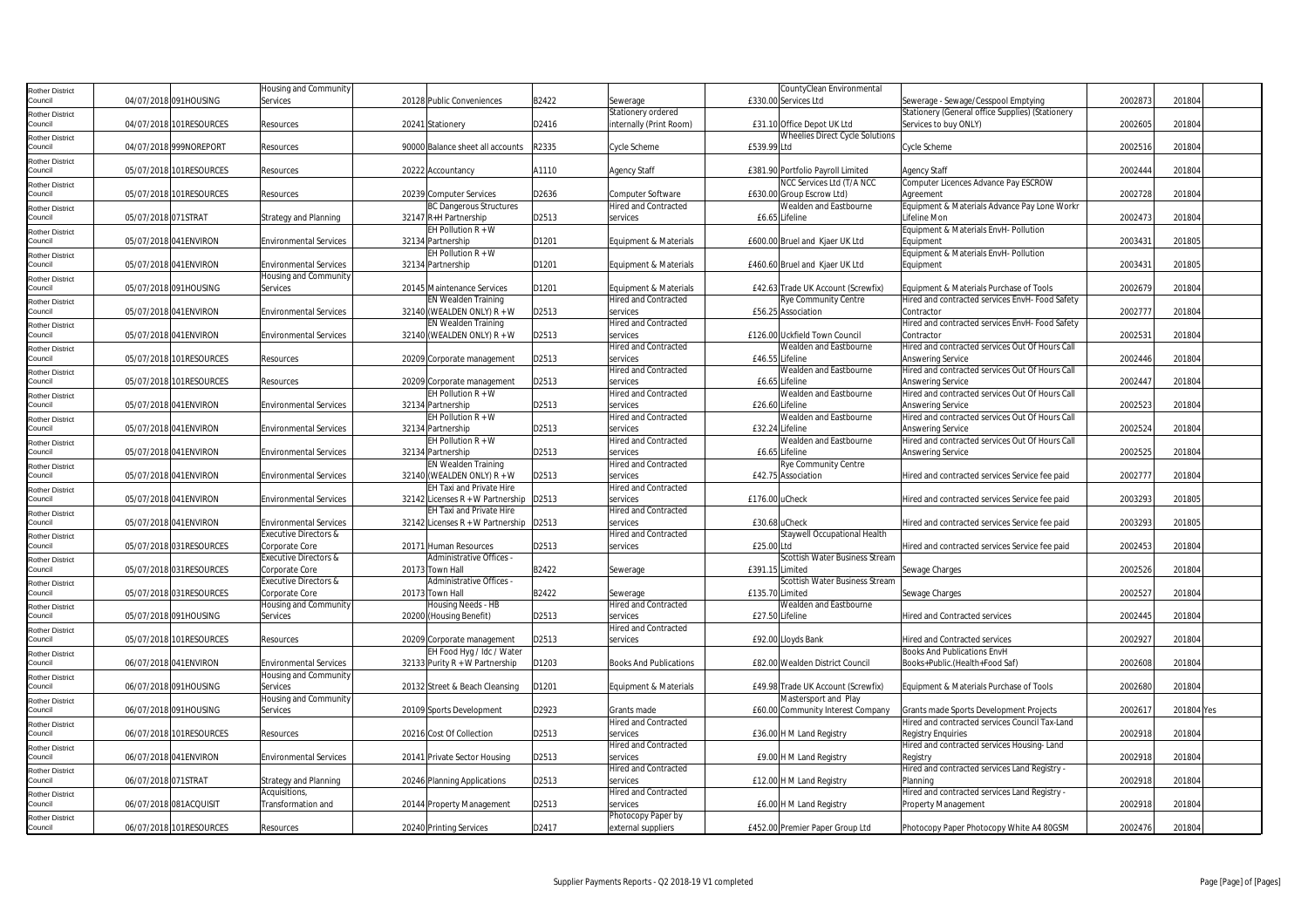| Rother District            |                     |                         | Housing and Community         |                                    |       |                               | CountyClean Environmental          |                                                  |         |            |
|----------------------------|---------------------|-------------------------|-------------------------------|------------------------------------|-------|-------------------------------|------------------------------------|--------------------------------------------------|---------|------------|
| Council                    |                     | 04/07/2018 091HOUSING   | Services                      | 20128 Public Conveniences          | B2422 | Sewerage                      | £330.00 Services Ltd               | Sewerage - Sewage/Cesspool Emptying              | 2002873 | 201804     |
|                            |                     |                         |                               |                                    |       |                               |                                    |                                                  |         |            |
| Rother District            |                     |                         |                               |                                    |       | Stationery ordered            |                                    | Stationery (General office Supplies) (Stationery |         |            |
| Council                    |                     | 04/07/2018 101RESOURCES | Resources                     | 20241 Stationery                   | D2416 | internally (Print Room)       | £31.10 Office Depot UK Ltd         | Services to buy ONLY)                            | 2002605 | 201804     |
| Rother District            |                     |                         |                               |                                    |       |                               | Wheelies Direct Cycle Solutions    |                                                  |         |            |
| Council                    |                     | 04/07/2018 999NOREPORT  | Resources                     | 90000 Balance sheet all accounts   | R2335 | Cycle Scheme                  | £539.99 Ltd                        | Cycle Scheme                                     | 2002516 | 201804     |
|                            |                     |                         |                               |                                    |       |                               |                                    |                                                  |         |            |
| <b>Rother District</b>     |                     |                         |                               |                                    |       |                               |                                    |                                                  |         |            |
| Council                    |                     | 05/07/2018 101RESOURCES | Resources                     | 20222 Accountancy                  | A1110 | <b>Agency Staff</b>           | £381.90 Portfolio Payroll Limited  | <b>Agency Staff</b>                              | 2002444 | 201804     |
| Rother District            |                     |                         |                               |                                    |       |                               | NCC Services Ltd (T/A NCC          | Computer Licences Advance Pay ESCROW             |         |            |
| Council                    |                     | 05/07/2018 101RESOURCES | Resources                     | 20239 Computer Services            | D2636 | Computer Software             | £630.00 Group Escrow Ltd)          | Agreement                                        | 2002728 | 201804     |
| <b>Rother District</b>     |                     |                         |                               | <b>BC Dangerous Structures</b>     |       | <b>Hired and Contracted</b>   | Wealden and Eastbourne             | Equipment & Materials Advance Pay Lone Workr     |         |            |
| Council                    | 05/07/2018 071STRAT |                         | <b>Strategy and Planning</b>  | 32147 R+H Partnership              | D2513 | services                      | £6.65 Lifeline                     | Lifeline Mon                                     | 2002473 | 201804     |
|                            |                     |                         |                               | EH Pollution $R + W$               |       |                               |                                    |                                                  |         |            |
| Rother District            |                     |                         |                               |                                    |       |                               |                                    | Equipment & Materials EnvH- Pollution            |         |            |
| Council                    |                     | 05/07/2018 041ENVIRON   | <b>Environmental Services</b> | 32134 Partnership                  | D1201 | Equipment & Materials         | £600.00 Bruel and Kjaer UK Ltd     | Equipment                                        | 2003431 | 201805     |
| Rother District            |                     |                         |                               | EH Pollution $R + W$               |       |                               |                                    | Equipment & Materials EnvH- Pollution            |         |            |
| Council                    |                     | 05/07/2018 041ENVIRON   | <b>Environmental Services</b> | 32134 Partnership                  | D1201 | Equipment & Materials         | £460.60 Bruel and Kjaer UK Ltd     | Equipment                                        | 2003431 | 201805     |
| Rother District            |                     |                         | Housing and Community         |                                    |       |                               |                                    |                                                  |         |            |
| Council                    |                     |                         |                               | 20145 Maintenance Services         |       |                               | £42.63 Trade UK Account (Screwfix) |                                                  | 2002679 | 201804     |
|                            |                     | 05/07/2018 091HOUSING   | Services                      |                                    | D1201 | Equipment & Materials         |                                    | Equipment & Materials Purchase of Tools          |         |            |
| Rother District            |                     |                         |                               | EN Wealden Training                |       | <b>Hired and Contracted</b>   | Rye Community Centre               | Hired and contracted services EnvH- Food Safety  |         |            |
| Council                    |                     | 05/07/2018 041ENVIRON   | <b>Environmental Services</b> | 32140 (WEALDEN ONLY) R + W         | D2513 | services                      | £56.25 Association                 | Contractor                                       | 2002777 | 201804     |
| Rother District            |                     |                         |                               | EN Wealden Training                |       | Hired and Contracted          |                                    | Hired and contracted services EnvH- Food Safety  |         |            |
| Council                    |                     | 05/07/2018 041ENVIRON   | <b>Environmental Services</b> | 32140 (WEALDEN ONLY) $R + W$       | D2513 | services                      | £126.00 Uckfield Town Council      | Contractor                                       | 200253  | 201804     |
|                            |                     |                         |                               |                                    |       |                               |                                    |                                                  |         |            |
| <b>Rother District</b>     |                     |                         |                               |                                    |       | <b>Hired and Contracted</b>   | Wealden and Eastbourne             | Hired and contracted services Out Of Hours Call  |         |            |
| Council                    |                     | 05/07/2018 101RESOURCES | Resources                     | 20209 Corporate management         | D2513 | services                      | £46.55 Lifeline                    | Answering Service                                | 2002446 | 201804     |
| Rother District            |                     |                         |                               |                                    |       | Hired and Contracted          | Wealden and Eastbourne             | Hired and contracted services Out Of Hours Call  |         |            |
| Council                    |                     | 05/07/2018 101RESOURCES | Resources                     | 20209 Corporate management         | D2513 | services                      | £6.65 Lifeline                     | <b>Answering Service</b>                         | 2002447 | 201804     |
|                            |                     |                         |                               | EH Pollution $R + W$               |       | <b>Hired and Contracted</b>   | Wealden and Eastbourne             | Hired and contracted services Out Of Hours Call  |         |            |
| <b>Rother District</b>     |                     |                         |                               |                                    |       |                               |                                    |                                                  |         |            |
| Council                    |                     | 05/07/2018 041 ENVIRON  | <b>Environmental Services</b> | 32134 Partnership                  | D2513 | services                      | £26.60 Lifeline                    | Answering Service                                | 2002523 | 201804     |
| Rother District            |                     |                         |                               | EH Pollution $R + W$               |       | Hired and Contracted          | Wealden and Eastbourne             | Hired and contracted services Out Of Hours Call  |         |            |
| Council                    |                     | 05/07/2018 041ENVIRON   | <b>Environmental Services</b> | 32134 Partnership                  | D2513 | services                      | £32.24 Lifeline                    | Answering Service                                | 2002524 | 201804     |
|                            |                     |                         |                               | EH Pollution $R + W$               |       | Hired and Contracted          | Wealden and Eastbourne             | Hired and contracted services Out Of Hours Call  |         |            |
| Rother District<br>Council |                     |                         |                               |                                    |       |                               |                                    |                                                  |         |            |
|                            |                     | 05/07/2018 041ENVIRON   | <b>Environmental Services</b> | 32134 Partnership                  | D2513 | services                      | £6.65 Lifeline                     | Answering Service                                | 2002525 | 201804     |
| <b>Rother District</b>     |                     |                         |                               | EN Wealden Training                |       | <b>Hired and Contracted</b>   | Rye Community Centre               |                                                  |         |            |
| Council                    |                     | 05/07/2018 041ENVIRON   | <b>Environmental Services</b> | 32140 (WEALDEN ONLY) $R + W$       | D2513 | services                      | £42.75 Association                 | Hired and contracted services Service fee paid   | 2002777 | 201804     |
| <b>Rother District</b>     |                     |                         |                               | EH Taxi and Private Hire           |       | <b>Hired and Contracted</b>   |                                    |                                                  |         |            |
| Council                    |                     | 05/07/2018 041ENVIRON   | <b>Environmental Services</b> | 32142 Licenses $R + W$ Partnership | D2513 | services                      | £176.00 uCheck                     | Hired and contracted services Service fee paid   | 2003293 | 201805     |
|                            |                     |                         |                               |                                    |       |                               |                                    |                                                  |         |            |
| Rother District            |                     |                         |                               | EH Taxi and Private Hire           |       | <b>Hired and Contracted</b>   |                                    |                                                  |         |            |
| Council                    |                     | 05/07/2018 041ENVIRON   | <b>Environmental Services</b> | 32142 Licenses R + W Partnership   | D2513 | services                      | £30.68 uCheck                      | Hired and contracted services Service fee paid   | 2003293 | 201805     |
| Rother District            |                     |                         | Executive Directors &         |                                    |       | Hired and Contracted          | Staywell Occupational Health       |                                                  |         |            |
| Council                    |                     | 05/07/2018 031RESOURCES | Corporate Core                | 20171 Human Resources              | D2513 | services                      | £25.00 Ltd                         | Hired and contracted services Service fee paid   | 2002453 | 201804     |
|                            |                     |                         |                               |                                    |       |                               |                                    |                                                  |         |            |
| Rother District            |                     |                         | Executive Directors &         | Administrative Offices -           |       |                               | Scottish Water Business Stream     |                                                  |         |            |
| Council                    |                     | 05/07/2018 031RESOURCES | Corporate Core                | 20173 Town Hall                    | B2422 | Sewerage                      | £391.15 Limited                    | Sewage Charges                                   | 2002526 | 201804     |
| Rother District            |                     |                         | Executive Directors &         | Administrative Offices -           |       |                               | Scottish Water Business Stream     |                                                  |         |            |
| Council                    |                     | 05/07/2018 031RESOURCES | Corporate Core                | 20173 Town Hall                    | B2422 | Sewerage                      | £135.70 Limited                    | Sewage Charges                                   | 2002527 | 201804     |
|                            |                     |                         | Housing and Community         | Housing Needs - HB                 |       | lired and Contracted          | Wealden and Eastbourne             |                                                  |         |            |
| Rother District<br>Council |                     | 05/07/2018 091HOUSING   |                               |                                    | D2513 |                               | £27.50 Lifeline                    | <b>Hired and Contracted services</b>             | 2002445 | 201804     |
|                            |                     |                         | Services                      | 20200 (Housing Benefit)            |       | services                      |                                    |                                                  |         |            |
| <b>Rother District</b>     |                     |                         |                               |                                    |       | <b>Hired and Contracted</b>   |                                    |                                                  |         |            |
| Council                    |                     | 05/07/2018 101RESOURCES | Resources                     | 20209 Corporate management         | D2513 | services                      | £92.00 Lloyds Bank                 | <b>Hired and Contracted services</b>             | 2002927 | 201804     |
| Rother District            |                     |                         |                               | EH Food Hyg / Idc / Water          |       |                               |                                    | <b>Books And Publications EnvH</b>               |         |            |
| Council                    |                     | 06/07/2018 041ENVIRON   | <b>Environmental Services</b> | 32133 Purity R + W Partnership     | D1203 | <b>Books And Publications</b> | £82.00 Wealden District Council    | Books+Public.(Health+Food Saf)                   | 2002608 | 201804     |
|                            |                     |                         |                               |                                    |       |                               |                                    |                                                  |         |            |
| <b>Rother District</b>     |                     |                         | Housing and Community         |                                    |       |                               |                                    |                                                  |         |            |
| Council                    |                     | 06/07/2018 091HOUSING   | Services                      | 20132 Street & Beach Cleansing     | D1201 | Equipment & Materials         | £49.98 Trade UK Account (Screwfix) | Equipment & Materials Purchase of Tools          | 2002680 | 201804     |
| Rother District            |                     |                         | Housing and Community         |                                    |       |                               | Mastersport and Play               |                                                  |         |            |
| Council                    |                     | 06/07/2018 091HOUSING   | Services                      | 20109 Sports Development           | D2923 | Grants made                   | £60.00 Community Interest Company  | Grants made Sports Development Projects          | 200261  | 201804 Yes |
|                            |                     |                         |                               |                                    |       |                               |                                    |                                                  |         |            |
| <b>Rother District</b>     |                     |                         |                               |                                    |       | <b>Hired and Contracted</b>   |                                    | Hired and contracted services Council Tax-Land   |         |            |
| Council                    |                     | 06/07/2018 101RESOURCES | Resources                     | 20216 Cost Of Collection           | D2513 | services                      | £36.00 H M Land Registry           | <b>Registry Enquiries</b>                        | 2002918 | 201804     |
| <b>Rother District</b>     |                     |                         |                               |                                    |       | Hired and Contracted          |                                    | Hired and contracted services Housing-Land       |         |            |
| Council                    |                     | 06/07/2018 041ENVIRON   | <b>Environmental Services</b> | 20141 Private Sector Housing       | D2513 | services                      | £9.00 H M Land Registry            | Registry                                         | 2002918 | 201804     |
|                            |                     |                         |                               |                                    |       | <b>Hired and Contracted</b>   |                                    | Hired and contracted services Land Registry -    |         |            |
| <b>Rother District</b>     |                     |                         |                               |                                    |       |                               |                                    |                                                  |         |            |
| Council                    | 06/07/2018 071STRAT |                         | <b>Strategy and Planning</b>  | 20246 Planning Applications        | D2513 | services                      | £12.00 H M Land Registry           | Planning                                         | 2002918 | 201804     |
| Rother District            |                     |                         | Acquisitions,                 |                                    |       | <b>Hired and Contracted</b>   |                                    | Hired and contracted services Land Registry -    |         |            |
| Council                    |                     | 06/07/2018 081ACQUISIT  | Transformation and            | 20144 Property Management          | D2513 | services                      | £6.00 H M Land Registry            | <b>Property Management</b>                       | 2002918 | 201804     |
| Rother District            |                     |                         |                               |                                    |       | Photocopy Paper by            |                                    |                                                  |         |            |
| Council                    |                     | 06/07/2018 101RESOURCES |                               |                                    | D2417 |                               |                                    |                                                  | 2002476 | 201804     |
|                            |                     |                         | Resources                     | 20240 Printing Services            |       | external suppliers            | £452.00 Premier Paper Group Ltd    | Photocopy Paper Photocopy White A4 80GSM         |         |            |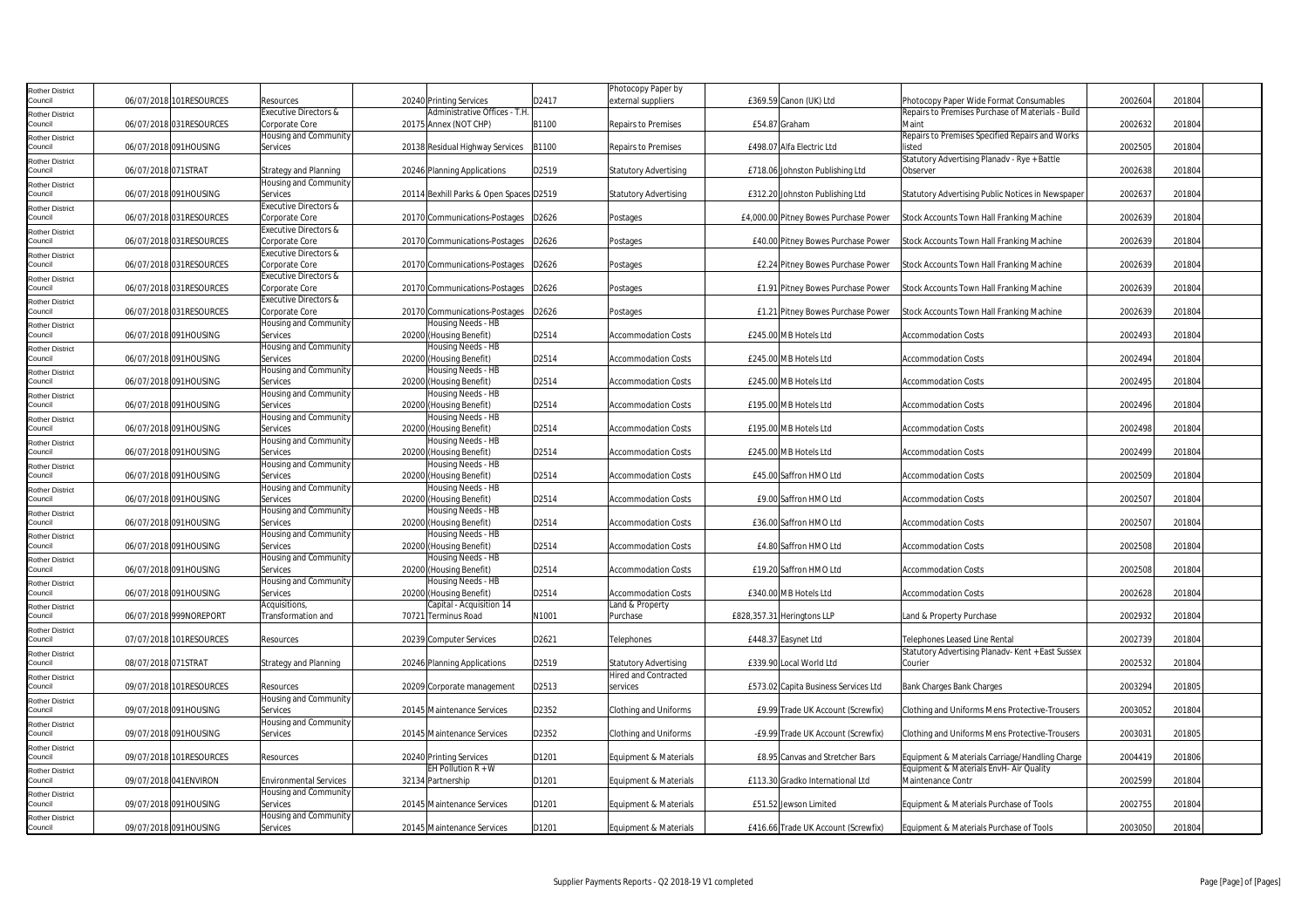| Rother District                   |                         |                                         |                                               |       | Photocopy Paper by               |                                       |                                                           |         |        |
|-----------------------------------|-------------------------|-----------------------------------------|-----------------------------------------------|-------|----------------------------------|---------------------------------------|-----------------------------------------------------------|---------|--------|
| Council                           | 06/07/2018 101RESOURCES | <b>Resources</b>                        | 20240 Printing Services                       | D2417 | external suppliers               | £369.59 Canon (UK) Ltd                | Photocopy Paper Wide Format Consumables                   | 2002604 | 201804 |
| Rother District                   |                         | Executive Directors &                   | Administrative Offices - T.H                  |       |                                  |                                       | Repairs to Premises Purchase of Materials - Build         |         |        |
| Council                           | 06/07/2018 031RESOURCES | Corporate Core                          | 20175 Annex (NOT CHP)                         | B1100 | Repairs to Premises              | £54.87 Graham                         | Maint                                                     | 2002632 | 201804 |
| Rother District<br>Council        | 06/07/2018 091HOUSING   | Housing and Community<br>Services       | 20138 Residual Highway Services               | B1100 | Repairs to Premises              | £498.07 Alfa Electric Ltd             | Repairs to Premises Specified Repairs and Works<br>listed | 2002505 | 201804 |
|                                   |                         |                                         |                                               |       |                                  |                                       | Statutory Advertising Planady - Rye + Battle              |         |        |
| Rother District<br>Council        | 06/07/2018 071STRAT     | Strategy and Planning                   | 20246 Planning Applications                   | D2519 | <b>Statutory Advertising</b>     | £718.06 Johnston Publishing Ltd       | Observer                                                  | 2002638 | 201804 |
| Rother District                   |                         | lousing and Community                   |                                               |       |                                  |                                       |                                                           |         |        |
| Council                           | 06/07/2018 091HOUSING   | Services                                | 20114 Bexhill Parks & Open Spaces D2519       |       | <b>Statutory Advertising</b>     | £312.20 Johnston Publishing Ltd       | Statutory Advertising Public Notices in Newspaper         | 2002637 | 201804 |
| Rother District                   |                         | Executive Directors &                   |                                               |       |                                  |                                       |                                                           |         |        |
| Council                           | 06/07/2018 031RESOURCES | Corporate Core                          | 20170 Communications-Postages                 | D2626 | Postages                         | £4,000.00 Pitney Bowes Purchase Power | Stock Accounts Town Hall Franking Machine                 | 2002639 | 201804 |
| Rother District                   |                         | <b>Executive Directors &amp;</b>        |                                               |       |                                  |                                       |                                                           |         |        |
| Council                           | 06/07/2018 031RESOURCES | Corporate Core                          | 20170 Communications-Postages                 | D2626 | Postages                         | £40.00 Pitney Bowes Purchase Power    | Stock Accounts Town Hall Franking Machine                 | 2002639 | 201804 |
| <b>Rother District</b>            |                         | Executive Directors &                   |                                               |       |                                  |                                       |                                                           |         |        |
| Council                           | 06/07/2018 031RESOURCES | Corporate Core                          | 20170 Communications-Postages                 | D2626 | Postages                         | £2.24 Pitney Bowes Purchase Power     | Stock Accounts Town Hall Franking Machine                 | 2002639 | 201804 |
| Rother District<br>Council        |                         | Executive Directors &                   |                                               |       |                                  |                                       |                                                           |         |        |
|                                   | 06/07/2018 031RESOURCES | Corporate Core<br>Executive Directors & | 20170 Communications-Postages                 | D2626 | Postages                         | £1.91 Pitney Bowes Purchase Power     | Stock Accounts Town Hall Franking Machine                 | 2002639 | 201804 |
| tother District<br>Council        | 06/07/2018 031RESOURCES | Corporate Core                          | 20170 Communications-Postages                 | D2626 | Postages                         | £1.21 Pitney Bowes Purchase Power     | Stock Accounts Town Hall Franking Machine                 | 2002639 | 201804 |
| Rother District                   |                         | Housing and Community                   | Housing Needs - HB                            |       |                                  |                                       |                                                           |         |        |
| Council                           | 06/07/2018 091HOUSING   | Services                                | 20200 (Housing Benefit)                       | D2514 | <b>Accommodation Costs</b>       | £245.00 MB Hotels Ltd                 | <b>Accommodation Costs</b>                                | 2002493 | 201804 |
| <b>Rother District</b>            |                         | Housing and Community                   | Housing Needs - HB                            |       |                                  |                                       |                                                           |         |        |
| Council                           | 06/07/2018 091HOUSING   | Services                                | 20200 (Housing Benefit)                       | D2514 | <b>Accommodation Costs</b>       | £245.00 MB Hotels Ltd                 | <b>Accommodation Costs</b>                                | 2002494 | 201804 |
| Rother District                   |                         | Housing and Community                   | Housing Needs - HB                            |       |                                  |                                       |                                                           |         |        |
| Council                           | 06/07/2018 091HOUSING   | Services                                | 20200 (Housing Benefit)                       | D2514 | <b>Accommodation Costs</b>       | £245.00 MB Hotels Ltd                 | Accommodation Costs                                       | 2002495 | 201804 |
| Rother District                   |                         | Housing and Community                   | Housing Needs - HB                            |       |                                  |                                       |                                                           |         |        |
| Council                           | 06/07/2018 091HOUSING   | Services                                | 20200 (Housing Benefit)                       | D2514 | <b>Accommodation Costs</b>       | £195.00 MB Hotels Ltd                 | <b>Accommodation Costs</b>                                | 2002496 | 201804 |
| Rother District                   |                         | Housing and Community                   | Housing Needs - HB                            |       |                                  |                                       |                                                           |         |        |
| Council                           | 06/07/2018 091HOUSING   | Services                                | 20200 (Housing Benefit)                       | D2514 | <b>Accommodation Costs</b>       | £195.00 MB Hotels Ltd                 | <b>Accommodation Costs</b>                                | 2002498 | 201804 |
| Rother District                   |                         | Housing and Community                   | Housing Needs - HB                            |       |                                  |                                       |                                                           |         |        |
| Council                           | 06/07/2018 091HOUSING   | Services                                | 20200 (Housing Benefit)                       | D2514 | <b>Accommodation Costs</b>       | £245.00 MB Hotels Ltd                 | Accommodation Costs                                       | 2002499 | 201804 |
| Rother District<br>Council        | 06/07/2018 091HOUSING   | Housing and Community<br>Services       | Housing Needs - HB<br>20200 (Housing Benefit) | D2514 | <b>Accommodation Costs</b>       | £45.00 Saffron HMO Ltd                | <b>Accommodation Costs</b>                                | 2002509 | 201804 |
|                                   |                         | Housing and Community                   | Housing Needs - HB                            |       |                                  |                                       |                                                           |         |        |
| <b>Rother District</b><br>Council | 06/07/2018 091HOUSING   | Services                                | 20200 (Housing Benefit)                       | D2514 | <b>Accommodation Costs</b>       | £9.00 Saffron HMO Ltd                 | <b>Accommodation Costs</b>                                | 2002507 | 201804 |
| Rother District                   |                         | Housing and Community                   | Housing Needs - HB                            |       |                                  |                                       |                                                           |         |        |
| Council                           | 06/07/2018 091HOUSING   | Services                                | 20200 (Housing Benefit)                       | D2514 | <b>Accommodation Costs</b>       | £36.00 Saffron HMO Ltd                | <b>Accommodation Costs</b>                                | 2002507 | 201804 |
| Rother District                   |                         | Housing and Community                   | Housing Needs - HB                            |       |                                  |                                       |                                                           |         |        |
| Council                           | 06/07/2018 091HOUSING   | Services                                | 20200 (Housing Benefit)                       | D2514 | <b>Accommodation Costs</b>       | £4.80 Saffron HMO Ltd                 | <b>Accommodation Costs</b>                                | 2002508 | 201804 |
| Rother District                   |                         | Housing and Community                   | Housing Needs - HB                            |       |                                  |                                       |                                                           |         |        |
| Council                           | 06/07/2018 091HOUSING   | Services                                | 20200 (Housing Benefit)                       | D2514 | <b>Accommodation Costs</b>       | £19.20 Saffron HMO Ltd                | <b>Accommodation Costs</b>                                | 2002508 | 201804 |
| <b>Rother District</b>            |                         | Housing and Community                   | Housing Needs - HB                            |       |                                  |                                       |                                                           |         |        |
| Council                           | 06/07/2018 091HOUSING   | Services                                | 20200 (Housing Benefit)                       | D2514 | <b>Accommodation Costs</b>       | £340.00 MB Hotels Ltd                 | <b>Accommodation Costs</b>                                | 2002628 | 201804 |
| Rother District                   |                         | Acquisitions,                           | Capital - Acquisition 14                      |       | and & Property.                  |                                       |                                                           |         |        |
| Council                           | 06/07/2018 999NOREPORT  | Transformation and                      | 70721 Terminus Road                           | N1001 | Purchase                         | £828,357.31 Heringtons LLP            | Land & Property Purchase                                  | 2002932 | 201804 |
| <b>Rother District</b><br>Council | 07/07/2018 101RESOURCES | Resources                               | 20239 Computer Services                       | D2621 | Telephones                       | £448.37 Easynet Ltd                   | Telephones Leased Line Rental                             | 2002739 | 201804 |
|                                   |                         |                                         |                                               |       |                                  |                                       | Statutory Advertising Planadv- Kent + East Sussex         |         |        |
| Rother District<br>Council        | 08/07/2018 071STRAT     | <b>Strategy and Planning</b>            | 20246 Planning Applications                   | D2519 | <b>Statutory Advertising</b>     | £339.90 Local World Ltd               | Courier                                                   | 2002532 | 201804 |
| Rother District                   |                         |                                         |                                               |       | Hired and Contracted             |                                       |                                                           |         |        |
| Council                           | 09/07/2018 101RESOURCES | Resources                               | 20209 Corporate management                    | D2513 | services                         | £573.02 Capita Business Services Ltd  | Bank Charges Bank Charges                                 | 2003294 | 201805 |
| Rother District                   |                         | Housing and Community                   |                                               |       |                                  |                                       |                                                           |         |        |
| Council                           | 09/07/2018 091HOUSING   | Services                                | 20145 Maintenance Services                    | D2352 | Clothing and Uniforms            | £9.99 Trade UK Account (Screwfix)     | Clothing and Uniforms Mens Protective-Trousers            | 2003052 | 201804 |
| <b>Rother District</b>            |                         | Housing and Community                   |                                               |       |                                  |                                       |                                                           |         |        |
| Council                           | 09/07/2018 091HOUSING   | Services                                | 20145 Maintenance Services                    | D2352 | Clothing and Uniforms            | -£9.99 Trade UK Account (Screwfix)    | Clothing and Uniforms Mens Protective-Trousers            | 2003031 | 201805 |
| <b>Rother District</b>            |                         |                                         |                                               |       |                                  |                                       |                                                           |         |        |
| Council                           | 09/07/2018 101RESOURCES | Resources                               | 20240 Printing Services                       | D1201 | Equipment & Materials            | £8.95 Canvas and Stretcher Bars       | Equipment & Materials Carriage/Handling Charge            | 2004419 | 201806 |
| <b>Rother District</b>            |                         |                                         | EH Pollution R + W                            |       |                                  |                                       | Equipment & Materials EnvH- Air Quality                   |         |        |
| Council                           | 09/07/2018 041ENVIRON   | <b>Environmental Services</b>           | 32134 Partnership                             | D1201 | Equipment & Materials            | £113.30 Gradko International Ltd      | Maintenance Contr                                         | 2002599 | 201804 |
| Rother District<br>Council        |                         | Housing and Community                   |                                               |       |                                  |                                       |                                                           |         |        |
|                                   | 09/07/2018 091HOUSING   | Services<br>Housing and Community       | 20145 Maintenance Services                    | D1201 | Equipment & Materials            | £51.52 Jewson Limited                 | Equipment & Materials Purchase of Tools                   | 2002755 | 201804 |
| <b>Rother District</b><br>Council | 09/07/2018 091HOUSING   | Services                                | 20145 Maintenance Services                    | D1201 | <b>Equipment &amp; Materials</b> | £416.66 Trade UK Account (Screwfix)   | Equipment & Materials Purchase of Tools                   | 2003050 | 201804 |
|                                   |                         |                                         |                                               |       |                                  |                                       |                                                           |         |        |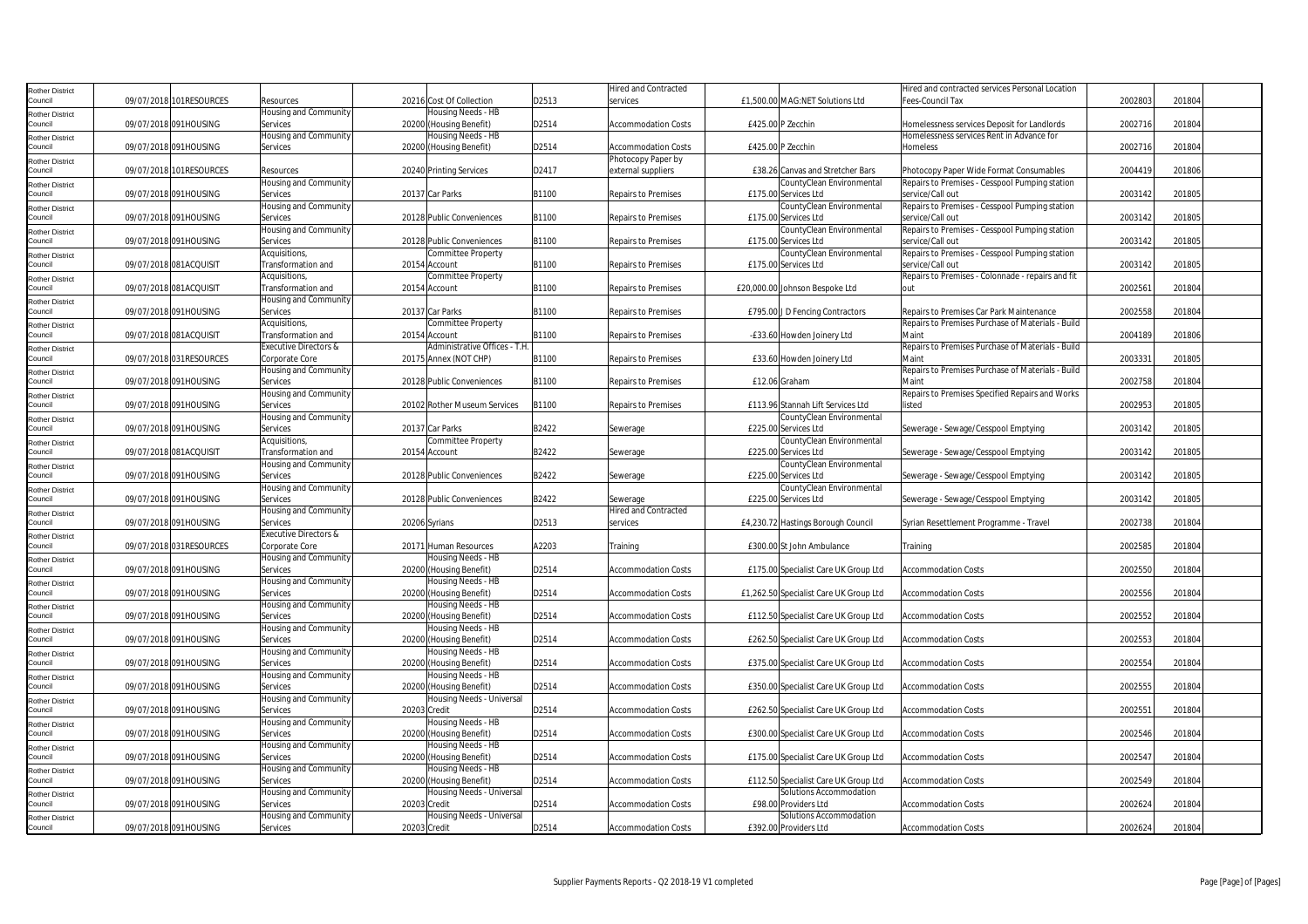| Rother District                   |                         |                                   |                                           |       | <b>Hired and Contracted</b> |                                                  | Hired and contracted services Personal Location   |         |        |
|-----------------------------------|-------------------------|-----------------------------------|-------------------------------------------|-------|-----------------------------|--------------------------------------------------|---------------------------------------------------|---------|--------|
| Council                           | 09/07/2018 101RESOURCES | Resources                         | 20216 Cost Of Collection                  | D2513 | services                    | £1,500.00 MAG:NET Solutions Ltd                  | Fees-Council Tax                                  | 2002803 | 201804 |
| Rother District                   |                         | Housing and Community             | lousing Needs - HB                        |       |                             |                                                  |                                                   |         |        |
| Council                           | 09/07/2018 091HOUSING   | Services                          | 20200 (Housing Benefit)                   | D2514 | <b>Accommodation Costs</b>  | £425.00 P Zecchin                                | Homelessness services Deposit for Landlords       | 2002716 | 201804 |
|                                   |                         | Housing and Community             | Housing Needs - HB                        |       |                             |                                                  | Homelessness services Rent in Advance for         |         |        |
| Rother District<br>Council        | 09/07/2018 091HOUSING   | Services                          | 20200 (Housing Benefit)                   | D2514 | <b>Accommodation Costs</b>  | £425.00 P Zecchin                                | Homeless                                          | 2002716 | 201804 |
|                                   |                         |                                   |                                           |       | Photocopy Paper by          |                                                  |                                                   |         |        |
| Rother District<br>Council        | 09/07/2018 101RESOURCES | Resources                         | 20240 Printing Services                   | D2417 | external suppliers          | £38.26 Canvas and Stretcher Bars                 | Photocopy Paper Wide Format Consumables           | 2004419 | 201806 |
|                                   |                         | Housing and Community             |                                           |       |                             | CountyClean Environmental                        | Repairs to Premises - Cesspool Pumping station    |         |        |
| Rother District<br>Council        | 09/07/2018 091HOUSING   |                                   | 20137 Car Parks                           | B1100 |                             | £175.00 Services Ltd                             |                                                   | 2003142 | 201805 |
|                                   |                         | Services                          |                                           |       | Repairs to Premises         |                                                  | service/Call out                                  |         |        |
| <b>Rother District</b>            |                         | Housing and Community             |                                           |       |                             | CountyClean Environmental                        | Repairs to Premises - Cesspool Pumping station    |         |        |
| Council                           | 09/07/2018 091HOUSING   | Services                          | 20128 Public Conveniences                 | B1100 | <b>Repairs to Premises</b>  | £175.00 Services Ltd                             | service/Call out                                  | 2003142 | 201805 |
| Rother District                   |                         | Housing and Community             |                                           |       |                             | CountyClean Environmental                        | Repairs to Premises - Cesspool Pumping station    |         |        |
| Council                           | 09/07/2018 091HOUSING   | Services                          | 20128 Public Conveniences                 | B1100 | Repairs to Premises         | £175.00 Services Ltd                             | service/Call out                                  | 2003142 | 201805 |
| Rother District                   |                         | Acquisitions,                     | Committee Property                        |       |                             | CountyClean Environmental                        | Repairs to Premises - Cesspool Pumping station    |         |        |
| Council                           | 09/07/2018 081ACQUISIT  | Transformation and                | 20154 Account                             | B1100 | Repairs to Premises         | £175.00 Services Ltd                             | service/Call out                                  | 2003142 | 201805 |
| Rother District                   |                         | Acquisitions,                     | Committee Property                        |       |                             |                                                  | Repairs to Premises - Colonnade - repairs and fit |         |        |
| Council                           | 09/07/2018 081ACQUISIT  | Transformation and                | 20154 Account                             | B1100 | <b>Repairs to Premises</b>  | £20,000.00 Johnson Bespoke Ltd                   | nut                                               | 2002561 | 201804 |
| Rother District                   |                         | Housing and Community             |                                           |       |                             |                                                  |                                                   |         |        |
| Council                           | 09/07/2018 091HOUSING   | Services                          | 20137 Car Parks                           | B1100 | <b>Repairs to Premises</b>  | £795.00 J D Fencing Contractors                  | Repairs to Premises Car Park Maintenance          | 2002558 | 201804 |
| Rother District                   |                         | Acquisitions,                     | Committee Property                        |       |                             |                                                  | Repairs to Premises Purchase of Materials - Build |         |        |
| Council                           | 09/07/2018 081ACQUISIT  | Transformation and                | 20154 Account                             | B1100 | Repairs to Premises         | -£33.60 Howden Joinery Ltd                       | Maint                                             | 2004189 | 201806 |
|                                   |                         | Executive Directors &             | Administrative Offices - T.H              |       |                             |                                                  | Repairs to Premises Purchase of Materials - Build |         |        |
| <b>Rother District</b><br>Council | 09/07/2018 031RESOURCES | Corporate Core                    | 20175 Annex (NOT CHP)                     | B1100 | Repairs to Premises         |                                                  | Maint                                             | 2003331 | 201805 |
|                                   |                         |                                   |                                           |       |                             | £33.60 Howden Joinery Ltd                        |                                                   |         |        |
| Rother District                   |                         | <b>Housing and Community</b>      |                                           |       |                             |                                                  | Repairs to Premises Purchase of Materials - Build |         |        |
| Council                           | 09/07/2018 091HOUSING   | Services                          | 20128 Public Conveniences                 | B1100 | <b>Repairs to Premises</b>  | £12.06 Graham                                    | Maint                                             | 2002758 | 201804 |
| <b>Rother District</b>            |                         | Housing and Community             |                                           |       |                             |                                                  | Repairs to Premises Specified Repairs and Works   |         |        |
| Council                           | 09/07/2018 091HOUSING   | Services                          | 20102 Rother Museum Services              | B1100 | Repairs to Premises         | £113.96 Stannah Lift Services Ltd                | listed                                            | 2002953 | 201805 |
| Rother District                   |                         | Housing and Community             |                                           |       |                             | CountyClean Environmental                        |                                                   |         |        |
| Council                           | 09/07/2018 091HOUSING   | Services                          | 20137 Car Parks                           | B2422 | Sewerage                    | £225.00 Services Ltd                             | Sewerage - Sewage/Cesspool Emptying               | 2003142 | 201805 |
| Rother District                   |                         | Acquisitions,                     | Committee Property                        |       |                             | CountyClean Environmental                        |                                                   |         |        |
| Council                           | 09/07/2018 081ACQUISIT  | Transformation and                | 20154 Account                             | B2422 | Sewerage                    | £225.00 Services Ltd                             | Sewerage - Sewage/Cesspool Emptying               | 2003142 | 201805 |
|                                   |                         | Housing and Community             |                                           |       |                             | CountyClean Environmental                        |                                                   |         |        |
| Rother District<br>Council        | 09/07/2018 091HOUSING   | Services                          | 20128 Public Conveniences                 | B2422 | Sewerage                    | £225.00 Services Ltd                             | Sewerage - Sewage/Cesspool Emptying               | 2003142 | 201805 |
|                                   |                         |                                   |                                           |       |                             |                                                  |                                                   |         |        |
| <b>Rother District</b>            |                         | Housing and Community             |                                           |       |                             | CountyClean Environmental                        |                                                   |         |        |
| Council                           | 09/07/2018 091HOUSING   | Services                          | 20128 Public Conveniences                 | B2422 | Sewerage                    | £225.00 Services Ltd                             | Sewerage - Sewage/Cesspool Emptying               | 2003142 | 201805 |
| Rother District                   |                         | Housing and Community             |                                           |       | <b>Hired and Contracted</b> |                                                  |                                                   |         |        |
| Council                           | 09/07/2018 091HOUSING   | Services                          | 20206 Syrians                             | D2513 | services                    | £4,230.72 Hastings Borough Council               | Syrian Resettlement Programme - Travel            | 2002738 | 201804 |
| Rother District                   |                         | Executive Directors &             |                                           |       |                             |                                                  |                                                   |         |        |
| Council                           | 09/07/2018 031RESOURCES | Corporate Core                    | 20171 Human Resources                     | A2203 | Training                    | £300.00 St John Ambulance                        | Training                                          | 2002585 | 201804 |
| <b>Rother District</b>            |                         | Housing and Community             | Housing Needs - HB                        |       |                             |                                                  |                                                   |         |        |
| Council                           | 09/07/2018 091HOUSING   | Services                          | 20200 (Housing Benefit)                   | D2514 | <b>Accommodation Costs</b>  | £175.00 Specialist Care UK Group Ltd             | <b>Accommodation Costs</b>                        | 2002550 | 201804 |
| Rother District                   |                         | Housing and Community             | Housing Needs - HB                        |       |                             |                                                  |                                                   |         |        |
| Council                           | 09/07/2018 091HOUSING   | Services                          | 20200 (Housing Benefit)                   | D2514 | <b>Accommodation Costs</b>  | £1,262.50 Specialist Care UK Group Ltd           | <b>Accommodation Costs</b>                        | 2002556 | 201804 |
|                                   |                         | lousing and Community             | Housing Needs - HB                        |       |                             |                                                  |                                                   |         |        |
| Rother District<br>Council        | 09/07/2018 091HOUSING   | Services                          | 20200 (Housing Benefit)                   | D2514 | <b>Accommodation Costs</b>  | £112.50 Specialist Care UK Group Ltd             | <b>Accommodation Costs</b>                        | 2002552 | 201804 |
|                                   |                         | <b>Housing and Community</b>      | Housing Needs - HB                        |       |                             |                                                  |                                                   |         |        |
| <b>Rother District</b><br>Council | 09/07/2018 091HOUSING   | Services                          | 20200 (Housing Benefit)                   | D2514 | <b>Accommodation Costs</b>  | £262.50 Specialist Care UK Group Ltd             | <b>Accommodation Costs</b>                        | 2002553 | 201804 |
|                                   |                         |                                   |                                           |       |                             |                                                  |                                                   |         |        |
| Rother District                   |                         | Housing and Community             | Housing Needs - HB                        |       |                             |                                                  |                                                   |         |        |
| Council                           | 09/07/2018 091HOUSING   | Services                          | 20200 (Housing Benefit)                   | D2514 | <b>Accommodation Costs</b>  | £375.00 Specialist Care UK Group Ltd             | <b>Accommodation Costs</b>                        | 2002554 | 201804 |
| Rother District                   |                         | Housing and Community             | Housing Needs - HB                        |       |                             |                                                  |                                                   |         |        |
| Council                           | 09/07/2018 091HOUSING   | Services                          | 20200 (Housing Benefit)                   | D2514 | <b>Accommodation Costs</b>  | £350.00 Specialist Care UK Group Ltd             | <b>Accommodation Costs</b>                        | 2002555 | 201804 |
| Rother District                   |                         | Housing and Community             | Housing Needs - Universal                 |       |                             |                                                  |                                                   |         |        |
| Council                           | 09/07/2018 091HOUSING   | Services                          | 20203 Credit                              | D2514 | <b>Accommodation Costs</b>  | £262.50 Specialist Care UK Group Ltd             | <b>Accommodation Costs</b>                        | 2002551 | 201804 |
| <b>Rother District</b>            |                         |                                   | Housing Needs - HB                        |       |                             |                                                  |                                                   |         |        |
|                                   |                         | Housing and Community             |                                           |       |                             |                                                  |                                                   |         |        |
| Council                           | 09/07/2018 091HOUSING   | Services                          | 20200 (Housing Benefit)                   | D2514 | <b>Accommodation Costs</b>  | £300.00 Specialist Care UK Group Ltd             | <b>Accommodation Costs</b>                        | 2002546 | 201804 |
|                                   |                         |                                   |                                           |       |                             |                                                  |                                                   |         |        |
| <b>Rother District</b><br>Council |                         | Housing and Community             | Housing Needs - HB                        |       |                             |                                                  |                                                   |         |        |
|                                   | 09/07/2018 091HOUSING   | Services                          | 20200 (Housing Benefit)                   | D2514 | Accommodation Costs         | £175.00 Specialist Care UK Group Ltd             | <b>Accommodation Costs</b>                        | 2002547 | 201804 |
| <b>Rother District</b>            |                         | Housing and Community             | Housing Needs - HB                        |       |                             |                                                  |                                                   |         |        |
| Council                           | 09/07/2018 091HOUSING   | Services                          | 20200 (Housing Benefit)                   | D2514 | <b>Accommodation Costs</b>  | £112.50 Specialist Care UK Group Ltd             | <b>Accommodation Costs</b>                        | 2002549 | 201804 |
| Rother District                   |                         | Housing and Community             | Housing Needs - Universal                 |       |                             | Solutions Accommodation                          |                                                   |         |        |
| Council                           | 09/07/2018 091HOUSING   | Services                          | 20203 Credit                              | D2514 | <b>Accommodation Costs</b>  | £98.00 Providers Ltd                             | <b>Accommodation Costs</b>                        | 2002624 | 201804 |
| <b>Rother District</b><br>Council | 09/07/2018 091HOUSING   | Housing and Community<br>Services | Housing Needs - Universal<br>20203 Credit | D2514 | <b>Accommodation Costs</b>  | Solutions Accommodation<br>£392.00 Providers Ltd | <b>Accommodation Costs</b>                        | 2002624 | 201804 |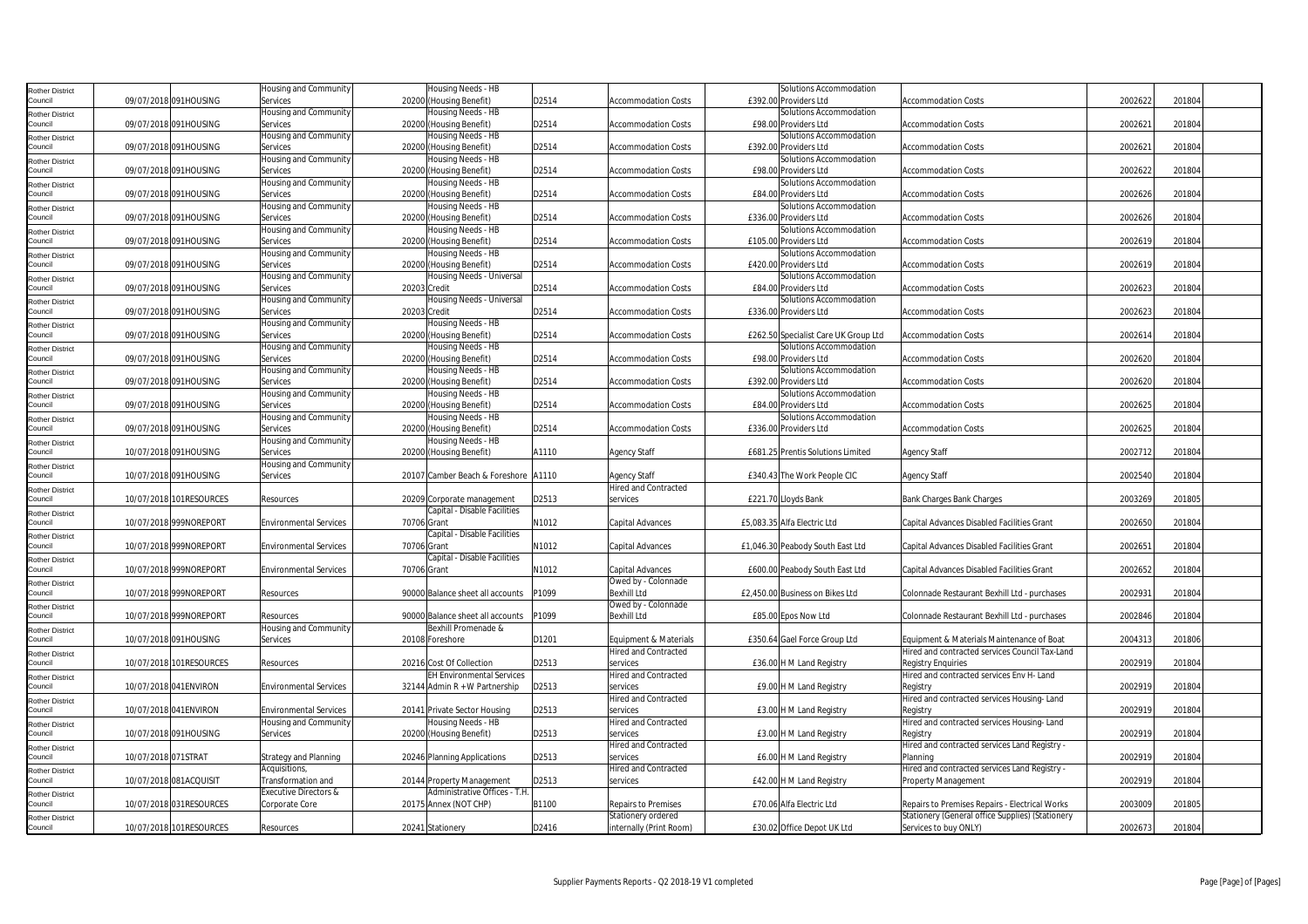| <b>Rother District</b>            |                     |                         | Housing and Community         | Housing Needs - HB                   |       |                             | Solutions Accommodation              |                                                   |         |        |
|-----------------------------------|---------------------|-------------------------|-------------------------------|--------------------------------------|-------|-----------------------------|--------------------------------------|---------------------------------------------------|---------|--------|
| Council                           |                     | 09/07/2018 091HOUSING   | Services                      | 20200 (Housing Benefit)              | D2514 | <b>Accommodation Costs</b>  | £392.00 Providers Ltd                | <b>Accommodation Costs</b>                        | 2002622 | 201804 |
|                                   |                     |                         | Housing and Community         | Housing Needs - HB                   |       |                             | Solutions Accommodation              |                                                   |         |        |
| <b>Rother District</b><br>Council |                     | 09/07/2018 091HOUSING   | Services                      | 20200 (Housing Benefit)              | D2514 | <b>Accommodation Costs</b>  | £98.00 Providers Ltd                 | <b>Accommodation Costs</b>                        | 2002621 | 201804 |
|                                   |                     |                         | Housing and Community         | Housing Needs - HB                   |       |                             | Solutions Accommodation              |                                                   |         |        |
| <b>Rother District</b>            |                     |                         |                               |                                      |       |                             |                                      |                                                   |         |        |
| Council                           |                     | 09/07/2018 091HOUSING   | Services                      | 20200 (Housing Benefit)              | D2514 | <b>Accommodation Costs</b>  | £392.00 Providers Ltd                | <b>Accommodation Costs</b>                        | 2002621 | 201804 |
| <b>Rother District</b>            |                     |                         | Housing and Community         | Housing Needs - HB                   |       |                             | Solutions Accommodation              |                                                   |         |        |
| Council                           |                     | 09/07/2018 091HOUSING   | Services                      | 20200 (Housing Benefit)              | D2514 | <b>Accommodation Costs</b>  | £98.00 Providers Ltd                 | <b>Accommodation Costs</b>                        | 2002622 | 201804 |
| <b>Rother District</b>            |                     |                         | Housing and Community         | Housing Needs - HB                   |       |                             | Solutions Accommodation              |                                                   |         |        |
| Council                           |                     | 09/07/2018 091HOUSING   | Services                      | 20200 (Housing Benefit)              | D2514 | <b>Accommodation Costs</b>  | £84.00 Providers Ltd                 | <b>Accommodation Costs</b>                        | 2002626 | 201804 |
| <b>Rother District</b>            |                     |                         | Housing and Community         | Housing Needs - HB                   |       |                             | Solutions Accommodation              |                                                   |         |        |
| Council                           |                     | 09/07/2018 091HOUSING   | Services                      | 20200 (Housing Benefit)              | D2514 | <b>Accommodation Costs</b>  | £336.00 Providers Ltd                | <b>Accommodation Costs</b>                        | 2002626 | 201804 |
| <b>Rother District</b>            |                     |                         | Housing and Community         | Housing Needs - HB                   |       |                             | Solutions Accommodation              |                                                   |         |        |
| Council                           |                     | 09/07/2018 091HOUSING   | Services                      | 20200 (Housing Benefit)              | D2514 | <b>Accommodation Costs</b>  | £105.00 Providers Ltd                | <b>Accommodation Costs</b>                        | 2002619 | 201804 |
| <b>Rother District</b>            |                     |                         | Housing and Community         | Housing Needs - HB                   |       |                             | Solutions Accommodation              |                                                   |         |        |
| Council                           |                     | 09/07/2018 091HOUSING   | Services                      | 20200 (Housing Benefit)              | D2514 | <b>Accommodation Costs</b>  | £420.00 Providers Ltd                | <b>Accommodation Costs</b>                        | 2002619 | 201804 |
| <b>Rother District</b>            |                     |                         | Housing and Community         | Housing Needs - Universal            |       |                             | Solutions Accommodation              |                                                   |         |        |
| Council                           |                     | 09/07/2018 091HOUSING   | Services                      | 20203 Credit                         | D2514 | <b>Accommodation Costs</b>  | £84.00 Providers Ltd                 | <b>Accommodation Costs</b>                        | 2002623 | 201804 |
|                                   |                     |                         | Housing and Community         | Housing Needs - Universal            |       |                             | Solutions Accommodation              |                                                   |         |        |
| <b>Rother District</b><br>Council |                     | 09/07/2018 091HOUSING   | Services                      | 20203 Credit                         | D2514 | Accommodation Costs         | £336.00 Providers Ltd                | Accommodation Costs                               | 2002623 | 201804 |
|                                   |                     |                         | Housing and Community         | Housing Needs - HB                   |       |                             |                                      |                                                   |         |        |
| <b>Rother District</b><br>Council |                     | 09/07/2018 091HOUSING   | Services                      | 20200 (Housing Benefit)              | D2514 | Accommodation Costs         | £262.50 Specialist Care UK Group Ltd | <b>Accommodation Costs</b>                        | 2002614 | 201804 |
|                                   |                     |                         | Housing and Community         | Housing Needs - HB                   |       |                             | Solutions Accommodation              |                                                   |         |        |
| <b>Rother District</b><br>Council |                     | 09/07/2018 091HOUSING   | Services                      | 20200 (Housing Benefit)              | D2514 | <b>Accommodation Costs</b>  | £98.00 Providers Ltd                 | <b>Accommodation Costs</b>                        | 2002620 | 201804 |
|                                   |                     |                         | Housing and Community         | Housing Needs - HB                   |       |                             | Solutions Accommodation              |                                                   |         |        |
| <b>Rother District</b><br>Council |                     | 09/07/2018 091HOUSING   |                               |                                      | D2514 |                             | £392.00 Providers Ltd                |                                                   | 2002620 | 201804 |
|                                   |                     |                         | Services                      | 20200 (Housing Benefit)              |       | Accommodation Costs         |                                      | Accommodation Costs                               |         |        |
| <b>Rother District</b>            |                     |                         | Housing and Community         | Housing Needs - HB                   |       |                             | Solutions Accommodation              |                                                   |         |        |
| Council                           |                     | 09/07/2018 091HOUSING   | Services                      | 20200 (Housing Benefit)              | D2514 | <b>Accommodation Costs</b>  | £84.00 Providers Ltd                 | <b>Accommodation Costs</b>                        | 2002625 | 201804 |
| <b>Rother District</b>            |                     |                         | Housing and Community         | Housing Needs - HB                   |       |                             | Solutions Accommodation              |                                                   |         |        |
| Council                           |                     | 09/07/2018 091HOUSING   | Services                      | 20200 (Housing Benefit)              | D2514 | <b>Accommodation Costs</b>  | £336.00 Providers Ltd                | <b>Accommodation Costs</b>                        | 2002625 | 201804 |
| <b>Rother District</b>            |                     |                         | Housing and Community         | Housing Needs - HB                   |       |                             |                                      |                                                   |         |        |
| Council                           |                     | 10/07/2018 091HOUSING   | Services                      | 20200 (Housing Benefit)              | A1110 | <b>Agency Staff</b>         | £681.25 Prentis Solutions Limited    | <b>Agency Staff</b>                               | 2002712 | 201804 |
| <b>Rother District</b>            |                     |                         | Housing and Community         |                                      |       |                             |                                      |                                                   |         |        |
| Council                           |                     | 10/07/2018 091HOUSING   | Services                      | 20107 Camber Beach & Foreshore A1110 |       | <b>Agency Staff</b>         | £340.43 The Work People CIC          | <b>Agency Staff</b>                               | 2002540 | 201804 |
| <b>Rother District</b>            |                     |                         |                               |                                      |       | Hired and Contracted        |                                      |                                                   |         |        |
| Council                           |                     | 10/07/2018 101RESOURCES | Resources                     | 20209 Corporate management           | D2513 | services                    | £221.70 Lloyds Bank                  | <b>Bank Charges Bank Charges</b>                  | 2003269 | 201805 |
| <b>Rother District</b>            |                     |                         |                               | Capital - Disable Facilities         |       |                             |                                      |                                                   |         |        |
| Council                           |                     | 10/07/2018 999NOREPORT  | <b>Environmental Services</b> | 70706 Grant                          | N1012 | Capital Advances            | £5.083.35 Alfa Electric Ltd          | <b>Capital Advances Disabled Facilities Grant</b> | 2002650 | 201804 |
| <b>Rother District</b>            |                     |                         |                               | Capital - Disable Facilities         |       |                             |                                      |                                                   |         |        |
| Council                           |                     | 10/07/2018 999NOREPORT  | <b>Environmental Services</b> | 70706 Grant                          | N1012 | Capital Advances            | £1,046.30 Peabody South East Ltd     | Capital Advances Disabled Facilities Grant        | 2002651 | 201804 |
| <b>Rother District</b>            |                     |                         |                               | Capital - Disable Facilities         |       |                             |                                      |                                                   |         |        |
| Council                           |                     | 10/07/2018 999NOREPORT  | <b>Environmental Services</b> | 70706 Grant                          | N1012 | Capital Advances            | £600.00 Peabody South East Ltd       | Capital Advances Disabled Facilities Grant        | 2002652 | 201804 |
| <b>Rother District</b>            |                     |                         |                               |                                      |       | Owed by - Colonnade         |                                      |                                                   |         |        |
| Council                           |                     | 10/07/2018 999NOREPORT  | Resources                     | 90000 Balance sheet all accounts     | P1099 | <b>Bexhill Ltd</b>          | £2,450.00 Business on Bikes Ltd      | Colonnade Restaurant Bexhill Ltd - purchases      | 2002931 | 201804 |
| <b>Rother District</b>            |                     |                         |                               |                                      |       | Owed by - Colonnade         |                                      |                                                   |         |        |
| Council                           |                     | 10/07/2018 999NOREPORT  | Resources                     | 90000 Balance sheet all accounts     | P1099 | <b>Bexhill Ltd</b>          | £85.00 Epos Now Ltd                  | Colonnade Restaurant Bexhill Ltd - purchases      | 2002846 | 201804 |
| <b>Rother District</b>            |                     |                         | Housing and Community         | Bexhill Promenade &                  |       |                             |                                      |                                                   |         |        |
| Council                           |                     | 10/07/2018 091HOUSING   | Services                      | 20108 Foreshore                      | D1201 | Equipment & Materials       | £350.64 Gael Force Group Ltd         | Equipment & Materials Maintenance of Boat         | 2004313 | 201806 |
| <b>Rother District</b>            |                     |                         |                               |                                      |       | <b>Hired and Contracted</b> |                                      | Hired and contracted services Council Tax-Land    |         |        |
| Council                           |                     | 10/07/2018 101RESOURCES | Resources                     | 20216 Cost Of Collection             | D2513 | services                    | £36.00 H M Land Registry             | <b>Registry Enquiries</b>                         | 2002919 | 201804 |
| <b>Rother District</b>            |                     |                         |                               | <b>EH Environmental Services</b>     |       | Hired and Contracted        |                                      | Hired and contracted services Env H- Land         |         |        |
| Council                           |                     | 10/07/2018 041 ENVIRON  | <b>Environmental Services</b> | 32144 Admin R + W Partnership        | D2513 | services                    | £9.00 H M Land Registry              | Registry                                          | 2002919 | 201804 |
| <b>Rother District</b>            |                     |                         |                               |                                      |       | <b>Hired and Contracted</b> |                                      | Hired and contracted services Housing-Land        |         |        |
| Council                           |                     | 10/07/2018 041 ENVIRON  | <b>Environmental Services</b> | 20141 Private Sector Housing         | D2513 | services                    | £3.00 H M Land Registry              | Registry                                          | 2002919 | 201804 |
| <b>Rother District</b>            |                     |                         | Housing and Community         | Housing Needs - HB                   |       | Hired and Contracted        |                                      | Hired and contracted services Housing-Land        |         |        |
| Council                           |                     | 10/07/2018 091HOUSING   | Services                      | 20200 (Housing Benefit)              | D2513 | services                    | £3.00 H M Land Registry              | Registry                                          | 2002919 | 201804 |
| <b>Rother District</b>            |                     |                         |                               |                                      |       | Hired and Contracted        |                                      | Hired and contracted services Land Registry -     |         |        |
| Council                           | 10/07/2018 071STRAT |                         | Strategy and Planning         | 20246 Planning Applications          | D2513 | services                    | £6.00 H M Land Registry              | Planning                                          | 2002919 | 201804 |
| <b>Rother District</b>            |                     |                         | Acquisitions,                 |                                      |       | Hired and Contracted        |                                      | Hired and contracted services Land Registry -     |         |        |
| Council                           |                     | 10/07/2018 081ACQUISIT  | Transformation and            | 20144 Property Management            | D2513 | services                    | £42.00 H M Land Registry             | Property Management                               | 2002919 | 201804 |
|                                   |                     |                         | Executive Directors &         | Administrative Offices - T.H         |       |                             |                                      |                                                   |         |        |
| <b>Rother District</b><br>Council |                     | 10/07/2018 031RESOURCES | Corporate Core                | 20175 Annex (NOT CHP)                | B1100 | Repairs to Premises         | £70.06 Alfa Electric Ltd             | Repairs to Premises Repairs - Electrical Works    | 2003009 | 201805 |
|                                   |                     |                         |                               |                                      |       | Stationery ordered          |                                      | Stationery (General office Supplies) (Stationery  |         |        |
| <b>Rother District</b><br>Council |                     | 10/07/2018 101RESOURCES | Resources                     | 20241 Stationery                     | D2416 | internally (Print Room)     | £30.02 Office Depot UK Ltd           | Services to buy ONLY)                             | 2002673 | 201804 |
|                                   |                     |                         |                               |                                      |       |                             |                                      |                                                   |         |        |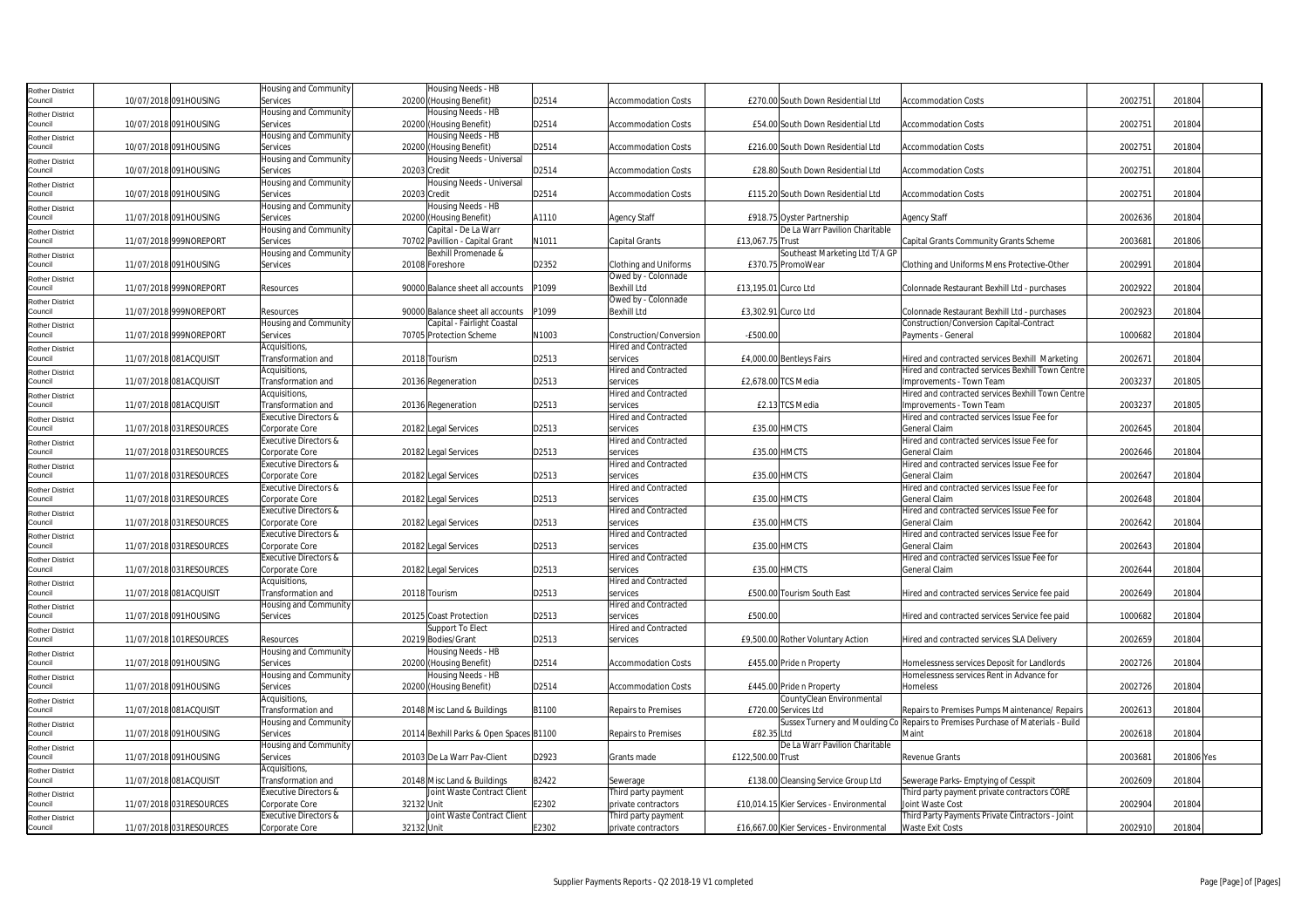| Rother District                   |                         | Housing and Community            | Housing Needs - HB                      |       |                              |                      |                                          |                                                                                  |         |            |  |
|-----------------------------------|-------------------------|----------------------------------|-----------------------------------------|-------|------------------------------|----------------------|------------------------------------------|----------------------------------------------------------------------------------|---------|------------|--|
| Council                           | 10/07/2018 091HOUSING   | Services                         | 20200 (Housing Benefit)                 | D2514 | <b>Accommodation Costs</b>   |                      | £270.00 South Down Residential Ltd       | <b>Accommodation Costs</b>                                                       | 2002751 | 201804     |  |
|                                   |                         | Housing and Community            | Housing Needs - HB                      |       |                              |                      |                                          |                                                                                  |         |            |  |
| Rother District<br>Council        | 10/07/2018 091HOUSING   | Services                         | 20200 (Housing Benefit)                 | D2514 | <b>Accommodation Costs</b>   |                      | £54.00 South Down Residential Ltd        | <b>Accommodation Costs</b>                                                       | 2002751 | 201804     |  |
|                                   |                         | Housing and Community            | Housing Needs - HB                      |       |                              |                      |                                          |                                                                                  |         |            |  |
| Rother District<br>Council        | 10/07/2018 091HOUSING   | Services                         | 20200 (Housing Benefit)                 | D2514 | <b>Accommodation Costs</b>   |                      | £216.00 South Down Residential Ltd       | <b>Accommodation Costs</b>                                                       | 2002751 | 201804     |  |
|                                   |                         | Housing and Community            | Housing Needs - Universal               |       |                              |                      |                                          |                                                                                  |         |            |  |
| Rother District<br>Council        | 10/07/2018 091HOUSING   | Services                         | 20203 Credit                            | D2514 | <b>Accommodation Costs</b>   |                      | £28.80 South Down Residential Ltd        | <b>Accommodation Costs</b>                                                       | 2002751 | 201804     |  |
|                                   |                         |                                  |                                         |       |                              |                      |                                          |                                                                                  |         |            |  |
| Rother District                   |                         | Housing and Community            | Housing Needs - Universal               |       |                              |                      |                                          |                                                                                  |         |            |  |
| Council                           | 10/07/2018 091HOUSING   | Services                         | 20203 Credit                            | D2514 | <b>Accommodation Costs</b>   |                      | £115.20 South Down Residential Ltd       | <b>Accommodation Costs</b>                                                       | 2002751 | 201804     |  |
| <b>Rother District</b>            |                         | Housing and Community            | Housing Needs - HB                      |       |                              |                      |                                          |                                                                                  |         |            |  |
| Council                           | 11/07/2018 091HOUSING   | Services                         | 20200 (Housing Benefit)                 | A1110 | <b>Agency Staff</b>          |                      | £918.75 Oyster Partnership               | <b>Agency Staff</b>                                                              | 2002636 | 201804     |  |
| Rother District                   |                         | Housing and Community            | Capital - De La Warr                    |       |                              |                      | De La Warr Pavilion Charitable           |                                                                                  |         |            |  |
| Council                           | 11/07/2018 999NOREPORT  | Services                         | 70702 Pavillion - Capital Grant         | N1011 | Capital Grants               | £13.067.75 Trust     |                                          | Capital Grants Community Grants Scheme                                           | 2003681 | 201806     |  |
| Rother District                   |                         | Housing and Community            | Bexhill Promenade &                     |       |                              |                      | Southeast Marketing Ltd T/A GP           |                                                                                  |         |            |  |
| Council                           | 11/07/2018 091HOUSING   | Services                         | 20108 Foreshore                         | D2352 | <b>Clothing and Uniforms</b> |                      | £370.75 PromoWear                        | Clothing and Uniforms Mens Protective-Other                                      | 2002991 | 201804     |  |
| Rother District                   |                         |                                  |                                         |       | Owed by - Colonnade          |                      |                                          |                                                                                  |         |            |  |
| Council                           | 11/07/2018 999NOREPORT  | Resources                        | 90000 Balance sheet all accounts        | P1099 | <b>Bexhill Ltd</b>           | £13,195.01 Curco Ltd |                                          | Colonnade Restaurant Bexhill Ltd - purchases                                     | 2002922 | 201804     |  |
| Rother District                   |                         |                                  |                                         |       | Owed by - Colonnade          |                      |                                          |                                                                                  |         |            |  |
| Council                           | 11/07/2018 999NOREPORT  | Resources                        | 90000 Balance sheet all accounts        | P1099 | Bexhill Ltd                  | £3,302.91 Curco Ltd  |                                          | Colonnade Restaurant Bexhill Ltd - purchases                                     | 2002923 | 201804     |  |
| <b>Rother District</b>            |                         | Housing and Community            | Capital - Fairlight Coastal             |       |                              |                      |                                          | Construction/Conversion Capital-Contract                                         |         |            |  |
| Council                           | 11/07/2018 999NOREPORT  | Services                         | 70705 Protection Scheme                 | N1003 | Construction/Conversion      | $-E500.00$           |                                          | Payments - General                                                               | 1000682 | 201804     |  |
| Rother District                   |                         | Acquisitions,                    |                                         |       | <b>Hired and Contracted</b>  |                      |                                          |                                                                                  |         |            |  |
| Council                           | 11/07/2018 081ACQUISIT  | Transformation and               | 20118 Tourism                           | D2513 | services                     |                      | £4,000.00 Bentleys Fairs                 | Hired and contracted services Bexhill Marketing                                  | 2002671 | 201804     |  |
|                                   |                         | Acquisitions,                    |                                         |       | <b>Hired and Contracted</b>  |                      |                                          | Hired and contracted services Bexhill Town Centre                                |         |            |  |
| Rother District<br>Council        | 11/07/2018 081ACQUISIT  | Transformation and               | 20136 Regeneration                      | D2513 | services                     |                      | £2,678.00 TCS Media                      | Improvements - Town Team                                                         | 2003237 | 201805     |  |
|                                   |                         | Acquisitions,                    |                                         |       | <b>Hired and Contracted</b>  |                      |                                          | Hired and contracted services Bexhill Town Centre                                |         |            |  |
| <b>Rother District</b><br>Council | 11/07/2018 081ACQUISIT  | Transformation and               |                                         | D2513 | services                     |                      | £2.13 TCS Media                          |                                                                                  | 2003237 | 201805     |  |
|                                   |                         |                                  | 20136 Regeneration                      |       |                              |                      |                                          | Improvements - Town Team                                                         |         |            |  |
| Rother District                   |                         | <b>Executive Directors &amp;</b> |                                         |       | Hired and Contracted         |                      |                                          | Hired and contracted services Issue Fee for                                      |         |            |  |
| Council                           | 11/07/2018 031RESOURCES | Corporate Core                   | 20182 Legal Services                    | D2513 | services                     |                      | <b>£35.00 HMCTS</b>                      | General Claim                                                                    | 2002645 | 201804     |  |
| Rother District                   |                         | Executive Directors &            |                                         |       | <b>Hired and Contracted</b>  |                      |                                          | Hired and contracted services Issue Fee for                                      |         |            |  |
| Council                           | 11/07/2018 031RESOURCES | Corporate Core                   | 20182 Legal Services                    | D2513 | services                     |                      | £35.00 HMCTS                             | General Claim                                                                    | 2002646 | 201804     |  |
| <b>Rother District</b>            |                         | Executive Directors &            |                                         |       | <b>Hired and Contracted</b>  |                      |                                          | Hired and contracted services Issue Fee for                                      |         |            |  |
| Council                           | 11/07/2018 031RESOURCES | Corporate Core                   | 20182 Legal Services                    | D2513 | services                     |                      | £35.00 HMCTS                             | General Claim                                                                    | 2002647 | 201804     |  |
| Rother District                   |                         | Executive Directors &            |                                         |       | <b>Hired and Contracted</b>  |                      |                                          | Hired and contracted services Issue Fee for                                      |         |            |  |
| Council                           | 11/07/2018 031RESOURCES | Corporate Core                   | 20182 Legal Services                    | D2513 | services                     |                      | £35.00 HMCTS                             | General Claim                                                                    | 2002648 | 201804     |  |
| Rother District                   |                         | Executive Directors &            |                                         |       | <b>Hired and Contracted</b>  |                      |                                          | Hired and contracted services Issue Fee for                                      |         |            |  |
| Council                           | 11/07/2018 031RESOURCES | Corporate Core                   | 20182 Legal Services                    | D2513 | services                     |                      | £35.00 HMCTS                             | General Claim                                                                    | 2002642 | 201804     |  |
| Rother District                   |                         | Executive Directors &            |                                         |       | <b>Hired and Contracted</b>  |                      |                                          | Hired and contracted services Issue Fee for                                      |         |            |  |
| Council                           | 11/07/2018 031RESOURCES | Corporate Core                   | 20182 Legal Services                    | D2513 | services                     |                      | <b>£35.00 HMCTS</b>                      | General Claim                                                                    | 2002643 | 201804     |  |
| <b>Rother District</b>            |                         | Executive Directors &            |                                         |       | <b>Hired and Contracted</b>  |                      |                                          | Hired and contracted services Issue Fee for                                      |         |            |  |
| Council                           | 11/07/2018 031RESOURCES | Corporate Core                   | 20182 Legal Services                    | D2513 | services                     |                      | £35.00 HMCTS                             | General Claim                                                                    | 2002644 | 201804     |  |
|                                   |                         | Acquisitions,                    |                                         |       | <b>Hired and Contracted</b>  |                      |                                          |                                                                                  |         |            |  |
| Rother District<br>Council        | 11/07/2018 081ACQUISIT  | Transformation and               | 20118 Tourism                           | D2513 | services                     |                      | £500.00 Tourism South East               | Hired and contracted services Service fee paid                                   | 2002649 | 201804     |  |
|                                   |                         | Housing and Community            |                                         |       | <b>Hired and Contracted</b>  |                      |                                          |                                                                                  |         |            |  |
| Rother District                   |                         | Services                         |                                         | D2513 |                              | £500.00              |                                          |                                                                                  | 1000682 | 201804     |  |
| Council                           | 11/07/2018 091HOUSING   |                                  | 20125 Coast Protection                  |       | services                     |                      |                                          | Hired and contracted services Service fee paid                                   |         |            |  |
| <b>Rother District</b>            |                         |                                  | Support To Elect                        |       | Hired and Contracted         |                      |                                          |                                                                                  |         |            |  |
| Council                           | 11/07/2018 101RESOURCES | Resources                        | 20219 Bodies/Grant                      | D2513 | services                     |                      | £9,500.00 Rother Voluntary Action        | Hired and contracted services SLA Delivery                                       | 2002659 | 201804     |  |
| Rother District                   |                         | Housing and Community            | Housing Needs - HB                      |       |                              |                      |                                          |                                                                                  |         |            |  |
| Council                           | 11/07/2018 091HOUSING   | Services                         | 20200 (Housing Benefit)                 | D2514 | <b>Accommodation Costs</b>   |                      | £455.00 Pride n Property                 | Homelessness services Deposit for Landlords                                      | 2002726 | 201804     |  |
| Rother District                   |                         | Housing and Community            | Housing Needs - HB                      |       |                              |                      |                                          | Homelessness services Rent in Advance for                                        |         |            |  |
| Council                           | 11/07/2018 091HOUSING   | Services                         | 20200 (Housing Benefit)                 | D2514 | <b>Accommodation Costs</b>   |                      | £445.00 Pride n Property                 | Homeless                                                                         | 2002726 | 201804     |  |
| Rother District                   |                         | Acquisitions,                    |                                         |       |                              |                      | CountyClean Environmental                |                                                                                  |         |            |  |
| Council                           | 11/07/2018 081ACQUISIT  | Transformation and               | 20148 Misc Land & Buildings             | B1100 | <b>Repairs to Premises</b>   |                      | £720.00 Services Ltd                     | Repairs to Premises Pumps Maintenance/ Repairs                                   | 2002613 | 201804     |  |
| Rother District                   |                         | Housing and Community            |                                         |       |                              |                      |                                          | Sussex Turnery and Moulding Co Repairs to Premises Purchase of Materials - Build |         |            |  |
| Council                           | 11/07/2018 091HOUSING   | Services                         | 20114 Bexhill Parks & Open Spaces B1100 |       | <b>Repairs to Premises</b>   | £82.35 Ltd           |                                          | Maint                                                                            | 2002618 | 201804     |  |
| Rother District                   |                         | Housing and Community            |                                         |       |                              |                      | De La Warr Pavilion Charitable           |                                                                                  |         |            |  |
| Council                           | 11/07/2018 091HOUSING   | Services                         | 20103 De La Warr Pav-Client             | D2923 | Grants made                  | £122,500.00 Trust    |                                          | Revenue Grants                                                                   | 2003681 | 201806 Yes |  |
| Rother District                   |                         | Acquisitions,                    |                                         |       |                              |                      |                                          |                                                                                  |         |            |  |
| Council                           | 11/07/2018 081ACQUISIT  | Transformation and               | 20148 Misc Land & Buildings             | B2422 | Sewerage                     |                      | £138.00 Cleansing Service Group Ltd      | Sewerage Parks- Emptying of Cesspit                                              | 2002609 | 201804     |  |
|                                   |                         | Executive Directors &            | Joint Waste Contract Client             |       | Third party payment          |                      |                                          | Third party payment private contractors CORE                                     |         |            |  |
| Rother District<br>Council        | 11/07/2018 031RESOURCES |                                  | 32132 Unit                              | E2302 |                              |                      | £10,014.15 Kier Services - Environmental | Joint Waste Cost                                                                 | 2002904 | 201804     |  |
|                                   |                         | Corporate Core                   |                                         |       | private contractors          |                      |                                          |                                                                                  |         |            |  |
| Rother District                   |                         | Executive Directors &            | Joint Waste Contract Client             |       | Third party payment          |                      |                                          | Third Party Payments Private Cintractors - Joint                                 |         |            |  |
| Council                           | 11/07/2018 031RESOURCES | Corporate Core                   | 32132 Unit                              | E2302 | private contractors          |                      | £16,667.00 Kier Services - Environmental | Waste Exit Costs                                                                 | 2002910 | 201804     |  |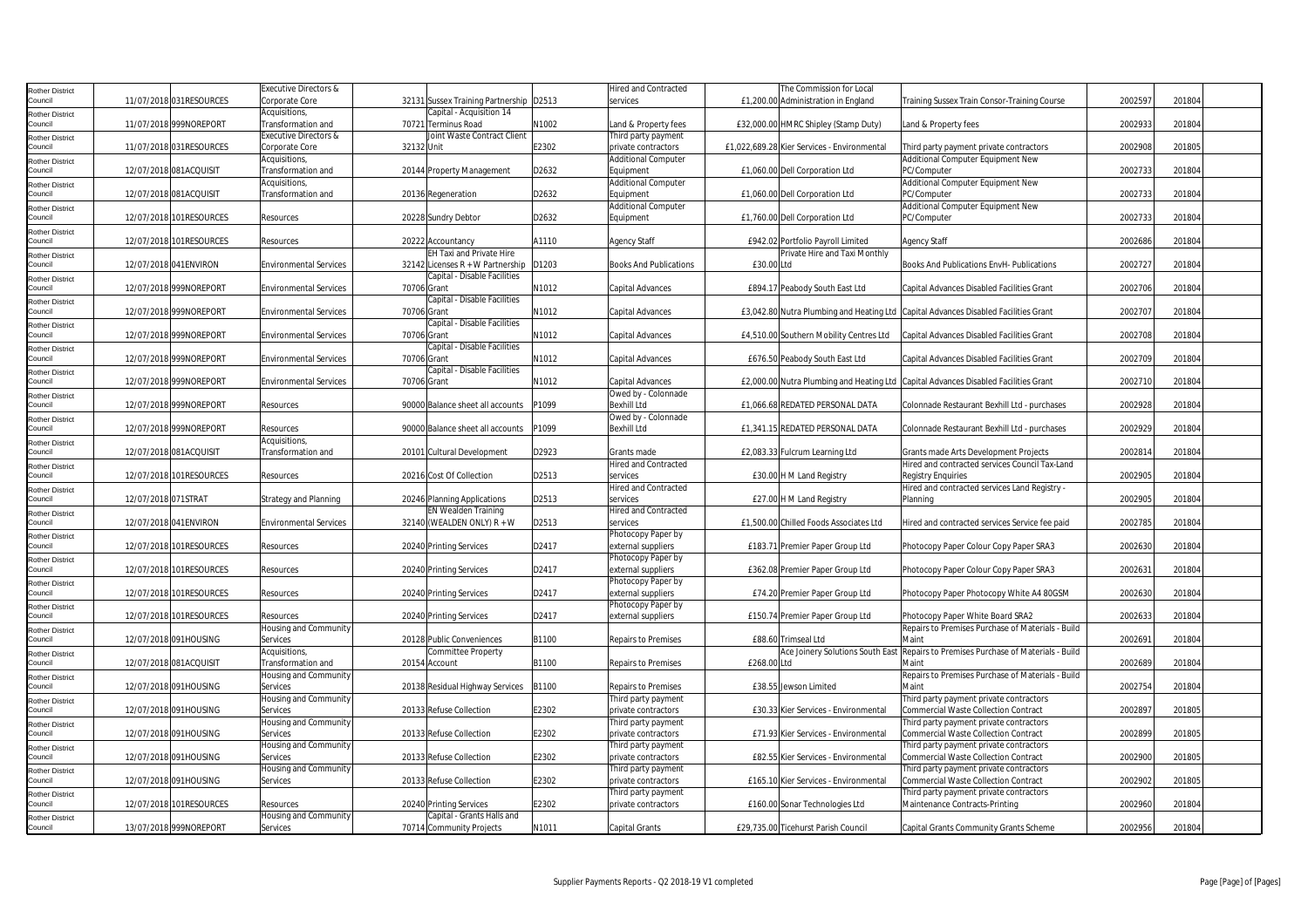| Rother District                   |                        |                         | <b>Executive Directors &amp;</b>    |                                         |       | <b>Hired and Contracted</b>   | The Commission for Local                                                            |                                                                                             |         |        |
|-----------------------------------|------------------------|-------------------------|-------------------------------------|-----------------------------------------|-------|-------------------------------|-------------------------------------------------------------------------------------|---------------------------------------------------------------------------------------------|---------|--------|
| Council                           |                        | 11/07/2018 031RESOURCES | Corporate Core                      | 32131 Sussex Training Partnership D2513 |       | services                      | £1,200.00 Administration in England                                                 | Training Sussex Train Consor-Training Course                                                | 2002597 | 201804 |
| Rother District                   |                        |                         | Acquisitions,                       | Capital - Acquisition 14                |       |                               |                                                                                     |                                                                                             |         |        |
| Council                           |                        | 11/07/2018 999NOREPORT  | Transformation and                  | 70721 Terminus Road                     | N1002 | and & Property fees           | £32,000.00 HMRC Shipley (Stamp Duty)                                                | Land & Property fees                                                                        | 2002933 | 201804 |
| Rother District                   |                        |                         | Executive Directors &               | Joint Waste Contract Client             |       | Third party payment           |                                                                                     |                                                                                             |         |        |
| Council                           |                        | 11/07/2018 031RESOURCES | Corporate Core                      | 32132 Unit                              | E2302 | private contractors           | £1,022,689.28 Kier Services - Environmental                                         | Third party payment private contractors                                                     | 2002908 | 201805 |
| Rother District                   |                        |                         | Acquisitions,                       |                                         |       | <b>Additional Computer</b>    |                                                                                     | Additional Computer Equipment New                                                           |         |        |
| Council                           | 12/07/2018 081ACQUISIT |                         | Transformation and                  | 20144 Property Management               | D2632 | Equipment                     | £1,060.00 Dell Corporation Ltd                                                      | PC/Computer                                                                                 | 2002733 | 201804 |
| <b>Rother District</b>            |                        |                         | Acquisitions,                       |                                         |       | <b>Additional Computer</b>    |                                                                                     | Additional Computer Equipment New                                                           |         |        |
| Council                           |                        | 12/07/2018 081ACQUISIT  | Transformation and                  | 20136 Regeneration                      | D2632 | Equipment                     | £1,060.00 Dell Corporation Ltd                                                      | PC/Computer                                                                                 | 2002733 | 201804 |
| Rother District                   |                        |                         |                                     |                                         |       | <b>Additional Computer</b>    |                                                                                     | Additional Computer Equipment New                                                           |         |        |
| Council                           |                        | 12/07/2018 101RESOURCES | Resources                           | 20228 Sundry Debtor                     | D2632 | Equipment                     | £1,760.00 Dell Corporation Ltd                                                      | PC/Computer                                                                                 | 2002733 | 201804 |
| Rother District                   |                        |                         |                                     |                                         |       |                               |                                                                                     |                                                                                             |         |        |
| Council                           |                        | 12/07/2018 101RESOURCES | Resources                           | 20222 Accountancy                       | A1110 | <b>Agency Staff</b>           | £942.02 Portfolio Payroll Limited                                                   | Agency Staff                                                                                | 2002686 | 201804 |
| <b>Rother District</b>            |                        |                         |                                     | EH Taxi and Private Hire                |       |                               | Private Hire and Taxi Monthly                                                       |                                                                                             |         |        |
| Council                           |                        | 12/07/2018 041ENVIRON   | <b>Environmental Services</b>       | 32142 Licenses $R + W$ Partnership      | D1203 | <b>Books And Publications</b> | £30.00 Ltd                                                                          | <b>Books And Publications EnvH- Publications</b>                                            | 2002727 | 201804 |
| Rother District                   |                        |                         |                                     | Capital - Disable Facilities            |       |                               |                                                                                     |                                                                                             |         |        |
| Council                           |                        | 12/07/2018 999NOREPORT  | <b>Environmental Services</b>       | 70706 Grant                             | N1012 | Capital Advances              | £894.17 Peabody South East Ltd                                                      | Capital Advances Disabled Facilities Grant                                                  | 2002706 | 201804 |
| Rother District                   |                        |                         |                                     | Capital - Disable Facilities            |       |                               |                                                                                     |                                                                                             |         |        |
| Council                           |                        | 12/07/2018 999NOREPORT  | <b>Environmental Services</b>       | 70706 Grant                             | N1012 | Capital Advances              | £3,042.80 Nutra Plumbing and Heating Ltd Capital Advances Disabled Facilities Grant |                                                                                             | 2002707 | 201804 |
| <b>Rother District</b>            |                        |                         |                                     | Capital - Disable Facilities            |       |                               |                                                                                     |                                                                                             |         |        |
| Council                           |                        | 12/07/2018 999NOREPORT  | <b>Environmental Services</b>       | 70706 Grant                             | N1012 | Capital Advances              | £4,510.00 Southern Mobility Centres Ltd                                             | Capital Advances Disabled Facilities Grant                                                  | 2002708 | 201804 |
| Rother District                   |                        |                         |                                     | Capital - Disable Facilities            |       |                               |                                                                                     |                                                                                             |         |        |
| Council                           |                        | 12/07/2018 999NOREPORT  | <b>Environmental Services</b>       | 70706 Grant                             | N1012 | Capital Advances              | £676.50 Peabody South East Ltd                                                      | Capital Advances Disabled Facilities Grant                                                  | 2002709 | 201804 |
| <b>Rother District</b>            |                        |                         |                                     | Capital - Disable Facilities            |       |                               |                                                                                     |                                                                                             |         |        |
| Council                           |                        | 12/07/2018 999NOREPORT  | <b>Environmental Services</b>       | 70706 Grant                             | N1012 | Capital Advances              | £2,000.00 Nutra Plumbing and Heating Ltd Capital Advances Disabled Facilities Grant |                                                                                             | 2002710 | 201804 |
| <b>Rother District</b>            |                        |                         |                                     |                                         |       | Owed by - Colonnade           |                                                                                     |                                                                                             |         |        |
| Council                           |                        | 12/07/2018 999NOREPORT  | Resources                           | 90000 Balance sheet all accounts        | 21099 | <b>Bexhill Ltd</b>            | £1,066.68 REDATED PERSONAL DATA                                                     | Colonnade Restaurant Bexhill Ltd - purchases                                                | 2002928 | 201804 |
| Rother District                   |                        |                         |                                     |                                         |       | Owed by - Colonnade           |                                                                                     |                                                                                             |         |        |
| Council                           |                        | 12/07/2018 999NOREPORT  | Resources                           | 90000 Balance sheet all accounts        | P1099 | <b>Bexhill Ltd</b>            | £1,341.15 REDATED PERSONAL DATA                                                     | Colonnade Restaurant Bexhill Ltd - purchases                                                | 2002929 | 201804 |
| Rother District                   |                        |                         | Acquisitions,                       |                                         |       |                               |                                                                                     |                                                                                             |         |        |
| Council                           | 12/07/2018 081ACQUISIT |                         | Transformation and                  | 20101 Cultural Development              | D2923 | Grants made                   | £2,083.33 Fulcrum Learning Ltd                                                      | Grants made Arts Development Projects                                                       | 2002814 | 201804 |
| Rother District                   |                        |                         |                                     |                                         |       | <b>Hired and Contracted</b>   |                                                                                     | Hired and contracted services Council Tax-Land                                              |         |        |
| Council                           |                        | 12/07/2018 101RESOURCES | Resources                           | 20216 Cost Of Collection                | D2513 | services                      | £30.00 H M Land Registry                                                            | <b>Registry Enquiries</b>                                                                   | 2002905 | 201804 |
| <b>Rother District</b>            |                        |                         |                                     |                                         |       | <b>Hired and Contracted</b>   |                                                                                     | Hired and contracted services Land Registry -                                               |         |        |
| Council                           | 12/07/2018 071STRAT    |                         | <b>Strategy and Planning</b>        | 20246 Planning Applications             | D2513 | services                      | £27.00 H M Land Registry                                                            | Planning                                                                                    | 2002905 | 201804 |
| Rother District                   |                        |                         |                                     | <b>EN Wealden Training</b>              |       | <b>Hired and Contracted</b>   |                                                                                     |                                                                                             |         |        |
| Council                           |                        | 12/07/2018 041ENVIRON   | <b>Environmental Services</b>       | 32140 (WEALDEN ONLY) R + W              | D2513 | services                      | £1,500.00 Chilled Foods Associates Ltd                                              | Hired and contracted services Service fee paid                                              | 2002785 | 201804 |
| Rother District                   |                        |                         |                                     |                                         |       | Photocopy Paper by            |                                                                                     |                                                                                             |         |        |
| Council                           |                        | 12/07/2018 101RESOURCES | Resources                           | 20240 Printing Services                 | D2417 | external suppliers            | £183.71 Premier Paper Group Ltd                                                     | Photocopy Paper Colour Copy Paper SRA3                                                      | 2002630 | 201804 |
| <b>Rother District</b>            |                        |                         |                                     |                                         |       | Photocopy Paper by            |                                                                                     |                                                                                             |         |        |
| Council                           |                        | 12/07/2018 101RESOURCES | Resources                           | 20240 Printing Services                 | D2417 | external suppliers            | £362.08 Premier Paper Group Ltd                                                     | Photocopy Paper Colour Copy Paper SRA3                                                      | 2002631 | 201804 |
| Rother District                   |                        |                         |                                     |                                         |       | Photocopy Paper by            |                                                                                     |                                                                                             |         |        |
| Council                           |                        | 12/07/2018 101RESOURCES | Resources                           | 20240 Printing Services                 | D2417 | external suppliers            | £74.20 Premier Paper Group Ltd                                                      | Photocopy Paper Photocopy White A4 80GSM                                                    | 2002630 | 201804 |
| <b>Rother District</b>            |                        |                         |                                     |                                         |       | Photocopy Paper by            |                                                                                     |                                                                                             |         |        |
| Council                           |                        | 12/07/2018 101RESOURCES | Resources                           | 20240 Printing Services                 | D2417 | external suppliers            | £150.74 Premier Paper Group Ltd                                                     | Photocopy Paper White Board SRA2                                                            | 2002633 | 201804 |
| <b>Rother District</b>            |                        |                         | Housing and Community               |                                         |       |                               |                                                                                     | Repairs to Premises Purchase of Materials - Build<br>Main                                   |         |        |
| Council                           |                        | 12/07/2018 091HOUSING   | Services                            | 20128 Public Conveniences               | B1100 | <b>Repairs to Premises</b>    | £88.60 Trimseal Ltd                                                                 |                                                                                             | 2002691 | 201804 |
| Rother District<br>Council        | 12/07/2018 081ACQUISIT |                         | Acquisitions,<br>Transformation and | Committee Property<br>20154 Account     | B1100 | <b>Repairs to Premises</b>    | £268.00 Ltd                                                                         | Ace Joinery Solutions South East Repairs to Premises Purchase of Materials - Build<br>Maint | 2002689 | 201804 |
|                                   |                        |                         | Housing and Community               |                                         |       |                               |                                                                                     | Repairs to Premises Purchase of Materials - Build                                           |         |        |
| Rother District<br>Council        |                        | 12/07/2018 091HOUSING   | Services                            | 20138 Residual Highway Services         | B1100 | <b>Repairs to Premises</b>    | £38.55 Jewson Limited                                                               | Maint                                                                                       | 2002754 | 201804 |
|                                   |                        |                         | Housing and Community               |                                         |       | Third party payment           |                                                                                     | Third party payment private contractors                                                     |         |        |
| <b>Rother District</b><br>Council |                        | 12/07/2018 091HOUSING   | Services                            | 20133 Refuse Collection                 | E2302 | private contractors           | £30.33 Kier Services - Environmental                                                | <b>Commercial Waste Collection Contract</b>                                                 | 2002897 | 201805 |
| <b>Rother District</b>            |                        |                         | Housing and Community               |                                         |       | Third party payment           |                                                                                     | Third party payment private contractors                                                     |         |        |
| Council                           |                        | 12/07/2018 091HOUSING   | Services                            | 20133 Refuse Collection                 | E2302 | private contractors           | £71.93 Kier Services - Environmental                                                | Commercial Waste Collection Contract                                                        | 2002899 | 201805 |
| <b>Rother District</b>            |                        |                         | Housing and Community               |                                         |       | Third party payment           |                                                                                     | Third party payment private contractors                                                     |         |        |
| Council                           |                        | 12/07/2018 091HOUSING   | Services                            | 20133 Refuse Collection                 | E2302 | private contractors           | £82.55 Kier Services - Environmental                                                | Commercial Waste Collection Contract                                                        | 2002900 | 201805 |
| <b>Rother District</b>            |                        |                         | Housing and Community               |                                         |       | Third party payment           |                                                                                     | Third party payment private contractors                                                     |         |        |
| Council                           |                        | 12/07/2018 091HOUSING   | Services                            | 20133 Refuse Collection                 | E2302 | private contractors           | £165.10 Kier Services - Environmental                                               | Commercial Waste Collection Contract                                                        | 2002902 | 201805 |
| Rother District                   |                        |                         |                                     |                                         |       | Third party payment           |                                                                                     | Third party payment private contractors                                                     |         |        |
| Council                           |                        | 12/07/2018 101RESOURCES | Resources                           | 20240 Printing Services                 | E2302 | private contractors           | £160.00 Sonar Technologies Ltd                                                      | Maintenance Contracts-Printing                                                              | 2002960 | 201804 |
| Rother District                   |                        |                         | Housing and Community               | Capital - Grants Halls and              |       |                               |                                                                                     |                                                                                             |         |        |
| Council                           |                        | 13/07/2018 999NOREPORT  | Services                            | 70714 Community Projects                | N1011 | Capital Grants                | £29,735.00 Ticehurst Parish Council                                                 | Capital Grants Community Grants Scheme                                                      | 2002956 | 201804 |
|                                   |                        |                         |                                     |                                         |       |                               |                                                                                     |                                                                                             |         |        |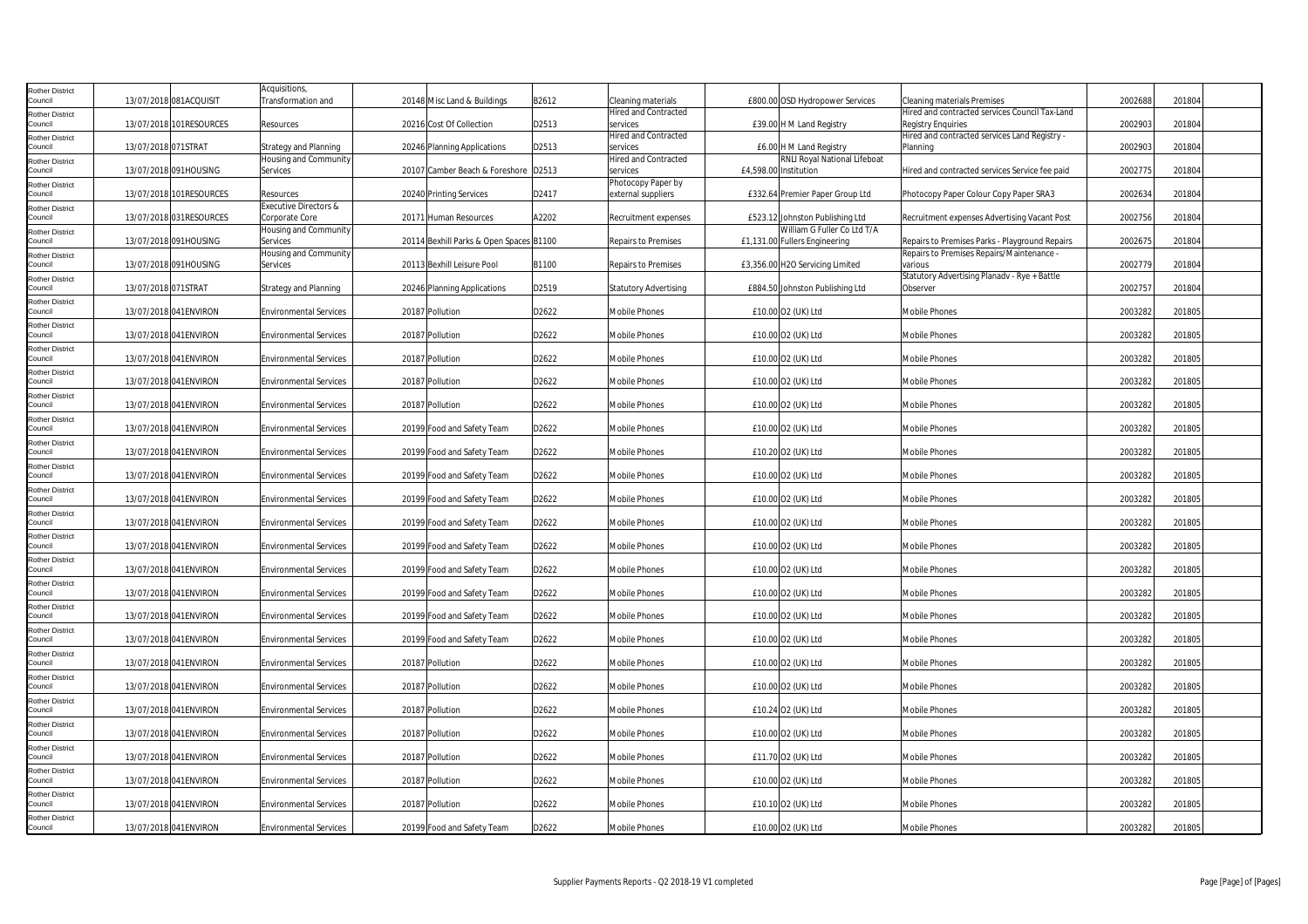| <b>Rother District</b>            |                     |                         | Acquisitions,                           |                                         |       |                                         |                                                                |                                                                            |         |        |
|-----------------------------------|---------------------|-------------------------|-----------------------------------------|-----------------------------------------|-------|-----------------------------------------|----------------------------------------------------------------|----------------------------------------------------------------------------|---------|--------|
| Council                           |                     | 13/07/2018 081ACQUISIT  | Transformation and                      | 20148 Misc Land & Buildings             | B2612 | Cleaning materials                      | £800.00 OSD Hydropower Services                                | Cleaning materials Premises                                                | 2002688 | 201804 |
| <b>Rother District</b>            |                     |                         |                                         |                                         |       | <b>Hired and Contracted</b>             |                                                                | Hired and contracted services Council Tax-Land                             |         |        |
| Council                           |                     | 13/07/2018 101RESOURCES | Resources                               | 20216 Cost Of Collection                | D2513 | services<br><b>Hired and Contracted</b> | £39.00 H M Land Registry                                       | <b>Registry Enquiries</b><br>Hired and contracted services Land Registry - | 2002903 | 201804 |
| <b>Rother District</b><br>Council | 13/07/2018 071STRAT |                         | Strategy and Planning                   | 20246 Planning Applications             | D2513 | services                                | £6.00 H M Land Registry                                        | Planning                                                                   | 2002903 | 201804 |
| <b>Rother District</b>            |                     |                         | Housing and Community                   |                                         |       | <b>Hired and Contracted</b>             | RNLI Royal National Lifeboat                                   |                                                                            |         |        |
| Council                           |                     | 13/07/2018 091HOUSING   | Services                                | 20107 Camber Beach & Foreshore D2513    |       | services                                | £4,598.00 Institution                                          | Hired and contracted services Service fee paid                             | 2002775 | 201804 |
| <b>Rother District</b>            |                     |                         |                                         |                                         |       | Photocopy Paper by                      |                                                                |                                                                            |         |        |
| Council                           |                     | 13/07/2018 101RESOURCES | Resources                               | 20240 Printing Services                 | D2417 | external suppliers                      | £332.64 Premier Paper Group Ltd                                | Photocopy Paper Colour Copy Paper SRA3                                     | 2002634 | 201804 |
| <b>Rother District</b><br>Council |                     | 13/07/2018 031RESOURCES | <b>Executive Directors &amp;</b>        |                                         |       |                                         |                                                                |                                                                            | 2002756 | 201804 |
|                                   |                     |                         | Corporate Core<br>Housing and Community | 20171 Human Resources                   | A2202 | Recruitment expenses                    | £523.12 Johnston Publishing Ltd<br>William G Fuller Co Ltd T/A | Recruitment expenses Advertising Vacant Post                               |         |        |
| <b>Rother District</b><br>Council |                     | 13/07/2018 091HOUSING   | Services                                | 20114 Bexhill Parks & Open Spaces B1100 |       | <b>Repairs to Premises</b>              | £1,131.00 Fullers Engineering                                  | Repairs to Premises Parks - Playground Repairs                             | 2002675 | 201804 |
| Rother District                   |                     |                         | Housing and Community                   |                                         |       |                                         |                                                                | Repairs to Premises Repairs/Maintenance -                                  |         |        |
| Council                           |                     | 13/07/2018 091HOUSING   | Services                                | 20113 Bexhill Leisure Pool              | B1100 | Repairs to Premises                     | £3,356.00 H2O Servicing Limited                                | various                                                                    | 2002779 | 201804 |
| <b>Rother District</b>            |                     |                         |                                         |                                         |       |                                         |                                                                | Statutory Advertising Planadv - Rye + Battle                               |         |        |
| Council                           | 13/07/2018 071STRAT |                         | <b>Strategy and Planning</b>            | 20246 Planning Applications             | D2519 | <b>Statutory Advertising</b>            | £884.50 Johnston Publishing Ltd                                | Observer                                                                   | 2002757 | 201804 |
| <b>Rother District</b><br>Council |                     | 13/07/2018 041ENVIRON   | <b>Environmental Services</b>           | 20187 Pollution                         | D2622 | <b>Mobile Phones</b>                    | £10.00 O2 (UK) Ltd                                             | Mobile Phones                                                              | 2003282 | 201805 |
| <b>Rother District</b>            |                     |                         |                                         |                                         |       |                                         |                                                                |                                                                            |         |        |
| Council                           |                     | 13/07/2018 041 ENVIRON  | <b>Environmental Services</b>           | 20187 Pollution                         | D2622 | <b>Mobile Phones</b>                    | £10.00 O2 (UK) Ltd                                             | Mobile Phones                                                              | 2003282 | 201805 |
| <b>Rother District</b>            |                     |                         |                                         |                                         |       |                                         |                                                                |                                                                            |         |        |
| Council                           |                     | 13/07/2018 041 ENVIRON  | <b>Environmental Services</b>           | 20187 Pollution                         | D2622 | Mobile Phones                           | £10.00 O2 (UK) Ltd                                             | Mobile Phones                                                              | 2003282 | 201805 |
| <b>Rother District</b>            |                     |                         |                                         |                                         | D2622 |                                         |                                                                |                                                                            | 2003282 |        |
| Council<br><b>Rother District</b> |                     | 13/07/2018 041 ENVIRON  | <b>Environmental Services</b>           | 20187 Pollution                         |       | Mobile Phones                           | £10.00 O2 (UK) Ltd                                             | Mobile Phones                                                              |         | 201805 |
| Council                           |                     | 13/07/2018 041 ENVIRON  | <b>Environmental Services</b>           | 20187 Pollution                         | D2622 | Mobile Phones                           | £10.00 O2 (UK) Ltd                                             | Mobile Phones                                                              | 2003282 | 201805 |
| <b>Rother District</b>            |                     |                         |                                         |                                         |       |                                         |                                                                |                                                                            |         |        |
| Council                           |                     | 13/07/2018 041 ENVIRON  | <b>Environmental Services</b>           | 20199 Food and Safety Team              | D2622 | Mobile Phones                           | £10.00 O2 (UK) Ltd                                             | Mobile Phones                                                              | 2003282 | 201805 |
| <b>Rother District</b>            |                     |                         |                                         |                                         |       |                                         |                                                                |                                                                            |         |        |
| Council                           |                     | 13/07/2018 041 ENVIRON  | <b>Environmental Services</b>           | 20199 Food and Safety Team              | D2622 | Mobile Phones                           | £10.20 O2 (UK) Ltd                                             | <b>Mobile Phones</b>                                                       | 2003282 | 201805 |
| <b>Rother District</b><br>Council |                     | 13/07/2018 041 ENVIRON  | <b>Environmental Services</b>           | 20199 Food and Safety Team              | D2622 | Mobile Phones                           | £10.00 O2 (UK) Ltd                                             | <b>Mobile Phones</b>                                                       | 2003282 | 201805 |
| Rother District                   |                     |                         |                                         |                                         |       |                                         |                                                                |                                                                            |         |        |
| Council                           |                     | 13/07/2018 041 ENVIRON  | <b>Environmental Services</b>           | 20199 Food and Safety Team              | D2622 | Mobile Phones                           | £10.00 O2 (UK) Ltd                                             | <b>Mobile Phones</b>                                                       | 2003282 | 201805 |
| <b>Rother District</b>            |                     |                         |                                         |                                         |       |                                         |                                                                |                                                                            |         |        |
| Council                           |                     | 13/07/2018 041 ENVIRON  | <b>Environmental Services</b>           | 20199 Food and Safety Team              | D2622 | Mobile Phones                           | £10.00 O2 (UK) Ltd                                             | Mobile Phones                                                              | 2003282 | 201805 |
| <b>Rother District</b><br>Council |                     | 13/07/2018 041 ENVIRON  | <b>Environmental Services</b>           | 20199 Food and Safety Team              | D2622 | <b>Mobile Phones</b>                    | £10.00 O2 (UK) Ltd                                             | <b>Mobile Phones</b>                                                       | 2003282 | 201805 |
| <b>Rother District</b>            |                     |                         |                                         |                                         |       |                                         |                                                                |                                                                            |         |        |
| Council                           |                     | 13/07/2018 041 ENVIRON  | <b>Environmental Services</b>           | 20199 Food and Safety Team              | D2622 | Mobile Phones                           | £10.00 O2 (UK) Ltd                                             | Mobile Phones                                                              | 2003282 | 201805 |
| <b>Rother District</b>            |                     |                         |                                         |                                         |       |                                         |                                                                |                                                                            |         |        |
| Council                           |                     | 13/07/2018 041 ENVIRON  | <b>Environmental Services</b>           | 20199 Food and Safety Team              | D2622 | Mobile Phones                           | £10.00 O2 (UK) Ltd                                             | Mobile Phones                                                              | 2003282 | 201805 |
| <b>Rother District</b>            |                     |                         |                                         |                                         |       |                                         |                                                                |                                                                            | 2003282 | 201805 |
| Council                           |                     | 13/07/2018 041 ENVIRON  | <b>Environmental Services</b>           | 20199 Food and Safety Team              | D2622 | Mobile Phones                           | £10.00 O2 (UK) Ltd                                             | <b>Mobile Phones</b>                                                       |         |        |
| Rother District<br>Council        |                     | 13/07/2018 041 ENVIRON  | <b>Environmental Services</b>           | 20199 Food and Safety Team              | D2622 | Mobile Phones                           | £10.00 O2 (UK) Ltd                                             | <b>Mobile Phones</b>                                                       | 2003282 | 201805 |
| <b>Rother District</b>            |                     |                         |                                         |                                         |       |                                         |                                                                |                                                                            |         |        |
| Council                           |                     | 13/07/2018 041 ENVIRON  | <b>Environmental Services</b>           | 20187 Pollution                         | D2622 | Mobile Phones                           | £10.00 O2 (UK) Ltd                                             | Mobile Phones                                                              | 2003282 | 201805 |
| <b>Rother District</b>            |                     |                         |                                         |                                         |       |                                         |                                                                |                                                                            |         |        |
| Council                           |                     | 13/07/2018 041 ENVIRON  | <b>Environmental Services</b>           | 20187 Pollution                         | D2622 | Mobile Phones                           | £10.00 O2 (UK) Ltd                                             | Mobile Phones                                                              | 2003282 | 201805 |
| <b>Rother District</b><br>Council |                     | 13/07/2018 041 ENVIRON  | <b>Environmental Services</b>           | 20187 Pollution                         | D2622 | <b>Mobile Phones</b>                    | £10.24 O2 (UK) Ltd                                             | <b>Mobile Phones</b>                                                       | 2003282 | 201805 |
| <b>Rother District</b>            |                     |                         |                                         |                                         |       |                                         |                                                                |                                                                            |         |        |
| Council                           |                     | 13/07/2018 041 ENVIRON  | <b>Environmental Services</b>           | 20187 Pollution                         | D2622 | Mobile Phones                           | £10.00 O2 (UK) Ltd                                             | Mobile Phones                                                              | 2003282 | 201805 |
| <b>Rother District</b>            |                     |                         |                                         |                                         |       |                                         |                                                                |                                                                            |         |        |
| Council                           |                     | 13/07/2018 041 ENVIRON  | <b>Environmental Services</b>           | 20187 Pollution                         | D2622 | Mobile Phones                           | £11.70 O2 (UK) Ltd                                             | Mobile Phones                                                              | 2003282 | 201805 |
| <b>Rother District</b><br>Council |                     | 13/07/2018 041 ENVIRON  | <b>Environmental Services</b>           | 20187 Pollution                         | D2622 | Mobile Phones                           | £10.00 O2 (UK) Ltd                                             | Mobile Phones                                                              | 2003282 | 201805 |
|                                   |                     |                         |                                         |                                         |       |                                         |                                                                |                                                                            |         |        |
| <b>Rother District</b><br>Council |                     | 13/07/2018 041 ENVIRON  | <b>Environmental Services</b>           | 20187 Pollution                         | D2622 | Mobile Phones                           | £10.10 O2 (UK) Ltd                                             | Mobile Phones                                                              | 2003282 | 201805 |
| <b>Rother District</b>            |                     |                         |                                         |                                         |       |                                         |                                                                |                                                                            |         |        |
| Council                           |                     | 13/07/2018 041ENVIRON   | <b>Environmental Services</b>           | 20199 Food and Safety Team              | D2622 | <b>Mobile Phones</b>                    | £10.00 O2 (UK) Ltd                                             | Mobile Phones                                                              | 2003282 | 201805 |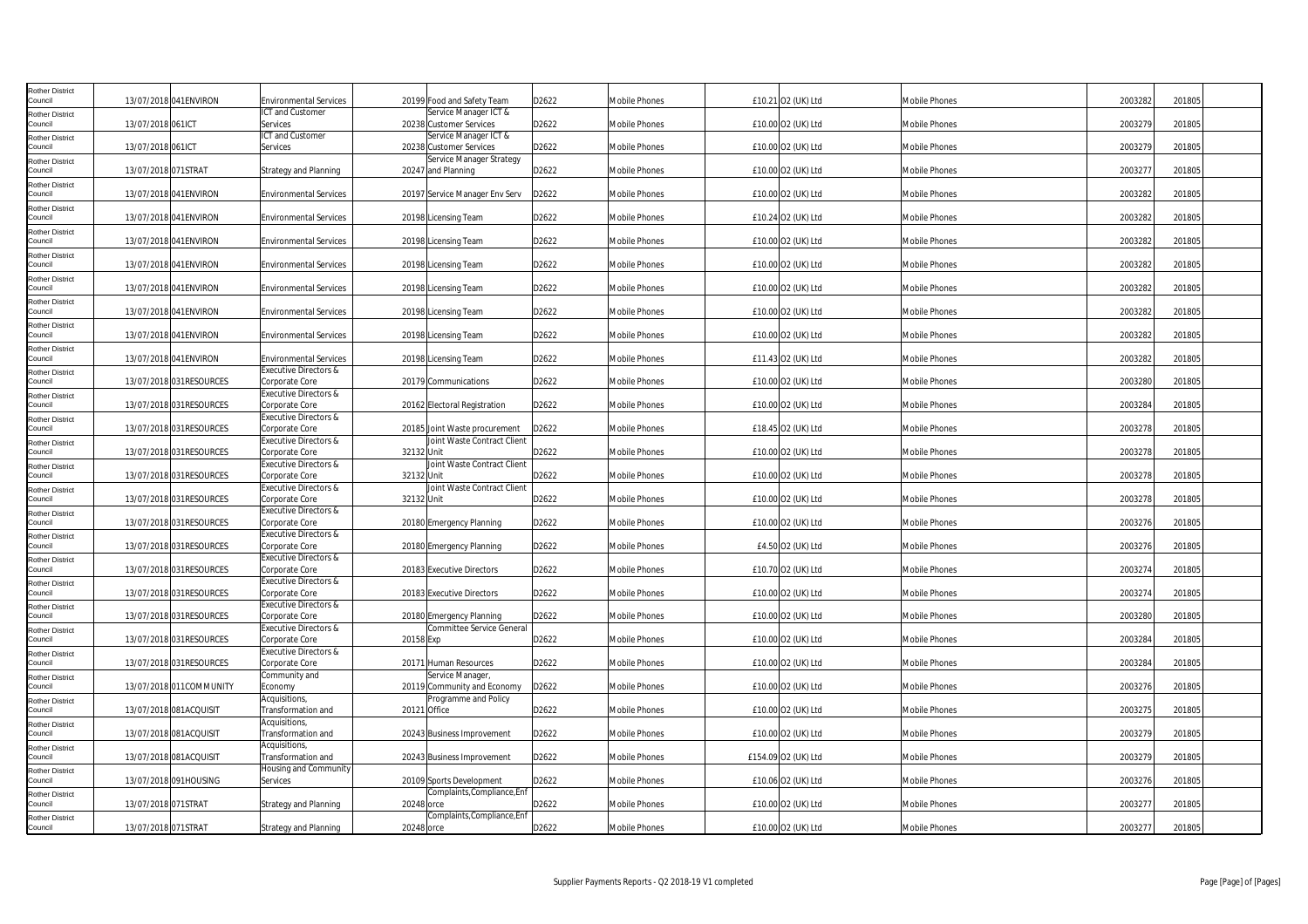| <b>Rother District</b><br>Council                           |                     | 13/07/2018 041 ENVIRON   | <b>Environmental Services</b>                                     |              | 20199 Food and Safety Team                                   | D2622 | Mobile Phones        | £10.21 02 (UK) Ltd  | <b>Mobile Phones</b> | 2003282 | 201805 |
|-------------------------------------------------------------|---------------------|--------------------------|-------------------------------------------------------------------|--------------|--------------------------------------------------------------|-------|----------------------|---------------------|----------------------|---------|--------|
| <b>Rother District</b><br>Council                           | 13/07/2018 061ICT   |                          | ICT and Customer<br>Services                                      |              | Service Manager ICT &<br>20238 Customer Services             | D2622 | Mobile Phones        | £10.00 O2 (UK) Ltd  | <b>Mobile Phones</b> | 2003279 | 201805 |
| <b>Rother District</b><br>Council                           | 13/07/2018 061ICT   |                          | ICT and Customer<br>Services                                      |              | Service Manager ICT &<br>20238 Customer Services             | D2622 | Mobile Phones        | £10.00 O2 (UK) Ltd  | Mobile Phones        | 2003279 | 201805 |
| <b>Rother District</b><br>Council                           | 13/07/2018 071STRAT |                          | <b>Strategy and Planning</b>                                      |              | Service Manager Strategy<br>20247 and Planning               | D2622 | Mobile Phones        | £10.00 O2 (UK) Ltd  | Mobile Phones        | 2003277 | 201805 |
| <b>Rother District</b><br>Council                           |                     | 13/07/2018 041 ENVIRON   | <b>Environmental Services</b>                                     |              | 20197 Service Manager Env Serv                               | D2622 | Mobile Phones        | £10.00 O2 (UK) Ltd  | Mobile Phones        | 2003282 | 201805 |
| <b>Rother District</b><br>Council                           |                     | 13/07/2018 041 ENVIRON   | <b>Environmental Services</b>                                     |              | 20198 Licensing Team                                         | D2622 | Mobile Phones        | £10.24 O2 (UK) Ltd  | Mobile Phones        | 2003282 | 201805 |
| <b>Rother District</b><br>Council                           |                     | 13/07/2018 041 ENVIRON   | <b>Environmental Services</b>                                     |              | 20198 Licensing Team                                         | D2622 | Mobile Phones        | £10.00 O2 (UK) Ltd  | Mobile Phones        | 2003282 | 201805 |
| <b>Rother District</b><br>Council                           |                     | 13/07/2018 041 ENVIRON   | <b>Environmental Services</b>                                     |              | 20198 Licensing Team                                         | D2622 | Mobile Phones        | £10.00 O2 (UK) Ltd  | Mobile Phones        | 2003282 | 201805 |
| <b>Rother District</b><br>Council                           |                     | 13/07/2018 041ENVIRON    | <b>Environmental Services</b>                                     |              | 20198 Licensing Team                                         | D2622 | Mobile Phones        | £10.00 O2 (UK) Ltd  | Mobile Phones        | 2003282 | 201805 |
| <b>Rother District</b><br>Council                           |                     | 13/07/2018 041ENVIRON    | <b>Environmental Services</b>                                     |              | 20198 Licensing Team                                         | D2622 | Mobile Phones        | £10.00 O2 (UK) Ltd  | Mobile Phones        | 2003282 | 201805 |
| <b>Rother District</b><br>Council                           |                     | 13/07/2018 041 ENVIRON   | <b>Environmental Services</b>                                     |              | 20198 Licensing Team                                         | D2622 | Mobile Phones        | £10.00 O2 (UK) Ltd  | Mobile Phones        | 2003282 | 201805 |
| <b>Rother District</b><br>Council                           |                     | 13/07/2018 041 ENVIRON   | <b>Environmental Services</b><br><b>Executive Directors &amp;</b> |              | 20198 Licensing Team                                         | D2622 | Mobile Phones        | £11.43 O2 (UK) Ltd  | Mobile Phones        | 2003282 | 201805 |
| <b>Rother District</b><br>Council                           |                     | 13/07/2018 031RESOURCES  | Corporate Core<br>Executive Directors &                           |              | 20179 Communications                                         | D2622 | Mobile Phones        | £10.00 O2 (UK) Ltd  | <b>Mobile Phones</b> | 2003280 | 201805 |
| <b>Rother District</b><br>Council<br><b>Rother District</b> |                     | 13/07/2018 031RESOURCES  | Corporate Core<br>Executive Directors &                           |              | 20162 Electoral Registration                                 | D2622 | Mobile Phones        | £10.00 O2 (UK) Ltd  | <b>Mobile Phones</b> | 2003284 | 201805 |
| Council                                                     |                     | 13/07/2018 031RESOURCES  | Corporate Core<br>Executive Directors &                           |              | 20185 Joint Waste procurement<br>Joint Waste Contract Client | D2622 | Mobile Phones        | £18.45 O2 (UK) Ltd  | <b>Mobile Phones</b> | 2003278 | 201805 |
| <b>Rother District</b><br>Council<br><b>Rother District</b> |                     | 13/07/2018 031RESOURCES  | Corporate Core<br>Executive Directors &                           | 32132 Unit   | Joint Waste Contract Client                                  | D2622 | Mobile Phones        | £10.00 O2 (UK) Ltd  | Mobile Phones        | 2003278 | 201805 |
| Council<br><b>Rother District</b>                           |                     | 13/07/2018 031RESOURCES  | Corporate Core<br>Executive Directors &                           | 32132 Unit   | Joint Waste Contract Client                                  | D2622 | Mobile Phones        | £10.00 O2 (UK) Ltd  | <b>Mobile Phones</b> | 2003278 | 201805 |
| Council<br><b>Rother District</b>                           |                     | 13/07/2018 031RESOURCES  | Corporate Core<br>Executive Directors &                           | 32132 Unit   |                                                              | D2622 | Mobile Phones        | £10.00 O2 (UK) Ltd  | <b>Mobile Phones</b> | 2003278 | 201805 |
| Council<br><b>Rother District</b>                           |                     | 13/07/2018 031RESOURCES  | Corporate Core<br>Executive Directors &                           |              | 20180 Emergency Planning                                     | D2622 | Mobile Phones        | £10.00 O2 (UK) Ltd  | Mobile Phones        | 2003276 | 201805 |
| Council<br><b>Rother District</b>                           |                     | 13/07/2018 031RESOURCES  | Corporate Core<br>Executive Directors &                           |              | 20180 Emergency Planning                                     | D2622 | Mobile Phones        | £4.50 O2 (UK) Ltd   | Mobile Phones        | 2003276 | 201805 |
| Council<br><b>Rother District</b>                           |                     | 13/07/2018 031RESOURCES  | Corporate Core<br>Executive Directors &                           |              | 20183 Executive Directors                                    | D2622 | Mobile Phones        | £10.70 O2 (UK) Ltd  | Mobile Phones        | 2003274 | 201805 |
| Council<br><b>Rother District</b>                           |                     | 13/07/2018 031RESOURCES  | Corporate Core<br>Executive Directors &                           |              | 20183 Executive Directors                                    | D2622 | Mobile Phones        | £10.00 O2 (UK) Ltd  | <b>Mobile Phones</b> | 2003274 | 201805 |
| Council<br><b>Rother District</b>                           |                     | 13/07/2018 031RESOURCES  | Corporate Core<br><b>Executive Directors &amp;</b>                |              | 20180 Emergency Planning<br><b>Committee Service General</b> | D2622 | <b>Mobile Phones</b> | £10.00 O2 (UK) Ltd  | <b>Mobile Phones</b> | 2003280 | 201805 |
| Council<br><b>Rother District</b>                           |                     | 13/07/2018 031RESOURCES  | Corporate Core<br>Executive Directors &                           | 20158 Exp    |                                                              | D2622 | Mobile Phones        | £10.00 O2 (UK) Ltd  | <b>Mobile Phones</b> | 2003284 | 201805 |
| Council<br><b>Rother District</b>                           |                     | 13/07/2018 031RESOURCES  | Corporate Core<br>Community and                                   |              | 20171 Human Resources<br>Service Manager,                    | D2622 | Mobile Phones        | £10.00 O2 (UK) Ltd  | <b>Mobile Phones</b> | 2003284 | 201805 |
| Council<br><b>Rother District</b>                           |                     | 13/07/2018 011 COMMUNITY | Economy<br>Acquisitions,                                          |              | 20119 Community and Economy<br>Programme and Policy          | D2622 | <b>Mobile Phones</b> | £10.00 O2 (UK) Ltd  | <b>Mobile Phones</b> | 2003276 | 201805 |
| Council<br><b>Rother District</b>                           |                     | 13/07/2018 081ACQUISIT   | Transformation and<br>Acquisitions,                               | 20121 Office |                                                              | D2622 | Mobile Phones        | £10.00 O2 (UK) Ltd  | <b>Mobile Phones</b> | 2003275 | 201805 |
| Council<br><b>Rother District</b>                           |                     | 13/07/2018 081ACQUISIT   | Transformation and<br>Acquisitions,                               |              | 20243 Business Improvement                                   | D2622 | Mobile Phones        | £10.00 O2 (UK) Ltd  | <b>Mobile Phones</b> | 2003279 | 201805 |
| Council<br><b>Rother District</b>                           |                     | 13/07/2018 081ACQUISIT   | Transformation and<br>Housing and Community                       |              | 20243 Business Improvement                                   | D2622 | Mobile Phones        | £154.09 O2 (UK) Ltd | <b>Mobile Phones</b> | 2003279 | 201805 |
| Council<br><b>Rother District</b>                           |                     | 13/07/2018 091HOUSING    | Services                                                          |              | 20109 Sports Development<br>Complaints, Compliance, Enf      | D2622 | <b>Mobile Phones</b> | £10.06 O2 (UK) Ltd  | Mobile Phones        | 2003276 | 201805 |
| Council<br><b>Rother District</b>                           | 13/07/2018 071STRAT |                          | Strategy and Planning                                             | 20248 orce   | Complaints, Compliance, Enf                                  | D2622 | Mobile Phones        | £10.00 O2 (UK) Ltd  | <b>Mobile Phones</b> | 2003277 | 201805 |
| Council                                                     | 13/07/2018 071STRAT |                          | <b>Strategy and Planning</b>                                      | 20248 orce   |                                                              | D2622 | Mobile Phones        | £10.00 O2 (UK) Ltd  | <b>Mobile Phones</b> | 2003277 | 201805 |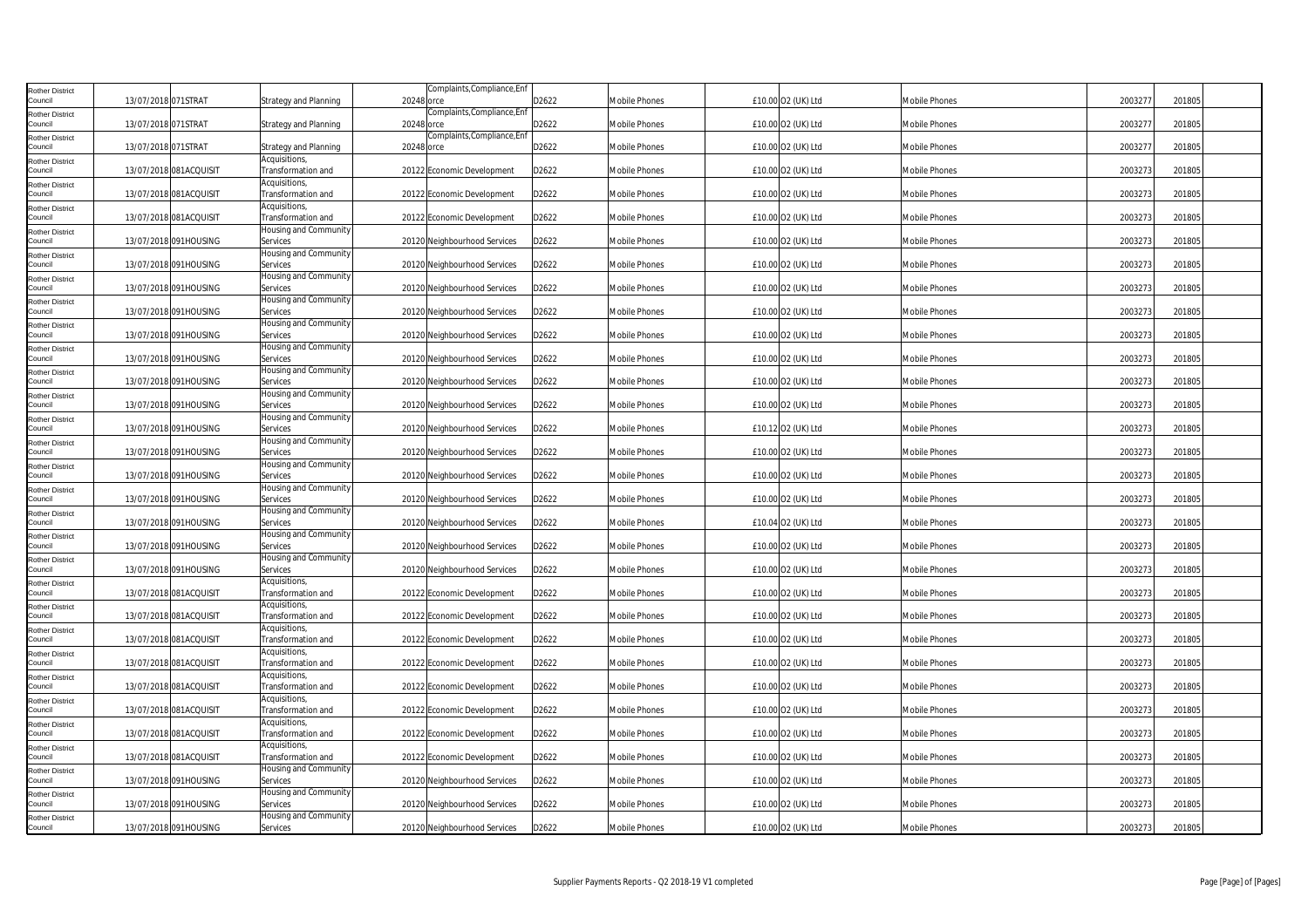| <b>Rother District</b><br>Council | 13/07/2018 071STRAT |                        | <b>Strategy and Planning</b>        | 20248 orce | Complaints, Compliance, Enf  | D2622 | <b>Mobile Phones</b> | £10.00 O2 (UK) Ltd | <b>Mobile Phones</b> | 2003277 | 201805 |
|-----------------------------------|---------------------|------------------------|-------------------------------------|------------|------------------------------|-------|----------------------|--------------------|----------------------|---------|--------|
| <b>Rother District</b><br>Council | 13/07/2018 071STRAT |                        | <b>Strategy and Planning</b>        | 20248 orce | Complaints, Compliance, Enf  | D2622 | Mobile Phones        | £10.00 O2 (UK) Ltd | Mobile Phones        | 2003277 | 201805 |
| <b>Rother District</b><br>Council | 13/07/2018 071STRAT |                        | Strategy and Planning               | 20248 orce | Complaints, Compliance, Enf  | D2622 | Mobile Phones        | £10.00 O2 (UK) Ltd | Mobile Phones        | 2003277 | 201805 |
| <b>Rother District</b><br>Council |                     | 13/07/2018 081ACQUISIT | Acquisitions,<br>Transformation and |            | 20122 Economic Development   | D2622 | Mobile Phones        | £10.00 O2 (UK) Ltd | <b>Mobile Phones</b> | 2003273 | 201805 |
| <b>Rother District</b><br>Council |                     | 13/07/2018 081ACQUISIT | Acquisitions,<br>Transformation and |            | 20122 Economic Development   | D2622 | Mobile Phones        | £10.00 O2 (UK) Ltd | <b>Mobile Phones</b> | 2003273 | 201805 |
| <b>Rother District</b><br>Council |                     | 13/07/2018 081ACQUISIT | Acquisitions,<br>Transformation and |            | 20122 Economic Development   | D2622 | Mobile Phones        | £10.00 O2 (UK) Ltd | Mobile Phones        | 2003273 | 201805 |
| <b>Rother District</b><br>Council |                     | 13/07/2018 091HOUSING  | Housing and Community<br>Services   |            | 20120 Neighbourhood Services | D2622 | Mobile Phones        | £10.00 O2 (UK) Ltd | <b>Mobile Phones</b> | 2003273 | 201805 |
| <b>Rother District</b><br>Council |                     | 13/07/2018 091HOUSING  | Housing and Community<br>Services   |            | 20120 Neighbourhood Services | D2622 | Mobile Phones        | £10.00 O2 (UK) Ltd | <b>Mobile Phones</b> | 2003273 | 201805 |
| Rother District<br>Council        |                     | 13/07/2018 091HOUSING  | Housing and Community<br>Services   |            | 20120 Neighbourhood Services | D2622 | Mobile Phones        | £10.00 O2 (UK) Ltd | Mobile Phones        | 2003273 | 201805 |
| <b>Rother District</b><br>Council |                     | 13/07/2018 091HOUSING  | Housing and Community<br>Services   |            | 20120 Neighbourhood Services | D2622 | Mobile Phones        | £10.00 O2 (UK) Ltd | <b>Mobile Phones</b> | 2003273 | 201805 |
| <b>Rother District</b><br>Council |                     | 13/07/2018 091HOUSING  | Housing and Community<br>Services   |            | 20120 Neighbourhood Services | D2622 | Mobile Phones        | £10.00 O2 (UK) Ltd | <b>Mobile Phones</b> | 2003273 | 201805 |
| <b>Rother District</b><br>Council |                     | 13/07/2018 091HOUSING  | Housing and Community<br>Services   |            | 20120 Neighbourhood Services | D2622 | Mobile Phones        | £10.00 O2 (UK) Ltd | Mobile Phones        | 2003273 | 201805 |
| <b>Rother District</b><br>Council |                     | 13/07/2018 091HOUSING  | Housing and Community<br>Services   |            | 20120 Neighbourhood Services | D2622 | <b>Mobile Phones</b> | £10.00 O2 (UK) Ltd | Mobile Phones        | 2003273 | 201805 |
| <b>Rother District</b><br>Council |                     | 13/07/2018 091HOUSING  | Housing and Community<br>Services   |            | 20120 Neighbourhood Services | D2622 | Mobile Phones        | £10.00 O2 (UK) Ltd | Mobile Phones        | 2003273 | 201805 |
| <b>Rother District</b><br>Council |                     | 13/07/2018 091HOUSING  | Housing and Community<br>Services   |            | 20120 Neighbourhood Services | D2622 | Mobile Phones        | £10.12 O2 (UK) Ltd | Mobile Phones        | 2003273 | 201805 |
| <b>Rother District</b><br>Council |                     | 13/07/2018 091HOUSING  | Housing and Community<br>Services   |            | 20120 Neighbourhood Services | D2622 | Mobile Phones        | £10.00 O2 (UK) Ltd | Mobile Phones        | 2003273 | 201805 |
| <b>Rother District</b><br>Council |                     | 13/07/2018 091HOUSING  | Housing and Community<br>Services   |            | 20120 Neighbourhood Services | D2622 | Mobile Phones        | £10.00 O2 (UK) Ltd | <b>Mobile Phones</b> | 2003273 | 201805 |
| <b>Rother District</b><br>Council |                     | 13/07/2018 091HOUSING  | Housing and Community<br>Services   |            | 20120 Neighbourhood Services | D2622 | Mobile Phones        | £10.00 O2 (UK) Ltd | <b>Mobile Phones</b> | 2003273 | 201805 |
| <b>Rother District</b><br>Council |                     | 13/07/2018 091HOUSING  | Housing and Community<br>Services   |            | 20120 Neighbourhood Services | D2622 | Mobile Phones        | £10.04 O2 (UK) Ltd | <b>Mobile Phones</b> | 2003273 | 201805 |
| <b>Rother District</b><br>Council |                     | 13/07/2018 091HOUSING  | Housing and Community<br>Services   |            | 20120 Neighbourhood Services | D2622 | Mobile Phones        | £10.00 O2 (UK) Ltd | <b>Mobile Phones</b> | 2003273 | 201805 |
| <b>Rother District</b><br>Council |                     | 13/07/2018 091HOUSING  | Housing and Community<br>Services   |            | 20120 Neighbourhood Services | D2622 | Mobile Phones        | £10.00 O2 (UK) Ltd | Mobile Phones        | 2003273 | 201805 |
| <b>Rother District</b><br>Council |                     | 13/07/2018 081ACQUISIT | Acquisitions,<br>Transformation and |            | 20122 Economic Development   | D2622 | Mobile Phones        | £10.00 O2 (UK) Ltd | <b>Mobile Phones</b> | 2003273 | 201805 |
| <b>Rother District</b><br>Council |                     | 13/07/2018 081ACQUISIT | Acquisitions,<br>Transformation and |            | 20122 Economic Development   | D2622 | Mobile Phones        | £10.00 O2 (UK) Ltd | Mobile Phones        | 2003273 | 201805 |
| <b>Rother District</b><br>Council |                     | 13/07/2018 081ACQUISIT | Acquisitions,<br>Transformation and |            | 20122 Economic Development   | D2622 | Mobile Phones        | £10.00 O2 (UK) Ltd | Mobile Phones        | 2003273 | 201805 |
| <b>Rother District</b><br>Council |                     | 13/07/2018 081ACQUISIT | Acquisitions,<br>Transformation and |            | 20122 Economic Development   | D2622 | Mobile Phones        | £10.00 O2 (UK) Ltd | <b>Mobile Phones</b> | 2003273 | 201805 |
| <b>Rother District</b><br>Council |                     | 13/07/2018 081ACQUISIT | Acquisitions,<br>Transformation and |            | 20122 Economic Development   | D2622 | Mobile Phones        | £10.00 O2 (UK) Ltd | Mobile Phones        | 2003273 | 201805 |
| <b>Rother District</b><br>Council |                     | 13/07/2018 081ACQUISIT | Acquisitions,<br>Transformation and |            | 20122 Economic Development   | D2622 | Mobile Phones        | £10.00 O2 (UK) Ltd | <b>Mobile Phones</b> | 2003273 | 201805 |
| <b>Rother District</b><br>Council |                     | 13/07/2018 081ACQUISIT | Acquisitions,<br>Transformation and |            | 20122 Economic Development   | D2622 | Mobile Phones        | £10.00 O2 (UK) Ltd | <b>Mobile Phones</b> | 2003273 | 201805 |
| <b>Rother District</b><br>Council |                     | 13/07/2018 081ACQUISIT | Acquisitions,<br>Transformation and |            | 20122 Economic Development   | D2622 | Mobile Phones        | £10.00 O2 (UK) Ltd | Mobile Phones        | 2003273 | 201805 |
| <b>Rother District</b><br>Council |                     | 13/07/2018 091HOUSING  | Housing and Community<br>Services   |            | 20120 Neighbourhood Services | D2622 | Mobile Phones        | £10.00 O2 (UK) Ltd | Mobile Phones        | 2003273 | 201805 |
| <b>Rother District</b><br>Council |                     | 13/07/2018 091HOUSING  | Housing and Community<br>Services   |            | 20120 Neighbourhood Services | D2622 | <b>Mobile Phones</b> | £10.00 O2 (UK) Ltd | Mobile Phones        | 2003273 | 201805 |
| <b>Rother District</b><br>Council |                     | 13/07/2018 091HOUSING  | Housing and Community<br>Services   |            | 20120 Neighbourhood Services | D2622 | <b>Mobile Phones</b> | £10.00 O2 (UK) Ltd | Mobile Phones        | 2003273 | 201805 |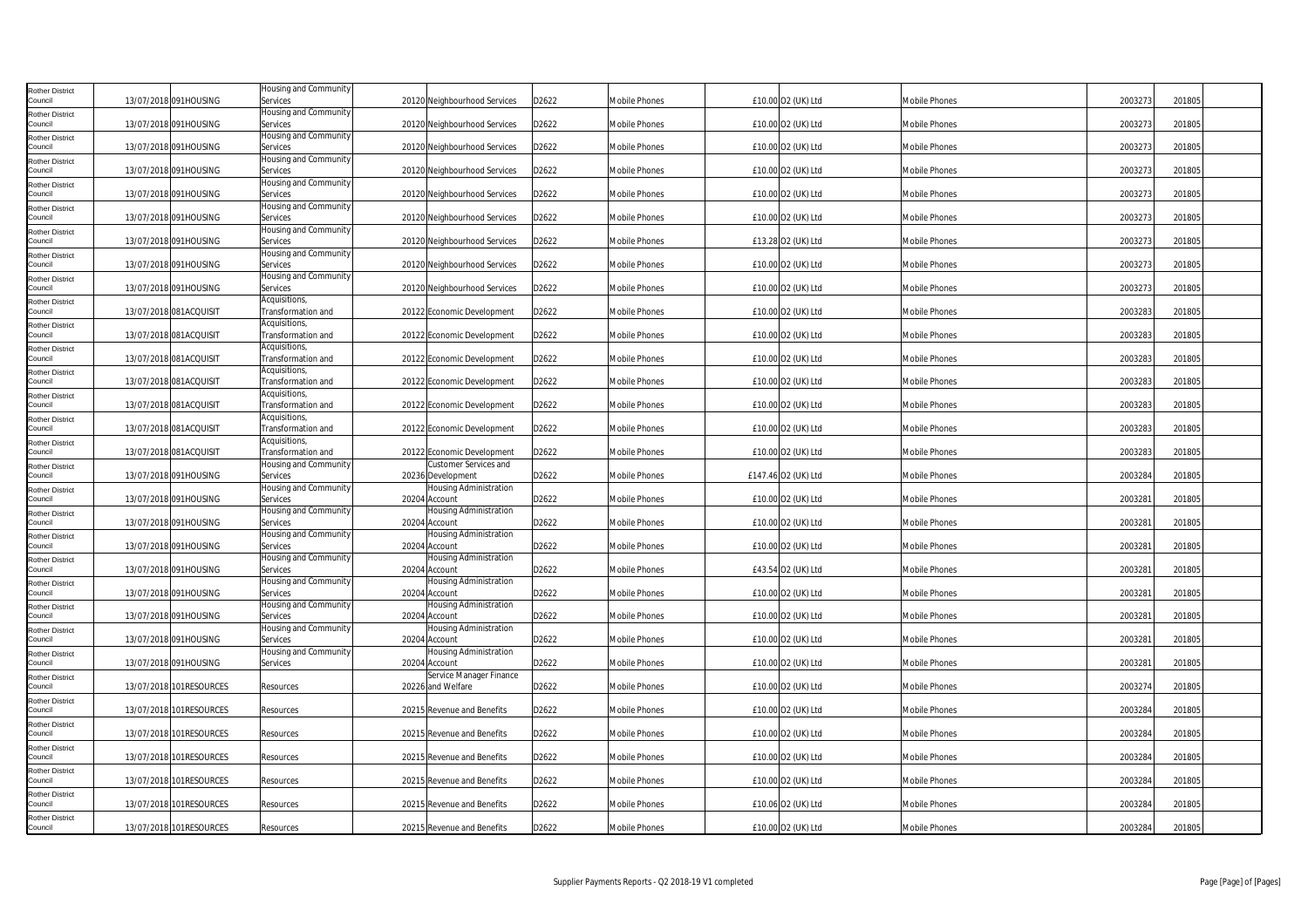| <b>Rother District</b><br>Council | 13/07/2018 091HOUSING   | Housing and Community<br>Services   | 20120 Neighbourhood Services                      | D2622 | Mobile Phones        | £10.00 O2 (UK) Ltd  | <b>Mobile Phones</b> | 2003273 | 201805 |
|-----------------------------------|-------------------------|-------------------------------------|---------------------------------------------------|-------|----------------------|---------------------|----------------------|---------|--------|
| <b>Rother District</b><br>Council | 13/07/2018 091HOUSING   | Housing and Community<br>Services   | 20120 Neighbourhood Services                      | D2622 | Mobile Phones        | £10.00 O2 (UK) Ltd  | Mobile Phones        | 2003273 | 201805 |
| <b>Rother District</b><br>Council | 13/07/2018 091HOUSING   | Housing and Community<br>Services   | 20120 Neighbourhood Services                      | D2622 | Mobile Phones        | £10.00 O2 (UK) Ltd  | Mobile Phones        | 2003273 | 201805 |
| <b>Rother District</b>            |                         | Housing and Community               |                                                   |       |                      |                     |                      |         |        |
| Council<br><b>Rother District</b> | 13/07/2018 091HOUSING   | Services<br>Housing and Community   | 20120 Neighbourhood Services                      | D2622 | Mobile Phones        | £10.00 O2 (UK) Ltd  | <b>Mobile Phones</b> | 2003273 | 201805 |
| Council<br><b>Rother District</b> | 13/07/2018 091HOUSING   | Services<br>Housing and Community   | 20120 Neighbourhood Services                      | D2622 | Mobile Phones        | £10.00 O2 (UK) Ltd  | Mobile Phones        | 2003273 | 201805 |
| Council                           | 13/07/2018 091HOUSING   | Services<br>Housing and Community   | 20120 Neighbourhood Services                      | D2622 | Mobile Phones        | £10.00 O2 (UK) Ltd  | Mobile Phones        | 2003273 | 201805 |
| <b>Rother District</b><br>Council | 13/07/2018 091HOUSING   | Services                            | 20120 Neighbourhood Services                      | D2622 | Mobile Phones        | £13.28 O2 (UK) Ltd  | <b>Mobile Phones</b> | 2003273 | 201805 |
| <b>Rother District</b><br>Council | 13/07/2018 091HOUSING   | Housing and Community<br>Services   | 20120 Neighbourhood Services                      | D2622 | Mobile Phones        | £10.00 O2 (UK) Ltd  | <b>Mobile Phones</b> | 2003273 | 201805 |
| <b>Rother District</b><br>Council | 13/07/2018 091HOUSING   | Housing and Community<br>Services   | 20120 Neighbourhood Services                      | D2622 | Mobile Phones        | £10.00 O2 (UK) Ltd  | Mobile Phones        | 2003273 | 201805 |
| <b>Rother District</b><br>Council | 13/07/2018 081ACQUISIT  | Acquisitions,<br>Transformation and | 20122 Economic Development                        | D2622 | Mobile Phones        | £10.00 O2 (UK) Ltd  | Mobile Phones        | 2003283 | 201805 |
| <b>Rother District</b>            |                         | Acquisitions,                       |                                                   |       |                      |                     |                      |         |        |
| Council<br><b>Rother District</b> | 13/07/2018 081ACQUISIT  | Transformation and<br>Acquisitions, | 20122 Economic Development                        | D2622 | <b>Mobile Phones</b> | £10.00 O2 (UK) Ltd  | Mobile Phones        | 2003283 | 201805 |
| Council<br><b>Rother District</b> | 13/07/2018 081ACQUISIT  | Transformation and<br>Acquisitions, | 20122 Economic Development                        | D2622 | Mobile Phones        | £10.00 O2 (UK) Ltd  | Mobile Phones        | 2003283 | 201805 |
| Council                           | 13/07/2018 081ACQUISIT  | Transformation and<br>Acquisitions, | 20122 Economic Development                        | D2622 | Mobile Phones        | £10.00 O2 (UK) Ltd  | <b>Mobile Phones</b> | 2003283 | 201805 |
| <b>Rother District</b><br>Council | 13/07/2018 081ACQUISIT  | Transformation and                  | 20122 Economic Development                        | D2622 | Mobile Phones        | £10.00 O2 (UK) Ltd  | <b>Mobile Phones</b> | 2003283 | 201805 |
| <b>Rother District</b><br>Council | 13/07/2018 081ACQUISIT  | Acquisitions,<br>Transformation and | 20122 Economic Development                        | D2622 | Mobile Phones        | £10.00 O2 (UK) Ltd  | <b>Mobile Phones</b> | 2003283 | 201805 |
| <b>Rother District</b><br>Council | 13/07/2018 081ACQUISIT  | Acquisitions,<br>Transformation and | 20122 Economic Development                        | D2622 | Mobile Phones        | £10.00 O2 (UK) Ltd  | Mobile Phones        | 2003283 | 201805 |
| <b>Rother District</b><br>Council | 13/07/2018 091HOUSING   | Housing and Community<br>Services   | <b>Customer Services and</b><br>20236 Development | D2622 | Mobile Phones        | £147.46 O2 (UK) Ltd | <b>Mobile Phones</b> | 2003284 | 201805 |
| <b>Rother District</b>            |                         | Housing and Community               | Housing Administration                            |       |                      |                     |                      |         |        |
| Council<br><b>Rother District</b> | 13/07/2018 091HOUSING   | Services<br>Housing and Community   | 20204 Account<br>Housing Administration           | D2622 | Mobile Phones        | £10.00 O2 (UK) Ltd  | <b>Mobile Phones</b> | 2003281 | 201805 |
| Council<br><b>Rother District</b> | 13/07/2018 091HOUSING   | Services<br>Housing and Community   | 20204 Account<br><b>Housing Administration</b>    | D2622 | Mobile Phones        | £10.00 O2 (UK) Ltd  | <b>Mobile Phones</b> | 2003281 | 201805 |
| Council                           | 13/07/2018 091HOUSING   | Services<br>Housing and Community   | 20204 Account<br>Housing Administration           | D2622 | Mobile Phones        | £10.00 O2 (UK) Ltd  | Mobile Phones        | 2003281 | 201805 |
| <b>Rother District</b><br>Council | 13/07/2018 091HOUSING   | Services                            | 20204 Account                                     | D2622 | Mobile Phones        | £43.54 O2 (UK) Ltd  | <b>Mobile Phones</b> | 2003281 | 201805 |
| <b>Rother District</b><br>Council | 13/07/2018 091HOUSING   | Housing and Community<br>Services   | Housing Administration<br>20204 Account           | D2622 | Mobile Phones        | £10.00 O2 (UK) Ltd  | <b>Mobile Phones</b> | 2003281 | 201805 |
| <b>Rother District</b><br>Council | 13/07/2018 091HOUSING   | Housing and Community<br>Services   | Housing Administration<br>20204 Account           | D2622 | Mobile Phones        | £10.00 O2 (UK) Ltd  | <b>Mobile Phones</b> | 2003281 | 201805 |
| <b>Rother District</b><br>Council | 13/07/2018 091HOUSING   | Housing and Community<br>Services   | <b>Housing Administration</b><br>20204 Account    | D2622 | Mobile Phones        | £10.00 O2 (UK) Ltd  | <b>Mobile Phones</b> | 2003281 | 201805 |
| <b>Rother District</b>            | 13/07/2018 091HOUSING   | Housing and Community               | Housing Administration                            |       | Mobile Phones        |                     |                      | 2003281 | 201805 |
| Council<br><b>Rother District</b> |                         | Services                            | 20204 Account<br>Service Manager Finance          | D2622 |                      | £10.00 O2 (UK) Ltd  | <b>Mobile Phones</b> |         |        |
| Council<br><b>Rother District</b> | 13/07/2018 101RESOURCES | Resources                           | 20226 and Welfare                                 | D2622 | Mobile Phones        | £10.00 O2 (UK) Ltd  | Mobile Phones        | 2003274 | 201805 |
| Council<br><b>Rother District</b> | 13/07/2018 101RESOURCES | Resources                           | 20215 Revenue and Benefits                        | D2622 | Mobile Phones        | £10.00 O2 (UK) Ltd  | <b>Mobile Phones</b> | 2003284 | 201805 |
| Council                           | 13/07/2018 101RESOURCES | Resources                           | 20215 Revenue and Benefits                        | D2622 | Mobile Phones        | £10.00 O2 (UK) Ltd  | <b>Mobile Phones</b> | 2003284 | 201805 |
| <b>Rother District</b><br>Council | 13/07/2018 101RESOURCES | Resources                           | 20215 Revenue and Benefits                        | D2622 | Mobile Phones        | £10.00 O2 (UK) Ltd  | <b>Mobile Phones</b> | 2003284 | 201805 |
| <b>Rother District</b><br>Council | 13/07/2018 101RESOURCES | Resources                           | 20215 Revenue and Benefits                        | D2622 | Mobile Phones        | £10.00 O2 (UK) Ltd  | Mobile Phones        | 2003284 | 201805 |
| <b>Rother District</b><br>Council | 13/07/2018 101RESOURCES | Resources                           | 20215 Revenue and Benefits                        | D2622 | Mobile Phones        | £10.06 O2 (UK) Ltd  | <b>Mobile Phones</b> | 2003284 | 201805 |
| <b>Rother District</b><br>Council | 13/07/2018 101RESOURCES | Resources                           | 20215 Revenue and Benefits                        | D2622 | <b>Mobile Phones</b> | £10.00 O2 (UK) Ltd  | Mobile Phones        | 2003284 | 201805 |
|                                   |                         |                                     |                                                   |       |                      |                     |                      |         |        |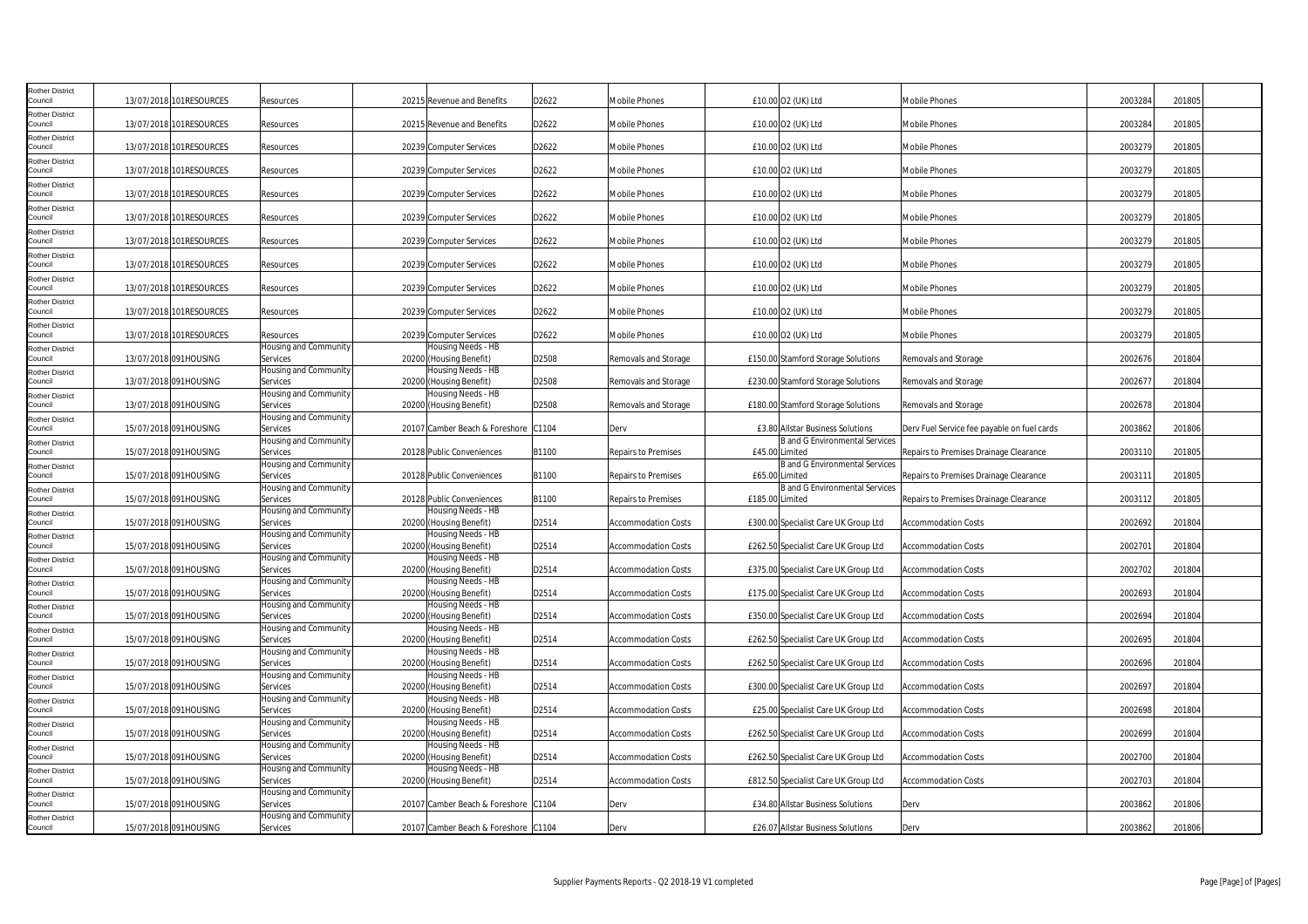| Rother District<br>Council                    | 13/07/2018 101RESOURCES                        | Resources                                     | 20215 Revenue and Benefits                                               | D2622          | <b>Mobile Phones</b>                                     | £10.00 O2 (UK) Ltd                                                           | Mobile Phones                                            | 2003284            | 201805           |
|-----------------------------------------------|------------------------------------------------|-----------------------------------------------|--------------------------------------------------------------------------|----------------|----------------------------------------------------------|------------------------------------------------------------------------------|----------------------------------------------------------|--------------------|------------------|
| Rother District<br>Council                    | 13/07/2018 101RESOURCES                        | Resources                                     | 20215 Revenue and Benefits                                               | D2622          | Mobile Phones                                            | £10.00 O2 (UK) Ltd                                                           | <b>Mobile Phones</b>                                     | 2003284            | 201805           |
| Rother District<br>Council                    | 13/07/2018 101RESOURCES                        | Resources                                     | 20239 Computer Services                                                  | D2622          | Mobile Phones                                            | £10.00 O2 (UK) Ltd                                                           | Mobile Phones                                            | 2003279            | 201805           |
| Rother District<br>Council                    | 13/07/2018 101RESOURCES                        | Resources                                     | 20239 Computer Services                                                  | D2622          | <b>Mobile Phones</b>                                     | £10.00 O2 (UK) Ltd                                                           | <b>Mobile Phones</b>                                     | 2003279            | 201805           |
| Rother District<br>Council                    | 13/07/2018 101RESOURCES                        | Resources                                     | 20239 Computer Services                                                  | D2622          | <b>Mobile Phones</b>                                     | £10.00 O2 (UK) Ltd                                                           | <b>Mobile Phones</b>                                     | 2003279            | 201805           |
| Rother District<br>Council                    | 13/07/2018 101RESOURCES                        | Resources                                     | 20239 Computer Services                                                  | D2622          | Mobile Phones                                            | £10.00 O2 (UK) Ltd                                                           | Mobile Phones                                            | 2003279            | 201805           |
| Rother District<br>Council                    | 13/07/2018 101RESOURCES                        | Resources                                     | 20239 Computer Services                                                  | D2622          | <b>Mobile Phones</b>                                     | £10.00 O2 (UK) Ltd                                                           | <b>Mobile Phones</b>                                     | 2003279            | 201805           |
| <b>Rother District</b><br>Council             | 13/07/2018 101RESOURCES                        | Resources                                     | 20239 Computer Services                                                  | D2622          | <b>Mobile Phones</b>                                     | £10.00 O2 (UK) Ltd                                                           | <b>Mobile Phones</b>                                     | 2003279            | 201805           |
| <b>Rother District</b><br>Council             | 13/07/2018 101RESOURCES                        | Resources                                     | 20239 Computer Services                                                  | D2622          | Mobile Phones                                            | £10.00 O2 (UK) Ltd                                                           | Mobile Phones                                            | 2003279            | 201805           |
| Rother District<br>Council<br>Rother District | 13/07/2018 101RESOURCES                        | Resources                                     | 20239 Computer Services                                                  | D2622          | Mobile Phones                                            | £10.00 O2 (UK) Ltd                                                           | Mobile Phones                                            | 2003279            | 201805           |
| Council<br><b>Rother District</b>             | 13/07/2018 101RESOURCES                        | Resources<br>Housing and Community            | 20239 Computer Services<br>Housing Needs - HB                            | D2622          | <b>Mobile Phones</b>                                     | £10.00 O2 (UK) Ltd                                                           | <b>Mobile Phones</b>                                     | 2003279            | 201805           |
| Council<br>Rother District                    | 13/07/2018 091HOUSING                          | Services<br>Housing and Community             | 20200 (Housing Benefit)<br>Housing Needs - HB                            | D2508          | Removals and Storage                                     | £150.00 Stamford Storage Solutions                                           | Removals and Storage                                     | 2002676            | 201804           |
| Council<br>Rother District                    | 13/07/2018 091HOUSING                          | Services<br>Housing and Community             | 20200 (Housing Benefit)<br>Housing Needs - HB                            | D2508          | Removals and Storage                                     | £230.00 Stamford Storage Solutions                                           | Removals and Storage                                     | 2002677            | 201804           |
| Council<br><b>Rother District</b>             | 13/07/2018 091HOUSING                          | Services<br>Housing and Community             | 20200 (Housing Benefit)                                                  | D2508          | Removals and Storage                                     | £180.00 Stamford Storage Solutions                                           | Removals and Storage                                     | 2002678            | 201804           |
| Council<br>Rother District                    | 15/07/2018 091HOUSING                          | Services<br>Housing and Community             | 20107 Camber Beach & Foreshore                                           | C1104          | Derv                                                     | £3.80 Allstar Business Solutions<br><b>B</b> and G Environmental Services    | Derv Fuel Service fee payable on fuel cards              | 2003862            | 201806           |
| Council<br>Rother District                    | 15/07/2018 091HOUSING                          | Services<br>Housing and Community             | 20128 Public Conveniences                                                | B1100          | Repairs to Premises                                      | £45.00 Limited<br>B and G Environmental Services                             | Repairs to Premises Drainage Clearance                   | 2003110            | 201805           |
| Council<br><b>Rother District</b>             | 15/07/2018 091HOUSING                          | Services<br>Housing and Community             | 20128 Public Conveniences                                                | B1100          | Repairs to Premises                                      | £65.00 Limited<br><b>B</b> and G Environmental Services                      | Repairs to Premises Drainage Clearance                   | 2003111            | 201805           |
| Council<br><b>Rother District</b>             | 15/07/2018 091HOUSING                          | Services<br>Housing and Community             | 20128 Public Conveniences<br>Housing Needs - HB                          | B1100          | Repairs to Premises                                      | £185.00 Limited                                                              | Repairs to Premises Drainage Clearance                   | 2003112            | 201805           |
| Council<br><b>Rother District</b>             | 15/07/2018 091HOUSING                          | Services<br>Housing and Community             | 20200 (Housing Benefit)<br>Housing Needs - HB                            | D2514          | <b>Accommodation Costs</b>                               | £300.00 Specialist Care UK Group Ltd                                         | <b>Accommodation Costs</b>                               | 2002692            | 201804           |
| Council<br>Rother District                    | 15/07/2018 091HOUSING                          | Services<br>Housing and Community             | 20200 (Housing Benefit)<br>Housing Needs - HB                            | D2514          | <b>Accommodation Costs</b>                               | £262.50 Specialist Care UK Group Ltd                                         | <b>Accommodation Costs</b>                               | 2002701            | 201804           |
| Council<br>Rother District                    | 15/07/2018 091HOUSING                          | Services<br>Housing and Community             | 20200 (Housing Benefit)<br>Housing Needs - HB                            | D2514          | <b>Accommodation Costs</b>                               | £375.00 Specialist Care UK Group Ltd                                         | Accommodation Costs                                      | 2002702            | 201804           |
| Council<br>Rother District                    | 15/07/2018 091HOUSING                          | Services<br>Housing and Community             | 20200 (Housing Benefit)<br>Housing Needs - HB                            | D2514          | <b>Accommodation Costs</b>                               | £175.00 Specialist Care UK Group Ltd                                         | <b>Accommodation Costs</b>                               | 2002693            | 201804           |
| Council<br>Rother District                    | 15/07/2018 091HOUSING                          | Services<br>Housing and Community             | 20200 (Housing Benefit)<br>Housing Needs - HB                            | D2514          | <b>Accommodation Costs</b>                               | £350.00 Specialist Care UK Group Ltd                                         | <b>Accommodation Costs</b>                               | 2002694            | 201804           |
| Council<br><b>Rother District</b>             | 15/07/2018 091HOUSING                          | Services<br>Housing and Community             | 20200 (Housing Benefit)<br>Housing Needs - HB                            | D2514          | <b>Accommodation Costs</b>                               | £262.50 Specialist Care UK Group Ltd                                         | <b>Accommodation Costs</b>                               | 2002695            | 201804           |
| Council<br><b>Rother District</b>             | 15/07/2018 091HOUSING                          | Services<br>Housing and Community             | 20200 (Housing Benefit)<br>Housing Needs - HB                            | D2514          | <b>Accommodation Costs</b>                               | £262.50 Specialist Care UK Group Ltd                                         | <b>Accommodation Costs</b>                               | 2002696            | 201804           |
| Council<br>Rother District                    | 15/07/2018 091HOUSING                          | Services<br>Housing and Community             | 20200 (Housing Benefit)<br>Housing Needs - HB                            | D2514          | <b>Accommodation Costs</b>                               | £300.00 Specialist Care UK Group Ltd                                         | <b>Accommodation Costs</b>                               | 2002697            | 201804           |
| Council<br>Rother District                    | 15/07/2018 091HOUSING                          | Services<br>Housing and Community             | 20200 (Housing Benefit)<br>Housing Needs - HB                            | D2514          | <b>Accommodation Costs</b>                               | £25.00 Specialist Care UK Group Ltd                                          | <b>Accommodation Costs</b>                               | 2002698            | 201804           |
| Council<br><b>Rother District</b><br>Council  | 15/07/2018 091HOUSING<br>15/07/2018 091HOUSING | Services<br>Housing and Community<br>Services | 20200 (Housing Benefit)<br>lousing Needs - HB                            | D2514<br>D2514 | <b>Accommodation Costs</b><br><b>Accommodation Costs</b> | £262.50 Specialist Care UK Group Ltd<br>£262.50 Specialist Care UK Group Ltd | <b>Accommodation Costs</b><br><b>Accommodation Costs</b> | 2002699<br>2002700 | 201804<br>201804 |
| Rother District<br>Council                    | 15/07/2018 091HOUSING                          | Housing and Community                         | 20200 (Housing Benefit)<br>Housing Needs - HB<br>20200 (Housing Benefit) | D2514          |                                                          | £812.50 Specialist Care UK Group Ltd                                         | <b>Accommodation Costs</b>                               | 2002703            | 201804           |
| <b>Rother District</b><br>Council             | 15/07/2018 091HOUSING                          | Services<br>Housing and Community<br>Services | 20107 Camber Beach & Foreshore C1104                                     |                | <b>Accommodation Costs</b><br>Derv                       | £34.80 Allstar Business Solutions                                            |                                                          | 2003862            | 201806           |
| Rother District<br>Council                    | 15/07/2018 091HOUSING                          | Housing and Community<br>Services             | 20107 Camber Beach & Foreshore C1104                                     |                | Derv                                                     | £26.07 Allstar Business Solutions                                            | Derv<br>Derv                                             | 2003862            | 201806           |
|                                               |                                                |                                               |                                                                          |                |                                                          |                                                                              |                                                          |                    |                  |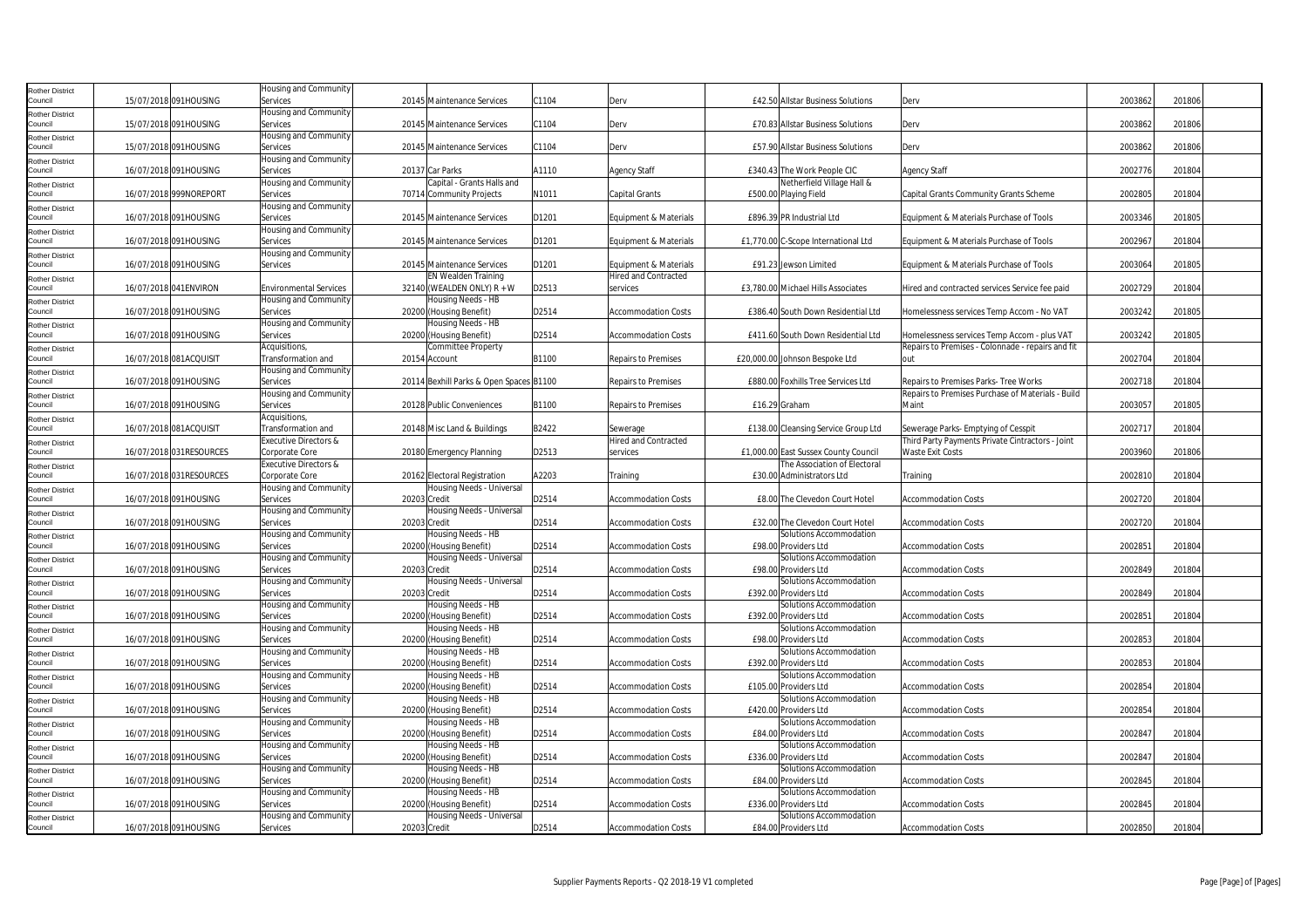| Rother District                   |                         | Housing and Community                    |                                                        |       |                             |                                                           |                                                   |         |        |
|-----------------------------------|-------------------------|------------------------------------------|--------------------------------------------------------|-------|-----------------------------|-----------------------------------------------------------|---------------------------------------------------|---------|--------|
| Council                           | 15/07/2018 091HOUSING   | Services                                 | 20145 Maintenance Services                             | C1104 | Derv                        | £42.50 Allstar Business Solutions                         | Derv                                              | 2003862 | 201806 |
| Rother District                   |                         | Housing and Community                    |                                                        |       |                             |                                                           |                                                   |         |        |
| Council                           | 15/07/2018 091HOUSING   | Services                                 | 20145 Maintenance Services                             | C1104 | Derv                        | £70.83 Allstar Business Solutions                         | Derv                                              | 2003862 | 201806 |
| Rother District                   |                         | Housing and Community                    |                                                        |       |                             |                                                           |                                                   |         |        |
| Council                           | 15/07/2018 091HOUSING   | Services                                 | 20145 Maintenance Services                             | C1104 | Derv                        | £57.90 Allstar Business Solutions                         | Derv                                              | 2003862 | 201806 |
| Rother District                   |                         | Housing and Community                    |                                                        |       |                             |                                                           |                                                   |         |        |
| Council                           | 16/07/2018 091HOUSING   | Services                                 | 20137 Car Parks                                        | A1110 | <b>Agency Staff</b>         | £340.43 The Work People CIC<br>Netherfield Village Hall & | <b>Agency Staff</b>                               | 2002776 | 201804 |
| <b>Rother District</b><br>Council | 16/07/2018 999NOREPORT  | Housing and Community                    | Capital - Grants Halls and<br>70714 Community Projects | N1011 |                             | £500.00 Playing Field                                     | Capital Grants Community Grants Scheme            | 2002805 | 201804 |
|                                   |                         | Services<br>Housing and Community        |                                                        |       | Capital Grants              |                                                           |                                                   |         |        |
| Rother District<br>Council        | 16/07/2018 091HOUSING   | Services                                 | 20145 Maintenance Services                             | D1201 | Equipment & Materials       | £896.39 PR Industrial Ltd                                 | Equipment & Materials Purchase of Tools           | 2003346 | 201805 |
| Rother District                   |                         | Housing and Community                    |                                                        |       |                             |                                                           |                                                   |         |        |
| Council                           | 16/07/2018 091HOUSING   | Services                                 | 20145 Maintenance Services                             | D1201 | Equipment & Materials       | £1,770.00 C-Scope International Ltd                       | Equipment & Materials Purchase of Tools           | 2002967 | 201804 |
| Rother District                   |                         | Housing and Community                    |                                                        |       |                             |                                                           |                                                   |         |        |
| Council                           | 16/07/2018 091HOUSING   | Services                                 | 20145 Maintenance Services                             | D1201 | Equipment & Materials       | £91.23 Jewson Limited                                     | Equipment & Materials Purchase of Tools           | 2003064 | 201805 |
| Rother District                   |                         |                                          | <b>EN Wealden Training</b>                             |       | <b>Hired and Contracted</b> |                                                           |                                                   |         |        |
| Council                           | 16/07/2018 041ENVIRON   | <b>Environmental Services</b>            | 32140 (WEALDEN ONLY) $R + W$                           | D2513 | services                    | £3,780.00 Michael Hills Associates                        | Hired and contracted services Service fee paid    | 2002729 | 201804 |
| Rother District                   |                         | Housing and Community                    | Housing Needs - HB                                     |       |                             |                                                           |                                                   |         |        |
| Council                           | 16/07/2018 091HOUSING   | Services                                 | 20200 (Housing Benefit)                                | D2514 | <b>Accommodation Costs</b>  | £386.40 South Down Residential Ltd                        | Homelessness services Temp Accom - No VAT         | 2003242 | 201805 |
| <b>Rother District</b>            |                         | <b>Housing and Community</b>             | Housing Needs - HB                                     |       |                             |                                                           |                                                   |         |        |
| Council                           | 16/07/2018 091HOUSING   | Services                                 | 20200 (Housing Benefit)                                | D2514 | <b>Accommodation Costs</b>  | £411.60 South Down Residential Ltd                        | Homelessness services Temp Accom - plus VAT       | 2003242 | 201805 |
| Rother District<br>Council        | 16/07/2018 081ACQUISIT  | Acquisitions,                            | <b>Committee Property</b>                              | B1100 |                             | £20,000.00 Johnson Bespoke Ltd                            | Repairs to Premises - Colonnade - repairs and fit | 2002704 | 201804 |
|                                   |                         | Transformation and                       | 20154 Account                                          |       | <b>Repairs to Premises</b>  |                                                           | nut                                               |         |        |
| Rother District<br>Council        | 16/07/2018 091HOUSING   | Housing and Community<br>Services        | 20114 Bexhill Parks & Open Spaces B1100                |       | Repairs to Premises         | £880.00 Foxhills Tree Services Ltd                        | Repairs to Premises Parks- Tree Works             | 2002718 | 201804 |
| Rother District                   |                         | Housing and Community                    |                                                        |       |                             |                                                           | Repairs to Premises Purchase of Materials - Build |         |        |
| Council                           | 16/07/2018 091HOUSING   | Services                                 | 20128 Public Conveniences                              | B1100 | Repairs to Premises         | £16.29 Graham                                             | Maint                                             | 200305  | 201805 |
| Rother District                   |                         | Acquisitions,                            |                                                        |       |                             |                                                           |                                                   |         |        |
| Council                           | 16/07/2018 081ACQUISIT  | Transformation and                       | 20148 Misc Land & Buildings                            | B2422 | Sewerage                    | £138.00 Cleansing Service Group Ltd                       | Sewerage Parks- Emptying of Cesspit               | 2002717 | 201804 |
| <b>Rother District</b>            |                         | Executive Directors &                    |                                                        |       | <b>Hired and Contracted</b> |                                                           | Third Party Payments Private Cintractors - Joint  |         |        |
| Council                           | 16/07/2018 031RESOURCES | Corporate Core                           | 20180 Emergency Planning                               | D2513 | services                    | £1,000.00 East Sussex County Council                      | <b>Waste Exit Costs</b>                           | 2003960 | 201806 |
| <b>Rother District</b>            |                         | Executive Directors &                    |                                                        |       |                             | The Association of Electoral                              |                                                   |         |        |
| Council                           | 16/07/2018 031RESOURCES | Corporate Core                           | 20162 Electoral Registration                           | A2203 | <b>Training</b>             | £30.00 Administrators Ltd                                 | Training                                          | 2002810 | 201804 |
| <b>Rother District</b>            |                         | Housing and Community                    | Housing Needs - Universal                              |       |                             |                                                           |                                                   |         |        |
| Council                           | 16/07/2018 091HOUSING   | Services                                 | 20203 Credit                                           | D2514 | <b>Accommodation Costs</b>  | £8.00 The Clevedon Court Hotel                            | <b>Accommodation Costs</b>                        | 2002720 | 201804 |
| Rother District<br>Council        | 16/07/2018 091HOUSING   | Housing and Community<br>Services        | Housing Needs - Universal<br>20203 Credit              | D2514 | <b>Accommodation Costs</b>  | £32.00 The Clevedon Court Hotel                           | <b>Accommodation Costs</b>                        | 2002720 | 201804 |
|                                   |                         | Housing and Community                    | Housing Needs - HB                                     |       |                             | Solutions Accommodation                                   |                                                   |         |        |
| Rother District<br>Council        | 16/07/2018 091HOUSING   | Services                                 | 20200 (Housing Benefit)                                | D2514 | <b>Accommodation Costs</b>  | £98.00 Providers Ltd                                      | <b>Accommodation Costs</b>                        | 2002851 | 201804 |
| <b>Rother District</b>            |                         | Housing and Community                    | Housing Needs - Universal                              |       |                             | Solutions Accommodation                                   |                                                   |         |        |
| Council                           | 16/07/2018 091HOUSING   | Services                                 | 20203 Credit                                           | D2514 | <b>Accommodation Costs</b>  | £98.00 Providers Ltd                                      | <b>Accommodation Costs</b>                        | 2002849 | 201804 |
| Rother District                   |                         | Housing and Community                    | Housing Needs - Universal                              |       |                             | Solutions Accommodation                                   |                                                   |         |        |
| Council                           | 16/07/2018 091HOUSING   | Services                                 | 20203 Credit                                           | D2514 | Accommodation Costs         | £392.00 Providers Ltd                                     | <b>Accommodation Costs</b>                        | 2002849 | 201804 |
| Rother District                   |                         | lousing and Community                    | Housing Needs - HB                                     |       |                             | Solutions Accommodation                                   |                                                   |         |        |
| Council                           | 16/07/2018 091HOUSING   | Services                                 | 20200 (Housing Benefit)                                | D2514 | <b>Accommodation Costs</b>  | £392.00 Providers Ltd                                     | <b>Accommodation Costs</b>                        | 2002851 | 201804 |
| <b>Rother District</b>            |                         | Housing and Community                    | Housing Needs - HB                                     |       |                             | Solutions Accommodation                                   |                                                   |         |        |
| Council                           | 16/07/2018 091HOUSING   | Services                                 | 20200 (Housing Benefit)                                | D2514 | <b>Accommodation Costs</b>  | £98.00 Providers Ltd                                      | <b>Accommodation Costs</b>                        | 2002853 | 201804 |
| Rother District<br>Council        | 16/07/2018 091HOUSING   | Housing and Community<br>Services        | Housing Needs - HB                                     |       | <b>Accommodation Costs</b>  | Solutions Accommodation<br>£392.00 Providers Ltd          | <b>Accommodation Costs</b>                        | 2002853 | 201804 |
|                                   |                         | Housing and Community                    | 20200 (Housing Benefit)<br>Housing Needs - HB          | D2514 |                             | Solutions Accommodation                                   |                                                   |         |        |
| Rother District<br>Council        | 16/07/2018 091HOUSING   | Services                                 | 20200 (Housing Benefit)                                | D2514 | <b>Accommodation Costs</b>  | £105.00 Providers Ltd                                     | <b>Accommodation Costs</b>                        | 2002854 | 201804 |
| Rother District                   |                         | <b>Housing and Community</b>             | Housing Needs - HB                                     |       |                             | Solutions Accommodation                                   |                                                   |         |        |
| Council                           | 16/07/2018 091HOUSING   | Services                                 | 20200 (Housing Benefit)                                | D2514 | <b>Accommodation Costs</b>  | £420.00 Providers Ltd                                     | <b>Accommodation Costs</b>                        | 2002854 | 201804 |
| Rother District                   |                         | Housing and Community                    | Housing Needs - HB                                     |       |                             | Solutions Accommodation                                   |                                                   |         |        |
| Council                           | 16/07/2018 091HOUSING   | Services                                 | 20200 (Housing Benefit)                                | D2514 | <b>Accommodation Costs</b>  | £84.00 Providers Ltd                                      | <b>Accommodation Costs</b>                        | 2002847 | 201804 |
| <b>Rother District</b>            |                         | Housing and Community                    | Housing Needs - HB                                     |       |                             | Solutions Accommodation                                   |                                                   |         |        |
| Council                           | 16/07/2018 091HOUSING   | Services                                 | 20200 (Housing Benefit)                                | D2514 | <b>Accommodation Costs</b>  | £336.00 Providers Ltd                                     | <b>Accommodation Costs</b>                        | 2002847 | 201804 |
| Rother District                   |                         | Housing and Community                    | Housing Needs - HB                                     |       |                             | Solutions Accommodation                                   |                                                   |         |        |
| Council                           | 16/07/2018 091HOUSING   | Services                                 | 20200 (Housing Benefit)                                | D2514 | <b>Accommodation Costs</b>  | £84.00 Providers Ltd                                      | <b>Accommodation Costs</b>                        | 2002845 | 201804 |
| Rother District<br>Council        | 16/07/2018 091HOUSING   | <b>Housing and Community</b><br>Services | Housing Needs - HB<br>20200 (Housing Benefit)          | D2514 | <b>Accommodation Costs</b>  | Solutions Accommodation<br>£336.00 Providers Ltd          | <b>Accommodation Costs</b>                        | 2002845 | 201804 |
|                                   |                         | Housing and Community                    | Housing Needs - Universal                              |       |                             | Solutions Accommodation                                   |                                                   |         |        |
| Rother District<br>Council        | 16/07/2018 091HOUSING   | Services                                 | 20203 Credit                                           | D2514 | <b>Accommodation Costs</b>  | £84.00 Providers Ltd                                      | <b>Accommodation Costs</b>                        | 2002850 | 201804 |
|                                   |                         |                                          |                                                        |       |                             |                                                           |                                                   |         |        |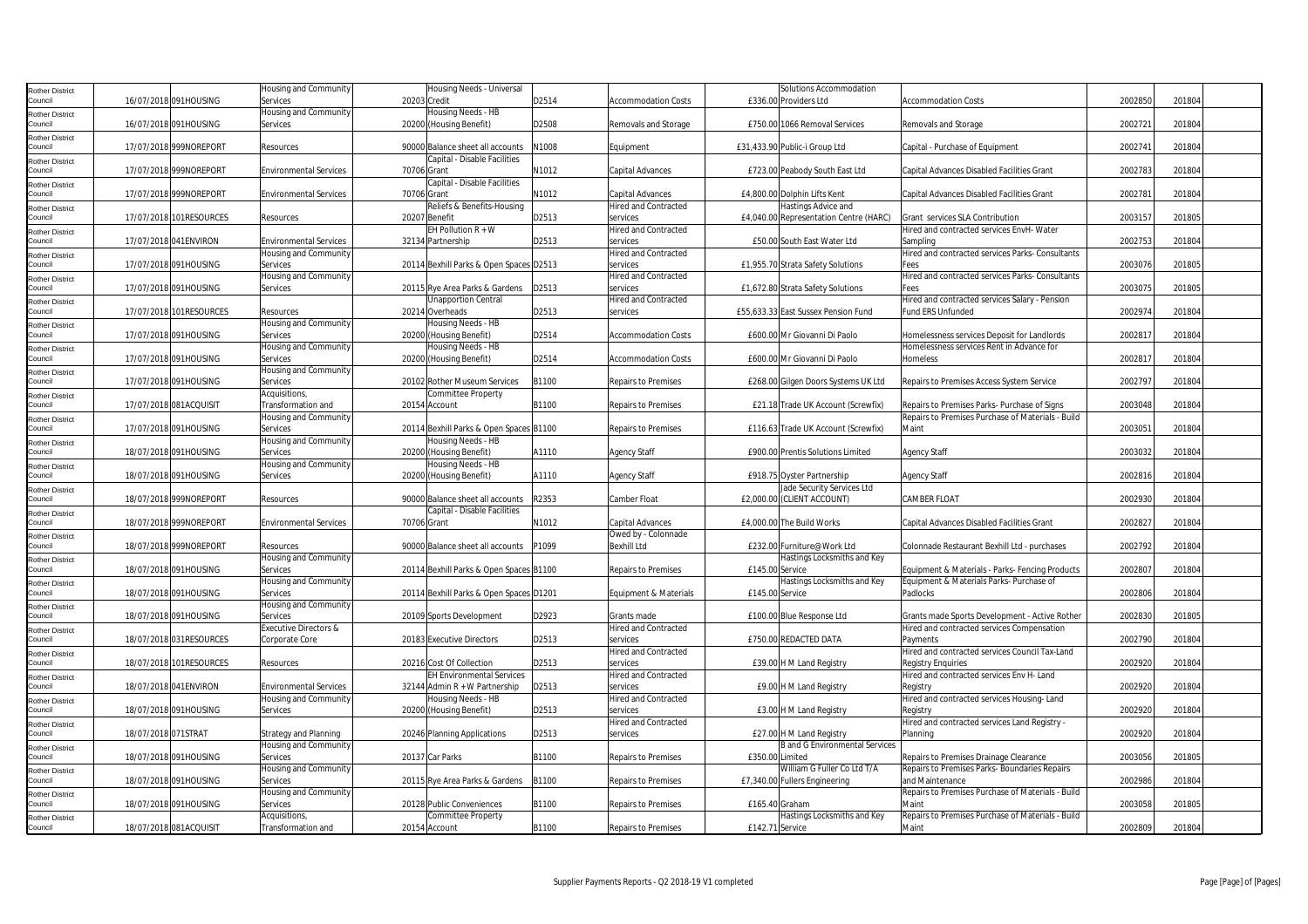| Rother District            |                     |                         | Housing and Community         | Housing Needs - Universal               |       |                             |                 | Solutions Accommodation                |                                                   |         |        |  |
|----------------------------|---------------------|-------------------------|-------------------------------|-----------------------------------------|-------|-----------------------------|-----------------|----------------------------------------|---------------------------------------------------|---------|--------|--|
| Council                    |                     | 16/07/2018 091HOUSING   | Services                      | 20203 Credit                            | D2514 | <b>Accommodation Costs</b>  |                 | £336.00 Providers Ltd                  | <b>Accommodation Costs</b>                        | 2002850 | 201804 |  |
|                            |                     |                         | Housing and Community         | Housing Needs - HB                      |       |                             |                 |                                        |                                                   |         |        |  |
| Rother District<br>Council |                     |                         |                               |                                         |       |                             |                 | £750.00 1066 Removal Services          |                                                   | 2002721 | 201804 |  |
|                            |                     | 16/07/2018 091HOUSING   | Services                      | 20200 (Housing Benefit)                 | D2508 | Removals and Storage        |                 |                                        | Removals and Storage                              |         |        |  |
| Rother District            |                     |                         |                               |                                         |       |                             |                 |                                        |                                                   |         |        |  |
| Council                    |                     | 17/07/2018 999NOREPORT  | Resources                     | 90000 Balance sheet all accounts        | N1008 | Equipment                   |                 | £31,433.90 Public-i Group Ltd          | Capital - Purchase of Equipment                   | 2002741 | 201804 |  |
| Rother District            |                     |                         |                               | Capital - Disable Facilities            |       |                             |                 |                                        |                                                   |         |        |  |
| Council                    |                     | 17/07/2018 999NOREPORT  | <b>Environmental Services</b> | 70706 Grant                             | N1012 | Capital Advances            |                 | £723.00 Peabody South East Ltd         | Capital Advances Disabled Facilities Grant        | 2002783 | 201804 |  |
| Rother District            |                     |                         |                               | Capital - Disable Facilities            |       |                             |                 |                                        |                                                   |         |        |  |
| Council                    |                     | 17/07/2018 999NOREPORT  | <b>Environmental Services</b> | 70706 Grant                             | N1012 | Capital Advances            |                 | £4,800.00 Dolphin Lifts Kent           | Capital Advances Disabled Facilities Grant        | 2002781 | 201804 |  |
|                            |                     |                         |                               |                                         |       |                             |                 |                                        |                                                   |         |        |  |
| Rother District            |                     |                         |                               | Reliefs & Benefits-Housing              |       | <b>Hired and Contracted</b> |                 | Hastings Advice and                    |                                                   |         |        |  |
| Council                    |                     | 17/07/2018 101RESOURCES | Resources                     | 20207 Benefit                           | D2513 | services                    |                 | £4,040.00 Representation Centre (HARC) | Grant services SLA Contribution                   | 2003157 | 201805 |  |
| Rother District            |                     |                         |                               | EH Pollution $R + W$                    |       | <b>Hired and Contracted</b> |                 |                                        | Hired and contracted services EnvH-Water          |         |        |  |
| Council                    |                     | 17/07/2018 041ENVIRON   | <b>Environmental Services</b> | 32134 Partnership                       | D2513 | services                    |                 | £50.00 South East Water Ltd            | Sampling                                          | 2002753 | 201804 |  |
| Rother District            |                     |                         | Housing and Community         |                                         |       | <b>Hired and Contracted</b> |                 |                                        | Hired and contracted services Parks- Consultants  |         |        |  |
| Council                    |                     | 17/07/2018 091HOUSING   | Services                      | 20114 Bexhill Parks & Open Spaces D2513 |       | services                    |                 | £1,955.70 Strata Safety Solutions      | Fees                                              | 2003076 | 201805 |  |
|                            |                     |                         | Housing and Community         |                                         |       | <b>Hired and Contracted</b> |                 |                                        | Hired and contracted services Parks- Consultants  |         |        |  |
| Rother District<br>Council |                     |                         |                               |                                         |       |                             |                 |                                        |                                                   |         |        |  |
|                            |                     | 17/07/2018 091HOUSING   | Services                      | 20115 Rye Area Parks & Gardens          | D2513 | services                    |                 | £1,672.80 Strata Safety Solutions      | Fees                                              | 2003075 | 201805 |  |
| Rother District            |                     |                         |                               | <b>Unapportion Central</b>              |       | <b>Hired and Contracted</b> |                 |                                        | Hired and contracted services Salary - Pension    |         |        |  |
| Council                    |                     | 17/07/2018 101RESOURCES | Resources                     | 20214 Overheads                         | D2513 | services                    |                 | £55,633.33 East Sussex Pension Fund    | Fund ERS Unfunded                                 | 2002974 | 201804 |  |
| Rother District            |                     |                         | Housing and Community         | Housing Needs - HB                      |       |                             |                 |                                        |                                                   |         |        |  |
| Council                    |                     | 17/07/2018 091HOUSING   | Services                      | 20200 (Housing Benefit)                 | D2514 | <b>Accommodation Costs</b>  |                 | £600.00 Mr Giovanni Di Paolo           | Homelessness services Deposit for Landlords       | 2002817 | 201804 |  |
| Rother District            |                     |                         | Housing and Community         | Housing Needs - HB                      |       |                             |                 |                                        | Homelessness services Rent in Advance for         |         |        |  |
| Council                    |                     | 17/07/2018 091HOUSING   | Services                      | 20200 (Housing Benefit)                 | D2514 | <b>Accommodation Costs</b>  |                 | £600.00 Mr Giovanni Di Paolo           | Homeless                                          | 2002817 | 201804 |  |
|                            |                     |                         |                               |                                         |       |                             |                 |                                        |                                                   |         |        |  |
| Rother District            |                     |                         | Housing and Community         |                                         |       |                             |                 |                                        |                                                   |         |        |  |
| Council                    |                     | 17/07/2018 091HOUSING   | Services                      | 20102 Rother Museum Services            | B1100 | <b>Repairs to Premises</b>  |                 | £268.00 Gilgen Doors Systems UK Ltd    | Repairs to Premises Access System Service         | 2002797 | 201804 |  |
| Rother District            |                     |                         | Acquisitions,                 | <b>Committee Property</b>               |       |                             |                 |                                        |                                                   |         |        |  |
| Council                    |                     | 17/07/2018 081ACQUISIT  | Transformation and            | 20154 Account                           | B1100 | <b>Repairs to Premises</b>  |                 | £21.18 Trade UK Account (Screwfix)     | Repairs to Premises Parks- Purchase of Signs      | 2003048 | 201804 |  |
| Rother District            |                     |                         | Housing and Community         |                                         |       |                             |                 |                                        | Repairs to Premises Purchase of Materials - Build |         |        |  |
| Council                    |                     | 17/07/2018 091HOUSING   | Services                      | 20114 Bexhill Parks & Open Spaces B1100 |       | <b>Repairs to Premises</b>  |                 | £116.63 Trade UK Account (Screwfix)    | Maint                                             | 2003051 | 201804 |  |
|                            |                     |                         |                               |                                         |       |                             |                 |                                        |                                                   |         |        |  |
| Rother District            |                     |                         | Housing and Community         | Housing Needs - HB                      |       |                             |                 |                                        |                                                   |         |        |  |
| Council                    |                     | 18/07/2018 091HOUSING   | Services                      | 20200 (Housing Benefit)                 | A1110 | <b>Agency Staff</b>         |                 | £900.00 Prentis Solutions Limited      | <b>Agency Staff</b>                               | 2003032 | 201804 |  |
| Rother District            |                     |                         | Housing and Community         | Housing Needs - HB                      |       |                             |                 |                                        |                                                   |         |        |  |
| Council                    |                     | 18/07/2018 091HOUSING   | Services                      | 20200 (Housing Benefit)                 | A1110 | <b>Agency Staff</b>         |                 | £918.75 Oyster Partnership             | <b>Agency Staff</b>                               | 2002816 | 201804 |  |
| Rother District            |                     |                         |                               |                                         |       |                             |                 | Jade Security Services Ltd             |                                                   |         |        |  |
| Council                    |                     | 18/07/2018 999NOREPORT  | Resources                     | 90000 Balance sheet all accounts        | R2353 | Camber Float                |                 | £2,000.00 (CLIENT ACCOUNT)             | <b>CAMBER FLOAT</b>                               | 2002930 | 201804 |  |
|                            |                     |                         |                               | Capital - Disable Facilities            |       |                             |                 |                                        |                                                   |         |        |  |
| Rother District            |                     |                         |                               |                                         |       |                             |                 |                                        |                                                   |         |        |  |
| Council                    |                     | 18/07/2018 999NOREPORT  | <b>Environmental Services</b> | 70706 Grant                             | N1012 | Capital Advances            |                 | £4,000,00 The Build Works              | Capital Advances Disabled Facilities Grant        | 2002827 | 201804 |  |
| Rother District            |                     |                         |                               |                                         |       | Owed by - Colonnade         |                 |                                        |                                                   |         |        |  |
| Council                    |                     | 18/07/2018 999NOREPORT  | Resources                     | 90000 Balance sheet all accounts        | P1099 | <b>Bexhill Ltd</b>          |                 | £232.00 Furniture@Work Ltd             | Colonnade Restaurant Bexhill Ltd - purchases      | 2002792 | 201804 |  |
| Rother District            |                     |                         | Housing and Community         |                                         |       |                             |                 | Hastings Locksmiths and Key            |                                                   |         |        |  |
| Council                    |                     | 18/07/2018 091HOUSING   | Services                      | 20114 Bexhill Parks & Open Spaces B1100 |       | <b>Repairs to Premises</b>  | £145.00 Service |                                        | Equipment & Materials - Parks- Fencing Products   | 2002807 | 201804 |  |
| Rother District            |                     |                         | Housing and Community         |                                         |       |                             |                 | Hastings Locksmiths and Key            | Equipment & Materials Parks- Purchase of          |         |        |  |
| Council                    |                     | 18/07/2018 091HOUSING   | Services                      | 20114 Bexhill Parks & Open Spaces D1201 |       | Equipment & Materials       | £145.00 Service |                                        | Padlocks                                          | 2002806 | 201804 |  |
|                            |                     |                         |                               |                                         |       |                             |                 |                                        |                                                   |         |        |  |
| Rother District            |                     |                         | Housing and Community         |                                         |       |                             |                 |                                        |                                                   |         |        |  |
| Council                    |                     | 18/07/2018 091HOUSING   | Services                      | 20109 Sports Development                | D2923 | Grants made                 |                 | £100.00 Blue Response Ltd              | Grants made Sports Development - Active Rother    | 2002830 | 201805 |  |
| Rother District            |                     |                         | Executive Directors &         |                                         |       | <b>Hired and Contracted</b> |                 |                                        | Hired and contracted services Compensation        |         |        |  |
| Council                    |                     | 18/07/2018 031RESOURCES | Corporate Core                | 20183 Executive Directors               | D2513 | services                    |                 | £750.00 REDACTED DATA                  | Payments                                          | 2002790 | 201804 |  |
| Rother District            |                     |                         |                               |                                         |       | <b>Hired and Contracted</b> |                 |                                        | Hired and contracted services Council Tax-Land    |         |        |  |
| Council                    |                     | 18/07/2018 101RESOURCES | Resources                     | 20216 Cost Of Collection                | D2513 | services                    |                 | £39.00 H M Land Registry               | <b>Registry Enquiries</b>                         | 2002920 | 201804 |  |
|                            |                     |                         |                               | <b>EH Environmental Services</b>        |       | <b>Hired and Contracted</b> |                 |                                        | Hired and contracted services Env H- Land         |         |        |  |
| <b>Rother District</b>     |                     |                         |                               |                                         |       |                             |                 |                                        |                                                   |         |        |  |
| Council                    |                     | 18/07/2018 041 ENVIRON  | <b>Environmental Services</b> | 32144 Admin R + W Partnership           | D2513 | services                    |                 | £9.00 H M Land Registry                | Registry                                          | 2002920 | 201804 |  |
| Rother District            |                     |                         | Housing and Community         | Housing Needs - HB                      |       | <b>Hired and Contracted</b> |                 |                                        | Hired and contracted services Housing-Land        |         |        |  |
| Council                    |                     | 18/07/2018 091HOUSING   | Services                      | 20200 (Housing Benefit)                 | D2513 | services                    |                 | £3.00 H M Land Registry                | Registry                                          | 2002920 | 201804 |  |
| Rother District            |                     |                         |                               |                                         |       | <b>Hired and Contracted</b> |                 |                                        | Hired and contracted services Land Registry -     |         |        |  |
| Council                    | 18/07/2018 071STRAT |                         | <b>Strategy and Planning</b>  | 20246 Planning Applications             | D2513 | services                    |                 | £27.00 H M Land Registry               | Planning                                          | 2002920 | 201804 |  |
| Rother District            |                     |                         | Housing and Community         |                                         |       |                             |                 | <b>B</b> and G Environmental Services  |                                                   |         |        |  |
| Council                    |                     | 18/07/2018 091HOUSING   | Services                      | 20137 Car Parks                         | B1100 | <b>Repairs to Premises</b>  | £350.00 Limited |                                        | Repairs to Premises Drainage Clearance            | 2003056 | 201805 |  |
|                            |                     |                         |                               |                                         |       |                             |                 |                                        |                                                   |         |        |  |
| Rother District            |                     |                         | Housing and Community         |                                         |       |                             |                 | William G Fuller Co Ltd T/A            | Repairs to Premises Parks-Boundaries Repairs      |         |        |  |
| Council                    |                     | 18/07/2018 091HOUSING   | Services                      | 20115 Rye Area Parks & Gardens          | B1100 | <b>Repairs to Premises</b>  |                 | £7,340.00 Fullers Engineering          | and Maintenance                                   | 2002986 | 201804 |  |
| <b>Rother District</b>     |                     |                         | Housing and Community         |                                         |       |                             |                 |                                        | Repairs to Premises Purchase of Materials - Build |         |        |  |
| Council                    |                     | 18/07/2018 091HOUSING   | Services                      | 20128 Public Conveniences               | B1100 | <b>Repairs to Premises</b>  | £165.40 Graham  |                                        | Maint                                             | 2003058 | 201805 |  |
| Rother District            |                     |                         | Acquisitions,                 | <b>Committee Property</b>               |       |                             |                 | Hastings Locksmiths and Key            | Repairs to Premises Purchase of Materials - Build |         |        |  |
| Council                    |                     | 18/07/2018 081ACQUISIT  | Transformation and            | 20154 Account                           | B1100 | <b>Repairs to Premises</b>  | £142.71 Service |                                        | Maint                                             | 2002809 | 201804 |  |
|                            |                     |                         |                               |                                         |       |                             |                 |                                        |                                                   |         |        |  |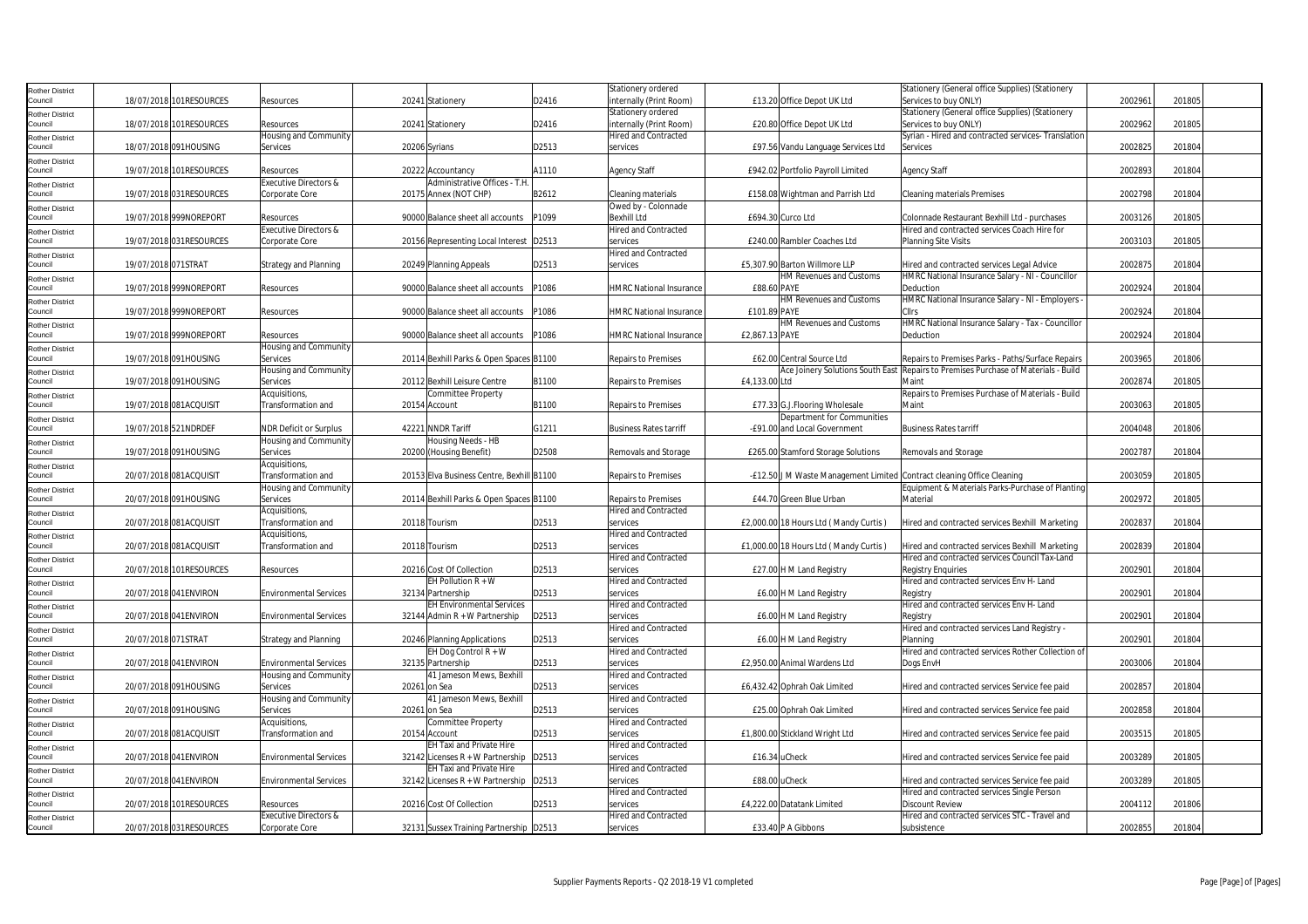| Rother District                   |                      |                          |                                  |                                           |       | Stationery ordered             |                   |                                       | Stationery (General office Supplies) (Stationery                                   |         |        |
|-----------------------------------|----------------------|--------------------------|----------------------------------|-------------------------------------------|-------|--------------------------------|-------------------|---------------------------------------|------------------------------------------------------------------------------------|---------|--------|
| Council                           |                      | 18/07/2018 101RESOURCES  | Resources                        | 20241 Stationery                          | D2416 | nternally (Print Room)         |                   | £13.20 Office Depot UK Ltd            | Services to buy ONLY)                                                              | 2002961 | 201805 |
|                                   |                      |                          |                                  |                                           |       | Stationery ordered             |                   |                                       | Stationery (General office Supplies) (Stationery                                   |         |        |
| Rother District<br>Council        |                      | 18/07/2018 101RESOURCES  | Resources                        | 20241 Stationery                          | D2416 | internally (Print Room)        |                   | £20.80 Office Depot UK Ltd            | Services to buy ONLY)                                                              | 2002962 | 201805 |
|                                   |                      |                          |                                  |                                           |       |                                |                   |                                       |                                                                                    |         |        |
| Rother District                   |                      |                          | Housing and Community            |                                           |       | Hired and Contracted           |                   |                                       | Syrian - Hired and contracted services- Translation                                |         |        |
| Council                           |                      | 18/07/2018 091HOUSING    | Services                         | 20206 Syrians                             | D2513 | services                       |                   | £97.56 Vandu Language Services Ltd    | Services                                                                           | 2002825 | 201804 |
| Rother District                   |                      |                          |                                  |                                           |       |                                |                   |                                       |                                                                                    |         |        |
| Council                           |                      | 19/07/2018 101 RESOURCES | Resources                        | 20222 Accountancy                         | A1110 | <b>Agency Staff</b>            |                   | £942.02 Portfolio Payroll Limited     | <b>Agency Staff</b>                                                                | 2002893 | 201804 |
| <b>Rother District</b>            |                      |                          | Executive Directors &            | Administrative Offices - T.H.             |       |                                |                   |                                       |                                                                                    |         |        |
| Council                           |                      | 19/07/2018 031RESOURCES  | Corporate Core                   | 20175 Annex (NOT CHP)                     | B2612 | Cleaning materials             |                   | £158.08 Wightman and Parrish Ltd      | <b>Cleaning materials Premises</b>                                                 | 2002798 | 201804 |
| Rother District                   |                      |                          |                                  |                                           |       | Owed by - Colonnade            |                   |                                       |                                                                                    |         |        |
| Council                           |                      | 19/07/2018 999NOREPORT   | Resources                        | 90000 Balance sheet all accounts          | P1099 | <b>Bexhill Ltd</b>             | £694.30 Curco Ltd |                                       | Colonnade Restaurant Bexhill Ltd - purchases                                       | 2003126 | 201805 |
| <b>Rother District</b>            |                      |                          | <b>Executive Directors &amp;</b> |                                           |       | Hired and Contracted           |                   |                                       | Hired and contracted services Coach Hire for                                       |         |        |
| Council                           |                      | 19/07/2018 031RESOURCES  | Corporate Core                   | 20156 Representing Local Interest D2513   |       | services                       |                   | £240.00 Rambler Coaches Ltd           | <b>Planning Site Visits</b>                                                        | 2003103 | 201805 |
| <b>Rother District</b>            |                      |                          |                                  |                                           |       | <b>Hired and Contracted</b>    |                   |                                       |                                                                                    |         |        |
| Council                           | 19/07/2018 071STRAT  |                          | <b>Strategy and Planning</b>     | 20249 Planning Appeals                    | D2513 | services                       |                   | £5.307.90 Barton Willmore LLP         | Hired and contracted services Legal Advice                                         | 2002875 | 201804 |
| Rother District                   |                      |                          |                                  |                                           |       |                                |                   | HM Revenues and Customs               | HMRC National Insurance Salary - NI - Councillor                                   |         |        |
| Council                           |                      | 19/07/2018 999NOREPORT   | Resources                        | 90000 Balance sheet all accounts          | P1086 | <b>HMRC National Insurance</b> | £88.60 PAYE       |                                       | Deduction                                                                          | 2002924 | 201804 |
| Rother District                   |                      |                          |                                  |                                           |       |                                |                   | HM Revenues and Customs               | HMRC National Insurance Salary - NI - Employers                                    |         |        |
| Council                           |                      | 19/07/2018 999NOREPORT   | Resources                        | 90000 Balance sheet all accounts          | P1086 | <b>HMRC National Insurance</b> | £101.89 PAYE      |                                       |                                                                                    | 2002924 | 201804 |
| Rother District                   |                      |                          |                                  |                                           |       |                                |                   | HM Revenues and Customs               | HMRC National Insurance Salary - Tax - Councillor                                  |         |        |
| Council                           |                      | 19/07/2018 999NOREPORT   | Resources                        | 90000 Balance sheet all accounts          | P1086 | <b>HMRC National Insurance</b> | £2,867.13 PAYE    |                                       | Deduction                                                                          | 2002924 | 201804 |
|                                   |                      |                          | Housing and Community            |                                           |       |                                |                   |                                       |                                                                                    |         |        |
| <b>Rother District</b><br>Council |                      | 19/07/2018 091HOUSING    | Services                         |                                           |       | <b>Repairs to Premises</b>     |                   | £62.00 Central Source Ltd             | Repairs to Premises Parks - Paths/Surface Repairs                                  | 2003965 | 201806 |
|                                   |                      |                          |                                  | 20114 Bexhill Parks & Open Spaces B1100   |       |                                |                   |                                       |                                                                                    |         |        |
| Rother District                   |                      |                          | Housing and Community            |                                           |       |                                |                   |                                       | Ace Joinery Solutions South East Repairs to Premises Purchase of Materials - Build |         |        |
| Council                           |                      | 19/07/2018 091HOUSING    | Services                         | 20112 Bexhill Leisure Centre              | B1100 | <b>Repairs to Premises</b>     | £4,133.00 Ltd     |                                       | Maint                                                                              | 2002874 | 201805 |
| <b>Rother District</b>            |                      |                          | Acquisitions,                    | Committee Property                        |       |                                |                   |                                       | Repairs to Premises Purchase of Materials - Build                                  |         |        |
| Council                           |                      | 19/07/2018 081ACQUISIT   | Transformation and               | 20154 Account                             | B1100 | <b>Repairs to Premises</b>     |                   | £77.33 G.J.Flooring Wholesale         | Maint                                                                              | 2003063 | 201805 |
| Rother District                   |                      |                          |                                  |                                           |       |                                |                   | Department for Communities            |                                                                                    |         |        |
| Council                           | 19/07/2018 521NDRDEF |                          | <b>NDR Deficit or Surplus</b>    | 42221 NNDR Tariff                         | G1211 | <b>Business Rates tarriff</b>  |                   | -£91.00 and Local Government          | <b>Business Rates tarriff</b>                                                      | 2004048 | 201806 |
| Rother District                   |                      |                          | Housing and Community            | Housing Needs - HB                        |       |                                |                   |                                       |                                                                                    |         |        |
| Council                           |                      | 19/07/2018 091HOUSING    | Services                         | 20200 (Housing Benefit)                   | D2508 | Removals and Storage           |                   | £265.00 Stamford Storage Solutions    | Removals and Storage                                                               | 2002787 | 201804 |
| Rother District                   |                      |                          | Acquisitions.                    |                                           |       |                                |                   |                                       |                                                                                    |         |        |
| Council                           |                      | 20/07/2018 081ACQUISIT   | Transformation and               | 20153 Elva Business Centre, Bexhill B1100 |       | Repairs to Premises            |                   |                                       | -£12.50 J M Waste Management Limited Contract cleaning Office Cleaning             | 2003059 | 201805 |
| <b>Rother District</b>            |                      |                          | Housing and Community            |                                           |       |                                |                   |                                       | Equipment & Materials Parks-Purchase of Planting                                   |         |        |
| Council                           |                      | 20/07/2018 091HOUSING    | Services                         | 20114 Bexhill Parks & Open Spaces B1100   |       | <b>Repairs to Premises</b>     |                   | £44.70 Green Blue Urban               | Material                                                                           | 2002972 | 201805 |
| <b>Rother District</b>            |                      |                          | Acquisitions,                    |                                           |       | <b>Hired and Contracted</b>    |                   |                                       |                                                                                    |         |        |
| Council                           |                      | 20/07/2018 081ACQUISIT   | Transformation and               | 20118 Tourism                             | D2513 | services                       |                   | £2,000.00 18 Hours Ltd (Mandy Curtis) | Hired and contracted services Bexhill Marketing                                    | 2002837 | 201804 |
| Rother District                   |                      |                          | Acquisitions,                    |                                           |       | Hired and Contracted           |                   |                                       |                                                                                    |         |        |
| Council                           |                      | 20/07/2018 081ACQUISIT   | Transformation and               | 20118 Tourism                             | D2513 | services                       |                   | £1,000.00 18 Hours Ltd (Mandy Curtis) | Hired and contracted services Bexhill Marketing                                    | 2002839 | 201804 |
| Rother District                   |                      |                          |                                  |                                           |       | <b>Hired and Contracted</b>    |                   |                                       | Hired and contracted services Council Tax-Land                                     |         |        |
| Council                           |                      | 20/07/2018 101RESOURCES  | Resources                        | 20216 Cost Of Collection                  | D2513 | services                       |                   | £27.00 H M Land Registry              | <b>Registry Enquiries</b>                                                          | 2002901 | 201804 |
| <b>Rother District</b>            |                      |                          |                                  | EH Pollution $R + W$                      |       | <b>Hired and Contracted</b>    |                   |                                       | Hired and contracted services Env H- Land                                          |         |        |
| Council                           |                      | 20/07/2018 041ENVIRON    | <b>Environmental Services</b>    | 32134 Partnership                         | D2513 | services                       |                   | £6.00 H M Land Registry               | Registry                                                                           | 2002901 | 201804 |
| Rother District                   |                      |                          |                                  | <b>EH Environmental Services</b>          |       | <b>Hired and Contracted</b>    |                   |                                       | Hired and contracted services Env H- Land                                          |         |        |
| Council                           |                      | 20/07/2018 041ENVIRON    | <b>Environmental Services</b>    | 32144 Admin R + W Partnership             | D2513 | services                       |                   | £6.00 H M Land Registry               | Registry                                                                           | 2002901 | 201804 |
| Rother District                   |                      |                          |                                  |                                           |       | <b>Hired and Contracted</b>    |                   |                                       | Hired and contracted services Land Registry -                                      |         |        |
| Council                           | 20/07/2018 071STRAT  |                          | <b>Strategy and Planning</b>     | 20246 Planning Applications               | D2513 | services                       |                   | £6.00 H M Land Registry               | Planning                                                                           | 2002901 | 201804 |
| Rother District                   |                      |                          |                                  | EH Dog Control R + W                      |       | Hired and Contracted           |                   |                                       | Hired and contracted services Rother Collection of                                 |         |        |
| Council                           |                      | 20/07/2018 041ENVIRON    | <b>Environmental Services</b>    | 32135 Partnership                         | D2513 | services                       |                   | £2,950.00 Animal Wardens Ltd          | Dogs EnvH                                                                          | 2003006 | 201804 |
| Rother District                   |                      |                          | <b>Housing and Community</b>     | 41 Jameson Mews, Bexhill                  |       | <b>Hired and Contracted</b>    |                   |                                       |                                                                                    |         |        |
| Council                           |                      | 20/07/2018 091HOUSING    | Services                         | 20261 on Sea                              | D2513 | services                       |                   | £6,432.42 Ophrah Oak Limited          | Hired and contracted services Service fee paid                                     | 200285  | 201804 |
| Rother District                   |                      |                          | Housing and Community            | 41 Jameson Mews, Bexhill                  |       | <b>Hired and Contracted</b>    |                   |                                       |                                                                                    |         |        |
| Council                           |                      | 20/07/2018 091HOUSING    | Services                         | 20261 on Sea                              | D2513 | services                       |                   | £25.00 Ophrah Oak Limited             | Hired and contracted services Service fee paid                                     | 2002858 | 201804 |
| Rother District                   |                      |                          | Acquisitions,                    | Committee Property                        |       | <b>Hired and Contracted</b>    |                   |                                       |                                                                                    |         |        |
| Council                           |                      | 20/07/2018 081ACQUISIT   | Transformation and               | 20154 Account                             | D2513 | services                       |                   | £1,800.00 Stickland Wright Ltd        | Hired and contracted services Service fee paid                                     | 2003515 | 201805 |
| <b>Rother District</b>            |                      |                          |                                  | EH Taxi and Private Hire                  |       | <b>Hired and Contracted</b>    |                   |                                       |                                                                                    |         |        |
| Council                           |                      | 20/07/2018 041ENVIRON    | <b>Environmental Services</b>    | 32142 Licenses R + W Partnership          | D2513 | services                       | £16.34 uCheck     |                                       | Hired and contracted services Service fee paid                                     | 2003289 | 201805 |
| <b>Rother District</b>            |                      |                          |                                  | EH Taxi and Private Hire                  |       | <b>Hired and Contracted</b>    |                   |                                       |                                                                                    |         |        |
| Council                           |                      | 20/07/2018 041 ENVIRON   | <b>Environmental Services</b>    | 32142 Licenses R + W Partnership          | D2513 | services                       | £88.00 uCheck     |                                       | Hired and contracted services Service fee paid                                     | 2003289 | 201805 |
| <b>Rother District</b>            |                      |                          |                                  |                                           |       | Hired and Contracted           |                   |                                       | Hired and contracted services Single Person                                        |         |        |
| Council                           |                      | 20/07/2018 101RESOURCES  | Resources                        | 20216 Cost Of Collection                  | D2513 | services                       |                   | £4.222.00 Datatank Limited            | <b>Discount Review</b>                                                             | 2004112 | 201806 |
| Rother District                   |                      |                          | Executive Directors &            |                                           |       | <b>Hired and Contracted</b>    |                   |                                       | Hired and contracted services STC - Travel and                                     |         |        |
| Council                           |                      | 20/07/2018 031RESOURCES  | Corporate Core                   | 32131 Sussex Training Partnership D2513   |       | services                       |                   | £33.40 P A Gibbons                    | subsistence                                                                        | 2002855 | 201804 |
|                                   |                      |                          |                                  |                                           |       |                                |                   |                                       |                                                                                    |         |        |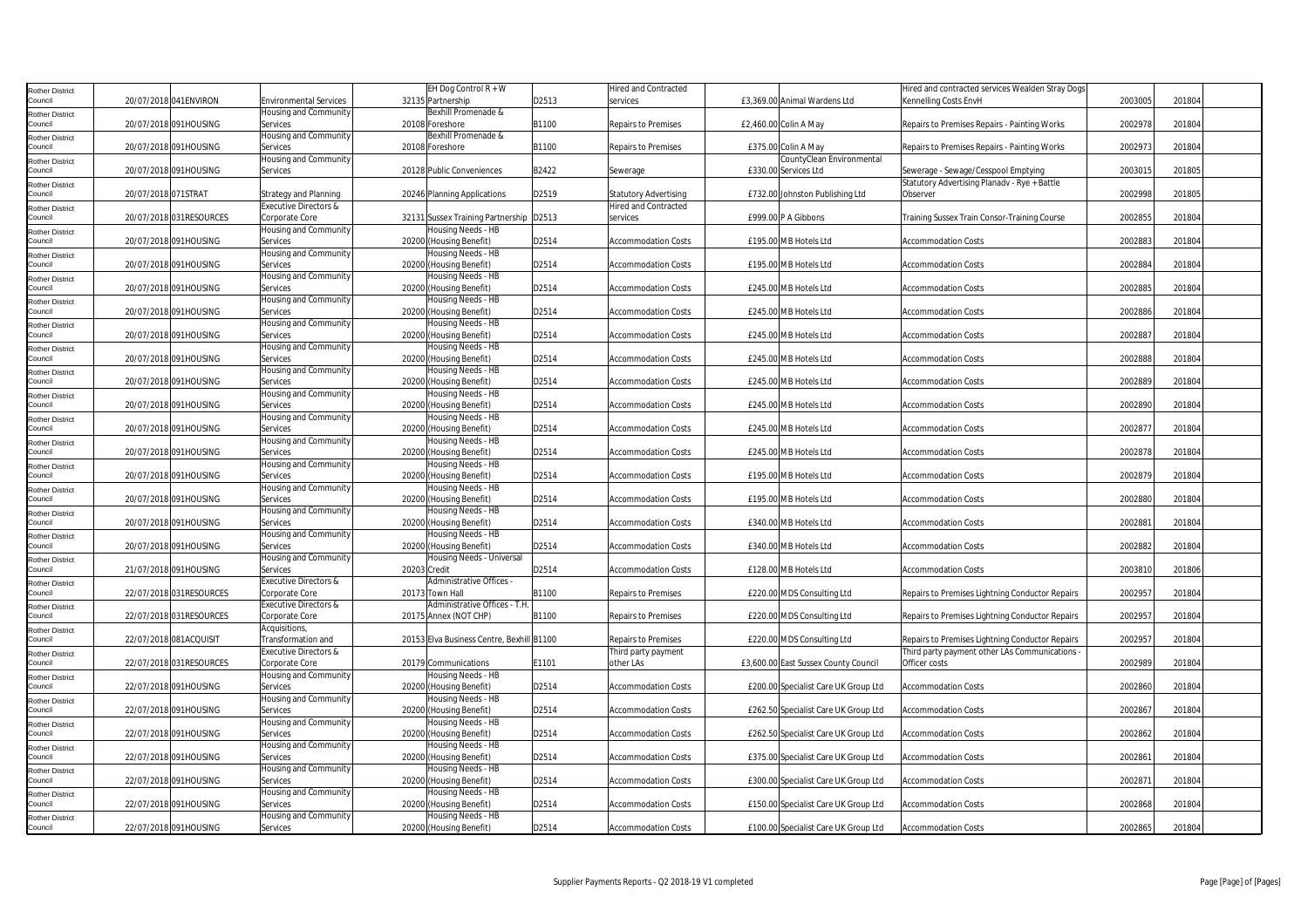| Rother District                   |                          |                               | EH Dog Control $\overline{R + W}$         |       | Hired and Contracted         |                                      | Hired and contracted services Wealden Stray Dogs |         |        |
|-----------------------------------|--------------------------|-------------------------------|-------------------------------------------|-------|------------------------------|--------------------------------------|--------------------------------------------------|---------|--------|
| Council                           | 20/07/2018 041ENVIRON    | <b>Environmental Services</b> | 32135 Partnership                         | D2513 | services                     | £3,369.00 Animal Wardens Ltd         | Kennelling Costs EnvH                            | 2003005 | 201804 |
| Rother District                   |                          | Housing and Community         | Bexhill Promenade &                       |       |                              |                                      |                                                  |         |        |
| Council                           | 20/07/2018 091HOUSING    | Services                      | 20108 Foreshore                           | B1100 | Repairs to Premises          | £2,460.00 Colin A May                | Repairs to Premises Repairs - Painting Works     | 2002978 | 201804 |
|                                   |                          | Housing and Community         | Bexhill Promenade &                       |       |                              |                                      |                                                  |         |        |
| Rother District<br>Council        | 20/07/2018 091HOUSING    | Services                      | 20108 Foreshore                           | B1100 | <b>Repairs to Premises</b>   | £375.00 Colin A May                  | Repairs to Premises Repairs - Painting Works     | 2002973 | 201804 |
|                                   |                          | Housing and Community         |                                           |       |                              | CountyClean Environmental            |                                                  |         |        |
| Rother District<br>Council        | 20/07/2018 091HOUSING    | Services                      | 20128 Public Conveniences                 | B2422 | Sewerage                     | £330.00 Services Ltd                 | Sewerage - Sewage/Cesspool Emptying              | 2003015 | 201805 |
|                                   |                          |                               |                                           |       |                              |                                      | Statutory Advertising Planadv - Rye + Battle     |         |        |
| Rother District<br>Council        |                          |                               |                                           |       |                              |                                      |                                                  |         |        |
|                                   | 20/07/2018 071STRAT      | Strategy and Planning         | 20246 Planning Applications               | D2519 | <b>Statutory Advertising</b> | £732.00 Johnston Publishing Ltd      | Observer                                         | 2002998 | 201805 |
| <b>Rother District</b>            |                          | Executive Directors &         |                                           |       | <b>Hired and Contracted</b>  |                                      |                                                  |         |        |
| Council                           | 20/07/2018 031RESOURCES  | Corporate Core                | 32131 Sussex Training Partnership D2513   |       | services                     | £999.00 P A Gibbons                  | Training Sussex Train Consor-Training Course     | 2002855 | 201804 |
| Rother District                   |                          | Housing and Community         | Housing Needs - HB                        |       |                              |                                      |                                                  |         |        |
| Council                           | 20/07/2018 091HOUSING    | Services                      | 20200 (Housing Benefit)                   | D2514 | Accommodation Costs          | £195.00 MB Hotels Ltd                | Accommodation Costs                              | 2002883 | 201804 |
| Rother District                   |                          | Housing and Community         | Housing Needs - HB                        |       |                              |                                      |                                                  |         |        |
| Council                           | 20/07/2018 091HOUSING    | Services                      | 20200 (Housing Benefit)                   | D2514 | <b>Accommodation Costs</b>   | £195.00 MB Hotels Ltd                | <b>Accommodation Costs</b>                       | 2002884 | 201804 |
| Rother District                   |                          | Housing and Community         | Housing Needs - HB                        |       |                              |                                      |                                                  |         |        |
| Council                           | 20/07/2018 091HOUSING    | Services                      | 20200 (Housing Benefit)                   | D2514 | <b>Accommodation Costs</b>   | £245.00 MB Hotels Ltd                | <b>Accommodation Costs</b>                       | 2002885 | 201804 |
|                                   |                          | Housing and Community         | Housing Needs - HB                        |       |                              |                                      |                                                  |         |        |
| Rother District<br>Council        | 20/07/2018 091HOUSING    | Services                      | 20200<br>(Housing Benefit)                | D2514 | <b>Accommodation Costs</b>   | £245.00 MB Hotels Ltd                | Accommodation Costs                              | 2002886 | 201804 |
|                                   |                          | Housing and Community         | Housing Needs - HB                        |       |                              |                                      |                                                  |         |        |
| <b>Rother District</b><br>Council | 20/07/2018 091HOUSING    | Services                      | 20200 (Housing Benefit)                   | D2514 | <b>Accommodation Costs</b>   | £245.00 MB Hotels Ltd                | <b>Accommodation Costs</b>                       | 2002887 | 201804 |
|                                   |                          |                               |                                           |       |                              |                                      |                                                  |         |        |
| <b>Rother District</b>            |                          | Housing and Community         | Housing Needs - HB                        |       |                              |                                      |                                                  |         |        |
| Council                           | 20/07/2018 091HOUSING    | Services                      | 20200 (Housing Benefit)                   | D2514 | <b>Accommodation Costs</b>   | £245.00 MB Hotels Ltd                | <b>Accommodation Costs</b>                       | 2002888 | 201804 |
| Rother District                   |                          | Housing and Community         | Housing Needs - HB                        |       |                              |                                      |                                                  |         |        |
| Council                           | 20/07/2018 091HOUSING    | Services                      | 20200 (Housing Benefit)                   | D2514 | <b>Accommodation Costs</b>   | £245.00 MB Hotels Ltd                | <b>Accommodation Costs</b>                       | 2002889 | 201804 |
| Rother District                   |                          | Housing and Community         | Housing Needs - HB                        |       |                              |                                      |                                                  |         |        |
| Council                           | 20/07/2018 091HOUSING    | Services                      | 20200 (Housing Benefit)                   | D2514 | <b>Accommodation Costs</b>   | £245.00 MB Hotels Ltd                | <b>Accommodation Costs</b>                       | 2002890 | 201804 |
| <b>Rother District</b>            |                          | Housing and Community         | lousing Needs - HB                        |       |                              |                                      |                                                  |         |        |
| Council                           | 20/07/2018 091HOUSING    | Services                      | 20200 (Housing Benefit)                   | D2514 | <b>Accommodation Costs</b>   | £245.00 MB Hotels Ltd                | <b>Accommodation Costs</b>                       | 2002877 | 201804 |
| Rother District                   |                          | Housing and Community         | Housing Needs - HB                        |       |                              |                                      |                                                  |         |        |
| Council                           | 20/07/2018 091HOUSING    | Services                      | 20200 (Housing Benefit)                   | D2514 | <b>Accommodation Costs</b>   | £245.00 MB Hotels Ltd                | <b>Accommodation Costs</b>                       | 2002878 | 201804 |
|                                   |                          | Housing and Community         | Housing Needs - HB                        |       |                              |                                      |                                                  |         |        |
| Rother District<br>Council        | 20/07/2018 091HOUSING    | Services                      | 20200 (Housing Benefit)                   | D2514 | <b>Accommodation Costs</b>   | £195.00 MB Hotels Ltd                | <b>Accommodation Costs</b>                       | 2002879 | 201804 |
|                                   |                          |                               |                                           |       |                              |                                      |                                                  |         |        |
| <b>Rother District</b>            |                          | Housing and Community         | lousing Needs - HB                        |       |                              |                                      |                                                  |         |        |
| Council                           | 20/07/2018 091HOUSING    | Services                      | 20200 (Housing Benefit)                   | D2514 | <b>Accommodation Costs</b>   | £195.00 MB Hotels Ltd                | <b>Accommodation Costs</b>                       | 2002880 | 201804 |
| Rother District                   |                          | Housing and Community         | Housing Needs - HB                        |       |                              |                                      |                                                  |         |        |
| Council                           | 20/07/2018 091HOUSING    | Services                      | 20200 (Housing Benefit)                   | D2514 | <b>Accommodation Costs</b>   | £340.00 MB Hotels Ltd                | <b>Accommodation Costs</b>                       | 2002881 | 201804 |
| <b>Rother District</b>            |                          | Housing and Community         | Housing Needs - HB                        |       |                              |                                      |                                                  |         |        |
| Council                           | 20/07/2018 091HOUSING    | Services                      | 20200 (Housing Benefit)                   | D2514 | <b>Accommodation Costs</b>   | £340.00 MB Hotels Ltd                | <b>Accommodation Costs</b>                       | 2002882 | 201804 |
| Rother District                   |                          | Housing and Community         | Housing Needs - Universal                 |       |                              |                                      |                                                  |         |        |
| Council                           | 21/07/2018 091HOUSING    | Services                      | 20203 Credit                              | D2514 | <b>Accommodation Costs</b>   | £128.00 MB Hotels Ltd                | <b>Accommodation Costs</b>                       | 2003810 | 201806 |
| <b>Rother District</b>            |                          | Executive Directors &         | Administrative Offices -                  |       |                              |                                      |                                                  |         |        |
| Council                           | 22/07/2018 031 RESOURCES | Corporate Core                | Town Hall<br>20173                        | B1100 | Repairs to Premises          | £220.00 MDS Consulting Ltd           | Repairs to Premises Lightning Conductor Repairs  | 2002957 | 201804 |
| Rother District                   |                          | Executive Directors &         | Administrative Offices - T.H              |       |                              |                                      |                                                  |         |        |
| Council                           | 22/07/2018 031 RESOURCES | Corporate Core                | 20175 Annex (NOT CHP)                     | 31100 | <b>Repairs to Premises</b>   | £220.00 MDS Consulting Ltd           | Repairs to Premises Lightning Conductor Repairs  | 2002957 | 201804 |
| Rother District                   |                          | Acquisitions,                 |                                           |       |                              |                                      |                                                  |         |        |
| Council                           | 22/07/2018 081ACQUISIT   | Transformation and            | 20153 Elva Business Centre, Bexhill B1100 |       | Repairs to Premises          | £220.00 MDS Consulting Ltd           | Repairs to Premises Lightning Conductor Repairs  | 2002957 | 201804 |
|                                   |                          | Executive Directors &         |                                           |       | Third party payment          |                                      | Third party payment other LAs Communications     |         |        |
| Rother District                   |                          |                               |                                           |       |                              |                                      |                                                  |         |        |
| Council                           | 22/07/2018 031 RESOURCES | Corporate Core                | 20179 Communications                      | E1101 | other LAs                    | £3,600.00 East Sussex County Council | Officer costs                                    | 2002989 | 201804 |
| Rother District                   |                          | Housing and Community         | Housing Needs - HB                        |       |                              |                                      |                                                  |         |        |
| Council                           | 22/07/2018 091HOUSING    | Services                      | 20200 (Housing Benefit)                   | D2514 | <b>Accommodation Costs</b>   | £200.00 Specialist Care UK Group Ltd | <b>Accommodation Costs</b>                       | 2002860 | 201804 |
| Rother District                   |                          | Housing and Community         | lousing Needs - HB                        |       |                              |                                      |                                                  |         |        |
| Council                           | 22/07/2018 091HOUSING    | Services                      | 20200 (Housing Benefit)                   | D2514 | <b>Accommodation Costs</b>   | £262.50 Specialist Care UK Group Ltd | <b>Accommodation Costs</b>                       | 2002867 | 201804 |
| Rother District                   |                          | Housing and Community         | Housing Needs - HB                        |       |                              |                                      |                                                  |         |        |
| Council                           | 22/07/2018 091HOUSING    | Services                      | 20200 (Housing Benefit)                   | D2514 | <b>Accommodation Costs</b>   | £262.50 Specialist Care UK Group Ltd | <b>Accommodation Costs</b>                       | 2002862 | 201804 |
| Rother District                   |                          | Housing and Community         | lousing Needs - HB                        |       |                              |                                      |                                                  |         |        |
| Council                           | 22/07/2018 091HOUSING    | Services                      | 20200 (Housing Benefit)                   | D2514 | <b>Accommodation Costs</b>   | £375.00 Specialist Care UK Group Ltd | <b>Accommodation Costs</b>                       | 2002861 | 201804 |
|                                   |                          | Housing and Community         | lousing Needs - HB                        |       |                              |                                      |                                                  |         |        |
| Rother District<br>Council        | 22/07/2018 091HOUSING    | Services                      | 20200 (Housing Benefit)                   | D2514 | <b>Accommodation Costs</b>   | £300.00 Specialist Care UK Group Ltd | <b>Accommodation Costs</b>                       | 2002871 | 201804 |
|                                   |                          |                               |                                           |       |                              |                                      |                                                  |         |        |
| <b>Rother District</b>            |                          | Housing and Community         | Housing Needs - HB                        |       |                              |                                      |                                                  |         |        |
| Council                           | 22/07/2018 091HOUSING    | Services                      | 20200 (Housing Benefit)                   | D2514 | <b>Accommodation Costs</b>   | £150.00 Specialist Care UK Group Ltd | <b>Accommodation Costs</b>                       | 2002868 | 201804 |
| Rother District                   |                          | Housing and Community         | Housing Needs - HB                        |       |                              |                                      |                                                  |         |        |
| Council                           | 22/07/2018 091HOUSING    | Services                      | 20200 (Housing Benefit)                   | D2514 | <b>Accommodation Costs</b>   | £100.00 Specialist Care UK Group Ltd | <b>Accommodation Costs</b>                       | 2002865 | 201804 |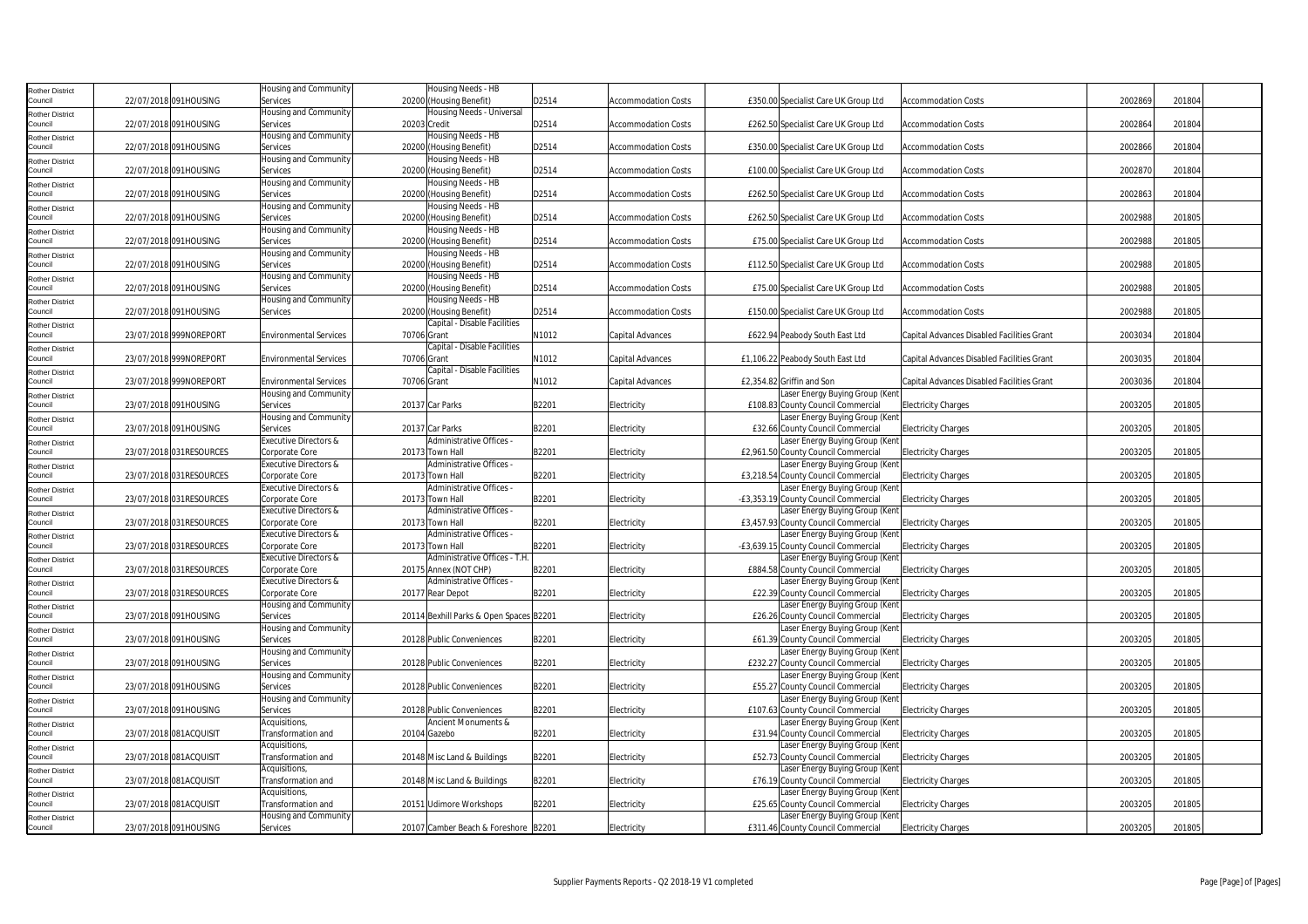| Rother District                   |                          | Housing and Community                   | Housing Needs - HB                                    |       |                            |                                                                     |                                            |         |        |
|-----------------------------------|--------------------------|-----------------------------------------|-------------------------------------------------------|-------|----------------------------|---------------------------------------------------------------------|--------------------------------------------|---------|--------|
| Council                           | 22/07/2018 091HOUSING    | Services                                | 20200 (Housing Benefit)                               | D2514 | Accommodation Costs        | £350.00 Specialist Care UK Group Ltd                                | <b>Accommodation Costs</b>                 | 2002869 | 201804 |
| <b>Rother District</b>            |                          | <b>Housing and Community</b>            | Housing Needs - Universal                             |       |                            |                                                                     |                                            |         |        |
| Council                           | 22/07/2018 091HOUSING    | Services                                | 20203 Credit                                          | D2514 | <b>Accommodation Costs</b> | £262.50 Specialist Care UK Group Ltd                                | <b>Accommodation Costs</b>                 | 2002864 | 201804 |
| Rother District                   |                          | Housing and Community                   | Housing Needs - HB                                    |       |                            |                                                                     |                                            |         |        |
| Council                           | 22/07/2018 091HOUSING    | Services                                | 20200 (Housing Benefit)                               | D2514 | <b>Accommodation Costs</b> | £350.00 Specialist Care UK Group Ltd                                | <b>Accommodation Costs</b>                 | 2002866 | 201804 |
| Rother District                   |                          | Housing and Community                   | Housing Needs - HB                                    |       |                            |                                                                     |                                            |         |        |
| Council                           | 22/07/2018 091HOUSING    | Services                                | 20200 (Housing Benefit)                               | D2514 | Accommodation Costs        | £100.00 Specialist Care UK Group Ltd                                | <b>Accommodation Costs</b>                 | 2002870 | 201804 |
| Rother District                   |                          | Housing and Community                   | Housing Needs - HB                                    |       |                            |                                                                     |                                            |         |        |
| Council                           | 22/07/2018 091HOUSING    | Services                                | 20200 (Housing Benefit)                               | D2514 | <b>Accommodation Costs</b> | £262.50 Specialist Care UK Group Ltd                                | <b>Accommodation Costs</b>                 | 2002863 | 201804 |
| Rother District                   |                          | Housing and Community                   | Housing Needs - HB                                    |       |                            |                                                                     |                                            |         |        |
| Council                           | 22/07/2018 091HOUSING    | Services                                | 20200 (Housing Benefit)                               | D2514 | <b>Accommodation Costs</b> | £262.50 Specialist Care UK Group Ltd                                | <b>Accommodation Costs</b>                 | 2002988 | 201805 |
| Rother District                   |                          | Housing and Community                   | Housing Needs - HB                                    |       |                            |                                                                     |                                            |         |        |
| Council                           | 22/07/2018 091HOUSING    | Services                                | 20200 (Housing Benefit)                               | D2514 | Accommodation Costs        | £75.00 Specialist Care UK Group Ltd                                 | <b>Accommodation Costs</b>                 | 2002988 | 201805 |
| <b>Rother District</b>            |                          | Housing and Community                   | Housing Needs - HB                                    |       |                            |                                                                     |                                            |         |        |
| Council                           | 22/07/2018 091HOUSING    | Services                                | 20200 (Housing Benefit)                               | D2514 | <b>Accommodation Costs</b> | £112.50 Specialist Care UK Group Ltd                                | <b>Accommodation Costs</b>                 | 2002988 | 201805 |
| Rother District                   |                          | Housing and Community                   | Housing Needs - HB                                    |       |                            |                                                                     |                                            |         |        |
| Council                           | 22/07/2018 091HOUSING    | Services                                | 20200 (Housing Benefit)                               | D2514 | <b>Accommodation Costs</b> | £75.00 Specialist Care UK Group Ltd                                 | <b>Accommodation Costs</b>                 | 2002988 | 201805 |
| Rother District                   |                          | Housing and Community                   | Housing Needs - HB                                    |       |                            |                                                                     |                                            |         |        |
| Council                           | 22/07/2018 091HOUSING    | Services                                | 20200 (Housing Benefit)                               | D2514 | Accommodation Costs        | £150.00 Specialist Care UK Group Ltd                                | <b>Accommodation Costs</b>                 | 2002988 | 201805 |
| <b>Rother District</b>            |                          |                                         | Capital - Disable Facilities                          |       |                            |                                                                     |                                            |         |        |
| Council                           | 23/07/2018 999NOREPORT   | <b>Environmental Services</b>           | 70706 Grant                                           | N1012 | Capital Advances           | £622.94 Peabody South East Ltd                                      | Capital Advances Disabled Facilities Grant | 2003034 | 201804 |
| <b>Rother District</b>            |                          |                                         | Capital - Disable Facilities                          |       |                            |                                                                     |                                            |         |        |
| Council                           | 23/07/2018 999NOREPORT   | <b>Environmental Services</b>           | 70706 Grant                                           | N1012 | Capital Advances           | £1,106.22 Peabody South East Ltd                                    | Capital Advances Disabled Facilities Grant | 2003035 | 201804 |
| Rother District                   |                          |                                         | Capital - Disable Facilities                          |       |                            |                                                                     |                                            |         |        |
| Council                           | 23/07/2018 999NOREPORT   | <b>Environmental Services</b>           | 70706 Grant                                           | N1012 | Capital Advances           | £2,354.82 Griffin and Son                                           | Capital Advances Disabled Facilities Grant | 2003036 | 201804 |
| Rother District                   |                          | Housing and Community                   |                                                       |       |                            | Laser Energy Buying Group (Kent                                     |                                            |         |        |
| Council                           | 23/07/2018 091HOUSING    | Services                                | 20137 Car Parks                                       | B2201 | Electricity                | £108.83 County Council Commercial                                   | <b>Electricity Charges</b>                 | 2003205 | 201805 |
| Rother District                   |                          | Housing and Community                   |                                                       |       |                            | Laser Energy Buying Group (Kent                                     |                                            |         |        |
| Council                           | 23/07/2018 091HOUSING    | Services                                | 20137 Car Parks                                       | B2201 | Electricity                | £32.66 County Council Commercial                                    | <b>Electricity Charges</b>                 | 2003205 | 201805 |
| tother District                   |                          | Executive Directors &                   | Administrative Offices -                              |       |                            | Laser Energy Buying Group (Kent                                     |                                            |         |        |
| Council                           | 23/07/2018 031RESOURCES  | Corporate Core                          | 20173 Town Hall                                       | B2201 | Electricity                | £2,961.50 County Council Commercial                                 | <b>Electricity Charges</b>                 | 2003205 | 201805 |
| Rother District                   |                          | Executive Directors &                   | Administrative Offices -                              |       |                            | Laser Energy Buying Group (Kent                                     |                                            |         |        |
| Council                           | 23/07/2018 031RESOURCES  | Corporate Core                          | 20173 Town Hall                                       | B2201 | Electricity                | £3,218.54 County Council Commercial                                 | <b>Electricity Charges</b>                 | 2003205 | 201805 |
| <b>Rother District</b>            |                          | Executive Directors &                   | Administrative Offices -                              |       |                            | Laser Energy Buying Group (Kent                                     |                                            |         |        |
| Council                           | 23/07/2018 031RESOURCES  | Corporate Core                          | 20173 Town Hall                                       | B2201 | Electricity                | -£3,353.19 County Council Commercial                                | <b>Electricity Charges</b>                 | 2003205 | 201805 |
| Rother District                   |                          | Executive Directors &                   | Administrative Offices -                              |       |                            | Laser Energy Buying Group (Kent                                     |                                            |         |        |
| Council                           | 23/07/2018 031RESOURCES  | Corporate Core                          | 20173 Town Hall                                       | B2201 | Electricity                | £3,457.93 County Council Commercial                                 | <b>Electricity Charges</b>                 | 2003205 | 201805 |
| Rother District                   |                          | Executive Directors &                   | Administrative Offices -                              |       |                            | Laser Energy Buying Group (Kent                                     |                                            |         |        |
| Council                           | 23/07/2018 031RESOURCES  | Corporate Core                          | 20173 Town Hall                                       | B2201 | Electricity                | -£3,639.15 County Council Commercial                                | <b>Electricity Charges</b>                 | 2003205 | 201805 |
| Rother District<br>Council        | 23/07/2018 031 RESOURCES | Executive Directors &<br>Corporate Core | Administrative Offices - T.H<br>20175 Annex (NOT CHP) | B2201 | Electricity                | aser Energy Buying Group (Kent<br>£884.58 County Council Commercial |                                            | 2003205 | 201805 |
|                                   |                          | <b>Executive Directors &amp;</b>        | Administrative Offices -                              |       |                            |                                                                     | <b>Electricity Charges</b>                 |         |        |
| Rother District<br>Council        | 23/07/2018 031RESOURCES  | Corporate Core                          | 20177 Rear Depot                                      | B2201 | Electricity                | Laser Energy Buying Group (Kent<br>£22.39 County Council Commercial | <b>Electricity Charges</b>                 | 2003205 | 201805 |
|                                   |                          | Housing and Community                   |                                                       |       |                            | Laser Energy Buying Group (Kent                                     |                                            |         |        |
| Rother District<br>Council        | 23/07/2018 091HOUSING    | Services                                | 20114 Bexhill Parks & Open Spaces B2201               |       | Electricity                | £26.26 County Council Commercial                                    | <b>Electricity Charges</b>                 | 2003205 | 201805 |
|                                   |                          | Housing and Community                   |                                                       |       |                            | Laser Energy Buying Group (Kent                                     |                                            |         |        |
| <b>Rother District</b><br>Council | 23/07/2018 091HOUSING    | Services                                | 20128 Public Conveniences                             | B2201 | Electricity                | <b>£61.39 County Council Commercial</b>                             | <b>Electricity Charges</b>                 | 2003205 | 201805 |
|                                   |                          | Housing and Community                   |                                                       |       |                            | Laser Energy Buying Group (Kent                                     |                                            |         |        |
| Rother District<br>Council        | 23/07/2018 091HOUSING    | Services                                | 20128 Public Conveniences                             | B2201 | Electricity                | £232.27 County Council Commercial                                   | <b>Electricity Charges</b>                 | 2003205 | 201805 |
|                                   |                          | Housing and Community                   |                                                       |       |                            | Laser Energy Buying Group (Kent                                     |                                            |         |        |
| Rother District<br>Council        | 23/07/2018 091HOUSING    | Services                                | 20128 Public Conveniences                             | B2201 | Electricity                | £55.27 County Council Commercial                                    | <b>Electricity Charges</b>                 | 2003205 | 201805 |
|                                   |                          | Housing and Community                   |                                                       |       |                            | aser Energy Buying Group (Kent                                      |                                            |         |        |
| <b>Rother District</b><br>Council | 23/07/2018 091HOUSING    | Services                                | 20128 Public Conveniences                             | B2201 | Electricity                | £107.63 County Council Commercial                                   | <b>Electricity Charges</b>                 | 2003205 | 201805 |
| <b>Rother District</b>            |                          | Acquisitions,                           | Ancient Monuments &                                   |       |                            | Laser Energy Buying Group (Kent                                     |                                            |         |        |
| Council                           | 23/07/2018 081ACQUISIT   | Transformation and                      | 20104 Gazebo                                          | B2201 | Electricity                | £31.94 County Council Commercial                                    | <b>Electricity Charges</b>                 | 2003205 | 201805 |
| <b>Rother District</b>            |                          | Acquisitions,                           |                                                       |       |                            | Laser Energy Buying Group (Kent                                     |                                            |         |        |
| Council                           | 23/07/2018 081ACQUISIT   | Transformation and                      | 20148 Misc Land & Buildings                           | B2201 | Electricity                | £52.73 County Council Commercial                                    | <b>Electricity Charges</b>                 | 2003205 | 201805 |
| <b>Rother District</b>            |                          | Acquisitions,                           |                                                       |       |                            | aser Energy Buying Group (Kent                                      |                                            |         |        |
| Council                           | 23/07/2018 081ACQUISIT   | Transformation and                      | 20148 Misc Land & Buildings                           | B2201 | Electricity                | £76.19 County Council Commercial                                    | <b>Electricity Charges</b>                 | 2003205 | 201805 |
| Rother District                   |                          | Acquisitions,                           |                                                       |       |                            | Laser Energy Buying Group (Kent                                     |                                            |         |        |
| Council                           | 23/07/2018 081ACQUISIT   | Transformation and                      | 20151 Udimore Workshops                               | B2201 | Electricity                | £25.65 County Council Commercial                                    | <b>Electricity Charges</b>                 | 2003205 | 201805 |
| Rother District                   |                          | Housing and Community                   |                                                       |       |                            | Laser Energy Buying Group (Kent                                     |                                            |         |        |
| Council                           | 23/07/2018 091HOUSING    | Services                                | 20107 Camber Beach & Foreshore B2201                  |       | Electricity                | £311.46 County Council Commercial                                   | <b>Electricity Charges</b>                 | 2003205 | 201805 |
|                                   |                          |                                         |                                                       |       |                            |                                                                     |                                            |         |        |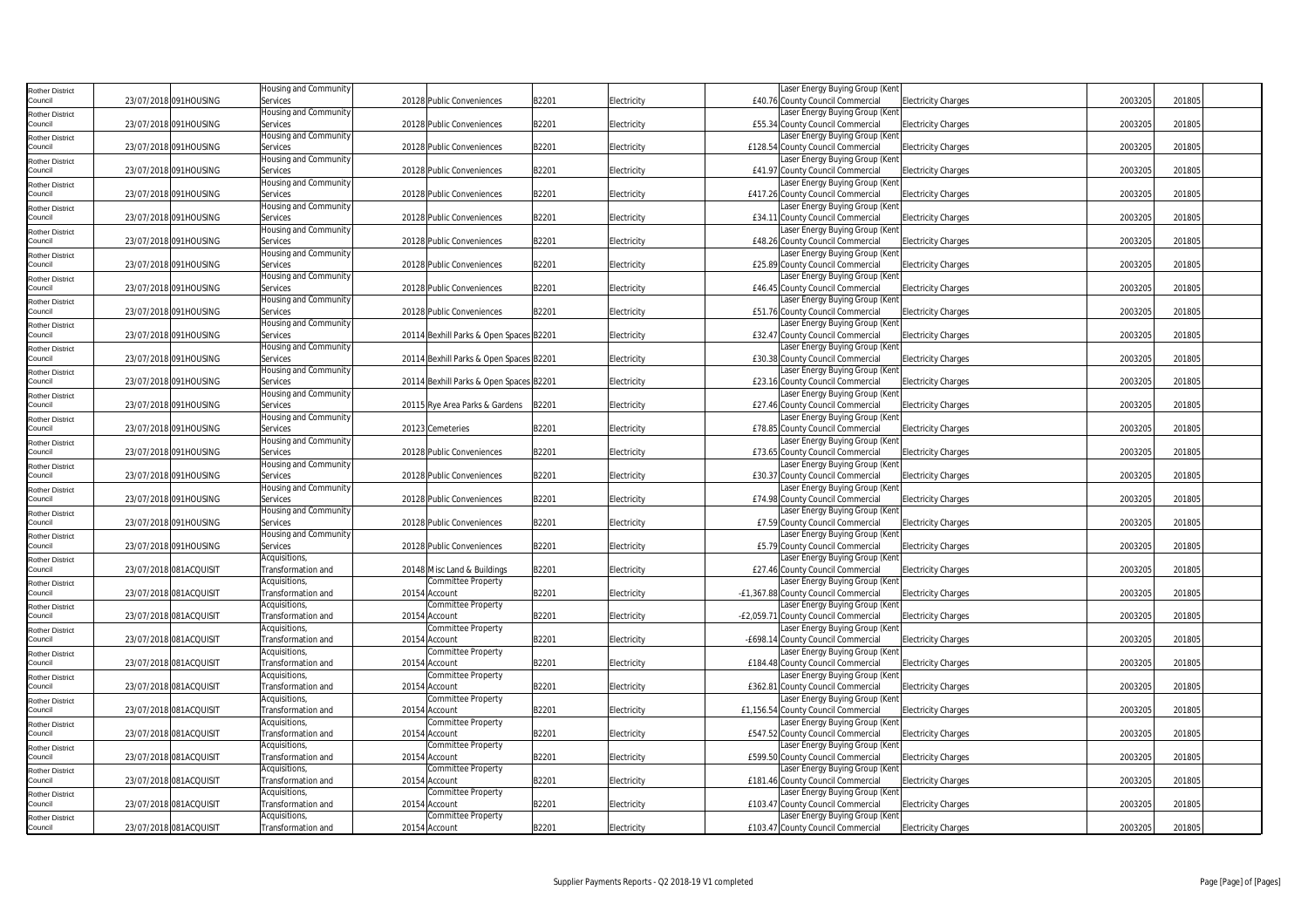| <b>Rother District</b>            |                        | Housing and Community     |                                         |       |             | Laser Energy Buying Group (Kent                                    |         |        |  |
|-----------------------------------|------------------------|---------------------------|-----------------------------------------|-------|-------------|--------------------------------------------------------------------|---------|--------|--|
| Council                           | 23/07/2018 091HOUSING  | Services                  | 20128 Public Conveniences               | B2201 | Electricity | £40.76 County Council Commercial<br><b>Electricity Charges</b>     | 2003205 | 201805 |  |
| <b>Rother District</b>            |                        | Housing and Community     |                                         |       |             | Laser Energy Buying Group (Ken                                     |         |        |  |
| Council                           | 23/07/2018 091HOUSING  | Services                  | 20128 Public Conveniences               | B2201 | Electricity | £55.34 County Council Commercial<br><b>Electricity Charges</b>     | 2003205 | 201805 |  |
| <b>Rother District</b>            |                        | Housing and Community     |                                         |       |             | Laser Energy Buying Group (Kent                                    |         |        |  |
| Council                           | 23/07/2018 091HOUSING  | Services                  | 20128 Public Conveniences               | B2201 | Electricity | £128.54 County Council Commercial<br><b>Electricity Charges</b>    | 2003205 | 201805 |  |
|                                   |                        | Housing and Community     |                                         |       |             | Laser Energy Buying Group (Kent                                    |         |        |  |
| <b>Rother District</b><br>Council | 23/07/2018 091HOUSING  | Services                  | 20128 Public Conveniences               | B2201 | Electricity | £41.97 County Council Commercial<br><b>Electricity Charges</b>     | 2003205 | 201805 |  |
|                                   |                        | Housing and Community     |                                         |       |             | Laser Energy Buying Group (Ken                                     |         |        |  |
| <b>Rother District</b><br>Council | 23/07/2018 091HOUSING  |                           | 20128 Public Conveniences               |       |             |                                                                    | 2003205 | 201805 |  |
|                                   |                        | Services                  |                                         | B2201 | Electricity | £417.26 County Council Commercial<br><b>Electricity Charges</b>    |         |        |  |
| <b>Rother District</b>            |                        | Housing and Community     |                                         |       |             | Laser Energy Buying Group (Kent                                    |         |        |  |
| Council                           | 23/07/2018 091HOUSING  | Services                  | 20128 Public Conveniences               | B2201 | Electricity | £34.11 County Council Commercial<br><b>Electricity Charges</b>     | 2003205 | 201805 |  |
| <b>Rother District</b>            |                        | Housing and Community     |                                         |       |             | Laser Energy Buying Group (Kent                                    |         |        |  |
| Council                           | 23/07/2018 091HOUSING  | Services                  | 20128 Public Conveniences               | B2201 | Electricity | £48.26 County Council Commercial<br><b>Electricity Charges</b>     | 2003205 | 201805 |  |
| <b>Rother District</b>            |                        | Housing and Community     |                                         |       |             | Laser Energy Buying Group (Kent                                    |         |        |  |
| Council                           | 23/07/2018 091HOUSING  | Services                  | 20128 Public Conveniences               | B2201 | Electricity | £25.89 County Council Commercial<br><b>Electricity Charges</b>     | 2003205 | 201805 |  |
| <b>Rother District</b>            |                        | Housing and Community     |                                         |       |             | Laser Energy Buying Group (Kent                                    |         |        |  |
| Council                           | 23/07/2018 091HOUSING  | Services                  | 20128 Public Conveniences               | B2201 | Electricity | £46.45 County Council Commercial<br><b>Electricity Charges</b>     | 2003205 | 201805 |  |
| <b>Rother District</b>            |                        | Housing and Community     |                                         |       |             | Laser Energy Buying Group (Kent                                    |         |        |  |
| Council                           | 23/07/2018 091HOUSING  | Services                  | 20128 Public Conveniences               | B2201 | Electricity | £51.76 County Council Commercial<br><b>Electricity Charges</b>     | 2003205 | 201805 |  |
| <b>Rother District</b>            |                        | Housing and Community     |                                         |       |             | Laser Energy Buying Group (Kent                                    |         |        |  |
| Council                           | 23/07/2018 091HOUSING  | Services                  | 20114 Bexhill Parks & Open Spaces B2201 |       | Electricity | £32.47 County Council Commercial<br><b>Electricity Charges</b>     | 2003205 | 201805 |  |
|                                   |                        |                           |                                         |       |             |                                                                    |         |        |  |
| <b>Rother District</b>            |                        | Housing and Community     |                                         |       |             | Laser Energy Buying Group (Kent                                    |         |        |  |
| Council                           | 23/07/2018 091HOUSING  | Services                  | 20114 Bexhill Parks & Open Spaces B2201 |       | Electricity | £30.38 County Council Commercial<br><b>Electricity Charges</b>     | 2003205 | 201805 |  |
| <b>Rother District</b>            |                        | Housing and Community     |                                         |       |             | Laser Energy Buying Group (Kent                                    |         |        |  |
| Council                           | 23/07/2018 091HOUSING  | Services                  | 20114 Bexhill Parks & Open Spaces B2201 |       | Electricity | £23.16 County Council Commercial<br><b>Electricity Charges</b>     | 2003205 | 201805 |  |
| <b>Rother District</b>            |                        | Housing and Community     |                                         |       |             | Laser Energy Buying Group (Kent                                    |         |        |  |
| Council                           | 23/07/2018 091HOUSING  | Services                  | 20115 Rye Area Parks & Gardens          | B2201 | Electricity | £27.46 County Council Commercial<br><b>Electricity Charges</b>     | 2003205 | 201805 |  |
| <b>Rother District</b>            |                        | Housing and Community     |                                         |       |             | Laser Energy Buying Group (Kent                                    |         |        |  |
| Council                           | 23/07/2018 091HOUSING  | Services                  | 20123 Cemeteries                        | B2201 | Electricity | £78.85 County Council Commercial<br><b>Electricity Charges</b>     | 2003205 | 201805 |  |
|                                   |                        | Housing and Community     |                                         |       |             | Laser Energy Buying Group (Kent                                    |         |        |  |
| <b>Rother District</b><br>Council | 23/07/2018 091HOUSING  | Services                  | 20128 Public Conveniences               | B2201 | Electricity | £73.65 County Council Commercial<br><b>Electricity Charges</b>     | 2003205 | 201805 |  |
|                                   |                        | Housing and Community     |                                         |       |             | Laser Energy Buying Group (Kent                                    |         |        |  |
| <b>Rother District</b>            |                        |                           |                                         |       |             |                                                                    |         |        |  |
| Council                           | 23/07/2018 091HOUSING  | Services                  | 20128 Public Conveniences               | B2201 | Electricity | £30.37 County Council Commercial<br><b>Electricity Charges</b>     | 2003205 | 201805 |  |
| <b>Rother District</b>            |                        | Housing and Community     |                                         |       |             | Laser Energy Buying Group (Kent                                    |         |        |  |
| Council                           | 23/07/2018 091HOUSING  | Services                  | 20128 Public Conveniences               | B2201 | Electricity | £74.98 County Council Commercial<br><b>Electricity Charges</b>     | 2003205 | 201805 |  |
| <b>Rother District</b>            |                        | Housing and Community     |                                         |       |             | Laser Energy Buying Group (Kent                                    |         |        |  |
| Council                           | 23/07/2018 091HOUSING  | Services                  | 20128 Public Conveniences               | B2201 | Electricity | £7.59 County Council Commercial<br><b>Electricity Charges</b>      | 2003205 | 201805 |  |
| <b>Rother District</b>            |                        | Housing and Community     |                                         |       |             | Laser Energy Buying Group (Kent                                    |         |        |  |
| Council                           | 23/07/2018 091HOUSING  | Services                  | 20128 Public Conveniences               | B2201 | Electricity | £5.79 County Council Commercial<br><b>Electricity Charges</b>      | 2003205 | 201805 |  |
| <b>Rother District</b>            |                        | Acquisitions,             |                                         |       |             | Laser Energy Buying Group (Kent                                    |         |        |  |
| Council                           | 23/07/2018 081ACQUISIT | <b>Transformation and</b> | 20148 Misc Land & Buildings             | B2201 | Electricity | £27.46 County Council Commercial<br><b>Electricity Charges</b>     | 2003205 | 201805 |  |
| <b>Rother District</b>            |                        | Acquisitions,             | Committee Property                      |       |             | Laser Energy Buying Group (Kent                                    |         |        |  |
| Council                           | 23/07/2018 081ACQUISIT | Transformation and        | 20154 Account                           | B2201 | Electricity | -£1,367.88 County Council Commercial<br><b>Electricity Charges</b> | 2003205 | 201805 |  |
|                                   |                        | Acquisitions,             | Committee Property                      |       |             | Laser Energy Buying Group (Kent                                    |         |        |  |
| <b>Rother District</b><br>Council | 23/07/2018 081ACQUISIT | Transformation and        | 20154 Account                           | B2201 | Electricity | -£2,059.71 County Council Commercial<br><b>Electricity Charges</b> | 2003205 | 201805 |  |
|                                   |                        |                           |                                         |       |             |                                                                    |         |        |  |
| <b>Rother District</b>            |                        | Acquisitions,             | Committee Property                      |       |             | Laser Energy Buying Group (Kent                                    |         |        |  |
| Council                           | 23/07/2018 081ACQUISIT | <b>Transformation</b> and | 20154 Account                           | B2201 | Electricity | -£698.14 County Council Commercial<br><b>Electricity Charges</b>   | 2003205 | 201805 |  |
| <b>Rother District</b>            |                        | Acquisitions,             | Committee Property                      |       |             | Laser Energy Buying Group (Kent                                    |         |        |  |
| Council                           | 23/07/2018 081ACQUISIT | <b>Fransformation</b> and | 20154 Account                           | B2201 | Electricity | £184.48 County Council Commercial<br><b>Electricity Charges</b>    | 2003205 | 201805 |  |
| <b>Rother District</b>            |                        | Acquisitions,             | Committee Property                      |       |             | Laser Energy Buying Group (Kent                                    |         |        |  |
| Council                           | 23/07/2018 081ACQUISIT | Transformation and        | 20154 Account                           | B2201 | Electricity | £362.81 County Council Commercial<br><b>Electricity Charges</b>    | 2003205 | 201805 |  |
| <b>Rother District</b>            |                        | Acquisitions,             | Committee Property                      |       |             | aser Energy Buying Group (Kent                                     |         |        |  |
| Council                           | 23/07/2018 081ACQUISIT | <b>Fransformation and</b> | 20154 Account                           | B2201 | Electricity | £1,156.54 County Council Commercial<br><b>Electricity Charges</b>  | 2003205 | 201805 |  |
| <b>Rother District</b>            |                        | Acquisitions,             | Committee Property                      |       |             | Laser Energy Buying Group (Kent                                    |         |        |  |
| Council                           | 23/07/2018 081ACQUISIT | Fransformation and        | 20154 Account                           | B2201 | Electricity | £547.52 County Council Commercial<br><b>Electricity Charges</b>    | 2003205 | 201805 |  |
|                                   |                        | Acquisitions,             | Committee Property                      |       |             | Laser Energy Buying Group (Kent                                    |         |        |  |
| <b>Rother District</b><br>Council |                        |                           |                                         |       |             |                                                                    |         |        |  |
|                                   | 23/07/2018 081ACQUISIT | Fransformation and        | 20154 Account                           | B2201 | Electricity | £599.50 County Council Commercial<br><b>Electricity Charges</b>    | 2003205 | 201805 |  |
| <b>Rother District</b>            |                        | Acquisitions,             | Committee Property                      |       |             | Laser Energy Buying Group (Kent                                    |         |        |  |
| Council                           | 23/07/2018 081ACQUISIT | Fransformation and        | 20154 Account                           | B2201 | Electricity | £181.46 County Council Commercial<br><b>Electricity Charges</b>    | 2003205 | 201805 |  |
| <b>Rother District</b>            |                        | Acquisitions,             | Committee Property                      |       |             | aser Energy Buying Group (Kent                                     |         |        |  |
| Council                           | 23/07/2018 081ACQUISIT | Fransformation and        | 20154 Account                           | B2201 | Electricity | £103.47 County Council Commercial<br><b>Electricity Charges</b>    | 2003205 | 201805 |  |
| <b>Rother District</b>            |                        | Acquisitions,             | Committee Property                      |       |             | Laser Energy Buying Group (Kent                                    |         |        |  |
| Council                           | 23/07/2018 081ACQUISIT | Transformation and        | 20154 Account                           | B2201 | Electricity | £103.47 County Council Commercial<br><b>Electricity Charges</b>    | 2003205 | 201805 |  |
|                                   |                        |                           |                                         |       |             |                                                                    |         |        |  |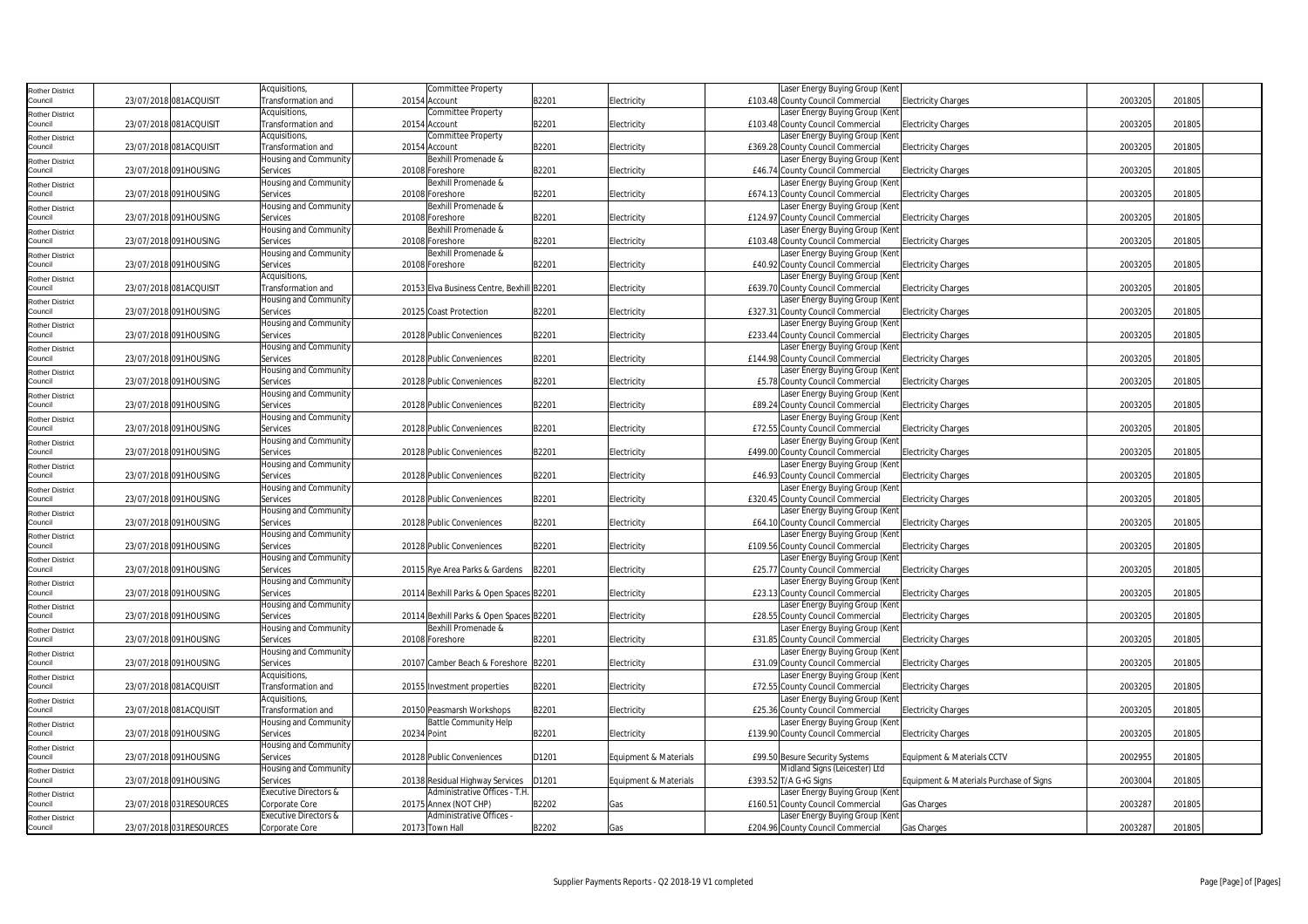| <b>Rother District</b>            |                         | Acquisitions,             |             | Committee Property                        |       |                       | Laser Energy Buying Group (Kent                                                                   |         |        |  |
|-----------------------------------|-------------------------|---------------------------|-------------|-------------------------------------------|-------|-----------------------|---------------------------------------------------------------------------------------------------|---------|--------|--|
| Council                           | 23/07/2018 081ACQUISIT  | Transformation and        |             | 20154 Account                             | B2201 | Electricity           | £103.48 County Council Commercial<br><b>Electricity Charges</b>                                   | 2003205 | 201805 |  |
| <b>Rother District</b>            |                         | Acquisitions,             |             | Committee Property                        |       |                       | Laser Energy Buying Group (Kent                                                                   |         |        |  |
| Council                           | 23/07/2018 081ACQUISIT  | Transformation and        |             | 20154 Account                             | B2201 | Electricity           | £103.48 County Council Commercial<br><b>Electricity Charges</b>                                   | 2003205 | 201805 |  |
| <b>Rother District</b>            |                         | Acquisitions,             |             | Committee Property                        |       |                       | Laser Energy Buying Group (Ken                                                                    |         |        |  |
| Council                           | 23/07/2018 081ACQUISIT  | Transformation and        |             | 20154 Account                             | B2201 | Electricity           | £369.28 County Council Commercial<br><b>Electricity Charges</b>                                   | 2003205 | 201805 |  |
| <b>Rother District</b>            |                         | Housing and Community     |             | Bexhill Promenade &                       |       |                       | Laser Energy Buying Group (Kent                                                                   |         |        |  |
| Council                           | 23/07/2018 091HOUSING   | Services                  |             | 20108 Foreshore                           | B2201 | Electricity           | £46.74 County Council Commercial<br><b>Electricity Charges</b>                                    | 2003205 | 201805 |  |
| <b>Rother District</b>            |                         | Housing and Community     |             | Bexhill Promenade &                       |       |                       | Laser Energy Buying Group (Kent                                                                   |         |        |  |
| Council                           | 23/07/2018 091HOUSING   | Services                  |             | 20108 Foreshore                           | B2201 | Electricity           | £674.13 County Council Commercial<br><b>Electricity Charges</b>                                   | 2003205 | 201805 |  |
| <b>Rother District</b>            |                         | Housing and Community     |             | Bexhill Promenade &                       |       |                       | Laser Energy Buying Group (Ken                                                                    |         |        |  |
| Council                           | 23/07/2018 091HOUSING   | Services                  |             | 20108 Foreshore                           | B2201 | Electricity           | £124.97 County Council Commercial<br><b>Electricity Charges</b>                                   | 2003205 | 201805 |  |
| <b>Rother District</b>            |                         | Housing and Community     |             | Bexhill Promenade &                       |       |                       | Laser Energy Buying Group (Kent                                                                   |         |        |  |
| Council                           | 23/07/2018 091HOUSING   | Services                  |             | 20108 Foreshore                           | B2201 | Electricity           | £103.48 County Council Commercial<br><b>Electricity Charges</b>                                   | 2003205 | 201805 |  |
| <b>Rother District</b>            |                         | Housing and Community     |             | Bexhill Promenade &                       |       |                       | Laser Energy Buying Group (Ken                                                                    |         |        |  |
| Council                           | 23/07/2018 091HOUSING   | Services                  |             | 20108 Foreshore                           | B2201 | Electricity           | £40.92 County Council Commercial<br><b>Electricity Charges</b>                                    | 2003205 | 201805 |  |
| <b>Rother District</b>            |                         | Acquisitions,             |             |                                           |       |                       | Laser Energy Buying Group (Kent                                                                   |         |        |  |
| Council                           | 23/07/2018 081ACQUISIT  | Transformation and        |             | 20153 Elva Business Centre, Bexhill B2201 |       | Electricity           | £639.70 County Council Commercial<br><b>Electricity Charges</b>                                   | 2003205 | 201805 |  |
| <b>Rother District</b>            |                         | Housing and Community     |             |                                           |       |                       | Laser Energy Buying Group (Kent                                                                   |         |        |  |
| Council                           | 23/07/2018 091HOUSING   | Services                  |             | 20125 Coast Protection                    | B2201 | Electricity           | £327.31 County Council Commercial<br><b>Electricity Charges</b>                                   | 2003205 | 201805 |  |
| <b>Rother District</b>            |                         | Housing and Community     |             |                                           |       |                       | Laser Energy Buying Group (Ken                                                                    |         |        |  |
| Council                           | 23/07/2018 091HOUSING   | Services                  |             | 20128 Public Conveniences                 | B2201 | Electricity           | £233.44 County Council Commercial<br><b>Electricity Charges</b>                                   | 2003205 | 201805 |  |
| Rother District                   |                         | Housing and Community     |             |                                           |       |                       | Laser Energy Buying Group (Kent                                                                   |         |        |  |
| Council                           | 23/07/2018 091HOUSING   | Services                  |             | 20128 Public Conveniences                 | B2201 | Electricity           | £144.98 County Council Commercial<br><b>Electricity Charges</b>                                   | 2003205 | 201805 |  |
| <b>Rother District</b>            |                         | Housing and Community     |             |                                           |       |                       | Laser Energy Buying Group (Kent                                                                   |         |        |  |
| Council                           | 23/07/2018 091HOUSING   | Services                  |             | 20128 Public Conveniences                 | B2201 | Electricity           | £5.78 County Council Commercial<br><b>Electricity Charges</b>                                     | 2003205 | 201805 |  |
| <b>Rother District</b>            |                         | Housing and Community     |             |                                           |       |                       | Laser Energy Buying Group (Kent                                                                   |         |        |  |
| Council                           | 23/07/2018 091HOUSING   | Services                  |             | 20128 Public Conveniences                 | B2201 | Electricity           | £89.24 County Council Commercial<br><b>Electricity Charges</b>                                    | 2003205 | 201805 |  |
| <b>Rother District</b>            |                         | Housing and Community     |             |                                           |       |                       | Laser Energy Buying Group (Kent                                                                   |         |        |  |
| Council                           | 23/07/2018 091HOUSING   | Services                  |             | 20128 Public Conveniences                 | B2201 | Electricity           | £72.55 County Council Commercial<br><b>Electricity Charges</b>                                    | 2003205 | 201805 |  |
| <b>Rother District</b>            |                         | Housing and Community     |             |                                           |       |                       | Laser Energy Buying Group (Kent                                                                   |         |        |  |
| Council                           | 23/07/2018 091HOUSING   | Services                  |             | 20128 Public Conveniences                 | B2201 | Electricity           | £499.00 County Council Commercial<br><b>Electricity Charges</b>                                   | 2003205 | 201805 |  |
| <b>Rother District</b>            |                         | Housing and Community     |             |                                           |       |                       | Laser Energy Buying Group (Kent                                                                   |         |        |  |
| Council                           | 23/07/2018 091HOUSING   | Services                  |             | 20128 Public Conveniences                 | B2201 | Electricity           | £46.93 County Council Commercial<br><b>Electricity Charges</b>                                    | 2003205 | 201805 |  |
| <b>Rother District</b>            |                         | Housing and Community     |             |                                           |       |                       | Laser Energy Buying Group (Ken                                                                    |         |        |  |
| Council                           | 23/07/2018 091HOUSING   | Services                  |             | 20128 Public Conveniences                 | B2201 | Electricity           | £320.45 County Council Commercial<br><b>Electricity Charges</b>                                   | 2003205 | 201805 |  |
| <b>Rother District</b>            |                         | Housing and Community     |             |                                           |       |                       | Laser Energy Buying Group (Kent                                                                   |         |        |  |
| Council                           | 23/07/2018 091HOUSING   | Services                  |             | 20128 Public Conveniences                 | B2201 | Electricity           | £64.10 County Council Commercial<br><b>Electricity Charges</b>                                    | 2003205 | 201805 |  |
| <b>Rother District</b>            |                         | Housing and Community     |             |                                           |       |                       | Laser Energy Buying Group (Kent                                                                   |         |        |  |
| Council                           | 23/07/2018 091HOUSING   | Services                  |             | 20128 Public Conveniences                 | B2201 | Electricity           | £109.56 County Council Commercial<br><b>Electricity Charges</b>                                   | 2003205 | 201805 |  |
| <b>Rother District</b>            |                         | Housing and Community     |             |                                           |       |                       | Laser Energy Buying Group (Kent                                                                   |         |        |  |
| Council                           | 23/07/2018 091HOUSING   | Services                  |             | 20115 Rve Area Parks & Gardens            | B2201 | Electricity           | £25.77 County Council Commercial<br><b>Electricity Charges</b>                                    | 2003205 | 201805 |  |
| <b>Rother District</b>            |                         | Housing and Community     |             |                                           |       |                       | Laser Energy Buying Group (Kent                                                                   |         |        |  |
| Council                           | 23/07/2018 091HOUSING   | Services                  |             | 20114 Bexhill Parks & Open Spaces B2201   |       | Electricity           | £23.13 County Council Commercial<br><b>Electricity Charges</b>                                    | 2003205 | 201805 |  |
| <b>Rother District</b>            |                         | Housing and Community     |             |                                           |       |                       | Laser Energy Buying Group (Ken                                                                    |         |        |  |
| Council                           | 23/07/2018 091HOUSING   | Services                  |             | 20114 Bexhill Parks & Open Spaces B2201   |       | Electricity           | £28.55 County Council Commercial<br><b>Electricity Charges</b>                                    | 2003205 | 201805 |  |
| <b>Rother District</b>            |                         | Housing and Community     |             | Bexhill Promenade &                       |       |                       | Laser Energy Buying Group (Kent                                                                   |         |        |  |
| Council                           | 23/07/2018 091HOUSING   | Services                  |             | 20108 Foreshore                           | B2201 | Electricity           | £31.85 County Council Commercial<br><b>Electricity Charges</b>                                    | 2003205 | 201805 |  |
| <b>Rother District</b>            |                         | Housing and Community     |             |                                           |       |                       | Laser Energy Buying Group (Kent                                                                   | 2003205 |        |  |
| Council                           | 23/07/2018 091HOUSING   | Services<br>Acquisitions, |             | 20107 Camber Beach & Foreshore B2201      |       | Electricity           | £31.09 County Council Commercial<br><b>Electricity Charges</b><br>Laser Energy Buying Group (Ken  |         | 201805 |  |
| <b>Rother District</b>            |                         | Transformation and        |             |                                           |       |                       |                                                                                                   | 2003205 | 201805 |  |
| Council                           | 23/07/2018 081ACQUISIT  | Acquisitions,             |             | 20155 Investment properties               | B2201 | Electricity           | £72.55 County Council Commercial<br><b>Electricity Charges</b><br>Laser Energy Buying Group (Kent |         |        |  |
| <b>Rother District</b><br>Council | 23/07/2018 081ACQUISIT  | Transformation and        |             | 20150 Peasmarsh Workshops                 | B2201 | Electricity           | £25.36 County Council Commercial<br><b>Electricity Charges</b>                                    | 2003205 | 201805 |  |
|                                   |                         | Housing and Community     |             | Battle Community Help                     |       |                       | Laser Energy Buying Group (Kent                                                                   |         |        |  |
| <b>Rother District</b><br>Council | 23/07/2018 091HOUSING   | Services                  | 20234 Point |                                           | B2201 | Electricity           | £139.90 County Council Commercial<br><b>Electricity Charges</b>                                   | 2003205 | 201805 |  |
|                                   |                         | Housing and Community     |             |                                           |       |                       |                                                                                                   |         |        |  |
| <b>Rother District</b><br>Council | 23/07/2018 091HOUSING   | Services                  |             | 20128 Public Conveniences                 | D1201 | Equipment & Materials | £99.50 Besure Security Systems<br>Equipment & Materials CCTV                                      | 2002955 | 201805 |  |
|                                   |                         | Housing and Community     |             |                                           |       |                       | Midland Signs (Leicester) Ltd                                                                     |         |        |  |
| <b>Rother District</b><br>Council | 23/07/2018 091HOUSING   | Services                  |             | 20138 Residual Highway Services           | D1201 | Equipment & Materials | £393.52 T/A G+G Signs<br>Equipment & Materials Purchase of Signs                                  | 2003004 | 201805 |  |
|                                   |                         | Executive Directors &     |             | Administrative Offices - T.H.             |       |                       | Laser Energy Buying Group (Kent                                                                   |         |        |  |
| <b>Rother District</b><br>Council | 23/07/2018 031RESOURCES | Corporate Core            |             | 20175 Annex (NOT CHP)                     | B2202 | Gas                   | £160.51 County Council Commercial<br>Gas Charges                                                  | 2003287 | 201805 |  |
|                                   |                         | Executive Directors &     |             | Administrative Offices -                  |       |                       | Laser Energy Buying Group (Ken                                                                    |         |        |  |
| Rother District<br>Council        | 23/07/2018 031RESOURCES | Corporate Core            |             | 20173 Town Hall                           | B2202 | Gas                   | £204.96 County Council Commercial<br>Gas Charges                                                  | 2003287 | 201805 |  |
|                                   |                         |                           |             |                                           |       |                       |                                                                                                   |         |        |  |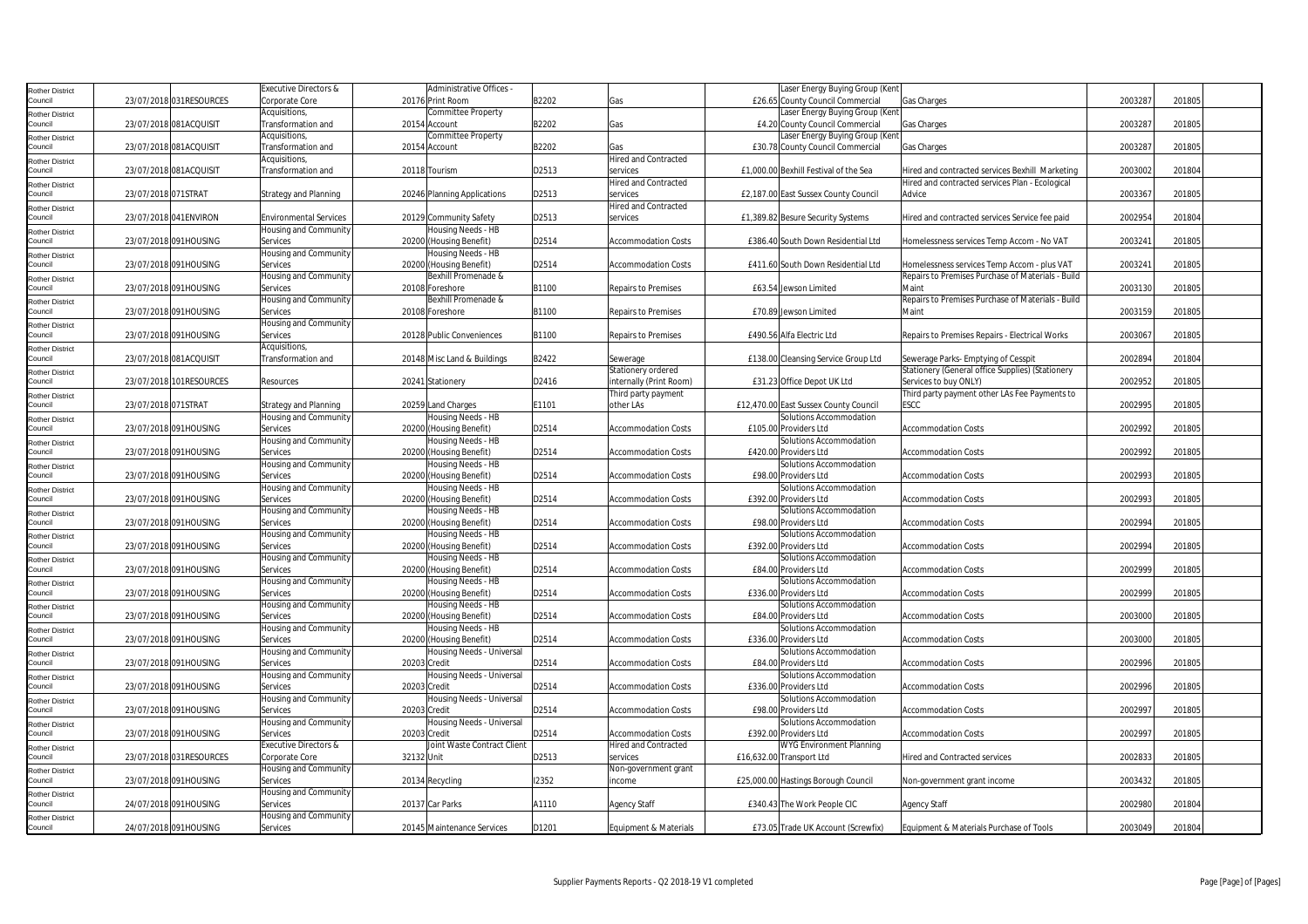| <b>Rother District</b>            |                     |                         | Executive Directors &         |              | Administrative Offices      |       |                             | Laser Energy Buying Group (Kent                  |                                                   |         |        |
|-----------------------------------|---------------------|-------------------------|-------------------------------|--------------|-----------------------------|-------|-----------------------------|--------------------------------------------------|---------------------------------------------------|---------|--------|
| Council                           |                     | 23/07/2018 031RESOURCES | Corporate Core                |              | 20176 Print Room            | B2202 | Gas                         | £26.65 County Council Commercial                 | Gas Charges                                       | 2003287 | 201805 |
| <b>Rother District</b>            |                     |                         | <b>Acquisitions</b>           |              | Committee Property          |       |                             | Laser Energy Buying Group (Kent                  |                                                   |         |        |
| Council                           |                     | 23/07/2018 081ACQUISIT  | Fransformation and            |              | 20154 Account               | B2202 | Gas                         | £4.20 County Council Commercial                  | Gas Charges                                       | 2003287 | 201805 |
| <b>Rother District</b>            |                     |                         | Acquisitions,                 |              | Committee Property          |       |                             | Laser Energy Buying Group (Kent                  |                                                   |         |        |
| Council                           |                     | 23/07/2018 081ACQUISIT  | Fransformation and            |              | 20154 Account               | B2202 | Gas                         | £30.78 County Council Commercial                 | Gas Charges                                       | 2003287 | 201805 |
| <b>Rother District</b>            |                     |                         | Acquisitions,                 |              |                             |       | <b>Hired and Contracted</b> |                                                  |                                                   |         |        |
| Council                           |                     | 23/07/2018 081ACQUISIT  | Fransformation and            |              | 20118 Tourism               | D2513 | services                    | £1,000.00 Bexhill Festival of the Sea            | Hired and contracted services Bexhill Marketing   | 2003002 | 201804 |
| <b>Rother District</b>            |                     |                         |                               |              |                             |       | <b>Hired and Contracted</b> |                                                  | Hired and contracted services Plan - Ecological   |         |        |
| Council                           | 23/07/2018 071STRAT |                         | Strategy and Planning         |              | 20246 Planning Applications | D2513 | services                    | £2,187.00 East Sussex County Council             | Advice                                            | 2003367 | 201805 |
| <b>Rother District</b>            |                     |                         |                               |              |                             |       | <b>Hired and Contracted</b> |                                                  |                                                   |         |        |
| Council                           |                     | 23/07/2018 041 ENVIRON  | <b>Environmental Services</b> |              | 20129 Community Safety      | D2513 | services                    | £1,389.82 Besure Security Systems                | Hired and contracted services Service fee paid    | 2002954 | 201804 |
| <b>Rother District</b>            |                     |                         | Housing and Community         |              | Housing Needs - HB          |       |                             |                                                  |                                                   |         |        |
| Council                           |                     | 23/07/2018 091HOUSING   | Services                      |              | 20200 (Housing Benefit)     | D2514 | <b>Accommodation Costs</b>  | £386.40 South Down Residential Ltd               | Homelessness services Temp Accom - No VAT         | 2003241 | 201805 |
| <b>Rother District</b>            |                     |                         | Housing and Community         |              | Housing Needs - HB          |       |                             |                                                  |                                                   |         |        |
| Council                           |                     | 23/07/2018 091HOUSING   | Services                      |              | 20200 (Housing Benefit)     | D2514 | <b>Accommodation Costs</b>  | £411.60 South Down Residential Ltd               | Homelessness services Temp Accom - plus VAT       | 2003241 | 201805 |
| <b>Rother District</b>            |                     |                         | Housing and Community         |              | Bexhill Promenade &         |       |                             |                                                  | Repairs to Premises Purchase of Materials - Build |         |        |
| Council                           |                     | 23/07/2018 091HOUSING   | Services                      |              | 20108 Foreshore             | B1100 | Repairs to Premises         | £63.54 Jewson Limited                            | Maint                                             | 2003130 | 201805 |
| <b>Rother District</b>            |                     |                         | Housing and Community         |              | Bexhill Promenade &         |       |                             |                                                  | Repairs to Premises Purchase of Materials - Build |         |        |
| Council                           |                     | 23/07/2018 091HOUSING   | Services                      |              | 20108 Foreshore             | B1100 | <b>Repairs to Premises</b>  | £70.89 Jewson Limited                            | Main                                              | 2003159 | 201805 |
| <b>Rother District</b>            |                     |                         | Housing and Community         |              |                             |       |                             |                                                  |                                                   |         |        |
| Council                           |                     | 23/07/2018 091HOUSING   | Services                      |              | 20128 Public Conveniences   | B1100 | <b>Repairs to Premises</b>  | £490.56 Alfa Electric Ltd                        | Repairs to Premises Repairs - Electrical Works    | 2003067 | 201805 |
| <b>Rother District</b>            |                     |                         | Acquisitions,                 |              |                             |       |                             |                                                  |                                                   |         |        |
| Council                           |                     | 23/07/2018 081ACQUISIT  | Fransformation and            |              | 20148 Misc Land & Buildings | B2422 | Sewerage                    | £138.00 Cleansing Service Group Ltd              | Sewerage Parks- Emptying of Cesspit               | 2002894 | 201804 |
|                                   |                     |                         |                               |              |                             |       | Stationery ordered          |                                                  | Stationery (General office Supplies) (Stationery  |         |        |
| <b>Rother District</b><br>Council |                     | 23/07/2018 101RESOURCES | Resources                     |              | 20241 Stationery            | D2416 | internally (Print Room)     | £31.23 Office Depot UK Ltd                       | Services to buy ONLY)                             | 2002952 | 201805 |
|                                   |                     |                         |                               |              |                             |       | Third party payment         |                                                  | Third party payment other LAs Fee Payments to     |         |        |
| <b>Rother District</b><br>Council | 23/07/2018 071STRAT |                         | Strategy and Planning         |              | 20259 Land Charges          | E1101 | other LAs                   | £12,470.00 East Sussex County Council            | <b>ESCC</b>                                       | 2002995 | 201805 |
|                                   |                     |                         | Housing and Community         |              | Housing Needs - HB          |       |                             | Solutions Accommodation                          |                                                   |         |        |
| <b>Rother District</b><br>Council |                     | 23/07/2018 091HOUSING   | Services                      |              | 20200 (Housing Benefit)     | D2514 | <b>Accommodation Costs</b>  | £105.00 Providers Ltd                            | <b>Accommodation Costs</b>                        | 2002992 | 201805 |
|                                   |                     |                         | Housing and Community         |              | Housing Needs - HB          |       |                             | Solutions Accommodation                          |                                                   |         |        |
| <b>Rother District</b><br>Council |                     | 23/07/2018 091HOUSING   | Services                      |              | 20200 (Housing Benefit)     | D2514 | <b>Accommodation Costs</b>  | £420.00 Providers Ltd                            | <b>Accommodation Costs</b>                        | 2002992 | 201805 |
|                                   |                     |                         |                               |              |                             |       |                             |                                                  |                                                   |         |        |
| <b>Rother District</b><br>Council |                     |                         | Housing and Community         |              | Housing Needs - HB          |       |                             | Solutions Accommodation                          |                                                   |         |        |
|                                   |                     | 23/07/2018 091HOUSING   | Services                      |              | 20200 (Housing Benefit)     | D2514 | <b>Accommodation Costs</b>  | £98.00 Providers Ltd                             | <b>Accommodation Costs</b>                        | 2002993 | 201805 |
| <b>Rother District</b>            |                     |                         | Housing and Community         |              | Housing Needs - HB          |       |                             | Solutions Accommodation<br>£392.00 Providers Ltd |                                                   | 2002993 |        |
| Council                           |                     | 23/07/2018 091HOUSING   | Services                      |              | 20200 (Housing Benefit)     | D2514 | <b>Accommodation Costs</b>  |                                                  | <b>Accommodation Costs</b>                        |         | 201805 |
| <b>Rother District</b><br>Council |                     |                         | Housing and Community         |              | Housing Needs - HB          |       |                             | Solutions Accommodation                          |                                                   | 2002994 |        |
|                                   |                     | 23/07/2018 091HOUSING   | Services                      |              | 20200 (Housing Benefit)     | D2514 | Accommodation Costs         | £98.00 Providers Ltd                             | <b>Accommodation Costs</b>                        |         | 201805 |
| <b>Rother District</b>            |                     |                         | Housing and Community         |              | Housing Needs - HB          |       |                             | Solutions Accommodation                          |                                                   |         |        |
| Council                           |                     | 23/07/2018 091HOUSING   | Services                      |              | 20200 (Housing Benefit)     | D2514 | Accommodation Costs         | £392.00 Providers Ltd                            | <b>Accommodation Costs</b>                        | 2002994 | 201805 |
| Rother District                   |                     |                         | Housing and Community         |              | Housing Needs - HB          |       |                             | Solutions Accommodation                          |                                                   |         |        |
| Council                           |                     | 23/07/2018 091HOUSING   | Services                      |              | 20200 (Housing Benefit)     | D2514 | <b>Accommodation Costs</b>  | £84.00 Providers Ltd                             | <b>Accommodation Costs</b>                        | 2002999 | 201805 |
| <b>Rother District</b>            |                     |                         | Housing and Community         |              | Housing Needs - HB          |       |                             | Solutions Accommodation                          |                                                   |         |        |
| Council                           |                     | 23/07/2018 091HOUSING   | Services                      |              | 20200 (Housing Benefit)     | D2514 | <b>Accommodation Costs</b>  | £336.00 Providers Ltd                            | <b>Accommodation Costs</b>                        | 2002999 | 201805 |
| <b>Rother District</b>            |                     |                         | Housing and Community         |              | Housing Needs - HB          |       |                             | Solutions Accommodation                          |                                                   |         |        |
| Council                           |                     | 23/07/2018 091HOUSING   | Services                      |              | 20200 (Housing Benefit)     | D2514 | <b>Accommodation Costs</b>  | £84.00 Providers Ltd                             | <b>Accommodation Costs</b>                        | 2003000 | 201805 |
| <b>Rother District</b>            |                     |                         | Housing and Community         |              | Housing Needs - HB          |       |                             | Solutions Accommodation                          |                                                   |         |        |
| Council                           |                     | 23/07/2018 091HOUSING   | Services                      |              | 20200 (Housing Benefit)     | D2514 | <b>Accommodation Costs</b>  | £336.00 Providers Ltd                            | <b>Accommodation Costs</b>                        | 2003000 | 201805 |
| <b>Rother District</b>            |                     |                         | Housing and Community         |              | Housing Needs - Universal   |       |                             | Solutions Accommodation                          |                                                   |         |        |
| Council                           |                     | 23/07/2018 091HOUSING   | Services                      | 20203 Credit |                             | D2514 | <b>Accommodation Costs</b>  | £84.00 Providers Ltd                             | <b>Accommodation Costs</b>                        | 2002996 | 201805 |
| <b>Rother District</b>            |                     |                         | Housing and Community         |              | Housing Needs - Universal   |       |                             | Solutions Accommodation                          |                                                   |         |        |
| Council                           |                     | 23/07/2018 091HOUSING   | Services                      | 20203 Credit |                             | D2514 | <b>Accommodation Costs</b>  | £336.00 Providers Ltd                            | <b>Accommodation Costs</b>                        | 2002996 | 201805 |
| <b>Rother District</b>            |                     |                         | Housing and Community         |              | Housing Needs - Universal   |       |                             | Solutions Accommodation                          |                                                   |         |        |
| Council                           |                     | 23/07/2018 091HOUSING   | Services                      | 20203 Credit |                             | D2514 | <b>Accommodation Costs</b>  | £98.00 Providers Ltd                             | <b>Accommodation Costs</b>                        | 2002997 | 201805 |
| <b>Rother District</b>            |                     |                         | Housing and Community         |              | Housing Needs - Universal   |       |                             | Solutions Accommodation                          |                                                   |         |        |
| Council                           |                     | 23/07/2018 091HOUSING   | Services                      | 20203 Credit |                             | D2514 | <b>Accommodation Costs</b>  | £392.00 Providers Ltd                            | <b>Accommodation Costs</b>                        | 2002997 | 201805 |
| <b>Rother District</b>            |                     |                         | Executive Directors &         |              | Joint Waste Contract Client |       | <b>Hired and Contracted</b> | WYG Environment Planning                         |                                                   |         |        |
| Council                           |                     | 23/07/2018 031RESOURCES | Corporate Core                | 32132 Unit   |                             | D2513 | services                    | £16,632.00 Transport Ltd                         | <b>Hired and Contracted services</b>              | 2002833 | 201805 |
| <b>Rother District</b>            |                     |                         | Housing and Community         |              |                             |       | Non-government grant        |                                                  |                                                   |         |        |
| Council                           |                     | 23/07/2018 091HOUSING   | Services                      |              | 20134 Recycling             | 12352 | income                      | £25,000.00 Hastings Borough Council              | Non-government grant income                       | 2003432 | 201805 |
| <b>Rother District</b>            |                     |                         | Housing and Community         |              |                             |       |                             |                                                  |                                                   |         |        |
| Council                           |                     | 24/07/2018 091HOUSING   | Services                      |              | 20137 Car Parks             | A1110 | <b>Agency Staff</b>         | £340.43 The Work People CIC                      | <b>Agency Staff</b>                               | 2002980 | 201804 |
| <b>Rother District</b>            |                     |                         | Housing and Community         |              |                             |       |                             |                                                  |                                                   |         |        |
| Council                           |                     | 24/07/2018 091HOUSING   | Services                      |              | 20145 Maintenance Services  | D1201 | Equipment & Materials       | £73.05 Trade UK Account (Screwfix)               | Equipment & Materials Purchase of Tools           | 2003049 | 201804 |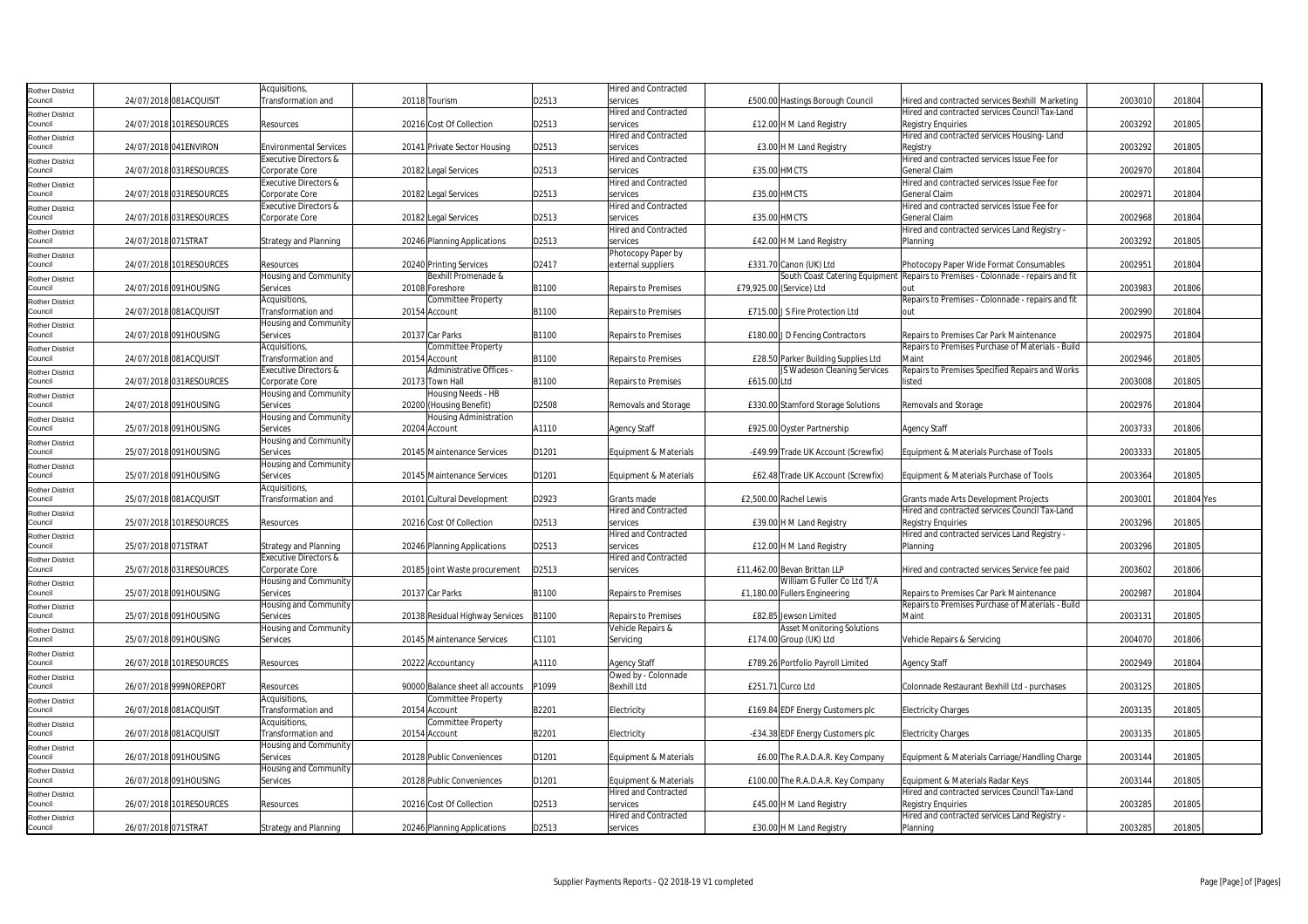| <b>Rother District</b>            |                     |                         | Acquisitions,                    |                                  |       | <b>Hired and Contracted</b> |             |                                     |                                                                                  |         |            |  |
|-----------------------------------|---------------------|-------------------------|----------------------------------|----------------------------------|-------|-----------------------------|-------------|-------------------------------------|----------------------------------------------------------------------------------|---------|------------|--|
| Council                           |                     | 24/07/2018 081ACQUISIT  | ransformation and                | 20118 Tourism                    | D2513 | services                    |             | £500.00 Hastings Borough Council    | Hired and contracted services Bexhill Marketing                                  | 2003010 | 201804     |  |
| <b>Rother District</b>            |                     |                         |                                  |                                  |       | <b>Hired and Contracted</b> |             |                                     | Hired and contracted services Council Tax-Land                                   |         |            |  |
| Council                           |                     | 24/07/2018 101RESOURCES | Resources                        | 20216 Cost Of Collection         | D2513 | services                    |             | £12.00 H M Land Registry            | <b>Registry Enquiries</b>                                                        | 2003292 | 201805     |  |
| <b>Rother District</b>            |                     |                         |                                  |                                  |       | <b>Hired and Contracted</b> |             |                                     | Hired and contracted services Housing-Land                                       |         |            |  |
| Council                           |                     | 24/07/2018 041ENVIRON   | <b>Environmental Services</b>    | 20141 Private Sector Housing     | D2513 | services                    |             | £3.00 H M Land Registry             | Registry                                                                         | 2003292 | 201805     |  |
| <b>Rother District</b>            |                     |                         | Executive Directors &            |                                  |       | <b>Hired and Contracted</b> |             |                                     | Hired and contracted services Issue Fee for                                      |         |            |  |
| Council                           |                     | 24/07/2018 031RESOURCES | Corporate Core                   | 20182 Legal Services             | D2513 | services                    |             | <b>£35.00 HMCTS</b>                 | General Claim                                                                    | 2002970 | 201804     |  |
| <b>Rother District</b>            |                     |                         | Executive Directors &            |                                  |       | <b>Hired and Contracted</b> |             |                                     | Hired and contracted services Issue Fee for                                      |         |            |  |
| Council                           |                     | 24/07/2018 031RESOURCES | Corporate Core                   | 20182 Legal Services             | D2513 | services                    |             | £35.00 HMCTS                        | <b>General Claim</b>                                                             | 2002971 | 201804     |  |
| <b>Rother District</b>            |                     |                         | Executive Directors &            |                                  |       | <b>Hired and Contracted</b> |             |                                     | Hired and contracted services Issue Fee for                                      |         |            |  |
| Council                           |                     | 24/07/2018 031RESOURCES | Corporate Core                   | 20182 Legal Services             | D2513 | services                    |             | £35.00 HMCTS                        | General Claim                                                                    | 2002968 | 201804     |  |
|                                   |                     |                         |                                  |                                  |       | Hired and Contracted        |             |                                     | Hired and contracted services Land Registry -                                    |         |            |  |
| <b>Rother District</b><br>Council | 24/07/2018 071STRAT |                         | <b>Strategy and Planning</b>     | 20246 Planning Applications      | D2513 | services                    |             | £42.00 H M Land Registry            | Planning                                                                         | 2003292 | 201805     |  |
|                                   |                     |                         |                                  |                                  |       | Photocopy Paper by          |             |                                     |                                                                                  |         |            |  |
| <b>Rother District</b><br>Council |                     | 24/07/2018 101RESOURCES | Resources                        | 20240 Printing Services          | D2417 | external suppliers          |             | £331.70 Canon (UK) Ltd              | Photocopy Paper Wide Format Consumables                                          | 2002951 | 201804     |  |
|                                   |                     |                         | Housing and Community            | Bexhill Promenade &              |       |                             |             |                                     | South Coast Catering Equipment Repairs to Premises - Colonnade - repairs and fit |         |            |  |
| <b>Rother District</b><br>Council |                     |                         |                                  |                                  |       |                             |             |                                     |                                                                                  |         |            |  |
|                                   |                     | 24/07/2018 091HOUSING   | Services                         | 20108 Foreshore                  | B1100 | <b>Repairs to Premises</b>  |             | £79,925.00 (Service) Ltd            | out                                                                              | 2003983 | 201806     |  |
| <b>Rother District</b>            |                     |                         | Acquisitions,                    | Committee Property               |       |                             |             |                                     | Repairs to Premises - Colonnade - repairs and fit                                |         |            |  |
| Council                           |                     | 24/07/2018 081ACQUISIT  | Transformation and               | 20154 Account                    | B1100 | <b>Repairs to Premises</b>  |             | £715.00 J S Fire Protection Ltd     | out                                                                              | 2002990 | 201804     |  |
| <b>Rother District</b>            |                     |                         | Housing and Community            |                                  |       |                             |             |                                     |                                                                                  |         |            |  |
| Council                           |                     | 24/07/2018 091HOUSING   | Services                         | 20137 Car Parks                  | B1100 | <b>Repairs to Premises</b>  |             | £180.00 J D Fencing Contractors     | Repairs to Premises Car Park Maintenance                                         | 2002975 | 201804     |  |
| <b>Rother District</b>            |                     |                         | Acquisitions,                    | Committee Property               |       |                             |             |                                     | Repairs to Premises Purchase of Materials - Build                                |         |            |  |
| Council                           |                     | 24/07/2018 081ACQUISIT  | Transformation and               | 20154 Account                    | B1100 | <b>Repairs to Premises</b>  |             | £28.50 Parker Building Supplies Ltd | Maint                                                                            | 2002946 | 201805     |  |
| <b>Rother District</b>            |                     |                         | <b>Executive Directors &amp;</b> | Administrative Offices -         |       |                             |             | JS Wadeson Cleaning Services        | Repairs to Premises Specified Repairs and Works                                  |         |            |  |
| Council                           |                     | 24/07/2018 031RESOURCES | Corporate Core                   | 20173 Town Hall                  | B1100 | <b>Repairs to Premises</b>  | £615.00 Ltd |                                     | listed                                                                           | 2003008 | 201805     |  |
| <b>Rother District</b>            |                     |                         | Housing and Community            | Housing Needs - HB               |       |                             |             |                                     |                                                                                  |         |            |  |
| Council                           |                     | 24/07/2018 091HOUSING   | Services                         | 20200 (Housing Benefit)          | D2508 | Removals and Storage        |             | £330.00 Stamford Storage Solutions  | Removals and Storage                                                             | 2002976 | 201804     |  |
| <b>Rother District</b>            |                     |                         | Housing and Community            | Housing Administration           |       |                             |             |                                     |                                                                                  |         |            |  |
| Council                           |                     | 25/07/2018 091HOUSING   | Services                         | 20204 Account                    | A1110 | <b>Agency Staff</b>         |             | £925.00 Oyster Partnership          | <b>Agency Staff</b>                                                              | 2003733 | 201806     |  |
| <b>Rother District</b>            |                     |                         | Housing and Community            |                                  |       |                             |             |                                     |                                                                                  |         |            |  |
| Council                           |                     | 25/07/2018 091HOUSING   | Services                         | 20145 Maintenance Services       | D1201 | Equipment & Materials       |             | -£49.99 Trade UK Account (Screwfix) | Equipment & Materials Purchase of Tools                                          | 2003333 | 201805     |  |
| <b>Rother District</b>            |                     |                         | Housing and Community            |                                  |       |                             |             |                                     |                                                                                  |         |            |  |
| Council                           |                     | 25/07/2018 091HOUSING   | Services                         | 20145 Maintenance Services       | D1201 | Equipment & Materials       |             | £62.48 Trade UK Account (Screwfix)  | Equipment & Materials Purchase of Tools                                          | 2003364 | 201805     |  |
| <b>Rother District</b>            |                     |                         | Acquisitions,                    |                                  |       |                             |             |                                     |                                                                                  |         |            |  |
| Council                           |                     | 25/07/2018 081ACQUISIT  | <b>Transformation and</b>        | 20101 Cultural Development       | D2923 | Grants made                 |             | £2,500.00 Rachel Lewis              | Grants made Arts Development Projects                                            | 200300  | 201804 Yes |  |
| <b>Rother District</b>            |                     |                         |                                  |                                  |       | <b>Hired and Contracted</b> |             |                                     | Hired and contracted services Council Tax-Land                                   |         |            |  |
| Council                           |                     | 25/07/2018 101RESOURCES | Resources                        | 20216 Cost Of Collection         | D2513 | services                    |             | £39.00 H M Land Registry            | <b>Registry Enquiries</b>                                                        | 2003296 | 201805     |  |
| <b>Rother District</b>            |                     |                         |                                  |                                  |       | <b>Hired and Contracted</b> |             |                                     | Hired and contracted services Land Registry -                                    |         |            |  |
| Council                           | 25/07/2018 071STRAT |                         | <b>Strategy and Planning</b>     | 20246 Planning Applications      | D2513 | services                    |             | £12.00 H M Land Registry            | Planning                                                                         | 2003296 | 201805     |  |
| <b>Rother District</b>            |                     |                         | <b>Executive Directors &amp;</b> |                                  |       | <b>Hired and Contracted</b> |             |                                     |                                                                                  |         |            |  |
| Council                           |                     | 25/07/2018 031RESOURCES | Corporate Core                   | 20185 Joint Waste procurement    | D2513 | services                    |             | £11,462.00 Bevan Brittan LLP        | Hired and contracted services Service fee paid                                   | 2003602 | 201806     |  |
| <b>Rother District</b>            |                     |                         | Housing and Community            |                                  |       |                             |             | William G Fuller Co Ltd T/A         |                                                                                  |         |            |  |
| Council                           |                     | 25/07/2018 091HOUSING   | Services                         | 20137 Car Parks                  | B1100 | <b>Repairs to Premises</b>  |             | £1,180.00 Fullers Engineering       | Repairs to Premises Car Park Maintenance                                         | 2002987 | 201804     |  |
|                                   |                     |                         | Housing and Community            |                                  |       |                             |             |                                     | Repairs to Premises Purchase of Materials - Build                                |         |            |  |
| <b>Rother District</b><br>Council |                     | 25/07/2018 091HOUSING   | Services                         | 20138 Residual Highway Services  | B1100 | <b>Repairs to Premises</b>  |             | £82.85 Jewson Limited               | Maint                                                                            | 2003131 | 201805     |  |
|                                   |                     |                         | Housing and Community            |                                  |       | Vehicle Repairs &           |             | Asset Monitoring Solutions          |                                                                                  |         |            |  |
| <b>Rother District</b><br>Council |                     | 25/07/2018 091HOUSING   | Services                         | 20145 Maintenance Services       | C1101 | Servicing                   |             | £174.00 Group (UK) Ltd              | Vehicle Repairs & Servicing                                                      | 2004070 | 201806     |  |
|                                   |                     |                         |                                  |                                  |       |                             |             |                                     |                                                                                  |         |            |  |
| <b>Rother District</b><br>Council |                     | 26/07/2018 101RESOURCES | Resources                        | 20222 Accountancy                | A1110 | <b>Agency Staff</b>         |             | £789.26 Portfolio Payroll Limited   | <b>Agency Staff</b>                                                              | 2002949 | 201804     |  |
|                                   |                     |                         |                                  |                                  |       | Owed by - Colonnade         |             |                                     |                                                                                  |         |            |  |
| <b>Rother District</b><br>Council |                     | 26/07/2018 999NOREPORT  | Resources                        | 90000 Balance sheet all accounts | P1099 | <b>Bexhill Ltd</b>          |             | £251.71 Curco Ltd                   | Colonnade Restaurant Bexhill Ltd - purchases                                     | 2003125 | 201805     |  |
|                                   |                     |                         | Acquisitions,                    | Committee Property               |       |                             |             |                                     |                                                                                  |         |            |  |
| <b>Rother District</b>            |                     |                         |                                  |                                  |       |                             |             |                                     |                                                                                  |         |            |  |
| Council                           |                     | 26/07/2018 081ACQUISIT  | Transformation and               | 20154 Account                    | B2201 | Electricity                 |             | £169.84 EDF Energy Customers plc    | <b>Electricity Charges</b>                                                       | 2003135 | 201805     |  |
| <b>Rother District</b>            |                     |                         | Acquisitions,                    | Committee Property               |       |                             |             |                                     |                                                                                  |         |            |  |
| Council                           |                     | 26/07/2018 081ACQUISIT  | Transformation and               | 20154 Account                    | B2201 | Electricity                 |             | -£34.38 EDF Energy Customers plc    | <b>Electricity Charges</b>                                                       | 2003135 | 201805     |  |
| <b>Rother District</b>            |                     |                         | Housing and Community            |                                  |       |                             |             |                                     |                                                                                  |         |            |  |
| Council                           |                     | 26/07/2018 091HOUSING   | Services                         | 20128 Public Conveniences        | D1201 | Equipment & Materials       |             | £6.00 The R.A.D.A.R. Key Company    | Equipment & Materials Carriage/Handling Charge                                   | 2003144 | 201805     |  |
| <b>Rother District</b>            |                     |                         | Housing and Community            |                                  |       |                             |             |                                     |                                                                                  |         |            |  |
| Council                           |                     | 26/07/2018 091HOUSING   | Services                         | 20128 Public Conveniences        | D1201 | Equipment & Materials       |             | £100.00 The R.A.D.A.R. Key Company  | Equipment & Materials Radar Keys                                                 | 2003144 | 201805     |  |
| <b>Rother District</b>            |                     |                         |                                  |                                  |       | <b>Hired and Contracted</b> |             |                                     | Hired and contracted services Council Tax-Land                                   |         |            |  |
| Council                           |                     | 26/07/2018 101RESOURCES | Resources                        | 20216 Cost Of Collection         | D2513 | services                    |             | £45.00 H M Land Registry            | <b>Registry Enquiries</b>                                                        | 2003285 | 201805     |  |
| <b>Rother District</b>            |                     |                         |                                  |                                  |       | <b>Hired and Contracted</b> |             |                                     | Hired and contracted services Land Registry -                                    |         |            |  |
| Council                           | 26/07/2018 071STRAT |                         | <b>Strategy and Planning</b>     | 20246 Planning Applications      | D2513 | services                    |             | £30.00 H M Land Registry            | Planning                                                                         | 2003285 | 201805     |  |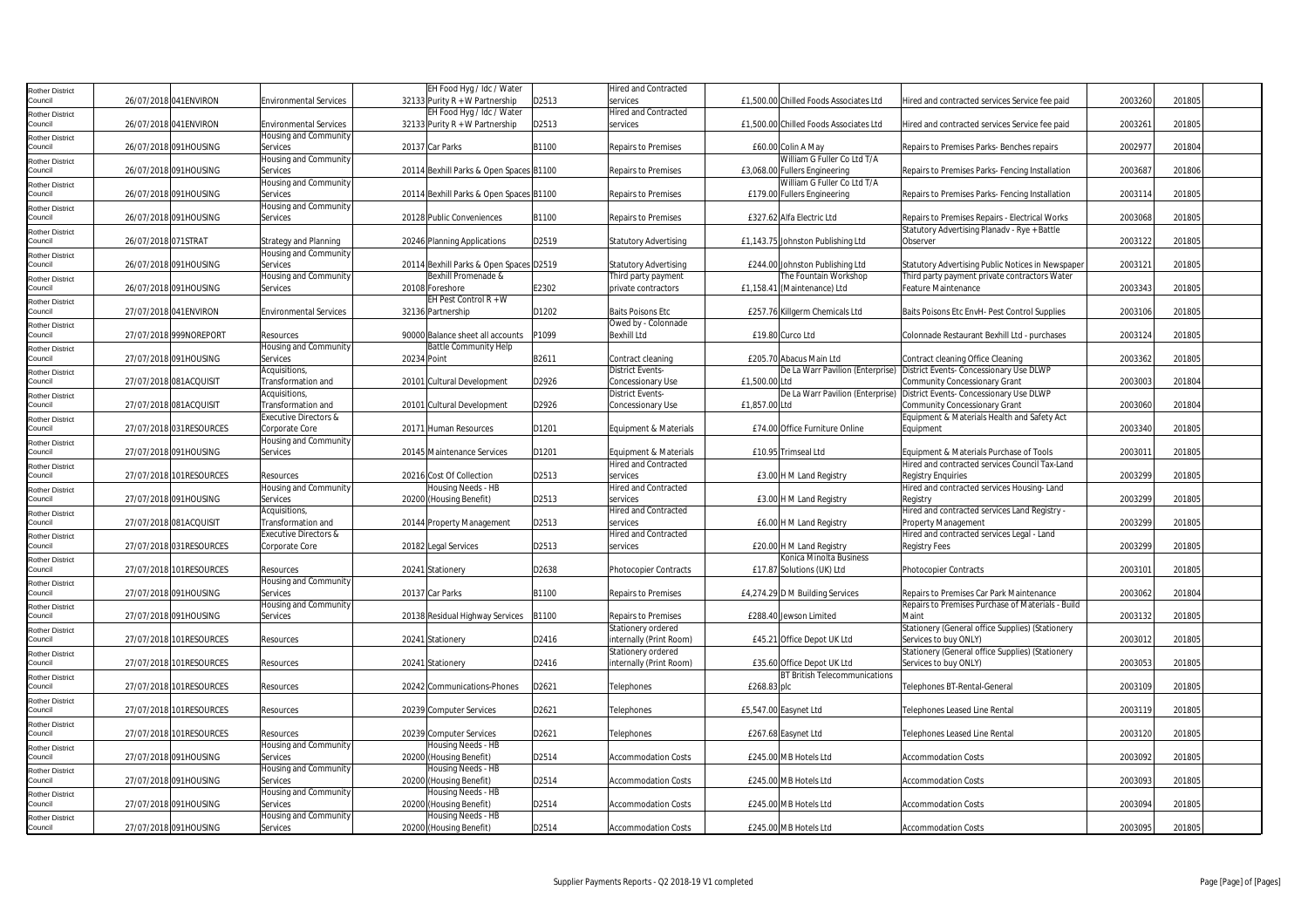| <b>Rother District</b>            |                     |                         |                                             | EH Food Hyg / Idc / Water                                      |       | <b>Hired and Contracted</b>                |                                                      |                                                                                     |         |        |
|-----------------------------------|---------------------|-------------------------|---------------------------------------------|----------------------------------------------------------------|-------|--------------------------------------------|------------------------------------------------------|-------------------------------------------------------------------------------------|---------|--------|
| Council                           |                     | 26/07/2018 041 ENVIRON  | <b>Environmental Services</b>               | 32133 Purity $R + W$ Partnership                               | D2513 | services                                   | £1.500.00 Chilled Foods Associates Ltd               | Hired and contracted services Service fee paid                                      | 2003260 | 201805 |
| <b>Rother District</b>            |                     |                         |                                             | EH Food Hyg / Idc / Water                                      |       | <b>Hired and Contracted</b>                |                                                      |                                                                                     |         |        |
| Council                           |                     | 26/07/2018 041ENVIRON   | <b>Environmental Services</b>               | 32133 Purity R + W Partnership                                 | D2513 | services                                   | £1,500.00 Chilled Foods Associates Ltd               | Hired and contracted services Service fee paid                                      | 2003261 | 201805 |
| <b>Rother District</b><br>Council |                     | 26/07/2018 091HOUSING   | Housing and Community<br>Services           | 20137 Car Parks                                                | B1100 | <b>Repairs to Premises</b>                 | £60.00 Colin A May                                   | Repairs to Premises Parks- Benches repairs                                          | 2002977 | 201804 |
| <b>Rother District</b>            |                     |                         | Housing and Community                       |                                                                |       |                                            | William G Fuller Co Ltd T/A                          |                                                                                     |         |        |
| Council                           |                     | 26/07/2018 091HOUSING   | Services                                    | 20114 Bexhill Parks & Open Spaces B1100                        |       | <b>Repairs to Premises</b>                 | £3.068.00 Fullers Engineering                        | Repairs to Premises Parks- Fencing Installation                                     | 2003687 | 201806 |
| <b>Rother District</b>            |                     |                         | Housing and Community                       |                                                                |       |                                            | William G Fuller Co Ltd T/A                          |                                                                                     |         |        |
| Council                           |                     | 26/07/2018 091HOUSING   | Services                                    | 20114 Bexhill Parks & Open Spaces B1100                        |       | <b>Repairs to Premises</b>                 | £179.00 Fullers Engineering                          | Repairs to Premises Parks- Fencing Installation                                     | 2003114 | 201805 |
| <b>Rother District</b>            |                     |                         | Housing and Community                       |                                                                |       |                                            |                                                      |                                                                                     |         |        |
| Council                           |                     | 26/07/2018 091HOUSING   | Services                                    | 20128 Public Conveniences                                      | B1100 | <b>Repairs to Premises</b>                 | £327.62 Alfa Electric Ltd                            | Repairs to Premises Repairs - Electrical Works                                      | 2003068 | 201805 |
| <b>Rother District</b>            |                     |                         |                                             |                                                                |       |                                            |                                                      | Statutory Advertising Planady - Rye + Battle                                        |         |        |
| Council                           | 26/07/2018 071STRAT |                         | <b>Strategy and Planning</b>                | 20246 Planning Applications                                    | D2519 | <b>Statutory Advertising</b>               | £1,143.75 Johnston Publishing Ltd                    | Observer                                                                            | 2003122 | 201805 |
| <b>Rother District</b>            |                     |                         | Housing and Community                       |                                                                |       |                                            |                                                      |                                                                                     |         |        |
| Council                           |                     | 26/07/2018 091HOUSING   | Services                                    | 20114 Bexhill Parks & Open Spaces D2519<br>Bexhill Promenade & |       | Statutory Advertising                      | £244.00 Johnston Publishing Ltd                      | Statutory Advertising Public Notices in Newspaper                                   | 2003121 | 201805 |
| <b>Rother District</b><br>Council |                     | 26/07/2018 091HOUSING   | Housing and Community<br>Services           | 20108 Foreshore                                                | E2302 | Third party payment<br>private contractors | The Fountain Workshop<br>£1,158.41 (Maintenance) Ltd | Third party payment private contractors Water<br><b>Feature Maintenance</b>         | 2003343 | 201805 |
|                                   |                     |                         |                                             | EH Pest Control $R + W$                                        |       |                                            |                                                      |                                                                                     |         |        |
| <b>Rother District</b><br>Council |                     | 27/07/2018 041ENVIRON   | <b>Environmental Services</b>               | 32136 Partnership                                              | D1202 | <b>Baits Poisons Etc</b>                   | £257.76 Killgerm Chemicals Ltd                       | Baits Poisons Etc EnvH- Pest Control Supplies                                       | 2003106 | 201805 |
| <b>Rother District</b>            |                     |                         |                                             |                                                                |       | Owed by - Colonnade                        |                                                      |                                                                                     |         |        |
| Council                           |                     | 27/07/2018 999NOREPORT  | Resources                                   | 90000 Balance sheet all accounts                               | P1099 | <b>Bexhill Ltd</b>                         | £19.80 Curco Ltd                                     | Colonnade Restaurant Bexhill Ltd - purchases                                        | 2003124 | 201805 |
| <b>Rother District</b>            |                     |                         | Housing and Community                       | <b>Battle Community Help</b>                                   |       |                                            |                                                      |                                                                                     |         |        |
| Council                           |                     | 27/07/2018 091HOUSING   | Services                                    | 20234 Point                                                    | B2611 | Contract cleaning                          | £205.70 Abacus Main Ltd                              | Contract cleaning Office Cleaning                                                   | 2003362 | 201805 |
| <b>Rother District</b>            |                     |                         | Acquisitions.                               |                                                                |       | <b>District Events-</b>                    |                                                      | De La Warr Pavilion (Enterprise) District Events- Concessionary Use DLWP            |         |        |
| Council                           |                     | 27/07/2018 081ACQUISIT  | Transformation and                          | 20101 Cultural Development                                     | D2926 | Concessionary Use                          | £1.500.00 Ltd                                        | <b>Community Concessionary Grant</b>                                                | 2003003 | 201804 |
| <b>Rother District</b>            |                     |                         | Acquisitions,                               |                                                                |       | District Events-                           | De La Warr Pavilion (Enterprise)                     | District Events- Concessionary Use DLWP                                             |         |        |
| Council                           |                     | 27/07/2018 081ACQUISIT  | Transformation and<br>Executive Directors & | 20101 Cultural Development                                     | D2926 | Concessionary Use                          | £1,857.00 Ltd                                        | <b>Community Concessionary Grant</b><br>Equipment & Materials Health and Safety Act | 2003060 | 201804 |
| <b>Rother District</b><br>Council |                     | 27/07/2018 031RESOURCES | Corporate Core                              | 20171 Human Resources                                          | D1201 | Equipment & Materials                      | £74.00 Office Furniture Online                       | Equipment                                                                           | 2003340 | 201805 |
|                                   |                     |                         | Housing and Community                       |                                                                |       |                                            |                                                      |                                                                                     |         |        |
| <b>Rother District</b><br>Council |                     | 27/07/2018 091HOUSING   | Services                                    | 20145 Maintenance Services                                     | D1201 | Equipment & Materials                      | £10.95 Trimseal Ltd                                  | Equipment & Materials Purchase of Tools                                             | 2003011 | 201805 |
| <b>Rother District</b>            |                     |                         |                                             |                                                                |       | Hired and Contracted                       |                                                      | Hired and contracted services Council Tax-Land                                      |         |        |
| Council                           |                     | 27/07/2018 101RESOURCES | Resources                                   | 20216 Cost Of Collection                                       | D2513 | services                                   | £3.00 H M Land Registry                              | <b>Registry Enquiries</b>                                                           | 2003299 | 201805 |
| <b>Rother District</b>            |                     |                         | Housing and Community                       | Housing Needs - HB                                             |       | <b>Hired and Contracted</b>                |                                                      | Hired and contracted services Housing-Land                                          |         |        |
| Council                           |                     | 27/07/2018 091HOUSING   | Services                                    | 20200 (Housing Benefit)                                        | D2513 | services                                   | £3.00 H M Land Registry                              | Registry                                                                            | 2003299 | 201805 |
| <b>Rother District</b>            |                     |                         | Acquisitions,                               |                                                                |       | Hired and Contracted                       |                                                      | Hired and contracted services Land Registry -                                       |         |        |
| Council                           |                     | 27/07/2018 081ACQUISIT  | Transformation and                          | 20144 Property Management                                      | D2513 | services                                   | £6.00 H M Land Registry                              | Property Management                                                                 | 2003299 | 201805 |
| <b>Rother District</b><br>Council |                     |                         | Executive Directors &                       |                                                                |       | lired and Contracted                       |                                                      | Hired and contracted services Legal - Land                                          |         |        |
|                                   |                     | 27/07/2018 031RESOURCES | Corporate Core                              | 20182 Legal Services                                           | D2513 | services                                   | £20.00 H M Land Registry<br>Konica Minolta Business  | <b>Registry Fees</b>                                                                | 2003299 | 201805 |
| <b>Rother District</b><br>Council |                     | 27/07/2018 101RESOURCES | Resources                                   | 20241 Stationery                                               | D2638 | <b>Photocopier Contracts</b>               | £17.87 Solutions (UK) Ltd                            | <b>Photocopier Contracts</b>                                                        | 2003101 | 201805 |
| <b>Rother District</b>            |                     |                         | Housing and Community                       |                                                                |       |                                            |                                                      |                                                                                     |         |        |
| Council                           |                     | 27/07/2018 091HOUSING   | Services                                    | 20137 Car Parks                                                | B1100 | <b>Repairs to Premises</b>                 | £4,274.29 D M Building Services                      | Repairs to Premises Car Park Maintenance                                            | 2003062 | 201804 |
| <b>Rother District</b>            |                     |                         | Housing and Community                       |                                                                |       |                                            |                                                      | Repairs to Premises Purchase of Materials - Build                                   |         |        |
| Council                           |                     | 27/07/2018 091HOUSING   | Services                                    | 20138 Residual Highway Services                                | B1100 | Repairs to Premises                        | £288.40 Jewson Limited                               | Maint                                                                               | 2003132 | 201805 |
| <b>Rother District</b>            |                     |                         |                                             |                                                                |       | Stationery ordered                         |                                                      | Stationery (General office Supplies) (Stationery                                    |         |        |
| Council                           |                     | 27/07/2018 101RESOURCES | Resources                                   | 20241 Stationery                                               | D2416 | nternally (Print Room)                     | £45.21 Office Depot UK Ltd                           | Services to buy ONLY)                                                               | 2003012 | 201805 |
| <b>Rother District</b>            |                     |                         |                                             |                                                                |       | Stationery ordered                         |                                                      | Stationery (General office Supplies) (Stationery                                    |         |        |
| Council                           |                     | 27/07/2018 101RESOURCES | Resources                                   | 20241 Stationery                                               | D2416 | internally (Print Room)                    | £35.60 Office Depot UK Ltd                           | Services to buy ONLY)                                                               | 2003053 | 201805 |
| <b>Rother District</b><br>Council |                     | 27/07/2018 101RESOURCES | Resources                                   | 20242 Communications-Phones                                    | D2621 | Telephones                                 | <b>BT British Telecommunications</b><br>£268.83 plc  | Telephones BT-Rental-General                                                        | 2003109 | 201805 |
|                                   |                     |                         |                                             |                                                                |       |                                            |                                                      |                                                                                     |         |        |
| <b>Rother District</b><br>Council |                     | 27/07/2018 101RESOURCES | Resources                                   | 20239 Computer Services                                        | D2621 | <b>Felephones</b>                          | £5,547.00 Easynet Ltd                                | Telephones Leased Line Rental                                                       | 2003119 | 201805 |
| <b>Rother District</b>            |                     |                         |                                             |                                                                |       |                                            |                                                      |                                                                                     |         |        |
| Council                           |                     | 27/07/2018 101RESOURCES | Resources                                   | 20239 Computer Services                                        | D2621 | Telephones                                 | £267.68 Easynet Ltd                                  | Telephones Leased Line Rental                                                       | 2003120 | 201805 |
| <b>Rother District</b>            |                     |                         | Housing and Community                       | Housing Needs - HB                                             |       |                                            |                                                      |                                                                                     |         |        |
| Council                           |                     | 27/07/2018 091HOUSING   | Services                                    | 20200 (Housing Benefit)                                        | D2514 | <b>Accommodation Costs</b>                 | £245.00 MB Hotels Ltd                                | <b>Accommodation Costs</b>                                                          | 2003092 | 201805 |
| Rother District                   |                     |                         | Housing and Community                       | Housing Needs - HB                                             |       |                                            |                                                      |                                                                                     |         |        |
| Council                           |                     | 27/07/2018 091HOUSING   | Services                                    | 20200 (Housing Benefit)                                        | D2514 | <b>Accommodation Costs</b>                 | £245.00 MB Hotels Ltd                                | <b>Accommodation Costs</b>                                                          | 2003093 | 201805 |
| <b>Rother District</b>            |                     |                         | Housing and Community                       | Housing Needs - HB                                             |       |                                            |                                                      |                                                                                     |         |        |
| Council                           |                     | 27/07/2018 091HOUSING   | Services                                    | 20200 (Housing Benefit)                                        | D2514 | <b>Accommodation Costs</b>                 | £245.00 MB Hotels Ltd                                | <b>Accommodation Costs</b>                                                          | 2003094 | 201805 |
| <b>Rother District</b>            |                     |                         | Housing and Community                       | Housing Needs - HB                                             |       |                                            |                                                      |                                                                                     | 2003095 | 201805 |
| Council                           |                     | 27/07/2018 091HOUSING   | Services                                    | 20200 (Housing Benefit)                                        | D2514 | <b>Accommodation Costs</b>                 | £245.00 MB Hotels Ltd                                | <b>Accommodation Costs</b>                                                          |         |        |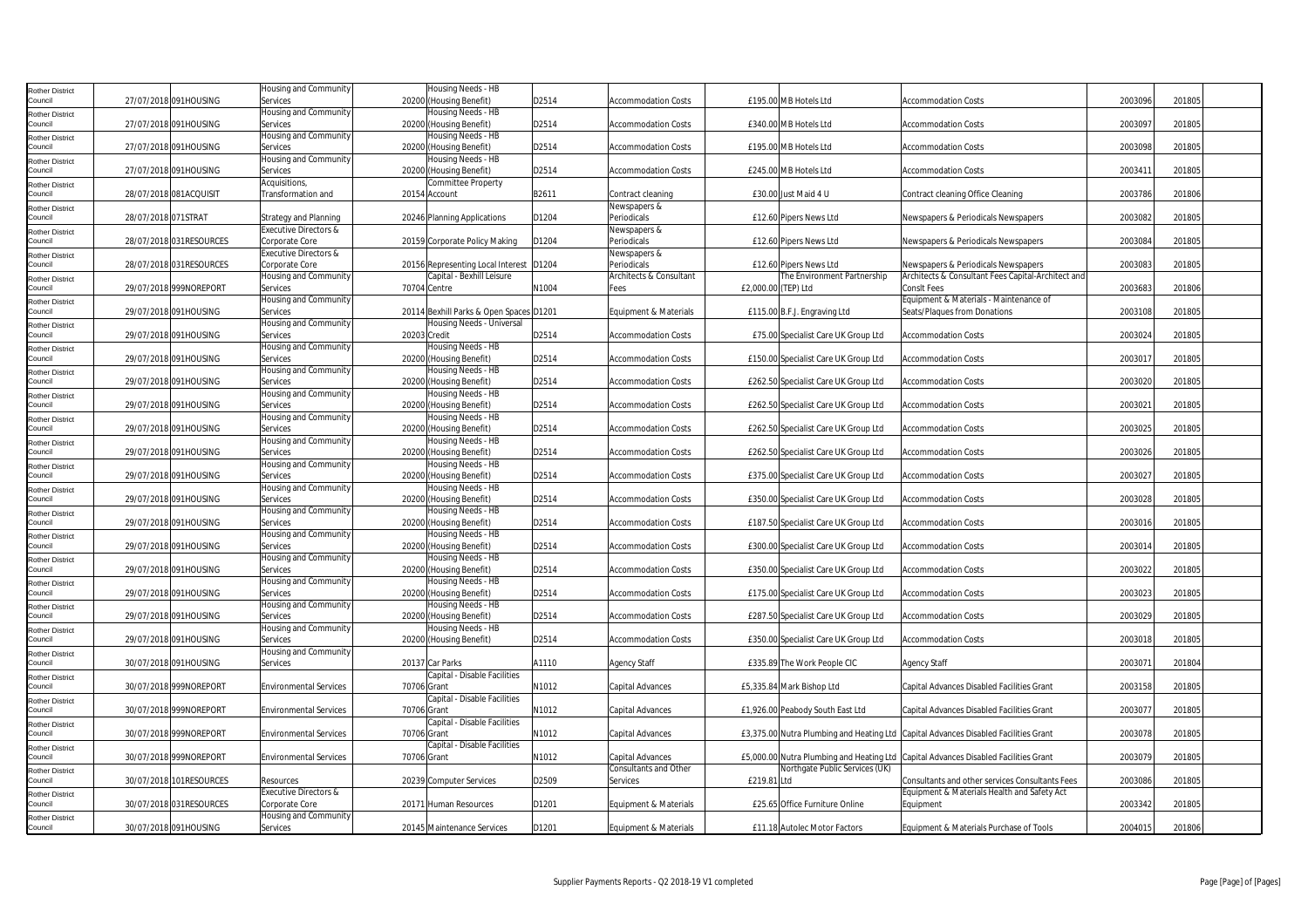| <b>Rother District</b>            |                     |                         | Housing and Community                                 |              | Housing Needs - HB                            |       |                                          |                     |                                      |                                                                                     |         |        |  |
|-----------------------------------|---------------------|-------------------------|-------------------------------------------------------|--------------|-----------------------------------------------|-------|------------------------------------------|---------------------|--------------------------------------|-------------------------------------------------------------------------------------|---------|--------|--|
| Council                           |                     | 27/07/2018 091HOUSING   | Services                                              |              | 20200 (Housing Benefit)                       | D2514 | <b>Accommodation Costs</b>               |                     | £195.00 MB Hotels Ltd                | <b>Accommodation Costs</b>                                                          | 2003096 | 201805 |  |
| <b>Rother District</b>            |                     |                         | <b>Housing and Community</b>                          |              | Housing Needs - HB                            |       |                                          |                     |                                      |                                                                                     |         |        |  |
| Council                           |                     | 27/07/2018 091HOUSING   | Services                                              |              | 20200 (Housing Benefit)                       | D2514 | <b>Accommodation Costs</b>               |                     | £340.00 MB Hotels Ltd                | <b>Accommodation Costs</b>                                                          | 2003097 | 201805 |  |
| <b>Rother District</b>            |                     |                         | Housing and Community                                 |              | Housing Needs - HB                            |       |                                          |                     |                                      |                                                                                     |         |        |  |
| Council                           |                     | 27/07/2018 091HOUSING   | Services                                              |              | 20200 (Housing Benefit)                       | D2514 | <b>Accommodation Costs</b>               |                     | £195.00 MB Hotels Ltd                | <b>Accommodation Costs</b>                                                          | 2003098 | 201805 |  |
| <b>Rother District</b>            |                     |                         | Housing and Community                                 |              | Housing Needs - HB                            |       |                                          |                     |                                      |                                                                                     |         |        |  |
| Council                           |                     | 27/07/2018 091HOUSING   | Services                                              |              | 20200 (Housing Benefit)                       | D2514 | <b>Accommodation Costs</b>               |                     | £245.00 MB Hotels Ltd                | <b>Accommodation Costs</b>                                                          | 2003411 | 201805 |  |
| <b>Rother District</b>            |                     |                         | Acquisitions,                                         |              | Committee Property                            |       |                                          |                     |                                      |                                                                                     |         |        |  |
| Council                           |                     | 28/07/2018 081ACQUISIT  | Transformation and                                    |              | 20154 Account                                 | B2611 | Contract cleaning                        |                     | £30.00 Just Maid 4 U                 | Contract cleaning Office Cleaning                                                   | 2003786 | 201806 |  |
| <b>Rother District</b><br>Council |                     |                         |                                                       |              |                                               |       | Newspapers &                             |                     |                                      |                                                                                     | 2003082 | 201805 |  |
|                                   | 28/07/2018 071STRAT |                         | <b>Strategy and Planning</b><br>Executive Directors & |              | 20246 Planning Applications                   | D1204 | Periodicals<br>Newspapers &              |                     | £12.60 Pipers News Ltd               | Newspapers & Periodicals Newspapers                                                 |         |        |  |
| <b>Rother District</b><br>Council |                     | 28/07/2018 031RESOURCES | Corporate Core                                        |              | 20159 Corporate Policy Making                 | D1204 | Periodicals                              |                     | £12.60 Pipers News Ltd               | Newspapers & Periodicals Newspapers                                                 | 2003084 | 201805 |  |
| <b>Rother District</b>            |                     |                         | Executive Directors &                                 |              |                                               |       | Newspapers &                             |                     |                                      |                                                                                     |         |        |  |
| Council                           |                     | 28/07/2018 031RESOURCES | Corporate Core                                        |              | 20156 Representing Local Interest D1204       |       | Periodicals                              |                     | £12.60 Pipers News Ltd               | Newspapers & Periodicals Newspapers                                                 | 2003083 | 201805 |  |
| Rother District                   |                     |                         | Housing and Community                                 |              | Capital - Bexhill Leisure                     |       | Architects & Consultant                  |                     | The Environment Partnership          | Architects & Consultant Fees Capital-Architect and                                  |         |        |  |
| Council                           |                     | 29/07/2018 999NOREPORT  | Services                                              |              | 70704 Centre                                  | N1004 | Fees                                     | £2,000.00 (TEP) Ltd |                                      | <b>ConsIt Fees</b>                                                                  | 2003683 | 201806 |  |
| <b>Rother District</b>            |                     |                         | Housing and Community                                 |              |                                               |       |                                          |                     |                                      | Equipment & Materials - Maintenance of                                              |         |        |  |
| Council                           |                     | 29/07/2018 091HOUSING   | Services                                              |              | 20114 Bexhill Parks & Open Spaces D1201       |       | Equipment & Materials                    |                     | £115.00 B.F.J. Engraving Ltd         | Seats/Plaques from Donations                                                        | 2003108 | 201805 |  |
| <b>Rother District</b>            |                     |                         | Housing and Community                                 |              | Housing Needs - Universal                     |       |                                          |                     |                                      |                                                                                     |         |        |  |
| Council                           |                     | 29/07/2018 091HOUSING   | Services                                              | 20203 Credit |                                               | D2514 | <b>Accommodation Costs</b>               |                     | £75.00 Specialist Care UK Group Ltd  | <b>Accommodation Costs</b>                                                          | 2003024 | 201805 |  |
| <b>Rother District</b>            |                     |                         | Housing and Community                                 |              | Housing Needs - HB                            |       |                                          |                     |                                      |                                                                                     |         |        |  |
| Council                           |                     | 29/07/2018 091HOUSING   | Services                                              |              | 20200 (Housing Benefit)                       | D2514 | <b>Accommodation Costs</b>               |                     | £150.00 Specialist Care UK Group Ltd | <b>Accommodation Costs</b>                                                          | 2003017 | 201805 |  |
| <b>Rother District</b>            |                     |                         | Housing and Community                                 |              | Housing Needs - HB                            |       |                                          |                     |                                      |                                                                                     |         |        |  |
| Council                           |                     | 29/07/2018 091HOUSING   | Services                                              |              | 20200 (Housing Benefit)                       | D2514 | <b>Accommodation Costs</b>               |                     | £262.50 Specialist Care UK Group Ltd | <b>Accommodation Costs</b>                                                          | 2003020 | 201805 |  |
| Rother District                   |                     |                         | Housing and Community                                 |              | Housing Needs - HB                            |       |                                          |                     |                                      |                                                                                     |         |        |  |
| Council                           |                     | 29/07/2018 091HOUSING   | Services                                              |              | 20200 (Housing Benefit)                       | D2514 | <b>Accommodation Costs</b>               |                     | £262.50 Specialist Care UK Group Ltd | <b>Accommodation Costs</b>                                                          | 2003021 | 201805 |  |
| <b>Rother District</b>            |                     |                         | Housing and Community                                 |              | Housing Needs - HB                            |       |                                          |                     |                                      |                                                                                     |         |        |  |
| Council                           |                     | 29/07/2018 091HOUSING   | Services<br>Housing and Community                     |              | 20200 (Housing Benefit)<br>Housing Needs - HB | D2514 | <b>Accommodation Costs</b>               |                     | £262.50 Specialist Care UK Group Ltd | <b>Accommodation Costs</b>                                                          | 2003025 | 201805 |  |
| <b>Rother District</b><br>Council |                     | 29/07/2018 091HOUSING   | Services                                              |              | 20200 (Housing Benefit)                       | D2514 | <b>Accommodation Costs</b>               |                     | £262.50 Specialist Care UK Group Ltd | <b>Accommodation Costs</b>                                                          | 2003026 | 201805 |  |
|                                   |                     |                         | Housing and Community                                 |              | Housing Needs - HB                            |       |                                          |                     |                                      |                                                                                     |         |        |  |
| <b>Rother District</b><br>Council |                     | 29/07/2018 091HOUSING   | Services                                              |              | 20200 (Housing Benefit)                       | D2514 | <b>Accommodation Costs</b>               |                     | £375.00 Specialist Care UK Group Ltd | <b>Accommodation Costs</b>                                                          | 2003027 | 201805 |  |
| <b>Rother District</b>            |                     |                         | Housing and Community                                 |              | Housing Needs - HB                            |       |                                          |                     |                                      |                                                                                     |         |        |  |
| Council                           |                     | 29/07/2018 091HOUSING   | Services                                              |              | 20200 (Housing Benefit)                       | D2514 | <b>Accommodation Costs</b>               |                     | £350.00 Specialist Care UK Group Ltd | <b>Accommodation Costs</b>                                                          | 2003028 | 201805 |  |
| <b>Rother District</b>            |                     |                         | Housing and Community                                 |              | Housing Needs - HB                            |       |                                          |                     |                                      |                                                                                     |         |        |  |
| Council                           |                     | 29/07/2018 091HOUSING   | Services                                              |              | 20200 (Housing Benefit)                       | D2514 | <b>Accommodation Costs</b>               |                     | £187.50 Specialist Care UK Group Ltd | <b>Accommodation Costs</b>                                                          | 2003016 | 201805 |  |
| <b>Rother District</b>            |                     |                         | Housing and Community                                 |              | Housing Needs - HB                            |       |                                          |                     |                                      |                                                                                     |         |        |  |
| Council                           |                     | 29/07/2018 091HOUSING   | Services                                              |              | 20200 (Housing Benefit)                       | D2514 | <b>Accommodation Costs</b>               |                     | £300.00 Specialist Care UK Group Ltd | <b>Accommodation Costs</b>                                                          | 2003014 | 201805 |  |
| <b>Rother District</b>            |                     |                         | <b>Housing and Community</b>                          |              | Housing Needs - HB                            |       |                                          |                     |                                      |                                                                                     |         |        |  |
| Council                           |                     | 29/07/2018 091HOUSING   | Services                                              |              | 20200 (Housing Benefit)                       | D2514 | <b>Accommodation Costs</b>               |                     | £350.00 Specialist Care UK Group Ltd | <b>Accommodation Costs</b>                                                          | 2003022 | 201805 |  |
| <b>Rother District</b>            |                     |                         | Housing and Community                                 |              | Housing Needs - HB                            |       |                                          |                     |                                      |                                                                                     |         |        |  |
| Council                           |                     | 29/07/2018 091HOUSING   | Services                                              |              | 20200 (Housing Benefit)                       | D2514 | <b>Accommodation Costs</b>               |                     | £175.00 Specialist Care UK Group Ltd | <b>Accommodation Costs</b>                                                          | 2003023 | 201805 |  |
| <b>Rother District</b><br>Council |                     | 29/07/2018 091HOUSING   | Housing and Community<br>Services                     |              | Housing Needs - HB<br>20200 (Housing Benefit) | D2514 | <b>Accommodation Costs</b>               |                     | £287.50 Specialist Care UK Group Ltd | <b>Accommodation Costs</b>                                                          | 2003029 | 201805 |  |
|                                   |                     |                         | Housing and Community                                 |              | Housing Needs - HB                            |       |                                          |                     |                                      |                                                                                     |         |        |  |
| <b>Rother District</b><br>Council |                     | 29/07/2018 091HOUSING   | Services                                              |              | 20200 (Housing Benefit)                       | D2514 | <b>Accommodation Costs</b>               |                     | £350.00 Specialist Care UK Group Ltd | <b>Accommodation Costs</b>                                                          | 2003018 | 201805 |  |
| <b>Rother District</b>            |                     |                         | Housing and Community                                 |              |                                               |       |                                          |                     |                                      |                                                                                     |         |        |  |
| Council                           |                     | 30/07/2018 091HOUSING   | Services                                              |              | 20137 Car Parks                               | A1110 | <b>Agency Staff</b>                      |                     | £335.89 The Work People CIC          | <b>Agency Staff</b>                                                                 | 2003071 | 201804 |  |
| <b>Rother District</b>            |                     |                         |                                                       |              | Capital - Disable Facilities                  |       |                                          |                     |                                      |                                                                                     |         |        |  |
| Council                           |                     | 30/07/2018 999NOREPORT  | <b>Environmental Services</b>                         | 70706 Grant  |                                               | N1012 | Capital Advances                         |                     | £5,335.84 Mark Bishop Ltd            | Capital Advances Disabled Facilities Grant                                          | 2003158 | 201805 |  |
| <b>Rother District</b>            |                     |                         |                                                       |              | Capital - Disable Facilities                  |       |                                          |                     |                                      |                                                                                     |         |        |  |
| Council                           |                     | 30/07/2018 999NOREPORT  | <b>Environmental Services</b>                         | 70706 Grant  |                                               | N1012 | Capital Advances                         |                     | £1,926.00 Peabody South East Ltd     | Capital Advances Disabled Facilities Grant                                          | 2003077 | 201805 |  |
| <b>Rother District</b>            |                     |                         |                                                       |              | Capital - Disable Facilities                  |       |                                          |                     |                                      |                                                                                     |         |        |  |
| Council                           |                     | 30/07/2018 999NOREPORT  | <b>Environmental Services</b>                         | 70706 Grant  |                                               | N1012 | Capital Advances                         |                     |                                      | £3,375.00 Nutra Plumbing and Heating Ltd Capital Advances Disabled Facilities Grant | 2003078 | 201805 |  |
| <b>Rother District</b>            |                     |                         |                                                       |              | Capital - Disable Facilities                  |       |                                          |                     |                                      |                                                                                     |         |        |  |
| Council                           |                     | 30/07/2018 999NOREPORT  | <b>Environmental Services</b>                         | 70706 Grant  |                                               | N1012 | Capital Advances                         |                     |                                      | £5,000.00 Nutra Plumbing and Heating Ltd Capital Advances Disabled Facilities Grant | 2003079 | 201805 |  |
| <b>Rother District</b><br>Council |                     | 30/07/2018 101RESOURCES | Resources                                             |              | 20239 Computer Services                       | D2509 | Consultants and Other<br><b>Services</b> | £219.81 Ltd         | Northgate Public Services (UK)       | Consultants and other services Consultants Fees                                     | 2003086 | 201805 |  |
|                                   |                     |                         | Executive Directors &                                 |              |                                               |       |                                          |                     |                                      | Equipment & Materials Health and Safety Act                                         |         |        |  |
| <b>Rother District</b><br>Council |                     | 30/07/2018 031RESOURCES | Corporate Core                                        |              | 20171 Human Resources                         | D1201 | Equipment & Materials                    |                     | £25.65 Office Furniture Online       | Equipment                                                                           | 2003342 | 201805 |  |
| <b>Rother District</b>            |                     |                         | Housing and Community                                 |              |                                               |       |                                          |                     |                                      |                                                                                     |         |        |  |
| Council                           |                     | 30/07/2018 091HOUSING   | Services                                              |              | 20145 Maintenance Services                    | D1201 | Equipment & Materials                    |                     | £11.18 Autolec Motor Factors         | Equipment & Materials Purchase of Tools                                             | 2004015 | 201806 |  |
|                                   |                     |                         |                                                       |              |                                               |       |                                          |                     |                                      |                                                                                     |         |        |  |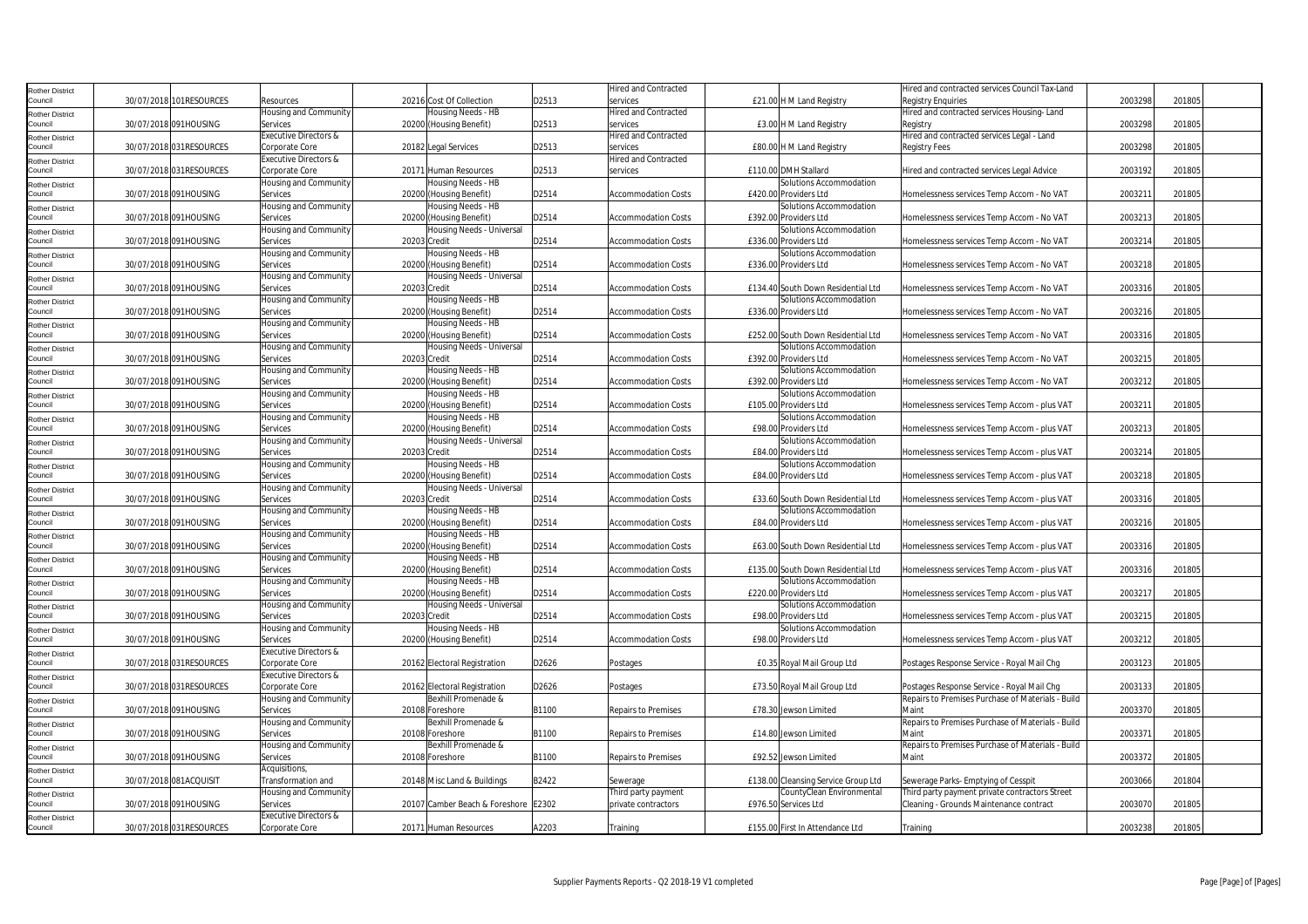| Rother District                   |                          |                                     |                                      |       | <b>Hired and Contracted</b> |                                                   | Hired and contracted services Council Tax-Land                                            |         |        |
|-----------------------------------|--------------------------|-------------------------------------|--------------------------------------|-------|-----------------------------|---------------------------------------------------|-------------------------------------------------------------------------------------------|---------|--------|
| Council                           | 30/07/2018 101RESOURCES  | Resources                           | 20216 Cost Of Collection             | D2513 | services                    | £21.00 H M Land Registry                          | <b>Registry Enquiries</b>                                                                 | 2003298 | 201805 |
| Rother District                   |                          | Housing and Community               | Housing Needs - HB                   |       | <b>Hired and Contracted</b> |                                                   | Hired and contracted services Housing-Land                                                |         |        |
| Council                           | 30/07/2018 091HOUSING    | Services                            | 20200 (Housing Benefit)              | D2513 | services                    | £3.00 H M Land Registry                           | Registry                                                                                  | 2003298 | 201805 |
| Rother District                   |                          | Executive Directors &               |                                      |       | Hired and Contracted        |                                                   | Hired and contracted services Legal - Land                                                |         |        |
| Council                           | 30/07/2018 031RESOURCES  | Corporate Core                      | 20182 Legal Services                 | D2513 | services                    | £80.00 H M Land Registry                          | Registry Fees                                                                             | 2003298 | 201805 |
| Rother District                   |                          | Executive Directors &               |                                      |       | Hired and Contracted        |                                                   |                                                                                           |         |        |
| Council                           | 30/07/2018 031RESOURCES  | Corporate Core                      | 20171 Human Resources                | D2513 | services                    | £110.00 DMH Stallard                              | Hired and contracted services Legal Advice                                                | 2003192 | 201805 |
| <b>Rother District</b>            |                          | Housing and Community               | Housing Needs - HB                   |       |                             | Solutions Accommodation                           |                                                                                           |         |        |
| Council                           | 30/07/2018 091HOUSING    | Services                            | 20200 (Housing Benefit)              | D2514 | <b>Accommodation Costs</b>  | £420.00 Providers Ltd                             | Homelessness services Temp Accom - No VAT                                                 | 2003211 | 201805 |
| <b>Rother District</b>            |                          | Housing and Community               | Housing Needs - HB                   |       |                             | Solutions Accommodation                           |                                                                                           |         |        |
| Council                           | 30/07/2018 091HOUSING    | Services                            | 20200 (Housing Benefit)              | D2514 | <b>Accommodation Costs</b>  | £392.00 Providers Ltd                             | Homelessness services Temp Accom - No VAT                                                 | 2003213 | 201805 |
| Rother District                   |                          | Housing and Community               | Housing Needs - Universal            |       |                             | Solutions Accommodation                           |                                                                                           |         |        |
| Council                           | 30/07/2018 091HOUSING    | Services                            | 20203 Credit                         | D2514 | <b>Accommodation Costs</b>  | £336.00 Providers Ltd                             | Homelessness services Temp Accom - No VAT                                                 | 2003214 | 201805 |
| Rother District                   |                          | Housing and Community               | Housing Needs - HB                   |       |                             | Solutions Accommodation                           |                                                                                           |         |        |
| Council                           | 30/07/2018 091HOUSING    | Services                            | 20200 (Housing Benefit)              | D2514 | <b>Accommodation Costs</b>  | £336.00 Providers Ltd                             | Homelessness services Temp Accom - No VAT                                                 | 2003218 | 201805 |
| Rother District                   |                          | Housing and Community               | Housing Needs - Universal            |       |                             |                                                   |                                                                                           |         |        |
| Council                           | 30/07/2018 091HOUSING    | Services                            | 20203 Credit                         | D2514 | <b>Accommodation Costs</b>  | £134.40 South Down Residential Ltd                | Homelessness services Temp Accom - No VAT                                                 | 2003316 | 201805 |
| tother District                   |                          | Housing and Community               | Housing Needs - HB                   |       |                             | Solutions Accommodation                           |                                                                                           |         |        |
| Council                           | 30/07/2018 091HOUSING    | Services                            | 20200<br>(Housing Benefit)           | D2514 | <b>Accommodation Costs</b>  | £336.00 Providers Ltd                             | Homelessness services Temp Accom - No VAT                                                 | 2003216 | 201805 |
| <b>Rother District</b>            |                          | Housing and Community               | Housing Needs - HB                   |       |                             |                                                   |                                                                                           |         |        |
| Council                           | 30/07/2018 091HOUSING    | Services                            | 20200 (Housing Benefit)              | D2514 | <b>Accommodation Costs</b>  | £252.00 South Down Residential Ltd                | Homelessness services Temp Accom - No VAT                                                 | 2003316 | 201805 |
| Rother District                   |                          | Housing and Community               | Housing Needs - Universal            |       |                             | Solutions Accommodation                           |                                                                                           |         |        |
| Council                           | 30/07/2018 091HOUSING    | Services                            | 20203 Credit                         | D2514 | <b>Accommodation Costs</b>  | £392.00 Providers Ltd                             | Homelessness services Temp Accom - No VAT                                                 | 2003215 | 201805 |
| Rother District                   |                          | Housing and Community               | Housing Needs - HB                   |       |                             | Solutions Accommodation                           |                                                                                           |         |        |
| Council                           | 30/07/2018 091HOUSING    | Services                            | 20200 (Housing Benefit)              | D2514 | <b>Accommodation Costs</b>  | £392.00 Providers Ltd                             | Homelessness services Temp Accom - No VAT                                                 | 2003212 | 201805 |
| Rother District                   |                          | Housing and Community               | Housing Needs - HB                   |       |                             | Solutions Accommodation                           |                                                                                           |         |        |
| Council                           | 30/07/2018 091HOUSING    | Services                            | 20200 (Housing Benefit)              | D2514 | <b>Accommodation Costs</b>  | £105.00 Providers Ltd                             | Homelessness services Temp Accom - plus VAT                                               | 2003211 | 201805 |
| Rother District                   |                          | Housing and Community               | Housing Needs - HB                   |       |                             | Solutions Accommodation                           |                                                                                           |         |        |
| Council                           | 30/07/2018 091HOUSING    | Services                            | 20200 (Housing Benefit)              | D2514 | <b>Accommodation Costs</b>  | £98.00 Providers Ltd                              | Homelessness services Temp Accom - plus VAT                                               | 2003213 | 201805 |
| Rother District                   |                          | Housing and Community               | Housing Needs - Universal            |       |                             | Solutions Accommodation                           |                                                                                           |         |        |
| Council                           | 30/07/2018 091HOUSING    | Services                            | 20203 Credit                         | D2514 | <b>Accommodation Costs</b>  | £84.00 Providers Ltd                              | Homelessness services Temp Accom - plus VAT                                               | 2003214 | 201805 |
| Rother District                   |                          | Housing and Community               | Housing Needs - HB                   |       |                             | Solutions Accommodation                           |                                                                                           |         |        |
| Council                           | 30/07/2018 091HOUSING    | Services                            | 20200 (Housing Benefit)              | D2514 | <b>Accommodation Costs</b>  | £84.00 Providers Ltd                              | Homelessness services Temp Accom - plus VAT                                               | 2003218 | 201805 |
| <b>Rother District</b>            |                          | Housing and Community               | Housing Needs - Universal            |       |                             |                                                   |                                                                                           |         |        |
| Council                           | 30/07/2018 091HOUSING    | Services                            | 20203 Credit                         | D2514 | <b>Accommodation Costs</b>  | £33.60 South Down Residential Ltd                 | Homelessness services Temp Accom - plus VAT                                               | 2003316 | 201805 |
| Rother District                   |                          | Housing and Community               | Housing Needs - HB                   |       |                             | Solutions Accommodation                           |                                                                                           |         |        |
| Council                           | 30/07/2018 091HOUSING    | Services                            | 20200 (Housing Benefit)              | D2514 | <b>Accommodation Costs</b>  | £84.00 Providers Ltd                              | Homelessness services Temp Accom - plus VAT                                               | 2003216 | 201805 |
| Rother District                   |                          | Housing and Community               | Housing Needs - HB                   |       |                             |                                                   |                                                                                           |         |        |
| Council                           | 30/07/2018 091HOUSING    | Services                            | 20200 (Housing Benefit)              | D2514 | <b>Accommodation Costs</b>  | £63.00 South Down Residential Ltd                 | Homelessness services Temp Accom - plus VAT                                               | 2003316 | 201805 |
| Rother District                   |                          | Housing and Community               | Housing Needs - HB                   |       |                             |                                                   |                                                                                           |         |        |
| Council                           | 30/07/2018 091HOUSING    | Services                            | 20200 (Housing Benefit)              | D2514 | <b>Accommodation Costs</b>  | £135.00 South Down Residential Ltd                | Homelessness services Temp Accom - plus VAT                                               | 2003316 | 201805 |
| Rother District                   |                          | Housing and Community               | Housing Needs - HB                   |       |                             | Solutions Accommodation                           |                                                                                           |         |        |
| Council                           | 30/07/2018 091HOUSING    | Services                            | 20200 (Housing Benefit)              | D2514 | <b>Accommodation Costs</b>  | £220.00 Providers Ltd                             | Homelessness services Temp Accom - plus VAT                                               | 2003217 | 201805 |
| Rother District                   |                          | Housing and Community               | Housing Needs - Universal            |       |                             | Solutions Accommodation                           |                                                                                           |         |        |
| Council                           | 30/07/2018 091HOUSING    | Services                            | 20203 Credit                         | D2514 | <b>Accommodation Costs</b>  | £98.00 Providers Ltd                              | Homelessness services Temp Accom - plus VAT                                               | 2003215 | 201805 |
| Rother District                   |                          | Housing and Community               | Housing Needs - HB                   |       |                             | Solutions Accommodation                           |                                                                                           |         |        |
| Council                           | 30/07/2018 091HOUSING    | Services                            | 20200 (Housing Benefit)              | D2514 | <b>Accommodation Costs</b>  | £98.00 Providers Ltd                              | Homelessness services Temp Accom - plus VAT                                               | 2003212 | 201805 |
| Rother District                   |                          | Executive Directors &               |                                      |       |                             |                                                   |                                                                                           |         |        |
| Council                           | 30/07/2018 031RESOURCES  | Corporate Core                      | 20162 Electoral Registration         | D2626 | Postages                    | £0.35 Royal Mail Group Ltd                        | Postages Response Service - Royal Mail Chg                                                | 2003123 | 201805 |
| Rother District                   |                          | Executive Directors &               |                                      |       |                             |                                                   |                                                                                           |         |        |
| Council                           | 30/07/2018 031 RESOURCES | Corporate Core                      | 20162 Electoral Registration         | D2626 | Postages                    | £73.50 Royal Mail Group Ltd                       | Postages Response Service - Royal Mail Chg                                                | 2003133 | 201805 |
| Rother District                   |                          | Housing and Community               | Bexhill Promenade &                  |       |                             |                                                   | Repairs to Premises Purchase of Materials - Build                                         |         |        |
| Council                           | 30/07/2018 091HOUSING    | Services                            | 20108 Foreshore                      | B1100 | Repairs to Premises         | £78.30 Jewson Limited                             | Maint                                                                                     | 2003370 | 201805 |
| Rother District<br>Council        |                          | Housing and Community               | Bexhill Promenade &                  |       |                             |                                                   | Repairs to Premises Purchase of Materials - Build                                         |         |        |
|                                   | 30/07/2018 091HOUSING    | Services                            | 20108 Foreshore                      | B1100 | <b>Repairs to Premises</b>  | £14.80 Jewson Limited                             | Maint                                                                                     | 2003371 | 201805 |
| <b>Rother District</b>            |                          | Housing and Community               | Bexhill Promenade &                  |       |                             |                                                   | Repairs to Premises Purchase of Materials - Build                                         |         |        |
| Council                           | 30/07/2018 091HOUSING    | Services                            | 20108 Foreshore                      | B1100 | Repairs to Premises         | £92.52 Jewson Limited                             | Maint                                                                                     | 2003372 | 201805 |
| <b>Rother District</b><br>Council | 30/07/2018 081ACQUISIT   | Acquisitions,<br>Transformation and | 20148 Misc Land & Buildings          | B2422 |                             |                                                   |                                                                                           | 2003066 | 201804 |
|                                   |                          |                                     |                                      |       | Sewerage                    | £138.00 Cleansing Service Group Ltd               | Sewerage Parks- Emptying of Cesspit                                                       |         |        |
| <b>Rother District</b><br>Council | 30/07/2018 091HOUSING    | Housing and Community<br>Services   | 20107 Camber Beach & Foreshore E2302 |       | Third party payment         | CountyClean Environmental<br>£976.50 Services Ltd | Third party payment private contractors Street<br>Cleaning - Grounds Maintenance contract | 2003070 | 201805 |
|                                   |                          | Executive Directors &               |                                      |       | private contractors         |                                                   |                                                                                           |         |        |
| Rother District<br>Council        | 30/07/2018 031 RESOURCES | Corporate Core                      | 20171 Human Resources                | A2203 | Training                    | £155.00 First In Attendance Ltd                   | Training                                                                                  | 2003238 | 201805 |
|                                   |                          |                                     |                                      |       |                             |                                                   |                                                                                           |         |        |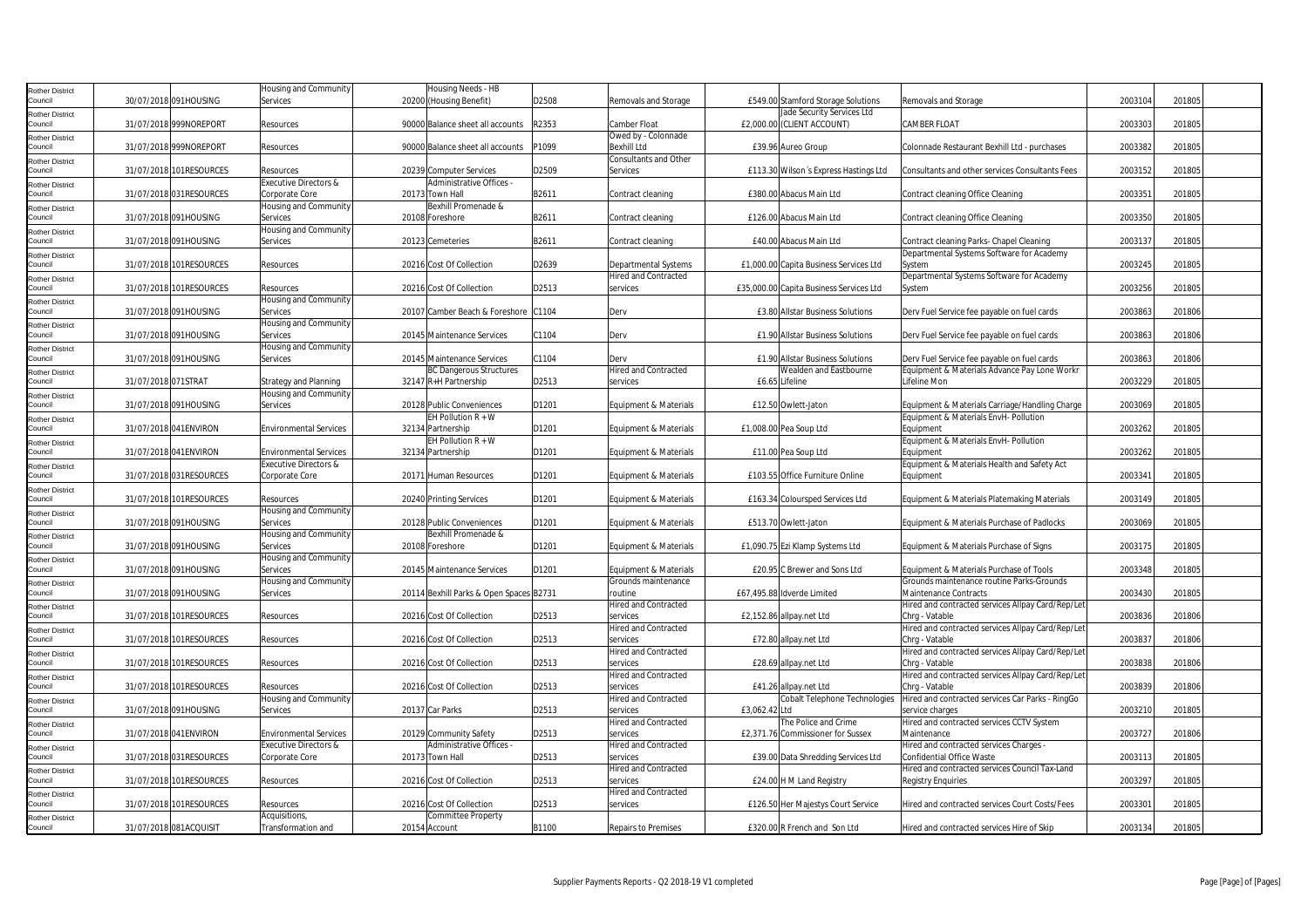| Rother District            |                     |                         | Housing and Community         | Housing Needs - HB                      |       |                              |               |                                         |                                                   |         |        |  |
|----------------------------|---------------------|-------------------------|-------------------------------|-----------------------------------------|-------|------------------------------|---------------|-----------------------------------------|---------------------------------------------------|---------|--------|--|
| Council                    |                     | 30/07/2018 091HOUSING   | Services                      | 20200 (Housing Benefit)                 | D2508 | Removals and Storage         |               | £549.00 Stamford Storage Solutions      | Removals and Storage                              | 2003104 | 201805 |  |
|                            |                     |                         |                               |                                         |       |                              |               | Jade Security Services Ltd              |                                                   |         |        |  |
| Rother District            |                     |                         |                               |                                         |       |                              |               |                                         |                                                   |         |        |  |
| Council                    |                     | 31/07/2018 999NOREPORT  | Resources                     | 90000 Balance sheet all accounts        | R2353 | Camber Float                 |               | £2,000.00 (CLIENT ACCOUNT)              | <b>CAMBER FLOAT</b>                               | 2003303 | 201805 |  |
| Rother District            |                     |                         |                               |                                         |       | Owed by - Colonnade          |               |                                         |                                                   |         |        |  |
| Council                    |                     | 31/07/2018 999NOREPORT  | Resources                     | 90000 Balance sheet all accounts        | P1099 | <b>Bexhill Ltd</b>           |               | £39.96 Aureo Group                      | Colonnade Restaurant Bexhill Ltd - purchases      | 2003382 | 201805 |  |
| Rother District            |                     |                         |                               |                                         |       | <b>Consultants and Other</b> |               |                                         |                                                   |         |        |  |
| Council                    |                     | 31/07/2018 101RESOURCES | Resources                     | 20239 Computer Services                 | D2509 | Services                     |               | £113.30 Wilson's Express Hastings Ltd   | Consultants and other services Consultants Fees   | 2003152 | 201805 |  |
|                            |                     |                         |                               | Administrative Offices -                |       |                              |               |                                         |                                                   |         |        |  |
| Rother District            |                     |                         | Executive Directors &         |                                         |       |                              |               |                                         |                                                   |         |        |  |
| Council                    |                     | 31/07/2018 031RESOURCES | Corporate Core                | 20173 Town Hall                         | B2611 | Contract cleaning            |               | £380.00 Abacus Main Ltd                 | Contract cleaning Office Cleaning                 | 2003351 | 201805 |  |
| Rother District            |                     |                         | Housing and Community         | Bexhill Promenade &                     |       |                              |               |                                         |                                                   |         |        |  |
| Council                    |                     | 31/07/2018 091HOUSING   | Services                      | 20108 Foreshore                         | B2611 | Contract cleaning            |               | £126.00 Abacus Main Ltd                 | Contract cleaning Office Cleaning                 | 2003350 | 201805 |  |
| Rother District            |                     |                         | Housing and Community         |                                         |       |                              |               |                                         |                                                   |         |        |  |
| Council                    |                     | 31/07/2018 091HOUSING   | Services                      | 20123 Cemeteries                        | B2611 | Contract cleaning            |               | £40.00 Abacus Main Ltd                  | Contract cleaning Parks- Chapel Cleaning          | 2003137 | 201805 |  |
|                            |                     |                         |                               |                                         |       |                              |               |                                         | Departmental Systems Software for Academy         |         |        |  |
| Rother District            |                     |                         |                               |                                         |       |                              |               |                                         |                                                   |         |        |  |
| Council                    |                     | 31/07/2018 101RESOURCES | Resources                     | 20216 Cost Of Collection                | D2639 | Departmental Systems         |               | £1,000.00 Capita Business Services Ltd  | System                                            | 2003245 | 201805 |  |
| Rother District            |                     |                         |                               |                                         |       | <b>Hired and Contracted</b>  |               |                                         | Departmental Systems Software for Academy         |         |        |  |
| Council                    |                     | 31/07/2018 101RESOURCES | Resources                     | 20216 Cost Of Collection                | D2513 | services                     |               | £35,000.00 Capita Business Services Ltd | System                                            | 2003256 | 201805 |  |
| Rother District            |                     |                         | Housing and Community         |                                         |       |                              |               |                                         |                                                   |         |        |  |
| Council                    |                     | 31/07/2018 091HOUSING   | Services                      | 20107 Camber Beach & Foreshore C1104    |       | Derv                         |               | £3.80 Allstar Business Solutions        | Derv Fuel Service fee payable on fuel cards       | 2003863 | 201806 |  |
|                            |                     |                         |                               |                                         |       |                              |               |                                         |                                                   |         |        |  |
| Rother District            |                     |                         | Housing and Community         |                                         |       |                              |               |                                         |                                                   |         |        |  |
| Council                    |                     | 31/07/2018 091HOUSING   | Services                      | 20145 Maintenance Services              | C1104 | Derv                         |               | £1.90 Allstar Business Solutions        | Derv Fuel Service fee payable on fuel cards       | 2003863 | 201806 |  |
| Rother District            |                     |                         | Housing and Community         |                                         |       |                              |               |                                         |                                                   |         |        |  |
| Council                    |                     | 31/07/2018 091HOUSING   | Services                      | 20145 Maintenance Services              | C1104 | Derv                         |               | £1.90 Allstar Business Solutions        | Derv Fuel Service fee payable on fuel cards       | 2003863 | 201806 |  |
| Rother District            |                     |                         |                               | <b>BC Dangerous Structures</b>          |       | <b>Hired and Contracted</b>  |               | Wealden and Eastbourne                  | Equipment & Materials Advance Pay Lone Workr      |         |        |  |
| Council                    | 31/07/2018 071STRAT |                         | Strategy and Planning         | 32147 R+H Partnership                   | D2513 | services                     |               | £6.65 Lifeline                          | Lifeline Mon                                      | 2003229 | 201805 |  |
|                            |                     |                         |                               |                                         |       |                              |               |                                         |                                                   |         |        |  |
| <b>Rother District</b>     |                     |                         | Housing and Community         |                                         |       |                              |               |                                         |                                                   |         |        |  |
| Council                    |                     | 31/07/2018 091HOUSING   | Services                      | 20128 Public Conveniences               | D1201 | Equipment & Materials        |               | £12.50 Owlett-Jaton                     | Equipment & Materials Carriage/Handling Charge    | 2003069 | 201805 |  |
| Rother District            |                     |                         |                               | EH Pollution $R + W$                    |       |                              |               |                                         | Equipment & Materials EnvH- Pollution             |         |        |  |
| Council                    |                     | 31/07/2018 041ENVIRON   | <b>Environmental Services</b> | 32134 Partnership                       | D1201 | Equipment & Materials        |               | £1,008.00 Pea Soup Ltd                  | Equipment                                         | 2003262 | 201805 |  |
|                            |                     |                         |                               | EH Pollution $R + W$                    |       |                              |               |                                         | Equipment & Materials EnvH- Pollution             |         |        |  |
| Rother District<br>Council |                     |                         |                               |                                         | D1201 |                              |               |                                         |                                                   | 2003262 | 201805 |  |
|                            |                     | 31/07/2018 041ENVIRON   | <b>Environmental Services</b> | 32134 Partnership                       |       | Equipment & Materials        |               | £11.00 Pea Soup Ltd                     | Equipment                                         |         |        |  |
| Rother District            |                     |                         | Executive Directors &         |                                         |       |                              |               |                                         | Equipment & Materials Health and Safety Act       |         |        |  |
| Council                    |                     | 31/07/2018 031RESOURCES | Corporate Core                | 20171 Human Resources                   | D1201 | Equipment & Materials        |               | £103.55 Office Furniture Online         | Equipment                                         | 2003341 | 201805 |  |
| Rother District            |                     |                         |                               |                                         |       |                              |               |                                         |                                                   |         |        |  |
| Council                    |                     | 31/07/2018 101RESOURCES | Resources                     | 20240 Printing Services                 | D1201 | Equipment & Materials        |               | £163.34 Coloursped Services Ltd         | Equipment & Materials Platemaking Materials       | 2003149 | 201805 |  |
|                            |                     |                         | Housing and Community         |                                         |       |                              |               |                                         |                                                   |         |        |  |
| Rother District<br>Council |                     |                         |                               |                                         | D1201 |                              |               | £513.70 Owlett-Jaton                    | Equipment & Materials Purchase of Padlocks        | 2003069 |        |  |
|                            |                     | 31/07/2018 091HOUSING   | Services                      | 20128 Public Conveniences               |       | Equipment & Materials        |               |                                         |                                                   |         | 201805 |  |
| Rother District            |                     |                         | Housing and Community         | Bexhill Promenade &                     |       |                              |               |                                         |                                                   |         |        |  |
| Council                    |                     | 31/07/2018 091HOUSING   | Services                      | 20108 Foreshore                         | D1201 | Equipment & Materials        |               | £1,090.75 Ezi Klamp Systems Ltd         | Equipment & Materials Purchase of Signs           | 2003175 | 201805 |  |
| Rother District            |                     |                         | Housing and Community         |                                         |       |                              |               |                                         |                                                   |         |        |  |
| Council                    |                     | 31/07/2018 091HOUSING   | Services                      | 20145 Maintenance Services              | D1201 | Equipment & Materials        |               | £20.95 C Brewer and Sons Ltd            | Equipment & Materials Purchase of Tools           | 2003348 | 201805 |  |
|                            |                     |                         | Housing and Community         |                                         |       | Grounds maintenance          |               |                                         | Grounds maintenance routine Parks-Grounds         |         |        |  |
| Rother District            |                     |                         |                               |                                         |       |                              |               |                                         |                                                   |         |        |  |
| Council                    |                     | 31/07/2018 091HOUSING   | Services                      | 20114 Bexhill Parks & Open Spaces B2731 |       | routine                      |               | £67,495.88 Idverde Limited              | Maintenance Contracts                             | 2003430 | 201805 |  |
| Rother District            |                     |                         |                               |                                         |       | <b>Hired and Contracted</b>  |               |                                         | Hired and contracted services Allpay Card/Rep/Let |         |        |  |
| Council                    |                     | 31/07/2018 101RESOURCES | Resources                     | 20216 Cost Of Collection                | D2513 | services                     |               | £2,152.86 allpay.net Ltd                | Chrq - Vatable                                    | 2003836 | 201806 |  |
| <b>Rother District</b>     |                     |                         |                               |                                         |       | <b>Hired and Contracted</b>  |               |                                         | Hired and contracted services Allpay Card/Rep/Let |         |        |  |
| Council                    |                     | 31/07/2018 101RESOURCES | Resources                     | 20216 Cost Of Collection                | D2513 | services                     |               | £72.80 allpay.net Ltd                   | Chrq - Vatable                                    | 2003837 | 201806 |  |
|                            |                     |                         |                               |                                         |       |                              |               |                                         |                                                   |         |        |  |
| <b>Rother District</b>     |                     |                         |                               |                                         |       | <b>Hired and Contracted</b>  |               |                                         | Hired and contracted services Allpay Card/Rep/Let |         |        |  |
| Council                    |                     | 31/07/2018 101RESOURCES | Resources                     | 20216 Cost Of Collection                | D2513 | services                     |               | £28.69 allpay.net Ltd                   | Chrg - Vatable                                    | 2003838 | 201806 |  |
| Rother District            |                     |                         |                               |                                         |       | <b>Hired and Contracted</b>  |               |                                         | Hired and contracted services Allpay Card/Rep/Let |         |        |  |
| Council                    |                     | 31/07/2018 101RESOURCES | Resources                     | 20216 Cost Of Collection                | D2513 | services                     |               | £41.26 allpay.net Ltd                   | Chrg - Vatable                                    | 2003839 | 201806 |  |
| Rother District            |                     |                         | Housing and Community         |                                         |       | <b>Hired and Contracted</b>  |               | Cobalt Telephone Technologies           | Hired and contracted services Car Parks - RingGo  |         |        |  |
| Council                    |                     | 31/07/2018 091HOUSING   | Services                      | 20137 Car Parks                         | D2513 | services                     | £3,062.42 Ltd |                                         | service charges                                   | 2003210 | 201805 |  |
|                            |                     |                         |                               |                                         |       |                              |               |                                         |                                                   |         |        |  |
| Rother District            |                     |                         |                               |                                         |       | <b>Hired and Contracted</b>  |               | The Police and Crime                    | Hired and contracted services CCTV System         |         |        |  |
| Council                    |                     | 31/07/2018 041ENVIRON   | <b>Environmental Services</b> | 20129 Community Safety                  | D2513 | services                     |               | £2,371.76 Commissioner for Sussex       | Maintenance                                       | 2003727 | 201806 |  |
| <b>Rother District</b>     |                     |                         | Executive Directors &         | Administrative Offices -                |       | Hired and Contracted         |               |                                         | Hired and contracted services Charges -           |         |        |  |
| Council                    |                     | 31/07/2018 031RESOURCES | Corporate Core                | 20173 Town Hall                         | D2513 | services                     |               | £39.00 Data Shredding Services Ltd      | Confidential Office Waste                         | 2003113 | 201805 |  |
|                            |                     |                         |                               |                                         |       | <b>Hired and Contracted</b>  |               |                                         | Hired and contracted services Council Tax-Land    |         |        |  |
| Rother District            |                     |                         |                               |                                         |       |                              |               |                                         |                                                   | 2003297 |        |  |
| Council                    |                     | 31/07/2018 101RESOURCES | Resources                     | 20216 Cost Of Collection                | D2513 | services                     |               | £24.00 H M Land Registry                | <b>Registry Enquiries</b>                         |         | 201805 |  |
| Rother District            |                     |                         |                               |                                         |       | <b>Hired and Contracted</b>  |               |                                         |                                                   |         |        |  |
| Council                    |                     | 31/07/2018 101RESOURCES | Resources                     | 20216 Cost Of Collection                | D2513 | services                     |               | £126.50 Her Majestys Court Service      | Hired and contracted services Court Costs/Fees    | 2003301 | 201805 |  |
| Rother District            |                     |                         | Acquisitions,                 | <b>Committee Property</b>               |       |                              |               |                                         |                                                   |         |        |  |
| Council                    |                     | 31/07/2018 081ACQUISIT  | Transformation and            | 20154 Account                           | B1100 | <b>Repairs to Premises</b>   |               | £320.00 R French and Son Ltd            | Hired and contracted services Hire of Skip        | 2003134 | 201805 |  |
|                            |                     |                         |                               |                                         |       |                              |               |                                         |                                                   |         |        |  |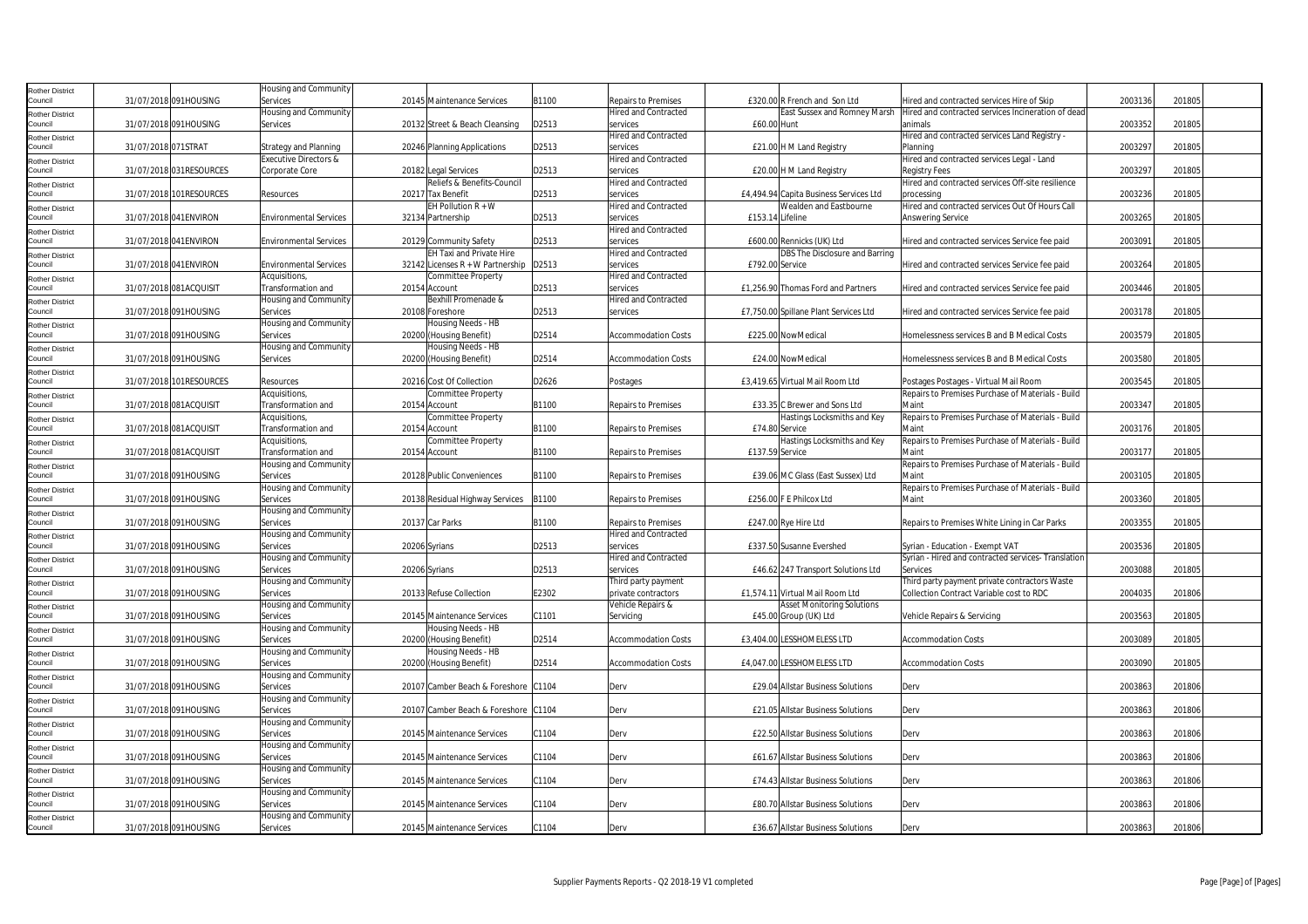| Rother District                   |                        |                         | Housing and Community             |                                               |       |                             |                  |                                        |                                                     |         |        |
|-----------------------------------|------------------------|-------------------------|-----------------------------------|-----------------------------------------------|-------|-----------------------------|------------------|----------------------------------------|-----------------------------------------------------|---------|--------|
| Council                           | 31/07/2018 091HOUSING  |                         | Services                          | 20145 Maintenance Services                    | B1100 | Repairs to Premises         |                  | £320.00 R French and Son Ltd           | Hired and contracted services Hire of Skip          | 2003136 | 201805 |
| Rother District                   |                        |                         | Housing and Community             |                                               |       | <b>Hired and Contracted</b> |                  | East Sussex and Romney Marsh           | Hired and contracted services Incineration of dead  |         |        |
| Council                           | 31/07/2018 091HOUSING  |                         | Services                          | 20132 Street & Beach Cleansing                | D2513 | services                    | £60.00 Hunt      |                                        | animals                                             | 2003352 | 201805 |
| Rother District                   |                        |                         |                                   |                                               |       | <b>Hired and Contracted</b> |                  |                                        | Hired and contracted services Land Registry -       |         |        |
| Council                           | 31/07/2018 071STRAT    |                         | <b>Strategy and Planning</b>      | 20246 Planning Applications                   | D2513 | services                    |                  | £21.00 H M Land Registry               | Planning                                            | 2003297 | 201805 |
| <b>Rother District</b>            |                        |                         | Executive Directors &             |                                               |       | <b>Hired and Contracted</b> |                  |                                        | Hired and contracted services Legal - Land          |         |        |
| Council                           |                        | 31/07/2018 031RESOURCES | Corporate Core                    | 20182 Legal Services                          | D2513 | services                    |                  | £20.00 H M Land Registry               | <b>Registry Fees</b>                                | 2003297 | 201805 |
| Rother District                   |                        |                         |                                   | Reliefs & Benefits-Council                    |       | <b>Hired and Contracted</b> |                  |                                        | Hired and contracted services Off-site resilience   |         |        |
| Council                           |                        | 31/07/2018 101RESOURCES | Resources                         | 20217 Tax Benefit                             | D2513 | services                    |                  | £4,494.94 Capita Business Services Ltd | processing                                          | 2003236 | 201805 |
| <b>Rother District</b>            |                        |                         |                                   | EH Pollution $R + W$                          |       | <b>Hired and Contracted</b> |                  | Wealden and Eastbourne                 | Hired and contracted services Out Of Hours Call     |         |        |
| Council                           | 31/07/2018 041ENVIRON  |                         | <b>Environmental Services</b>     | 32134 Partnership                             | D2513 | services                    | £153.14 Lifeline |                                        | Answering Service                                   | 2003265 | 201805 |
| Rother District                   |                        |                         |                                   |                                               |       | <b>Hired and Contracted</b> |                  |                                        |                                                     |         |        |
| Council                           | 31/07/2018 041ENVIRON  |                         | <b>Environmental Services</b>     | 20129 Community Safety                        | D2513 | services                    |                  | £600.00 Rennicks (UK) Ltd              | Hired and contracted services Service fee paid      | 2003091 | 201805 |
| Rother District                   |                        |                         |                                   | EH Taxi and Private Hire                      |       | <b>Hired and Contracted</b> |                  | DBS The Disclosure and Barring         |                                                     |         |        |
| Council                           | 31/07/2018 041ENVIRON  |                         | <b>Environmental Services</b>     | 32142 Licenses R + W Partnership              | D2513 | services                    | £792.00 Service  |                                        | Hired and contracted services Service fee paid      | 2003264 | 201805 |
| Rother District                   |                        |                         | Acquisitions,                     | Committee Property                            |       | Hired and Contracted        |                  |                                        |                                                     |         |        |
| Council                           | 31/07/2018 081ACQUISIT |                         | Transformation and                | 20154 Account                                 | D2513 | services                    |                  | £1,256.90 Thomas Ford and Partners     | Hired and contracted services Service fee paid      | 2003446 | 201805 |
| Rother District                   |                        |                         | Housing and Community             | Bexhill Promenade &                           |       | <b>Hired and Contracted</b> |                  |                                        |                                                     |         |        |
| Council                           | 31/07/2018 091HOUSING  |                         | Services                          | 20108 Foreshore                               | D2513 | services                    |                  | £7,750.00 Spillane Plant Services Ltd  | Hired and contracted services Service fee paid      | 2003178 | 201805 |
| <b>Rother District</b>            |                        |                         | Housing and Community             | Housing Needs - HB                            |       |                             |                  |                                        |                                                     |         |        |
| Council                           | 31/07/2018 091HOUSING  |                         | Services                          | 20200 (Housing Benefit)                       | D2514 | <b>Accommodation Costs</b>  |                  | £225.00 NowMedical                     | Homelessness services B and B Medical Costs         | 2003579 | 201805 |
| Rother District<br>Council        | 31/07/2018 091HOUSING  |                         | Housing and Community<br>Services | Housing Needs - HB<br>20200 (Housing Benefit) | D2514 | <b>Accommodation Costs</b>  |                  | £24.00 NowMedical                      | Homelessness services B and B Medical Costs         | 2003580 | 201805 |
|                                   |                        |                         |                                   |                                               |       |                             |                  |                                        |                                                     |         |        |
| Rother District<br>Council        |                        | 31/07/2018 101RESOURCES | Resources                         | 20216 Cost Of Collection                      | D2626 | Postages                    |                  | £3,419.65 Virtual Mail Room Ltd        | Postages Postages - Virtual Mail Room               | 2003545 | 201805 |
|                                   |                        |                         | Acquisitions,                     | Committee Property                            |       |                             |                  |                                        | Repairs to Premises Purchase of Materials - Build   |         |        |
| Rother District<br>Council        | 31/07/2018 081ACQUISIT |                         | Transformation and                | 20154 Account                                 | B1100 | <b>Repairs to Premises</b>  |                  | £33.35 C Brewer and Sons Ltd           | Maint                                               | 2003347 | 201805 |
|                                   |                        |                         | Acquisitions,                     | Committee Property                            |       |                             |                  | Hastings Locksmiths and Key            | Repairs to Premises Purchase of Materials - Build   |         |        |
| <b>Rother District</b><br>Council | 31/07/2018 081ACQUISIT |                         | Transformation and                | 20154 Account                                 | B1100 | Repairs to Premises         | £74.80 Service   |                                        | Main                                                | 2003176 | 201805 |
|                                   |                        |                         | Acquisitions,                     | Committee Property                            |       |                             |                  | Hastings Locksmiths and Key            | Repairs to Premises Purchase of Materials - Build   |         |        |
| Rother District<br>Council        | 31/07/2018 081ACQUISIT |                         | Transformation and                | 20154 Account                                 | B1100 | <b>Repairs to Premises</b>  | £137.59 Service  |                                        | Main                                                | 2003177 | 201805 |
| Rother District                   |                        |                         | Housing and Community             |                                               |       |                             |                  |                                        | Repairs to Premises Purchase of Materials - Build   |         |        |
| Council                           | 31/07/2018 091HOUSING  |                         | Services                          | 20128 Public Conveniences                     | B1100 | Repairs to Premises         |                  | £39.06 MC Glass (East Sussex) Ltd      | Main                                                | 2003105 | 201805 |
| <b>Rother District</b>            |                        |                         | Housing and Community             |                                               |       |                             |                  |                                        | Repairs to Premises Purchase of Materials - Build   |         |        |
| Council                           | 31/07/2018 091HOUSING  |                         | Services                          | 20138 Residual Highway Services               | B1100 | <b>Repairs to Premises</b>  |                  | £256.00 F E Philcox Ltd                | Maint                                               | 2003360 | 201805 |
| Rother District                   |                        |                         | Housing and Community             |                                               |       |                             |                  |                                        |                                                     |         |        |
| Council                           | 31/07/2018 091HOUSING  |                         | Services                          | 20137 Car Parks                               | B1100 | <b>Repairs to Premises</b>  |                  | £247.00 Rye Hire Ltd                   | Repairs to Premises White Lining in Car Parks       | 2003355 | 201805 |
| Rother District                   |                        |                         | Housing and Community             |                                               |       | lired and Contracted        |                  |                                        |                                                     |         |        |
| Council                           | 31/07/2018 091HOUSING  |                         | Services                          | 20206 Syrians                                 | D2513 | services                    |                  | £337.50 Susanne Evershed               | Syrian - Education - Exempt VAT                     | 2003536 | 201805 |
| Rother District                   |                        |                         | Housing and Community             |                                               |       | <b>Hired and Contracted</b> |                  |                                        | Syrian - Hired and contracted services- Translation |         |        |
| Council                           | 31/07/2018 091HOUSING  |                         | Services                          | 20206 Syrians                                 | D2513 | services                    |                  | £46.62 247 Transport Solutions Ltd     | Services                                            | 2003088 | 201805 |
| Rother District                   |                        |                         | Housing and Community             |                                               |       | Third party payment         |                  |                                        | Third party payment private contractors Waste       |         |        |
| Council                           | 31/07/2018 091HOUSING  |                         | Services                          | 20133 Refuse Collection                       | E2302 | private contractors         |                  | £1.574.11 Virtual Mail Room Ltd        | Collection Contract Variable cost to RDC            | 2004035 | 201806 |
| <b>Rother District</b>            |                        |                         | Housing and Community             |                                               |       | Vehicle Repairs &           |                  | <b>Asset Monitoring Solutions</b>      |                                                     |         |        |
| Council                           | 31/07/2018 091HOUSING  |                         | Services                          | 20145 Maintenance Services                    | C1101 | Servicing                   |                  | £45.00 Group (UK) Ltd                  | Vehicle Repairs & Servicing                         | 2003563 | 201805 |
| <b>Rother District</b>            |                        |                         | Housing and Community             | Housing Needs - HB                            |       |                             |                  |                                        |                                                     |         |        |
| Council                           | 31/07/2018 091HOUSING  |                         | Services                          | 20200 (Housing Benefit)                       | D2514 | Accommodation Costs         |                  | £3,404.00 LESSHOMELESS LTD             | <b>Accommodation Costs</b>                          | 2003089 | 201805 |
| Rother District                   |                        |                         | Housing and Community             | Housing Needs - HB                            |       |                             |                  |                                        |                                                     |         |        |
| Council                           | 31/07/2018 091HOUSING  |                         | Services                          | 20200 (Housing Benefit)                       | D2514 | <b>Accommodation Costs</b>  |                  | £4,047.00 LESSHOMELESS LTD             | <b>Accommodation Costs</b>                          | 2003090 | 201805 |
| <b>Rother District</b>            |                        |                         | Housing and Community             |                                               |       |                             |                  |                                        |                                                     |         |        |
| Council                           | 31/07/2018 091HOUSING  |                         | Services                          | 20107 Camber Beach & Foreshore C1104          |       | Derv                        |                  | £29.04 Allstar Business Solutions      | Derv                                                | 2003863 | 201806 |
| Rother District                   |                        |                         | Housing and Community             |                                               |       |                             |                  |                                        |                                                     |         |        |
| Council                           | 31/07/2018 091HOUSING  |                         | Services                          | 20107 Camber Beach & Foreshore                | C1104 | Derv                        |                  | £21.05 Allstar Business Solutions      | Derv                                                | 2003863 | 201806 |
| Rother District                   |                        |                         | Housing and Community             |                                               |       |                             |                  |                                        |                                                     |         |        |
| Council                           | 31/07/2018 091HOUSING  |                         | Services                          | 20145 Maintenance Services                    | C1104 | Derv                        |                  | £22.50 Allstar Business Solutions      | Derv                                                | 2003863 | 201806 |
| <b>Rother District</b>            |                        |                         | Housing and Community             |                                               |       |                             |                  |                                        |                                                     |         |        |
| Council                           | 31/07/2018 091HOUSING  |                         | Services                          | 20145 Maintenance Services                    | C1104 | Derv                        |                  | £61.67 Allstar Business Solutions      | Derv                                                | 2003863 | 201806 |
| Rother District                   |                        |                         | Housing and Community             |                                               |       |                             |                  |                                        |                                                     |         |        |
| Council                           | 31/07/2018 091HOUSING  |                         | Services                          | 20145 Maintenance Services                    | C1104 | Derv                        |                  | £74.43 Allstar Business Solutions      | Derv                                                | 2003863 | 201806 |
| <b>Rother District</b>            |                        |                         | Housing and Community             |                                               |       |                             |                  |                                        |                                                     |         |        |
| Council                           | 31/07/2018 091HOUSING  |                         | Services                          | 20145 Maintenance Services                    | C1104 | Derv                        |                  | £80.70 Allstar Business Solutions      | Derv                                                | 2003863 | 201806 |
| Rother District                   |                        |                         | Housing and Community             |                                               |       |                             |                  |                                        |                                                     |         |        |
| Council                           | 31/07/2018 091HOUSING  |                         | Services                          | 20145 Maintenance Services                    | C1104 | Derv                        |                  | £36.67 Allstar Business Solutions      | Derv                                                | 2003863 | 201806 |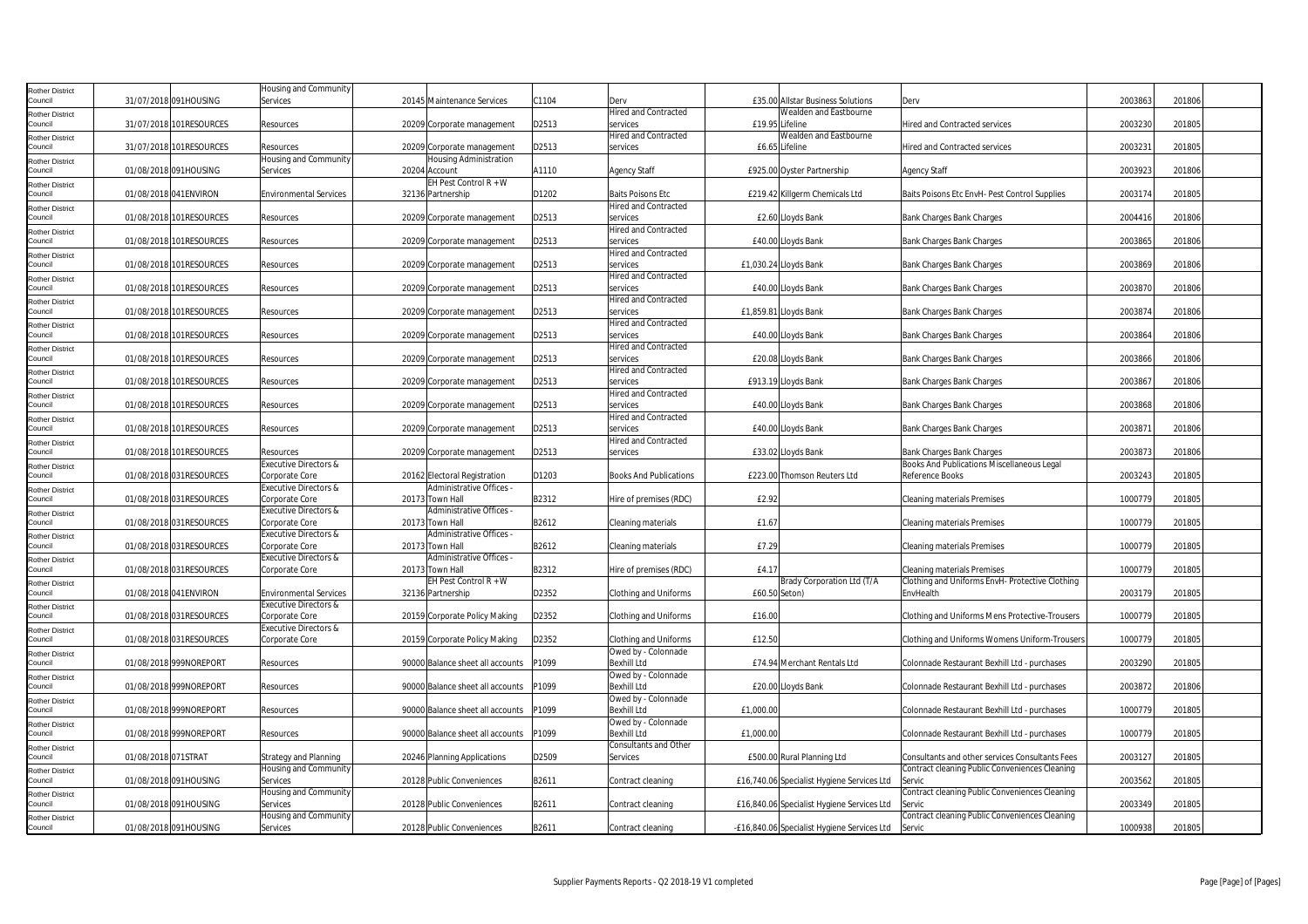| <b>Rother District</b>            |                     |                         | Housing and Community                              |                                             |       |                               |               |                                             |                                                 |         |        |  |
|-----------------------------------|---------------------|-------------------------|----------------------------------------------------|---------------------------------------------|-------|-------------------------------|---------------|---------------------------------------------|-------------------------------------------------|---------|--------|--|
| Council                           |                     | 31/07/2018 091HOUSING   | Services                                           | 20145 Maintenance Services                  | C1104 | Derv                          |               | £35.00 Allstar Business Solutions           | Dery                                            | 2003863 | 201806 |  |
| Rother District                   |                     |                         |                                                    |                                             |       | <b>Hired and Contracted</b>   |               | Wealden and Eastbourne                      |                                                 |         |        |  |
| Council                           |                     | 31/07/2018 101RESOURCES | Resources                                          | 20209 Corporate management                  | D2513 | services                      |               | £19.95 Lifeline                             | Hired and Contracted services                   | 2003230 | 201805 |  |
| <b>Rother District</b>            |                     |                         |                                                    |                                             |       | <b>Hired and Contracted</b>   |               | Wealden and Eastbourne                      |                                                 |         |        |  |
| Council                           |                     | 31/07/2018 101RESOURCES | Resources                                          | 20209 Corporate management                  | D2513 | services                      |               | £6.65 Lifeline                              | Hired and Contracted services                   | 2003231 | 201805 |  |
| <b>Rother District</b>            |                     |                         | <b>Housing and Community</b>                       | Housing Administration                      |       |                               |               |                                             |                                                 |         |        |  |
| Council                           |                     | 01/08/2018 091HOUSING   | Services                                           | 20204 Account                               | A1110 | <b>Agency Staff</b>           |               | £925.00 Oyster Partnership                  | <b>Agency Staff</b>                             | 2003923 | 201806 |  |
| <b>Rother District</b>            |                     |                         |                                                    | EH Pest Control $R + W$                     |       |                               |               |                                             |                                                 |         |        |  |
| Council                           |                     | 01/08/2018 041 ENVIRON  | <b>Environmental Services</b>                      | 32136 Partnership                           | D1202 | <b>Baits Poisons Etc</b>      |               | £219.42 Killgerm Chemicals Ltd              | Baits Poisons Etc EnvH- Pest Control Supplies   | 2003174 | 201805 |  |
| <b>Rother District</b>            |                     |                         |                                                    |                                             |       | <b>Hired and Contracted</b>   |               |                                             |                                                 |         |        |  |
| Council                           |                     | 01/08/2018 101RESOURCES | Resources                                          | 20209 Corporate management                  | D2513 | services                      |               | £2.60 Lloyds Bank                           | Bank Charges Bank Charges                       | 2004416 | 201806 |  |
| <b>Rother District</b>            |                     |                         |                                                    |                                             |       | <b>Hired and Contracted</b>   |               |                                             |                                                 |         |        |  |
| Council                           |                     | 01/08/2018 101RESOURCES | Resources                                          | 20209 Corporate management                  | D2513 | services                      |               | £40.00 Lloyds Bank                          | Bank Charges Bank Charges                       | 2003865 | 201806 |  |
| <b>Rother District</b>            |                     |                         |                                                    |                                             |       | <b>Hired and Contracted</b>   |               |                                             |                                                 |         |        |  |
| Council                           |                     | 01/08/2018 101RESOURCES | Resources                                          | 20209 Corporate management                  | D2513 | services                      |               | £1,030.24 Lloyds Bank                       | Bank Charges Bank Charges                       | 2003869 | 201806 |  |
| <b>Rother District</b>            |                     |                         |                                                    |                                             |       | Hired and Contracted          |               |                                             |                                                 |         |        |  |
| Council                           |                     | 01/08/2018 101RESOURCES | Resources                                          | 20209 Corporate management                  | D2513 | services                      |               | £40.00 Lloyds Bank                          | Bank Charges Bank Charges                       | 2003870 | 201806 |  |
| <b>Rother District</b>            |                     |                         |                                                    |                                             |       | <b>Hired and Contracted</b>   |               |                                             |                                                 |         |        |  |
| Council                           |                     | 01/08/2018 101RESOURCES | Resources                                          | 20209 Corporate management                  | D2513 | services                      |               | £1,859.81 Lloyds Bank                       | Bank Charges Bank Charges                       | 2003874 | 201806 |  |
| <b>Rother District</b>            |                     |                         |                                                    |                                             |       | <b>Hired and Contracted</b>   |               |                                             |                                                 |         |        |  |
| Council                           |                     | 01/08/2018 101RESOURCES | Resources                                          | 20209 Corporate management                  | D2513 | services                      |               | £40.00 Lloyds Bank                          | <b>Bank Charges Bank Charges</b>                | 2003864 | 201806 |  |
| <b>Rother District</b>            |                     |                         |                                                    |                                             |       | <b>Hired and Contracted</b>   |               |                                             |                                                 |         |        |  |
| Council                           |                     | 01/08/2018 101RESOURCES | Resources                                          | 20209 Corporate management                  | D2513 | services                      |               | £20.08 Lloyds Bank                          | <b>Bank Charges Bank Charges</b>                | 2003866 | 201806 |  |
| <b>Rother District</b>            |                     |                         |                                                    |                                             |       | <b>Hired and Contracted</b>   |               |                                             |                                                 |         |        |  |
| Council                           |                     | 01/08/2018 101RESOURCES | Resources                                          | 20209 Corporate management                  | D2513 | services                      |               | £913.19 Lloyds Bank                         | Bank Charges Bank Charges                       | 2003867 | 201806 |  |
| <b>Rother District</b>            |                     |                         |                                                    |                                             |       | <b>Hired and Contracted</b>   |               |                                             |                                                 |         |        |  |
| Council                           |                     | 01/08/2018 101RESOURCES | Resources                                          | 20209 Corporate management                  | D2513 | services                      |               | £40.00 Lloyds Bank                          | Bank Charges Bank Charges                       | 2003868 | 201806 |  |
| <b>Rother District</b>            |                     |                         |                                                    |                                             |       | <b>Hired and Contracted</b>   |               |                                             |                                                 |         |        |  |
| Council                           |                     | 01/08/2018 101RESOURCES | Resources                                          | 20209 Corporate management                  | D2513 | services                      |               | £40.00 Lloyds Bank                          | Bank Charges Bank Charges                       | 2003871 | 201806 |  |
| <b>Rother District</b>            |                     |                         |                                                    |                                             |       | <b>Hired and Contracted</b>   |               |                                             |                                                 |         |        |  |
| Council                           |                     | 01/08/2018 101RESOURCES | Resources                                          | 20209 Corporate management                  | D2513 | services                      |               | £33.02 Lloyds Bank                          | Bank Charges Bank Charges                       | 2003873 | 201806 |  |
| <b>Rother District</b>            |                     |                         | Executive Directors &                              |                                             |       |                               |               |                                             | Books And Publications Miscellaneous Legal      |         |        |  |
| Council                           |                     | 01/08/2018 031RESOURCES | Corporate Core                                     | 20162 Electoral Registration                | D1203 | <b>Books And Publications</b> |               | £223.00 Thomson Reuters Ltd                 | Reference Books                                 | 2003243 | 201805 |  |
| <b>Rother District</b>            |                     |                         | Executive Directors &                              | Administrative Offices -                    |       |                               |               |                                             |                                                 |         |        |  |
| Council                           |                     | 01/08/2018 031RESOURCES | Corporate Core                                     | 20173 Town Hall                             | B2312 | Hire of premises (RDC)        | £2.92         |                                             | <b>Cleaning materials Premises</b>              | 1000779 | 201805 |  |
| <b>Rother District</b>            |                     | 01/08/2018 031RESOURCES | Executive Directors &                              | Administrative Offices -                    |       |                               |               |                                             |                                                 |         |        |  |
| Council                           |                     |                         | Corporate Core                                     | 20173 Town Hall                             | B2612 | Cleaning materials            | £1.67         |                                             | <b>Cleaning materials Premises</b>              | 1000779 | 201805 |  |
| <b>Rother District</b><br>Council |                     |                         | Executive Directors &                              | Administrative Offices                      |       |                               |               |                                             |                                                 |         |        |  |
|                                   |                     | 01/08/2018 031RESOURCES | Corporate Core<br><b>Executive Directors &amp;</b> | 20173 Town Hall<br>Administrative Offices - | B2612 | Cleaning materials            | £7.29         |                                             | <b>Cleaning materials Premises</b>              | 1000779 | 201805 |  |
| <b>Rother District</b><br>Council |                     | 01/08/2018 031RESOURCES | Corporate Core                                     | 20173 Town Hall                             | B2312 | Hire of premises (RDC)        | £4.17         |                                             | <b>Cleaning materials Premises</b>              | 1000779 | 201805 |  |
|                                   |                     |                         |                                                    | EH Pest Control R + W                       |       |                               |               | Brady Corporation Ltd (T/A                  | Clothing and Uniforms EnvH- Protective Clothing |         |        |  |
| <b>Rother District</b><br>Council |                     | 01/08/2018 041 ENVIRON  | <b>Environmental Services</b>                      | 32136 Partnership                           | D2352 | <b>Clothing and Uniforms</b>  | £60.50 Seton) |                                             | EnvHealth                                       | 2003179 | 201805 |  |
|                                   |                     |                         | Executive Directors &                              |                                             |       |                               |               |                                             |                                                 |         |        |  |
| <b>Rother District</b><br>Council |                     | 01/08/2018 031RESOURCES | Corporate Core                                     | 20159 Corporate Policy Making               | D2352 | <b>Clothing and Uniforms</b>  | £16.00        |                                             | Clothing and Uniforms Mens Protective-Trousers  | 1000779 | 201805 |  |
|                                   |                     |                         | Executive Directors &                              |                                             |       |                               |               |                                             |                                                 |         |        |  |
| <b>Rother District</b><br>Council |                     | 01/08/2018 031RESOURCES | Corporate Core                                     | 20159 Corporate Policy Making               | D2352 | <b>Clothing and Uniforms</b>  | £12.50        |                                             | Clothing and Uniforms Womens Uniform-Trousers   | 1000779 | 201805 |  |
| <b>Rother District</b>            |                     |                         |                                                    |                                             |       | Owed by - Colonnade           |               |                                             |                                                 |         |        |  |
| Council                           |                     | 01/08/2018 999NOREPORT  | Resources                                          | 90000 Balance sheet all accounts            | P1099 | <b>Bexhill Ltd</b>            |               | £74.94 Merchant Rentals Ltd                 | Colonnade Restaurant Bexhill Ltd - purchases    | 2003290 | 201805 |  |
| <b>Rother District</b>            |                     |                         |                                                    |                                             |       | Owed by - Colonnade           |               |                                             |                                                 |         |        |  |
| Council                           |                     | 01/08/2018 999NOREPORT  | Resources                                          | 90000 Balance sheet all accounts            | P1099 | <b>Bexhill Ltd</b>            |               | £20.00 Lloyds Bank                          | Colonnade Restaurant Bexhill Ltd - purchases    | 2003872 | 201806 |  |
| <b>Rother District</b>            |                     |                         |                                                    |                                             |       | Owed by - Colonnade           |               |                                             |                                                 |         |        |  |
| Council                           |                     | 01/08/2018 999NOREPORT  | Resources                                          | 90000 Balance sheet all accounts            | P1099 | <b>Bexhill Ltd</b>            | £1,000.00     |                                             | Colonnade Restaurant Bexhill Ltd - purchases    | 1000779 | 201805 |  |
| <b>Rother District</b>            |                     |                         |                                                    |                                             |       | Owed by - Colonnade           |               |                                             |                                                 |         |        |  |
| Council                           |                     | 01/08/2018 999NOREPORT  | Resources                                          | 90000 Balance sheet all accounts            | P1099 | <b>Bexhill Ltd</b>            | £1,000.00     |                                             | Colonnade Restaurant Bexhill Ltd - purchases    | 1000779 | 201805 |  |
| <b>Rother District</b>            |                     |                         |                                                    |                                             |       | Consultants and Other         |               |                                             |                                                 |         |        |  |
| Council                           | 01/08/2018 071STRAT |                         | Strategy and Planning                              | 20246 Planning Applications                 | D2509 | Services                      |               | £500.00 Rural Planning Ltd                  | Consultants and other services Consultants Fees | 2003127 | 201805 |  |
| <b>Rother District</b>            |                     |                         | Housing and Community                              |                                             |       |                               |               |                                             | Contract cleaning Public Conveniences Cleaning  |         |        |  |
| Council                           |                     | 01/08/2018 091HOUSING   | Services                                           | 20128 Public Conveniences                   | B2611 | Contract cleaning             |               | £16,740.06 Specialist Hygiene Services Ltd  | Servic                                          | 2003562 | 201805 |  |
| <b>Rother District</b>            |                     |                         | Housing and Community                              |                                             |       |                               |               |                                             | Contract cleaning Public Conveniences Cleaning  |         |        |  |
| Council                           |                     | 01/08/2018 091HOUSING   | Services                                           | 20128 Public Conveniences                   | B2611 | Contract cleaning             |               | £16,840.06 Specialist Hygiene Services Ltd  | Servic                                          | 2003349 | 201805 |  |
| <b>Rother District</b>            |                     |                         | Housing and Community                              |                                             |       |                               |               |                                             | Contract cleaning Public Conveniences Cleaning  |         |        |  |
| Council                           |                     | 01/08/2018 091HOUSING   | Services                                           | 20128 Public Conveniences                   | B2611 | Contract cleaning             |               | -£16,840.06 Specialist Hygiene Services Ltd | Servic                                          | 1000938 | 201805 |  |
|                                   |                     |                         |                                                    |                                             |       |                               |               |                                             |                                                 |         |        |  |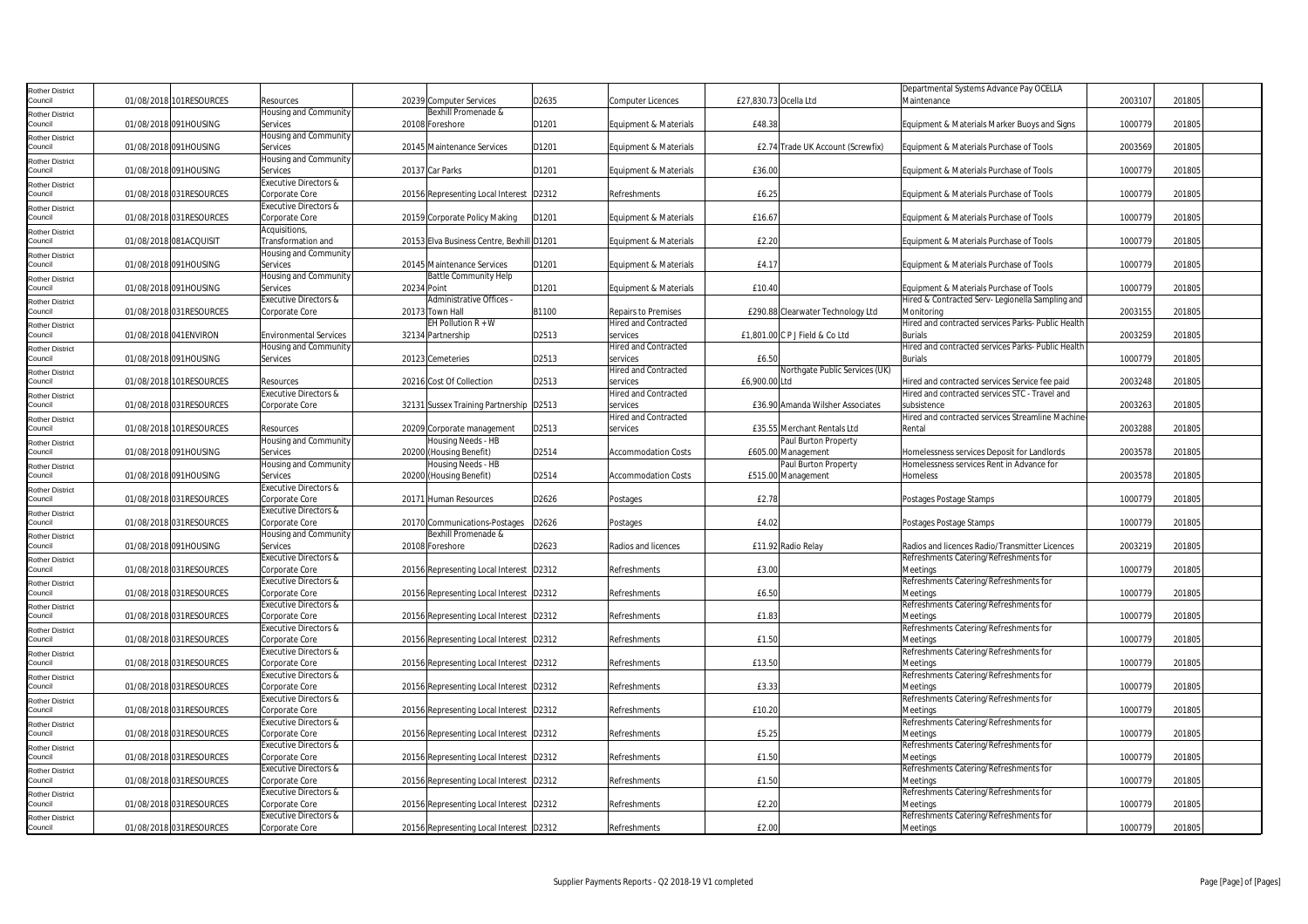| <b>Rother District</b>            |                         |                                                    |             |                                           |       |                                         |                                   | Departmental Systems Advance Pay OCELLA                       |         |        |
|-----------------------------------|-------------------------|----------------------------------------------------|-------------|-------------------------------------------|-------|-----------------------------------------|-----------------------------------|---------------------------------------------------------------|---------|--------|
| Council                           | 01/08/2018 101RESOURCES | Resources                                          |             | 20239 Computer Services                   | D2635 | Computer Licences                       | £27,830.73 Ocella Ltd             | Maintenance                                                   | 2003107 | 201805 |
| <b>Rother District</b>            |                         | Housing and Community                              |             | Bexhill Promenade &                       |       |                                         |                                   |                                                               |         |        |
| Council                           | 01/08/2018 091HOUSING   | Services                                           |             | 20108 Foreshore                           | D1201 | Equipment & Materials                   | £48.38                            | Equipment & Materials Marker Buoys and Signs                  | 1000779 | 201805 |
| <b>Rother District</b>            |                         | Housing and Community                              |             |                                           |       |                                         |                                   |                                                               |         |        |
| Council                           | 01/08/2018 091HOUSING   | Services                                           |             | 20145 Maintenance Services                | D1201 | Equipment & Materials                   | £2.74 Trade UK Account (Screwfix) | Equipment & Materials Purchase of Tools                       | 2003569 | 201805 |
| <b>Rother District</b><br>Council | 01/08/2018 091HOUSING   | Housing and Community<br>Services                  |             | 20137 Car Parks                           | D1201 | Equipment & Materials                   | £36.00                            | Equipment & Materials Purchase of Tools                       | 1000779 | 201805 |
|                                   |                         | Executive Directors &                              |             |                                           |       |                                         |                                   |                                                               |         |        |
| <b>Rother District</b><br>Council | 01/08/2018 031RESOURCES | Corporate Core                                     |             | 20156 Representing Local Interest         | D2312 | Refreshments                            | £6.25                             | Equipment & Materials Purchase of Tools                       | 1000779 | 201805 |
| <b>Rother District</b>            |                         | Executive Directors &                              |             |                                           |       |                                         |                                   |                                                               |         |        |
| Council                           | 01/08/2018 031RESOURCES | Corporate Core                                     |             | 20159 Corporate Policy Making             | D1201 | Equipment & Materials                   | £16.67                            | Equipment & Materials Purchase of Tools                       | 1000779 | 201805 |
| <b>Rother District</b>            |                         | Acquisitions,                                      |             |                                           |       |                                         |                                   |                                                               |         |        |
| Council                           | 01/08/2018 081ACQUISIT  | Transformation and                                 |             | 20153 Elva Business Centre, Bexhill D1201 |       | Equipment & Materials                   | £2.20                             | Equipment & Materials Purchase of Tools                       | 1000779 | 201805 |
| <b>Rother District</b>            |                         | Housing and Community                              |             |                                           |       |                                         |                                   |                                                               |         |        |
| Council                           | 01/08/2018 091HOUSING   | Services                                           |             | 20145 Maintenance Services                | D1201 | Equipment & Materials                   | £4.17                             | Equipment & Materials Purchase of Tools                       | 1000779 | 201805 |
| <b>Rother District</b><br>Council | 01/08/2018 091HOUSING   | Housing and Community<br>Services                  | 20234 Point | <b>Battle Community Help</b>              | D1201 | Equipment & Materials                   | £10.40                            | Equipment & Materials Purchase of Tools                       | 1000779 | 201805 |
|                                   |                         | Executive Directors &                              |             | Administrative Offices -                  |       |                                         |                                   | Hired & Contracted Serv- Legionella Sampling and              |         |        |
| <b>Rother District</b><br>Council | 01/08/2018 031RESOURCES | Corporate Core                                     |             | 20173 Town Hall                           | B1100 | <b>Repairs to Premises</b>              | £290.88 Clearwater Technology Ltd | Monitoring                                                    | 2003155 | 201805 |
| <b>Rother District</b>            |                         |                                                    |             | EH Pollution $R + W$                      |       | <b>Hired and Contracted</b>             |                                   | Hired and contracted services Parks- Public Health            |         |        |
| Council                           | 01/08/2018 041 ENVIRON  | <b>Environmental Services</b>                      |             | 32134 Partnership                         | D2513 | services                                | £1,801.00 C P J Field & Co Ltd    | <b>Burials</b>                                                | 2003259 | 201805 |
| <b>Rother District</b>            |                         | Housing and Community                              |             |                                           |       | <b>Hired and Contracted</b>             |                                   | Hired and contracted services Parks- Public Health            |         |        |
| Council                           | 01/08/2018 091HOUSING   | Services                                           |             | 20123 Cemeteries                          | D2513 | services                                | £6.50                             | <b>Burials</b>                                                | 1000779 | 201805 |
| <b>Rother District</b>            |                         |                                                    |             |                                           |       | <b>Hired and Contracted</b>             | Northgate Public Services (UK)    |                                                               |         |        |
| Council                           | 01/08/2018 101RESOURCES | Resources                                          |             | 20216 Cost Of Collection                  | D2513 | services                                | £6,900.00 Ltd                     | Hired and contracted services Service fee paid                | 2003248 | 201805 |
| <b>Rother District</b><br>Council | 01/08/2018 031RESOURCES | Executive Directors &<br>Corporate Core            |             | 32131 Sussex Training Partnership D2513   |       | <b>Hired and Contracted</b><br>services | £36.90 Amanda Wilsher Associates  | Hired and contracted services STC - Travel and<br>subsistence | 2003263 | 201805 |
|                                   |                         |                                                    |             |                                           |       | <b>Hired and Contracted</b>             |                                   | Hired and contracted services Streamline Machine              |         |        |
| <b>Rother District</b><br>Council | 01/08/2018 101RESOURCES | Resources                                          |             | 20209 Corporate management                | D2513 | services                                | £35.55 Merchant Rentals Ltd       | Rental                                                        | 2003288 | 201805 |
| <b>Rother District</b>            |                         | Housing and Community                              |             | Housing Needs - HB                        |       |                                         | Paul Burton Property              |                                                               |         |        |
| Council                           | 01/08/2018 091HOUSING   | Services                                           |             | 20200 (Housing Benefit)                   | D2514 | <b>Accommodation Costs</b>              | £605.00 Management                | Homelessness services Deposit for Landlords                   | 2003578 | 201805 |
| <b>Rother District</b>            |                         | Housing and Community                              |             | Housing Needs - HB                        |       |                                         | Paul Burton Property              | Homelessness services Rent in Advance for                     |         |        |
| Council                           | 01/08/2018 091HOUSING   | Services                                           |             | 20200 (Housing Benefit)                   | D2514 | <b>Accommodation Costs</b>              | £515.00 Management                | <b>Homeless</b>                                               | 2003578 | 201805 |
| <b>Rother District</b>            |                         | Executive Directors &                              |             |                                           |       |                                         |                                   |                                                               |         |        |
| Council                           | 01/08/2018 031RESOURCES | Corporate Core<br>Executive Directors &            |             | 20171 Human Resources                     | D2626 | Postages                                | £2.78                             | Postages Postage Stamps                                       | 1000779 | 201805 |
| <b>Rother District</b><br>Council | 01/08/2018 031RESOURCES | Corporate Core                                     |             | 20170 Communications-Postages             | D2626 | Postages                                | £4.02                             | Postages Postage Stamps                                       | 1000779 | 201805 |
| <b>Rother District</b>            |                         | Housing and Community                              |             | Bexhill Promenade &                       |       |                                         |                                   |                                                               |         |        |
| Council                           | 01/08/2018 091HOUSING   | Services                                           |             | 20108 Foreshore                           | D2623 | Radios and licences                     | £11.92 Radio Relay                | Radios and licences Radio/Transmitter Licences                | 2003219 | 201805 |
| <b>Rother District</b>            |                         | <b>Executive Directors &amp;</b>                   |             |                                           |       |                                         |                                   | Refreshments Catering/Refreshments for                        |         |        |
| Council                           | 01/08/2018 031RESOURCES | Corporate Core                                     |             | 20156 Representing Local Interest         | D2312 | Refreshments                            | £3.00                             | Meetings                                                      | 1000779 | 201805 |
| <b>Rother District</b>            |                         | <b>Executive Directors &amp;</b>                   |             |                                           |       |                                         |                                   | Refreshments Catering/Refreshments for                        |         |        |
| Council                           | 01/08/2018 031RESOURCES | Corporate Core                                     |             | 20156 Representing Local Interest D2312   |       | Refreshments                            | £6.50                             | Meetings                                                      | 1000779 | 201805 |
| <b>Rother District</b><br>Council | 01/08/2018 031RESOURCES | <b>Executive Directors &amp;</b><br>Corporate Core |             | 20156 Representing Local Interest D2312   |       | Refreshments                            | £1.83                             | Refreshments Catering/Refreshments for<br>Meetings            | 1000779 | 201805 |
|                                   |                         | Executive Directors &                              |             |                                           |       |                                         |                                   | Refreshments Catering/Refreshments for                        |         |        |
| <b>Rother District</b><br>Council | 01/08/2018 031RESOURCES | Corporate Core                                     |             | 20156 Representing Local Interest D2312   |       | Refreshments                            | £1.50                             | Meetings                                                      | 1000779 | 201805 |
| <b>Rother District</b>            |                         | Executive Directors &                              |             |                                           |       |                                         |                                   | Refreshments Catering/Refreshments for                        |         |        |
| Council                           | 01/08/2018 031RESOURCES | Corporate Core                                     |             | 20156 Representing Local Interest D2312   |       | Refreshments                            | £13.50                            | Meetings                                                      | 1000779 | 201805 |
| <b>Rother District</b>            |                         | <b>Executive Directors &amp;</b>                   |             |                                           |       |                                         |                                   | Refreshments Catering/Refreshments for                        |         |        |
| Council                           | 01/08/2018 031RESOURCES | Corporate Core                                     |             | 20156 Representing Local Interest D2312   |       | Refreshments                            | £3.33                             | Meetings                                                      | 1000779 | 201805 |
| <b>Rother District</b>            |                         | Executive Directors &                              |             |                                           |       |                                         |                                   | Refreshments Catering/Refreshments for                        |         |        |
| Council                           | 01/08/2018 031RESOURCES | Corporate Core                                     |             | 20156 Representing Local Interest         | D2312 | Refreshments                            | £10.20                            | Meetings                                                      | 1000779 | 201805 |
| <b>Rother District</b><br>Council | 01/08/2018 031RESOURCES | Executive Directors &<br>Corporate Core            |             | 20156 Representing Local Interest D2312   |       | Refreshments                            | £5.25                             | Refreshments Catering/Refreshments for<br>Meetings            | 1000779 | 201805 |
| <b>Rother District</b>            |                         | <b>Executive Directors &amp;</b>                   |             |                                           |       |                                         |                                   | Refreshments Catering/Refreshments for                        |         |        |
| Council                           | 01/08/2018 031RESOURCES | Corporate Core                                     |             | 20156 Representing Local Interest D2312   |       | Refreshments                            | £1.50                             | Meetings                                                      | 1000779 | 201805 |
| <b>Rother District</b>            |                         | <b>Executive Directors &amp;</b>                   |             |                                           |       |                                         |                                   | Refreshments Catering/Refreshments for                        |         |        |
| Council                           | 01/08/2018 031RESOURCES | Corporate Core                                     |             | 20156 Representing Local Interest D2312   |       | Refreshments                            | £1.50                             | Meetings                                                      | 1000779 | 201805 |
| <b>Rother District</b>            |                         | Executive Directors &                              |             |                                           |       |                                         |                                   | Refreshments Catering/Refreshments for                        |         |        |
| Council                           | 01/08/2018 031RESOURCES | Corporate Core                                     |             | 20156 Representing Local Interest   D2312 |       | Refreshments                            | £2.20                             | Meetings                                                      | 1000779 | 201805 |
| <b>Rother District</b>            |                         | Executive Directors &                              |             |                                           |       |                                         |                                   | Refreshments Catering/Refreshments for                        |         |        |
| Council                           | 01/08/2018 031RESOURCES | Corporate Core                                     |             | 20156 Representing Local Interest D2312   |       | Refreshments                            | £2.00                             | Meetings                                                      | 1000779 | 201805 |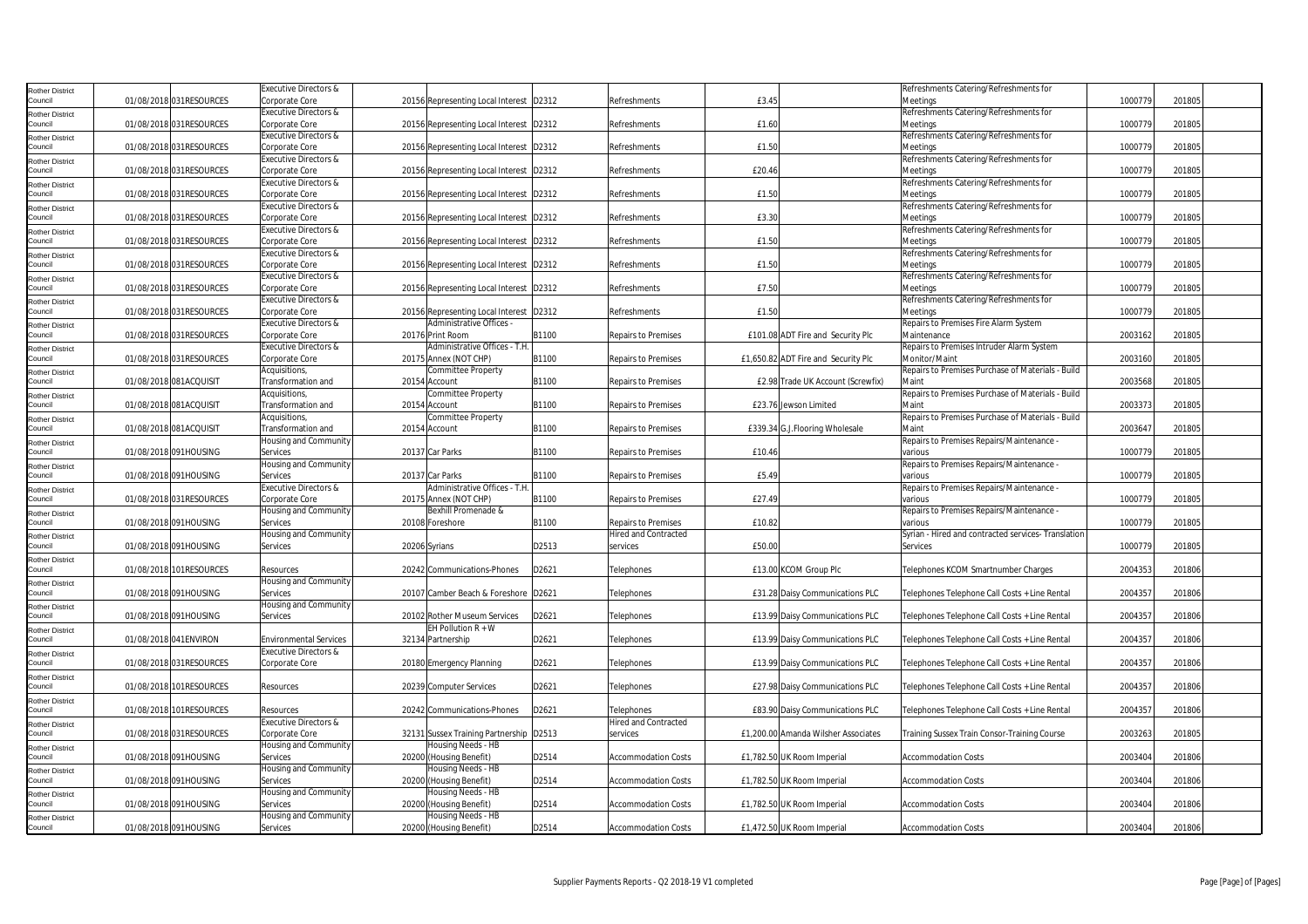| Rother District                   |                          | <b>Executive Directors &amp;</b> |                                           |       |                             |                                     | Refreshments Catering/Refreshments for              |         |        |
|-----------------------------------|--------------------------|----------------------------------|-------------------------------------------|-------|-----------------------------|-------------------------------------|-----------------------------------------------------|---------|--------|
| Council                           | 01/08/2018 031RESOURCES  | Corporate Core                   | 20156 Representing Local Interest D2312   |       | Refreshments                | £3.45                               | Meetings                                            | 1000779 | 201805 |
|                                   |                          | <b>Executive Directors &amp;</b> |                                           |       |                             |                                     | Refreshments Catering/Refreshments for              |         |        |
| Rother District<br>Council        | 01/08/2018 031RESOURCES  | Corporate Core                   | 20156 Representing Local Interest         | D2312 | Refreshments                | £1.60                               | Meetings                                            | 1000779 | 201805 |
|                                   |                          | Executive Directors &            |                                           |       |                             |                                     | Refreshments Catering/Refreshments for              |         |        |
| Rother District<br>Council        | 01/08/2018 031RESOURCES  | Corporate Core                   | 20156 Representing Local Interest D2312   |       | Refreshments                | £1.50                               | Meetings                                            | 1000779 | 201805 |
|                                   |                          |                                  |                                           |       |                             |                                     |                                                     |         |        |
| <b>Rother District</b>            | 01/08/2018 031 RESOURCES | <b>Executive Directors &amp;</b> |                                           |       |                             |                                     | Refreshments Catering/Refreshments for              | 1000779 | 201805 |
| Council                           |                          | Corporate Core                   | 20156 Representing Local Interest D2312   |       | Refreshments                | £20.46                              | <b>Meetings</b>                                     |         |        |
| <b>Rother District</b>            |                          | Executive Directors &            |                                           |       |                             |                                     | Refreshments Catering/Refreshments for              |         |        |
| Council                           | 01/08/2018 031RESOURCES  | Corporate Core                   | 20156 Representing Local Interest D2312   |       | Refreshments                | £1.50                               | Meetings                                            | 1000779 | 201805 |
| <b>Rother District</b>            |                          | Executive Directors &            |                                           |       |                             |                                     | Refreshments Catering/Refreshments for              |         |        |
| Council                           | 01/08/2018 031RESOURCES  | Corporate Core                   | 20156 Representing Local Interest   D2312 |       | Refreshments                | £3.30                               | Meetings                                            | 1000779 | 201805 |
| Rother District                   |                          | Executive Directors &            |                                           |       |                             |                                     | Refreshments Catering/Refreshments for              |         |        |
| Council                           | 01/08/2018 031RESOURCES  | Corporate Core                   | 20156 Representing Local Interest D2312   |       | Refreshments                | £1.50                               | Meetings                                            | 1000779 | 201805 |
| Rother District                   |                          | Executive Directors &            |                                           |       |                             |                                     | Refreshments Catering/Refreshments for              |         |        |
| Council                           | 01/08/2018 031RESOURCES  | Corporate Core                   | 20156 Representing Local Interest         | D2312 | Refreshments                | £1.50                               | Meetings                                            | 1000779 | 201805 |
| Rother District                   |                          | <b>Executive Directors &amp;</b> |                                           |       |                             |                                     | Refreshments Catering/Refreshments for              |         |        |
| Council                           | 01/08/2018 031RESOURCES  | Corporate Core                   | 20156 Representing Local Interest D2312   |       | Refreshments                | £7.50                               | Meetings                                            | 1000779 | 201805 |
|                                   |                          | Executive Directors &            |                                           |       |                             |                                     | Refreshments Catering/Refreshments for              |         |        |
| Rother District<br>Council        |                          |                                  |                                           |       | Refreshments                |                                     |                                                     | 1000779 | 201805 |
|                                   | 01/08/2018 031RESOURCES  | Corporate Core                   | 20156 Representing Local Interest D2312   |       |                             | £1.50                               | Meetings                                            |         |        |
| <b>Rother District</b>            |                          | Executive Directors &            | Administrative Offices -                  |       |                             |                                     | Repairs to Premises Fire Alarm System               |         |        |
| Council                           | 01/08/2018 031 RESOURCES | Corporate Core                   | 20176 Print Room                          | B1100 | Repairs to Premises         | £101.08 ADT Fire and Security Plc   | Maintenance                                         | 2003162 | 201805 |
| <b>Rother District</b>            |                          | <b>Executive Directors &amp;</b> | Administrative Offices - T.H.             |       |                             |                                     | Repairs to Premises Intruder Alarm System           |         |        |
| Council                           | 01/08/2018 031RESOURCES  | Corporate Core                   | 20175 Annex (NOT CHP)                     | B1100 | Repairs to Premises         | £1,650.82 ADT Fire and Security Plc | Monitor/Maint                                       | 2003160 | 201805 |
| Rother District                   |                          | Acquisitions,                    | <b>Committee Property</b>                 |       |                             |                                     | Repairs to Premises Purchase of Materials - Build   |         |        |
| Council                           | 01/08/2018 081ACQUISIT   | Transformation and               | 20154 Account                             | B1100 | Repairs to Premises         | £2.98 Trade UK Account (Screwfix)   | Main                                                | 2003568 | 201805 |
| Rother District                   |                          | Acquisitions,                    | Committee Property                        |       |                             |                                     | Repairs to Premises Purchase of Materials - Build   |         |        |
| Council                           | 01/08/2018 081ACQUISIT   | Transformation and               | 20154 Account                             | B1100 | Repairs to Premises         | £23.76 Jewson Limited               | Maint                                               | 2003373 | 201805 |
|                                   |                          | Acquisitions,                    | Committee Property                        |       |                             |                                     | Repairs to Premises Purchase of Materials - Build   |         |        |
| Rother District<br>Council        | 01/08/2018 081ACQUISIT   | Transformation and               | 20154 Account                             | B1100 | Repairs to Premises         | £339.34 G.J.Flooring Wholesale      | Maint                                               | 2003647 | 201805 |
|                                   |                          |                                  |                                           |       |                             |                                     | Repairs to Premises Repairs/Maintenance -           |         |        |
| Rother District                   |                          | Housing and Community            |                                           |       |                             |                                     |                                                     |         |        |
| Council                           | 01/08/2018 091HOUSING    | Services                         | 20137 Car Parks                           | B1100 | <b>Repairs to Premises</b>  | £10.46                              | various                                             | 1000779 | 201805 |
| <b>Rother District</b>            |                          | Housing and Community            |                                           |       |                             |                                     | Repairs to Premises Repairs/Maintenance -           |         |        |
| Council                           | 01/08/2018 091HOUSING    | Services                         | 20137 Car Parks                           | B1100 | <b>Repairs to Premises</b>  | £5.49                               | various                                             | 1000779 | 201805 |
| <b>Rother District</b>            |                          | Executive Directors &            | Administrative Offices - T.H              |       |                             |                                     | Repairs to Premises Repairs/Maintenance -           |         |        |
| Council                           | 01/08/2018 031RESOURCES  | Corporate Core                   | 20175 Annex (NOT CHP)                     | B1100 | Repairs to Premises         | £27.49                              | various                                             | 1000779 | 201805 |
| Rother District                   |                          | Housing and Community            | Bexhill Promenade &                       |       |                             |                                     | Repairs to Premises Repairs/Maintenance -           |         |        |
| Council                           | 01/08/2018 091HOUSING    | Services                         | 20108 Foreshore                           | B1100 | Repairs to Premises         | £10.82                              | various                                             | 1000779 | 201805 |
| Rother District                   |                          | Housing and Community            |                                           |       | Hired and Contracted        |                                     | Syrian - Hired and contracted services- Translation |         |        |
| Council                           | 01/08/2018 091HOUSING    | Services                         | 20206 Syrians                             | D2513 | services                    | £50.00                              | Services                                            | 1000779 | 201805 |
|                                   |                          |                                  |                                           |       |                             |                                     |                                                     |         |        |
| <b>Rother District</b><br>Council | 01/08/2018 101RESOURCES  | Resources                        | 20242 Communications-Phones               | D2621 | <b>Felephones</b>           | £13.00 KCOM Group Plc               | Telephones KCOM Smartnumber Charges                 | 2004353 | 201806 |
|                                   |                          | <b>Housing and Community</b>     |                                           |       |                             |                                     |                                                     |         |        |
| Rother District<br>Council        | 01/08/2018 091HOUSING    |                                  |                                           |       |                             |                                     |                                                     | 2004357 |        |
|                                   |                          | Services                         | 20107 Camber Beach & Foreshore D2621      |       | Telephones                  | £31.28 Daisy Communications PLC     | Telephones Telephone Call Costs + Line Rental       |         | 201806 |
| Rother District                   |                          | Housing and Community            |                                           |       |                             |                                     |                                                     |         |        |
| Council                           | 01/08/2018 091HOUSING    | Services                         | 20102 Rother Museum Services              | D2621 | <b>Felephones</b>           | £13.99 Daisy Communications PLC     | Telephones Telephone Call Costs + Line Rental       | 2004357 | 201806 |
| <b>Rother District</b>            |                          |                                  | EH Pollution $R + W$                      |       |                             |                                     |                                                     |         |        |
| Council                           | 01/08/2018 041ENVIRON    | <b>Environmental Services</b>    | 32134 Partnership                         | D2621 | <b>Felephones</b>           | £13.99 Daisy Communications PLC     | Telephones Telephone Call Costs + Line Rental       | 2004357 | 201806 |
| Rother District                   |                          | Executive Directors &            |                                           |       |                             |                                     |                                                     |         |        |
| Council                           | 01/08/2018 031RESOURCES  | Corporate Core                   | 20180 Emergency Planning                  | D2621 | <b>Felephones</b>           | £13.99 Daisy Communications PLC     | Telephones Telephone Call Costs + Line Rental       | 2004357 | 201806 |
| Rother District                   |                          |                                  |                                           |       |                             |                                     |                                                     |         |        |
| Council                           | 01/08/2018 101RESOURCES  | Resources                        | 20239 Computer Services                   | D2621 | <b>Felephones</b>           | £27.98 Daisy Communications PLC     | Telephones Telephone Call Costs + Line Rental       | 2004357 | 201806 |
|                                   |                          |                                  |                                           |       |                             |                                     |                                                     |         |        |
| Rother District<br>Council        | 01/08/2018 101RESOURCES  | Resources                        | 20242 Communications-Phones               | D2621 | <b>Felephones</b>           | £83.90 Daisy Communications PLC     | Telephones Telephone Call Costs + Line Renta        | 2004357 | 201806 |
|                                   |                          | Executive Directors &            |                                           |       | <b>Hired and Contracted</b> |                                     |                                                     |         |        |
| Rother District                   |                          |                                  |                                           |       |                             |                                     |                                                     |         |        |
| Council                           | 01/08/2018 031RESOURCES  | Corporate Core                   | 32131 Sussex Training Partnership D2513   |       | services                    | £1,200.00 Amanda Wilsher Associates | Training Sussex Train Consor-Training Course        | 2003263 | 201805 |
| <b>Rother District</b>            |                          | Housing and Community            | Housing Needs - HB                        |       |                             |                                     |                                                     |         |        |
| Council                           | 01/08/2018 091HOUSING    | Services                         | 20200 (Housing Benefit)                   | D2514 | <b>Accommodation Costs</b>  | £1,782.50 UK Room Imperial          | <b>Accommodation Costs</b>                          | 2003404 | 201806 |
| Rother District                   |                          | Housing and Community            | Housing Needs - HB                        |       |                             |                                     |                                                     |         |        |
| Council                           | 01/08/2018 091HOUSING    | Services                         | 20200 (Housing Benefit)                   | D2514 | <b>Accommodation Costs</b>  | £1,782.50 UK Room Imperial          | <b>Accommodation Costs</b>                          | 2003404 | 201806 |
| <b>Rother District</b>            |                          | Housing and Community            | Housing Needs - HB                        |       |                             |                                     |                                                     |         |        |
| Council                           | 01/08/2018 091HOUSING    | Services                         | 20200 (Housing Benefit)                   | D2514 | Accommodation Costs         | £1,782.50 UK Room Imperial          | <b>Accommodation Costs</b>                          | 2003404 | 201806 |
| Rother District                   |                          | Housing and Community            | Housing Needs - HB                        |       |                             |                                     |                                                     |         |        |
| Council                           | 01/08/2018 091HOUSING    | Services                         | 20200 (Housing Benefit)                   | D2514 | <b>Accommodation Costs</b>  | £1,472.50 UK Room Imperial          | <b>Accommodation Costs</b>                          | 2003404 | 201806 |
|                                   |                          |                                  |                                           |       |                             |                                     |                                                     |         |        |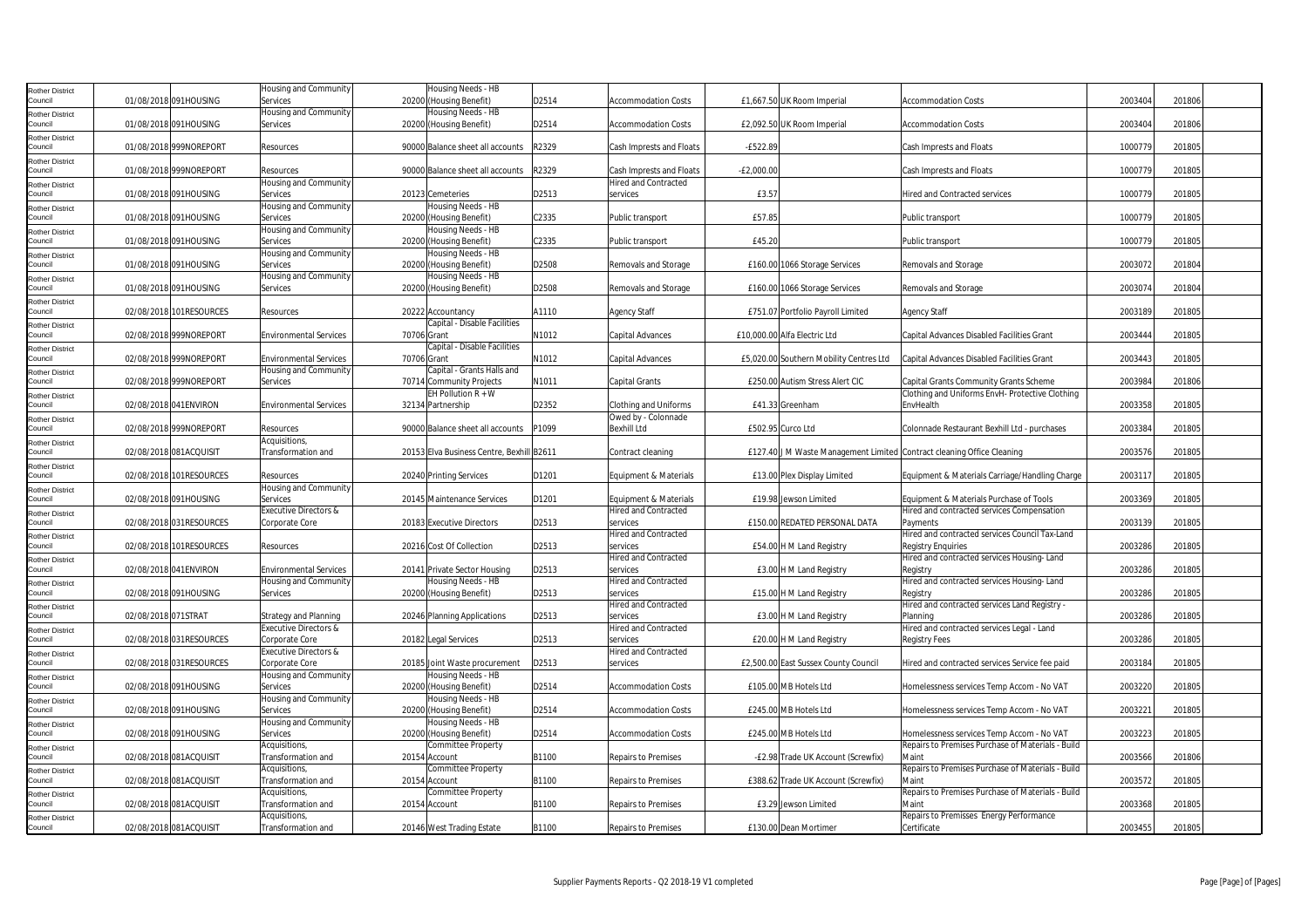| Rother District                   |                        |                         | Housing and Community         | Housing Needs - HB                        |       |                             |              |                                         |                                                                        |         |        |
|-----------------------------------|------------------------|-------------------------|-------------------------------|-------------------------------------------|-------|-----------------------------|--------------|-----------------------------------------|------------------------------------------------------------------------|---------|--------|
| Council                           | 01/08/2018 091HOUSING  |                         | Services                      | 20200 (Housing Benefit)                   | D2514 | <b>Accommodation Costs</b>  |              | £1,667.50 UK Room Imperial              | <b>Accommodation Costs</b>                                             | 2003404 | 201806 |
| Rother District                   |                        |                         | Housing and Community         | Housing Needs - HB                        |       |                             |              |                                         |                                                                        |         |        |
| Council                           | 01/08/2018 091HOUSING  |                         | Services                      | 20200 (Housing Benefit)                   | D2514 | <b>Accommodation Costs</b>  |              | £2,092.50 UK Room Imperial              | <b>Accommodation Costs</b>                                             | 2003404 | 201806 |
|                                   |                        |                         |                               |                                           |       |                             |              |                                         |                                                                        |         |        |
| Rother District<br>Council        | 01/08/2018 999NOREPORT |                         | Resources                     | 90000 Balance sheet all accounts          | R2329 | Cash Imprests and Floats    | $-E522.89$   |                                         | Cash Imprests and Floats                                               | 1000779 | 201805 |
|                                   |                        |                         |                               |                                           |       |                             |              |                                         |                                                                        |         |        |
| Rother District<br>Council        | 01/08/2018 999NOREPORT |                         | Resources                     | 90000 Balance sheet all accounts          | R2329 | Cash Imprests and Floats    | $-E2,000.00$ |                                         | Cash Imprests and Floats                                               | 1000779 | 201805 |
|                                   |                        |                         | Housing and Community         |                                           |       | <b>Hired and Contracted</b> |              |                                         |                                                                        |         |        |
| Rother District<br>Council        | 01/08/2018 091HOUSING  |                         |                               |                                           |       |                             | £3.57        |                                         | <b>Hired and Contracted services</b>                                   | 1000779 | 201805 |
|                                   |                        |                         | Services                      | 20123 Cemeteries                          | D2513 | services                    |              |                                         |                                                                        |         |        |
| <b>Rother District</b><br>Council | 01/08/2018 091HOUSING  |                         | Housing and Community         | Housing Needs - HB                        | C2335 |                             | £57.85       |                                         |                                                                        | 1000779 | 201805 |
|                                   |                        |                         | Services                      | 20200 (Housing Benefit)                   |       | Public transport            |              |                                         | Public transport                                                       |         |        |
| Rother District                   |                        |                         | Housing and Community         | Housing Needs - HB                        | C2335 |                             | £45.20       |                                         |                                                                        | 1000779 |        |
| Council                           | 01/08/2018 091HOUSING  |                         | Services                      | 20200 (Housing Benefit)                   |       | Public transport            |              |                                         | Public transport                                                       |         | 201805 |
| Rother District                   |                        |                         | Housing and Community         | Housing Needs - HB                        |       |                             |              |                                         |                                                                        |         |        |
| Council                           | 01/08/2018 091HOUSING  |                         | Services                      | 20200 (Housing Benefit)                   | D2508 | Removals and Storage        |              | £160.00 1066 Storage Services           | Removals and Storage                                                   | 2003072 | 201804 |
| Rother District                   |                        |                         | Housing and Community         | Housing Needs - HB                        |       |                             |              |                                         |                                                                        |         |        |
| Council                           | 01/08/2018 091HOUSING  |                         | Services                      | 20200 (Housing Benefit)                   | D2508 | Removals and Storage        |              | £160.00 1066 Storage Services           | Removals and Storage                                                   | 2003074 | 201804 |
| Rother District                   |                        |                         |                               |                                           |       |                             |              |                                         |                                                                        |         |        |
| Council                           |                        | 02/08/2018 101RESOURCES | Resources                     | 20222 Accountancy                         | A1110 | <b>Agency Staff</b>         |              | £751.07 Portfolio Payroll Limited       | <b>Agency Staff</b>                                                    | 2003189 | 201805 |
| <b>Rother District</b>            |                        |                         |                               | Capital - Disable Facilities              |       |                             |              |                                         |                                                                        |         |        |
| Council                           | 02/08/2018 999NOREPORT |                         | <b>Environmental Services</b> | 70706 Grant                               | N1012 | Capital Advances            |              | £10,000.00 Alfa Electric Ltd            | Capital Advances Disabled Facilities Grant                             | 2003444 | 201805 |
| <b>Rother District</b>            |                        |                         |                               | Capital - Disable Facilities              |       |                             |              |                                         |                                                                        |         |        |
| Council                           | 02/08/2018 999NOREPORT |                         | <b>Environmental Services</b> | 70706 Grant                               | N1012 | Capital Advances            |              | £5,020.00 Southern Mobility Centres Ltd | Capital Advances Disabled Facilities Grant                             | 2003443 | 201805 |
| Rother District                   |                        |                         | Housing and Community         | Capital - Grants Halls and                |       |                             |              |                                         |                                                                        |         |        |
| Council                           | 02/08/2018 999NOREPORT |                         | Services                      | 70714 Community Projects                  | N1011 | Capital Grants              |              | £250.00 Autism Stress Alert CIC         | Capital Grants Community Grants Scheme                                 | 2003984 | 201806 |
| Rother District                   |                        |                         |                               | EH Pollution $R + W$                      |       |                             |              |                                         | Clothing and Uniforms EnvH- Protective Clothing                        |         |        |
| Council                           | 02/08/2018 041ENVIRON  |                         | <b>Environmental Services</b> | 32134 Partnership                         | D2352 | Clothing and Uniforms       |              | £41.33 Greenham                         | EnvHealth                                                              | 2003358 | 201805 |
| Rother District                   |                        |                         |                               |                                           |       | Owed by - Colonnade         |              |                                         |                                                                        |         |        |
| Council                           | 02/08/2018 999NOREPORT |                         | Resources                     | 90000 Balance sheet all accounts          | P1099 | <b>Bexhill Ltd</b>          |              | £502.95 Curco Ltd                       | Colonnade Restaurant Bexhill Ltd - purchases                           | 2003384 | 201805 |
| Rother District                   |                        |                         | Acquisitions,                 |                                           |       |                             |              |                                         |                                                                        |         |        |
| Council                           | 02/08/2018 081ACQUISIT |                         | Transformation and            | 20153 Elva Business Centre, Bexhill B2611 |       | Contract cleaning           |              |                                         | £127.40 J M Waste Management Limited Contract cleaning Office Cleaning | 2003576 | 201805 |
| Rother District                   |                        |                         |                               |                                           |       |                             |              |                                         |                                                                        |         |        |
| Council                           |                        | 02/08/2018 101RESOURCES | Resources                     | 20240 Printing Services                   | D1201 | Equipment & Materials       |              | £13.00 Plex Display Limited             | Equipment & Materials Carriage/Handling Charge                         | 2003117 | 201805 |
| <b>Rother District</b>            |                        |                         | Housing and Community         |                                           |       |                             |              |                                         |                                                                        |         |        |
| Council                           | 02/08/2018 091HOUSING  |                         | Services                      | 20145 Maintenance Services                | D1201 | Equipment & Materials       |              | £19.98 Jewson Limited                   | Equipment & Materials Purchase of Tools                                | 2003369 | 201805 |
| Rother District                   |                        |                         | Executive Directors &         |                                           |       | <b>Hired and Contracted</b> |              |                                         | Hired and contracted services Compensation                             |         |        |
| Council                           |                        | 02/08/2018 031RESOURCES | Corporate Core                | 20183 Executive Directors                 | D2513 | services                    |              | £150.00 REDATED PERSONAL DATA           | Payments                                                               | 2003139 | 201805 |
| Rother District                   |                        |                         |                               |                                           |       | Hired and Contracted        |              |                                         | Hired and contracted services Council Tax-Land                         |         |        |
| Council                           |                        | 02/08/2018 101RESOURCES | Resources                     | 20216 Cost Of Collection                  | D2513 | services                    |              | £54.00 H M Land Registry                | <b>Registry Enguiries</b>                                              | 2003286 | 201805 |
| Rother District                   |                        |                         |                               |                                           |       | <b>Hired and Contracted</b> |              |                                         | Hired and contracted services Housing-Land                             |         |        |
| Council                           | 02/08/2018 041ENVIRON  |                         | <b>Environmental Services</b> | 20141 Private Sector Housing              | D2513 | services                    |              | £3.00 H M Land Registry                 | Registry                                                               | 2003286 | 201805 |
| <b>Rother District</b>            |                        |                         | Housing and Community         | Housing Needs - HB                        |       | <b>Hired and Contracted</b> |              |                                         | Hired and contracted services Housing-Land                             |         |        |
| Council                           | 02/08/2018 091HOUSING  |                         | Services                      | 20200 (Housing Benefit)                   | D2513 | services                    |              | £15.00 H M Land Registry                | Registry                                                               | 2003286 | 201805 |
| Rother District                   |                        |                         |                               |                                           |       | Hired and Contracted        |              |                                         | Hired and contracted services Land Registry -                          |         |        |
| Council                           | 02/08/2018 071STRAT    |                         | Strategy and Planning         | 20246 Planning Applications               | D2513 | services                    |              | £3.00 H M Land Registry                 | Planning                                                               | 2003286 | 201805 |
| Rother District                   |                        |                         | Executive Directors &         |                                           |       | <b>Hired and Contracted</b> |              |                                         | Hired and contracted services Legal - Land                             |         |        |
| Council                           |                        | 02/08/2018 031RESOURCES | Corporate Core                | 20182 Legal Services                      | D2513 | services                    |              | £20.00 H M Land Registry                | <b>Registry Fees</b>                                                   | 2003286 | 201805 |
| Rother District                   |                        |                         | Executive Directors &         |                                           |       | Hired and Contracted        |              |                                         |                                                                        |         |        |
| Council                           |                        | 02/08/2018 031RESOURCES | Corporate Core                | 20185 Joint Waste procurement             | D2513 | services                    |              | £2,500.00 East Sussex County Council    | Hired and contracted services Service fee paid                         | 2003184 | 201805 |
| <b>Rother District</b>            |                        |                         | Housing and Community         | Housing Needs - HB                        |       |                             |              |                                         |                                                                        |         |        |
| Council                           | 02/08/2018 091HOUSING  |                         | Services                      | 20200 (Housing Benefit)                   | D2514 | <b>Accommodation Costs</b>  |              | £105.00 MB Hotels Ltd                   | Homelessness services Temp Accom - No VAT                              | 2003220 | 201805 |
|                                   |                        |                         | Housing and Community         | Housing Needs - HB                        |       |                             |              |                                         |                                                                        |         |        |
| Rother District<br>Council        | 02/08/2018 091HOUSING  |                         | Services                      | 20200 (Housing Benefit)                   | D2514 | <b>Accommodation Costs</b>  |              | £245.00 MB Hotels Ltd                   | Homelessness services Temp Accom - No VAT                              | 2003221 | 201805 |
|                                   |                        |                         | Housing and Community         | Housing Needs - HB                        |       |                             |              |                                         |                                                                        |         |        |
| Rother District<br>Council        | 02/08/2018 091HOUSING  |                         | Services                      | 20200 (Housing Benefit)                   | D2514 | <b>Accommodation Costs</b>  |              | £245.00 MB Hotels Ltd                   | Homelessness services Temp Accom - No VAT                              | 2003223 | 201805 |
|                                   |                        |                         | Acquisitions,                 | Committee Property                        |       |                             |              |                                         | Repairs to Premises Purchase of Materials - Build                      |         |        |
| Rother District<br>Council        | 02/08/2018 081ACQUISIT |                         | <b>Transformation and</b>     | 20154 Account                             | B1100 | <b>Repairs to Premises</b>  |              | -£2.98 Trade UK Account (Screwfix)      | Main                                                                   | 2003566 | 201806 |
|                                   |                        |                         | Acquisitions,                 | Committee Property                        |       |                             |              |                                         | Repairs to Premises Purchase of Materials - Build                      |         |        |
| Rother District<br>Council        | 02/08/2018 081ACQUISIT |                         | Transformation and            | 20154 Account                             | B1100 | Repairs to Premises         |              | £388.62 Trade UK Account (Screwfix)     | Main                                                                   | 2003572 | 201805 |
|                                   |                        |                         |                               |                                           |       |                             |              |                                         |                                                                        |         |        |
| <b>Rother District</b>            |                        |                         | Acquisitions,                 | Committee Property                        |       |                             |              |                                         | Repairs to Premises Purchase of Materials - Build                      |         |        |
| Council                           | 02/08/2018 081ACQUISIT |                         | Transformation and            | 20154 Account                             | B1100 | Repairs to Premises         |              | £3.29 Jewson Limited                    | Maint                                                                  | 2003368 | 201805 |
| Rother District                   |                        |                         | Acquisitions,                 |                                           |       |                             |              |                                         | Repairs to Premisses Energy Performance                                |         |        |
| Council                           | 02/08/2018 081ACQUISIT |                         | Transformation and            | 20146 West Trading Estate                 | B1100 | <b>Repairs to Premises</b>  |              | £130.00 Dean Mortimer                   | Certificate                                                            | 2003455 | 201805 |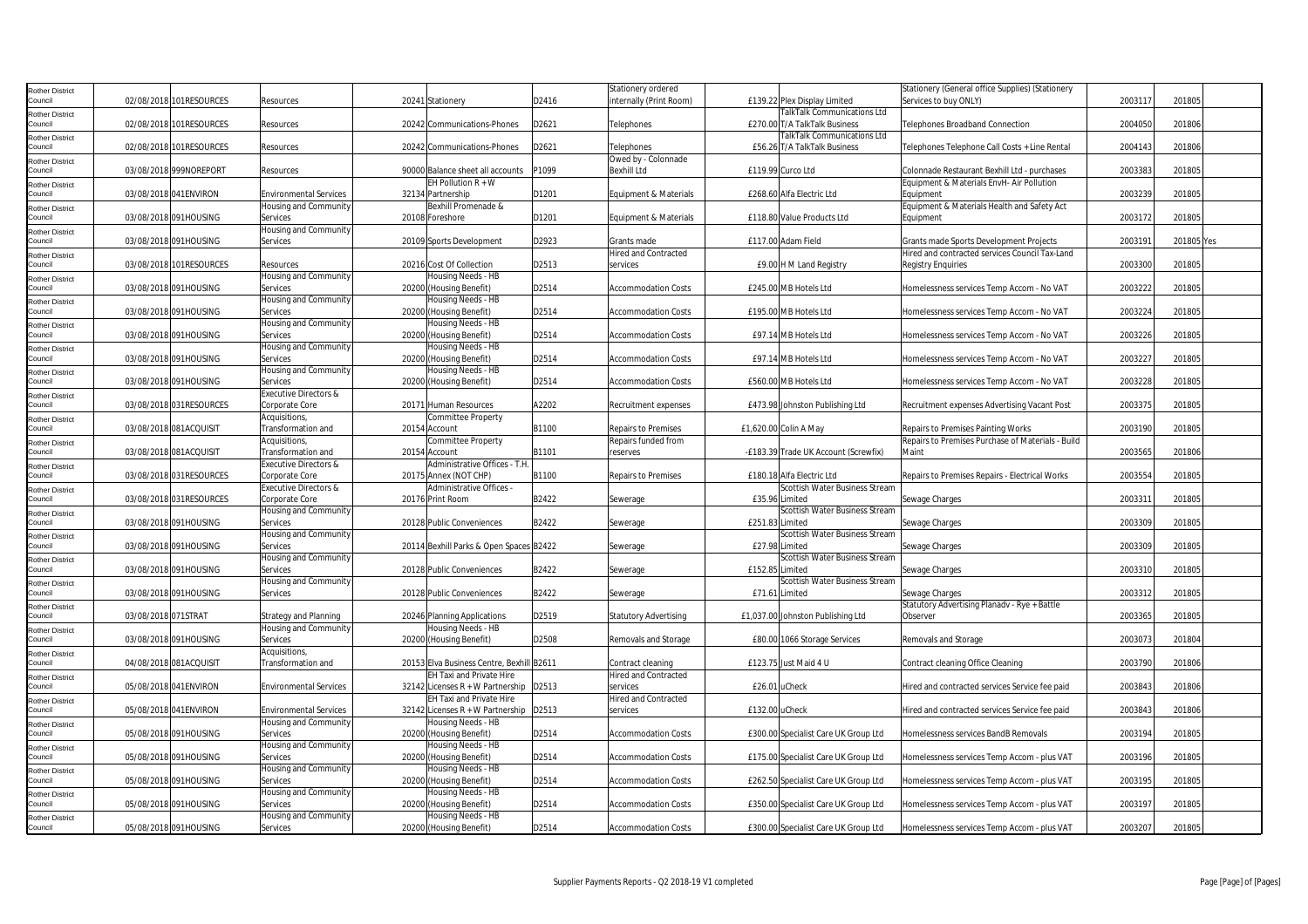| Rother District            |                     |                         |                               |                                           |       | Stationery ordered           |                                      | Stationery (General office Supplies) (Stationery  |         |            |
|----------------------------|---------------------|-------------------------|-------------------------------|-------------------------------------------|-------|------------------------------|--------------------------------------|---------------------------------------------------|---------|------------|
| Council                    |                     | 02/08/2018 101RESOURCES | Resources                     | 20241 Stationery                          | D2416 | nternally (Print Room)       | £139.22 Plex Display Limited         | Services to buy ONLY)                             | 2003117 | 201805     |
|                            |                     |                         |                               |                                           |       |                              | <b>TalkTalk Communications Ltd</b>   |                                                   |         |            |
| Rother District            |                     |                         |                               |                                           |       |                              |                                      |                                                   |         |            |
| Council                    |                     | 02/08/2018 101RESOURCES | Resources                     | 20242 Communications-Phones               | D2621 | <b>Felephones</b>            | £270.00 T/A TalkTalk Business        | Telephones Broadband Connection                   | 2004050 | 201806     |
| Rother District            |                     |                         |                               |                                           |       |                              | <b>TalkTalk Communications Ltd</b>   |                                                   |         |            |
| Council                    |                     | 02/08/2018 101RESOURCES | Resources                     | 20242 Communications-Phones               | D2621 | <b>Felephones</b>            | £56.26 T/A TalkTalk Business         | Telephones Telephone Call Costs + Line Rental     | 2004143 | 201806     |
| <b>Rother District</b>     |                     |                         |                               |                                           |       | Owed by - Colonnade          |                                      |                                                   |         |            |
| Council                    |                     | 03/08/2018 999NOREPORT  | Resources                     | 90000 Balance sheet all accounts          | P1099 | <b>Bexhill Ltd</b>           | £119.99 Curco Ltd                    | Colonnade Restaurant Bexhill Ltd - purchases      | 2003383 | 201805     |
|                            |                     |                         |                               | EH Pollution $R + W$                      |       |                              |                                      | Equipment & Materials EnvH- Air Pollution         |         |            |
| Rother District            |                     |                         |                               |                                           |       |                              |                                      |                                                   |         |            |
| Council                    |                     | 03/08/2018 041ENVIRON   | <b>Environmental Services</b> | 32134 Partnership                         | D1201 | Equipment & Materials        | £268.60 Alfa Electric Ltd            | Equipment                                         | 2003239 | 201805     |
| <b>Rother District</b>     |                     |                         | Housing and Community         | Bexhill Promenade &                       |       |                              |                                      | Equipment & Materials Health and Safety Act       |         |            |
| Council                    |                     | 03/08/2018 091HOUSING   | Services                      | 20108 Foreshore                           | D1201 | Equipment & Materials        | £118.80 Value Products Ltd           | Equipment                                         | 2003172 | 201805     |
| <b>Rother District</b>     |                     |                         | Housing and Community         |                                           |       |                              |                                      |                                                   |         |            |
| Council                    |                     | 03/08/2018 091HOUSING   | Services                      | 20109 Sports Development                  | D2923 | Grants made                  | £117.00 Adam Field                   | Grants made Sports Development Projects           | 2003191 | 201805 Yes |
|                            |                     |                         |                               |                                           |       | <b>Hired and Contracted</b>  |                                      | Hired and contracted services Council Tax-Land    |         |            |
| Rother District            |                     |                         |                               |                                           |       |                              |                                      |                                                   |         |            |
| Council                    |                     | 03/08/2018 101RESOURCES | Resources                     | 20216 Cost Of Collection                  | D2513 | services                     | £9.00 H M Land Registry              | <b>Registry Enquiries</b>                         | 2003300 | 201805     |
| Rother District            |                     |                         | Housing and Community         | Housing Needs - HB                        |       |                              |                                      |                                                   |         |            |
| Council                    |                     | 03/08/2018 091HOUSING   | Services                      | 20200 (Housing Benefit)                   | D2514 | <b>Accommodation Costs</b>   | £245.00 MB Hotels Ltd                | Homelessness services Temp Accom - No VAT         | 2003222 | 201805     |
| Rother District            |                     |                         | Housing and Community         | Housing Needs - HB                        |       |                              |                                      |                                                   |         |            |
| Council                    |                     | 03/08/2018 091HOUSING   | Services                      | 20200 (Housing Benefit)                   | D2514 | Accommodation Costs          | £195.00 MB Hotels Ltd                | Homelessness services Temp Accom - No VAT         | 2003224 | 201805     |
|                            |                     |                         | Housing and Community         | Housing Needs - HB                        |       |                              |                                      |                                                   |         |            |
| Rother District            |                     |                         |                               |                                           |       |                              |                                      |                                                   |         |            |
| Council                    |                     | 03/08/2018 091HOUSING   | Services                      | 20200 (Housing Benefit)                   | D2514 | <b>Accommodation Costs</b>   | £97.14 MB Hotels Ltd                 | Homelessness services Temp Accom - No VAT         | 2003226 | 201805     |
| Rother District            |                     |                         | Housing and Community         | Housing Needs - HB                        |       |                              |                                      |                                                   |         |            |
| Council                    |                     | 03/08/2018 091HOUSING   | Services                      | 20200 (Housing Benefit)                   | D2514 | <b>Accommodation Costs</b>   | £97.14 MB Hotels Ltd                 | Homelessness services Temp Accom - No VAT         | 2003227 | 201805     |
| Rother District            |                     |                         | Housing and Community         | Housing Needs - HB                        |       |                              |                                      |                                                   |         |            |
| Council                    |                     | 03/08/2018 091HOUSING   | Services                      | 20200 (Housing Benefit)                   | D2514 | Accommodation Costs          | £560.00 MB Hotels Ltd                | Homelessness services Temp Accom - No VAT         | 2003228 | 201805     |
|                            |                     |                         | Executive Directors &         |                                           |       |                              |                                      |                                                   |         |            |
| <b>Rother District</b>     |                     |                         |                               |                                           |       |                              |                                      |                                                   |         |            |
| Council                    |                     | 03/08/2018 031RESOURCES | Corporate Core                | 20171 Human Resources                     | A2202 | Recruitment expenses         | £473.98 Johnston Publishing Ltd      | Recruitment expenses Advertising Vacant Post      | 2003375 | 201805     |
| Rother District            |                     |                         | Acquisitions,                 | Committee Property                        |       |                              |                                      |                                                   |         |            |
| Council                    |                     | 03/08/2018 081ACQUISIT  | Transformation and            | 20154 Account                             | B1100 | <b>Repairs to Premises</b>   | £1,620.00 Colin A May                | Repairs to Premises Painting Works                | 2003190 | 201805     |
| Rother District            |                     |                         | Acquisitions,                 | Committee Property                        |       | Repairs funded from          |                                      | Repairs to Premises Purchase of Materials - Build |         |            |
| Council                    |                     | 03/08/2018 081ACQUISIT  | Transformation and            | 20154 Account                             | B1101 | reserves                     | -£183.39 Trade UK Account (Screwfix) | <b>Main</b>                                       | 2003565 | 201806     |
|                            |                     |                         | Executive Directors &         | Administrative Offices - T.H              |       |                              |                                      |                                                   |         |            |
| <b>Rother District</b>     |                     |                         |                               |                                           |       |                              |                                      |                                                   |         |            |
| Council                    |                     | 03/08/2018 031RESOURCES | Corporate Core                | 20175 Annex (NOT CHP)                     | B1100 | <b>Repairs to Premises</b>   | £180.18 Alfa Electric Ltd            | Repairs to Premises Repairs - Electrical Works    | 2003554 | 201805     |
| <b>Rother District</b>     |                     |                         | Executive Directors &         | Administrative Offices -                  |       |                              | Scottish Water Business Stream       |                                                   |         |            |
| Council                    |                     | 03/08/2018 031RESOURCES | Corporate Core                | 20176 Print Room                          | B2422 | Sewerage                     | £35.96 Limited                       | Sewage Charges                                    | 200331  | 201805     |
| <b>Rother District</b>     |                     |                         | Housing and Community         |                                           |       |                              | Scottish Water Business Stream       |                                                   |         |            |
| Council                    |                     | 03/08/2018 091HOUSING   | Services                      | 20128 Public Conveniences                 | B2422 | Sewerage                     | £251.83 Limited                      | Sewage Charges                                    | 2003309 | 201805     |
|                            |                     |                         | Housing and Community         |                                           |       |                              | Scottish Water Business Stream       |                                                   |         |            |
| Rother District<br>Council |                     |                         |                               |                                           |       |                              |                                      |                                                   |         |            |
|                            |                     | 03/08/2018 091HOUSING   | Services                      | 20114 Bexhill Parks & Open Spaces B2422   |       | Sewerage                     | £27.98 Limited                       | Sewage Charges                                    | 2003309 | 201805     |
| Rother District            |                     |                         | Housing and Community         |                                           |       |                              | Scottish Water Business Stream       |                                                   |         |            |
| Council                    |                     | 03/08/2018 091HOUSING   | Services                      | 20128 Public Conveniences                 | B2422 | Sewerage                     | £152.85 Limited                      | Sewage Charges                                    | 2003310 | 201805     |
| Rother District            |                     |                         | Housing and Community         |                                           |       |                              | Scottish Water Business Stream       |                                                   |         |            |
| Council                    |                     | 03/08/2018 091HOUSING   | Services                      | 20128 Public Conveniences                 | B2422 | Sewerage                     | £71.61 Limited                       | Sewage Charges                                    | 2003312 | 201805     |
|                            |                     |                         |                               |                                           |       |                              |                                      | Statutory Advertising Planadv - Rye + Battle      |         |            |
| Rother District<br>Council | 03/08/2018 071STRAT |                         | <b>Strategy and Planning</b>  | 20246 Planning Applications               | D2519 | <b>Statutory Advertising</b> | £1,037.00 Johnston Publishing Ltd    | Observer                                          | 2003365 | 201805     |
|                            |                     |                         |                               |                                           |       |                              |                                      |                                                   |         |            |
| <b>Rother District</b>     |                     |                         | Housing and Community         | Housing Needs - HB                        |       |                              |                                      |                                                   |         |            |
| Council                    |                     | 03/08/2018 091HOUSING   | Services                      | 20200 (Housing Benefit)                   | D2508 | Removals and Storage         | £80.00 1066 Storage Services         | Removals and Storage                              | 2003073 | 201804     |
| Rother District            |                     |                         | Acquisitions,                 |                                           |       |                              |                                      |                                                   |         |            |
| Council                    |                     | 04/08/2018 081ACQUISIT  | <b>Transformation and</b>     | 20153 Elva Business Centre, Bexhill B2611 |       | Contract cleaning            | £123.75 Just Maid 4 U                | Contract cleaning Office Cleaning                 | 2003790 | 201806     |
| Rother District            |                     |                         |                               | <b>EH Taxi and Private Hire</b>           |       | Hired and Contracted         |                                      |                                                   |         |            |
| Council                    |                     | 05/08/2018 041ENVIRON   | <b>Environmental Services</b> | 32142 Licenses R + W Partnership   D2513  |       | services                     | £26.01 uCheck                        | Hired and contracted services Service fee paid    | 2003843 | 201806     |
|                            |                     |                         |                               |                                           |       |                              |                                      |                                                   |         |            |
| Rother District            |                     |                         |                               | EH Taxi and Private Hire                  |       | <b>Hired and Contracted</b>  |                                      |                                                   |         |            |
| Council                    |                     | 05/08/2018 041ENVIRON   | <b>Environmental Services</b> | 32142 Licenses $R + W$ Partnership D2513  |       | services                     | £132.00 uCheck                       | Hired and contracted services Service fee paid    | 2003843 | 201806     |
| Rother District            |                     |                         | Housing and Community         | Housing Needs - HB                        |       |                              |                                      |                                                   |         |            |
| Council                    |                     | 05/08/2018 091HOUSING   | Services                      | 20200 (Housing Benefit)                   | D2514 | <b>Accommodation Costs</b>   | £300.00 Specialist Care UK Group Ltd | Homelessness services BandB Removals              | 2003194 | 201805     |
| <b>Rother District</b>     |                     |                         | Housing and Community         | Housing Needs - HB                        |       |                              |                                      |                                                   |         |            |
| Council                    |                     | 05/08/2018 091HOUSING   | Services                      | 20200 (Housing Benefit)                   | D2514 | <b>Accommodation Costs</b>   | £175.00 Specialist Care UK Group Ltd | Homelessness services Temp Accom - plus VAT       | 2003196 | 201805     |
|                            |                     |                         |                               |                                           |       |                              |                                      |                                                   |         |            |
| <b>Rother District</b>     |                     |                         | Housing and Community         | Housing Needs - HB                        |       |                              |                                      |                                                   |         |            |
| Council                    |                     | 05/08/2018 091HOUSING   | Services                      | 20200 (Housing Benefit)                   | D2514 | <b>Accommodation Costs</b>   | £262.50 Specialist Care UK Group Ltd | Homelessness services Temp Accom - plus VAT       | 2003195 | 201805     |
| Rother District            |                     |                         | Housing and Community         | Housing Needs - HB                        |       |                              |                                      |                                                   |         |            |
| Council                    |                     | 05/08/2018 091HOUSING   | Services                      | 20200 (Housing Benefit)                   | D2514 | <b>Accommodation Costs</b>   | £350.00 Specialist Care UK Group Ltd | Homelessness services Temp Accom - plus VAT       | 2003197 | 201805     |
| Rother District            |                     |                         | Housing and Community         | Housing Needs - HB                        |       |                              |                                      |                                                   |         |            |
| Council                    |                     | 05/08/2018 091HOUSING   | Services                      | 20200 (Housing Benefit)                   | D2514 | <b>Accommodation Costs</b>   | £300.00 Specialist Care UK Group Ltd | Homelessness services Temp Accom - plus VAT       | 2003207 | 201805     |
|                            |                     |                         |                               |                                           |       |                              |                                      |                                                   |         |            |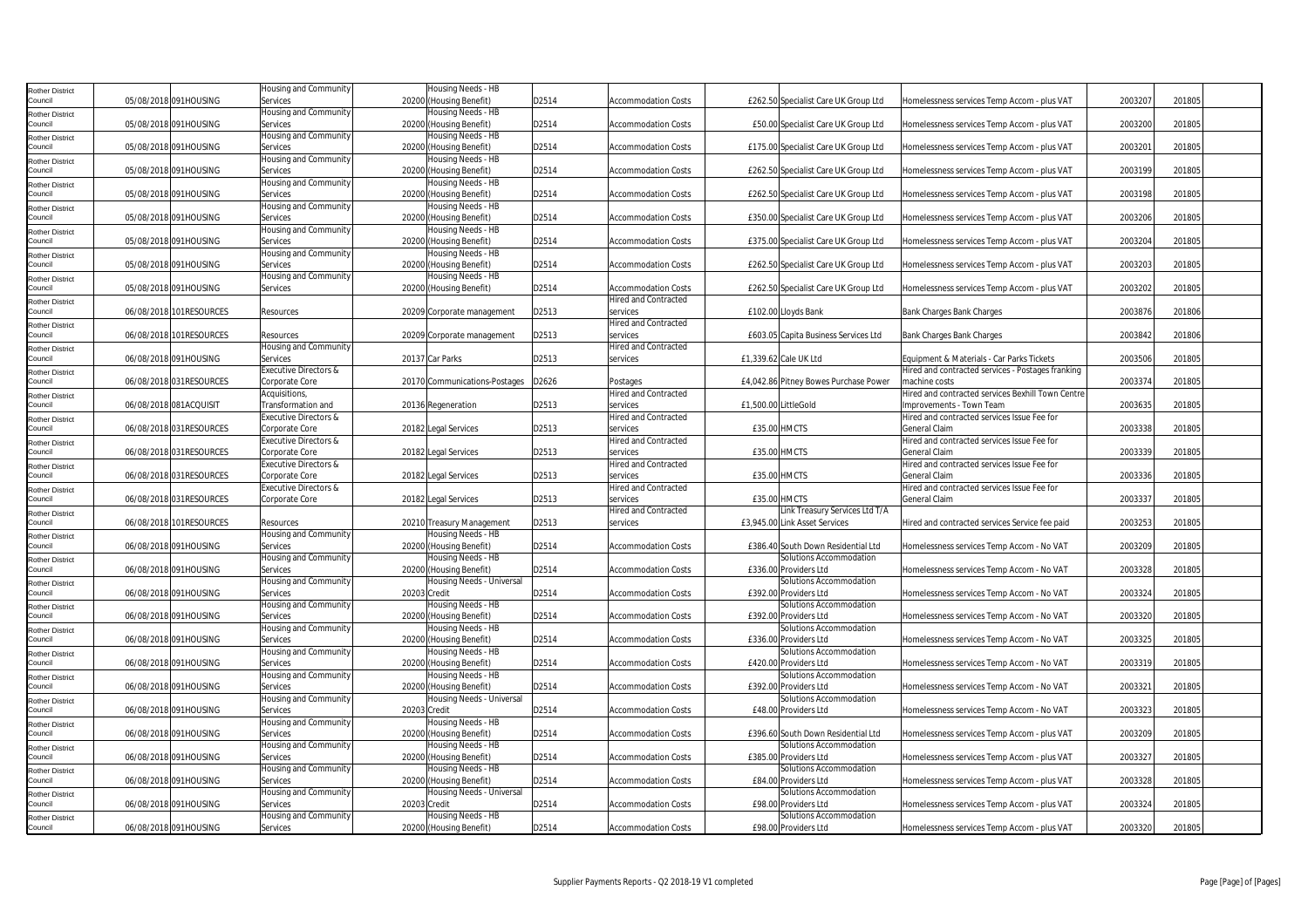| Rother District        |                         | Housing and Community            | Housing Needs - HB            |       |                             |                       |                                       |                                                   |         |        |
|------------------------|-------------------------|----------------------------------|-------------------------------|-------|-----------------------------|-----------------------|---------------------------------------|---------------------------------------------------|---------|--------|
| Council                | 05/08/2018 091HOUSING   | Services                         | 20200 (Housing Benefit)       | D2514 | <b>Accommodation Costs</b>  |                       | £262.50 Specialist Care UK Group Ltd  | Homelessness services Temp Accom - plus VAT       | 2003207 | 201805 |
| Rother District        |                         | Housing and Community            | Housing Needs - HB            |       |                             |                       |                                       |                                                   |         |        |
| Council                | 05/08/2018 091HOUSING   | Services                         | 20200 (Housing Benefit)       | D2514 | Accommodation Costs         |                       | £50.00 Specialist Care UK Group Ltd   | Homelessness services Temp Accom - plus VAT       | 2003200 | 201805 |
| Rother District        |                         | Housing and Community            | Housing Needs - HB            |       |                             |                       |                                       |                                                   |         |        |
| Council                | 05/08/2018 091HOUSING   | Services                         | 20200 (Housing Benefit)       | D2514 | <b>Accommodation Costs</b>  |                       | £175.00 Specialist Care UK Group Ltd  | Homelessness services Temp Accom - plus VAT       | 2003201 | 201805 |
| Rother District        |                         | Housing and Community            | Housing Needs - HB            |       |                             |                       |                                       |                                                   |         |        |
| Council                | 05/08/2018 091HOUSING   | Services                         | 20200 (Housing Benefit)       | D2514 | <b>Accommodation Costs</b>  |                       | £262.50 Specialist Care UK Group Ltd  | Homelessness services Temp Accom - plus VAT       | 2003199 | 201805 |
| Rother District        |                         | Housing and Community            | Housing Needs - HB            |       |                             |                       |                                       |                                                   |         |        |
| Council                | 05/08/2018 091HOUSING   | Services                         | 20200 (Housing Benefit)       | D2514 | <b>Accommodation Costs</b>  |                       | £262.50 Specialist Care UK Group Ltd  | Homelessness services Temp Accom - plus VAT       | 2003198 | 201805 |
| Rother District        |                         | Housing and Community            | Housing Needs - HB            |       |                             |                       |                                       |                                                   |         |        |
| Council                | 05/08/2018 091HOUSING   | Services                         | 20200 (Housing Benefit)       | D2514 | <b>Accommodation Costs</b>  |                       | £350.00 Specialist Care UK Group Ltd  | Homelessness services Temp Accom - plus VAT       | 2003206 | 201805 |
| Rother District        |                         | Housing and Community            | Housing Needs - HB            |       |                             |                       |                                       |                                                   |         |        |
| Council                | 05/08/2018 091HOUSING   | Services                         | 20200 (Housing Benefit)       | D2514 | <b>Accommodation Costs</b>  |                       | £375.00 Specialist Care UK Group Ltd  | Homelessness services Temp Accom - plus VAT       | 2003204 | 201805 |
| <b>Rother District</b> |                         | Housing and Community            | Housing Needs - HB            |       |                             |                       |                                       |                                                   |         |        |
| Council                | 05/08/2018 091HOUSING   | Services                         | 20200 (Housing Benefit)       | D2514 | Accommodation Costs         |                       | £262.50 Specialist Care UK Group Ltd  | Homelessness services Temp Accom - plus VAT       | 2003203 | 201805 |
| Rother District        |                         | Housing and Community            | Housing Needs - HB            |       |                             |                       |                                       |                                                   |         |        |
| Council                | 05/08/2018 091HOUSING   | Services                         | 20200 (Housing Benefit)       | D2514 | Accommodation Costs         |                       | £262.50 Specialist Care UK Group Ltd  | Homelessness services Temp Accom - plus VAT       | 2003202 | 201805 |
| Rother District        |                         |                                  |                               |       | <b>Hired and Contracted</b> |                       |                                       |                                                   |         |        |
| Council                | 06/08/2018 101RESOURCES | Resources                        | 20209 Corporate management    | D2513 | services                    |                       | £102.00 Lloyds Bank                   | <b>Bank Charges Bank Charges</b>                  | 2003876 | 201806 |
| <b>Rother District</b> |                         |                                  |                               |       | <b>Hired and Contracted</b> |                       |                                       |                                                   |         |        |
| Council                | 06/08/2018 101RESOURCES | Resources                        | 20209 Corporate management    | D2513 | services                    |                       | £603.05 Capita Business Services Ltd  | <b>Bank Charges Bank Charges</b>                  | 2003842 | 201806 |
| Rother District        |                         | Housing and Community            |                               |       | <b>Hired and Contracted</b> |                       |                                       |                                                   |         |        |
| Council                | 06/08/2018 091HOUSING   | Services                         | 20137 Car Parks               | D2513 | services                    | £1,339.62 Cale UK Ltd |                                       | Equipment & Materials - Car Parks Tickets         | 2003506 | 201805 |
| <b>Rother District</b> |                         | Executive Directors &            |                               |       |                             |                       |                                       | Hired and contracted services - Postages franking |         |        |
| Council                | 06/08/2018 031RESOURCES | Corporate Core                   | 20170 Communications-Postages | D2626 | Postages                    |                       | £4,042.86 Pitney Bowes Purchase Power | machine costs                                     | 2003374 | 201805 |
| <b>Rother District</b> |                         | Acquisitions,                    |                               |       | <b>Hired and Contracted</b> |                       |                                       | Hired and contracted services Bexhill Town Centre |         |        |
| Council                | 06/08/2018 081ACQUISIT  | Transformation and               | 20136 Regeneration            | D2513 | services                    | £1,500.00 LittleGold  |                                       | Improvements - Town Team                          | 2003635 | 201805 |
| Rother District        |                         | <b>Executive Directors &amp;</b> |                               |       | Hired and Contracted        |                       |                                       | Hired and contracted services Issue Fee for       |         |        |
| Council                | 06/08/2018 031RESOURCES | Corporate Core                   | 20182 Legal Services          | D2513 | services                    | £35.00 HMCTS          |                                       | General Claim                                     | 2003338 | 201805 |
| Rother District        |                         | Executive Directors &            |                               |       | <b>Hired and Contracted</b> |                       |                                       | Hired and contracted services Issue Fee for       |         |        |
| Council                | 06/08/2018 031RESOURCES | Corporate Core                   | 20182 Legal Services          | D2513 | services                    | £35.00 HMCTS          |                                       | General Claim                                     | 2003339 | 201805 |
| <b>Rother District</b> |                         | Executive Directors &            |                               |       | <b>Hired and Contracted</b> |                       |                                       | Hired and contracted services Issue Fee for       |         |        |
| Council                | 06/08/2018 031RESOURCES | Corporate Core                   | 20182 Legal Services          | D2513 | services                    | £35.00 HMCTS          |                                       | General Claim                                     | 2003336 | 201805 |
| <b>Rother District</b> |                         | <b>Executive Directors &amp;</b> |                               |       | Hired and Contracted        |                       |                                       | Hired and contracted services Issue Fee for       |         |        |
| Council                | 06/08/2018 031RESOURCES | Corporate Core                   | 20182 Legal Services          | D2513 | services                    | £35.00 HMCTS          |                                       | <b>General Claim</b>                              | 2003337 | 201805 |
| Rother District        |                         |                                  |                               |       | Hired and Contracted        |                       | Link Treasury Services Ltd T/A        |                                                   |         |        |
| Council                | 06/08/2018 101RESOURCES | Resources                        | 20210 Treasury Management     | D2513 | services                    |                       | £3,945.00 Link Asset Services         | Hired and contracted services Service fee paid    | 2003253 | 201805 |
| Rother District        |                         | Housing and Community            | Housing Needs - HB            |       |                             |                       |                                       |                                                   |         |        |
| Council                | 06/08/2018 091HOUSING   | Services                         | 20200 (Housing Benefit)       | D2514 | <b>Accommodation Costs</b>  |                       | £386.40 South Down Residential Ltd    | Homelessness services Temp Accom - No VAT         | 2003209 | 201805 |
| <b>Rother District</b> |                         | Housing and Community            | Housing Needs - HB            |       |                             |                       | Solutions Accommodation               |                                                   |         |        |
| Council                | 06/08/2018 091HOUSING   | Services                         | 20200 (Housing Benefit)       | D2514 | <b>Accommodation Costs</b>  |                       | £336.00 Providers Ltd                 | Homelessness services Temp Accom - No VAT         | 2003328 | 201805 |
| Rother District        |                         | Housing and Community            | Housing Needs - Universal     |       |                             |                       | Solutions Accommodation               |                                                   |         |        |
| Council                | 06/08/2018 091HOUSING   | Services                         | 20203 Credit                  | D2514 | Accommodation Costs         |                       | £392.00 Providers Ltd                 | Homelessness services Temp Accom - No VAT         | 2003324 | 201805 |
| <b>Rother District</b> |                         | Housing and Community            | Housing Needs - HB            |       |                             |                       | Solutions Accommodation               |                                                   |         |        |
| Council                | 06/08/2018 091HOUSING   | Services                         | 20200 (Housing Benefit)       | D2514 | Accommodation Costs         |                       | £392.00 Providers Ltd                 | Homelessness services Temp Accom - No VAT         | 2003320 | 201805 |
| <b>Rother District</b> |                         | Housing and Community            | Housing Needs - HB            |       |                             |                       | Solutions Accommodation               |                                                   |         |        |
| Council                | 06/08/2018 091HOUSING   | Services                         | 20200 (Housing Benefit)       | D2514 | <b>Accommodation Costs</b>  |                       | £336.00 Providers Ltd                 | Homelessness services Temp Accom - No VAT         | 2003325 | 201805 |
| Rother District        |                         | Housing and Community            | Housing Needs - HB            |       |                             |                       | Solutions Accommodation               |                                                   |         |        |
| Council                | 06/08/2018 091HOUSING   | Services                         | 20200 (Housing Benefit)       | D2514 | <b>Accommodation Costs</b>  |                       | £420.00 Providers Ltd                 | Homelessness services Temp Accom - No VAT         | 2003319 | 201805 |
| Rother District        |                         | Housing and Community            | Housing Needs - HB            |       |                             |                       | Solutions Accommodation               |                                                   |         |        |
| Council                | 06/08/2018 091HOUSING   | Services                         | 20200 (Housing Benefit)       | D2514 | <b>Accommodation Costs</b>  |                       | £392.00 Providers Ltd                 | Homelessness services Temp Accom - No VAT         | 2003321 | 201805 |
| <b>Rother District</b> |                         | Housing and Community            | Housing Needs - Universal     |       |                             |                       | Solutions Accommodation               |                                                   |         |        |
| Council                | 06/08/2018 091HOUSING   | Services                         | 20203 Credit                  | D2514 | <b>Accommodation Costs</b>  |                       | £48.00 Providers Ltd                  | Homelessness services Temp Accom - No VAT         | 2003323 | 201805 |
| Rother District        |                         | Housing and Community            | Housing Needs - HB            |       |                             |                       |                                       |                                                   |         |        |
| Council                | 06/08/2018 091HOUSING   | Services                         | 20200 (Housing Benefit)       | D2514 | Accommodation Costs         |                       | £396.60 South Down Residential Ltd    | Homelessness services Temp Accom - plus VAT       | 2003209 | 201805 |
| <b>Rother District</b> |                         | Housing and Community            | Housing Needs - HB            |       |                             |                       | Solutions Accommodation               |                                                   |         |        |
| Council                | 06/08/2018 091HOUSING   | Services                         | 20200 (Housing Benefit)       | D2514 | Accommodation Costs         |                       | £385.00 Providers Ltd                 | Homelessness services Temp Accom - plus VAT       | 200332  | 201805 |
| <b>Rother District</b> |                         | Housing and Community            | Housing Needs - HB            |       |                             |                       | Solutions Accommodation               |                                                   |         |        |
| Council                | 06/08/2018 091HOUSING   | Services                         | 20200 (Housing Benefit)       | D2514 | Accommodation Costs         |                       | £84.00 Providers Ltd                  | Homelessness services Temp Accom - plus VAT       | 2003328 | 201805 |
| Rother District        |                         | Housing and Community            | Housing Needs - Universal     |       |                             |                       | Solutions Accommodation               |                                                   |         |        |
| Council                | 06/08/2018 091HOUSING   | Services                         | 20203 Credit                  | D2514 | <b>Accommodation Costs</b>  |                       | £98.00 Providers Ltd                  | Homelessness services Temp Accom - plus VAT       | 2003324 | 201805 |
| Rother District        |                         | Housing and Community            | Housing Needs - HB            |       |                             |                       | Solutions Accommodation               |                                                   |         |        |
| Council                | 06/08/2018 091HOUSING   | Services                         | 20200 (Housing Benefit)       | D2514 | <b>Accommodation Costs</b>  |                       | £98.00 Providers Ltd                  | Homelessness services Temp Accom - plus VAT       | 2003320 | 201805 |
|                        |                         |                                  |                               |       |                             |                       |                                       |                                                   |         |        |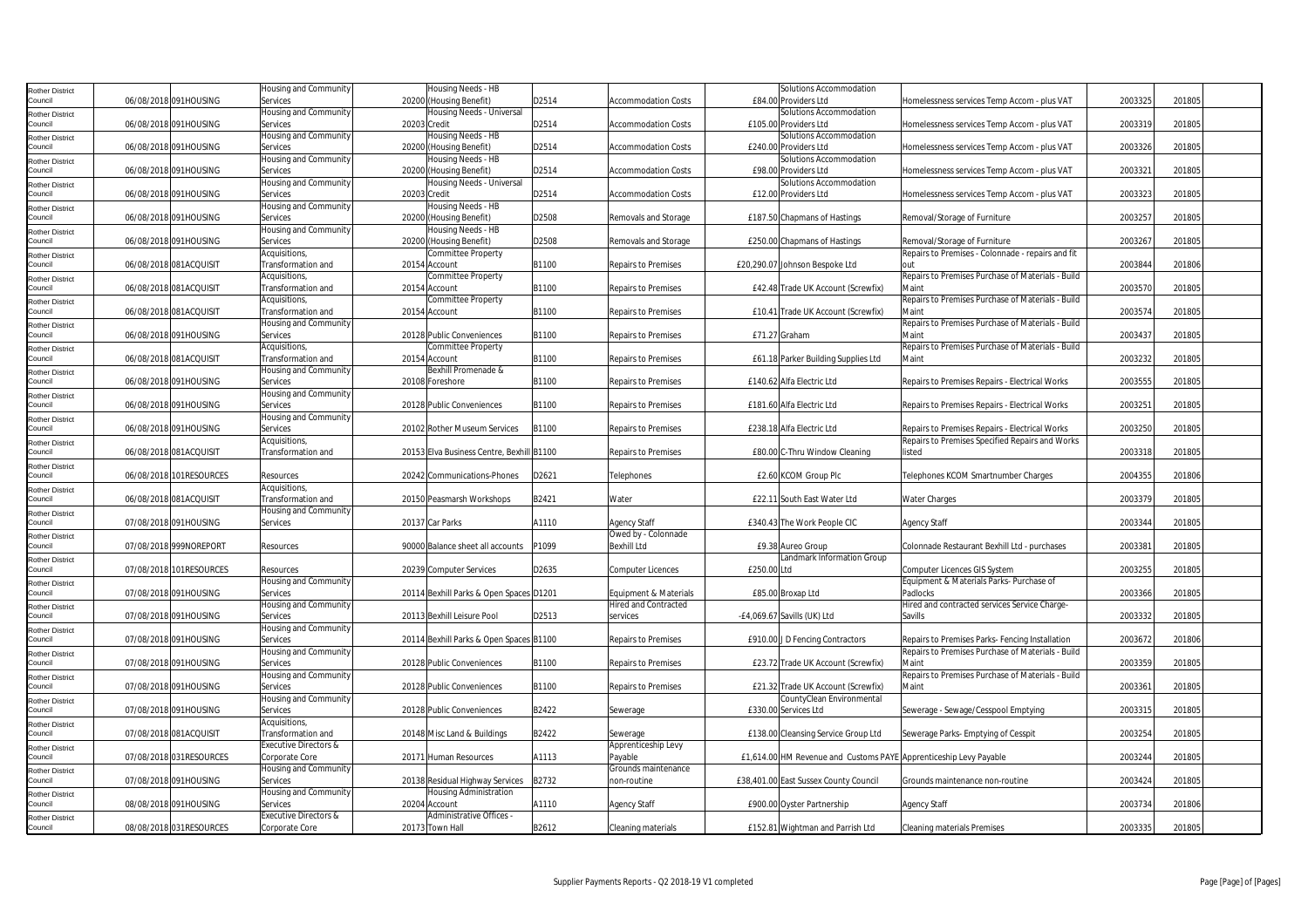| Rother District                   |                          | Housing and Community        | Housing Needs - HB                        |       |                             | Solutions Accommodation                                           |                                                   |         |        |
|-----------------------------------|--------------------------|------------------------------|-------------------------------------------|-------|-----------------------------|-------------------------------------------------------------------|---------------------------------------------------|---------|--------|
| Council                           | 06/08/2018 091HOUSING    | Services                     | 20200 (Housing Benefit)                   | D2514 | <b>Accommodation Costs</b>  | £84.00 Providers Ltd                                              | Homelessness services Temp Accom - plus VAT       | 2003325 | 201805 |
|                                   |                          | Housing and Community        | Housing Needs - Universal                 |       |                             | Solutions Accommodation                                           |                                                   |         |        |
| Rother District                   |                          |                              |                                           |       |                             |                                                                   |                                                   |         |        |
| Council                           | 06/08/2018 091HOUSING    | Services                     | 20203 Credit                              | D2514 | <b>Accommodation Costs</b>  | £105.00 Providers Ltd                                             | Homelessness services Temp Accom - plus VAT       | 2003319 | 201805 |
| Rother District                   |                          | Housing and Community        | Housing Needs - HB                        |       |                             | Solutions Accommodation                                           |                                                   |         |        |
| Council                           | 06/08/2018 091HOUSING    | Services                     | 20200 (Housing Benefit)                   | D2514 | <b>Accommodation Costs</b>  | £240.00 Providers Ltd                                             | Homelessness services Temp Accom - plus VAT       | 2003326 | 201805 |
| <b>Rother District</b>            |                          | Housing and Community        | Housing Needs - HB                        |       |                             | Solutions Accommodation                                           |                                                   |         |        |
| Council                           | 06/08/2018 091HOUSING    | Services                     | 20200 (Housing Benefit)                   | D2514 | <b>Accommodation Costs</b>  | £98.00 Providers Ltd                                              | Homelessness services Temp Accom - plus VAT       | 2003321 | 201805 |
|                                   |                          | <b>Housing and Community</b> | Housing Needs - Universal                 |       |                             | Solutions Accommodation                                           |                                                   |         |        |
| Rother District<br>Council        | 06/08/2018 091HOUSING    | Services                     | 20203 Credit                              | D2514 | <b>Accommodation Costs</b>  | £12.00 Providers Ltd                                              | Homelessness services Temp Accom - plus VAT       | 2003323 | 201805 |
|                                   |                          |                              |                                           |       |                             |                                                                   |                                                   |         |        |
| Rother District                   |                          | Housing and Community        | Housing Needs - HB                        |       |                             |                                                                   |                                                   |         |        |
| Council                           | 06/08/2018 091HOUSING    | Services                     | 20200 (Housing Benefit)                   | D2508 | Removals and Storage        | £187.50 Chapmans of Hastings                                      | Removal/Storage of Furniture                      | 2003257 | 201805 |
| <b>Rother District</b>            |                          | Housing and Community        | Housing Needs - HB                        |       |                             |                                                                   |                                                   |         |        |
| Council                           | 06/08/2018 091HOUSING    | Services                     | 20200 (Housing Benefit)                   | D2508 | Removals and Storage        | £250.00 Chapmans of Hastings                                      | Removal/Storage of Furniture                      | 2003267 | 201805 |
| <b>Rother District</b>            |                          | Acquisitions,                | Committee Property                        |       |                             |                                                                   | Repairs to Premises - Colonnade - repairs and fit |         |        |
| Council                           | 06/08/2018 081ACQUISIT   | Transformation and           | 20154 Account                             | B1100 | Repairs to Premises         | £20,290.07 Johnson Bespoke Ltd                                    | nut                                               | 2003844 | 201806 |
|                                   |                          | Acquisitions,                |                                           |       |                             |                                                                   | Repairs to Premises Purchase of Materials - Build |         |        |
| Rother District                   |                          |                              | Committee Property                        |       |                             |                                                                   |                                                   |         |        |
| Council                           | 06/08/2018 081ACQUISIT   | Transformation and           | 20154 Account                             | B1100 | <b>Repairs to Premises</b>  | £42.48 Trade UK Account (Screwfix)                                | Maint                                             | 2003570 | 201805 |
| Rother District                   |                          | Acquisitions,                | Committee Property                        |       |                             |                                                                   | Repairs to Premises Purchase of Materials - Build |         |        |
| Council                           | 06/08/2018 081ACQUISIT   | Transformation and           | 20154 Account                             | B1100 | Repairs to Premises         | £10.41 Trade UK Account (Screwfix)                                | Maint                                             | 2003574 | 201805 |
| Rother District                   |                          | Housing and Community        |                                           |       |                             |                                                                   | Repairs to Premises Purchase of Materials - Build |         |        |
| Council                           | 06/08/2018 091HOUSING    | Services                     | 20128 Public Conveniences                 | B1100 | Repairs to Premises         | £71.27 Graham                                                     | Maint                                             | 2003437 | 201805 |
|                                   |                          | Acquisitions,                | Committee Property                        |       |                             |                                                                   | Repairs to Premises Purchase of Materials - Build |         |        |
| <b>Rother District</b><br>Council | 06/08/2018 081ACQUISIT   | Transformation and           | 20154 Account                             | B1100 | <b>Repairs to Premises</b>  |                                                                   | Maint                                             | 2003232 | 201805 |
|                                   |                          |                              |                                           |       |                             | £61.18 Parker Building Supplies Ltd                               |                                                   |         |        |
| Rother District                   |                          | Housing and Community        | Bexhill Promenade &                       |       |                             |                                                                   |                                                   |         |        |
| Council                           | 06/08/2018 091HOUSING    | Services                     | 20108 Foreshore                           | B1100 | <b>Repairs to Premises</b>  | £140.62 Alfa Electric Ltd                                         | Repairs to Premises Repairs - Electrical Works    | 2003555 | 201805 |
| Rother District                   |                          | Housing and Community        |                                           |       |                             |                                                                   |                                                   |         |        |
| Council                           | 06/08/2018 091HOUSING    | Services                     | 20128 Public Conveniences                 | B1100 | Repairs to Premises         | £181.60 Alfa Electric Ltd                                         | Repairs to Premises Repairs - Electrical Works    | 2003251 | 201805 |
| Rother District                   |                          | Housing and Community        |                                           |       |                             |                                                                   |                                                   |         |        |
| Council                           | 06/08/2018 091HOUSING    | Services                     | 20102 Rother Museum Services              | B1100 | Repairs to Premises         | £238.18 Alfa Electric Ltd                                         | Repairs to Premises Repairs - Electrical Works    | 2003250 | 201805 |
|                                   |                          |                              |                                           |       |                             |                                                                   |                                                   |         |        |
| Rother District                   |                          | Acquisitions,                |                                           |       |                             |                                                                   | Repairs to Premises Specified Repairs and Works   |         |        |
| Council                           | 06/08/2018 081ACQUISIT   | Transformation and           | 20153 Elva Business Centre, Bexhill B1100 |       | <b>Repairs to Premises</b>  | £80.00 C-Thru Window Cleaning                                     | listed                                            | 2003318 | 201805 |
| Rother District                   |                          |                              |                                           |       |                             |                                                                   |                                                   |         |        |
| Council                           | 06/08/2018 101RESOURCES  | Resources                    | 20242 Communications-Phones               | D2621 | Telephones                  | £2.60 KCOM Group Plc                                              | Telephones KCOM Smartnumber Charges               | 2004355 | 201806 |
| <b>Rother District</b>            |                          | Acquisitions,                |                                           |       |                             |                                                                   |                                                   |         |        |
| Council                           | 06/08/2018 081ACQUISIT   | Transformation and           | 20150 Peasmarsh Workshops                 | B2421 | Water                       | £22.11 South East Water Ltd                                       | <b>Water Charges</b>                              | 2003379 | 201805 |
|                                   |                          | Housing and Community        |                                           |       |                             |                                                                   |                                                   |         |        |
| Rother District<br>Council        | 07/08/2018 091HOUSING    | Services                     | 20137 Car Parks                           | A1110 | <b>Agency Staff</b>         | £340.43 The Work People CIC                                       | Agency Staff                                      | 2003344 | 201805 |
|                                   |                          |                              |                                           |       |                             |                                                                   |                                                   |         |        |
| <b>Rother District</b>            |                          |                              |                                           |       | Owed by - Colonnade         |                                                                   |                                                   |         |        |
| Council                           | 07/08/2018 999NOREPORT   | Resources                    | 90000 Balance sheet all accounts          | P1099 | <b>Bexhill Ltd</b>          | £9.38 Aureo Group                                                 | Colonnade Restaurant Bexhill Ltd - purchases      | 2003381 | 201805 |
| Rother District                   |                          |                              |                                           |       |                             | Landmark Information Group                                        |                                                   |         |        |
| Council                           | 07/08/2018 101RESOURCES  | Resources                    | 20239 Computer Services                   | D2635 | <b>Computer Licences</b>    | £250.00 Ltd                                                       | Computer Licences GIS System                      | 2003255 | 201805 |
| Rother District                   |                          | Housing and Community        |                                           |       |                             |                                                                   | Equipment & Materials Parks- Purchase of          |         |        |
| Council                           | 07/08/2018 091HOUSING    | Services                     | 20114 Bexhill Parks & Open Spaces D1201   |       | Equipment & Materials       | £85.00 Broxap Ltd                                                 | Padlocks                                          | 2003366 | 201805 |
|                                   |                          | Housing and Community        |                                           |       | <b>Hired and Contracted</b> |                                                                   | Hired and contracted services Service Charge-     |         |        |
| <b>Rother District</b>            | 07/08/2018 091HOUSING    | Services                     | 20113 Bexhill Leisure Pool                | D2513 |                             | -£4,069.67 Savills (UK) Ltd                                       | Savills                                           | 2003332 | 201805 |
| Council                           |                          |                              |                                           |       | services                    |                                                                   |                                                   |         |        |
| <b>Rother District</b>            |                          | Housing and Community        |                                           |       |                             |                                                                   |                                                   |         |        |
| Council                           | 07/08/2018 091HOUSING    | Services                     | 20114 Bexhill Parks & Open Spaces B1100   |       | <b>Repairs to Premises</b>  | £910.00 J D Fencing Contractors                                   | Repairs to Premises Parks- Fencing Installation   | 2003672 | 201806 |
| Rother District                   |                          | Housing and Community        |                                           |       |                             |                                                                   | Repairs to Premises Purchase of Materials - Build |         |        |
| Council                           | 07/08/2018 091HOUSING    | Services                     | 20128 Public Conveniences                 | B1100 | <b>Repairs to Premises</b>  | £23.72 Trade UK Account (Screwfix)                                | Maint                                             | 2003359 | 201805 |
| Rother District                   |                          | lousing and Community        |                                           |       |                             |                                                                   | Repairs to Premises Purchase of Materials - Build |         |        |
| Council                           | 07/08/2018 091HOUSING    | Services                     | 20128 Public Conveniences                 | B1100 | Repairs to Premises         | £21.32 Trade UK Account (Screwfix)                                | Maint                                             | 2003361 | 201805 |
|                                   |                          |                              |                                           |       |                             |                                                                   |                                                   |         |        |
| Rother District                   |                          | Housing and Community        |                                           |       |                             | CountyClean Environmental                                         |                                                   |         |        |
| Council                           | 07/08/2018 091HOUSING    | Services                     | 20128 Public Conveniences                 | B2422 | Sewerage                    | £330.00 Services Ltd                                              | Sewerage - Sewage/Cesspool Emptying               | 2003315 | 201805 |
| Rother District                   |                          | Acquisitions,                |                                           |       |                             |                                                                   |                                                   |         |        |
| Council                           | 07/08/2018 081ACQUISIT   | Transformation and           | 20148 Misc Land & Buildings               | B2422 | Sewerage                    | £138.00 Cleansing Service Group Ltd                               | Sewerage Parks- Emptying of Cesspit               | 2003254 | 201805 |
| <b>Rother District</b>            |                          | Executive Directors &        |                                           |       | Apprenticeship Levy         |                                                                   |                                                   |         |        |
| Council                           | 07/08/2018 031 RESOURCES | Corporate Core               | 20171 Human Resources                     | A1113 | Payable                     | £1,614.00 HM Revenue and Customs PAYE Apprenticeship Levy Payable |                                                   | 2003244 | 201805 |
|                                   |                          | Housing and Community        |                                           |       | Grounds maintenance         |                                                                   |                                                   |         |        |
| <b>Rother District</b>            | 07/08/2018 091HOUSING    | Services                     |                                           | B2732 | non-routine                 | £38,401.00 East Sussex County Council                             | Grounds maintenance non-routine                   | 2003424 | 201805 |
| Council                           |                          |                              | 20138 Residual Highway Services           |       |                             |                                                                   |                                                   |         |        |
| Rother District                   |                          | Housing and Community        | Housing Administration                    |       |                             |                                                                   |                                                   |         |        |
| Council                           | 08/08/2018 091HOUSING    | Services                     | 20204 Account                             | A1110 | <b>Agency Staff</b>         | £900.00 Oyster Partnership                                        | <b>Agency Staff</b>                               | 2003734 | 201806 |
| Rother District                   |                          | Executive Directors &        | Administrative Offices -                  |       |                             |                                                                   |                                                   |         |        |
| Council                           | 08/08/2018 031 RESOURCES | Corporate Core               | 20173 Town Hall                           | B2612 | Cleaning materials          | £152.81 Wightman and Parrish Ltd                                  | <b>Cleaning materials Premises</b>                | 2003335 | 201805 |
|                                   |                          |                              |                                           |       |                             |                                                                   |                                                   |         |        |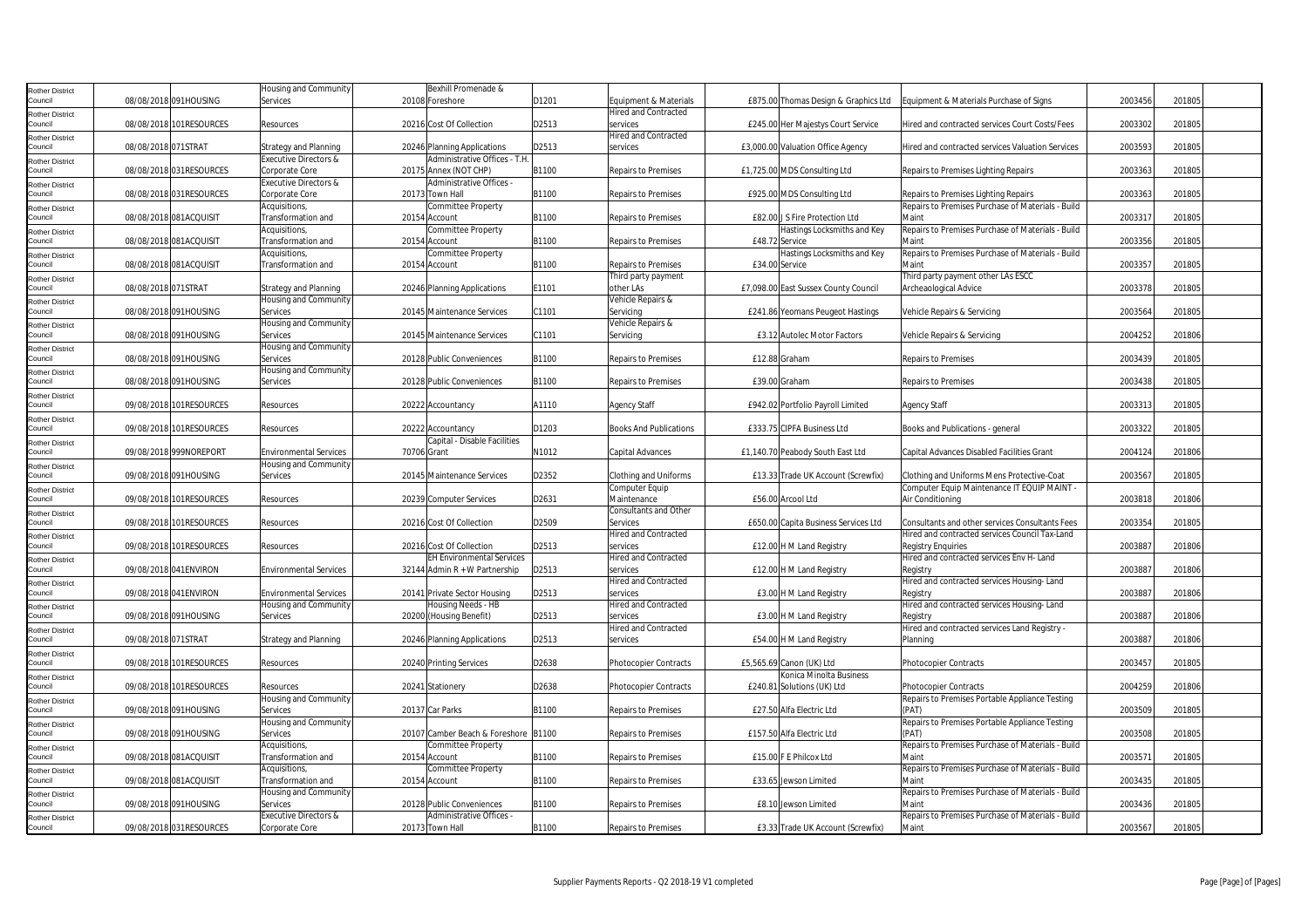| Rother District        |                     |                         | Housing and Community            | Bexhill Promenade &                  |       |                               |                |                                      |                                                   |         |        |  |
|------------------------|---------------------|-------------------------|----------------------------------|--------------------------------------|-------|-------------------------------|----------------|--------------------------------------|---------------------------------------------------|---------|--------|--|
| Council                |                     | 08/08/2018 091HOUSING   | Services                         | 20108 Foreshore                      | D1201 | Equipment & Materials         |                | £875.00 Thomas Design & Graphics Ltd | Equipment & Materials Purchase of Signs           | 2003456 | 201805 |  |
| <b>Rother District</b> |                     |                         |                                  |                                      |       | <b>Hired and Contracted</b>   |                |                                      |                                                   |         |        |  |
| Council                |                     | 08/08/2018 101RESOURCES | Resources                        | 20216 Cost Of Collection             | D2513 | services                      |                | £245.00 Her Majestys Court Service   | Hired and contracted services Court Costs/Fees    | 2003302 | 201805 |  |
| Rother District        |                     |                         |                                  |                                      |       | <b>Hired and Contracted</b>   |                |                                      |                                                   |         |        |  |
| Council                | 08/08/2018 071STRAT |                         | Strategy and Planning            | 20246 Planning Applications          | D2513 | services                      |                | £3,000.00 Valuation Office Agency    | Hired and contracted services Valuation Services  | 2003593 | 201805 |  |
| Rother District        |                     |                         | <b>Executive Directors &amp;</b> | Administrative Offices - T.H.        |       |                               |                |                                      |                                                   |         |        |  |
| Council                |                     | 08/08/2018 031RESOURCES | Corporate Core                   | 20175 Annex (NOT CHP)                | B1100 | <b>Repairs to Premises</b>    |                | £1,725.00 MDS Consulting Ltd         | Repairs to Premises Lighting Repairs              | 2003363 | 201805 |  |
| <b>Rother District</b> |                     |                         | Executive Directors &            | Administrative Offices -             |       |                               |                |                                      |                                                   |         |        |  |
| Council                |                     | 08/08/2018 031RESOURCES | Corporate Core                   | 20173 Town Hall                      | B1100 | <b>Repairs to Premises</b>    |                | £925.00 MDS Consulting Ltd           | Repairs to Premises Lighting Repairs              | 2003363 | 201805 |  |
| Rother District        |                     |                         | Acquisitions,                    | Committee Property                   |       |                               |                |                                      | Repairs to Premises Purchase of Materials - Build |         |        |  |
| Council                |                     | 08/08/2018 081ACQUISIT  | Transformation and               | 20154 Account                        | B1100 | <b>Repairs to Premises</b>    |                | £82.00 J S Fire Protection Ltd       | Maint                                             | 2003317 | 201805 |  |
| Rother District        |                     |                         | Acquisitions.                    | <b>Committee Property</b>            |       |                               |                | Hastings Locksmiths and Key          | Repairs to Premises Purchase of Materials - Build |         |        |  |
| Council                |                     | 08/08/2018 081ACQUISIT  | Transformation and               | 20154 Account                        | B1100 | <b>Repairs to Premises</b>    | £48.72 Service |                                      | Maint                                             | 2003356 | 201805 |  |
| <b>Rother District</b> |                     |                         | Acquisitions,                    | Committee Property                   |       |                               |                | Hastings Locksmiths and Key          | Repairs to Premises Purchase of Materials - Build |         |        |  |
| Council                |                     | 08/08/2018 081ACQUISIT  | Transformation and               | 20154 Account                        | B1100 | <b>Repairs to Premises</b>    | £34.00 Service |                                      | Maint                                             | 2003357 | 201805 |  |
| Rother District        |                     |                         |                                  |                                      |       | Third party payment           |                |                                      | Third party payment other LAs ESCC                |         |        |  |
| Council                | 08/08/2018 071STRAT |                         | <b>Strategy and Planning</b>     | 20246 Planning Applications          | E1101 | other LAs                     |                | £7,098.00 East Sussex County Council | Archeaological Advice                             | 2003378 | 201805 |  |
| Rother District        |                     |                         | Housing and Community            |                                      |       | Vehicle Repairs &             |                |                                      |                                                   |         |        |  |
| Council                |                     | 08/08/2018 091HOUSING   | Services                         | 20145 Maintenance Services           | C1101 | Servicing                     |                | £241.86 Yeomans Peugeot Hastings     | Vehicle Repairs & Servicing                       | 2003564 | 201805 |  |
| Rother District        |                     |                         | Housing and Community            |                                      |       | Vehicle Repairs &             |                |                                      |                                                   |         |        |  |
| Council                |                     | 08/08/2018 091HOUSING   | Services                         | 20145 Maintenance Services           | C1101 | Servicing                     |                | £3.12 Autolec Motor Factors          | Vehicle Repairs & Servicing                       | 2004252 | 201806 |  |
| Rother District        |                     |                         | Housing and Community            |                                      |       |                               |                |                                      |                                                   |         |        |  |
| Council                |                     | 08/08/2018 091HOUSING   | Services                         | 20128 Public Conveniences            | B1100 | <b>Repairs to Premises</b>    |                | £12.88 Graham                        | Repairs to Premises                               | 2003439 | 201805 |  |
| Rother District        |                     |                         | Housing and Community            |                                      |       |                               |                |                                      |                                                   |         |        |  |
| Council                |                     | 08/08/2018 091HOUSING   | Services                         | 20128 Public Conveniences            | B1100 | <b>Repairs to Premises</b>    |                | £39.00 Graham                        | Repairs to Premises                               | 2003438 | 201805 |  |
| Rother District        |                     |                         |                                  |                                      |       |                               |                |                                      |                                                   |         |        |  |
| Council                |                     | 09/08/2018 101RESOURCES | Resources                        | 20222 Accountancy                    | A1110 | <b>Agency Staff</b>           |                | £942.02 Portfolio Payroll Limited    | <b>Agency Staff</b>                               | 2003313 | 201805 |  |
| Rother District        |                     |                         |                                  |                                      |       |                               |                |                                      |                                                   |         |        |  |
| Council                |                     | 09/08/2018 101RESOURCES | Resources                        | 20222 Accountancy                    | D1203 | <b>Books And Publications</b> |                | £333.75 CIPFA Business Ltd           | Books and Publications - general                  | 2003322 | 201805 |  |
| Rother District        |                     |                         |                                  | Capital - Disable Facilities         |       |                               |                |                                      |                                                   |         |        |  |
| Council                |                     | 09/08/2018 999NOREPORT  | <b>Environmental Services</b>    | 70706 Grant                          | N1012 | Capital Advances              |                | £1,140.70 Peabody South East Ltd     | Capital Advances Disabled Facilities Grant        | 2004124 | 201806 |  |
| Rother District        |                     |                         | Housing and Community            |                                      |       |                               |                |                                      |                                                   |         |        |  |
| Council                |                     | 09/08/2018 091HOUSING   | Services                         | 20145 Maintenance Services           | D2352 | Clothing and Uniforms         |                | £13.33 Trade UK Account (Screwfix)   | Clothing and Uniforms Mens Protective-Coat        | 2003567 | 201805 |  |
| Rother District        |                     |                         |                                  |                                      |       | Computer Equip                |                |                                      | Computer Equip Maintenance IT EQUIP MAINT         |         |        |  |
| Council                |                     | 09/08/2018 101RESOURCES | Resources                        | 20239 Computer Services              | D2631 | Maintenance                   |                | £56.00 Arcool Ltd                    | Air Conditioning                                  | 2003818 | 201806 |  |
| Rother District        |                     |                         |                                  |                                      |       | Consultants and Other         |                |                                      |                                                   |         |        |  |
| Council                |                     | 09/08/2018 101RESOURCES | Resources                        | 20216 Cost Of Collection             | D2509 | Services                      |                | £650.00 Capita Business Services Ltd | Consultants and other services Consultants Fees   | 2003354 | 201805 |  |
| <b>Rother District</b> |                     |                         |                                  |                                      |       | <b>Hired and Contracted</b>   |                |                                      | Hired and contracted services Council Tax-Land    |         |        |  |
| Council                |                     | 09/08/2018 101RESOURCES | Resources                        | 20216 Cost Of Collection             | D2513 | services                      |                | £12.00 H M Land Registry             | <b>Registry Enquiries</b>                         | 2003887 | 201806 |  |
| Rother District        |                     |                         |                                  | <b>EH Environmental Services</b>     |       | <b>Hired and Contracted</b>   |                |                                      | Hired and contracted services Env H- Land         |         |        |  |
| Council                |                     | 09/08/2018 041ENVIRON   | <b>Environmental Services</b>    | 32144 Admin $R + W$ Partnership      | D2513 | services                      |                | £12.00 H M Land Registry             | Registry                                          | 2003887 | 201806 |  |
| Rother District        |                     |                         |                                  |                                      |       | <b>Hired and Contracted</b>   |                |                                      | Hired and contracted services Housing-Land        |         |        |  |
| Council                |                     | 09/08/2018 041ENVIRON   | <b>Environmental Services</b>    | 20141 Private Sector Housing         | D2513 | services                      |                | £3.00 H M Land Registry              | Registry                                          | 2003887 | 201806 |  |
| Rother District        |                     |                         | Housing and Community            | Housing Needs - HB                   |       | Hired and Contracted          |                |                                      | Hired and contracted services Housing-Land        |         |        |  |
| Council                |                     | 09/08/2018 091HOUSING   | Services                         | 20200 (Housing Benefit)              | D2513 | services                      |                | £3.00 H M Land Registry              | Registry                                          | 2003887 | 201806 |  |
| Rother District        |                     |                         |                                  |                                      |       | <b>Hired and Contracted</b>   |                |                                      | Hired and contracted services Land Registry -     |         |        |  |
| Council                | 09/08/2018 071STRAT |                         | <b>Strategy and Planning</b>     | 20246 Planning Applications          | D2513 | services                      |                | £54.00 H M Land Registry             | Planning                                          | 2003887 | 201806 |  |
| Rother District        |                     |                         |                                  |                                      |       |                               |                |                                      |                                                   |         |        |  |
| Council                |                     | 09/08/2018 101RESOURCES | Resources                        | 20240 Printing Services              | D2638 | <b>Photocopier Contracts</b>  |                | £5.565.69 Canon (UK) Ltd             | <b>Photocopier Contracts</b>                      | 2003457 | 201805 |  |
| Rother District        |                     |                         |                                  |                                      |       |                               |                | Konica Minolta Business              |                                                   |         |        |  |
| Council                |                     | 09/08/2018 101RESOURCES | Resources                        | 20241 Stationery                     | D2638 | <b>Photocopier Contracts</b>  |                | £240.81 Solutions (UK) Ltd           | <b>Photocopier Contracts</b>                      | 2004259 | 201806 |  |
| Rother District        |                     |                         | Housing and Community            |                                      |       |                               |                |                                      | Repairs to Premises Portable Appliance Testing    |         |        |  |
| Council                |                     | 09/08/2018 091HOUSING   | Services                         | 20137 Car Parks                      | B1100 | <b>Repairs to Premises</b>    |                | £27.50 Alfa Electric Ltd             | (PAT)                                             | 2003509 | 201805 |  |
| <b>Rother District</b> |                     |                         | Housing and Community            |                                      |       |                               |                |                                      | Repairs to Premises Portable Appliance Testing    |         |        |  |
| Council                |                     | 09/08/2018 091HOUSING   | Services                         | 20107 Camber Beach & Foreshore B1100 |       | <b>Repairs to Premises</b>    |                | £157.50 Alfa Electric Ltd            | (PAT)                                             | 2003508 | 201805 |  |
| Rother District        |                     |                         | Acquisitions,                    | Committee Property                   |       |                               |                |                                      | Repairs to Premises Purchase of Materials - Build |         |        |  |
| Council                |                     | 09/08/2018 081ACQUISIT  | Transformation and               | 20154 Account                        | B1100 | <b>Repairs to Premises</b>    |                | £15.00 F E Philcox Ltd               | Maint                                             | 2003571 | 201805 |  |
| Rother District        |                     |                         | Acquisitions,                    | Committee Property                   |       |                               |                |                                      | Repairs to Premises Purchase of Materials - Build |         |        |  |
| Council                |                     | 09/08/2018 081ACQUISIT  | Transformation and               | 20154 Account                        | B1100 | <b>Repairs to Premises</b>    |                | £33.65 Jewson Limited                | Maint                                             | 2003435 | 201805 |  |
| Rother District        |                     |                         | Housing and Community            |                                      |       |                               |                |                                      | Repairs to Premises Purchase of Materials - Build |         |        |  |
| Council                |                     | 09/08/2018 091HOUSING   | Services                         | 20128 Public Conveniences            | B1100 | <b>Repairs to Premises</b>    |                | £8.10 Jewson Limited                 | Maint                                             | 2003436 | 201805 |  |
| Rother District        |                     |                         | Executive Directors &            | Administrative Offices -             |       |                               |                |                                      | Repairs to Premises Purchase of Materials - Build |         |        |  |
| Council                |                     | 09/08/2018 031RESOURCES | Corporate Core                   | 20173 Town Hall                      | B1100 | <b>Repairs to Premises</b>    |                | £3.33 Trade UK Account (Screwfix)    | Maint                                             | 2003567 | 201805 |  |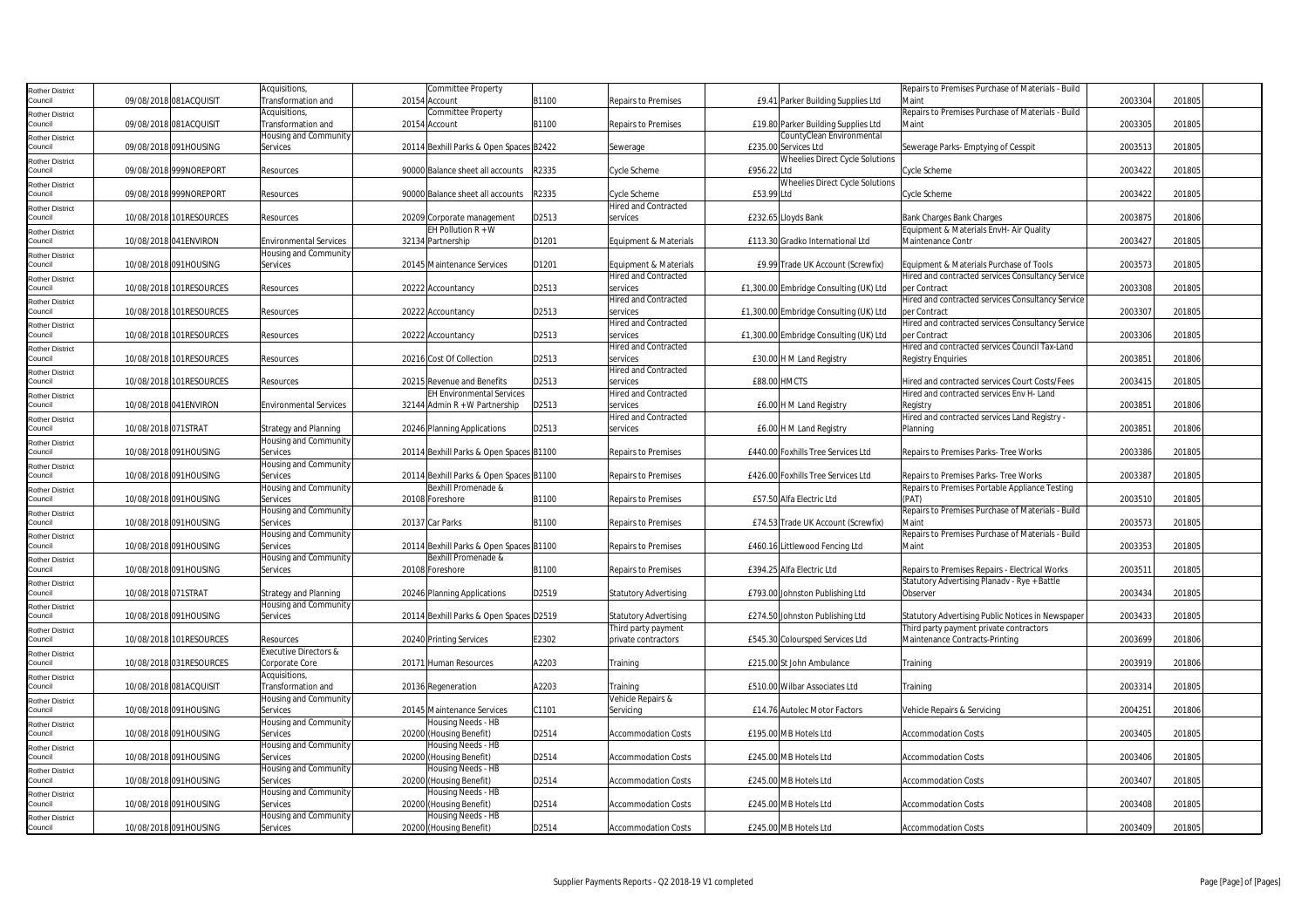| <b>Rother District</b>            |                     |                         | Acquisitions,                 | <b>Committee Property</b>               |       |                              |                                        | Repairs to Premises Purchase of Materials - Build |         |        |
|-----------------------------------|---------------------|-------------------------|-------------------------------|-----------------------------------------|-------|------------------------------|----------------------------------------|---------------------------------------------------|---------|--------|
| Council                           |                     | 09/08/2018 081ACQUISIT  | Transformation and            | 20154 Account                           | B1100 | <b>Repairs to Premises</b>   | £9.41 Parker Building Supplies Ltd     | Maint                                             | 2003304 | 201805 |
|                                   |                     |                         | Acquisitions,                 | <b>Committee Property</b>               |       |                              |                                        | Repairs to Premises Purchase of Materials - Build |         |        |
| <b>Rother District</b><br>Council |                     | 09/08/2018 081ACQUISIT  | Transformation and            | 20154 Account                           | B1100 | Repairs to Premises          | £19.80 Parker Building Supplies Ltd    | Maint                                             | 2003305 | 201805 |
|                                   |                     |                         |                               |                                         |       |                              |                                        |                                                   |         |        |
| <b>Rother District</b>            |                     |                         | Housing and Community         |                                         |       |                              | CountyClean Environmental              |                                                   |         |        |
| Council                           |                     | 09/08/2018 091HOUSING   | Services                      | 20114 Bexhill Parks & Open Spaces B2422 |       | Sewerage                     | £235.00 Services Ltd                   | Sewerage Parks- Emptying of Cesspit               | 2003513 | 201805 |
| <b>Rother District</b>            |                     |                         |                               |                                         |       |                              | <b>Wheelies Direct Cycle Solutions</b> |                                                   |         |        |
| Council                           |                     | 09/08/2018 999NOREPORT  | Resources                     | 90000 Balance sheet all accounts        | R2335 | Cycle Scheme                 | £956.22 Ltd                            | Cycle Scheme                                      | 2003422 | 201805 |
| <b>Rother District</b>            |                     |                         |                               |                                         |       |                              | <b>Wheelies Direct Cycle Solutions</b> |                                                   |         |        |
| Council                           |                     | 09/08/2018 999NOREPORT  | Resources                     | 90000 Balance sheet all accounts        | R2335 | Cycle Scheme                 | £53.99 Ltd                             | Cycle Scheme                                      | 2003422 | 201805 |
| <b>Rother District</b>            |                     |                         |                               |                                         |       | <b>Hired and Contracted</b>  |                                        |                                                   |         |        |
| Council                           |                     | 10/08/2018 101RESOURCES | Resources                     | 20209 Corporate management              | D2513 | services                     | £232.65 Lloyds Bank                    | <b>Bank Charges Bank Charges</b>                  | 2003875 | 201806 |
| <b>Rother District</b>            |                     |                         |                               | EH Pollution $R + W$                    |       |                              |                                        | Equipment & Materials EnvH- Air Quality           |         |        |
| Council                           |                     | 10/08/2018 041 ENVIRON  | <b>Environmental Services</b> | 32134 Partnership                       | D1201 | Equipment & Materials        | £113.30 Gradko International Ltd       | Maintenance Contr                                 | 2003427 | 201805 |
|                                   |                     |                         | Housing and Community         |                                         |       |                              |                                        |                                                   |         |        |
| <b>Rother District</b>            |                     |                         |                               |                                         |       |                              |                                        |                                                   |         |        |
| Council                           |                     | 10/08/2018 091HOUSING   | Services                      | 20145 Maintenance Services              | D1201 | Equipment & Materials        | £9.99 Trade UK Account (Screwfix)      | Equipment & Materials Purchase of Tools           | 2003573 | 201805 |
| <b>Rother District</b>            |                     |                         |                               |                                         |       | <b>Hired and Contracted</b>  |                                        | Hired and contracted services Consultancy Service |         |        |
| Council                           |                     | 10/08/2018 101RESOURCES | Resources                     | 20222 Accountancy                       | D2513 | services                     | £1,300.00 Embridge Consulting (UK) Ltd | per Contract                                      | 2003308 | 201805 |
| <b>Rother District</b>            |                     |                         |                               |                                         |       | <b>Hired and Contracted</b>  |                                        | Hired and contracted services Consultancy Service |         |        |
| Council                           |                     | 10/08/2018 101RESOURCES | Resources                     | 20222 Accountancy                       | D2513 | services                     | £1,300.00 Embridge Consulting (UK) Ltd | per Contract                                      | 2003307 | 201805 |
| <b>Rother District</b>            |                     |                         |                               |                                         |       | Hired and Contracted         |                                        | Hired and contracted services Consultancy Service |         |        |
| Council                           |                     | 10/08/2018 101RESOURCES | Resources                     | 20222 Accountancy                       | D2513 | services                     | £1,300.00 Embridge Consulting (UK) Ltd | per Contract                                      | 2003306 | 201805 |
| <b>Rother District</b>            |                     |                         |                               |                                         |       | <b>Hired and Contracted</b>  |                                        | Hired and contracted services Council Tax-Land    |         |        |
| Council                           |                     | 10/08/2018 101RESOURCES | Resources                     | 20216 Cost Of Collection                | D2513 | services                     | £30.00 H M Land Registry               | <b>Registry Enquiries</b>                         | 2003851 | 201806 |
|                                   |                     |                         |                               |                                         |       | <b>Hired and Contracted</b>  |                                        |                                                   |         |        |
| <b>Rother District</b><br>Council |                     | 10/08/2018 101RESOURCES | Resources                     | 20215 Revenue and Benefits              | D2513 | services                     | <b>£88.00 HMCTS</b>                    | Hired and contracted services Court Costs/Fees    | 2003415 | 201805 |
|                                   |                     |                         |                               | <b>EH Environmental Services</b>        |       | <b>Hired and Contracted</b>  |                                        | Hired and contracted services Env H- Land         |         |        |
| <b>Rother District</b>            |                     |                         |                               |                                         |       |                              |                                        |                                                   |         |        |
| Council                           |                     | 10/08/2018 041 ENVIRON  | <b>Environmental Services</b> | 32144 Admin R + W Partnership           | D2513 | services                     | £6.00 H M Land Registry                | Registry                                          | 2003851 | 201806 |
| <b>Rother District</b>            |                     |                         |                               |                                         |       | <b>Hired and Contracted</b>  |                                        | Hired and contracted services Land Registry -     |         |        |
| Council                           | 10/08/2018 071STRAT |                         | <b>Strategy and Planning</b>  | 20246 Planning Applications             | D2513 | services                     | £6.00 H M Land Registry                | Planning                                          | 2003851 | 201806 |
| <b>Rother District</b>            |                     |                         | Housing and Community         |                                         |       |                              |                                        |                                                   |         |        |
| Council                           |                     | 10/08/2018 091HOUSING   | Services                      | 20114 Bexhill Parks & Open Spaces B1100 |       | <b>Repairs to Premises</b>   | £440.00 Foxhills Tree Services Ltd     | Repairs to Premises Parks- Tree Works             | 2003386 | 201805 |
| <b>Rother District</b>            |                     |                         | Housing and Community         |                                         |       |                              |                                        |                                                   |         |        |
| Council                           |                     | 10/08/2018 091HOUSING   | Services                      | 20114 Bexhill Parks & Open Spaces B1100 |       | <b>Repairs to Premises</b>   | £426.00 Foxhills Tree Services Ltd     | Repairs to Premises Parks- Tree Works             | 2003387 | 201805 |
| <b>Rother District</b>            |                     |                         | Housing and Community         | Bexhill Promenade &                     |       |                              |                                        | Repairs to Premises Portable Appliance Testing    |         |        |
| Council                           |                     | 10/08/2018 091HOUSING   | Services                      | 20108 Foreshore                         | B1100 | <b>Repairs to Premises</b>   | £57.50 Alfa Electric Ltd               | (PAT)                                             | 2003510 | 201805 |
|                                   |                     |                         | Housing and Community         |                                         |       |                              |                                        | Repairs to Premises Purchase of Materials - Build |         |        |
| <b>Rother District</b><br>Council |                     | 10/08/2018 091HOUSING   | Services                      | 20137 Car Parks                         | B1100 | Repairs to Premises          | £74.53 Trade UK Account (Screwfix)     | Maint                                             | 2003573 | 201805 |
|                                   |                     |                         |                               |                                         |       |                              |                                        |                                                   |         |        |
| <b>Rother District</b>            |                     |                         | Housing and Community         |                                         |       |                              |                                        | Repairs to Premises Purchase of Materials - Build |         |        |
| Council                           |                     | 10/08/2018 091HOUSING   | Services                      | 20114 Bexhill Parks & Open Spaces B1100 |       | <b>Repairs to Premises</b>   | £460.16 Littlewood Fencing Ltd         | Maint                                             | 2003353 | 201805 |
| <b>Rother District</b>            |                     |                         | Housing and Community         | Bexhill Promenade &                     |       |                              |                                        |                                                   |         |        |
| Council                           |                     | 10/08/2018 091HOUSING   | Services                      | 20108 Foreshore                         | B1100 | <b>Repairs to Premises</b>   | £394.25 Alfa Electric Ltd              | Repairs to Premises Repairs - Electrical Works    | 2003511 | 201805 |
| <b>Rother District</b>            |                     |                         |                               |                                         |       |                              |                                        | Statutory Advertising Planadv - Rye + Battle      |         |        |
| Council                           | 10/08/2018 071STRAT |                         | <b>Strategy and Planning</b>  | 20246 Planning Applications             | D2519 | <b>Statutory Advertising</b> | £793.00 Johnston Publishing Ltd        | Observer                                          | 2003434 | 201805 |
| <b>Rother District</b>            |                     |                         | Housing and Community         |                                         |       |                              |                                        |                                                   |         |        |
| Council                           |                     | 10/08/2018 091HOUSING   | Services                      | 20114 Bexhill Parks & Open Spaces D2519 |       | Statutory Advertising        | £274.50 Johnston Publishing Ltd        | Statutory Advertising Public Notices in Newspaper | 2003433 | 201805 |
| <b>Rother District</b>            |                     |                         |                               |                                         |       | Third party payment          |                                        | Third party payment private contractors           |         |        |
| Council                           |                     | 10/08/2018 101RESOURCES | Resources                     | 20240 Printing Services                 | E2302 | private contractors          | £545.30 Coloursped Services Ltd        | Maintenance Contracts-Printing                    | 2003699 | 201806 |
| <b>Rother District</b>            |                     |                         | Executive Directors &         |                                         |       |                              |                                        |                                                   |         |        |
| Council                           |                     | 10/08/2018 031RESOURCES | Corporate Core                | 20171 Human Resources                   | A2203 | Training                     | £215.00 St John Ambulance              | Training                                          | 2003919 | 201806 |
|                                   |                     |                         | Acquisitions,                 |                                         |       |                              |                                        |                                                   |         |        |
| <b>Rother District</b>            |                     |                         |                               |                                         |       |                              |                                        |                                                   |         |        |
| Council                           |                     | 10/08/2018 081ACQUISIT  | Transformation and            | 20136 Regeneration                      | A2203 | Training                     | £510.00 Wilbar Associates Ltd          | Training                                          | 2003314 | 201805 |
| <b>Rother District</b>            |                     |                         | Housing and Community         |                                         |       | <b>Vehicle Repairs &amp;</b> |                                        |                                                   |         |        |
| Council                           |                     | 10/08/2018 091HOUSING   | Services                      | 20145 Maintenance Services              | C1101 | Servicing                    | £14.76 Autolec Motor Factors           | Vehicle Repairs & Servicing                       | 2004251 | 201806 |
| <b>Rother District</b>            |                     |                         | Housing and Community         | Housing Needs - HB                      |       |                              |                                        |                                                   |         |        |
| Council                           |                     | 10/08/2018 091HOUSING   | Services                      | 20200 (Housing Benefit)                 | D2514 | <b>Accommodation Costs</b>   | £195.00 MB Hotels Ltd                  | <b>Accommodation Costs</b>                        | 2003405 | 201805 |
| <b>Rother District</b>            |                     |                         | Housing and Community         | Housing Needs - HB                      |       |                              |                                        |                                                   |         |        |
| Council                           |                     | 10/08/2018 091HOUSING   | Services                      | 20200 (Housing Benefit)                 | D2514 | <b>Accommodation Costs</b>   | £245.00 MB Hotels Ltd                  | <b>Accommodation Costs</b>                        | 2003406 | 201805 |
| Rother District                   |                     |                         | Housing and Community         | Housing Needs - HB                      |       |                              |                                        |                                                   |         |        |
| Council                           |                     | 10/08/2018 091HOUSING   | Services                      | 20200 (Housing Benefit)                 | D2514 | <b>Accommodation Costs</b>   | £245.00 MB Hotels Ltd                  | <b>Accommodation Costs</b>                        | 2003407 | 201805 |
| <b>Rother District</b>            |                     |                         | Housing and Community         | Housing Needs - HB                      |       |                              |                                        |                                                   |         |        |
| Council                           |                     | 10/08/2018 091HOUSING   | Services                      | 20200 (Housing Benefit)                 | D2514 | <b>Accommodation Costs</b>   | £245.00 MB Hotels Ltd                  | <b>Accommodation Costs</b>                        | 2003408 | 201805 |
|                                   |                     |                         | Housing and Community         | Housing Needs - HB                      |       |                              |                                        |                                                   |         |        |
| <b>Rother District</b>            |                     |                         |                               |                                         | D2514 |                              |                                        |                                                   | 2003409 | 201805 |
| Council                           |                     | 10/08/2018 091HOUSING   | Services                      | 20200 (Housing Benefit)                 |       | Accommodation Costs          | £245.00 MB Hotels Ltd                  | <b>Accommodation Costs</b>                        |         |        |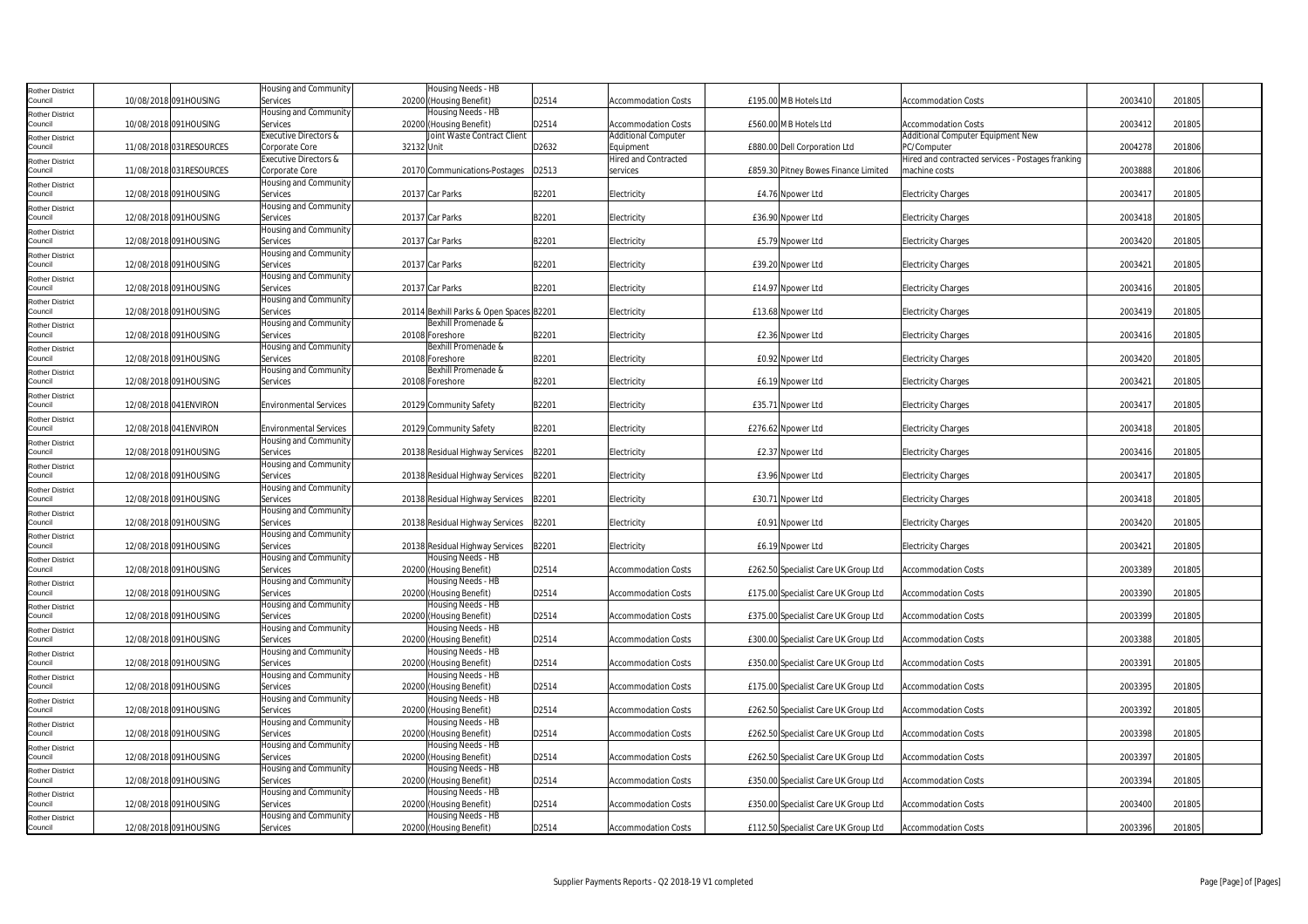| <b>Rother District</b>            |                         | Housing and Community             |            | Housing Needs - HB                            |       |                            |                                      |                                                   |         |        |
|-----------------------------------|-------------------------|-----------------------------------|------------|-----------------------------------------------|-------|----------------------------|--------------------------------------|---------------------------------------------------|---------|--------|
| Council                           | 10/08/2018 091HOUSING   | Services                          |            | 20200 (Housing Benefit)                       | D2514 | <b>Accommodation Costs</b> | £195.00 MB Hotels Ltd                | <b>Accommodation Costs</b>                        | 2003410 | 201805 |
| <b>Rother District</b>            |                         | Housing and Community             |            | Housing Needs - HB                            |       |                            |                                      |                                                   |         |        |
| Council                           | 10/08/2018 091HOUSING   | Services                          |            | 20200 (Housing Benefit)                       | D2514 | <b>Accommodation Costs</b> | £560.00 MB Hotels Ltd                | <b>Accommodation Costs</b>                        | 2003412 | 201805 |
| <b>Rother District</b>            |                         | Executive Directors &             |            | Joint Waste Contract Client                   |       | <b>Additional Computer</b> |                                      | Additional Computer Equipment New                 |         |        |
| Council                           | 11/08/2018 031RESOURCES | Corporate Core                    | 32132 Unit |                                               | D2632 | Equipment                  | £880.00 Dell Corporation Ltd         | PC/Computer                                       | 2004278 | 201806 |
| <b>Rother District</b>            |                         | <b>Executive Directors &amp;</b>  |            |                                               |       | Hired and Contracted       |                                      | Hired and contracted services - Postages franking |         |        |
| Council                           | 11/08/2018 031RESOURCES | Corporate Core                    |            | 20170 Communications-Postages                 | D2513 | services                   | £859.30 Pitney Bowes Finance Limited | machine costs                                     | 2003888 | 201806 |
| <b>Rother District</b>            |                         | Housing and Community             |            |                                               |       |                            |                                      |                                                   |         |        |
| Council                           | 12/08/2018 091HOUSING   | Services                          |            | 20137 Car Parks                               | B2201 | Electricity                | £4.76 Npower Ltd                     | <b>Electricity Charges</b>                        | 2003417 | 201805 |
| <b>Rother District</b><br>Council | 12/08/2018 091HOUSING   | Housing and Community<br>Services |            | 20137 Car Parks                               | B2201 | Electricity                | £36.90 Npower Ltd                    | <b>Electricity Charges</b>                        | 2003418 | 201805 |
|                                   |                         | Housing and Community             |            |                                               |       |                            |                                      |                                                   |         |        |
| <b>Rother District</b><br>Council | 12/08/2018 091HOUSING   | Services                          |            | 20137 Car Parks                               | B2201 | Electricity                | £5.79 Npower Ltd                     | <b>Electricity Charges</b>                        | 2003420 | 201805 |
| <b>Rother District</b>            |                         | Housing and Community             |            |                                               |       |                            |                                      |                                                   |         |        |
| Council                           | 12/08/2018 091HOUSING   | Services                          |            | 20137 Car Parks                               | B2201 | Electricity                | £39.20 Npower Ltd                    | <b>Electricity Charges</b>                        | 2003421 | 201805 |
| <b>Rother District</b>            |                         | Housing and Community             |            |                                               |       |                            |                                      |                                                   |         |        |
| Council                           | 12/08/2018 091HOUSING   | Services                          |            | 20137 Car Parks                               | B2201 | Electricity                | £14.97 Npower Ltd                    | <b>Electricity Charges</b>                        | 2003416 | 201805 |
| <b>Rother District</b>            |                         | Housing and Community             |            |                                               |       |                            |                                      |                                                   |         |        |
| Council                           | 12/08/2018 091HOUSING   | Services                          |            | 20114 Bexhill Parks & Open Spaces B2201       |       | Electricity                | £13.68 Npower Ltd                    | <b>Electricity Charges</b>                        | 2003419 | 201805 |
| <b>Rother District</b>            |                         | Housing and Community             |            | Bexhill Promenade &                           |       |                            |                                      |                                                   |         |        |
| Council                           | 12/08/2018 091HOUSING   | Services                          |            | 20108 Foreshore                               | B2201 | Electricity                | £2.36 Npower Ltd                     | <b>Electricity Charges</b>                        | 2003416 | 201805 |
| <b>Rother District</b>            |                         | Housing and Community             |            | Bexhill Promenade &                           |       |                            |                                      |                                                   |         |        |
| Council                           | 12/08/2018 091HOUSING   | Services                          |            | 20108 Foreshore                               | B2201 | <b>Electricity</b>         | £0.92 Npower Ltd                     | <b>Electricity Charges</b>                        | 2003420 | 201805 |
| <b>Rother District</b>            |                         | Housing and Community             |            | Bexhill Promenade &                           |       |                            |                                      |                                                   |         |        |
| Council                           | 12/08/2018 091HOUSING   | Services                          |            | 20108 Foreshore                               | B2201 | Electricity                | £6.19 Npower Ltd                     | <b>Electricity Charges</b>                        | 2003421 | 201805 |
| <b>Rother District</b>            |                         |                                   |            |                                               |       |                            |                                      |                                                   |         |        |
| Council                           | 12/08/2018 041 ENVIRON  | <b>Environmental Services</b>     |            | 20129 Community Safety                        | B2201 | Electricity                | £35.71 Npower Ltd                    | <b>Electricity Charges</b>                        | 2003417 | 201805 |
| <b>Rother District</b><br>Council | 12/08/2018 041 ENVIRON  | <b>Environmental Services</b>     |            | 20129 Community Safety                        | B2201 | <b>Electricity</b>         | £276.62 Npower Ltd                   | <b>Electricity Charges</b>                        | 2003418 | 201805 |
|                                   |                         | Housing and Community             |            |                                               |       |                            |                                      |                                                   |         |        |
| <b>Rother District</b><br>Council | 12/08/2018 091HOUSING   | Services                          |            | 20138 Residual Highway Services               | B2201 | Electricity                | £2.37 Npower Ltd                     | <b>Electricity Charges</b>                        | 2003416 | 201805 |
| <b>Rother District</b>            |                         | Housing and Community             |            |                                               |       |                            |                                      |                                                   |         |        |
| Council                           | 12/08/2018 091HOUSING   | Services                          |            | 20138 Residual Highway Services               | B2201 | Electricity                | £3.96 Npower Ltd                     | <b>Electricity Charges</b>                        | 2003417 | 201805 |
| <b>Rother District</b>            |                         | Housing and Community             |            |                                               |       |                            |                                      |                                                   |         |        |
| Council                           | 12/08/2018 091HOUSING   | Services                          |            | 20138 Residual Highway Services               | B2201 | Electricity                | £30.71 Npower Ltd                    | <b>Electricity Charges</b>                        | 2003418 | 201805 |
| <b>Rother District</b>            |                         | Housing and Community             |            |                                               |       |                            |                                      |                                                   |         |        |
| Council                           | 12/08/2018 091HOUSING   | Services                          |            | 20138 Residual Highway Services               | B2201 | Electricity                | £0.91 Noower Ltd                     | <b>Electricity Charges</b>                        | 2003420 | 201805 |
| <b>Rother District</b>            |                         | Housing and Community             |            |                                               |       |                            |                                      |                                                   |         |        |
| Council                           | 12/08/2018 091HOUSING   | Services                          |            | 20138 Residual Highway Services B2201         |       | Electricity                | £6.19 Npower Ltd                     | <b>Electricity Charges</b>                        | 2003421 | 201805 |
| <b>Rother District</b>            |                         | Housing and Community             |            | Housing Needs - HB                            |       |                            |                                      |                                                   |         |        |
| Council                           | 12/08/2018 091HOUSING   | Services                          |            | 20200 (Housing Benefit)                       | D2514 | <b>Accommodation Costs</b> | £262.50 Specialist Care UK Group Ltd | <b>Accommodation Costs</b>                        | 2003389 | 201805 |
| <b>Rother District</b>            |                         | Housing and Community             |            | Housing Needs - HB                            |       |                            |                                      |                                                   |         |        |
| Council                           | 12/08/2018 091HOUSING   | Services<br>Housing and Community |            | 20200 (Housing Benefit)<br>Housing Needs - HB | D2514 | <b>Accommodation Costs</b> | £175.00 Specialist Care UK Group Ltd | <b>Accommodation Costs</b>                        | 2003390 | 201805 |
| <b>Rother District</b><br>Council | 12/08/2018 091HOUSING   | Services                          |            | 20200 (Housing Benefit)                       | D2514 | <b>Accommodation Costs</b> | £375.00 Specialist Care UK Group Ltd | <b>Accommodation Costs</b>                        | 2003399 | 201805 |
| <b>Rother District</b>            |                         | Housing and Community             |            | Housing Needs - HB                            |       |                            |                                      |                                                   |         |        |
| Council                           | 12/08/2018 091HOUSING   | Services                          |            | 20200 (Housing Benefit)                       | D2514 | <b>Accommodation Costs</b> | £300.00 Specialist Care UK Group Ltd | <b>Accommodation Costs</b>                        | 2003388 | 201805 |
| <b>Rother District</b>            |                         | Housing and Community             |            | Housing Needs - HB                            |       |                            |                                      |                                                   |         |        |
| Council                           | 12/08/2018 091HOUSING   | Services                          |            | 20200 (Housing Benefit)                       | D2514 | <b>Accommodation Costs</b> | £350.00 Specialist Care UK Group Ltd | <b>Accommodation Costs</b>                        | 2003391 | 201805 |
| <b>Rother District</b>            |                         | Housing and Community             |            | Housing Needs - HB                            |       |                            |                                      |                                                   |         |        |
| Council                           | 12/08/2018 091HOUSING   | Services                          |            | 20200 (Housing Benefit)                       | D2514 | <b>Accommodation Costs</b> | £175.00 Specialist Care UK Group Ltd | <b>Accommodation Costs</b>                        | 2003395 | 201805 |
| <b>Rother District</b>            |                         | Housing and Community             |            | Housing Needs - HB                            |       |                            |                                      |                                                   |         |        |
| Council                           | 12/08/2018 091HOUSING   | Services                          |            | 20200 (Housing Benefit)                       | D2514 | <b>Accommodation Costs</b> | £262.50 Specialist Care UK Group Ltd | <b>Accommodation Costs</b>                        | 2003392 | 201805 |
| <b>Rother District</b>            |                         | Housing and Community             |            | Housing Needs - HB                            |       |                            |                                      |                                                   |         |        |
| Council                           | 12/08/2018 091HOUSING   | Services                          |            | 20200 (Housing Benefit)                       | D2514 | <b>Accommodation Costs</b> | £262.50 Specialist Care UK Group Ltd | <b>Accommodation Costs</b>                        | 2003398 | 201805 |
| <b>Rother District</b>            |                         | Housing and Community             |            | Housing Needs - HB                            |       |                            |                                      |                                                   |         |        |
| Council                           | 12/08/2018 091HOUSING   | Services<br>Housing and Community |            | 20200 (Housing Benefit)<br>Housing Needs - HB | D2514 | Accommodation Costs        | £262.50 Specialist Care UK Group Ltd | <b>Accommodation Costs</b>                        | 2003397 | 201805 |
| <b>Rother District</b><br>Council | 12/08/2018 091HOUSING   | Services                          |            | 20200 (Housing Benefit)                       | D2514 | Accommodation Costs        | £350.00 Specialist Care UK Group Ltd | <b>Accommodation Costs</b>                        | 2003394 | 201805 |
| <b>Rother District</b>            |                         | Housing and Community             |            | Housing Needs - HB                            |       |                            |                                      |                                                   |         |        |
| Council                           | 12/08/2018 091HOUSING   | Services                          |            | 20200 (Housing Benefit)                       | D2514 | <b>Accommodation Costs</b> | £350.00 Specialist Care UK Group Ltd | <b>Accommodation Costs</b>                        | 2003400 | 201805 |
| <b>Rother District</b>            |                         | Housing and Community             |            | Housing Needs - HB                            |       |                            |                                      |                                                   |         |        |
| Council                           | 12/08/2018 091HOUSING   | Services                          |            | 20200 (Housing Benefit)                       | D2514 | <b>Accommodation Costs</b> | £112.50 Specialist Care UK Group Ltd | <b>Accommodation Costs</b>                        | 2003396 | 201805 |
|                                   |                         |                                   |            |                                               |       |                            |                                      |                                                   |         |        |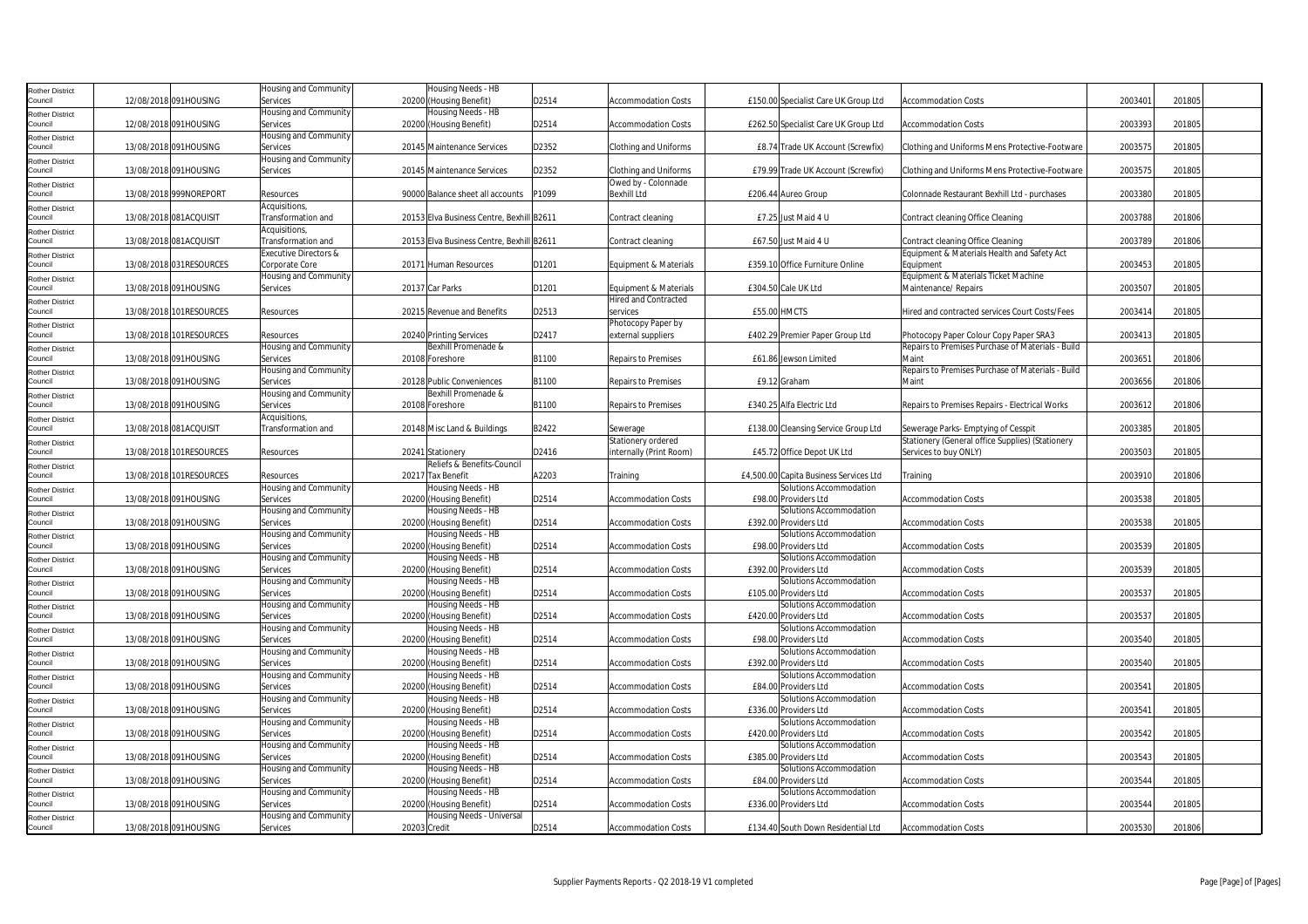| <b>Rother District</b>            |                         | Housing and Community             | Housing Needs - HB                        |       |                              |              |                                        |                                                   |         |        |  |
|-----------------------------------|-------------------------|-----------------------------------|-------------------------------------------|-------|------------------------------|--------------|----------------------------------------|---------------------------------------------------|---------|--------|--|
| Council                           | 12/08/2018 091HOUSING   | Services                          | 20200 (Housing Benefit)                   | D2514 | <b>Accommodation Costs</b>   |              | £150.00 Specialist Care UK Group Ltd   | <b>Accommodation Costs</b>                        | 2003401 | 201805 |  |
| <b>Rother District</b>            |                         | Housing and Community             | Housing Needs - HB                        |       |                              |              |                                        |                                                   |         |        |  |
| Council                           | 12/08/2018 091HOUSING   | Services                          | 20200 (Housing Benefit)                   | D2514 | <b>Accommodation Costs</b>   |              | £262.50 Specialist Care UK Group Ltd   | <b>Accommodation Costs</b>                        | 2003393 | 201805 |  |
| <b>Rother District</b>            |                         | <b>Housing and Community</b>      |                                           |       |                              |              |                                        |                                                   |         |        |  |
| Council                           | 13/08/2018 091HOUSING   | Services                          | 20145 Maintenance Services                | D2352 | Clothing and Uniforms        |              | £8.74 Trade UK Account (Screwfix)      | Clothing and Uniforms Mens Protective-Footware    | 2003575 | 201805 |  |
| <b>Rother District</b>            |                         | Housing and Community             |                                           |       |                              |              |                                        |                                                   |         |        |  |
| Council                           | 13/08/2018 091HOUSING   | Services                          | 20145 Maintenance Services                | D2352 | <b>Clothing and Uniforms</b> |              | £79.99 Trade UK Account (Screwfix)     | Clothing and Uniforms Mens Protective-Footware    | 2003575 | 201805 |  |
|                                   |                         |                                   |                                           |       | Owed by - Colonnade          |              |                                        |                                                   |         |        |  |
| <b>Rother District</b><br>Council | 13/08/2018 999NOREPORT  | Resources                         | 90000 Balance sheet all accounts          | P1099 | <b>Bexhill Ltd</b>           |              | £206.44 Aureo Group                    | Colonnade Restaurant Bexhill Ltd - purchases      | 2003380 | 201805 |  |
|                                   |                         | Acquisitions,                     |                                           |       |                              |              |                                        |                                                   |         |        |  |
| <b>Rother District</b><br>Council | 13/08/2018 081ACQUISIT  | Transformation and                | 20153 Elva Business Centre, Bexhill B2611 |       | Contract cleaning            |              | £7.25 Just Maid 4 U                    | Contract cleaning Office Cleaning                 | 2003788 | 201806 |  |
|                                   |                         |                                   |                                           |       |                              |              |                                        |                                                   |         |        |  |
| <b>Rother District</b>            |                         | Acquisitions,                     |                                           |       |                              |              |                                        |                                                   |         |        |  |
| Council                           | 13/08/2018 081ACQUISIT  | Transformation and                | 20153 Elva Business Centre, Bexhill B2611 |       | Contract cleaning            |              | £67.50 Just Maid 4 U                   | Contract cleaning Office Cleaning                 | 2003789 | 201806 |  |
| <b>Rother District</b>            |                         | Executive Directors &             |                                           |       |                              |              |                                        | Equipment & Materials Health and Safety Act       |         |        |  |
| Council                           | 13/08/2018 031RESOURCES | Corporate Core                    | 20171 Human Resources                     | D1201 | Equipment & Materials        |              | £359.10 Office Furniture Online        | Equipment                                         | 2003453 | 201805 |  |
| <b>Rother District</b>            |                         | Housing and Community             |                                           |       |                              |              |                                        | Equipment & Materials Ticket Machine              |         |        |  |
| Council                           | 13/08/2018 091HOUSING   | Services                          | 20137 Car Parks                           | D1201 | Equipment & Materials        |              | £304.50 Cale UK Ltd                    | Maintenance/ Repairs                              | 2003507 | 201805 |  |
| <b>Rother District</b>            |                         |                                   |                                           |       | <b>Hired and Contracted</b>  |              |                                        |                                                   |         |        |  |
| Council                           | 13/08/2018 101RESOURCES | Resources                         | 20215 Revenue and Benefits                | D2513 | services                     | £55.00 HMCTS |                                        | Hired and contracted services Court Costs/Fees    | 2003414 | 201805 |  |
| <b>Rother District</b>            |                         |                                   |                                           |       | Photocopy Paper by           |              |                                        |                                                   |         |        |  |
| Council                           | 13/08/2018 101RESOURCES | Resources                         | 20240 Printing Services                   | D2417 | external suppliers           |              | £402.29 Premier Paper Group Ltd        | Photocopy Paper Colour Copy Paper SRA3            | 2003413 | 201805 |  |
| <b>Rother District</b>            |                         | Housing and Community             | Bexhill Promenade &                       |       |                              |              |                                        | Repairs to Premises Purchase of Materials - Build |         |        |  |
| Council                           | 13/08/2018 091HOUSING   | Services                          | 20108 Foreshore                           | B1100 | <b>Repairs to Premises</b>   |              | £61.86 Jewson Limited                  | Maint                                             | 2003651 | 201806 |  |
| <b>Rother District</b>            |                         | <b>Housing and Community</b>      |                                           |       |                              |              |                                        | Repairs to Premises Purchase of Materials - Build |         |        |  |
| Council                           | 13/08/2018 091HOUSING   | Services                          | 20128 Public Conveniences                 | B1100 | <b>Repairs to Premises</b>   |              | £9.12 Graham                           | Maint                                             | 2003656 | 201806 |  |
| <b>Rother District</b>            |                         | Housing and Community             | Bexhill Promenade &                       |       |                              |              |                                        |                                                   |         |        |  |
| Council                           | 13/08/2018 091HOUSING   | Services                          | 20108 Foreshore                           | B1100 | <b>Repairs to Premises</b>   |              | £340.25 Alfa Electric Ltd              | Repairs to Premises Repairs - Electrical Works    | 2003612 | 201806 |  |
| <b>Rother District</b>            |                         | Acquisitions,                     |                                           |       |                              |              |                                        |                                                   |         |        |  |
| Council                           | 13/08/2018 081ACQUISIT  | Transformation and                | 20148 Misc Land & Buildings               | B2422 | Sewerage                     |              | £138.00 Cleansing Service Group Ltd    | Sewerage Parks- Emptying of Cesspit               | 2003385 | 201805 |  |
| <b>Rother District</b>            |                         |                                   |                                           |       | Stationery ordered           |              |                                        | Stationery (General office Supplies) (Stationery  |         |        |  |
| Council                           | 13/08/2018 101RESOURCES | Resources                         | 20241 Stationery                          | D2416 | internally (Print Room)      |              | £45.72 Office Depot UK Ltd             | Services to buy ONLY)                             | 2003503 | 201805 |  |
| <b>Rother District</b>            |                         |                                   | Reliefs & Benefits-Council                |       |                              |              |                                        |                                                   |         |        |  |
| Council                           | 13/08/2018 101RESOURCES | Resources                         | 20217 Tax Benefit                         | A2203 | Training                     |              | £4,500.00 Capita Business Services Ltd | Training                                          | 2003910 | 201806 |  |
| <b>Rother District</b>            |                         | Housing and Community             | Housing Needs - HB                        |       |                              |              | Solutions Accommodation                |                                                   |         |        |  |
| Council                           | 13/08/2018 091HOUSING   | Services                          | 20200 (Housing Benefit)                   | D2514 | <b>Accommodation Costs</b>   |              | £98.00 Providers Ltd                   | <b>Accommodation Costs</b>                        | 2003538 | 201805 |  |
| <b>Rother District</b>            |                         | Housing and Community             | Housing Needs - HB                        |       |                              |              | Solutions Accommodation                |                                                   |         |        |  |
| Council                           | 13/08/2018 091HOUSING   | Services                          | 20200 (Housing Benefit)                   | D2514 | Accommodation Costs          |              | £392.00 Providers Ltd                  | <b>Accommodation Costs</b>                        | 2003538 | 201805 |  |
| <b>Rother District</b>            |                         | Housing and Community             | Housing Needs - HB                        |       |                              |              | Solutions Accommodation                |                                                   |         |        |  |
| Council                           | 13/08/2018 091HOUSING   | Services                          | 20200 (Housing Benefit)                   | D2514 | <b>Accommodation Costs</b>   |              | £98.00 Providers Ltd                   | <b>Accommodation Costs</b>                        | 2003539 | 201805 |  |
| <b>Rother District</b>            |                         | Housing and Community             | Housing Needs - HB                        |       |                              |              | Solutions Accommodation                |                                                   |         |        |  |
| Council                           | 13/08/2018 091HOUSING   | Services                          | 20200 (Housing Benefit)                   | D2514 | <b>Accommodation Costs</b>   |              | £392.00 Providers Ltd                  | <b>Accommodation Costs</b>                        | 2003539 | 201805 |  |
| <b>Rother District</b>            |                         | Housing and Community             | Housing Needs - HB                        |       |                              |              | Solutions Accommodation                |                                                   |         |        |  |
| Council                           | 13/08/2018 091HOUSING   | Services                          | 20200 (Housing Benefit)                   | D2514 | <b>Accommodation Costs</b>   |              | £105.00 Providers Ltd                  | <b>Accommodation Costs</b>                        | 2003537 | 201805 |  |
|                                   |                         | Housing and Community             | Housing Needs - HB                        |       |                              |              | Solutions Accommodation                |                                                   |         |        |  |
| <b>Rother District</b><br>Council | 13/08/2018 091HOUSING   | Services                          | 20200 (Housing Benefit)                   | D2514 | <b>Accommodation Costs</b>   |              | £420.00 Providers Ltd                  | <b>Accommodation Costs</b>                        | 2003537 | 201805 |  |
|                                   |                         |                                   |                                           |       |                              |              |                                        |                                                   |         |        |  |
| <b>Rother District</b><br>Council |                         |                                   |                                           |       |                              |              |                                        |                                                   |         |        |  |
|                                   |                         | <b>Housing and Community</b>      | Housing Needs - HB                        |       |                              |              | Solutions Accommodation                |                                                   |         |        |  |
|                                   | 13/08/2018 091HOUSING   | Services                          | 20200 (Housing Benefit)                   | D2514 | <b>Accommodation Costs</b>   |              | £98.00 Providers Ltd                   | <b>Accommodation Costs</b>                        | 2003540 | 201805 |  |
| <b>Rother District</b>            |                         | Housing and Community             | Housing Needs - HB                        |       |                              |              | Solutions Accommodation                |                                                   |         |        |  |
| Council                           | 13/08/2018 091HOUSING   | Services                          | 20200 (Housing Benefit)                   | D2514 | <b>Accommodation Costs</b>   |              | £392.00 Providers Ltd                  | <b>Accommodation Costs</b>                        | 2003540 | 201805 |  |
| <b>Rother District</b>            |                         | Housing and Community             | Housing Needs - HB                        |       |                              |              | Solutions Accommodation                |                                                   |         |        |  |
| Council                           | 13/08/2018 091HOUSING   | Services                          | 20200 (Housing Benefit)                   | D2514 | <b>Accommodation Costs</b>   |              | £84.00 Providers Ltd                   | <b>Accommodation Costs</b>                        | 2003541 | 201805 |  |
| <b>Rother District</b>            |                         | Housing and Community             | Housing Needs - HB                        |       |                              |              | Solutions Accommodation                |                                                   |         |        |  |
| Council                           | 13/08/2018 091HOUSING   | Services                          | 20200 (Housing Benefit)                   | D2514 | <b>Accommodation Costs</b>   |              | £336.00 Providers Ltd                  | <b>Accommodation Costs</b>                        | 2003541 | 201805 |  |
| <b>Rother District</b>            |                         | Housing and Community             | Housing Needs - HB                        |       |                              |              | Solutions Accommodation                |                                                   |         |        |  |
| Council                           | 13/08/2018 091HOUSING   | Services                          | 20200 (Housing Benefit)                   | D2514 | <b>Accommodation Costs</b>   |              | £420.00 Providers Ltd                  | <b>Accommodation Costs</b>                        | 2003542 | 201805 |  |
| <b>Rother District</b>            |                         | Housing and Community             | Housing Needs - HB                        |       |                              |              | Solutions Accommodation                |                                                   |         |        |  |
| Council                           | 13/08/2018 091HOUSING   | Services                          | 20200 (Housing Benefit)                   | D2514 | Accommodation Costs          |              | £385.00 Providers Ltd                  | <b>Accommodation Costs</b>                        | 2003543 | 201805 |  |
| <b>Rother District</b>            |                         | Housing and Community             | Housing Needs - HB                        |       |                              |              | Solutions Accommodation                |                                                   |         |        |  |
| Council                           | 13/08/2018 091HOUSING   | Services                          | 20200 (Housing Benefit)                   | D2514 | <b>Accommodation Costs</b>   |              | £84.00 Providers Ltd                   | <b>Accommodation Costs</b>                        | 2003544 | 201805 |  |
| <b>Rother District</b>            |                         | Housing and Community             | Housing Needs - HB                        |       |                              |              | Solutions Accommodation                |                                                   |         |        |  |
| Council                           | 13/08/2018 091HOUSING   | Services                          | 20200 (Housing Benefit)                   | D2514 | <b>Accommodation Costs</b>   |              | £336.00 Providers Ltd                  | <b>Accommodation Costs</b>                        | 2003544 | 201805 |  |
| <b>Rother District</b><br>Council | 13/08/2018 091HOUSING   | Housing and Community<br>Services | Housing Needs - Universal<br>20203 Credit | D2514 | <b>Accommodation Costs</b>   |              | £134.40 South Down Residential Ltd     | <b>Accommodation Costs</b>                        | 2003530 | 201806 |  |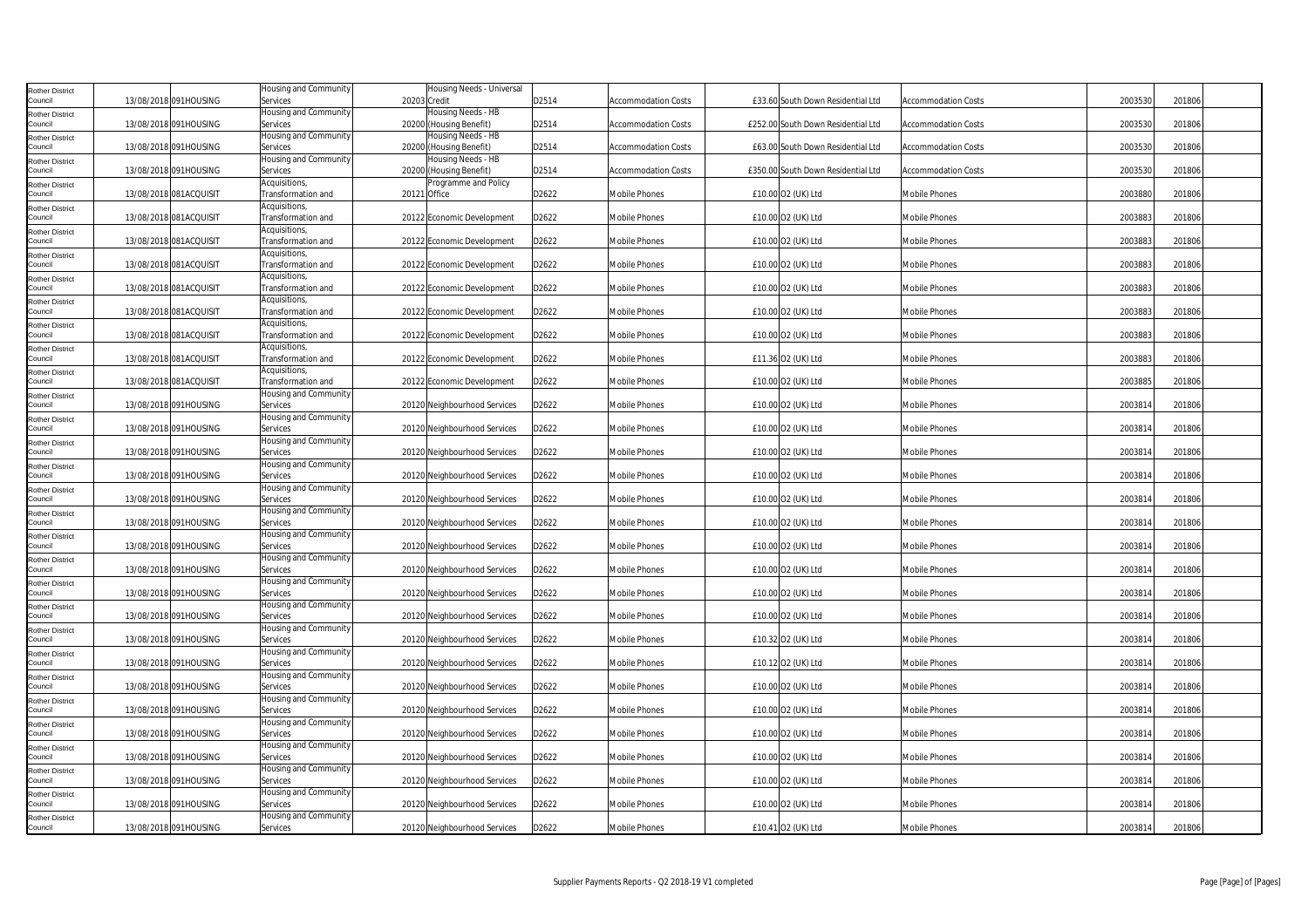| <b>Rother District</b><br>Council | 13/08/2018 091HOUSING  | Housing and Community<br>Services        | 20203 Credit | Housing Needs - Universal                     | D2514 | Accommodation Costs        | £33.60 South Down Residential Ltd  | Accommodation Costs        | 2003530 | 201806 |
|-----------------------------------|------------------------|------------------------------------------|--------------|-----------------------------------------------|-------|----------------------------|------------------------------------|----------------------------|---------|--------|
| <b>Rother District</b>            |                        | Housing and Community                    |              | Housing Needs - HB                            |       |                            |                                    |                            |         |        |
| Council                           | 13/08/2018 091HOUSING  | Services<br>Housing and Community        |              | 20200 (Housing Benefit)<br>Housing Needs - HB | D2514 | Accommodation Costs        | £252.00 South Down Residential Ltd | <b>Accommodation Costs</b> | 2003530 | 201806 |
| <b>Rother District</b><br>Council | 13/08/2018 091HOUSING  | Services                                 |              | 20200 (Housing Benefit)                       | D2514 | <b>Accommodation Costs</b> | £63.00 South Down Residential Ltd  | <b>Accommodation Costs</b> | 2003530 | 201806 |
| <b>Rother District</b><br>Council | 13/08/2018 091HOUSING  | <b>Housing and Community</b><br>Services |              | Housing Needs - HB<br>20200 (Housing Benefit) | D2514 | Accommodation Costs        | £350.00 South Down Residential Ltd | <b>Accommodation Costs</b> | 2003530 | 201806 |
| <b>Rother District</b><br>Council | 13/08/2018 081ACQUISIT | Acquisitions,<br>Transformation and      | 20121 Office | Programme and Policy                          | D2622 | Mobile Phones              | £10.00 O2 (UK) Ltd                 | <b>Mobile Phones</b>       | 2003880 | 201806 |
| <b>Rother District</b>            |                        | Acquisitions,                            |              |                                               |       |                            |                                    |                            |         |        |
| Council                           | 13/08/2018 081ACQUISIT | Transformation and<br>Acquisitions,      |              | 20122 Economic Development                    | D2622 | Mobile Phones              | £10.00 O2 (UK) Ltd                 | Mobile Phones              | 2003883 | 201806 |
| <b>Rother District</b><br>Council | 13/08/2018 081ACQUISIT | Transformation and                       |              | 20122 Economic Development                    | D2622 | Mobile Phones              | £10.00 O2 (UK) Ltd                 | <b>Mobile Phones</b>       | 2003883 | 201806 |
| <b>Rother District</b><br>Council | 13/08/2018 081ACQUISIT | Acquisitions,<br>Transformation and      |              | 20122 Economic Development                    | D2622 | Mobile Phones              | £10.00 O2 (UK) Ltd                 | <b>Mobile Phones</b>       | 2003883 | 201806 |
| <b>Rother District</b><br>Council | 13/08/2018 081ACQUISIT | Acquisitions,<br>Transformation and      |              | 20122 Economic Development                    | D2622 | Mobile Phones              | £10.00 O2 (UK) Ltd                 | Mobile Phones              | 2003883 | 201806 |
| <b>Rother District</b>            |                        | Acquisitions,                            |              |                                               |       |                            |                                    |                            |         |        |
| Council<br><b>Rother District</b> | 13/08/2018 081ACQUISIT | Transformation and<br>Acquisitions,      |              | 20122 Economic Development                    | D2622 | <b>Mobile Phones</b>       | £10.00 O2 (UK) Ltd                 | <b>Mobile Phones</b>       | 2003883 | 201806 |
| Council                           | 13/08/2018 081ACQUISIT | Transformation and                       |              | 20122 Economic Development                    | D2622 | Mobile Phones              | £10.00 O2 (UK) Ltd                 | <b>Mobile Phones</b>       | 2003883 | 201806 |
| <b>Rother District</b><br>Council | 13/08/2018 081ACQUISIT | Acquisitions,<br>Transformation and      |              | 20122 Economic Development                    | D2622 | <b>Mobile Phones</b>       | £11.36 O2 (UK) Ltd                 | <b>Mobile Phones</b>       | 2003883 | 201806 |
| <b>Rother District</b><br>Council | 13/08/2018 081ACQUISIT | Acquisitions,<br>Transformation and      |              | 20122 Economic Development                    | D2622 | Mobile Phones              | £10.00 O2 (UK) Ltd                 | <b>Mobile Phones</b>       | 2003885 | 201806 |
| <b>Rother District</b>            |                        | Housing and Community                    |              |                                               |       |                            |                                    |                            |         |        |
| Council<br><b>Rother District</b> | 13/08/2018 091HOUSING  | Services<br>Housing and Community        |              | 20120 Neighbourhood Services                  | D2622 | Mobile Phones              | £10.00 O2 (UK) Ltd                 | <b>Mobile Phones</b>       | 2003814 | 201806 |
| Council                           | 13/08/2018 091HOUSING  | Services<br>Housing and Community        |              | 20120 Neighbourhood Services                  | D2622 | <b>Mobile Phones</b>       | £10.00 O2 (UK) Ltd                 | <b>Mobile Phones</b>       | 2003814 | 201806 |
| <b>Rother District</b><br>Council | 13/08/2018 091HOUSING  | Services                                 |              | 20120 Neighbourhood Services                  | D2622 | Mobile Phones              | £10.00 O2 (UK) Ltd                 | Mobile Phones              | 2003814 | 201806 |
| <b>Rother District</b><br>Council | 13/08/2018 091HOUSING  | Housing and Community<br>Services        |              | 20120 Neighbourhood Services                  | D2622 | Mobile Phones              | £10.00 O2 (UK) Ltd                 | <b>Mobile Phones</b>       | 2003814 | 201806 |
| Rother District<br>Council        | 13/08/2018 091HOUSING  | Housing and Community<br>Services        |              | 20120 Neighbourhood Services                  | D2622 | Mobile Phones              | £10.00 O2 (UK) Ltd                 | <b>Mobile Phones</b>       | 2003814 | 201806 |
| <b>Rother District</b>            | 13/08/2018 091HOUSING  | Housing and Community                    |              |                                               |       | Mobile Phones              | £10.00 O2 (UK) Ltd                 | Mobile Phones              | 2003814 | 201806 |
| Council<br><b>Rother District</b> |                        | Services<br>Housing and Community        |              | 20120 Neighbourhood Services                  | D2622 |                            |                                    |                            |         |        |
| Council                           | 13/08/2018 091HOUSING  | Services<br>Housing and Community        |              | 20120 Neighbourhood Services                  | D2622 | <b>Mobile Phones</b>       | £10.00 O2 (UK) Ltd                 | <b>Mobile Phones</b>       | 2003814 | 201806 |
| <b>Rother District</b><br>Council | 13/08/2018 091HOUSING  | Services                                 |              | 20120 Neighbourhood Services                  | D2622 | Mobile Phones              | £10.00 O2 (UK) Ltd                 | <b>Mobile Phones</b>       | 2003814 | 201806 |
| <b>Rother District</b><br>Council | 13/08/2018 091HOUSING  | Housing and Community<br>Services        |              | 20120 Neighbourhood Services                  | D2622 | Mobile Phones              | £10.00 O2 (UK) Ltd                 | Mobile Phones              | 2003814 | 201806 |
| <b>Rother District</b>            |                        | Housing and Community                    |              |                                               |       |                            |                                    |                            |         |        |
| Council<br><b>Rother District</b> | 13/08/2018 091HOUSING  | Services<br>Housing and Community        |              | 20120 Neighbourhood Services                  | D2622 | Mobile Phones              | £10.00 O2 (UK) Ltd                 | Mobile Phones              | 2003814 | 201806 |
| Council                           | 13/08/2018 091HOUSING  | Services<br>Housing and Community        |              | 20120 Neighbourhood Services                  | D2622 | Mobile Phones              | £10.32 O2 (UK) Ltd                 | <b>Mobile Phones</b>       | 2003814 | 201806 |
| <b>Rother District</b><br>Council | 13/08/2018 091HOUSING  | Services                                 |              | 20120 Neighbourhood Services                  | D2622 | Mobile Phones              | £10.12 O2 (UK) Ltd                 | <b>Mobile Phones</b>       | 2003814 | 201806 |
| <b>Rother District</b><br>Council | 13/08/2018 091HOUSING  | Housing and Community<br>Services        |              | 20120 Neighbourhood Services                  | D2622 | Mobile Phones              | £10.00 O2 (UK) Ltd                 | Mobile Phones              | 2003814 | 201806 |
| <b>Rother District</b><br>Council | 13/08/2018 091HOUSING  | Housing and Community<br>Services        |              | 20120 Neighbourhood Services                  | D2622 | Mobile Phones              | £10.00 O2 (UK) Ltd                 | <b>Mobile Phones</b>       | 2003814 | 201806 |
| <b>Rother District</b><br>Council | 13/08/2018 091HOUSING  | Housing and Community<br>Services        |              | 20120 Neighbourhood Services                  | D2622 | Mobile Phones              | £10.00 O2 (UK) Ltd                 | <b>Mobile Phones</b>       | 2003814 | 201806 |
| <b>Rother District</b>            |                        | Housing and Community                    |              |                                               |       |                            |                                    |                            |         |        |
| Council<br><b>Rother District</b> | 13/08/2018 091HOUSING  | Services<br>Housing and Community        |              | 20120 Neighbourhood Services                  | D2622 | Mobile Phones              | £10.00 O2 (UK) Ltd                 | Mobile Phones              | 2003814 | 201806 |
| Council                           | 13/08/2018 091HOUSING  | Services<br>Housing and Community        |              | 20120 Neighbourhood Services                  | D2622 | Mobile Phones              | £10.00 O2 (UK) Ltd                 | <b>Mobile Phones</b>       | 2003814 | 201806 |
| <b>Rother District</b><br>Council | 13/08/2018 091HOUSING  | Services                                 |              | 20120 Neighbourhood Services                  | D2622 | Mobile Phones              | £10.00 O2 (UK) Ltd                 | <b>Mobile Phones</b>       | 2003814 | 201806 |
| <b>Rother District</b><br>Council | 13/08/2018 091HOUSING  | Housing and Community<br>Services        |              | 20120 Neighbourhood Services                  | D2622 | Mobile Phones              | £10.41 02 (UK) Ltd                 | <b>Mobile Phones</b>       | 2003814 | 201806 |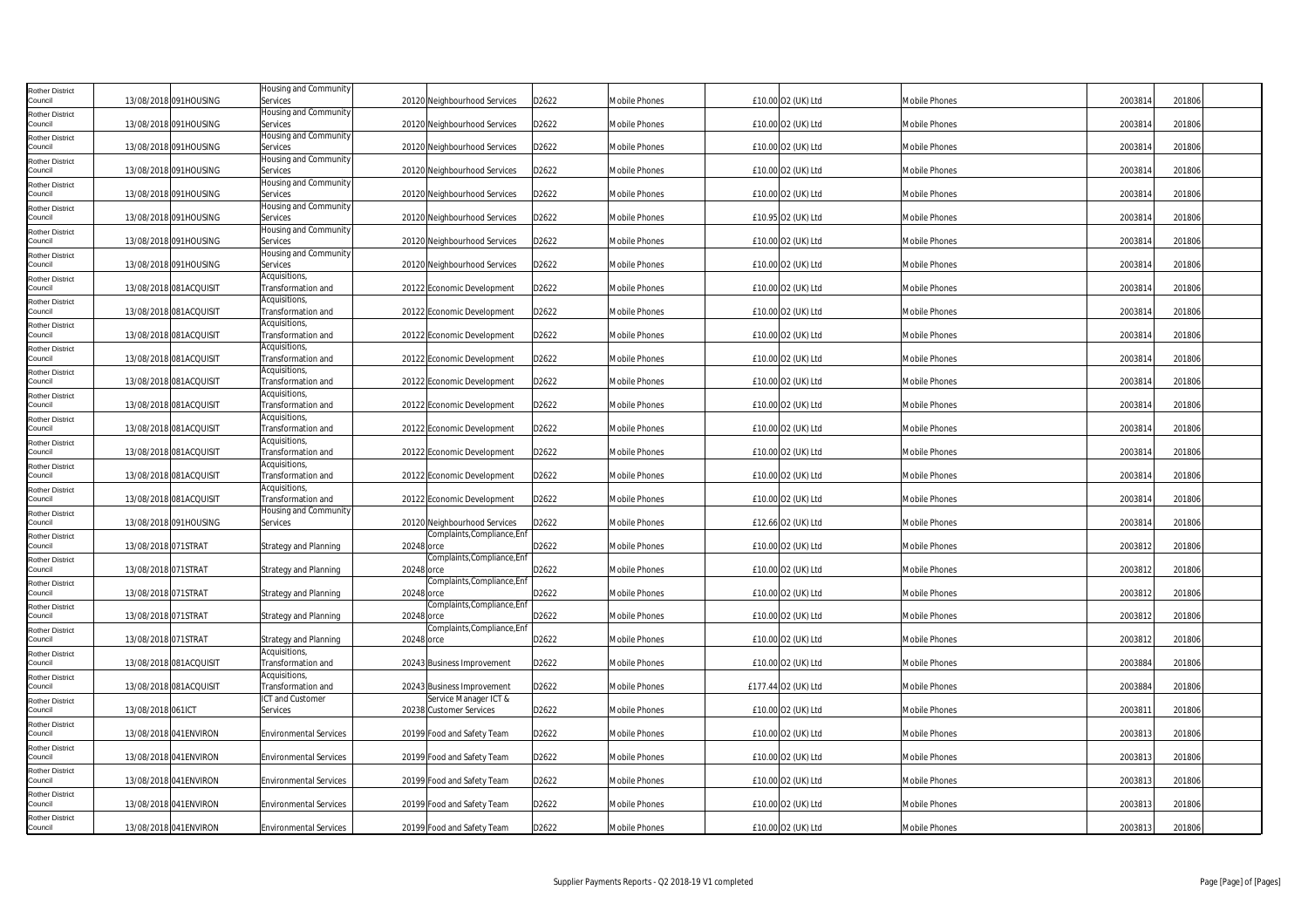| <b>Rother District</b>            |                     |                        | Housing and Community               |            |                                                  |       |                      |                     |                      |         |        |
|-----------------------------------|---------------------|------------------------|-------------------------------------|------------|--------------------------------------------------|-------|----------------------|---------------------|----------------------|---------|--------|
| Council                           |                     | 13/08/2018 091HOUSING  | Services                            |            | 20120 Neighbourhood Services                     | D2622 | Mobile Phones        | £10.00 O2 (UK) Ltd  | <b>Mobile Phones</b> | 2003814 | 201806 |
| <b>Rother District</b><br>Council |                     | 13/08/2018 091HOUSING  | Housing and Community<br>Services   |            | 20120 Neighbourhood Services                     | D2622 | <b>Mobile Phones</b> | £10.00 O2 (UK) Ltd  | Mobile Phones        | 2003814 | 201806 |
| <b>Rother District</b><br>Council |                     | 13/08/2018 091HOUSING  | Housing and Community<br>Services   |            | 20120 Neighbourhood Services                     | D2622 | Mobile Phones        | £10.00 O2 (UK) Ltd  | <b>Mobile Phones</b> | 2003814 | 201806 |
| <b>Rother District</b><br>Council |                     | 13/08/2018 091HOUSING  | Housing and Community<br>Services   |            | 20120 Neighbourhood Services                     | D2622 | Mobile Phones        | £10.00 O2 (UK) Ltd  | <b>Mobile Phones</b> | 2003814 | 201806 |
| <b>Rother District</b>            |                     |                        | Housing and Community               |            |                                                  |       |                      |                     |                      |         |        |
| Council<br><b>Rother District</b> |                     | 13/08/2018 091HOUSING  | Services<br>Housing and Community   |            | 20120 Neighbourhood Services                     | D2622 | Mobile Phones        | £10.00 O2 (UK) Ltd  | Mobile Phones        | 2003814 | 201806 |
| Council<br><b>Rother District</b> |                     | 13/08/2018 091HOUSING  | Services<br>Housing and Community   |            | 20120 Neighbourhood Services                     | D2622 | Mobile Phones        | £10.95 O2 (UK) Ltd  | Mobile Phones        | 2003814 | 201806 |
| Council<br><b>Rother District</b> |                     | 13/08/2018 091HOUSING  | Services<br>Housing and Community   |            | 20120 Neighbourhood Services                     | D2622 | Mobile Phones        | £10.00 O2 (UK) Ltd  | <b>Mobile Phones</b> | 2003814 | 201806 |
| Council                           |                     | 13/08/2018 091HOUSING  | Services                            |            | 20120 Neighbourhood Services                     | D2622 | <b>Mobile Phones</b> | £10.00 O2 (UK) Ltd  | <b>Mobile Phones</b> | 2003814 | 201806 |
| <b>Rother District</b><br>Council |                     | 13/08/2018 081ACQUISIT | Acquisitions,<br>Transformation and |            | 20122 Economic Development                       | D2622 | Mobile Phones        | £10.00 O2 (UK) Ltd  | Mobile Phones        | 2003814 | 201806 |
| <b>Rother District</b><br>Council |                     | 13/08/2018 081ACQUISIT | Acquisitions,<br>Transformation and |            | 20122 Economic Development                       | D2622 | Mobile Phones        | £10.00 O2 (UK) Ltd  | Mobile Phones        | 2003814 | 201806 |
| <b>Rother District</b><br>Council |                     | 13/08/2018 081ACQUISIT | Acquisitions,<br>Transformation and |            | 20122 Economic Development                       | D2622 | Mobile Phones        | £10.00 O2 (UK) Ltd  | <b>Mobile Phones</b> | 2003814 | 201806 |
| <b>Rother District</b><br>Council |                     | 13/08/2018 081ACQUISIT | Acquisitions,<br>Transformation and |            | 20122 Economic Development                       | D2622 | Mobile Phones        | £10.00 O2 (UK) Ltd  | Mobile Phones        | 2003814 | 201806 |
| <b>Rother District</b><br>Council |                     |                        | Acquisitions,                       |            |                                                  |       |                      |                     |                      |         |        |
| <b>Rother District</b>            |                     | 13/08/2018 081ACQUISIT | Transformation and<br>Acquisitions, |            | 20122 Economic Development                       | D2622 | Mobile Phones        | £10.00 O2 (UK) Ltd  | Mobile Phones        | 2003814 | 201806 |
| Council<br><b>Rother District</b> |                     | 13/08/2018 081ACQUISIT | Transformation and<br>Acquisitions, |            | 20122 Economic Development                       | D2622 | <b>Mobile Phones</b> | £10.00 O2 (UK) Ltd  | Mobile Phones        | 2003814 | 201806 |
| Council<br><b>Rother District</b> |                     | 13/08/2018 081ACQUISIT | Transformation and<br>Acquisitions, |            | 20122 Economic Development                       | D2622 | Mobile Phones        | £10.00 O2 (UK) Ltd  | <b>Mobile Phones</b> | 2003814 | 201806 |
| Council                           |                     | 13/08/2018 081ACQUISIT | Transformation and<br>Acquisitions, |            | 20122 Economic Development                       | D2622 | Mobile Phones        | £10.00 O2 (UK) Ltd  | Mobile Phones        | 2003814 | 201806 |
| <b>Rother District</b><br>Council |                     | 13/08/2018 081ACQUISIT | Transformation and                  |            | 20122 Economic Development                       | D2622 | Mobile Phones        | £10.00 O2 (UK) Ltd  | Mobile Phones        | 2003814 | 201806 |
| <b>Rother District</b><br>Council |                     | 13/08/2018 081ACQUISIT | Acquisitions,<br>Transformation and |            | 20122 Economic Development                       | D2622 | Mobile Phones        | £10.00 O2 (UK) Ltd  | <b>Mobile Phones</b> | 2003814 | 201806 |
| <b>Rother District</b><br>Council |                     | 13/08/2018 091HOUSING  | Housing and Community<br>Services   |            | 20120 Neighbourhood Services                     | D2622 | Mobile Phones        | £12.66 O2 (UK) Ltd  | Mobile Phones        | 2003814 | 201806 |
| <b>Rother District</b><br>Council | 13/08/2018 071STRAT |                        | <b>Strategy and Planning</b>        | 20248 orce | Complaints, Compliance, Enf                      | D2622 | Mobile Phones        | £10.00 O2 (UK) Ltd  | Mobile Phones        | 2003812 | 201806 |
| <b>Rother District</b><br>Council | 13/08/2018 071STRAT |                        | <b>Strategy and Planning</b>        | 20248 orce | Complaints, Compliance, Enf                      | D2622 | Mobile Phones        | £10.00 O2 (UK) Ltd  | <b>Mobile Phones</b> | 2003812 | 201806 |
| <b>Rother District</b>            |                     |                        |                                     |            | Complaints, Compliance, Enf                      |       |                      |                     |                      |         |        |
| Council<br><b>Rother District</b> | 13/08/2018 071STRAT |                        | <b>Strategy and Planning</b>        | 20248 orce | Complaints, Compliance, Enf                      | D2622 | Mobile Phones        | £10.00 O2 (UK) Ltd  | <b>Mobile Phones</b> | 2003812 | 201806 |
| Council                           | 13/08/2018 071STRAT |                        | Strategy and Planning               | 20248 orce | Complaints, Compliance, Enf                      | D2622 | Mobile Phones        | £10.00 O2 (UK) Ltd  | <b>Mobile Phones</b> | 2003812 | 201806 |
| <b>Rother District</b><br>Council | 13/08/2018 071STRAT |                        | Strategy and Planning               | 20248 orce |                                                  | D2622 | Mobile Phones        | £10.00 O2 (UK) Ltd  | Mobile Phones        | 2003812 | 201806 |
| <b>Rother District</b><br>Council |                     | 13/08/2018 081ACQUISIT | Acquisitions,<br>Transformation and |            | 20243 Business Improvement                       | D2622 | Mobile Phones        | £10.00 O2 (UK) Ltd  | Mobile Phones        | 2003884 | 201806 |
| <b>Rother District</b><br>Council |                     | 13/08/2018 081ACQUISIT | Acquisitions,<br>Transformation and |            | 20243 Business Improvement                       | D2622 | Mobile Phones        | £177.44 O2 (UK) Ltd | <b>Mobile Phones</b> | 2003884 | 201806 |
| <b>Rother District</b><br>Council | 13/08/2018 061ICT   |                        | ICT and Customer<br>Services        |            | Service Manager ICT &<br>20238 Customer Services | D2622 | Mobile Phones        | £10.00 O2 (UK) Ltd  | Mobile Phones        | 2003811 | 201806 |
| <b>Rother District</b><br>Council |                     | 13/08/2018 041 ENVIRON | <b>Environmental Services</b>       |            | 20199 Food and Safety Team                       | D2622 | Mobile Phones        | £10.00 O2 (UK) Ltd  | <b>Mobile Phones</b> | 2003813 | 201806 |
| <b>Rother District</b>            |                     |                        |                                     |            |                                                  | D2622 |                      |                     |                      | 2003813 |        |
| Council<br><b>Rother District</b> |                     | 13/08/2018 041 ENVIRON | <b>Environmental Services</b>       |            | 20199 Food and Safety Team                       |       | Mobile Phones        | £10.00 O2 (UK) Ltd  | <b>Mobile Phones</b> |         | 201806 |
| Council<br><b>Rother District</b> |                     | 13/08/2018 041 ENVIRON | <b>Environmental Services</b>       |            | 20199 Food and Safety Team                       | D2622 | <b>Mobile Phones</b> | £10.00 O2 (UK) Ltd  | <b>Mobile Phones</b> | 2003813 | 201806 |
| Council<br><b>Rother District</b> |                     | 13/08/2018 041 ENVIRON | <b>Environmental Services</b>       |            | 20199 Food and Safety Team                       | D2622 | Mobile Phones        | £10.00 O2 (UK) Ltd  | Mobile Phones        | 2003813 | 201806 |
| Council                           |                     | 13/08/2018 041 ENVIRON | <b>Environmental Services</b>       |            | 20199 Food and Safety Team                       | D2622 | <b>Mobile Phones</b> | £10.00 O2 (UK) Ltd  | Mobile Phones        | 2003813 | 201806 |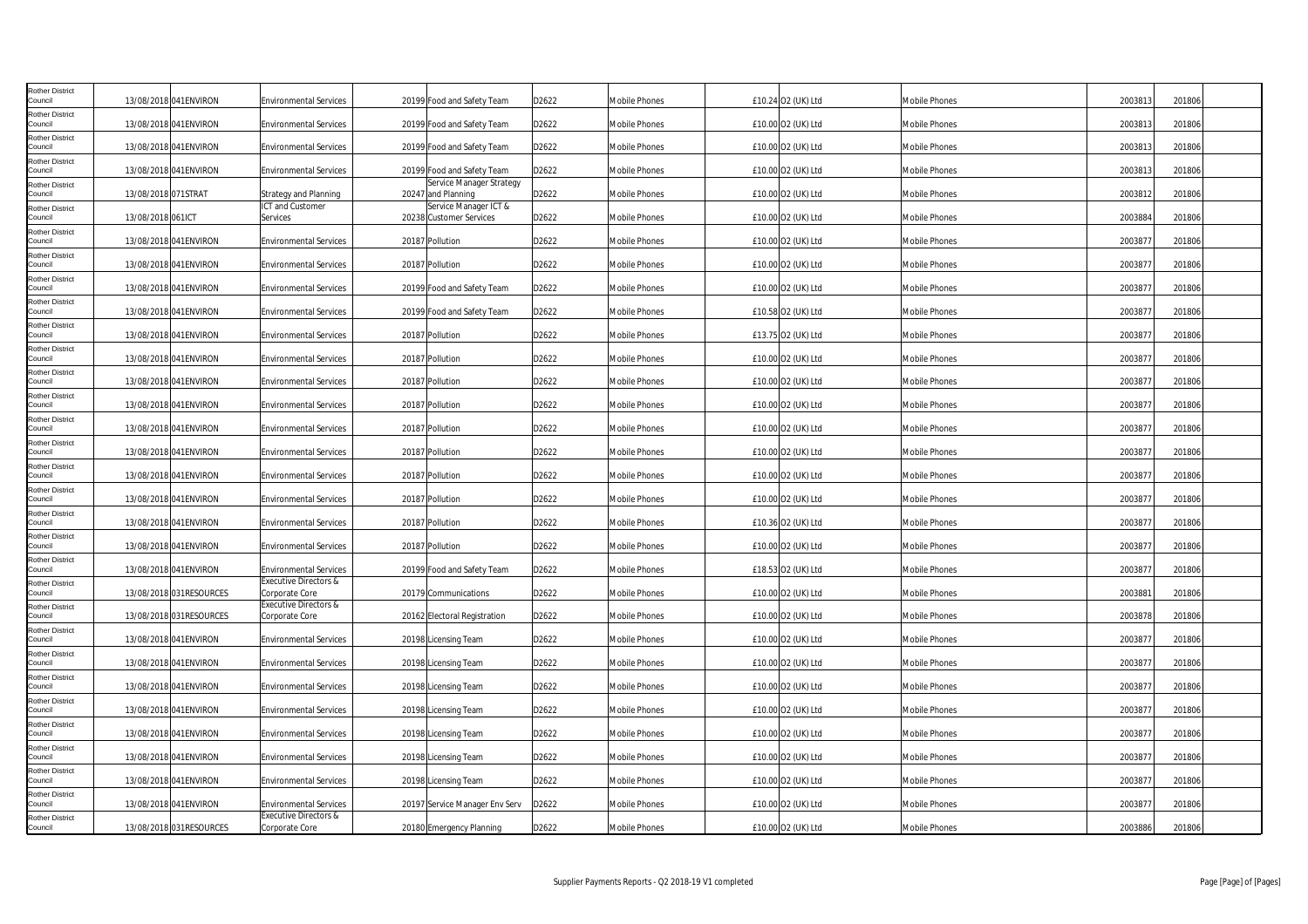| <b>Rother District</b><br>Council |                     | 13/08/2018 041 ENVIRON  | <b>Environmental Services</b>                          | 20199 Food and Safety Team                       | D2622 | Mobile Phones        | £10.24 O2 (UK) Ltd | <b>Mobile Phones</b> | 2003813 | 201806 |
|-----------------------------------|---------------------|-------------------------|--------------------------------------------------------|--------------------------------------------------|-------|----------------------|--------------------|----------------------|---------|--------|
| <b>Rother District</b><br>Council |                     | 13/08/2018 041ENVIRON   | <b>Environmental Services</b>                          | 20199 Food and Safety Team                       | D2622 | Mobile Phones        | £10.00 O2 (UK) Ltd | Mobile Phones        | 2003813 | 201806 |
| <b>Rother District</b><br>Council |                     | 13/08/2018 041 ENVIRON  | <b>Environmental Services</b>                          | 20199 Food and Safety Team                       | D2622 | Mobile Phones        | £10.00 O2 (UK) Ltd | <b>Mobile Phones</b> | 2003813 | 201806 |
| <b>Rother District</b><br>Council |                     | 13/08/2018 041 ENVIRON  | <b>Environmental Services</b>                          | 20199 Food and Safety Team                       | D2622 | Mobile Phones        | £10.00 O2 (UK) Ltd | <b>Mobile Phones</b> | 2003813 | 201806 |
| <b>Rother District</b><br>Council | 13/08/2018 071STRAT |                         | Strategy and Planning                                  | Service Manager Strategy<br>20247 and Planning   | D2622 | Mobile Phones        | £10.00 O2 (UK) Ltd | Mobile Phones        | 2003812 | 201806 |
| <b>Rother District</b><br>Council | 13/08/2018 061ICT   |                         | ICT and Customer<br>Services                           | Service Manager ICT &<br>20238 Customer Services | D2622 | Mobile Phones        | £10.00 O2 (UK) Ltd | <b>Mobile Phones</b> | 2003884 | 201806 |
| <b>Rother District</b><br>Council |                     | 13/08/2018 041 ENVIRON  | <b>Environmental Services</b>                          | 20187 Pollution                                  | D2622 | Mobile Phones        | £10.00 O2 (UK) Ltd | <b>Mobile Phones</b> | 2003877 | 201806 |
| Rother District<br>Council        |                     | 13/08/2018 041 ENVIRON  | <b>Environmental Services</b>                          | 20187 Pollution                                  | D2622 | Mobile Phones        | £10.00 O2 (UK) Ltd | <b>Mobile Phones</b> | 2003877 | 201806 |
| <b>Rother District</b><br>Council |                     | 13/08/2018 041 ENVIRON  | <b>Environmental Services</b>                          | 20199 Food and Safety Team                       | D2622 | Mobile Phones        | £10.00 O2 (UK) Ltd | Mobile Phones        | 2003877 | 201806 |
| <b>Rother District</b><br>Council |                     | 13/08/2018 041 ENVIRON  | <b>Environmental Services</b>                          | 20199 Food and Safety Team                       | D2622 | Mobile Phones        | £10.58 O2 (UK) Ltd | Mobile Phones        | 2003877 | 201806 |
| <b>Rother District</b><br>Council |                     | 13/08/2018 041 ENVIRON  | <b>Environmental Services</b>                          | 20187 Pollution                                  | D2622 | <b>Mobile Phones</b> | £13.75 O2 (UK) Ltd | <b>Mobile Phones</b> | 2003877 | 201806 |
| <b>Rother District</b><br>Council |                     | 13/08/2018 041 ENVIRON  | <b>Environmental Services</b>                          | 20187 Pollution                                  | D2622 | Mobile Phones        | £10.00 O2 (UK) Ltd | Mobile Phones        | 2003877 | 201806 |
| <b>Rother District</b><br>Council |                     | 13/08/2018 041 ENVIRON  | <b>Environmental Services</b>                          | 20187 Pollution                                  | D2622 | Mobile Phones        | £10.00 O2 (UK) Ltd | <b>Mobile Phones</b> | 2003877 | 201806 |
| <b>Rother District</b><br>Council |                     | 13/08/2018 041 ENVIRON  | <b>Environmental Services</b>                          | 20187 Pollution                                  | D2622 | Mobile Phones        | £10.00 O2 (UK) Ltd | <b>Mobile Phones</b> | 2003877 | 201806 |
| Rother District<br>Council        |                     | 13/08/2018 041 ENVIRON  | <b>Environmental Services</b>                          | 20187 Pollution                                  | D2622 | Mobile Phones        | £10.00 O2 (UK) Ltd | <b>Mobile Phones</b> | 2003877 | 201806 |
| <b>Rother District</b><br>Council |                     | 13/08/2018 041 ENVIRON  | <b>Environmental Services</b>                          | 20187 Pollution                                  | D2622 | Mobile Phones        | £10.00 O2 (UK) Ltd | Mobile Phones        | 2003877 | 201806 |
| <b>Rother District</b><br>Council |                     | 13/08/2018 041 ENVIRON  | <b>Environmental Services</b>                          | 20187 Pollution                                  | D2622 | Mobile Phones        | £10.00 O2 (UK) Ltd | <b>Mobile Phones</b> | 2003877 | 201806 |
| <b>Rother District</b><br>Council |                     | 13/08/2018 041 ENVIRON  | <b>Environmental Services</b>                          | 20187 Pollution                                  | D2622 | <b>Mobile Phones</b> | £10.00 O2 (UK) Ltd | Mobile Phones        | 2003877 | 201806 |
| <b>Rother District</b><br>Council |                     | 13/08/2018 041 ENVIRON  | <b>Environmental Services</b>                          | 20187 Pollution                                  | D2622 | Mobile Phones        | £10.36 O2 (UK) Ltd | <b>Mobile Phones</b> | 2003877 | 201806 |
| <b>Rother District</b><br>Council |                     | 13/08/2018 041 ENVIRON  | <b>Environmental Services</b>                          | 20187 Pollution                                  | D2622 | Mobile Phones        | £10.00 O2 (UK) Ltd | Mobile Phones        | 2003877 | 201806 |
| <b>Rother District</b><br>Council |                     | 13/08/2018 041 ENVIRON  | <b>Environmental Services</b><br>Executive Directors & | 20199 Food and Safety Team                       | D2622 | Mobile Phones        | £18.53 O2 (UK) Ltd | <b>Mobile Phones</b> | 2003877 | 201806 |
| <b>Rother District</b><br>Council |                     | 13/08/2018 031RESOURCES | Corporate Core                                         | 20179 Communications                             | D2622 | Mobile Phones        | £10.00 O2 (UK) Ltd | <b>Mobile Phones</b> | 2003881 | 201806 |
| <b>Rother District</b><br>Council |                     | 13/08/2018 031RESOURCES | Executive Directors &<br>Corporate Core                | 20162 Electoral Registration                     | D2622 | Mobile Phones        | £10.00 O2 (UK) Ltd | <b>Mobile Phones</b> | 2003878 | 201806 |
| <b>Rother District</b><br>Council |                     | 13/08/2018 041 ENVIRON  | <b>Environmental Services</b>                          | 20198 Licensing Team                             | D2622 | Mobile Phones        | £10.00 O2 (UK) Ltd | <b>Mobile Phones</b> | 2003877 | 201806 |
| Rother District<br>Council        |                     | 13/08/2018 041 ENVIRON  | <b>Environmental Services</b>                          | 20198 Licensing Team                             | D2622 | Mobile Phones        | £10.00 O2 (UK) Ltd | <b>Mobile Phones</b> | 2003877 | 201806 |
| <b>Rother District</b><br>Council |                     | 13/08/2018 041 ENVIRON  | <b>Environmental Services</b>                          | 20198 Licensing Team                             | D2622 | <b>Mobile Phones</b> | £10.00 O2 (UK) Ltd | Mobile Phones        | 2003877 | 201806 |
| <b>Rother District</b><br>Council |                     | 13/08/2018 041 ENVIRON  | <b>Environmental Services</b>                          | 20198 Licensing Team                             | D2622 | Mobile Phones        | £10.00 O2 (UK) Ltd | Mobile Phones        | 2003877 | 201806 |
| <b>Rother District</b><br>Council |                     | 13/08/2018 041 ENVIRON  | <b>Environmental Services</b>                          | 20198 Licensing Team                             | D2622 | <b>Mobile Phones</b> | £10.00 O2 (UK) Ltd | Mobile Phones        | 2003877 | 201806 |
| Rother District<br>Council        |                     | 13/08/2018 041ENVIRON   | <b>Environmental Services</b>                          | 20198 Licensing Team                             | D2622 | Mobile Phones        | £10.00 O2 (UK) Ltd | Mobile Phones        | 2003877 | 201806 |
| Rother District<br>Council        |                     | 13/08/2018 041 ENVIRON  | <b>Environmental Services</b>                          | 20198 Licensing Team                             | D2622 | Mobile Phones        | £10.00 O2 (UK) Ltd | Mobile Phones        | 2003877 | 201806 |
| <b>Rother District</b><br>Council |                     | 13/08/2018 041 ENVIRON  | <b>Environmental Services</b>                          | 20197 Service Manager Env Serv                   | D2622 | Mobile Phones        | £10.00 O2 (UK) Ltd | Mobile Phones        | 2003877 | 201806 |
| <b>Rother District</b><br>Council |                     | 13/08/2018 031RESOURCES | Executive Directors &<br>Corporate Core                | 20180 Emergency Planning                         | D2622 | <b>Mobile Phones</b> | £10.00 O2 (UK) Ltd | <b>Mobile Phones</b> | 2003886 | 201806 |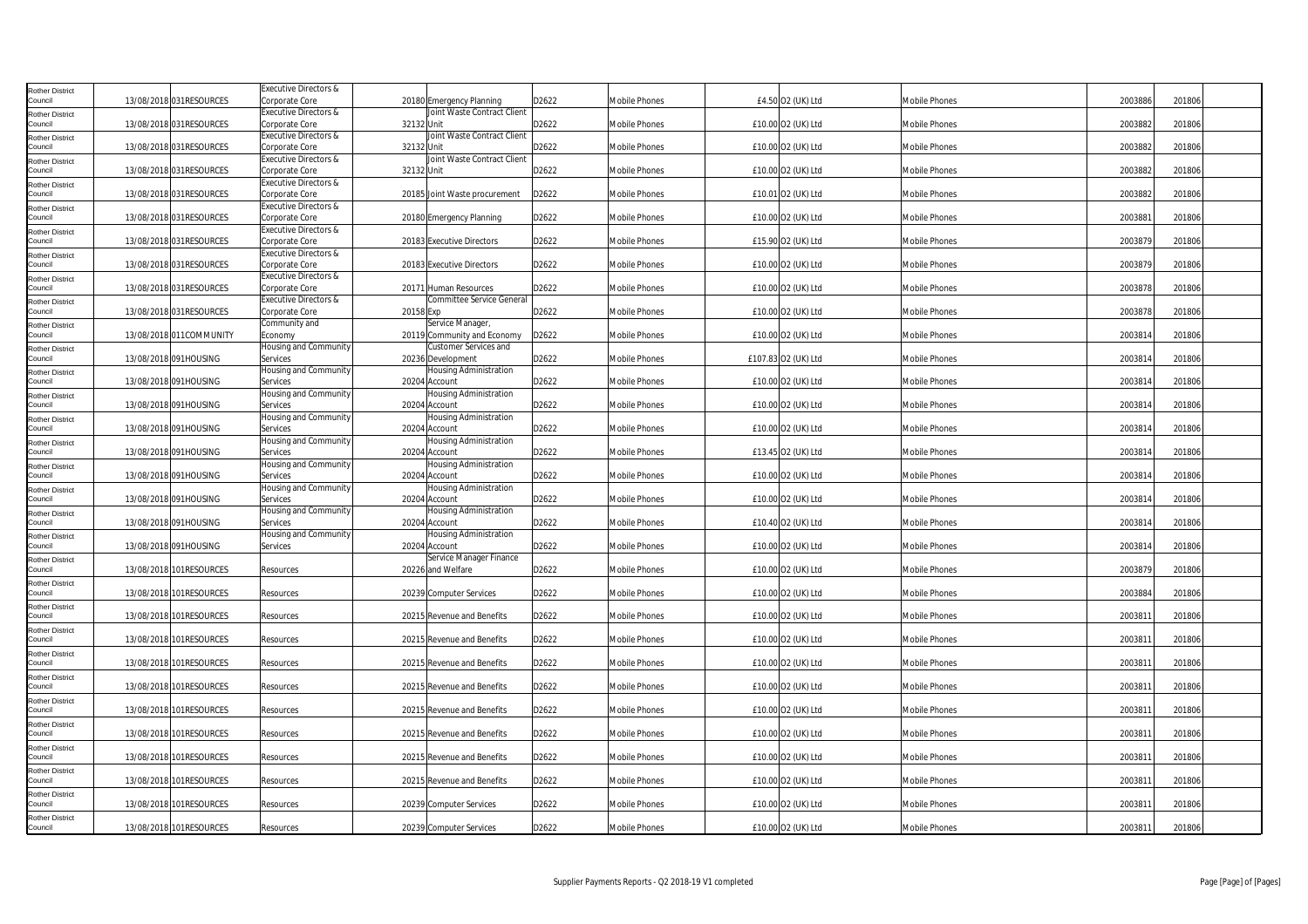| Rother District                   |                          | Executive Directors &            |                                                 |       |                      |                     |                      |         |        |
|-----------------------------------|--------------------------|----------------------------------|-------------------------------------------------|-------|----------------------|---------------------|----------------------|---------|--------|
| Council                           | 13/08/2018 031 RESOURCES | Corporate Core                   | 20180 Emergency Planning                        | D2622 | <b>Mobile Phones</b> | £4.50 O2 (UK) Ltd   | Mobile Phones        | 2003886 | 201806 |
| <b>Rother District</b>            |                          | Executive Directors &            | Joint Waste Contract Client                     |       |                      |                     |                      |         |        |
| Council                           | 13/08/2018 031RESOURCES  | Corporate Core                   | 32132 Unit                                      | D2622 | Mobile Phones        | £10.00 O2 (UK) Ltd  | Mobile Phones        | 2003882 | 201806 |
| Rother District                   |                          | Executive Directors &            | Joint Waste Contract Client                     |       |                      |                     |                      |         |        |
| Council                           | 13/08/2018 031 RESOURCES | Corporate Core                   | 32132 Unit                                      | D2622 | Mobile Phones        | £10.00 O2 (UK) Ltd  | Mobile Phones        | 2003882 | 201806 |
| Rother District                   |                          | <b>Executive Directors &amp;</b> | Joint Waste Contract Client                     |       |                      |                     |                      |         |        |
| Council                           | 13/08/2018 031RESOURCES  | Corporate Core                   | 32132 Unit                                      | D2622 | Mobile Phones        | £10.00 O2 (UK) Ltd  | Mobile Phones        | 2003882 | 201806 |
| Rother District                   |                          | Executive Directors &            |                                                 |       |                      |                     |                      |         |        |
| Council                           | 13/08/2018 031 RESOURCES | Corporate Core                   | 20185 Joint Waste procurement                   | D2622 | Mobile Phones        | £10.01 O2 (UK) Ltd  | Mobile Phones        | 2003882 | 201806 |
| Rother District                   |                          | Executive Directors &            |                                                 |       |                      |                     |                      |         |        |
| Council                           | 13/08/2018 031 RESOURCES | Corporate Core                   | 20180 Emergency Planning                        | D2622 | Mobile Phones        | £10.00 O2 (UK) Ltd  | Mobile Phones        | 2003881 | 201806 |
| Rother District                   |                          | <b>Executive Directors &amp;</b> |                                                 |       |                      |                     |                      |         |        |
| Council                           | 13/08/2018 031RESOURCES  | Corporate Core                   | 20183 Executive Directors                       | D2622 | Mobile Phones        | £15.90 O2 (UK) Ltd  | Mobile Phones        | 2003879 | 201806 |
| <b>Rother District</b>            |                          | Executive Directors &            |                                                 |       |                      |                     |                      |         |        |
| Council                           | 13/08/2018 031RESOURCES  | Corporate Core                   | 20183 Executive Directors                       | D2622 | Mobile Phones        | £10.00 O2 (UK) Ltd  | Mobile Phones        | 2003879 | 201806 |
| Rother District                   |                          | Executive Directors &            |                                                 |       |                      |                     |                      |         |        |
| Council                           | 13/08/2018 031RESOURCES  | Corporate Core                   | 20171 Human Resources                           | D2622 | Mobile Phones        | £10.00 O2 (UK) Ltd  | Mobile Phones        | 2003878 | 201806 |
| Rother District<br>Council        | 13/08/2018 031 RESOURCES | <b>Executive Directors &amp;</b> | <b>Committee Service General</b><br>20158 Exp   | D2622 |                      | £10.00 O2 (UK) Ltd  | Mobile Phones        | 2003878 | 201806 |
|                                   |                          | Corporate Core                   |                                                 |       | Mobile Phones        |                     |                      |         |        |
| <b>Rother District</b><br>Council | 13/08/2018 011 COMMUNITY | Community and<br>Economy         | Service Manager,<br>20119 Community and Economy | D2622 | Mobile Phones        | £10.00 O2 (UK) Ltd  | Mobile Phones        | 2003814 | 201806 |
|                                   |                          | Housing and Community            | Customer Services and                           |       |                      |                     |                      |         |        |
| <b>Rother District</b><br>Council | 13/08/2018 091HOUSING    | Services                         | 20236 Development                               | D2622 | Mobile Phones        | £107.83 O2 (UK) Ltd | Mobile Phones        | 2003814 | 201806 |
|                                   |                          | Housing and Community            | Housing Administration                          |       |                      |                     |                      |         |        |
| Rother District<br>Council        | 13/08/2018 091HOUSING    | Services                         | 20204 Account                                   | D2622 | <b>Mobile Phones</b> | £10.00 O2 (UK) Ltd  | Mobile Phones        | 2003814 | 201806 |
|                                   |                          | Housing and Community            | Housing Administration                          |       |                      |                     |                      |         |        |
| Rother District<br>Council        | 13/08/2018 091HOUSING    | Services                         | 20204 Account                                   | D2622 | Mobile Phones        | £10.00 O2 (UK) Ltd  | Mobile Phones        | 2003814 | 201806 |
| <b>Rother District</b>            |                          | Housing and Community            | Housing Administration                          |       |                      |                     |                      |         |        |
| Council                           | 13/08/2018 091HOUSING    | Services                         | 20204 Account                                   | D2622 | Mobile Phones        | £10.00 O2 (UK) Ltd  | Mobile Phones        | 2003814 | 201806 |
| Rother District                   |                          | Housing and Community            | lousing Administration                          |       |                      |                     |                      |         |        |
| Council                           | 13/08/2018 091HOUSING    | Services                         | 20204 Account                                   | D2622 | Mobile Phones        | £13.45 O2 (UK) Ltd  | <b>Mobile Phones</b> | 2003814 | 201806 |
| Rother District                   |                          | Housing and Community            | Housing Administration                          |       |                      |                     |                      |         |        |
| Council                           | 13/08/2018 091HOUSING    | Services                         | 20204 Account                                   | D2622 | Mobile Phones        | £10.00 O2 (UK) Ltd  | <b>Mobile Phones</b> | 2003814 | 201806 |
| <b>Rother District</b>            |                          | Housing and Community            | Housing Administration                          |       |                      |                     |                      |         |        |
| Council                           | 13/08/2018 091HOUSING    | Services                         | 20204 Account                                   | D2622 | Mobile Phones        | £10.00 O2 (UK) Ltd  | <b>Mobile Phones</b> | 2003814 | 201806 |
| Rother District                   |                          | Housing and Community            | Housing Administration                          |       |                      |                     |                      |         |        |
| Council                           | 13/08/2018 091HOUSING    | Services                         | 20204 Account                                   | D2622 | Mobile Phones        | £10.40 O2 (UK) Ltd  | <b>Mobile Phones</b> | 2003814 | 201806 |
| Rother District                   |                          | Housing and Community            | Housing Administration                          |       |                      |                     |                      |         |        |
| Council                           | 13/08/2018 091HOUSING    | Services                         | 20204 Account                                   | D2622 | Mobile Phones        | £10.00 O2 (UK) Ltd  | <b>Mobile Phones</b> | 2003814 | 201806 |
| <b>Rother District</b>            |                          |                                  | Service Manager Finance                         |       |                      |                     |                      |         |        |
| Council                           | 13/08/2018 101RESOURCES  | Resources                        | 20226 and Welfare                               | D2622 | Mobile Phones        | £10.00 O2 (UK) Ltd  | <b>Mobile Phones</b> | 2003879 | 201806 |
| Rother District                   |                          |                                  |                                                 |       |                      |                     |                      |         |        |
| Council                           | 13/08/2018 101 RESOURCES | Resources                        | 20239 Computer Services                         | D2622 | <b>Mobile Phones</b> | £10.00 O2 (UK) Ltd  | <b>Mobile Phones</b> | 2003884 | 201806 |
| Rother District                   |                          |                                  |                                                 |       |                      |                     |                      |         |        |
| Council                           | 13/08/2018 101RESOURCES  | Resources                        | 20215 Revenue and Benefits                      | D2622 | Mobile Phones        | £10.00 O2 (UK) Ltd  | Mobile Phones        | 2003811 | 201806 |
| <b>Rother District</b>            |                          |                                  |                                                 |       |                      |                     |                      |         |        |
| Council                           | 13/08/2018 101RESOURCES  | Resources                        | 20215 Revenue and Benefits                      | D2622 | <b>Mobile Phones</b> | £10.00 O2 (UK) Ltd  | <b>Mobile Phones</b> | 2003811 | 201806 |
| <b>Rother District</b>            |                          |                                  |                                                 |       |                      |                     |                      |         |        |
| Council                           | 13/08/2018 101 RESOURCES | Resources                        | 20215 Revenue and Benefits                      | D2622 | Mobile Phones        | £10.00 O2 (UK) Ltd  | <b>Mobile Phones</b> | 2003811 | 201806 |
| <b>Rother District</b>            |                          |                                  |                                                 |       |                      |                     |                      |         |        |
| Council                           | 13/08/2018 101RESOURCES  | Resources                        | 20215 Revenue and Benefits                      | D2622 | <b>Mobile Phones</b> | £10.00 O2 (UK) Ltd  | Mobile Phones        | 2003811 | 201806 |
| Rother District                   |                          |                                  |                                                 |       |                      |                     |                      |         |        |
| Council                           | 13/08/2018 101RESOURCES  | Resources                        | 20215 Revenue and Benefits                      | D2622 | <b>Mobile Phones</b> | £10.00 O2 (UK) Ltd  | <b>Mobile Phones</b> | 2003811 | 201806 |
| <b>Rother District</b>            |                          |                                  |                                                 |       |                      |                     |                      |         |        |
| Council                           | 13/08/2018 101RESOURCES  | Resources                        | 20215 Revenue and Benefits                      | D2622 | <b>Mobile Phones</b> | £10.00 O2 (UK) Ltd  | <b>Mobile Phones</b> | 2003811 | 201806 |
| <b>Rother District</b>            |                          |                                  |                                                 |       |                      |                     |                      |         |        |
| Council                           | 13/08/2018 101RESOURCES  | Resources                        | 20215 Revenue and Benefits                      | D2622 | Mobile Phones        | £10.00 O2 (UK) Ltd  | <b>Mobile Phones</b> | 2003811 | 201806 |
| Rother District                   | 13/08/2018 101 RESOURCES |                                  | 20215 Revenue and Benefits                      | D2622 | <b>Mobile Phones</b> | £10.00 O2 (UK) Ltd  | Mobile Phones        | 2003811 | 201806 |
| Council                           |                          | Resources                        |                                                 |       |                      |                     |                      |         |        |
| Rother District<br>Council        | 13/08/2018 101RESOURCES  | Resources                        | 20239 Computer Services                         | D2622 | <b>Mobile Phones</b> | £10.00 O2 (UK) Ltd  | <b>Mobile Phones</b> | 2003811 | 201806 |
|                                   |                          |                                  |                                                 |       |                      |                     |                      |         |        |
| Rother District<br>Council        | 13/08/2018 101RESOURCES  | Resources                        | 20239 Computer Services                         | D2622 | <b>Mobile Phones</b> | £10.00 O2 (UK) Ltd  | Mobile Phones        | 2003811 | 201806 |
|                                   |                          |                                  |                                                 |       |                      |                     |                      |         |        |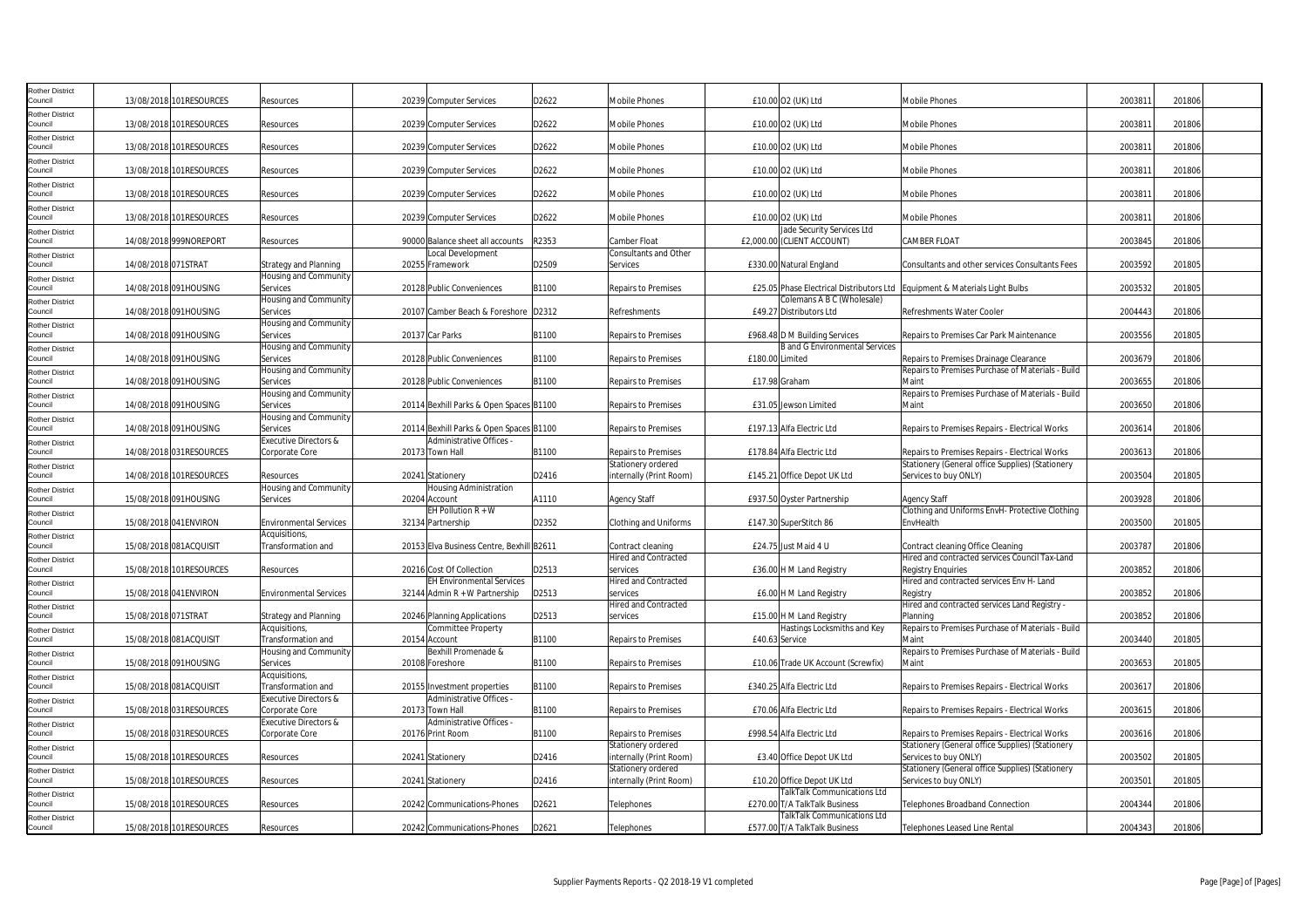| Rother District                   |                     |                         |                                         |                                                              |       |                                               |                 |                                                                     |                                                                             |         |        |
|-----------------------------------|---------------------|-------------------------|-----------------------------------------|--------------------------------------------------------------|-------|-----------------------------------------------|-----------------|---------------------------------------------------------------------|-----------------------------------------------------------------------------|---------|--------|
| Council                           |                     | 13/08/2018 101RESOURCES | Resources                               | 20239 Computer Services                                      | D2622 | Mobile Phones                                 |                 | £10.00 O2 (UK) Ltd                                                  | Mobile Phones                                                               | 200381  | 201806 |
| Rother District<br>Council        |                     | 13/08/2018 101RESOURCES | Resources                               | 20239 Computer Services                                      | D2622 | Mobile Phones                                 |                 | £10.00 O2 (UK) Ltd                                                  | Mobile Phones                                                               | 200381  | 201806 |
| Rother District<br>Council        |                     | 13/08/2018 101RESOURCES | Resources                               | 20239 Computer Services                                      | D2622 | Mobile Phones                                 |                 | £10.00 O2 (UK) Ltd                                                  | Mobile Phones                                                               | 2003811 | 201806 |
| Rother District<br>Council        |                     | 13/08/2018 101RESOURCES | Resources                               | 20239 Computer Services                                      | D2622 | <b>Mobile Phones</b>                          |                 | £10.00 O2 (UK) Ltd                                                  | Mobile Phones                                                               | 2003811 | 201806 |
| <b>Rother District</b><br>Council |                     | 13/08/2018 101RESOURCES | Resources                               | 20239 Computer Services                                      | D2622 | Mobile Phones                                 |                 | £10.00 O2 (UK) Ltd                                                  | Mobile Phones                                                               | 200381  | 201806 |
| <b>Rother District</b><br>Council |                     | 13/08/2018 101RESOURCES | Resources                               | 20239 Computer Services                                      | D2622 | Mobile Phones                                 |                 | £10.00 O2 (UK) Ltd                                                  | Mobile Phones                                                               | 2003811 | 201806 |
| Rother District<br>Council        |                     | 14/08/2018 999NOREPORT  | Resources                               | 90000 Balance sheet all accounts                             | R2353 | Camber Float                                  |                 | lade Security Services Ltd<br>£2,000.00 (CLIENT ACCOUNT)            | <b>CAMBER FLOAT</b>                                                         | 2003845 | 201806 |
| Rother District<br>Council        | 14/08/2018 071STRAT |                         | Strategy and Planning                   | Local Development<br>20255 Framework                         | D2509 | Consultants and Other<br>Services             |                 | £330.00 Natural England                                             | Consultants and other services Consultants Fees                             | 2003592 | 201805 |
| Rother District<br>Council        |                     | 14/08/2018 091HOUSING   | Housing and Community<br>Services       | 20128 Public Conveniences                                    | B1100 | <b>Repairs to Premises</b>                    |                 |                                                                     | £25.05 Phase Electrical Distributors Ltd Equipment & Materials Light Bulbs  | 2003532 | 201805 |
| tother District<br>Council        |                     | 14/08/2018 091HOUSING   | Housing and Community<br>Services       | 20107 Camber Beach & Foreshore D2312                         |       | Refreshments                                  |                 | Colemans A B C (Wholesale)<br>£49.27 Distributors Ltd               | Refreshments Water Cooler                                                   | 2004443 | 201806 |
| <b>Rother District</b><br>Council |                     | 14/08/2018 091HOUSING   | Housing and Community<br>Services       | 20137 Car Parks                                              | B1100 | <b>Repairs to Premises</b>                    |                 | £968.48 D M Building Services                                       | Repairs to Premises Car Park Maintenance                                    | 2003556 | 201805 |
| Rother District<br>Council        |                     | 14/08/2018 091HOUSING   | Housing and Community<br>Services       | 20128 Public Conveniences                                    | B1100 | <b>Repairs to Premises</b>                    | £180.00 Limited | <b>B</b> and G Environmental Services                               | Repairs to Premises Drainage Clearance                                      | 2003679 | 201806 |
| Rother District<br>Council        |                     | 14/08/2018 091HOUSING   | Housing and Community<br>Services       | 20128 Public Conveniences                                    | B1100 | <b>Repairs to Premises</b>                    | £17.98 Graham   |                                                                     | Repairs to Premises Purchase of Materials - Build<br>Maint                  | 2003655 | 201806 |
| Rother District<br>Council        |                     | 14/08/2018 091HOUSING   | Housing and Community<br>Services       | 20114 Bexhill Parks & Open Spaces B1100                      |       | Repairs to Premises                           |                 | £31.05 Jewson Limited                                               | Repairs to Premises Purchase of Materials - Build<br>Maint                  | 2003650 | 201806 |
| <b>Rother District</b><br>Council |                     | 14/08/2018 091HOUSING   | Housing and Community<br>Services       | 20114 Bexhill Parks & Open Spaces B1100                      |       | <b>Repairs to Premises</b>                    |                 | £197.13 Alfa Electric Ltd                                           | Repairs to Premises Repairs - Electrical Works                              | 2003614 | 201806 |
| Rother District<br>Council        |                     | 14/08/2018 031RESOURCES | Executive Directors &<br>Corporate Core | Administrative Offices -<br>20173 Town Hall                  | B1100 | <b>Repairs to Premises</b>                    |                 | £178.84 Alfa Electric Ltd                                           | Repairs to Premises Repairs - Electrical Works                              | 2003613 | 201806 |
| Rother District<br>Council        |                     | 14/08/2018 101RESOURCES | Resources                               | 20241 Stationery                                             | D2416 | Stationery ordered<br>internally (Print Room) |                 | £145.21 Office Depot UK Ltd                                         | Stationery (General office Supplies) (Stationery<br>Services to buy ONLY)   | 2003504 | 201805 |
| <b>Rother District</b><br>Council |                     | 15/08/2018 091HOUSING   | Housing and Community<br>Services       | Housing Administration<br>20204 Account                      | A1110 | <b>Agency Staff</b>                           |                 | £937.50 Oyster Partnership                                          | <b>Agency Staff</b>                                                         | 2003928 | 201806 |
| Rother District<br>Council        |                     | 15/08/2018 041ENVIRON   | <b>Environmental Services</b>           | EH Pollution $R + W$<br>32134 Partnership                    | D2352 | Clothing and Uniforms                         |                 | £147.30 SuperStitch 86                                              | Clothing and Uniforms EnvH- Protective Clothing<br>EnvHealth                | 2003500 | 201805 |
| Rother District<br>Council        |                     | 15/08/2018 081ACQUISIT  | Acquisitions,<br>Transformation and     | 20153 Elva Business Centre, Bexhill B2611                    |       | Contract cleaning                             |                 | £24.75 Just Maid 4 U                                                | Contract cleaning Office Cleaning                                           | 2003787 | 201806 |
| Rother District<br>Council        |                     | 15/08/2018 101RESOURCES | Resources                               | 20216 Cost Of Collection                                     | D2513 | <b>Hired and Contracted</b><br>services       |                 | £36.00 H M Land Registry                                            | Hired and contracted services Council Tax-Land<br><b>Registry Enquiries</b> | 2003852 | 201806 |
| Rother District<br>Council        |                     | 15/08/2018 041ENVIRON   | <b>Environmental Services</b>           | EH Environmental Services<br>$32144$ Admin R + W Partnership | D2513 | <b>Hired and Contracted</b><br>services       |                 | £6.00 H M Land Registry                                             | Hired and contracted services Env H- Land<br>Registry                       | 2003852 | 201806 |
| Rother District<br>Council        | 15/08/2018 071STRAT |                         | <b>Strategy and Planning</b>            | 20246 Planning Applications                                  | D2513 | Hired and Contracted<br>services              |                 | £15.00 H M Land Registry                                            | Hired and contracted services Land Registry -<br>Planning                   | 2003852 | 201806 |
| <b>Rother District</b><br>Council |                     | 15/08/2018 081ACQUISIT  | Acquisitions,<br>Transformation and     | Committee Property<br>20154 Account                          | B1100 | <b>Repairs to Premises</b>                    | £40.63 Service  | Hastings Locksmiths and Key                                         | Repairs to Premises Purchase of Materials - Build<br>Maint                  | 2003440 | 201805 |
| Rother District<br>Council        |                     | 15/08/2018 091HOUSING   | Housing and Community<br>Services       | Bexhill Promenade &<br>20108 Foreshore                       | B1100 | Repairs to Premises                           |                 | £10.06 Trade UK Account (Screwfix)                                  | Repairs to Premises Purchase of Materials - Build<br>Maint                  | 2003653 | 201805 |
| <b>Rother District</b><br>Council |                     | 15/08/2018 081ACQUISIT  | Acquisitions,<br>Transformation and     | 20155 Investment properties                                  | B1100 | Repairs to Premises                           |                 | £340.25 Alfa Electric Ltd                                           | Repairs to Premises Repairs - Electrical Works                              | 2003617 | 201806 |
| Rother District<br>Council        |                     | 15/08/2018 031RESOURCES | Executive Directors &<br>Corporate Core | <b>Administrative Offices</b><br>20173 Town Hall             | B1100 | <b>Repairs to Premises</b>                    |                 | £70.06 Alfa Electric Ltd                                            | Repairs to Premises Repairs - Electrical Works                              | 2003615 | 201806 |
| Rother District<br>Council        |                     | 15/08/2018 031RESOURCES | Executive Directors &<br>Corporate Core | Administrative Offices -<br>20176 Print Room                 | B1100 | <b>Repairs to Premises</b>                    |                 | £998.54 Alfa Electric Ltd                                           | Repairs to Premises Repairs - Electrical Works                              | 2003616 | 201806 |
| <b>Rother District</b><br>Council |                     | 15/08/2018 101RESOURCES | Resources                               | 20241 Stationery                                             | D2416 | Stationery ordered<br>nternally (Print Room)  |                 | £3.40 Office Depot UK Ltd                                           | Stationery (General office Supplies) (Stationery<br>Services to buy ONLY)   | 2003502 | 201805 |
| <b>Rother District</b><br>Council |                     | 15/08/2018 101RESOURCES | Resources                               | 20241 Stationery                                             | D2416 | Stationery ordered<br>internally (Print Room) |                 | £10.20 Office Depot UK Ltd                                          | Stationery (General office Supplies) (Stationery<br>Services to buy ONLY)   | 200350  | 201805 |
| <b>Rother District</b><br>Council |                     | 15/08/2018 101RESOURCES | Resources                               | 20242 Communications-Phones                                  | D2621 | Telephones                                    |                 | <b>FalkTalk Communications Ltd</b><br>£270.00 T/A TalkTalk Business | Telephones Broadband Connection                                             | 2004344 | 201806 |
| Rother District<br>Council        |                     | 15/08/2018 101RESOURCES | Resources                               | 20242 Communications-Phones                                  | D2621 | Telephones                                    |                 | <b>TalkTalk Communications Ltd</b><br>£577.00 T/A TalkTalk Business | <b>Telephones Leased Line Rental</b>                                        | 2004343 | 201806 |
|                                   |                     |                         |                                         |                                                              |       |                                               |                 |                                                                     |                                                                             |         |        |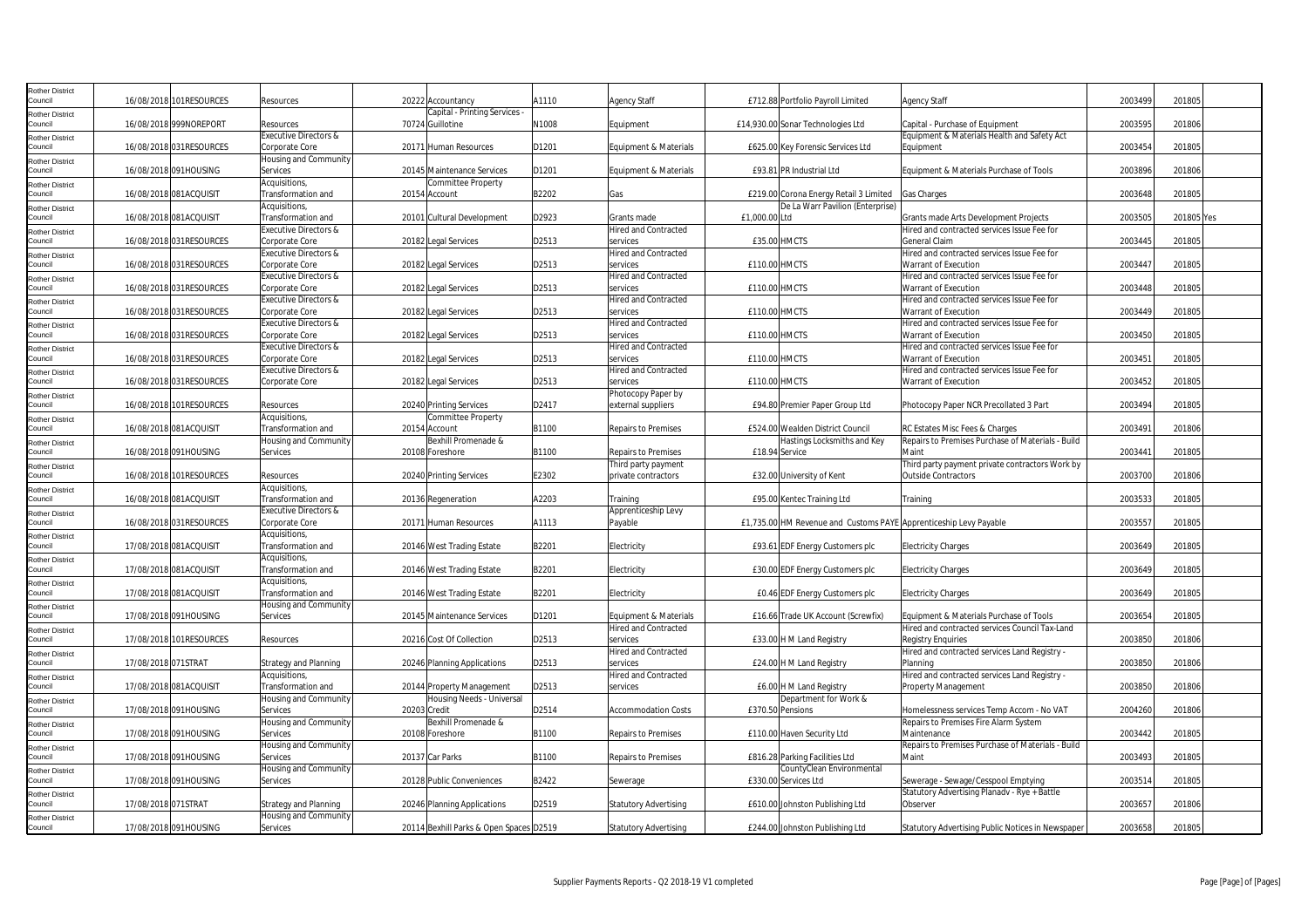| Rother District            |                        |                          |                                  |              |                                         |       |                              |                |                                                                   |                                                   |         |            |  |
|----------------------------|------------------------|--------------------------|----------------------------------|--------------|-----------------------------------------|-------|------------------------------|----------------|-------------------------------------------------------------------|---------------------------------------------------|---------|------------|--|
| Council                    |                        | 16/08/2018 101RESOURCES  | Resources                        |              | 20222 Accountancy                       | A1110 | <b>Agency Staff</b>          |                | £712.88 Portfolio Payroll Limited                                 | Agency Staff                                      | 2003499 | 201805     |  |
| Rother District            |                        |                          |                                  |              | Capital - Printing Services             |       |                              |                |                                                                   |                                                   |         |            |  |
| Council                    |                        | 16/08/2018 999NOREPORT   | Resources                        |              | 70724 Guillotine                        | N1008 | Equipment                    |                | £14,930.00 Sonar Technologies Ltd                                 | Capital - Purchase of Equipment                   | 2003595 | 201806     |  |
| Rother District            |                        |                          | <b>Executive Directors &amp;</b> |              |                                         |       |                              |                |                                                                   | Equipment & Materials Health and Safety Act       |         |            |  |
| Council                    |                        | 16/08/2018 031RESOURCES  | Corporate Core                   |              | 20171 Human Resources                   | D1201 | Equipment & Materials        |                | £625.00 Key Forensic Services Ltd                                 | Equipment                                         | 2003454 | 201805     |  |
| Rother District            |                        |                          | Housing and Community            |              |                                         |       |                              |                |                                                                   |                                                   |         |            |  |
| Council                    |                        | 16/08/2018 091HOUSING    | Services                         |              | 20145 Maintenance Services              | D1201 | Equipment & Materials        |                | £93.81 PR Industrial Ltd                                          | Equipment & Materials Purchase of Tools           | 2003896 | 201806     |  |
| Rother District            |                        |                          | Acquisitions,                    |              | <b>Committee Property</b>               |       |                              |                |                                                                   |                                                   |         |            |  |
| Council                    |                        | 16/08/2018 081ACQUISIT   | Transformation and               |              | 20154 Account                           | B2202 | Gas                          |                | £219.00 Corona Energy Retail 3 Limited                            | <b>Gas Charges</b>                                | 2003648 | 201805     |  |
| Rother District            |                        |                          | Acquisitions,                    |              |                                         |       |                              |                | De La Warr Pavilion (Enterprise)                                  |                                                   |         |            |  |
| Council                    |                        | 16/08/2018 081ACQUISIT   | Transformation and               |              | 20101 Cultural Development              | D2923 | Grants made                  | £1,000.00 Ltd  |                                                                   | Grants made Arts Development Projects             | 2003505 | 201805 Yes |  |
| Rother District            |                        |                          | Executive Directors &            |              |                                         |       | <b>Hired and Contracted</b>  |                |                                                                   | Hired and contracted services Issue Fee for       |         |            |  |
| Council                    |                        | 16/08/2018 031RESOURCES  | Corporate Core                   |              | 20182 Legal Services                    | D2513 | services                     |                | <b>£35.00 HMCTS</b>                                               | General Claim                                     | 2003445 | 201805     |  |
| <b>Rother District</b>     |                        |                          | Executive Directors &            |              |                                         |       | <b>Hired and Contracted</b>  |                |                                                                   | Hired and contracted services Issue Fee for       |         |            |  |
| Council                    |                        | 16/08/2018 031RESOURCES  | Corporate Core                   |              | 20182 Legal Services                    | D2513 | services                     | £110.00 HMCTS  |                                                                   | Warrant of Execution                              | 2003447 | 201805     |  |
|                            |                        |                          | <b>Executive Directors &amp;</b> |              |                                         |       | Hired and Contracted         |                |                                                                   | Hired and contracted services Issue Fee for       |         |            |  |
| Rother District<br>Council |                        | 16/08/2018 031RESOURCES  | Corporate Core                   |              | 20182 Legal Services                    | D2513 | services                     | £110.00 HMCTS  |                                                                   | Warrant of Execution                              | 2003448 | 201805     |  |
|                            |                        |                          | Executive Directors &            |              |                                         |       | <b>Hired and Contracted</b>  |                |                                                                   | Hired and contracted services Issue Fee for       |         |            |  |
| Rother District<br>Council |                        | 16/08/2018 031RESOURCES  | Corporate Core                   |              | 20182 Legal Services                    | D2513 | services                     | £110.00 HMCTS  |                                                                   | Warrant of Execution                              | 2003449 | 201805     |  |
|                            |                        |                          | Executive Directors &            |              |                                         |       | <b>Hired and Contracted</b>  |                |                                                                   | Hired and contracted services Issue Fee for       |         |            |  |
| Rother District<br>Council |                        | 16/08/2018 031 RESOURCES | Corporate Core                   |              | 20182 Legal Services                    | D2513 | services                     | £110.00 HMCTS  |                                                                   | Warrant of Execution                              | 2003450 | 201805     |  |
|                            |                        |                          | Executive Directors &            |              |                                         |       | <b>Hired and Contracted</b>  |                |                                                                   | Hired and contracted services Issue Fee for       |         |            |  |
| Rother District<br>Council |                        | 16/08/2018 031RESOURCES  | Corporate Core                   |              | 20182 Legal Services                    | D2513 | services                     | £110.00 HMCTS  |                                                                   | Warrant of Execution                              | 2003451 | 201805     |  |
|                            |                        |                          | <b>Executive Directors &amp;</b> |              |                                         |       | <b>Hired and Contracted</b>  |                |                                                                   |                                                   |         |            |  |
| Rother District            |                        |                          |                                  |              |                                         |       |                              |                |                                                                   | Hired and contracted services Issue Fee for       |         |            |  |
| Council                    |                        | 16/08/2018 031RESOURCES  | Corporate Core                   |              | 20182 Legal Services                    | D2513 | services                     | £110.00 HMCTS  |                                                                   | Warrant of Execution                              | 2003452 | 201805     |  |
| <b>Rother District</b>     |                        |                          |                                  |              |                                         |       | Photocopy Paper by           |                |                                                                   |                                                   |         |            |  |
| Council                    |                        | 16/08/2018 101RESOURCES  | Resources                        |              | 20240 Printing Services                 | D2417 | external suppliers           |                | £94.80 Premier Paper Group Ltd                                    | Photocopy Paper NCR Precollated 3 Part            | 2003494 | 201805     |  |
| <b>Rother District</b>     |                        |                          | Acquisitions,                    |              | <b>Committee Property</b>               |       |                              |                |                                                                   |                                                   |         |            |  |
| Council                    |                        | 16/08/2018 081ACQUISIT   | Transformation and               |              | 20154 Account                           | B1100 | <b>Repairs to Premises</b>   |                | £524.00 Wealden District Council                                  | RC Estates Misc Fees & Charges                    | 2003491 | 201806     |  |
| Rother District            |                        |                          | Housing and Community            |              | Bexhill Promenade &                     |       |                              |                | Hastings Locksmiths and Key                                       | Repairs to Premises Purchase of Materials - Build |         |            |  |
| Council                    |                        | 16/08/2018 091HOUSING    | Services                         |              | 20108 Foreshore                         | B1100 | <b>Repairs to Premises</b>   | £18.94 Service |                                                                   | Maint                                             | 2003441 | 201805     |  |
| Rother District            |                        |                          |                                  |              |                                         |       | Third party payment          |                |                                                                   | Third party payment private contractors Work by   |         |            |  |
| Council                    |                        | 16/08/2018 101RESOURCES  | Resources                        |              | 20240 Printing Services                 | E2302 | private contractors          |                | £32.00 University of Kent                                         | <b>Outside Contractors</b>                        | 2003700 | 201806     |  |
| Rother District            |                        |                          | Acquisitions,                    |              |                                         |       |                              |                |                                                                   |                                                   |         |            |  |
| Council                    |                        | 16/08/2018 081ACQUISIT   | Transformation and               |              | 20136 Regeneration                      | A2203 | <b>Training</b>              |                | £95.00 Kentec Training Ltd                                        | Training                                          | 2003533 | 201805     |  |
| Rother District            |                        |                          | <b>Executive Directors &amp;</b> |              |                                         |       | Apprenticeship Levy          |                |                                                                   |                                                   |         |            |  |
| Council                    |                        | 16/08/2018 031RESOURCES  | Corporate Core                   |              | 20171 Human Resources                   | A1113 | Payable                      |                | £1,735.00 HM Revenue and Customs PAYE Apprenticeship Levy Payable |                                                   | 2003557 | 201805     |  |
| Rother District            |                        |                          | Acquisitions,                    |              |                                         |       |                              |                |                                                                   |                                                   |         |            |  |
| Council                    |                        | 17/08/2018 081ACQUISIT   | Transformation and               |              | 20146 West Trading Estate               | B2201 | Electricity                  |                | £93.61 EDF Energy Customers plc                                   | <b>Electricity Charges</b>                        | 2003649 | 201805     |  |
| <b>Rother District</b>     |                        |                          | Acquisitions,                    |              |                                         |       |                              |                |                                                                   |                                                   |         |            |  |
| Council                    |                        | 17/08/2018 081ACQUISIT   | Transformation and               |              | 20146 West Trading Estate               | B2201 | Electricity                  |                | £30.00 EDF Energy Customers plc                                   | <b>Electricity Charges</b>                        | 2003649 | 201805     |  |
| Rother District            |                        |                          | Acquisitions,                    |              |                                         |       |                              |                |                                                                   |                                                   |         |            |  |
| Council                    |                        | 17/08/2018 081ACQUISIT   | Transformation and               |              | 20146 West Trading Estate               | B2201 | Electricity                  |                | £0.46 EDF Energy Customers plc                                    | <b>Electricity Charges</b>                        | 2003649 | 201805     |  |
| Rother District            |                        |                          | Housing and Community            |              |                                         |       |                              |                |                                                                   |                                                   |         |            |  |
| Council                    |                        | 17/08/2018 091HOUSING    | Services                         |              | 20145 Maintenance Services              | D1201 | Equipment & Materials        |                | £16.66 Trade UK Account (Screwfix)                                | Equipment & Materials Purchase of Tools           | 2003654 | 201805     |  |
| Rother District            |                        |                          |                                  |              |                                         |       | <b>Hired and Contracted</b>  |                |                                                                   | Hired and contracted services Council Tax-Land    |         |            |  |
| Council                    |                        | 17/08/2018 101 RESOURCES | Resources                        |              | 20216 Cost Of Collection                | D2513 | services                     |                | £33.00 H M Land Registry                                          | <b>Registry Enguiries</b>                         | 2003850 | 201806     |  |
| Rother District            |                        |                          |                                  |              |                                         |       | <b>Hired and Contracted</b>  |                |                                                                   | Hired and contracted services Land Registry -     |         |            |  |
| Council                    | 17/08/2018 071STRAT    |                          | <b>Strategy and Planning</b>     |              | 20246 Planning Applications             | D2513 | services                     |                | £24.00 H M Land Registry                                          | Planning                                          | 2003850 | 201806     |  |
| Rother District            |                        |                          | Acquisitions,                    |              |                                         |       | <b>Hired and Contracted</b>  |                |                                                                   | Hired and contracted services Land Registry -     |         |            |  |
| Council                    | 17/08/2018 081ACQUISIT |                          | Transformation and               |              | 20144 Property Management               | D2513 | services                     |                | £6.00 H M Land Registry                                           | <b>Property Management</b>                        | 2003850 | 201806     |  |
| Rother District            |                        |                          | Housing and Community            |              | Housing Needs - Universal               |       |                              |                | Department for Work &                                             |                                                   |         |            |  |
| Council                    |                        | 17/08/2018 091HOUSING    | Services                         | 20203 Credit |                                         | D2514 | <b>Accommodation Costs</b>   |                | £370.50 Pensions                                                  | Homelessness services Temp Accom - No VAT         | 2004260 | 201806     |  |
| Rother District            |                        |                          | Housing and Community            |              | Bexhill Promenade &                     |       |                              |                |                                                                   | Repairs to Premises Fire Alarm System             |         |            |  |
| Council                    |                        | 17/08/2018 091HOUSING    | Services                         |              | 20108 Foreshore                         | B1100 | <b>Repairs to Premises</b>   |                | £110.00 Haven Security Ltd                                        | Maintenance                                       | 2003442 | 201805     |  |
| Rother District            |                        |                          | Housing and Community            |              |                                         |       |                              |                |                                                                   | Repairs to Premises Purchase of Materials - Build |         |            |  |
| Council                    |                        | 17/08/2018 091HOUSING    | Services                         |              | 20137 Car Parks                         | B1100 | <b>Repairs to Premises</b>   |                | £816.28 Parking Facilities Ltd                                    | Maint                                             | 2003493 | 201805     |  |
| <b>Rother District</b>     |                        |                          | Housing and Community            |              |                                         |       |                              |                | CountyClean Environmental                                         |                                                   |         |            |  |
| Council                    |                        | 17/08/2018 091HOUSING    | Services                         |              | 20128 Public Conveniences               | B2422 | Sewerage                     |                | £330.00 Services Ltd                                              | Sewerage - Sewage/Cesspool Emptying               | 2003514 | 201805     |  |
| Rother District            |                        |                          |                                  |              |                                         |       |                              |                |                                                                   | Statutory Advertising Planadv - Rye + Battle      |         |            |  |
| Council                    | 17/08/2018 071STRAT    |                          | <b>Strategy and Planning</b>     |              | 20246 Planning Applications             | D2519 | <b>Statutory Advertising</b> |                | £610.00 Johnston Publishing Ltd                                   | Observer                                          | 2003657 | 201806     |  |
|                            |                        |                          | Housing and Community            |              |                                         |       |                              |                |                                                                   |                                                   |         |            |  |
| Rother District<br>Council |                        | 17/08/2018 091HOUSING    | Services                         |              | 20114 Bexhill Parks & Open Spaces D2519 |       | <b>Statutory Advertising</b> |                | £244.00 Johnston Publishing Ltd                                   | Statutory Advertising Public Notices in Newspaper | 2003658 | 201805     |  |
|                            |                        |                          |                                  |              |                                         |       |                              |                |                                                                   |                                                   |         |            |  |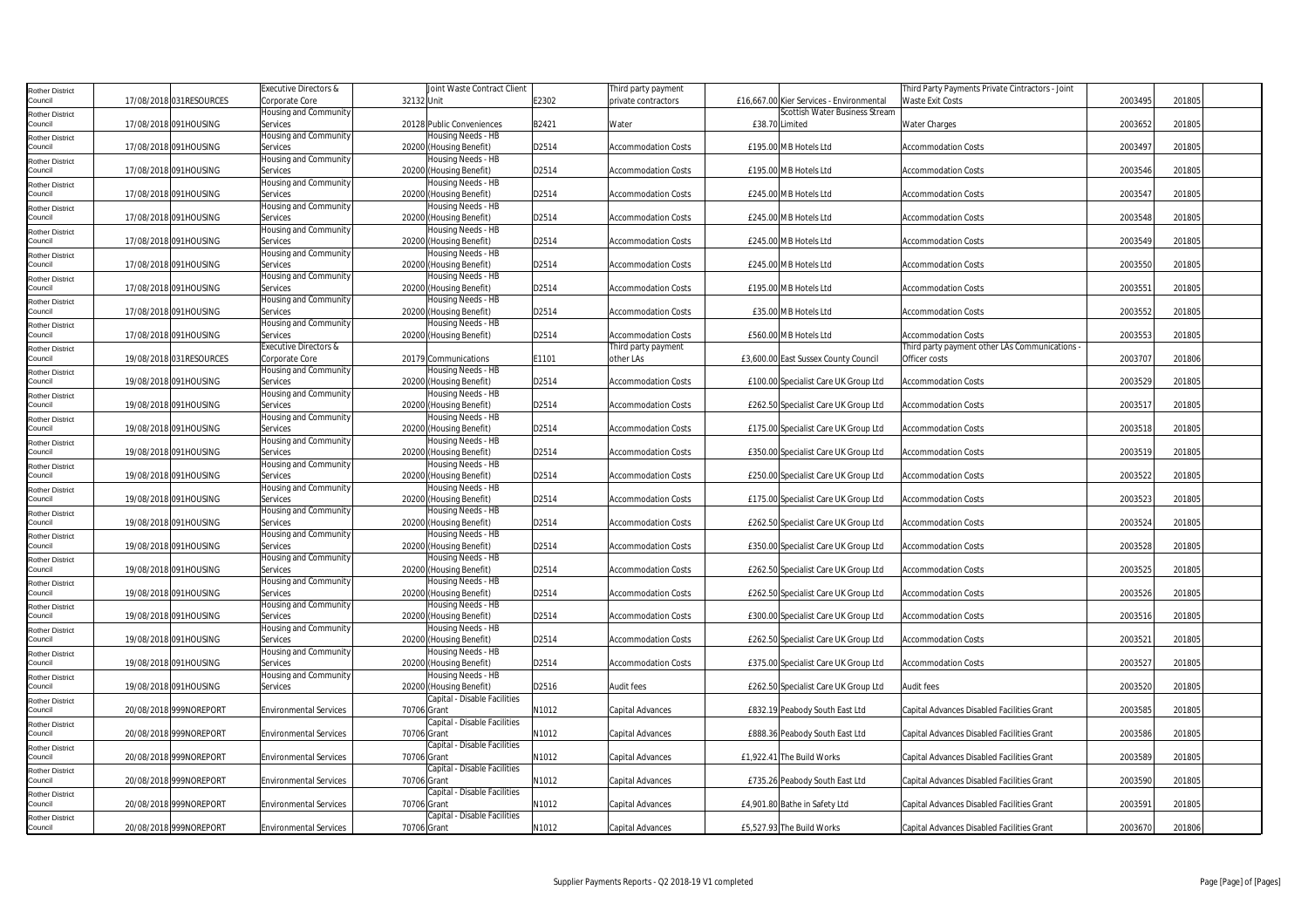| Rother District                   |                          | Executive Directors &             | Joint Waste Contract Client                   |       | Third party payment        |                                          | Third Party Payments Private Cintractors - Joint |         |        |
|-----------------------------------|--------------------------|-----------------------------------|-----------------------------------------------|-------|----------------------------|------------------------------------------|--------------------------------------------------|---------|--------|
| Council                           | 17/08/2018 031 RESOURCES | Corporate Core                    | 32132 Unit                                    | E2302 | private contractors        | £16,667.00 Kier Services - Environmental | <b>Waste Exit Costs</b>                          | 2003495 | 201805 |
| Rother District                   |                          | Housing and Community             |                                               |       |                            | Scottish Water Business Stream           |                                                  |         |        |
| Council                           | 17/08/2018 091HOUSING    | Services                          | 20128 Public Conveniences                     | B2421 | Water                      | £38.70 Limited                           | Water Charges                                    | 2003652 | 201805 |
| Rother District                   |                          | Housing and Community             | Housing Needs - HB                            |       |                            |                                          |                                                  |         |        |
| Council                           | 17/08/2018 091HOUSING    | Services                          | 20200 (Housing Benefit)                       | D2514 | <b>Accommodation Costs</b> | £195.00 MB Hotels Ltd                    | <b>Accommodation Costs</b>                       | 2003497 | 201805 |
| <b>Rother District</b>            |                          | Housing and Community             | Housing Needs - HB                            |       |                            |                                          |                                                  |         |        |
| Council                           | 17/08/2018 091HOUSING    | Services                          | 20200 (Housing Benefit)                       | D2514 | <b>Accommodation Costs</b> | £195.00 MB Hotels Ltd                    | <b>Accommodation Costs</b>                       | 2003546 | 201805 |
| Rother District                   |                          | Housing and Community             | Housing Needs - HB                            |       |                            |                                          |                                                  |         |        |
| Council                           | 17/08/2018 091HOUSING    | Services                          | 20200 (Housing Benefit)                       | D2514 | <b>Accommodation Costs</b> | £245.00 MB Hotels Ltd                    | <b>Accommodation Costs</b>                       | 2003547 | 201805 |
| Rother District                   |                          | Housing and Community             | Housing Needs - HB                            |       |                            |                                          |                                                  |         |        |
| Council                           | 17/08/2018 091HOUSING    | Services                          | 20200 (Housing Benefit)                       | D2514 | <b>Accommodation Costs</b> | £245.00 MB Hotels Ltd                    | <b>Accommodation Costs</b>                       | 2003548 | 201805 |
| Rother District                   |                          | Housing and Community             | Housing Needs - HB                            |       |                            |                                          |                                                  |         |        |
| Council                           | 17/08/2018 091HOUSING    | Services                          | 20200 (Housing Benefit)                       | D2514 | <b>Accommodation Costs</b> | £245.00 MB Hotels Ltd                    | <b>Accommodation Costs</b>                       | 2003549 | 201805 |
| <b>Rother District</b>            |                          | Housing and Community             | Housing Needs - HB                            |       |                            |                                          |                                                  |         |        |
| Council                           | 17/08/2018 091HOUSING    | Services                          | 20200 (Housing Benefit)                       | D2514 | <b>Accommodation Costs</b> | £245.00 MB Hotels Ltd                    | <b>Accommodation Costs</b>                       | 2003550 | 201805 |
| Rother District                   |                          | Housing and Community             | Housing Needs - HB                            |       |                            |                                          |                                                  |         |        |
| Council                           | 17/08/2018 091HOUSING    | Services                          | 20200 (Housing Benefit)                       | D2514 | <b>Accommodation Costs</b> | £195.00 MB Hotels Ltd                    | <b>Accommodation Costs</b>                       | 2003551 | 201805 |
| Rother District                   |                          | Housing and Community             | Housing Needs - HB                            |       |                            |                                          |                                                  |         |        |
| Council                           | 17/08/2018 091HOUSING    | Services                          | 20200 (Housing Benefit)                       | D2514 | <b>Accommodation Costs</b> | £35.00 MB Hotels Ltd                     | Accommodation Costs                              | 2003552 | 201805 |
| Rother District                   |                          | Housing and Community             | Housing Needs - HB                            |       |                            |                                          |                                                  |         |        |
| Council                           | 17/08/2018 091HOUSING    | Services                          | 20200 (Housing Benefit)                       | D2514 | <b>Accommodation Costs</b> | £560.00 MB Hotels Ltd                    | <b>Accommodation Costs</b>                       | 2003553 | 201805 |
| Rother District                   |                          | Executive Directors &             |                                               |       | Third party payment        |                                          | Third party payment other LAs Communications     |         |        |
| Council                           | 19/08/2018 031RESOURCES  | Corporate Core                    | 20179 Communications                          | E1101 | other LAs                  | £3,600.00 East Sussex County Council     | Officer costs                                    | 2003707 | 201806 |
| Rother District                   |                          | Housing and Community             | Housing Needs - HB                            |       |                            |                                          |                                                  |         |        |
| Council                           | 19/08/2018 091HOUSING    | Services                          | 20200<br>(Housing Benefit)                    | D2514 | <b>Accommodation Costs</b> | £100.00 Specialist Care UK Group Ltd     | <b>Accommodation Costs</b>                       | 2003529 | 201805 |
| <b>Rother District</b>            |                          | Housing and Community             | Housing Needs - HB                            |       |                            |                                          |                                                  |         |        |
| Council                           | 19/08/2018 091HOUSING    | Services                          | 20200 (Housing Benefit)                       | D2514 | <b>Accommodation Costs</b> | £262.50 Specialist Care UK Group Ltd     | <b>Accommodation Costs</b>                       | 2003517 | 201805 |
| Rother District                   |                          | Housing and Community             | Housing Needs - HB                            |       |                            |                                          |                                                  |         |        |
| Council                           | 19/08/2018 091HOUSING    | Services                          | 20200 (Housing Benefit)                       | D2514 | <b>Accommodation Costs</b> | £175.00 Specialist Care UK Group Ltd     | <b>Accommodation Costs</b>                       | 2003518 | 201805 |
| Rother District                   |                          | Housing and Community             | Housing Needs - HB                            |       |                            |                                          |                                                  |         |        |
| Council                           | 19/08/2018 091HOUSING    | Services                          | 20200 (Housing Benefit)                       | D2514 | <b>Accommodation Costs</b> | £350.00 Specialist Care UK Group Ltd     | <b>Accommodation Costs</b>                       | 2003519 | 201805 |
| <b>Rother District</b>            |                          | Housing and Community             | Housing Needs - HB                            |       |                            |                                          |                                                  |         |        |
| Council                           | 19/08/2018 091HOUSING    | Services                          | 20200 (Housing Benefit)                       | D2514 | <b>Accommodation Costs</b> | £250.00 Specialist Care UK Group Ltd     | <b>Accommodation Costs</b>                       | 2003522 | 201805 |
| <b>Rother District</b>            |                          | Housing and Community             | Housing Needs - HB                            |       |                            |                                          |                                                  |         |        |
| Council                           | 19/08/2018 091HOUSING    | Services                          | 20200 (Housing Benefit)                       | D2514 | <b>Accommodation Costs</b> | £175.00 Specialist Care UK Group Ltd     | <b>Accommodation Costs</b>                       | 2003523 | 201805 |
| Rother District                   |                          | Housing and Community             | Housing Needs - HB                            |       |                            |                                          |                                                  |         |        |
| Council                           | 19/08/2018 091HOUSING    | Services                          | 20200 (Housing Benefit)                       | D2514 | <b>Accommodation Costs</b> | £262.50 Specialist Care UK Group Ltd     | <b>Accommodation Costs</b>                       | 2003524 | 201805 |
| Rother District                   |                          | Housing and Community             | Housing Needs - HB                            |       |                            |                                          |                                                  |         |        |
| Council                           | 19/08/2018 091HOUSING    | Services                          | 20200 (Housing Benefit)                       | D2514 | <b>Accommodation Costs</b> | £350.00 Specialist Care UK Group Ltd     | <b>Accommodation Costs</b>                       | 2003528 | 201805 |
| Rother District                   |                          | Housing and Community             | Housing Needs - HB                            |       |                            |                                          |                                                  |         |        |
| Council                           | 19/08/2018 091HOUSING    | Services                          | 20200 (Housing Benefit)                       | D2514 | <b>Accommodation Costs</b> | £262.50 Specialist Care UK Group Ltd     | <b>Accommodation Costs</b>                       | 2003525 | 201805 |
| Rother District<br>Council        | 19/08/2018 091HOUSING    | Housing and Community<br>Services | Housing Needs - HB<br>20200 (Housing Benefit) | D2514 | <b>Accommodation Costs</b> | £262.50 Specialist Care UK Group Ltd     | <b>Accommodation Costs</b>                       | 2003526 | 201805 |
|                                   |                          | lousing and Community             | Housing Needs - HB                            |       |                            |                                          |                                                  |         |        |
| Rother District<br>Council        | 19/08/2018 091HOUSING    | Services                          | 20200 (Housing Benefit)                       | D2514 | <b>Accommodation Costs</b> | £300.00 Specialist Care UK Group Ltd     | <b>Accommodation Costs</b>                       | 2003516 | 201805 |
|                                   |                          | Housing and Community             | Housing Needs - HB                            |       |                            |                                          |                                                  |         |        |
| <b>Rother District</b><br>Council | 19/08/2018 091HOUSING    | Services                          | 20200 (Housing Benefit)                       | D2514 | <b>Accommodation Costs</b> | £262.50 Specialist Care UK Group Ltd     | <b>Accommodation Costs</b>                       | 2003521 | 201805 |
| Rother District                   |                          | Housing and Community             | Housing Needs - HB                            |       |                            |                                          |                                                  |         |        |
| Council                           | 19/08/2018 091HOUSING    | Services                          | 20200 (Housing Benefit)                       | D2514 | <b>Accommodation Costs</b> | £375.00 Specialist Care UK Group Ltd     | <b>Accommodation Costs</b>                       | 2003527 | 201805 |
| Rother District                   |                          | lousing and Community             | Housing Needs - HB                            |       |                            |                                          |                                                  |         |        |
| Council                           | 19/08/2018 091HOUSING    | Services                          | 20200 (Housing Benefit)                       | D2516 | <b>Audit fees</b>          | £262.50 Specialist Care UK Group Ltd     | Audit fees                                       | 2003520 | 201805 |
| Rother District                   |                          |                                   | Capital - Disable Facilities                  |       |                            |                                          |                                                  |         |        |
| Council                           | 20/08/2018 999NOREPORT   | <b>Environmental Services</b>     | 70706 Grant                                   | N1012 | Capital Advances           | £832.19 Peabody South East Ltd           | Capital Advances Disabled Facilities Grant       | 2003585 | 201805 |
| Rother District                   |                          |                                   | Capital - Disable Facilities                  |       |                            |                                          |                                                  |         |        |
| Council                           | 20/08/2018 999NOREPORT   | <b>Environmental Services</b>     | 70706 Grant                                   | N1012 | Capital Advances           | £888.36 Peabody South East Ltd           | Capital Advances Disabled Facilities Grant       | 2003586 | 201805 |
| <b>Rother District</b>            |                          |                                   | Capital - Disable Facilities                  |       |                            |                                          |                                                  |         |        |
| Council                           | 20/08/2018 999NOREPORT   | <b>Environmental Services</b>     | 70706 Grant                                   | N1012 | Capital Advances           | £1,922.41 The Build Works                | Capital Advances Disabled Facilities Grant       | 2003589 | 201805 |
| Rother District                   |                          |                                   | Capital - Disable Facilities                  |       |                            |                                          |                                                  |         |        |
| Council                           | 20/08/2018 999NOREPORT   | <b>Environmental Services</b>     | 70706 Grant                                   | N1012 | Capital Advances           | £735.26 Peabody South East Ltd           | Capital Advances Disabled Facilities Grant       | 2003590 | 201805 |
| Rother District                   |                          |                                   | Capital - Disable Facilities                  |       |                            |                                          |                                                  |         |        |
| Council                           | 20/08/2018 999NOREPORT   | <b>Environmental Services</b>     | 70706 Grant                                   | N1012 | Capital Advances           | £4,901.80 Bathe in Safety Ltd            | Capital Advances Disabled Facilities Grant       | 2003591 | 201805 |
| Rother District                   |                          |                                   | Capital - Disable Facilities                  |       |                            |                                          |                                                  |         |        |
| Council                           | 20/08/2018 999NOREPORT   | <b>Environmental Services</b>     | 70706 Grant                                   | N1012 | Capital Advances           | £5,527.93 The Build Works                | Capital Advances Disabled Facilities Grant       | 2003670 | 201806 |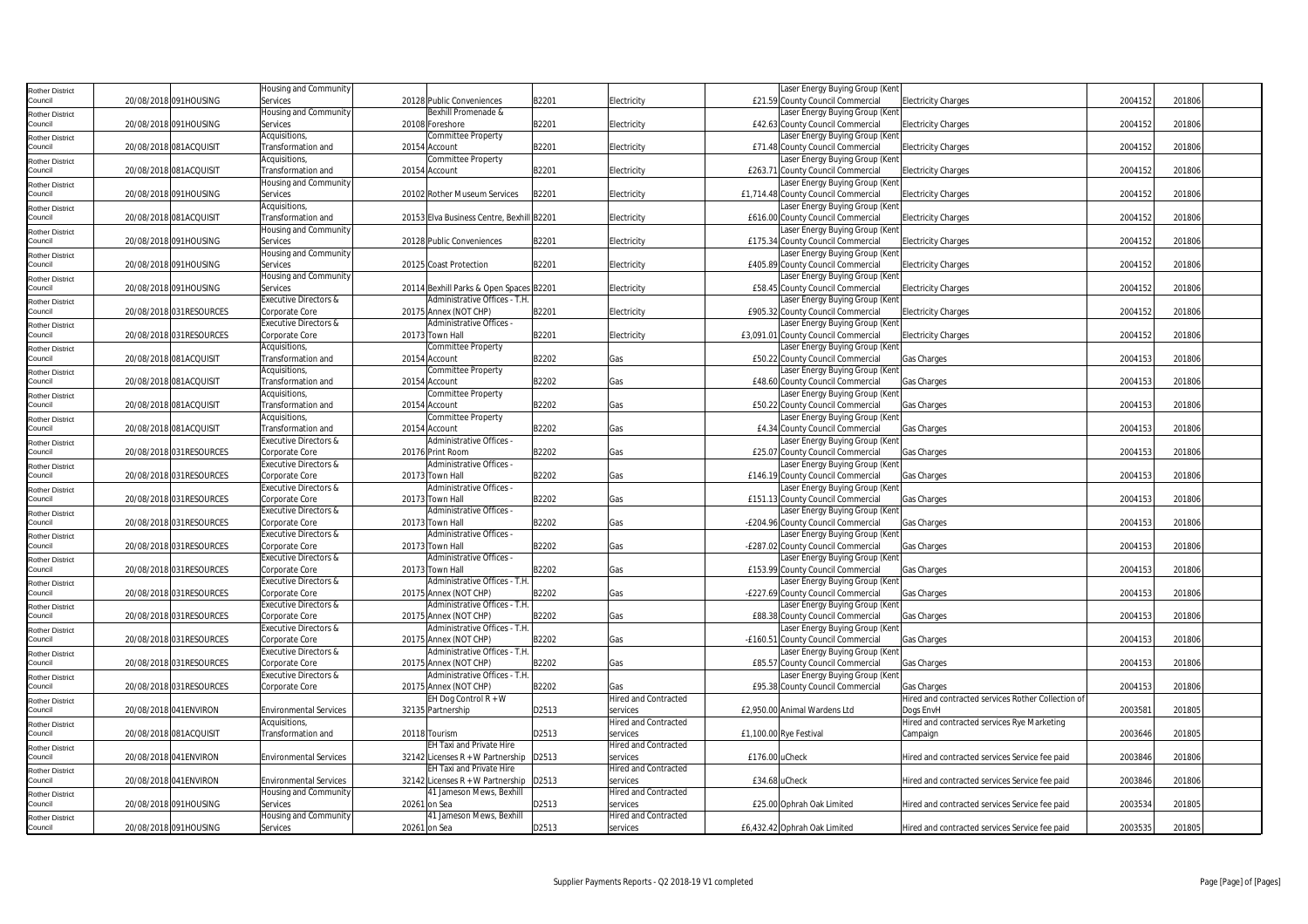| <b>Rother District</b>            |                         | Housing and Community                   |                                                        |       |                             |                | Laser Energy Buying Group (Kent                                      |                                                    |         |        |  |
|-----------------------------------|-------------------------|-----------------------------------------|--------------------------------------------------------|-------|-----------------------------|----------------|----------------------------------------------------------------------|----------------------------------------------------|---------|--------|--|
| Council                           | 20/08/2018 091HOUSING   | Services                                | 20128 Public Conveniences                              | B2201 | Electricity                 |                | £21.59 County Council Commercial                                     | <b>Electricity Charges</b>                         | 2004152 | 201806 |  |
| <b>Rother District</b>            |                         | Housing and Community                   | Bexhill Promenade &                                    |       |                             |                | Laser Energy Buying Group (Ker                                       |                                                    |         |        |  |
| Council                           | 20/08/2018 091HOUSING   | Services                                | 20108 Foreshore                                        | B2201 | Electricity                 |                | £42.63 County Council Commercial                                     | <b>Electricity Charges</b>                         | 2004152 | 201806 |  |
| <b>Rother District</b>            |                         | Acquisitions,                           | Committee Property                                     |       |                             |                | Laser Energy Buying Group (Kent                                      |                                                    |         |        |  |
| Council                           | 20/08/2018 081ACQUISIT  | Transformation and                      | 20154 Account                                          | B2201 | Electricity                 |                | £71.48 County Council Commercial                                     | <b>Electricity Charges</b>                         | 2004152 | 201806 |  |
| <b>Rother District</b>            |                         | Acquisitions,                           | Committee Property                                     |       |                             |                | Laser Energy Buying Group (Kent                                      |                                                    |         |        |  |
| Council                           | 20/08/2018 081ACQUISIT  | Transformation and                      | 20154 Account                                          | B2201 | Electricity                 |                | £263.71 County Council Commercial                                    | <b>Electricity Charges</b>                         | 2004152 | 201806 |  |
| <b>Rother District</b>            |                         | Housing and Community                   |                                                        |       |                             |                | Laser Energy Buying Group (Ken                                       |                                                    |         |        |  |
| Council                           | 20/08/2018 091HOUSING   | Services                                | 20102 Rother Museum Services                           | B2201 | Electricity                 |                | £1,714.48 County Council Commercial                                  | <b>Electricity Charges</b>                         | 2004152 | 201806 |  |
| <b>Rother District</b>            |                         | Acquisitions,                           |                                                        |       |                             |                | Laser Energy Buying Group (Kent                                      |                                                    |         |        |  |
| Council                           | 20/08/2018 081ACQUISIT  | Transformation and                      | 20153 Elva Business Centre, Bexhill B2201              |       | Electricity                 |                | £616.00 County Council Commercial                                    | <b>Electricity Charges</b>                         | 2004152 | 201806 |  |
| <b>Rother District</b><br>Council | 20/08/2018 091HOUSING   | Housing and Community<br>Services       | 20128 Public Conveniences                              | B2201 | Electricity                 |                | Laser Energy Buying Group (Kent<br>£175.34 County Council Commercial | <b>Electricity Charges</b>                         | 2004152 | 201806 |  |
|                                   |                         | Housing and Community                   |                                                        |       |                             |                | Laser Energy Buying Group (Kent                                      |                                                    |         |        |  |
| <b>Rother District</b><br>Council | 20/08/2018 091HOUSING   | Services                                | 20125 Coast Protection                                 | B2201 | Electricity                 |                | £405.89 County Council Commercial                                    | <b>Electricity Charges</b>                         | 2004152 | 201806 |  |
|                                   |                         | Housing and Community                   |                                                        |       |                             |                | Laser Energy Buying Group (Ken                                       |                                                    |         |        |  |
| <b>Rother District</b><br>Council | 20/08/2018 091HOUSING   | Services                                | 20114 Bexhill Parks & Open Spaces B2201                |       | Electricity                 |                | £58.45 County Council Commercial                                     | <b>Electricity Charges</b>                         | 2004152 | 201806 |  |
| <b>Rother District</b>            |                         | Executive Directors &                   | Administrative Offices - T.H.                          |       |                             |                | Laser Energy Buying Group (Kent                                      |                                                    |         |        |  |
| Council                           | 20/08/2018 031RESOURCES | Corporate Core                          | 20175 Annex (NOT CHP)                                  | B2201 | Electricity                 |                | £905.32 County Council Commercial                                    | <b>Electricity Charges</b>                         | 2004152 | 201806 |  |
| <b>Rother District</b>            |                         | Executive Directors &                   | Administrative Offices                                 |       |                             |                | Laser Energy Buying Group (Kent                                      |                                                    |         |        |  |
| Council                           | 20/08/2018 031RESOURCES | Corporate Core                          | 20173 Town Hall                                        | B2201 | Electricity                 |                | £3,091.01 County Council Commercial                                  | <b>Electricity Charges</b>                         | 2004152 | 201806 |  |
| <b>Rother District</b>            |                         | Acquisitions,                           | Committee Property                                     |       |                             |                | Laser Energy Buying Group (Ken                                       |                                                    |         |        |  |
| Council                           | 20/08/2018 081ACQUISIT  | Transformation and                      | 20154 Account                                          | B2202 | Gas                         |                | £50.22 County Council Commercial                                     | Gas Charges                                        | 2004153 | 201806 |  |
| <b>Rother District</b>            |                         | Acquisitions,                           | Committee Property                                     |       |                             |                | Laser Energy Buying Group (Kent                                      |                                                    |         |        |  |
| Council                           | 20/08/2018 081ACQUISIT  | Transformation and                      | 20154 Account                                          | B2202 | Gas                         |                | £48.60 County Council Commercial                                     | Gas Charges                                        | 2004153 | 201806 |  |
| <b>Rother District</b>            |                         | Acquisitions,                           | Committee Property                                     |       |                             |                | Laser Energy Buying Group (Ken                                       |                                                    |         |        |  |
| Council                           | 20/08/2018 081ACQUISIT  | Transformation and                      | 20154 Account                                          | B2202 | Gas                         |                | £50.22 County Council Commercial                                     | Gas Charges                                        | 2004153 | 201806 |  |
| <b>Rother District</b>            |                         | Acquisitions,                           | Committee Property                                     |       |                             |                | Laser Energy Buying Group (Ken                                       |                                                    |         |        |  |
| Council                           | 20/08/2018 081ACQUISIT  | Transformation and                      | 20154 Account                                          | B2202 | Gas                         |                | <b>£4.34 County Council Commercial</b>                               | Gas Charges                                        | 2004153 | 201806 |  |
| <b>Rother District</b>            |                         | <b>Executive Directors &amp;</b>        | Administrative Offices -                               |       |                             |                | Laser Energy Buying Group (Kent                                      |                                                    |         |        |  |
| Council                           | 20/08/2018 031RESOURCES | Corporate Core                          | 20176 Print Room                                       | B2202 | Gas                         |                | £25.07 County Council Commercial                                     | Gas Charges                                        | 2004153 | 201806 |  |
| <b>Rother District</b><br>Council | 20/08/2018 031RESOURCES | Executive Directors &<br>Corporate Core | Administrative Offices -<br>20173 Town Hall            | B2202 | Gas                         |                | Laser Energy Buying Group (Ken<br>£146.19 County Council Commercial  | Gas Charges                                        | 2004153 | 201806 |  |
|                                   |                         | Executive Directors &                   | Administrative Offices                                 |       |                             |                | Laser Energy Buying Group (Kent                                      |                                                    |         |        |  |
| <b>Rother District</b><br>Council | 20/08/2018 031RESOURCES | Corporate Core                          | 20173 Town Hall                                        | B2202 | Gas                         |                | £151.13 County Council Commercial                                    | Gas Charges                                        | 2004153 | 201806 |  |
| <b>Rother District</b>            |                         | Executive Directors &                   | Administrative Offices -                               |       |                             |                | Laser Energy Buying Group (Kent                                      |                                                    |         |        |  |
| Council                           | 20/08/2018 031RESOURCES | Corporate Core                          | 20173 Town Hall                                        | B2202 | Gas                         |                | -£204.96 County Council Commercial                                   | Gas Charges                                        | 2004153 | 201806 |  |
| <b>Rother District</b>            |                         | Executive Directors &                   | Administrative Offices                                 |       |                             |                | Laser Energy Buying Group (Ker                                       |                                                    |         |        |  |
| Council                           | 20/08/2018 031RESOURCES | Corporate Core                          | 20173 Town Hall                                        | B2202 | Gas                         |                | -£287.02 County Council Commercial                                   | Gas Charges                                        | 2004153 | 201806 |  |
| <b>Rother District</b>            |                         | <b>Executive Directors &amp;</b>        | Administrative Offices                                 |       |                             |                | Laser Energy Buying Group (Kent                                      |                                                    |         |        |  |
| Council                           | 20/08/2018 031RESOURCES | Corporate Core                          | 20173 Town Hall                                        | B2202 | Gas                         |                | £153.99 County Council Commercial                                    | Gas Charges                                        | 2004153 | 201806 |  |
| <b>Rother District</b>            |                         | Executive Directors &                   | Administrative Offices - T.H.                          |       |                             |                | Laser Energy Buying Group (Kent                                      |                                                    |         |        |  |
| Council                           | 20/08/2018 031RESOURCES | Corporate Core                          | 20175 Annex (NOT CHP)                                  | B2202 | Gas                         |                | -£227.69 County Council Commercial                                   | Gas Charges                                        | 2004153 | 201806 |  |
| <b>Rother District</b>            |                         | Executive Directors &                   | Administrative Offices - T.H                           |       |                             |                | Laser Energy Buying Group (Kent                                      |                                                    |         |        |  |
| Council                           | 20/08/2018 031RESOURCES | Corporate Core                          | 20175 Annex (NOT CHP)                                  | 32202 | Gas                         |                | £88.38 County Council Commercial                                     | Gas Charges                                        | 2004153 | 201806 |  |
| <b>Rother District</b><br>Council | 20/08/2018 031RESOURCES | Executive Directors &                   | Administrative Offices - T.H.<br>20175 Annex (NOT CHP) | B2202 |                             |                | Laser Energy Buying Group (Ken<br>-£160.51 County Council Commercial |                                                    | 2004153 | 201806 |  |
|                                   |                         | Corporate Core<br>Executive Directors & | Administrative Offices - T.H.                          |       | Gas                         |                | Laser Energy Buying Group (Kent                                      | Gas Charges                                        |         |        |  |
| <b>Rother District</b><br>Council | 20/08/2018 031RESOURCES | Corporate Core                          | 20175 Annex (NOT CHP)                                  | B2202 | Gas                         |                | £85.57 County Council Commercial                                     | Gas Charges                                        | 2004153 | 201806 |  |
| <b>Rother District</b>            |                         | Executive Directors &                   | Administrative Offices - T.H                           |       |                             |                | Laser Energy Buying Group (Kent                                      |                                                    |         |        |  |
| Council                           | 20/08/2018 031RESOURCES | Corporate Core                          | 20175 Annex (NOT CHP)                                  | B2202 | Gas                         |                | £95.38 County Council Commercial                                     | Gas Charges                                        | 2004153 | 201806 |  |
| <b>Rother District</b>            |                         |                                         | EH Dog Control R + W                                   |       | <b>Hired and Contracted</b> |                |                                                                      | Hired and contracted services Rother Collection of |         |        |  |
| Council                           | 20/08/2018 041ENVIRON   | <b>Environmental Services</b>           | 32135 Partnership                                      | D2513 | services                    |                | £2,950.00 Animal Wardens Ltd                                         | Dogs EnvH                                          | 2003581 | 201805 |  |
| <b>Rother District</b>            |                         | Acquisitions,                           |                                                        |       | <b>Hired and Contracted</b> |                |                                                                      | Hired and contracted services Rye Marketing        |         |        |  |
| Council                           | 20/08/2018 081ACQUISIT  | Transformation and                      | 20118 Tourism                                          | D2513 | services                    |                | £1,100.00 Rye Festival                                               | Campaign                                           | 2003646 | 201805 |  |
| <b>Rother District</b>            |                         |                                         | <b>EH Taxi and Private Hire</b>                        |       | Hired and Contracted        |                |                                                                      |                                                    |         |        |  |
| Council                           | 20/08/2018 041ENVIRON   | <b>Environmental Services</b>           | 32142 Licenses $R + W$ Partnership                     | D2513 | services                    | £176.00 uCheck |                                                                      | Hired and contracted services Service fee paid     | 2003846 | 201806 |  |
| Rother District                   |                         |                                         | <b>EH Taxi and Private Hire</b>                        |       | <b>Hired and Contracted</b> |                |                                                                      |                                                    |         |        |  |
| Council                           | 20/08/2018 041ENVIRON   | <b>Environmental Services</b>           | 32142 Licenses $R + W$ Partnership D2513               |       | services                    | £34.68 uCheck  |                                                                      | Hired and contracted services Service fee paid     | 2003846 | 201806 |  |
| <b>Rother District</b>            |                         | Housing and Community                   | 41 Jameson Mews, Bexhill                               |       | <b>Hired and Contracted</b> |                |                                                                      |                                                    |         |        |  |
| Council                           | 20/08/2018 091HOUSING   | Services                                | 20261 on Sea                                           | D2513 | services                    |                | £25.00 Ophrah Oak Limited                                            | Hired and contracted services Service fee paid     | 2003534 | 201805 |  |
| <b>Rother District</b>            |                         | Housing and Community                   | 41 Jameson Mews, Bexhill                               |       | <b>Hired and Contracted</b> |                |                                                                      |                                                    |         |        |  |
| Council                           | 20/08/2018 091HOUSING   | Services                                | 20261 on Sea                                           | D2513 | services                    |                | £6,432.42 Ophrah Oak Limited                                         | Hired and contracted services Service fee paid     | 2003535 | 201805 |  |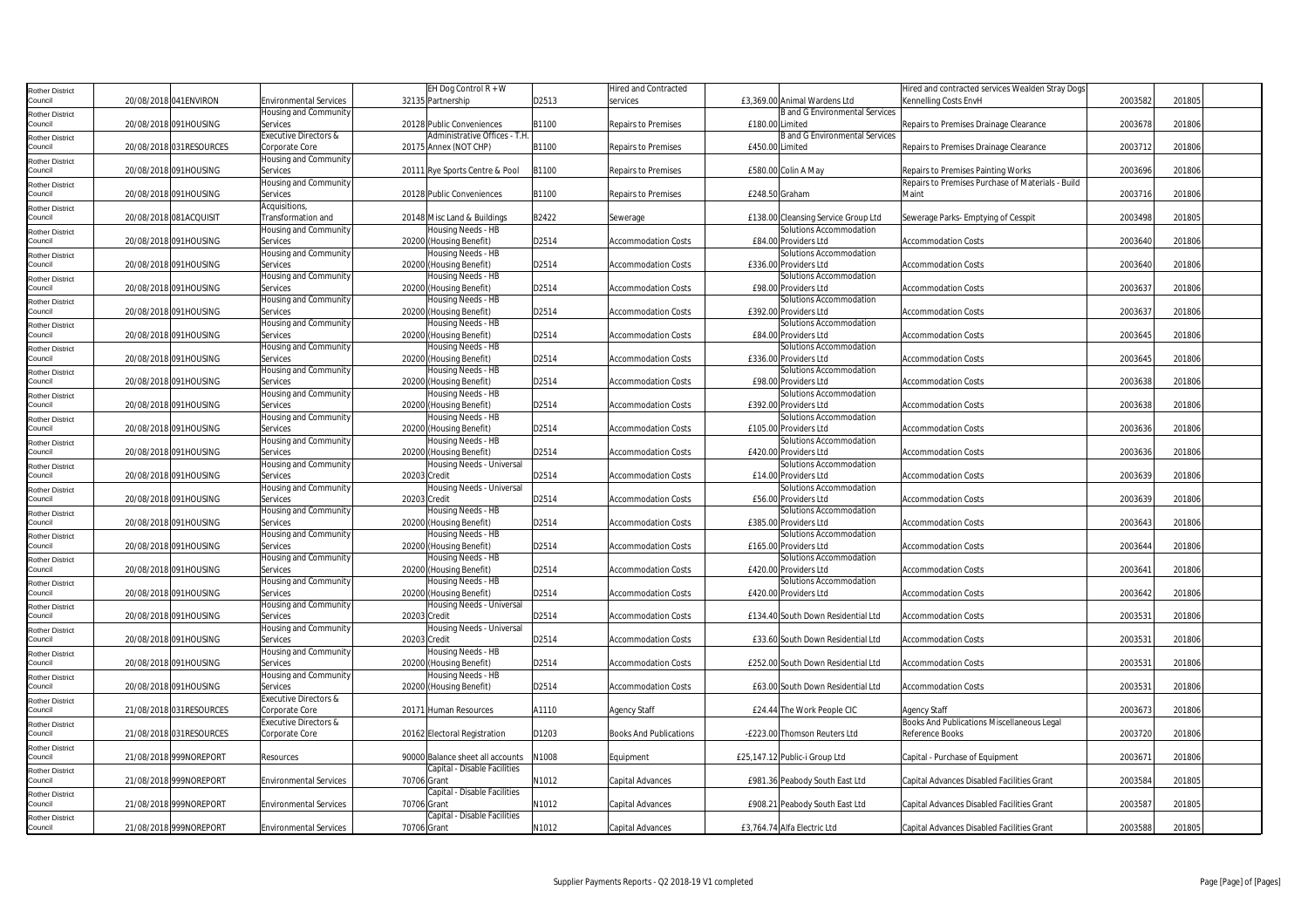| Rother District                   |                          |                               | EH Dog Control $R + W$           |       | <b>Hired and Contracted</b>   |                                       | Hired and contracted services Wealden Stray Dogs  |         |        |
|-----------------------------------|--------------------------|-------------------------------|----------------------------------|-------|-------------------------------|---------------------------------------|---------------------------------------------------|---------|--------|
| Council                           | 20/08/2018 041ENVIRON    | Environmental Services        | 32135 Partnership                | D2513 | services                      | £3,369.00 Animal Wardens Ltd          | Kennelling Costs EnvH                             | 2003582 | 201805 |
| Rother District                   |                          | <b>Housing and Community</b>  |                                  |       |                               | <b>B</b> and G Environmental Services |                                                   |         |        |
| Council                           | 20/08/2018 091HOUSING    | Services                      | 20128 Public Conveniences        | B1100 | Repairs to Premises           | £180.00 Limited                       | Repairs to Premises Drainage Clearance            | 2003678 | 201806 |
|                                   |                          | Executive Directors &         | Administrative Offices - T.H     |       |                               | <b>B</b> and G Environmental Services |                                                   |         |        |
| Rother District<br>Council        | 20/08/2018 031 RESOURCES | Corporate Core                | 20175 Annex (NOT CHP)            | B1100 | Repairs to Premises           | £450.00 Limited                       | Repairs to Premises Drainage Clearance            | 2003712 | 201806 |
|                                   |                          | <b>Housing and Community</b>  |                                  |       |                               |                                       |                                                   |         |        |
| Rother District<br>Council        | 20/08/2018 091HOUSING    | Services                      | 20111 Rye Sports Centre & Pool   | B1100 | Repairs to Premises           | £580.00 Colin A May                   | Repairs to Premises Painting Works                | 2003696 | 201806 |
|                                   |                          |                               |                                  |       |                               |                                       |                                                   |         |        |
| <b>Rother District</b>            |                          | Housing and Community         |                                  |       |                               |                                       | Repairs to Premises Purchase of Materials - Build |         |        |
| Council                           | 20/08/2018 091HOUSING    | Services                      | 20128 Public Conveniences        | B1100 | Repairs to Premises           | £248.50 Graham                        | Maint                                             | 2003716 | 201806 |
| <b>Rother District</b>            |                          | Acquisitions,                 |                                  |       |                               |                                       |                                                   |         |        |
| Council                           | 20/08/2018 081ACQUISIT   | Transformation and            | 20148 Misc Land & Buildings      | B2422 | Sewerage                      | £138.00 Cleansing Service Group Ltd   | Sewerage Parks- Emptying of Cesspit               | 2003498 | 201805 |
| Rother District                   |                          | Housing and Community         | Housing Needs - HB               |       |                               | Solutions Accommodation               |                                                   |         |        |
| Council                           | 20/08/2018 091HOUSING    | Services                      | 20200 (Housing Benefit)          | D2514 | <b>Accommodation Costs</b>    | £84.00 Providers Ltd                  | <b>Accommodation Costs</b>                        | 2003640 | 201806 |
| Rother District                   |                          | Housing and Community         | Housing Needs - HB               |       |                               | Solutions Accommodation               |                                                   |         |        |
| Council                           | 20/08/2018 091HOUSING    | Services                      | 20200 (Housing Benefit)          | D2514 | <b>Accommodation Costs</b>    | £336.00 Providers Ltd                 | Accommodation Costs                               | 2003640 | 201806 |
| <b>Rother District</b>            |                          | Housing and Community         | Housing Needs - HB               |       |                               | Solutions Accommodation               |                                                   |         |        |
| Council                           | 20/08/2018 091HOUSING    | Services                      | 20200 (Housing Benefit)          | D2514 | <b>Accommodation Costs</b>    | £98.00 Providers Ltd                  | <b>Accommodation Costs</b>                        | 2003637 | 201806 |
|                                   |                          | Housing and Community         | Housing Needs - HB               |       |                               | Solutions Accommodation               |                                                   |         |        |
| Rother District<br>Council        | 20/08/2018 091HOUSING    | Services                      |                                  | D2514 |                               |                                       |                                                   | 2003637 | 201806 |
|                                   |                          |                               | 20200 (Housing Benefit)          |       | <b>Accommodation Costs</b>    | £392.00 Providers Ltd                 | Accommodation Costs                               |         |        |
| Rother District                   |                          | Housing and Community         | Housing Needs - HB               |       |                               | Solutions Accommodation               |                                                   |         |        |
| Council                           | 20/08/2018 091HOUSING    | Services                      | 20200 (Housing Benefit)          | D2514 | <b>Accommodation Costs</b>    | £84.00 Providers Ltd                  | Accommodation Costs                               | 2003645 | 201806 |
| <b>Rother District</b>            |                          | Housing and Community         | Housing Needs - HB               |       |                               | Solutions Accommodation               |                                                   |         |        |
| Council                           | 20/08/2018 091HOUSING    | Services                      | 20200 (Housing Benefit)          | D2514 | <b>Accommodation Costs</b>    | £336.00 Providers Ltd                 | <b>Accommodation Costs</b>                        | 2003645 | 201806 |
| Rother District                   |                          | Housing and Community         | Housing Needs - HB               |       |                               | Solutions Accommodation               |                                                   |         |        |
| Council                           | 20/08/2018 091HOUSING    | Services                      | 20200 (Housing Benefit)          | D2514 | <b>Accommodation Costs</b>    | £98.00 Providers Ltd                  | <b>Accommodation Costs</b>                        | 2003638 | 201806 |
| Rother District                   |                          | Housing and Community         | Housing Needs - HB               |       |                               | Solutions Accommodation               |                                                   |         |        |
| Council                           | 20/08/2018 091HOUSING    | Services                      | 20200 (Housing Benefit)          | D2514 | <b>Accommodation Costs</b>    | £392.00 Providers Ltd                 | <b>Accommodation Costs</b>                        | 2003638 | 201806 |
| Rother District                   |                          | Housing and Community         | Housing Needs - HB               |       |                               | Solutions Accommodation               |                                                   |         |        |
| Council                           | 20/08/2018 091HOUSING    | Services                      | 20200 (Housing Benefit)          | D2514 | <b>Accommodation Costs</b>    | £105.00 Providers Ltd                 | <b>Accommodation Costs</b>                        | 2003636 | 201806 |
|                                   |                          | Housing and Community         | Housing Needs - HB               |       |                               | Solutions Accommodation               |                                                   |         |        |
| Rother District<br>Council        | 20/08/2018 091HOUSING    | Services                      | 20200 (Housing Benefit)          | D2514 | <b>Accommodation Costs</b>    | £420.00 Providers Ltd                 | Accommodation Costs                               | 2003636 | 201806 |
|                                   |                          | lousing and Community         | Housing Needs - Universal        |       |                               | Solutions Accommodation               |                                                   |         |        |
| <b>Rother District</b><br>Council |                          |                               |                                  |       |                               |                                       |                                                   |         |        |
|                                   | 20/08/2018 091HOUSING    | Services                      | 20203 Credit                     | D2514 | <b>Accommodation Costs</b>    | £14.00 Providers Ltd                  | <b>Accommodation Costs</b>                        | 2003639 | 201806 |
| Rother District                   |                          | Housing and Community         | Housing Needs - Universal        |       |                               | Solutions Accommodation               |                                                   |         |        |
| Council                           | 20/08/2018 091HOUSING    | Services                      | 20203 Credit                     | D2514 | <b>Accommodation Costs</b>    | £56.00 Providers Ltd                  | Accommodation Costs                               | 2003639 | 201806 |
| <b>Rother District</b>            |                          | lousing and Community         | Housing Needs - HB               |       |                               | Solutions Accommodation               |                                                   |         |        |
| Council                           | 20/08/2018 091HOUSING    | Services                      | 20200 (Housing Benefit)          | D2514 | <b>Accommodation Costs</b>    | £385.00 Providers Ltd                 | <b>Accommodation Costs</b>                        | 2003643 | 201806 |
| Rother District                   |                          | Housing and Community         | Housing Needs - HB               |       |                               | Solutions Accommodation               |                                                   |         |        |
| Council                           | 20/08/2018 091HOUSING    | Services                      | 20200 (Housing Benefit)          | D2514 | <b>Accommodation Costs</b>    | £165.00 Providers Ltd                 | <b>Accommodation Costs</b>                        | 2003644 | 201806 |
| Rother District                   |                          | Housing and Community         | Housing Needs - HB               |       |                               | Solutions Accommodation               |                                                   |         |        |
| Council                           | 20/08/2018 091HOUSING    | Services                      | 20200 (Housing Benefit)          | D2514 | <b>Accommodation Costs</b>    | £420.00 Providers Ltd                 | <b>Accommodation Costs</b>                        | 2003641 | 201806 |
| Rother District                   |                          | Housing and Community         | Housing Needs - HB               |       |                               | Solutions Accommodation               |                                                   |         |        |
| Council                           | 20/08/2018 091HOUSING    | Services                      | 20200 (Housing Benefit)          | D2514 | <b>Accommodation Costs</b>    | £420.00 Providers Ltd                 | <b>Accommodation Costs</b>                        | 2003642 | 201806 |
|                                   |                          | Housing and Community         | Housing Needs - Universal        |       |                               |                                       |                                                   |         |        |
| <b>Rother District</b><br>Council | 20/08/2018 091HOUSING    | Services                      | 20203 Credit                     | D2514 | <b>Accommodation Costs</b>    | £134.40 South Down Residential Ltd    | <b>Accommodation Costs</b>                        | 2003531 | 201806 |
|                                   |                          |                               | Housing Needs - Universal        |       |                               |                                       |                                                   |         |        |
| <b>Rother District</b>            |                          | Housing and Community         |                                  |       |                               |                                       |                                                   |         |        |
| Council                           | 20/08/2018 091HOUSING    | Services                      | 20203 Credit                     | D2514 | <b>Accommodation Costs</b>    | £33.60 South Down Residential Ltd     | <b>Accommodation Costs</b>                        | 2003531 | 201806 |
| Rother District                   |                          | Housing and Community         | Housing Needs - HB               |       |                               |                                       |                                                   |         |        |
| Council                           | 20/08/2018 091HOUSING    | Services                      | 20200 (Housing Benefit)          | D2514 | <b>Accommodation Costs</b>    | £252.00 South Down Residential Ltd    | <b>Accommodation Costs</b>                        | 2003531 | 201806 |
| <b>Rother District</b>            |                          | Housing and Community         | Housing Needs - HB               |       |                               |                                       |                                                   |         |        |
| Council                           | 20/08/2018 091HOUSING    | Services                      | 20200 (Housing Benefit)          | D2514 | <b>Accommodation Costs</b>    | £63.00 South Down Residential Ltd     | <b>Accommodation Costs</b>                        | 2003531 | 201806 |
| Rother District                   |                          | Executive Directors &         |                                  |       |                               |                                       |                                                   |         |        |
| Council                           | 21/08/2018 031RESOURCES  | Corporate Core                | 20171 Human Resources            | A1110 | <b>Agency Staff</b>           | £24.44 The Work People CIC            | Agency Staff                                      | 2003673 | 201806 |
| Rother District                   |                          | Executive Directors &         |                                  |       |                               |                                       | Books And Publications Miscellaneous Legal        |         |        |
| Council                           | 21/08/2018 031RESOURCES  | Corporate Core                | 20162 Electoral Registration     | D1203 | <b>Books And Publications</b> | -£223.00 Thomson Reuters Ltd          | Reference Books                                   | 2003720 | 201806 |
| <b>Rother District</b>            |                          |                               |                                  |       |                               |                                       |                                                   |         |        |
| Council                           | 21/08/2018 999NOREPORT   | Resources                     | 90000 Balance sheet all accounts | N1008 | Equipment                     | £25,147.12 Public-i Group Ltd         | Capital - Purchase of Equipment                   | 2003671 | 201806 |
|                                   |                          |                               | Capital - Disable Facilities     |       |                               |                                       |                                                   |         |        |
| <b>Rother District</b><br>Council | 21/08/2018 999NOREPORT   | <b>Environmental Services</b> | 70706 Grant                      | N1012 | Capital Advances              | £981.36 Peabody South East Ltd        | Capital Advances Disabled Facilities Grant        | 2003584 | 201805 |
|                                   |                          |                               |                                  |       |                               |                                       |                                                   |         |        |
| <b>Rother District</b>            |                          |                               | Capital - Disable Facilities     |       |                               |                                       |                                                   |         |        |
| Council                           | 21/08/2018 999NOREPORT   | <b>Environmental Services</b> | 70706 Grant                      | N1012 | Capital Advances              | £908.21 Peabody South East Ltd        | Capital Advances Disabled Facilities Grant        | 2003587 | 201805 |
| Rother District                   |                          |                               | Capital - Disable Facilities     |       |                               |                                       |                                                   |         |        |
| Council                           | 21/08/2018 999NOREPORT   | <b>Environmental Services</b> | 70706 Grant                      | N1012 | Capital Advances              | £3,764.74 Alfa Electric Ltd           | Capital Advances Disabled Facilities Grant        | 2003588 | 201805 |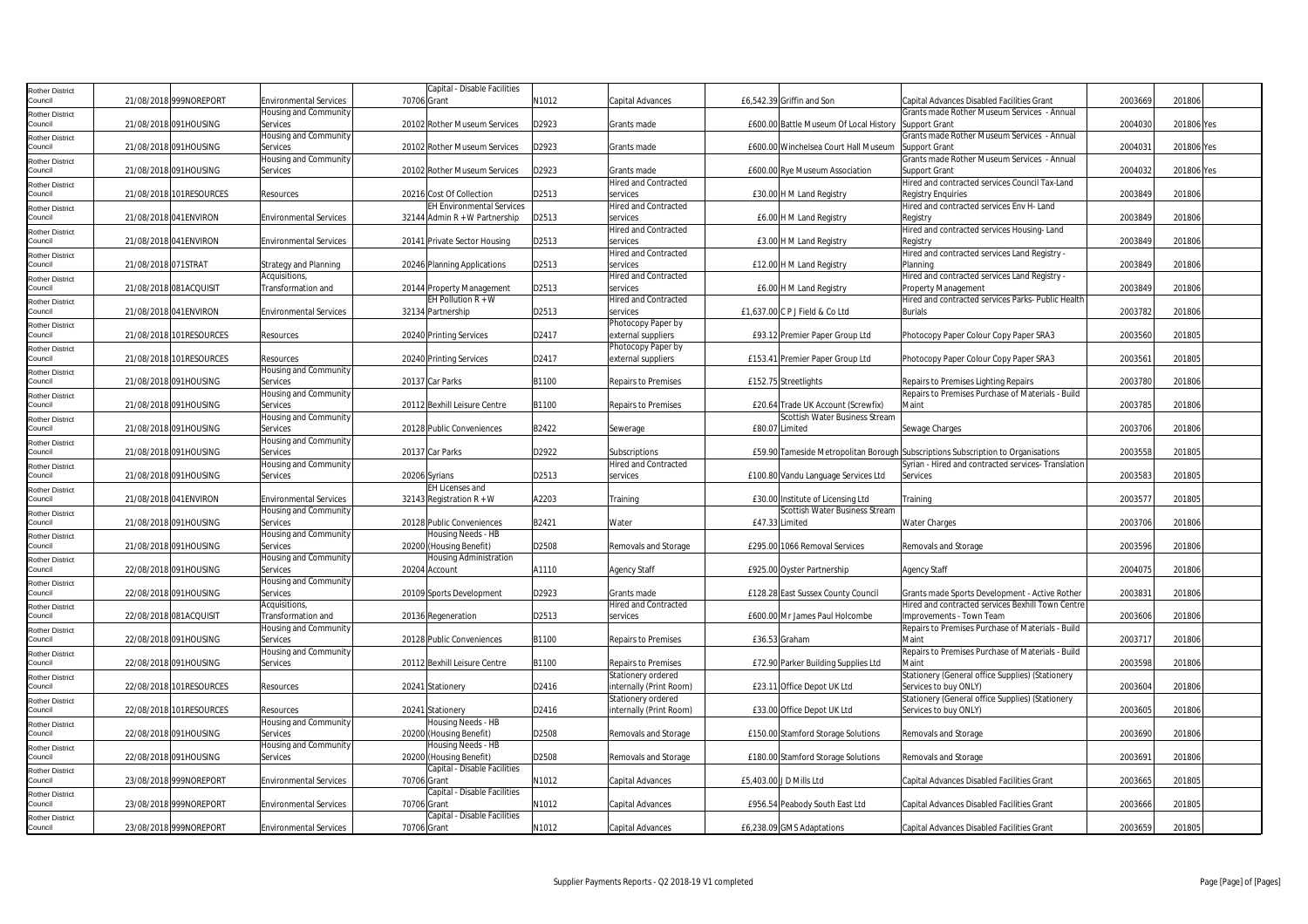| Rother District            |                     |                         |                               |             | Capital - Disable Facilities     |       |                             |                |                                        |                                                                                  |         |            |
|----------------------------|---------------------|-------------------------|-------------------------------|-------------|----------------------------------|-------|-----------------------------|----------------|----------------------------------------|----------------------------------------------------------------------------------|---------|------------|
| Council                    |                     | 21/08/2018 999NOREPORT  | <b>Environmental Services</b> | 70706 Grant |                                  | N1012 | Capital Advances            |                | £6,542.39 Griffin and Son              | Capital Advances Disabled Facilities Grant                                       | 2003669 | 201806     |
| Rother District            |                     |                         | Housing and Community         |             |                                  |       |                             |                |                                        | Grants made Rother Museum Services - Annual                                      |         |            |
| Council                    |                     | 21/08/2018 091HOUSING   | Services                      |             | 20102 Rother Museum Services     | D2923 | Grants made                 |                | £600.00 Battle Museum Of Local History | <b>Support Grant</b>                                                             | 2004030 | 201806 Yes |
|                            |                     |                         | Housing and Community         |             |                                  |       |                             |                |                                        | Grants made Rother Museum Services - Annual                                      |         |            |
| Rother District<br>Council |                     | 21/08/2018 091HOUSING   | Services                      |             | 20102 Rother Museum Services     | D2923 | Grants made                 |                | £600.00 Winchelsea Court Hall Museum   | <b>Support Grant</b>                                                             | 200403  | 201806 Yes |
|                            |                     |                         | Housing and Community         |             |                                  |       |                             |                |                                        | Grants made Rother Museum Services - Annual                                      |         |            |
| Rother District            |                     | 21/08/2018 091HOUSING   | Services                      |             | 20102 Rother Museum Services     | D2923 | Grants made                 |                | £600.00 Rye Museum Association         | Support Grant                                                                    | 2004032 | 201806 Yes |
| Council                    |                     |                         |                               |             |                                  |       |                             |                |                                        |                                                                                  |         |            |
| Rother District            |                     |                         |                               |             |                                  |       | <b>Hired and Contracted</b> |                |                                        | Hired and contracted services Council Tax-Land                                   |         |            |
| Council                    |                     | 21/08/2018 101RESOURCES | Resources                     |             | 20216 Cost Of Collection         | D2513 | services                    |                | £30.00 H M Land Registry               | <b>Registry Enquiries</b>                                                        | 2003849 | 201806     |
| <b>Rother District</b>     |                     |                         |                               |             | <b>EH Environmental Services</b> |       | <b>Hired and Contracted</b> |                |                                        | Hired and contracted services Env H- Land                                        |         |            |
| Council                    |                     | 21/08/2018 041 ENVIRON  | <b>Environmental Services</b> |             | 32144 Admin $R + W$ Partnership  | D2513 | services                    |                | £6.00 H M Land Registry                | Registry                                                                         | 2003849 | 201806     |
| Rother District            |                     |                         |                               |             |                                  |       | <b>Hired and Contracted</b> |                |                                        | Hired and contracted services Housing-Land                                       |         |            |
| Council                    |                     | 21/08/2018 041ENVIRON   | <b>Environmental Services</b> |             | 20141 Private Sector Housing     | D2513 | services                    |                | £3.00 H M Land Registry                | Registry                                                                         | 2003849 | 201806     |
| Rother District            |                     |                         |                               |             |                                  |       | <b>Hired and Contracted</b> |                |                                        | Hired and contracted services Land Registry -                                    |         |            |
| Council                    | 21/08/2018 071STRAT |                         | Strategy and Planning         |             | 20246 Planning Applications      | D2513 | services                    |                | £12.00 H M Land Registry               | Planning                                                                         | 2003849 | 201806     |
|                            |                     |                         | Acquisitions,                 |             |                                  |       | <b>Hired and Contracted</b> |                |                                        | Hired and contracted services Land Registry -                                    |         |            |
| Rother District<br>Council |                     | 21/08/2018 081ACQUISIT  | Transformation and            |             | 20144 Property Management        | D2513 | services                    |                | £6.00 H M Land Registry                | Property Management                                                              | 2003849 | 201806     |
|                            |                     |                         |                               |             | EH Pollution $R + W$             |       |                             |                |                                        |                                                                                  |         |            |
| Rother District            |                     |                         |                               |             |                                  |       | <b>Hired and Contracted</b> |                |                                        | Hired and contracted services Parks- Public Health                               |         |            |
| Council                    |                     | 21/08/2018 041 ENVIRON  | <b>Environmental Services</b> |             | 32134 Partnership                | D2513 | services                    |                | £1,637.00 C P J Field & Co Ltd         | <b>Burials</b>                                                                   | 2003782 | 201806     |
| Rother District            |                     |                         |                               |             |                                  |       | Photocopy Paper by          |                |                                        |                                                                                  |         |            |
| Council                    |                     | 21/08/2018 101RESOURCES | Resources                     |             | 20240 Printing Services          | D2417 | external suppliers          |                | £93.12 Premier Paper Group Ltd         | Photocopy Paper Colour Copy Paper SRA3                                           | 2003560 | 201805     |
| Rother District            |                     |                         |                               |             |                                  |       | Photocopy Paper by          |                |                                        |                                                                                  |         |            |
| Council                    |                     | 21/08/2018 101RESOURCES | Resources                     |             | 20240 Printing Services          | D2417 | external suppliers          |                | £153.41 Premier Paper Group Ltd        | Photocopy Paper Colour Copy Paper SRA3                                           | 200356  | 201805     |
| Rother District            |                     |                         | Housing and Community         |             |                                  |       |                             |                |                                        |                                                                                  |         |            |
| Council                    |                     | 21/08/2018 091HOUSING   | Services                      |             | 20137 Car Parks                  | B1100 | <b>Repairs to Premises</b>  |                | £152.75 Streetlights                   | Repairs to Premises Lighting Repairs                                             | 2003780 | 201806     |
| Rother District            |                     |                         | Housing and Community         |             |                                  |       |                             |                |                                        | Repairs to Premises Purchase of Materials - Build                                |         |            |
| Council                    |                     | 21/08/2018 091HOUSING   | Services                      |             | 20112 Bexhill Leisure Centre     | B1100 | <b>Repairs to Premises</b>  |                | £20.64 Trade UK Account (Screwfix)     | Maint                                                                            | 2003785 | 201806     |
|                            |                     |                         | Housing and Community         |             |                                  |       |                             |                | Scottish Water Business Stream         |                                                                                  |         |            |
| Rother District            |                     |                         |                               |             | 20128 Public Conveniences        |       |                             | £80.07 Limited |                                        |                                                                                  |         | 201806     |
| Council                    |                     | 21/08/2018 091HOUSING   | Services                      |             |                                  | B2422 | Sewerage                    |                |                                        | Sewage Charges                                                                   | 2003706 |            |
| Rother District            |                     |                         | <b>Housing and Community</b>  |             |                                  |       |                             |                |                                        |                                                                                  |         |            |
| Council                    |                     | 21/08/2018 091HOUSING   | Services                      |             | 20137 Car Parks                  | D2922 | Subscriptions               |                |                                        | £59.90 Tameside Metropolitan Borough Subscriptions Subscription to Organisations | 2003558 | 201805     |
| Rother District            |                     |                         | Housing and Community         |             |                                  |       | <b>Hired and Contracted</b> |                |                                        | Syrian - Hired and contracted services- Translation                              |         |            |
| Council                    |                     | 21/08/2018 091HOUSING   | Services                      |             | 20206 Syrians                    | D2513 | services                    |                | £100.80 Vandu Language Services Ltd    | Services                                                                         | 2003583 | 201805     |
| Rother District            |                     |                         |                               |             | <b>EH Licenses and</b>           |       |                             |                |                                        |                                                                                  |         |            |
| Council                    |                     | 21/08/2018 041 ENVIRON  | <b>Environmental Services</b> |             | 32143 Registration $R + W$       | A2203 | Training                    |                | £30.00 Institute of Licensing Ltd      | Training                                                                         | 200357  | 201805     |
| Rother District            |                     |                         | Housing and Community         |             |                                  |       |                             |                | Scottish Water Business Stream         |                                                                                  |         |            |
| Council                    |                     | 21/08/2018 091HOUSING   | Services                      |             | 20128 Public Conveniences        | B2421 | Water                       | £47.33 Limited |                                        | <b>Water Charges</b>                                                             | 2003706 | 201806     |
| <b>Rother District</b>     |                     |                         | Housing and Community         |             | Housing Needs - HB               |       |                             |                |                                        |                                                                                  |         |            |
| Council                    |                     | 21/08/2018 091HOUSING   | Services                      |             | 20200 (Housing Benefit)          | D2508 | Removals and Storage        |                | £295.00 1066 Removal Services          | Removals and Storage                                                             | 2003596 | 201806     |
|                            |                     |                         |                               |             |                                  |       |                             |                |                                        |                                                                                  |         |            |
| Rother District<br>Council |                     | 22/08/2018 091HOUSING   | Housing and Community         |             | <b>Housing Administration</b>    |       |                             |                |                                        |                                                                                  | 2004075 |            |
|                            |                     |                         | Services                      |             | 20204 Account                    | A1110 | <b>Agency Staff</b>         |                | £925.00 Oyster Partnership             | <b>Agency Staff</b>                                                              |         | 201806     |
| <b>Rother District</b>     |                     |                         | Housing and Community         |             |                                  |       |                             |                |                                        |                                                                                  |         |            |
| Council                    |                     | 22/08/2018 091HOUSING   | Services                      |             | 20109 Sports Development         | D2923 | Grants made                 |                | £128.28 East Sussex County Council     | Grants made Sports Development - Active Rother                                   | 200383  | 201806     |
| Rother District            |                     |                         | Acquisitions,                 |             |                                  |       | <b>Hired and Contracted</b> |                |                                        | Hired and contracted services Bexhill Town Centre                                |         |            |
| Council                    |                     | 22/08/2018 081ACQUISIT  | <b>Transformation and</b>     |             | 20136 Regeneration               | D2513 | services                    |                | £600.00 Mr James Paul Holcombe         | Improvements - Town Team                                                         | 2003606 | 201806     |
| Rother District            |                     |                         | Housing and Community         |             |                                  |       |                             |                |                                        | Repairs to Premises Purchase of Materials - Build                                |         |            |
| Council                    |                     | 22/08/2018 091HOUSING   | Services                      |             | 20128 Public Conveniences        | B1100 | <b>Repairs to Premises</b>  |                | £36.53 Graham                          | Maint                                                                            | 200371  | 201806     |
| Rother District            |                     |                         | Housing and Community         |             |                                  |       |                             |                |                                        | Repairs to Premises Purchase of Materials - Build                                |         |            |
| Council                    |                     | 22/08/2018 091HOUSING   | Services                      |             | 20112 Bexhill Leisure Centre     | B1100 | <b>Repairs to Premises</b>  |                | £72.90 Parker Building Supplies Ltd    | Maint                                                                            | 2003598 | 201806     |
| <b>Rother District</b>     |                     |                         |                               |             |                                  |       | Stationery ordered          |                |                                        | Stationery (General office Supplies) (Stationery                                 |         |            |
| Council                    |                     | 22/08/2018 101RESOURCES | Resources                     |             | 20241 Stationery                 | D2416 | internally (Print Room)     |                | £23.11 Office Depot UK Ltd             | Services to buy ONLY)                                                            | 2003604 | 201806     |
|                            |                     |                         |                               |             |                                  |       | Stationery ordered          |                |                                        | Stationery (General office Supplies) (Stationery                                 |         |            |
| Rother District            |                     |                         |                               |             |                                  |       |                             |                |                                        |                                                                                  |         |            |
| Council                    |                     | 22/08/2018 101RESOURCES | Resources                     |             | 20241 Stationery                 | D2416 | internally (Print Room)     |                | £33.00 Office Depot UK Ltd             | Services to buy ONLY)                                                            | 2003605 | 201806     |
| Rother District            |                     |                         | Housing and Community         |             | Housing Needs - HB               |       |                             |                |                                        |                                                                                  |         |            |
| Council                    |                     | 22/08/2018 091HOUSING   | Services                      |             | 20200 (Housing Benefit)          | D2508 | Removals and Storage        |                | £150.00 Stamford Storage Solutions     | Removals and Storage                                                             | 2003690 | 201806     |
| Rother District            |                     |                         | Housing and Community         |             | Housing Needs - HB               |       |                             |                |                                        |                                                                                  |         |            |
| Council                    |                     | 22/08/2018 091HOUSING   | Services                      |             | 20200 (Housing Benefit)          | D2508 | Removals and Storage        |                | £180.00 Stamford Storage Solutions     | Removals and Storage                                                             | 2003691 | 201806     |
| Rother District            |                     |                         |                               |             | Capital - Disable Facilities     |       |                             |                |                                        |                                                                                  |         |            |
| Council                    |                     | 23/08/2018 999NOREPORT  | <b>Environmental Services</b> | 70706 Grant |                                  | N1012 | Capital Advances            |                | £5,403.00 J D Mills Ltd                | <b>Capital Advances Disabled Facilities Grant</b>                                | 2003665 | 201805     |
| Rother District            |                     |                         |                               |             | Capital - Disable Facilities     |       |                             |                |                                        |                                                                                  |         |            |
| Council                    |                     | 23/08/2018 999NOREPORT  | <b>Environmental Services</b> | 70706 Grant |                                  | N1012 | Capital Advances            |                | £956.54 Peabody South East Ltd         | Capital Advances Disabled Facilities Grant                                       | 2003666 | 201805     |
| Rother District            |                     |                         |                               |             | Capital - Disable Facilities     |       |                             |                |                                        |                                                                                  |         |            |
| Council                    |                     | 23/08/2018 999NOREPORT  | <b>Environmental Services</b> | 70706 Grant |                                  | N1012 | Capital Advances            |                | £6,238.09 GMS Adaptations              | Capital Advances Disabled Facilities Grant                                       | 2003659 | 201805     |
|                            |                     |                         |                               |             |                                  |       |                             |                |                                        |                                                                                  |         |            |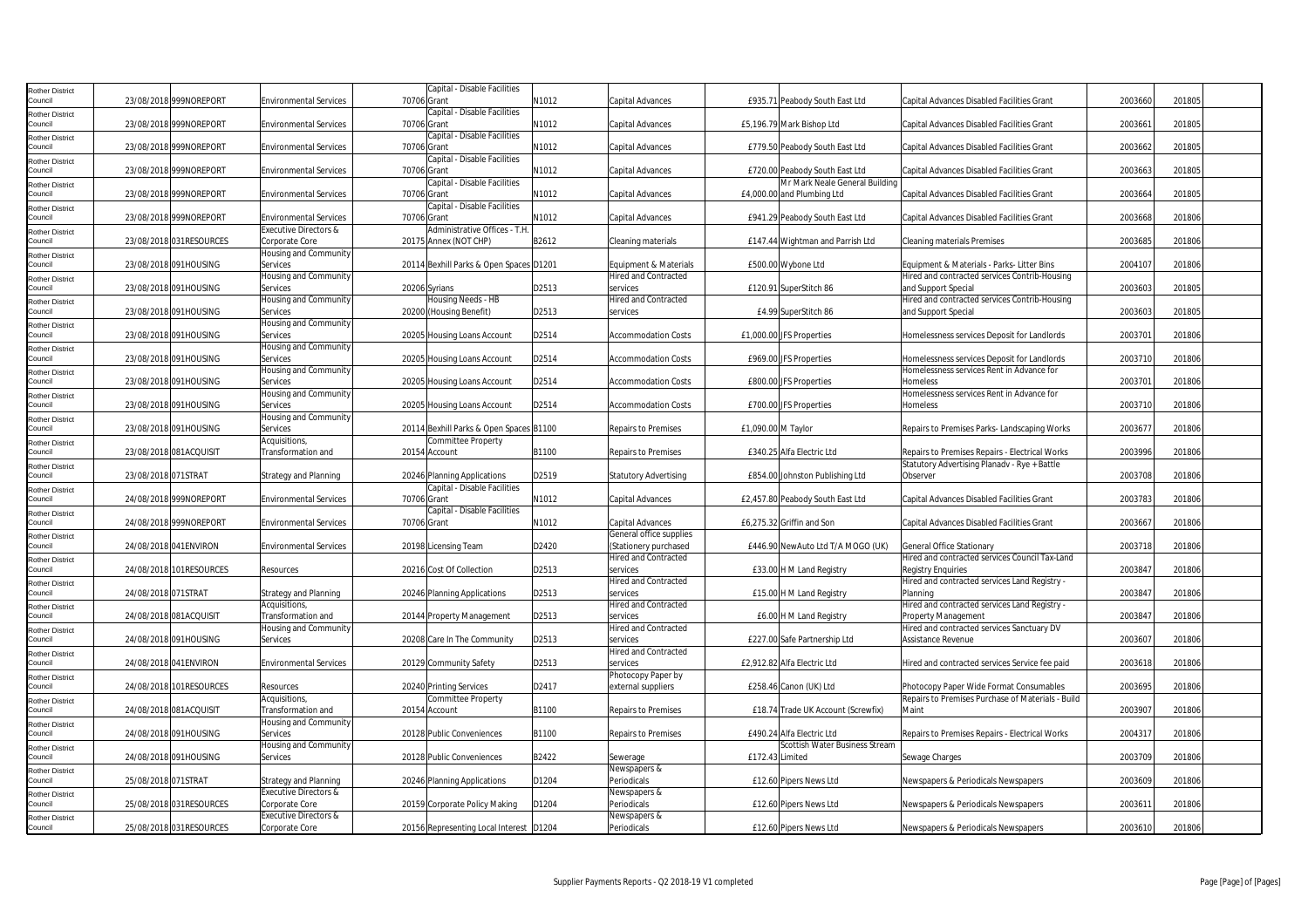| Rother District                   |                         |                                         | Capital - Disable Facilities                |       |                                  |                                    |                                                                      |         |        |
|-----------------------------------|-------------------------|-----------------------------------------|---------------------------------------------|-------|----------------------------------|------------------------------------|----------------------------------------------------------------------|---------|--------|
| Council                           | 23/08/2018 999NOREPORT  | <b>Environmental Services</b>           | 70706 Grant                                 | N1012 | Capital Advances                 | £935.71 Peabody South East Ltd     | Capital Advances Disabled Facilities Grant                           | 2003660 | 201805 |
| Rother District                   |                         |                                         | Capital - Disable Facilities                |       |                                  |                                    |                                                                      |         |        |
| Council                           | 23/08/2018 999NOREPORT  | <b>Environmental Services</b>           | 70706 Grant                                 | V1012 | Capital Advances                 | £5,196.79 Mark Bishop Ltd          | Capital Advances Disabled Facilities Grant                           | 2003661 | 201805 |
| Rother District                   |                         |                                         | Capital - Disable Facilities                |       |                                  |                                    |                                                                      |         |        |
| Council                           | 23/08/2018 999NOREPORT  | <b>Environmental Services</b>           | 70706 Grant                                 | N1012 | Capital Advances                 | £779.50 Peabody South East Ltd     | Capital Advances Disabled Facilities Grant                           | 2003662 | 201805 |
| Rother District                   |                         |                                         | Capital - Disable Facilities                |       |                                  |                                    |                                                                      |         |        |
| Council                           | 23/08/2018 999NOREPORT  | <b>Environmental Services</b>           | 70706 Grant                                 | N1012 | Capital Advances                 | £720.00 Peabody South East Ltd     | Capital Advances Disabled Facilities Grant                           | 2003663 | 201805 |
| <b>Rother District</b>            |                         |                                         | Capital - Disable Facilities                |       |                                  | Mr Mark Neale General Building     |                                                                      |         |        |
| Council                           | 23/08/2018 999NOREPORT  | <b>Environmental Services</b>           | 70706 Grant                                 | N1012 | Capital Advances                 | £4,000.00 and Plumbing Ltd         | Capital Advances Disabled Facilities Grant                           | 2003664 | 201805 |
| <b>Rother District</b><br>Council | 23/08/2018 999NOREPORT  | <b>Environmental Services</b>           | Capital - Disable Facilities<br>70706 Grant | N1012 | Capital Advances                 | £941.29 Peabody South East Ltd     | Capital Advances Disabled Facilities Grant                           | 2003668 | 201806 |
|                                   |                         | <b>Executive Directors &amp;</b>        | Administrative Offices - T.H                |       |                                  |                                    |                                                                      |         |        |
| Rother District<br>Council        | 23/08/2018 031RESOURCES | Corporate Core                          | 20175 Annex (NOT CHP)                       | B2612 | Cleaning materials               | £147.44 Wightman and Parrish Ltd   | <b>Cleaning materials Premises</b>                                   | 2003685 | 201806 |
| Rother District                   |                         | Housing and Community                   |                                             |       |                                  |                                    |                                                                      |         |        |
| Council                           | 23/08/2018 091HOUSING   | Services                                | 20114 Bexhill Parks & Open Spaces D1201     |       | Equipment & Materials            | £500.00 Wybone Ltd                 | Equipment & Materials - Parks- Litter Bins                           | 2004107 | 201806 |
| Rother District                   |                         | Housing and Community                   |                                             |       | <b>Hired and Contracted</b>      |                                    | Hired and contracted services Contrib-Housing                        |         |        |
| Council                           | 23/08/2018 091HOUSING   | Services                                | 20206 Syrians                               | D2513 | services                         | £120.91 SuperStitch 86             | and Support Special                                                  | 2003603 | 201805 |
| tother District                   |                         | Housing and Community                   | Housing Needs - HB                          |       | <b>Hired and Contracted</b>      |                                    | Hired and contracted services Contrib-Housing                        |         |        |
| Council                           | 23/08/2018 091HOUSING   | Services                                | 20200 (Housing Benefit)                     | D2513 | services                         | £4.99 SuperStitch 86               | and Support Special                                                  | 2003603 | 201805 |
| <b>Rother District</b>            |                         | Housing and Community                   |                                             |       |                                  |                                    |                                                                      |         |        |
| Council                           | 23/08/2018 091HOUSING   | Services                                | 20205 Housing Loans Account                 | D2514 | <b>Accommodation Costs</b>       | £1,000.00 JFS Properties           | Homelessness services Deposit for Landlords                          | 2003701 | 201806 |
| Rother District                   |                         | Housing and Community                   |                                             |       |                                  |                                    |                                                                      |         |        |
| Council                           | 23/08/2018 091HOUSING   | Services                                | 20205 Housing Loans Account                 | D2514 | <b>Accommodation Costs</b>       | £969.00 JFS Properties             | Homelessness services Deposit for Landlords                          | 2003710 | 201806 |
| Rother District                   |                         | Housing and Community                   |                                             |       |                                  |                                    | Homelessness services Rent in Advance for                            |         |        |
| Council                           | 23/08/2018 091HOUSING   | Services                                | 20205 Housing Loans Account                 | D2514 | <b>Accommodation Costs</b>       | £800.00 JFS Properties             | Homeless                                                             | 2003701 | 201806 |
| Rother District                   |                         | Housing and Community                   |                                             |       |                                  |                                    | Homelessness services Rent in Advance for                            |         |        |
| Council                           | 23/08/2018 091HOUSING   | Services                                | 20205 Housing Loans Account                 | D2514 | <b>Accommodation Costs</b>       | £700.00 JFS Properties             | Homeless                                                             | 2003710 | 201806 |
| <b>Rother District</b>            | 23/08/2018 091HOUSING   | Housing and Community<br>Services       | 20114 Bexhill Parks & Open Spaces B1100     |       | <b>Repairs to Premises</b>       | £1,090.00 M Taylor                 | Repairs to Premises Parks-Landscaping Works                          | 2003677 | 201806 |
| Council                           |                         | Acquisitions,                           | Committee Property                          |       |                                  |                                    |                                                                      |         |        |
| Rother District<br>Council        | 23/08/2018 081ACQUISIT  | Transformation and                      | 20154 Account                               | B1100 | <b>Repairs to Premises</b>       | £340.25 Alfa Electric Ltd          | Repairs to Premises Repairs - Electrical Works                       | 2003996 | 201806 |
| Rother District                   |                         |                                         |                                             |       |                                  |                                    | Statutory Advertising Planadv - Rye + Battle                         |         |        |
| Council                           | 23/08/2018 071STRAT     | <b>Strategy and Planning</b>            | 20246 Planning Applications                 | D2519 | <b>Statutory Advertising</b>     | £854.00 Johnston Publishing Ltd    | Observer                                                             | 2003708 | 201806 |
| <b>Rother District</b>            |                         |                                         | Capital - Disable Facilities                |       |                                  |                                    |                                                                      |         |        |
| Council                           | 24/08/2018 999NOREPORT  | <b>Environmental Services</b>           | 70706 Grant                                 | N1012 | Capital Advances                 | £2,457.80 Peabody South East Ltd   | Capital Advances Disabled Facilities Grant                           | 2003783 | 201806 |
| Rother District                   |                         |                                         | Capital - Disable Facilities                |       |                                  |                                    |                                                                      |         |        |
| Council                           | 24/08/2018 999NOREPORT  | <b>Environmental Services</b>           | 70706 Grant                                 | N1012 | Capital Advances                 | £6,275.32 Griffin and Son          | Capital Advances Disabled Facilities Grant                           | 2003667 | 201806 |
| Rother District                   |                         |                                         |                                             |       | General office supplies          |                                    |                                                                      |         |        |
| Council                           | 24/08/2018 041ENVIRON   | <b>Environmental Services</b>           | 20198 Licensing Team                        | D2420 | (Stationery purchased            | £446.90 NewAuto Ltd T/A MOGO (UK)  | General Office Stationary                                            | 2003718 | 201806 |
| Rother District                   |                         |                                         |                                             |       | <b>Hired and Contracted</b>      |                                    | Hired and contracted services Council Tax-Land                       |         |        |
| Council                           | 24/08/2018 101RESOURCES | Resources                               | 20216 Cost Of Collection                    | D2513 | services                         | £33.00 H M Land Registry           | <b>Registry Enquiries</b>                                            | 2003847 | 201806 |
| Rother District                   |                         |                                         |                                             |       | <b>Hired and Contracted</b>      |                                    | Hired and contracted services Land Registry -                        |         |        |
| Council                           | 24/08/2018 071STRAT     | <b>Strategy and Planning</b>            | 20246 Planning Applications                 | D2513 | services                         | £15.00 H M Land Registry           | Planning                                                             | 2003847 | 201806 |
| Rother District<br>Council        | 24/08/2018 081ACQUISIT  | Acquisitions,<br>Transformation and     | 20144 Property Management                   | D2513 | Hired and Contracted<br>services | £6.00 H M Land Registry            | Hired and contracted services Land Registry -<br>Property Management | 2003847 | 201806 |
|                                   |                         | Housing and Community                   |                                             |       | <b>Hired and Contracted</b>      |                                    | Hired and contracted services Sanctuary DV                           |         |        |
| <b>Rother District</b><br>Council | 24/08/2018 091HOUSING   | Services                                | 20208 Care In The Community                 | D2513 | services                         | £227.00 Safe Partnership Ltd       | Assistance Revenue                                                   | 2003607 | 201806 |
| Rother District                   |                         |                                         |                                             |       | <b>Hired and Contracted</b>      |                                    |                                                                      |         |        |
| Council                           | 24/08/2018 041ENVIRON   | <b>Environmental Services</b>           | 20129 Community Safety                      | D2513 | services                         | £2.912.82 Alfa Electric Ltd        | Hired and contracted services Service fee paid                       | 2003618 | 201806 |
| Rother District                   |                         |                                         |                                             |       | Photocopy Paper by               |                                    |                                                                      |         |        |
| Council                           | 24/08/2018 101RESOURCES | Resources                               | 20240 Printing Services                     | D2417 | external suppliers               | £258.46 Canon (UK) Ltd             | Photocopy Paper Wide Format Consumables                              | 2003695 | 201806 |
| Rother District                   |                         | Acquisitions,                           | Committee Property                          |       |                                  |                                    | Repairs to Premises Purchase of Materials - Build                    |         |        |
| Council                           | 24/08/2018 081ACQUISIT  | Transformation and                      | 20154 Account                               | B1100 | <b>Repairs to Premises</b>       | £18.74 Trade UK Account (Screwfix) | Maint                                                                | 2003907 | 201806 |
| Rother District                   |                         | Housing and Community                   |                                             |       |                                  |                                    |                                                                      |         |        |
| Council                           | 24/08/2018 091HOUSING   | Services                                | 20128 Public Conveniences                   | B1100 | Repairs to Premises              | £490.24 Alfa Electric Ltd          | Repairs to Premises Repairs - Electrical Works                       | 2004317 | 201806 |
| <b>Rother District</b>            |                         | <b>Housing and Community</b>            |                                             |       |                                  | Scottish Water Business Stream     |                                                                      |         |        |
| Council                           | 24/08/2018 091HOUSING   | Services                                | 20128 Public Conveniences                   | B2422 | Sewerage                         | £172.43 Limited                    | Sewage Charges                                                       | 2003709 | 201806 |
| <b>Rother District</b>            |                         |                                         |                                             |       | Newspapers &                     |                                    |                                                                      | 2003609 |        |
| Council                           | 25/08/2018 071STRAT     | Strategy and Planning                   | 20246 Planning Applications                 | D1204 | Periodicals                      | £12.60 Pipers News Ltd             | Newspapers & Periodicals Newspapers                                  |         | 201806 |
| <b>Rother District</b><br>Council | 25/08/2018 031RESOURCES | Executive Directors &<br>Corporate Core | 20159 Corporate Policy Making               | D1204 | Newspapers &<br>Periodicals      | £12.60 Pipers News Ltd             | Newspapers & Periodicals Newspapers                                  | 2003611 | 201806 |
|                                   |                         | Executive Directors &                   |                                             |       | Newspapers &                     |                                    |                                                                      |         |        |
| Rother District<br>Council        | 25/08/2018 031RESOURCES | Corporate Core                          | 20156 Representing Local Interest D1204     |       | Periodicals                      | £12.60 Pipers News Ltd             | Newspapers & Periodicals Newspapers                                  | 2003610 | 201806 |
|                                   |                         |                                         |                                             |       |                                  |                                    |                                                                      |         |        |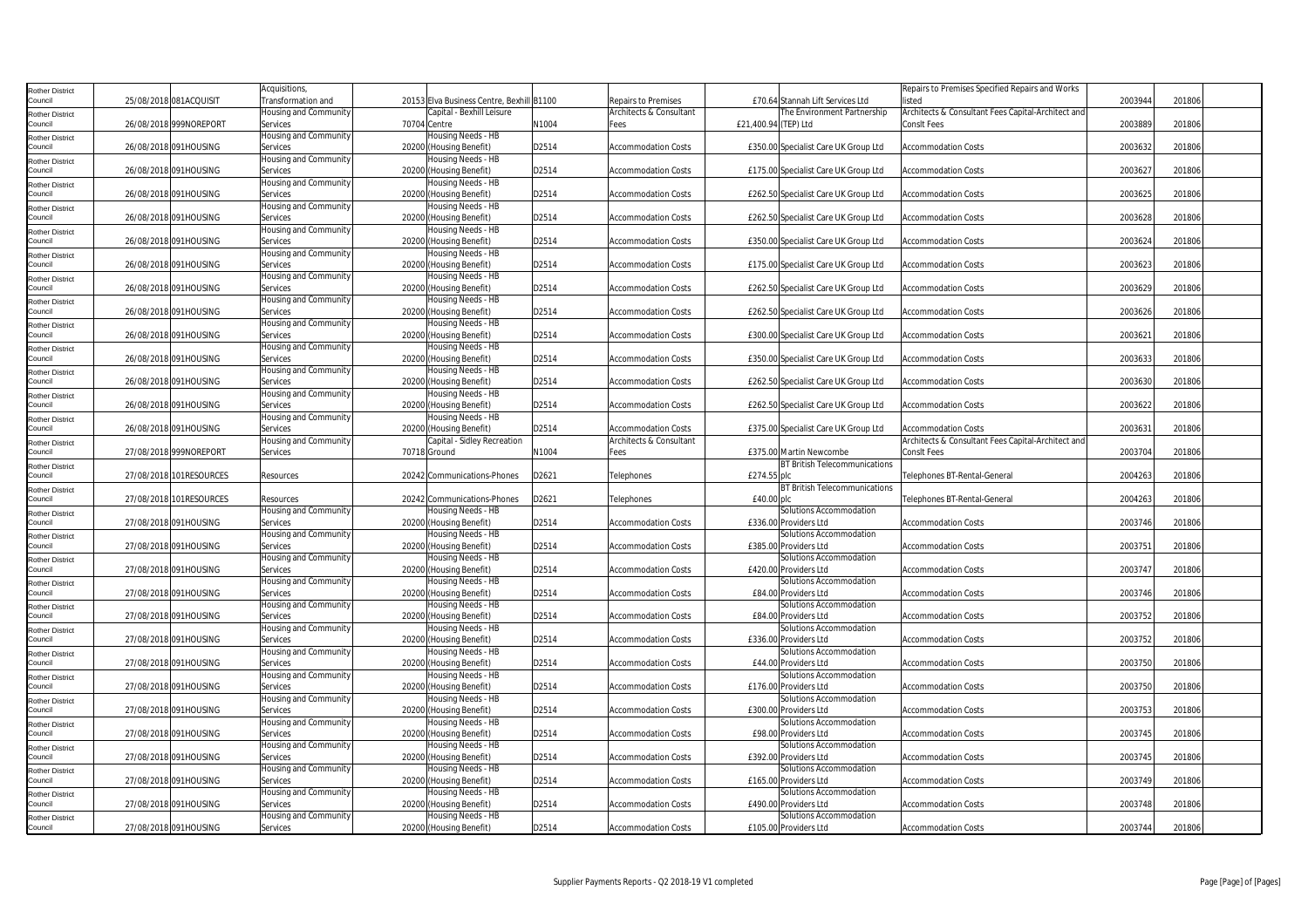| Rother District                   |                         | Acquisitions,                     |                                               |       |                            |                                                  | Repairs to Premises Specified Repairs and Works    |         |        |
|-----------------------------------|-------------------------|-----------------------------------|-----------------------------------------------|-------|----------------------------|--------------------------------------------------|----------------------------------------------------|---------|--------|
| Council                           | 25/08/2018 081ACQUISIT  | Transformation and                | 20153 Elva Business Centre, Bexhill B1100     |       | Repairs to Premises        | £70.64 Stannah Lift Services Ltd                 | listed                                             | 2003944 | 201806 |
| Rother District                   |                         | Housing and Community             | Capital - Bexhill Leisure                     |       | Architects & Consultant    | The Environment Partnership                      | Architects & Consultant Fees Capital-Architect and |         |        |
| Council                           | 26/08/2018 999NOREPORT  | Services                          | 70704 Centre                                  | N1004 | Fees                       | £21,400.94 (TEP) Ltd                             | ConsIt Fees                                        | 2003889 | 201806 |
| Rother District                   |                         | Housing and Community             | Housing Needs - HB                            |       |                            |                                                  |                                                    |         |        |
| Council                           | 26/08/2018 091HOUSING   | Services                          | 20200 (Housing Benefit)                       | D2514 | <b>Accommodation Costs</b> | £350.00 Specialist Care UK Group Ltd             | <b>Accommodation Costs</b>                         | 2003632 | 201806 |
| Rother District                   |                         | <b>Housing and Community</b>      | Housing Needs - HB                            |       |                            |                                                  |                                                    |         |        |
| Council                           | 26/08/2018 091HOUSING   | Services                          | 20200 (Housing Benefit)                       | D2514 | <b>Accommodation Costs</b> | £175.00 Specialist Care UK Group Ltd             | <b>Accommodation Costs</b>                         | 2003627 | 201806 |
| Rother District                   |                         | <b>Housing and Community</b>      | Housing Needs - HB                            |       |                            |                                                  |                                                    |         |        |
| Council                           | 26/08/2018 091HOUSING   | Services                          | 20200 (Housing Benefit)                       | D2514 | <b>Accommodation Costs</b> | £262.50 Specialist Care UK Group Ltd             | <b>Accommodation Costs</b>                         | 2003625 | 201806 |
| Rother District                   |                         | Housing and Community             | Housing Needs - HB                            |       |                            |                                                  |                                                    |         |        |
| Council                           | 26/08/2018 091HOUSING   | Services                          | 20200 (Housing Benefit)                       | D2514 | <b>Accommodation Costs</b> | £262.50 Specialist Care UK Group Ltd             | <b>Accommodation Costs</b>                         | 2003628 | 201806 |
| Rother District                   |                         | Housing and Community             | Housing Needs - HB                            |       |                            |                                                  |                                                    |         |        |
| Council                           | 26/08/2018 091HOUSING   | Services                          | 20200 (Housing Benefit)                       | D2514 | <b>Accommodation Costs</b> | £350.00 Specialist Care UK Group Ltd             | <b>Accommodation Costs</b>                         | 2003624 | 201806 |
| <b>Rother District</b><br>Council | 26/08/2018 091HOUSING   | Housing and Community<br>Services | Housing Needs - HB<br>20200 (Housing Benefit) | D2514 | <b>Accommodation Costs</b> | £175.00 Specialist Care UK Group Ltd             | <b>Accommodation Costs</b>                         | 2003623 | 201806 |
|                                   |                         | Housing and Community             | Housing Needs - HB                            |       |                            |                                                  |                                                    |         |        |
| Rother District<br>Council        | 26/08/2018 091HOUSING   | Services                          | 20200 (Housing Benefit)                       | D2514 | <b>Accommodation Costs</b> | £262.50 Specialist Care UK Group Ltd             | <b>Accommodation Costs</b>                         | 2003629 | 201806 |
|                                   |                         | Housing and Community             | Housing Needs - HB                            |       |                            |                                                  |                                                    |         |        |
| Rother District<br>Council        | 26/08/2018 091HOUSING   | Services                          | 20200 (Housing Benefit)                       | D2514 | <b>Accommodation Costs</b> | £262.50 Specialist Care UK Group Ltd             | <b>Accommodation Costs</b>                         | 2003626 | 201806 |
| Rother District                   |                         | Housing and Community             | Housing Needs - HB                            |       |                            |                                                  |                                                    |         |        |
| Council                           | 26/08/2018 091HOUSING   | Services                          | 20200 (Housing Benefit)                       | D2514 | <b>Accommodation Costs</b> | £300.00 Specialist Care UK Group Ltd             | <b>Accommodation Costs</b>                         | 2003621 | 201806 |
| <b>Rother District</b>            |                         | Housing and Community             | Housing Needs - HB                            |       |                            |                                                  |                                                    |         |        |
| Council                           | 26/08/2018 091HOUSING   | Services                          | 20200 (Housing Benefit)                       | D2514 | <b>Accommodation Costs</b> | £350.00 Specialist Care UK Group Ltd             | <b>Accommodation Costs</b>                         | 2003633 | 201806 |
| Rother District                   |                         | Housing and Community             | Housing Needs - HB                            |       |                            |                                                  |                                                    |         |        |
| Council                           | 26/08/2018 091HOUSING   | Services                          | 20200<br>Housing Benefit)                     | D2514 | <b>Accommodation Costs</b> | £262.50 Specialist Care UK Group Ltd             | Accommodation Costs                                | 2003630 | 201806 |
| Rother District                   |                         | <b>Housing and Community</b>      | Housing Needs - HB                            |       |                            |                                                  |                                                    |         |        |
| Council                           | 26/08/2018 091HOUSING   | Services                          | 20200 (Housing Benefit)                       | D2514 | <b>Accommodation Costs</b> | £262.50 Specialist Care UK Group Ltd             | <b>Accommodation Costs</b>                         | 2003622 | 201806 |
| Rother District                   |                         | Housing and Community             | Housing Needs - HB                            |       |                            |                                                  |                                                    |         |        |
| Council                           | 26/08/2018 091HOUSING   | Services                          | 20200 (Housing Benefit)                       | D2514 | <b>Accommodation Costs</b> | £375.00 Specialist Care UK Group Ltd             | <b>Accommodation Costs</b>                         | 2003631 | 201806 |
| Rother District                   |                         | Housing and Community             | Capital - Sidley Recreation                   |       | Architects & Consultant    |                                                  | Architects & Consultant Fees Capital-Architect and |         |        |
| Council                           | 27/08/2018 999NOREPORT  | Services                          | 70718 Ground                                  | N1004 | Fees                       | £375.00 Martin Newcombe                          | ConsIt Fees                                        | 2003704 | 201806 |
| <b>Rother District</b>            |                         |                                   |                                               |       |                            | <b>BT British Telecommunications</b>             |                                                    |         |        |
| Council                           | 27/08/2018 101RESOURCES | Resources                         | 20242 Communications-Phones                   | D2621 | Telephones                 | £274.55 plc                                      | Telephones BT-Rental-General                       | 2004263 | 201806 |
| <b>Rother District</b>            |                         |                                   |                                               |       |                            |                                                  |                                                    |         |        |
|                                   |                         |                                   |                                               |       |                            | <b>BT British Telecommunications</b>             |                                                    |         |        |
| Council                           | 27/08/2018 101RESOURCES | Resources                         | 20242 Communications-Phones                   | D2621 | Telephones                 | £40.00 plc                                       | Telephones BT-Rental-General                       | 2004263 | 201806 |
| Rother District                   |                         | Housing and Community             | Housing Needs - HB                            |       |                            | Solutions Accommodation                          |                                                    |         |        |
| Council                           | 27/08/2018 091HOUSING   | Services                          | 20200 (Housing Benefit)                       | D2514 | <b>Accommodation Costs</b> | £336.00 Providers Ltd                            | <b>Accommodation Costs</b>                         | 2003746 | 201806 |
| Rother District                   |                         | Housing and Community             | Housing Needs - HB                            |       |                            | Solutions Accommodation                          |                                                    |         |        |
| Council                           | 27/08/2018 091HOUSING   | Services                          | 20200 (Housing Benefit)                       | D2514 | <b>Accommodation Costs</b> | £385.00 Providers Ltd                            | <b>Accommodation Costs</b>                         | 2003751 | 201806 |
| Rother District                   |                         | Housing and Community             | Housing Needs - HB                            |       |                            | Solutions Accommodation                          |                                                    |         |        |
| Council                           | 27/08/2018 091HOUSING   | Services                          | 20200 (Housing Benefit)                       | D2514 | <b>Accommodation Costs</b> | £420.00 Providers Ltd                            | <b>Accommodation Costs</b>                         | 2003747 | 201806 |
| Rother District<br>Council        | 27/08/2018 091HOUSING   | Housing and Community<br>Services | lousing Needs - HB                            | D2514 | <b>Accommodation Costs</b> | Solutions Accommodation<br>£84.00 Providers Ltd  | <b>Accommodation Costs</b>                         | 2003746 | 201806 |
|                                   |                         | Housing and Community             | 20200 (Housing Benefit)<br>Housing Needs - HB |       |                            | Solutions Accommodation                          |                                                    |         |        |
| <b>Rother District</b><br>Council | 27/08/2018 091HOUSING   | Services                          | 20200 (Housing Benefit)                       | D2514 | <b>Accommodation Costs</b> | £84.00 Providers Ltd                             | <b>Accommodation Costs</b>                         | 2003752 | 201806 |
| <b>Rother District</b>            |                         | Housing and Community             | Housing Needs - HB                            |       |                            | Solutions Accommodation                          |                                                    |         |        |
| Council                           | 27/08/2018 091HOUSING   | Services                          | 20200 (Housing Benefit)                       | D2514 | <b>Accommodation Costs</b> | £336.00 Providers Ltd                            | <b>Accommodation Costs</b>                         | 2003752 | 201806 |
| Rother District                   |                         | Housing and Community             | Housing Needs - HB                            |       |                            | Solutions Accommodation                          |                                                    |         |        |
| Council                           | 27/08/2018 091HOUSING   | Services                          | 20200 (Housing Benefit)                       | D2514 | <b>Accommodation Costs</b> | £44.00 Providers Ltd                             | <b>Accommodation Costs</b>                         | 2003750 | 201806 |
| Rother District                   |                         | Housing and Community             | Housing Needs - HB                            |       |                            | Solutions Accommodation                          |                                                    |         |        |
| Council                           | 27/08/2018 091HOUSING   | Services                          | 20200 (Housing Benefit)                       | D2514 | <b>Accommodation Costs</b> | £176.00 Providers Ltd                            | Accommodation Costs                                | 2003750 | 201806 |
| <b>Rother District</b>            |                         | Housing and Community             | lousing Needs - HB                            |       |                            | Solutions Accommodation                          |                                                    |         |        |
| Council                           | 27/08/2018 091HOUSING   | Services                          | 20200 (Housing Benefit)                       | D2514 | <b>Accommodation Costs</b> | £300.00 Providers Ltd                            | <b>Accommodation Costs</b>                         | 2003753 | 201806 |
| Rother District                   |                         | Housing and Community             | Housing Needs - HB                            |       |                            | Solutions Accommodation                          |                                                    |         |        |
| Council                           | 27/08/2018 091HOUSING   | Services                          | 20200 (Housing Benefit)                       | D2514 | <b>Accommodation Costs</b> | £98.00 Providers Ltd                             | <b>Accommodation Costs</b>                         | 2003745 | 201806 |
| <b>Rother District</b>            |                         | lousing and Community             | Housing Needs - HB                            |       |                            | Solutions Accommodation                          |                                                    |         |        |
| Council                           | 27/08/2018 091HOUSING   | Services                          | 20200 (Housing Benefit)                       | D2514 | <b>Accommodation Costs</b> | £392.00 Providers Ltd                            | <b>Accommodation Costs</b>                         | 2003745 | 201806 |
| Rother District                   |                         | Housing and Community             | Housing Needs - HB                            |       |                            | Solutions Accommodation                          |                                                    |         |        |
| Council                           | 27/08/2018 091HOUSING   | Services                          | 20200 (Housing Benefit)                       | D2514 | <b>Accommodation Costs</b> | £165.00 Providers Ltd                            | Accommodation Costs                                | 2003749 | 201806 |
| Rother District                   |                         | Housing and Community             | Housing Needs - HB                            |       |                            | Solutions Accommodation                          |                                                    |         |        |
| Council                           | 27/08/2018 091HOUSING   | Services                          | 20200<br>(Housing Benefit)                    | D2514 | <b>Accommodation Costs</b> | £490.00 Providers Ltd                            | <b>Accommodation Costs</b>                         | 2003748 | 201806 |
| Rother District<br>Council        | 27/08/2018 091HOUSING   | Housing and Community<br>Services | Housing Needs - HB<br>20200 (Housing Benefit) | D2514 | <b>Accommodation Costs</b> | Solutions Accommodation<br>£105.00 Providers Ltd | <b>Accommodation Costs</b>                         | 2003744 | 201806 |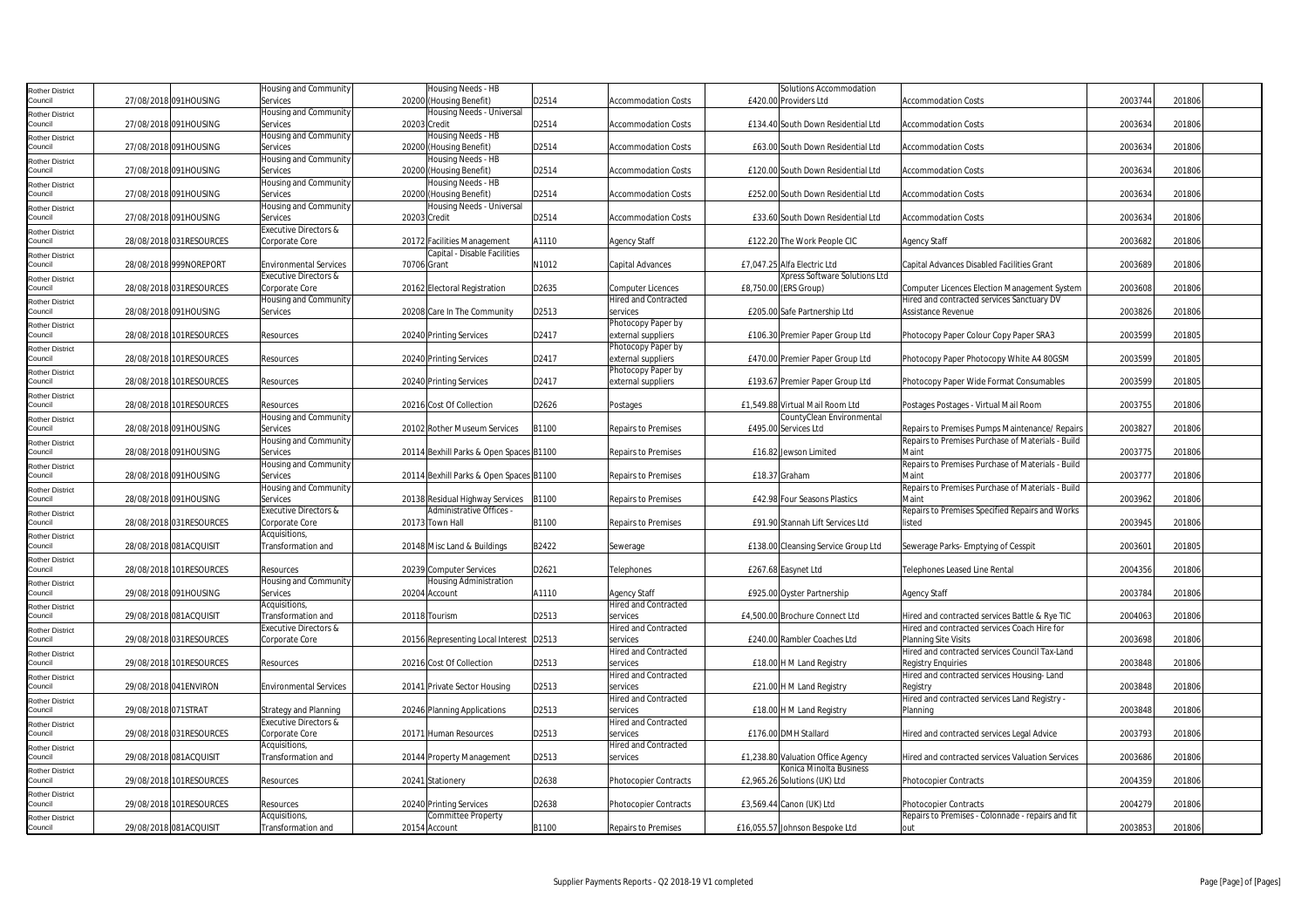| Rother District            |                     |                          | Housing and Community         | Housing Needs - HB                      |       |                              | Solutions Accommodation              |                                                   |         |        |  |
|----------------------------|---------------------|--------------------------|-------------------------------|-----------------------------------------|-------|------------------------------|--------------------------------------|---------------------------------------------------|---------|--------|--|
| Council                    |                     | 27/08/2018 091HOUSING    | Services                      | 20200 (Housing Benefit)                 | D2514 | <b>Accommodation Costs</b>   | £420.00 Providers Ltd                | <b>Accommodation Costs</b>                        | 2003744 | 201806 |  |
|                            |                     |                          |                               |                                         |       |                              |                                      |                                                   |         |        |  |
| Rother District            |                     |                          | Housing and Community         | Housing Needs - Universal               |       |                              |                                      |                                                   |         |        |  |
| Council                    |                     | 27/08/2018 091HOUSING    | Services                      | 20203 Credit                            | D2514 | <b>Accommodation Costs</b>   | £134.40 South Down Residential Ltd   | <b>Accommodation Costs</b>                        | 2003634 | 201806 |  |
| Rother District            |                     |                          | Housing and Community         | Housing Needs - HB                      |       |                              |                                      |                                                   |         |        |  |
| Council                    |                     | 27/08/2018 091HOUSING    | Services                      | 20200 (Housing Benefit)                 | D2514 | <b>Accommodation Costs</b>   | £63.00 South Down Residential Ltd    | <b>Accommodation Costs</b>                        | 2003634 | 201806 |  |
| Rother District            |                     |                          | Housing and Community         | Housing Needs - HB                      |       |                              |                                      |                                                   |         |        |  |
|                            |                     | 27/08/2018 091HOUSING    | Services                      | 20200 (Housing Benefit)                 | D2514 | <b>Accommodation Costs</b>   | £120.00 South Down Residential Ltd   | <b>Accommodation Costs</b>                        | 2003634 | 201806 |  |
| Council                    |                     |                          |                               |                                         |       |                              |                                      |                                                   |         |        |  |
| Rother District            |                     |                          | Housing and Community         | Housing Needs - HB                      |       |                              |                                      |                                                   |         |        |  |
| Council                    |                     | 27/08/2018 091HOUSING    | Services                      | 20200 (Housing Benefit)                 | D2514 | <b>Accommodation Costs</b>   | £252.00 South Down Residential Ltd   | <b>Accommodation Costs</b>                        | 2003634 | 201806 |  |
| <b>Rother District</b>     |                     |                          | Housing and Community         | Housing Needs - Universal               |       |                              |                                      |                                                   |         |        |  |
| Council                    |                     | 27/08/2018 091HOUSING    | Services                      | 20203 Credit                            | D2514 | <b>Accommodation Costs</b>   | £33.60 South Down Residential Ltd    | <b>Accommodation Costs</b>                        | 2003634 | 201806 |  |
|                            |                     |                          |                               |                                         |       |                              |                                      |                                                   |         |        |  |
| Rother District            |                     |                          | Executive Directors &         |                                         |       |                              |                                      |                                                   |         |        |  |
| Council                    |                     | 28/08/2018 031RESOURCES  | Corporate Core                | 20172 Facilities Management             | A1110 | <b>Agency Staff</b>          | £122.20 The Work People CIC          | <b>Agency Staff</b>                               | 2003682 | 201806 |  |
| Rother District            |                     |                          |                               | Capital - Disable Facilities            |       |                              |                                      |                                                   |         |        |  |
| Council                    |                     | 28/08/2018 999NOREPORT   | <b>Environmental Services</b> | 70706 Grant                             | N1012 | Capital Advances             | £7.047.25 Alfa Electric Ltd          | Capital Advances Disabled Facilities Grant        | 2003689 | 201806 |  |
|                            |                     |                          | Executive Directors &         |                                         |       |                              | <b>Xpress Software Solutions Ltd</b> |                                                   |         |        |  |
| Rother District<br>Council |                     |                          |                               |                                         |       |                              |                                      |                                                   |         |        |  |
|                            |                     | 28/08/2018 031RESOURCES  | Corporate Core                | 20162 Electoral Registration            | D2635 | <b>Computer Licences</b>     | £8,750.00 (ERS Group)                | Computer Licences Election Management System      | 2003608 | 201806 |  |
| Rother District            |                     |                          | <b>Housing and Community</b>  |                                         |       | <b>Hired and Contracted</b>  |                                      | Hired and contracted services Sanctuary DV        |         |        |  |
| Council                    |                     | 28/08/2018 091HOUSING    | Services                      | 20208 Care In The Community             | D2513 | services                     | £205.00 Safe Partnership Ltd         | Assistance Revenue                                | 2003826 | 201806 |  |
| Rother District            |                     |                          |                               |                                         |       | Photocopy Paper by           |                                      |                                                   |         |        |  |
| Council                    |                     | 28/08/2018 101RESOURCES  | Resources                     | 20240 Printing Services                 | D2417 | external suppliers           | £106.30 Premier Paper Group Ltd      | Photocopy Paper Colour Copy Paper SRA3            | 2003599 | 201805 |  |
|                            |                     |                          |                               |                                         |       |                              |                                      |                                                   |         |        |  |
| <b>Rother District</b>     |                     |                          |                               |                                         |       | Photocopy Paper by           |                                      |                                                   |         |        |  |
| Council                    |                     | 28/08/2018 101RESOURCES  | Resources                     | 20240 Printing Services                 | D2417 | external suppliers           | £470.00 Premier Paper Group Ltd      | Photocopy Paper Photocopy White A4 80GSM          | 2003599 | 201805 |  |
| Rother District            |                     |                          |                               |                                         |       | Photocopy Paper by           |                                      |                                                   |         |        |  |
| Council                    |                     | 28/08/2018 101RESOURCES  | Resources                     | 20240 Printing Services                 | D2417 | external suppliers           | £193.67 Premier Paper Group Ltd      | Photocopy Paper Wide Format Consumables           | 2003599 | 201805 |  |
|                            |                     |                          |                               |                                         |       |                              |                                      |                                                   |         |        |  |
| Rother District            |                     |                          |                               |                                         |       |                              |                                      |                                                   |         |        |  |
| Council                    |                     | 28/08/2018 101RESOURCES  | Resources                     | 20216 Cost Of Collection                | D2626 | Postages                     | £1,549.88 Virtual Mail Room Ltd      | Postages Postages - Virtual Mail Room             | 2003755 | 201806 |  |
| Rother District            |                     |                          | Housing and Community         |                                         |       |                              | CountyClean Environmental            |                                                   |         |        |  |
| Council                    |                     | 28/08/2018 091HOUSING    | Services                      | 20102 Rother Museum Services            | B1100 | <b>Repairs to Premises</b>   | £495.00 Services Ltd                 | Repairs to Premises Pumps Maintenance/ Repairs    | 2003827 | 201806 |  |
|                            |                     |                          | Housing and Community         |                                         |       |                              |                                      | Repairs to Premises Purchase of Materials - Build |         |        |  |
| Rother District            |                     |                          |                               |                                         |       |                              |                                      |                                                   |         |        |  |
| Council                    |                     | 28/08/2018 091HOUSING    | Services                      | 20114 Bexhill Parks & Open Spaces B1100 |       | <b>Repairs to Premises</b>   | £16.82 Jewson Limited                | Main                                              | 2003775 | 201806 |  |
| Rother District            |                     |                          | Housing and Community         |                                         |       |                              |                                      | Repairs to Premises Purchase of Materials - Build |         |        |  |
| Council                    |                     | 28/08/2018 091HOUSING    | Services                      | 20114 Bexhill Parks & Open Spaces B1100 |       | <b>Repairs to Premises</b>   | £18.37 Graham                        | Maint                                             | 2003777 | 201806 |  |
|                            |                     |                          | Housing and Community         |                                         |       |                              |                                      | Repairs to Premises Purchase of Materials - Build |         |        |  |
| Rother District<br>Council |                     | 28/08/2018 091HOUSING    | Services                      | 20138 Residual Highway Services         | B1100 | <b>Repairs to Premises</b>   | £42.98 Four Seasons Plastics         | Maint                                             | 2003962 | 201806 |  |
|                            |                     |                          |                               |                                         |       |                              |                                      |                                                   |         |        |  |
| Rother District            |                     |                          | Executive Directors &         | Administrative Offices -                |       |                              |                                      | Repairs to Premises Specified Repairs and Works   |         |        |  |
| Council                    |                     | 28/08/2018 031RESOURCES  | Corporate Core                | 20173 Town Hall                         | B1100 | <b>Repairs to Premises</b>   | £91.90 Stannah Lift Services Ltd     | listed                                            | 2003945 | 201806 |  |
| Rother District            |                     |                          | Acquisitions,                 |                                         |       |                              |                                      |                                                   |         |        |  |
| Council                    |                     |                          | Transformation and            |                                         | B2422 |                              |                                      |                                                   | 2003601 | 201805 |  |
|                            |                     | 28/08/2018 081ACQUISIT   |                               | 20148 Misc Land & Buildings             |       | Sewerage                     | £138.00 Cleansing Service Group Ltd  | Sewerage Parks- Emptying of Cesspit               |         |        |  |
| Rother District            |                     |                          |                               |                                         |       |                              |                                      |                                                   |         |        |  |
| Council                    |                     | 28/08/2018 101RESOURCES  | Resources                     | 20239 Computer Services                 | D2621 | <b>Felephones</b>            | £267.68 Easynet Ltd                  | <b>Telephones Leased Line Rental</b>              | 2004356 | 201806 |  |
| Rother District            |                     |                          | Housing and Community         | Housing Administration                  |       |                              |                                      |                                                   |         |        |  |
| Council                    |                     | 29/08/2018 091HOUSING    | Services                      | 20204 Account                           | A1110 | <b>Agency Staff</b>          | £925.00 Oyster Partnership           | <b>Agency Staff</b>                               | 2003784 | 201806 |  |
|                            |                     |                          | Acquisitions,                 |                                         |       | lired and Contracted         |                                      |                                                   |         |        |  |
| Rother District            |                     |                          |                               |                                         |       |                              |                                      |                                                   |         |        |  |
| Council                    |                     | 29/08/2018 081ACQUISIT   | Transformation and            | 20118 Tourism                           | D2513 | services                     | £4,500.00 Brochure Connect Ltd       | Hired and contracted services Battle & Rye TIC    | 2004063 | 201806 |  |
| Rother District            |                     |                          | Executive Directors &         |                                         |       | <b>Hired and Contracted</b>  |                                      | Hired and contracted services Coach Hire for      |         |        |  |
| Council                    |                     | 29/08/2018 031RESOURCES  | Corporate Core                | 20156 Representing Local Interest D2513 |       | services                     | £240.00 Rambler Coaches Ltd          | <b>Planning Site Visits</b>                       | 2003698 | 201806 |  |
|                            |                     |                          |                               |                                         |       | <b>Hired and Contracted</b>  |                                      | Hired and contracted services Council Tax-Land    |         |        |  |
| Rother District            |                     |                          |                               |                                         |       |                              |                                      |                                                   |         |        |  |
| Council                    |                     | 29/08/2018 101RESOURCES  | Resources                     | 20216 Cost Of Collection                | D2513 | services                     | £18.00 H M Land Registry             | Registry Enquiries                                | 2003848 | 201806 |  |
| Rother District            |                     |                          |                               |                                         |       | Hired and Contracted         |                                      | Hired and contracted services Housing-Land        |         |        |  |
| Council                    |                     | 29/08/2018 041ENVIRON    | <b>Environmental Services</b> | 20141 Private Sector Housing            | D2513 | services                     | £21.00 H M Land Registry             | Registry                                          | 2003848 | 201806 |  |
|                            |                     |                          |                               |                                         |       | <b>Hired and Contracted</b>  |                                      | Hired and contracted services Land Registry -     |         |        |  |
| Rother District            |                     |                          |                               |                                         |       |                              |                                      |                                                   |         |        |  |
| Council                    | 29/08/2018 071STRAT |                          | <b>Strategy and Planning</b>  | 20246 Planning Applications             | D2513 | services                     | £18.00 H M Land Registry             | Planning                                          | 2003848 | 201806 |  |
| <b>Rother District</b>     |                     |                          | Executive Directors &         |                                         |       | <b>Hired and Contracted</b>  |                                      |                                                   |         |        |  |
| Council                    |                     | 29/08/2018 031 RESOURCES | Corporate Core                | 20171 Human Resources                   | D2513 | services                     | £176.00 DMH Stallard                 | Hired and contracted services Legal Advice        | 2003793 | 201806 |  |
| <b>Rother District</b>     |                     |                          | Acquisitions,                 |                                         |       | Hired and Contracted         |                                      |                                                   |         |        |  |
| Council                    |                     | 29/08/2018 081ACQUISIT   | Transformation and            | 20144 Property Management               | D2513 | services                     | £1,238.80 Valuation Office Agency    | Hired and contracted services Valuation Services  | 2003686 | 201806 |  |
|                            |                     |                          |                               |                                         |       |                              |                                      |                                                   |         |        |  |
| Rother District            |                     |                          |                               |                                         |       |                              | <b>Konica Minolta Business</b>       |                                                   |         |        |  |
| Council                    |                     | 29/08/2018 101RESOURCES  | Resources                     | 20241 Stationery                        | D2638 | <b>Photocopier Contracts</b> | £2,965.26 Solutions (UK) Ltd         | Photocopier Contracts                             | 2004359 | 201806 |  |
| Rother District            |                     |                          |                               |                                         |       |                              |                                      |                                                   |         |        |  |
| Council                    | 29/08/2018          | 101RESOURCES             | Resources                     | 20240 Printing Services                 | D2638 | <b>Photocopier Contracts</b> | £3,569.44 Canon (UK) Ltd             | Photocopier Contracts                             | 2004279 | 201806 |  |
|                            |                     |                          |                               |                                         |       |                              |                                      |                                                   |         |        |  |
| Rother District            |                     |                          | Acquisitions,                 | Committee Property                      |       |                              |                                      | Repairs to Premises - Colonnade - repairs and fit |         |        |  |
| Council                    |                     | 29/08/2018 081ACQUISIT   | Transformation and            | 20154 Account                           | B1100 | Repairs to Premises          | £16,055.57 Johnson Bespoke Ltd       | out                                               | 2003853 | 201806 |  |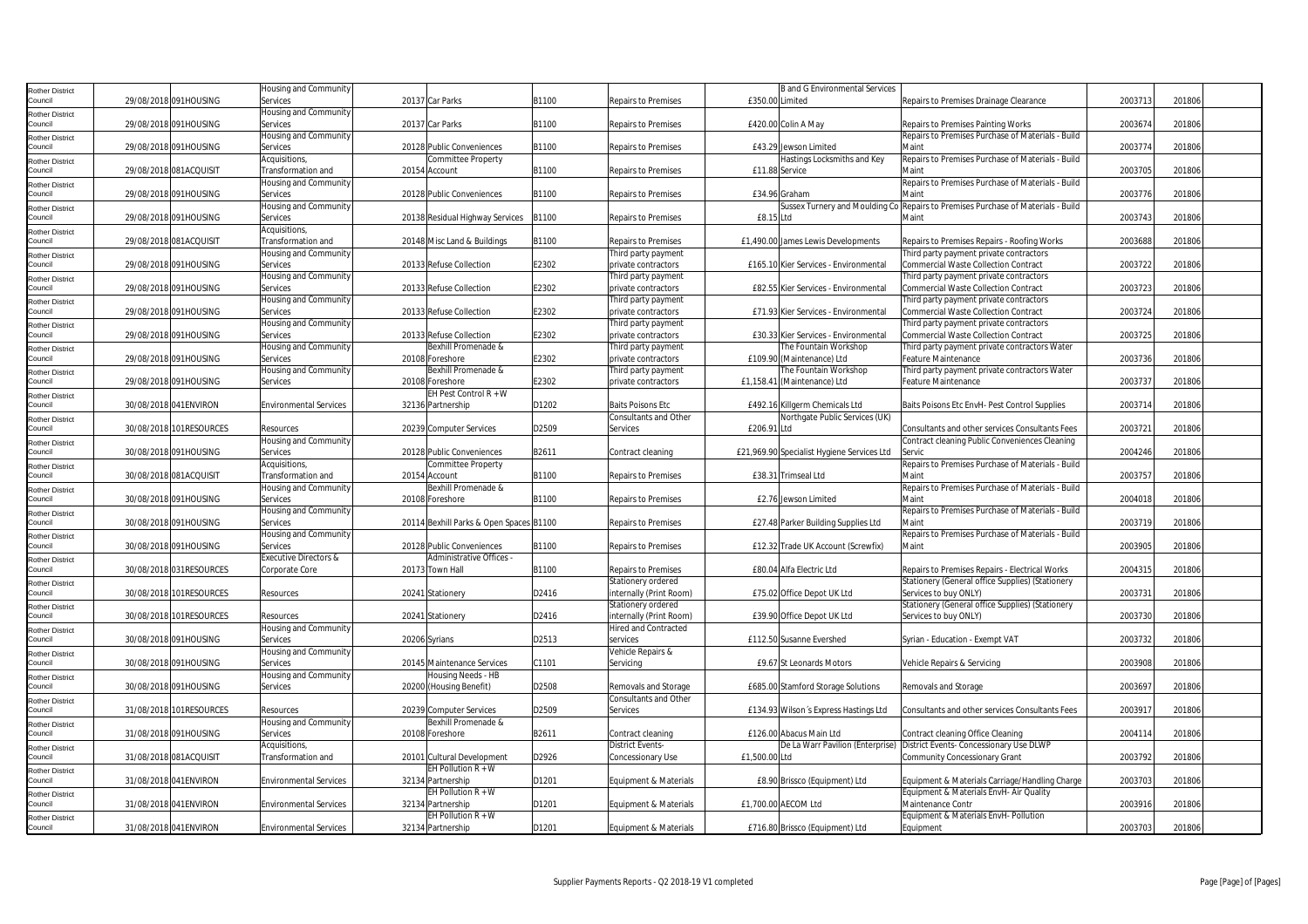| <b>Rother District</b>            |                       |                         | Housing and Community            |                                           |       |                              |                 | <b>B</b> and G Environmental Services      |                                                                                  |         |        |  |
|-----------------------------------|-----------------------|-------------------------|----------------------------------|-------------------------------------------|-------|------------------------------|-----------------|--------------------------------------------|----------------------------------------------------------------------------------|---------|--------|--|
| Council                           |                       | 29/08/2018 091HOUSING   | Services                         | 20137 Car Parks                           | B1100 | <b>Repairs to Premises</b>   | £350.00 Limited |                                            | Repairs to Premises Drainage Clearance                                           | 2003713 | 201806 |  |
|                                   |                       |                         | Housing and Community            |                                           |       |                              |                 |                                            |                                                                                  |         |        |  |
| <b>Rother District</b><br>Council |                       | 29/08/2018 091HOUSING   | Services                         | 20137 Car Parks                           | B1100 | <b>Repairs to Premises</b>   |                 | £420.00 Colin A May                        | Repairs to Premises Painting Works                                               | 2003674 | 201806 |  |
|                                   |                       |                         |                                  |                                           |       |                              |                 |                                            | Repairs to Premises Purchase of Materials - Build                                |         |        |  |
| <b>Rother District</b>            |                       |                         | Housing and Community            |                                           |       |                              |                 |                                            |                                                                                  |         |        |  |
| Council                           |                       | 29/08/2018 091HOUSING   | Services                         | 20128 Public Conveniences                 | B1100 | <b>Repairs to Premises</b>   |                 | £43.29 Jewson Limited                      | Maint                                                                            | 2003774 | 201806 |  |
| <b>Rother District</b>            |                       |                         | Acquisitions,                    | Committee Property                        |       |                              |                 | Hastings Locksmiths and Key                | Repairs to Premises Purchase of Materials - Build                                |         |        |  |
| Council                           |                       | 29/08/2018 081ACQUISIT  | Transformation and               | 20154 Account                             | B1100 | <b>Repairs to Premises</b>   |                 | £11.88 Service                             | Maint                                                                            | 2003705 | 201806 |  |
| <b>Rother District</b>            |                       |                         | Housing and Community            |                                           |       |                              |                 |                                            | Repairs to Premises Purchase of Materials - Build                                |         |        |  |
| Council                           |                       | 29/08/2018 091HOUSING   | Services                         | 20128 Public Conveniences                 | B1100 | <b>Repairs to Premises</b>   |                 | £34.96 Graham                              | Maint                                                                            | 2003776 | 201806 |  |
| <b>Rother District</b>            |                       |                         | Housing and Community            |                                           |       |                              |                 |                                            | Sussex Turnery and Moulding Co Repairs to Premises Purchase of Materials - Build |         |        |  |
| Council                           |                       | 29/08/2018 091HOUSING   | Services                         | 20138 Residual Highway Services           | B1100 | <b>Repairs to Premises</b>   | £8.15 Ltd       |                                            | Maint                                                                            | 2003743 | 201806 |  |
| <b>Rother District</b>            |                       |                         | Acquisitions,                    |                                           |       |                              |                 |                                            |                                                                                  |         |        |  |
| Council                           |                       | 29/08/2018 081ACQUISIT  | Transformation and               | 20148 Misc Land & Buildings               | B1100 | <b>Repairs to Premises</b>   |                 | £1,490.00 James Lewis Developments         | Repairs to Premises Repairs - Roofing Works                                      | 2003688 | 201806 |  |
| <b>Rother District</b>            |                       |                         | Housing and Community            |                                           |       | Third party payment          |                 |                                            | Third party payment private contractors                                          |         |        |  |
| Council                           |                       | 29/08/2018 091HOUSING   | Services                         | 20133 Refuse Collection                   | E2302 | private contractors          |                 | £165.10 Kier Services - Environmental      | <b>Commercial Waste Collection Contract</b>                                      | 2003722 | 201806 |  |
|                                   |                       |                         | Housing and Community            |                                           |       | Third party payment          |                 |                                            | Third party payment private contractors                                          |         |        |  |
| <b>Rother District</b>            |                       |                         |                                  |                                           |       |                              |                 |                                            |                                                                                  |         |        |  |
| Council                           |                       | 29/08/2018 091HOUSING   | Services                         | 20133 Refuse Collection                   | E2302 | private contractors          |                 | £82.55 Kier Services - Environmental       | Commercial Waste Collection Contract                                             | 2003723 | 201806 |  |
| <b>Rother District</b>            |                       |                         | Housing and Community            |                                           |       | Third party payment          |                 |                                            | Third party payment private contractors                                          |         |        |  |
| Council                           |                       | 29/08/2018 091HOUSING   | Services                         | 20133 Refuse Collection                   | E2302 | private contractors          |                 | £71.93 Kier Services - Environmental       | <b>Commercial Waste Collection Contract</b>                                      | 2003724 | 201806 |  |
| <b>Rother District</b>            |                       |                         | Housing and Community            |                                           |       | Third party payment          |                 |                                            | Third party payment private contractors                                          |         |        |  |
| Council                           |                       | 29/08/2018 091HOUSING   | Services                         | 20133 Refuse Collection                   | E2302 | private contractors          |                 | £30.33 Kier Services - Environmental       | <b>Commercial Waste Collection Contract</b>                                      | 2003725 | 201806 |  |
| <b>Rother District</b>            |                       |                         | Housing and Community            | Bexhill Promenade &                       |       | Third party payment          |                 | The Fountain Workshop                      | Third party payment private contractors Water                                    |         |        |  |
| Council                           |                       | 29/08/2018 091HOUSING   | Services                         | 20108 Foreshore                           | E2302 | private contractors          |                 | £109.90 (Maintenance) Ltd                  | Feature Maintenance                                                              | 2003736 | 201806 |  |
| <b>Rother District</b>            |                       |                         | <b>Housing and Community</b>     | Bexhill Promenade &                       |       | Third party payment          |                 | The Fountain Workshop                      | Third party payment private contractors Water                                    |         |        |  |
| Council                           |                       | 29/08/2018 091HOUSING   | Services                         | 20108 Foreshore                           | E2302 | private contractors          |                 | £1,158.41 (Maintenance) Ltd                | Feature Maintenance                                                              | 2003737 | 201806 |  |
| <b>Rother District</b>            |                       |                         |                                  | EH Pest Control R + W                     |       |                              |                 |                                            |                                                                                  |         |        |  |
| Council                           |                       | 30/08/2018 041 ENVIRON  | <b>Environmental Services</b>    | 32136 Partnership                         | D1202 | <b>Baits Poisons Etc</b>     |                 | £492.16 Killgerm Chemicals Ltd             | Baits Poisons Etc EnvH- Pest Control Supplies                                    | 2003714 | 201806 |  |
|                                   |                       |                         |                                  |                                           |       | Consultants and Other        |                 | Northgate Public Services (UK)             |                                                                                  |         |        |  |
| <b>Rother District</b><br>Council |                       | 30/08/2018 101RESOURCES | Resources                        | 20239 Computer Services                   | D2509 | <b>Services</b>              | £206.91 Ltd     |                                            | Consultants and other services Consultants Fees                                  | 2003721 | 201806 |  |
|                                   |                       |                         |                                  |                                           |       |                              |                 |                                            |                                                                                  |         |        |  |
| <b>Rother District</b>            |                       |                         | Housing and Community            |                                           |       |                              |                 |                                            | Contract cleaning Public Conveniences Cleaning                                   |         |        |  |
| Council                           |                       | 30/08/2018 091HOUSING   | Services                         | 20128 Public Conveniences                 | B2611 | Contract cleaning            |                 | £21,969.90 Specialist Hygiene Services Ltd | Servic                                                                           | 2004246 | 201806 |  |
| <b>Rother District</b>            |                       |                         | Acquisitions,                    | Committee Property                        |       |                              |                 |                                            | Repairs to Premises Purchase of Materials - Build                                |         |        |  |
| Council                           |                       | 30/08/2018 081ACQUISIT  | Transformation and               | 20154 Account                             | B1100 | <b>Repairs to Premises</b>   |                 | £38.31 Trimseal Ltd                        | Maint                                                                            | 2003757 | 201806 |  |
| <b>Rother District</b>            |                       |                         | Housing and Community            | Bexhill Promenade &                       |       |                              |                 |                                            | Repairs to Premises Purchase of Materials - Build                                |         |        |  |
| Council                           |                       | 30/08/2018 091HOUSING   | Services                         | 20108 Foreshore                           | B1100 | <b>Repairs to Premises</b>   |                 | £2.76 Jewson Limited                       | Maint                                                                            | 2004018 | 201806 |  |
| <b>Rother District</b>            |                       |                         | Housing and Community            |                                           |       |                              |                 |                                            | Repairs to Premises Purchase of Materials - Build                                |         |        |  |
| Council                           |                       | 30/08/2018 091HOUSING   | Services                         | 20114 Bexhill Parks & Open Spaces B1100   |       | <b>Repairs to Premises</b>   |                 | £27.48 Parker Building Supplies Ltd        | Maint                                                                            | 2003719 | 201806 |  |
| <b>Rother District</b>            |                       |                         | Housing and Community            |                                           |       |                              |                 |                                            | Repairs to Premises Purchase of Materials - Build                                |         |        |  |
| Council                           |                       | 30/08/2018 091HOUSING   | Services                         | 20128 Public Conveniences                 | B1100 | <b>Repairs to Premises</b>   |                 | £12.32 Trade UK Account (Screwfix)         | Maint                                                                            | 2003905 | 201806 |  |
|                                   |                       |                         | <b>Executive Directors &amp;</b> | Administrative Offices -                  |       |                              |                 |                                            |                                                                                  |         |        |  |
| <b>Rother District</b><br>Council |                       | 30/08/2018 031RESOURCES | Corporate Core                   | 20173 Town Hall                           | B1100 | <b>Repairs to Premises</b>   |                 | £80.04 Alfa Electric Ltd                   | Repairs to Premises Repairs - Electrical Works                                   | 2004315 | 201806 |  |
|                                   |                       |                         |                                  |                                           |       | Stationery ordered           |                 |                                            | Stationery (General office Supplies) (Stationery                                 |         |        |  |
| <b>Rother District</b>            |                       |                         |                                  |                                           |       |                              |                 |                                            |                                                                                  |         |        |  |
| Council                           |                       | 30/08/2018 101RESOURCES | Resources                        | 20241 Stationery                          | D2416 | internally (Print Room)      |                 | £75.02 Office Depot UK Ltd                 | Services to buy ONLY)                                                            | 2003731 | 201806 |  |
| Rother District                   |                       |                         |                                  |                                           |       | Stationery ordered           |                 |                                            | Stationery (General office Supplies) (Stationery                                 |         |        |  |
| Council                           |                       | 30/08/2018 101RESOURCES | Resources                        | 20241 Stationery                          | D2416 | internally (Print Room)      |                 | £39.90 Office Depot UK Ltd                 | Services to buy ONLY)                                                            | 2003730 | 201806 |  |
| <b>Rother District</b>            |                       |                         | Housing and Community            |                                           |       | <b>Hired and Contracted</b>  |                 |                                            |                                                                                  |         |        |  |
| Council                           |                       | 30/08/2018 091HOUSING   | Services                         | 20206 Syrians                             | D2513 | services                     |                 | £112.50 Susanne Evershed                   | Syrian - Education - Exempt VAT                                                  | 2003732 | 201806 |  |
| Rother District                   |                       |                         | Housing and Community            |                                           |       | Vehicle Repairs &            |                 |                                            |                                                                                  |         |        |  |
| Council                           |                       |                         |                                  | 20145 Maintenance Services                | C1101 | Servicing                    |                 |                                            | Vehicle Repairs & Servicing                                                      | 2003908 | 201806 |  |
| <b>Rother District</b>            | 30/08/2018 091HOUSING |                         | Services                         |                                           |       |                              |                 | £9.67 St Leonards Motors                   |                                                                                  |         |        |  |
|                                   |                       |                         | Housing and Community            | Housing Needs - HB                        |       |                              |                 |                                            |                                                                                  |         |        |  |
| Council                           |                       | 30/08/2018 091HOUSING   | Services                         | 20200 (Housing Benefit)                   | D2508 | Removals and Storage         |                 |                                            | Removals and Storage                                                             | 2003697 | 201806 |  |
|                                   |                       |                         |                                  |                                           |       | <b>Consultants and Other</b> |                 | £685.00 Stamford Storage Solutions         |                                                                                  |         |        |  |
| <b>Rother District</b><br>Council |                       | 31/08/2018 101RESOURCES | Resources                        |                                           | D2509 | Services                     |                 | £134.93 Wilson's Express Hastings Ltd      | Consultants and other services Consultants Fees                                  | 200391  | 201806 |  |
|                                   |                       |                         |                                  | 20239 Computer Services                   |       |                              |                 |                                            |                                                                                  |         |        |  |
| <b>Rother District</b>            |                       |                         | Housing and Community            | Bexhill Promenade &                       |       |                              |                 |                                            |                                                                                  |         |        |  |
| Council                           |                       | 31/08/2018 091HOUSING   | Services                         | 20108 Foreshore                           | B2611 | Contract cleaning            |                 | £126.00 Abacus Main Ltd                    | Contract cleaning Office Cleaning                                                | 2004114 | 201806 |  |
| Rother District                   |                       |                         | Acquisitions,                    |                                           |       | <b>District Events-</b>      |                 |                                            | De La Warr Pavilion (Enterprise) District Events- Concessionary Use DLWP         |         |        |  |
| Council                           |                       | 31/08/2018 081ACQUISIT  | Transformation and               | 20101 Cultural Development                | D2926 | Concessionary Use            | £1.500.00 Ltd   |                                            | Community Concessionary Grant                                                    | 2003792 | 201806 |  |
| <b>Rother District</b>            |                       |                         |                                  | EH Pollution $R + W$                      |       |                              |                 |                                            |                                                                                  |         |        |  |
| Council                           |                       | 31/08/2018 041 ENVIRON  | Environmental Services           | 32134 Partnership                         | D1201 | Equipment & Materials        |                 | £8.90 Brissco (Equipment) Ltd              | Equipment & Materials Carriage/Handling Charge                                   | 2003703 | 201806 |  |
| <b>Rother District</b>            |                       |                         |                                  | EH Pollution R + W                        |       |                              |                 |                                            | Equipment & Materials EnvH- Air Quality                                          |         |        |  |
| Council                           |                       | 31/08/2018 041 ENVIRON  | <b>Environmental Services</b>    | 32134 Partnership                         | D1201 | Equipment & Materials        |                 | £1,700.00 AECOM Ltd                        | Maintenance Contr                                                                | 2003916 | 201806 |  |
| <b>Rother District</b><br>Council |                       | 31/08/2018 041ENVIRON   | <b>Environmental Services</b>    | EH Pollution $R + W$<br>32134 Partnership | D1201 | Equipment & Materials        |                 | £716.80 Brissco (Equipment) Ltd            | Equipment & Materials EnvH- Pollution<br>Equipment                               | 2003703 | 201806 |  |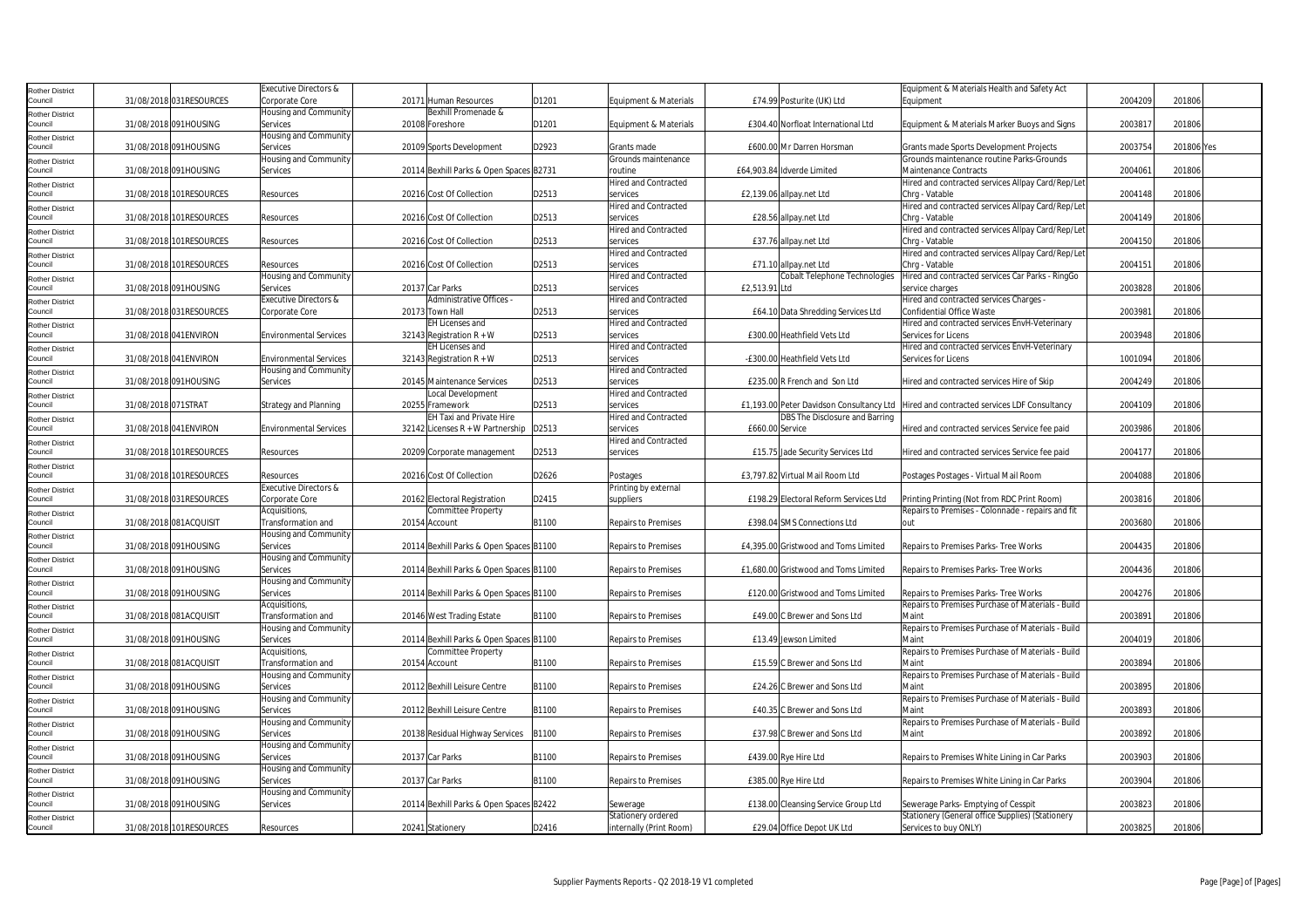| Rother District                   |                        |                         | Executive Directors &            |                                          |       |                             |                 |                                       | Equipment & Materials Health and Safety Act                                            |         |            |
|-----------------------------------|------------------------|-------------------------|----------------------------------|------------------------------------------|-------|-----------------------------|-----------------|---------------------------------------|----------------------------------------------------------------------------------------|---------|------------|
| Council                           |                        | 31/08/2018 031RESOURCES | Corporate Core                   | 20171 Human Resources                    | D1201 | Equipment & Materials       |                 | £74.99 Posturite (UK) Ltd             | Equipment                                                                              | 2004209 | 201806     |
| Rother District                   |                        |                         | Housing and Community            | Bexhill Promenade &                      |       |                             |                 |                                       |                                                                                        |         |            |
| Council                           |                        | 31/08/2018 091HOUSING   | Services                         | 20108 Foreshore                          | D1201 | Equipment & Materials       |                 | £304.40 Norfloat International Ltd    | Equipment & Materials Marker Buoys and Signs                                           | 200381  | 201806     |
|                                   |                        |                         | Housing and Community            |                                          |       |                             |                 |                                       |                                                                                        |         |            |
| Rother District<br>Council        |                        | 31/08/2018 091HOUSING   | Services                         | 20109 Sports Development                 | D2923 | Grants made                 |                 | £600.00 Mr Darren Horsman             | Grants made Sports Development Projects                                                | 2003754 | 201806 Yes |
|                                   |                        |                         | Housing and Community            |                                          |       | Grounds maintenance         |                 |                                       | Grounds maintenance routine Parks-Grounds                                              |         |            |
| Rother District                   |                        | 31/08/2018 091HOUSING   | Services                         | 20114 Bexhill Parks & Open Spaces B2731  |       | routine                     |                 | £64,903.84 Idverde Limited            | <b>Maintenance Contracts</b>                                                           | 2004061 | 201806     |
| Council                           |                        |                         |                                  |                                          |       |                             |                 |                                       |                                                                                        |         |            |
| Rother District                   |                        |                         |                                  |                                          |       | <b>Hired and Contracted</b> |                 |                                       | Hired and contracted services Allpay Card/Rep/Let                                      |         |            |
| Council                           |                        | 31/08/2018 101RESOURCES | Resources                        | 20216 Cost Of Collection                 | D2513 | services                    |                 | £2,139.06 allpay.net Ltd              | Chrg - Vatable                                                                         | 2004148 | 201806     |
| <b>Rother District</b>            |                        |                         |                                  |                                          |       | <b>Hired and Contracted</b> |                 |                                       | Hired and contracted services Allpay Card/Rep/Let                                      |         |            |
| Council                           |                        | 31/08/2018 101RESOURCES | Resources                        | 20216 Cost Of Collection                 | D2513 | services                    |                 | £28.56 allpay.net Ltd                 | Chrg - Vatable                                                                         | 2004149 | 201806     |
| Rother District                   |                        |                         |                                  |                                          |       | <b>Hired and Contracted</b> |                 |                                       | Hired and contracted services Allpay Card/Rep/Let                                      |         |            |
| Council                           |                        | 31/08/2018 101RESOURCES | Resources                        | 20216 Cost Of Collection                 | D2513 | services                    |                 | £37.76 allpay.net Ltd                 | Chrg - Vatable                                                                         | 2004150 | 201806     |
| Rother District                   |                        |                         |                                  |                                          |       | <b>Hired and Contracted</b> |                 |                                       | Hired and contracted services Allpay Card/Rep/Let                                      |         |            |
| Council                           |                        | 31/08/2018 101RESOURCES | Resources                        | 20216 Cost Of Collection                 | D2513 | services                    |                 | £71.10 allpay.net Ltd                 | Chrg - Vatable                                                                         | 2004151 | 201806     |
|                                   |                        |                         | Housing and Community            |                                          |       | <b>Hired and Contracted</b> |                 | Cobalt Telephone Technologies         | Hired and contracted services Car Parks - RingGo                                       |         |            |
| Rother District<br>Council        |                        | 31/08/2018 091HOUSING   | Services                         | 20137 Car Parks                          | D2513 | services                    | £2,513.91 Ltd   |                                       | service charges                                                                        | 2003828 | 201806     |
|                                   |                        |                         | <b>Executive Directors &amp;</b> | Administrative Offices -                 |       | <b>Hired and Contracted</b> |                 |                                       | Hired and contracted services Charges -                                                |         |            |
| Rother District                   |                        |                         |                                  |                                          |       |                             |                 |                                       |                                                                                        |         |            |
| Council                           |                        | 31/08/2018 031RESOURCES | Corporate Core                   | 20173 Town Hall                          | D2513 | services                    |                 | £64.10 Data Shredding Services Ltd    | <b>Confidential Office Waste</b>                                                       | 2003981 | 201806     |
| Rother District                   |                        |                         |                                  | EH Licenses and                          |       | <b>Hired and Contracted</b> |                 |                                       | Hired and contracted services EnvH-Veterinary                                          |         |            |
| Council                           |                        | 31/08/2018 041ENVIRON   | <b>Environmental Services</b>    | 32143 Registration $R + W$               | D2513 | services                    |                 | £300.00 Heathfield Vets Ltd           | Services for Licens                                                                    | 2003948 | 201806     |
| Rother District                   |                        |                         |                                  | <b>EH Licenses and</b>                   |       | Hired and Contracted        |                 |                                       | Hired and contracted services EnvH-Veterinary                                          |         |            |
| Council                           |                        | 31/08/2018 041 ENVIRON  | <b>Environmental Services</b>    | 32143 Registration $R + W$               | D2513 | services                    |                 | -£300.00 Heathfield Vets Ltd          | Services for Licens                                                                    | 1001094 | 201806     |
| Rother District                   |                        |                         | Housing and Community            |                                          |       | <b>Hired and Contracted</b> |                 |                                       |                                                                                        |         |            |
| Council                           |                        | 31/08/2018 091HOUSING   | Services                         | 20145 Maintenance Services               | D2513 | services                    |                 | £235.00 R French and Son Ltd          | Hired and contracted services Hire of Skip                                             | 2004249 | 201806     |
| Rother District                   |                        |                         |                                  | Local Development                        |       | <b>Hired and Contracted</b> |                 |                                       |                                                                                        |         |            |
| Council                           | 31/08/2018 071STRAT    |                         | Strategy and Planning            | 20255 Framework                          | D2513 | services                    |                 |                                       | £1,193.00 Peter Davidson Consultancy Ltd Hired and contracted services LDF Consultancy | 2004109 | 201806     |
| Rother District                   |                        |                         |                                  | EH Taxi and Private Hire                 |       | <b>Hired and Contracted</b> |                 | DBS The Disclosure and Barring        |                                                                                        |         |            |
| Council                           |                        | 31/08/2018 041ENVIRON   | <b>Environmental Services</b>    | 32142 Licenses R + W Partnership   D2513 |       | services                    | £660.00 Service |                                       | Hired and contracted services Service fee paid                                         | 2003986 | 201806     |
|                                   |                        |                         |                                  |                                          |       | <b>Hired and Contracted</b> |                 |                                       |                                                                                        |         |            |
| Rother District                   |                        |                         |                                  |                                          |       |                             |                 |                                       |                                                                                        |         |            |
| Council                           | 31/08/2018             | 101RESOURCES            | Resources                        | 20209 Corporate management               | D2513 | services                    |                 | £15.75 Jade Security Services Ltd     | Hired and contracted services Service fee paid                                         | 2004177 | 201806     |
| Rother District                   |                        |                         |                                  |                                          |       |                             |                 |                                       |                                                                                        |         |            |
| Council                           |                        | 31/08/2018 101RESOURCES | Resources                        | 20216 Cost Of Collection                 | D2626 | Postages                    |                 | £3,797.82 Virtual Mail Room Ltd       | Postages Postages - Virtual Mail Room                                                  | 2004088 | 201806     |
| Rother District                   |                        |                         | Executive Directors &            |                                          |       | Printing by external        |                 |                                       |                                                                                        |         |            |
| Council                           |                        | 31/08/2018 031RESOURCES | Corporate Core                   | 20162 Electoral Registration             | D2415 | suppliers                   |                 | £198.29 Electoral Reform Services Ltd | Printing Printing (Not from RDC Print Room)                                            | 200381  | 201806     |
| <b>Rother District</b>            |                        |                         | Acquisitions,                    | Committee Property                       |       |                             |                 |                                       | Repairs to Premises - Colonnade - repairs and fit                                      |         |            |
| Council                           |                        | 31/08/2018 081ACQUISIT  | Transformation and               | 20154 Account                            | B1100 | <b>Repairs to Premises</b>  |                 | £398.04 SMS Connections Ltd           | out                                                                                    | 2003680 | 201806     |
| Rother District                   |                        |                         | Housing and Community            |                                          |       |                             |                 |                                       |                                                                                        |         |            |
| Council                           |                        | 31/08/2018 091HOUSING   | Services                         | 20114 Bexhill Parks & Open Spaces B1100  |       | <b>Repairs to Premises</b>  |                 | £4,395.00 Gristwood and Toms Limited  | Repairs to Premises Parks- Tree Works                                                  | 2004435 | 201806     |
| Rother District                   |                        |                         | Housing and Community            |                                          |       |                             |                 |                                       |                                                                                        |         |            |
| Council                           |                        | 31/08/2018 091HOUSING   | Services                         | 20114 Bexhill Parks & Open Spaces B1100  |       | <b>Repairs to Premises</b>  |                 | £1,680.00 Gristwood and Toms Limited  | Repairs to Premises Parks- Tree Works                                                  | 2004436 | 201806     |
|                                   |                        |                         | Housing and Community            |                                          |       |                             |                 |                                       |                                                                                        |         |            |
| <b>Rother District</b><br>Council |                        | 31/08/2018 091HOUSING   | Services                         | 20114 Bexhill Parks & Open Spaces B1100  |       | <b>Repairs to Premises</b>  |                 | £120.00 Gristwood and Toms Limited    | Repairs to Premises Parks-Tree Works                                                   | 2004276 | 201806     |
|                                   |                        |                         |                                  |                                          |       |                             |                 |                                       |                                                                                        |         |            |
| Rother District                   |                        |                         | Acquisitions,                    |                                          |       |                             |                 |                                       | Repairs to Premises Purchase of Materials - Build                                      |         |            |
| Council                           | 31/08/2018 081ACQUISIT |                         | <b>Transformation and</b>        | 20146 West Trading Estate                | B1100 | <b>Repairs to Premises</b>  |                 | £49.00 C Brewer and Sons Ltd          | Main                                                                                   | 2003891 | 201806     |
| Rother District                   |                        |                         | Housing and Community            |                                          |       |                             |                 |                                       | Repairs to Premises Purchase of Materials - Build                                      |         |            |
| Council                           |                        | 31/08/2018 091HOUSING   | Services                         | 20114 Bexhill Parks & Open Spaces B1100  |       | <b>Repairs to Premises</b>  |                 | £13.49 Jewson Limited                 | Maint                                                                                  | 200401  | 201806     |
| Rother District                   |                        |                         | Acquisitions,                    | Committee Property                       |       |                             |                 |                                       | Repairs to Premises Purchase of Materials - Build                                      |         |            |
| Council                           |                        | 31/08/2018 081ACQUISIT  | Transformation and               | 20154 Account                            | B1100 | <b>Repairs to Premises</b>  |                 | £15.59 C Brewer and Sons Ltd          | Maint                                                                                  | 2003894 | 201806     |
| Rother District                   |                        |                         | Housing and Community            |                                          |       |                             |                 |                                       | Repairs to Premises Purchase of Materials - Build                                      |         |            |
| Council                           |                        | 31/08/2018 091HOUSING   | Services                         | 20112 Bexhill Leisure Centre             | B1100 | <b>Repairs to Premises</b>  |                 | £24.26 C Brewer and Sons Ltd          | Maint                                                                                  | 2003895 | 201806     |
| Rother District                   |                        |                         | Housing and Community            |                                          |       |                             |                 |                                       | Repairs to Premises Purchase of Materials - Build                                      |         |            |
| Council                           |                        | 31/08/2018 091HOUSING   | Services                         | 20112 Bexhill Leisure Centre             | B1100 | <b>Repairs to Premises</b>  |                 | £40.35 C Brewer and Sons Ltd          | Maint                                                                                  | 2003893 | 201806     |
|                                   |                        |                         | Housing and Community            |                                          |       |                             |                 |                                       | Repairs to Premises Purchase of Materials - Build                                      |         |            |
| Rother District<br>Council        |                        | 31/08/2018 091HOUSING   | Services                         | 20138 Residual Highway Services          | B1100 | <b>Repairs to Premises</b>  |                 | £37.98 C Brewer and Sons Ltd          | Maint                                                                                  | 2003892 | 201806     |
|                                   |                        |                         |                                  |                                          |       |                             |                 |                                       |                                                                                        |         |            |
| Rother District                   |                        |                         | Housing and Community            |                                          |       |                             |                 |                                       |                                                                                        |         |            |
| Council                           |                        | 31/08/2018 091HOUSING   | Services                         | 20137 Car Parks                          | B1100 | <b>Repairs to Premises</b>  |                 | £439.00 Rye Hire Ltd                  | Repairs to Premises White Lining in Car Parks                                          | 2003903 | 201806     |
| Rother District                   |                        |                         | Housing and Community            |                                          |       |                             |                 |                                       |                                                                                        |         |            |
| Council                           |                        | 31/08/2018 091HOUSING   | Services                         | 20137 Car Parks                          | B1100 | Repairs to Premises         |                 | £385.00 Rye Hire Ltd                  | Repairs to Premises White Lining in Car Parks                                          | 2003904 | 201806     |
| Rother District                   |                        |                         | Housing and Community            |                                          |       |                             |                 |                                       |                                                                                        |         |            |
| Council                           |                        | 31/08/2018 091HOUSING   | Services                         | 20114 Bexhill Parks & Open Spaces B2422  |       | Sewerage                    |                 | £138.00 Cleansing Service Group Ltd   | Sewerage Parks-Emptying of Cesspit                                                     | 2003823 | 201806     |
| Rother District                   |                        |                         |                                  |                                          |       | Stationery ordered          |                 |                                       | Stationery (General office Supplies) (Stationery                                       |         |            |
| Council                           |                        | 31/08/2018 101RESOURCES | Resources                        | 20241 Stationery                         | D2416 | internally (Print Room)     |                 | £29.04 Office Depot UK Ltd            | Services to buy ONLY)                                                                  | 2003825 | 201806     |
|                                   |                        |                         |                                  |                                          |       |                             |                 |                                       |                                                                                        |         |            |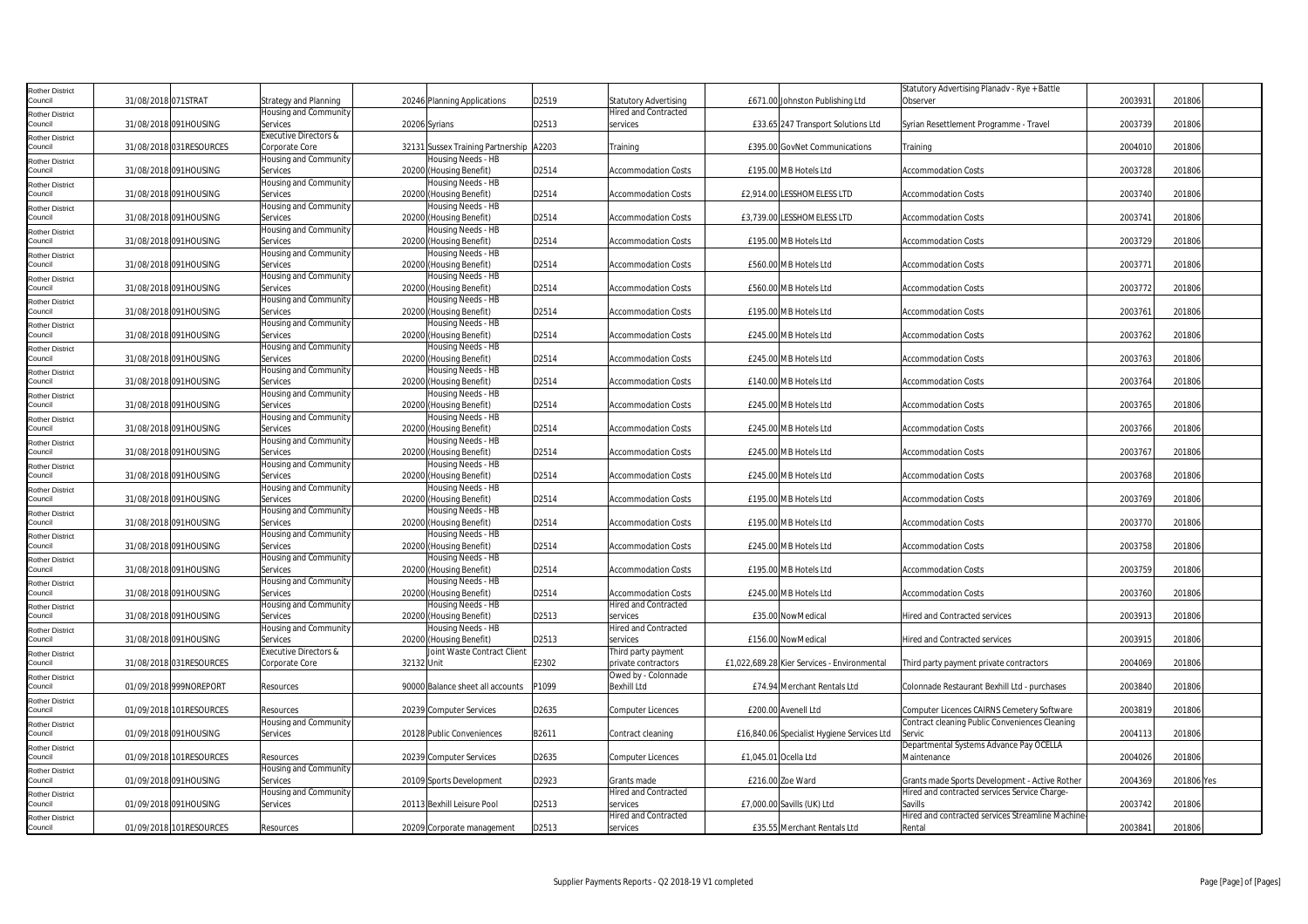| Rother District                   |                         |                                   |                                               |       |                                            |                                             | Statutory Advertising Planadv - Rye + Battle     |         |            |
|-----------------------------------|-------------------------|-----------------------------------|-----------------------------------------------|-------|--------------------------------------------|---------------------------------------------|--------------------------------------------------|---------|------------|
| Council                           | 31/08/2018 071STRAT     | Strategy and Planning             | 20246 Planning Applications                   | D2519 | <b>Statutory Advertising</b>               | £671.00 Johnston Publishing Ltd             | Observer                                         | 2003931 | 201806     |
| Rother District                   |                         | Housing and Community             |                                               |       | <b>Hired and Contracted</b>                |                                             |                                                  |         |            |
| Council                           | 31/08/2018 091HOUSING   | Services                          | 20206 Syrians                                 | D2513 | services                                   | £33.65 247 Transport Solutions Ltd          | Syrian Resettlement Programme - Travel           | 2003739 | 201806     |
| Rother District                   |                         | Executive Directors &             |                                               |       |                                            |                                             |                                                  |         |            |
| Council                           | 31/08/2018 031RESOURCES | Corporate Core                    | 32131 Sussex Training Partnership A2203       |       | Training                                   | £395.00 GovNet Communications               | Training                                         | 2004010 | 201806     |
| Rother District                   |                         | Housing and Community             | Housing Needs - HB                            |       |                                            |                                             |                                                  |         |            |
| Council                           | 31/08/2018 091HOUSING   | Services                          | 20200 (Housing Benefit)                       | D2514 | <b>Accommodation Costs</b>                 | £195.00 MB Hotels Ltd                       | <b>Accommodation Costs</b>                       | 2003728 | 201806     |
| Rother District<br>Council        | 31/08/2018 091HOUSING   | Housing and Community<br>Services | Housing Needs - HB<br>20200 (Housing Benefit) | D2514 | <b>Accommodation Costs</b>                 | £2,914.00 LESSHOMELESS LTD                  | <b>Accommodation Costs</b>                       | 2003740 | 201806     |
|                                   |                         | Housing and Community             | Housing Needs - HB                            |       |                                            |                                             |                                                  |         |            |
| <b>Rother District</b><br>Council | 31/08/2018 091HOUSING   | Services                          | 20200 (Housing Benefit)                       | D2514 | <b>Accommodation Costs</b>                 | £3,739.00 LESSHOMELESS LTD                  | <b>Accommodation Costs</b>                       | 2003741 | 201806     |
|                                   |                         | Housing and Community             | Housing Needs - HB                            |       |                                            |                                             |                                                  |         |            |
| Rother District<br>Council        | 31/08/2018 091HOUSING   | Services                          | 20200<br>(Housing Benefit)                    | D2514 | <b>Accommodation Costs</b>                 | £195.00 MB Hotels Ltd                       | Accommodation Costs                              | 2003729 | 201806     |
| Rother District                   |                         | Housing and Community             | Housing Needs - HB                            |       |                                            |                                             |                                                  |         |            |
| Council                           | 31/08/2018 091HOUSING   | Services                          | 20200 (Housing Benefit)                       | D2514 | <b>Accommodation Costs</b>                 | £560.00 MB Hotels Ltd                       | <b>Accommodation Costs</b>                       | 2003771 | 201806     |
| Rother District                   |                         | Housing and Community             | Housing Needs - HB                            |       |                                            |                                             |                                                  |         |            |
| Council                           | 31/08/2018 091HOUSING   | Services                          | 20200 (Housing Benefit)                       | D2514 | <b>Accommodation Costs</b>                 | £560.00 MB Hotels Ltd                       | <b>Accommodation Costs</b>                       | 2003772 | 201806     |
| tother District                   |                         | Housing and Community             | Housing Needs - HB                            |       |                                            |                                             |                                                  |         |            |
| Council                           | 31/08/2018 091HOUSING   | Services                          | 20200<br>(Housing Benefit)                    | D2514 | <b>Accommodation Costs</b>                 | £195.00 MB Hotels Ltd                       | <b>Accommodation Costs</b>                       | 2003761 | 201806     |
| <b>Rother District</b>            |                         | Housing and Community             | Housing Needs - HB                            |       |                                            |                                             |                                                  |         |            |
| Council                           | 31/08/2018 091HOUSING   | Services                          | 20200 (Housing Benefit)                       | D2514 | <b>Accommodation Costs</b>                 | £245.00 MB Hotels Ltd                       | <b>Accommodation Costs</b>                       | 2003762 | 201806     |
| Rother District                   |                         | Housing and Community             | Housing Needs - HB                            |       |                                            |                                             |                                                  |         |            |
| Council                           | 31/08/2018 091HOUSING   | Services                          | 20200 (Housing Benefit)                       | D2514 | <b>Accommodation Costs</b>                 | £245.00 MB Hotels Ltd                       | <b>Accommodation Costs</b>                       | 2003763 | 201806     |
| Rother District                   |                         | Housing and Community             | Housing Needs - HB                            |       |                                            |                                             |                                                  |         |            |
| Council                           | 31/08/2018 091HOUSING   | Services                          | 20200 (Housing Benefit)                       | D2514 | <b>Accommodation Costs</b>                 | £140.00 MB Hotels Ltd                       | <b>Accommodation Costs</b>                       | 2003764 | 201806     |
| Rother District                   |                         | Housing and Community             | Housing Needs - HB                            |       |                                            |                                             |                                                  |         |            |
| Council                           | 31/08/2018 091HOUSING   | Services                          | 20200 (Housing Benefit)                       | D2514 | <b>Accommodation Costs</b>                 | £245.00 MB Hotels Ltd                       | <b>Accommodation Costs</b>                       | 2003765 | 201806     |
| <b>Rother District</b>            |                         | Housing and Community             | lousing Needs - HB                            |       |                                            |                                             |                                                  |         |            |
| Council                           | 31/08/2018 091HOUSING   | Services                          | 20200 (Housing Benefit)                       | D2514 | <b>Accommodation Costs</b>                 | £245.00 MB Hotels Ltd                       | <b>Accommodation Costs</b>                       | 2003766 | 201806     |
| Rother District<br>Council        | 31/08/2018 091HOUSING   | Housing and Community<br>Services | Housing Needs - HB<br>20200 (Housing Benefit) | D2514 | <b>Accommodation Costs</b>                 | £245.00 MB Hotels Ltd                       | <b>Accommodation Costs</b>                       | 2003767 | 201806     |
|                                   |                         | Housing and Community             | Housing Needs - HB                            |       |                                            |                                             |                                                  |         |            |
| Rother District<br>Council        | 31/08/2018 091HOUSING   | Services                          | 20200 (Housing Benefit)                       | D2514 | <b>Accommodation Costs</b>                 | £245.00 MB Hotels Ltd                       | <b>Accommodation Costs</b>                       | 2003768 | 201806     |
| <b>Rother District</b>            |                         | Housing and Community             | Housing Needs - HB                            |       |                                            |                                             |                                                  |         |            |
| Council                           | 31/08/2018 091HOUSING   | Services                          | 20200 (Housing Benefit)                       | D2514 | <b>Accommodation Costs</b>                 | £195.00 MB Hotels Ltd                       | <b>Accommodation Costs</b>                       | 2003769 | 201806     |
| Rother District                   |                         | Housing and Community             | Housing Needs - HB                            |       |                                            |                                             |                                                  |         |            |
| Council                           | 31/08/2018 091HOUSING   | Services                          | 20200 (Housing Benefit)                       | D2514 | <b>Accommodation Costs</b>                 | £195.00 MB Hotels Ltd                       | <b>Accommodation Costs</b>                       | 2003770 | 201806     |
| Rother District                   |                         | Housing and Community             | Housing Needs - HB                            |       |                                            |                                             |                                                  |         |            |
| Council                           | 31/08/2018 091HOUSING   | Services                          | 20200 (Housing Benefit)                       | D2514 | <b>Accommodation Costs</b>                 | £245.00 MB Hotels Ltd                       | <b>Accommodation Costs</b>                       | 2003758 | 201806     |
| Rother District                   |                         | Housing and Community             | Housing Needs - HB                            |       |                                            |                                             |                                                  |         |            |
| Council                           | 31/08/2018 091HOUSING   | Services                          | 20200 (Housing Benefit)                       | D2514 | <b>Accommodation Costs</b>                 | £195.00 MB Hotels Ltd                       | Accommodation Costs                              | 2003759 | 201806     |
| Rother District                   |                         | Housing and Community             | Housing Needs - HB                            |       |                                            |                                             |                                                  |         |            |
| Council                           | 31/08/2018 091HOUSING   | Services                          | 20200 (Housing Benefit)                       | D2514 | <b>Accommodation Costs</b>                 | £245.00 MB Hotels Ltd                       | <b>Accommodation Costs</b>                       | 2003760 | 201806     |
| Rother District                   |                         | Housing and Community             | Housing Needs - HB                            |       | <b>Hired and Contracted</b>                |                                             |                                                  |         |            |
| Council                           | 31/08/2018 091HOUSING   | Services                          | 20200 (Housing Benefit)                       | D2513 | services                                   | £35.00 NowMedical                           | <b>Hired and Contracted services</b>             | 2003913 | 201806     |
| Rother District                   |                         | Housing and Community             | Housing Needs - HB                            |       | <b>Hired and Contracted</b>                |                                             |                                                  |         |            |
| Council                           | 31/08/2018 091HOUSING   | Services                          | 20200 (Housing Benefit)                       | D2513 | services                                   | £156.00 NowMedical                          | <b>Hired and Contracted services</b>             | 2003915 | 201806     |
| Rother District<br>Council        | 31/08/2018 031RESOURCES | Executive Directors &             | Joint Waste Contract Client<br>32132 Unit     |       | Third party payment                        |                                             |                                                  |         |            |
|                                   |                         | Corporate Core                    |                                               | E2302 | private contractors<br>Owed by - Colonnade | £1,022,689.28 Kier Services - Environmental | Third party payment private contractors          | 2004069 | 201806     |
| Rother District<br>Council        | 01/09/2018 999NOREPORT  | Resources                         | 90000 Balance sheet all accounts              | P1099 | Bexhill Ltd                                | £74.94 Merchant Rentals Ltd                 | Colonnade Restaurant Bexhill Ltd - purchases     | 2003840 | 201806     |
|                                   |                         |                                   |                                               |       |                                            |                                             |                                                  |         |            |
| Rother District<br>Council        | 01/09/2018 101RESOURCES | Resources                         | 20239 Computer Services                       | D2635 | Computer Licences                          | £200.00 Avenell Ltd                         | Computer Licences CAIRNS Cemetery Software       | 2003819 | 201806     |
| Rother District                   |                         | Housing and Community             |                                               |       |                                            |                                             | Contract cleaning Public Conveniences Cleaning   |         |            |
| Council                           | 01/09/2018 091HOUSING   | Services                          | 20128 Public Conveniences                     | B2611 | Contract cleaning                          | £16,840.06 Specialist Hygiene Services Ltd  | Servic                                           | 2004113 | 201806     |
| <b>Rother District</b>            |                         |                                   |                                               |       |                                            |                                             | Departmental Systems Advance Pay OCELLA          |         |            |
| Council                           | 01/09/2018 101RESOURCES | Resources                         | 20239 Computer Services                       | D2635 | <b>Computer Licences</b>                   | £1,045.01 Ocella Ltd                        | Maintenance                                      | 2004026 | 201806     |
| <b>Rother District</b>            |                         | Housing and Community             |                                               |       |                                            |                                             |                                                  |         |            |
| Council                           | 01/09/2018 091HOUSING   | Services                          | 20109 Sports Development                      | D2923 | Grants made                                | £216.00 Zoe Ward                            | Grants made Sports Development - Active Rother   | 2004369 | 201806 Yes |
| <b>Rother District</b>            |                         | Housing and Community             |                                               |       | <b>Hired and Contracted</b>                |                                             | Hired and contracted services Service Charge-    |         |            |
| Council                           | 01/09/2018 091HOUSING   | Services                          | 20113 Bexhill Leisure Pool                    | D2513 | services                                   | £7,000.00 Savills (UK) Ltd                  | Savills                                          | 2003742 | 201806     |
| Rother District                   |                         |                                   |                                               |       | <b>Hired and Contracted</b>                |                                             | Hired and contracted services Streamline Machine |         |            |
| Council                           | 01/09/2018 101RESOURCES | Resources                         | 20209 Corporate management                    | D2513 | services                                   | £35.55 Merchant Rentals Ltd                 | Rental                                           | 2003841 | 201806     |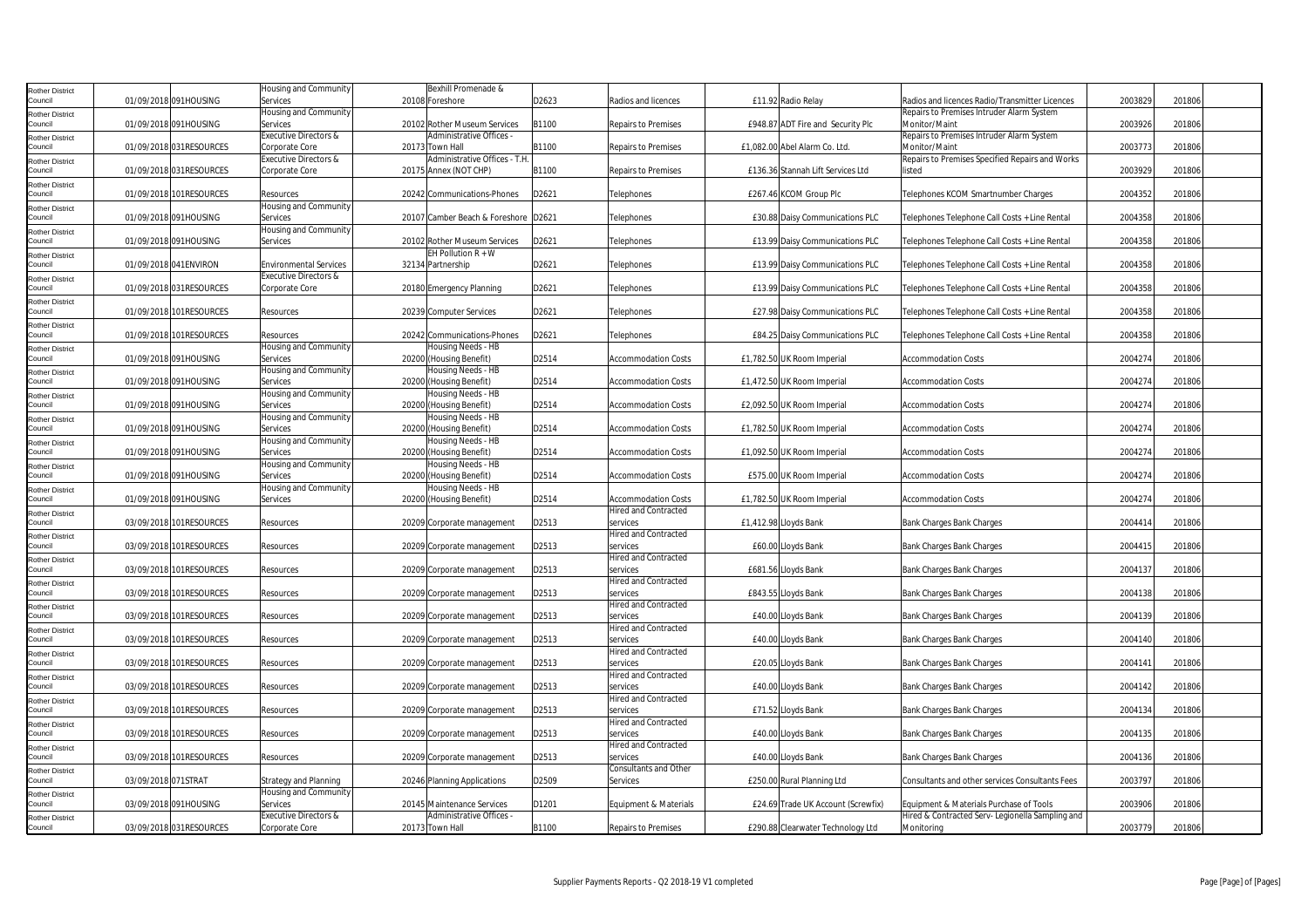| <b>Rother District</b>            |                     |                          | Housing and Community            | Bexhill Promenade &                  |       |                                         |                                    |                                                  |         |        |  |
|-----------------------------------|---------------------|--------------------------|----------------------------------|--------------------------------------|-------|-----------------------------------------|------------------------------------|--------------------------------------------------|---------|--------|--|
| Council                           |                     | 01/09/2018 091HOUSING    | Services                         | 20108 Foreshore                      | D2623 | Radios and licences                     | £11.92 Radio Relay                 | Radios and licences Radio/Transmitter Licences   | 2003829 | 201806 |  |
| <b>Rother District</b>            |                     |                          | Housing and Community            |                                      |       |                                         |                                    | Repairs to Premises Intruder Alarm System        |         |        |  |
| Council                           |                     | 01/09/2018 091HOUSING    | Services                         | 20102 Rother Museum Services         | B1100 | <b>Repairs to Premises</b>              | £948.87 ADT Fire and Security Plc  | Monitor/Maint                                    | 2003926 | 201806 |  |
| <b>Rother District</b>            |                     |                          | Executive Directors &            | Administrative Offices               |       |                                         |                                    | Repairs to Premises Intruder Alarm System        |         |        |  |
| Council                           |                     | 01/09/2018 031RESOURCES  | Corporate Core                   | 20173 Town Hall                      | B1100 | <b>Repairs to Premises</b>              | £1,082.00 Abel Alarm Co. Ltd.      | Monitor/Maint                                    | 2003773 | 201806 |  |
| <b>Rother District</b>            |                     |                          | <b>Executive Directors &amp;</b> | Administrative Offices - T.H.        |       |                                         |                                    | Repairs to Premises Specified Repairs and Works  |         |        |  |
| Council                           |                     | 01/09/2018 031RESOURCES  | Corporate Core                   | 20175 Annex (NOT CHP)                | B1100 | <b>Repairs to Premises</b>              | £136.36 Stannah Lift Services Ltd  | listed                                           | 2003929 | 201806 |  |
| <b>Rother District</b>            |                     |                          |                                  |                                      |       |                                         |                                    |                                                  |         |        |  |
| Council                           |                     | 01/09/2018 101RESOURCES  | Resources                        | 20242 Communications-Phones          | D2621 | Telephones                              | £267.46 KCOM Group Plc             | Telephones KCOM Smartnumber Charges              | 2004352 | 201806 |  |
| <b>Rother District</b>            |                     |                          | Housing and Community            |                                      |       |                                         |                                    |                                                  |         |        |  |
| Council                           |                     | 01/09/2018 091HOUSING    | Services                         | 20107 Camber Beach & Foreshore D2621 |       | Telephones                              | £30.88 Daisy Communications PLC    | Telephones Telephone Call Costs + Line Rental    | 2004358 | 201806 |  |
| <b>Rother District</b>            |                     |                          | Housing and Community            |                                      |       |                                         |                                    |                                                  |         |        |  |
| Council                           |                     | 01/09/2018 091HOUSING    | Services                         | 20102 Rother Museum Services         | D2621 | Telephones                              | £13.99 Daisy Communications PLC    | Telephones Telephone Call Costs + Line Rental    | 2004358 | 201806 |  |
| <b>Rother District</b>            |                     |                          |                                  | EH Pollution $R + W$                 |       |                                         |                                    |                                                  |         |        |  |
| Council                           |                     | 01/09/2018 041 ENVIRON   | <b>Environmental Services</b>    | 32134 Partnership                    | D2621 | Telephones                              | £13.99 Daisy Communications PLC    | Telephones Telephone Call Costs + Line Rental    | 2004358 | 201806 |  |
| <b>Rother District</b><br>Council |                     |                          | Executive Directors &            |                                      |       |                                         |                                    |                                                  |         |        |  |
|                                   |                     | 01/09/2018 031RESOURCES  | Corporate Core                   | 20180 Emergency Planning             | D2621 | Telephones                              | £13.99 Daisy Communications PLC    | Telephones Telephone Call Costs + Line Rental    | 2004358 | 201806 |  |
| <b>Rother District</b><br>Council |                     | 01/09/2018 101RESOURCES  | Resources                        | 20239 Computer Services              | D2621 | Telephones                              | £27.98 Daisy Communications PLC    | Telephones Telephone Call Costs + Line Rental    | 2004358 | 201806 |  |
|                                   |                     |                          |                                  |                                      |       |                                         |                                    |                                                  |         |        |  |
| <b>Rother District</b><br>Council |                     | 01/09/2018 101RESOURCES  | Resources                        | 20242 Communications-Phones          | D2621 | Telephones                              | £84.25 Daisy Communications PLC    | Telephones Telephone Call Costs + Line Rental    | 2004358 | 201806 |  |
| <b>Rother District</b>            |                     |                          | Housing and Community            | Housing Needs - HB                   |       |                                         |                                    |                                                  |         |        |  |
| Council                           |                     | 01/09/2018 091HOUSING    | Services                         | 20200 (Housing Benefit)              | D2514 | <b>Accommodation Costs</b>              | £1,782.50 UK Room Imperial         | <b>Accommodation Costs</b>                       | 2004274 | 201806 |  |
| <b>Rother District</b>            |                     |                          | Housing and Community            | Housing Needs - HB                   |       |                                         |                                    |                                                  |         |        |  |
| Council                           |                     | 01/09/2018 091HOUSING    | Services                         | 20200 (Housing Benefit)              | D2514 | <b>Accommodation Costs</b>              | £1,472.50 UK Room Imperial         | <b>Accommodation Costs</b>                       | 2004274 | 201806 |  |
| <b>Rother District</b>            |                     |                          | Housing and Community            | Housing Needs - HB                   |       |                                         |                                    |                                                  |         |        |  |
| Council                           |                     | 01/09/2018 091HOUSING    | Services                         | 20200 (Housing Benefit)              | D2514 | <b>Accommodation Costs</b>              | £2,092.50 UK Room Imperial         | <b>Accommodation Costs</b>                       | 2004274 | 201806 |  |
| <b>Rother District</b>            |                     |                          | Housing and Community            | Housing Needs - HB                   |       |                                         |                                    |                                                  |         |        |  |
| Council                           |                     | 01/09/2018 091HOUSING    | Services                         | 20200 (Housing Benefit)              | D2514 | <b>Accommodation Costs</b>              | £1,782.50 UK Room Imperial         | <b>Accommodation Costs</b>                       | 2004274 | 201806 |  |
| <b>Rother District</b>            |                     |                          | Housing and Community            | Housing Needs - HB                   |       |                                         |                                    |                                                  |         |        |  |
| Council                           |                     | 01/09/2018 091HOUSING    | Services                         | 20200 (Housing Benefit)              | D2514 | <b>Accommodation Costs</b>              | £1,092.50 UK Room Imperial         | <b>Accommodation Costs</b>                       | 2004274 | 201806 |  |
| <b>Rother District</b>            |                     |                          | Housing and Community            | Housing Needs - HB                   |       |                                         |                                    |                                                  |         |        |  |
| Council                           |                     | 01/09/2018 091HOUSING    | Services                         | 20200 (Housing Benefit)              | D2514 | <b>Accommodation Costs</b>              | £575.00 UK Room Imperial           | <b>Accommodation Costs</b>                       | 2004274 | 201806 |  |
| <b>Rother District</b>            |                     |                          | Housing and Community            | Housing Needs - HB                   |       |                                         |                                    |                                                  |         |        |  |
| Council                           |                     | 01/09/2018 091HOUSING    | Services                         | 20200 (Housing Benefit)              | D2514 | <b>Accommodation Costs</b>              | £1,782.50 UK Room Imperial         | <b>Accommodation Costs</b>                       | 2004274 | 201806 |  |
| <b>Rother District</b>            |                     |                          |                                  |                                      |       | <b>Hired and Contracted</b>             |                                    |                                                  |         |        |  |
| Council                           |                     | 03/09/2018 101RESOURCES  | Resources                        | 20209 Corporate management           | D2513 | services                                | £1,412.98 Lloyds Bank              | <b>Bank Charges Bank Charges</b>                 | 2004414 | 201806 |  |
| <b>Rother District</b>            |                     |                          |                                  |                                      |       | <b>Hired and Contracted</b>             |                                    |                                                  |         |        |  |
| Council                           |                     | 03/09/2018 101RESOURCES  | Resources                        | 20209 Corporate management           | D2513 | services                                | £60.00 Lloyds Bank                 | Bank Charges Bank Charges                        | 2004415 | 201806 |  |
| <b>Rother District</b>            |                     |                          |                                  |                                      |       | <b>Hired and Contracted</b>             |                                    |                                                  |         |        |  |
| Council                           |                     | 03/09/2018 101RESOURCES  | Resources                        | 20209 Corporate management           | D2513 | services                                | £681.56 Lloyds Bank                | Bank Charges Bank Charges                        | 2004137 | 201806 |  |
| <b>Rother District</b>            |                     |                          |                                  |                                      |       | <b>Hired and Contracted</b>             |                                    |                                                  |         |        |  |
| Council                           |                     | 03/09/2018 101RESOURCES  | Resources                        | 20209 Corporate management           | D2513 | services<br><b>Hired and Contracted</b> | £843.55 Lloyds Bank                | Bank Charges Bank Charges                        | 2004138 | 201806 |  |
| <b>Rother District</b><br>Council |                     | 03/09/2018 101RESOURCES  | Resources                        | 20209 Corporate management           | D2513 | services                                | £40.00 Lloyds Bank                 | Bank Charges Bank Charges                        | 2004139 | 201806 |  |
|                                   |                     |                          |                                  |                                      |       | <b>Hired and Contracted</b>             |                                    |                                                  |         |        |  |
| <b>Rother District</b><br>Council |                     | 03/09/2018 101RESOURCES  | Resources                        | 20209 Corporate management           | D2513 | services                                | £40.00 Lloyds Bank                 | Bank Charges Bank Charges                        | 2004140 | 201806 |  |
| <b>Rother District</b>            |                     |                          |                                  |                                      |       | <b>Hired and Contracted</b>             |                                    |                                                  |         |        |  |
| Council                           |                     | 03/09/2018 101RESOURCES  | Resources                        | 20209 Corporate management           | D2513 | services                                | £20.05 Lloyds Bank                 | Bank Charges Bank Charges                        | 2004141 | 201806 |  |
| <b>Rother District</b>            |                     |                          |                                  |                                      |       | <b>Hired and Contracted</b>             |                                    |                                                  |         |        |  |
| Council                           |                     | 03/09/2018 101RESOURCES  | Resources                        | 20209 Corporate management           | D2513 | services                                | £40.00 Lloyds Bank                 | Bank Charges Bank Charges                        | 2004142 | 201806 |  |
| <b>Rother District</b>            |                     |                          |                                  |                                      |       | Hired and Contracted                    |                                    |                                                  |         |        |  |
| Council                           |                     | 03/09/2018 101RESOURCES  | Resources                        | 20209 Corporate management           | D2513 | services                                | £71.52 Lloyds Bank                 | <b>Bank Charges Bank Charges</b>                 | 2004134 | 201806 |  |
| <b>Rother District</b>            |                     |                          |                                  |                                      |       | <b>Hired and Contracted</b>             |                                    |                                                  |         |        |  |
| Council                           |                     | 03/09/2018 101RESOURCES  | Resources                        | 20209 Corporate management           | D2513 | services                                | £40.00 Lloyds Bank                 | <b>Bank Charges Bank Charges</b>                 | 2004135 | 201806 |  |
| <b>Rother District</b>            |                     |                          |                                  |                                      |       | <b>Hired and Contracted</b>             |                                    |                                                  |         |        |  |
| Council                           |                     | 03/09/2018 101 RESOURCES | Resources                        | 20209 Corporate management           | D2513 | services                                | £40.00 Lloyds Bank                 | <b>Bank Charges Bank Charges</b>                 | 2004136 | 201806 |  |
| <b>Rother District</b>            |                     |                          |                                  |                                      |       | <b>Consultants and Other</b>            |                                    |                                                  |         |        |  |
| Council                           | 03/09/2018 071STRAT |                          | Strategy and Planning            | 20246 Planning Applications          | D2509 | Services                                | £250.00 Rural Planning Ltd         | Consultants and other services Consultants Fees  | 2003797 | 201806 |  |
| <b>Rother District</b>            |                     |                          | Housing and Community            |                                      |       |                                         |                                    |                                                  |         |        |  |
| Council                           |                     | 03/09/2018 091HOUSING    | Services                         | 20145 Maintenance Services           | D1201 | Equipment & Materials                   | £24.69 Trade UK Account (Screwfix) | Equipment & Materials Purchase of Tools          | 2003906 | 201806 |  |
| <b>Rother District</b>            |                     |                          | <b>Executive Directors &amp;</b> | Administrative Offices               |       |                                         |                                    | Hired & Contracted Serv- Legionella Sampling and |         |        |  |
| Council                           |                     | 03/09/2018 031RESOURCES  | Corporate Core                   | 20173 Town Hall                      | B1100 | <b>Repairs to Premises</b>              | £290.88 Clearwater Technology Ltd  | Monitoring                                       | 2003779 | 201806 |  |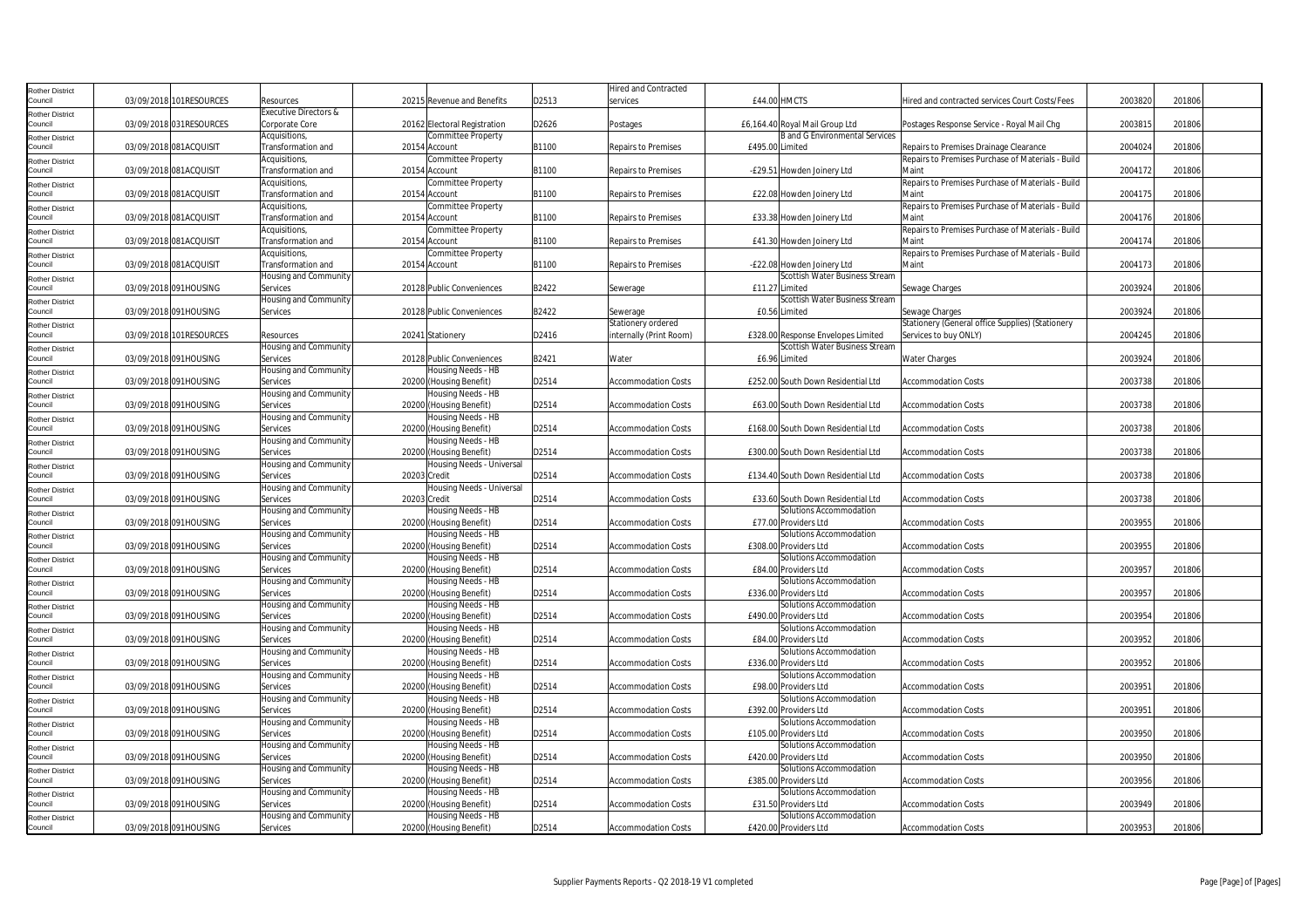| Rother District                   |                         |                       |                                                 |       | <b>Hired and Contracted</b> |                                       |                                                   |         |        |
|-----------------------------------|-------------------------|-----------------------|-------------------------------------------------|-------|-----------------------------|---------------------------------------|---------------------------------------------------|---------|--------|
| Council                           | 03/09/2018 101RESOURCES | Resources             | 20215 Revenue and Benefits                      | D2513 | services                    | £44.00 HMCTS                          | Hired and contracted services Court Costs/Fees    | 2003820 | 201806 |
|                                   |                         | Executive Directors & |                                                 |       |                             |                                       |                                                   |         |        |
| Rother District<br>Council        | 03/09/2018 031RESOURCES | Corporate Core        | 20162 Electoral Registration                    | D2626 |                             | £6,164.40 Royal Mail Group Ltd        | Postages Response Service - Royal Mail Chg        | 2003815 | 201806 |
|                                   |                         |                       | Committee Property                              |       | Postages                    | <b>B</b> and G Environmental Services |                                                   |         |        |
| Rother District<br>Council        |                         | Acquisitions,         |                                                 |       |                             |                                       |                                                   |         |        |
|                                   | 03/09/2018 081ACQUISIT  | Transformation and    | 20154 Account                                   | B1100 | <b>Repairs to Premises</b>  | £495.00 Limited                       | Repairs to Premises Drainage Clearance            | 2004024 | 201806 |
| Rother District                   |                         | Acquisitions,         | Committee Property                              |       |                             |                                       | Repairs to Premises Purchase of Materials - Build |         |        |
| Council                           | 03/09/2018 081ACQUISIT  | Transformation and    | 20154 Account                                   | B1100 | Repairs to Premises         | -£29.51 Howden Joinery Ltd            | Main                                              | 2004172 | 201806 |
| Rother District                   |                         | Acquisitions,         | Committee Property                              |       |                             |                                       | Repairs to Premises Purchase of Materials - Build |         |        |
| Council                           | 03/09/2018 081ACQUISIT  | Transformation and    | 20154 Account                                   | B1100 | Repairs to Premises         | £22.08 Howden Joinery Ltd             | Main                                              | 2004175 | 201806 |
| <b>Rother District</b>            |                         | Acquisitions,         | Committee Property                              |       |                             |                                       | Repairs to Premises Purchase of Materials - Build |         |        |
| Council                           | 03/09/2018 081ACQUISIT  | Transformation and    | 20154 Account                                   | B1100 | <b>Repairs to Premises</b>  | £33.38 Howden Joinery Ltd             | Maint                                             | 2004176 | 201806 |
| Rother District                   |                         | Acquisitions,         | Committee Property                              |       |                             |                                       | Repairs to Premises Purchase of Materials - Build |         |        |
| Council                           | 03/09/2018 081ACQUISIT  | Transformation and    | 20154 Account                                   | B1100 | Repairs to Premises         | £41.30 Howden Joinery Ltd             | Main                                              | 2004174 | 201806 |
| Rother District                   |                         | Acquisitions,         | Committee Property                              |       |                             |                                       | Repairs to Premises Purchase of Materials - Build |         |        |
| Council                           | 03/09/2018 081ACQUISIT  | Transformation and    | 20154 Account                                   | B1100 | Repairs to Premises         | -£22.08 Howden Joinery Ltd            | Maint                                             | 2004173 | 201806 |
| Rother District                   |                         | Housing and Community |                                                 |       |                             | Scottish Water Business Stream        |                                                   |         |        |
| Council                           | 03/09/2018 091HOUSING   | Services              | 20128 Public Conveniences                       | B2422 | Sewerage                    | £11.27 Limited                        | Sewage Charges                                    | 2003924 | 201806 |
| Rother District                   |                         | Housing and Community |                                                 |       |                             | Scottish Water Business Stream        |                                                   |         |        |
| Council                           | 03/09/2018 091HOUSING   | Services              | 20128 Public Conveniences                       | B2422 | Sewerage                    | £0.56 Limited                         | Sewage Charges                                    | 2003924 | 201806 |
|                                   |                         |                       |                                                 |       | Stationery ordered          |                                       | Stationery (General office Supplies) (Stationery  |         |        |
| Rother District<br>Council        | 03/09/2018 101RESOURCES | Resources             | 20241 Stationery                                | D2416 | internally (Print Room)     | £328.00 Response Envelopes Limited    | Services to buy ONLY)                             | 2004245 | 201806 |
|                                   |                         | Housing and Community |                                                 |       |                             | Scottish Water Business Stream        |                                                   |         |        |
| <b>Rother District</b><br>Council |                         |                       |                                                 |       | Water                       |                                       |                                                   | 2003924 |        |
|                                   | 03/09/2018 091HOUSING   | Services              | 20128 Public Conveniences<br>Housing Needs - HB | B2421 |                             | £6.96 Limited                         | <b>Water Charges</b>                              |         | 201806 |
| Rother District                   |                         | Housing and Community |                                                 |       |                             |                                       |                                                   |         |        |
| Council                           | 03/09/2018 091HOUSING   | Services              | 20200 (Housing Benefit)                         | D2514 | Accommodation Costs         | £252.00 South Down Residential Ltd    | <b>Accommodation Costs</b>                        | 2003738 | 201806 |
| <b>Rother District</b>            |                         | Housing and Community | Housing Needs - HB                              |       |                             |                                       |                                                   |         |        |
| Council                           | 03/09/2018 091HOUSING   | Services              | 20200 (Housing Benefit)                         | D2514 | <b>Accommodation Costs</b>  | £63.00 South Down Residential Ltd     | <b>Accommodation Costs</b>                        | 2003738 | 201806 |
| Rother District                   |                         | Housing and Community | Housing Needs - HB                              |       |                             |                                       |                                                   |         |        |
| Council                           | 03/09/2018 091HOUSING   | Services              | 20200 (Housing Benefit)                         | D2514 | <b>Accommodation Costs</b>  | £168.00 South Down Residential Ltd    | <b>Accommodation Costs</b>                        | 2003738 | 201806 |
| Rother District                   |                         | Housing and Community | Housing Needs - HB                              |       |                             |                                       |                                                   |         |        |
| Council                           | 03/09/2018 091HOUSING   | Services              | 20200 (Housing Benefit)                         | D2514 | <b>Accommodation Costs</b>  | £300.00 South Down Residential Ltd    | <b>Accommodation Costs</b>                        | 2003738 | 201806 |
| Rother District                   |                         | Housing and Community | Housing Needs - Universal                       |       |                             |                                       |                                                   |         |        |
| Council                           | 03/09/2018 091HOUSING   | Services              | 20203 Credit                                    | D2514 | <b>Accommodation Costs</b>  | £134.40 South Down Residential Ltd    | <b>Accommodation Costs</b>                        | 2003738 | 201806 |
| <b>Rother District</b>            |                         | Housing and Community | Housing Needs - Universal                       |       |                             |                                       |                                                   |         |        |
| Council                           | 03/09/2018 091HOUSING   | Services              | 20203 Credit                                    | D2514 | <b>Accommodation Costs</b>  | £33.60 South Down Residential Ltd     | <b>Accommodation Costs</b>                        | 2003738 | 201806 |
| Rother District                   |                         | Housing and Community | Housing Needs - HB                              |       |                             | Solutions Accommodation               |                                                   |         |        |
| Council                           | 03/09/2018 091HOUSING   | Services              | 20200 (Housing Benefit)                         | D2514 | Accommodation Costs         | £77.00 Providers Ltd                  | <b>Accommodation Costs</b>                        | 2003955 | 201806 |
| Rother District                   |                         | Housing and Community | Housing Needs - HB                              |       |                             | Solutions Accommodation               |                                                   |         |        |
| Council                           | 03/09/2018 091HOUSING   | Services              | 20200 (Housing Benefit)                         | D2514 | <b>Accommodation Costs</b>  | £308.00 Providers Ltd                 | <b>Accommodation Costs</b>                        | 2003955 | 201806 |
| <b>Rother District</b>            |                         | Housing and Community | Housing Needs - HB                              |       |                             | Solutions Accommodation               |                                                   |         |        |
| Council                           | 03/09/2018 091HOUSING   | Services              | 20200 (Housing Benefit)                         | D2514 | <b>Accommodation Costs</b>  | £84.00 Providers Ltd                  | <b>Accommodation Costs</b>                        | 2003957 | 201806 |
| Rother District                   |                         | Housing and Community | Housing Needs - HB                              |       |                             | Solutions Accommodation               |                                                   |         |        |
| Council                           | 03/09/2018 091HOUSING   | Services              | 20200 (Housing Benefit)                         | D2514 | <b>Accommodation Costs</b>  | £336.00 Providers Ltd                 | <b>Accommodation Costs</b>                        | 2003957 | 201806 |
| Rother District                   |                         | lousing and Community | Housing Needs - HB                              |       |                             | Solutions Accommodation               |                                                   |         |        |
| Council                           | 03/09/2018 091HOUSING   | Services              | 20200 (Housing Benefit)                         | D2514 | <b>Accommodation Costs</b>  | £490.00 Providers Ltd                 | <b>Accommodation Costs</b>                        | 2003954 | 201806 |
| <b>Rother District</b>            |                         | Housing and Community | Housing Needs - HB                              |       |                             | Solutions Accommodation               |                                                   |         |        |
| Council                           | 03/09/2018 091HOUSING   | Services              | 20200 (Housing Benefit)                         | D2514 | <b>Accommodation Costs</b>  | £84.00 Providers Ltd                  | <b>Accommodation Costs</b>                        | 2003952 | 201806 |
| Rother District                   |                         | Housing and Community | Housing Needs - HB                              |       |                             | Solutions Accommodation               |                                                   |         |        |
| Council                           | 03/09/2018 091HOUSING   | Services              | 20200 (Housing Benefit)                         | D2514 | <b>Accommodation Costs</b>  | £336.00 Providers Ltd                 | <b>Accommodation Costs</b>                        | 2003952 | 201806 |
| Rother District                   |                         | Housing and Community | Housing Needs - HB                              |       |                             | Solutions Accommodation               |                                                   |         |        |
| Council                           | 03/09/2018 091HOUSING   | Services              | 20200 (Housing Benefit)                         | D2514 | <b>Accommodation Costs</b>  | £98.00 Providers Ltd                  | <b>Accommodation Costs</b>                        | 2003951 | 201806 |
| Rother District                   |                         | Housing and Community | Housing Needs - HB                              |       |                             | Solutions Accommodation               |                                                   |         |        |
| Council                           | 03/09/2018 091HOUSING   | Services              | 20200 (Housing Benefit)                         | D2514 | <b>Accommodation Costs</b>  | £392.00 Providers Ltd                 | <b>Accommodation Costs</b>                        | 2003951 | 201806 |
| <b>Rother District</b>            |                         | Housing and Community | Housing Needs - HB                              |       |                             | Solutions Accommodation               |                                                   |         |        |
| Council                           | 03/09/2018 091HOUSING   | Services              | 20200 (Housing Benefit)                         | D2514 | <b>Accommodation Costs</b>  | £105.00 Providers Ltd                 | <b>Accommodation Costs</b>                        | 2003950 | 201806 |
| <b>Rother District</b>            |                         | Housing and Community | Housing Needs - HB                              |       |                             | Solutions Accommodation               |                                                   |         |        |
| Council                           | 03/09/2018 091HOUSING   | Services              | 20200 (Housing Benefit)                         | D2514 | Accommodation Costs         | £420.00 Providers Ltd                 | <b>Accommodation Costs</b>                        | 2003950 | 201806 |
| <b>Rother District</b>            |                         | Housing and Community | Housing Needs - HB                              |       |                             | Solutions Accommodation               |                                                   |         |        |
| Council                           | 03/09/2018 091HOUSING   | Services              | 20200 (Housing Benefit)                         | D2514 | Accommodation Costs         | £385.00 Providers Ltd                 | <b>Accommodation Costs</b>                        | 2003956 | 201806 |
| Rother District                   |                         | Housing and Community | Housing Needs - HB                              |       |                             | Solutions Accommodation               |                                                   |         |        |
| Council                           | 03/09/2018 091HOUSING   | Services              | 20200 (Housing Benefit)                         | D2514 | <b>Accommodation Costs</b>  | £31.50 Providers Ltd                  | <b>Accommodation Costs</b>                        | 2003949 | 201806 |
| <b>Rother District</b>            |                         | Housing and Community | Housing Needs - HB                              |       |                             | Solutions Accommodation               |                                                   |         |        |
| Council                           | 03/09/2018 091HOUSING   | Services              | 20200 (Housing Benefit)                         | D2514 | <b>Accommodation Costs</b>  | £420.00 Providers Ltd                 | <b>Accommodation Costs</b>                        | 2003953 | 201806 |
|                                   |                         |                       |                                                 |       |                             |                                       |                                                   |         |        |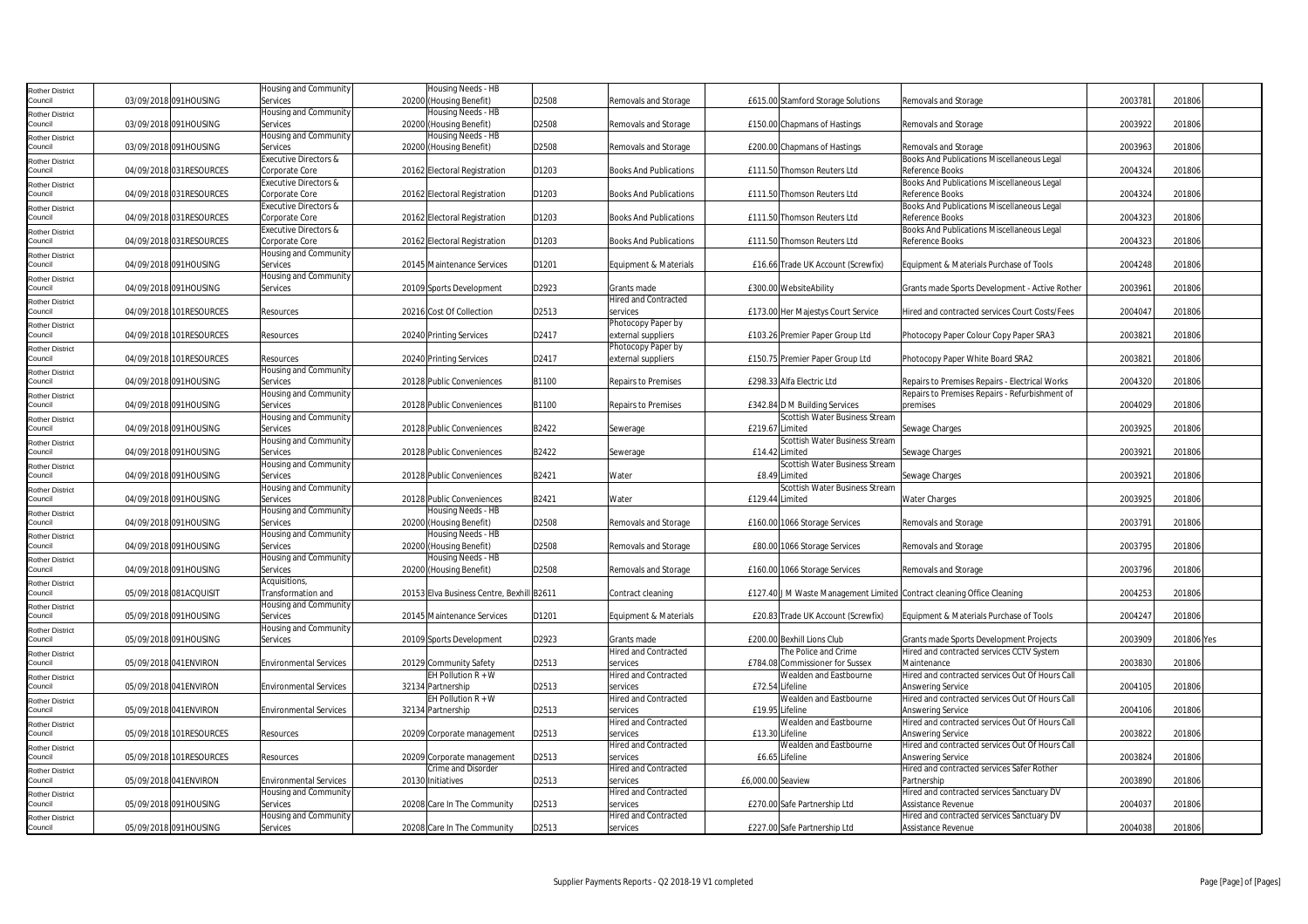| <b>Rother District</b>            |                         | Housing and Community            | Housing Needs - HB                        |       |                               |                   |                                    |                                                                        |         |            |  |
|-----------------------------------|-------------------------|----------------------------------|-------------------------------------------|-------|-------------------------------|-------------------|------------------------------------|------------------------------------------------------------------------|---------|------------|--|
| Council                           | 03/09/2018 091HOUSING   | Services                         | 20200 (Housing Benefit)                   | D2508 | Removals and Storage          |                   | £615.00 Stamford Storage Solutions | Removals and Storage                                                   | 2003781 | 201806     |  |
| <b>Rother District</b>            |                         | Housing and Community            | Housing Needs - HB                        |       |                               |                   |                                    |                                                                        |         |            |  |
| Council                           | 03/09/2018 091HOUSING   | Services                         | 20200 (Housing Benefit)                   | D2508 | Removals and Storage          |                   | £150.00 Chapmans of Hastings       | Removals and Storage                                                   | 2003922 | 201806     |  |
| <b>Rother District</b>            |                         | Housing and Community            | Housing Needs - HB                        |       |                               |                   |                                    |                                                                        |         |            |  |
| Council                           | 03/09/2018 091HOUSING   | Services                         | 20200 (Housing Benefit)                   | D2508 | Removals and Storage          |                   | £200.00 Chapmans of Hastings       | Removals and Storage                                                   | 2003963 | 201806     |  |
| <b>Rother District</b>            |                         | Executive Directors &            |                                           |       |                               |                   |                                    | Books And Publications Miscellaneous Legal                             |         |            |  |
| Council                           | 04/09/2018 031RESOURCES | Corporate Core                   | 20162 Electoral Registration              | D1203 | <b>Books And Publications</b> |                   | £111.50 Thomson Reuters Ltd        | Reference Books                                                        | 2004324 | 201806     |  |
| <b>Rother District</b>            |                         | <b>Executive Directors &amp;</b> |                                           |       |                               |                   |                                    | Books And Publications Miscellaneous Legal                             |         |            |  |
| Council                           | 04/09/2018 031RESOURCES | Corporate Core                   | 20162 Electoral Registration              | D1203 | <b>Books And Publications</b> |                   | £111.50 Thomson Reuters Ltd        | Reference Books                                                        | 2004324 | 201806     |  |
| <b>Rother District</b>            |                         | Executive Directors &            |                                           |       |                               |                   |                                    | <b>Books And Publications Miscellaneous Legal</b>                      |         |            |  |
| Council                           | 04/09/2018 031RESOURCES | Corporate Core                   | 20162 Electoral Registration              | D1203 | <b>Books And Publications</b> |                   | £111.50 Thomson Reuters Ltd        | Reference Books                                                        | 2004323 | 201806     |  |
| <b>Rother District</b>            |                         | Executive Directors &            |                                           |       |                               |                   |                                    | Books And Publications Miscellaneous Legal                             |         |            |  |
| Council                           | 04/09/2018 031RESOURCES | Corporate Core                   | 20162 Electoral Registration              | D1203 | <b>Books And Publications</b> |                   | £111.50 Thomson Reuters Ltd        | Reference Books                                                        | 2004323 | 201806     |  |
| Rother District                   |                         | Housing and Community            |                                           |       |                               |                   |                                    |                                                                        |         |            |  |
| Council                           | 04/09/2018 091HOUSING   | Services                         | 20145 Maintenance Services                | D1201 | Equipment & Materials         |                   | £16.66 Trade UK Account (Screwfix) | Equipment & Materials Purchase of Tools                                | 2004248 | 201806     |  |
| <b>Rother District</b>            |                         | Housing and Community            |                                           |       |                               |                   |                                    |                                                                        |         |            |  |
| Council                           | 04/09/2018 091HOUSING   | Services                         | 20109 Sports Development                  | D2923 | Grants made                   |                   | £300.00 WebsiteAbility             | Grants made Sports Development - Active Rother                         | 2003961 | 201806     |  |
|                                   |                         |                                  |                                           |       | <b>Hired and Contracted</b>   |                   |                                    |                                                                        |         |            |  |
| <b>Rother District</b><br>Council | 04/09/2018 101RESOURCES | Resources                        | 20216 Cost Of Collection                  | D2513 | services                      |                   | £173.00 Her Majestys Court Service | Hired and contracted services Court Costs/Fees                         | 2004047 | 201806     |  |
| <b>Rother District</b>            |                         |                                  |                                           |       | Photocopy Paper by            |                   |                                    |                                                                        |         |            |  |
| Council                           | 04/09/2018 101RESOURCES | Resources                        | 20240 Printing Services                   | D2417 | external suppliers            |                   | £103.26 Premier Paper Group Ltd    | Photocopy Paper Colour Copy Paper SRA3                                 | 2003821 | 201806     |  |
|                                   |                         |                                  |                                           |       | Photocopy Paper by            |                   |                                    |                                                                        |         |            |  |
| <b>Rother District</b><br>Council | 04/09/2018 101RESOURCES | Resources                        | 20240 Printing Services                   | D2417 | external suppliers            |                   | £150.75 Premier Paper Group Ltd    | Photocopy Paper White Board SRA2                                       | 2003821 | 201806     |  |
|                                   |                         | Housing and Community            |                                           |       |                               |                   |                                    |                                                                        |         |            |  |
| <b>Rother District</b><br>Council | 04/09/2018 091HOUSING   | Services                         | 20128 Public Conveniences                 | B1100 | <b>Repairs to Premises</b>    |                   | £298.33 Alfa Electric Ltd          | Repairs to Premises Repairs - Electrical Works                         | 2004320 | 201806     |  |
|                                   |                         | Housing and Community            |                                           |       |                               |                   |                                    | Repairs to Premises Repairs - Refurbishment of                         |         |            |  |
| <b>Rother District</b><br>Council | 04/09/2018 091HOUSING   | Services                         | 20128 Public Conveniences                 | B1100 | <b>Repairs to Premises</b>    |                   | £342.84 D M Building Services      | premises                                                               | 2004029 | 201806     |  |
|                                   |                         | Housing and Community            |                                           |       |                               |                   | Scottish Water Business Stream     |                                                                        |         |            |  |
| <b>Rother District</b>            | 04/09/2018 091HOUSING   | Services                         | 20128 Public Conveniences                 | B2422 |                               | £219.67 Limited   |                                    | Sewage Charges                                                         | 2003925 | 201806     |  |
| Council                           |                         | Housing and Community            |                                           |       | Sewerage                      |                   | Scottish Water Business Stream     |                                                                        |         |            |  |
| <b>Rother District</b>            |                         |                                  |                                           |       |                               |                   |                                    |                                                                        |         |            |  |
| Council                           | 04/09/2018 091HOUSING   | Services                         | 20128 Public Conveniences                 | B2422 | Sewerage                      |                   | £14.42 Limited                     | Sewage Charges                                                         | 2003921 | 201806     |  |
| <b>Rother District</b>            |                         | Housing and Community            |                                           |       |                               |                   | Scottish Water Business Stream     |                                                                        |         |            |  |
| Council                           | 04/09/2018 091HOUSING   | Services                         | 20128 Public Conveniences                 | B2421 | Water                         |                   | £8.49 Limited                      | Sewage Charges                                                         | 2003921 | 201806     |  |
| <b>Rother District</b>            |                         | Housing and Community            |                                           |       |                               |                   | Scottish Water Business Stream     |                                                                        |         |            |  |
| Council                           | 04/09/2018 091HOUSING   | Services                         | 20128 Public Conveniences                 | B2421 | Water                         | £129.44 Limited   |                                    | <b>Water Charges</b>                                                   | 2003925 | 201806     |  |
| <b>Rother District</b>            |                         | Housing and Community            | Housing Needs - HB                        |       |                               |                   |                                    |                                                                        |         |            |  |
| Council                           | 04/09/2018 091HOUSING   | Services                         | 20200 (Housing Benefit)                   | D2508 | Removals and Storage          |                   | £160.00 1066 Storage Services      | Removals and Storage                                                   | 2003791 | 201806     |  |
| <b>Rother District</b>            |                         | Housing and Community            | Housing Needs - HB                        |       |                               |                   |                                    |                                                                        |         |            |  |
| Council                           | 04/09/2018 091HOUSING   | Services                         | 20200 (Housing Benefit)                   | D2508 | Removals and Storage          |                   | £80.00 1066 Storage Services       | Removals and Storage                                                   | 2003795 | 201806     |  |
| <b>Rother District</b>            |                         | Housing and Community            | Housing Needs - HB                        |       |                               |                   |                                    |                                                                        |         |            |  |
| Council                           | 04/09/2018 091HOUSING   | Services                         | 20200 (Housing Benefit)                   | D2508 | Removals and Storage          |                   | £160.00 1066 Storage Services      | Removals and Storage                                                   | 2003796 | 201806     |  |
| <b>Rother District</b>            |                         | Acquisitions,                    |                                           |       |                               |                   |                                    |                                                                        |         |            |  |
| Council                           | 05/09/2018 081ACQUISIT  | Transformation and               | 20153 Elva Business Centre, Bexhill B2611 |       | Contract cleaning             |                   |                                    | £127.40 J M Waste Management Limited Contract cleaning Office Cleaning | 2004253 | 201806     |  |
| <b>Rother District</b>            |                         | Housing and Community            |                                           |       |                               |                   |                                    |                                                                        |         |            |  |
| Council                           | 05/09/2018 091HOUSING   | Services                         | 20145 Maintenance Services                | D1201 | Equipment & Materials         |                   | £20.83 Trade UK Account (Screwfix) | Equipment & Materials Purchase of Tools                                | 2004247 | 201806     |  |
| <b>Rother District</b>            |                         | Housing and Community            |                                           |       |                               |                   |                                    |                                                                        |         |            |  |
| Council                           | 05/09/2018 091HOUSING   | Services                         | 20109 Sports Development                  | D2923 | Grants made                   |                   | £200.00 Bexhill Lions Club         | Grants made Sports Development Projects                                | 2003909 | 201806 Yes |  |
| <b>Rother District</b>            |                         |                                  |                                           |       | <b>Hired and Contracted</b>   |                   | The Police and Crime               | Hired and contracted services CCTV System                              |         |            |  |
| Council                           | 05/09/2018 041ENVIRON   | <b>Environmental Services</b>    | 20129 Community Safety                    | D2513 | services                      |                   | £784.08 Commissioner for Sussex    | Maintenance                                                            | 2003830 | 201806     |  |
| <b>Rother District</b>            |                         |                                  | EH Pollution $R + W$                      |       | <b>Hired and Contracted</b>   |                   | Wealden and Eastbourne             | Hired and contracted services Out Of Hours Call                        |         |            |  |
| Council                           | 05/09/2018 041ENVIRON   | <b>Environmental Services</b>    | 32134 Partnership                         | D2513 | services                      | £72.54 Lifeline   |                                    | <b>Answering Service</b>                                               | 2004105 | 201806     |  |
| <b>Rother District</b>            |                         |                                  | EH Pollution $R + W$                      |       | <b>Hired and Contracted</b>   |                   | Wealden and Eastbourne             | Hired and contracted services Out Of Hours Call                        |         |            |  |
| Council                           | 05/09/2018 041 ENVIRON  | <b>Environmental Services</b>    | 32134 Partnership                         | D2513 | services                      | £19.95 Lifeline   |                                    | Answering Service                                                      | 2004106 | 201806     |  |
| <b>Rother District</b>            |                         |                                  |                                           |       | <b>Hired and Contracted</b>   |                   | Wealden and Eastbourne             | Hired and contracted services Out Of Hours Call                        |         |            |  |
| Council                           | 05/09/2018 101RESOURCES | Resources                        | 20209 Corporate management                | D2513 | services                      | £13.30 Lifeline   |                                    | <b>Answering Service</b>                                               | 2003822 | 201806     |  |
| <b>Rother District</b>            |                         |                                  |                                           |       | <b>Hired and Contracted</b>   |                   | Wealden and Eastbourne             | Hired and contracted services Out Of Hours Call                        |         |            |  |
| Council                           | 05/09/2018 101RESOURCES | Resources                        | 20209 Corporate management                | D2513 | services                      |                   | £6.65 Lifeline                     | <b>Answering Service</b>                                               | 2003824 | 201806     |  |
| <b>Rother District</b>            |                         |                                  | Crime and Disorder                        |       | <b>Hired and Contracted</b>   |                   |                                    | Hired and contracted services Safer Rother                             |         |            |  |
| Council                           | 05/09/2018 041ENVIRON   | Environmental Services           | 20130 Initiatives                         | D2513 | services                      | £6,000.00 Seaview |                                    | Partnership                                                            | 2003890 | 201806     |  |
| <b>Rother District</b>            |                         | Housing and Community            |                                           |       | <b>Hired and Contracted</b>   |                   |                                    | Hired and contracted services Sanctuary DV                             |         |            |  |
| Council                           | 05/09/2018 091HOUSING   | Services                         | 20208 Care In The Community               | D2513 | services                      |                   | £270.00 Safe Partnership Ltd       | Assistance Revenue                                                     | 2004037 | 201806     |  |
| <b>Rother District</b>            |                         | Housing and Community            |                                           |       | <b>Hired and Contracted</b>   |                   |                                    | Hired and contracted services Sanctuary DV                             |         |            |  |
| Council                           | 05/09/2018 091HOUSING   | Services                         | 20208 Care In The Community               | D2513 | services                      |                   | £227.00 Safe Partnership Ltd       | Assistance Revenue                                                     | 2004038 | 201806     |  |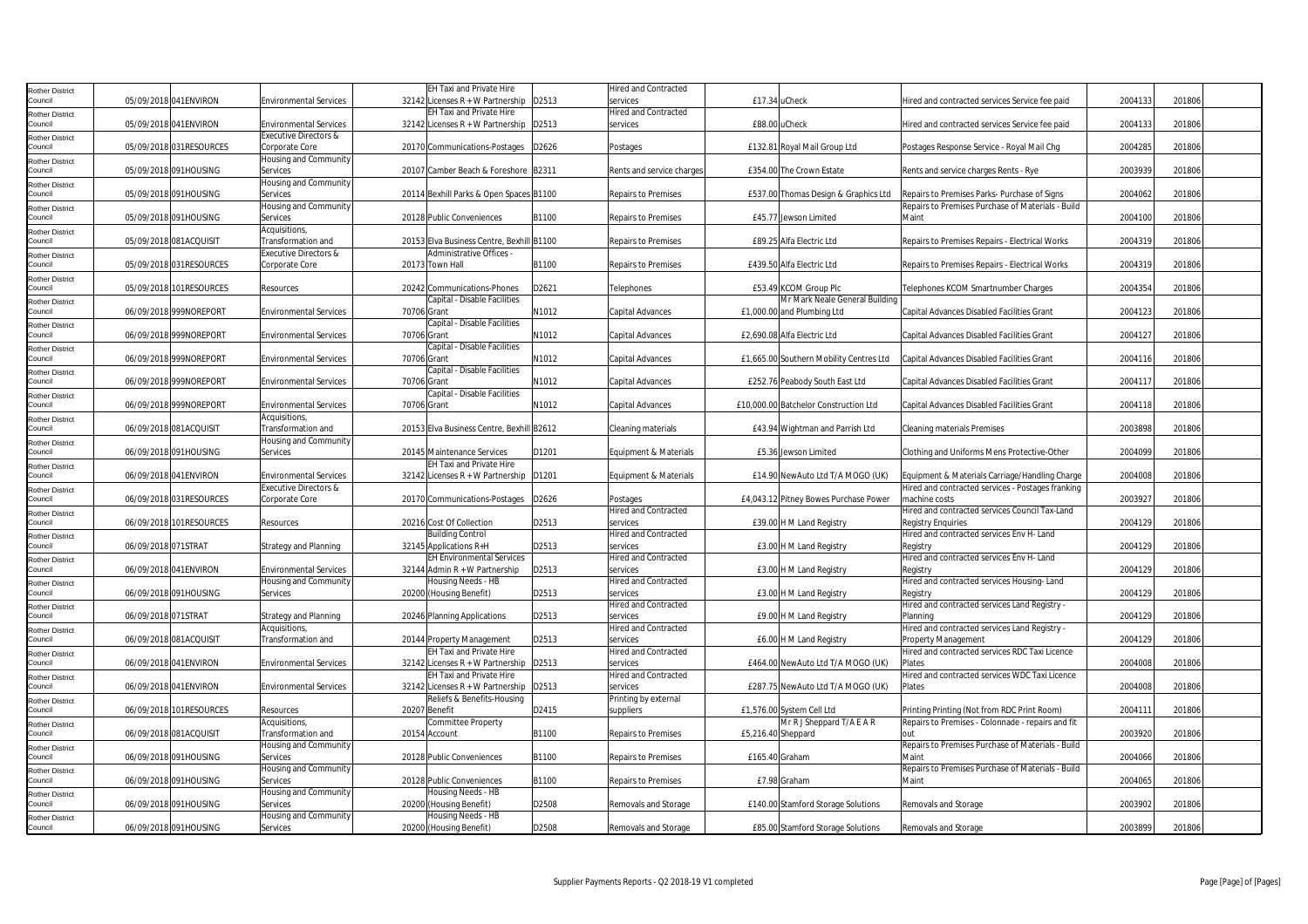| <b>Rother District</b>            |                         |                                  | EH Taxi and Private Hire                  |       | Hired and Contracted        |                    |                                         |                                                   |         |        |
|-----------------------------------|-------------------------|----------------------------------|-------------------------------------------|-------|-----------------------------|--------------------|-----------------------------------------|---------------------------------------------------|---------|--------|
| Council                           | 05/09/2018 041 ENVIRON  | <b>Environmental Services</b>    | 32142 Licenses $R + W$ Partnership        | D2513 | services                    | £17.34 uCheck      |                                         | Hired and contracted services Service fee paid    | 2004133 | 201806 |
| Rother District                   |                         |                                  | <b>EH Taxi and Private Hire</b>           |       | <b>Hired and Contracted</b> |                    |                                         |                                                   |         |        |
| Council                           | 05/09/2018 041ENVIRON   | <b>Environmental Services</b>    | 32142 Licenses $R + W$ Partnership        | D2513 | services                    | £88.00 uCheck      |                                         | Hired and contracted services Service fee paid    | 2004133 | 201806 |
| Rother District                   |                         | <b>Executive Directors &amp;</b> |                                           |       |                             |                    |                                         |                                                   |         |        |
| Council                           | 05/09/2018 031RESOURCES | Corporate Core                   | 20170 Communications-Postages             | D2626 | Postages                    |                    | £132.81 Royal Mail Group Ltd            | Postages Response Service - Royal Mail Chg        | 2004285 | 201806 |
|                                   |                         | Housing and Community            |                                           |       |                             |                    |                                         |                                                   |         |        |
| Rother District<br>Council        | 05/09/2018 091HOUSING   | Services                         | 20107 Camber Beach & Foreshore B2311      |       | Rents and service charges   |                    | £354.00 The Crown Estate                | Rents and service charges Rents - Rye             | 2003939 | 201806 |
|                                   |                         | Housing and Community            |                                           |       |                             |                    |                                         |                                                   |         |        |
| Rother District<br>Council        | 05/09/2018 091HOUSING   |                                  |                                           |       |                             |                    |                                         |                                                   | 2004062 | 201806 |
|                                   |                         | Services                         | 20114 Bexhill Parks & Open Spaces B1100   |       | <b>Repairs to Premises</b>  |                    | £537.00 Thomas Design & Graphics Ltd    | Repairs to Premises Parks- Purchase of Signs      |         |        |
| Rother District                   |                         | Housing and Community            |                                           |       |                             |                    |                                         | Repairs to Premises Purchase of Materials - Build |         |        |
| Council                           | 05/09/2018 091HOUSING   | Services                         | 20128 Public Conveniences                 | B1100 | <b>Repairs to Premises</b>  |                    | £45.77 Jewson Limited                   | Maint                                             | 2004100 | 201806 |
| Rother District                   |                         | Acquisitions,                    |                                           |       |                             |                    |                                         |                                                   |         |        |
| Council                           | 05/09/2018 081ACQUISIT  | Transformation and               | 20153 Elva Business Centre, Bexhill B1100 |       | <b>Repairs to Premises</b>  |                    | £89.25 Alfa Electric Ltd                | Repairs to Premises Repairs - Electrical Works    | 2004319 | 201806 |
| Rother District                   |                         | Executive Directors &            | Administrative Offices -                  |       |                             |                    |                                         |                                                   |         |        |
| Council                           | 05/09/2018 031RESOURCES | Corporate Core                   | 20173 Town Hall                           | B1100 | Repairs to Premises         |                    | £439.50 Alfa Electric Ltd               | Repairs to Premises Repairs - Electrical Works    | 2004319 | 201806 |
| Rother District                   |                         |                                  |                                           |       |                             |                    |                                         |                                                   |         |        |
| Council                           | 05/09/2018 101RESOURCES | Resources                        | 20242 Communications-Phones               | D2621 | Telephones                  |                    | £53.49 KCOM Group Plc                   | Telephones KCOM Smartnumber Charges               | 2004354 | 201806 |
| <b>Rother District</b>            |                         |                                  | Capital - Disable Facilities              |       |                             |                    | Mr Mark Neale General Building          |                                                   |         |        |
| Council                           | 06/09/2018 999NOREPORT  | <b>Environmental Services</b>    | 70706 Grant                               | N1012 | Capital Advances            |                    | £1,000.00 and Plumbing Ltd              | Capital Advances Disabled Facilities Grant        | 2004123 | 201806 |
|                                   |                         |                                  | Capital - Disable Facilities              |       |                             |                    |                                         |                                                   |         |        |
| <b>Rother District</b><br>Council | 06/09/2018 999NOREPORT  | <b>Environmental Services</b>    | 70706 Grant                               | N1012 | Capital Advances            |                    | £2.690.08 Alfa Electric Ltd             | Capital Advances Disabled Facilities Grant        | 2004127 | 201806 |
|                                   |                         |                                  |                                           |       |                             |                    |                                         |                                                   |         |        |
| Rother District                   |                         |                                  | Capital - Disable Facilities              |       |                             |                    |                                         |                                                   |         |        |
| Council                           | 06/09/2018 999NOREPORT  | <b>Environmental Services</b>    | 70706 Grant                               | N1012 | Capital Advances            |                    | £1,665.00 Southern Mobility Centres Ltd | <b>Capital Advances Disabled Facilities Grant</b> | 2004116 | 201806 |
| <b>Rother District</b>            |                         |                                  | Capital - Disable Facilities              |       |                             |                    |                                         |                                                   |         |        |
| Council                           | 06/09/2018 999NOREPORT  | <b>Environmental Services</b>    | 70706 Grant                               | N1012 | Capital Advances            |                    | £252.76 Peabody South East Ltd          | Capital Advances Disabled Facilities Grant        | 2004117 | 201806 |
| <b>Rother District</b>            |                         |                                  | Capital - Disable Facilities              |       |                             |                    |                                         |                                                   |         |        |
| Council                           | 06/09/2018 999NOREPORT  | <b>Environmental Services</b>    | 70706 Grant                               | N1012 | Capital Advances            |                    | £10,000.00 Batchelor Construction Ltd   | Capital Advances Disabled Facilities Grant        | 2004118 | 201806 |
| Rother District                   |                         | Acquisitions,                    |                                           |       |                             |                    |                                         |                                                   |         |        |
| Council                           | 06/09/2018 081ACQUISIT  | Transformation and               | 20153 Elva Business Centre, Bexhill B2612 |       | Cleaning materials          |                    | £43.94 Wightman and Parrish Ltd         | Cleaning materials Premises                       | 2003898 | 201806 |
|                                   |                         | Housing and Community            |                                           |       |                             |                    |                                         |                                                   |         |        |
| Rother District                   |                         |                                  |                                           |       |                             |                    |                                         |                                                   |         |        |
| Council                           | 06/09/2018 091HOUSING   | Services                         | 20145 Maintenance Services                | D1201 | Equipment & Materials       |                    | £5.36 Jewson Limited                    | Clothing and Uniforms Mens Protective-Other       | 2004099 | 201806 |
| Rother District                   |                         |                                  | EH Taxi and Private Hire                  |       |                             |                    |                                         |                                                   |         |        |
| Council                           | 06/09/2018 041ENVIRON   | <b>Environmental Services</b>    | 32142 Licenses R + W Partnership          | D1201 | Equipment & Materials       |                    | £14.90 NewAuto Ltd T/A MOGO (UK)        | Equipment & Materials Carriage/Handling Charge    | 2004008 | 201806 |
| Rother District                   |                         | Executive Directors &            |                                           |       |                             |                    |                                         | Hired and contracted services - Postages franking |         |        |
| Council                           | 06/09/2018 031RESOURCES | Corporate Core                   | 20170 Communications-Postages             | D2626 | Postages                    |                    | £4,043.12 Pitney Bowes Purchase Power   | machine costs                                     | 2003927 | 201806 |
| Rother District                   |                         |                                  |                                           |       | <b>Hired and Contracted</b> |                    |                                         | Hired and contracted services Council Tax-Land    |         |        |
| Council                           | 06/09/2018 101RESOURCES | Resources                        | 20216 Cost Of Collection                  | D2513 | services                    |                    | £39.00 H M Land Registry                | <b>Registry Enquiries</b>                         | 2004129 | 201806 |
| Rother District                   |                         |                                  | <b>Building Control</b>                   |       | <b>Hired and Contracted</b> |                    |                                         | Hired and contracted services Env H- Land         |         |        |
| Council                           | 06/09/2018 071STRAT     | Strategy and Planning            | 32145 Applications R+H                    | D2513 | services                    |                    | £3.00 H M Land Registry                 | Registry                                          | 2004129 | 201806 |
|                                   |                         |                                  |                                           |       |                             |                    |                                         |                                                   |         |        |
| Rother District                   |                         |                                  | <b>EH Environmental Services</b>          |       | Hired and Contracted        |                    |                                         | Hired and contracted services Env H- Land         |         |        |
| Council                           | 06/09/2018 041ENVIRON   | <b>Environmental Services</b>    | $32144$ Admin R + W Partnership           | D2513 | services                    |                    | £3.00 H M Land Registry                 | Registry                                          | 2004129 | 201806 |
| Rother District                   |                         | Housing and Community            | Housing Needs - HB                        |       | <b>Hired and Contracted</b> |                    |                                         | Hired and contracted services Housing-Land        |         |        |
| Council                           | 06/09/2018 091HOUSING   | Services                         | 20200 (Housing Benefit)                   | D2513 | services                    |                    | £3.00 H M Land Registry                 | Registry                                          | 2004129 | 201806 |
| Rother District                   |                         |                                  |                                           |       | Hired and Contracted        |                    |                                         | Hired and contracted services Land Registry -     |         |        |
| Council                           | 06/09/2018 071STRAT     | <b>Strategy and Planning</b>     | 20246 Planning Applications               | D2513 | services                    |                    | £9.00 H M Land Registry                 | Planning                                          | 2004129 | 201806 |
| Rother District                   |                         | Acquisitions,                    |                                           |       | <b>Hired and Contracted</b> |                    |                                         | Hired and contracted services Land Registry -     |         |        |
| Council                           | 06/09/2018 081ACQUISIT  | Transformation and               | 20144 Property Management                 | D2513 | services                    |                    | £6.00 H M Land Registry                 | Property Management                               | 2004129 | 201806 |
| Rother District                   |                         |                                  | EH Taxi and Private Hire                  |       | <b>Hired and Contracted</b> |                    |                                         | Hired and contracted services RDC Taxi Licence    |         |        |
| Council                           | 06/09/2018 041ENVIRON   | <b>Environmental Services</b>    | 32142 Licenses $R + W$ Partnership        | D2513 | services                    |                    | £464.00 NewAuto Ltd T/A MOGO (UK)       | Plates                                            | 2004008 | 201806 |
|                                   |                         |                                  | <b>EH Taxi and Private Hire</b>           |       | Hired and Contracted        |                    |                                         | Hired and contracted services WDC Taxi Licence    |         |        |
| Rother District<br>Council        | 06/09/2018 041ENVIRON   | <b>Environmental Services</b>    | 32142 Licenses $R + W$ Partnership        | D2513 | services                    |                    | £287.75 NewAuto Ltd T/A MOGO (UK)       | Plates                                            | 2004008 | 201806 |
|                                   |                         |                                  |                                           |       |                             |                    |                                         |                                                   |         |        |
| Rother District                   |                         |                                  | Reliefs & Benefits-Housing                |       | Printing by external        |                    |                                         |                                                   |         |        |
| Council                           | 06/09/2018 101RESOURCES | <b>Resources</b>                 | 20207 Benefit                             | D2415 | suppliers                   |                    | £1,576.00 System Cell Ltd               | Printing Printing (Not from RDC Print Room)       | 2004111 | 201806 |
| <b>Rother District</b>            |                         | Acquisitions,                    | Committee Property                        |       |                             |                    | Mr R J Sheppard T/A E A R               | Repairs to Premises - Colonnade - repairs and fit |         |        |
| Council                           | 06/09/2018 081ACQUISIT  | Transformation and               | 20154 Account                             | B1100 | <b>Repairs to Premises</b>  | £5,216.40 Sheppard |                                         | nıt                                               | 2003920 | 201806 |
| Rother District                   |                         | Housing and Community            |                                           |       |                             |                    |                                         | Repairs to Premises Purchase of Materials - Build |         |        |
| Council                           | 06/09/2018 091HOUSING   | Services                         | 20128 Public Conveniences                 | B1100 | <b>Repairs to Premises</b>  | £165.40 Graham     |                                         | Maint                                             | 2004066 | 201806 |
| Rother District                   |                         | Housing and Community            |                                           |       |                             |                    |                                         | Repairs to Premises Purchase of Materials - Build |         |        |
| Council                           | 06/09/2018 091HOUSING   | Services                         | 20128 Public Conveniences                 | B1100 | <b>Repairs to Premises</b>  |                    | £7.98 Graham                            | Maint                                             | 2004065 | 201806 |
|                                   |                         | Housing and Community            | Housing Needs - HB                        |       |                             |                    |                                         |                                                   |         |        |
| <b>Rother District</b><br>Council |                         |                                  |                                           |       |                             |                    |                                         |                                                   |         |        |
|                                   | 06/09/2018 091HOUSING   | Services                         | 20200 (Housing Benefit)                   | D2508 | Removals and Storage        |                    | £140.00 Stamford Storage Solutions      | Removals and Storage                              | 2003902 | 201806 |
| <b>Rother District</b>            |                         | Housing and Community            | Housing Needs - HB                        |       |                             |                    |                                         |                                                   |         |        |
| Council                           | 06/09/2018 091HOUSING   | Services                         | 20200 (Housing Benefit)                   | D2508 | Removals and Storage        |                    | £85.00 Stamford Storage Solutions       | Removals and Storage                              | 2003899 | 201806 |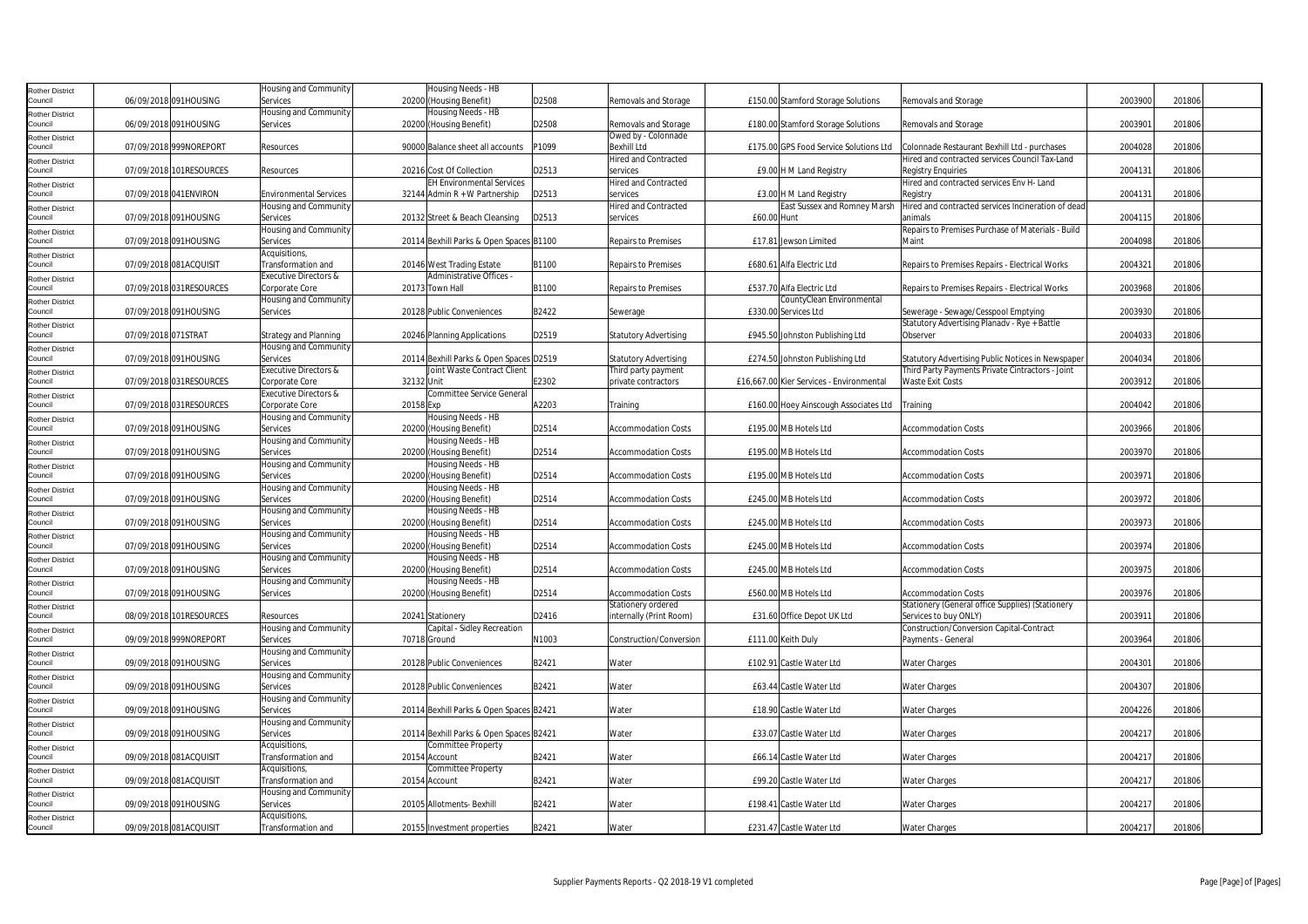| Rother District                   |                     |                         | Housing and Community            | Housing Needs - HB                      |       |                              |             |                                          |                                                    |         |        |  |
|-----------------------------------|---------------------|-------------------------|----------------------------------|-----------------------------------------|-------|------------------------------|-------------|------------------------------------------|----------------------------------------------------|---------|--------|--|
| Council                           |                     | 06/09/2018 091HOUSING   | Services                         | 20200 (Housing Benefit)                 | D2508 | Removals and Storage         |             | £150.00 Stamford Storage Solutions       | Removals and Storage                               | 2003900 | 201806 |  |
| Rother District                   |                     |                         | Housing and Community            | Housing Needs - HB                      |       |                              |             |                                          |                                                    |         |        |  |
| Council                           |                     | 06/09/2018 091HOUSING   | Services                         | 20200 (Housing Benefit)                 | D2508 | Removals and Storage         |             | £180.00 Stamford Storage Solutions       | Removals and Storage                               | 200390  | 201806 |  |
|                                   |                     |                         |                                  |                                         |       | Owed by - Colonnade          |             |                                          |                                                    |         |        |  |
| Rother District<br>Council        |                     | 07/09/2018 999NOREPORT  | Resources                        | 90000 Balance sheet all accounts        | P1099 | <b>Bexhill Ltd</b>           |             | £175.00 GPS Food Service Solutions Ltd   | Colonnade Restaurant Bexhill Ltd - purchases       | 2004028 | 201806 |  |
|                                   |                     |                         |                                  |                                         |       | <b>Hired and Contracted</b>  |             |                                          | Hired and contracted services Council Tax-Land     |         |        |  |
| Rother District<br>Council        |                     | 07/09/2018 101RESOURCES | Resources                        | 20216 Cost Of Collection                | D2513 | services                     |             | £9.00 H M Land Registry                  | <b>Registry Enguiries</b>                          | 2004131 | 201806 |  |
|                                   |                     |                         |                                  | <b>EH Environmental Services</b>        |       | <b>Hired and Contracted</b>  |             |                                          | Hired and contracted services Env H- Land          |         |        |  |
| Rother District                   |                     |                         |                                  |                                         |       |                              |             |                                          |                                                    |         |        |  |
| Council                           |                     | 07/09/2018 041ENVIRON   | <b>Environmental Services</b>    | 32144 Admin R + W Partnership           | D2513 | services                     |             | £3.00 H M Land Registry                  | Registry                                           | 2004131 | 201806 |  |
| <b>Rother District</b>            |                     |                         | Housing and Community            |                                         |       | <b>Hired and Contracted</b>  |             | East Sussex and Romney Marsh             | Hired and contracted services Incineration of dead |         |        |  |
| Council                           |                     | 07/09/2018 091HOUSING   | Services                         | 20132 Street & Beach Cleansing          | D2513 | services                     | £60.00 Hunt |                                          | animals                                            | 2004115 | 201806 |  |
| Rother District                   |                     |                         | Housing and Community            |                                         |       |                              |             |                                          | Repairs to Premises Purchase of Materials - Build  |         |        |  |
| Council                           |                     | 07/09/2018 091HOUSING   | Services                         | 20114 Bexhill Parks & Open Spaces B1100 |       | <b>Repairs to Premises</b>   |             | £17.81 Jewson Limited                    | Maint                                              | 2004098 | 201806 |  |
| Rother District                   |                     |                         | Acquisitions,                    |                                         |       |                              |             |                                          |                                                    |         |        |  |
| Council                           |                     | 07/09/2018 081ACQUISIT  | Transformation and               | 20146 West Trading Estate               | B1100 | <b>Repairs to Premises</b>   |             | £680.61 Alfa Electric Ltd                | Repairs to Premises Repairs - Electrical Works     | 2004321 | 201806 |  |
| Rother District                   |                     |                         | Executive Directors &            | Administrative Offices -                |       |                              |             |                                          |                                                    |         |        |  |
| Council                           |                     | 07/09/2018 031RESOURCES | Corporate Core                   | 20173 Town Hall                         | B1100 | Repairs to Premises          |             | £537.70 Alfa Electric Ltd                | Repairs to Premises Repairs - Electrical Works     | 2003968 | 201806 |  |
| Rother District                   |                     |                         | Housing and Community            |                                         |       |                              |             | CountyClean Environmental                |                                                    |         |        |  |
| Council                           |                     | 07/09/2018 091HOUSING   | Services                         | 20128 Public Conveniences               | B2422 | Sewerage                     |             | £330.00 Services Ltd                     | Sewerage - Sewage/Cesspool Emptying                | 2003930 | 201806 |  |
| Rother District                   |                     |                         |                                  |                                         |       |                              |             |                                          | Statutory Advertising Planadv - Rye + Battle       |         |        |  |
| Council                           | 07/09/2018 071STRAT |                         | <b>Strategy and Planning</b>     | 20246 Planning Applications             | D2519 | <b>Statutory Advertising</b> |             | £945.50 Johnston Publishing Ltd          | Observer                                           | 2004033 | 201806 |  |
|                                   |                     |                         | Housing and Community            |                                         |       |                              |             |                                          |                                                    |         |        |  |
| <b>Rother District</b><br>Council |                     |                         |                                  |                                         |       |                              |             |                                          |                                                    | 2004034 | 201806 |  |
|                                   |                     | 07/09/2018 091HOUSING   | Services                         | 20114 Bexhill Parks & Open Spaces D2519 |       | <b>Statutory Advertising</b> |             | £274.50 Johnston Publishing Ltd          | Statutory Advertising Public Notices in Newspaper  |         |        |  |
| Rother District                   |                     |                         | <b>Executive Directors &amp;</b> | Joint Waste Contract Client             |       | Third party payment          |             |                                          | Third Party Payments Private Cintractors - Joint   |         |        |  |
| Council                           |                     | 07/09/2018 031RESOURCES | Corporate Core                   | 32132 Unit                              | E2302 | private contractors          |             | £16,667.00 Kier Services - Environmental | <b>Waste Exit Costs</b>                            | 2003912 | 201806 |  |
| Rother District                   |                     |                         | Executive Directors &            | Committee Service General               |       |                              |             |                                          |                                                    |         |        |  |
| Council                           |                     | 07/09/2018 031RESOURCES | Corporate Core                   | 20158 Exp                               | A2203 | Training                     |             | £160.00 Hoey Ainscough Associates Ltd    | Training                                           | 2004042 | 201806 |  |
| Rother District                   |                     |                         | Housing and Community            | Housing Needs - HB                      |       |                              |             |                                          |                                                    |         |        |  |
| Council                           |                     | 07/09/2018 091HOUSING   | Services                         | 20200 (Housing Benefit)                 | D2514 | <b>Accommodation Costs</b>   |             | £195.00 MB Hotels Ltd                    | <b>Accommodation Costs</b>                         | 2003966 | 201806 |  |
| tother District                   |                     |                         | Housing and Community            | Housing Needs - HB                      |       |                              |             |                                          |                                                    |         |        |  |
| Council                           |                     | 07/09/2018 091HOUSING   | Services                         | 20200 (Housing Benefit)                 | D2514 | <b>Accommodation Costs</b>   |             | £195.00 MB Hotels Ltd                    | <b>Accommodation Costs</b>                         | 2003970 | 201806 |  |
| Rother District                   |                     |                         | Housing and Community            | Housing Needs - HB                      |       |                              |             |                                          |                                                    |         |        |  |
| Council                           |                     | 07/09/2018 091HOUSING   | Services                         | 20200 (Housing Benefit)                 | D2514 | <b>Accommodation Costs</b>   |             | £195.00 MB Hotels Ltd                    | <b>Accommodation Costs</b>                         | 2003971 | 201806 |  |
| Rother District                   |                     |                         | Housing and Community            | Housing Needs - HB                      |       |                              |             |                                          |                                                    |         |        |  |
| Council                           |                     | 07/09/2018 091HOUSING   | Services                         | 20200 (Housing Benefit)                 | D2514 | <b>Accommodation Costs</b>   |             | £245.00 MB Hotels Ltd                    | <b>Accommodation Costs</b>                         | 2003972 | 201806 |  |
|                                   |                     |                         | Housing and Community            | Housing Needs - HB                      |       |                              |             |                                          |                                                    |         |        |  |
| Rother District<br>Council        |                     | 07/09/2018 091HOUSING   | Services                         | 20200 (Housing Benefit)                 | D2514 | <b>Accommodation Costs</b>   |             | £245.00 MB Hotels Ltd                    | <b>Accommodation Costs</b>                         | 2003973 | 201806 |  |
|                                   |                     |                         | Housing and Community            | Housing Needs - HB                      |       |                              |             |                                          |                                                    |         |        |  |
| Rother District<br>Council        |                     |                         |                                  |                                         |       |                              |             |                                          |                                                    |         |        |  |
|                                   |                     | 07/09/2018 091HOUSING   | Services                         | 20200 (Housing Benefit)                 | D2514 | Accommodation Costs          |             | £245.00 MB Hotels Ltd                    | <b>Accommodation Costs</b>                         | 2003974 | 201806 |  |
| Rother District                   |                     |                         | Housing and Community            | Housing Needs - HB                      |       |                              |             |                                          |                                                    |         |        |  |
| Council                           |                     | 07/09/2018 091HOUSING   | Services                         | 20200 (Housing Benefit)                 | D2514 | <b>Accommodation Costs</b>   |             | £245.00 MB Hotels Ltd                    | <b>Accommodation Costs</b>                         | 2003975 | 201806 |  |
| Rother District                   |                     |                         | Housing and Community            | Housing Needs - HB                      |       |                              |             |                                          |                                                    |         |        |  |
| Council                           |                     | 07/09/2018 091HOUSING   | Services                         | 20200 (Housing Benefit)                 | D2514 | <b>Accommodation Costs</b>   |             | £560.00 MB Hotels Ltd                    | <b>Accommodation Costs</b>                         | 2003976 | 201806 |  |
| Rother District                   |                     |                         |                                  |                                         |       | Stationery ordered           |             |                                          | Stationery (General office Supplies) (Stationery   |         |        |  |
| Council                           |                     | 08/09/2018 101RESOURCES | Resources                        | 20241 Stationery                        | D2416 | internally (Print Room)      |             | £31.60 Office Depot UK Ltd               | Services to buy ONLY)                              | 2003911 | 201806 |  |
| Rother District                   |                     |                         | Housing and Community            | Capital - Sidley Recreation             |       |                              |             |                                          | Construction/Conversion Capital-Contract           |         |        |  |
| Council                           |                     | 09/09/2018 999NOREPORT  | Services                         | 70718 Ground                            | N1003 | Construction/Conversion      |             | £111.00 Keith Duly                       | Payments - General                                 | 2003964 | 201806 |  |
| Rother District                   |                     |                         | Housing and Community            |                                         |       |                              |             |                                          |                                                    |         |        |  |
| Council                           |                     | 09/09/2018 091HOUSING   | Services                         | 20128 Public Conveniences               | B2421 | Water                        |             | £102.91 Castle Water Ltd                 | Water Charges                                      | 2004301 | 201806 |  |
| Rother District                   |                     |                         | Housing and Community            |                                         |       |                              |             |                                          |                                                    |         |        |  |
| Council                           |                     | 09/09/2018 091HOUSING   | Services                         | 20128 Public Conveniences               | B2421 | Water                        |             | £63.44 Castle Water Ltd                  | <b>Water Charges</b>                               | 2004307 | 201806 |  |
|                                   |                     |                         | Housing and Community            |                                         |       |                              |             |                                          |                                                    |         |        |  |
| Rother District<br>Council        |                     | 09/09/2018 091HOUSING   | Services                         | 20114 Bexhill Parks & Open Spaces B2421 |       | Water                        |             | £18.90 Castle Water Ltd                  | <b>Water Charges</b>                               | 2004226 | 201806 |  |
|                                   |                     |                         | Housing and Community            |                                         |       |                              |             |                                          |                                                    |         |        |  |
| <b>Rother District</b><br>Council |                     | 09/09/2018 091HOUSING   | Services                         | 20114 Bexhill Parks & Open Spaces B2421 |       | Water                        |             | £33.07 Castle Water Ltd                  | <b>Water Charges</b>                               | 2004217 | 201806 |  |
|                                   |                     |                         |                                  |                                         |       |                              |             |                                          |                                                    |         |        |  |
| <b>Rother District</b>            |                     |                         | Acquisitions,                    | Committee Property                      |       |                              |             |                                          |                                                    |         |        |  |
| Council                           |                     | 09/09/2018 081ACQUISIT  | <b>Transformation and</b>        | 20154 Account                           | B2421 | Water                        |             | £66.14 Castle Water Ltd                  | Water Charges                                      | 2004217 | 201806 |  |
| <b>Rother District</b>            |                     |                         | Acquisitions,                    | Committee Property                      |       |                              |             |                                          |                                                    |         |        |  |
| Council                           |                     | 09/09/2018 081ACQUISIT  | Transformation and               | 20154 Account                           | B2421 | Water                        |             | £99.20 Castle Water Ltd                  | Water Charges                                      | 2004217 | 201806 |  |
| Rother District                   |                     |                         | Housing and Community            |                                         |       |                              |             |                                          |                                                    |         |        |  |
| Council                           |                     | 09/09/2018 091HOUSING   | Services                         | 20105 Allotments- Bexhill               | B2421 | Water                        |             | £198.41 Castle Water Ltd                 | Water Charges                                      | 2004217 | 201806 |  |
| <b>Rother District</b>            |                     |                         | Acquisitions,                    |                                         |       |                              |             |                                          |                                                    |         |        |  |
| Council                           |                     | 09/09/2018 081ACQUISIT  | Transformation and               | 20155 Investment properties             | B2421 | Water                        |             | £231.47 Castle Water Ltd                 | <b>Water Charges</b>                               | 2004217 | 201806 |  |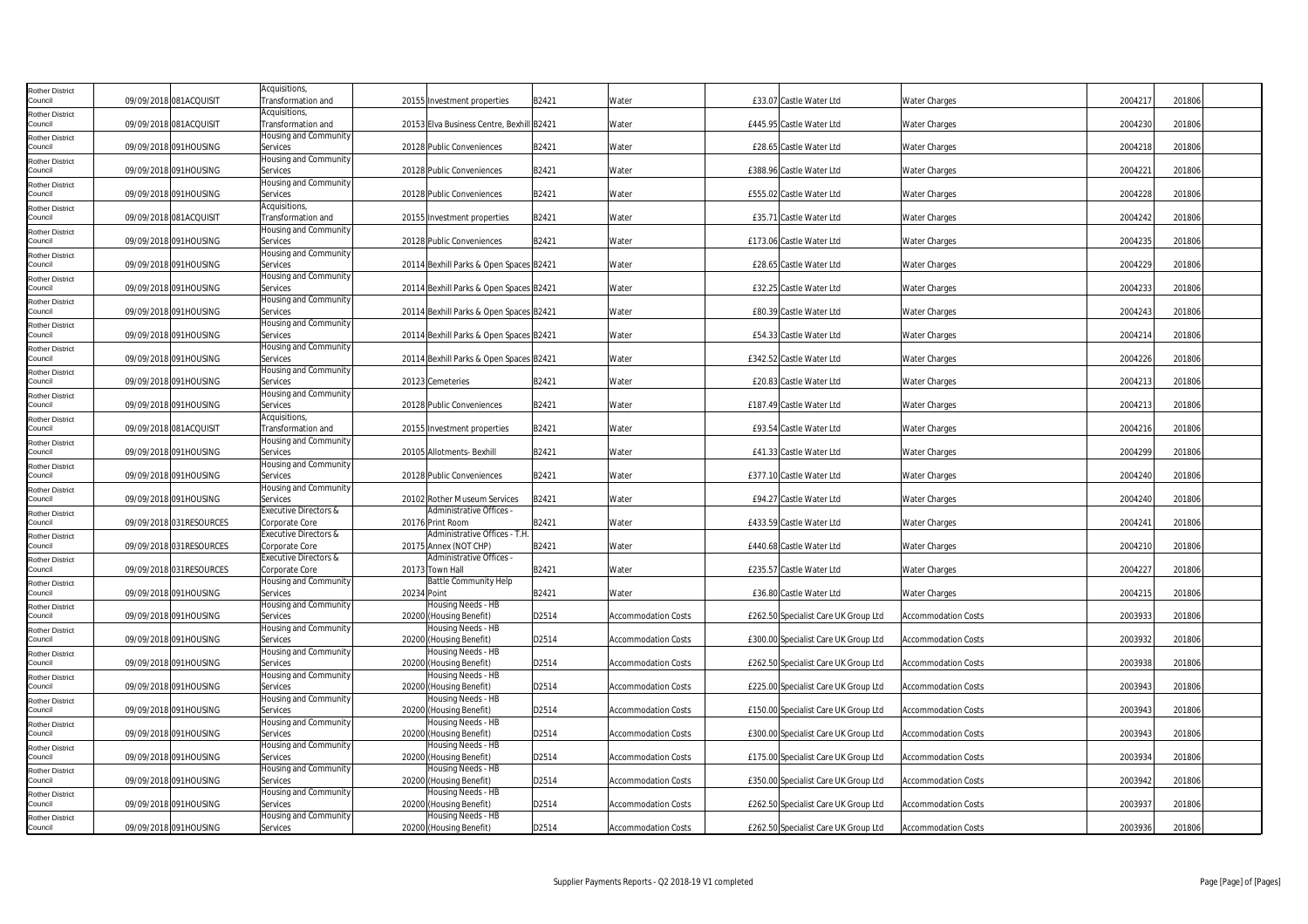| <b>Rother District</b>            |                         | Acquisitions,                               |             |                                               |       |                            |                                      |                            |         |        |
|-----------------------------------|-------------------------|---------------------------------------------|-------------|-----------------------------------------------|-------|----------------------------|--------------------------------------|----------------------------|---------|--------|
| Council                           | 09/09/2018 081ACQUISIT  | Transformation and                          |             | 20155 Investment properties                   | B2421 | Water                      | £33.07 Castle Water Ltd              | <b>Water Charges</b>       | 2004217 | 201806 |
| <b>Rother District</b><br>Council | 09/09/2018 081ACQUISIT  | Acquisitions,<br>Transformation and         |             | 20153 Elva Business Centre, Bexhill B2421     |       | Water                      | £445.95 Castle Water Ltd             | <b>Water Charges</b>       | 2004230 | 201806 |
| <b>Rother District</b>            |                         | Housing and Community                       |             |                                               |       |                            |                                      |                            |         |        |
| Council                           | 09/09/2018 091HOUSING   | Services                                    |             | 20128 Public Conveniences                     | B2421 | Water                      | £28.65 Castle Water Ltd              | <b>Water Charges</b>       | 2004218 | 201806 |
| <b>Rother District</b>            | 09/09/2018 091HOUSING   | Housing and Community<br>Services           |             | 20128 Public Conveniences                     | B2421 | Water                      | £388.96 Castle Water Ltd             | <b>Water Charges</b>       | 2004221 | 201806 |
| Council<br><b>Rother District</b> |                         | Housing and Community                       |             |                                               |       |                            |                                      |                            |         |        |
| Council                           | 09/09/2018 091HOUSING   | Services                                    |             | 20128 Public Conveniences                     | B2421 | Water                      | £555.02 Castle Water Ltd             | <b>Water Charges</b>       | 2004228 | 201806 |
| <b>Rother District</b>            |                         | Acquisitions,                               |             |                                               |       |                            |                                      |                            |         |        |
| Council<br><b>Rother District</b> | 09/09/2018 081ACQUISIT  | Transformation and<br>Housing and Community |             | 20155 Investment properties                   | B2421 | Water                      | £35.71 Castle Water Ltd              | <b>Water Charges</b>       | 2004242 | 201806 |
| Council                           | 09/09/2018 091HOUSING   | Services                                    |             | 20128 Public Conveniences                     | B2421 | Water                      | £173.06 Castle Water Ltd             | <b>Water Charges</b>       | 2004235 | 201806 |
| <b>Rother District</b>            |                         | Housing and Community                       |             |                                               |       |                            |                                      |                            |         |        |
| Council                           | 09/09/2018 091HOUSING   | Services<br>Housing and Community           |             | 20114 Bexhill Parks & Open Spaces B2421       |       | Water                      | £28.65 Castle Water Ltd              | <b>Water Charges</b>       | 2004229 | 201806 |
| <b>Rother District</b><br>Council | 09/09/2018 091HOUSING   | Services                                    |             | 20114 Bexhill Parks & Open Spaces B2421       |       | Water                      | £32.25 Castle Water Ltd              | <b>Water Charges</b>       | 2004233 | 201806 |
| <b>Rother District</b>            |                         | Housing and Community                       |             |                                               |       |                            |                                      |                            |         |        |
| Council                           | 09/09/2018 091HOUSING   | Services<br>Housing and Community           |             | 20114 Bexhill Parks & Open Spaces B2421       |       | Water                      | £80.39 Castle Water Ltd              | <b>Water Charges</b>       | 2004243 | 201806 |
| <b>Rother District</b><br>Council | 09/09/2018 091HOUSING   | Services                                    |             | 20114 Bexhill Parks & Open Spaces B2421       |       | Water                      | £54.33 Castle Water Ltd              | <b>Water Charges</b>       | 2004214 | 201806 |
| <b>Rother District</b>            |                         | Housing and Community                       |             |                                               |       |                            |                                      |                            |         |        |
| Council                           | 09/09/2018 091HOUSING   | Services                                    |             | 20114 Bexhill Parks & Open Spaces B2421       |       | Water                      | £342.52 Castle Water Ltd             | <b>Water Charges</b>       | 2004226 | 201806 |
| <b>Rother District</b><br>Council | 09/09/2018 091HOUSING   | Housing and Community<br>Services           |             | 20123 Cemeteries                              | B2421 | Water                      | £20.83 Castle Water Ltd              | <b>Water Charges</b>       | 2004213 | 201806 |
| <b>Rother District</b>            |                         | Housing and Community                       |             |                                               |       |                            |                                      |                            |         |        |
| Council                           | 09/09/2018 091HOUSING   | Services                                    |             | 20128 Public Conveniences                     | B2421 | Water                      | £187.49 Castle Water Ltd             | <b>Water Charges</b>       | 2004213 | 201806 |
| <b>Rother District</b><br>Council | 09/09/2018 081ACQUISIT  | Acquisitions,<br>Transformation and         |             | 20155 Investment properties                   | B2421 | Water                      | £93.54 Castle Water Ltd              | <b>Water Charges</b>       | 2004216 | 201806 |
| <b>Rother District</b>            |                         | Housing and Community                       |             |                                               |       |                            |                                      |                            |         |        |
| Council                           | 09/09/2018 091HOUSING   | Services                                    |             | 20105 Allotments- Bexhill                     | B2421 | Water                      | £41.33 Castle Water Ltd              | <b>Water Charges</b>       | 2004299 | 201806 |
| <b>Rother District</b><br>Council | 09/09/2018 091HOUSING   | Housing and Community<br>Services           |             | 20128 Public Conveniences                     | B2421 | Water                      | £377.10 Castle Water Ltd             | <b>Water Charges</b>       | 2004240 | 201806 |
| <b>Rother District</b>            |                         | Housing and Community                       |             |                                               |       |                            |                                      |                            |         |        |
| Council                           | 09/09/2018 091HOUSING   | Services                                    |             | 20102 Rother Museum Services                  | B2421 | Water                      | £94.27 Castle Water Ltd              | <b>Water Charges</b>       | 2004240 | 201806 |
| <b>Rother District</b><br>Council | 09/09/2018 031RESOURCES | Executive Directors &<br>Corporate Core     |             | Administrative Offices -<br>20176 Print Room  | B2421 | Water                      | £433.59 Castle Water Ltd             | <b>Water Charges</b>       | 2004241 | 201806 |
| <b>Rother District</b>            |                         | Executive Directors &                       |             | Administrative Offices - T.H                  |       |                            |                                      |                            |         |        |
| Council                           | 09/09/2018 031RESOURCES | Corporate Core                              |             | 20175 Annex (NOT CHP)                         | B2421 | Water                      | £440.68 Castle Water Ltd             | <b>Water Charges</b>       | 2004210 | 201806 |
| <b>Rother District</b><br>Council | 09/09/2018 031RESOURCES | Executive Directors &<br>Corporate Core     |             | Administrative Offices -<br>20173 Town Hall   | B2421 | Water                      | £235.57 Castle Water Ltd             | <b>Water Charges</b>       | 2004227 | 201806 |
| <b>Rother District</b>            |                         | Housing and Community                       |             | <b>Battle Community Help</b>                  |       |                            |                                      |                            |         |        |
| Council                           | 09/09/2018 091HOUSING   | Services                                    | 20234 Point |                                               | B2421 | Water                      | £36.80 Castle Water Ltd              | <b>Water Charges</b>       | 2004215 | 201806 |
| <b>Rother District</b>            | 09/09/2018 091HOUSING   | Housing and Community                       |             | Housing Needs - HB                            | D2514 | <b>Accommodation Costs</b> |                                      | <b>Accommodation Costs</b> | 2003933 | 201806 |
| Council<br><b>Rother District</b> |                         | Services<br>Housing and Community           |             | 20200 (Housing Benefit)<br>Housing Needs - HB |       |                            | £262.50 Specialist Care UK Group Ltd |                            |         |        |
| Council                           | 09/09/2018 091HOUSING   | Services                                    |             | 20200 (Housing Benefit)                       | D2514 | <b>Accommodation Costs</b> | £300.00 Specialist Care UK Group Ltd | <b>Accommodation Costs</b> | 2003932 | 201806 |
| <b>Rother District</b>            |                         | Housing and Community                       |             | Housing Needs - HB                            |       |                            |                                      |                            |         |        |
| Council<br><b>Rother District</b> | 09/09/2018 091HOUSING   | Services<br>Housing and Community           |             | 20200 (Housing Benefit)<br>Housing Needs - HB | D2514 | <b>Accommodation Costs</b> | £262.50 Specialist Care UK Group Ltd | <b>Accommodation Costs</b> | 2003938 | 201806 |
| Council                           | 09/09/2018 091HOUSING   | Services                                    |             | 20200 (Housing Benefit)                       | D2514 | <b>Accommodation Costs</b> | £225.00 Specialist Care UK Group Ltd | <b>Accommodation Costs</b> | 2003943 | 201806 |
| <b>Rother District</b>            |                         | Housing and Community                       |             | Housing Needs - HB                            |       |                            |                                      |                            |         |        |
| Council<br><b>Rother District</b> | 09/09/2018 091HOUSING   | Services<br>Housing and Community           |             | 20200 (Housing Benefit)<br>Housing Needs - HB | D2514 | <b>Accommodation Costs</b> | £150.00 Specialist Care UK Group Ltd | <b>Accommodation Costs</b> | 2003943 | 201806 |
| Council                           | 09/09/2018 091HOUSING   | Services                                    |             | 20200 (Housing Benefit)                       | D2514 | <b>Accommodation Costs</b> | £300.00 Specialist Care UK Group Ltd | <b>Accommodation Costs</b> | 2003943 | 201806 |
| <b>Rother District</b>            |                         | Housing and Community                       |             | Housing Needs - HB                            |       |                            |                                      |                            |         |        |
| Council                           | 09/09/2018 091HOUSING   | Services<br>Housing and Community           |             | 20200 (Housing Benefit)<br>Housing Needs - HB | D2514 | Accommodation Costs        | £175.00 Specialist Care UK Group Ltd | <b>Accommodation Costs</b> | 2003934 | 201806 |
| <b>Rother District</b><br>Council | 09/09/2018 091HOUSING   | Services                                    |             | 20200 (Housing Benefit)                       | D2514 | Accommodation Costs        | £350.00 Specialist Care UK Group Ltd | <b>Accommodation Costs</b> | 2003942 | 201806 |
| <b>Rother District</b>            |                         | Housing and Community                       |             | Housing Needs - HB                            |       |                            |                                      |                            |         |        |
| Council                           | 09/09/2018 091HOUSING   | Services                                    |             | 20200 (Housing Benefit)                       | D2514 | <b>Accommodation Costs</b> | £262.50 Specialist Care UK Group Ltd | <b>Accommodation Costs</b> | 2003937 | 201806 |
| <b>Rother District</b><br>Council | 09/09/2018 091HOUSING   | Housing and Community<br>Services           |             | Housing Needs - HB<br>20200 (Housing Benefit) | D2514 | <b>Accommodation Costs</b> | £262.50 Specialist Care UK Group Ltd | <b>Accommodation Costs</b> | 2003936 | 201806 |
|                                   |                         |                                             |             |                                               |       |                            |                                      |                            |         |        |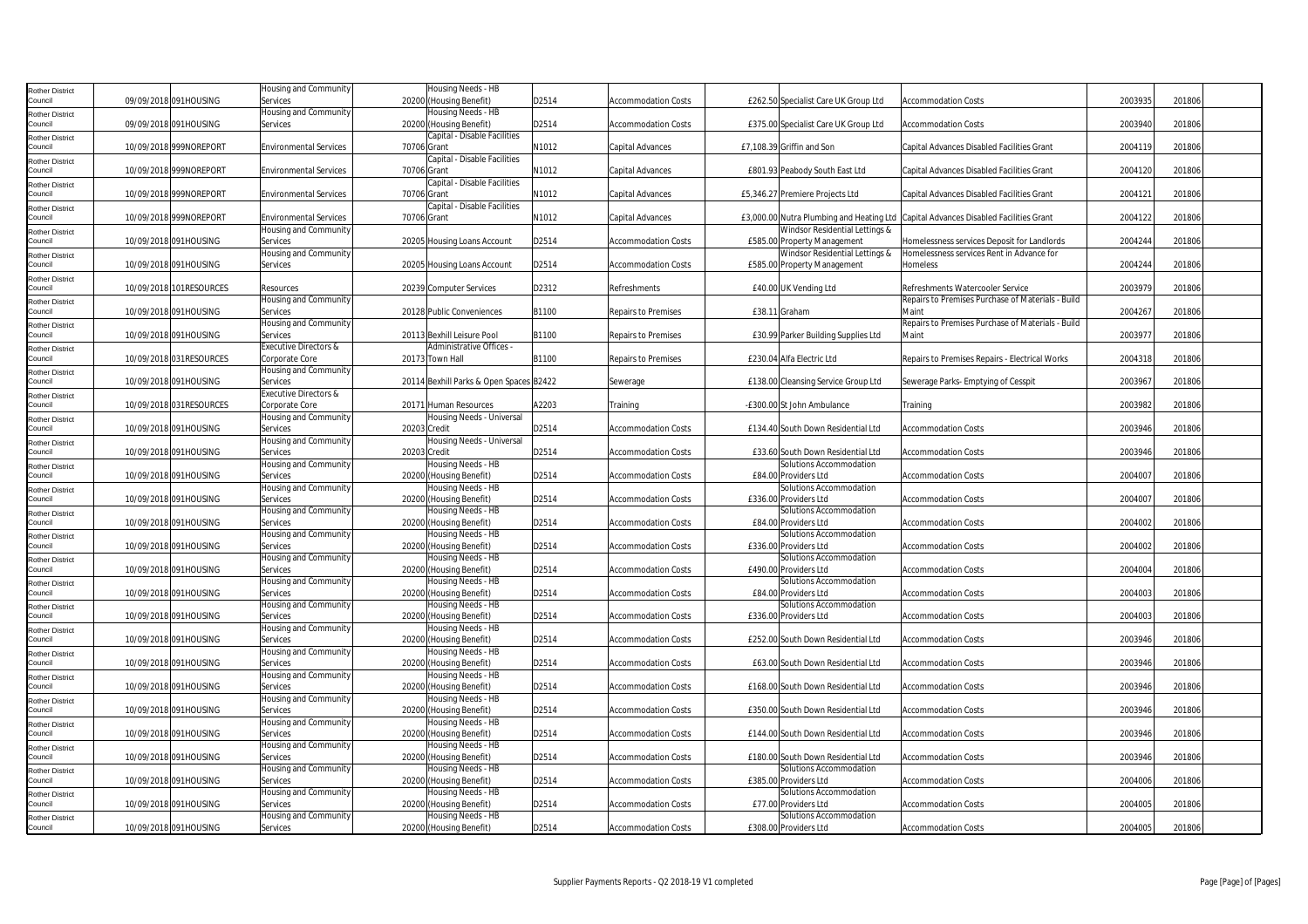| <b>Rother District</b>            |                         | Housing and Community                   |              | Housing Needs - HB                            |       |                            |                                      |                                                                                     |         |        |
|-----------------------------------|-------------------------|-----------------------------------------|--------------|-----------------------------------------------|-------|----------------------------|--------------------------------------|-------------------------------------------------------------------------------------|---------|--------|
| Council                           | 09/09/2018 091HOUSING   | Services                                |              | 20200 (Housing Benefit)                       | D2514 | <b>Accommodation Costs</b> | £262.50 Specialist Care UK Group Ltd | <b>Accommodation Costs</b>                                                          | 2003935 | 201806 |
| <b>Rother District</b>            |                         | Housing and Community                   |              | Housing Needs - HB                            |       |                            |                                      |                                                                                     |         |        |
| Council                           | 09/09/2018 091HOUSING   | Services                                |              | 20200 (Housing Benefit)                       | D2514 | <b>Accommodation Costs</b> | £375.00 Specialist Care UK Group Ltd | <b>Accommodation Costs</b>                                                          | 2003940 | 201806 |
| <b>Rother District</b>            |                         |                                         |              | Capital - Disable Facilities                  |       |                            |                                      |                                                                                     |         |        |
| Council                           | 10/09/2018 999NOREPORT  | <b>Environmental Services</b>           | 70706 Grant  |                                               | N1012 | Capital Advances           | £7,108.39 Griffin and Son            | Capital Advances Disabled Facilities Grant                                          | 2004119 | 201806 |
| <b>Rother District</b>            |                         |                                         |              | Capital - Disable Facilities                  |       |                            |                                      |                                                                                     |         |        |
| Council                           | 10/09/2018 999NOREPORT  | <b>Environmental Services</b>           | 70706 Grant  |                                               | N1012 | Capital Advances           | £801.93 Peabody South East Ltd       | Capital Advances Disabled Facilities Grant                                          | 2004120 | 201806 |
| <b>Rother District</b>            |                         |                                         |              | Capital - Disable Facilities                  |       |                            |                                      |                                                                                     |         |        |
| Council                           | 10/09/2018 999NOREPORT  | <b>Environmental Services</b>           | 70706 Grant  |                                               | N1012 | Capital Advances           | £5,346.27 Premiere Projects Ltd      | Capital Advances Disabled Facilities Grant                                          | 2004121 | 201806 |
| <b>Rother District</b>            |                         |                                         |              | Capital - Disable Facilities                  |       |                            |                                      |                                                                                     |         |        |
| Council                           | 10/09/2018 999NOREPORT  | <b>Environmental Services</b>           | 70706 Grant  |                                               | N1012 | Capital Advances           |                                      | £3,000.00 Nutra Plumbing and Heating Ltd Capital Advances Disabled Facilities Grant | 2004122 | 201806 |
| <b>Rother District</b>            |                         | Housing and Community                   |              |                                               |       |                            | Windsor Residential Lettings &       |                                                                                     |         |        |
| Council                           | 10/09/2018 091HOUSING   | Services                                |              | 20205 Housing Loans Account                   | D2514 | <b>Accommodation Costs</b> | £585.00 Property Management          | Homelessness services Deposit for Landlords                                         | 2004244 | 201806 |
| <b>Rother District</b>            |                         | Housing and Community                   |              |                                               |       |                            | Windsor Residential Lettings &       | Homelessness services Rent in Advance for                                           |         |        |
| Council                           | 10/09/2018 091HOUSING   | Services                                |              | 20205 Housing Loans Account                   | D2514 | <b>Accommodation Costs</b> | £585.00 Property Management          | Homeless                                                                            | 2004244 | 201806 |
| <b>Rother District</b>            |                         |                                         |              |                                               |       |                            |                                      |                                                                                     |         |        |
| Council                           | 10/09/2018 101RESOURCES | Resources                               |              | 20239 Computer Services                       | D2312 | <b>Refreshments</b>        | £40.00 UK Vending Ltd                | Refreshments Watercooler Service                                                    | 2003979 | 201806 |
| <b>Rother District</b>            |                         | Housing and Community                   |              |                                               |       |                            |                                      | Repairs to Premises Purchase of Materials - Build                                   |         |        |
| Council                           | 10/09/2018 091HOUSING   | Services                                |              | 20128 Public Conveniences                     | B1100 | <b>Repairs to Premises</b> | £38.11 Graham                        | Maint                                                                               | 2004267 | 201806 |
| <b>Rother District</b>            |                         | Housing and Community                   |              |                                               |       |                            |                                      | Repairs to Premises Purchase of Materials - Build                                   |         |        |
| Council                           | 10/09/2018 091HOUSING   | Services                                |              | 20113 Bexhill Leisure Pool                    | B1100 | <b>Repairs to Premises</b> | £30.99 Parker Building Supplies Ltd  | Maint                                                                               | 2003977 | 201806 |
| <b>Rother District</b>            |                         | Executive Directors &                   |              | Administrative Offices -                      |       |                            |                                      |                                                                                     |         |        |
| Council                           | 10/09/2018 031RESOURCES | Corporate Core                          |              | 20173 Town Hall                               | B1100 | <b>Repairs to Premises</b> | £230.04 Alfa Electric Ltd            | Repairs to Premises Repairs - Electrical Works                                      | 2004318 | 201806 |
| <b>Rother District</b><br>Council | 10/09/2018 091HOUSING   | Housing and Community                   |              |                                               |       |                            |                                      |                                                                                     | 2003967 | 201806 |
|                                   |                         | Services                                |              | 20114 Bexhill Parks & Open Spaces B2422       |       | Sewerage                   | £138.00 Cleansing Service Group Ltd  | Sewerage Parks- Emptying of Cesspit                                                 |         |        |
| <b>Rother District</b>            | 10/09/2018 031RESOURCES | Executive Directors &<br>Corporate Core |              | 20171 Human Resources                         | A2203 | Training                   | -£300.00 St John Ambulance           | Training                                                                            | 2003982 | 201806 |
| Council                           |                         | Housing and Community                   |              | Housing Needs - Universal                     |       |                            |                                      |                                                                                     |         |        |
| <b>Rother District</b><br>Council | 10/09/2018 091HOUSING   | Services                                | 20203 Credit |                                               | D2514 | <b>Accommodation Costs</b> | £134.40 South Down Residential Ltd   | <b>Accommodation Costs</b>                                                          | 2003946 | 201806 |
|                                   |                         | Housing and Community                   |              | Housing Needs - Universal                     |       |                            |                                      |                                                                                     |         |        |
| <b>Rother District</b><br>Council | 10/09/2018 091HOUSING   | Services                                | 20203 Credit |                                               | D2514 | <b>Accommodation Costs</b> | £33.60 South Down Residential Ltd    | <b>Accommodation Costs</b>                                                          | 2003946 | 201806 |
| <b>Rother District</b>            |                         | Housing and Community                   |              | Housing Needs - HB                            |       |                            | Solutions Accommodation              |                                                                                     |         |        |
| Council                           | 10/09/2018 091HOUSING   | Services                                |              | 20200 (Housing Benefit)                       | D2514 | <b>Accommodation Costs</b> | £84.00 Providers Ltd                 | <b>Accommodation Costs</b>                                                          | 2004007 | 201806 |
| <b>Rother District</b>            |                         | Housing and Community                   |              | Housing Needs - HB                            |       |                            | Solutions Accommodation              |                                                                                     |         |        |
| Council                           | 10/09/2018 091HOUSING   | Services                                |              | 20200 (Housing Benefit)                       | D2514 | <b>Accommodation Costs</b> | £336.00 Providers Ltd                | <b>Accommodation Costs</b>                                                          | 2004007 | 201806 |
| <b>Rother District</b>            |                         | Housing and Community                   |              | Housing Needs - HB                            |       |                            | Solutions Accommodation              |                                                                                     |         |        |
| Council                           | 10/09/2018 091HOUSING   | Services                                |              | 20200 (Housing Benefit)                       | D2514 | <b>Accommodation Costs</b> | £84.00 Providers Ltd                 | <b>Accommodation Costs</b>                                                          | 2004002 | 201806 |
| <b>Rother District</b>            |                         | Housing and Community                   |              | Housing Needs - HB                            |       |                            | Solutions Accommodation              |                                                                                     |         |        |
| Council                           | 10/09/2018 091HOUSING   | Services                                |              | 20200 (Housing Benefit)                       | D2514 | <b>Accommodation Costs</b> | £336.00 Providers Ltd                | <b>Accommodation Costs</b>                                                          | 2004002 | 201806 |
| <b>Rother District</b>            |                         | Housing and Community                   |              | Housing Needs - HB                            |       |                            | Solutions Accommodation              |                                                                                     |         |        |
| Council                           | 10/09/2018 091HOUSING   | Services                                |              | 20200 (Housing Benefit)                       | D2514 | <b>Accommodation Costs</b> | £490.00 Providers Ltd                | <b>Accommodation Costs</b>                                                          | 2004004 | 201806 |
| <b>Rother District</b>            |                         | Housing and Community                   |              | Housing Needs - HB                            |       |                            | Solutions Accommodation              |                                                                                     |         |        |
| Council                           | 10/09/2018 091HOUSING   | Services                                |              | 20200 (Housing Benefit)                       | D2514 | <b>Accommodation Costs</b> | £84.00 Providers Ltd                 | <b>Accommodation Costs</b>                                                          | 2004003 | 201806 |
| <b>Rother District</b>            |                         | Housing and Community                   |              | Housing Needs - HB                            |       |                            | Solutions Accommodation              |                                                                                     |         |        |
| Council                           | 10/09/2018 091HOUSING   | Services                                |              | 20200 (Housing Benefit)                       | D2514 | <b>Accommodation Costs</b> | £336.00 Providers Ltd                | <b>Accommodation Costs</b>                                                          | 2004003 | 201806 |
| <b>Rother District</b>            |                         | Housing and Community                   |              | Housing Needs - HB                            |       |                            |                                      |                                                                                     |         |        |
| Council                           | 10/09/2018 091HOUSING   | Services                                |              | 20200 (Housing Benefit)                       | D2514 | <b>Accommodation Costs</b> | £252.00 South Down Residential Ltd   | <b>Accommodation Costs</b>                                                          | 2003946 | 201806 |
| <b>Rother District</b>            |                         | Housing and Community                   |              | Housing Needs - HB                            |       |                            |                                      |                                                                                     | 2003946 |        |
| Council                           | 10/09/2018 091HOUSING   | Services                                |              | 20200 (Housing Benefit)                       | D2514 | <b>Accommodation Costs</b> | £63.00 South Down Residential Ltd    | <b>Accommodation Costs</b>                                                          |         | 201806 |
| Rother District<br>Council        | 10/09/2018 091HOUSING   | Housing and Community<br>Services       |              | Housing Needs - HB<br>20200 (Housing Benefit) | D2514 | <b>Accommodation Costs</b> | £168.00 South Down Residential Ltd   | <b>Accommodation Costs</b>                                                          | 2003946 | 201806 |
|                                   |                         | Housing and Community                   |              | <b>Housing Needs - HB</b>                     |       |                            |                                      |                                                                                     |         |        |
| <b>Rother District</b><br>Council | 10/09/2018 091HOUSING   | Services                                |              | 20200 (Housing Benefit)                       | D2514 | <b>Accommodation Costs</b> | £350.00 South Down Residential Ltd   | <b>Accommodation Costs</b>                                                          | 2003946 | 201806 |
| <b>Rother District</b>            |                         | Housing and Community                   |              | Housing Needs - HB                            |       |                            |                                      |                                                                                     |         |        |
| Council                           | 10/09/2018 091HOUSING   | Services                                |              | 20200 (Housing Benefit)                       | D2514 | <b>Accommodation Costs</b> | £144.00 South Down Residential Ltd   | <b>Accommodation Costs</b>                                                          | 2003946 | 201806 |
| <b>Rother District</b>            |                         | Housing and Community                   |              | Housing Needs - HB                            |       |                            |                                      |                                                                                     |         |        |
| Council                           | 10/09/2018 091HOUSING   | Services                                |              | 20200 (Housing Benefit)                       | D2514 | Accommodation Costs        | £180.00 South Down Residential Ltd   | <b>Accommodation Costs</b>                                                          | 2003946 | 201806 |
| <b>Rother District</b>            |                         | Housing and Community                   |              | Housing Needs - HB                            |       |                            | Solutions Accommodation              |                                                                                     |         |        |
| Council                           | 10/09/2018 091HOUSING   | Services                                |              | 20200 (Housing Benefit)                       | D2514 | <b>Accommodation Costs</b> | £385.00 Providers Ltd                | <b>Accommodation Costs</b>                                                          | 2004006 | 201806 |
| <b>Rother District</b>            |                         | Housing and Community                   |              | Housing Needs - HB                            |       |                            | Solutions Accommodation              |                                                                                     |         |        |
| Council                           | 10/09/2018 091HOUSING   | Services                                |              | 20200 (Housing Benefit)                       | D2514 | <b>Accommodation Costs</b> | £77.00 Providers Ltd                 | <b>Accommodation Costs</b>                                                          | 2004005 | 201806 |
| <b>Rother District</b>            |                         | Housing and Community                   |              | Housing Needs - HB                            |       |                            | Solutions Accommodation              |                                                                                     |         |        |
| Council                           | 10/09/2018 091HOUSING   | Services                                |              | 20200 (Housing Benefit)                       | D2514 | <b>Accommodation Costs</b> | £308.00 Providers Ltd                | <b>Accommodation Costs</b>                                                          | 2004005 | 201806 |
|                                   |                         |                                         |              |                                               |       |                            |                                      |                                                                                     |         |        |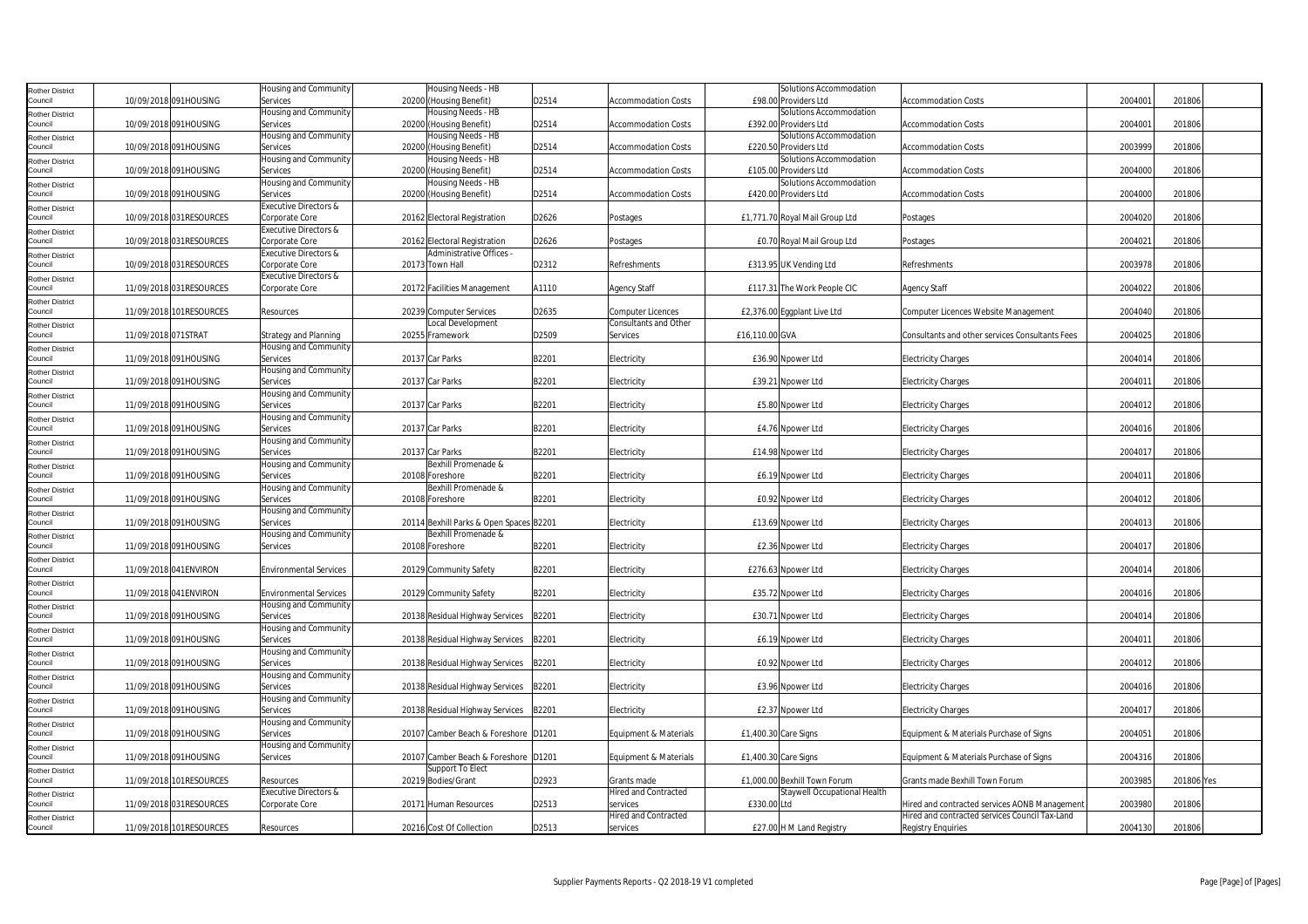| <b>Rother District</b>            |                     |                         | Housing and Community                   | Housing Needs - HB                                             |       |                             | Solutions Accommodation                          |                                                 |         |            |
|-----------------------------------|---------------------|-------------------------|-----------------------------------------|----------------------------------------------------------------|-------|-----------------------------|--------------------------------------------------|-------------------------------------------------|---------|------------|
| Council                           |                     | 10/09/2018 091HOUSING   | Services                                | 20200 (Housing Benefit)                                        | D2514 | Accommodation Costs         | £98.00 Providers Ltd                             | Accommodation Costs                             | 2004001 | 201806     |
| <b>Rother District</b>            |                     |                         | Housing and Community                   | Housing Needs - HB                                             |       |                             | Solutions Accommodation                          |                                                 |         |            |
| Council                           |                     | 10/09/2018 091HOUSING   | Services                                | 20200 (Housing Benefit)                                        | D2514 | <b>Accommodation Costs</b>  | £392.00 Providers Ltd                            | <b>Accommodation Costs</b>                      | 2004001 | 201806     |
| <b>Rother District</b><br>Council |                     | 10/09/2018 091HOUSING   | Housing and Community<br>Services       | Housing Needs - HB<br>20200 (Housing Benefit)                  | D2514 | <b>Accommodation Costs</b>  | Solutions Accommodation<br>£220.50 Providers Ltd | <b>Accommodation Costs</b>                      | 2003999 | 201806     |
|                                   |                     |                         | Housing and Community                   | Housing Needs - HB                                             |       |                             | Solutions Accommodation                          |                                                 |         |            |
| <b>Rother District</b><br>Council |                     | 10/09/2018 091HOUSING   | Services                                | 20200 (Housing Benefit)                                        | D2514 | Accommodation Costs         | £105.00 Providers Ltd                            | <b>Accommodation Costs</b>                      | 2004000 | 201806     |
| <b>Rother District</b>            |                     |                         | Housing and Community                   | Housing Needs - HB                                             |       |                             | Solutions Accommodation                          |                                                 |         |            |
| Council                           |                     | 10/09/2018 091HOUSING   | Services                                | 20200 (Housing Benefit)                                        | D2514 | <b>Accommodation Costs</b>  | £420.00 Providers Ltd                            | <b>Accommodation Costs</b>                      | 2004000 | 201806     |
| <b>Rother District</b>            |                     |                         | Executive Directors &                   |                                                                |       |                             |                                                  |                                                 |         |            |
| Council                           |                     | 10/09/2018 031RESOURCES | Corporate Core                          | 20162 Electoral Registration                                   | D2626 | Postages                    | £1,771.70 Royal Mail Group Ltd                   | Postages                                        | 2004020 | 201806     |
| <b>Rother District</b>            |                     |                         | Executive Directors &                   |                                                                |       |                             |                                                  |                                                 |         |            |
| Council                           |                     | 10/09/2018 031RESOURCES | Corporate Core                          | 20162 Electoral Registration                                   | D2626 | Postages                    | £0.70 Royal Mail Group Ltd                       | Postages                                        | 2004021 | 201806     |
| <b>Rother District</b>            |                     |                         | Executive Directors &                   | Administrative Offices -                                       |       |                             |                                                  |                                                 |         |            |
| Council                           |                     | 10/09/2018 031RESOURCES | Corporate Core<br>Executive Directors & | 20173 Town Hall                                                | D2312 | Refreshments                | £313.95 UK Vending Ltd                           | Refreshments                                    | 2003978 | 201806     |
| <b>Rother District</b><br>Council |                     | 11/09/2018 031RESOURCES | Corporate Core                          | 20172 Facilities Management                                    | A1110 | <b>Agency Staff</b>         | £117.31 The Work People CIC                      | <b>Agency Staff</b>                             | 2004022 | 201806     |
|                                   |                     |                         |                                         |                                                                |       |                             |                                                  |                                                 |         |            |
| <b>Rother District</b><br>Council |                     | 11/09/2018 101RESOURCES | Resources                               | 20239 Computer Services                                        | D2635 | <b>Computer Licences</b>    | £2,376.00 Eggplant Live Ltd                      | Computer Licences Website Management            | 2004040 | 201806     |
| Rother District                   |                     |                         |                                         | Local Development                                              |       | Consultants and Other       |                                                  |                                                 |         |            |
| Council                           | 11/09/2018 071STRAT |                         | Strategy and Planning                   | 20255 Framework                                                | D2509 | Services                    | £16,110.00 GVA                                   | Consultants and other services Consultants Fees | 2004025 | 201806     |
| <b>Rother District</b>            |                     |                         | Housing and Community                   |                                                                |       |                             |                                                  |                                                 |         |            |
| Council                           |                     | 11/09/2018 091HOUSING   | Services                                | 20137 Car Parks                                                | B2201 | Electricity                 | £36.90 Npower Ltd                                | <b>Electricity Charges</b>                      | 2004014 | 201806     |
| <b>Rother District</b>            |                     |                         | Housing and Community                   |                                                                |       |                             |                                                  |                                                 |         |            |
| Council                           |                     | 11/09/2018 091HOUSING   | Services                                | 20137 Car Parks                                                | B2201 | Electricity                 | £39.21 Npower Ltd                                | <b>Electricity Charges</b>                      | 2004011 | 201806     |
| <b>Rother District</b>            |                     | 11/09/2018 091HOUSING   | Housing and Community                   | 20137 Car Parks                                                | B2201 |                             |                                                  |                                                 | 2004012 | 201806     |
| Council                           |                     |                         | Services<br>Housing and Community       |                                                                |       | Electricity                 | £5.80 Npower Ltd                                 | <b>Electricity Charges</b>                      |         |            |
| <b>Rother District</b><br>Council |                     | 11/09/2018 091HOUSING   | Services                                | 20137 Car Parks                                                | B2201 | Electricity                 | £4.76 Npower Ltd                                 | <b>Electricity Charges</b>                      | 2004016 | 201806     |
| <b>Rother District</b>            |                     |                         | Housing and Community                   |                                                                |       |                             |                                                  |                                                 |         |            |
| Council                           |                     | 11/09/2018 091HOUSING   | Services                                | 20137 Car Parks                                                | B2201 | Electricity                 | £14.98 Npower Ltd                                | <b>Electricity Charges</b>                      | 2004017 | 201806     |
| <b>Rother District</b>            |                     |                         | Housing and Community                   | Bexhill Promenade &                                            |       |                             |                                                  |                                                 |         |            |
| Council                           |                     | 11/09/2018 091HOUSING   | Services                                | 20108 Foreshore                                                | B2201 | Electricity                 | £6.19 Npower Ltd                                 | <b>Electricity Charges</b>                      | 2004011 | 201806     |
| <b>Rother District</b>            |                     |                         | Housing and Community                   | Bexhill Promenade &                                            |       |                             |                                                  |                                                 |         |            |
| Council                           |                     | 11/09/2018 091HOUSING   | Services                                | 20108 Foreshore                                                | B2201 | Electricity                 | £0.92 Npower Ltd                                 | <b>Electricity Charges</b>                      | 2004012 | 201806     |
| <b>Rother District</b>            |                     |                         | Housing and Community                   |                                                                |       |                             |                                                  |                                                 |         |            |
| Council                           |                     | 11/09/2018 091HOUSING   | Services                                | 20114 Bexhill Parks & Open Spaces B2201<br>Bexhill Promenade & |       | Electricity                 | £13.69 Npower Ltd                                | <b>Electricity Charges</b>                      | 2004013 | 201806     |
| <b>Rother District</b><br>Council |                     | 11/09/2018 091HOUSING   | Housing and Community<br>Services       | 20108 Foreshore                                                | B2201 | Electricity                 | £2.36 Npower Ltd                                 | <b>Electricity Charges</b>                      | 2004017 | 201806     |
| <b>Rother District</b>            |                     |                         |                                         |                                                                |       |                             |                                                  |                                                 |         |            |
| Council                           |                     | 11/09/2018 041 ENVIRON  | <b>Environmental Services</b>           | 20129 Community Safety                                         | B2201 | Electricity                 | £276.63 Npower Ltd                               | <b>Electricity Charges</b>                      | 2004014 | 201806     |
| <b>Rother District</b>            |                     |                         |                                         |                                                                |       |                             |                                                  |                                                 |         |            |
| Council                           |                     | 11/09/2018 041 ENVIRON  | <b>Environmental Services</b>           | 20129 Community Safety                                         | B2201 | Electricity                 | £35.72 Npower Ltd                                | <b>Electricity Charges</b>                      | 2004016 | 201806     |
| <b>Rother District</b>            |                     |                         | Housing and Community                   |                                                                |       |                             |                                                  |                                                 |         |            |
| Council                           |                     | 11/09/2018 091HOUSING   | Services                                | 20138 Residual Highway Services                                | B2201 | Electricity                 | £30.71 Npower Ltd                                | <b>Electricity Charges</b>                      | 2004014 | 201806     |
| <b>Rother District</b>            |                     |                         | Housing and Community                   |                                                                |       |                             |                                                  |                                                 |         |            |
| Council                           |                     | 11/09/2018 091HOUSING   | Services                                | 20138 Residual Highway Services                                | B2201 | Electricity                 | £6.19 Npower Ltd                                 | <b>Electricity Charges</b>                      | 2004011 | 201806     |
| <b>Rother District</b><br>Council |                     | 11/09/2018 091HOUSING   | Housing and Community<br>Services       | 20138 Residual Highway Services                                | B2201 | Electricity                 | £0.92 Npower Ltd                                 | <b>Electricity Charges</b>                      | 2004012 | 201806     |
| <b>Rother District</b>            |                     |                         | Housing and Community                   |                                                                |       |                             |                                                  |                                                 |         |            |
| Council                           |                     | 11/09/2018 091HOUSING   | Services                                | 20138 Residual Highway Services                                | B2201 | Electricity                 | £3.96 Npower Ltd                                 | <b>Electricity Charges</b>                      | 2004016 | 201806     |
| <b>Rother District</b>            |                     |                         | Housing and Community                   |                                                                |       |                             |                                                  |                                                 |         |            |
| Council                           |                     | 11/09/2018 091HOUSING   | Services                                | 20138 Residual Highway Services                                | B2201 | Electricity                 | £2.37 Npower Ltd                                 | <b>Electricity Charges</b>                      | 2004017 | 201806     |
| <b>Rother District</b>            |                     |                         | Housing and Community                   |                                                                |       |                             |                                                  |                                                 |         |            |
| Council                           |                     | 11/09/2018 091HOUSING   | Services                                | 20107 Camber Beach & Foreshore D1201                           |       | Equipment & Materials       | £1,400.30 Care Signs                             | Equipment & Materials Purchase of Signs         | 2004051 | 201806     |
| <b>Rother District</b>            |                     |                         | Housing and Community                   |                                                                |       |                             |                                                  |                                                 |         |            |
| Council                           |                     | 11/09/2018 091HOUSING   | Services                                | 20107 Camber Beach & Foreshore D1201                           |       | Equipment & Materials       | £1,400.30 Care Signs                             | Equipment & Materials Purchase of Signs         | 2004316 | 201806     |
| <b>Rother District</b><br>Council |                     | 11/09/2018 101RESOURCES | Resources                               | Support To Elect<br>20219 Bodies/Grant                         | D2923 | Grants made                 | £1,000.00 Bexhill Town Forum                     | Grants made Bexhill Town Forum                  | 2003985 | 201806 Yes |
|                                   |                     |                         | Executive Directors &                   |                                                                |       | <b>Hired and Contracted</b> | Staywell Occupational Health                     |                                                 |         |            |
| <b>Rother District</b><br>Council |                     | 11/09/2018 031RESOURCES | Corporate Core                          | 20171 Human Resources                                          | D2513 | services                    | £330.00 Ltd                                      | Hired and contracted services AONB Management   | 2003980 | 201806     |
| <b>Rother District</b>            |                     |                         |                                         |                                                                |       | <b>Hired and Contracted</b> |                                                  | Hired and contracted services Council Tax-Land  |         |            |
| Council                           |                     | 11/09/2018 101RESOURCES | Resources                               | 20216 Cost Of Collection                                       | D2513 | services                    | £27.00 H M Land Registry                         | <b>Registry Enquiries</b>                       | 2004130 | 201806     |
|                                   |                     |                         |                                         |                                                                |       |                             |                                                  |                                                 |         |            |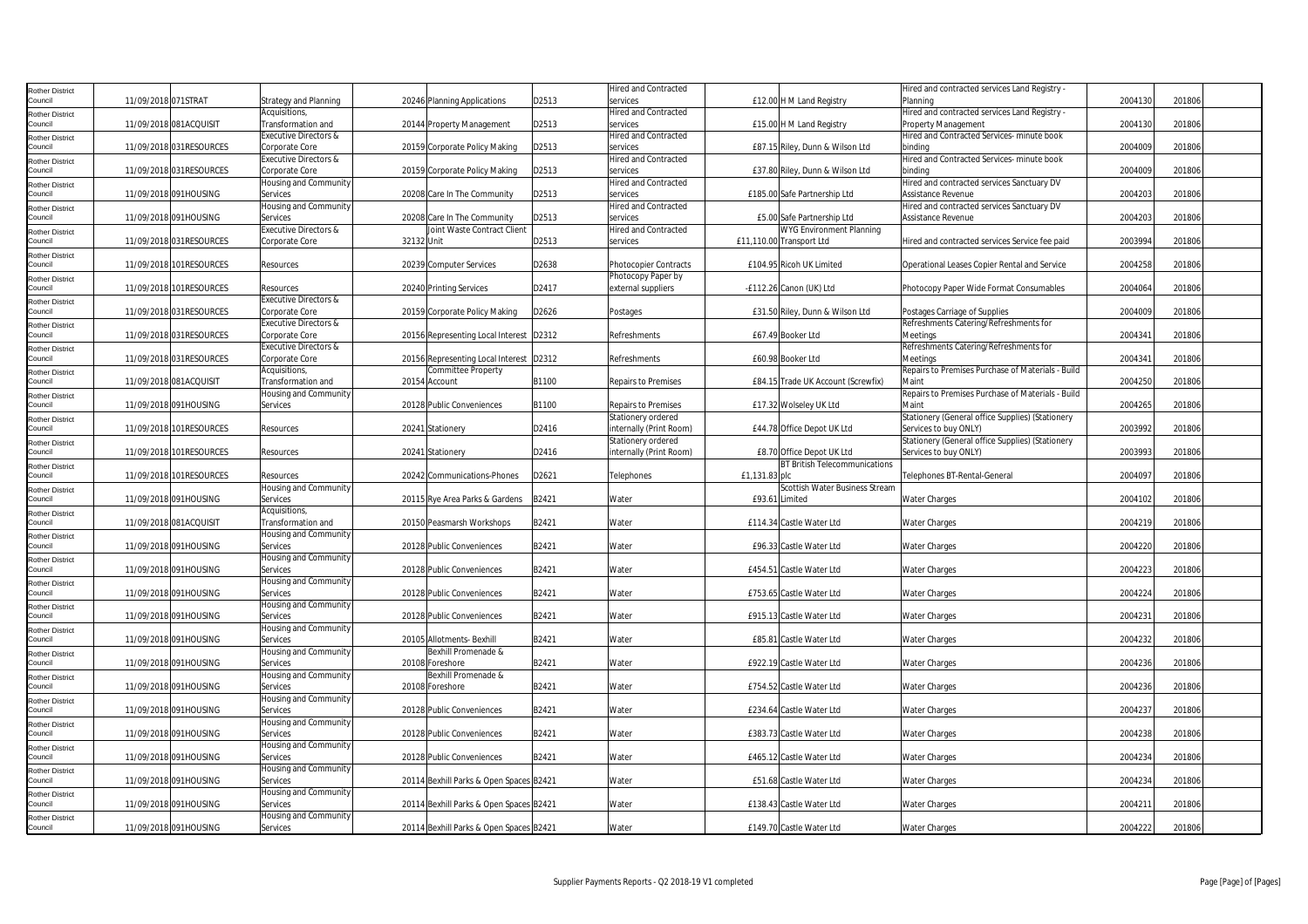| <b>Rother District</b>            |                     |                         |                                   |            |                                         |       | <b>Hired and Contracted</b> |                                      | Hired and contracted services Land Registry       |         |        |
|-----------------------------------|---------------------|-------------------------|-----------------------------------|------------|-----------------------------------------|-------|-----------------------------|--------------------------------------|---------------------------------------------------|---------|--------|
| Council                           | 11/09/2018 071STRAT |                         | Strategy and Planning             |            | 20246 Planning Applications             | D2513 | services                    | £12.00 H M Land Registry             | Planning                                          | 2004130 | 201806 |
| <b>Rother District</b>            |                     |                         | Acquisitions,                     |            |                                         |       | <b>Hired and Contracted</b> |                                      | Hired and contracted services Land Registry -     |         |        |
| Council                           |                     | 11/09/2018 081ACQUISIT  | Transformation and                |            | 20144 Property Management               | D2513 | services                    | £15.00 H M Land Registry             | Property Management                               | 2004130 | 201806 |
|                                   |                     |                         | <b>Executive Directors &amp;</b>  |            |                                         |       | <b>Hired and Contracted</b> |                                      | Hired and Contracted Services- minute book        |         |        |
| <b>Rother District</b><br>Council |                     | 11/09/2018 031RESOURCES | Corporate Core                    |            | 20159 Corporate Policy Making           | D2513 | services                    | £87.15 Riley, Dunn & Wilson Ltd      | binding                                           | 2004009 | 201806 |
|                                   |                     |                         | <b>Executive Directors &amp;</b>  |            |                                         |       | <b>Hired and Contracted</b> |                                      | Hired and Contracted Services- minute book        |         |        |
| <b>Rother District</b><br>Council |                     | 11/09/2018 031RESOURCES | Corporate Core                    |            | 20159 Corporate Policy Making           | D2513 | services                    | £37.80 Riley, Dunn & Wilson Ltd      | binding                                           | 2004009 | 201806 |
|                                   |                     |                         | Housing and Community             |            |                                         |       | <b>Hired and Contracted</b> |                                      | Hired and contracted services Sanctuary DV        |         |        |
| <b>Rother District</b><br>Council |                     | 11/09/2018 091HOUSING   |                                   |            |                                         |       |                             |                                      |                                                   | 2004203 | 201806 |
|                                   |                     |                         | Services                          |            | 20208 Care In The Community             | D2513 | services                    | £185.00 Safe Partnership Ltd         | Assistance Revenue                                |         |        |
| <b>Rother District</b>            |                     |                         | Housing and Community             |            |                                         |       | <b>Hired and Contracted</b> |                                      | Hired and contracted services Sanctuary DV        |         |        |
| Council                           |                     | 11/09/2018 091HOUSING   | Services                          |            | 20208 Care In The Community             | D2513 | services                    | £5.00 Safe Partnership Ltd           | Assistance Revenue                                | 2004203 | 201806 |
| <b>Rother District</b>            |                     |                         | Executive Directors &             |            | Joint Waste Contract Client             |       | Hired and Contracted        | WYG Environment Planning             |                                                   |         |        |
| Council                           |                     | 11/09/2018 031RESOURCES | Corporate Core                    | 32132 Unit |                                         | D2513 | services                    | £11,110.00 Transport Ltd             | Hired and contracted services Service fee paid    | 2003994 | 201806 |
| <b>Rother District</b>            |                     |                         |                                   |            |                                         |       |                             |                                      |                                                   |         |        |
| Council                           |                     | 11/09/2018 101RESOURCES | Resources                         |            | 20239 Computer Services                 | D2638 | Photocopier Contracts       | £104.95 Ricoh UK Limited             | Operational Leases Copier Rental and Service      | 2004258 | 201806 |
| <b>Rother District</b>            |                     |                         |                                   |            |                                         |       | Photocopy Paper by          |                                      |                                                   |         |        |
| Council                           |                     | 11/09/2018 101RESOURCES | Resources                         |            | 20240 Printing Services                 | D2417 | external suppliers          | -£112.26 Canon (UK) Ltd              | Photocopy Paper Wide Format Consumables           | 2004064 | 201806 |
| <b>Rother District</b>            |                     |                         | Executive Directors &             |            |                                         |       |                             |                                      |                                                   |         |        |
| Council                           |                     | 11/09/2018 031RESOURCES | Corporate Core                    |            | 20159 Corporate Policy Making           | D2626 | Postages                    | £31.50 Riley, Dunn & Wilson Ltd      | Postages Carriage of Supplies                     | 2004009 | 201806 |
| <b>Rother District</b>            |                     |                         | Executive Directors &             |            |                                         |       |                             |                                      | Refreshments Catering/Refreshments for            |         |        |
| Council                           |                     | 11/09/2018 031RESOURCES | Corporate Core                    |            | 20156 Representing Local Interest D2312 |       | Refreshments                | £67.49 Booker Ltd                    | Meetings                                          | 2004341 | 201806 |
| <b>Rother District</b>            |                     |                         | Executive Directors &             |            |                                         |       |                             |                                      | Refreshments Catering/Refreshments for            |         |        |
| Council                           |                     | 11/09/2018 031RESOURCES | Corporate Core                    |            | 20156 Representing Local Interest D2312 |       | Refreshments                | £60.98 Booker Ltd                    | Meetings                                          | 2004341 | 201806 |
|                                   |                     |                         | Acquisitions,                     |            | <b>Committee Property</b>               |       |                             |                                      | Repairs to Premises Purchase of Materials - Build |         |        |
| <b>Rother District</b><br>Council |                     | 11/09/2018 081ACQUISIT  | Transformation and                |            | 20154 Account                           | B1100 | <b>Repairs to Premises</b>  | £84.15 Trade UK Account (Screwfix)   | Maint                                             | 2004250 | 201806 |
|                                   |                     |                         | Housing and Community             |            |                                         |       |                             |                                      | Repairs to Premises Purchase of Materials - Build |         |        |
| <b>Rother District</b><br>Council |                     | 11/09/2018 091HOUSING   | Services                          |            | 20128 Public Conveniences               | B1100 | Repairs to Premises         | £17.32 Wolseley UK Ltd               | Maint                                             | 2004265 | 201806 |
|                                   |                     |                         |                                   |            |                                         |       |                             |                                      |                                                   |         |        |
| <b>Rother District</b>            |                     |                         |                                   |            |                                         |       | Stationery ordered          |                                      | Stationery (General office Supplies) (Stationery  |         |        |
| Council                           |                     | 11/09/2018 101RESOURCES | Resources                         |            | 20241 Stationery                        | D2416 | nternally (Print Room)      | £44.78 Office Depot UK Ltd           | Services to buy ONLY)                             | 2003992 | 201806 |
| <b>Rother District</b>            |                     |                         |                                   |            |                                         |       | Stationery ordered          |                                      | Stationery (General office Supplies) (Stationery  |         |        |
| Council                           |                     | 11/09/2018 101RESOURCES | Resources                         |            | 20241 Stationery                        | D2416 | internally (Print Room)     | £8.70 Office Depot UK Ltd            | Services to buy ONLY)                             | 2003993 | 201806 |
|                                   |                     |                         |                                   |            |                                         |       |                             |                                      |                                                   |         |        |
| <b>Rother District</b>            |                     |                         |                                   |            |                                         |       |                             | <b>BT British Telecommunications</b> |                                                   |         |        |
| Council                           |                     | 11/09/2018 101RESOURCES | Resources                         |            | 20242 Communications-Phones             | D2621 | <b>Felephones</b>           | £1,131.83 plc                        | Telephones BT-Rental-General                      | 2004097 | 201806 |
| <b>Rother District</b>            |                     |                         | Housing and Community             |            |                                         |       |                             | Scottish Water Business Stream       |                                                   |         |        |
| Council                           |                     | 11/09/2018 091HOUSING   | Services                          |            | 20115 Rye Area Parks & Gardens          | B2421 | Water                       | £93.61 Limited                       | <b>Water Charges</b>                              | 2004102 | 201806 |
| <b>Rother District</b>            |                     |                         | Acquisitions,                     |            |                                         |       |                             |                                      |                                                   |         |        |
| Council                           |                     | 11/09/2018 081ACQUISIT  | Transformation and                |            | 20150 Peasmarsh Workshops               | B2421 | Water                       | £114.34 Castle Water Ltd             | <b>Water Charges</b>                              | 2004219 | 201806 |
| <b>Rother District</b>            |                     |                         | Housing and Community             |            |                                         |       |                             |                                      |                                                   |         |        |
| Council                           |                     | 11/09/2018 091HOUSING   | Services                          |            | 20128 Public Conveniences               | B2421 | Water                       | £96.33 Castle Water Ltd              | <b>Water Charges</b>                              | 2004220 | 201806 |
| <b>Rother District</b>            |                     |                         | Housing and Community             |            |                                         |       |                             |                                      |                                                   |         |        |
| Council                           |                     | 11/09/2018 091HOUSING   | Services                          |            | 20128 Public Conveniences               | B2421 | Water                       | £454.51 Castle Water Ltd             | <b>Water Charges</b>                              | 2004223 | 201806 |
|                                   |                     |                         | Housing and Community             |            |                                         |       |                             |                                      |                                                   |         |        |
| <b>Rother District</b><br>Council |                     | 11/09/2018 091HOUSING   | Services                          |            | 20128 Public Conveniences               | B2421 | Water                       | £753.65 Castle Water Ltd             | <b>Water Charges</b>                              | 2004224 | 201806 |
|                                   |                     |                         | Housing and Community             |            |                                         |       |                             |                                      |                                                   |         |        |
| Rother District<br>Council        |                     | 11/09/2018 091HOUSING   | Services                          |            | 20128 Public Conveniences               | B2421 | Water                       | £915.13 Castle Water Ltd             | <b>Water Charges</b>                              | 2004231 | 201806 |
|                                   |                     |                         |                                   |            |                                         |       |                             |                                      |                                                   |         |        |
| <b>Rother District</b><br>Council |                     | 11/09/2018 091HOUSING   | Housing and Community<br>Services |            | 20105 Allotments- Bexhill               | B2421 | Water                       | £85.81 Castle Water Ltd              | <b>Water Charges</b>                              | 2004232 | 201806 |
|                                   |                     |                         |                                   |            |                                         |       |                             |                                      |                                                   |         |        |
| <b>Rother District</b>            |                     |                         | Housing and Community             |            | Bexhill Promenade &                     |       |                             |                                      |                                                   |         |        |
| Council                           |                     | 11/09/2018 091HOUSING   | Services                          |            | 20108 Foreshore                         | B2421 | Water                       | £922.19 Castle Water Ltd             | <b>Water Charges</b>                              | 2004236 | 201806 |
| Rother District                   |                     |                         | Housing and Community             |            | Bexhill Promenade &                     |       |                             |                                      |                                                   |         |        |
| Council                           |                     | 11/09/2018 091HOUSING   | Services                          |            | 20108 Foreshore                         | B2421 | Water                       | £754.52 Castle Water Ltd             | <b>Water Charges</b>                              | 2004236 | 201806 |
| <b>Rother District</b>            |                     |                         | Housing and Community             |            |                                         |       |                             |                                      |                                                   |         |        |
| Council                           |                     | 11/09/2018 091HOUSING   | Services                          |            | 20128 Public Conveniences               | B2421 | Water                       | £234.64 Castle Water Ltd             | <b>Water Charges</b>                              | 2004237 | 201806 |
| <b>Rother District</b>            |                     |                         | Housing and Community             |            |                                         |       |                             |                                      |                                                   |         |        |
| Council                           |                     | 11/09/2018 091HOUSING   | Services                          |            | 20128 Public Conveniences               | B2421 | Water                       | £383.73 Castle Water Ltd             | Water Charges                                     | 2004238 | 201806 |
| <b>Rother District</b>            |                     |                         | Housing and Community             |            |                                         |       |                             |                                      |                                                   |         |        |
| Council                           |                     | 11/09/2018 091HOUSING   | Services                          |            | 20128 Public Conveniences               | B2421 | Water                       | £465.12 Castle Water Ltd             | <b>Water Charges</b>                              | 2004234 | 201806 |
| <b>Rother District</b>            |                     |                         | Housing and Community             |            |                                         |       |                             |                                      |                                                   |         |        |
| Council                           |                     | 11/09/2018 091HOUSING   | Services                          |            | 20114 Bexhill Parks & Open Spaces B2421 |       | Water                       | £51.68 Castle Water Ltd              | <b>Water Charges</b>                              | 2004234 | 201806 |
| <b>Rother District</b>            |                     |                         | Housing and Community             |            |                                         |       |                             |                                      |                                                   |         |        |
| Council                           |                     | 11/09/2018 091HOUSING   | Services                          |            | 20114 Bexhill Parks & Open Spaces B2421 |       | Water                       | £138.43 Castle Water Ltd             | <b>Water Charges</b>                              | 2004211 | 201806 |
| <b>Rother District</b><br>Council |                     | 11/09/2018 091HOUSING   | Housing and Community<br>Services |            | 20114 Bexhill Parks & Open Spaces B2421 |       | Water                       | £149.70 Castle Water Ltd             | <b>Water Charges</b>                              | 2004222 | 201806 |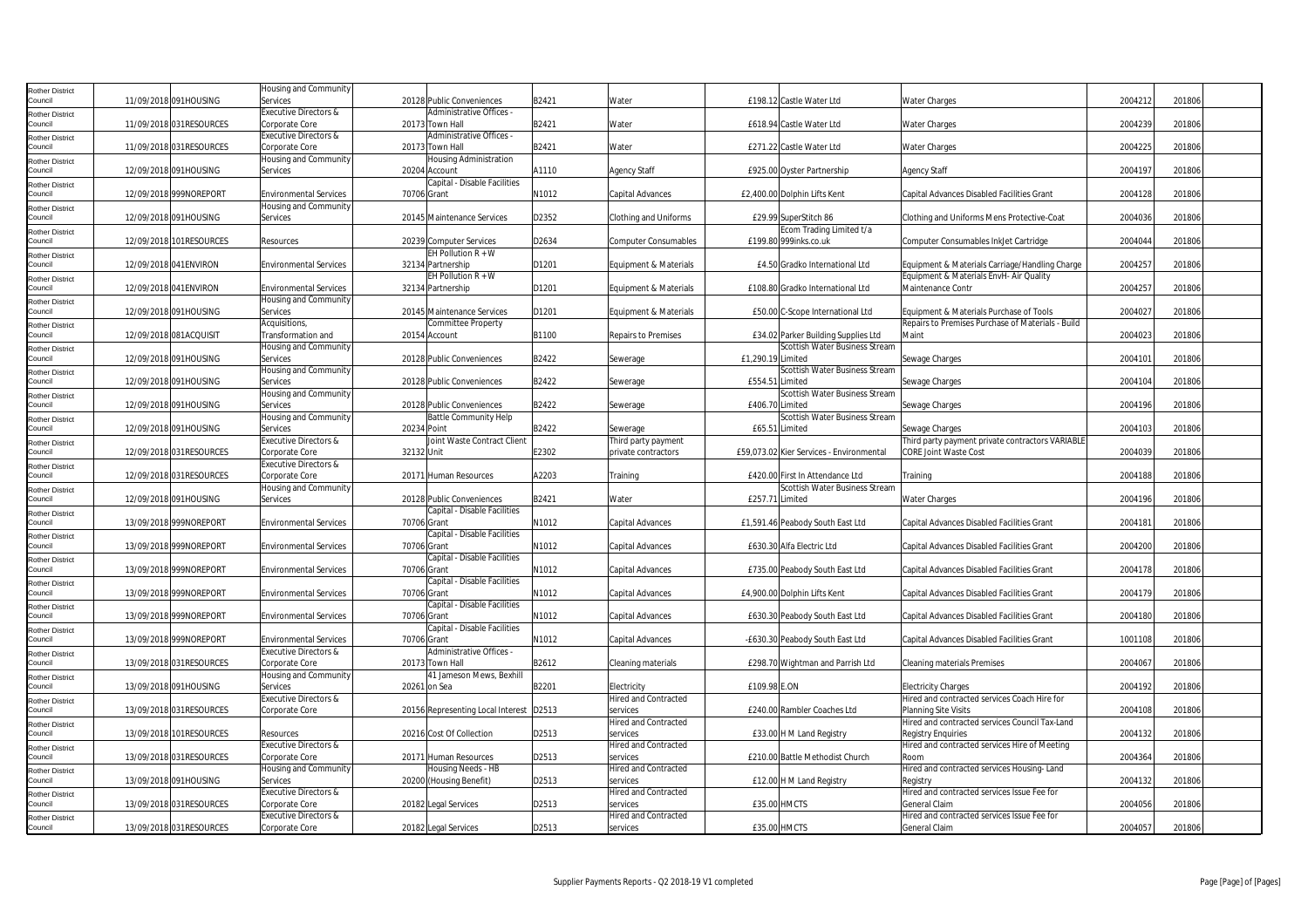| <b>Rother District</b>            |                         | Housing and Community                                  |                                               |       |                                         |                                                                       |                                                                                           |         |        |
|-----------------------------------|-------------------------|--------------------------------------------------------|-----------------------------------------------|-------|-----------------------------------------|-----------------------------------------------------------------------|-------------------------------------------------------------------------------------------|---------|--------|
| Council                           | 11/09/2018 091HOUSING   | Services                                               | 20128 Public Conveniences                     | B2421 | Water                                   | £198.12 Castle Water Ltd                                              | <b>Water Charges</b>                                                                      | 2004212 | 201806 |
| <b>Rother District</b><br>Council | 11/09/2018 031RESOURCES | <b>Executive Directors &amp;</b><br>Corporate Core     | Administrative Offices<br>20173 Town Hall     | B2421 | Water                                   | £618.94 Castle Water Ltd                                              | <b>Water Charges</b>                                                                      | 2004239 | 201806 |
| <b>Rother District</b>            |                         | Executive Directors &                                  | Administrative Offices -                      |       |                                         |                                                                       |                                                                                           |         |        |
| Council                           | 11/09/2018 031RESOURCES | Corporate Core                                         | 20173 Town Hall                               | B2421 | Water                                   | £271.22 Castle Water Ltd                                              | <b>Water Charges</b>                                                                      | 2004225 | 201806 |
| <b>Rother District</b>            |                         | Housing and Community                                  | <b>Housing Administration</b>                 |       |                                         |                                                                       |                                                                                           |         |        |
| Council                           | 12/09/2018 091HOUSING   | Services                                               | 20204 Account                                 | A1110 | <b>Agency Staff</b>                     | £925.00 Oyster Partnership                                            | <b>Agency Staff</b>                                                                       | 2004197 | 201806 |
| <b>Rother District</b>            |                         |                                                        | Capital - Disable Facilities                  |       |                                         |                                                                       |                                                                                           |         |        |
| Council                           | 12/09/2018 999NOREPORT  | <b>Environmental Services</b><br>Housing and Community | 70706 Grant                                   | N1012 | Capital Advances                        | £2,400.00 Dolphin Lifts Kent                                          | Capital Advances Disabled Facilities Grant                                                | 2004128 | 201806 |
| <b>Rother District</b><br>Council | 12/09/2018 091HOUSING   | Services                                               | 20145 Maintenance Services                    | D2352 | Clothing and Uniforms                   | £29.99 SuperStitch 86                                                 | Clothing and Uniforms Mens Protective-Coat                                                | 2004036 | 201806 |
| <b>Rother District</b>            |                         |                                                        |                                               |       |                                         | Ecom Trading Limited t/a                                              |                                                                                           |         |        |
| Council                           | 12/09/2018 101RESOURCES | Resources                                              | 20239 Computer Services                       | D2634 | Computer Consumables                    | £199.80 999inks.co.uk                                                 | Computer Consumables InkJet Cartridge                                                     | 2004044 | 201806 |
| <b>Rother District</b>            |                         | <b>Environmental Services</b>                          | EH Pollution $R + W$<br>32134 Partnership     |       |                                         |                                                                       |                                                                                           |         |        |
| Council                           | 12/09/2018 041 ENVIRON  |                                                        | EH Pollution $R + W$                          | D1201 | Equipment & Materials                   | £4.50 Gradko International Ltd                                        | Equipment & Materials Carriage/Handling Charge<br>Equipment & Materials EnvH- Air Quality | 2004257 | 201806 |
| <b>Rother District</b><br>Council | 12/09/2018 041 ENVIRON  | <b>Environmental Services</b>                          | 32134 Partnership                             | D1201 | Equipment & Materials                   | £108.80 Gradko International Ltd                                      | Maintenance Contr                                                                         | 2004257 | 201806 |
| <b>Rother District</b>            |                         | Housing and Community                                  |                                               |       |                                         |                                                                       |                                                                                           |         |        |
| Council                           | 12/09/2018 091HOUSING   | Services                                               | 20145 Maintenance Services                    | D1201 | Equipment & Materials                   | £50.00 C-Scope International Ltd                                      | Equipment & Materials Purchase of Tools                                                   | 2004027 | 201806 |
| <b>Rother District</b>            |                         | Acquisitions,                                          | Committee Property                            |       |                                         |                                                                       | Repairs to Premises Purchase of Materials - Build                                         |         |        |
| Council<br><b>Rother District</b> | 12/09/2018 081ACQUISIT  | Transformation and<br>Housing and Community            | 20154 Account                                 | B1100 | <b>Repairs to Premises</b>              | £34.02 Parker Building Supplies Ltd<br>Scottish Water Business Stream | Maint                                                                                     | 2004023 | 201806 |
| Council                           | 12/09/2018 091HOUSING   | Services                                               | 20128 Public Conveniences                     | B2422 | Sewerage                                | £1,290.19 Limited                                                     | Sewage Charges                                                                            | 2004101 | 201806 |
| <b>Rother District</b>            |                         | Housing and Community                                  |                                               |       |                                         | Scottish Water Business Stream                                        |                                                                                           |         |        |
| Council                           | 12/09/2018 091HOUSING   | Services                                               | 20128 Public Conveniences                     | B2422 | Sewerage                                | £554.51 Limited                                                       | Sewage Charges                                                                            | 2004104 | 201806 |
| <b>Rother District</b><br>Council | 12/09/2018 091HOUSING   | Housing and Community<br>Services                      | 20128 Public Conveniences                     | B2422 |                                         | Scottish Water Business Stream<br>£406.70 Limited                     | Sewage Charges                                                                            | 2004196 | 201806 |
| <b>Rother District</b>            |                         | Housing and Community                                  | <b>Battle Community Help</b>                  |       | Sewerage                                | Scottish Water Business Stream                                        |                                                                                           |         |        |
| Council                           | 12/09/2018 091HOUSING   | Services                                               | 20234 Point                                   | B2422 | Sewerage                                | £65.51 Limited                                                        | Sewage Charges                                                                            | 2004103 | 201806 |
| <b>Rother District</b>            |                         | Executive Directors &                                  | Joint Waste Contract Client                   |       | Third party payment                     |                                                                       | Third party payment private contractors VARIABLE                                          |         |        |
| Council                           | 12/09/2018 031RESOURCES | Corporate Core                                         | 32132 Unit                                    | E2302 | private contractors                     | £59,073.02 Kier Services - Environmental                              | <b>CORE Joint Waste Cost</b>                                                              | 2004039 | 201806 |
| <b>Rother District</b><br>Council | 12/09/2018 031RESOURCES | Executive Directors &<br>Corporate Core                | 20171 Human Resources                         | A2203 | Training                                | £420.00 First In Attendance Ltd                                       | Training                                                                                  | 2004188 | 201806 |
| <b>Rother District</b>            |                         | Housing and Community                                  |                                               |       |                                         | Scottish Water Business Stream                                        |                                                                                           |         |        |
| Council                           | 12/09/2018 091HOUSING   | Services                                               | 20128 Public Conveniences                     | B2421 | Water                                   | £257.71 Limited                                                       | <b>Water Charges</b>                                                                      | 2004196 | 201806 |
| <b>Rother District</b>            |                         |                                                        | Capital - Disable Facilities                  |       |                                         |                                                                       |                                                                                           |         |        |
| Council                           | 13/09/2018 999NOREPORT  | <b>Environmental Services</b>                          | 70706 Grant<br>Capital - Disable Facilities   | N1012 | Capital Advances                        | £1,591.46 Peabody South East Ltd                                      | <b>Capital Advances Disabled Facilities Grant</b>                                         | 2004181 | 201806 |
| <b>Rother District</b><br>Council | 13/09/2018 999NOREPORT  | <b>Environmental Services</b>                          | 70706 Grant                                   | N1012 | Capital Advances                        | £630.30 Alfa Electric Ltd                                             | Capital Advances Disabled Facilities Grant                                                | 2004200 | 201806 |
| <b>Rother District</b>            |                         |                                                        | Capital - Disable Facilities                  |       |                                         |                                                                       |                                                                                           |         |        |
| Council                           | 13/09/2018 999NOREPORT  | <b>Environmental Services</b>                          | 70706 Grant                                   | N1012 | Capital Advances                        | £735.00 Peabody South East Ltd                                        | Capital Advances Disabled Facilities Grant                                                | 2004178 | 201806 |
| <b>Rother District</b>            |                         | <b>Environmental Services</b>                          | Capital - Disable Facilities<br>70706 Grant   | N1012 | Capital Advances                        | £4,900.00 Dolphin Lifts Kent                                          | Capital Advances Disabled Facilities Grant                                                | 2004179 | 201806 |
| Council<br><b>Rother District</b> | 13/09/2018 999NOREPORT  |                                                        | Capital - Disable Facilities                  |       |                                         |                                                                       |                                                                                           |         |        |
| Council                           | 13/09/2018 999NOREPORT  | <b>Environmental Services</b>                          | 70706 Grant                                   | N1012 | Capital Advances                        | £630.30 Peabody South East Ltd                                        | Capital Advances Disabled Facilities Grant                                                | 2004180 | 201806 |
| <b>Rother District</b>            |                         |                                                        | Capital - Disable Facilities                  |       |                                         |                                                                       |                                                                                           |         |        |
| Council                           | 13/09/2018 999NOREPORT  | <b>Environmental Services</b><br>Executive Directors & | 70706 Grant<br>Administrative Offices -       | N1012 | Capital Advances                        | -£630.30 Peabody South East Ltd                                       | Capital Advances Disabled Facilities Grant                                                | 1001108 | 201806 |
| <b>Rother District</b><br>Council | 13/09/2018 031RESOURCES | Corporate Core                                         | 20173 Town Hall                               | B2612 | Cleaning materials                      | £298.70 Wightman and Parrish Ltd                                      | <b>Cleaning materials Premises</b>                                                        | 2004067 | 201806 |
| <b>Rother District</b>            |                         | Housing and Community                                  | 41 Jameson Mews, Bexhill                      |       |                                         |                                                                       |                                                                                           |         |        |
| Council                           | 13/09/2018 091HOUSING   | Services                                               | 20261 on Sea                                  | B2201 | Electricity                             | £109.98 E.ON                                                          | <b>Electricity Charges</b>                                                                | 2004192 | 201806 |
| <b>Rother District</b>            |                         | Executive Directors &                                  |                                               |       | <b>Hired and Contracted</b>             |                                                                       | Hired and contracted services Coach Hire for                                              |         |        |
| Council                           | 13/09/2018 031RESOURCES | Corporate Core                                         | 20156 Representing Local Interest             | D2513 | services<br><b>Hired and Contracted</b> | £240.00 Rambler Coaches Ltd                                           | <b>Planning Site Visits</b><br>Hired and contracted services Council Tax-Land             | 2004108 | 201806 |
| <b>Rother District</b><br>Council | 13/09/2018 101RESOURCES | Resources                                              | 20216 Cost Of Collection                      | D2513 | services                                | £33.00 H M Land Registry                                              | <b>Registry Enquiries</b>                                                                 | 2004132 | 201806 |
| <b>Rother District</b>            |                         | <b>Executive Directors &amp;</b>                       |                                               |       | <b>Hired and Contracted</b>             |                                                                       | Hired and contracted services Hire of Meeting                                             |         |        |
| Council                           | 13/09/2018 031RESOURCES | Corporate Core                                         | 20171 Human Resources                         | D2513 | services                                | £210.00 Battle Methodist Church                                       | Room                                                                                      | 2004364 | 201806 |
| <b>Rother District</b><br>Council | 13/09/2018 091HOUSING   | Housing and Community<br>Services                      | Housing Needs - HB<br>20200 (Housing Benefit) | D2513 | <b>Hired and Contracted</b><br>services | £12.00 H M Land Registry                                              | Hired and contracted services Housing-Land<br>Registry                                    | 2004132 | 201806 |
| <b>Rother District</b>            |                         | Executive Directors &                                  |                                               |       | <b>Hired and Contracted</b>             |                                                                       | Hired and contracted services Issue Fee for                                               |         |        |
| Council                           | 13/09/2018 031RESOURCES | Corporate Core                                         | 20182 Legal Services                          | D2513 | services                                | £35.00 HMCTS                                                          | <b>General Claim</b>                                                                      | 2004056 | 201806 |
| <b>Rother District</b>            |                         | Executive Directors &                                  |                                               |       | <b>Hired and Contracted</b>             |                                                                       | Hired and contracted services Issue Fee for                                               |         |        |
| Council                           | 13/09/2018 031RESOURCES | Corporate Core                                         | 20182 Legal Services                          | D2513 | services                                | <b>£35.00 HMCTS</b>                                                   | General Claim                                                                             | 2004057 | 201806 |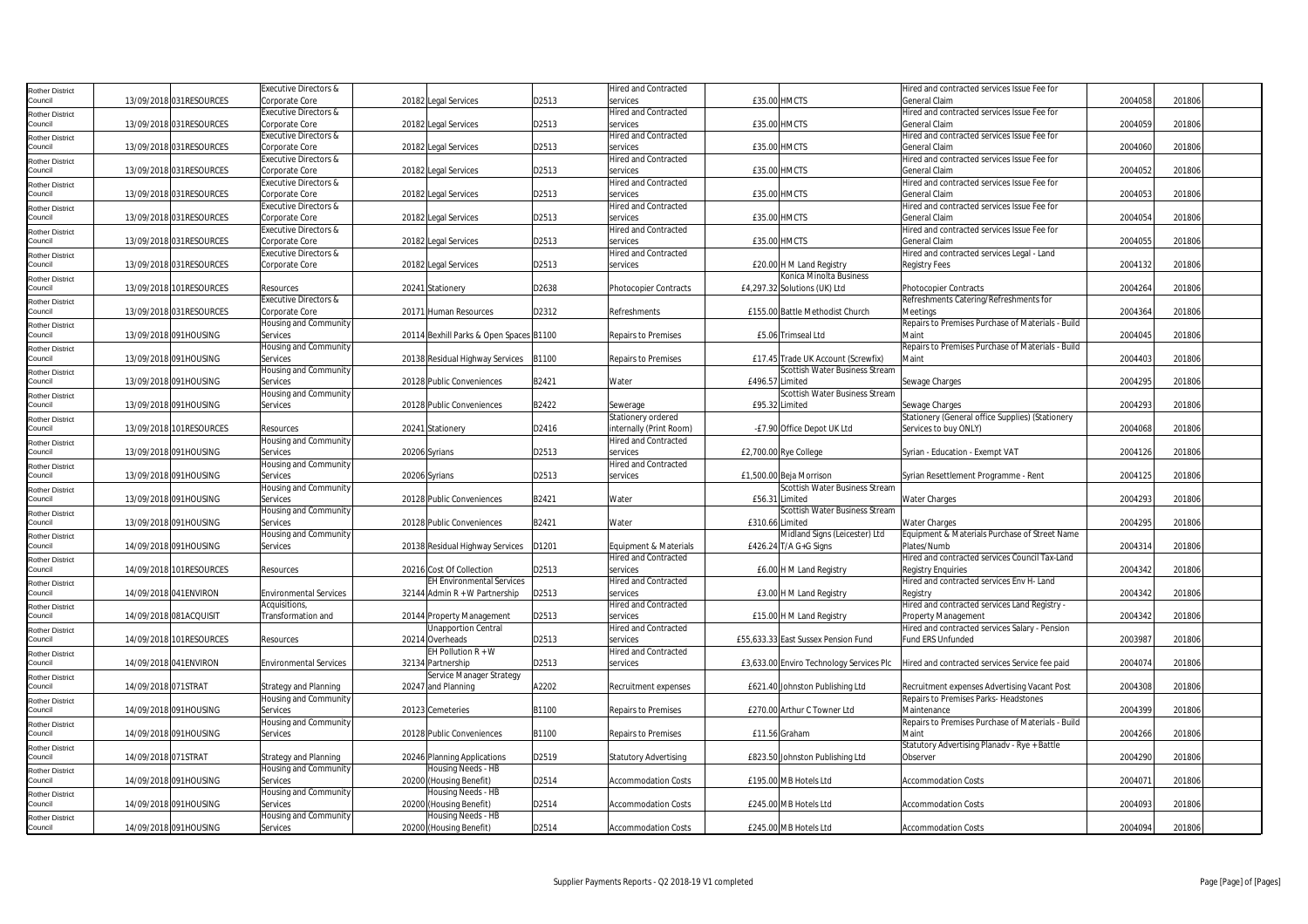| <b>Rother District</b>            |                     |                          | Executive Directors &            |                                         |       | <b>Hired and Contracted</b>  |                 |                                          | Hired and contracted services Issue Fee for       |         |        |
|-----------------------------------|---------------------|--------------------------|----------------------------------|-----------------------------------------|-------|------------------------------|-----------------|------------------------------------------|---------------------------------------------------|---------|--------|
| Council                           |                     | 13/09/2018 031RESOURCES  | Corporate Core                   | 20182 Legal Services                    | D2513 | services                     |                 | £35.00 HMCTS                             | General Claim                                     | 2004058 | 201806 |
| <b>Rother District</b>            |                     |                          | Executive Directors &            |                                         |       | <b>Hired and Contracted</b>  |                 |                                          | Hired and contracted services Issue Fee for       |         |        |
| Council                           |                     | 13/09/2018 031RESOURCES  | Corporate Core                   | 20182 Legal Services                    | D2513 | services                     |                 | £35.00 HMCTS                             | General Claim                                     | 2004059 | 201806 |
| <b>Rother District</b>            |                     |                          | Executive Directors &            |                                         |       | <b>Hired and Contracted</b>  |                 |                                          | Hired and contracted services Issue Fee for       |         |        |
| Council                           |                     | 13/09/2018 031RESOURCES  | Corporate Core                   | 20182 Legal Services                    | D2513 | services                     | £35.00 HMCTS    |                                          | General Claim                                     | 2004060 | 201806 |
| <b>Rother District</b>            |                     |                          | Executive Directors &            |                                         |       | <b>Hired and Contracted</b>  |                 |                                          | Hired and contracted services Issue Fee for       |         |        |
| Council                           |                     | 13/09/2018 031RESOURCES  | Corporate Core                   | 20182 Legal Services                    | D2513 | services                     |                 | £35.00 HMCTS                             | General Claim                                     | 2004052 | 201806 |
|                                   |                     |                          | Executive Directors &            |                                         |       | <b>Hired and Contracted</b>  |                 |                                          | Hired and contracted services Issue Fee for       |         |        |
| <b>Rother District</b><br>Council |                     | 13/09/2018 031 RESOURCES | Corporate Core                   |                                         | D2513 |                              |                 | £35.00 HMCTS                             | <b>General Claim</b>                              | 2004053 | 201806 |
|                                   |                     |                          |                                  | 20182 Legal Services                    |       | services                     |                 |                                          |                                                   |         |        |
| <b>Rother District</b>            |                     |                          | Executive Directors &            |                                         |       | <b>Hired and Contracted</b>  |                 |                                          | Hired and contracted services Issue Fee for       |         |        |
| Council                           |                     | 13/09/2018 031RESOURCES  | Corporate Core                   | 20182 Legal Services                    | D2513 | services                     | £35.00 HMCTS    |                                          | General Claim                                     | 2004054 | 201806 |
| <b>Rother District</b>            |                     |                          | <b>Executive Directors &amp;</b> |                                         |       | <b>Hired and Contracted</b>  |                 |                                          | Hired and contracted services Issue Fee for       |         |        |
| Council                           |                     | 13/09/2018 031RESOURCES  | Corporate Core                   | 20182 Legal Services                    | D2513 | services                     |                 | £35.00 HMCTS                             | General Claim                                     | 2004055 | 201806 |
| <b>Rother District</b>            |                     |                          | Executive Directors &            |                                         |       | <b>Hired and Contracted</b>  |                 |                                          | Hired and contracted services Legal - Land        |         |        |
| Council                           |                     | 13/09/2018 031RESOURCES  | Corporate Core                   | 20182 Legal Services                    | D2513 | services                     |                 | £20.00 H M Land Registry                 | <b>Registry Fees</b>                              | 2004132 | 201806 |
| <b>Rother District</b>            |                     |                          |                                  |                                         |       |                              |                 | Konica Minolta Business                  |                                                   |         |        |
| Council                           |                     | 13/09/2018 101RESOURCES  | Resources                        | 20241 Stationery                        | D2638 | Photocopier Contracts        |                 | £4,297.32 Solutions (UK) Ltd             | Photocopier Contracts                             | 2004264 | 201806 |
| <b>Rother District</b>            |                     |                          | <b>Executive Directors &amp;</b> |                                         |       |                              |                 |                                          | Refreshments Catering/Refreshments for            |         |        |
| Council                           |                     | 13/09/2018 031RESOURCES  | Corporate Core                   | 20171 Human Resources                   | D2312 | Refreshments                 |                 | £155.00 Battle Methodist Church          | Meetings                                          | 2004364 | 201806 |
|                                   |                     |                          | Housing and Community            |                                         |       |                              |                 |                                          | Repairs to Premises Purchase of Materials - Build |         |        |
| <b>Rother District</b><br>Council |                     | 13/09/2018 091HOUSING    | Services                         | 20114 Bexhill Parks & Open Spaces B1100 |       | <b>Repairs to Premises</b>   |                 | £5.06 Trimseal Ltd                       | Maint                                             | 2004045 | 201806 |
|                                   |                     |                          | Housing and Community            |                                         |       |                              |                 |                                          | Repairs to Premises Purchase of Materials - Build |         |        |
| <b>Rother District</b>            |                     |                          |                                  |                                         |       |                              |                 | £17.45 Trade UK Account (Screwfix)       | Maint                                             | 2004403 |        |
| Council                           |                     | 13/09/2018 091HOUSING    | Services                         | 20138 Residual Highway Services B1100   |       | Repairs to Premises          |                 |                                          |                                                   |         | 201806 |
| <b>Rother District</b>            |                     |                          | Housing and Community            |                                         |       |                              |                 | Scottish Water Business Stream           |                                                   |         |        |
| Council                           |                     | 13/09/2018 091HOUSING    | Services                         | 20128 Public Conveniences               | B2421 | Water                        | £496.57 Limited |                                          | Sewage Charges                                    | 2004295 | 201806 |
| Rother District                   |                     |                          | Housing and Community            |                                         |       |                              |                 | Scottish Water Business Stream           |                                                   |         |        |
| Council                           |                     | 13/09/2018 091HOUSING    | Services                         | 20128 Public Conveniences               | B2422 | Sewerage                     |                 | £95.32 Limited                           | Sewage Charges                                    | 2004293 | 201806 |
| <b>Rother District</b>            |                     |                          |                                  |                                         |       | Stationery ordered           |                 |                                          | Stationery (General office Supplies) (Stationery  |         |        |
| Council                           |                     | 13/09/2018 101RESOURCES  | Resources                        | 20241 Stationery                        | D2416 | internally (Print Room)      |                 | -£7.90 Office Depot UK Ltd               | Services to buy ONLY)                             | 2004068 | 201806 |
| <b>Rother District</b>            |                     |                          | Housing and Community            |                                         |       | <b>Hired and Contracted</b>  |                 |                                          |                                                   |         |        |
| Council                           |                     | 13/09/2018 091HOUSING    | Services                         | 20206 Syrians                           | D2513 | services                     |                 | £2,700.00 Rye College                    | Syrian - Education - Exempt VAT                   | 2004126 | 201806 |
|                                   |                     |                          | Housing and Community            |                                         |       | Hired and Contracted         |                 |                                          |                                                   |         |        |
| <b>Rother District</b><br>Council |                     | 13/09/2018 091HOUSING    | Services                         | 20206 Syrians                           | D2513 | services                     |                 | £1,500.00 Beja Morrison                  | Syrian Resettlement Programme - Rent              | 2004125 | 201806 |
|                                   |                     |                          |                                  |                                         |       |                              |                 | Scottish Water Business Stream           |                                                   |         |        |
| <b>Rother District</b>            |                     |                          | Housing and Community            |                                         |       |                              |                 |                                          |                                                   |         |        |
| Council                           |                     | 13/09/2018 091HOUSING    | Services                         | 20128 Public Conveniences               | B2421 | Water                        | £56.31 Limited  |                                          | <b>Water Charges</b>                              | 2004293 | 201806 |
| <b>Rother District</b>            |                     |                          | Housing and Community            |                                         |       |                              |                 | Scottish Water Business Stream           |                                                   |         |        |
| Council                           |                     | 13/09/2018 091HOUSING    | Services                         | 20128 Public Conveniences               | B2421 | Water                        | £310.66 Limited |                                          | <b>Water Charges</b>                              | 2004295 | 201806 |
| <b>Rother District</b>            |                     |                          | lousing and Community            |                                         |       |                              |                 | Midland Signs (Leicester) Ltd            | Equipment & Materials Purchase of Street Name     |         |        |
| Council                           |                     | 14/09/2018 091HOUSING    | Services                         | 20138 Residual Highway Services   D1201 |       | Equipment & Materials        |                 | £426.24 T/A G+G Signs                    | Plates/Numb                                       | 2004314 | 201806 |
| <b>Rother District</b>            |                     |                          |                                  |                                         |       | <b>Hired and Contracted</b>  |                 |                                          | Hired and contracted services Council Tax-Land    |         |        |
| Council                           |                     | 14/09/2018 101RESOURCES  | Resources                        | 20216 Cost Of Collection                | D2513 | services                     |                 | £6.00 H M Land Registry                  | <b>Registry Enquiries</b>                         | 2004342 | 201806 |
| <b>Rother District</b>            |                     |                          |                                  | EH Environmental Services               |       | <b>Hired and Contracted</b>  |                 |                                          | Hired and contracted services Env H- Land         |         |        |
| Council                           |                     | 14/09/2018 041ENVIRON    | <b>Environmental Services</b>    | 32144 Admin $R + W$ Partnership         | D2513 | services                     |                 | £3.00 H M Land Registry                  | Registry                                          | 2004342 | 201806 |
| <b>Rother District</b>            |                     |                          | Acquisitions,                    |                                         |       | Hired and Contracted         |                 |                                          | Hired and contracted services Land Registry -     |         |        |
| Council                           |                     | 14/09/2018 081ACQUISIT   | <b>Fransformation</b> and        | 20144 Property Management               | D2513 | services                     |                 | £15.00 H M Land Registry                 | Property Management                               | 2004342 | 201806 |
|                                   |                     |                          |                                  | <b>Jnapportion Central</b>              |       | <b>Hired and Contracted</b>  |                 |                                          | Hired and contracted services Salary - Pension    |         |        |
| <b>Rother District</b><br>Council |                     | 14/09/2018 101RESOURCES  | Resources                        | 20214 Overheads                         | D2513 | services                     |                 | £55,633.33 East Sussex Pension Fund      | Fund ERS Unfunded                                 | 2003987 | 201806 |
|                                   |                     |                          |                                  | EH Pollution $R + W$                    |       | <b>Hired and Contracted</b>  |                 |                                          |                                                   |         |        |
| <b>Rother District</b>            |                     |                          |                                  |                                         |       |                              |                 |                                          |                                                   |         |        |
| Council                           |                     | 14/09/2018 041ENVIRON    | <b>Environmental Services</b>    | 32134 Partnership                       | D2513 | services                     |                 | £3,633.00 Enviro Technology Services Plc | Hired and contracted services Service fee paid    | 2004074 | 201806 |
| <b>Rother District</b>            |                     |                          |                                  | Service Manager Strategy                |       |                              |                 |                                          |                                                   |         |        |
| Council                           | 14/09/2018 071STRAT |                          | <b>Strategy and Planning</b>     | 20247 and Planning                      | A2202 | Recruitment expenses         |                 | £621.40 Johnston Publishing Ltd          | Recruitment expenses Advertising Vacant Post      | 2004308 | 201806 |
| <b>Rother District</b>            |                     |                          | Housing and Community            |                                         |       |                              |                 |                                          | Repairs to Premises Parks- Headstones             |         |        |
| Council                           |                     | 14/09/2018 091HOUSING    | Services                         | 20123 Cemeteries                        | B1100 | <b>Repairs to Premises</b>   |                 | £270.00 Arthur C Towner Ltd              | Maintenance                                       | 2004399 | 201806 |
| <b>Rother District</b>            |                     |                          | Housing and Community            |                                         |       |                              |                 |                                          | Repairs to Premises Purchase of Materials - Build |         |        |
| Council                           |                     | 14/09/2018 091HOUSING    | Services                         | 20128 Public Conveniences               | B1100 | <b>Repairs to Premises</b>   |                 | £11.56 Graham                            | Maint                                             | 2004266 | 201806 |
| <b>Rother District</b>            |                     |                          |                                  |                                         |       |                              |                 |                                          | Statutory Advertising Planadv - Rye + Battle      |         |        |
| Council                           | 14/09/2018 071STRAT |                          | Strategy and Planning            | 20246 Planning Applications             | D2519 | <b>Statutory Advertising</b> |                 | £823.50 Johnston Publishing Ltd          | Observer                                          | 2004290 | 201806 |
|                                   |                     |                          | Housing and Community            | Housing Needs - HB                      |       |                              |                 |                                          |                                                   |         |        |
| <b>Rother District</b><br>Council |                     | 14/09/2018 091HOUSING    | Services                         | 20200 (Housing Benefit)                 | D2514 | <b>Accommodation Costs</b>   |                 | £195.00 MB Hotels Ltd                    | <b>Accommodation Costs</b>                        | 2004071 | 201806 |
|                                   |                     |                          |                                  |                                         |       |                              |                 |                                          |                                                   |         |        |
| <b>Rother District</b>            |                     |                          | Housing and Community            | Housing Needs - HB                      |       |                              |                 |                                          |                                                   |         |        |
| Council                           |                     | 14/09/2018 091HOUSING    | Services                         | 20200 (Housing Benefit)                 | D2514 | <b>Accommodation Costs</b>   |                 | £245.00 MB Hotels Ltd                    | <b>Accommodation Costs</b>                        | 2004093 | 201806 |
| <b>Rother District</b>            |                     |                          | Housing and Community            | Housing Needs - HB                      |       |                              |                 |                                          |                                                   |         |        |
| Council                           |                     | 14/09/2018 091HOUSING    | Services                         | 20200 (Housing Benefit)                 | D2514 | <b>Accommodation Costs</b>   |                 | £245.00 MB Hotels Ltd                    | <b>Accommodation Costs</b>                        | 2004094 | 201806 |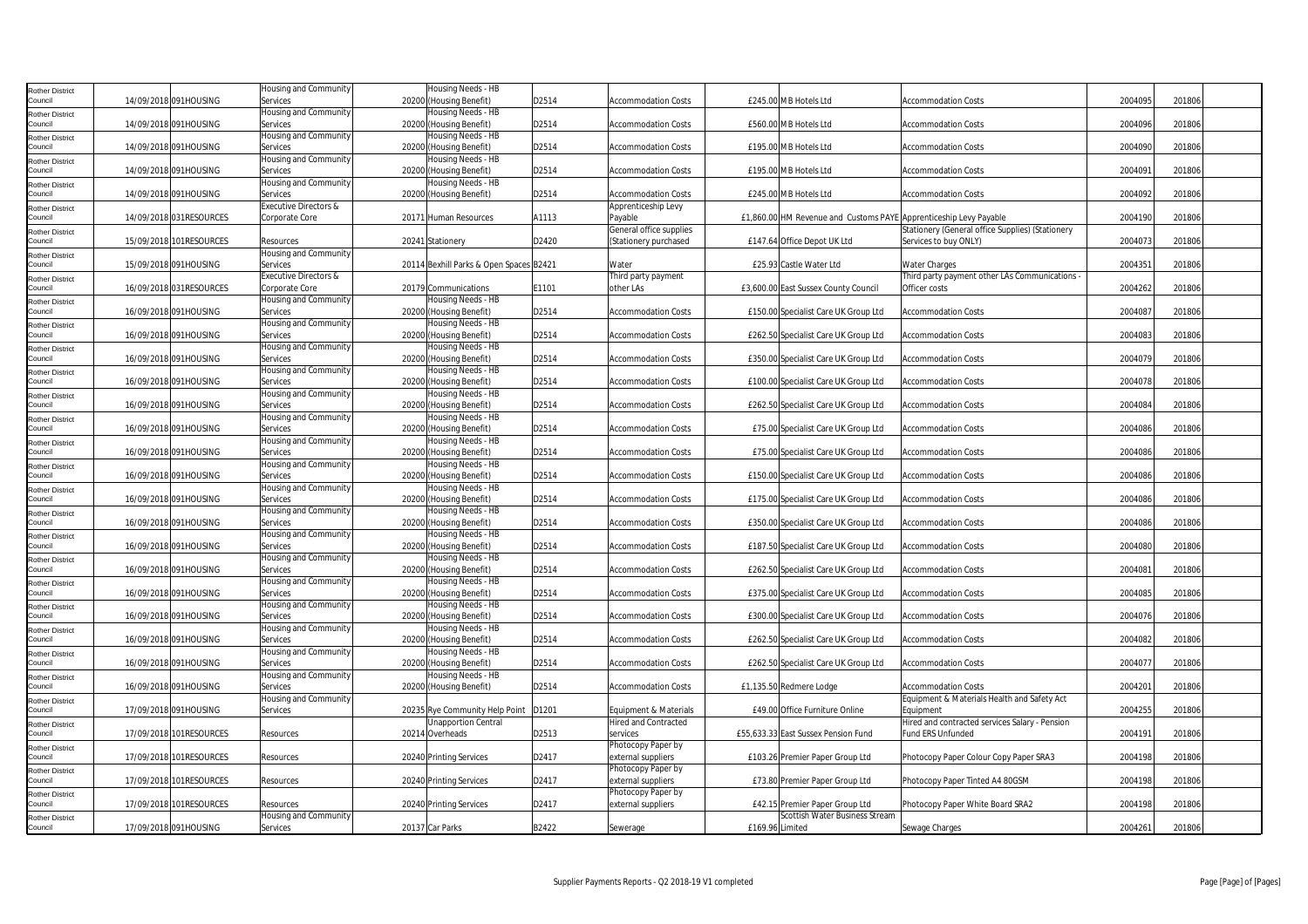| <b>Rother District</b>            |                         | Housing and Community             | Housing Needs - HB                            |       |                                                  |                                                                   |                                                                           |         |        |
|-----------------------------------|-------------------------|-----------------------------------|-----------------------------------------------|-------|--------------------------------------------------|-------------------------------------------------------------------|---------------------------------------------------------------------------|---------|--------|
| Council                           | 14/09/2018 091HOUSING   | Services                          | 20200 (Housing Benefit)                       | D2514 | <b>Accommodation Costs</b>                       | £245.00 MB Hotels Ltd                                             | <b>Accommodation Costs</b>                                                | 2004095 | 201806 |
| <b>Rother District</b>            |                         | Housing and Community             | Housing Needs - HB                            |       |                                                  |                                                                   |                                                                           |         |        |
| Council                           | 14/09/2018 091HOUSING   | Services<br>Housing and Community | 20200 (Housing Benefit)<br>Housing Needs - HB | D2514 | <b>Accommodation Costs</b>                       | £560.00 MB Hotels Ltd                                             | <b>Accommodation Costs</b>                                                | 2004096 | 201806 |
| <b>Rother District</b><br>Council | 14/09/2018 091HOUSING   | Services                          | 20200 (Housing Benefit)                       | D2514 | <b>Accommodation Costs</b>                       | £195.00 MB Hotels Ltd                                             | <b>Accommodation Costs</b>                                                | 2004090 | 201806 |
| <b>Rother District</b>            |                         | Housing and Community             | Housing Needs - HB                            |       |                                                  |                                                                   |                                                                           |         |        |
| Council                           | 14/09/2018 091HOUSING   | Services                          | 20200 (Housing Benefit)                       | D2514 | <b>Accommodation Costs</b>                       | £195.00 MB Hotels Ltd                                             | <b>Accommodation Costs</b>                                                | 2004091 | 201806 |
| <b>Rother District</b>            |                         | Housing and Community             | Housing Needs - HB                            |       |                                                  |                                                                   |                                                                           |         |        |
| Council                           | 14/09/2018 091HOUSING   | Services                          | 20200 (Housing Benefit)                       | D2514 | <b>Accommodation Costs</b>                       | £245.00 MB Hotels Ltd                                             | <b>Accommodation Costs</b>                                                | 2004092 | 201806 |
| <b>Rother District</b>            |                         | Executive Directors &             |                                               |       | Apprenticeship Levy                              |                                                                   |                                                                           |         |        |
| Council                           | 14/09/2018 031RESOURCES | Corporate Core                    | 20171 Human Resources                         | A1113 | Payable                                          | £1,860.00 HM Revenue and Customs PAYE Apprenticeship Levy Payable |                                                                           | 2004190 | 201806 |
| <b>Rother District</b><br>Council | 15/09/2018 101RESOURCES | Resources                         | 20241 Stationery                              | D2420 | General office supplies<br>(Stationery purchased | £147.64 Office Depot UK Ltd                                       | Stationery (General office Supplies) (Stationery<br>Services to buy ONLY) | 2004073 | 201806 |
| <b>Rother District</b>            |                         | Housing and Community             |                                               |       |                                                  |                                                                   |                                                                           |         |        |
| Council                           | 15/09/2018 091HOUSING   | Services                          | 20114 Bexhill Parks & Open Spaces B2421       |       | Water                                            | £25.93 Castle Water Ltd                                           | <b>Water Charges</b>                                                      | 2004351 | 201806 |
| <b>Rother District</b>            |                         | Executive Directors &             |                                               |       | Third party payment                              |                                                                   | Third party payment other LAs Communications                              |         |        |
| Council                           | 16/09/2018 031RESOURCES | Corporate Core                    | 20179 Communications                          | E1101 | other LAs                                        | £3,600.00 East Sussex County Council                              | Officer costs                                                             | 2004262 | 201806 |
| <b>Rother District</b>            |                         | Housing and Community             | Housing Needs - HB                            |       |                                                  |                                                                   |                                                                           |         |        |
| Council                           | 16/09/2018 091HOUSING   | Services                          | 20200 (Housing Benefit)                       | D2514 | <b>Accommodation Costs</b>                       | £150.00 Specialist Care UK Group Ltd                              | <b>Accommodation Costs</b>                                                | 2004087 | 201806 |
| <b>Rother District</b>            |                         | Housing and Community             | Housing Needs - HB                            |       |                                                  |                                                                   |                                                                           |         |        |
| Council                           | 16/09/2018 091HOUSING   | Services                          | 20200 (Housing Benefit)                       | D2514 | <b>Accommodation Costs</b>                       | £262.50 Specialist Care UK Group Ltd                              | <b>Accommodation Costs</b>                                                | 2004083 | 201806 |
| <b>Rother District</b><br>Council | 16/09/2018 091HOUSING   | Housing and Community<br>Services | Housing Needs - HB<br>20200 (Housing Benefit) | D2514 | <b>Accommodation Costs</b>                       | £350.00 Specialist Care UK Group Ltd                              | <b>Accommodation Costs</b>                                                | 2004079 | 201806 |
|                                   |                         | Housing and Community             | Housing Needs - HB                            |       |                                                  |                                                                   |                                                                           |         |        |
| <b>Rother District</b><br>Council | 16/09/2018 091HOUSING   | Services                          | 20200 (Housing Benefit)                       | D2514 | <b>Accommodation Costs</b>                       | £100.00 Specialist Care UK Group Ltd                              | <b>Accommodation Costs</b>                                                | 2004078 | 201806 |
| <b>Rother District</b>            |                         | Housing and Community             | Housing Needs - HB                            |       |                                                  |                                                                   |                                                                           |         |        |
| Council                           | 16/09/2018 091HOUSING   | Services                          | 20200 (Housing Benefit)                       | D2514 | <b>Accommodation Costs</b>                       | £262.50 Specialist Care UK Group Ltd                              | <b>Accommodation Costs</b>                                                | 2004084 | 201806 |
| <b>Rother District</b>            |                         | Housing and Community             | Housing Needs - HB                            |       |                                                  |                                                                   |                                                                           |         |        |
| Council                           | 16/09/2018 091HOUSING   | Services                          | 20200 (Housing Benefit)                       | D2514 | <b>Accommodation Costs</b>                       | £75.00 Specialist Care UK Group Ltd                               | <b>Accommodation Costs</b>                                                | 2004086 | 201806 |
| <b>Rother District</b>            |                         | Housing and Community             | Housing Needs - HB                            |       |                                                  |                                                                   |                                                                           |         |        |
| Council                           | 16/09/2018 091HOUSING   | Services                          | 20200 (Housing Benefit)                       | D2514 | <b>Accommodation Costs</b>                       | £75.00 Specialist Care UK Group Ltd                               | <b>Accommodation Costs</b>                                                | 2004086 | 201806 |
| <b>Rother District</b>            |                         | Housing and Community             | Housing Needs - HB                            |       |                                                  |                                                                   |                                                                           |         |        |
| Council                           | 16/09/2018 091HOUSING   | Services<br>Housing and Community | 20200 (Housing Benefit)<br>Housing Needs - HB | D2514 | Accommodation Costs                              | £150.00 Specialist Care UK Group Ltd                              | <b>Accommodation Costs</b>                                                | 2004086 | 201806 |
| <b>Rother District</b><br>Council | 16/09/2018 091HOUSING   | Services                          | 20200 (Housing Benefit)                       | D2514 | <b>Accommodation Costs</b>                       | £175.00 Specialist Care UK Group Ltd                              | <b>Accommodation Costs</b>                                                | 2004086 | 201806 |
| <b>Rother District</b>            |                         | Housing and Community             | Housing Needs - HB                            |       |                                                  |                                                                   |                                                                           |         |        |
| Council                           | 16/09/2018 091HOUSING   | Services                          | 20200 (Housing Benefit)                       | D2514 | <b>Accommodation Costs</b>                       | £350.00 Specialist Care UK Group Ltd                              | <b>Accommodation Costs</b>                                                | 2004086 | 201806 |
| <b>Rother District</b>            |                         | Housing and Community             | Housing Needs - HB                            |       |                                                  |                                                                   |                                                                           |         |        |
| Council                           | 16/09/2018 091HOUSING   | Services                          | 20200 (Housing Benefit)                       | D2514 | <b>Accommodation Costs</b>                       | £187.50 Specialist Care UK Group Ltd                              | <b>Accommodation Costs</b>                                                | 2004080 | 201806 |
| <b>Rother District</b>            |                         | Housing and Community             | Housing Needs - HB                            |       |                                                  |                                                                   |                                                                           |         |        |
| Council                           | 16/09/2018 091HOUSING   | Services                          | 20200 (Housing Benefit)                       | D2514 | <b>Accommodation Costs</b>                       | £262.50 Specialist Care UK Group Ltd                              | <b>Accommodation Costs</b>                                                | 2004081 | 201806 |
| <b>Rother District</b><br>Council | 16/09/2018 091HOUSING   | Housing and Community<br>Services | Housing Needs - HB<br>20200 (Housing Benefit) | D2514 | <b>Accommodation Costs</b>                       | £375.00 Specialist Care UK Group Ltd                              | <b>Accommodation Costs</b>                                                | 2004085 | 201806 |
|                                   |                         | Housing and Community             | Housing Needs - HB                            |       |                                                  |                                                                   |                                                                           |         |        |
| <b>Rother District</b><br>Council | 16/09/2018 091HOUSING   | Services                          | 20200 (Housing Benefit)                       | D2514 | Accommodation Costs                              | £300.00 Specialist Care UK Group Ltd                              | <b>Accommodation Costs</b>                                                | 2004076 | 201806 |
| <b>Rother District</b>            |                         | Housing and Community             | Housing Needs - HB                            |       |                                                  |                                                                   |                                                                           |         |        |
| Council                           | 16/09/2018 091HOUSING   | Services                          | 20200 (Housing Benefit)                       | D2514 | Accommodation Costs                              | £262.50 Specialist Care UK Group Ltd                              | <b>Accommodation Costs</b>                                                | 2004082 | 201806 |
| <b>Rother District</b>            |                         | Housing and Community             | Housing Needs - HB                            |       |                                                  |                                                                   |                                                                           |         |        |
| Council                           | 16/09/2018 091HOUSING   | Services                          | 20200 (Housing Benefit)                       | D2514 | <b>Accommodation Costs</b>                       | £262.50 Specialist Care UK Group Ltd                              | <b>Accommodation Costs</b>                                                | 2004077 | 201806 |
| <b>Rother District</b>            |                         | Housing and Community             | Housing Needs - HB                            |       |                                                  |                                                                   |                                                                           |         |        |
| Council                           | 16/09/2018 091HOUSING   | Services                          | 20200 (Housing Benefit)                       | D2514 | <b>Accommodation Costs</b>                       | £1,135.50 Redmere Lodge                                           | <b>Accommodation Costs</b>                                                | 2004201 | 201806 |
| <b>Rother District</b><br>Council | 17/09/2018 091HOUSING   | Housing and Community<br>Services | 20235 Rye Community Help Point                | D1201 | Equipment & Materials                            | £49.00 Office Furniture Online                                    | Equipment & Materials Health and Safety Act<br>Equipment                  | 2004255 | 201806 |
| <b>Rother District</b>            |                         |                                   | Unapportion Central                           |       | Hired and Contracted                             |                                                                   | Hired and contracted services Salary - Pension                            |         |        |
| Council                           | 17/09/2018 101RESOURCES | Resources                         | 20214 Overheads                               | D2513 | services                                         | £55,633.33 East Sussex Pension Fund                               | <b>Fund ERS Unfunded</b>                                                  | 2004191 | 201806 |
| <b>Rother District</b>            |                         |                                   |                                               |       | Photocopy Paper by                               |                                                                   |                                                                           |         |        |
| Council                           | 17/09/2018 101RESOURCES | Resources                         | 20240 Printing Services                       | D2417 | external suppliers                               | £103.26 Premier Paper Group Ltd                                   | Photocopy Paper Colour Copy Paper SRA3                                    | 2004198 | 201806 |
| Rother District                   |                         |                                   |                                               |       | Photocopy Paper by                               |                                                                   |                                                                           |         |        |
| Council                           | 17/09/2018 101RESOURCES | Resources                         | 20240 Printing Services                       | D2417 | external suppliers                               | £73.80 Premier Paper Group Ltd                                    | Photocopy Paper Tinted A4 80GSM                                           | 2004198 | 201806 |
| <b>Rother District</b>            |                         |                                   |                                               |       | Photocopy Paper by                               |                                                                   |                                                                           |         |        |
| Council                           | 17/09/2018 101RESOURCES | Resources                         | 20240 Printing Services                       | D2417 | external suppliers                               | £42.15 Premier Paper Group Ltd<br>Scottish Water Business Stream  | Photocopy Paper White Board SRA2                                          | 2004198 | 201806 |
| <b>Rother District</b><br>Council | 17/09/2018 091HOUSING   | Housing and Community<br>Services | 20137 Car Parks                               | B2422 | Sewerage                                         | £169.96 Limited                                                   | Sewage Charges                                                            | 2004261 | 201806 |
|                                   |                         |                                   |                                               |       |                                                  |                                                                   |                                                                           |         |        |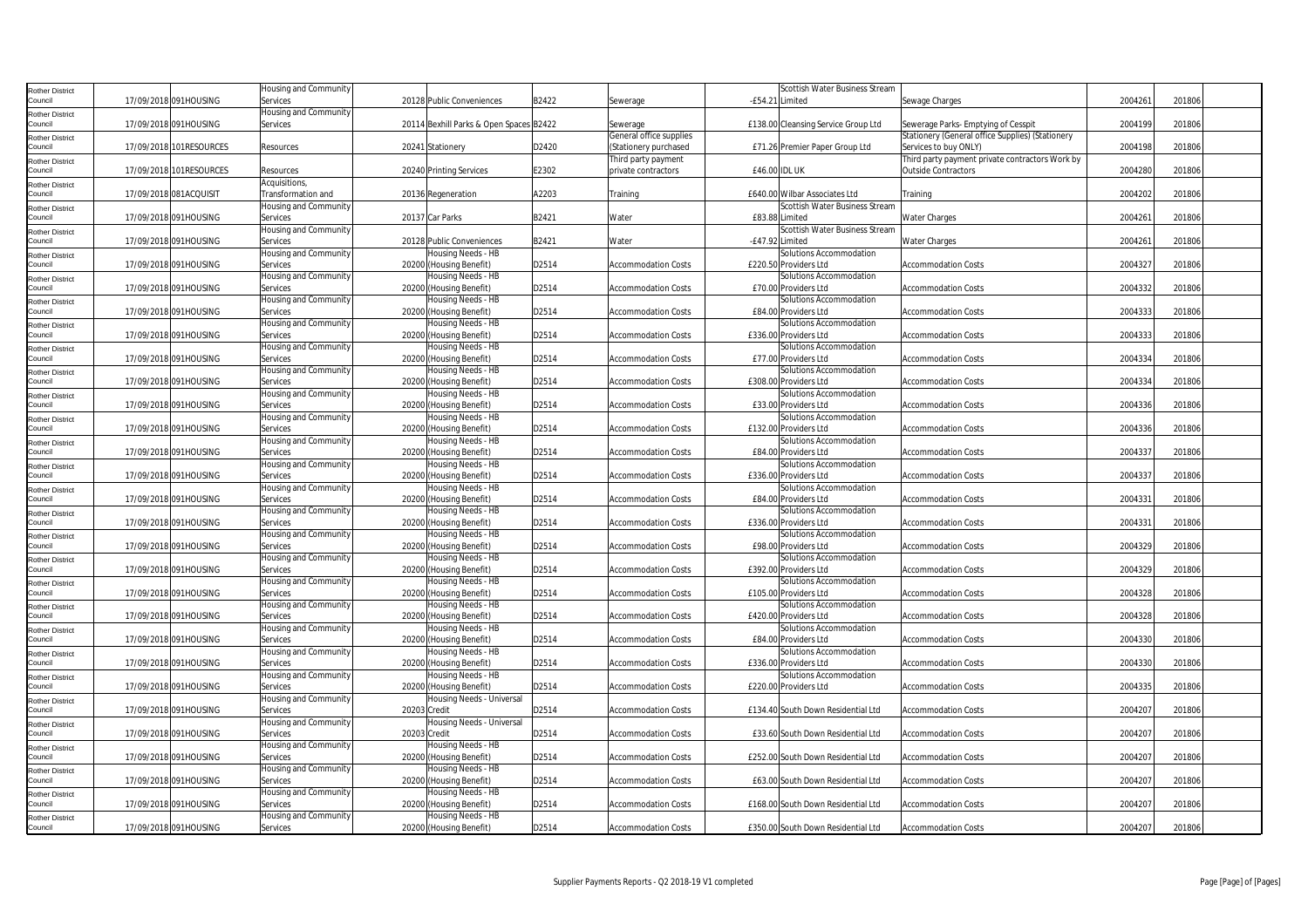| <b>Rother District</b>            |                         | Housing and Community |                                         |       |                            | Scottish Water Business Stream      |                                                  |         |        |
|-----------------------------------|-------------------------|-----------------------|-----------------------------------------|-------|----------------------------|-------------------------------------|--------------------------------------------------|---------|--------|
| Council                           | 17/09/2018 091HOUSING   | Services              | 20128 Public Conveniences               | B2422 | Sewerage                   | -£54.21 Limited                     | Sewage Charges                                   | 2004261 | 201806 |
| <b>Rother District</b>            |                         | Housing and Community |                                         |       |                            |                                     |                                                  |         |        |
| Council                           | 17/09/2018 091HOUSING   | Services              | 20114 Bexhill Parks & Open Spaces B2422 |       | Sewerage                   | £138.00 Cleansing Service Group Ltd | Sewerage Parks- Emptying of Cesspit              | 2004199 | 201806 |
|                                   |                         |                       |                                         |       | General office supplies    |                                     | Stationery (General office Supplies) (Stationery |         |        |
| <b>Rother District</b><br>Council | 17/09/2018 101RESOURCES | Resources             | 20241 Stationery                        | D2420 | (Stationery purchased      | £71.26 Premier Paper Group Ltd      | Services to buy ONLY)                            | 2004198 | 201806 |
|                                   |                         |                       |                                         |       |                            |                                     | Third party payment private contractors Work by  |         |        |
| <b>Rother District</b>            |                         |                       |                                         |       | Third party payment        |                                     |                                                  |         |        |
| Council                           | 17/09/2018 101RESOURCES | Resources             | 20240 Printing Services                 | E2302 | private contractors        | £46.00 IDL UK                       | <b>Outside Contractors</b>                       | 2004280 | 201806 |
| <b>Rother District</b>            |                         | Acquisitions,         |                                         |       |                            |                                     |                                                  |         |        |
| Council                           | 17/09/2018 081ACQUISIT  | Transformation and    | 20136 Regeneration                      | A2203 | <b>Fraining</b>            | £640.00 Wilbar Associates Ltd       | Training                                         | 2004202 | 201806 |
| <b>Rother District</b>            |                         | Housing and Community |                                         |       |                            | Scottish Water Business Stream      |                                                  |         |        |
| Council                           | 17/09/2018 091HOUSING   | Services              | 20137 Car Parks                         | B2421 | Water                      | £83.88 Limited                      | <b>Water Charges</b>                             | 2004261 | 201806 |
| <b>Rother District</b>            |                         | Housing and Community |                                         |       |                            | Scottish Water Business Stream      |                                                  |         |        |
| Council                           | 17/09/2018 091HOUSING   | Services              | 20128 Public Conveniences               | B2421 | Water                      | -£47.92 Limited                     | <b>Water Charges</b>                             | 2004261 | 201806 |
| <b>Rother District</b>            |                         | Housing and Community | Housing Needs - HB                      |       |                            | Solutions Accommodation             |                                                  |         |        |
| Council                           | 17/09/2018 091HOUSING   | Services              | 20200 (Housing Benefit)                 | D2514 | <b>Accommodation Costs</b> | £220.50 Providers Ltd               | <b>Accommodation Costs</b>                       | 2004327 | 201806 |
| <b>Rother District</b>            |                         | Housing and Community | Housing Needs - HB                      |       |                            | Solutions Accommodation             |                                                  |         |        |
| Council                           | 17/09/2018 091HOUSING   | Services              | 20200 (Housing Benefit)                 | D2514 | <b>Accommodation Costs</b> | £70.00 Providers Ltd                | <b>Accommodation Costs</b>                       | 2004332 | 201806 |
|                                   |                         | Housing and Community | Housing Needs - HB                      |       |                            | Solutions Accommodation             |                                                  |         |        |
| <b>Rother District</b><br>Council | 17/09/2018 091HOUSING   | Services              | 20200 (Housing Benefit)                 | D2514 | Accommodation Costs        | £84.00 Providers Ltd                | Accommodation Costs                              | 2004333 | 201806 |
|                                   |                         | Housing and Community | Housing Needs - HB                      |       |                            | Solutions Accommodation             |                                                  |         |        |
| <b>Rother District</b>            |                         |                       |                                         |       |                            |                                     |                                                  |         |        |
| Council                           | 17/09/2018 091HOUSING   | Services              | 20200 (Housing Benefit)                 | D2514 | Accommodation Costs        | £336.00 Providers Ltd               | <b>Accommodation Costs</b>                       | 2004333 | 201806 |
| <b>Rother District</b>            |                         | Housing and Community | Housing Needs - HB                      |       |                            | Solutions Accommodation             |                                                  |         |        |
| Council                           | 17/09/2018 091HOUSING   | Services              | 20200 (Housing Benefit)                 | D2514 | <b>Accommodation Costs</b> | £77.00 Providers Ltd                | <b>Accommodation Costs</b>                       | 2004334 | 201806 |
| <b>Rother District</b>            |                         | Housing and Community | Housing Needs - HB                      |       |                            | Solutions Accommodation             |                                                  |         |        |
| Council                           | 17/09/2018 091HOUSING   | Services              | 20200 (Housing Benefit)                 | D2514 | Accommodation Costs        | £308.00 Providers Ltd               | Accommodation Costs                              | 2004334 | 201806 |
| <b>Rother District</b>            |                         | Housing and Community | Housing Needs - HB                      |       |                            | Solutions Accommodation             |                                                  |         |        |
| Council                           | 17/09/2018 091HOUSING   | Services              | 20200 (Housing Benefit)                 | D2514 | <b>Accommodation Costs</b> | £33.00 Providers Ltd                | <b>Accommodation Costs</b>                       | 2004336 | 201806 |
| <b>Rother District</b>            |                         | Housing and Community | Housing Needs - HB                      |       |                            | Solutions Accommodation             |                                                  |         |        |
| Council                           | 17/09/2018 091HOUSING   | Services              | 20200 (Housing Benefit)                 | D2514 | <b>Accommodation Costs</b> | £132.00 Providers Ltd               | <b>Accommodation Costs</b>                       | 2004336 | 201806 |
| <b>Rother District</b>            |                         | Housing and Community | Housing Needs - HB                      |       |                            | Solutions Accommodation             |                                                  |         |        |
| Council                           | 17/09/2018 091HOUSING   | Services              | 20200 (Housing Benefit)                 | D2514 | <b>Accommodation Costs</b> | £84.00 Providers Ltd                | <b>Accommodation Costs</b>                       | 2004337 | 201806 |
| <b>Rother District</b>            |                         | Housing and Community | Housing Needs - HB                      |       |                            | Solutions Accommodation             |                                                  |         |        |
| Council                           | 17/09/2018 091HOUSING   | Services              | 20200 (Housing Benefit)                 | D2514 | <b>Accommodation Costs</b> | £336.00 Providers Ltd               | <b>Accommodation Costs</b>                       | 2004337 | 201806 |
| <b>Rother District</b>            |                         | Housing and Community | Housing Needs - HB                      |       |                            | Solutions Accommodation             |                                                  |         |        |
| Council                           | 17/09/2018 091HOUSING   | Services              | 20200 (Housing Benefit)                 | D2514 | <b>Accommodation Costs</b> | £84.00 Providers Ltd                | <b>Accommodation Costs</b>                       | 2004331 | 201806 |
| <b>Rother District</b>            |                         | Housing and Community | Housing Needs - HB                      |       |                            | Solutions Accommodation             |                                                  |         |        |
| Council                           | 17/09/2018 091HOUSING   | Services              | 20200 (Housing Benefit)                 | D2514 | Accommodation Costs        | £336.00 Providers Ltd               | <b>Accommodation Costs</b>                       | 2004331 | 201806 |
| <b>Rother District</b>            |                         | Housing and Community | Housing Needs - HB                      |       |                            | Solutions Accommodation             |                                                  |         |        |
| Council                           | 17/09/2018 091HOUSING   | Services              | 20200 (Housing Benefit)                 | D2514 | <b>Accommodation Costs</b> | £98.00 Providers Ltd                | <b>Accommodation Costs</b>                       | 2004329 | 201806 |
|                                   |                         | Housing and Community | Housing Needs - HB                      |       |                            | Solutions Accommodation             |                                                  |         |        |
| <b>Rother District</b><br>Council | 17/09/2018 091HOUSING   | Services              | 20200 (Housing Benefit)                 | D2514 | <b>Accommodation Costs</b> | £392.00 Providers Ltd               | <b>Accommodation Costs</b>                       | 2004329 | 201806 |
|                                   |                         |                       |                                         |       |                            |                                     |                                                  |         |        |
| <b>Rother District</b>            |                         | Housing and Community | Housing Needs - HB                      |       |                            | Solutions Accommodation             |                                                  |         |        |
| Council                           | 17/09/2018 091HOUSING   | Services              | 20200 (Housing Benefit)                 | D2514 | <b>Accommodation Costs</b> | £105.00 Providers Ltd               | <b>Accommodation Costs</b>                       | 2004328 | 201806 |
| Rother District                   |                         | Housing and Community | Housing Needs - HB                      |       |                            | Solutions Accommodation             |                                                  |         |        |
| Council                           | 17/09/2018 091HOUSING   | Services              | 20200 (Housing Benefit)                 | D2514 | Accommodation Costs        | £420.00 Providers Ltd               | <b>Accommodation Costs</b>                       | 2004328 | 201806 |
| <b>Rother District</b>            |                         | Housing and Community | Housing Needs - HB                      |       |                            | Solutions Accommodation             |                                                  |         |        |
| Council                           | 17/09/2018 091HOUSING   | Services              | 20200 (Housing Benefit)                 | D2514 | <b>Accommodation Costs</b> | £84.00 Providers Ltd                | <b>Accommodation Costs</b>                       | 2004330 | 201806 |
| <b>Rother District</b>            |                         | Housing and Community | Housing Needs - HB                      |       |                            | Solutions Accommodation             |                                                  |         |        |
| Council                           | 17/09/2018 091HOUSING   | Services              | 20200 (Housing Benefit)                 | D2514 | <b>Accommodation Costs</b> | £336.00 Providers Ltd               | <b>Accommodation Costs</b>                       | 2004330 | 201806 |
| Rother District                   |                         | Housing and Community | Housing Needs - HB                      |       |                            | Solutions Accommodation             |                                                  |         |        |
| Council                           | 17/09/2018 091HOUSING   | Services              | 20200 (Housing Benefit)                 | D2514 | <b>Accommodation Costs</b> | £220.00 Providers Ltd               | <b>Accommodation Costs</b>                       | 2004335 | 201806 |
| <b>Rother District</b>            |                         | Housing and Community | Housing Needs - Universal               |       |                            |                                     |                                                  |         |        |
| Council                           | 17/09/2018 091HOUSING   | Services              | 20203 Credit                            | D2514 | <b>Accommodation Costs</b> | £134.40 South Down Residential Ltd  | <b>Accommodation Costs</b>                       | 2004207 | 201806 |
| <b>Rother District</b>            |                         | Housing and Community | Housing Needs - Universal               |       |                            |                                     |                                                  |         |        |
| Council                           | 17/09/2018 091HOUSING   | Services              | 20203 Credit                            | D2514 | <b>Accommodation Costs</b> | £33.60 South Down Residential Ltd   | <b>Accommodation Costs</b>                       | 2004207 | 201806 |
| <b>Rother District</b>            |                         | Housing and Community | Housing Needs - HB                      |       |                            |                                     |                                                  |         |        |
| Council                           | 17/09/2018 091HOUSING   | Services              | 20200 (Housing Benefit)                 | D2514 | Accommodation Costs        | £252.00 South Down Residential Ltd  | <b>Accommodation Costs</b>                       | 2004207 | 201806 |
| <b>Rother District</b>            |                         | Housing and Community | Housing Needs - HB                      |       |                            |                                     |                                                  |         |        |
| Council                           | 17/09/2018 091HOUSING   | Services              | 20200 (Housing Benefit)                 | D2514 | Accommodation Costs        | £63.00 South Down Residential Ltd   | <b>Accommodation Costs</b>                       | 2004207 | 201806 |
|                                   |                         | Housing and Community | Housing Needs - HB                      |       |                            |                                     |                                                  |         |        |
| <b>Rother District</b><br>Council | 17/09/2018 091HOUSING   | Services              | 20200 (Housing Benefit)                 | D2514 | <b>Accommodation Costs</b> | £168.00 South Down Residential Ltd  | <b>Accommodation Costs</b>                       | 2004207 | 201806 |
|                                   |                         |                       | Housing Needs - HB                      |       |                            |                                     |                                                  |         |        |
| <b>Rother District</b>            |                         | Housing and Community |                                         |       |                            |                                     |                                                  |         |        |
| Council                           | 17/09/2018 091HOUSING   | Services              | 20200 (Housing Benefit)                 | D2514 | <b>Accommodation Costs</b> | £350.00 South Down Residential Ltd  | <b>Accommodation Costs</b>                       | 2004207 | 201806 |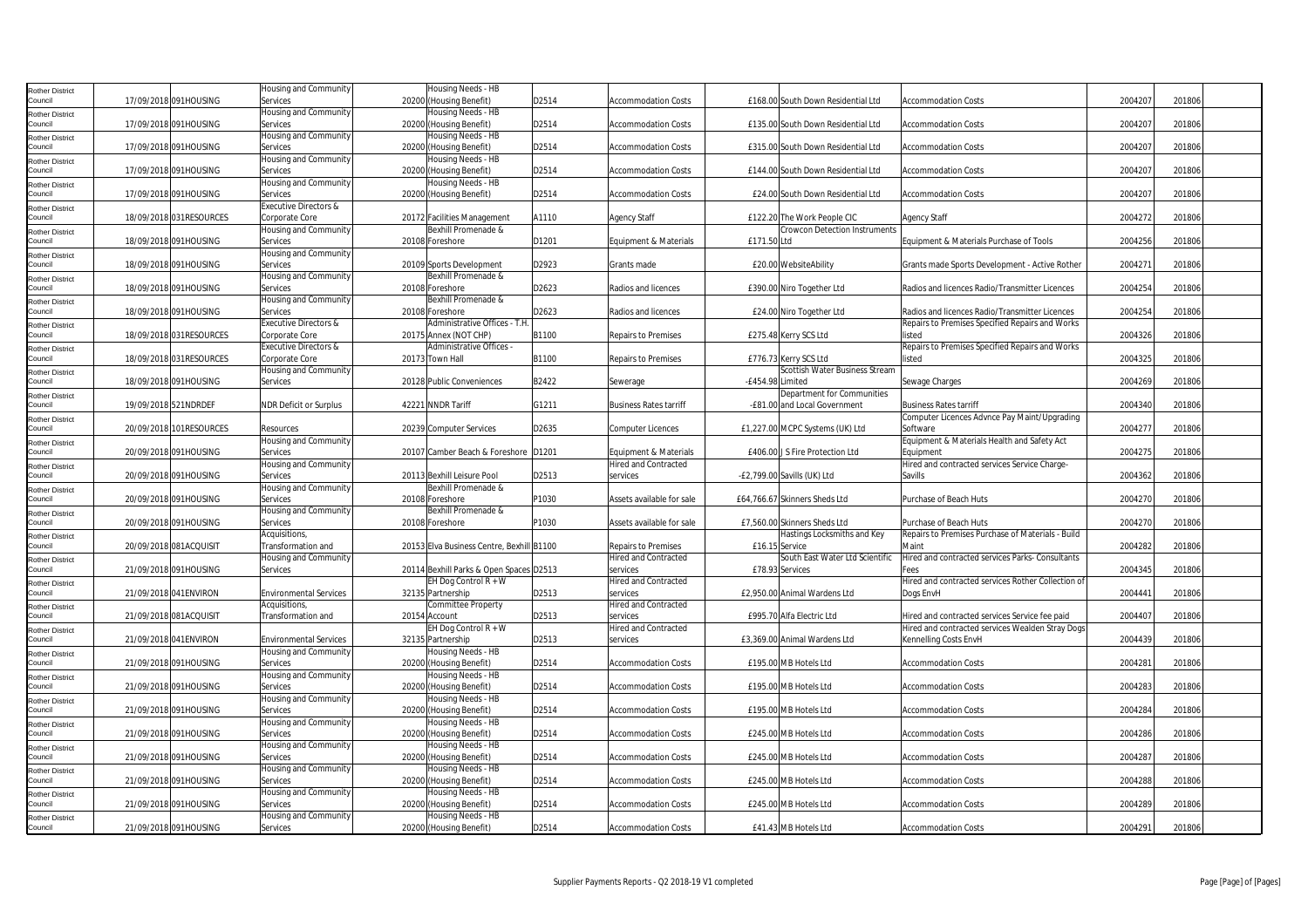| <b>Rother District</b>            |                       |                         | Housing and Community             | Housing Needs - HB                            |       |                               |                  |                                      |                                                    |         |        |  |
|-----------------------------------|-----------------------|-------------------------|-----------------------------------|-----------------------------------------------|-------|-------------------------------|------------------|--------------------------------------|----------------------------------------------------|---------|--------|--|
| Council                           |                       | 17/09/2018 091HOUSING   | Services                          | 20200 (Housing Benefit)                       | D2514 | <b>Accommodation Costs</b>    |                  | £168.00 South Down Residential Ltd   | <b>Accommodation Costs</b>                         | 2004207 | 201806 |  |
| <b>Rother District</b>            |                       |                         | <b>Housing and Community</b>      | Housing Needs - HB                            |       |                               |                  |                                      |                                                    |         |        |  |
| Council                           |                       | 17/09/2018 091HOUSING   | Services                          | 20200 (Housing Benefit)                       | D2514 | <b>Accommodation Costs</b>    |                  | £135.00 South Down Residential Ltd   | <b>Accommodation Costs</b>                         | 2004207 | 201806 |  |
| <b>Rother District</b>            |                       |                         | <b>Housing and Community</b>      | Housing Needs - HB                            |       |                               |                  |                                      |                                                    |         |        |  |
| Council                           |                       | 17/09/2018 091HOUSING   | Services                          | 20200 (Housing Benefit)                       | D2514 | <b>Accommodation Costs</b>    |                  | £315.00 South Down Residential Ltd   | <b>Accommodation Costs</b>                         | 2004207 | 201806 |  |
| <b>Rother District</b>            |                       |                         | Housing and Community             | Housing Needs - HB                            |       |                               |                  |                                      |                                                    |         |        |  |
| Council                           |                       | 17/09/2018 091HOUSING   | Services                          | 20200 (Housing Benefit)                       | D2514 | <b>Accommodation Costs</b>    |                  | £144.00 South Down Residential Ltd   | <b>Accommodation Costs</b>                         | 2004207 | 201806 |  |
|                                   |                       |                         | Housing and Community             | Housing Needs - HB                            |       |                               |                  |                                      |                                                    |         |        |  |
| <b>Rother District</b><br>Council |                       | 17/09/2018 091HOUSING   | Services                          | 20200 (Housing Benefit)                       | D2514 | <b>Accommodation Costs</b>    |                  | £24.00 South Down Residential Ltd    | <b>Accommodation Costs</b>                         | 2004207 | 201806 |  |
|                                   |                       |                         | <b>Executive Directors &amp;</b>  |                                               |       |                               |                  |                                      |                                                    |         |        |  |
| <b>Rother District</b><br>Council |                       | 18/09/2018 031RESOURCES |                                   |                                               | A1110 |                               |                  |                                      |                                                    | 2004272 | 201806 |  |
|                                   |                       |                         | Corporate Core                    | 20172 Facilities Management                   |       | <b>Agency Staff</b>           |                  | £122.20 The Work People CIC          | <b>Agency Staff</b>                                |         |        |  |
| <b>Rother District</b>            |                       |                         | Housing and Community             | Bexhill Promenade &                           |       |                               |                  | <b>Crowcon Detection Instruments</b> |                                                    | 2004256 |        |  |
| Council                           |                       | 18/09/2018 091HOUSING   | Services                          | 20108 Foreshore                               | D1201 | Equipment & Materials         | £171.50 Ltd      |                                      | Equipment & Materials Purchase of Tools            |         | 201806 |  |
| <b>Rother District</b>            |                       |                         | Housing and Community             |                                               |       |                               |                  |                                      |                                                    |         |        |  |
| Council                           |                       | 18/09/2018 091HOUSING   | Services                          | 20109 Sports Development                      | D2923 | Grants made                   |                  | £20.00 WebsiteAbility                | Grants made Sports Development - Active Rother     | 2004271 | 201806 |  |
| <b>Rother District</b>            |                       |                         | Housing and Community             | Bexhill Promenade &                           |       |                               |                  |                                      |                                                    |         |        |  |
| Council                           |                       | 18/09/2018 091HOUSING   | Services                          | 20108 Foreshore                               | D2623 | Radios and licences           |                  | £390.00 Niro Together Ltd            | Radios and licences Radio/Transmitter Licences     | 2004254 | 201806 |  |
| <b>Rother District</b>            |                       |                         | Housing and Community             | Bexhill Promenade &                           |       |                               |                  |                                      |                                                    |         |        |  |
| Council                           |                       | 18/09/2018 091HOUSING   | Services                          | 20108 Foreshore                               | D2623 | Radios and licences           |                  | £24.00 Niro Together Ltd             | Radios and licences Radio/Transmitter Licences     | 2004254 | 201806 |  |
| <b>Rother District</b>            |                       |                         | Executive Directors &             | Administrative Offices - T.H                  |       |                               |                  |                                      | Repairs to Premises Specified Repairs and Works    |         |        |  |
| Council                           |                       | 18/09/2018 031RESOURCES | Corporate Core                    | 20175 Annex (NOT CHP)                         | B1100 | <b>Repairs to Premises</b>    |                  | £275.48 Kerry SCS Ltd                | listed                                             | 2004326 | 201806 |  |
| <b>Rother District</b>            |                       |                         | Executive Directors &             | Administrative Offices -                      |       |                               |                  |                                      | Repairs to Premises Specified Repairs and Works    |         |        |  |
| Council                           |                       | 18/09/2018 031RESOURCES | Corporate Core                    | 20173 Town Hall                               | B1100 | <b>Repairs to Premises</b>    |                  | £776.73 Kerry SCS Ltd                | listed                                             | 2004325 | 201806 |  |
| <b>Rother District</b>            |                       |                         | Housing and Community             |                                               |       |                               |                  | Scottish Water Business Stream       |                                                    |         |        |  |
| Council                           |                       | 18/09/2018 091HOUSING   | Services                          | 20128 Public Conveniences                     | B2422 | Sewerage                      | -£454.98 Limited |                                      | Sewage Charges                                     | 2004269 | 201806 |  |
| <b>Rother District</b>            |                       |                         |                                   |                                               |       |                               |                  | Department for Communities           |                                                    |         |        |  |
| Council                           |                       | 19/09/2018 521NDRDEF    | <b>NDR Deficit or Surplus</b>     | 42221 NNDR Tariff                             | G1211 | <b>Business Rates tarriff</b> |                  | -£81.00 and Local Government         | <b>Business Rates tarriff</b>                      | 2004340 | 201806 |  |
| <b>Rother District</b>            |                       |                         |                                   |                                               |       |                               |                  |                                      | Computer Licences Advnce Pay Maint/Upgrading       |         |        |  |
| Council                           |                       | 20/09/2018 101RESOURCES | Resources                         | 20239 Computer Services                       | D2635 | <b>Computer Licences</b>      |                  | £1,227.00 MCPC Systems (UK) Ltd      | Software                                           | 2004277 | 201806 |  |
| <b>Rother District</b>            |                       |                         | Housing and Community             |                                               |       |                               |                  |                                      | Equipment & Materials Health and Safety Act        |         |        |  |
| Council                           |                       | 20/09/2018 091HOUSING   | Services                          | 20107 Camber Beach & Foreshore D1201          |       | Equipment & Materials         |                  | £406.00 J S Fire Protection Ltd      | Equipment                                          | 2004275 | 201806 |  |
|                                   |                       |                         | Housing and Community             |                                               |       | <b>Hired and Contracted</b>   |                  |                                      | Hired and contracted services Service Charge-      |         |        |  |
| <b>Rother District</b><br>Council |                       | 20/09/2018 091HOUSING   | Services                          | 20113 Bexhill Leisure Pool                    | D2513 | services                      |                  | -£2,799.00 Savills (UK) Ltd          | Savills                                            | 2004362 | 201806 |  |
|                                   |                       |                         | Housing and Community             | Bexhill Promenade &                           |       |                               |                  |                                      |                                                    |         |        |  |
| <b>Rother District</b><br>Council |                       | 20/09/2018 091HOUSING   | Services                          | 20108 Foreshore                               | P1030 | Assets available for sale     |                  | £64,766.67 Skinners Sheds Ltd        | Purchase of Beach Huts                             | 2004270 | 201806 |  |
|                                   |                       |                         |                                   | Bexhill Promenade &                           |       |                               |                  |                                      |                                                    |         |        |  |
| <b>Rother District</b>            |                       | 20/09/2018 091HOUSING   | Housing and Community             | 20108 Foreshore                               | P1030 | Assets available for sale     |                  | £7,560.00 Skinners Sheds Ltd         | Purchase of Beach Huts                             | 2004270 | 201806 |  |
| Council                           |                       |                         | Services                          |                                               |       |                               |                  |                                      |                                                    |         |        |  |
| <b>Rother District</b>            |                       |                         | Acquisitions,                     |                                               |       |                               |                  | Hastings Locksmiths and Key          | Repairs to Premises Purchase of Materials - Build  |         |        |  |
| Council                           |                       | 20/09/2018 081ACQUISIT  | Transformation and                | 20153 Elva Business Centre, Bexhill B1100     |       | <b>Repairs to Premises</b>    | £16.15 Service   |                                      | Maint                                              | 2004282 | 201806 |  |
| <b>Rother District</b>            |                       |                         | Housing and Community             |                                               |       | <b>Hired and Contracted</b>   |                  | South East Water Ltd Scientific      | Hired and contracted services Parks- Consultants   |         |        |  |
| Council                           |                       | 21/09/2018 091HOUSING   | Services                          | 20114 Bexhill Parks & Open Spaces D2513       |       | services                      |                  | £78.93 Services                      | Fees                                               | 2004345 | 201806 |  |
| <b>Rother District</b>            |                       |                         |                                   | EH Dog Control R + W                          |       | <b>Hired and Contracted</b>   |                  |                                      | Hired and contracted services Rother Collection of |         |        |  |
| Council                           |                       | 21/09/2018 041 ENVIRON  | <b>Environmental Services</b>     | 32135 Partnership                             | D2513 | services                      |                  | £2,950.00 Animal Wardens Ltd         | Dogs EnvH                                          | 2004441 | 201806 |  |
| Rother District                   |                       |                         | Acquisitions,                     | Committee Property                            |       | <b>Hired and Contracted</b>   |                  |                                      |                                                    |         |        |  |
| Council                           |                       | 21/09/2018 081ACQUISIT  | Transformation and                | 20154 Account                                 | D2513 | services                      |                  | £995.70 Alfa Electric Ltd            | Hired and contracted services Service fee paid     | 2004407 | 201806 |  |
| <b>Rother District</b>            |                       |                         |                                   | EH Dog Control R + W                          |       | <b>Hired and Contracted</b>   |                  |                                      | Hired and contracted services Wealden Stray Dogs   |         |        |  |
| Council                           |                       | 21/09/2018 041 ENVIRON  | <b>Environmental Services</b>     | 32135 Partnership                             | D2513 | services                      |                  | £3,369.00 Animal Wardens Ltd         | Kennelling Costs EnvH                              | 2004439 | 201806 |  |
| <b>Rother District</b>            |                       |                         | Housing and Community             | Housing Needs - HB                            |       |                               |                  |                                      |                                                    |         |        |  |
| Council                           |                       | 21/09/2018 091HOUSING   | Services                          | 20200 (Housing Benefit)                       | D2514 | <b>Accommodation Costs</b>    |                  | £195.00 MB Hotels Ltd                | <b>Accommodation Costs</b>                         | 2004281 | 201806 |  |
| <b>Rother District</b>            |                       |                         | Housing and Community             | Housing Needs - HB                            |       |                               |                  |                                      |                                                    |         |        |  |
| Council                           |                       |                         |                                   | 20200 (Housing Benefit)                       | D2514 | <b>Accommodation Costs</b>    |                  | £195.00 MB Hotels Ltd                | <b>Accommodation Costs</b>                         | 2004283 | 201806 |  |
| <b>Rother District</b>            | 21/09/2018 091HOUSING |                         | Services                          |                                               |       |                               |                  |                                      |                                                    |         |        |  |
| Council                           |                       |                         | Housing and Community             | Housing Needs - HB                            |       |                               |                  |                                      |                                                    |         |        |  |
|                                   |                       | 21/09/2018 091HOUSING   | Services                          | 20200 (Housing Benefit)                       | D2514 | <b>Accommodation Costs</b>    |                  | £195.00 MB Hotels Ltd                | <b>Accommodation Costs</b>                         | 2004284 | 201806 |  |
| <b>Rother District</b>            |                       |                         | Housing and Community             | Housing Needs - HB                            |       |                               |                  |                                      |                                                    |         |        |  |
| Council                           |                       | 21/09/2018 091HOUSING   | Services                          | 20200 (Housing Benefit)                       | D2514 | <b>Accommodation Costs</b>    |                  | £245.00 MB Hotels Ltd                | <b>Accommodation Costs</b>                         | 2004286 | 201806 |  |
|                                   |                       |                         |                                   |                                               |       |                               |                  |                                      |                                                    |         |        |  |
| Rother District                   |                       |                         | Housing and Community             | Housing Needs - HB                            |       |                               |                  |                                      |                                                    |         |        |  |
| Council                           |                       | 21/09/2018 091HOUSING   | Services                          | 20200 (Housing Benefit)                       | D2514 | <b>Accommodation Costs</b>    |                  | £245.00 MB Hotels Ltd                | <b>Accommodation Costs</b>                         | 2004287 | 201806 |  |
| <b>Rother District</b>            |                       |                         | Housing and Community             | Housing Needs - HB                            |       |                               |                  |                                      |                                                    |         |        |  |
| Council                           |                       | 21/09/2018 091HOUSING   | Services                          | 20200 (Housing Benefit)                       | D2514 | <b>Accommodation Costs</b>    |                  | £245.00 MB Hotels Ltd                | <b>Accommodation Costs</b>                         | 2004288 | 201806 |  |
| <b>Rother District</b>            |                       |                         | Housing and Community             | Housing Needs - HB                            |       |                               |                  |                                      |                                                    |         |        |  |
| Council                           |                       | 21/09/2018 091HOUSING   | Services                          | 20200 (Housing Benefit)                       | D2514 | <b>Accommodation Costs</b>    |                  | £245.00 MB Hotels Ltd                | <b>Accommodation Costs</b>                         | 2004289 | 201806 |  |
| <b>Rother District</b><br>Council |                       | 21/09/2018 091HOUSING   | Housing and Community<br>Services | Housing Needs - HB<br>20200 (Housing Benefit) | D2514 | <b>Accommodation Costs</b>    |                  | £41.43 MB Hotels Ltd                 | <b>Accommodation Costs</b>                         | 2004291 | 201806 |  |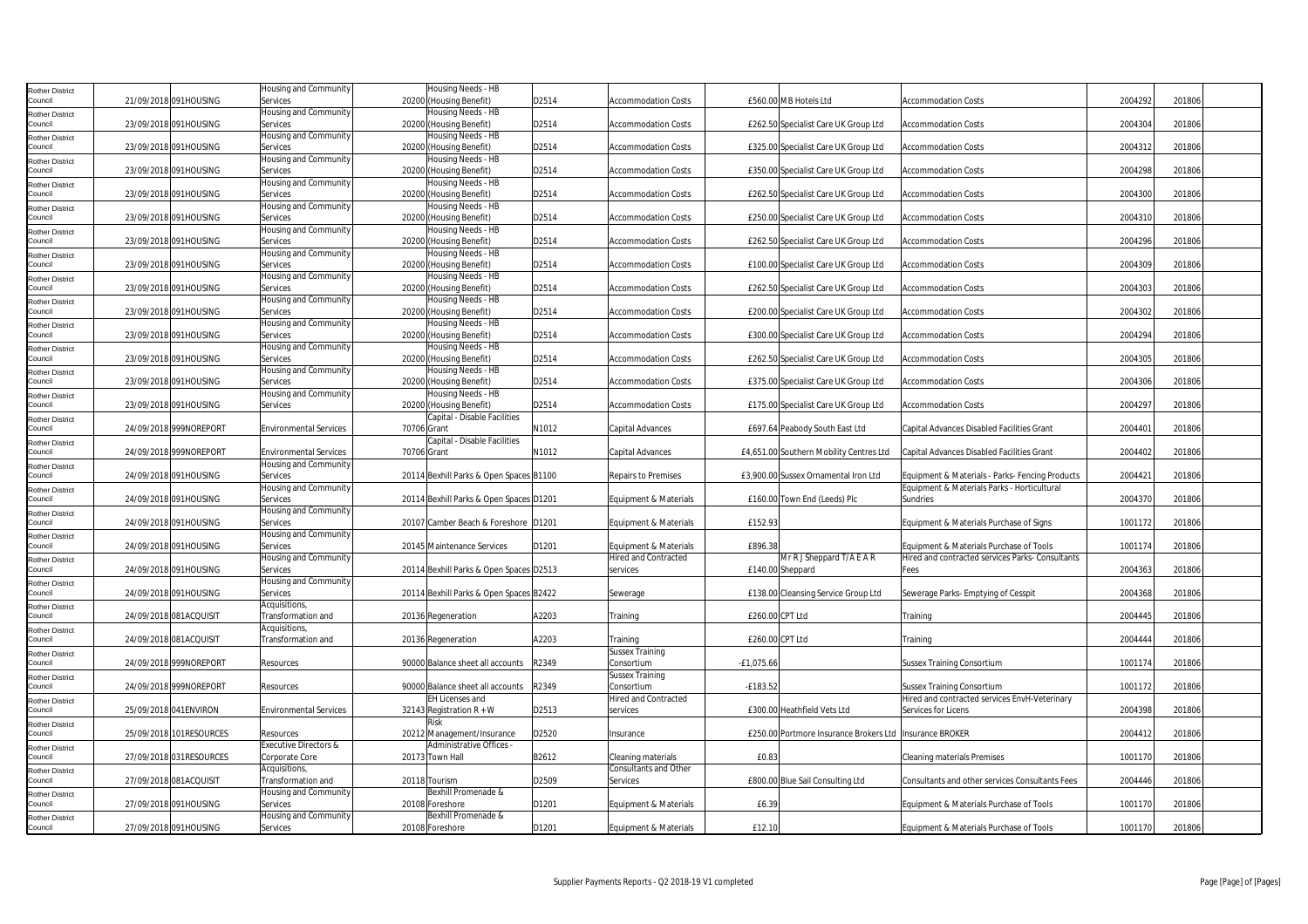| <b>Rother District</b>            |                         | Housing and Community                                  | Housing Needs - HB                                      |       |                                                      |                                                           |                                                                                             |         |        |
|-----------------------------------|-------------------------|--------------------------------------------------------|---------------------------------------------------------|-------|------------------------------------------------------|-----------------------------------------------------------|---------------------------------------------------------------------------------------------|---------|--------|
| Council                           | 21/09/2018 091HOUSING   | Services<br>Housing and Community                      | 20200 (Housing Benefit)<br>Housing Needs - HB           | D2514 | <b>Accommodation Costs</b>                           | £560.00 MB Hotels Ltd                                     | <b>Accommodation Costs</b>                                                                  | 2004292 | 201806 |
| <b>Rother District</b><br>Council | 23/09/2018 091HOUSING   | Services                                               | 20200 (Housing Benefit)                                 | D2514 | <b>Accommodation Costs</b>                           | £262.50 Specialist Care UK Group Ltd                      | <b>Accommodation Costs</b>                                                                  | 2004304 | 201806 |
| <b>Rother District</b>            |                         | Housing and Community                                  | Housing Needs - HB                                      |       |                                                      |                                                           |                                                                                             |         |        |
| Council<br><b>Rother District</b> | 23/09/2018 091HOUSING   | Services<br>Housing and Community                      | 20200 (Housing Benefit)<br>Housing Needs - HB           | D2514 | <b>Accommodation Costs</b>                           | £325.00 Specialist Care UK Group Ltd                      | <b>Accommodation Costs</b>                                                                  | 2004312 | 201806 |
| Council                           | 23/09/2018 091HOUSING   | Services                                               | 20200 (Housing Benefit)                                 | D2514 | <b>Accommodation Costs</b>                           | £350.00 Specialist Care UK Group Ltd                      | <b>Accommodation Costs</b>                                                                  | 2004298 | 201806 |
| <b>Rother District</b>            |                         | Housing and Community                                  | Housing Needs - HB                                      |       |                                                      |                                                           |                                                                                             |         |        |
| Council<br><b>Rother District</b> | 23/09/2018 091HOUSING   | Services<br>Housing and Community                      | 20200 (Housing Benefit)<br>Housing Needs - HB           | D2514 | <b>Accommodation Costs</b>                           | £262.50 Specialist Care UK Group Ltd                      | <b>Accommodation Costs</b>                                                                  | 2004300 | 201806 |
| Council                           | 23/09/2018 091HOUSING   | Services                                               | 20200 (Housing Benefit)                                 | D2514 | <b>Accommodation Costs</b>                           | £250.00 Specialist Care UK Group Ltd                      | <b>Accommodation Costs</b>                                                                  | 2004310 | 201806 |
| <b>Rother District</b><br>Council | 23/09/2018 091HOUSING   | Housing and Community<br>Services                      | Housing Needs - HB<br>20200 (Housing Benefit)           | D2514 | Accommodation Costs                                  | £262.50 Specialist Care UK Group Ltd                      | <b>Accommodation Costs</b>                                                                  | 2004296 | 201806 |
| <b>Rother District</b>            |                         | Housing and Community                                  | Housing Needs - HB                                      |       |                                                      |                                                           |                                                                                             |         |        |
| Council                           | 23/09/2018 091HOUSING   | Services                                               | 20200 (Housing Benefit)                                 | D2514 | <b>Accommodation Costs</b>                           | £100.00 Specialist Care UK Group Ltd                      | <b>Accommodation Costs</b>                                                                  | 2004309 | 201806 |
| <b>Rother District</b><br>Council | 23/09/2018 091HOUSING   | Housing and Community<br>Services                      | Housing Needs - HB<br>20200 (Housing Benefit)           | D2514 | <b>Accommodation Costs</b>                           | £262.50 Specialist Care UK Group Ltd                      | <b>Accommodation Costs</b>                                                                  | 2004303 | 201806 |
| <b>Rother District</b>            |                         | Housing and Community                                  | Housing Needs - HB                                      |       |                                                      |                                                           |                                                                                             |         |        |
| Council                           | 23/09/2018 091HOUSING   | Services                                               | 20200 (Housing Benefit)                                 | D2514 | Accommodation Costs                                  | £200.00 Specialist Care UK Group Ltd                      | <b>Accommodation Costs</b>                                                                  | 2004302 | 201806 |
| <b>Rother District</b><br>Council | 23/09/2018 091HOUSING   | Housing and Community<br>Services                      | Housing Needs - HB<br>20200 (Housing Benefit)           | D2514 | <b>Accommodation Costs</b>                           | £300.00 Specialist Care UK Group Ltd                      | <b>Accommodation Costs</b>                                                                  | 2004294 | 201806 |
| <b>Rother District</b>            |                         | Housing and Community                                  | Housing Needs - HB                                      |       |                                                      |                                                           |                                                                                             |         |        |
| Council                           | 23/09/2018 091HOUSING   | Services                                               | 20200 (Housing Benefit)                                 | D2514 | <b>Accommodation Costs</b>                           | £262.50 Specialist Care UK Group Ltd                      | <b>Accommodation Costs</b>                                                                  | 2004305 | 201806 |
| <b>Rother District</b><br>Council | 23/09/2018 091HOUSING   | Housing and Community<br>Services                      | Housing Needs - HB<br>20200 (Housing Benefit)           | D2514 | <b>Accommodation Costs</b>                           | £375.00 Specialist Care UK Group Ltd                      | <b>Accommodation Costs</b>                                                                  | 2004306 | 201806 |
| <b>Rother District</b>            |                         | Housing and Community                                  | Housing Needs - HB                                      |       |                                                      |                                                           |                                                                                             |         |        |
| Council                           | 23/09/2018 091HOUSING   | Services                                               | 20200 (Housing Benefit)<br>Capital - Disable Facilities | D2514 | Accommodation Costs                                  | £175.00 Specialist Care UK Group Ltd                      | <b>Accommodation Costs</b>                                                                  | 2004297 | 201806 |
| <b>Rother District</b><br>Council | 24/09/2018 999NOREPORT  | <b>Environmental Services</b>                          | 70706 Grant                                             | N1012 | Capital Advances                                     | £697.64 Peabody South East Ltd                            | Capital Advances Disabled Facilities Grant                                                  | 2004401 | 201806 |
| <b>Rother District</b>            |                         |                                                        | Capital - Disable Facilities                            |       |                                                      |                                                           |                                                                                             |         |        |
| Council                           | 24/09/2018 999NOREPORT  | <b>Environmental Services</b><br>Housing and Community | 70706 Grant                                             | N1012 | Capital Advances                                     | £4,651.00 Southern Mobility Centres Ltd                   | Capital Advances Disabled Facilities Grant                                                  | 2004402 | 201806 |
| <b>Rother District</b><br>Council | 24/09/2018 091HOUSING   | Services                                               | 20114 Bexhill Parks & Open Spaces B1100                 |       | <b>Repairs to Premises</b>                           | £3,900.00 Sussex Ornamental Iron Ltd                      | Equipment & Materials - Parks- Fencing Products                                             | 2004421 | 201806 |
| <b>Rother District</b>            |                         | Housing and Community                                  |                                                         |       |                                                      |                                                           | Equipment & Materials Parks - Horticultural                                                 |         |        |
| Council<br><b>Rother District</b> | 24/09/2018 091HOUSING   | Services<br>Housing and Community                      | 20114 Bexhill Parks & Open Spaces D1201                 |       | Equipment & Materials                                | £160.00 Town End (Leeds) Plc                              | Sundries                                                                                    | 2004370 | 201806 |
| Council                           | 24/09/2018 091HOUSING   | Services                                               | 20107 Camber Beach & Foreshore D1201                    |       | <b>Equipment &amp; Materials</b>                     | £152.93                                                   | Equipment & Materials Purchase of Signs                                                     | 1001172 | 201806 |
| <b>Rother District</b>            |                         | Housing and Community                                  |                                                         |       |                                                      |                                                           |                                                                                             |         |        |
| Council<br><b>Rother District</b> | 24/09/2018 091HOUSING   | Services<br>Housing and Community                      | 20145 Maintenance Services                              | D1201 | Equipment & Materials<br><b>Hired and Contracted</b> | £896.38<br>Mr R J Sheppard T/A E A R                      | Equipment & Materials Purchase of Tools<br>Hired and contracted services Parks- Consultants | 1001174 | 201806 |
| Council                           | 24/09/2018 091HOUSING   | Services                                               | 20114 Bexhill Parks & Open Spaces D2513                 |       | services                                             | £140.00 Sheppard                                          | Fees                                                                                        | 2004363 | 201806 |
| <b>Rother District</b>            | 24/09/2018 091HOUSING   | Housing and Community<br>Services                      |                                                         |       |                                                      | £138.00 Cleansing Service Group Ltd                       |                                                                                             | 2004368 | 201806 |
| Council<br>Rother District        |                         | Acquisitions,                                          | 20114 Bexhill Parks & Open Spaces B2422                 |       | Sewerage                                             |                                                           | Sewerage Parks- Emptying of Cesspit                                                         |         |        |
| Council                           | 24/09/2018 081ACQUISIT  | Transformation and                                     | 20136 Regeneration                                      | A2203 | <b>Fraining</b>                                      | £260.00 CPT Ltd                                           | Training                                                                                    | 2004445 | 201806 |
| <b>Rother District</b><br>Council | 24/09/2018 081ACQUISIT  | Acquisitions,<br>Transformation and                    | 20136 Regeneration                                      | A2203 | <b>fraining</b>                                      | £260.00 CPT Ltd                                           | Training                                                                                    | 2004444 | 201806 |
| <b>Rother District</b>            |                         |                                                        |                                                         |       | <b>Sussex Training</b>                               |                                                           |                                                                                             |         |        |
| Council                           | 24/09/2018 999NOREPORT  | Resources                                              | 90000 Balance sheet all accounts                        | R2349 | Consortium                                           | $-£1,075.66$                                              | <b>Sussex Training Consortium</b>                                                           | 1001174 | 201806 |
| <b>Rother District</b><br>Council | 24/09/2018 999NOREPORT  | Resources                                              | 90000 Balance sheet all accounts                        | R2349 | <b>Sussex Training</b><br>Consortium                 | $-E183.52$                                                | <b>Sussex Training Consortium</b>                                                           | 1001172 | 201806 |
| <b>Rother District</b>            |                         |                                                        | <b>EH Licenses and</b>                                  |       | Hired and Contracted                                 |                                                           | Hired and contracted services EnvH-Veterinary                                               |         |        |
| Council                           | 25/09/2018 041 ENVIRON  | <b>Environmental Services</b>                          | 32143 Registration $R + W$                              | D2513 | services                                             | £300.00 Heathfield Vets Ltd                               | Services for Licens                                                                         | 2004398 | 201806 |
| <b>Rother District</b><br>Council | 25/09/2018 101RESOURCES | Resources                                              | <b>Risk</b><br>20212 Management/Insurance               | D2520 | Insurance                                            | £250.00 Portmore Insurance Brokers Ltd   Insurance BROKER |                                                                                             | 2004412 | 201806 |
| <b>Rother District</b>            |                         | Executive Directors &                                  | <b>Administrative Offices</b>                           |       |                                                      |                                                           |                                                                                             |         |        |
| Council                           | 27/09/2018 031RESOURCES | Corporate Core                                         | 20173 Town Hall                                         | B2612 | Cleaning materials<br><b>Consultants and Other</b>   | £0.83                                                     | <b>Cleaning materials Premises</b>                                                          | 1001170 | 201806 |
| Rother District<br>Council        | 27/09/2018 081ACQUISIT  | Acquisitions,<br>Transformation and                    | 20118 Tourism                                           | D2509 | <b>Services</b>                                      | £800.00 Blue Sail Consulting Ltd                          | <b>Consultants and other services Consultants Fees</b>                                      | 2004446 | 201806 |
| <b>Rother District</b>            |                         | Housing and Community                                  | Bexhill Promenade &                                     |       |                                                      |                                                           |                                                                                             |         |        |
| Council                           | 27/09/2018 091HOUSING   | Services<br>Housing and Community                      | 20108 Foreshore<br>Bexhill Promenade &                  | D1201 | <b>Equipment &amp; Materials</b>                     | £6.39                                                     | Equipment & Materials Purchase of Tools                                                     | 1001170 | 201806 |
| <b>Rother District</b><br>Council | 27/09/2018 091HOUSING   | Services                                               | 20108 Foreshore                                         | D1201 | Equipment & Materials                                | £12.10                                                    | Equipment & Materials Purchase of Tools                                                     | 1001170 | 201806 |
|                                   |                         |                                                        |                                                         |       |                                                      |                                                           |                                                                                             |         |        |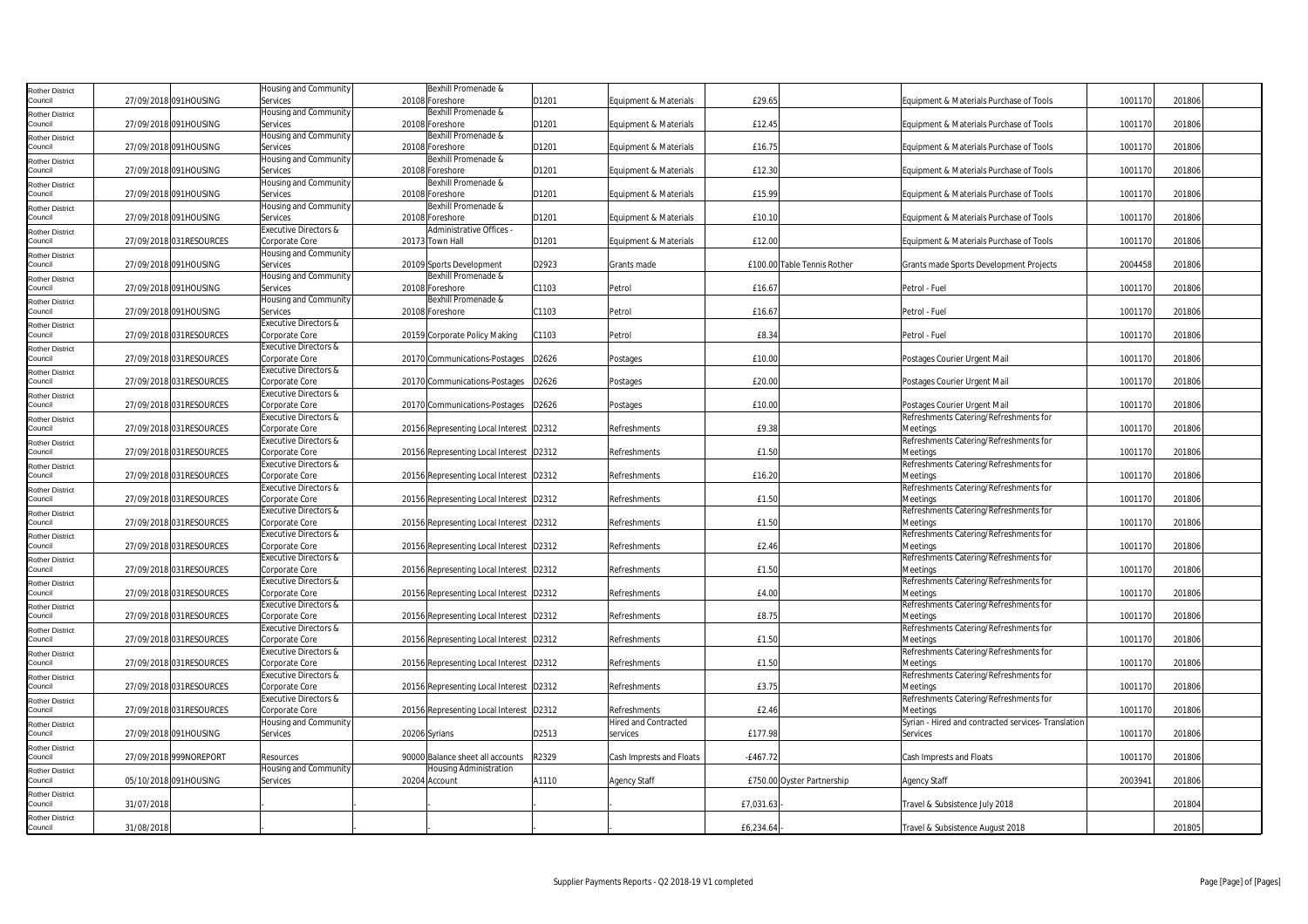| <b>Rother District</b>            |            |                         | Housing and Community                              |               | Bexhill Promenade &                             |       |                                  |                             |                                                                        |         |        |
|-----------------------------------|------------|-------------------------|----------------------------------------------------|---------------|-------------------------------------------------|-------|----------------------------------|-----------------------------|------------------------------------------------------------------------|---------|--------|
| Council                           |            | 27/09/2018 091HOUSING   | Services<br>Housing and Community                  |               | 20108 Foreshore<br>Bexhill Promenade &          | D1201 | Equipment & Materials            | £29.65                      | Equipment & Materials Purchase of Tools                                | 1001170 | 201806 |
| <b>Rother District</b><br>Council |            | 27/09/2018 091HOUSING   | Services                                           |               | 20108 Foreshore                                 | D1201 | Equipment & Materials            | £12.45                      | Equipment & Materials Purchase of Tools                                | 1001170 | 201806 |
| <b>Rother District</b>            |            |                         | Housing and Community                              |               | Bexhill Promenade &                             |       |                                  |                             |                                                                        |         |        |
| Council                           |            | 27/09/2018 091HOUSING   | Services                                           |               | 20108 Foreshore                                 | D1201 | Equipment & Materials            | £16.75                      | Equipment & Materials Purchase of Tools                                | 1001170 | 201806 |
| <b>Rother District</b><br>Council |            | 27/09/2018 091HOUSING   | Housing and Community<br>Services                  |               | Bexhill Promenade &<br>20108 Foreshore          | D1201 | Equipment & Materials            | £12.30                      | Equipment & Materials Purchase of Tools                                | 1001170 | 201806 |
| <b>Rother District</b>            |            |                         | Housing and Community                              |               | Bexhill Promenade &                             |       |                                  |                             |                                                                        |         |        |
| Council                           |            | 27/09/2018 091HOUSING   | Services                                           |               | 20108 Foreshore                                 | D1201 | Equipment & Materials            | £15.99                      | Equipment & Materials Purchase of Tools                                | 1001170 | 201806 |
| <b>Rother District</b><br>Council |            | 27/09/2018 091HOUSING   | Housing and Community<br>Services                  |               | Bexhill Promenade &<br>20108 Foreshore          | D1201 | Equipment & Materials            | £10.10                      | Equipment & Materials Purchase of Tools                                | 1001170 | 201806 |
| <b>Rother District</b>            |            |                         | Executive Directors &                              |               | Administrative Offices -                        |       |                                  |                             |                                                                        |         |        |
| Council                           |            | 27/09/2018 031RESOURCES | Corporate Core                                     |               | 20173 Town Hall                                 | D1201 | Equipment & Materials            | £12.00                      | Equipment & Materials Purchase of Tools                                | 1001170 | 201806 |
| <b>Rother District</b>            |            |                         | Housing and Community                              |               |                                                 |       |                                  |                             |                                                                        |         |        |
| Council<br><b>Rother District</b> |            | 27/09/2018 091HOUSING   | Services<br>Housing and Community                  |               | 20109 Sports Development<br>Bexhill Promenade & | D2923 | Grants made                      | £100.00 Table Tennis Rother | Grants made Sports Development Projects                                | 2004458 | 201806 |
| Council                           |            | 27/09/2018 091HOUSING   | Services                                           |               | 20108 Foreshore                                 | C1103 | Petrol                           | £16.67                      | Petrol - Fuel                                                          | 1001170 | 201806 |
| <b>Rother District</b>            |            |                         | Housing and Community                              |               | Bexhill Promenade &                             |       |                                  |                             |                                                                        |         |        |
| Council                           |            | 27/09/2018 091HOUSING   | Services<br>Executive Directors &                  |               | 20108 Foreshore                                 | C1103 | Petrol                           | £16.67                      | Petrol - Fuel                                                          | 1001170 | 201806 |
| <b>Rother District</b><br>Council |            | 27/09/2018 031RESOURCES | Corporate Core                                     |               | 20159 Corporate Policy Making                   | C1103 | Petrol                           | £8.34                       | Petrol - Fuel                                                          | 1001170 | 201806 |
| <b>Rother District</b>            |            |                         | Executive Directors &                              |               |                                                 |       |                                  |                             |                                                                        |         |        |
| Council                           |            | 27/09/2018 031RESOURCES | Corporate Core                                     |               | 20170 Communications-Postages                   | D2626 | Postages                         | £10.00                      | Postages Courier Urgent Mail                                           | 1001170 | 201806 |
| <b>Rother District</b><br>Council |            | 27/09/2018 031RESOURCES | <b>Executive Directors &amp;</b><br>Corporate Core |               | 20170 Communications-Postages                   | D2626 | Postages                         | £20.00                      | Postages Courier Urgent Mail                                           | 1001170 | 201806 |
| <b>Rother District</b>            |            |                         | Executive Directors &                              |               |                                                 |       |                                  |                             |                                                                        |         |        |
| Council                           |            | 27/09/2018 031RESOURCES | Corporate Core                                     |               | 20170 Communications-Postages                   | D2626 | Postages                         | £10.00                      | Postages Courier Urgent Mail                                           | 1001170 | 201806 |
| <b>Rother District</b><br>Council |            | 27/09/2018 031RESOURCES | <b>Executive Directors &amp;</b><br>Corporate Core |               | 20156 Representing Local Interest D2312         |       | Refreshments                     | £9.38                       | Refreshments Catering/Refreshments for<br>Meetings                     | 1001170 | 201806 |
| <b>Rother District</b>            |            |                         | Executive Directors &                              |               |                                                 |       |                                  |                             | Refreshments Catering/Refreshments for                                 |         |        |
| Council                           |            | 27/09/2018 031RESOURCES | Corporate Core                                     |               | 20156 Representing Local Interest D2312         |       | Refreshments                     | £1.50                       | Meetings                                                               | 1001170 | 201806 |
| <b>Rother District</b>            |            |                         | Executive Directors &                              |               |                                                 |       |                                  |                             | Refreshments Catering/Refreshments for                                 |         |        |
| Council<br><b>Rother District</b> |            | 27/09/2018 031RESOURCES | Corporate Core<br>Executive Directors &            |               | 20156 Representing Local Interest D2312         |       | Refreshments                     | £16.20                      | Meetings<br>Refreshments Catering/Refreshments for                     | 1001170 | 201806 |
| Council                           |            | 27/09/2018 031RESOURCES | Corporate Core                                     |               | 20156 Representing Local Interest D2312         |       | Refreshments                     | £1.50                       | Meetings                                                               | 1001170 | 201806 |
| <b>Rother District</b>            |            |                         | Executive Directors &                              |               |                                                 |       |                                  |                             | Refreshments Catering/Refreshments for                                 |         |        |
| Council                           |            | 27/09/2018 031RESOURCES | Corporate Core<br>Executive Directors &            |               | 20156 Representing Local Interest D2312         |       | Refreshments                     | £1.50                       | Meetings<br>Refreshments Catering/Refreshments for                     | 1001170 | 201806 |
| <b>Rother District</b><br>Council |            | 27/09/2018 031RESOURCES | Corporate Core                                     |               | 20156 Representing Local Interest D2312         |       | Refreshments                     | £2.46                       | Meetings                                                               | 1001170 | 201806 |
| <b>Rother District</b>            |            |                         | Executive Directors &                              |               |                                                 |       |                                  |                             | Refreshments Catering/Refreshments for                                 |         |        |
| Council                           |            | 27/09/2018 031RESOURCES | Corporate Core<br>Executive Directors &            |               | 20156 Representing Local Interest D2312         |       | Refreshments                     | £1.50                       | Meetings<br>Refreshments Catering/Refreshments for                     | 1001170 | 201806 |
| <b>Rother District</b><br>Council |            | 27/09/2018 031RESOURCES | Corporate Core                                     |               | 20156 Representing Local Interest D2312         |       | Refreshments                     | £4.00                       | Meetings                                                               | 1001170 | 201806 |
| Rother District                   |            |                         | Executive Directors &                              |               |                                                 |       |                                  |                             | Refreshments Catering/Refreshments for                                 |         |        |
| Council                           |            | 27/09/2018 031RESOURCES | Corporate Core                                     |               | 20156 Representing Local Interest D2312         |       | Refreshments                     | £8.75                       | Meetings                                                               | 1001170 | 201806 |
| <b>Rother District</b><br>Council |            | 27/09/2018 031RESOURCES | Executive Directors &<br>Corporate Core            |               | 20156 Representing Local Interest D2312         |       | Refreshments                     | £1.50                       | Refreshments Catering/Refreshments for<br>Meetings                     | 1001170 | 201806 |
| <b>Rother District</b>            |            |                         | Executive Directors &                              |               |                                                 |       |                                  |                             | Refreshments Catering/Refreshments for                                 |         |        |
| Council                           |            | 27/09/2018 031RESOURCES | Corporate Core                                     |               | 20156 Representing Local Interest D2312         |       | Refreshments                     | £1.50                       | Meetings                                                               | 1001170 | 201806 |
| <b>Rother District</b><br>Council |            | 27/09/2018 031RESOURCES | <b>Executive Directors &amp;</b><br>Corporate Core |               | 20156 Representing Local Interest D2312         |       | Refreshments                     | £3.75                       | Refreshments Catering/Refreshments for<br>Meetings                     | 1001170 | 201806 |
| <b>Rother District</b>            |            |                         | Executive Directors &                              |               |                                                 |       |                                  |                             | Refreshments Catering/Refreshments for                                 |         |        |
| Council                           |            | 27/09/2018 031RESOURCES | Corporate Core                                     |               | 20156 Representing Local Interest D2312         |       | Refreshments                     | £2.46                       | Meetings                                                               | 1001170 | 201806 |
| <b>Rother District</b><br>Council |            | 27/09/2018 091HOUSING   | Housing and Community                              |               |                                                 | D2513 | Hired and Contracted<br>services | £177.98                     | Syrian - Hired and contracted services- Translation<br><b>Services</b> | 1001170 | 201806 |
| <b>Rother District</b>            |            |                         | Services                                           | 20206 Syrians |                                                 |       |                                  |                             |                                                                        |         |        |
| Council                           |            | 27/09/2018 999NOREPORT  | Resources                                          |               | 90000 Balance sheet all accounts                | R2329 | Cash Imprests and Floats         | $-E467.72$                  | Cash Imprests and Floats                                               | 1001170 | 201806 |
| <b>Rother District</b>            |            |                         | Housing and Community                              |               | Housing Administration                          |       |                                  |                             |                                                                        |         |        |
| Council                           |            | 05/10/2018 091HOUSING   | Services                                           | 20204 Account |                                                 | A1110 | <b>Agency Staff</b>              | £750.00 Oyster Partnership  | Agency Staff                                                           | 2003941 | 201806 |
| <b>Rother District</b><br>Council | 31/07/2018 |                         |                                                    |               |                                                 |       |                                  | £7,031.63                   | Travel & Subsistence July 2018                                         |         | 201804 |
| <b>Rother District</b><br>Council | 31/08/2018 |                         |                                                    |               |                                                 |       |                                  | £6,234.64                   | Travel & Subsistence August 2018                                       |         | 201805 |